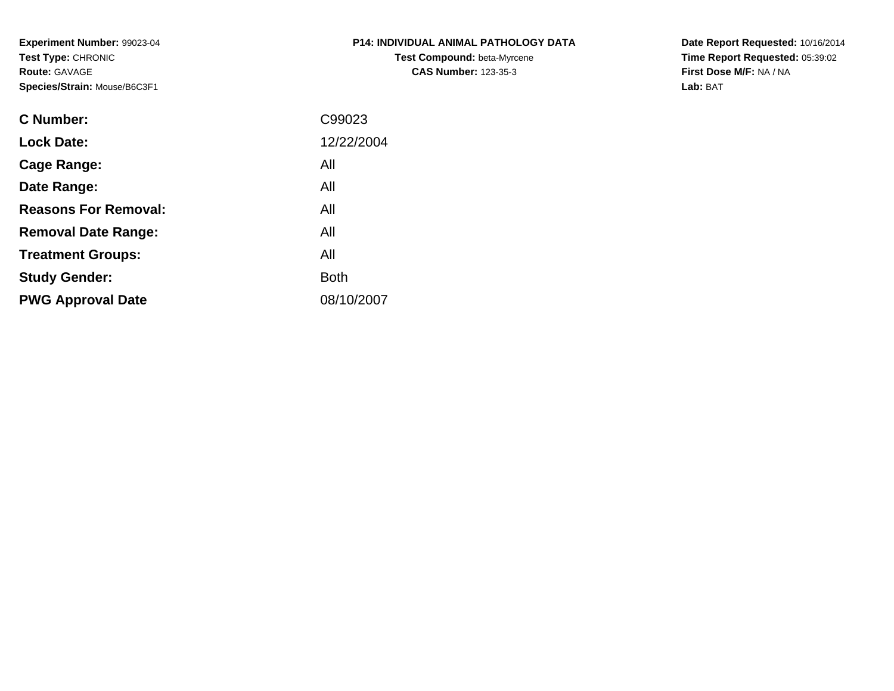**Experiment Number:** 99023-04**Test Type:** CHRONIC**Route:** GAVAGE**Species/Strain:** Mouse/B6C3F1

| <b>P14: INDIVIDUAL ANIMAL PATHOLOGY DATA</b> |  |
|----------------------------------------------|--|
| <b>Test Compound: beta-Myrcene</b>           |  |
| <b>CAS Number: 123-35-3</b>                  |  |

**Date Report Requested:** 10/16/2014 **Time Report Requested:** 05:39:02**First Dose M/F:** NA / NA**Lab:** BAT

| C99023      |
|-------------|
| 12/22/2004  |
| All         |
| All         |
| All         |
| All         |
| All         |
| <b>Both</b> |
| 08/10/2007  |
|             |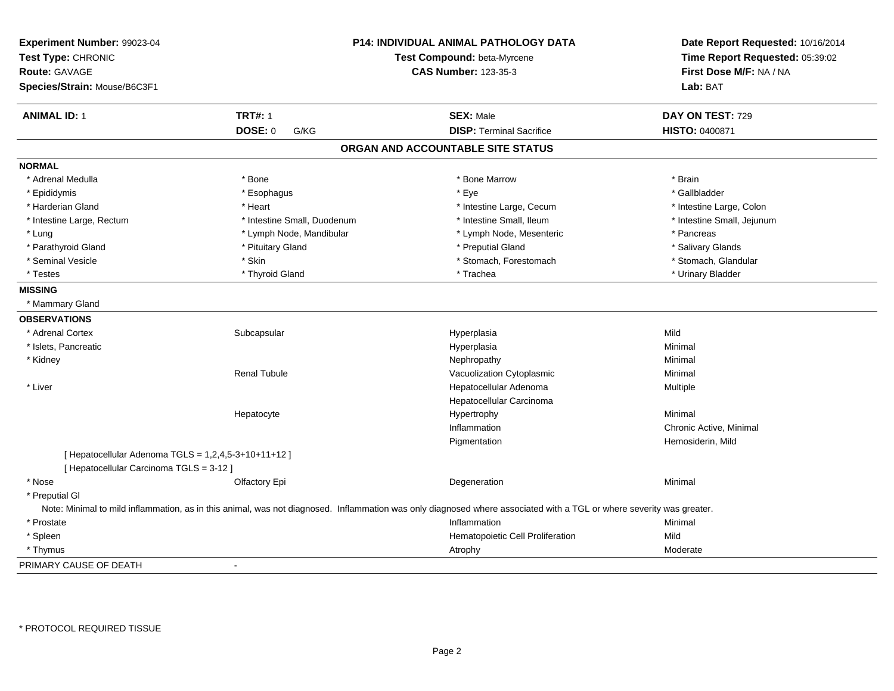| Experiment Number: 99023-04<br>Test Type: CHRONIC<br><b>Route: GAVAGE</b><br>Species/Strain: Mouse/B6C3F1 |                             | P14: INDIVIDUAL ANIMAL PATHOLOGY DATA<br>Test Compound: beta-Myrcene<br><b>CAS Number: 123-35-3</b>                                                                  | Date Report Requested: 10/16/2014<br>Time Report Requested: 05:39:02<br>First Dose M/F: NA / NA<br>Lab: BAT |
|-----------------------------------------------------------------------------------------------------------|-----------------------------|----------------------------------------------------------------------------------------------------------------------------------------------------------------------|-------------------------------------------------------------------------------------------------------------|
| <b>ANIMAL ID: 1</b>                                                                                       | <b>TRT#: 1</b>              | <b>SEX: Male</b>                                                                                                                                                     | DAY ON TEST: 729                                                                                            |
|                                                                                                           | <b>DOSE: 0</b><br>G/KG      | <b>DISP: Terminal Sacrifice</b>                                                                                                                                      | HISTO: 0400871                                                                                              |
|                                                                                                           |                             | ORGAN AND ACCOUNTABLE SITE STATUS                                                                                                                                    |                                                                                                             |
| <b>NORMAL</b>                                                                                             |                             |                                                                                                                                                                      |                                                                                                             |
| * Adrenal Medulla                                                                                         | * Bone                      | * Bone Marrow                                                                                                                                                        | * Brain                                                                                                     |
| * Epididymis                                                                                              | * Esophagus                 | * Eye                                                                                                                                                                | * Gallbladder                                                                                               |
| * Harderian Gland                                                                                         | * Heart                     | * Intestine Large, Cecum                                                                                                                                             | * Intestine Large, Colon                                                                                    |
| * Intestine Large, Rectum                                                                                 | * Intestine Small, Duodenum | * Intestine Small, Ileum                                                                                                                                             | * Intestine Small, Jejunum                                                                                  |
| * Lung                                                                                                    | * Lymph Node, Mandibular    | * Lymph Node, Mesenteric                                                                                                                                             | * Pancreas                                                                                                  |
| * Parathyroid Gland                                                                                       | * Pituitary Gland           | * Preputial Gland                                                                                                                                                    | * Salivary Glands                                                                                           |
| * Seminal Vesicle                                                                                         | * Skin                      | * Stomach, Forestomach                                                                                                                                               | * Stomach, Glandular                                                                                        |
| * Testes                                                                                                  | * Thyroid Gland             | * Trachea                                                                                                                                                            | * Urinary Bladder                                                                                           |
| <b>MISSING</b>                                                                                            |                             |                                                                                                                                                                      |                                                                                                             |
| * Mammary Gland                                                                                           |                             |                                                                                                                                                                      |                                                                                                             |
| <b>OBSERVATIONS</b>                                                                                       |                             |                                                                                                                                                                      |                                                                                                             |
| * Adrenal Cortex                                                                                          | Subcapsular                 | Hyperplasia                                                                                                                                                          | Mild                                                                                                        |
| * Islets, Pancreatic                                                                                      |                             | Hyperplasia                                                                                                                                                          | Minimal                                                                                                     |
| * Kidney                                                                                                  |                             | Nephropathy                                                                                                                                                          | Minimal                                                                                                     |
|                                                                                                           | <b>Renal Tubule</b>         | Vacuolization Cytoplasmic                                                                                                                                            | Minimal                                                                                                     |
| * Liver                                                                                                   |                             | Hepatocellular Adenoma                                                                                                                                               | Multiple                                                                                                    |
|                                                                                                           |                             | Hepatocellular Carcinoma                                                                                                                                             |                                                                                                             |
|                                                                                                           | Hepatocyte                  | Hypertrophy                                                                                                                                                          | Minimal                                                                                                     |
|                                                                                                           |                             | Inflammation                                                                                                                                                         | Chronic Active, Minimal                                                                                     |
|                                                                                                           |                             | Pigmentation                                                                                                                                                         | Hemosiderin, Mild                                                                                           |
| [ Hepatocellular Adenoma TGLS = 1,2,4,5-3+10+11+12 ]<br>[ Hepatocellular Carcinoma TGLS = 3-12 ]          |                             |                                                                                                                                                                      |                                                                                                             |
| * Nose                                                                                                    | Olfactory Epi               | Degeneration                                                                                                                                                         | Minimal                                                                                                     |
| * Preputial GI                                                                                            |                             |                                                                                                                                                                      |                                                                                                             |
|                                                                                                           |                             | Note: Minimal to mild inflammation, as in this animal, was not diagnosed. Inflammation was only diagnosed where associated with a TGL or where severity was greater. |                                                                                                             |
| * Prostate                                                                                                |                             | Inflammation                                                                                                                                                         | Minimal                                                                                                     |
| * Spleen                                                                                                  |                             | Hematopoietic Cell Proliferation                                                                                                                                     | Mild                                                                                                        |
| * Thymus                                                                                                  |                             | Atrophy                                                                                                                                                              | Moderate                                                                                                    |
| PRIMARY CAUSE OF DEATH                                                                                    | $\sim$                      |                                                                                                                                                                      |                                                                                                             |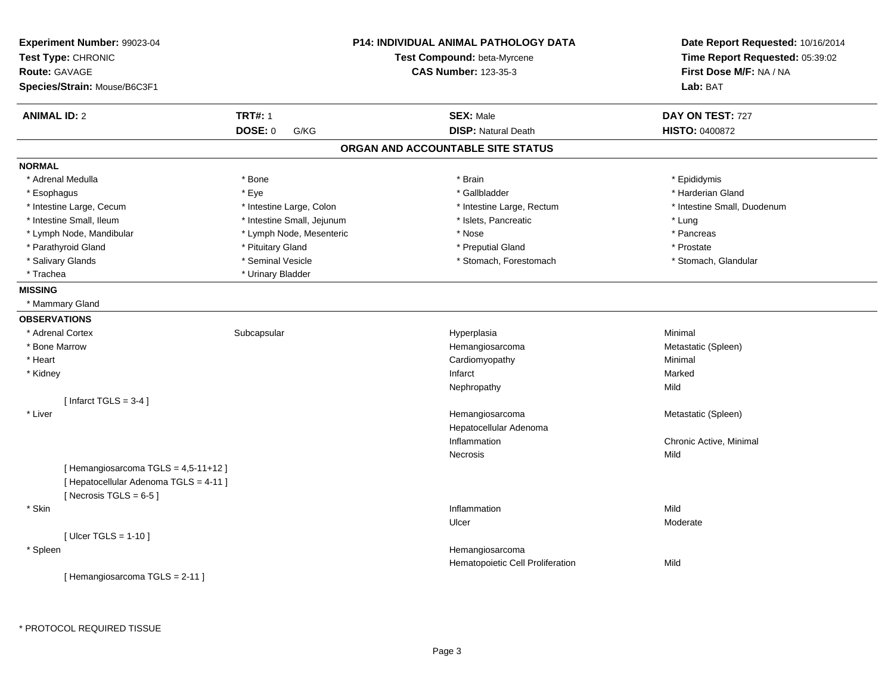| Experiment Number: 99023-04<br>Test Type: CHRONIC<br><b>Route: GAVAGE</b><br>Species/Strain: Mouse/B6C3F1 |                                                                              | P14: INDIVIDUAL ANIMAL PATHOLOGY DATA<br>Test Compound: beta-Myrcene<br><b>CAS Number: 123-35-3</b> | Date Report Requested: 10/16/2014<br>Time Report Requested: 05:39:02<br>First Dose M/F: NA / NA<br>Lab: BAT |
|-----------------------------------------------------------------------------------------------------------|------------------------------------------------------------------------------|-----------------------------------------------------------------------------------------------------|-------------------------------------------------------------------------------------------------------------|
| <b>ANIMAL ID: 2</b>                                                                                       | <b>TRT#: 1</b>                                                               | <b>SEX: Male</b>                                                                                    | DAY ON TEST: 727                                                                                            |
|                                                                                                           | <b>DOSE: 0</b><br>G/KG                                                       | <b>DISP: Natural Death</b>                                                                          | HISTO: 0400872                                                                                              |
|                                                                                                           |                                                                              | ORGAN AND ACCOUNTABLE SITE STATUS                                                                   |                                                                                                             |
| <b>NORMAL</b>                                                                                             |                                                                              |                                                                                                     |                                                                                                             |
| * Adrenal Medulla                                                                                         | * Bone                                                                       | * Brain                                                                                             | * Epididymis                                                                                                |
| * Esophagus                                                                                               | * Eye                                                                        | * Gallbladder                                                                                       | * Harderian Gland                                                                                           |
| * Intestine Large, Cecum                                                                                  | * Intestine Large, Colon                                                     | * Intestine Large, Rectum                                                                           | * Intestine Small, Duodenum                                                                                 |
| * Intestine Small, Ileum                                                                                  | * Intestine Small, Jejunum                                                   | * Islets, Pancreatic                                                                                | * Lung                                                                                                      |
| * Lymph Node, Mandibular                                                                                  | * Lymph Node, Mesenteric                                                     | * Nose                                                                                              | * Pancreas                                                                                                  |
| * Parathyroid Gland                                                                                       | * Pituitary Gland                                                            | * Preputial Gland                                                                                   | * Prostate                                                                                                  |
| * Salivary Glands                                                                                         | * Seminal Vesicle                                                            | * Stomach, Forestomach                                                                              | * Stomach, Glandular                                                                                        |
| * Trachea                                                                                                 | * Urinary Bladder                                                            |                                                                                                     |                                                                                                             |
| <b>MISSING</b>                                                                                            |                                                                              |                                                                                                     |                                                                                                             |
| * Mammary Gland                                                                                           |                                                                              |                                                                                                     |                                                                                                             |
| <b>OBSERVATIONS</b>                                                                                       |                                                                              |                                                                                                     |                                                                                                             |
| * Adrenal Cortex                                                                                          | Subcapsular                                                                  | Hyperplasia                                                                                         | Minimal                                                                                                     |
| * Bone Marrow                                                                                             |                                                                              | Hemangiosarcoma                                                                                     | Metastatic (Spleen)                                                                                         |
| * Heart                                                                                                   |                                                                              | Cardiomyopathy                                                                                      | Minimal                                                                                                     |
| * Kidney                                                                                                  |                                                                              | Infarct                                                                                             | Marked                                                                                                      |
|                                                                                                           |                                                                              | Nephropathy                                                                                         | Mild                                                                                                        |
| [Infarct TGLS = $3-4$ ]                                                                                   |                                                                              |                                                                                                     |                                                                                                             |
| * Liver                                                                                                   |                                                                              | Hemangiosarcoma                                                                                     | Metastatic (Spleen)                                                                                         |
|                                                                                                           |                                                                              | Hepatocellular Adenoma                                                                              |                                                                                                             |
|                                                                                                           |                                                                              | Inflammation                                                                                        | Chronic Active, Minimal                                                                                     |
|                                                                                                           |                                                                              | Necrosis                                                                                            | Mild                                                                                                        |
|                                                                                                           | [Hemangiosarcoma TGLS = 4,5-11+12]<br>[ Hepatocellular Adenoma TGLS = 4-11 ] |                                                                                                     |                                                                                                             |
| [Necrosis TGLS = $6-5$ ]                                                                                  |                                                                              |                                                                                                     |                                                                                                             |
| * Skin                                                                                                    |                                                                              | Inflammation                                                                                        | Mild                                                                                                        |
|                                                                                                           |                                                                              | Ulcer                                                                                               | Moderate                                                                                                    |
| [ Ulcer TGLS = $1-10$ ]                                                                                   |                                                                              |                                                                                                     |                                                                                                             |
| * Spleen                                                                                                  |                                                                              | Hemangiosarcoma<br>Hematopoietic Cell Proliferation                                                 | Mild                                                                                                        |
| [Hemangiosarcoma TGLS = 2-11]                                                                             |                                                                              |                                                                                                     |                                                                                                             |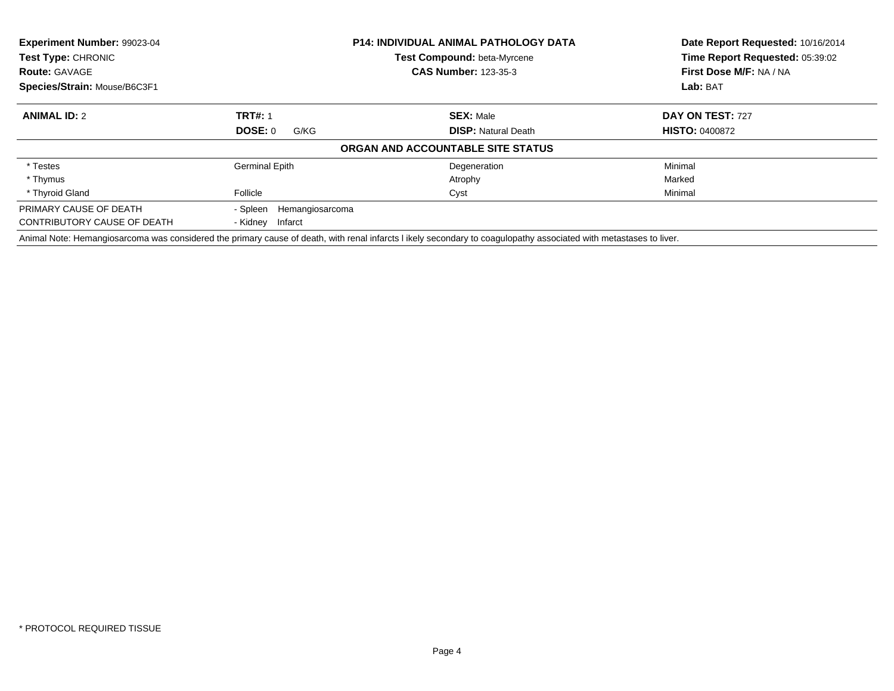| <b>Experiment Number: 99023-04</b><br>Test Type: CHRONIC |                             | <b>P14: INDIVIDUAL ANIMAL PATHOLOGY DATA</b><br><b>Test Compound: beta-Myrcene</b>                                                                                 | Date Report Requested: 10/16/2014<br>Time Report Requested: 05:39:02 |
|----------------------------------------------------------|-----------------------------|--------------------------------------------------------------------------------------------------------------------------------------------------------------------|----------------------------------------------------------------------|
| <b>Route: GAVAGE</b>                                     | <b>CAS Number: 123-35-3</b> |                                                                                                                                                                    | First Dose M/F: NA / NA                                              |
| Species/Strain: Mouse/B6C3F1                             |                             |                                                                                                                                                                    | Lab: BAT                                                             |
| <b>ANIMAL ID: 2</b>                                      | <b>TRT#: 1</b>              | <b>SEX: Male</b>                                                                                                                                                   | DAY ON TEST: 727                                                     |
|                                                          | DOSE: 0<br>G/KG             | <b>DISP:</b> Natural Death                                                                                                                                         | <b>HISTO: 0400872</b>                                                |
|                                                          |                             | ORGAN AND ACCOUNTABLE SITE STATUS                                                                                                                                  |                                                                      |
| * Testes                                                 | <b>Germinal Epith</b>       | Degeneration                                                                                                                                                       | Minimal                                                              |
| * Thymus                                                 |                             | Atrophy                                                                                                                                                            | Marked                                                               |
| * Thyroid Gland                                          | Follicle                    | Cyst                                                                                                                                                               | Minimal                                                              |
| PRIMARY CAUSE OF DEATH                                   | - Spleen<br>Hemangiosarcoma |                                                                                                                                                                    |                                                                      |
| CONTRIBUTORY CAUSE OF DEATH                              | - Kidney Infarct            |                                                                                                                                                                    |                                                                      |
|                                                          |                             | Animal Note: Hemangiosarcoma was considered the primary cause of death, with renal infarcts I ikely secondary to coagulopathy associated with metastases to liver. |                                                                      |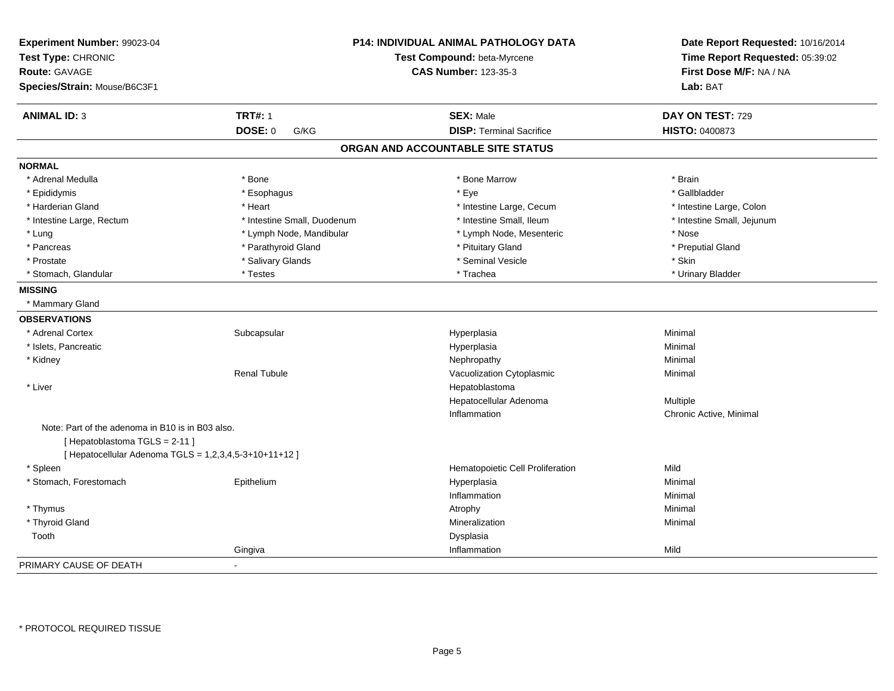| Experiment Number: 99023-04<br>Test Type: CHRONIC<br>Route: GAVAGE               |                             | P14: INDIVIDUAL ANIMAL PATHOLOGY DATA<br>Test Compound: beta-Myrcene<br><b>CAS Number: 123-35-3</b> | Date Report Requested: 10/16/2014<br>Time Report Requested: 05:39:02<br>First Dose M/F: NA / NA |
|----------------------------------------------------------------------------------|-----------------------------|-----------------------------------------------------------------------------------------------------|-------------------------------------------------------------------------------------------------|
| Species/Strain: Mouse/B6C3F1                                                     |                             |                                                                                                     | Lab: BAT                                                                                        |
| <b>ANIMAL ID: 3</b>                                                              | <b>TRT#: 1</b>              | <b>SEX: Male</b>                                                                                    | DAY ON TEST: 729                                                                                |
|                                                                                  | <b>DOSE: 0</b><br>G/KG      | <b>DISP: Terminal Sacrifice</b>                                                                     | HISTO: 0400873                                                                                  |
|                                                                                  |                             | ORGAN AND ACCOUNTABLE SITE STATUS                                                                   |                                                                                                 |
| <b>NORMAL</b>                                                                    |                             |                                                                                                     |                                                                                                 |
| * Adrenal Medulla                                                                | * Bone                      | * Bone Marrow                                                                                       | * Brain                                                                                         |
| * Epididymis                                                                     | * Esophagus                 | * Eye                                                                                               | * Gallbladder                                                                                   |
| * Harderian Gland                                                                | * Heart                     | * Intestine Large, Cecum                                                                            | * Intestine Large, Colon                                                                        |
| * Intestine Large, Rectum                                                        | * Intestine Small, Duodenum | * Intestine Small, Ileum                                                                            | * Intestine Small, Jejunum                                                                      |
| * Lung                                                                           | * Lymph Node, Mandibular    | * Lymph Node, Mesenteric                                                                            | * Nose                                                                                          |
| * Pancreas                                                                       | * Parathyroid Gland         | * Pituitary Gland                                                                                   | * Preputial Gland                                                                               |
| * Prostate                                                                       | * Salivary Glands           | * Seminal Vesicle                                                                                   | * Skin                                                                                          |
| * Stomach, Glandular                                                             | * Testes                    | * Trachea                                                                                           | * Urinary Bladder                                                                               |
| <b>MISSING</b>                                                                   |                             |                                                                                                     |                                                                                                 |
| * Mammary Gland                                                                  |                             |                                                                                                     |                                                                                                 |
| <b>OBSERVATIONS</b>                                                              |                             |                                                                                                     |                                                                                                 |
| * Adrenal Cortex                                                                 | Subcapsular                 | Hyperplasia                                                                                         | Minimal                                                                                         |
| * Islets, Pancreatic                                                             |                             | Hyperplasia                                                                                         | Minimal                                                                                         |
| * Kidney                                                                         |                             | Nephropathy                                                                                         | Minimal                                                                                         |
|                                                                                  | <b>Renal Tubule</b>         | Vacuolization Cytoplasmic                                                                           | Minimal                                                                                         |
| * Liver                                                                          |                             | Hepatoblastoma                                                                                      |                                                                                                 |
|                                                                                  |                             | Hepatocellular Adenoma                                                                              | Multiple                                                                                        |
|                                                                                  |                             | Inflammation                                                                                        | Chronic Active, Minimal                                                                         |
| Note: Part of the adenoma in B10 is in B03 also.<br>[Hepatoblastoma TGLS = 2-11] |                             |                                                                                                     |                                                                                                 |
| [ Hepatocellular Adenoma TGLS = 1,2,3,4,5-3+10+11+12 ]                           |                             |                                                                                                     |                                                                                                 |
| * Spleen                                                                         |                             | Hematopoietic Cell Proliferation                                                                    | Mild                                                                                            |
| * Stomach, Forestomach                                                           | Epithelium                  | Hyperplasia                                                                                         | Minimal                                                                                         |
|                                                                                  |                             | Inflammation                                                                                        | Minimal                                                                                         |
| * Thymus                                                                         |                             | Atrophy                                                                                             | Minimal                                                                                         |
| * Thyroid Gland                                                                  |                             | Mineralization                                                                                      | Minimal                                                                                         |
| Tooth                                                                            |                             | Dysplasia                                                                                           |                                                                                                 |
|                                                                                  | Gingiva                     | Inflammation                                                                                        | Mild                                                                                            |
| PRIMARY CAUSE OF DEATH                                                           | $\mathbf{r}$                |                                                                                                     |                                                                                                 |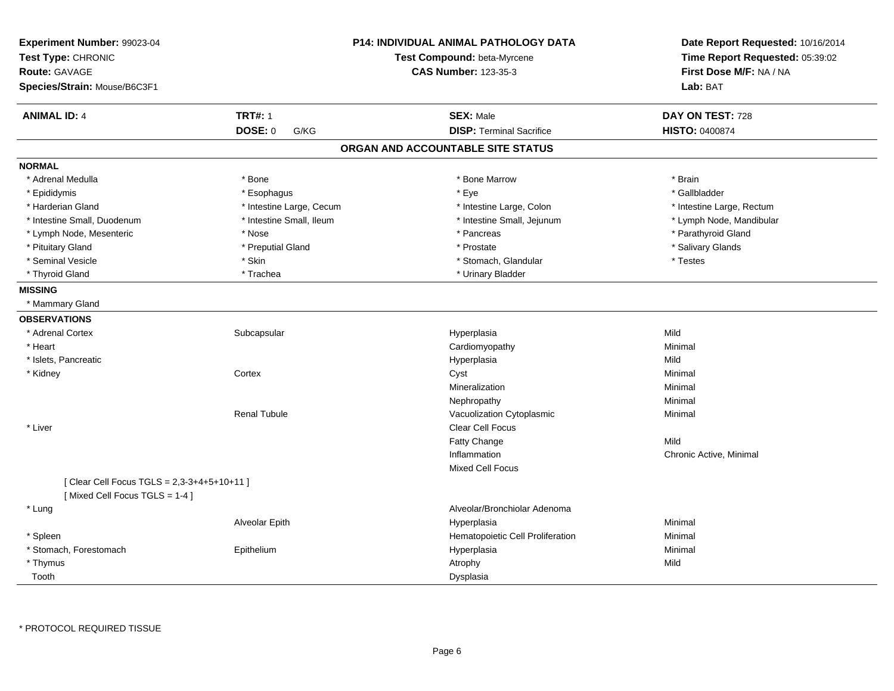| Experiment Number: 99023-04<br>Test Type: CHRONIC<br>Route: GAVAGE<br>Species/Strain: Mouse/B6C3F1 |                          | <b>P14: INDIVIDUAL ANIMAL PATHOLOGY DATA</b><br>Test Compound: beta-Myrcene<br><b>CAS Number: 123-35-3</b> | Date Report Requested: 10/16/2014<br>Time Report Requested: 05:39:02<br>First Dose M/F: NA / NA<br>Lab: BAT |
|----------------------------------------------------------------------------------------------------|--------------------------|------------------------------------------------------------------------------------------------------------|-------------------------------------------------------------------------------------------------------------|
| <b>ANIMAL ID: 4</b>                                                                                | <b>TRT#: 1</b>           | <b>SEX: Male</b>                                                                                           | DAY ON TEST: 728                                                                                            |
|                                                                                                    | DOSE: 0<br>G/KG          | <b>DISP: Terminal Sacrifice</b>                                                                            | HISTO: 0400874                                                                                              |
|                                                                                                    |                          | ORGAN AND ACCOUNTABLE SITE STATUS                                                                          |                                                                                                             |
| <b>NORMAL</b>                                                                                      |                          |                                                                                                            |                                                                                                             |
| * Adrenal Medulla                                                                                  | * Bone                   | * Bone Marrow                                                                                              | * Brain                                                                                                     |
| * Epididymis                                                                                       | * Esophagus              | * Eye                                                                                                      | * Gallbladder                                                                                               |
| * Harderian Gland                                                                                  | * Intestine Large, Cecum | * Intestine Large, Colon                                                                                   | * Intestine Large, Rectum                                                                                   |
| * Intestine Small, Duodenum                                                                        | * Intestine Small, Ileum | * Intestine Small, Jejunum                                                                                 | * Lymph Node, Mandibular                                                                                    |
| * Lymph Node, Mesenteric                                                                           | * Nose                   | * Pancreas                                                                                                 | * Parathyroid Gland                                                                                         |
| * Pituitary Gland                                                                                  | * Preputial Gland        | * Prostate                                                                                                 | * Salivary Glands                                                                                           |
| * Seminal Vesicle                                                                                  | * Skin                   | * Stomach, Glandular                                                                                       | * Testes                                                                                                    |
| * Thyroid Gland                                                                                    | * Trachea                | * Urinary Bladder                                                                                          |                                                                                                             |
| <b>MISSING</b>                                                                                     |                          |                                                                                                            |                                                                                                             |
| * Mammary Gland                                                                                    |                          |                                                                                                            |                                                                                                             |
| <b>OBSERVATIONS</b>                                                                                |                          |                                                                                                            |                                                                                                             |
| * Adrenal Cortex                                                                                   | Subcapsular              | Hyperplasia                                                                                                | Mild                                                                                                        |
| * Heart                                                                                            |                          | Cardiomyopathy                                                                                             | Minimal                                                                                                     |
| * Islets, Pancreatic                                                                               |                          | Hyperplasia                                                                                                | Mild                                                                                                        |
| * Kidney                                                                                           | Cortex                   | Cyst                                                                                                       | Minimal                                                                                                     |
|                                                                                                    |                          | Mineralization                                                                                             | Minimal                                                                                                     |
|                                                                                                    |                          | Nephropathy                                                                                                | Minimal                                                                                                     |
|                                                                                                    | <b>Renal Tubule</b>      | Vacuolization Cytoplasmic                                                                                  | Minimal                                                                                                     |
| * Liver                                                                                            |                          | <b>Clear Cell Focus</b>                                                                                    |                                                                                                             |
|                                                                                                    |                          | Fatty Change                                                                                               | Mild                                                                                                        |
|                                                                                                    |                          | Inflammation                                                                                               | Chronic Active, Minimal                                                                                     |
|                                                                                                    |                          | <b>Mixed Cell Focus</b>                                                                                    |                                                                                                             |
| [ Clear Cell Focus TGLS = 2,3-3+4+5+10+11 ]<br>[Mixed Cell Focus TGLS = 1-4]                       |                          |                                                                                                            |                                                                                                             |
| * Lung                                                                                             |                          | Alveolar/Bronchiolar Adenoma                                                                               |                                                                                                             |
|                                                                                                    | Alveolar Epith           | Hyperplasia                                                                                                | Minimal                                                                                                     |
| * Spleen                                                                                           |                          | Hematopoietic Cell Proliferation                                                                           | Minimal                                                                                                     |
| * Stomach, Forestomach                                                                             | Epithelium               | Hyperplasia                                                                                                | Minimal                                                                                                     |
| * Thymus                                                                                           |                          | Atrophy                                                                                                    | Mild                                                                                                        |
| Tooth                                                                                              |                          | Dysplasia                                                                                                  |                                                                                                             |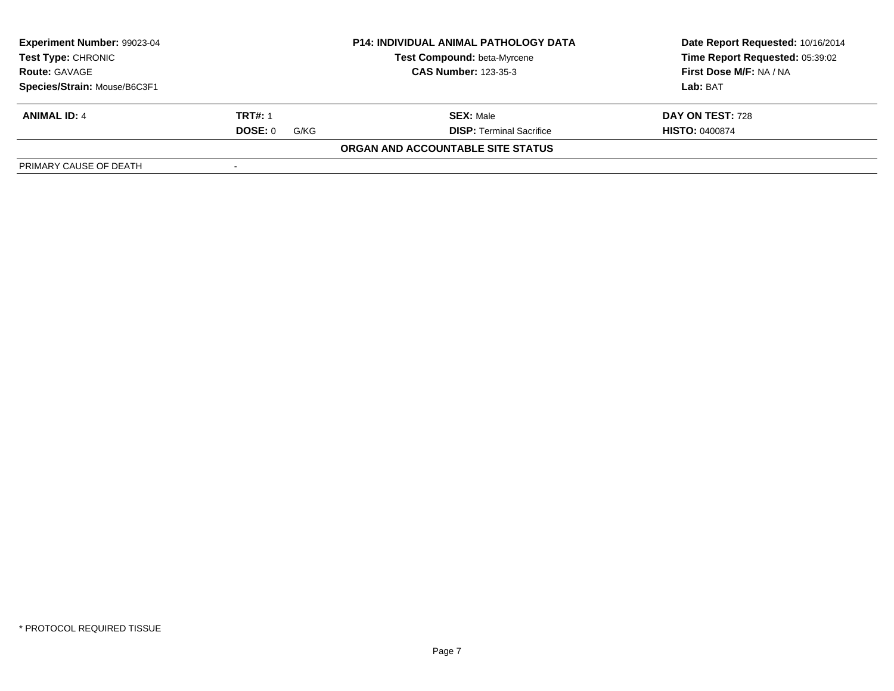| <b>Experiment Number: 99023-04</b><br><b>P14: INDIVIDUAL ANIMAL PATHOLOGY DATA</b><br><b>Test Type: CHRONIC</b><br>Test Compound: beta-Myrcene<br><b>CAS Number: 123-35-3</b><br><b>Route: GAVAGE</b> |                 | Date Report Requested: 10/16/2014<br>Time Report Requested: 05:39:02<br>First Dose M/F: NA / NA |                       |
|-------------------------------------------------------------------------------------------------------------------------------------------------------------------------------------------------------|-----------------|-------------------------------------------------------------------------------------------------|-----------------------|
|                                                                                                                                                                                                       |                 |                                                                                                 |                       |
| Species/Strain: Mouse/B6C3F1                                                                                                                                                                          |                 |                                                                                                 | Lab: BAT              |
| <b>ANIMAL ID: 4</b>                                                                                                                                                                                   | <b>TRT#: 1</b>  | <b>SEX: Male</b>                                                                                | DAY ON TEST: 728      |
|                                                                                                                                                                                                       | DOSE: 0<br>G/KG | <b>DISP:</b> Terminal Sacrifice                                                                 | <b>HISTO: 0400874</b> |
|                                                                                                                                                                                                       |                 | ORGAN AND ACCOUNTABLE SITE STATUS                                                               |                       |
| PRIMARY CAUSE OF DEATH                                                                                                                                                                                |                 |                                                                                                 |                       |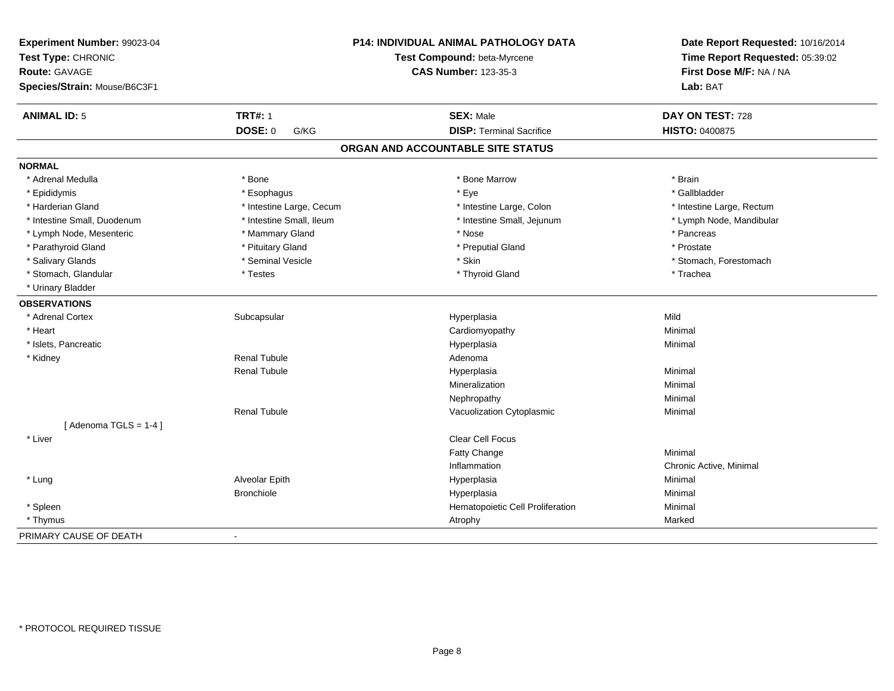| Experiment Number: 99023-04  |                          | P14: INDIVIDUAL ANIMAL PATHOLOGY DATA | Date Report Requested: 10/16/2014                          |
|------------------------------|--------------------------|---------------------------------------|------------------------------------------------------------|
| Test Type: CHRONIC           |                          | Test Compound: beta-Myrcene           | Time Report Requested: 05:39:02<br>First Dose M/F: NA / NA |
| Route: GAVAGE                |                          | <b>CAS Number: 123-35-3</b>           |                                                            |
| Species/Strain: Mouse/B6C3F1 |                          |                                       | Lab: BAT                                                   |
| <b>ANIMAL ID: 5</b>          | <b>TRT#: 1</b>           | <b>SEX: Male</b>                      | DAY ON TEST: 728                                           |
|                              | <b>DOSE: 0</b><br>G/KG   | <b>DISP: Terminal Sacrifice</b>       | <b>HISTO: 0400875</b>                                      |
|                              |                          | ORGAN AND ACCOUNTABLE SITE STATUS     |                                                            |
| <b>NORMAL</b>                |                          |                                       |                                                            |
| * Adrenal Medulla            | * Bone                   | * Bone Marrow                         | * Brain                                                    |
| * Epididymis                 | * Esophagus              | * Eye                                 | * Gallbladder                                              |
| * Harderian Gland            | * Intestine Large, Cecum | * Intestine Large, Colon              | * Intestine Large, Rectum                                  |
| * Intestine Small, Duodenum  | * Intestine Small, Ileum | * Intestine Small, Jejunum            | * Lymph Node, Mandibular                                   |
| * Lymph Node, Mesenteric     | * Mammary Gland          | * Nose                                | * Pancreas                                                 |
| * Parathyroid Gland          | * Pituitary Gland        | * Preputial Gland                     | * Prostate                                                 |
| * Salivary Glands            | * Seminal Vesicle        | * Skin                                | * Stomach, Forestomach                                     |
| * Stomach, Glandular         | * Testes                 | * Thyroid Gland                       | * Trachea                                                  |
| * Urinary Bladder            |                          |                                       |                                                            |
| <b>OBSERVATIONS</b>          |                          |                                       |                                                            |
| * Adrenal Cortex             | Subcapsular              | Hyperplasia                           | Mild                                                       |
| * Heart                      |                          | Cardiomyopathy                        | Minimal                                                    |
| * Islets, Pancreatic         |                          | Hyperplasia                           | Minimal                                                    |
| * Kidney                     | <b>Renal Tubule</b>      | Adenoma                               |                                                            |
|                              | <b>Renal Tubule</b>      | Hyperplasia                           | Minimal                                                    |
|                              |                          | Mineralization                        | Minimal                                                    |
|                              |                          | Nephropathy                           | Minimal                                                    |
|                              | <b>Renal Tubule</b>      | Vacuolization Cytoplasmic             | Minimal                                                    |
| [Adenoma TGLS = $1-4$ ]      |                          |                                       |                                                            |
| * Liver                      |                          | Clear Cell Focus                      |                                                            |
|                              |                          | Fatty Change                          | Minimal                                                    |
|                              |                          | Inflammation                          | Chronic Active, Minimal                                    |
| * Lung                       | Alveolar Epith           | Hyperplasia                           | Minimal                                                    |
|                              | <b>Bronchiole</b>        | Hyperplasia                           | Minimal                                                    |
| * Spleen                     |                          | Hematopoietic Cell Proliferation      | Minimal                                                    |
| * Thymus                     |                          | Atrophy                               | Marked                                                     |
| PRIMARY CAUSE OF DEATH       | $\blacksquare$           |                                       |                                                            |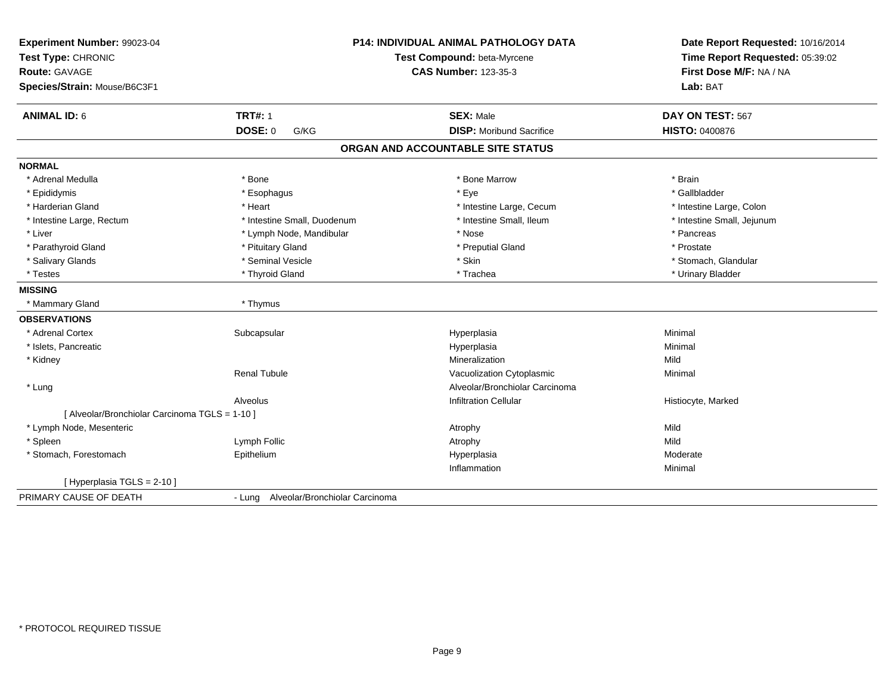| Experiment Number: 99023-04<br>Test Type: CHRONIC<br><b>Route: GAVAGE</b><br>Species/Strain: Mouse/B6C3F1 |                                       | <b>P14: INDIVIDUAL ANIMAL PATHOLOGY DATA</b><br>Test Compound: beta-Myrcene<br><b>CAS Number: 123-35-3</b> | Date Report Requested: 10/16/2014<br>Time Report Requested: 05:39:02<br>First Dose M/F: NA / NA<br>Lab: BAT |
|-----------------------------------------------------------------------------------------------------------|---------------------------------------|------------------------------------------------------------------------------------------------------------|-------------------------------------------------------------------------------------------------------------|
| <b>ANIMAL ID: 6</b>                                                                                       | <b>TRT#: 1</b>                        | <b>SEX: Male</b>                                                                                           | DAY ON TEST: 567                                                                                            |
|                                                                                                           | <b>DOSE: 0</b><br>G/KG                | <b>DISP: Moribund Sacrifice</b>                                                                            | <b>HISTO: 0400876</b>                                                                                       |
|                                                                                                           |                                       | ORGAN AND ACCOUNTABLE SITE STATUS                                                                          |                                                                                                             |
| <b>NORMAL</b>                                                                                             |                                       |                                                                                                            |                                                                                                             |
| * Adrenal Medulla                                                                                         | * Bone                                | * Bone Marrow                                                                                              | * Brain                                                                                                     |
| * Epididymis                                                                                              | * Esophagus                           | * Eve                                                                                                      | * Gallbladder                                                                                               |
| * Harderian Gland                                                                                         | * Heart                               | * Intestine Large, Cecum                                                                                   | * Intestine Large, Colon                                                                                    |
| * Intestine Large, Rectum                                                                                 | * Intestine Small, Duodenum           | * Intestine Small. Ileum                                                                                   | * Intestine Small, Jejunum                                                                                  |
| * Liver                                                                                                   | * Lymph Node, Mandibular              | * Nose                                                                                                     | * Pancreas                                                                                                  |
| * Parathyroid Gland                                                                                       | * Pituitary Gland                     | * Preputial Gland                                                                                          | * Prostate                                                                                                  |
| * Salivary Glands                                                                                         | * Seminal Vesicle                     | * Skin                                                                                                     | * Stomach, Glandular                                                                                        |
| * Testes                                                                                                  | * Thyroid Gland                       | * Trachea                                                                                                  | * Urinary Bladder                                                                                           |
| <b>MISSING</b>                                                                                            |                                       |                                                                                                            |                                                                                                             |
| * Mammary Gland                                                                                           | * Thymus                              |                                                                                                            |                                                                                                             |
| <b>OBSERVATIONS</b>                                                                                       |                                       |                                                                                                            |                                                                                                             |
| * Adrenal Cortex                                                                                          | Subcapsular                           | Hyperplasia                                                                                                | Minimal                                                                                                     |
| * Islets, Pancreatic                                                                                      |                                       | Hyperplasia                                                                                                | Minimal                                                                                                     |
| * Kidney                                                                                                  |                                       | Mineralization                                                                                             | Mild                                                                                                        |
|                                                                                                           | <b>Renal Tubule</b>                   | Vacuolization Cytoplasmic                                                                                  | Minimal                                                                                                     |
| * Lung                                                                                                    |                                       | Alveolar/Bronchiolar Carcinoma                                                                             |                                                                                                             |
|                                                                                                           | Alveolus                              | <b>Infiltration Cellular</b>                                                                               | Histiocyte, Marked                                                                                          |
| [ Alveolar/Bronchiolar Carcinoma TGLS = 1-10 ]                                                            |                                       |                                                                                                            |                                                                                                             |
| * Lymph Node, Mesenteric                                                                                  |                                       | Atrophy                                                                                                    | Mild                                                                                                        |
| * Spleen                                                                                                  | Lymph Follic                          | Atrophy                                                                                                    | Mild                                                                                                        |
| * Stomach, Forestomach                                                                                    | Epithelium                            | Hyperplasia                                                                                                | Moderate                                                                                                    |
|                                                                                                           |                                       | Inflammation                                                                                               | Minimal                                                                                                     |
| [Hyperplasia TGLS = $2-10$ ]                                                                              |                                       |                                                                                                            |                                                                                                             |
| PRIMARY CAUSE OF DEATH                                                                                    | - Lung Alveolar/Bronchiolar Carcinoma |                                                                                                            |                                                                                                             |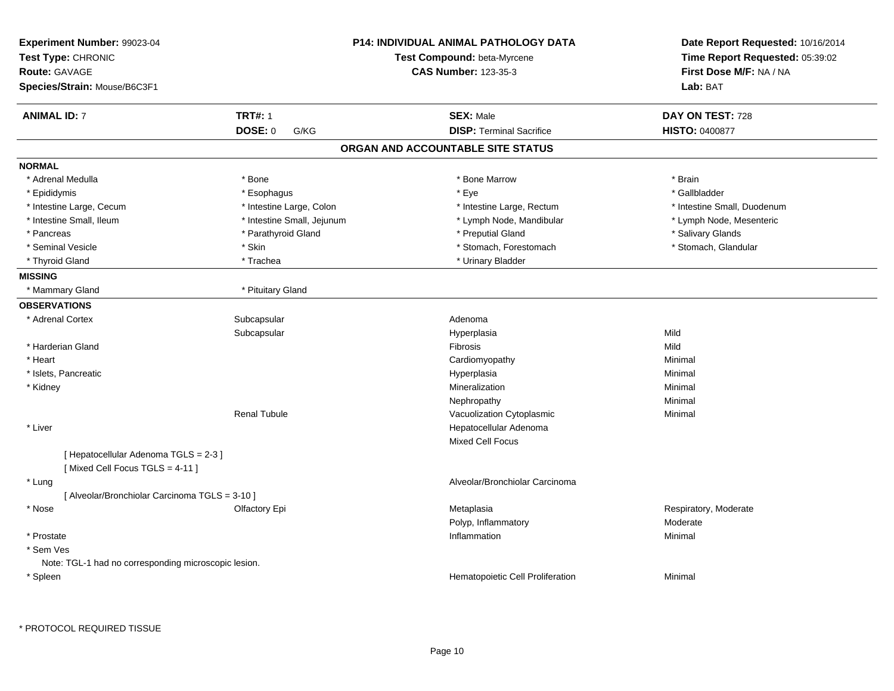| Experiment Number: 99023-04<br>Test Type: CHRONIC<br><b>Route: GAVAGE</b> |                            | <b>P14: INDIVIDUAL ANIMAL PATHOLOGY DATA</b><br>Test Compound: beta-Myrcene<br><b>CAS Number: 123-35-3</b> | Date Report Requested: 10/16/2014<br>Time Report Requested: 05:39:02<br>First Dose M/F: NA / NA |
|---------------------------------------------------------------------------|----------------------------|------------------------------------------------------------------------------------------------------------|-------------------------------------------------------------------------------------------------|
| Species/Strain: Mouse/B6C3F1                                              |                            |                                                                                                            | Lab: BAT                                                                                        |
| <b>ANIMAL ID: 7</b>                                                       | <b>TRT#: 1</b>             | <b>SEX: Male</b>                                                                                           | DAY ON TEST: 728                                                                                |
|                                                                           | DOSE: 0<br>G/KG            | <b>DISP: Terminal Sacrifice</b>                                                                            | <b>HISTO: 0400877</b>                                                                           |
|                                                                           |                            | ORGAN AND ACCOUNTABLE SITE STATUS                                                                          |                                                                                                 |
| <b>NORMAL</b>                                                             |                            |                                                                                                            |                                                                                                 |
| * Adrenal Medulla                                                         | * Bone                     | * Bone Marrow                                                                                              | * Brain                                                                                         |
| * Epididymis                                                              | * Esophagus                | * Eye                                                                                                      | * Gallbladder                                                                                   |
| * Intestine Large, Cecum                                                  | * Intestine Large, Colon   | * Intestine Large, Rectum                                                                                  | * Intestine Small, Duodenum                                                                     |
| * Intestine Small, Ileum                                                  | * Intestine Small, Jejunum | * Lymph Node, Mandibular                                                                                   | * Lymph Node, Mesenteric                                                                        |
| * Pancreas                                                                | * Parathyroid Gland        | * Preputial Gland                                                                                          | * Salivary Glands                                                                               |
| * Seminal Vesicle                                                         | * Skin                     | * Stomach, Forestomach                                                                                     | * Stomach, Glandular                                                                            |
| * Thyroid Gland                                                           | * Trachea                  | * Urinary Bladder                                                                                          |                                                                                                 |
| <b>MISSING</b>                                                            |                            |                                                                                                            |                                                                                                 |
| * Mammary Gland                                                           | * Pituitary Gland          |                                                                                                            |                                                                                                 |
| <b>OBSERVATIONS</b>                                                       |                            |                                                                                                            |                                                                                                 |
| * Adrenal Cortex                                                          | Subcapsular                | Adenoma                                                                                                    |                                                                                                 |
|                                                                           | Subcapsular                | Hyperplasia                                                                                                | Mild                                                                                            |
| * Harderian Gland                                                         |                            | Fibrosis                                                                                                   | Mild                                                                                            |
| * Heart                                                                   |                            | Cardiomyopathy                                                                                             | Minimal                                                                                         |
| * Islets, Pancreatic                                                      |                            | Hyperplasia                                                                                                | Minimal                                                                                         |
| * Kidney                                                                  |                            | Mineralization                                                                                             | Minimal                                                                                         |
|                                                                           |                            | Nephropathy                                                                                                | Minimal                                                                                         |
|                                                                           | <b>Renal Tubule</b>        | Vacuolization Cytoplasmic                                                                                  | Minimal                                                                                         |
| * Liver                                                                   |                            | Hepatocellular Adenoma                                                                                     |                                                                                                 |
|                                                                           |                            | Mixed Cell Focus                                                                                           |                                                                                                 |
| [ Hepatocellular Adenoma TGLS = 2-3 ]<br>[Mixed Cell Focus TGLS = 4-11]   |                            |                                                                                                            |                                                                                                 |
| * Lung                                                                    |                            | Alveolar/Bronchiolar Carcinoma                                                                             |                                                                                                 |
| [ Alveolar/Bronchiolar Carcinoma TGLS = 3-10 ]                            |                            |                                                                                                            |                                                                                                 |
| * Nose                                                                    | Olfactory Epi              | Metaplasia                                                                                                 | Respiratory, Moderate                                                                           |
|                                                                           |                            | Polyp, Inflammatory                                                                                        | Moderate                                                                                        |
| * Prostate                                                                |                            | Inflammation                                                                                               | Minimal                                                                                         |
| * Sem Ves                                                                 |                            |                                                                                                            |                                                                                                 |
| Note: TGL-1 had no corresponding microscopic lesion.                      |                            |                                                                                                            |                                                                                                 |
| * Spleen                                                                  |                            | Hematopoietic Cell Proliferation                                                                           | Minimal                                                                                         |
|                                                                           |                            |                                                                                                            |                                                                                                 |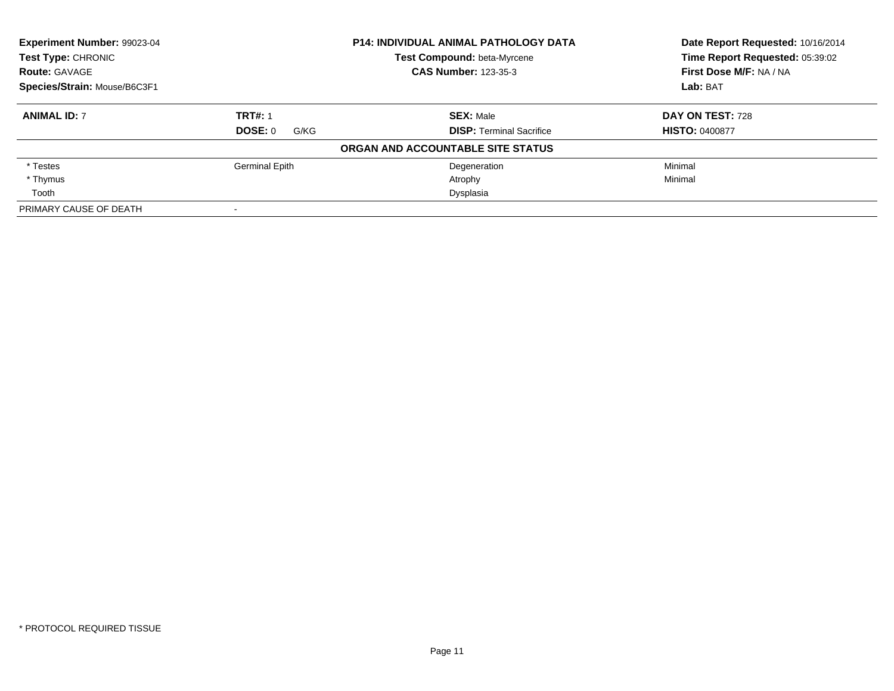| Experiment Number: 99023-04<br><b>P14: INDIVIDUAL ANIMAL PATHOLOGY DATA</b><br><b>Test Type: CHRONIC</b><br><b>Test Compound: beta-Myrcene</b><br><b>CAS Number: 123-35-3</b><br><b>Route: GAVAGE</b> |                 |                                   | Date Report Requested: 10/16/2014 |
|-------------------------------------------------------------------------------------------------------------------------------------------------------------------------------------------------------|-----------------|-----------------------------------|-----------------------------------|
|                                                                                                                                                                                                       |                 |                                   | Time Report Requested: 05:39:02   |
|                                                                                                                                                                                                       |                 |                                   | First Dose M/F: NA / NA           |
| Species/Strain: Mouse/B6C3F1                                                                                                                                                                          |                 |                                   | Lab: BAT                          |
| <b>ANIMAL ID: 7</b>                                                                                                                                                                                   | <b>TRT#: 1</b>  | <b>SEX: Male</b>                  | DAY ON TEST: 728                  |
|                                                                                                                                                                                                       | DOSE: 0<br>G/KG | <b>DISP:</b> Terminal Sacrifice   | <b>HISTO: 0400877</b>             |
|                                                                                                                                                                                                       |                 | ORGAN AND ACCOUNTABLE SITE STATUS |                                   |
| * Testes                                                                                                                                                                                              | Germinal Epith  | Degeneration                      | Minimal                           |
| * Thymus                                                                                                                                                                                              |                 | Atrophy                           | Minimal                           |
| Tooth                                                                                                                                                                                                 |                 | Dysplasia                         |                                   |
| PRIMARY CAUSE OF DEATH                                                                                                                                                                                |                 |                                   |                                   |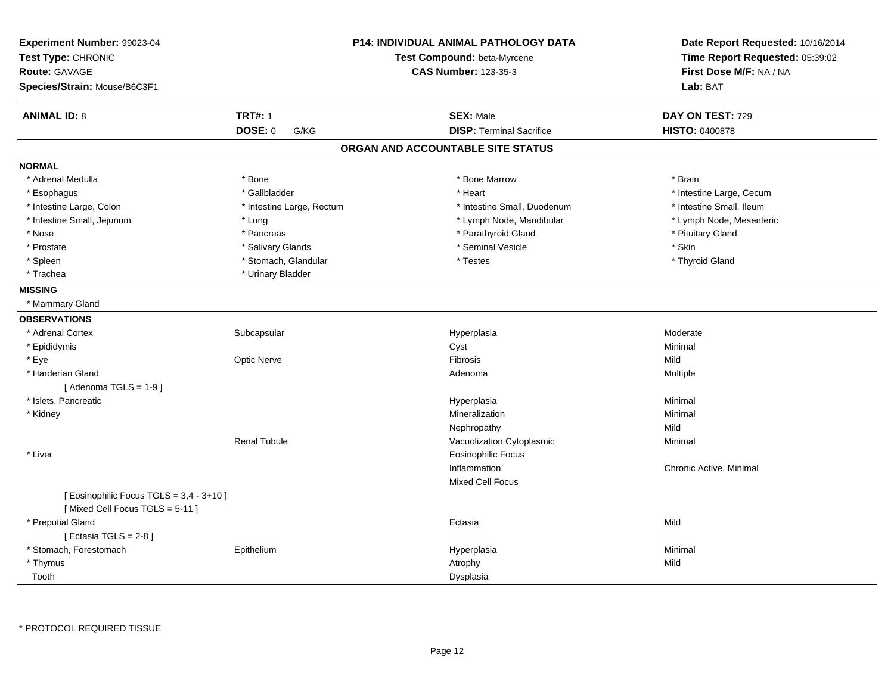| Experiment Number: 99023-04<br>Test Type: CHRONIC<br><b>Route: GAVAGE</b><br>Species/Strain: Mouse/B6C3F1 |                           | <b>P14: INDIVIDUAL ANIMAL PATHOLOGY DATA</b><br>Test Compound: beta-Myrcene<br><b>CAS Number: 123-35-3</b> | Date Report Requested: 10/16/2014<br>Time Report Requested: 05:39:02<br>First Dose M/F: NA / NA<br>Lab: BAT |
|-----------------------------------------------------------------------------------------------------------|---------------------------|------------------------------------------------------------------------------------------------------------|-------------------------------------------------------------------------------------------------------------|
| <b>ANIMAL ID: 8</b>                                                                                       | <b>TRT#: 1</b>            | <b>SEX: Male</b>                                                                                           | DAY ON TEST: 729                                                                                            |
|                                                                                                           | DOSE: 0<br>G/KG           | <b>DISP: Terminal Sacrifice</b>                                                                            | <b>HISTO: 0400878</b>                                                                                       |
|                                                                                                           |                           | ORGAN AND ACCOUNTABLE SITE STATUS                                                                          |                                                                                                             |
| <b>NORMAL</b>                                                                                             |                           |                                                                                                            |                                                                                                             |
| * Adrenal Medulla                                                                                         | * Bone                    | * Bone Marrow                                                                                              | * Brain                                                                                                     |
| * Esophagus                                                                                               | * Gallbladder             | * Heart                                                                                                    | * Intestine Large, Cecum                                                                                    |
| * Intestine Large, Colon                                                                                  | * Intestine Large, Rectum | * Intestine Small, Duodenum                                                                                | * Intestine Small, Ileum                                                                                    |
| * Intestine Small, Jejunum                                                                                | * Lung                    | * Lymph Node, Mandibular                                                                                   | * Lymph Node, Mesenteric                                                                                    |
| * Nose                                                                                                    | * Pancreas                | * Parathyroid Gland                                                                                        | * Pituitary Gland                                                                                           |
| * Prostate                                                                                                | * Salivary Glands         | * Seminal Vesicle                                                                                          | * Skin                                                                                                      |
| * Spleen                                                                                                  | * Stomach, Glandular      | * Testes                                                                                                   | * Thyroid Gland                                                                                             |
| * Trachea                                                                                                 | * Urinary Bladder         |                                                                                                            |                                                                                                             |
| <b>MISSING</b>                                                                                            |                           |                                                                                                            |                                                                                                             |
| * Mammary Gland                                                                                           |                           |                                                                                                            |                                                                                                             |
| <b>OBSERVATIONS</b>                                                                                       |                           |                                                                                                            |                                                                                                             |
| * Adrenal Cortex                                                                                          | Subcapsular               | Hyperplasia                                                                                                | Moderate                                                                                                    |
| * Epididymis                                                                                              |                           | Cyst                                                                                                       | Minimal                                                                                                     |
| * Eye                                                                                                     | Optic Nerve               | <b>Fibrosis</b>                                                                                            | Mild                                                                                                        |
| * Harderian Gland                                                                                         |                           | Adenoma                                                                                                    | Multiple                                                                                                    |
| [Adenoma TGLS = $1-9$ ]                                                                                   |                           |                                                                                                            |                                                                                                             |
| * Islets, Pancreatic                                                                                      |                           | Hyperplasia                                                                                                | Minimal                                                                                                     |
| * Kidney                                                                                                  |                           | Mineralization                                                                                             | Minimal                                                                                                     |
|                                                                                                           |                           | Nephropathy                                                                                                | Mild                                                                                                        |
|                                                                                                           | <b>Renal Tubule</b>       | Vacuolization Cytoplasmic                                                                                  | Minimal                                                                                                     |
| * Liver                                                                                                   |                           | <b>Eosinophilic Focus</b>                                                                                  |                                                                                                             |
|                                                                                                           |                           | Inflammation                                                                                               | Chronic Active, Minimal                                                                                     |
|                                                                                                           |                           | <b>Mixed Cell Focus</b>                                                                                    |                                                                                                             |
| [ Eosinophilic Focus TGLS = 3,4 - 3+10 ]                                                                  |                           |                                                                                                            |                                                                                                             |
| [Mixed Cell Focus TGLS = 5-11]                                                                            |                           |                                                                                                            |                                                                                                             |
| * Preputial Gland                                                                                         |                           | Ectasia                                                                                                    | Mild                                                                                                        |
| [ Ectasia TGLS = $2-8$ ]                                                                                  |                           |                                                                                                            |                                                                                                             |
| * Stomach, Forestomach                                                                                    | Epithelium                | Hyperplasia                                                                                                | Minimal                                                                                                     |
| * Thymus                                                                                                  |                           | Atrophy                                                                                                    | Mild                                                                                                        |
| Tooth                                                                                                     |                           | Dysplasia                                                                                                  |                                                                                                             |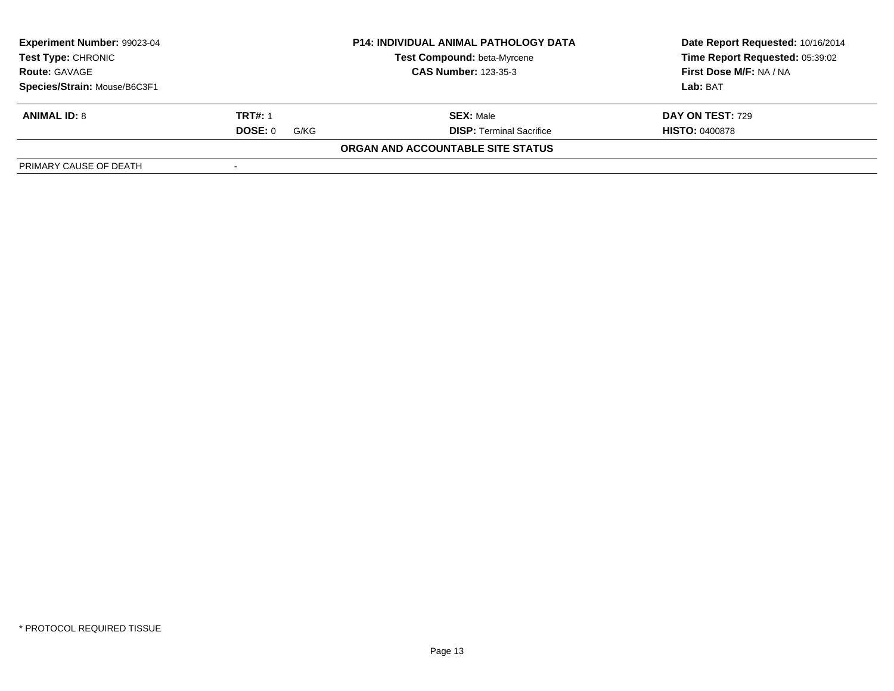| Experiment Number: 99023-04<br><b>P14: INDIVIDUAL ANIMAL PATHOLOGY DATA</b><br><b>Test Compound: beta-Myrcene</b><br><b>Test Type: CHRONIC</b><br><b>Route: GAVAGE</b><br><b>CAS Number: 123-35-3</b> |      |                                   | Date Report Requested: 10/16/2014 |
|-------------------------------------------------------------------------------------------------------------------------------------------------------------------------------------------------------|------|-----------------------------------|-----------------------------------|
|                                                                                                                                                                                                       |      |                                   | Time Report Requested: 05:39:02   |
|                                                                                                                                                                                                       |      |                                   | First Dose M/F: NA / NA           |
| Species/Strain: Mouse/B6C3F1                                                                                                                                                                          |      |                                   | Lab: BAT                          |
| <b>TRT#: 1</b><br><b>ANIMAL ID: 8</b>                                                                                                                                                                 |      | <b>SEX: Male</b>                  | <b>DAY ON TEST: 729</b>           |
| DOSE: 0                                                                                                                                                                                               | G/KG | <b>DISP: Terminal Sacrifice</b>   | <b>HISTO: 0400878</b>             |
|                                                                                                                                                                                                       |      | ORGAN AND ACCOUNTABLE SITE STATUS |                                   |
| PRIMARY CAUSE OF DEATH                                                                                                                                                                                |      |                                   |                                   |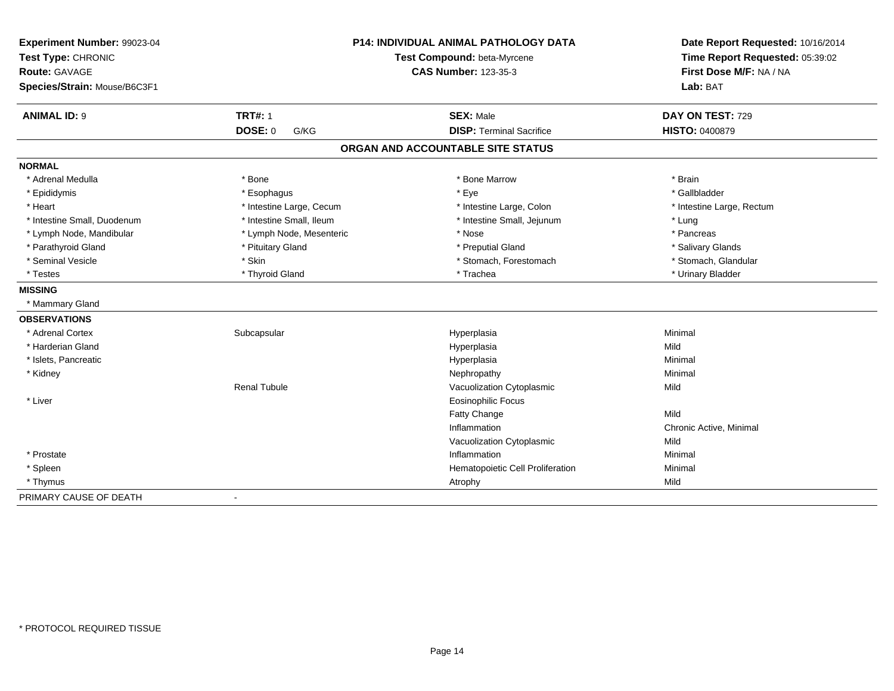| Experiment Number: 99023-04<br>Test Type: CHRONIC<br>Route: GAVAGE<br>Species/Strain: Mouse/B6C3F1 |                          | <b>P14: INDIVIDUAL ANIMAL PATHOLOGY DATA</b><br>Test Compound: beta-Myrcene<br><b>CAS Number: 123-35-3</b> | Date Report Requested: 10/16/2014<br>Time Report Requested: 05:39:02<br>First Dose M/F: NA / NA<br>Lab: BAT |
|----------------------------------------------------------------------------------------------------|--------------------------|------------------------------------------------------------------------------------------------------------|-------------------------------------------------------------------------------------------------------------|
| <b>ANIMAL ID: 9</b>                                                                                | <b>TRT#: 1</b>           | <b>SEX: Male</b>                                                                                           | DAY ON TEST: 729                                                                                            |
|                                                                                                    | <b>DOSE: 0</b><br>G/KG   | <b>DISP: Terminal Sacrifice</b>                                                                            | <b>HISTO: 0400879</b>                                                                                       |
|                                                                                                    |                          | ORGAN AND ACCOUNTABLE SITE STATUS                                                                          |                                                                                                             |
| <b>NORMAL</b>                                                                                      |                          |                                                                                                            |                                                                                                             |
| * Adrenal Medulla                                                                                  | * Bone                   | * Bone Marrow                                                                                              | * Brain                                                                                                     |
| * Epididymis                                                                                       | * Esophagus              | * Eye                                                                                                      | * Gallbladder                                                                                               |
| * Heart                                                                                            | * Intestine Large, Cecum | * Intestine Large, Colon                                                                                   | * Intestine Large, Rectum                                                                                   |
| * Intestine Small, Duodenum                                                                        | * Intestine Small, Ileum | * Intestine Small, Jejunum                                                                                 | * Lung                                                                                                      |
| * Lymph Node, Mandibular                                                                           | * Lymph Node, Mesenteric | * Nose                                                                                                     | * Pancreas                                                                                                  |
| * Parathyroid Gland                                                                                | * Pituitary Gland        | * Preputial Gland                                                                                          | * Salivary Glands                                                                                           |
| * Seminal Vesicle                                                                                  | * Skin                   | * Stomach, Forestomach                                                                                     | * Stomach, Glandular                                                                                        |
| * Testes                                                                                           | * Thyroid Gland          | * Trachea                                                                                                  | * Urinary Bladder                                                                                           |
| <b>MISSING</b>                                                                                     |                          |                                                                                                            |                                                                                                             |
| * Mammary Gland                                                                                    |                          |                                                                                                            |                                                                                                             |
| <b>OBSERVATIONS</b>                                                                                |                          |                                                                                                            |                                                                                                             |
| * Adrenal Cortex                                                                                   | Subcapsular              | Hyperplasia                                                                                                | Minimal                                                                                                     |
| * Harderian Gland                                                                                  |                          | Hyperplasia                                                                                                | Mild                                                                                                        |
| * Islets, Pancreatic                                                                               |                          | Hyperplasia                                                                                                | Minimal                                                                                                     |
| * Kidney                                                                                           |                          | Nephropathy                                                                                                | Minimal                                                                                                     |
|                                                                                                    | <b>Renal Tubule</b>      | Vacuolization Cytoplasmic                                                                                  | Mild                                                                                                        |
| * Liver                                                                                            |                          | <b>Eosinophilic Focus</b>                                                                                  |                                                                                                             |
|                                                                                                    |                          | <b>Fatty Change</b>                                                                                        | Mild                                                                                                        |
|                                                                                                    |                          | Inflammation                                                                                               | Chronic Active, Minimal                                                                                     |
|                                                                                                    |                          | Vacuolization Cytoplasmic                                                                                  | Mild                                                                                                        |
| * Prostate                                                                                         |                          | Inflammation                                                                                               | Minimal                                                                                                     |
| * Spleen                                                                                           |                          | Hematopoietic Cell Proliferation                                                                           | Minimal                                                                                                     |
| * Thymus                                                                                           |                          | Atrophy                                                                                                    | Mild                                                                                                        |
| PRIMARY CAUSE OF DEATH                                                                             | $\blacksquare$           |                                                                                                            |                                                                                                             |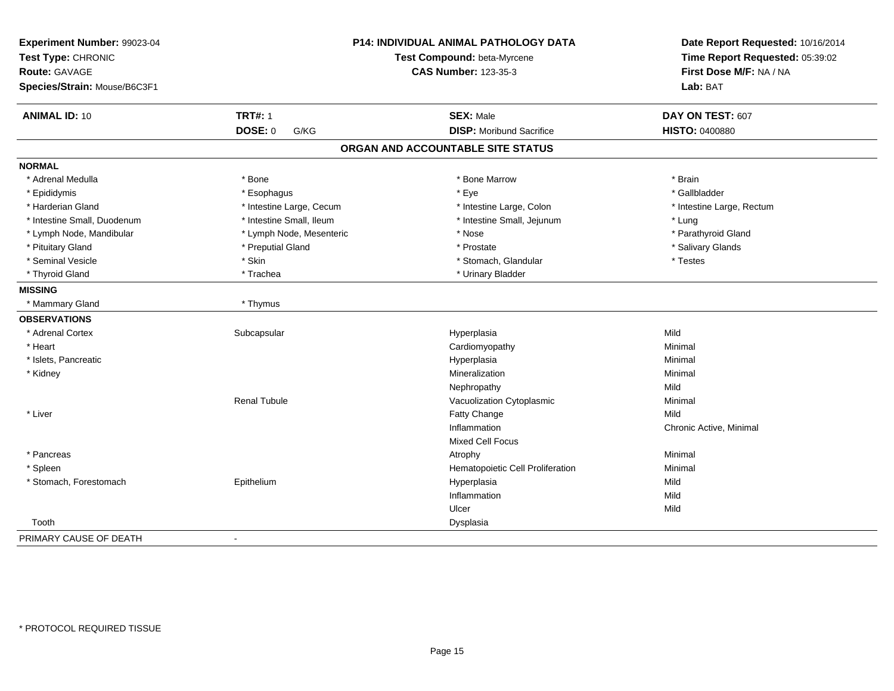| Experiment Number: 99023-04<br>Test Type: CHRONIC<br><b>Route: GAVAGE</b><br>Species/Strain: Mouse/B6C3F1 |                          | P14: INDIVIDUAL ANIMAL PATHOLOGY DATA<br>Test Compound: beta-Myrcene<br><b>CAS Number: 123-35-3</b> | Date Report Requested: 10/16/2014<br>Time Report Requested: 05:39:02<br>First Dose M/F: NA / NA<br>Lab: BAT |
|-----------------------------------------------------------------------------------------------------------|--------------------------|-----------------------------------------------------------------------------------------------------|-------------------------------------------------------------------------------------------------------------|
| <b>ANIMAL ID: 10</b>                                                                                      | <b>TRT#: 1</b>           | <b>SEX: Male</b>                                                                                    | DAY ON TEST: 607                                                                                            |
|                                                                                                           | <b>DOSE: 0</b><br>G/KG   | <b>DISP:</b> Moribund Sacrifice                                                                     | <b>HISTO: 0400880</b>                                                                                       |
|                                                                                                           |                          | ORGAN AND ACCOUNTABLE SITE STATUS                                                                   |                                                                                                             |
| <b>NORMAL</b>                                                                                             |                          |                                                                                                     |                                                                                                             |
| * Adrenal Medulla                                                                                         | * Bone                   | * Bone Marrow                                                                                       | * Brain                                                                                                     |
| * Epididymis                                                                                              | * Esophagus              | * Eye                                                                                               | * Gallbladder                                                                                               |
| * Harderian Gland                                                                                         | * Intestine Large, Cecum | * Intestine Large, Colon                                                                            | * Intestine Large, Rectum                                                                                   |
| * Intestine Small, Duodenum                                                                               | * Intestine Small, Ileum | * Intestine Small, Jejunum                                                                          | * Lung                                                                                                      |
| * Lymph Node, Mandibular                                                                                  | * Lymph Node, Mesenteric | * Nose                                                                                              | * Parathyroid Gland                                                                                         |
| * Pituitary Gland                                                                                         | * Preputial Gland        | * Prostate                                                                                          | * Salivary Glands                                                                                           |
| * Seminal Vesicle                                                                                         | * Skin                   | * Stomach, Glandular                                                                                | * Testes                                                                                                    |
| * Thyroid Gland                                                                                           | * Trachea                | * Urinary Bladder                                                                                   |                                                                                                             |
| <b>MISSING</b>                                                                                            |                          |                                                                                                     |                                                                                                             |
| * Mammary Gland                                                                                           | * Thymus                 |                                                                                                     |                                                                                                             |
| <b>OBSERVATIONS</b>                                                                                       |                          |                                                                                                     |                                                                                                             |
| * Adrenal Cortex                                                                                          | Subcapsular              | Hyperplasia                                                                                         | Mild                                                                                                        |
| * Heart                                                                                                   |                          | Cardiomyopathy                                                                                      | Minimal                                                                                                     |
| * Islets, Pancreatic                                                                                      |                          | Hyperplasia                                                                                         | Minimal                                                                                                     |
| * Kidney                                                                                                  |                          | Mineralization                                                                                      | Minimal                                                                                                     |
|                                                                                                           |                          | Nephropathy                                                                                         | Mild                                                                                                        |
|                                                                                                           | <b>Renal Tubule</b>      | Vacuolization Cytoplasmic                                                                           | Minimal                                                                                                     |
| * Liver                                                                                                   |                          | Fatty Change                                                                                        | Mild                                                                                                        |
|                                                                                                           |                          | Inflammation                                                                                        | Chronic Active, Minimal                                                                                     |
|                                                                                                           |                          | <b>Mixed Cell Focus</b>                                                                             |                                                                                                             |
| * Pancreas                                                                                                |                          | Atrophy                                                                                             | Minimal                                                                                                     |
| * Spleen                                                                                                  |                          | Hematopoietic Cell Proliferation                                                                    | Minimal                                                                                                     |
| * Stomach, Forestomach                                                                                    | Epithelium               | Hyperplasia                                                                                         | Mild                                                                                                        |
|                                                                                                           |                          | Inflammation                                                                                        | Mild                                                                                                        |
|                                                                                                           |                          | Ulcer                                                                                               | Mild                                                                                                        |
| Tooth                                                                                                     |                          | Dysplasia                                                                                           |                                                                                                             |
| PRIMARY CAUSE OF DEATH                                                                                    | $\blacksquare$           |                                                                                                     |                                                                                                             |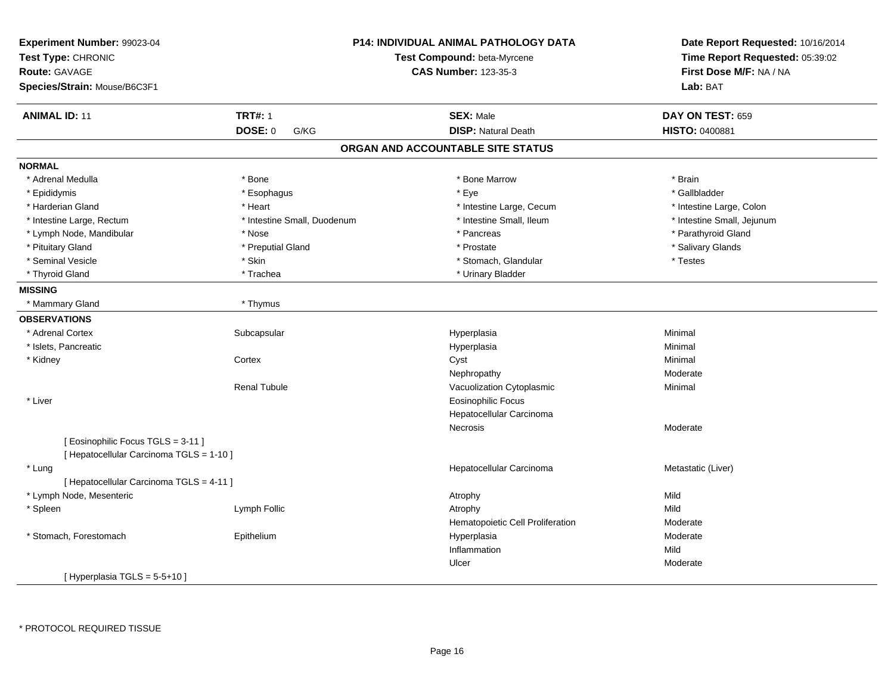| Experiment Number: 99023-04<br>Test Type: CHRONIC<br><b>Route: GAVAGE</b><br>Species/Strain: Mouse/B6C3F1 |                             | P14: INDIVIDUAL ANIMAL PATHOLOGY DATA<br>Test Compound: beta-Myrcene<br><b>CAS Number: 123-35-3</b> | Date Report Requested: 10/16/2014<br>Time Report Requested: 05:39:02<br>First Dose M/F: NA / NA<br>Lab: BAT |
|-----------------------------------------------------------------------------------------------------------|-----------------------------|-----------------------------------------------------------------------------------------------------|-------------------------------------------------------------------------------------------------------------|
| <b>ANIMAL ID: 11</b>                                                                                      | <b>TRT#: 1</b>              | <b>SEX: Male</b>                                                                                    | DAY ON TEST: 659                                                                                            |
|                                                                                                           | DOSE: 0<br>G/KG             | <b>DISP: Natural Death</b>                                                                          | HISTO: 0400881                                                                                              |
|                                                                                                           |                             | ORGAN AND ACCOUNTABLE SITE STATUS                                                                   |                                                                                                             |
| <b>NORMAL</b>                                                                                             |                             |                                                                                                     |                                                                                                             |
| * Adrenal Medulla                                                                                         | * Bone                      | * Bone Marrow                                                                                       | * Brain                                                                                                     |
| * Epididymis                                                                                              | * Esophagus                 | * Eye                                                                                               | * Gallbladder                                                                                               |
| * Harderian Gland                                                                                         | * Heart                     | * Intestine Large, Cecum                                                                            | * Intestine Large, Colon                                                                                    |
| * Intestine Large, Rectum                                                                                 | * Intestine Small, Duodenum | * Intestine Small, Ileum                                                                            | * Intestine Small, Jejunum                                                                                  |
| * Lymph Node, Mandibular                                                                                  | * Nose                      | * Pancreas                                                                                          | * Parathyroid Gland                                                                                         |
| * Pituitary Gland                                                                                         | * Preputial Gland           | * Prostate                                                                                          | * Salivary Glands                                                                                           |
| * Seminal Vesicle                                                                                         | * Skin                      | * Stomach, Glandular                                                                                | * Testes                                                                                                    |
| * Thyroid Gland                                                                                           | * Trachea                   | * Urinary Bladder                                                                                   |                                                                                                             |
| <b>MISSING</b>                                                                                            |                             |                                                                                                     |                                                                                                             |
| * Mammary Gland                                                                                           | * Thymus                    |                                                                                                     |                                                                                                             |
| <b>OBSERVATIONS</b>                                                                                       |                             |                                                                                                     |                                                                                                             |
| * Adrenal Cortex                                                                                          | Subcapsular                 | Hyperplasia                                                                                         | Minimal                                                                                                     |
| * Islets, Pancreatic                                                                                      |                             | Hyperplasia                                                                                         | Minimal                                                                                                     |
| * Kidney                                                                                                  | Cortex                      | Cyst                                                                                                | Minimal                                                                                                     |
|                                                                                                           |                             | Nephropathy                                                                                         | Moderate                                                                                                    |
|                                                                                                           | <b>Renal Tubule</b>         | Vacuolization Cytoplasmic                                                                           | Minimal                                                                                                     |
| * Liver                                                                                                   |                             | <b>Eosinophilic Focus</b>                                                                           |                                                                                                             |
|                                                                                                           |                             | Hepatocellular Carcinoma                                                                            |                                                                                                             |
|                                                                                                           |                             | Necrosis                                                                                            | Moderate                                                                                                    |
| [Eosinophilic Focus TGLS = 3-11]                                                                          |                             |                                                                                                     |                                                                                                             |
| [ Hepatocellular Carcinoma TGLS = 1-10 ]                                                                  |                             |                                                                                                     |                                                                                                             |
| * Lung                                                                                                    |                             | Hepatocellular Carcinoma                                                                            | Metastatic (Liver)                                                                                          |
| [ Hepatocellular Carcinoma TGLS = 4-11 ]                                                                  |                             |                                                                                                     |                                                                                                             |
| * Lymph Node, Mesenteric                                                                                  |                             | Atrophy                                                                                             | Mild                                                                                                        |
| * Spleen                                                                                                  | Lymph Follic                | Atrophy                                                                                             | Mild                                                                                                        |
|                                                                                                           |                             | Hematopoietic Cell Proliferation                                                                    | Moderate                                                                                                    |
| * Stomach, Forestomach                                                                                    | Epithelium                  | Hyperplasia                                                                                         | Moderate                                                                                                    |
|                                                                                                           |                             | Inflammation                                                                                        | Mild                                                                                                        |
|                                                                                                           |                             | Ulcer                                                                                               | Moderate                                                                                                    |
| [Hyperplasia TGLS = $5-5+10$ ]                                                                            |                             |                                                                                                     |                                                                                                             |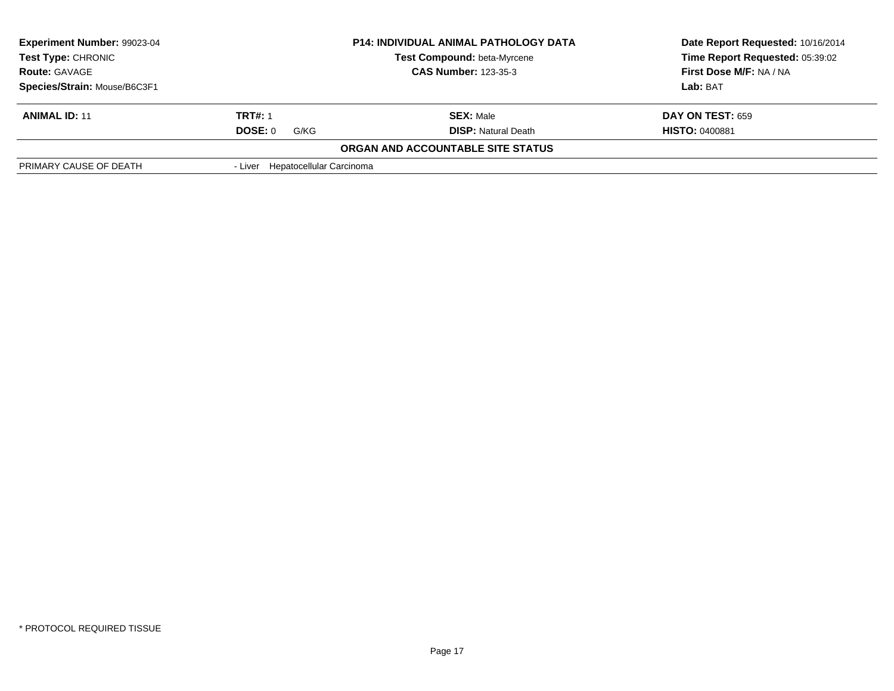| <b>Experiment Number: 99023-04</b><br><b>P14: INDIVIDUAL ANIMAL PATHOLOGY DATA</b><br><b>Test Type: CHRONIC</b><br>Test Compound: beta-Myrcene<br><b>CAS Number: 123-35-3</b><br><b>Route: GAVAGE</b> |                                  | Date Report Requested: 10/16/2014<br>Time Report Requested: 05:39:02 |                         |
|-------------------------------------------------------------------------------------------------------------------------------------------------------------------------------------------------------|----------------------------------|----------------------------------------------------------------------|-------------------------|
|                                                                                                                                                                                                       |                                  | First Dose M/F: NA / NA                                              |                         |
| Species/Strain: Mouse/B6C3F1                                                                                                                                                                          |                                  |                                                                      | <b>Lab:</b> BAT         |
| <b>ANIMAL ID: 11</b>                                                                                                                                                                                  | <b>TRT#: 1</b>                   | <b>SEX: Male</b>                                                     | <b>DAY ON TEST: 659</b> |
|                                                                                                                                                                                                       | DOSE: 0<br>G/KG                  | <b>DISP:</b> Natural Death                                           | <b>HISTO: 0400881</b>   |
|                                                                                                                                                                                                       |                                  | <b>ORGAN AND ACCOUNTABLE SITE STATUS</b>                             |                         |
| PRIMARY CAUSE OF DEATH                                                                                                                                                                                | - Liver Hepatocellular Carcinoma |                                                                      |                         |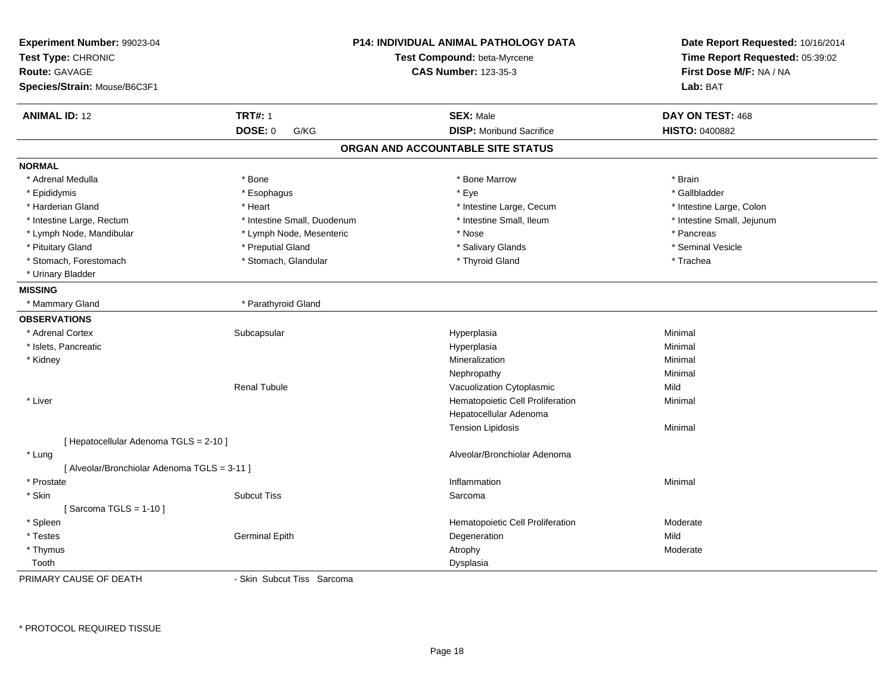| Experiment Number: 99023-04<br>Test Type: CHRONIC<br><b>Route: GAVAGE</b><br>Species/Strain: Mouse/B6C3F1 |                             | <b>P14: INDIVIDUAL ANIMAL PATHOLOGY DATA</b><br>Test Compound: beta-Myrcene<br><b>CAS Number: 123-35-3</b> | Date Report Requested: 10/16/2014<br>Time Report Requested: 05:39:02<br>First Dose M/F: NA / NA<br>Lab: BAT |
|-----------------------------------------------------------------------------------------------------------|-----------------------------|------------------------------------------------------------------------------------------------------------|-------------------------------------------------------------------------------------------------------------|
| <b>ANIMAL ID: 12</b>                                                                                      | <b>TRT#: 1</b>              | <b>SEX: Male</b>                                                                                           | DAY ON TEST: 468                                                                                            |
|                                                                                                           | <b>DOSE: 0</b><br>G/KG      | <b>DISP:</b> Moribund Sacrifice                                                                            | <b>HISTO: 0400882</b>                                                                                       |
|                                                                                                           |                             | ORGAN AND ACCOUNTABLE SITE STATUS                                                                          |                                                                                                             |
| <b>NORMAL</b>                                                                                             |                             |                                                                                                            |                                                                                                             |
| * Adrenal Medulla                                                                                         | * Bone                      | * Bone Marrow                                                                                              | * Brain                                                                                                     |
| * Epididymis                                                                                              | * Esophagus                 | * Eye                                                                                                      | * Gallbladder                                                                                               |
| * Harderian Gland                                                                                         | * Heart                     | * Intestine Large, Cecum                                                                                   | * Intestine Large, Colon                                                                                    |
| * Intestine Large, Rectum                                                                                 | * Intestine Small, Duodenum | * Intestine Small, Ileum                                                                                   | * Intestine Small, Jejunum                                                                                  |
| * Lymph Node, Mandibular                                                                                  | * Lymph Node, Mesenteric    | * Nose                                                                                                     | * Pancreas                                                                                                  |
| * Pituitary Gland                                                                                         | * Preputial Gland           | * Salivary Glands                                                                                          | * Seminal Vesicle                                                                                           |
| * Stomach, Forestomach                                                                                    | * Stomach, Glandular        | * Thyroid Gland                                                                                            | * Trachea                                                                                                   |
| * Urinary Bladder                                                                                         |                             |                                                                                                            |                                                                                                             |
| <b>MISSING</b>                                                                                            |                             |                                                                                                            |                                                                                                             |
| * Mammary Gland                                                                                           | * Parathyroid Gland         |                                                                                                            |                                                                                                             |
| <b>OBSERVATIONS</b>                                                                                       |                             |                                                                                                            |                                                                                                             |
| * Adrenal Cortex                                                                                          | Subcapsular                 | Hyperplasia                                                                                                | Minimal                                                                                                     |
| * Islets, Pancreatic                                                                                      |                             | Hyperplasia                                                                                                | Minimal                                                                                                     |
| * Kidney                                                                                                  |                             | Mineralization                                                                                             | Minimal                                                                                                     |
|                                                                                                           |                             | Nephropathy                                                                                                | Minimal                                                                                                     |
|                                                                                                           | <b>Renal Tubule</b>         | Vacuolization Cytoplasmic                                                                                  | Mild                                                                                                        |
| * Liver                                                                                                   |                             | Hematopoietic Cell Proliferation                                                                           | Minimal                                                                                                     |
|                                                                                                           |                             | Hepatocellular Adenoma                                                                                     |                                                                                                             |
|                                                                                                           |                             | <b>Tension Lipidosis</b>                                                                                   | Minimal                                                                                                     |
| [ Hepatocellular Adenoma TGLS = 2-10 ]                                                                    |                             |                                                                                                            |                                                                                                             |
| * Lung                                                                                                    |                             | Alveolar/Bronchiolar Adenoma                                                                               |                                                                                                             |
| [ Alveolar/Bronchiolar Adenoma TGLS = 3-11 ]                                                              |                             |                                                                                                            |                                                                                                             |
| * Prostate                                                                                                |                             | Inflammation                                                                                               | Minimal                                                                                                     |
| * Skin                                                                                                    | <b>Subcut Tiss</b>          | Sarcoma                                                                                                    |                                                                                                             |
| [Sarcoma TGLS = $1-10$ ]                                                                                  |                             |                                                                                                            |                                                                                                             |
| * Spleen                                                                                                  |                             | Hematopoietic Cell Proliferation                                                                           | Moderate                                                                                                    |
| * Testes                                                                                                  | <b>Germinal Epith</b>       | Degeneration                                                                                               | Mild                                                                                                        |
| * Thymus                                                                                                  |                             | Atrophy                                                                                                    | Moderate                                                                                                    |
| Tooth                                                                                                     |                             | Dysplasia                                                                                                  |                                                                                                             |
| PRIMARY CAUSE OF DEATH                                                                                    | - Skin Subcut Tiss Sarcoma  |                                                                                                            |                                                                                                             |

\* PROTOCOL REQUIRED TISSUE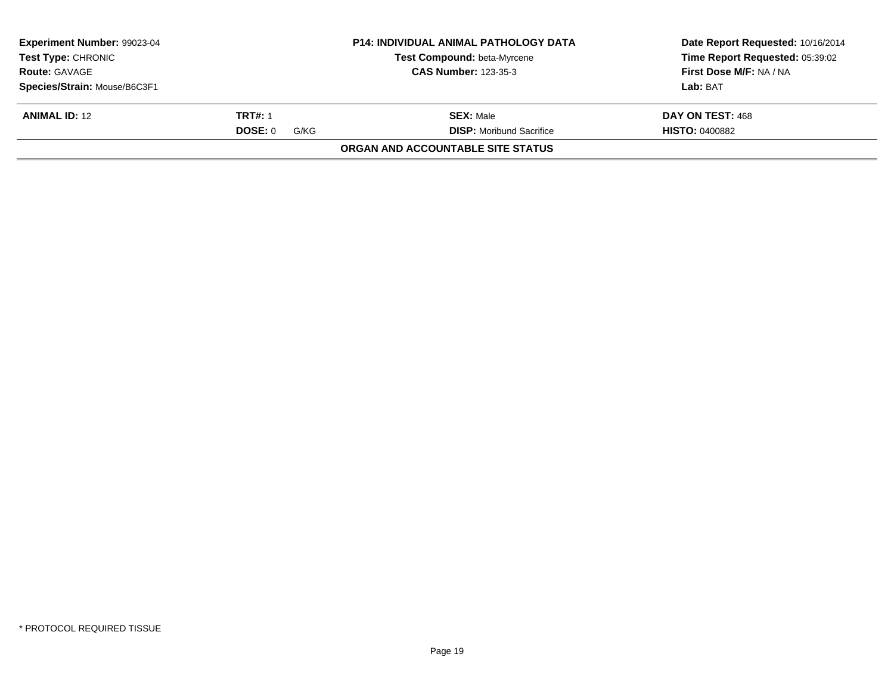| Experiment Number: 99023-04<br><b>Test Type: CHRONIC</b> |                 | <b>P14: INDIVIDUAL ANIMAL PATHOLOGY DATA</b><br>Test Compound: beta-Myrcene | Date Report Requested: 10/16/2014<br>Time Report Requested: 05:39:02 |
|----------------------------------------------------------|-----------------|-----------------------------------------------------------------------------|----------------------------------------------------------------------|
| <b>Route: GAVAGE</b>                                     |                 | <b>CAS Number: 123-35-3</b>                                                 | First Dose M/F: NA / NA                                              |
| Species/Strain: Mouse/B6C3F1                             |                 |                                                                             | Lab: BAT                                                             |
| <b>ANIMAL ID: 12</b>                                     | <b>TRT#: 1</b>  | <b>SEX: Male</b>                                                            | DAY ON TEST: 468                                                     |
|                                                          | DOSE: 0<br>G/KG | <b>DISP:</b> Moribund Sacrifice                                             | <b>HISTO: 0400882</b>                                                |
|                                                          |                 | <b>ORGAN AND ACCOUNTABLE SITE STATUS</b>                                    |                                                                      |
|                                                          |                 |                                                                             |                                                                      |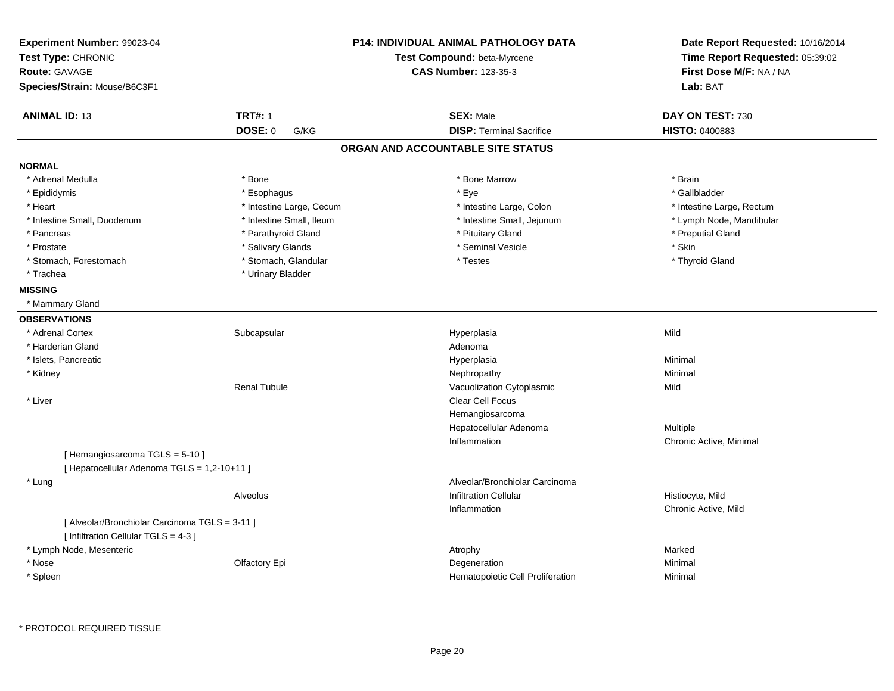| Experiment Number: 99023-04<br>Test Type: CHRONIC<br><b>Route: GAVAGE</b><br>Species/Strain: Mouse/B6C3F1 |                          | <b>P14: INDIVIDUAL ANIMAL PATHOLOGY DATA</b><br>Test Compound: beta-Myrcene<br><b>CAS Number: 123-35-3</b> | Date Report Requested: 10/16/2014<br>Time Report Requested: 05:39:02<br>First Dose M/F: NA / NA<br>Lab: BAT |
|-----------------------------------------------------------------------------------------------------------|--------------------------|------------------------------------------------------------------------------------------------------------|-------------------------------------------------------------------------------------------------------------|
| <b>ANIMAL ID: 13</b>                                                                                      | <b>TRT#: 1</b>           | <b>SEX: Male</b>                                                                                           | DAY ON TEST: 730                                                                                            |
|                                                                                                           | <b>DOSE: 0</b><br>G/KG   | <b>DISP: Terminal Sacrifice</b>                                                                            | HISTO: 0400883                                                                                              |
|                                                                                                           |                          | ORGAN AND ACCOUNTABLE SITE STATUS                                                                          |                                                                                                             |
| <b>NORMAL</b>                                                                                             |                          |                                                                                                            |                                                                                                             |
| * Adrenal Medulla                                                                                         | * Bone                   | * Bone Marrow                                                                                              | * Brain                                                                                                     |
| * Epididymis                                                                                              | * Esophagus              | * Eye                                                                                                      | * Gallbladder                                                                                               |
| * Heart                                                                                                   | * Intestine Large, Cecum | * Intestine Large, Colon                                                                                   | * Intestine Large, Rectum                                                                                   |
| * Intestine Small, Duodenum                                                                               | * Intestine Small, Ileum | * Intestine Small, Jejunum                                                                                 | * Lymph Node, Mandibular                                                                                    |
| * Pancreas                                                                                                | * Parathyroid Gland      | * Pituitary Gland                                                                                          | * Preputial Gland                                                                                           |
| * Prostate                                                                                                | * Salivary Glands        | * Seminal Vesicle                                                                                          | * Skin                                                                                                      |
| * Stomach, Forestomach                                                                                    | * Stomach, Glandular     | * Testes                                                                                                   | * Thyroid Gland                                                                                             |
| * Trachea                                                                                                 | * Urinary Bladder        |                                                                                                            |                                                                                                             |
| <b>MISSING</b>                                                                                            |                          |                                                                                                            |                                                                                                             |
| * Mammary Gland                                                                                           |                          |                                                                                                            |                                                                                                             |
| <b>OBSERVATIONS</b>                                                                                       |                          |                                                                                                            |                                                                                                             |
| * Adrenal Cortex                                                                                          | Subcapsular              | Hyperplasia                                                                                                | Mild                                                                                                        |
| * Harderian Gland                                                                                         |                          | Adenoma                                                                                                    |                                                                                                             |
| * Islets, Pancreatic                                                                                      |                          | Hyperplasia                                                                                                | Minimal                                                                                                     |
| * Kidney                                                                                                  |                          | Nephropathy                                                                                                | Minimal                                                                                                     |
|                                                                                                           | <b>Renal Tubule</b>      | Vacuolization Cytoplasmic                                                                                  | Mild                                                                                                        |
| * Liver                                                                                                   |                          | Clear Cell Focus                                                                                           |                                                                                                             |
|                                                                                                           |                          | Hemangiosarcoma                                                                                            |                                                                                                             |
|                                                                                                           |                          | Hepatocellular Adenoma                                                                                     | Multiple                                                                                                    |
|                                                                                                           |                          | Inflammation                                                                                               | Chronic Active, Minimal                                                                                     |
| [Hemangiosarcoma TGLS = 5-10]                                                                             |                          |                                                                                                            |                                                                                                             |
| [ Hepatocellular Adenoma TGLS = 1,2-10+11 ]                                                               |                          |                                                                                                            |                                                                                                             |
| * Lung                                                                                                    |                          | Alveolar/Bronchiolar Carcinoma                                                                             |                                                                                                             |
|                                                                                                           | Alveolus                 | <b>Infiltration Cellular</b>                                                                               | Histiocyte, Mild                                                                                            |
|                                                                                                           |                          | Inflammation                                                                                               | Chronic Active, Mild                                                                                        |
| [ Alveolar/Bronchiolar Carcinoma TGLS = 3-11 ]                                                            |                          |                                                                                                            |                                                                                                             |
| [ Infiltration Cellular TGLS = 4-3 ]                                                                      |                          |                                                                                                            |                                                                                                             |
| * Lymph Node, Mesenteric                                                                                  |                          | Atrophy                                                                                                    | Marked                                                                                                      |
| * Nose                                                                                                    | Olfactory Epi            | Degeneration                                                                                               | Minimal                                                                                                     |
| * Spleen                                                                                                  |                          | Hematopoietic Cell Proliferation                                                                           | Minimal                                                                                                     |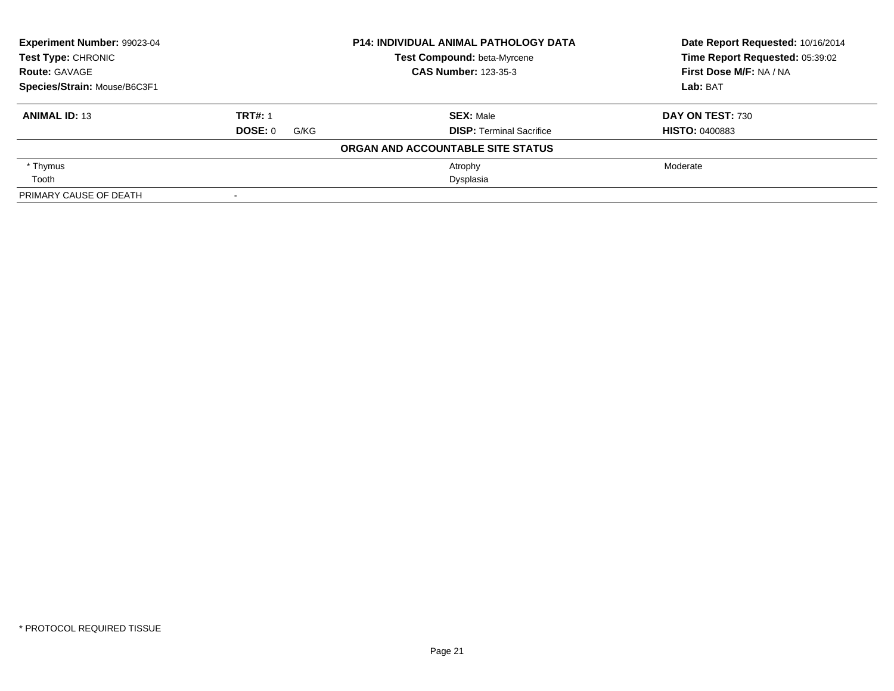| Experiment Number: 99023-04<br><b>P14: INDIVIDUAL ANIMAL PATHOLOGY DATA</b><br>Test Type: CHRONIC<br>Test Compound: beta-Myrcene<br><b>CAS Number: 123-35-3</b><br><b>Route: GAVAGE</b> |                 |                                   | Date Report Requested: 10/16/2014<br>Time Report Requested: 05:39:02 |
|-----------------------------------------------------------------------------------------------------------------------------------------------------------------------------------------|-----------------|-----------------------------------|----------------------------------------------------------------------|
|                                                                                                                                                                                         |                 |                                   |                                                                      |
|                                                                                                                                                                                         |                 |                                   | First Dose M/F: NA / NA                                              |
| Species/Strain: Mouse/B6C3F1                                                                                                                                                            |                 |                                   | Lab: BAT                                                             |
| <b>ANIMAL ID: 13</b>                                                                                                                                                                    | <b>TRT#: 1</b>  | <b>SEX: Male</b>                  | <b>DAY ON TEST: 730</b>                                              |
|                                                                                                                                                                                         | DOSE: 0<br>G/KG | <b>DISP: Terminal Sacrifice</b>   | <b>HISTO: 0400883</b>                                                |
|                                                                                                                                                                                         |                 | ORGAN AND ACCOUNTABLE SITE STATUS |                                                                      |
| * Thymus                                                                                                                                                                                |                 | Atrophy                           | Moderate                                                             |
| Tooth                                                                                                                                                                                   |                 | Dysplasia                         |                                                                      |
| PRIMARY CAUSE OF DEATH                                                                                                                                                                  |                 |                                   |                                                                      |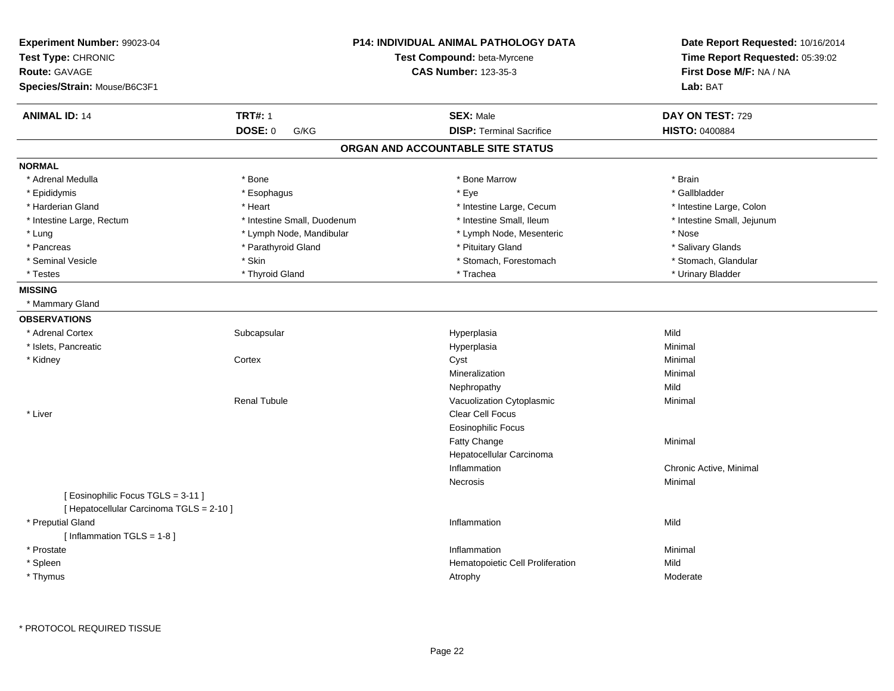| Experiment Number: 99023-04<br>Test Type: CHRONIC<br><b>Route: GAVAGE</b><br>Species/Strain: Mouse/B6C3F1 |                             | P14: INDIVIDUAL ANIMAL PATHOLOGY DATA<br>Test Compound: beta-Myrcene<br><b>CAS Number: 123-35-3</b> | Date Report Requested: 10/16/2014<br>Time Report Requested: 05:39:02<br>First Dose M/F: NA / NA<br>Lab: BAT |
|-----------------------------------------------------------------------------------------------------------|-----------------------------|-----------------------------------------------------------------------------------------------------|-------------------------------------------------------------------------------------------------------------|
| <b>ANIMAL ID: 14</b>                                                                                      | <b>TRT#: 1</b>              | <b>SEX: Male</b>                                                                                    | DAY ON TEST: 729                                                                                            |
|                                                                                                           | <b>DOSE: 0</b><br>G/KG      | <b>DISP: Terminal Sacrifice</b>                                                                     | <b>HISTO: 0400884</b>                                                                                       |
|                                                                                                           |                             | ORGAN AND ACCOUNTABLE SITE STATUS                                                                   |                                                                                                             |
| <b>NORMAL</b>                                                                                             |                             |                                                                                                     |                                                                                                             |
| * Adrenal Medulla                                                                                         | * Bone                      | * Bone Marrow                                                                                       | * Brain                                                                                                     |
| * Epididymis                                                                                              | * Esophagus                 | * Eye                                                                                               | * Gallbladder                                                                                               |
| * Harderian Gland                                                                                         | * Heart                     | * Intestine Large, Cecum                                                                            | * Intestine Large, Colon                                                                                    |
| * Intestine Large, Rectum                                                                                 | * Intestine Small, Duodenum | * Intestine Small, Ileum                                                                            | * Intestine Small, Jejunum                                                                                  |
| * Lung                                                                                                    | * Lymph Node, Mandibular    | * Lymph Node, Mesenteric                                                                            | * Nose                                                                                                      |
| * Pancreas                                                                                                | * Parathyroid Gland         | * Pituitary Gland                                                                                   | * Salivary Glands                                                                                           |
| * Seminal Vesicle                                                                                         | * Skin                      | * Stomach, Forestomach                                                                              | * Stomach, Glandular                                                                                        |
| * Testes                                                                                                  | * Thyroid Gland             | * Trachea                                                                                           | * Urinary Bladder                                                                                           |
| <b>MISSING</b>                                                                                            |                             |                                                                                                     |                                                                                                             |
| * Mammary Gland                                                                                           |                             |                                                                                                     |                                                                                                             |
| <b>OBSERVATIONS</b>                                                                                       |                             |                                                                                                     |                                                                                                             |
| * Adrenal Cortex                                                                                          | Subcapsular                 | Hyperplasia                                                                                         | Mild                                                                                                        |
| * Islets, Pancreatic                                                                                      |                             | Hyperplasia                                                                                         | Minimal                                                                                                     |
| * Kidney                                                                                                  | Cortex                      | Cyst                                                                                                | Minimal                                                                                                     |
|                                                                                                           |                             | Mineralization                                                                                      | Minimal                                                                                                     |
|                                                                                                           |                             | Nephropathy                                                                                         | Mild                                                                                                        |
|                                                                                                           | <b>Renal Tubule</b>         | Vacuolization Cytoplasmic                                                                           | Minimal                                                                                                     |
| * Liver                                                                                                   |                             | Clear Cell Focus                                                                                    |                                                                                                             |
|                                                                                                           |                             | <b>Eosinophilic Focus</b>                                                                           |                                                                                                             |
|                                                                                                           |                             | Fatty Change                                                                                        | Minimal                                                                                                     |
|                                                                                                           |                             | Hepatocellular Carcinoma                                                                            |                                                                                                             |
|                                                                                                           |                             | Inflammation                                                                                        | Chronic Active, Minimal                                                                                     |
|                                                                                                           |                             | Necrosis                                                                                            | Minimal                                                                                                     |
| [Eosinophilic Focus TGLS = 3-11]                                                                          |                             |                                                                                                     |                                                                                                             |
| [ Hepatocellular Carcinoma TGLS = 2-10 ]                                                                  |                             |                                                                                                     |                                                                                                             |
| * Preputial Gland                                                                                         |                             | Inflammation                                                                                        | Mild                                                                                                        |
| [Inflammation $TGLS = 1-8$ ]                                                                              |                             |                                                                                                     |                                                                                                             |
| * Prostate                                                                                                |                             | Inflammation                                                                                        | Minimal                                                                                                     |
| * Spleen                                                                                                  |                             | Hematopoietic Cell Proliferation                                                                    | Mild                                                                                                        |
| * Thymus                                                                                                  |                             | Atrophy                                                                                             | Moderate                                                                                                    |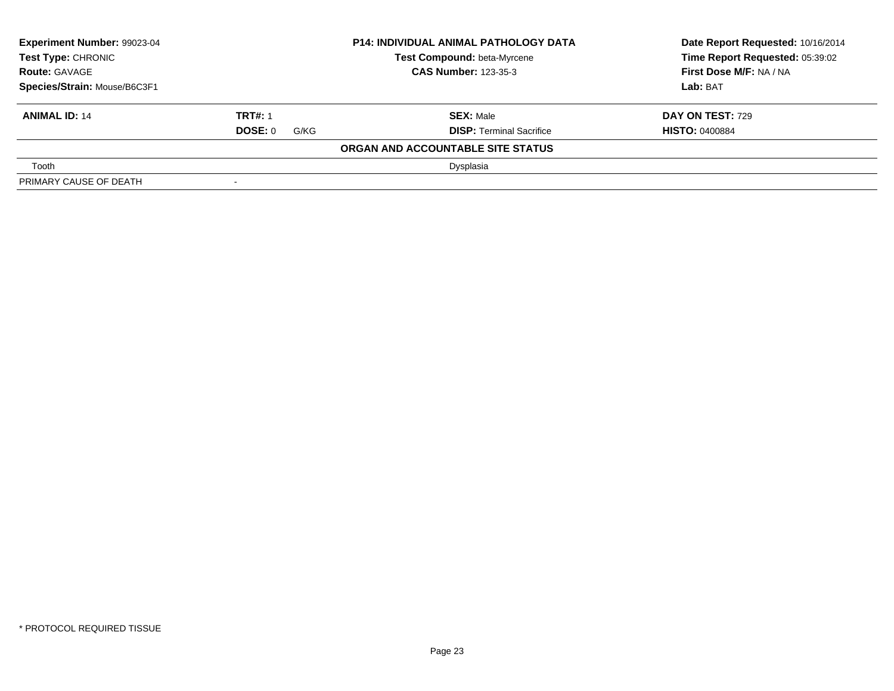| Experiment Number: 99023-04<br><b>P14: INDIVIDUAL ANIMAL PATHOLOGY DATA</b><br>Test Type: CHRONIC<br>Test Compound: beta-Myrcene<br><b>CAS Number: 123-35-3</b><br><b>Route: GAVAGE</b> |                        |                                   | Date Report Requested: 10/16/2014 |
|-----------------------------------------------------------------------------------------------------------------------------------------------------------------------------------------|------------------------|-----------------------------------|-----------------------------------|
|                                                                                                                                                                                         |                        |                                   | Time Report Requested: 05:39:02   |
|                                                                                                                                                                                         |                        |                                   | <b>First Dose M/F: NA / NA</b>    |
| Species/Strain: Mouse/B6C3F1                                                                                                                                                            |                        |                                   | Lab: BAT                          |
| <b>ANIMAL ID: 14</b>                                                                                                                                                                    | <b>TRT#: 1</b>         | <b>SEX: Male</b>                  | <b>DAY ON TEST: 729</b>           |
|                                                                                                                                                                                         | <b>DOSE: 0</b><br>G/KG | <b>DISP: Terminal Sacrifice</b>   | <b>HISTO: 0400884</b>             |
|                                                                                                                                                                                         |                        | ORGAN AND ACCOUNTABLE SITE STATUS |                                   |
| Tooth                                                                                                                                                                                   |                        | Dysplasia                         |                                   |
| PRIMARY CAUSE OF DEATH                                                                                                                                                                  | $\,$                   |                                   |                                   |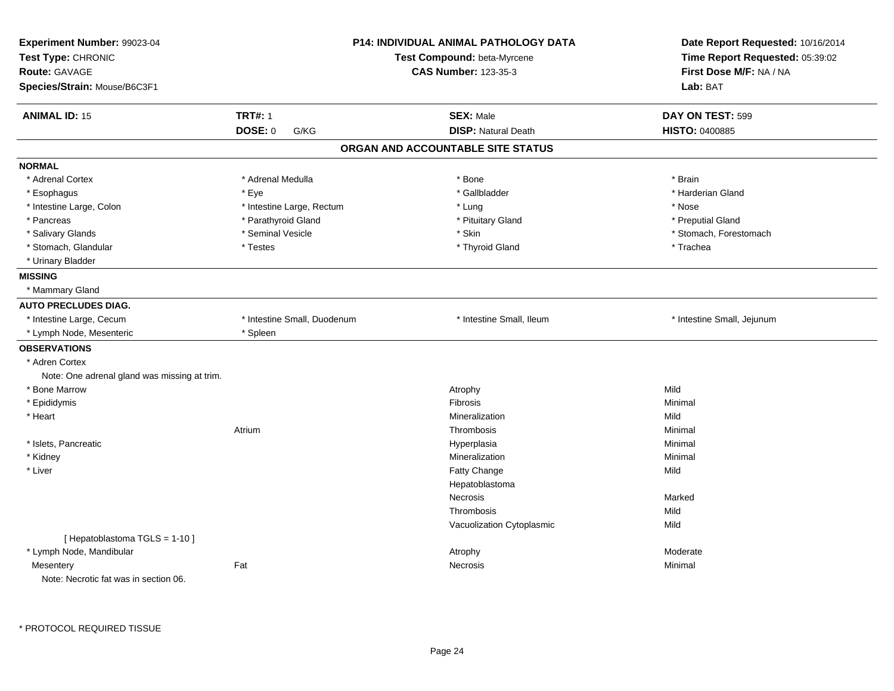| Experiment Number: 99023-04<br>Test Type: CHRONIC<br><b>Route: GAVAGE</b><br>Species/Strain: Mouse/B6C3F1 | P14: INDIVIDUAL ANIMAL PATHOLOGY DATA<br>Test Compound: beta-Myrcene<br><b>CAS Number: 123-35-3</b> |                                   | Date Report Requested: 10/16/2014<br>Time Report Requested: 05:39:02<br>First Dose M/F: NA / NA<br>Lab: BAT |  |
|-----------------------------------------------------------------------------------------------------------|-----------------------------------------------------------------------------------------------------|-----------------------------------|-------------------------------------------------------------------------------------------------------------|--|
| <b>ANIMAL ID: 15</b>                                                                                      | <b>TRT#: 1</b>                                                                                      | <b>SEX: Male</b>                  | DAY ON TEST: 599                                                                                            |  |
|                                                                                                           | <b>DOSE: 0</b><br>G/KG                                                                              | <b>DISP: Natural Death</b>        | HISTO: 0400885                                                                                              |  |
|                                                                                                           |                                                                                                     | ORGAN AND ACCOUNTABLE SITE STATUS |                                                                                                             |  |
| <b>NORMAL</b>                                                                                             |                                                                                                     |                                   |                                                                                                             |  |
| * Adrenal Cortex                                                                                          | * Adrenal Medulla                                                                                   | * Bone                            | * Brain                                                                                                     |  |
| * Esophagus                                                                                               | * Eye                                                                                               | * Gallbladder                     | * Harderian Gland                                                                                           |  |
| * Intestine Large, Colon                                                                                  | * Intestine Large, Rectum                                                                           | * Lung                            | * Nose                                                                                                      |  |
| * Pancreas                                                                                                | * Parathyroid Gland                                                                                 | * Pituitary Gland                 | * Preputial Gland                                                                                           |  |
| * Salivary Glands                                                                                         | * Seminal Vesicle                                                                                   | * Skin                            | * Stomach, Forestomach                                                                                      |  |
| * Stomach, Glandular                                                                                      | * Testes                                                                                            | * Thyroid Gland                   | * Trachea                                                                                                   |  |
| * Urinary Bladder                                                                                         |                                                                                                     |                                   |                                                                                                             |  |
| <b>MISSING</b>                                                                                            |                                                                                                     |                                   |                                                                                                             |  |
| * Mammary Gland                                                                                           |                                                                                                     |                                   |                                                                                                             |  |
| <b>AUTO PRECLUDES DIAG.</b>                                                                               |                                                                                                     |                                   |                                                                                                             |  |
| * Intestine Large, Cecum                                                                                  | * Intestine Small, Duodenum                                                                         | * Intestine Small, Ileum          | * Intestine Small, Jejunum                                                                                  |  |
| * Lymph Node, Mesenteric                                                                                  | * Spleen                                                                                            |                                   |                                                                                                             |  |
| <b>OBSERVATIONS</b>                                                                                       |                                                                                                     |                                   |                                                                                                             |  |
| * Adren Cortex                                                                                            |                                                                                                     |                                   |                                                                                                             |  |
| Note: One adrenal gland was missing at trim.                                                              |                                                                                                     |                                   |                                                                                                             |  |
| * Bone Marrow                                                                                             |                                                                                                     | Atrophy                           | Mild                                                                                                        |  |
| * Epididymis                                                                                              |                                                                                                     | Fibrosis                          | Minimal                                                                                                     |  |
| * Heart                                                                                                   |                                                                                                     | Mineralization                    | Mild                                                                                                        |  |
|                                                                                                           | Atrium                                                                                              | Thrombosis                        | Minimal                                                                                                     |  |
| * Islets, Pancreatic                                                                                      |                                                                                                     | Hyperplasia                       | Minimal                                                                                                     |  |
| * Kidney                                                                                                  |                                                                                                     | Mineralization                    | Minimal                                                                                                     |  |
| * Liver                                                                                                   |                                                                                                     | Fatty Change                      | Mild                                                                                                        |  |
|                                                                                                           |                                                                                                     | Hepatoblastoma                    |                                                                                                             |  |
|                                                                                                           |                                                                                                     | Necrosis                          | Marked                                                                                                      |  |
|                                                                                                           |                                                                                                     | Thrombosis                        | Mild                                                                                                        |  |
|                                                                                                           |                                                                                                     | Vacuolization Cytoplasmic         | Mild                                                                                                        |  |
| [Hepatoblastoma TGLS = 1-10]                                                                              |                                                                                                     |                                   |                                                                                                             |  |
| * Lymph Node, Mandibular                                                                                  |                                                                                                     | Atrophy                           | Moderate                                                                                                    |  |
| Mesentery                                                                                                 | Fat                                                                                                 | Necrosis                          | Minimal                                                                                                     |  |
| Note: Necrotic fat was in section 06.                                                                     |                                                                                                     |                                   |                                                                                                             |  |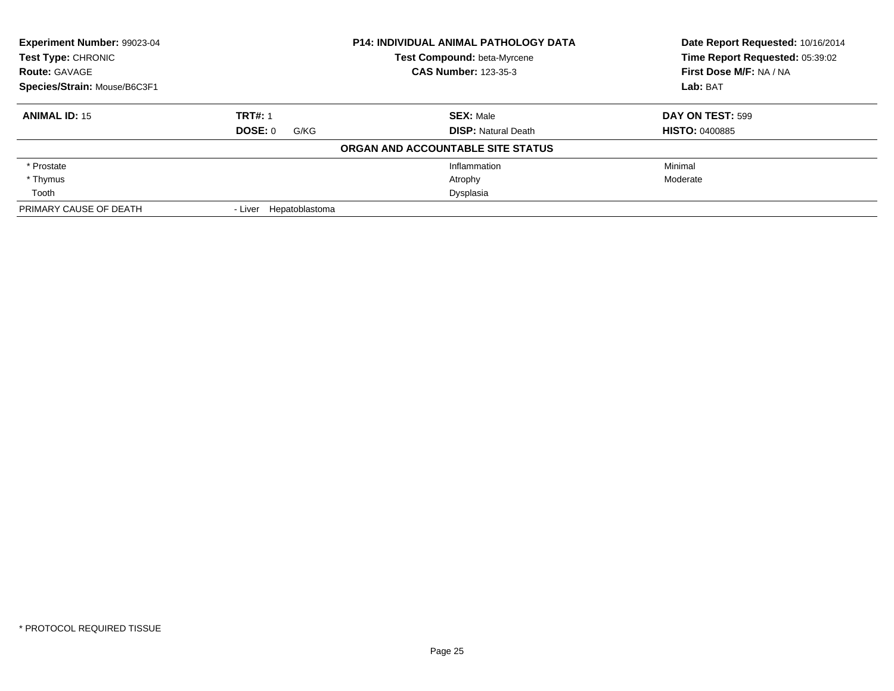| <b>Experiment Number: 99023-04</b><br>Test Type: CHRONIC |                           | <b>P14: INDIVIDUAL ANIMAL PATHOLOGY DATA</b><br><b>Test Compound: beta-Myrcene</b> | Date Report Requested: 10/16/2014<br>Time Report Requested: 05:39:02 |
|----------------------------------------------------------|---------------------------|------------------------------------------------------------------------------------|----------------------------------------------------------------------|
| <b>Route: GAVAGE</b>                                     |                           | <b>CAS Number: 123-35-3</b>                                                        | First Dose M/F: NA / NA                                              |
| Species/Strain: Mouse/B6C3F1                             |                           |                                                                                    | Lab: BAT                                                             |
| <b>ANIMAL ID: 15</b>                                     | <b>TRT#: 1</b>            | <b>SEX: Male</b>                                                                   | DAY ON TEST: 599                                                     |
|                                                          | DOSE: 0<br>G/KG           | <b>DISP: Natural Death</b>                                                         | <b>HISTO: 0400885</b>                                                |
|                                                          |                           | ORGAN AND ACCOUNTABLE SITE STATUS                                                  |                                                                      |
| * Prostate                                               |                           | Inflammation                                                                       | Minimal                                                              |
| * Thymus                                                 |                           | Atrophy                                                                            | Moderate                                                             |
| Tooth                                                    |                           | Dysplasia                                                                          |                                                                      |
| PRIMARY CAUSE OF DEATH                                   | Hepatoblastoma<br>- Liver |                                                                                    |                                                                      |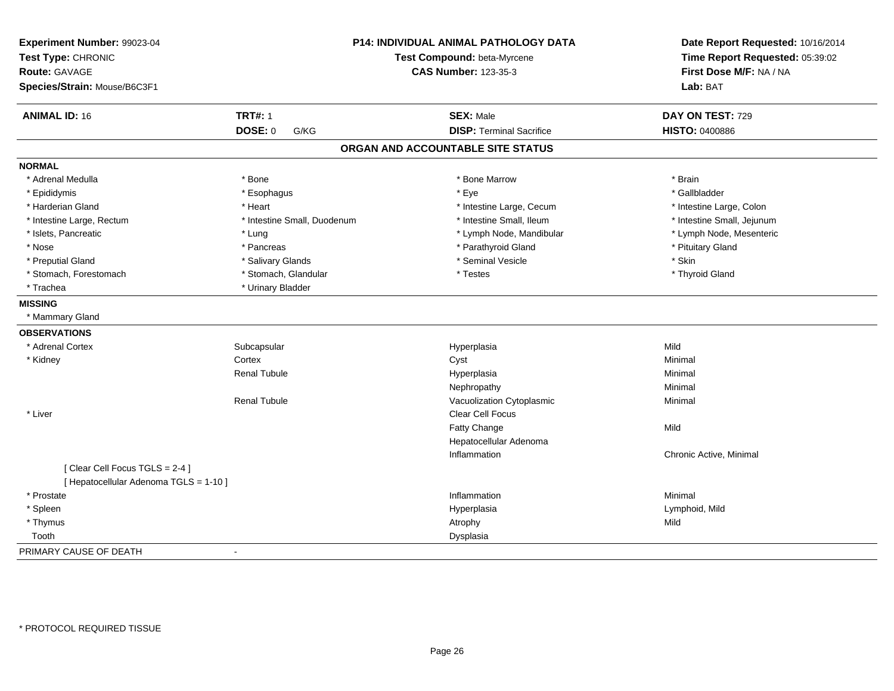| Experiment Number: 99023-04<br>Test Type: CHRONIC<br><b>Route: GAVAGE</b><br>Species/Strain: Mouse/B6C3F1 |                             | P14: INDIVIDUAL ANIMAL PATHOLOGY DATA<br>Test Compound: beta-Myrcene<br><b>CAS Number: 123-35-3</b> |                            |
|-----------------------------------------------------------------------------------------------------------|-----------------------------|-----------------------------------------------------------------------------------------------------|----------------------------|
| <b>ANIMAL ID: 16</b>                                                                                      | <b>TRT#: 1</b>              | <b>SEX: Male</b>                                                                                    | DAY ON TEST: 729           |
|                                                                                                           | <b>DOSE: 0</b><br>G/KG      | <b>DISP: Terminal Sacrifice</b>                                                                     | <b>HISTO: 0400886</b>      |
|                                                                                                           |                             | ORGAN AND ACCOUNTABLE SITE STATUS                                                                   |                            |
| <b>NORMAL</b>                                                                                             |                             |                                                                                                     |                            |
| * Adrenal Medulla                                                                                         | * Bone                      | * Bone Marrow                                                                                       | * Brain                    |
| * Epididymis                                                                                              | * Esophagus                 | * Eye                                                                                               | * Gallbladder              |
| * Harderian Gland                                                                                         | * Heart                     | * Intestine Large, Cecum                                                                            | * Intestine Large, Colon   |
| * Intestine Large, Rectum                                                                                 | * Intestine Small, Duodenum | * Intestine Small, Ileum                                                                            | * Intestine Small, Jejunum |
| * Islets, Pancreatic                                                                                      | * Lung                      | * Lymph Node, Mandibular                                                                            | * Lymph Node, Mesenteric   |
| * Nose                                                                                                    | * Pancreas                  | * Parathyroid Gland                                                                                 | * Pituitary Gland          |
| * Preputial Gland                                                                                         | * Salivary Glands           | * Seminal Vesicle                                                                                   | * Skin                     |
| * Stomach, Forestomach                                                                                    | * Stomach, Glandular        | * Testes                                                                                            | * Thyroid Gland            |
| * Trachea                                                                                                 | * Urinary Bladder           |                                                                                                     |                            |
| <b>MISSING</b>                                                                                            |                             |                                                                                                     |                            |
| * Mammary Gland                                                                                           |                             |                                                                                                     |                            |
| <b>OBSERVATIONS</b>                                                                                       |                             |                                                                                                     |                            |
| * Adrenal Cortex                                                                                          | Subcapsular                 | Hyperplasia                                                                                         | Mild                       |
| * Kidney                                                                                                  | Cortex                      | Cyst                                                                                                | Minimal                    |
|                                                                                                           | <b>Renal Tubule</b>         | Hyperplasia                                                                                         | Minimal                    |
|                                                                                                           |                             | Nephropathy                                                                                         | Minimal                    |
|                                                                                                           | <b>Renal Tubule</b>         | Vacuolization Cytoplasmic                                                                           | Minimal                    |
| * Liver                                                                                                   |                             | <b>Clear Cell Focus</b>                                                                             |                            |
|                                                                                                           |                             | Fatty Change                                                                                        | Mild                       |
|                                                                                                           |                             | Hepatocellular Adenoma                                                                              |                            |
|                                                                                                           |                             | Inflammation                                                                                        | Chronic Active, Minimal    |
| [Clear Cell Focus TGLS = 2-4]                                                                             |                             |                                                                                                     |                            |
| [ Hepatocellular Adenoma TGLS = 1-10 ]                                                                    |                             |                                                                                                     |                            |
| * Prostate                                                                                                |                             | Inflammation                                                                                        | Minimal                    |
| * Spleen                                                                                                  |                             | Hyperplasia                                                                                         | Lymphoid, Mild             |
| * Thymus                                                                                                  |                             | Atrophy                                                                                             | Mild                       |
| Tooth                                                                                                     |                             | Dysplasia                                                                                           |                            |
| PRIMARY CAUSE OF DEATH                                                                                    |                             |                                                                                                     |                            |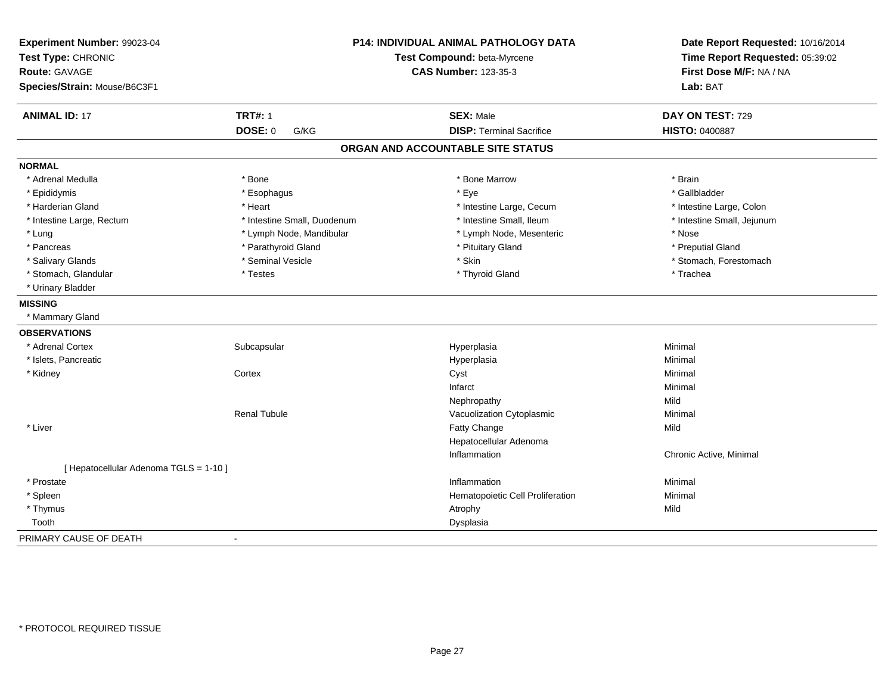| Experiment Number: 99023-04            | P14: INDIVIDUAL ANIMAL PATHOLOGY DATA<br>Test Compound: beta-Myrcene<br><b>CAS Number: 123-35-3</b> |                                   | Date Report Requested: 10/16/2014 |
|----------------------------------------|-----------------------------------------------------------------------------------------------------|-----------------------------------|-----------------------------------|
| Test Type: CHRONIC                     |                                                                                                     |                                   | Time Report Requested: 05:39:02   |
| <b>Route: GAVAGE</b>                   |                                                                                                     |                                   | First Dose M/F: NA / NA           |
| Species/Strain: Mouse/B6C3F1           |                                                                                                     |                                   | Lab: BAT                          |
| <b>ANIMAL ID: 17</b>                   | <b>TRT#: 1</b>                                                                                      | <b>SEX: Male</b>                  | DAY ON TEST: 729                  |
|                                        | <b>DOSE: 0</b><br>G/KG                                                                              | <b>DISP: Terminal Sacrifice</b>   | <b>HISTO: 0400887</b>             |
|                                        |                                                                                                     | ORGAN AND ACCOUNTABLE SITE STATUS |                                   |
| <b>NORMAL</b>                          |                                                                                                     |                                   |                                   |
| * Adrenal Medulla                      | * Bone                                                                                              | * Bone Marrow                     | * Brain                           |
| * Epididymis                           | * Esophagus                                                                                         | * Eye                             | * Gallbladder                     |
| * Harderian Gland                      | * Heart                                                                                             | * Intestine Large, Cecum          | * Intestine Large, Colon          |
| * Intestine Large, Rectum              | * Intestine Small, Duodenum                                                                         | * Intestine Small, Ileum          | * Intestine Small, Jejunum        |
| * Lung                                 | * Lymph Node, Mandibular                                                                            | * Lymph Node, Mesenteric          | * Nose                            |
| * Pancreas                             | * Parathyroid Gland                                                                                 | * Pituitary Gland                 | * Preputial Gland                 |
| * Salivary Glands                      | * Seminal Vesicle                                                                                   | * Skin                            | * Stomach, Forestomach            |
| * Stomach, Glandular                   | * Testes                                                                                            | * Thyroid Gland                   | * Trachea                         |
| * Urinary Bladder                      |                                                                                                     |                                   |                                   |
| <b>MISSING</b>                         |                                                                                                     |                                   |                                   |
| * Mammary Gland                        |                                                                                                     |                                   |                                   |
| <b>OBSERVATIONS</b>                    |                                                                                                     |                                   |                                   |
| * Adrenal Cortex                       | Subcapsular                                                                                         | Hyperplasia                       | Minimal                           |
| * Islets, Pancreatic                   |                                                                                                     | Hyperplasia                       | Minimal                           |
| * Kidney                               | Cortex                                                                                              | Cyst                              | Minimal                           |
|                                        |                                                                                                     | Infarct                           | Minimal                           |
|                                        |                                                                                                     | Nephropathy                       | Mild                              |
|                                        | <b>Renal Tubule</b>                                                                                 | Vacuolization Cytoplasmic         | Minimal                           |
| * Liver                                |                                                                                                     | Fatty Change                      | Mild                              |
|                                        |                                                                                                     | Hepatocellular Adenoma            |                                   |
|                                        |                                                                                                     | Inflammation                      | Chronic Active, Minimal           |
| [ Hepatocellular Adenoma TGLS = 1-10 ] |                                                                                                     |                                   |                                   |
| * Prostate                             |                                                                                                     | Inflammation                      | Minimal                           |
| * Spleen                               |                                                                                                     | Hematopoietic Cell Proliferation  | Minimal                           |
| * Thymus                               |                                                                                                     | Atrophy                           | Mild                              |
| Tooth                                  |                                                                                                     | Dysplasia                         |                                   |
| PRIMARY CAUSE OF DEATH                 | $\sim$                                                                                              |                                   |                                   |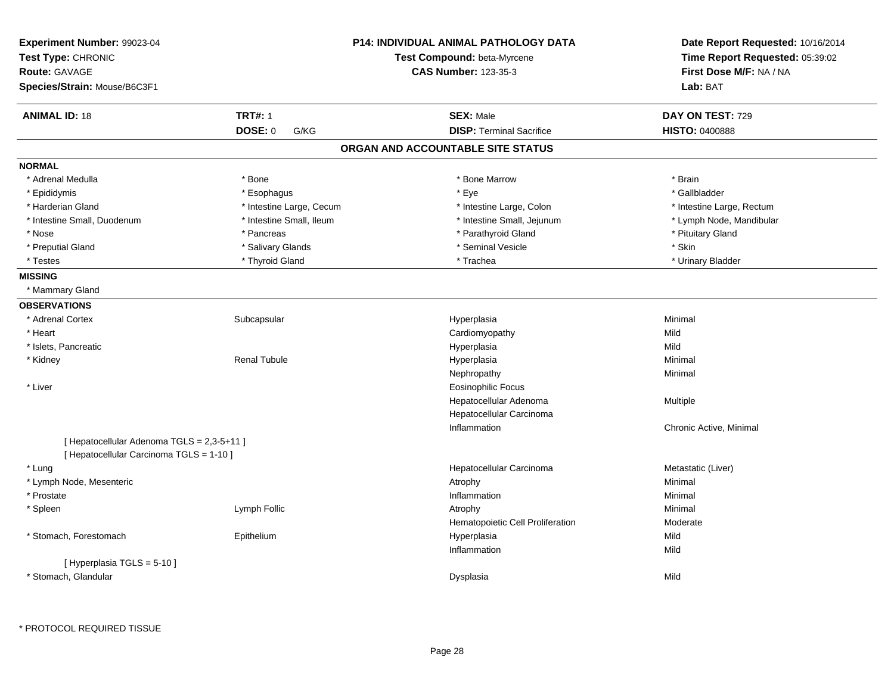| <b>TRT#: 1</b><br><b>ANIMAL ID: 18</b><br><b>SEX: Male</b><br>DAY ON TEST: 729<br>DOSE: 0<br><b>DISP: Terminal Sacrifice</b><br><b>HISTO: 0400888</b><br>G/KG<br>ORGAN AND ACCOUNTABLE SITE STATUS<br><b>NORMAL</b><br>* Adrenal Medulla<br>* Bone<br>* Bone Marrow<br>* Brain<br>* Esophagus<br>* Eye<br>* Gallbladder<br>* Epididymis<br>* Intestine Large, Cecum<br>* Harderian Gland<br>* Intestine Large, Colon<br>* Intestine Large, Rectum<br>* Intestine Small, Ileum<br>* Intestine Small, Jejunum<br>* Intestine Small, Duodenum<br>* Lymph Node, Mandibular<br>* Parathyroid Gland<br>* Pituitary Gland<br>* Nose<br>* Pancreas<br>* Seminal Vesicle<br>$*$ Skin<br>* Preputial Gland<br>* Salivary Glands<br>* Testes<br>* Thyroid Gland<br>* Trachea<br>* Urinary Bladder<br><b>MISSING</b><br>* Mammary Gland<br><b>OBSERVATIONS</b><br>* Adrenal Cortex<br>Subcapsular<br>Hyperplasia<br>Minimal<br>* Heart<br>Cardiomyopathy<br>Mild<br>* Islets, Pancreatic<br>Mild<br>Hyperplasia<br>* Kidney<br><b>Renal Tubule</b><br>Hyperplasia<br>Minimal<br>Nephropathy<br>Minimal<br><b>Eosinophilic Focus</b><br>* Liver<br>Hepatocellular Adenoma<br>Multiple<br>Hepatocellular Carcinoma<br>Inflammation<br>Chronic Active, Minimal<br>[ Hepatocellular Adenoma TGLS = 2,3-5+11 ]<br>[ Hepatocellular Carcinoma TGLS = 1-10 ]<br>* Lung<br>Hepatocellular Carcinoma<br>Metastatic (Liver)<br>* Lymph Node, Mesenteric<br>Minimal<br>Atrophy<br>* Prostate<br>Inflammation<br>Minimal<br>* Spleen<br>Lymph Follic<br>Minimal<br>Atrophy<br>Hematopoietic Cell Proliferation<br>Moderate<br>* Stomach, Forestomach<br>Epithelium<br>Hyperplasia<br>Mild<br>Inflammation<br>Mild<br>[ Hyperplasia TGLS = 5-10 ]<br>* Stomach, Glandular<br>Mild<br>Dysplasia | Experiment Number: 99023-04<br>Test Type: CHRONIC<br><b>Route: GAVAGE</b><br>Species/Strain: Mouse/B6C3F1 |  | <b>P14: INDIVIDUAL ANIMAL PATHOLOGY DATA</b><br>Test Compound: beta-Myrcene<br><b>CAS Number: 123-35-3</b> | Date Report Requested: 10/16/2014<br>Time Report Requested: 05:39:02<br>First Dose M/F: NA / NA<br>Lab: BAT |
|-----------------------------------------------------------------------------------------------------------------------------------------------------------------------------------------------------------------------------------------------------------------------------------------------------------------------------------------------------------------------------------------------------------------------------------------------------------------------------------------------------------------------------------------------------------------------------------------------------------------------------------------------------------------------------------------------------------------------------------------------------------------------------------------------------------------------------------------------------------------------------------------------------------------------------------------------------------------------------------------------------------------------------------------------------------------------------------------------------------------------------------------------------------------------------------------------------------------------------------------------------------------------------------------------------------------------------------------------------------------------------------------------------------------------------------------------------------------------------------------------------------------------------------------------------------------------------------------------------------------------------------------------------------------------------------------------------------------------------------------------------------------------|-----------------------------------------------------------------------------------------------------------|--|------------------------------------------------------------------------------------------------------------|-------------------------------------------------------------------------------------------------------------|
|                                                                                                                                                                                                                                                                                                                                                                                                                                                                                                                                                                                                                                                                                                                                                                                                                                                                                                                                                                                                                                                                                                                                                                                                                                                                                                                                                                                                                                                                                                                                                                                                                                                                                                                                                                       |                                                                                                           |  |                                                                                                            |                                                                                                             |
|                                                                                                                                                                                                                                                                                                                                                                                                                                                                                                                                                                                                                                                                                                                                                                                                                                                                                                                                                                                                                                                                                                                                                                                                                                                                                                                                                                                                                                                                                                                                                                                                                                                                                                                                                                       |                                                                                                           |  |                                                                                                            |                                                                                                             |
|                                                                                                                                                                                                                                                                                                                                                                                                                                                                                                                                                                                                                                                                                                                                                                                                                                                                                                                                                                                                                                                                                                                                                                                                                                                                                                                                                                                                                                                                                                                                                                                                                                                                                                                                                                       |                                                                                                           |  |                                                                                                            |                                                                                                             |
|                                                                                                                                                                                                                                                                                                                                                                                                                                                                                                                                                                                                                                                                                                                                                                                                                                                                                                                                                                                                                                                                                                                                                                                                                                                                                                                                                                                                                                                                                                                                                                                                                                                                                                                                                                       |                                                                                                           |  |                                                                                                            |                                                                                                             |
|                                                                                                                                                                                                                                                                                                                                                                                                                                                                                                                                                                                                                                                                                                                                                                                                                                                                                                                                                                                                                                                                                                                                                                                                                                                                                                                                                                                                                                                                                                                                                                                                                                                                                                                                                                       |                                                                                                           |  |                                                                                                            |                                                                                                             |
|                                                                                                                                                                                                                                                                                                                                                                                                                                                                                                                                                                                                                                                                                                                                                                                                                                                                                                                                                                                                                                                                                                                                                                                                                                                                                                                                                                                                                                                                                                                                                                                                                                                                                                                                                                       |                                                                                                           |  |                                                                                                            |                                                                                                             |
|                                                                                                                                                                                                                                                                                                                                                                                                                                                                                                                                                                                                                                                                                                                                                                                                                                                                                                                                                                                                                                                                                                                                                                                                                                                                                                                                                                                                                                                                                                                                                                                                                                                                                                                                                                       |                                                                                                           |  |                                                                                                            |                                                                                                             |
|                                                                                                                                                                                                                                                                                                                                                                                                                                                                                                                                                                                                                                                                                                                                                                                                                                                                                                                                                                                                                                                                                                                                                                                                                                                                                                                                                                                                                                                                                                                                                                                                                                                                                                                                                                       |                                                                                                           |  |                                                                                                            |                                                                                                             |
|                                                                                                                                                                                                                                                                                                                                                                                                                                                                                                                                                                                                                                                                                                                                                                                                                                                                                                                                                                                                                                                                                                                                                                                                                                                                                                                                                                                                                                                                                                                                                                                                                                                                                                                                                                       |                                                                                                           |  |                                                                                                            |                                                                                                             |
|                                                                                                                                                                                                                                                                                                                                                                                                                                                                                                                                                                                                                                                                                                                                                                                                                                                                                                                                                                                                                                                                                                                                                                                                                                                                                                                                                                                                                                                                                                                                                                                                                                                                                                                                                                       |                                                                                                           |  |                                                                                                            |                                                                                                             |
|                                                                                                                                                                                                                                                                                                                                                                                                                                                                                                                                                                                                                                                                                                                                                                                                                                                                                                                                                                                                                                                                                                                                                                                                                                                                                                                                                                                                                                                                                                                                                                                                                                                                                                                                                                       |                                                                                                           |  |                                                                                                            |                                                                                                             |
|                                                                                                                                                                                                                                                                                                                                                                                                                                                                                                                                                                                                                                                                                                                                                                                                                                                                                                                                                                                                                                                                                                                                                                                                                                                                                                                                                                                                                                                                                                                                                                                                                                                                                                                                                                       |                                                                                                           |  |                                                                                                            |                                                                                                             |
|                                                                                                                                                                                                                                                                                                                                                                                                                                                                                                                                                                                                                                                                                                                                                                                                                                                                                                                                                                                                                                                                                                                                                                                                                                                                                                                                                                                                                                                                                                                                                                                                                                                                                                                                                                       |                                                                                                           |  |                                                                                                            |                                                                                                             |
|                                                                                                                                                                                                                                                                                                                                                                                                                                                                                                                                                                                                                                                                                                                                                                                                                                                                                                                                                                                                                                                                                                                                                                                                                                                                                                                                                                                                                                                                                                                                                                                                                                                                                                                                                                       |                                                                                                           |  |                                                                                                            |                                                                                                             |
|                                                                                                                                                                                                                                                                                                                                                                                                                                                                                                                                                                                                                                                                                                                                                                                                                                                                                                                                                                                                                                                                                                                                                                                                                                                                                                                                                                                                                                                                                                                                                                                                                                                                                                                                                                       |                                                                                                           |  |                                                                                                            |                                                                                                             |
|                                                                                                                                                                                                                                                                                                                                                                                                                                                                                                                                                                                                                                                                                                                                                                                                                                                                                                                                                                                                                                                                                                                                                                                                                                                                                                                                                                                                                                                                                                                                                                                                                                                                                                                                                                       |                                                                                                           |  |                                                                                                            |                                                                                                             |
|                                                                                                                                                                                                                                                                                                                                                                                                                                                                                                                                                                                                                                                                                                                                                                                                                                                                                                                                                                                                                                                                                                                                                                                                                                                                                                                                                                                                                                                                                                                                                                                                                                                                                                                                                                       |                                                                                                           |  |                                                                                                            |                                                                                                             |
|                                                                                                                                                                                                                                                                                                                                                                                                                                                                                                                                                                                                                                                                                                                                                                                                                                                                                                                                                                                                                                                                                                                                                                                                                                                                                                                                                                                                                                                                                                                                                                                                                                                                                                                                                                       |                                                                                                           |  |                                                                                                            |                                                                                                             |
|                                                                                                                                                                                                                                                                                                                                                                                                                                                                                                                                                                                                                                                                                                                                                                                                                                                                                                                                                                                                                                                                                                                                                                                                                                                                                                                                                                                                                                                                                                                                                                                                                                                                                                                                                                       |                                                                                                           |  |                                                                                                            |                                                                                                             |
|                                                                                                                                                                                                                                                                                                                                                                                                                                                                                                                                                                                                                                                                                                                                                                                                                                                                                                                                                                                                                                                                                                                                                                                                                                                                                                                                                                                                                                                                                                                                                                                                                                                                                                                                                                       |                                                                                                           |  |                                                                                                            |                                                                                                             |
|                                                                                                                                                                                                                                                                                                                                                                                                                                                                                                                                                                                                                                                                                                                                                                                                                                                                                                                                                                                                                                                                                                                                                                                                                                                                                                                                                                                                                                                                                                                                                                                                                                                                                                                                                                       |                                                                                                           |  |                                                                                                            |                                                                                                             |
|                                                                                                                                                                                                                                                                                                                                                                                                                                                                                                                                                                                                                                                                                                                                                                                                                                                                                                                                                                                                                                                                                                                                                                                                                                                                                                                                                                                                                                                                                                                                                                                                                                                                                                                                                                       |                                                                                                           |  |                                                                                                            |                                                                                                             |
|                                                                                                                                                                                                                                                                                                                                                                                                                                                                                                                                                                                                                                                                                                                                                                                                                                                                                                                                                                                                                                                                                                                                                                                                                                                                                                                                                                                                                                                                                                                                                                                                                                                                                                                                                                       |                                                                                                           |  |                                                                                                            |                                                                                                             |
|                                                                                                                                                                                                                                                                                                                                                                                                                                                                                                                                                                                                                                                                                                                                                                                                                                                                                                                                                                                                                                                                                                                                                                                                                                                                                                                                                                                                                                                                                                                                                                                                                                                                                                                                                                       |                                                                                                           |  |                                                                                                            |                                                                                                             |
|                                                                                                                                                                                                                                                                                                                                                                                                                                                                                                                                                                                                                                                                                                                                                                                                                                                                                                                                                                                                                                                                                                                                                                                                                                                                                                                                                                                                                                                                                                                                                                                                                                                                                                                                                                       |                                                                                                           |  |                                                                                                            |                                                                                                             |
|                                                                                                                                                                                                                                                                                                                                                                                                                                                                                                                                                                                                                                                                                                                                                                                                                                                                                                                                                                                                                                                                                                                                                                                                                                                                                                                                                                                                                                                                                                                                                                                                                                                                                                                                                                       |                                                                                                           |  |                                                                                                            |                                                                                                             |
|                                                                                                                                                                                                                                                                                                                                                                                                                                                                                                                                                                                                                                                                                                                                                                                                                                                                                                                                                                                                                                                                                                                                                                                                                                                                                                                                                                                                                                                                                                                                                                                                                                                                                                                                                                       |                                                                                                           |  |                                                                                                            |                                                                                                             |
|                                                                                                                                                                                                                                                                                                                                                                                                                                                                                                                                                                                                                                                                                                                                                                                                                                                                                                                                                                                                                                                                                                                                                                                                                                                                                                                                                                                                                                                                                                                                                                                                                                                                                                                                                                       |                                                                                                           |  |                                                                                                            |                                                                                                             |
|                                                                                                                                                                                                                                                                                                                                                                                                                                                                                                                                                                                                                                                                                                                                                                                                                                                                                                                                                                                                                                                                                                                                                                                                                                                                                                                                                                                                                                                                                                                                                                                                                                                                                                                                                                       |                                                                                                           |  |                                                                                                            |                                                                                                             |
|                                                                                                                                                                                                                                                                                                                                                                                                                                                                                                                                                                                                                                                                                                                                                                                                                                                                                                                                                                                                                                                                                                                                                                                                                                                                                                                                                                                                                                                                                                                                                                                                                                                                                                                                                                       |                                                                                                           |  |                                                                                                            |                                                                                                             |
|                                                                                                                                                                                                                                                                                                                                                                                                                                                                                                                                                                                                                                                                                                                                                                                                                                                                                                                                                                                                                                                                                                                                                                                                                                                                                                                                                                                                                                                                                                                                                                                                                                                                                                                                                                       |                                                                                                           |  |                                                                                                            |                                                                                                             |
|                                                                                                                                                                                                                                                                                                                                                                                                                                                                                                                                                                                                                                                                                                                                                                                                                                                                                                                                                                                                                                                                                                                                                                                                                                                                                                                                                                                                                                                                                                                                                                                                                                                                                                                                                                       |                                                                                                           |  |                                                                                                            |                                                                                                             |
|                                                                                                                                                                                                                                                                                                                                                                                                                                                                                                                                                                                                                                                                                                                                                                                                                                                                                                                                                                                                                                                                                                                                                                                                                                                                                                                                                                                                                                                                                                                                                                                                                                                                                                                                                                       |                                                                                                           |  |                                                                                                            |                                                                                                             |
|                                                                                                                                                                                                                                                                                                                                                                                                                                                                                                                                                                                                                                                                                                                                                                                                                                                                                                                                                                                                                                                                                                                                                                                                                                                                                                                                                                                                                                                                                                                                                                                                                                                                                                                                                                       |                                                                                                           |  |                                                                                                            |                                                                                                             |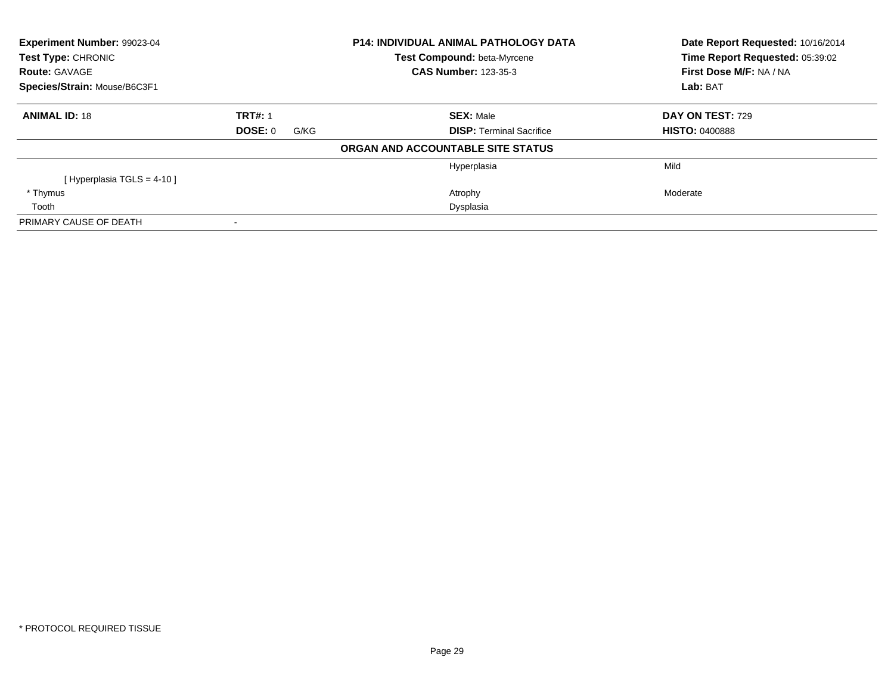| Experiment Number: 99023-04<br>Test Type: CHRONIC |                 | P14: INDIVIDUAL ANIMAL PATHOLOGY DATA<br>Test Compound: beta-Myrcene | Date Report Requested: 10/16/2014<br>Time Report Requested: 05:39:02 |
|---------------------------------------------------|-----------------|----------------------------------------------------------------------|----------------------------------------------------------------------|
| <b>Route: GAVAGE</b>                              |                 | <b>CAS Number: 123-35-3</b>                                          | First Dose M/F: NA / NA                                              |
| Species/Strain: Mouse/B6C3F1                      |                 |                                                                      | Lab: BAT                                                             |
| <b>ANIMAL ID: 18</b>                              | <b>TRT#: 1</b>  | <b>SEX: Male</b>                                                     | DAY ON TEST: 729                                                     |
|                                                   | DOSE: 0<br>G/KG | <b>DISP:</b> Terminal Sacrifice                                      | <b>HISTO: 0400888</b>                                                |
|                                                   |                 | ORGAN AND ACCOUNTABLE SITE STATUS                                    |                                                                      |
|                                                   |                 | Hyperplasia                                                          | Mild                                                                 |
| [Hyperplasia TGLS = $4-10$ ]                      |                 |                                                                      |                                                                      |
| * Thymus                                          |                 | Atrophy                                                              | Moderate                                                             |
| Tooth                                             |                 | Dysplasia                                                            |                                                                      |
| PRIMARY CAUSE OF DEATH                            |                 |                                                                      |                                                                      |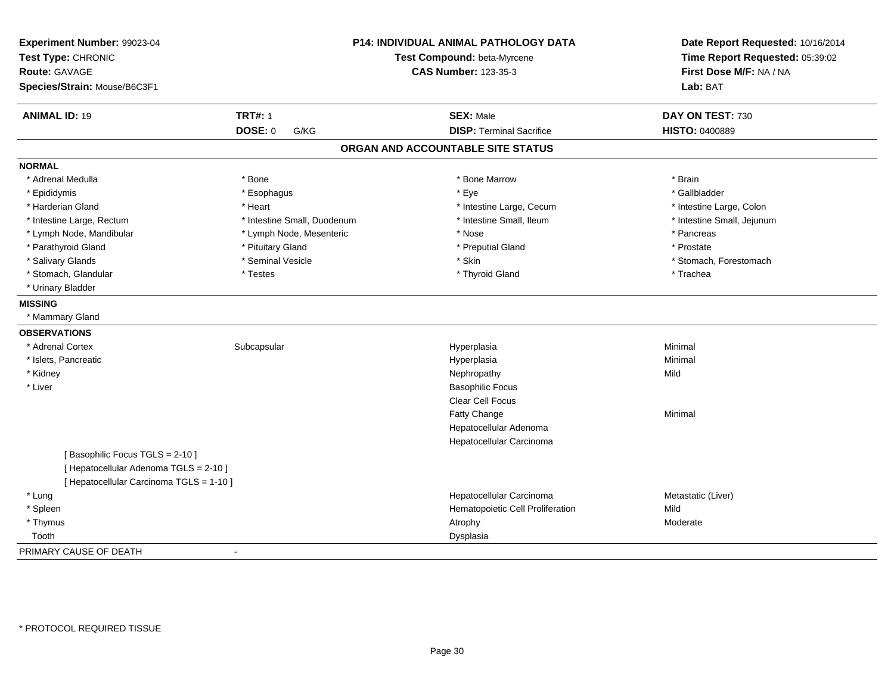| Experiment Number: 99023-04<br>Test Type: CHRONIC<br><b>Route: GAVAGE</b><br>Species/Strain: Mouse/B6C3F1 |                             | <b>P14: INDIVIDUAL ANIMAL PATHOLOGY DATA</b><br>Test Compound: beta-Myrcene<br><b>CAS Number: 123-35-3</b> |                            |
|-----------------------------------------------------------------------------------------------------------|-----------------------------|------------------------------------------------------------------------------------------------------------|----------------------------|
| <b>ANIMAL ID: 19</b>                                                                                      | <b>TRT#: 1</b>              | <b>SEX: Male</b>                                                                                           | DAY ON TEST: 730           |
|                                                                                                           | DOSE: 0<br>G/KG             | <b>DISP: Terminal Sacrifice</b>                                                                            | HISTO: 0400889             |
|                                                                                                           |                             | ORGAN AND ACCOUNTABLE SITE STATUS                                                                          |                            |
| <b>NORMAL</b>                                                                                             |                             |                                                                                                            |                            |
| * Adrenal Medulla                                                                                         | * Bone                      | * Bone Marrow                                                                                              | * Brain                    |
| * Epididymis                                                                                              | * Esophagus                 | * Eye                                                                                                      | * Gallbladder              |
| * Harderian Gland                                                                                         | * Heart                     | * Intestine Large, Cecum                                                                                   | * Intestine Large, Colon   |
| * Intestine Large, Rectum                                                                                 | * Intestine Small, Duodenum | * Intestine Small, Ileum                                                                                   | * Intestine Small, Jejunum |
| * Lymph Node, Mandibular                                                                                  | * Lymph Node, Mesenteric    | * Nose                                                                                                     | * Pancreas                 |
| * Parathyroid Gland                                                                                       | * Pituitary Gland           | * Preputial Gland                                                                                          | * Prostate                 |
| * Salivary Glands                                                                                         | * Seminal Vesicle           | * Skin                                                                                                     | * Stomach, Forestomach     |
| * Stomach, Glandular                                                                                      | * Testes                    | * Thyroid Gland                                                                                            | * Trachea                  |
| * Urinary Bladder                                                                                         |                             |                                                                                                            |                            |
| <b>MISSING</b>                                                                                            |                             |                                                                                                            |                            |
| * Mammary Gland                                                                                           |                             |                                                                                                            |                            |
| <b>OBSERVATIONS</b>                                                                                       |                             |                                                                                                            |                            |
| * Adrenal Cortex                                                                                          | Subcapsular                 | Hyperplasia                                                                                                | Minimal                    |
| * Islets, Pancreatic                                                                                      |                             | Hyperplasia                                                                                                | Minimal                    |
| * Kidney                                                                                                  |                             | Nephropathy                                                                                                | Mild                       |
| * Liver                                                                                                   |                             | <b>Basophilic Focus</b>                                                                                    |                            |
|                                                                                                           |                             | Clear Cell Focus                                                                                           |                            |
|                                                                                                           |                             | Fatty Change                                                                                               | Minimal                    |
|                                                                                                           |                             | Hepatocellular Adenoma                                                                                     |                            |
|                                                                                                           |                             | Hepatocellular Carcinoma                                                                                   |                            |
| [Basophilic Focus TGLS = 2-10]                                                                            |                             |                                                                                                            |                            |
| [ Hepatocellular Adenoma TGLS = 2-10 ]                                                                    |                             |                                                                                                            |                            |
| [ Hepatocellular Carcinoma TGLS = 1-10 ]                                                                  |                             |                                                                                                            |                            |
| * Lung                                                                                                    |                             | Hepatocellular Carcinoma                                                                                   | Metastatic (Liver)         |
| * Spleen                                                                                                  |                             | Hematopoietic Cell Proliferation                                                                           | Mild                       |
| * Thymus                                                                                                  |                             | Atrophy                                                                                                    | Moderate                   |
| Tooth                                                                                                     |                             | Dysplasia                                                                                                  |                            |
| PRIMARY CAUSE OF DEATH                                                                                    | $\blacksquare$              |                                                                                                            |                            |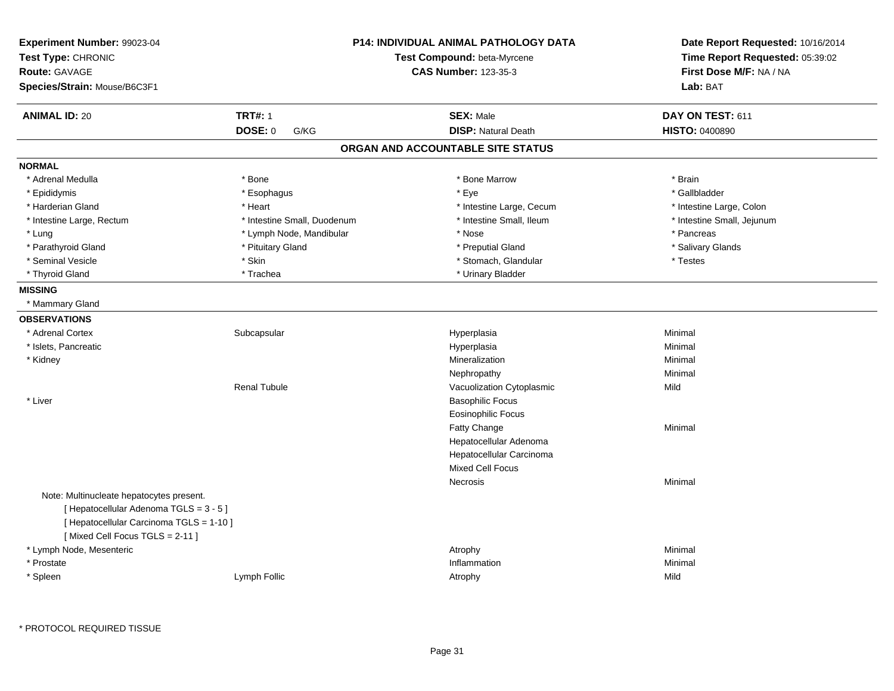| Experiment Number: 99023-04<br>Test Type: CHRONIC<br><b>Route: GAVAGE</b><br>Species/Strain: Mouse/B6C3F1                                                         | <b>P14: INDIVIDUAL ANIMAL PATHOLOGY DATA</b><br>Test Compound: beta-Myrcene<br><b>CAS Number: 123-35-3</b> |                                   | Date Report Requested: 10/16/2014<br>Time Report Requested: 05:39:02<br>First Dose M/F: NA / NA<br>Lab: BAT |
|-------------------------------------------------------------------------------------------------------------------------------------------------------------------|------------------------------------------------------------------------------------------------------------|-----------------------------------|-------------------------------------------------------------------------------------------------------------|
| <b>ANIMAL ID: 20</b>                                                                                                                                              | <b>TRT#: 1</b>                                                                                             | <b>SEX: Male</b>                  | DAY ON TEST: 611                                                                                            |
|                                                                                                                                                                   | DOSE: 0<br>G/KG                                                                                            | <b>DISP: Natural Death</b>        | HISTO: 0400890                                                                                              |
|                                                                                                                                                                   |                                                                                                            | ORGAN AND ACCOUNTABLE SITE STATUS |                                                                                                             |
| <b>NORMAL</b>                                                                                                                                                     |                                                                                                            |                                   |                                                                                                             |
| * Adrenal Medulla                                                                                                                                                 | * Bone                                                                                                     | * Bone Marrow                     | * Brain                                                                                                     |
| * Epididymis                                                                                                                                                      | * Esophagus                                                                                                | * Eye                             | * Gallbladder                                                                                               |
| * Harderian Gland                                                                                                                                                 | * Heart                                                                                                    | * Intestine Large, Cecum          | * Intestine Large, Colon                                                                                    |
| * Intestine Large, Rectum                                                                                                                                         | * Intestine Small, Duodenum                                                                                | * Intestine Small, Ileum          | * Intestine Small, Jejunum                                                                                  |
| * Lung                                                                                                                                                            | * Lymph Node, Mandibular                                                                                   | * Nose                            | * Pancreas                                                                                                  |
| * Parathyroid Gland                                                                                                                                               | * Pituitary Gland                                                                                          | * Preputial Gland                 | * Salivary Glands                                                                                           |
| * Seminal Vesicle                                                                                                                                                 | * Skin                                                                                                     | * Stomach, Glandular              | * Testes                                                                                                    |
| * Thyroid Gland                                                                                                                                                   | * Trachea                                                                                                  | * Urinary Bladder                 |                                                                                                             |
| <b>MISSING</b>                                                                                                                                                    |                                                                                                            |                                   |                                                                                                             |
| * Mammary Gland                                                                                                                                                   |                                                                                                            |                                   |                                                                                                             |
| <b>OBSERVATIONS</b>                                                                                                                                               |                                                                                                            |                                   |                                                                                                             |
| * Adrenal Cortex                                                                                                                                                  | Subcapsular                                                                                                | Hyperplasia                       | Minimal                                                                                                     |
| * Islets, Pancreatic                                                                                                                                              |                                                                                                            | Hyperplasia                       | Minimal                                                                                                     |
| * Kidney                                                                                                                                                          |                                                                                                            | Mineralization                    | Minimal                                                                                                     |
|                                                                                                                                                                   |                                                                                                            | Nephropathy                       | Minimal                                                                                                     |
|                                                                                                                                                                   | <b>Renal Tubule</b>                                                                                        | Vacuolization Cytoplasmic         | Mild                                                                                                        |
| * Liver                                                                                                                                                           |                                                                                                            | <b>Basophilic Focus</b>           |                                                                                                             |
|                                                                                                                                                                   |                                                                                                            | <b>Eosinophilic Focus</b>         |                                                                                                             |
|                                                                                                                                                                   |                                                                                                            | Fatty Change                      | Minimal                                                                                                     |
|                                                                                                                                                                   |                                                                                                            | Hepatocellular Adenoma            |                                                                                                             |
|                                                                                                                                                                   |                                                                                                            | Hepatocellular Carcinoma          |                                                                                                             |
|                                                                                                                                                                   |                                                                                                            | Mixed Cell Focus                  |                                                                                                             |
|                                                                                                                                                                   |                                                                                                            | <b>Necrosis</b>                   | Minimal                                                                                                     |
| Note: Multinucleate hepatocytes present.<br>[ Hepatocellular Adenoma TGLS = 3 - 5 ]<br>[ Hepatocellular Carcinoma TGLS = 1-10 ]<br>[Mixed Cell Focus TGLS = 2-11] |                                                                                                            |                                   |                                                                                                             |
| * Lymph Node, Mesenteric                                                                                                                                          |                                                                                                            | Atrophy                           | Minimal                                                                                                     |
| * Prostate                                                                                                                                                        |                                                                                                            | Inflammation                      | Minimal                                                                                                     |
| * Spleen                                                                                                                                                          | Lymph Follic                                                                                               | Atrophy                           | Mild                                                                                                        |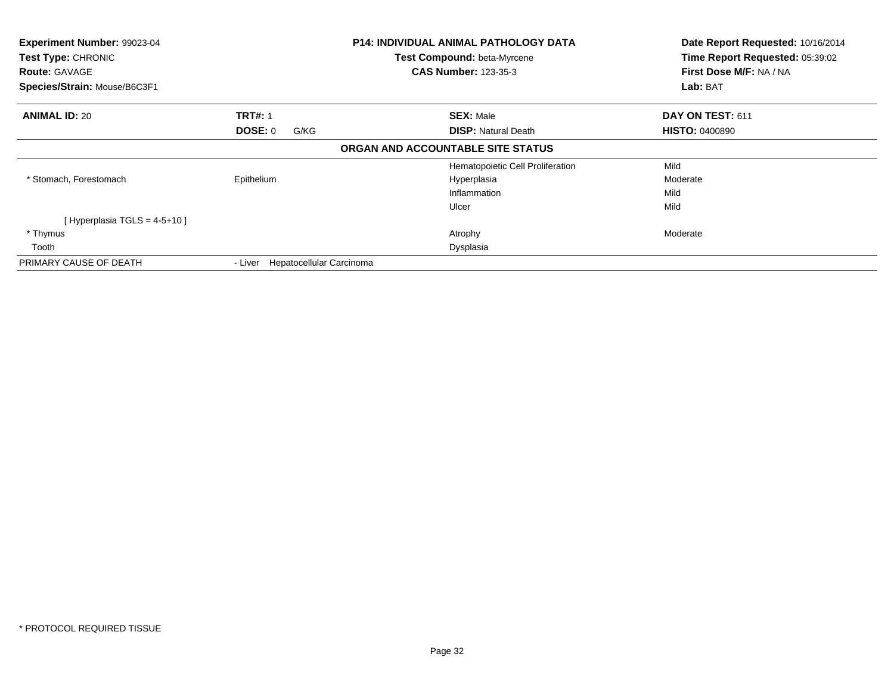| Experiment Number: 99023-04<br>Test Type: CHRONIC<br><b>Route: GAVAGE</b><br>Species/Strain: Mouse/B6C3F1 |                                     | <b>P14: INDIVIDUAL ANIMAL PATHOLOGY DATA</b><br>Test Compound: beta-Myrcene<br><b>CAS Number: 123-35-3</b> | Date Report Requested: 10/16/2014<br>Time Report Requested: 05:39:02<br>First Dose M/F: NA / NA<br>Lab: BAT |
|-----------------------------------------------------------------------------------------------------------|-------------------------------------|------------------------------------------------------------------------------------------------------------|-------------------------------------------------------------------------------------------------------------|
| <b>ANIMAL ID: 20</b>                                                                                      | <b>TRT#: 1</b>                      | <b>SEX: Male</b>                                                                                           | <b>DAY ON TEST: 611</b>                                                                                     |
|                                                                                                           | <b>DOSE: 0</b><br>G/KG              | <b>DISP:</b> Natural Death                                                                                 | <b>HISTO: 0400890</b>                                                                                       |
|                                                                                                           |                                     | ORGAN AND ACCOUNTABLE SITE STATUS                                                                          |                                                                                                             |
|                                                                                                           |                                     | Hematopoietic Cell Proliferation                                                                           | Mild                                                                                                        |
| * Stomach, Forestomach                                                                                    | Epithelium                          | Hyperplasia                                                                                                | Moderate                                                                                                    |
|                                                                                                           |                                     | Inflammation                                                                                               | Mild                                                                                                        |
|                                                                                                           |                                     | Ulcer                                                                                                      | Mild                                                                                                        |
| [Hyperplasia TGLS = 4-5+10]                                                                               |                                     |                                                                                                            |                                                                                                             |
| * Thymus                                                                                                  |                                     | Atrophy                                                                                                    | Moderate                                                                                                    |
| Tooth                                                                                                     |                                     | Dysplasia                                                                                                  |                                                                                                             |
| PRIMARY CAUSE OF DEATH                                                                                    | Hepatocellular Carcinoma<br>- Liver |                                                                                                            |                                                                                                             |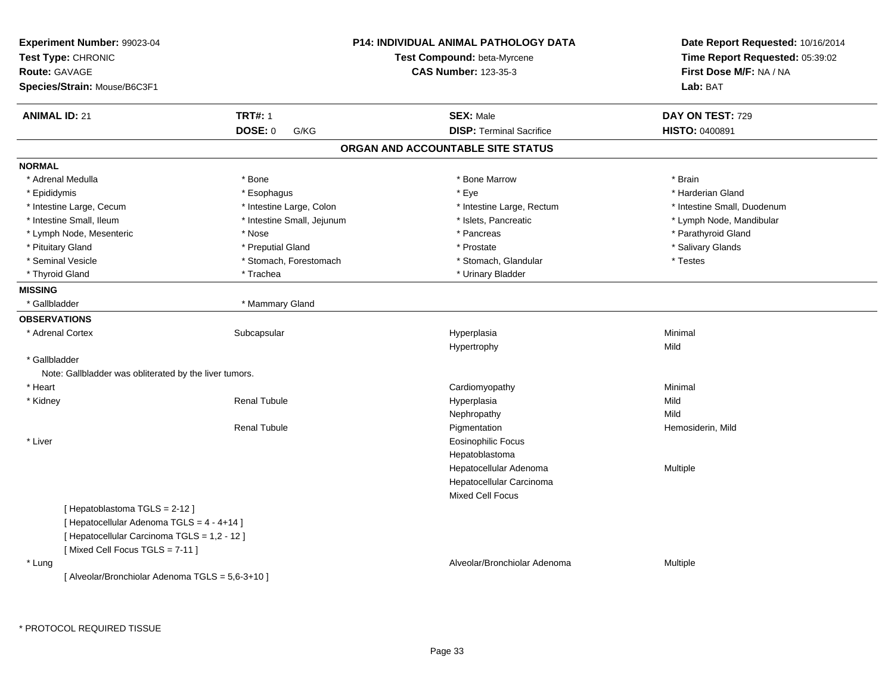| Experiment Number: 99023-04<br>Test Type: CHRONIC<br><b>Route: GAVAGE</b><br>Species/Strain: Mouse/B6C3F1 |                            | <b>P14: INDIVIDUAL ANIMAL PATHOLOGY DATA</b><br>Test Compound: beta-Myrcene<br><b>CAS Number: 123-35-3</b> | Date Report Requested: 10/16/2014<br>Time Report Requested: 05:39:02<br>First Dose M/F: NA / NA<br>Lab: BAT |
|-----------------------------------------------------------------------------------------------------------|----------------------------|------------------------------------------------------------------------------------------------------------|-------------------------------------------------------------------------------------------------------------|
| <b>ANIMAL ID: 21</b>                                                                                      | <b>TRT#: 1</b>             | <b>SEX: Male</b>                                                                                           | DAY ON TEST: 729                                                                                            |
|                                                                                                           | DOSE: 0<br>G/KG            | <b>DISP: Terminal Sacrifice</b>                                                                            | HISTO: 0400891                                                                                              |
|                                                                                                           |                            | ORGAN AND ACCOUNTABLE SITE STATUS                                                                          |                                                                                                             |
| <b>NORMAL</b>                                                                                             |                            |                                                                                                            |                                                                                                             |
| * Adrenal Medulla                                                                                         | * Bone                     | * Bone Marrow                                                                                              | * Brain                                                                                                     |
| * Epididymis                                                                                              | * Esophagus                | * Eye                                                                                                      | * Harderian Gland                                                                                           |
| * Intestine Large, Cecum                                                                                  | * Intestine Large, Colon   | * Intestine Large, Rectum                                                                                  | * Intestine Small, Duodenum                                                                                 |
| * Intestine Small, Ileum                                                                                  | * Intestine Small, Jejunum | * Islets, Pancreatic                                                                                       | * Lymph Node, Mandibular                                                                                    |
| * Lymph Node, Mesenteric                                                                                  | * Nose                     | * Pancreas                                                                                                 | * Parathyroid Gland                                                                                         |
| * Pituitary Gland                                                                                         | * Preputial Gland          | * Prostate                                                                                                 | * Salivary Glands                                                                                           |
| * Seminal Vesicle                                                                                         | * Stomach, Forestomach     | * Stomach, Glandular                                                                                       | * Testes                                                                                                    |
| * Thyroid Gland                                                                                           | * Trachea                  | * Urinary Bladder                                                                                          |                                                                                                             |
| <b>MISSING</b>                                                                                            |                            |                                                                                                            |                                                                                                             |
| * Gallbladder                                                                                             | * Mammary Gland            |                                                                                                            |                                                                                                             |
| <b>OBSERVATIONS</b>                                                                                       |                            |                                                                                                            |                                                                                                             |
| * Adrenal Cortex                                                                                          | Subcapsular                | Hyperplasia                                                                                                | Minimal                                                                                                     |
|                                                                                                           |                            | Hypertrophy                                                                                                | Mild                                                                                                        |
| * Gallbladder                                                                                             |                            |                                                                                                            |                                                                                                             |
| Note: Gallbladder was obliterated by the liver tumors.                                                    |                            |                                                                                                            |                                                                                                             |
| * Heart                                                                                                   |                            | Cardiomyopathy                                                                                             | Minimal                                                                                                     |
| * Kidney                                                                                                  | <b>Renal Tubule</b>        | Hyperplasia                                                                                                | Mild                                                                                                        |
|                                                                                                           |                            | Nephropathy                                                                                                | Mild                                                                                                        |
|                                                                                                           | <b>Renal Tubule</b>        | Pigmentation                                                                                               | Hemosiderin, Mild                                                                                           |
| * Liver                                                                                                   |                            | <b>Eosinophilic Focus</b>                                                                                  |                                                                                                             |
|                                                                                                           |                            | Hepatoblastoma                                                                                             |                                                                                                             |
|                                                                                                           |                            | Hepatocellular Adenoma                                                                                     | Multiple                                                                                                    |
|                                                                                                           |                            | Hepatocellular Carcinoma                                                                                   |                                                                                                             |
|                                                                                                           |                            | Mixed Cell Focus                                                                                           |                                                                                                             |
| [Hepatoblastoma TGLS = 2-12]                                                                              |                            |                                                                                                            |                                                                                                             |
| [ Hepatocellular Adenoma TGLS = 4 - 4+14 ]                                                                |                            |                                                                                                            |                                                                                                             |
| [ Hepatocellular Carcinoma TGLS = 1,2 - 12 ]                                                              |                            |                                                                                                            |                                                                                                             |
| [Mixed Cell Focus TGLS = 7-11]                                                                            |                            |                                                                                                            |                                                                                                             |
| * Lung                                                                                                    |                            | Alveolar/Bronchiolar Adenoma                                                                               | Multiple                                                                                                    |
| [ Alveolar/Bronchiolar Adenoma TGLS = 5,6-3+10 ]                                                          |                            |                                                                                                            |                                                                                                             |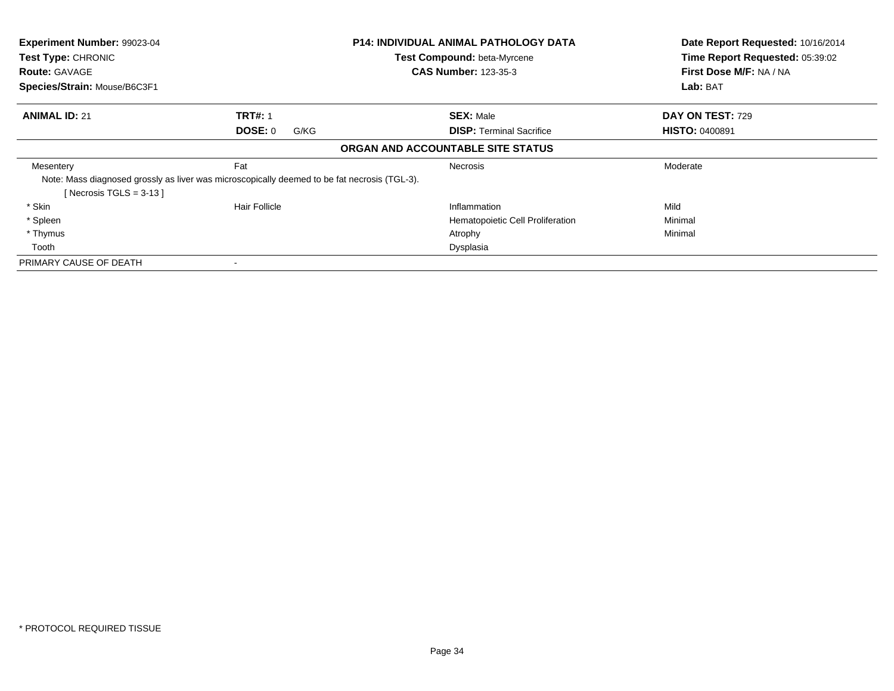| Experiment Number: 99023-04<br>Test Type: CHRONIC<br><b>Route: GAVAGE</b> |                                                                                              | P14: INDIVIDUAL ANIMAL PATHOLOGY DATA<br>Test Compound: beta-Myrcene<br><b>CAS Number: 123-35-3</b> | Date Report Requested: 10/16/2014<br>Time Report Requested: 05:39:02<br>First Dose M/F: NA / NA |
|---------------------------------------------------------------------------|----------------------------------------------------------------------------------------------|-----------------------------------------------------------------------------------------------------|-------------------------------------------------------------------------------------------------|
| Species/Strain: Mouse/B6C3F1                                              |                                                                                              |                                                                                                     | Lab: BAT                                                                                        |
| <b>ANIMAL ID: 21</b>                                                      | <b>TRT#: 1</b>                                                                               | <b>SEX: Male</b>                                                                                    | <b>DAY ON TEST: 729</b>                                                                         |
|                                                                           | <b>DOSE: 0</b><br>G/KG                                                                       | <b>DISP:</b> Terminal Sacrifice                                                                     | <b>HISTO: 0400891</b>                                                                           |
|                                                                           |                                                                                              | ORGAN AND ACCOUNTABLE SITE STATUS                                                                   |                                                                                                 |
| Mesentery                                                                 | Fat                                                                                          | <b>Necrosis</b>                                                                                     | Moderate                                                                                        |
| Necrosis $TGLS = 3-13$                                                    | Note: Mass diagnosed grossly as liver was microscopically deemed to be fat necrosis (TGL-3). |                                                                                                     |                                                                                                 |
| * Skin                                                                    | Hair Follicle                                                                                | Inflammation                                                                                        | Mild                                                                                            |
| * Spleen                                                                  |                                                                                              | Hematopoietic Cell Proliferation                                                                    | Minimal                                                                                         |
| * Thymus                                                                  |                                                                                              | Atrophy                                                                                             | Minimal                                                                                         |
| Tooth                                                                     |                                                                                              | Dysplasia                                                                                           |                                                                                                 |
| PRIMARY CAUSE OF DEATH                                                    |                                                                                              |                                                                                                     |                                                                                                 |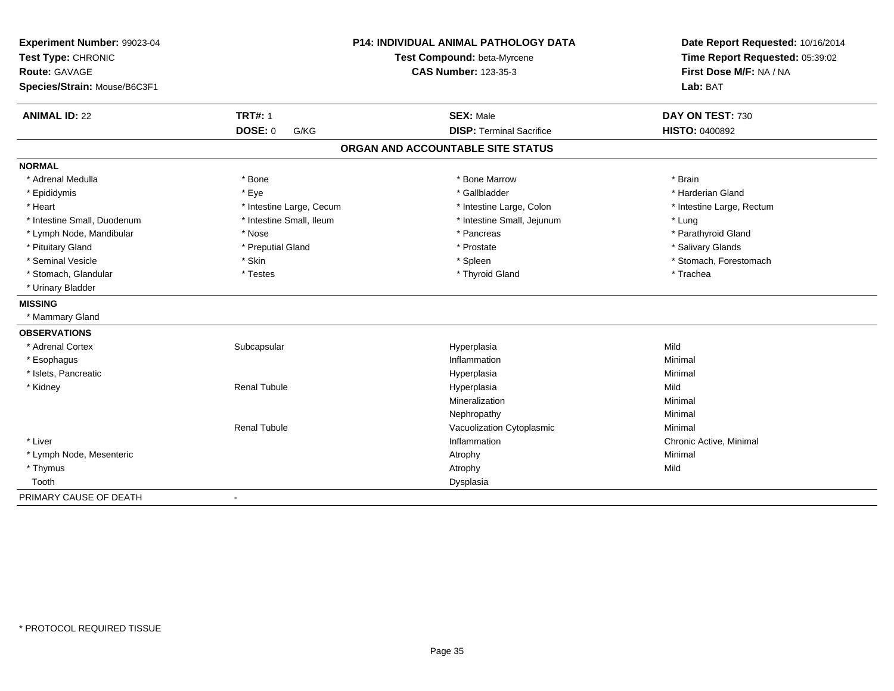| Experiment Number: 99023-04<br>Test Type: CHRONIC<br><b>Route: GAVAGE</b><br>Species/Strain: Mouse/B6C3F1 |                          | <b>P14: INDIVIDUAL ANIMAL PATHOLOGY DATA</b><br>Test Compound: beta-Myrcene<br><b>CAS Number: 123-35-3</b> | Date Report Requested: 10/16/2014<br>Time Report Requested: 05:39:02<br>First Dose M/F: NA / NA<br>Lab: BAT |  |
|-----------------------------------------------------------------------------------------------------------|--------------------------|------------------------------------------------------------------------------------------------------------|-------------------------------------------------------------------------------------------------------------|--|
| <b>ANIMAL ID: 22</b>                                                                                      | <b>TRT#: 1</b>           | <b>SEX: Male</b>                                                                                           | DAY ON TEST: 730                                                                                            |  |
|                                                                                                           | <b>DOSE: 0</b><br>G/KG   | <b>DISP: Terminal Sacrifice</b>                                                                            | <b>HISTO: 0400892</b>                                                                                       |  |
|                                                                                                           |                          | ORGAN AND ACCOUNTABLE SITE STATUS                                                                          |                                                                                                             |  |
| <b>NORMAL</b>                                                                                             |                          |                                                                                                            |                                                                                                             |  |
| * Adrenal Medulla                                                                                         | * Bone                   | * Bone Marrow                                                                                              | * Brain                                                                                                     |  |
| * Epididymis                                                                                              | * Eye                    | * Gallbladder                                                                                              | * Harderian Gland                                                                                           |  |
| * Heart                                                                                                   | * Intestine Large, Cecum | * Intestine Large, Colon                                                                                   | * Intestine Large, Rectum                                                                                   |  |
| * Intestine Small, Duodenum                                                                               | * Intestine Small, Ileum | * Intestine Small, Jejunum                                                                                 | * Lung                                                                                                      |  |
| * Lymph Node, Mandibular                                                                                  | * Nose                   | * Pancreas                                                                                                 | * Parathyroid Gland                                                                                         |  |
| * Pituitary Gland                                                                                         | * Preputial Gland        | * Prostate                                                                                                 | * Salivary Glands                                                                                           |  |
| * Seminal Vesicle                                                                                         | * Skin                   | * Spleen                                                                                                   | * Stomach, Forestomach                                                                                      |  |
| * Stomach, Glandular                                                                                      | * Testes                 | * Thyroid Gland                                                                                            | * Trachea                                                                                                   |  |
| * Urinary Bladder                                                                                         |                          |                                                                                                            |                                                                                                             |  |
| <b>MISSING</b>                                                                                            |                          |                                                                                                            |                                                                                                             |  |
| * Mammary Gland                                                                                           |                          |                                                                                                            |                                                                                                             |  |
| <b>OBSERVATIONS</b>                                                                                       |                          |                                                                                                            |                                                                                                             |  |
| * Adrenal Cortex                                                                                          | Subcapsular              | Hyperplasia                                                                                                | Mild                                                                                                        |  |
| * Esophagus                                                                                               |                          | Inflammation                                                                                               | Minimal                                                                                                     |  |
| * Islets, Pancreatic                                                                                      |                          | Hyperplasia                                                                                                | Minimal                                                                                                     |  |
| * Kidney                                                                                                  | <b>Renal Tubule</b>      | Hyperplasia                                                                                                | Mild                                                                                                        |  |
|                                                                                                           |                          | Mineralization                                                                                             | Minimal                                                                                                     |  |
|                                                                                                           |                          | Nephropathy                                                                                                | Minimal                                                                                                     |  |
|                                                                                                           | <b>Renal Tubule</b>      | Vacuolization Cytoplasmic                                                                                  | Minimal                                                                                                     |  |
| * Liver                                                                                                   |                          | Inflammation                                                                                               | Chronic Active, Minimal                                                                                     |  |
| * Lymph Node, Mesenteric                                                                                  |                          | Atrophy                                                                                                    | Minimal                                                                                                     |  |
| * Thymus                                                                                                  |                          | Atrophy                                                                                                    | Mild                                                                                                        |  |
| Tooth                                                                                                     |                          | Dysplasia                                                                                                  |                                                                                                             |  |
| PRIMARY CAUSE OF DEATH                                                                                    | $\overline{\phantom{a}}$ |                                                                                                            |                                                                                                             |  |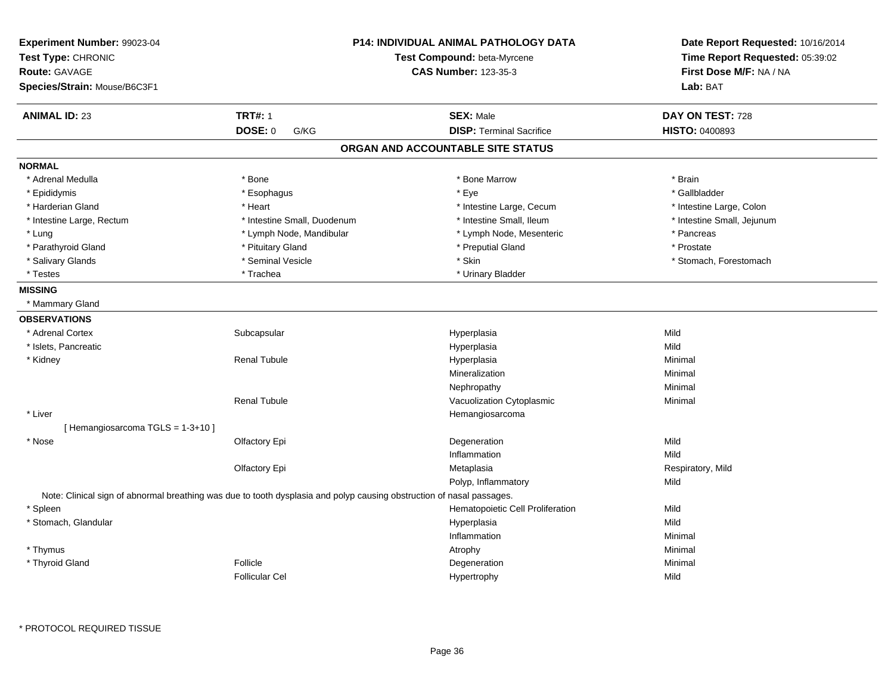| Experiment Number: 99023-04<br>Test Type: CHRONIC<br>Route: GAVAGE<br>Species/Strain: Mouse/B6C3F1 |                                                                                                                       | <b>P14: INDIVIDUAL ANIMAL PATHOLOGY DATA</b><br>Test Compound: beta-Myrcene<br><b>CAS Number: 123-35-3</b> | Date Report Requested: 10/16/2014<br>Time Report Requested: 05:39:02<br>First Dose M/F: NA / NA<br>Lab: BAT |
|----------------------------------------------------------------------------------------------------|-----------------------------------------------------------------------------------------------------------------------|------------------------------------------------------------------------------------------------------------|-------------------------------------------------------------------------------------------------------------|
| <b>ANIMAL ID: 23</b>                                                                               | <b>TRT#: 1</b>                                                                                                        | <b>SEX: Male</b>                                                                                           | DAY ON TEST: 728                                                                                            |
|                                                                                                    | <b>DOSE: 0</b><br>G/KG                                                                                                | <b>DISP: Terminal Sacrifice</b>                                                                            | <b>HISTO: 0400893</b>                                                                                       |
|                                                                                                    |                                                                                                                       | ORGAN AND ACCOUNTABLE SITE STATUS                                                                          |                                                                                                             |
| <b>NORMAL</b>                                                                                      |                                                                                                                       |                                                                                                            |                                                                                                             |
| * Adrenal Medulla                                                                                  | * Bone                                                                                                                | * Bone Marrow                                                                                              | * Brain                                                                                                     |
| * Epididymis                                                                                       | * Esophagus                                                                                                           | * Eye                                                                                                      | * Gallbladder                                                                                               |
| * Harderian Gland                                                                                  | * Heart                                                                                                               | * Intestine Large, Cecum                                                                                   | * Intestine Large, Colon                                                                                    |
| * Intestine Large, Rectum                                                                          | * Intestine Small, Duodenum                                                                                           | * Intestine Small, Ileum                                                                                   | * Intestine Small, Jejunum                                                                                  |
| * Lung                                                                                             | * Lymph Node, Mandibular                                                                                              | * Lymph Node, Mesenteric                                                                                   | * Pancreas                                                                                                  |
| * Parathyroid Gland                                                                                | * Pituitary Gland                                                                                                     | * Preputial Gland                                                                                          | * Prostate                                                                                                  |
| * Salivary Glands                                                                                  | * Seminal Vesicle                                                                                                     | * Skin                                                                                                     | * Stomach, Forestomach                                                                                      |
| * Testes                                                                                           | * Trachea                                                                                                             | * Urinary Bladder                                                                                          |                                                                                                             |
| <b>MISSING</b>                                                                                     |                                                                                                                       |                                                                                                            |                                                                                                             |
| * Mammary Gland                                                                                    |                                                                                                                       |                                                                                                            |                                                                                                             |
| <b>OBSERVATIONS</b>                                                                                |                                                                                                                       |                                                                                                            |                                                                                                             |
| * Adrenal Cortex                                                                                   | Subcapsular                                                                                                           | Hyperplasia                                                                                                | Mild                                                                                                        |
| * Islets, Pancreatic                                                                               |                                                                                                                       | Hyperplasia                                                                                                | Mild                                                                                                        |
| * Kidney                                                                                           | <b>Renal Tubule</b>                                                                                                   | Hyperplasia                                                                                                | Minimal                                                                                                     |
|                                                                                                    |                                                                                                                       | Mineralization                                                                                             | Minimal                                                                                                     |
|                                                                                                    |                                                                                                                       | Nephropathy                                                                                                | Minimal                                                                                                     |
|                                                                                                    | <b>Renal Tubule</b>                                                                                                   | Vacuolization Cytoplasmic                                                                                  | Minimal                                                                                                     |
| * Liver                                                                                            |                                                                                                                       | Hemangiosarcoma                                                                                            |                                                                                                             |
| [Hemangiosarcoma TGLS = 1-3+10]                                                                    |                                                                                                                       |                                                                                                            |                                                                                                             |
| * Nose                                                                                             | Olfactory Epi                                                                                                         | Degeneration                                                                                               | Mild                                                                                                        |
|                                                                                                    |                                                                                                                       | Inflammation                                                                                               | Mild                                                                                                        |
|                                                                                                    | Olfactory Epi                                                                                                         | Metaplasia                                                                                                 | Respiratory, Mild                                                                                           |
|                                                                                                    |                                                                                                                       | Polyp, Inflammatory                                                                                        | Mild                                                                                                        |
|                                                                                                    | Note: Clinical sign of abnormal breathing was due to tooth dysplasia and polyp causing obstruction of nasal passages. |                                                                                                            |                                                                                                             |
| * Spleen                                                                                           |                                                                                                                       | Hematopoietic Cell Proliferation                                                                           | Mild                                                                                                        |
| * Stomach, Glandular                                                                               |                                                                                                                       | Hyperplasia                                                                                                | Mild                                                                                                        |
|                                                                                                    |                                                                                                                       | Inflammation                                                                                               | Minimal                                                                                                     |
| * Thymus                                                                                           |                                                                                                                       | Atrophy                                                                                                    | Minimal                                                                                                     |
| * Thyroid Gland                                                                                    | Follicle                                                                                                              | Degeneration                                                                                               | Minimal                                                                                                     |
|                                                                                                    | <b>Follicular Cel</b>                                                                                                 | Hypertrophy                                                                                                | Mild                                                                                                        |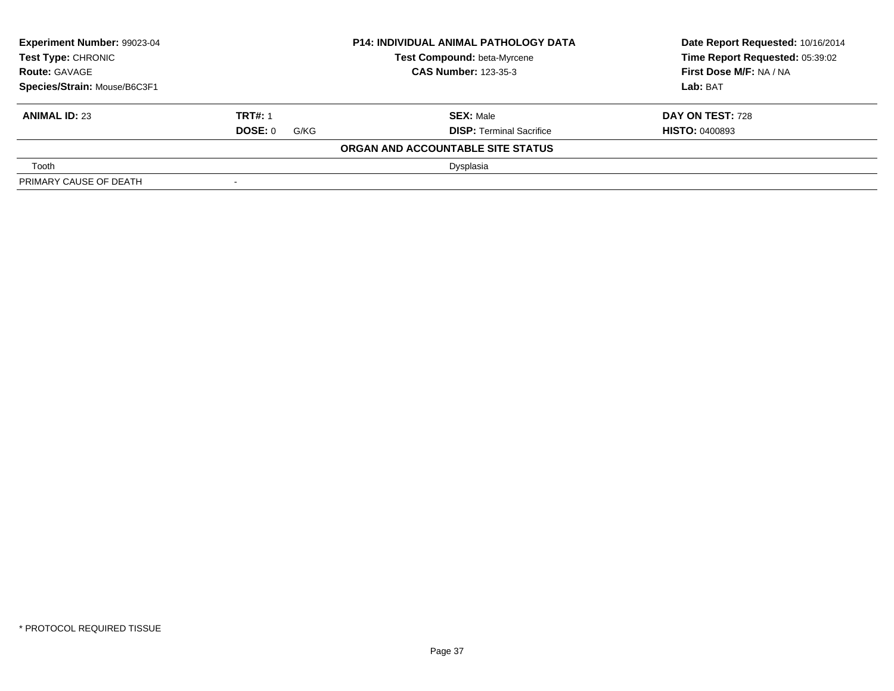| <b>Experiment Number: 99023-04</b><br>Test Type: CHRONIC |                             | <b>P14: INDIVIDUAL ANIMAL PATHOLOGY DATA</b> | Date Report Requested: 10/16/2014 |  |
|----------------------------------------------------------|-----------------------------|----------------------------------------------|-----------------------------------|--|
|                                                          |                             | Test Compound: beta-Myrcene                  | Time Report Requested: 05:39:02   |  |
| <b>Route: GAVAGE</b>                                     | <b>CAS Number: 123-35-3</b> |                                              | <b>First Dose M/F: NA / NA</b>    |  |
| Species/Strain: Mouse/B6C3F1                             |                             |                                              | Lab: BAT                          |  |
| <b>ANIMAL ID: 23</b>                                     | <b>TRT#: 1</b>              | <b>SEX: Male</b>                             | <b>DAY ON TEST: 728</b>           |  |
|                                                          | <b>DOSE: 0</b><br>G/KG      | <b>DISP: Terminal Sacrifice</b>              | <b>HISTO: 0400893</b>             |  |
|                                                          |                             | ORGAN AND ACCOUNTABLE SITE STATUS            |                                   |  |
| Tooth                                                    |                             | Dysplasia                                    |                                   |  |
| PRIMARY CAUSE OF DEATH                                   | $\,$                        |                                              |                                   |  |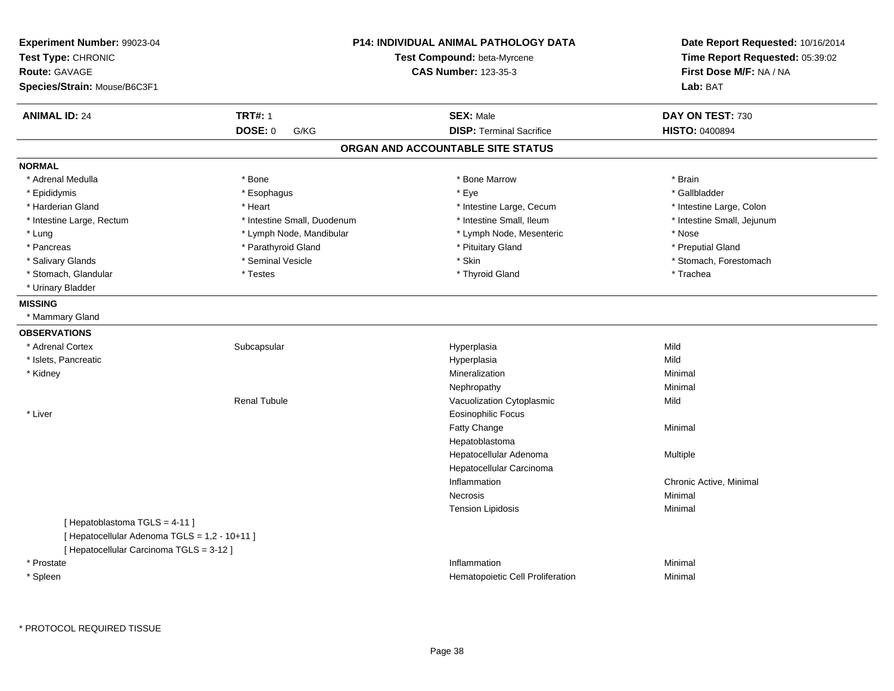| Experiment Number: 99023-04<br>Test Type: CHRONIC<br><b>Route: GAVAGE</b><br>Species/Strain: Mouse/B6C3F1 |                             | <b>P14: INDIVIDUAL ANIMAL PATHOLOGY DATA</b><br>Test Compound: beta-Myrcene<br><b>CAS Number: 123-35-3</b> | Date Report Requested: 10/16/2014<br>Time Report Requested: 05:39:02<br>First Dose M/F: NA / NA<br>Lab: BAT |  |
|-----------------------------------------------------------------------------------------------------------|-----------------------------|------------------------------------------------------------------------------------------------------------|-------------------------------------------------------------------------------------------------------------|--|
| <b>ANIMAL ID: 24</b>                                                                                      | <b>TRT#: 1</b>              | <b>SEX: Male</b>                                                                                           | DAY ON TEST: 730                                                                                            |  |
|                                                                                                           | <b>DOSE: 0</b><br>G/KG      | <b>DISP: Terminal Sacrifice</b>                                                                            | HISTO: 0400894                                                                                              |  |
|                                                                                                           |                             | ORGAN AND ACCOUNTABLE SITE STATUS                                                                          |                                                                                                             |  |
| <b>NORMAL</b>                                                                                             |                             |                                                                                                            |                                                                                                             |  |
| * Adrenal Medulla                                                                                         | * Bone                      | * Bone Marrow                                                                                              | * Brain                                                                                                     |  |
| * Epididymis                                                                                              | * Esophagus                 | * Eye                                                                                                      | * Gallbladder                                                                                               |  |
| * Harderian Gland                                                                                         | * Heart                     | * Intestine Large, Cecum                                                                                   | * Intestine Large, Colon                                                                                    |  |
| * Intestine Large, Rectum                                                                                 | * Intestine Small, Duodenum | * Intestine Small, Ileum                                                                                   | * Intestine Small, Jejunum                                                                                  |  |
| * Lung                                                                                                    | * Lymph Node, Mandibular    | * Lymph Node, Mesenteric                                                                                   | * Nose                                                                                                      |  |
| * Pancreas                                                                                                | * Parathyroid Gland         | * Pituitary Gland                                                                                          | * Preputial Gland                                                                                           |  |
| * Salivary Glands                                                                                         | * Seminal Vesicle           | * Skin                                                                                                     | * Stomach, Forestomach                                                                                      |  |
| * Stomach, Glandular                                                                                      | * Testes                    | * Thyroid Gland                                                                                            | * Trachea                                                                                                   |  |
| * Urinary Bladder                                                                                         |                             |                                                                                                            |                                                                                                             |  |
| <b>MISSING</b>                                                                                            |                             |                                                                                                            |                                                                                                             |  |
| * Mammary Gland                                                                                           |                             |                                                                                                            |                                                                                                             |  |
| <b>OBSERVATIONS</b>                                                                                       |                             |                                                                                                            |                                                                                                             |  |
| * Adrenal Cortex                                                                                          | Subcapsular                 | Hyperplasia                                                                                                | Mild                                                                                                        |  |
| * Islets, Pancreatic                                                                                      |                             | Hyperplasia                                                                                                | Mild                                                                                                        |  |
| * Kidney                                                                                                  |                             | Mineralization                                                                                             | Minimal                                                                                                     |  |
|                                                                                                           |                             | Nephropathy                                                                                                | Minimal                                                                                                     |  |
|                                                                                                           | <b>Renal Tubule</b>         | Vacuolization Cytoplasmic                                                                                  | Mild                                                                                                        |  |
| * Liver                                                                                                   |                             | <b>Eosinophilic Focus</b>                                                                                  |                                                                                                             |  |
|                                                                                                           |                             | Fatty Change                                                                                               | Minimal                                                                                                     |  |
|                                                                                                           |                             | Hepatoblastoma                                                                                             |                                                                                                             |  |
|                                                                                                           |                             | Hepatocellular Adenoma                                                                                     | Multiple                                                                                                    |  |
|                                                                                                           |                             | Hepatocellular Carcinoma                                                                                   |                                                                                                             |  |
|                                                                                                           |                             | Inflammation                                                                                               | Chronic Active, Minimal                                                                                     |  |
|                                                                                                           |                             | Necrosis                                                                                                   | Minimal                                                                                                     |  |
|                                                                                                           |                             | <b>Tension Lipidosis</b>                                                                                   | Minimal                                                                                                     |  |
| [Hepatoblastoma TGLS = 4-11]                                                                              |                             |                                                                                                            |                                                                                                             |  |
| [ Hepatocellular Adenoma TGLS = 1,2 - 10+11 ]                                                             |                             |                                                                                                            |                                                                                                             |  |
| [ Hepatocellular Carcinoma TGLS = 3-12 ]                                                                  |                             |                                                                                                            |                                                                                                             |  |
| * Prostate                                                                                                |                             | Inflammation                                                                                               | Minimal                                                                                                     |  |
| * Spleen                                                                                                  |                             | Hematopoietic Cell Proliferation                                                                           | Minimal                                                                                                     |  |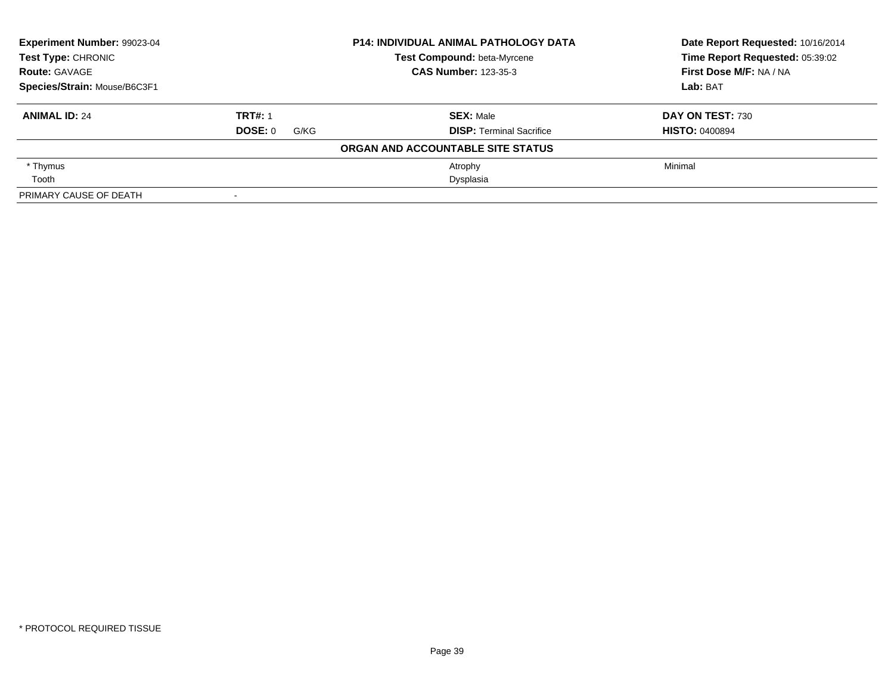| Experiment Number: 99023-04<br><b>Test Type: CHRONIC</b> |                 | <b>P14: INDIVIDUAL ANIMAL PATHOLOGY DATA</b> | Date Report Requested: 10/16/2014 |  |
|----------------------------------------------------------|-----------------|----------------------------------------------|-----------------------------------|--|
|                                                          |                 | Test Compound: beta-Myrcene                  | Time Report Requested: 05:39:02   |  |
| <b>Route: GAVAGE</b>                                     |                 | <b>CAS Number: 123-35-3</b>                  | First Dose M/F: NA / NA           |  |
| Species/Strain: Mouse/B6C3F1                             |                 |                                              | Lab: BAT                          |  |
| <b>ANIMAL ID: 24</b>                                     | <b>TRT#: 1</b>  | <b>SEX: Male</b>                             | DAY ON TEST: 730                  |  |
|                                                          | DOSE: 0<br>G/KG | <b>DISP:</b> Terminal Sacrifice              | <b>HISTO: 0400894</b>             |  |
|                                                          |                 | ORGAN AND ACCOUNTABLE SITE STATUS            |                                   |  |
| * Thymus                                                 |                 | Atrophy                                      | Minimal                           |  |
| Tooth                                                    |                 | Dysplasia                                    |                                   |  |
| PRIMARY CAUSE OF DEATH                                   |                 |                                              |                                   |  |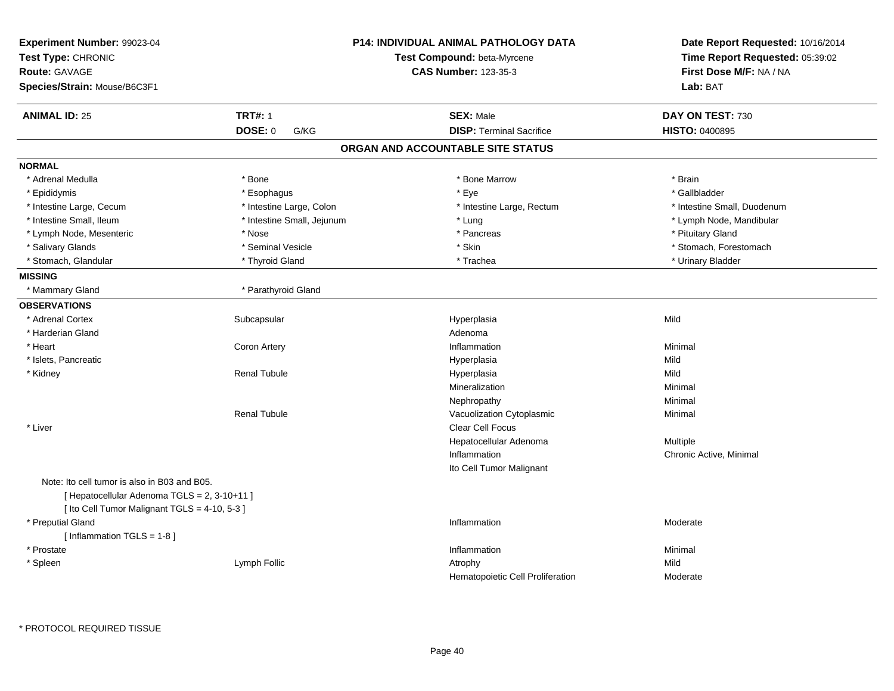| Experiment Number: 99023-04<br>Test Type: CHRONIC<br><b>Route: GAVAGE</b><br>Species/Strain: Mouse/B6C3F1 |                            | <b>P14: INDIVIDUAL ANIMAL PATHOLOGY DATA</b><br>Test Compound: beta-Myrcene<br><b>CAS Number: 123-35-3</b> | Date Report Requested: 10/16/2014<br>Time Report Requested: 05:39:02<br>First Dose M/F: NA / NA<br>Lab: BAT |  |
|-----------------------------------------------------------------------------------------------------------|----------------------------|------------------------------------------------------------------------------------------------------------|-------------------------------------------------------------------------------------------------------------|--|
|                                                                                                           |                            |                                                                                                            |                                                                                                             |  |
| <b>ANIMAL ID: 25</b>                                                                                      | <b>TRT#: 1</b>             | <b>SEX: Male</b>                                                                                           | DAY ON TEST: 730                                                                                            |  |
|                                                                                                           | <b>DOSE: 0</b><br>G/KG     | <b>DISP: Terminal Sacrifice</b>                                                                            | <b>HISTO: 0400895</b>                                                                                       |  |
|                                                                                                           |                            | ORGAN AND ACCOUNTABLE SITE STATUS                                                                          |                                                                                                             |  |
| <b>NORMAL</b>                                                                                             |                            |                                                                                                            |                                                                                                             |  |
| * Adrenal Medulla                                                                                         | * Bone                     | * Bone Marrow                                                                                              | * Brain                                                                                                     |  |
| * Epididymis                                                                                              | * Esophagus                | * Eye                                                                                                      | * Gallbladder                                                                                               |  |
| * Intestine Large, Cecum                                                                                  | * Intestine Large, Colon   | * Intestine Large, Rectum                                                                                  | * Intestine Small, Duodenum                                                                                 |  |
| * Intestine Small, Ileum                                                                                  | * Intestine Small, Jejunum | * Lung                                                                                                     | * Lymph Node, Mandibular                                                                                    |  |
| * Lymph Node, Mesenteric                                                                                  | * Nose                     | * Pancreas                                                                                                 | * Pituitary Gland                                                                                           |  |
| * Salivary Glands                                                                                         | * Seminal Vesicle          | * Skin                                                                                                     | * Stomach, Forestomach                                                                                      |  |
| * Stomach, Glandular                                                                                      | * Thyroid Gland            | * Trachea                                                                                                  | * Urinary Bladder                                                                                           |  |
| <b>MISSING</b>                                                                                            |                            |                                                                                                            |                                                                                                             |  |
| * Mammary Gland                                                                                           | * Parathyroid Gland        |                                                                                                            |                                                                                                             |  |
| <b>OBSERVATIONS</b>                                                                                       |                            |                                                                                                            |                                                                                                             |  |
| * Adrenal Cortex                                                                                          | Subcapsular                | Hyperplasia                                                                                                | Mild                                                                                                        |  |
| * Harderian Gland                                                                                         |                            | Adenoma                                                                                                    |                                                                                                             |  |
| * Heart                                                                                                   | Coron Artery               | Inflammation                                                                                               | Minimal                                                                                                     |  |
| * Islets, Pancreatic                                                                                      |                            | Hyperplasia                                                                                                | Mild                                                                                                        |  |
| * Kidney                                                                                                  | <b>Renal Tubule</b>        | Hyperplasia                                                                                                | Mild                                                                                                        |  |
|                                                                                                           |                            | Mineralization                                                                                             | Minimal                                                                                                     |  |
|                                                                                                           |                            | Nephropathy                                                                                                | Minimal                                                                                                     |  |
|                                                                                                           | <b>Renal Tubule</b>        | Vacuolization Cytoplasmic                                                                                  | Minimal                                                                                                     |  |
| * Liver                                                                                                   |                            | <b>Clear Cell Focus</b>                                                                                    |                                                                                                             |  |
|                                                                                                           |                            | Hepatocellular Adenoma                                                                                     | Multiple                                                                                                    |  |
|                                                                                                           |                            | Inflammation                                                                                               | Chronic Active, Minimal                                                                                     |  |
|                                                                                                           |                            | Ito Cell Tumor Malignant                                                                                   |                                                                                                             |  |
| Note: Ito cell tumor is also in B03 and B05.<br>[ Hepatocellular Adenoma TGLS = 2, 3-10+11 ]              |                            |                                                                                                            |                                                                                                             |  |
| [ Ito Cell Tumor Malignant TGLS = 4-10, 5-3 ]                                                             |                            |                                                                                                            |                                                                                                             |  |
| * Preputial Gland                                                                                         |                            | Inflammation                                                                                               | Moderate                                                                                                    |  |
| [Inflammation TGLS = 1-8]                                                                                 |                            |                                                                                                            |                                                                                                             |  |
| * Prostate                                                                                                |                            | Inflammation                                                                                               | Minimal<br>Mild                                                                                             |  |
| * Spleen                                                                                                  | Lymph Follic               | Atrophy                                                                                                    |                                                                                                             |  |
|                                                                                                           |                            | Hematopoietic Cell Proliferation                                                                           | Moderate                                                                                                    |  |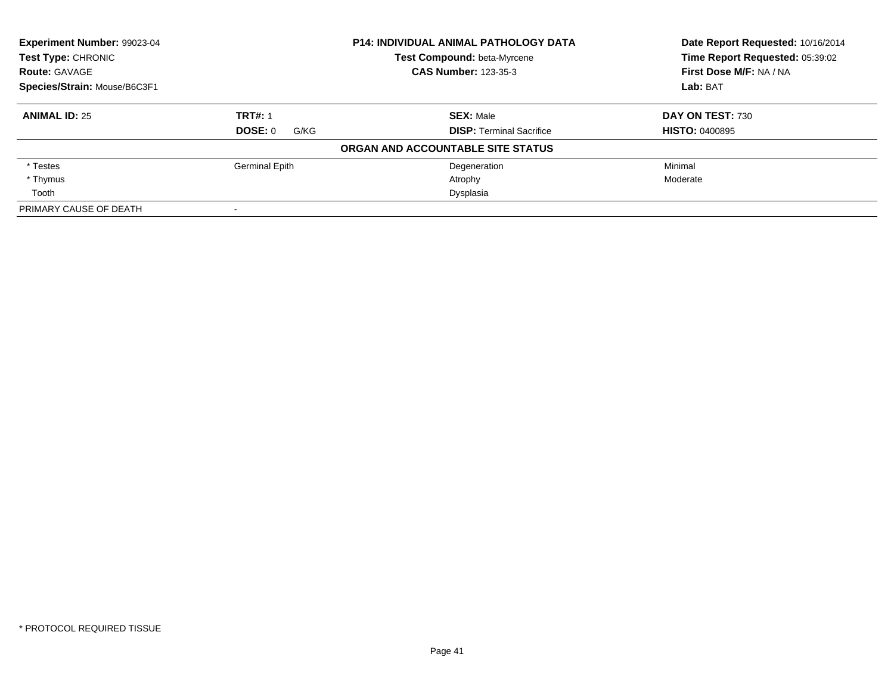| Experiment Number: 99023-04<br><b>Test Type: CHRONIC</b> |                 | <b>P14: INDIVIDUAL ANIMAL PATHOLOGY DATA</b> | Date Report Requested: 10/16/2014<br>Time Report Requested: 05:39:02 |
|----------------------------------------------------------|-----------------|----------------------------------------------|----------------------------------------------------------------------|
|                                                          |                 | Test Compound: beta-Myrcene                  |                                                                      |
| <b>Route: GAVAGE</b>                                     |                 | <b>CAS Number: 123-35-3</b>                  | First Dose M/F: NA / NA                                              |
| Species/Strain: Mouse/B6C3F1                             |                 |                                              | Lab: BAT                                                             |
| <b>ANIMAL ID: 25</b>                                     | <b>TRT#: 1</b>  | <b>SEX: Male</b>                             | DAY ON TEST: 730                                                     |
|                                                          | DOSE: 0<br>G/KG | <b>DISP:</b> Terminal Sacrifice              | <b>HISTO: 0400895</b>                                                |
|                                                          |                 | ORGAN AND ACCOUNTABLE SITE STATUS            |                                                                      |
| * Testes                                                 | Germinal Epith  | Degeneration                                 | Minimal                                                              |
| * Thymus                                                 |                 | Atrophy                                      | Moderate                                                             |
| Tooth                                                    |                 | Dysplasia                                    |                                                                      |
| PRIMARY CAUSE OF DEATH                                   |                 |                                              |                                                                      |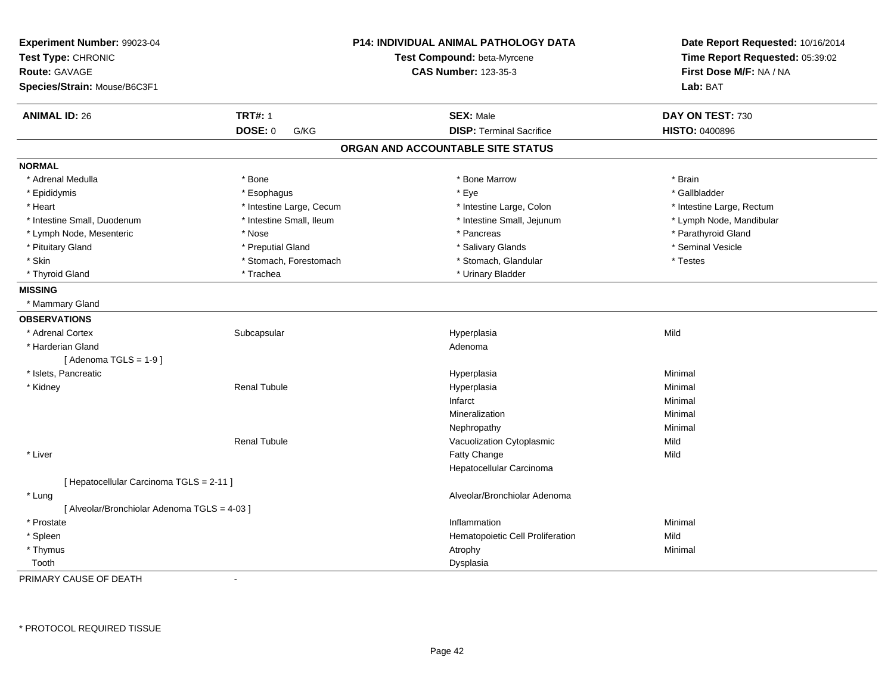| Experiment Number: 99023-04<br>Test Type: CHRONIC<br><b>Route: GAVAGE</b><br>Species/Strain: Mouse/B6C3F1 |                          | <b>P14: INDIVIDUAL ANIMAL PATHOLOGY DATA</b><br>Test Compound: beta-Myrcene<br><b>CAS Number: 123-35-3</b> | Date Report Requested: 10/16/2014<br>Time Report Requested: 05:39:02<br>First Dose M/F: NA / NA<br>Lab: BAT |
|-----------------------------------------------------------------------------------------------------------|--------------------------|------------------------------------------------------------------------------------------------------------|-------------------------------------------------------------------------------------------------------------|
| <b>ANIMAL ID: 26</b>                                                                                      | <b>TRT#: 1</b>           | <b>SEX: Male</b>                                                                                           | DAY ON TEST: 730                                                                                            |
|                                                                                                           | DOSE: 0<br>G/KG          | <b>DISP: Terminal Sacrifice</b>                                                                            | <b>HISTO: 0400896</b>                                                                                       |
|                                                                                                           |                          | ORGAN AND ACCOUNTABLE SITE STATUS                                                                          |                                                                                                             |
| <b>NORMAL</b>                                                                                             |                          |                                                                                                            |                                                                                                             |
| * Adrenal Medulla                                                                                         | * Bone                   | * Bone Marrow                                                                                              | * Brain                                                                                                     |
| * Epididymis                                                                                              | * Esophagus              | * Eye                                                                                                      | * Gallbladder                                                                                               |
| * Heart                                                                                                   | * Intestine Large, Cecum | * Intestine Large, Colon                                                                                   | * Intestine Large, Rectum                                                                                   |
| * Intestine Small, Duodenum                                                                               | * Intestine Small, Ileum | * Intestine Small, Jejunum                                                                                 | * Lymph Node, Mandibular                                                                                    |
| * Lymph Node, Mesenteric                                                                                  | * Nose                   | * Pancreas                                                                                                 | * Parathyroid Gland                                                                                         |
| * Pituitary Gland                                                                                         | * Preputial Gland        | * Salivary Glands                                                                                          | * Seminal Vesicle                                                                                           |
| * Skin                                                                                                    | * Stomach, Forestomach   | * Stomach, Glandular                                                                                       | * Testes                                                                                                    |
| * Thyroid Gland                                                                                           | * Trachea                | * Urinary Bladder                                                                                          |                                                                                                             |
| <b>MISSING</b>                                                                                            |                          |                                                                                                            |                                                                                                             |
| * Mammary Gland                                                                                           |                          |                                                                                                            |                                                                                                             |
| <b>OBSERVATIONS</b>                                                                                       |                          |                                                                                                            |                                                                                                             |
| * Adrenal Cortex                                                                                          | Subcapsular              | Hyperplasia                                                                                                | Mild                                                                                                        |
| * Harderian Gland                                                                                         |                          | Adenoma                                                                                                    |                                                                                                             |
| [Adenoma TGLS = $1-9$ ]                                                                                   |                          |                                                                                                            |                                                                                                             |
| * Islets, Pancreatic                                                                                      |                          | Hyperplasia                                                                                                | Minimal                                                                                                     |
| * Kidney                                                                                                  | <b>Renal Tubule</b>      | Hyperplasia                                                                                                | Minimal                                                                                                     |
|                                                                                                           |                          | Infarct                                                                                                    | Minimal                                                                                                     |
|                                                                                                           |                          | Mineralization                                                                                             | Minimal                                                                                                     |
|                                                                                                           |                          | Nephropathy                                                                                                | Minimal                                                                                                     |
|                                                                                                           | <b>Renal Tubule</b>      | Vacuolization Cytoplasmic                                                                                  | Mild                                                                                                        |
| * Liver                                                                                                   |                          | Fatty Change                                                                                               | Mild                                                                                                        |
|                                                                                                           |                          | Hepatocellular Carcinoma                                                                                   |                                                                                                             |
| [ Hepatocellular Carcinoma TGLS = 2-11 ]                                                                  |                          |                                                                                                            |                                                                                                             |
| * Lung                                                                                                    |                          | Alveolar/Bronchiolar Adenoma                                                                               |                                                                                                             |
| [ Alveolar/Bronchiolar Adenoma TGLS = 4-03 ]                                                              |                          |                                                                                                            |                                                                                                             |
| * Prostate                                                                                                |                          | Inflammation                                                                                               | Minimal                                                                                                     |
| * Spleen                                                                                                  |                          | Hematopoietic Cell Proliferation                                                                           | Mild                                                                                                        |
| * Thymus                                                                                                  |                          | Atrophy                                                                                                    | Minimal                                                                                                     |
| Tooth                                                                                                     |                          | Dysplasia                                                                                                  |                                                                                                             |

PRIMARY CAUSE OF DEATH-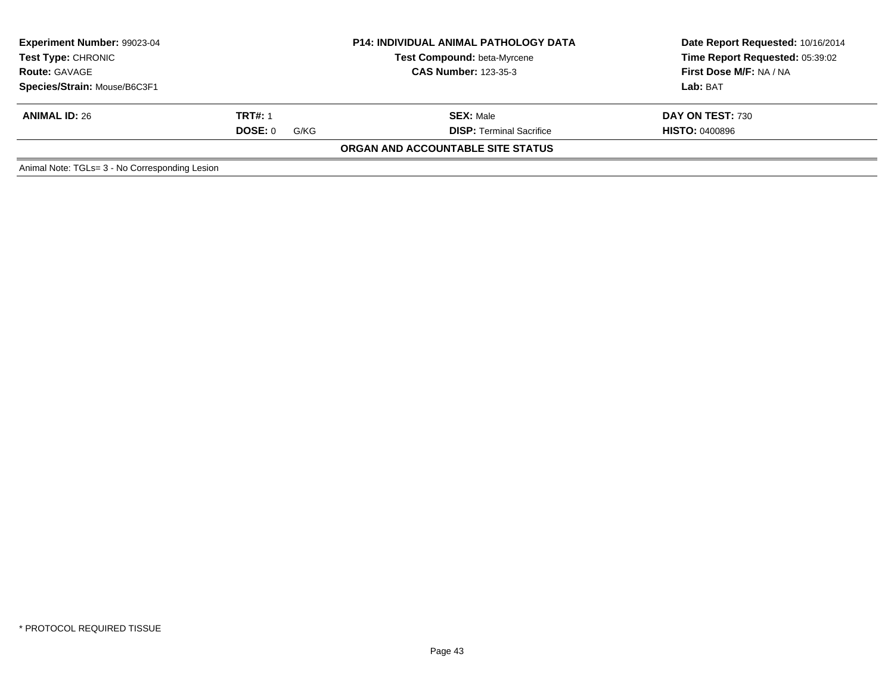| Experiment Number: 99023-04<br><b>Test Type: CHRONIC</b><br><b>Route: GAVAGE</b><br>Species/Strain: Mouse/B6C3F1 |                                   | <b>P14: INDIVIDUAL ANIMAL PATHOLOGY DATA</b><br><b>Test Compound: beta-Myrcene</b><br><b>CAS Number: 123-35-3</b> | Date Report Requested: 10/16/2014<br>Time Report Requested: 05:39:02<br>First Dose M/F: NA / NA<br>Lab: BAT |
|------------------------------------------------------------------------------------------------------------------|-----------------------------------|-------------------------------------------------------------------------------------------------------------------|-------------------------------------------------------------------------------------------------------------|
| <b>ANIMAL ID: 26</b>                                                                                             | <b>TRT#: 1</b><br>DOSE: 0<br>G/KG | <b>SEX: Male</b><br><b>DISP: Terminal Sacrifice</b>                                                               | DAY ON TEST: 730<br><b>HISTO: 0400896</b>                                                                   |
|                                                                                                                  |                                   | ORGAN AND ACCOUNTABLE SITE STATUS                                                                                 |                                                                                                             |
| Animal Note: TGLs= 3 - No Corresponding Lesion                                                                   |                                   |                                                                                                                   |                                                                                                             |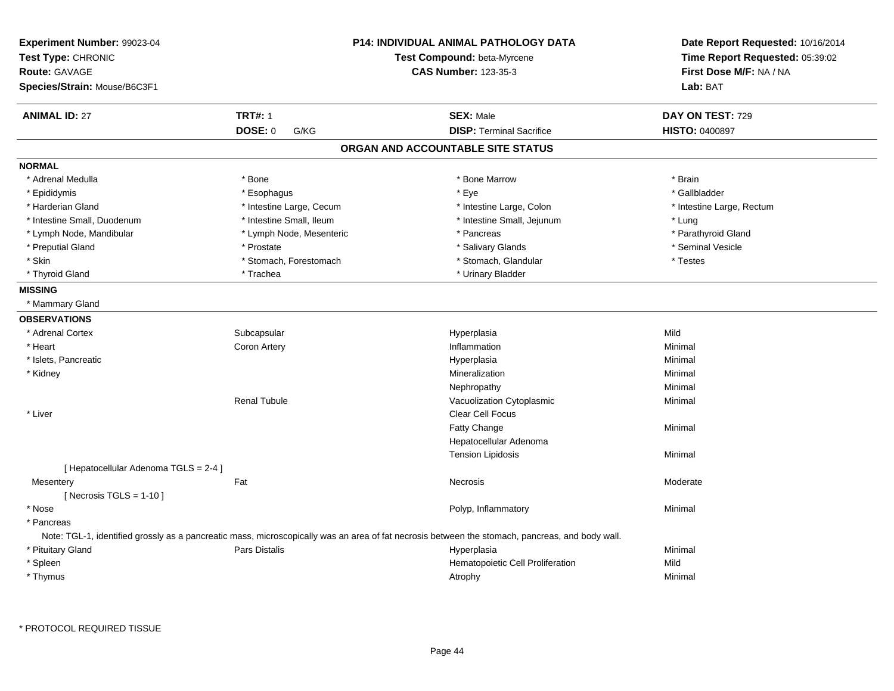| Experiment Number: 99023-04<br>Test Type: CHRONIC<br><b>Route: GAVAGE</b><br>Species/Strain: Mouse/B6C3F1 |                          | <b>P14: INDIVIDUAL ANIMAL PATHOLOGY DATA</b><br>Test Compound: beta-Myrcene<br><b>CAS Number: 123-35-3</b>                                      | Date Report Requested: 10/16/2014<br>Time Report Requested: 05:39:02<br>First Dose M/F: NA / NA<br>Lab: BAT |  |
|-----------------------------------------------------------------------------------------------------------|--------------------------|-------------------------------------------------------------------------------------------------------------------------------------------------|-------------------------------------------------------------------------------------------------------------|--|
| <b>ANIMAL ID: 27</b>                                                                                      | <b>TRT#: 1</b>           | <b>SEX: Male</b>                                                                                                                                | DAY ON TEST: 729                                                                                            |  |
|                                                                                                           | <b>DOSE: 0</b><br>G/KG   | <b>DISP: Terminal Sacrifice</b>                                                                                                                 | HISTO: 0400897                                                                                              |  |
|                                                                                                           |                          | ORGAN AND ACCOUNTABLE SITE STATUS                                                                                                               |                                                                                                             |  |
| <b>NORMAL</b>                                                                                             |                          |                                                                                                                                                 |                                                                                                             |  |
| * Adrenal Medulla                                                                                         | * Bone                   | * Bone Marrow                                                                                                                                   | * Brain                                                                                                     |  |
| * Epididymis                                                                                              | * Esophagus              | * Eye                                                                                                                                           | * Gallbladder                                                                                               |  |
| * Harderian Gland                                                                                         | * Intestine Large, Cecum | * Intestine Large, Colon                                                                                                                        | * Intestine Large, Rectum                                                                                   |  |
| * Intestine Small, Duodenum                                                                               | * Intestine Small, Ileum | * Intestine Small, Jejunum                                                                                                                      | * Lung                                                                                                      |  |
| * Lymph Node, Mandibular                                                                                  | * Lymph Node, Mesenteric | * Pancreas                                                                                                                                      | * Parathyroid Gland                                                                                         |  |
| * Preputial Gland                                                                                         | * Prostate               | * Salivary Glands                                                                                                                               | * Seminal Vesicle                                                                                           |  |
| * Skin                                                                                                    | * Stomach, Forestomach   | * Stomach, Glandular                                                                                                                            | * Testes                                                                                                    |  |
| * Thyroid Gland                                                                                           | * Trachea                | * Urinary Bladder                                                                                                                               |                                                                                                             |  |
| <b>MISSING</b>                                                                                            |                          |                                                                                                                                                 |                                                                                                             |  |
| * Mammary Gland                                                                                           |                          |                                                                                                                                                 |                                                                                                             |  |
| <b>OBSERVATIONS</b>                                                                                       |                          |                                                                                                                                                 |                                                                                                             |  |
| * Adrenal Cortex                                                                                          | Subcapsular              | Hyperplasia                                                                                                                                     | Mild                                                                                                        |  |
| * Heart                                                                                                   | Coron Artery             | Inflammation                                                                                                                                    | Minimal                                                                                                     |  |
| * Islets, Pancreatic                                                                                      |                          | Hyperplasia                                                                                                                                     | Minimal                                                                                                     |  |
| * Kidney                                                                                                  |                          | Mineralization                                                                                                                                  | Minimal                                                                                                     |  |
|                                                                                                           |                          | Nephropathy                                                                                                                                     | Minimal                                                                                                     |  |
|                                                                                                           | <b>Renal Tubule</b>      | Vacuolization Cytoplasmic                                                                                                                       | Minimal                                                                                                     |  |
| * Liver                                                                                                   |                          | <b>Clear Cell Focus</b>                                                                                                                         |                                                                                                             |  |
|                                                                                                           |                          | Fatty Change                                                                                                                                    | Minimal                                                                                                     |  |
|                                                                                                           |                          | Hepatocellular Adenoma                                                                                                                          |                                                                                                             |  |
|                                                                                                           |                          | <b>Tension Lipidosis</b>                                                                                                                        | Minimal                                                                                                     |  |
| [ Hepatocellular Adenoma TGLS = 2-4 ]                                                                     |                          |                                                                                                                                                 |                                                                                                             |  |
| Mesentery                                                                                                 | Fat                      | Necrosis                                                                                                                                        | Moderate                                                                                                    |  |
| [ Necrosis TGLS = $1-10$ ]                                                                                |                          |                                                                                                                                                 |                                                                                                             |  |
| * Nose                                                                                                    |                          | Polyp, Inflammatory                                                                                                                             | Minimal                                                                                                     |  |
| * Pancreas                                                                                                |                          |                                                                                                                                                 |                                                                                                             |  |
|                                                                                                           |                          | Note: TGL-1, identified grossly as a pancreatic mass, microscopically was an area of fat necrosis between the stomach, pancreas, and body wall. |                                                                                                             |  |
| * Pituitary Gland                                                                                         | Pars Distalis            | Hyperplasia                                                                                                                                     | Minimal                                                                                                     |  |
| * Spleen                                                                                                  |                          | Hematopoietic Cell Proliferation                                                                                                                | Mild                                                                                                        |  |
| * Thymus                                                                                                  |                          | Atrophy                                                                                                                                         | Minimal                                                                                                     |  |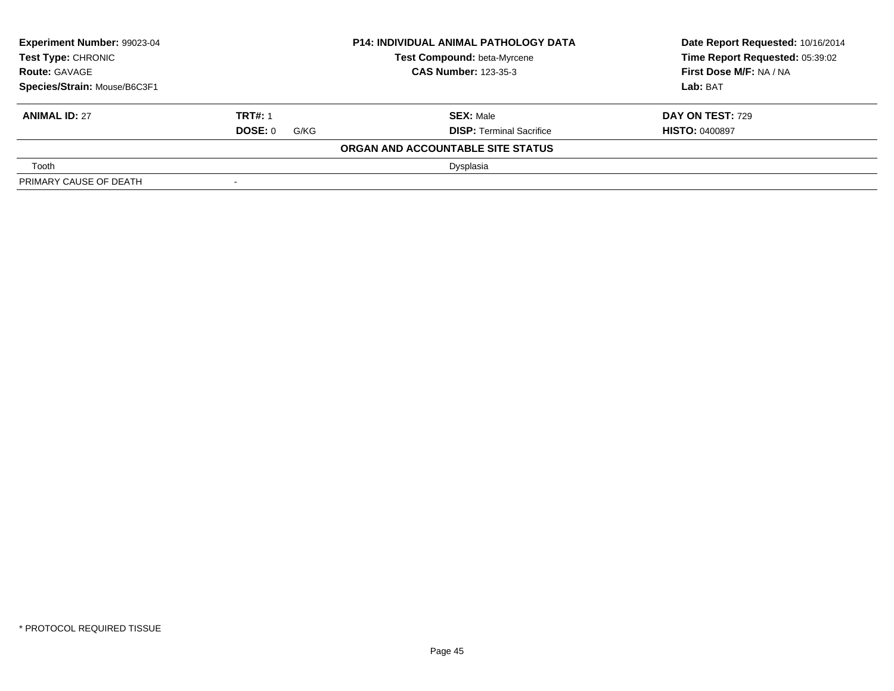| <b>Experiment Number: 99023-04</b><br>Test Type: CHRONIC |                             | <b>P14: INDIVIDUAL ANIMAL PATHOLOGY DATA</b> | Date Report Requested: 10/16/2014 |  |
|----------------------------------------------------------|-----------------------------|----------------------------------------------|-----------------------------------|--|
|                                                          |                             | Test Compound: beta-Myrcene                  | Time Report Requested: 05:39:02   |  |
| <b>Route: GAVAGE</b>                                     | <b>CAS Number: 123-35-3</b> |                                              | <b>First Dose M/F: NA / NA</b>    |  |
| Species/Strain: Mouse/B6C3F1                             |                             |                                              | Lab: BAT                          |  |
| <b>ANIMAL ID: 27</b>                                     | <b>TRT#: 1</b>              | <b>SEX: Male</b>                             | <b>DAY ON TEST: 729</b>           |  |
|                                                          | <b>DOSE: 0</b><br>G/KG      | <b>DISP:</b> Terminal Sacrifice              | <b>HISTO: 0400897</b>             |  |
|                                                          |                             | ORGAN AND ACCOUNTABLE SITE STATUS            |                                   |  |
| Tooth                                                    |                             | Dysplasia                                    |                                   |  |
| PRIMARY CAUSE OF DEATH                                   | $\,$                        |                                              |                                   |  |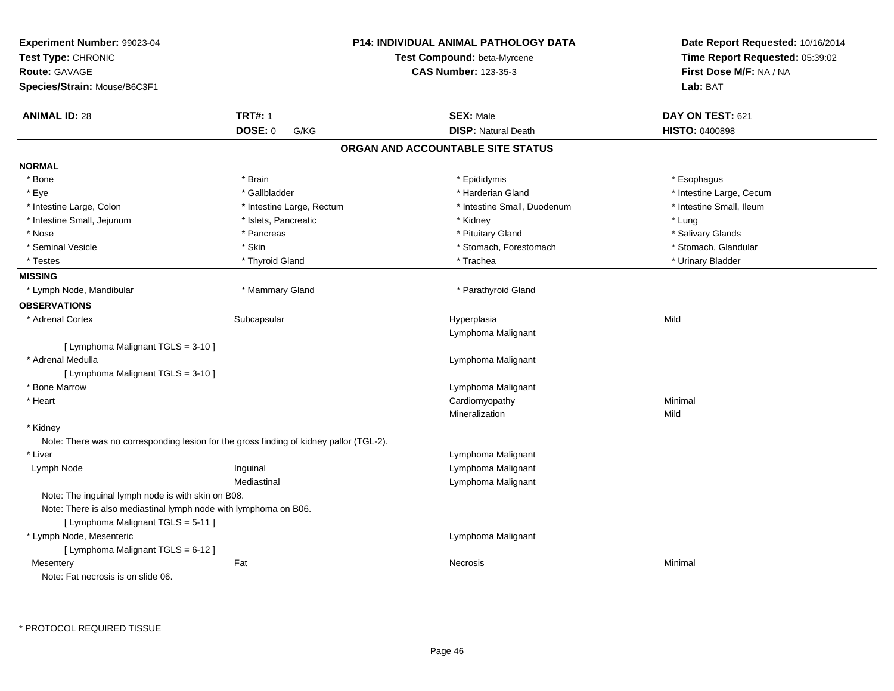| Experiment Number: 99023-04<br>Test Type: CHRONIC<br>Route: GAVAGE<br>Species/Strain: Mouse/B6C3F1     |                           | <b>P14: INDIVIDUAL ANIMAL PATHOLOGY DATA</b><br>Test Compound: beta-Myrcene<br><b>CAS Number: 123-35-3</b> | Date Report Requested: 10/16/2014<br>Time Report Requested: 05:39:02<br>First Dose M/F: NA / NA<br>Lab: BAT |
|--------------------------------------------------------------------------------------------------------|---------------------------|------------------------------------------------------------------------------------------------------------|-------------------------------------------------------------------------------------------------------------|
| <b>ANIMAL ID: 28</b>                                                                                   | <b>TRT#: 1</b>            | <b>SEX: Male</b>                                                                                           | DAY ON TEST: 621                                                                                            |
|                                                                                                        | <b>DOSE: 0</b><br>G/KG    | <b>DISP: Natural Death</b>                                                                                 | <b>HISTO: 0400898</b>                                                                                       |
|                                                                                                        |                           | ORGAN AND ACCOUNTABLE SITE STATUS                                                                          |                                                                                                             |
| <b>NORMAL</b>                                                                                          |                           |                                                                                                            |                                                                                                             |
| * Bone                                                                                                 | * Brain                   | * Epididymis                                                                                               | * Esophagus                                                                                                 |
| * Eye                                                                                                  | * Gallbladder             | * Harderian Gland                                                                                          | * Intestine Large, Cecum                                                                                    |
| * Intestine Large, Colon                                                                               | * Intestine Large, Rectum | * Intestine Small, Duodenum                                                                                | * Intestine Small, Ileum                                                                                    |
| * Intestine Small, Jejunum                                                                             | * Islets, Pancreatic      | * Kidney                                                                                                   | * Lung                                                                                                      |
| * Nose                                                                                                 | * Pancreas                | * Pituitary Gland                                                                                          | * Salivary Glands                                                                                           |
| * Seminal Vesicle                                                                                      | * Skin                    | * Stomach, Forestomach                                                                                     | * Stomach, Glandular                                                                                        |
| * Testes                                                                                               | * Thyroid Gland           | * Trachea                                                                                                  | * Urinary Bladder                                                                                           |
| <b>MISSING</b>                                                                                         |                           |                                                                                                            |                                                                                                             |
| * Lymph Node, Mandibular                                                                               | * Mammary Gland           | * Parathyroid Gland                                                                                        |                                                                                                             |
| <b>OBSERVATIONS</b>                                                                                    |                           |                                                                                                            |                                                                                                             |
| * Adrenal Cortex                                                                                       | Subcapsular               | Hyperplasia<br>Lymphoma Malignant                                                                          | Mild                                                                                                        |
| [ Lymphoma Malignant TGLS = 3-10 ]                                                                     |                           |                                                                                                            |                                                                                                             |
| * Adrenal Medulla                                                                                      |                           | Lymphoma Malignant                                                                                         |                                                                                                             |
| [ Lymphoma Malignant TGLS = 3-10 ]                                                                     |                           |                                                                                                            |                                                                                                             |
| * Bone Marrow                                                                                          |                           | Lymphoma Malignant                                                                                         |                                                                                                             |
| * Heart                                                                                                |                           | Cardiomyopathy                                                                                             | Minimal                                                                                                     |
|                                                                                                        |                           | Mineralization                                                                                             | Mild                                                                                                        |
| * Kidney                                                                                               |                           |                                                                                                            |                                                                                                             |
| Note: There was no corresponding lesion for the gross finding of kidney pallor (TGL-2).                |                           |                                                                                                            |                                                                                                             |
| * Liver                                                                                                |                           | Lymphoma Malignant                                                                                         |                                                                                                             |
| Lymph Node                                                                                             | Inguinal                  | Lymphoma Malignant                                                                                         |                                                                                                             |
|                                                                                                        | Mediastinal               | Lymphoma Malignant                                                                                         |                                                                                                             |
| Note: The inguinal lymph node is with skin on B08.                                                     |                           |                                                                                                            |                                                                                                             |
| Note: There is also mediastinal lymph node with lymphoma on B06.<br>[ Lymphoma Malignant TGLS = 5-11 ] |                           |                                                                                                            |                                                                                                             |
| * Lymph Node, Mesenteric<br>[ Lymphoma Malignant TGLS = 6-12 ]                                         |                           | Lymphoma Malignant                                                                                         |                                                                                                             |
| Mesentery<br>Note: Fat necrosis is on slide 06.                                                        | Fat                       | Necrosis                                                                                                   | Minimal                                                                                                     |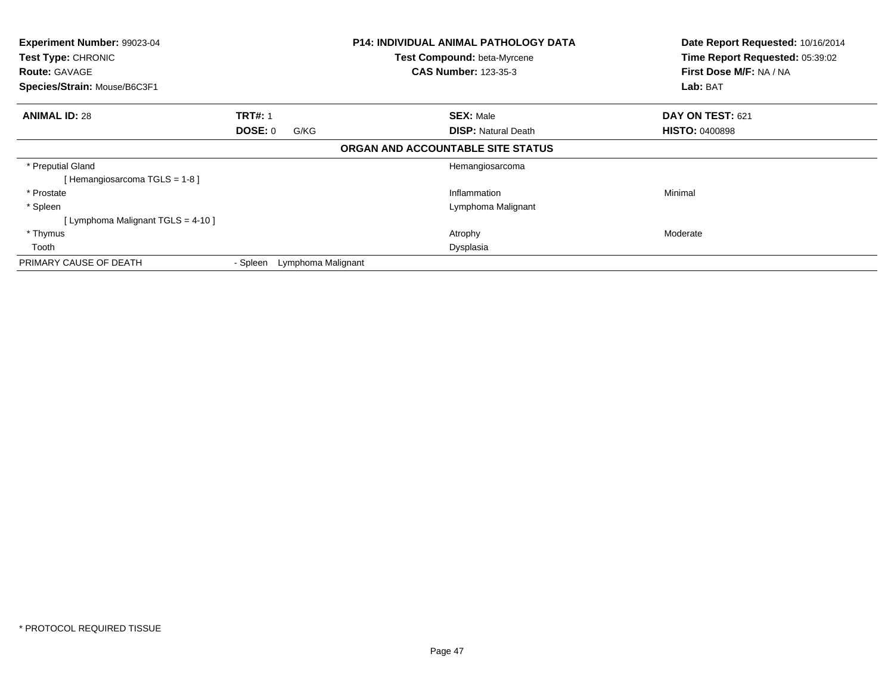| Experiment Number: 99023-04<br>Test Type: CHRONIC<br><b>Route: GAVAGE</b><br>Species/Strain: Mouse/B6C3F1 |                           |                    | <b>P14: INDIVIDUAL ANIMAL PATHOLOGY DATA</b><br>Test Compound: beta-Myrcene<br><b>CAS Number: 123-35-3</b> | Date Report Requested: 10/16/2014<br>Time Report Requested: 05:39:02<br>First Dose M/F: NA / NA<br>Lab: BAT |
|-----------------------------------------------------------------------------------------------------------|---------------------------|--------------------|------------------------------------------------------------------------------------------------------------|-------------------------------------------------------------------------------------------------------------|
| <b>ANIMAL ID: 28</b>                                                                                      | <b>TRT#: 1</b><br>DOSE: 0 | G/KG               | <b>SEX: Male</b><br><b>DISP:</b> Natural Death                                                             | DAY ON TEST: 621<br><b>HISTO: 0400898</b>                                                                   |
|                                                                                                           |                           |                    | ORGAN AND ACCOUNTABLE SITE STATUS                                                                          |                                                                                                             |
| * Preputial Gland<br>[Hemangiosarcoma TGLS = 1-8]                                                         |                           |                    | Hemangiosarcoma                                                                                            |                                                                                                             |
| * Prostate                                                                                                |                           |                    | Inflammation                                                                                               | Minimal                                                                                                     |
| * Spleen                                                                                                  |                           |                    | Lymphoma Malignant                                                                                         |                                                                                                             |
| [Lymphoma Malignant TGLS = 4-10]                                                                          |                           |                    |                                                                                                            |                                                                                                             |
| * Thymus                                                                                                  |                           |                    | Atrophy                                                                                                    | Moderate                                                                                                    |
| Tooth                                                                                                     |                           |                    | Dysplasia                                                                                                  |                                                                                                             |
| PRIMARY CAUSE OF DEATH                                                                                    | - Spleen                  | Lymphoma Malignant |                                                                                                            |                                                                                                             |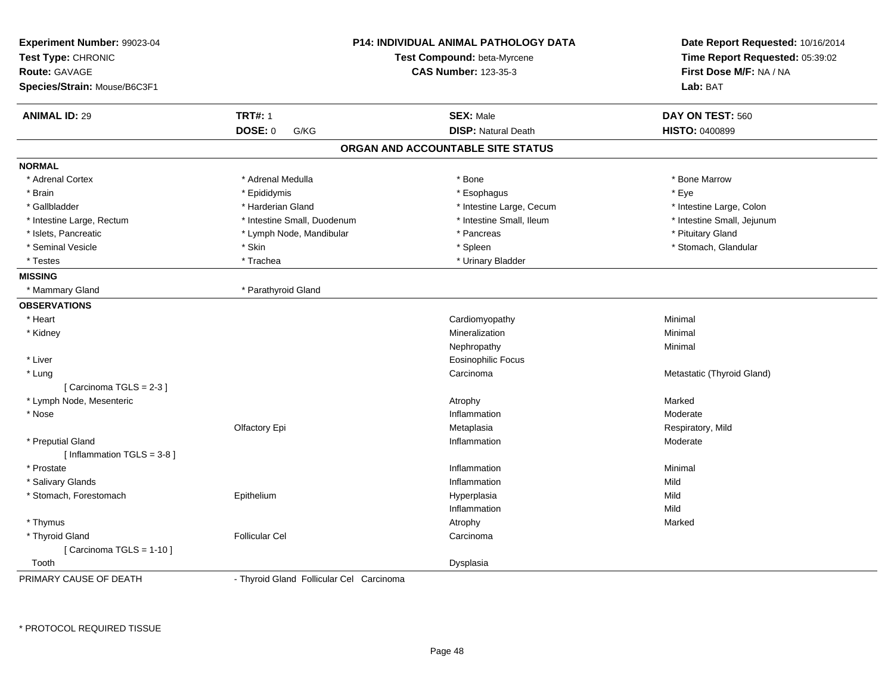| Experiment Number: 99023-04<br>Test Type: CHRONIC<br><b>Route: GAVAGE</b><br>Species/Strain: Mouse/B6C3F1 |                             | <b>P14: INDIVIDUAL ANIMAL PATHOLOGY DATA</b><br>Test Compound: beta-Myrcene<br><b>CAS Number: 123-35-3</b> | Date Report Requested: 10/16/2014<br>Time Report Requested: 05:39:02<br>First Dose M/F: NA / NA<br>Lab: BAT |
|-----------------------------------------------------------------------------------------------------------|-----------------------------|------------------------------------------------------------------------------------------------------------|-------------------------------------------------------------------------------------------------------------|
| <b>ANIMAL ID: 29</b>                                                                                      | <b>TRT#: 1</b>              | <b>SEX: Male</b>                                                                                           | DAY ON TEST: 560                                                                                            |
|                                                                                                           | <b>DOSE: 0</b><br>G/KG      | <b>DISP: Natural Death</b>                                                                                 | <b>HISTO: 0400899</b>                                                                                       |
|                                                                                                           |                             | ORGAN AND ACCOUNTABLE SITE STATUS                                                                          |                                                                                                             |
| <b>NORMAL</b>                                                                                             |                             |                                                                                                            |                                                                                                             |
| * Adrenal Cortex                                                                                          | * Adrenal Medulla           | * Bone                                                                                                     | * Bone Marrow                                                                                               |
| * Brain                                                                                                   | * Epididymis                | * Esophagus                                                                                                | $*$ Eye                                                                                                     |
| * Gallbladder                                                                                             | * Harderian Gland           | * Intestine Large, Cecum                                                                                   | * Intestine Large, Colon                                                                                    |
| * Intestine Large, Rectum                                                                                 | * Intestine Small, Duodenum | * Intestine Small, Ileum                                                                                   | * Intestine Small, Jejunum                                                                                  |
| * Islets, Pancreatic                                                                                      | * Lymph Node, Mandibular    | * Pancreas                                                                                                 | * Pituitary Gland                                                                                           |
| * Seminal Vesicle                                                                                         | * Skin                      | * Spleen                                                                                                   | * Stomach, Glandular                                                                                        |
| * Testes                                                                                                  | * Trachea                   | * Urinary Bladder                                                                                          |                                                                                                             |
| <b>MISSING</b>                                                                                            |                             |                                                                                                            |                                                                                                             |
| * Mammary Gland                                                                                           | * Parathyroid Gland         |                                                                                                            |                                                                                                             |
| <b>OBSERVATIONS</b>                                                                                       |                             |                                                                                                            |                                                                                                             |
| * Heart                                                                                                   |                             | Cardiomyopathy                                                                                             | Minimal                                                                                                     |
| * Kidney                                                                                                  |                             | Mineralization                                                                                             | Minimal                                                                                                     |
|                                                                                                           |                             | Nephropathy                                                                                                | Minimal                                                                                                     |
| * Liver                                                                                                   |                             | <b>Eosinophilic Focus</b>                                                                                  |                                                                                                             |
| * Lung                                                                                                    |                             | Carcinoma                                                                                                  | Metastatic (Thyroid Gland)                                                                                  |
| [Carcinoma TGLS = 2-3]                                                                                    |                             |                                                                                                            |                                                                                                             |
| * Lymph Node, Mesenteric                                                                                  |                             | Atrophy                                                                                                    | Marked                                                                                                      |
| * Nose                                                                                                    |                             | Inflammation                                                                                               | Moderate                                                                                                    |
|                                                                                                           | Olfactory Epi               | Metaplasia                                                                                                 | Respiratory, Mild                                                                                           |
| * Preputial Gland                                                                                         |                             | Inflammation                                                                                               | Moderate                                                                                                    |
| [ Inflammation TGLS = 3-8 ]                                                                               |                             |                                                                                                            |                                                                                                             |
| * Prostate                                                                                                |                             | Inflammation                                                                                               | Minimal<br>Mild                                                                                             |
| * Salivary Glands                                                                                         |                             | Inflammation                                                                                               |                                                                                                             |
| * Stomach, Forestomach                                                                                    | Epithelium                  | Hyperplasia                                                                                                | Mild<br>Mild                                                                                                |
|                                                                                                           |                             | Inflammation                                                                                               |                                                                                                             |
| * Thymus                                                                                                  |                             | Atrophy                                                                                                    | Marked                                                                                                      |
| * Thyroid Gland<br>[ Carcinoma TGLS = $1-10$ ]                                                            | <b>Follicular Cel</b>       | Carcinoma                                                                                                  |                                                                                                             |
| Tooth                                                                                                     |                             | Dysplasia                                                                                                  |                                                                                                             |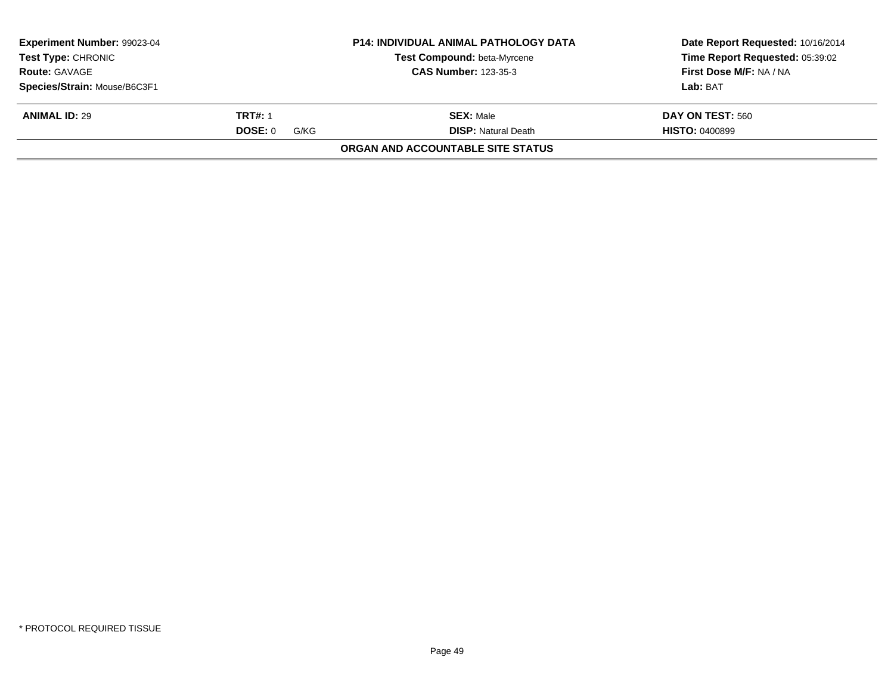| <b>Experiment Number: 99023-04</b><br><b>Test Type: CHRONIC</b> |                 | <b>P14: INDIVIDUAL ANIMAL PATHOLOGY DATA</b><br><b>Test Compound: beta-Myrcene</b> | Date Report Requested: 10/16/2014<br>Time Report Requested: 05:39:02 |
|-----------------------------------------------------------------|-----------------|------------------------------------------------------------------------------------|----------------------------------------------------------------------|
| <b>Route: GAVAGE</b>                                            |                 | <b>CAS Number: 123-35-3</b>                                                        | First Dose M/F: NA / NA                                              |
| Species/Strain: Mouse/B6C3F1                                    |                 |                                                                                    | Lab: BAT                                                             |
| <b>ANIMAL ID: 29</b>                                            | <b>TRT#: 1</b>  | <b>SEX: Male</b>                                                                   | DAY ON TEST: 560                                                     |
|                                                                 | DOSE: 0<br>G/KG | <b>DISP:</b> Natural Death                                                         | <b>HISTO: 0400899</b>                                                |
|                                                                 |                 | ORGAN AND ACCOUNTABLE SITE STATUS                                                  |                                                                      |
|                                                                 |                 |                                                                                    |                                                                      |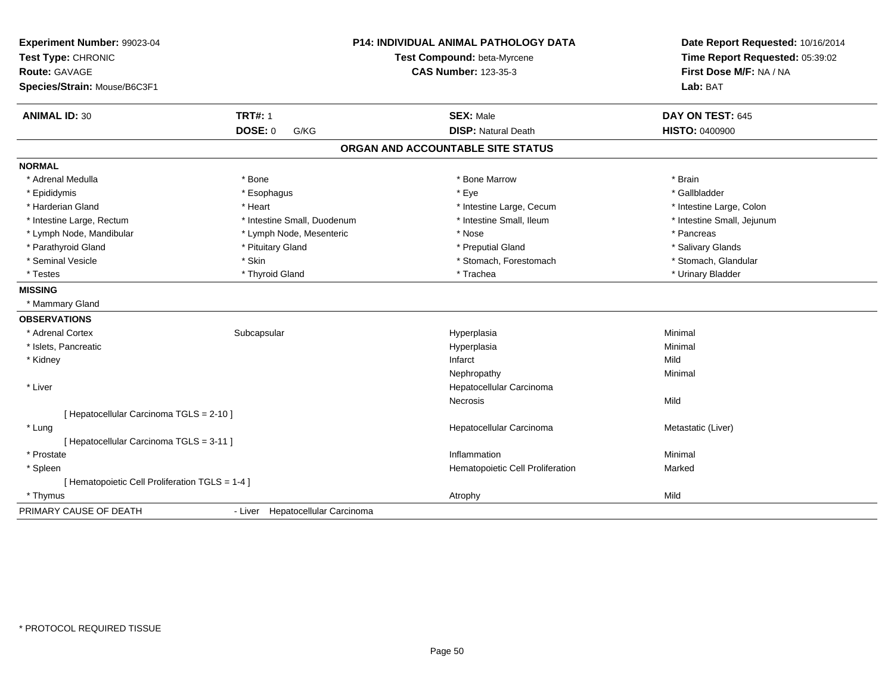| Experiment Number: 99023-04<br>Test Type: CHRONIC<br>Route: GAVAGE |                                  | <b>P14: INDIVIDUAL ANIMAL PATHOLOGY DATA</b><br>Test Compound: beta-Myrcene<br><b>CAS Number: 123-35-3</b> | Date Report Requested: 10/16/2014<br>Time Report Requested: 05:39:02<br>First Dose M/F: NA / NA<br>Lab: BAT |
|--------------------------------------------------------------------|----------------------------------|------------------------------------------------------------------------------------------------------------|-------------------------------------------------------------------------------------------------------------|
| Species/Strain: Mouse/B6C3F1                                       |                                  |                                                                                                            |                                                                                                             |
| <b>ANIMAL ID: 30</b>                                               | <b>TRT#: 1</b>                   | <b>SEX: Male</b>                                                                                           | DAY ON TEST: 645                                                                                            |
|                                                                    | DOSE: 0<br>G/KG                  | <b>DISP: Natural Death</b>                                                                                 | <b>HISTO: 0400900</b>                                                                                       |
|                                                                    |                                  | ORGAN AND ACCOUNTABLE SITE STATUS                                                                          |                                                                                                             |
| <b>NORMAL</b>                                                      |                                  |                                                                                                            |                                                                                                             |
| * Adrenal Medulla                                                  | * Bone                           | * Bone Marrow                                                                                              | * Brain                                                                                                     |
| * Epididymis                                                       | * Esophagus                      | * Eye                                                                                                      | * Gallbladder                                                                                               |
| * Harderian Gland                                                  | * Heart                          | * Intestine Large, Cecum                                                                                   | * Intestine Large, Colon                                                                                    |
| * Intestine Large, Rectum                                          | * Intestine Small, Duodenum      | * Intestine Small, Ileum                                                                                   | * Intestine Small, Jejunum                                                                                  |
| * Lymph Node, Mandibular                                           | * Lymph Node, Mesenteric         | * Nose                                                                                                     | * Pancreas                                                                                                  |
| * Parathyroid Gland                                                | * Pituitary Gland                | * Preputial Gland                                                                                          | * Salivary Glands                                                                                           |
| * Seminal Vesicle                                                  | * Skin                           | * Stomach, Forestomach                                                                                     | * Stomach, Glandular                                                                                        |
| * Testes                                                           | * Thyroid Gland                  | * Trachea                                                                                                  | * Urinary Bladder                                                                                           |
| <b>MISSING</b>                                                     |                                  |                                                                                                            |                                                                                                             |
| * Mammary Gland                                                    |                                  |                                                                                                            |                                                                                                             |
| <b>OBSERVATIONS</b>                                                |                                  |                                                                                                            |                                                                                                             |
| * Adrenal Cortex                                                   | Subcapsular                      | Hyperplasia                                                                                                | Minimal                                                                                                     |
| * Islets, Pancreatic                                               |                                  | Hyperplasia                                                                                                | Minimal                                                                                                     |
| * Kidney                                                           |                                  | Infarct                                                                                                    | Mild                                                                                                        |
|                                                                    |                                  | Nephropathy                                                                                                | Minimal                                                                                                     |
| * Liver                                                            |                                  | Hepatocellular Carcinoma                                                                                   |                                                                                                             |
|                                                                    |                                  | <b>Necrosis</b>                                                                                            | Mild                                                                                                        |
| [ Hepatocellular Carcinoma TGLS = 2-10 ]                           |                                  |                                                                                                            |                                                                                                             |
| * Lung                                                             |                                  | Hepatocellular Carcinoma                                                                                   | Metastatic (Liver)                                                                                          |
| [ Hepatocellular Carcinoma TGLS = 3-11 ]                           |                                  |                                                                                                            |                                                                                                             |
| * Prostate                                                         |                                  | Inflammation                                                                                               | Minimal                                                                                                     |
| * Spleen                                                           |                                  | Hematopoietic Cell Proliferation                                                                           | Marked                                                                                                      |
| [ Hematopoietic Cell Proliferation TGLS = 1-4 ]                    |                                  |                                                                                                            |                                                                                                             |
| * Thymus                                                           |                                  | Atrophy                                                                                                    | Mild                                                                                                        |
| PRIMARY CAUSE OF DEATH                                             | - Liver Hepatocellular Carcinoma |                                                                                                            |                                                                                                             |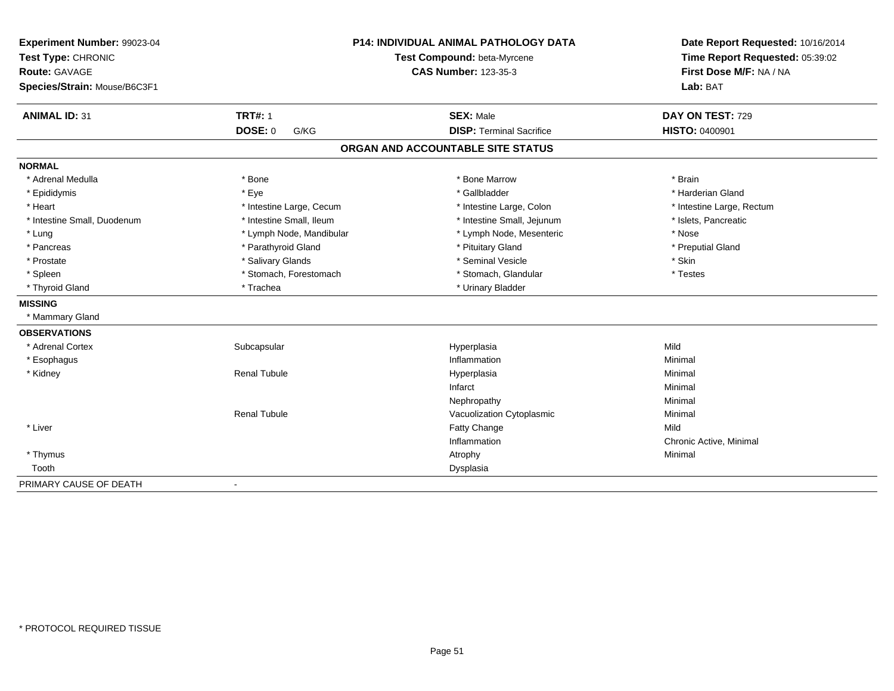| Experiment Number: 99023-04<br>Test Type: CHRONIC<br><b>Route: GAVAGE</b> |                          | <b>P14: INDIVIDUAL ANIMAL PATHOLOGY DATA</b><br>Test Compound: beta-Myrcene<br><b>CAS Number: 123-35-3</b> | Date Report Requested: 10/16/2014<br>Time Report Requested: 05:39:02<br>First Dose M/F: NA / NA |
|---------------------------------------------------------------------------|--------------------------|------------------------------------------------------------------------------------------------------------|-------------------------------------------------------------------------------------------------|
| Species/Strain: Mouse/B6C3F1                                              |                          |                                                                                                            | Lab: BAT                                                                                        |
| <b>ANIMAL ID: 31</b>                                                      | <b>TRT#: 1</b>           | <b>SEX: Male</b>                                                                                           | DAY ON TEST: 729                                                                                |
|                                                                           | <b>DOSE: 0</b><br>G/KG   | <b>DISP: Terminal Sacrifice</b>                                                                            | <b>HISTO: 0400901</b>                                                                           |
|                                                                           |                          | ORGAN AND ACCOUNTABLE SITE STATUS                                                                          |                                                                                                 |
| <b>NORMAL</b>                                                             |                          |                                                                                                            |                                                                                                 |
| * Adrenal Medulla                                                         | * Bone                   | * Bone Marrow                                                                                              | * Brain                                                                                         |
| * Epididymis                                                              | * Eye                    | * Gallbladder                                                                                              | * Harderian Gland                                                                               |
| * Heart                                                                   | * Intestine Large, Cecum | * Intestine Large, Colon                                                                                   | * Intestine Large, Rectum                                                                       |
| * Intestine Small, Duodenum                                               | * Intestine Small, Ileum | * Intestine Small, Jejunum                                                                                 | * Islets, Pancreatic                                                                            |
| * Lung                                                                    | * Lymph Node, Mandibular | * Lymph Node, Mesenteric                                                                                   | * Nose                                                                                          |
| * Pancreas                                                                | * Parathyroid Gland      | * Pituitary Gland                                                                                          | * Preputial Gland                                                                               |
| * Prostate                                                                | * Salivary Glands        | * Seminal Vesicle                                                                                          | * Skin                                                                                          |
| * Spleen                                                                  | * Stomach, Forestomach   | * Stomach, Glandular                                                                                       | * Testes                                                                                        |
| * Thyroid Gland                                                           | * Trachea                | * Urinary Bladder                                                                                          |                                                                                                 |
| <b>MISSING</b>                                                            |                          |                                                                                                            |                                                                                                 |
| * Mammary Gland                                                           |                          |                                                                                                            |                                                                                                 |
| <b>OBSERVATIONS</b>                                                       |                          |                                                                                                            |                                                                                                 |
| * Adrenal Cortex                                                          | Subcapsular              | Hyperplasia                                                                                                | Mild                                                                                            |
| * Esophagus                                                               |                          | Inflammation                                                                                               | Minimal                                                                                         |
| * Kidney                                                                  | <b>Renal Tubule</b>      | Hyperplasia                                                                                                | Minimal                                                                                         |
|                                                                           |                          | Infarct                                                                                                    | Minimal                                                                                         |
|                                                                           |                          | Nephropathy                                                                                                | Minimal                                                                                         |
|                                                                           | <b>Renal Tubule</b>      | Vacuolization Cytoplasmic                                                                                  | Minimal                                                                                         |
| * Liver                                                                   |                          | Fatty Change                                                                                               | Mild                                                                                            |
|                                                                           |                          | Inflammation                                                                                               | Chronic Active, Minimal                                                                         |
| * Thymus                                                                  |                          | Atrophy                                                                                                    | Minimal                                                                                         |
| Tooth                                                                     |                          | Dysplasia                                                                                                  |                                                                                                 |
| PRIMARY CAUSE OF DEATH                                                    | $\blacksquare$           |                                                                                                            |                                                                                                 |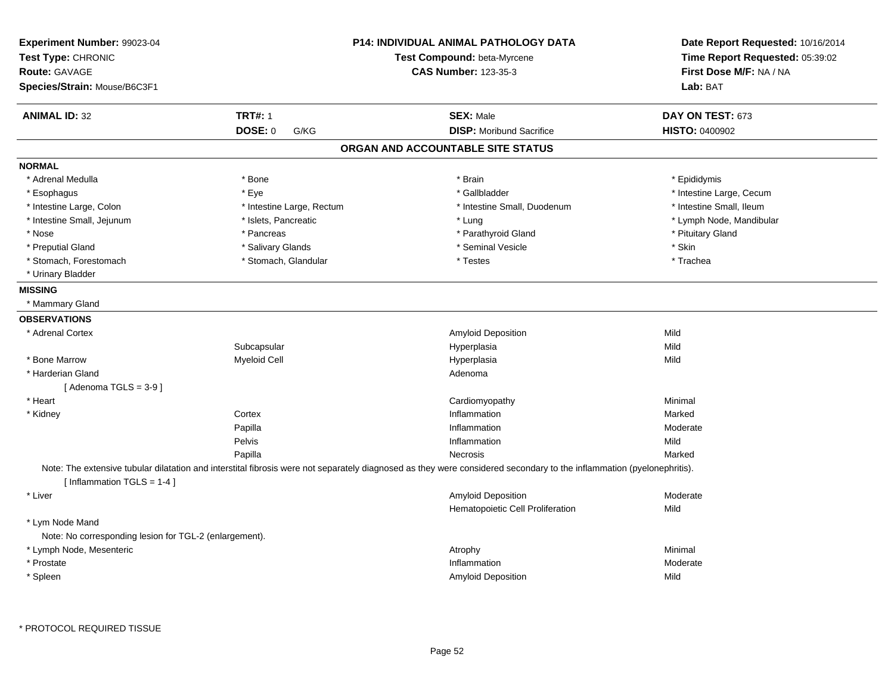| Experiment Number: 99023-04<br>Test Type: CHRONIC<br><b>Route: GAVAGE</b><br>Species/Strain: Mouse/B6C3F1 |                           | <b>P14: INDIVIDUAL ANIMAL PATHOLOGY DATA</b><br>Test Compound: beta-Myrcene<br><b>CAS Number: 123-35-3</b>                                                            | Date Report Requested: 10/16/2014<br>Time Report Requested: 05:39:02<br>First Dose M/F: NA / NA<br>Lab: BAT |
|-----------------------------------------------------------------------------------------------------------|---------------------------|-----------------------------------------------------------------------------------------------------------------------------------------------------------------------|-------------------------------------------------------------------------------------------------------------|
| <b>ANIMAL ID: 32</b>                                                                                      | <b>TRT#: 1</b>            | <b>SEX: Male</b>                                                                                                                                                      | DAY ON TEST: 673                                                                                            |
|                                                                                                           | <b>DOSE: 0</b><br>G/KG    | <b>DISP:</b> Moribund Sacrifice                                                                                                                                       | <b>HISTO: 0400902</b>                                                                                       |
|                                                                                                           |                           | ORGAN AND ACCOUNTABLE SITE STATUS                                                                                                                                     |                                                                                                             |
| <b>NORMAL</b>                                                                                             |                           |                                                                                                                                                                       |                                                                                                             |
| * Adrenal Medulla                                                                                         | * Bone                    | * Brain                                                                                                                                                               | * Epididymis                                                                                                |
| * Esophagus                                                                                               | * Eye                     | * Gallbladder                                                                                                                                                         | * Intestine Large, Cecum                                                                                    |
| * Intestine Large, Colon                                                                                  | * Intestine Large, Rectum | * Intestine Small, Duodenum                                                                                                                                           | * Intestine Small, Ileum                                                                                    |
| * Intestine Small, Jejunum                                                                                | * Islets, Pancreatic      | * Lung                                                                                                                                                                | * Lymph Node, Mandibular                                                                                    |
| * Nose                                                                                                    | * Pancreas                | * Parathyroid Gland                                                                                                                                                   | * Pituitary Gland                                                                                           |
| * Preputial Gland                                                                                         | * Salivary Glands         | * Seminal Vesicle                                                                                                                                                     | * Skin                                                                                                      |
| * Stomach, Forestomach                                                                                    | * Stomach, Glandular      | * Testes                                                                                                                                                              | * Trachea                                                                                                   |
| * Urinary Bladder                                                                                         |                           |                                                                                                                                                                       |                                                                                                             |
| <b>MISSING</b>                                                                                            |                           |                                                                                                                                                                       |                                                                                                             |
| * Mammary Gland                                                                                           |                           |                                                                                                                                                                       |                                                                                                             |
| <b>OBSERVATIONS</b>                                                                                       |                           |                                                                                                                                                                       |                                                                                                             |
| * Adrenal Cortex                                                                                          |                           | <b>Amyloid Deposition</b>                                                                                                                                             | Mild                                                                                                        |
|                                                                                                           | Subcapsular               | Hyperplasia                                                                                                                                                           | Mild                                                                                                        |
| * Bone Marrow                                                                                             | <b>Myeloid Cell</b>       | Hyperplasia                                                                                                                                                           | Mild                                                                                                        |
| * Harderian Gland                                                                                         |                           | Adenoma                                                                                                                                                               |                                                                                                             |
| [Adenoma TGLS = $3-9$ ]                                                                                   |                           |                                                                                                                                                                       |                                                                                                             |
| * Heart                                                                                                   |                           | Cardiomyopathy                                                                                                                                                        | Minimal                                                                                                     |
| * Kidney                                                                                                  | Cortex                    | Inflammation                                                                                                                                                          | Marked                                                                                                      |
|                                                                                                           | Papilla                   | Inflammation                                                                                                                                                          | Moderate                                                                                                    |
|                                                                                                           | Pelvis                    | Inflammation                                                                                                                                                          | Mild                                                                                                        |
|                                                                                                           | Papilla                   | Necrosis                                                                                                                                                              | Marked                                                                                                      |
| [Inflammation TGLS = 1-4]                                                                                 |                           | Note: The extensive tubular dilatation and interstital fibrosis were not separately diagnosed as they were considered secondary to the inflammation (pyelonephritis). |                                                                                                             |
| * Liver                                                                                                   |                           | <b>Amyloid Deposition</b>                                                                                                                                             | Moderate                                                                                                    |
|                                                                                                           |                           | Hematopoietic Cell Proliferation                                                                                                                                      | Mild                                                                                                        |
| * Lym Node Mand                                                                                           |                           |                                                                                                                                                                       |                                                                                                             |
| Note: No corresponding lesion for TGL-2 (enlargement).                                                    |                           |                                                                                                                                                                       |                                                                                                             |
| * Lymph Node, Mesenteric                                                                                  |                           | Atrophy                                                                                                                                                               | Minimal                                                                                                     |
| * Prostate                                                                                                |                           | Inflammation                                                                                                                                                          | Moderate                                                                                                    |
| * Spleen                                                                                                  |                           | <b>Amyloid Deposition</b>                                                                                                                                             | Mild                                                                                                        |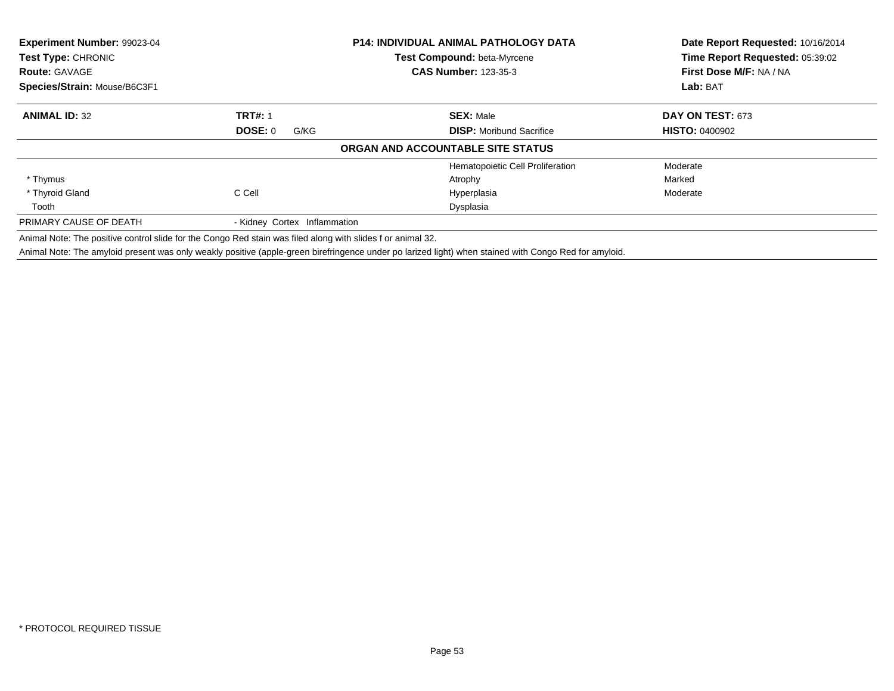| Experiment Number: 99023-04<br>Test Type: CHRONIC<br><b>Route: GAVAGE</b><br>Species/Strain: Mouse/B6C3F1  |                                   | P14: INDIVIDUAL ANIMAL PATHOLOGY DATA<br><b>Test Compound: beta-Myrcene</b><br><b>CAS Number: 123-35-3</b> | Date Report Requested: 10/16/2014<br>Time Report Requested: 05:39:02<br>First Dose M/F: NA / NA<br>Lab: BAT |
|------------------------------------------------------------------------------------------------------------|-----------------------------------|------------------------------------------------------------------------------------------------------------|-------------------------------------------------------------------------------------------------------------|
| <b>ANIMAL ID: 32</b>                                                                                       | <b>TRT#: 1</b><br>DOSE: 0<br>G/KG | <b>SEX: Male</b><br><b>DISP:</b> Moribund Sacrifice                                                        | DAY ON TEST: 673<br><b>HISTO: 0400902</b>                                                                   |
|                                                                                                            |                                   | ORGAN AND ACCOUNTABLE SITE STATUS                                                                          |                                                                                                             |
|                                                                                                            |                                   | Hematopoietic Cell Proliferation                                                                           | Moderate                                                                                                    |
| * Thymus                                                                                                   |                                   | Atrophy                                                                                                    | Marked                                                                                                      |
| * Thyroid Gland                                                                                            | C Cell                            | Hyperplasia                                                                                                | Moderate                                                                                                    |
| Tooth                                                                                                      |                                   | Dysplasia                                                                                                  |                                                                                                             |
| PRIMARY CAUSE OF DEATH                                                                                     | - Kidney Cortex Inflammation      |                                                                                                            |                                                                                                             |
| Animal Note: The positive control slide for the Congo Red stain was filed along with slides for animal 32. |                                   |                                                                                                            |                                                                                                             |

Animal Note: The amyloid present was only weakly positive (apple-green birefringence under po larized light) when stained with Congo Red for amyloid.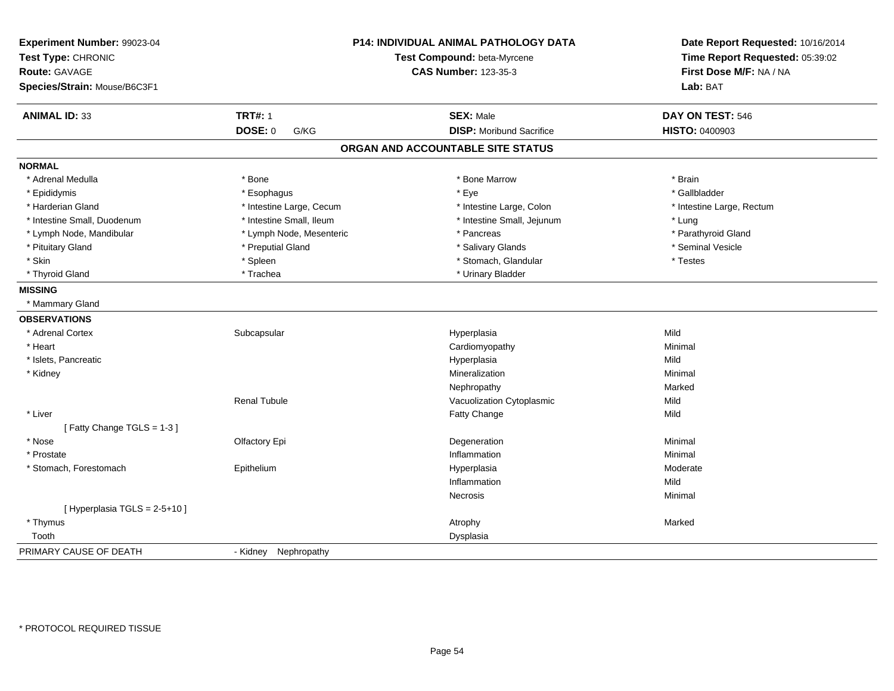| Experiment Number: 99023-04<br>Test Type: CHRONIC<br><b>Route: GAVAGE</b><br>Species/Strain: Mouse/B6C3F1 | <b>P14: INDIVIDUAL ANIMAL PATHOLOGY DATA</b><br>Test Compound: beta-Myrcene<br><b>CAS Number: 123-35-3</b> |                                   | Date Report Requested: 10/16/2014<br>Time Report Requested: 05:39:02<br>First Dose M/F: NA / NA<br><b>Lab: BAT</b> |
|-----------------------------------------------------------------------------------------------------------|------------------------------------------------------------------------------------------------------------|-----------------------------------|--------------------------------------------------------------------------------------------------------------------|
|                                                                                                           |                                                                                                            |                                   |                                                                                                                    |
| <b>ANIMAL ID: 33</b>                                                                                      | <b>TRT#: 1</b>                                                                                             | <b>SEX: Male</b>                  | DAY ON TEST: 546                                                                                                   |
|                                                                                                           | <b>DOSE: 0</b><br>G/KG                                                                                     | <b>DISP:</b> Moribund Sacrifice   | <b>HISTO: 0400903</b>                                                                                              |
|                                                                                                           |                                                                                                            | ORGAN AND ACCOUNTABLE SITE STATUS |                                                                                                                    |
| <b>NORMAL</b>                                                                                             |                                                                                                            |                                   |                                                                                                                    |
| * Adrenal Medulla                                                                                         | * Bone                                                                                                     | * Bone Marrow                     | * Brain                                                                                                            |
| * Epididymis                                                                                              | * Esophagus                                                                                                | * Eye                             | * Gallbladder                                                                                                      |
| * Harderian Gland                                                                                         | * Intestine Large, Cecum                                                                                   | * Intestine Large, Colon          | * Intestine Large, Rectum                                                                                          |
| * Intestine Small, Duodenum                                                                               | * Intestine Small, Ileum                                                                                   | * Intestine Small, Jejunum        | * Lung                                                                                                             |
| * Lymph Node, Mandibular                                                                                  | * Lymph Node, Mesenteric                                                                                   | * Pancreas                        | * Parathyroid Gland                                                                                                |
| * Pituitary Gland                                                                                         | * Preputial Gland                                                                                          | * Salivary Glands                 | * Seminal Vesicle                                                                                                  |
| * Skin                                                                                                    | * Spleen                                                                                                   | * Stomach, Glandular              | * Testes                                                                                                           |
| * Thyroid Gland                                                                                           | * Trachea                                                                                                  | * Urinary Bladder                 |                                                                                                                    |
| <b>MISSING</b>                                                                                            |                                                                                                            |                                   |                                                                                                                    |
| * Mammary Gland                                                                                           |                                                                                                            |                                   |                                                                                                                    |
| <b>OBSERVATIONS</b>                                                                                       |                                                                                                            |                                   |                                                                                                                    |
| * Adrenal Cortex                                                                                          | Subcapsular                                                                                                | Hyperplasia                       | Mild                                                                                                               |
| * Heart                                                                                                   |                                                                                                            | Cardiomyopathy                    | Minimal                                                                                                            |
| * Islets, Pancreatic                                                                                      |                                                                                                            | Hyperplasia                       | Mild                                                                                                               |
| * Kidney                                                                                                  |                                                                                                            | Mineralization                    | Minimal                                                                                                            |
|                                                                                                           |                                                                                                            | Nephropathy                       | Marked                                                                                                             |
|                                                                                                           | <b>Renal Tubule</b>                                                                                        | Vacuolization Cytoplasmic         | Mild                                                                                                               |
| * Liver                                                                                                   |                                                                                                            | Fatty Change                      | Mild                                                                                                               |
| [Fatty Change TGLS = 1-3]                                                                                 |                                                                                                            |                                   |                                                                                                                    |
| * Nose                                                                                                    | Olfactory Epi                                                                                              | Degeneration                      | Minimal                                                                                                            |
| * Prostate                                                                                                |                                                                                                            | Inflammation                      | Minimal                                                                                                            |
| * Stomach, Forestomach                                                                                    | Epithelium                                                                                                 | Hyperplasia                       | Moderate                                                                                                           |
|                                                                                                           |                                                                                                            | Inflammation                      | Mild                                                                                                               |
|                                                                                                           |                                                                                                            | Necrosis                          | Minimal                                                                                                            |
| [ Hyperplasia TGLS = 2-5+10 ]                                                                             |                                                                                                            |                                   |                                                                                                                    |
| * Thymus                                                                                                  |                                                                                                            | Atrophy                           | Marked                                                                                                             |
| Tooth                                                                                                     |                                                                                                            | Dysplasia                         |                                                                                                                    |
| PRIMARY CAUSE OF DEATH                                                                                    | - Kidney Nephropathy                                                                                       |                                   |                                                                                                                    |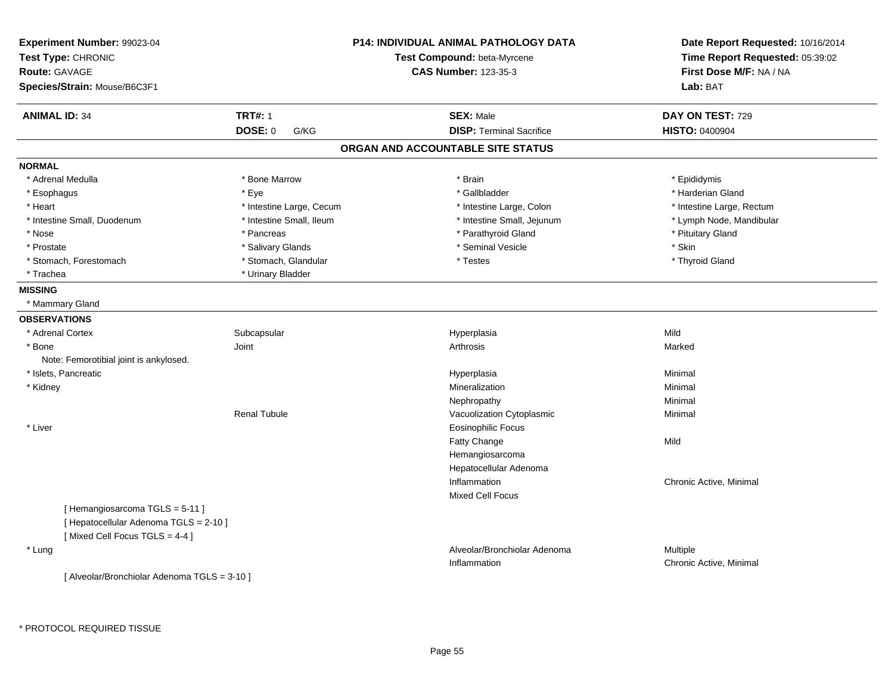| Experiment Number: 99023-04                  |                          | <b>P14: INDIVIDUAL ANIMAL PATHOLOGY DATA</b> | Date Report Requested: 10/16/2014 |
|----------------------------------------------|--------------------------|----------------------------------------------|-----------------------------------|
| Test Type: CHRONIC                           |                          | Test Compound: beta-Myrcene                  | Time Report Requested: 05:39:02   |
| <b>Route: GAVAGE</b>                         |                          | <b>CAS Number: 123-35-3</b>                  | First Dose M/F: NA / NA           |
| Species/Strain: Mouse/B6C3F1                 |                          |                                              | Lab: BAT                          |
| <b>ANIMAL ID: 34</b>                         | <b>TRT#: 1</b>           | <b>SEX: Male</b>                             | DAY ON TEST: 729                  |
|                                              | <b>DOSE: 0</b><br>G/KG   | <b>DISP: Terminal Sacrifice</b>              | <b>HISTO: 0400904</b>             |
|                                              |                          | ORGAN AND ACCOUNTABLE SITE STATUS            |                                   |
| <b>NORMAL</b>                                |                          |                                              |                                   |
| * Adrenal Medulla                            | * Bone Marrow            | * Brain                                      | * Epididymis                      |
| * Esophagus                                  | * Eye                    | * Gallbladder                                | * Harderian Gland                 |
| * Heart                                      | * Intestine Large, Cecum | * Intestine Large, Colon                     | * Intestine Large, Rectum         |
| * Intestine Small, Duodenum                  | * Intestine Small, Ileum | * Intestine Small, Jejunum                   | * Lymph Node, Mandibular          |
| * Nose                                       | * Pancreas               | * Parathyroid Gland                          | * Pituitary Gland                 |
| * Prostate                                   | * Salivary Glands        | * Seminal Vesicle                            | * Skin                            |
| * Stomach, Forestomach                       | * Stomach, Glandular     | * Testes                                     | * Thyroid Gland                   |
| * Trachea                                    | * Urinary Bladder        |                                              |                                   |
| <b>MISSING</b>                               |                          |                                              |                                   |
| * Mammary Gland                              |                          |                                              |                                   |
| <b>OBSERVATIONS</b>                          |                          |                                              |                                   |
| * Adrenal Cortex                             | Subcapsular              | Hyperplasia                                  | Mild                              |
| * Bone                                       | Joint                    | Arthrosis                                    | Marked                            |
| Note: Femorotibial joint is ankylosed.       |                          |                                              |                                   |
| * Islets, Pancreatic                         |                          | Hyperplasia                                  | Minimal                           |
| * Kidney                                     |                          | Mineralization                               | Minimal                           |
|                                              |                          | Nephropathy                                  | Minimal                           |
|                                              | <b>Renal Tubule</b>      | Vacuolization Cytoplasmic                    | Minimal                           |
| * Liver                                      |                          | <b>Eosinophilic Focus</b>                    |                                   |
|                                              |                          | Fatty Change                                 | Mild                              |
|                                              |                          | Hemangiosarcoma                              |                                   |
|                                              |                          | Hepatocellular Adenoma                       |                                   |
|                                              |                          | Inflammation                                 | Chronic Active, Minimal           |
|                                              |                          | <b>Mixed Cell Focus</b>                      |                                   |
| [Hemangiosarcoma TGLS = 5-11]                |                          |                                              |                                   |
| [ Hepatocellular Adenoma TGLS = 2-10 ]       |                          |                                              |                                   |
| [Mixed Cell Focus TGLS = 4-4]                |                          |                                              |                                   |
| * Lung                                       |                          | Alveolar/Bronchiolar Adenoma                 | Multiple                          |
|                                              |                          | Inflammation                                 | Chronic Active, Minimal           |
| [ Alveolar/Bronchiolar Adenoma TGLS = 3-10 ] |                          |                                              |                                   |
|                                              |                          |                                              |                                   |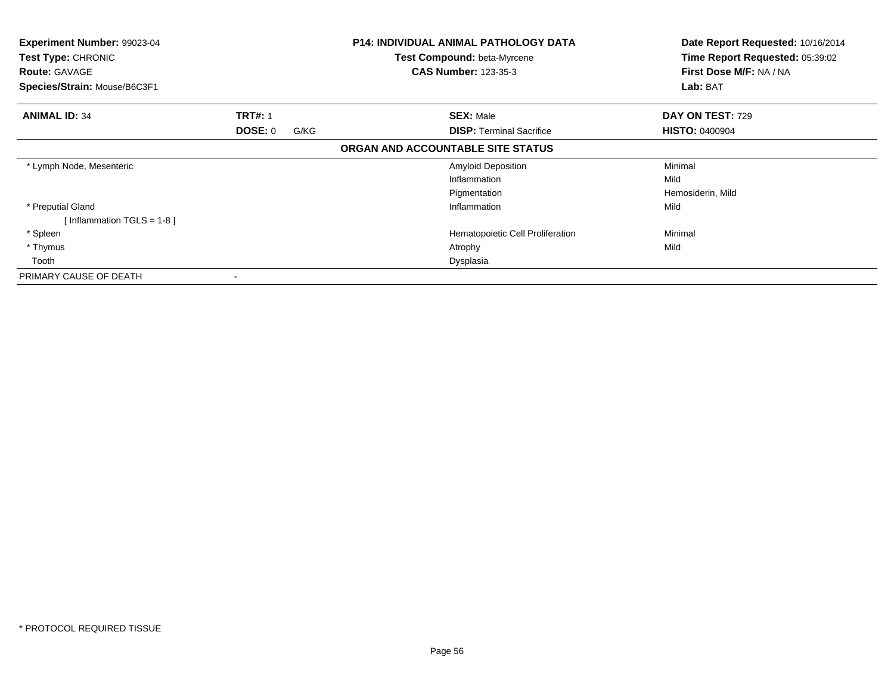| Experiment Number: 99023-04<br>Test Type: CHRONIC<br><b>Route: GAVAGE</b><br>Species/Strain: Mouse/B6C3F1 |      | <b>P14: INDIVIDUAL ANIMAL PATHOLOGY DATA</b><br><b>Test Compound: beta-Myrcene</b><br><b>CAS Number: 123-35-3</b> | Date Report Requested: 10/16/2014<br>Time Report Requested: 05:39:02<br>First Dose M/F: NA / NA<br>Lab: BAT |
|-----------------------------------------------------------------------------------------------------------|------|-------------------------------------------------------------------------------------------------------------------|-------------------------------------------------------------------------------------------------------------|
|                                                                                                           |      |                                                                                                                   |                                                                                                             |
| <b>ANIMAL ID: 34</b><br><b>TRT#: 1</b>                                                                    |      | <b>SEX: Male</b>                                                                                                  | DAY ON TEST: 729                                                                                            |
| <b>DOSE: 0</b>                                                                                            | G/KG | <b>DISP: Terminal Sacrifice</b>                                                                                   | <b>HISTO: 0400904</b>                                                                                       |
|                                                                                                           |      | ORGAN AND ACCOUNTABLE SITE STATUS                                                                                 |                                                                                                             |
| * Lymph Node, Mesenteric                                                                                  |      | <b>Amyloid Deposition</b>                                                                                         | Minimal                                                                                                     |
|                                                                                                           |      | Inflammation                                                                                                      | Mild                                                                                                        |
|                                                                                                           |      | Pigmentation                                                                                                      | Hemosiderin, Mild                                                                                           |
| * Preputial Gland                                                                                         |      | Inflammation                                                                                                      | Mild                                                                                                        |
| [Inflammation TGLS = $1-8$ ]                                                                              |      |                                                                                                                   |                                                                                                             |
| * Spleen                                                                                                  |      | Hematopoietic Cell Proliferation                                                                                  | Minimal                                                                                                     |
| * Thymus                                                                                                  |      | Atrophy                                                                                                           | Mild                                                                                                        |
| Tooth                                                                                                     |      | Dysplasia                                                                                                         |                                                                                                             |
| PRIMARY CAUSE OF DEATH                                                                                    |      |                                                                                                                   |                                                                                                             |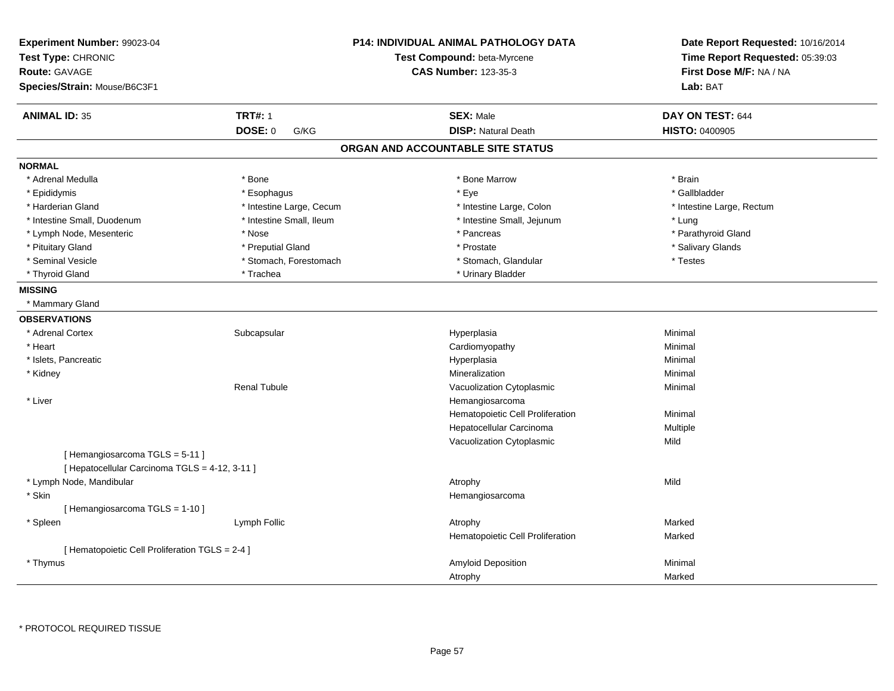| Experiment Number: 99023-04<br>Test Type: CHRONIC<br><b>Route: GAVAGE</b><br>Species/Strain: Mouse/B6C3F1 |                          | <b>P14: INDIVIDUAL ANIMAL PATHOLOGY DATA</b><br>Test Compound: beta-Myrcene<br><b>CAS Number: 123-35-3</b> | Date Report Requested: 10/16/2014<br>Time Report Requested: 05:39:03<br>First Dose M/F: NA / NA<br>Lab: BAT |
|-----------------------------------------------------------------------------------------------------------|--------------------------|------------------------------------------------------------------------------------------------------------|-------------------------------------------------------------------------------------------------------------|
| <b>ANIMAL ID: 35</b>                                                                                      | <b>TRT#: 1</b>           | <b>SEX: Male</b>                                                                                           | DAY ON TEST: 644                                                                                            |
|                                                                                                           | <b>DOSE: 0</b><br>G/KG   | <b>DISP: Natural Death</b>                                                                                 | HISTO: 0400905                                                                                              |
|                                                                                                           |                          | ORGAN AND ACCOUNTABLE SITE STATUS                                                                          |                                                                                                             |
| <b>NORMAL</b>                                                                                             |                          |                                                                                                            |                                                                                                             |
| * Adrenal Medulla                                                                                         | * Bone                   | * Bone Marrow                                                                                              | * Brain                                                                                                     |
| * Epididymis                                                                                              | * Esophagus              | $*$ Eye                                                                                                    | * Gallbladder                                                                                               |
| * Harderian Gland                                                                                         | * Intestine Large, Cecum | * Intestine Large, Colon                                                                                   | * Intestine Large, Rectum                                                                                   |
| * Intestine Small, Duodenum                                                                               | * Intestine Small, Ileum | * Intestine Small, Jejunum                                                                                 | * Lung                                                                                                      |
| * Lymph Node, Mesenteric                                                                                  | * Nose                   | * Pancreas                                                                                                 | * Parathyroid Gland                                                                                         |
| * Pituitary Gland                                                                                         | * Preputial Gland        | * Prostate                                                                                                 | * Salivary Glands                                                                                           |
| * Seminal Vesicle                                                                                         | * Stomach, Forestomach   | * Stomach, Glandular                                                                                       | * Testes                                                                                                    |
| * Thyroid Gland                                                                                           | * Trachea                | * Urinary Bladder                                                                                          |                                                                                                             |
| <b>MISSING</b>                                                                                            |                          |                                                                                                            |                                                                                                             |
| * Mammary Gland                                                                                           |                          |                                                                                                            |                                                                                                             |
| <b>OBSERVATIONS</b>                                                                                       |                          |                                                                                                            |                                                                                                             |
| * Adrenal Cortex                                                                                          | Subcapsular              | Hyperplasia                                                                                                | Minimal                                                                                                     |
| * Heart                                                                                                   |                          | Cardiomyopathy                                                                                             | Minimal                                                                                                     |
| * Islets, Pancreatic                                                                                      |                          | Hyperplasia                                                                                                | Minimal                                                                                                     |
| * Kidney                                                                                                  |                          | Mineralization                                                                                             | Minimal                                                                                                     |
|                                                                                                           | <b>Renal Tubule</b>      | Vacuolization Cytoplasmic                                                                                  | Minimal                                                                                                     |
| * Liver                                                                                                   |                          | Hemangiosarcoma                                                                                            |                                                                                                             |
|                                                                                                           |                          | Hematopoietic Cell Proliferation                                                                           | Minimal                                                                                                     |
|                                                                                                           |                          | Hepatocellular Carcinoma                                                                                   | Multiple                                                                                                    |
|                                                                                                           |                          | Vacuolization Cytoplasmic                                                                                  | Mild                                                                                                        |
| [Hemangiosarcoma TGLS = 5-11]<br>[ Hepatocellular Carcinoma TGLS = 4-12, 3-11 ]                           |                          |                                                                                                            |                                                                                                             |
| * Lymph Node, Mandibular                                                                                  |                          |                                                                                                            | Mild                                                                                                        |
| * Skin                                                                                                    |                          | Atrophy                                                                                                    |                                                                                                             |
| [Hemangiosarcoma TGLS = 1-10]                                                                             |                          | Hemangiosarcoma                                                                                            |                                                                                                             |
| * Spleen                                                                                                  | Lymph Follic             |                                                                                                            | Marked                                                                                                      |
|                                                                                                           |                          | Atrophy                                                                                                    | Marked                                                                                                      |
| [ Hematopoietic Cell Proliferation TGLS = 2-4 ]                                                           |                          | Hematopoietic Cell Proliferation                                                                           |                                                                                                             |
| * Thymus                                                                                                  |                          | Amyloid Deposition                                                                                         | Minimal                                                                                                     |
|                                                                                                           |                          | Atrophy                                                                                                    | Marked                                                                                                      |
|                                                                                                           |                          |                                                                                                            |                                                                                                             |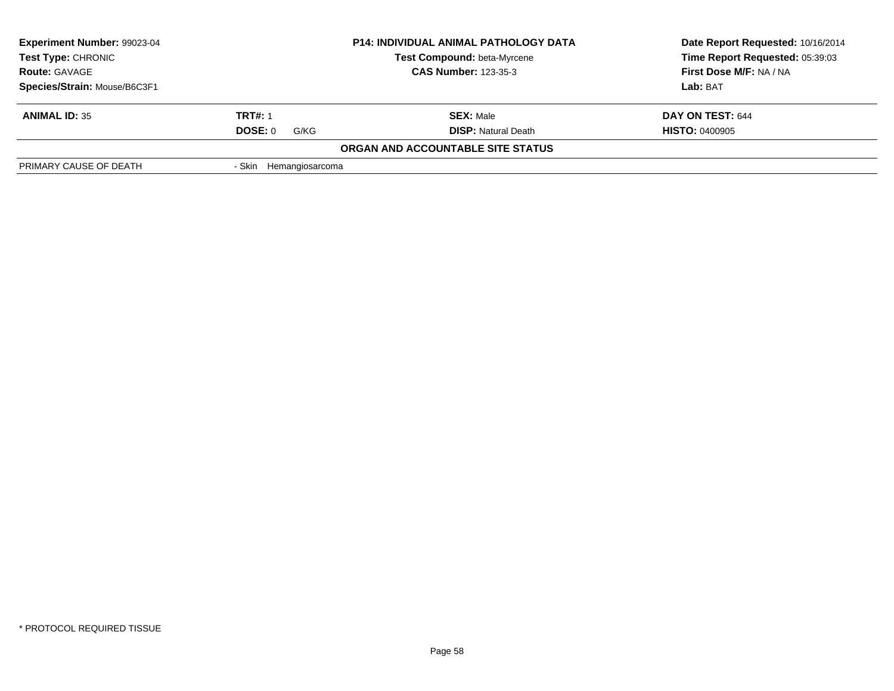|                        | <b>P14: INDIVIDUAL ANIMAL PATHOLOGY DATA</b> | Date Report Requested: 10/16/2014                                                   |
|------------------------|----------------------------------------------|-------------------------------------------------------------------------------------|
|                        | <b>Test Compound: beta-Myrcene</b>           | Time Report Requested: 05:39:03                                                     |
| <b>Route: GAVAGE</b>   |                                              | First Dose M/F: NA / NA                                                             |
|                        |                                              | Lab: BAT                                                                            |
| <b>TRT#: 1</b>         | <b>SEX: Male</b>                             | DAY ON TEST: 644                                                                    |
| <b>DOSE: 0</b><br>G/KG | <b>DISP:</b> Natural Death                   | <b>HISTO: 0400905</b>                                                               |
|                        |                                              |                                                                                     |
| - Skin                 |                                              |                                                                                     |
|                        |                                              | <b>CAS Number: 123-35-3</b><br>ORGAN AND ACCOUNTABLE SITE STATUS<br>Hemangiosarcoma |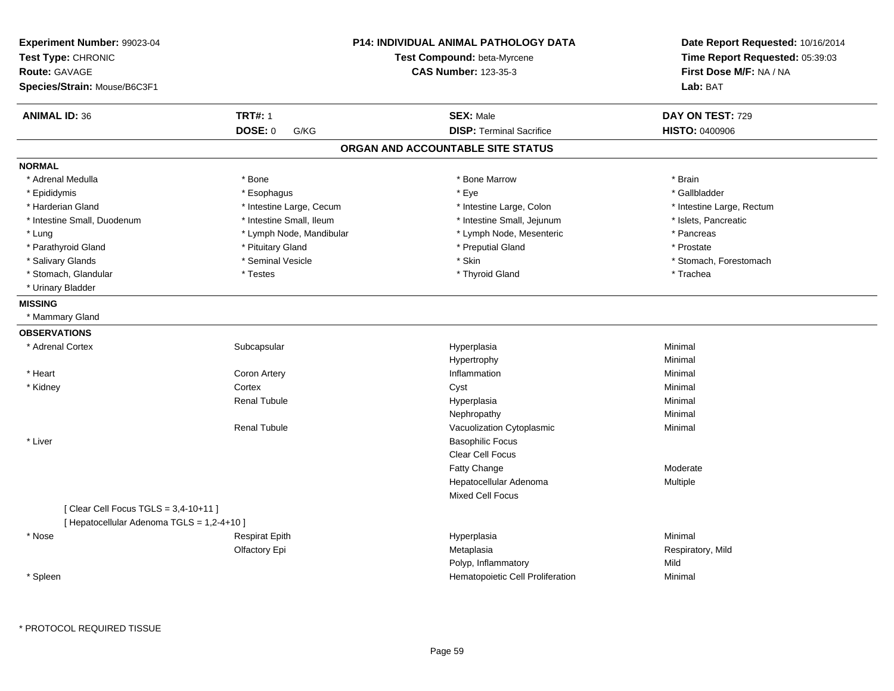| <b>TRT#: 1</b><br><b>ANIMAL ID: 36</b><br><b>SEX: Male</b><br>DAY ON TEST: 729<br><b>DOSE: 0</b><br><b>DISP: Terminal Sacrifice</b><br><b>HISTO: 0400906</b><br>G/KG<br>ORGAN AND ACCOUNTABLE SITE STATUS<br><b>NORMAL</b><br>* Adrenal Medulla<br>* Bone<br>* Bone Marrow<br>* Brain<br>* Eye<br>* Gallbladder<br>* Epididymis<br>* Esophagus<br>* Harderian Gland<br>* Intestine Large, Cecum<br>* Intestine Large, Colon<br>* Intestine Large, Rectum<br>* Intestine Small, Duodenum<br>* Intestine Small, Ileum<br>* Intestine Small, Jejunum<br>* Islets, Pancreatic<br>* Lung<br>* Lymph Node, Mandibular<br>* Lymph Node, Mesenteric<br>* Pancreas<br>* Parathyroid Gland<br>* Preputial Gland<br>* Pituitary Gland<br>* Prostate<br>* Salivary Glands<br>* Seminal Vesicle<br>* Skin<br>* Stomach, Forestomach<br>* Stomach, Glandular<br>* Testes<br>* Thyroid Gland<br>* Trachea<br>* Urinary Bladder<br><b>MISSING</b><br>* Mammary Gland<br><b>OBSERVATIONS</b><br>* Adrenal Cortex<br>Subcapsular<br>Hyperplasia<br>Minimal<br>Hypertrophy<br>Minimal<br>* Heart<br><b>Coron Artery</b><br>Inflammation<br>Minimal<br>* Kidney<br>Cortex<br>Cyst<br>Minimal<br><b>Renal Tubule</b><br>Hyperplasia<br>Minimal<br>Nephropathy<br>Minimal<br><b>Renal Tubule</b><br>Vacuolization Cytoplasmic<br>Minimal<br>* Liver<br><b>Basophilic Focus</b><br>Clear Cell Focus<br>Fatty Change<br>Moderate<br>Hepatocellular Adenoma<br>Multiple<br><b>Mixed Cell Focus</b><br>[ Clear Cell Focus TGLS = 3,4-10+11 ]<br>[ Hepatocellular Adenoma TGLS = 1,2-4+10 ]<br><b>Respirat Epith</b><br>Hyperplasia<br>Minimal<br>* Nose<br>Olfactory Epi<br>Metaplasia<br>Respiratory, Mild<br>Polyp, Inflammatory<br>Mild | Experiment Number: 99023-04<br>Test Type: CHRONIC<br><b>Route: GAVAGE</b><br>Species/Strain: Mouse/B6C3F1 | <b>P14: INDIVIDUAL ANIMAL PATHOLOGY DATA</b><br>Test Compound: beta-Myrcene<br><b>CAS Number: 123-35-3</b> | Date Report Requested: 10/16/2014<br>Time Report Requested: 05:39:03<br>First Dose M/F: NA / NA<br>Lab: BAT |
|------------------------------------------------------------------------------------------------------------------------------------------------------------------------------------------------------------------------------------------------------------------------------------------------------------------------------------------------------------------------------------------------------------------------------------------------------------------------------------------------------------------------------------------------------------------------------------------------------------------------------------------------------------------------------------------------------------------------------------------------------------------------------------------------------------------------------------------------------------------------------------------------------------------------------------------------------------------------------------------------------------------------------------------------------------------------------------------------------------------------------------------------------------------------------------------------------------------------------------------------------------------------------------------------------------------------------------------------------------------------------------------------------------------------------------------------------------------------------------------------------------------------------------------------------------------------------------------------------------------------------------------------------------------------------------------------------------------|-----------------------------------------------------------------------------------------------------------|------------------------------------------------------------------------------------------------------------|-------------------------------------------------------------------------------------------------------------|
|                                                                                                                                                                                                                                                                                                                                                                                                                                                                                                                                                                                                                                                                                                                                                                                                                                                                                                                                                                                                                                                                                                                                                                                                                                                                                                                                                                                                                                                                                                                                                                                                                                                                                                                  |                                                                                                           |                                                                                                            |                                                                                                             |
|                                                                                                                                                                                                                                                                                                                                                                                                                                                                                                                                                                                                                                                                                                                                                                                                                                                                                                                                                                                                                                                                                                                                                                                                                                                                                                                                                                                                                                                                                                                                                                                                                                                                                                                  |                                                                                                           |                                                                                                            |                                                                                                             |
|                                                                                                                                                                                                                                                                                                                                                                                                                                                                                                                                                                                                                                                                                                                                                                                                                                                                                                                                                                                                                                                                                                                                                                                                                                                                                                                                                                                                                                                                                                                                                                                                                                                                                                                  |                                                                                                           |                                                                                                            |                                                                                                             |
|                                                                                                                                                                                                                                                                                                                                                                                                                                                                                                                                                                                                                                                                                                                                                                                                                                                                                                                                                                                                                                                                                                                                                                                                                                                                                                                                                                                                                                                                                                                                                                                                                                                                                                                  |                                                                                                           |                                                                                                            |                                                                                                             |
|                                                                                                                                                                                                                                                                                                                                                                                                                                                                                                                                                                                                                                                                                                                                                                                                                                                                                                                                                                                                                                                                                                                                                                                                                                                                                                                                                                                                                                                                                                                                                                                                                                                                                                                  |                                                                                                           |                                                                                                            |                                                                                                             |
|                                                                                                                                                                                                                                                                                                                                                                                                                                                                                                                                                                                                                                                                                                                                                                                                                                                                                                                                                                                                                                                                                                                                                                                                                                                                                                                                                                                                                                                                                                                                                                                                                                                                                                                  |                                                                                                           |                                                                                                            |                                                                                                             |
|                                                                                                                                                                                                                                                                                                                                                                                                                                                                                                                                                                                                                                                                                                                                                                                                                                                                                                                                                                                                                                                                                                                                                                                                                                                                                                                                                                                                                                                                                                                                                                                                                                                                                                                  |                                                                                                           |                                                                                                            |                                                                                                             |
|                                                                                                                                                                                                                                                                                                                                                                                                                                                                                                                                                                                                                                                                                                                                                                                                                                                                                                                                                                                                                                                                                                                                                                                                                                                                                                                                                                                                                                                                                                                                                                                                                                                                                                                  |                                                                                                           |                                                                                                            |                                                                                                             |
|                                                                                                                                                                                                                                                                                                                                                                                                                                                                                                                                                                                                                                                                                                                                                                                                                                                                                                                                                                                                                                                                                                                                                                                                                                                                                                                                                                                                                                                                                                                                                                                                                                                                                                                  |                                                                                                           |                                                                                                            |                                                                                                             |
|                                                                                                                                                                                                                                                                                                                                                                                                                                                                                                                                                                                                                                                                                                                                                                                                                                                                                                                                                                                                                                                                                                                                                                                                                                                                                                                                                                                                                                                                                                                                                                                                                                                                                                                  |                                                                                                           |                                                                                                            |                                                                                                             |
|                                                                                                                                                                                                                                                                                                                                                                                                                                                                                                                                                                                                                                                                                                                                                                                                                                                                                                                                                                                                                                                                                                                                                                                                                                                                                                                                                                                                                                                                                                                                                                                                                                                                                                                  |                                                                                                           |                                                                                                            |                                                                                                             |
|                                                                                                                                                                                                                                                                                                                                                                                                                                                                                                                                                                                                                                                                                                                                                                                                                                                                                                                                                                                                                                                                                                                                                                                                                                                                                                                                                                                                                                                                                                                                                                                                                                                                                                                  |                                                                                                           |                                                                                                            |                                                                                                             |
|                                                                                                                                                                                                                                                                                                                                                                                                                                                                                                                                                                                                                                                                                                                                                                                                                                                                                                                                                                                                                                                                                                                                                                                                                                                                                                                                                                                                                                                                                                                                                                                                                                                                                                                  |                                                                                                           |                                                                                                            |                                                                                                             |
|                                                                                                                                                                                                                                                                                                                                                                                                                                                                                                                                                                                                                                                                                                                                                                                                                                                                                                                                                                                                                                                                                                                                                                                                                                                                                                                                                                                                                                                                                                                                                                                                                                                                                                                  |                                                                                                           |                                                                                                            |                                                                                                             |
|                                                                                                                                                                                                                                                                                                                                                                                                                                                                                                                                                                                                                                                                                                                                                                                                                                                                                                                                                                                                                                                                                                                                                                                                                                                                                                                                                                                                                                                                                                                                                                                                                                                                                                                  |                                                                                                           |                                                                                                            |                                                                                                             |
|                                                                                                                                                                                                                                                                                                                                                                                                                                                                                                                                                                                                                                                                                                                                                                                                                                                                                                                                                                                                                                                                                                                                                                                                                                                                                                                                                                                                                                                                                                                                                                                                                                                                                                                  |                                                                                                           |                                                                                                            |                                                                                                             |
|                                                                                                                                                                                                                                                                                                                                                                                                                                                                                                                                                                                                                                                                                                                                                                                                                                                                                                                                                                                                                                                                                                                                                                                                                                                                                                                                                                                                                                                                                                                                                                                                                                                                                                                  |                                                                                                           |                                                                                                            |                                                                                                             |
|                                                                                                                                                                                                                                                                                                                                                                                                                                                                                                                                                                                                                                                                                                                                                                                                                                                                                                                                                                                                                                                                                                                                                                                                                                                                                                                                                                                                                                                                                                                                                                                                                                                                                                                  |                                                                                                           |                                                                                                            |                                                                                                             |
|                                                                                                                                                                                                                                                                                                                                                                                                                                                                                                                                                                                                                                                                                                                                                                                                                                                                                                                                                                                                                                                                                                                                                                                                                                                                                                                                                                                                                                                                                                                                                                                                                                                                                                                  |                                                                                                           |                                                                                                            |                                                                                                             |
|                                                                                                                                                                                                                                                                                                                                                                                                                                                                                                                                                                                                                                                                                                                                                                                                                                                                                                                                                                                                                                                                                                                                                                                                                                                                                                                                                                                                                                                                                                                                                                                                                                                                                                                  |                                                                                                           |                                                                                                            |                                                                                                             |
|                                                                                                                                                                                                                                                                                                                                                                                                                                                                                                                                                                                                                                                                                                                                                                                                                                                                                                                                                                                                                                                                                                                                                                                                                                                                                                                                                                                                                                                                                                                                                                                                                                                                                                                  |                                                                                                           |                                                                                                            |                                                                                                             |
|                                                                                                                                                                                                                                                                                                                                                                                                                                                                                                                                                                                                                                                                                                                                                                                                                                                                                                                                                                                                                                                                                                                                                                                                                                                                                                                                                                                                                                                                                                                                                                                                                                                                                                                  |                                                                                                           |                                                                                                            |                                                                                                             |
|                                                                                                                                                                                                                                                                                                                                                                                                                                                                                                                                                                                                                                                                                                                                                                                                                                                                                                                                                                                                                                                                                                                                                                                                                                                                                                                                                                                                                                                                                                                                                                                                                                                                                                                  |                                                                                                           |                                                                                                            |                                                                                                             |
|                                                                                                                                                                                                                                                                                                                                                                                                                                                                                                                                                                                                                                                                                                                                                                                                                                                                                                                                                                                                                                                                                                                                                                                                                                                                                                                                                                                                                                                                                                                                                                                                                                                                                                                  |                                                                                                           |                                                                                                            |                                                                                                             |
|                                                                                                                                                                                                                                                                                                                                                                                                                                                                                                                                                                                                                                                                                                                                                                                                                                                                                                                                                                                                                                                                                                                                                                                                                                                                                                                                                                                                                                                                                                                                                                                                                                                                                                                  |                                                                                                           |                                                                                                            |                                                                                                             |
|                                                                                                                                                                                                                                                                                                                                                                                                                                                                                                                                                                                                                                                                                                                                                                                                                                                                                                                                                                                                                                                                                                                                                                                                                                                                                                                                                                                                                                                                                                                                                                                                                                                                                                                  |                                                                                                           |                                                                                                            |                                                                                                             |
|                                                                                                                                                                                                                                                                                                                                                                                                                                                                                                                                                                                                                                                                                                                                                                                                                                                                                                                                                                                                                                                                                                                                                                                                                                                                                                                                                                                                                                                                                                                                                                                                                                                                                                                  |                                                                                                           |                                                                                                            |                                                                                                             |
|                                                                                                                                                                                                                                                                                                                                                                                                                                                                                                                                                                                                                                                                                                                                                                                                                                                                                                                                                                                                                                                                                                                                                                                                                                                                                                                                                                                                                                                                                                                                                                                                                                                                                                                  |                                                                                                           |                                                                                                            |                                                                                                             |
|                                                                                                                                                                                                                                                                                                                                                                                                                                                                                                                                                                                                                                                                                                                                                                                                                                                                                                                                                                                                                                                                                                                                                                                                                                                                                                                                                                                                                                                                                                                                                                                                                                                                                                                  |                                                                                                           |                                                                                                            |                                                                                                             |
|                                                                                                                                                                                                                                                                                                                                                                                                                                                                                                                                                                                                                                                                                                                                                                                                                                                                                                                                                                                                                                                                                                                                                                                                                                                                                                                                                                                                                                                                                                                                                                                                                                                                                                                  |                                                                                                           |                                                                                                            |                                                                                                             |
|                                                                                                                                                                                                                                                                                                                                                                                                                                                                                                                                                                                                                                                                                                                                                                                                                                                                                                                                                                                                                                                                                                                                                                                                                                                                                                                                                                                                                                                                                                                                                                                                                                                                                                                  |                                                                                                           |                                                                                                            |                                                                                                             |
|                                                                                                                                                                                                                                                                                                                                                                                                                                                                                                                                                                                                                                                                                                                                                                                                                                                                                                                                                                                                                                                                                                                                                                                                                                                                                                                                                                                                                                                                                                                                                                                                                                                                                                                  |                                                                                                           |                                                                                                            |                                                                                                             |
|                                                                                                                                                                                                                                                                                                                                                                                                                                                                                                                                                                                                                                                                                                                                                                                                                                                                                                                                                                                                                                                                                                                                                                                                                                                                                                                                                                                                                                                                                                                                                                                                                                                                                                                  | * Spleen                                                                                                  | Hematopoietic Cell Proliferation                                                                           | Minimal                                                                                                     |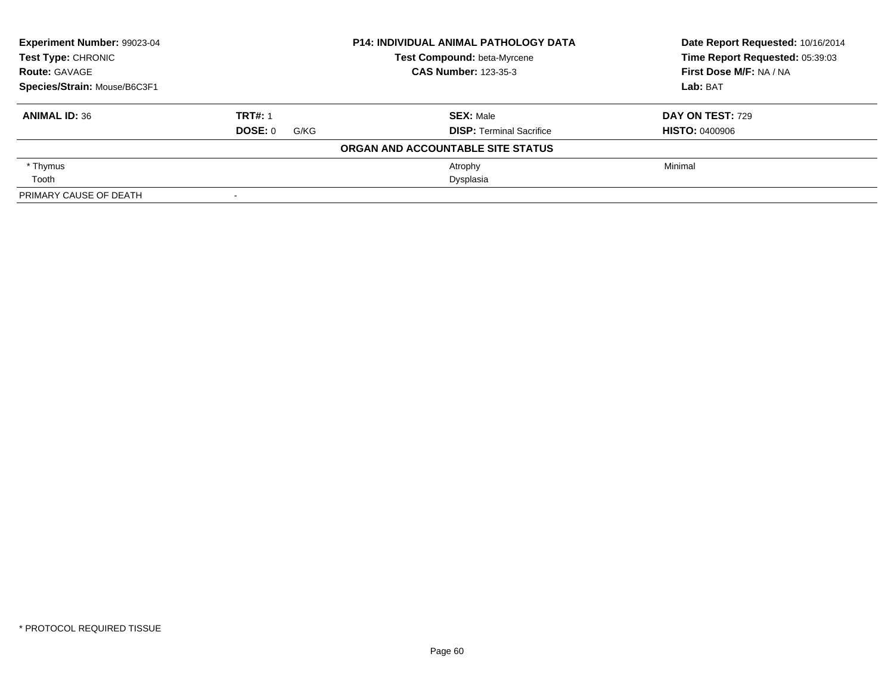| Experiment Number: 99023-04<br><b>P14: INDIVIDUAL ANIMAL PATHOLOGY DATA</b><br><b>Test Type: CHRONIC</b><br>Test Compound: beta-Myrcene<br><b>CAS Number: 123-35-3</b><br><b>Route: GAVAGE</b> |                 |                                   | Date Report Requested: 10/16/2014<br>Time Report Requested: 05:39:03 |
|------------------------------------------------------------------------------------------------------------------------------------------------------------------------------------------------|-----------------|-----------------------------------|----------------------------------------------------------------------|
|                                                                                                                                                                                                |                 |                                   |                                                                      |
|                                                                                                                                                                                                |                 |                                   | First Dose M/F: NA / NA                                              |
| Species/Strain: Mouse/B6C3F1                                                                                                                                                                   |                 |                                   | Lab: BAT                                                             |
| <b>ANIMAL ID: 36</b>                                                                                                                                                                           | <b>TRT#: 1</b>  | <b>SEX: Male</b>                  | <b>DAY ON TEST: 729</b>                                              |
|                                                                                                                                                                                                | DOSE: 0<br>G/KG | <b>DISP:</b> Terminal Sacrifice   | <b>HISTO: 0400906</b>                                                |
|                                                                                                                                                                                                |                 | ORGAN AND ACCOUNTABLE SITE STATUS |                                                                      |
| * Thymus                                                                                                                                                                                       |                 | Atrophy                           | Minimal                                                              |
| Tooth                                                                                                                                                                                          |                 | Dysplasia                         |                                                                      |
| PRIMARY CAUSE OF DEATH                                                                                                                                                                         |                 |                                   |                                                                      |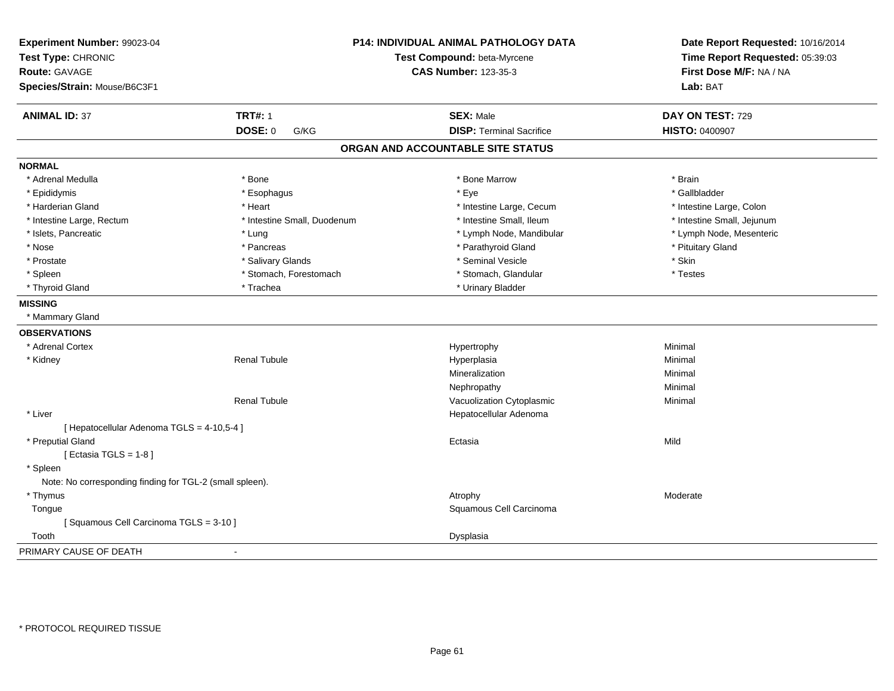| Experiment Number: 99023-04<br>Test Type: CHRONIC<br><b>Route: GAVAGE</b><br>Species/Strain: Mouse/B6C3F1 |                             | P14: INDIVIDUAL ANIMAL PATHOLOGY DATA<br>Test Compound: beta-Myrcene<br><b>CAS Number: 123-35-3</b> |                            |
|-----------------------------------------------------------------------------------------------------------|-----------------------------|-----------------------------------------------------------------------------------------------------|----------------------------|
|                                                                                                           |                             |                                                                                                     | Lab: BAT                   |
| <b>ANIMAL ID: 37</b>                                                                                      | <b>TRT#: 1</b>              | <b>SEX: Male</b>                                                                                    | DAY ON TEST: 729           |
|                                                                                                           | <b>DOSE: 0</b><br>G/KG      | <b>DISP: Terminal Sacrifice</b>                                                                     | <b>HISTO: 0400907</b>      |
|                                                                                                           |                             | ORGAN AND ACCOUNTABLE SITE STATUS                                                                   |                            |
| <b>NORMAL</b>                                                                                             |                             |                                                                                                     |                            |
| * Adrenal Medulla                                                                                         | * Bone                      | * Bone Marrow                                                                                       | * Brain                    |
| * Epididymis                                                                                              | * Esophagus                 | * Eye                                                                                               | * Gallbladder              |
| * Harderian Gland                                                                                         | * Heart                     | * Intestine Large, Cecum                                                                            | * Intestine Large, Colon   |
| * Intestine Large, Rectum                                                                                 | * Intestine Small, Duodenum | * Intestine Small, Ileum                                                                            | * Intestine Small, Jejunum |
| * Islets, Pancreatic                                                                                      | * Lung                      | * Lymph Node, Mandibular                                                                            | * Lymph Node, Mesenteric   |
| * Nose                                                                                                    | * Pancreas                  | * Parathyroid Gland                                                                                 | * Pituitary Gland          |
| * Prostate                                                                                                | * Salivary Glands           | * Seminal Vesicle                                                                                   | * Skin                     |
| * Spleen                                                                                                  | * Stomach, Forestomach      | * Stomach, Glandular                                                                                | * Testes                   |
| * Thyroid Gland                                                                                           | * Trachea                   | * Urinary Bladder                                                                                   |                            |
| <b>MISSING</b>                                                                                            |                             |                                                                                                     |                            |
| * Mammary Gland                                                                                           |                             |                                                                                                     |                            |
| <b>OBSERVATIONS</b>                                                                                       |                             |                                                                                                     |                            |
| * Adrenal Cortex                                                                                          |                             | Hypertrophy                                                                                         | Minimal                    |
| * Kidney                                                                                                  | <b>Renal Tubule</b>         | Hyperplasia                                                                                         | Minimal                    |
|                                                                                                           |                             | Mineralization                                                                                      | Minimal                    |
|                                                                                                           |                             | Nephropathy                                                                                         | Minimal                    |
|                                                                                                           | <b>Renal Tubule</b>         | Vacuolization Cytoplasmic                                                                           | Minimal                    |
| * Liver                                                                                                   |                             | Hepatocellular Adenoma                                                                              |                            |
| [ Hepatocellular Adenoma TGLS = 4-10,5-4 ]                                                                |                             |                                                                                                     |                            |
| * Preputial Gland                                                                                         |                             | Ectasia                                                                                             | Mild                       |
| [ Ectasia TGLS = $1-8$ ]                                                                                  |                             |                                                                                                     |                            |
| * Spleen                                                                                                  |                             |                                                                                                     |                            |
| Note: No corresponding finding for TGL-2 (small spleen).                                                  |                             |                                                                                                     |                            |
| * Thymus                                                                                                  |                             | Atrophy                                                                                             | Moderate                   |
| Tongue                                                                                                    |                             | Squamous Cell Carcinoma                                                                             |                            |
| [Squamous Cell Carcinoma TGLS = 3-10]                                                                     |                             |                                                                                                     |                            |
| Tooth                                                                                                     |                             | Dysplasia                                                                                           |                            |
| PRIMARY CAUSE OF DEATH                                                                                    |                             |                                                                                                     |                            |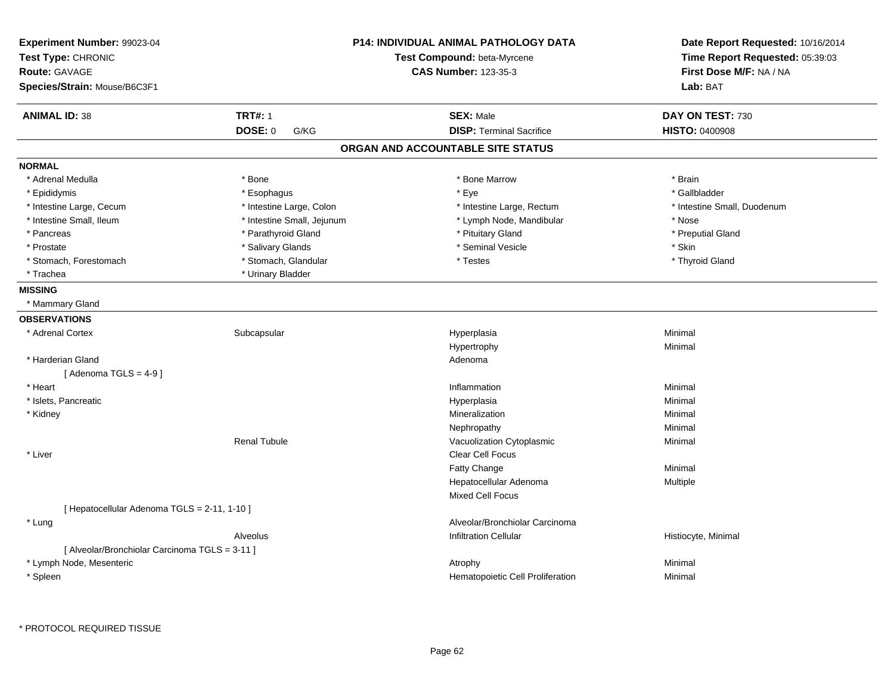| Experiment Number: 99023-04                    |                            | <b>P14: INDIVIDUAL ANIMAL PATHOLOGY DATA</b> | Date Report Requested: 10/16/2014 |  |
|------------------------------------------------|----------------------------|----------------------------------------------|-----------------------------------|--|
| Test Type: CHRONIC                             |                            | Test Compound: beta-Myrcene                  | Time Report Requested: 05:39:03   |  |
| <b>Route: GAVAGE</b>                           |                            | <b>CAS Number: 123-35-3</b>                  | First Dose M/F: NA / NA           |  |
| Species/Strain: Mouse/B6C3F1                   |                            |                                              | Lab: BAT                          |  |
| <b>ANIMAL ID: 38</b>                           | <b>TRT#: 1</b>             | <b>SEX: Male</b>                             | DAY ON TEST: 730                  |  |
|                                                | <b>DOSE: 0</b><br>G/KG     | <b>DISP: Terminal Sacrifice</b>              | <b>HISTO: 0400908</b>             |  |
|                                                |                            | ORGAN AND ACCOUNTABLE SITE STATUS            |                                   |  |
| <b>NORMAL</b>                                  |                            |                                              |                                   |  |
| * Adrenal Medulla                              | * Bone                     | * Bone Marrow                                | * Brain                           |  |
| * Epididymis                                   | * Esophagus                | * Eye                                        | * Gallbladder                     |  |
| * Intestine Large, Cecum                       | * Intestine Large, Colon   | * Intestine Large, Rectum                    | * Intestine Small, Duodenum       |  |
| * Intestine Small, Ileum                       | * Intestine Small, Jejunum | * Lymph Node, Mandibular                     | * Nose                            |  |
| * Pancreas                                     | * Parathyroid Gland        | * Pituitary Gland                            | * Preputial Gland                 |  |
| * Prostate                                     | * Salivary Glands          | * Seminal Vesicle                            | * Skin                            |  |
| * Stomach, Forestomach                         | * Stomach, Glandular       | * Testes                                     | * Thyroid Gland                   |  |
| * Trachea                                      | * Urinary Bladder          |                                              |                                   |  |
| <b>MISSING</b>                                 |                            |                                              |                                   |  |
| * Mammary Gland                                |                            |                                              |                                   |  |
| <b>OBSERVATIONS</b>                            |                            |                                              |                                   |  |
| * Adrenal Cortex                               | Subcapsular                | Hyperplasia                                  | Minimal                           |  |
|                                                |                            | Hypertrophy                                  | Minimal                           |  |
| * Harderian Gland                              |                            | Adenoma                                      |                                   |  |
| [Adenoma TGLS = $4-9$ ]                        |                            |                                              |                                   |  |
| * Heart                                        |                            | Inflammation                                 | Minimal                           |  |
| * Islets, Pancreatic                           |                            | Hyperplasia                                  | Minimal                           |  |
| * Kidney                                       |                            | Mineralization                               | Minimal                           |  |
|                                                |                            | Nephropathy                                  | Minimal                           |  |
|                                                | <b>Renal Tubule</b>        | Vacuolization Cytoplasmic                    | Minimal                           |  |
| * Liver                                        |                            | Clear Cell Focus                             |                                   |  |
|                                                |                            | Fatty Change                                 | Minimal                           |  |
|                                                |                            | Hepatocellular Adenoma                       | Multiple                          |  |
|                                                |                            | <b>Mixed Cell Focus</b>                      |                                   |  |
| [ Hepatocellular Adenoma TGLS = 2-11, 1-10 ]   |                            |                                              |                                   |  |
| * Lung                                         |                            | Alveolar/Bronchiolar Carcinoma               |                                   |  |
|                                                | Alveolus                   | <b>Infiltration Cellular</b>                 | Histiocyte, Minimal               |  |
| [ Alveolar/Bronchiolar Carcinoma TGLS = 3-11 ] |                            |                                              |                                   |  |
| * Lymph Node, Mesenteric                       |                            | Atrophy                                      | Minimal                           |  |
| * Spleen                                       |                            | Hematopoietic Cell Proliferation             |                                   |  |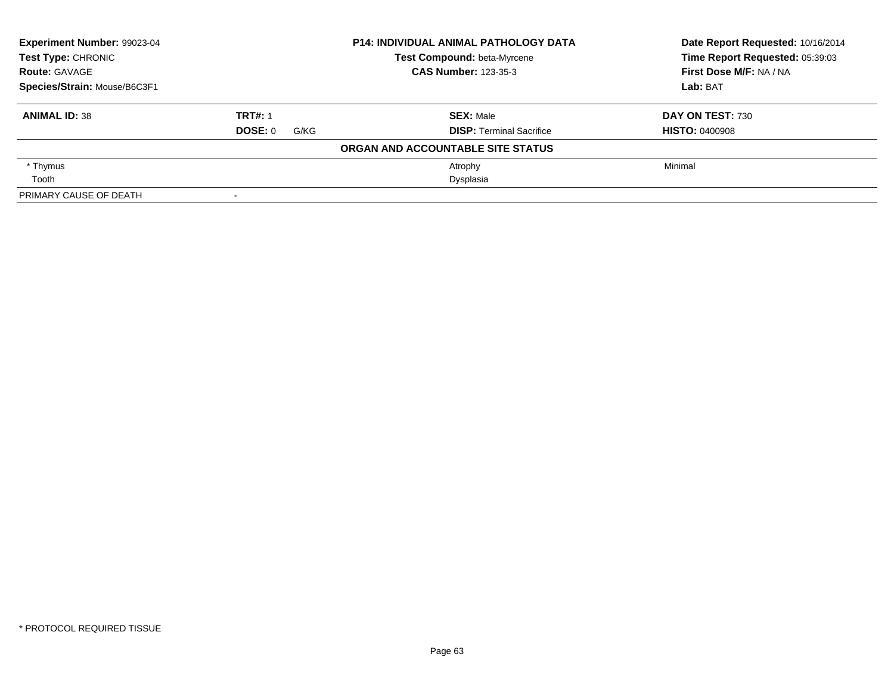| Experiment Number: 99023-04<br><b>Test Type: CHRONIC</b><br><b>Route: GAVAGE</b> |                 | <b>P14: INDIVIDUAL ANIMAL PATHOLOGY DATA</b> | Date Report Requested: 10/16/2014<br>Time Report Requested: 05:39:03 |
|----------------------------------------------------------------------------------|-----------------|----------------------------------------------|----------------------------------------------------------------------|
|                                                                                  |                 | Test Compound: beta-Myrcene                  |                                                                      |
|                                                                                  |                 | <b>CAS Number: 123-35-3</b>                  | First Dose M/F: NA / NA                                              |
| Species/Strain: Mouse/B6C3F1                                                     |                 |                                              | Lab: BAT                                                             |
| <b>ANIMAL ID: 38</b>                                                             | <b>TRT#: 1</b>  | <b>SEX: Male</b>                             | DAY ON TEST: 730                                                     |
|                                                                                  | DOSE: 0<br>G/KG | <b>DISP:</b> Terminal Sacrifice              | <b>HISTO: 0400908</b>                                                |
|                                                                                  |                 | ORGAN AND ACCOUNTABLE SITE STATUS            |                                                                      |
| * Thymus                                                                         |                 | Atrophy                                      | Minimal                                                              |
| Tooth                                                                            |                 | Dysplasia                                    |                                                                      |
| PRIMARY CAUSE OF DEATH                                                           |                 |                                              |                                                                      |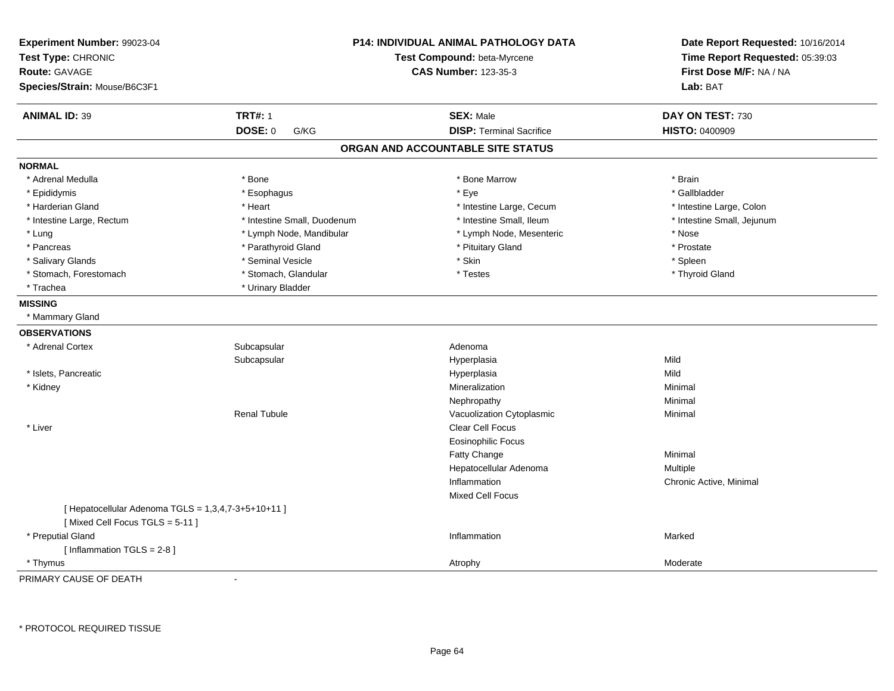| Experiment Number: 99023-04<br>Test Type: CHRONIC<br><b>Route: GAVAGE</b><br>Species/Strain: Mouse/B6C3F1 | <b>P14: INDIVIDUAL ANIMAL PATHOLOGY DATA</b><br>Test Compound: beta-Myrcene<br><b>CAS Number: 123-35-3</b> |                                   | Date Report Requested: 10/16/2014<br>Time Report Requested: 05:39:03<br>First Dose M/F: NA / NA<br>Lab: BAT |
|-----------------------------------------------------------------------------------------------------------|------------------------------------------------------------------------------------------------------------|-----------------------------------|-------------------------------------------------------------------------------------------------------------|
| <b>ANIMAL ID: 39</b>                                                                                      | <b>TRT#: 1</b>                                                                                             | <b>SEX: Male</b>                  | DAY ON TEST: 730                                                                                            |
|                                                                                                           | <b>DOSE: 0</b><br>G/KG                                                                                     | <b>DISP: Terminal Sacrifice</b>   | HISTO: 0400909                                                                                              |
|                                                                                                           |                                                                                                            | ORGAN AND ACCOUNTABLE SITE STATUS |                                                                                                             |
| <b>NORMAL</b>                                                                                             |                                                                                                            |                                   |                                                                                                             |
| * Adrenal Medulla                                                                                         | * Bone                                                                                                     | * Bone Marrow                     | * Brain                                                                                                     |
| * Epididymis                                                                                              | * Esophagus                                                                                                | * Eye                             | * Gallbladder                                                                                               |
| * Harderian Gland                                                                                         | * Heart                                                                                                    | * Intestine Large, Cecum          | * Intestine Large, Colon                                                                                    |
| * Intestine Large, Rectum                                                                                 | * Intestine Small, Duodenum                                                                                | * Intestine Small, Ileum          | * Intestine Small, Jejunum                                                                                  |
| * Lung                                                                                                    | * Lymph Node, Mandibular                                                                                   | * Lymph Node, Mesenteric          | * Nose                                                                                                      |
| * Pancreas                                                                                                | * Parathyroid Gland                                                                                        | * Pituitary Gland                 | * Prostate                                                                                                  |
| * Salivary Glands                                                                                         | * Seminal Vesicle                                                                                          | * Skin                            | * Spleen                                                                                                    |
| * Stomach, Forestomach                                                                                    | * Stomach, Glandular                                                                                       | * Testes                          | * Thyroid Gland                                                                                             |
| * Trachea                                                                                                 | * Urinary Bladder                                                                                          |                                   |                                                                                                             |
| <b>MISSING</b>                                                                                            |                                                                                                            |                                   |                                                                                                             |
| * Mammary Gland                                                                                           |                                                                                                            |                                   |                                                                                                             |
| <b>OBSERVATIONS</b>                                                                                       |                                                                                                            |                                   |                                                                                                             |
| * Adrenal Cortex                                                                                          | Subcapsular                                                                                                | Adenoma                           |                                                                                                             |
|                                                                                                           | Subcapsular                                                                                                | Hyperplasia                       | Mild                                                                                                        |
| * Islets, Pancreatic                                                                                      |                                                                                                            | Hyperplasia                       | Mild                                                                                                        |
| * Kidney                                                                                                  |                                                                                                            | Mineralization                    | Minimal                                                                                                     |
|                                                                                                           |                                                                                                            | Nephropathy                       | Minimal                                                                                                     |
|                                                                                                           | <b>Renal Tubule</b>                                                                                        | Vacuolization Cytoplasmic         | Minimal                                                                                                     |
| * Liver                                                                                                   |                                                                                                            | Clear Cell Focus                  |                                                                                                             |
|                                                                                                           |                                                                                                            | <b>Eosinophilic Focus</b>         |                                                                                                             |
|                                                                                                           |                                                                                                            | <b>Fatty Change</b>               | Minimal                                                                                                     |
|                                                                                                           |                                                                                                            | Hepatocellular Adenoma            | Multiple                                                                                                    |
|                                                                                                           |                                                                                                            | Inflammation                      | Chronic Active, Minimal                                                                                     |
|                                                                                                           |                                                                                                            | <b>Mixed Cell Focus</b>           |                                                                                                             |
| [ Hepatocellular Adenoma TGLS = 1,3,4,7-3+5+10+11 ]<br>[Mixed Cell Focus TGLS = 5-11]                     |                                                                                                            |                                   |                                                                                                             |
| * Preputial Gland                                                                                         |                                                                                                            | Inflammation                      | Marked                                                                                                      |
| [Inflammation TGLS = $2-8$ ]                                                                              |                                                                                                            |                                   |                                                                                                             |
| * Thymus                                                                                                  |                                                                                                            | Atrophy                           | Moderate                                                                                                    |

PRIMARY CAUSE OF DEATH-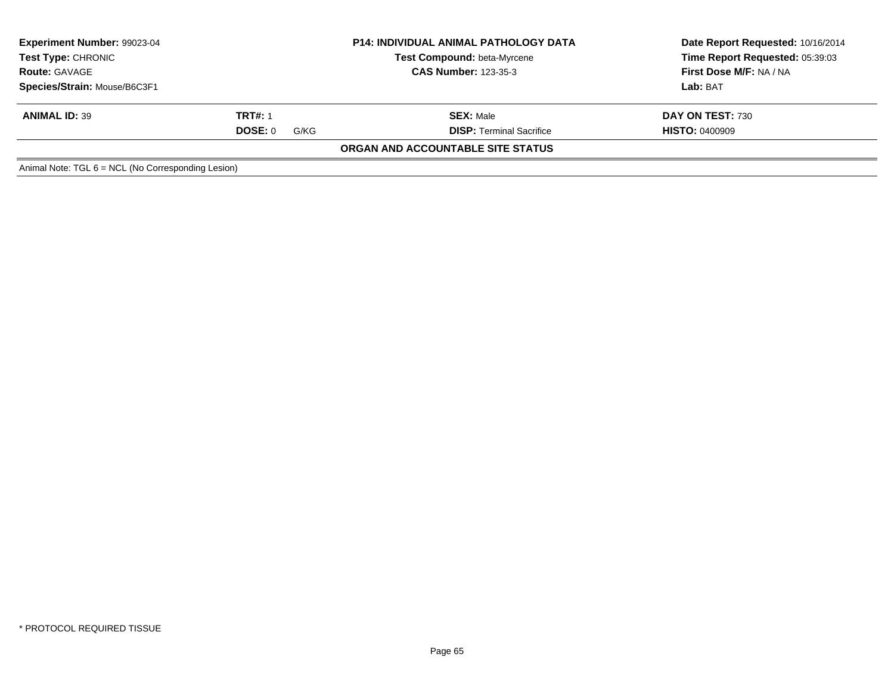| Experiment Number: 99023-04<br><b>Test Compound: beta-Myrcene</b><br><b>Test Type: CHRONIC</b><br><b>CAS Number: 123-35-3</b><br><b>Route: GAVAGE</b> |                 | <b>P14: INDIVIDUAL ANIMAL PATHOLOGY DATA</b> | Date Report Requested: 10/16/2014<br>Time Report Requested: 05:39:03<br>First Dose M/F: NA / NA |  |
|-------------------------------------------------------------------------------------------------------------------------------------------------------|-----------------|----------------------------------------------|-------------------------------------------------------------------------------------------------|--|
| Species/Strain: Mouse/B6C3F1                                                                                                                          |                 |                                              | Lab: BAT                                                                                        |  |
| <b>ANIMAL ID: 39</b>                                                                                                                                  | <b>TRT#: 1</b>  | <b>SEX: Male</b>                             | DAY ON TEST: 730                                                                                |  |
|                                                                                                                                                       | DOSE: 0<br>G/KG | <b>DISP: Terminal Sacrifice</b>              | <b>HISTO: 0400909</b>                                                                           |  |
|                                                                                                                                                       |                 | ORGAN AND ACCOUNTABLE SITE STATUS            |                                                                                                 |  |
| Animal Note: $TGL 6 = NCL$ (No Corresponding Lesion)                                                                                                  |                 |                                              |                                                                                                 |  |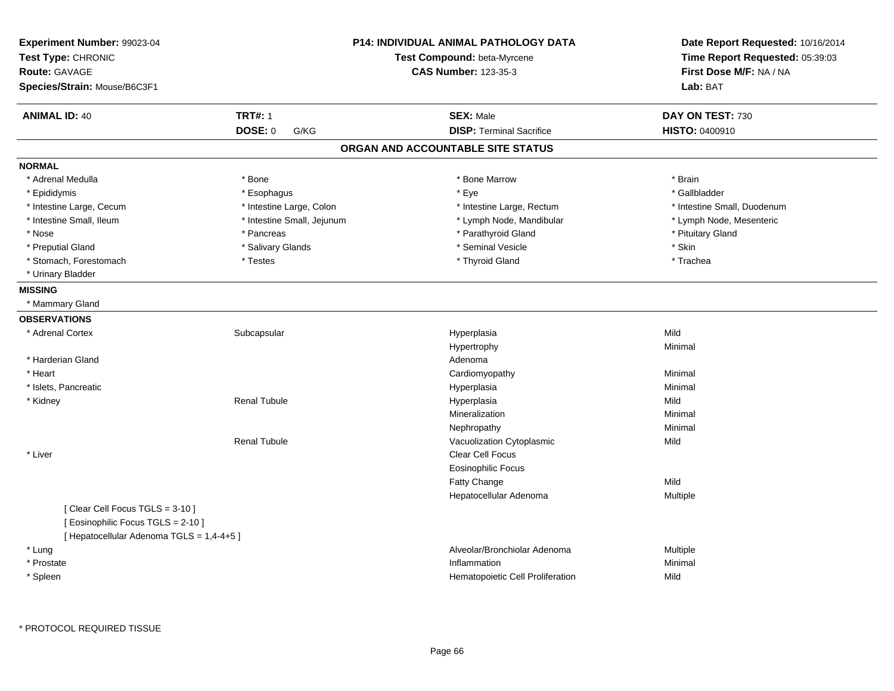| Experiment Number: 99023-04<br>Test Type: CHRONIC<br>Route: GAVAGE<br>Species/Strain: Mouse/B6C3F1                |                            | P14: INDIVIDUAL ANIMAL PATHOLOGY DATA<br>Test Compound: beta-Myrcene<br><b>CAS Number: 123-35-3</b> | Date Report Requested: 10/16/2014<br>Time Report Requested: 05:39:03<br>First Dose M/F: NA / NA<br>Lab: BAT |
|-------------------------------------------------------------------------------------------------------------------|----------------------------|-----------------------------------------------------------------------------------------------------|-------------------------------------------------------------------------------------------------------------|
| <b>ANIMAL ID: 40</b>                                                                                              | <b>TRT#: 1</b>             | <b>SEX: Male</b>                                                                                    | DAY ON TEST: 730                                                                                            |
|                                                                                                                   | <b>DOSE: 0</b><br>G/KG     | <b>DISP: Terminal Sacrifice</b>                                                                     | HISTO: 0400910                                                                                              |
|                                                                                                                   |                            | ORGAN AND ACCOUNTABLE SITE STATUS                                                                   |                                                                                                             |
| <b>NORMAL</b>                                                                                                     |                            |                                                                                                     |                                                                                                             |
| * Adrenal Medulla                                                                                                 | * Bone                     | * Bone Marrow                                                                                       | * Brain                                                                                                     |
| * Epididymis                                                                                                      | * Esophagus                | * Eye                                                                                               | * Gallbladder                                                                                               |
| * Intestine Large, Cecum                                                                                          | * Intestine Large, Colon   | * Intestine Large, Rectum                                                                           | * Intestine Small, Duodenum                                                                                 |
| * Intestine Small, Ileum                                                                                          | * Intestine Small, Jejunum | * Lymph Node, Mandibular                                                                            | * Lymph Node, Mesenteric                                                                                    |
| * Nose                                                                                                            | * Pancreas                 | * Parathyroid Gland                                                                                 | * Pituitary Gland                                                                                           |
| * Preputial Gland                                                                                                 | * Salivary Glands          | * Seminal Vesicle                                                                                   | $^\star$ Skin                                                                                               |
| * Stomach, Forestomach                                                                                            | * Testes                   | * Thyroid Gland                                                                                     | * Trachea                                                                                                   |
| * Urinary Bladder                                                                                                 |                            |                                                                                                     |                                                                                                             |
| <b>MISSING</b>                                                                                                    |                            |                                                                                                     |                                                                                                             |
| * Mammary Gland                                                                                                   |                            |                                                                                                     |                                                                                                             |
| <b>OBSERVATIONS</b>                                                                                               |                            |                                                                                                     |                                                                                                             |
| * Adrenal Cortex                                                                                                  | Subcapsular                | Hyperplasia                                                                                         | Mild                                                                                                        |
|                                                                                                                   |                            | Hypertrophy                                                                                         | Minimal                                                                                                     |
| * Harderian Gland                                                                                                 |                            | Adenoma                                                                                             |                                                                                                             |
| * Heart                                                                                                           |                            | Cardiomyopathy                                                                                      | Minimal                                                                                                     |
| * Islets, Pancreatic                                                                                              |                            | Hyperplasia                                                                                         | Minimal                                                                                                     |
| * Kidney                                                                                                          | Renal Tubule               | Hyperplasia                                                                                         | Mild                                                                                                        |
|                                                                                                                   |                            | Mineralization                                                                                      | Minimal                                                                                                     |
|                                                                                                                   |                            | Nephropathy                                                                                         | Minimal                                                                                                     |
|                                                                                                                   | <b>Renal Tubule</b>        | Vacuolization Cytoplasmic                                                                           | Mild                                                                                                        |
| * Liver                                                                                                           |                            | Clear Cell Focus                                                                                    |                                                                                                             |
|                                                                                                                   |                            | <b>Eosinophilic Focus</b>                                                                           |                                                                                                             |
|                                                                                                                   |                            | Fatty Change                                                                                        | Mild                                                                                                        |
|                                                                                                                   |                            | Hepatocellular Adenoma                                                                              | Multiple                                                                                                    |
| [Clear Cell Focus TGLS = 3-10]<br>[ Eosinophilic Focus TGLS = 2-10 ]<br>[ Hepatocellular Adenoma TGLS = 1,4-4+5 ] |                            |                                                                                                     |                                                                                                             |
| * Lung                                                                                                            |                            | Alveolar/Bronchiolar Adenoma                                                                        | Multiple                                                                                                    |
| * Prostate                                                                                                        |                            | Inflammation                                                                                        | Minimal                                                                                                     |
| * Spleen                                                                                                          |                            | Hematopoietic Cell Proliferation                                                                    | Mild                                                                                                        |
|                                                                                                                   |                            |                                                                                                     |                                                                                                             |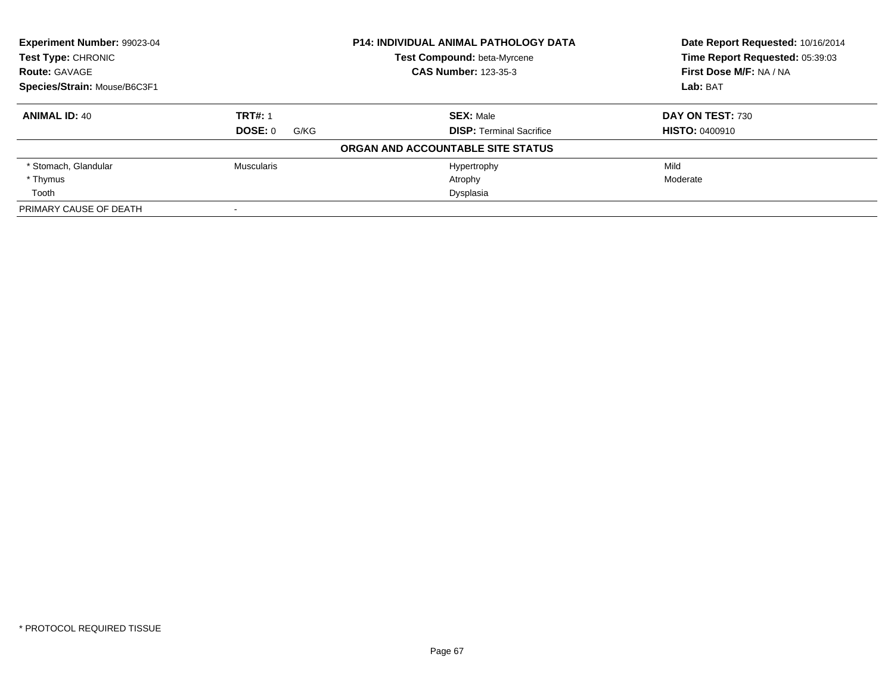| <b>Experiment Number: 99023-04</b><br><b>Test Type: CHRONIC</b><br><b>Route: GAVAGE</b> |                 | <b>P14: INDIVIDUAL ANIMAL PATHOLOGY DATA</b> | Date Report Requested: 10/16/2014<br>Time Report Requested: 05:39:03 |
|-----------------------------------------------------------------------------------------|-----------------|----------------------------------------------|----------------------------------------------------------------------|
|                                                                                         |                 | Test Compound: beta-Myrcene                  |                                                                      |
|                                                                                         |                 | <b>CAS Number: 123-35-3</b>                  | First Dose M/F: NA / NA                                              |
| Species/Strain: Mouse/B6C3F1                                                            |                 |                                              | Lab: BAT                                                             |
| <b>ANIMAL ID: 40</b>                                                                    | <b>TRT#: 1</b>  | <b>SEX: Male</b>                             | DAY ON TEST: 730                                                     |
|                                                                                         | DOSE: 0<br>G/KG | <b>DISP:</b> Terminal Sacrifice              | <b>HISTO: 0400910</b>                                                |
|                                                                                         |                 | ORGAN AND ACCOUNTABLE SITE STATUS            |                                                                      |
| * Stomach, Glandular                                                                    | Muscularis      | Hypertrophy                                  | Mild                                                                 |
| * Thymus                                                                                |                 | Atrophy                                      | Moderate                                                             |
| Tooth                                                                                   |                 | Dysplasia                                    |                                                                      |
| PRIMARY CAUSE OF DEATH                                                                  |                 |                                              |                                                                      |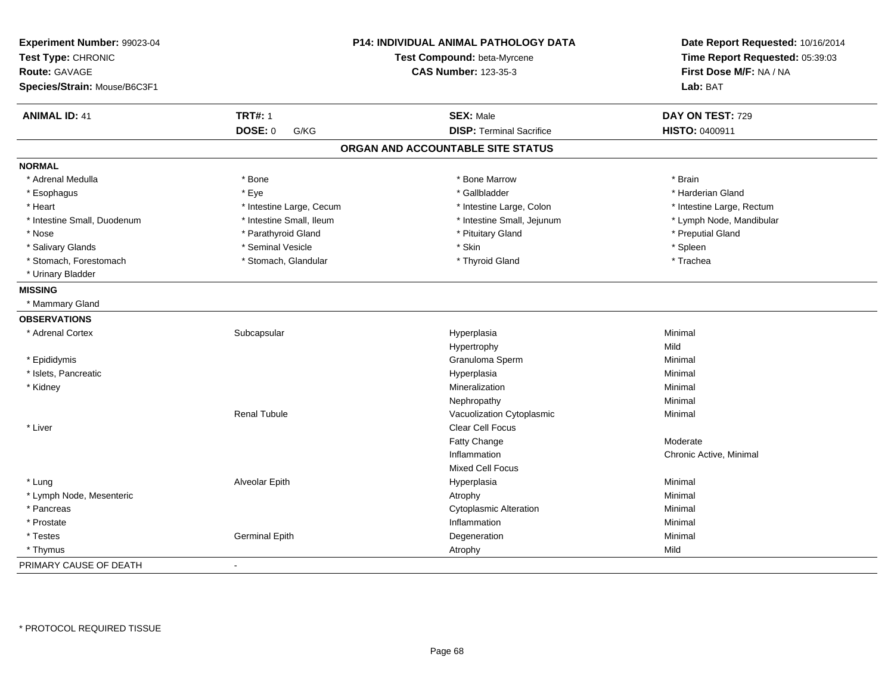| Experiment Number: 99023-04  |                          | <b>P14: INDIVIDUAL ANIMAL PATHOLOGY DATA</b> | Date Report Requested: 10/16/2014 |  |
|------------------------------|--------------------------|----------------------------------------------|-----------------------------------|--|
| Test Type: CHRONIC           |                          | Test Compound: beta-Myrcene                  | Time Report Requested: 05:39:03   |  |
| Route: GAVAGE                |                          | <b>CAS Number: 123-35-3</b>                  | First Dose M/F: NA / NA           |  |
| Species/Strain: Mouse/B6C3F1 |                          |                                              | Lab: BAT                          |  |
| <b>ANIMAL ID: 41</b>         | <b>TRT#: 1</b>           | <b>SEX: Male</b>                             | DAY ON TEST: 729                  |  |
|                              | <b>DOSE: 0</b><br>G/KG   | <b>DISP: Terminal Sacrifice</b>              | HISTO: 0400911                    |  |
|                              |                          | ORGAN AND ACCOUNTABLE SITE STATUS            |                                   |  |
| <b>NORMAL</b>                |                          |                                              |                                   |  |
| * Adrenal Medulla            | * Bone                   | * Bone Marrow                                | * Brain                           |  |
| * Esophagus                  | * Eye                    | * Gallbladder                                | * Harderian Gland                 |  |
| * Heart                      | * Intestine Large, Cecum | * Intestine Large, Colon                     | * Intestine Large, Rectum         |  |
| * Intestine Small, Duodenum  | * Intestine Small, Ileum | * Intestine Small, Jejunum                   | * Lymph Node, Mandibular          |  |
| * Nose                       | * Parathyroid Gland      | * Pituitary Gland                            | * Preputial Gland                 |  |
| * Salivary Glands            | * Seminal Vesicle        | * Skin                                       | * Spleen                          |  |
| * Stomach, Forestomach       | * Stomach, Glandular     | * Thyroid Gland                              | * Trachea                         |  |
| * Urinary Bladder            |                          |                                              |                                   |  |
| <b>MISSING</b>               |                          |                                              |                                   |  |
| * Mammary Gland              |                          |                                              |                                   |  |
| <b>OBSERVATIONS</b>          |                          |                                              |                                   |  |
| * Adrenal Cortex             | Subcapsular              | Hyperplasia                                  | Minimal                           |  |
|                              |                          | Hypertrophy                                  | Mild                              |  |
| * Epididymis                 |                          | Granuloma Sperm                              | Minimal                           |  |
| * Islets, Pancreatic         |                          | Hyperplasia                                  | Minimal                           |  |
| * Kidney                     |                          | Mineralization                               | Minimal                           |  |
|                              |                          | Nephropathy                                  | Minimal                           |  |
|                              | <b>Renal Tubule</b>      | Vacuolization Cytoplasmic                    | Minimal                           |  |
| * Liver                      |                          | Clear Cell Focus                             |                                   |  |
|                              |                          | Fatty Change                                 | Moderate                          |  |
|                              |                          | Inflammation                                 | Chronic Active, Minimal           |  |
|                              |                          | <b>Mixed Cell Focus</b>                      |                                   |  |
| * Lung                       | Alveolar Epith           | Hyperplasia                                  | Minimal                           |  |
| * Lymph Node, Mesenteric     |                          | Atrophy                                      | Minimal                           |  |
| * Pancreas                   |                          | <b>Cytoplasmic Alteration</b>                | Minimal                           |  |
| * Prostate                   |                          | Inflammation                                 | Minimal                           |  |
| * Testes                     | <b>Germinal Epith</b>    | Degeneration                                 | Minimal                           |  |
| * Thymus                     |                          | Atrophy                                      | Mild                              |  |
| PRIMARY CAUSE OF DEATH       |                          |                                              |                                   |  |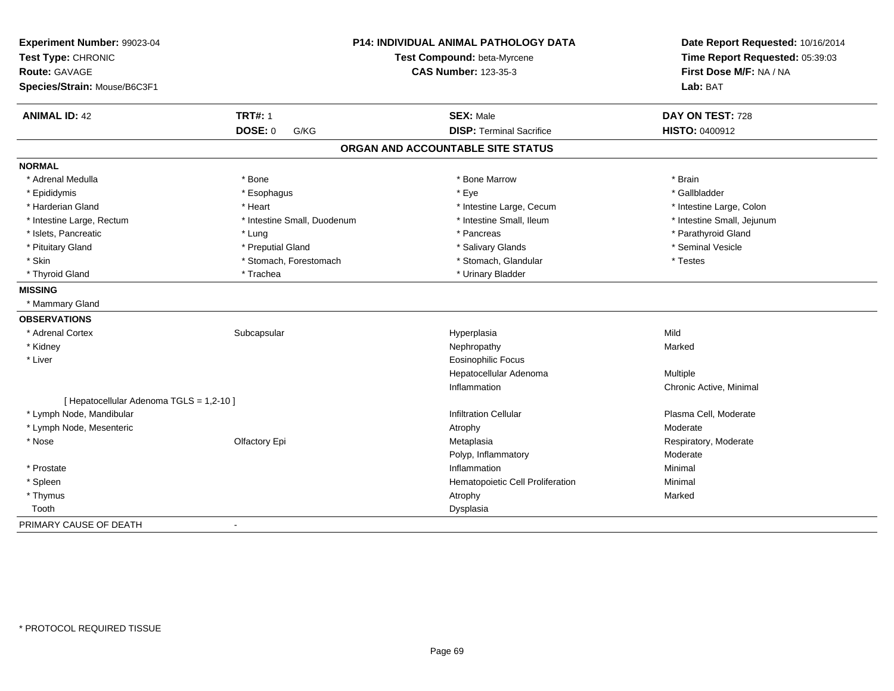| Experiment Number: 99023-04<br>Test Type: CHRONIC<br><b>Route: GAVAGE</b><br>Species/Strain: Mouse/B6C3F1 |                             | P14: INDIVIDUAL ANIMAL PATHOLOGY DATA<br>Test Compound: beta-Myrcene<br><b>CAS Number: 123-35-3</b> | Date Report Requested: 10/16/2014<br>Time Report Requested: 05:39:03<br>First Dose M/F: NA / NA<br>Lab: BAT |
|-----------------------------------------------------------------------------------------------------------|-----------------------------|-----------------------------------------------------------------------------------------------------|-------------------------------------------------------------------------------------------------------------|
| <b>ANIMAL ID: 42</b>                                                                                      | <b>TRT#: 1</b>              | <b>SEX: Male</b>                                                                                    | DAY ON TEST: 728                                                                                            |
|                                                                                                           | DOSE: 0<br>G/KG             | <b>DISP: Terminal Sacrifice</b>                                                                     | HISTO: 0400912                                                                                              |
|                                                                                                           |                             | ORGAN AND ACCOUNTABLE SITE STATUS                                                                   |                                                                                                             |
| <b>NORMAL</b>                                                                                             |                             |                                                                                                     |                                                                                                             |
| * Adrenal Medulla                                                                                         | * Bone                      | * Bone Marrow                                                                                       | * Brain                                                                                                     |
| * Epididymis                                                                                              | * Esophagus                 | * Eye                                                                                               | * Gallbladder                                                                                               |
| * Harderian Gland                                                                                         | * Heart                     | * Intestine Large, Cecum                                                                            | * Intestine Large, Colon                                                                                    |
| * Intestine Large, Rectum                                                                                 | * Intestine Small, Duodenum | * Intestine Small, Ileum                                                                            | * Intestine Small, Jejunum                                                                                  |
| * Islets, Pancreatic                                                                                      | * Lung                      | * Pancreas                                                                                          | * Parathyroid Gland                                                                                         |
| * Pituitary Gland                                                                                         | * Preputial Gland           | * Salivary Glands                                                                                   | * Seminal Vesicle                                                                                           |
| * Skin                                                                                                    | * Stomach, Forestomach      | * Stomach, Glandular                                                                                | * Testes                                                                                                    |
| * Thyroid Gland                                                                                           | * Trachea                   | * Urinary Bladder                                                                                   |                                                                                                             |
| <b>MISSING</b>                                                                                            |                             |                                                                                                     |                                                                                                             |
| * Mammary Gland                                                                                           |                             |                                                                                                     |                                                                                                             |
| <b>OBSERVATIONS</b>                                                                                       |                             |                                                                                                     |                                                                                                             |
| * Adrenal Cortex                                                                                          | Subcapsular                 | Hyperplasia                                                                                         | Mild                                                                                                        |
| * Kidney                                                                                                  |                             | Nephropathy                                                                                         | Marked                                                                                                      |
| * Liver                                                                                                   |                             | <b>Eosinophilic Focus</b>                                                                           |                                                                                                             |
|                                                                                                           |                             | Hepatocellular Adenoma                                                                              | Multiple                                                                                                    |
|                                                                                                           |                             | Inflammation                                                                                        | Chronic Active, Minimal                                                                                     |
| [ Hepatocellular Adenoma TGLS = 1,2-10 ]                                                                  |                             |                                                                                                     |                                                                                                             |
| * Lymph Node, Mandibular                                                                                  |                             | <b>Infiltration Cellular</b>                                                                        | Plasma Cell, Moderate                                                                                       |
| * Lymph Node, Mesenteric                                                                                  |                             | Atrophy                                                                                             | Moderate                                                                                                    |
| * Nose                                                                                                    | Olfactory Epi               | Metaplasia                                                                                          | Respiratory, Moderate                                                                                       |
|                                                                                                           |                             | Polyp, Inflammatory                                                                                 | Moderate                                                                                                    |
| * Prostate                                                                                                |                             | Inflammation                                                                                        | Minimal                                                                                                     |
| * Spleen                                                                                                  |                             | Hematopoietic Cell Proliferation                                                                    | Minimal                                                                                                     |
| * Thymus                                                                                                  |                             | Atrophy                                                                                             | Marked                                                                                                      |
| Tooth                                                                                                     |                             | Dysplasia                                                                                           |                                                                                                             |
| PRIMARY CAUSE OF DEATH                                                                                    | $\overline{\phantom{a}}$    |                                                                                                     |                                                                                                             |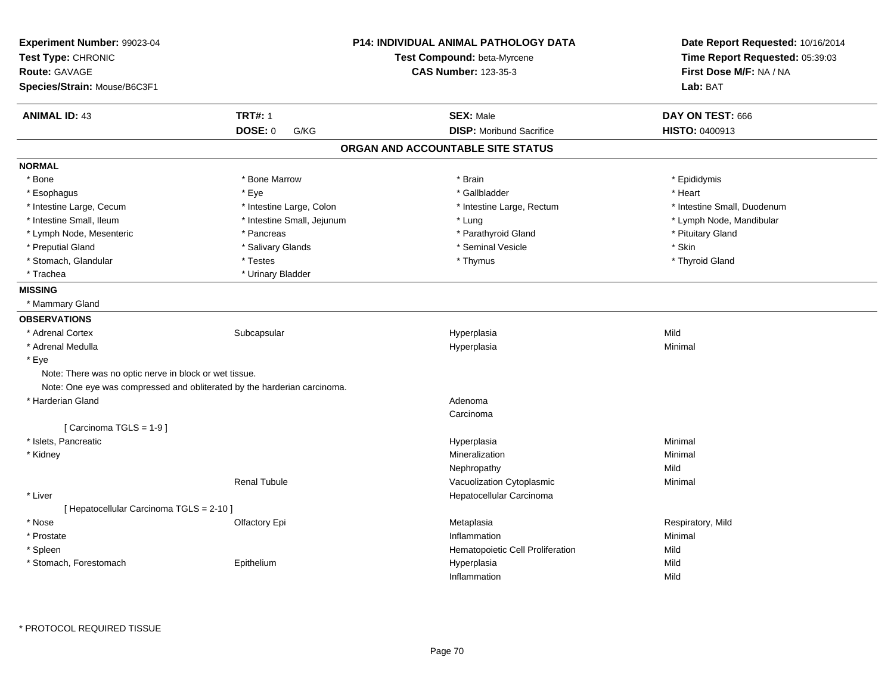| Experiment Number: 99023-04<br>Test Type: CHRONIC<br><b>Route: GAVAGE</b><br>Species/Strain: Mouse/B6C3F1 |                            | <b>P14: INDIVIDUAL ANIMAL PATHOLOGY DATA</b><br>Test Compound: beta-Myrcene<br><b>CAS Number: 123-35-3</b> | Date Report Requested: 10/16/2014<br>Time Report Requested: 05:39:03<br>First Dose M/F: NA / NA<br>Lab: BAT |
|-----------------------------------------------------------------------------------------------------------|----------------------------|------------------------------------------------------------------------------------------------------------|-------------------------------------------------------------------------------------------------------------|
| <b>ANIMAL ID: 43</b>                                                                                      | <b>TRT#: 1</b>             | <b>SEX: Male</b>                                                                                           | DAY ON TEST: 666                                                                                            |
|                                                                                                           | <b>DOSE: 0</b><br>G/KG     | <b>DISP:</b> Moribund Sacrifice                                                                            | <b>HISTO: 0400913</b>                                                                                       |
|                                                                                                           |                            | ORGAN AND ACCOUNTABLE SITE STATUS                                                                          |                                                                                                             |
| <b>NORMAL</b>                                                                                             |                            |                                                                                                            |                                                                                                             |
| * Bone                                                                                                    | * Bone Marrow              | * Brain                                                                                                    | * Epididymis                                                                                                |
| * Esophagus                                                                                               | * Eye                      | * Gallbladder                                                                                              | * Heart                                                                                                     |
| * Intestine Large, Cecum                                                                                  | * Intestine Large, Colon   | * Intestine Large, Rectum                                                                                  | * Intestine Small, Duodenum                                                                                 |
| * Intestine Small, Ileum                                                                                  | * Intestine Small, Jejunum | * Lung                                                                                                     | * Lymph Node, Mandibular                                                                                    |
| * Lymph Node, Mesenteric                                                                                  | * Pancreas                 | * Parathyroid Gland                                                                                        | * Pituitary Gland                                                                                           |
| * Preputial Gland                                                                                         | * Salivary Glands          | * Seminal Vesicle                                                                                          | * Skin                                                                                                      |
| * Stomach, Glandular                                                                                      | * Testes                   | * Thymus                                                                                                   | * Thyroid Gland                                                                                             |
| * Trachea                                                                                                 | * Urinary Bladder          |                                                                                                            |                                                                                                             |
| <b>MISSING</b>                                                                                            |                            |                                                                                                            |                                                                                                             |
| * Mammary Gland                                                                                           |                            |                                                                                                            |                                                                                                             |
| <b>OBSERVATIONS</b>                                                                                       |                            |                                                                                                            |                                                                                                             |
| * Adrenal Cortex                                                                                          | Subcapsular                | Hyperplasia                                                                                                | Mild                                                                                                        |
| * Adrenal Medulla                                                                                         |                            | Hyperplasia                                                                                                | Minimal                                                                                                     |
| * Eye                                                                                                     |                            |                                                                                                            |                                                                                                             |
| Note: There was no optic nerve in block or wet tissue.                                                    |                            |                                                                                                            |                                                                                                             |
| Note: One eye was compressed and obliterated by the harderian carcinoma.                                  |                            |                                                                                                            |                                                                                                             |
| * Harderian Gland                                                                                         |                            | Adenoma                                                                                                    |                                                                                                             |
|                                                                                                           |                            | Carcinoma                                                                                                  |                                                                                                             |
| [Carcinoma TGLS = 1-9]                                                                                    |                            |                                                                                                            |                                                                                                             |
| * Islets, Pancreatic                                                                                      |                            | Hyperplasia                                                                                                | Minimal                                                                                                     |
| * Kidney                                                                                                  |                            | Mineralization                                                                                             | Minimal                                                                                                     |
|                                                                                                           |                            | Nephropathy                                                                                                | Mild                                                                                                        |
|                                                                                                           | <b>Renal Tubule</b>        | Vacuolization Cytoplasmic                                                                                  | Minimal                                                                                                     |
| * Liver                                                                                                   |                            | Hepatocellular Carcinoma                                                                                   |                                                                                                             |
| [ Hepatocellular Carcinoma TGLS = 2-10 ]                                                                  |                            |                                                                                                            |                                                                                                             |
| * Nose                                                                                                    | Olfactory Epi              | Metaplasia                                                                                                 | Respiratory, Mild                                                                                           |
| * Prostate                                                                                                |                            | Inflammation                                                                                               | Minimal                                                                                                     |
| * Spleen                                                                                                  |                            | Hematopoietic Cell Proliferation                                                                           | Mild                                                                                                        |
| * Stomach, Forestomach                                                                                    | Epithelium                 | Hyperplasia                                                                                                | Mild                                                                                                        |
|                                                                                                           |                            | Inflammation                                                                                               | Mild                                                                                                        |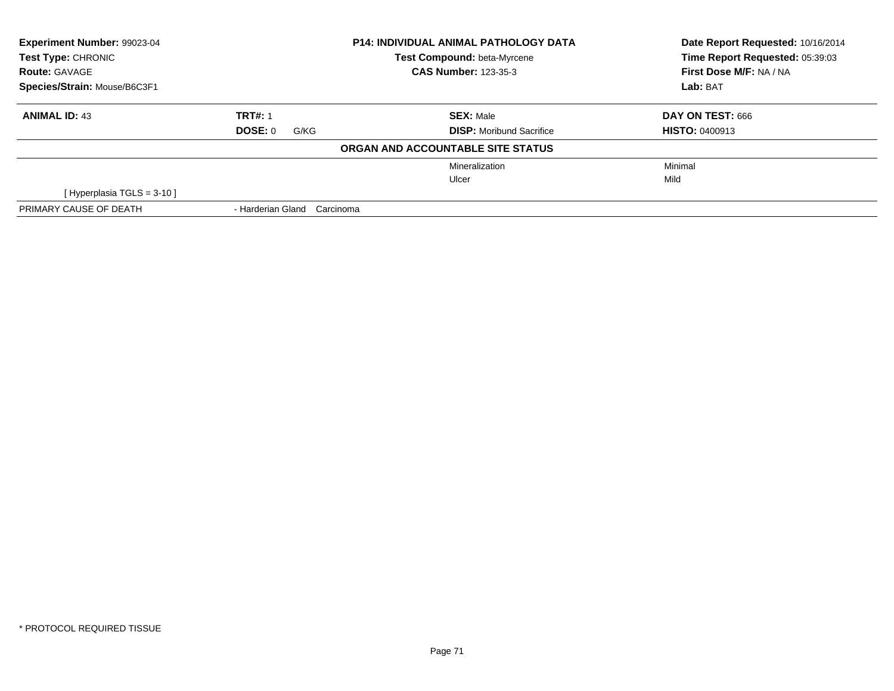| <b>Experiment Number: 99023-04</b><br><b>Test Type: CHRONIC</b><br><b>Route: GAVAGE</b> |                                | <b>P14: INDIVIDUAL ANIMAL PATHOLOGY DATA</b> | Date Report Requested: 10/16/2014<br>Time Report Requested: 05:39:03 |  |
|-----------------------------------------------------------------------------------------|--------------------------------|----------------------------------------------|----------------------------------------------------------------------|--|
|                                                                                         |                                | <b>Test Compound: beta-Myrcene</b>           |                                                                      |  |
|                                                                                         |                                | <b>CAS Number: 123-35-3</b>                  | First Dose M/F: NA / NA                                              |  |
| Species/Strain: Mouse/B6C3F1                                                            |                                |                                              | Lab: BAT                                                             |  |
| <b>ANIMAL ID: 43</b>                                                                    | <b>TRT#: 1</b>                 | <b>SEX: Male</b>                             | DAY ON TEST: 666                                                     |  |
|                                                                                         | DOSE: 0<br>G/KG                | <b>DISP:</b> Moribund Sacrifice              | <b>HISTO: 0400913</b>                                                |  |
|                                                                                         |                                | ORGAN AND ACCOUNTABLE SITE STATUS            |                                                                      |  |
|                                                                                         |                                | Mineralization                               | Minimal                                                              |  |
|                                                                                         |                                | Ulcer                                        | Mild                                                                 |  |
| [Hyperplasia TGLS = $3-10$ ]                                                            |                                |                                              |                                                                      |  |
| PRIMARY CAUSE OF DEATH                                                                  | - Harderian Gland<br>Carcinoma |                                              |                                                                      |  |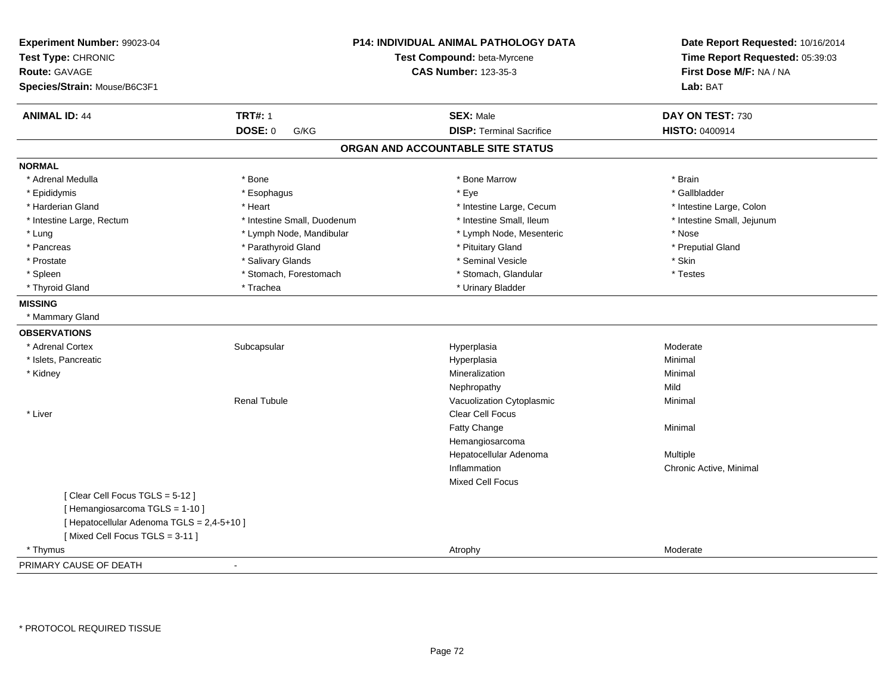| Experiment Number: 99023-04<br>Test Type: CHRONIC<br><b>Route: GAVAGE</b><br>Species/Strain: Mouse/B6C3F1 | P14: INDIVIDUAL ANIMAL PATHOLOGY DATA<br>Test Compound: beta-Myrcene<br><b>CAS Number: 123-35-3</b> |                                   | Date Report Requested: 10/16/2014<br>Time Report Requested: 05:39:03<br>First Dose M/F: NA / NA<br>Lab: BAT |
|-----------------------------------------------------------------------------------------------------------|-----------------------------------------------------------------------------------------------------|-----------------------------------|-------------------------------------------------------------------------------------------------------------|
| <b>ANIMAL ID: 44</b>                                                                                      | <b>TRT#: 1</b>                                                                                      | <b>SEX: Male</b>                  | DAY ON TEST: 730                                                                                            |
|                                                                                                           | <b>DOSE: 0</b><br>G/KG                                                                              | <b>DISP: Terminal Sacrifice</b>   | HISTO: 0400914                                                                                              |
|                                                                                                           |                                                                                                     | ORGAN AND ACCOUNTABLE SITE STATUS |                                                                                                             |
| <b>NORMAL</b>                                                                                             |                                                                                                     |                                   |                                                                                                             |
| * Adrenal Medulla                                                                                         | * Bone                                                                                              | * Bone Marrow                     | * Brain                                                                                                     |
| * Epididymis                                                                                              | * Esophagus                                                                                         | * Eye                             | * Gallbladder                                                                                               |
| * Harderian Gland                                                                                         | * Heart                                                                                             | * Intestine Large, Cecum          | * Intestine Large, Colon                                                                                    |
| * Intestine Large, Rectum                                                                                 | * Intestine Small, Duodenum                                                                         | * Intestine Small, Ileum          | * Intestine Small, Jejunum                                                                                  |
| * Lung                                                                                                    | * Lymph Node, Mandibular                                                                            | * Lymph Node, Mesenteric          | * Nose                                                                                                      |
| * Pancreas                                                                                                | * Parathyroid Gland                                                                                 | * Pituitary Gland                 | * Preputial Gland                                                                                           |
| * Prostate                                                                                                | * Salivary Glands                                                                                   | * Seminal Vesicle                 | * Skin                                                                                                      |
| * Spleen                                                                                                  | * Stomach, Forestomach                                                                              | * Stomach, Glandular              | * Testes                                                                                                    |
| * Thyroid Gland                                                                                           | * Trachea                                                                                           | * Urinary Bladder                 |                                                                                                             |
| <b>MISSING</b>                                                                                            |                                                                                                     |                                   |                                                                                                             |
| * Mammary Gland                                                                                           |                                                                                                     |                                   |                                                                                                             |
| <b>OBSERVATIONS</b>                                                                                       |                                                                                                     |                                   |                                                                                                             |
| * Adrenal Cortex                                                                                          | Subcapsular                                                                                         | Hyperplasia                       | Moderate                                                                                                    |
| * Islets, Pancreatic                                                                                      |                                                                                                     | Hyperplasia                       | Minimal                                                                                                     |
| * Kidney                                                                                                  |                                                                                                     | Mineralization                    | Minimal                                                                                                     |
|                                                                                                           |                                                                                                     | Nephropathy                       | Mild                                                                                                        |
|                                                                                                           | <b>Renal Tubule</b>                                                                                 | Vacuolization Cytoplasmic         | Minimal                                                                                                     |
| * Liver                                                                                                   |                                                                                                     | Clear Cell Focus                  |                                                                                                             |
|                                                                                                           |                                                                                                     | Fatty Change                      | Minimal                                                                                                     |
|                                                                                                           |                                                                                                     | Hemangiosarcoma                   |                                                                                                             |
|                                                                                                           |                                                                                                     | Hepatocellular Adenoma            | Multiple                                                                                                    |
|                                                                                                           |                                                                                                     | Inflammation                      | Chronic Active, Minimal                                                                                     |
|                                                                                                           |                                                                                                     | <b>Mixed Cell Focus</b>           |                                                                                                             |
| [Clear Cell Focus TGLS = 5-12]                                                                            |                                                                                                     |                                   |                                                                                                             |
| [Hemangiosarcoma TGLS = 1-10]                                                                             |                                                                                                     |                                   |                                                                                                             |
| [ Hepatocellular Adenoma TGLS = 2,4-5+10 ]                                                                |                                                                                                     |                                   |                                                                                                             |
| [Mixed Cell Focus TGLS = 3-11]                                                                            |                                                                                                     |                                   |                                                                                                             |
| * Thymus                                                                                                  |                                                                                                     | Atrophy                           | Moderate                                                                                                    |
| PRIMARY CAUSE OF DEATH                                                                                    |                                                                                                     |                                   |                                                                                                             |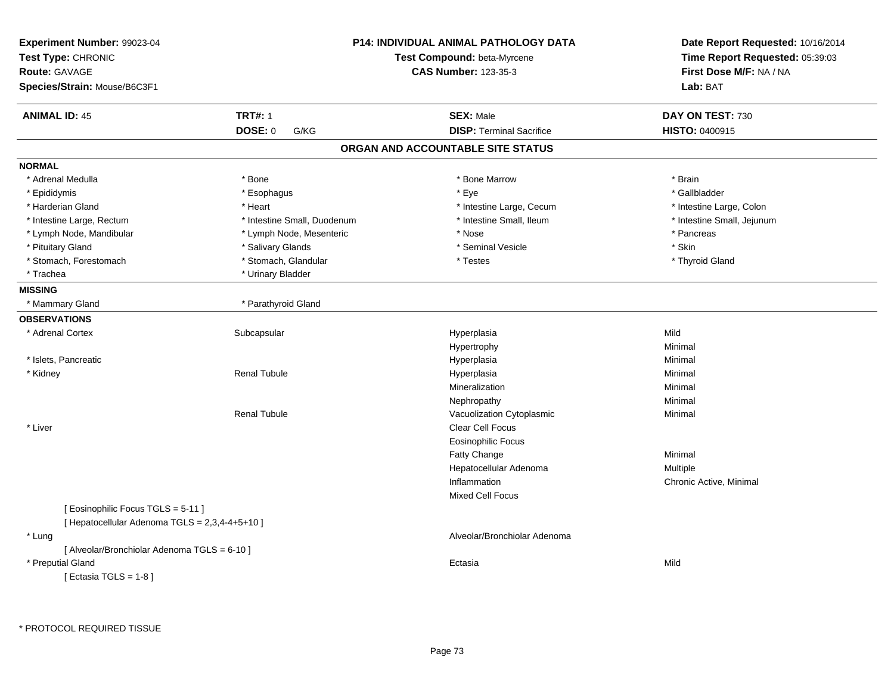| Experiment Number: 99023-04<br>Test Type: CHRONIC<br>Route: GAVAGE<br>Species/Strain: Mouse/B6C3F1                                           |                             | P14: INDIVIDUAL ANIMAL PATHOLOGY DATA<br>Test Compound: beta-Myrcene<br><b>CAS Number: 123-35-3</b> | Date Report Requested: 10/16/2014<br>Time Report Requested: 05:39:03<br>First Dose M/F: NA / NA<br>Lab: BAT |
|----------------------------------------------------------------------------------------------------------------------------------------------|-----------------------------|-----------------------------------------------------------------------------------------------------|-------------------------------------------------------------------------------------------------------------|
| <b>ANIMAL ID: 45</b>                                                                                                                         | <b>TRT#: 1</b>              | <b>SEX: Male</b>                                                                                    | DAY ON TEST: 730                                                                                            |
|                                                                                                                                              | DOSE: 0<br>G/KG             | <b>DISP: Terminal Sacrifice</b>                                                                     | <b>HISTO: 0400915</b>                                                                                       |
|                                                                                                                                              |                             | ORGAN AND ACCOUNTABLE SITE STATUS                                                                   |                                                                                                             |
| <b>NORMAL</b>                                                                                                                                |                             |                                                                                                     |                                                                                                             |
| * Adrenal Medulla                                                                                                                            | * Bone                      | * Bone Marrow                                                                                       | * Brain                                                                                                     |
| * Epididymis                                                                                                                                 | * Esophagus                 | * Eye                                                                                               | * Gallbladder                                                                                               |
| * Harderian Gland                                                                                                                            | * Heart                     | * Intestine Large, Cecum                                                                            | * Intestine Large, Colon                                                                                    |
| * Intestine Large, Rectum                                                                                                                    | * Intestine Small, Duodenum | * Intestine Small, Ileum                                                                            | * Intestine Small, Jejunum                                                                                  |
| * Lymph Node, Mandibular                                                                                                                     | * Lymph Node, Mesenteric    | * Nose                                                                                              | * Pancreas                                                                                                  |
| * Pituitary Gland                                                                                                                            | * Salivary Glands           | * Seminal Vesicle                                                                                   | * Skin                                                                                                      |
| * Stomach, Forestomach                                                                                                                       | * Stomach, Glandular        | * Testes                                                                                            | * Thyroid Gland                                                                                             |
| * Trachea                                                                                                                                    | * Urinary Bladder           |                                                                                                     |                                                                                                             |
| <b>MISSING</b>                                                                                                                               |                             |                                                                                                     |                                                                                                             |
| * Mammary Gland                                                                                                                              | * Parathyroid Gland         |                                                                                                     |                                                                                                             |
| <b>OBSERVATIONS</b>                                                                                                                          |                             |                                                                                                     |                                                                                                             |
| * Adrenal Cortex                                                                                                                             | Subcapsular                 | Hyperplasia                                                                                         | Mild                                                                                                        |
|                                                                                                                                              |                             | Hypertrophy                                                                                         | Minimal                                                                                                     |
| * Islets, Pancreatic                                                                                                                         |                             | Hyperplasia                                                                                         | Minimal                                                                                                     |
| * Kidney                                                                                                                                     | <b>Renal Tubule</b>         | Hyperplasia                                                                                         | Minimal                                                                                                     |
|                                                                                                                                              |                             | Mineralization                                                                                      | Minimal                                                                                                     |
|                                                                                                                                              |                             | Nephropathy                                                                                         | Minimal                                                                                                     |
|                                                                                                                                              | <b>Renal Tubule</b>         | Vacuolization Cytoplasmic                                                                           | Minimal                                                                                                     |
| * Liver                                                                                                                                      |                             | Clear Cell Focus                                                                                    |                                                                                                             |
|                                                                                                                                              |                             | <b>Eosinophilic Focus</b>                                                                           |                                                                                                             |
|                                                                                                                                              |                             | Fatty Change                                                                                        | Minimal                                                                                                     |
|                                                                                                                                              |                             | Hepatocellular Adenoma                                                                              | Multiple                                                                                                    |
|                                                                                                                                              |                             | Inflammation                                                                                        | Chronic Active, Minimal                                                                                     |
|                                                                                                                                              |                             | <b>Mixed Cell Focus</b>                                                                             |                                                                                                             |
| [Eosinophilic Focus TGLS = 5-11]<br>[ Hepatocellular Adenoma TGLS = 2,3,4-4+5+10 ]<br>* Lung<br>[ Alveolar/Bronchiolar Adenoma TGLS = 6-10 ] |                             | Alveolar/Bronchiolar Adenoma                                                                        |                                                                                                             |
| * Preputial Gland                                                                                                                            |                             | Ectasia                                                                                             | Mild                                                                                                        |
| [ Ectasia TGLS = $1-8$ ]                                                                                                                     |                             |                                                                                                     |                                                                                                             |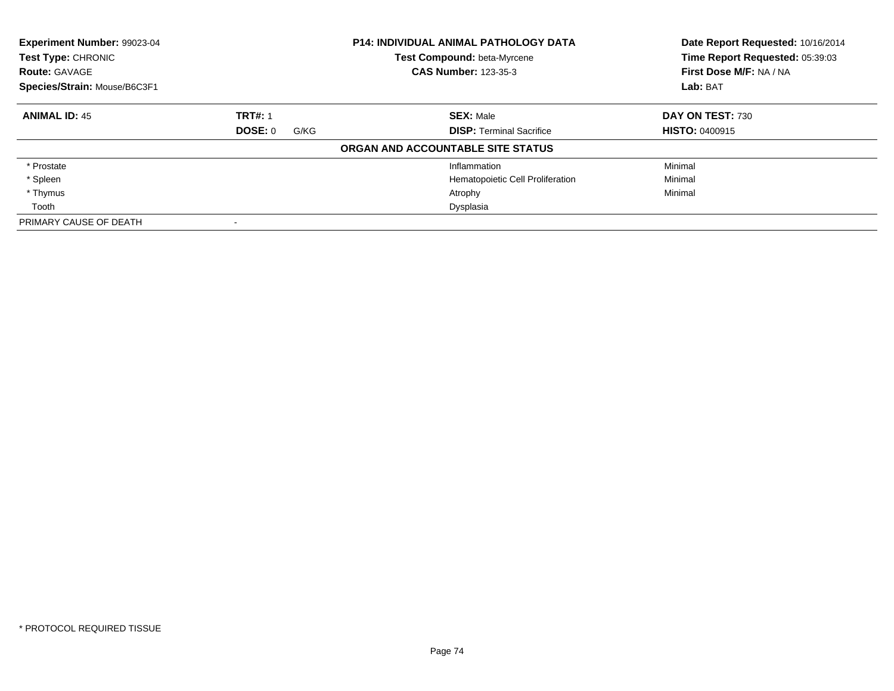| Experiment Number: 99023-04<br><b>P14: INDIVIDUAL ANIMAL PATHOLOGY DATA</b><br><b>Test Compound: beta-Myrcene</b><br>Test Type: CHRONIC<br><b>CAS Number: 123-35-3</b><br><b>Route: GAVAGE</b><br>Species/Strain: Mouse/B6C3F1 |                 |                                   | Date Report Requested: 10/16/2014<br>Time Report Requested: 05:39:03<br>First Dose M/F: NA / NA |
|--------------------------------------------------------------------------------------------------------------------------------------------------------------------------------------------------------------------------------|-----------------|-----------------------------------|-------------------------------------------------------------------------------------------------|
|                                                                                                                                                                                                                                |                 |                                   | Lab: BAT                                                                                        |
| <b>ANIMAL ID: 45</b>                                                                                                                                                                                                           | <b>TRT#: 1</b>  | <b>SEX: Male</b>                  | DAY ON TEST: 730                                                                                |
|                                                                                                                                                                                                                                | DOSE: 0<br>G/KG | <b>DISP: Terminal Sacrifice</b>   | <b>HISTO: 0400915</b>                                                                           |
|                                                                                                                                                                                                                                |                 | ORGAN AND ACCOUNTABLE SITE STATUS |                                                                                                 |
| * Prostate                                                                                                                                                                                                                     |                 | Inflammation                      | Minimal                                                                                         |
| * Spleen                                                                                                                                                                                                                       |                 | Hematopoietic Cell Proliferation  | Minimal                                                                                         |
| * Thymus                                                                                                                                                                                                                       |                 | Atrophy                           | Minimal                                                                                         |
| Tooth                                                                                                                                                                                                                          |                 | Dysplasia                         |                                                                                                 |
| PRIMARY CAUSE OF DEATH                                                                                                                                                                                                         |                 |                                   |                                                                                                 |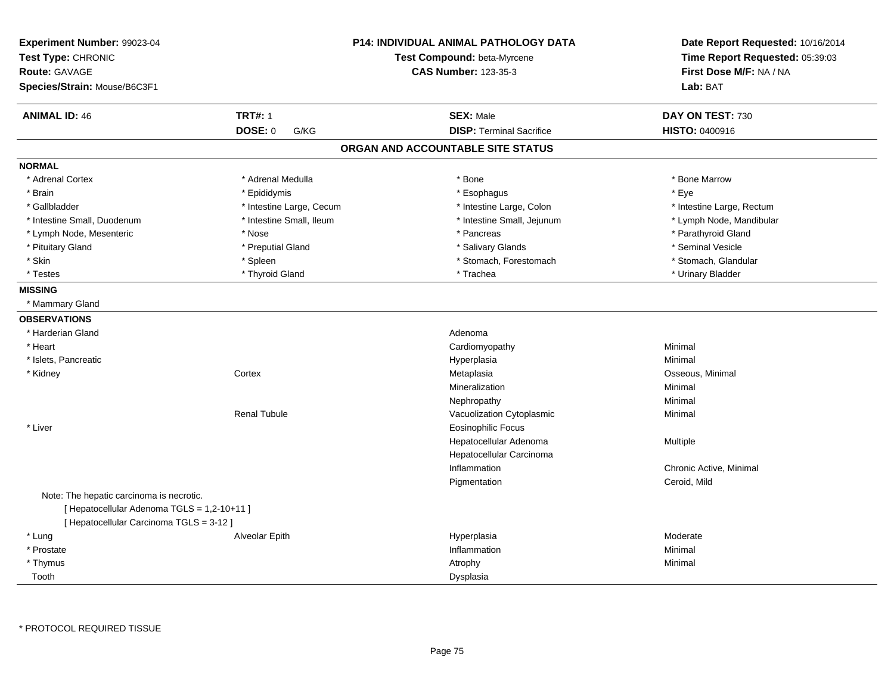| Experiment Number: 99023-04<br>Test Type: CHRONIC<br><b>Route: GAVAGE</b><br>Species/Strain: Mouse/B6C3F1 |                           | <b>P14: INDIVIDUAL ANIMAL PATHOLOGY DATA</b><br>Test Compound: beta-Myrcene<br><b>CAS Number: 123-35-3</b> | Date Report Requested: 10/16/2014<br>Time Report Requested: 05:39:03<br>First Dose M/F: NA / NA<br>Lab: BAT |
|-----------------------------------------------------------------------------------------------------------|---------------------------|------------------------------------------------------------------------------------------------------------|-------------------------------------------------------------------------------------------------------------|
| <b>ANIMAL ID: 46</b>                                                                                      | <b>TRT#: 1</b><br>DOSE: 0 | <b>SEX: Male</b><br><b>DISP: Terminal Sacrifice</b>                                                        | DAY ON TEST: 730<br><b>HISTO: 0400916</b>                                                                   |
|                                                                                                           | G/KG                      |                                                                                                            |                                                                                                             |
|                                                                                                           |                           | ORGAN AND ACCOUNTABLE SITE STATUS                                                                          |                                                                                                             |
| <b>NORMAL</b>                                                                                             |                           |                                                                                                            |                                                                                                             |
| * Adrenal Cortex                                                                                          | * Adrenal Medulla         | * Bone                                                                                                     | * Bone Marrow                                                                                               |
| * Brain                                                                                                   | * Epididymis              | * Esophagus                                                                                                | * Eye                                                                                                       |
| * Gallbladder                                                                                             | * Intestine Large, Cecum  | * Intestine Large, Colon                                                                                   | * Intestine Large, Rectum                                                                                   |
| * Intestine Small, Duodenum                                                                               | * Intestine Small, Ileum  | * Intestine Small, Jejunum                                                                                 | * Lymph Node, Mandibular                                                                                    |
| * Lymph Node, Mesenteric                                                                                  | * Nose                    | * Pancreas                                                                                                 | * Parathyroid Gland                                                                                         |
| * Pituitary Gland                                                                                         | * Preputial Gland         | * Salivary Glands                                                                                          | * Seminal Vesicle                                                                                           |
| * Skin                                                                                                    | * Spleen                  | * Stomach, Forestomach                                                                                     | * Stomach, Glandular                                                                                        |
| * Testes                                                                                                  | * Thyroid Gland           | * Trachea                                                                                                  | * Urinary Bladder                                                                                           |
| <b>MISSING</b>                                                                                            |                           |                                                                                                            |                                                                                                             |
| * Mammary Gland                                                                                           |                           |                                                                                                            |                                                                                                             |
| <b>OBSERVATIONS</b>                                                                                       |                           |                                                                                                            |                                                                                                             |
| * Harderian Gland                                                                                         |                           | Adenoma                                                                                                    |                                                                                                             |
| * Heart                                                                                                   |                           | Cardiomyopathy                                                                                             | Minimal                                                                                                     |
| * Islets, Pancreatic                                                                                      |                           | Hyperplasia                                                                                                | Minimal                                                                                                     |
| * Kidney                                                                                                  | Cortex                    | Metaplasia                                                                                                 | Osseous, Minimal                                                                                            |
|                                                                                                           |                           | Mineralization                                                                                             | Minimal                                                                                                     |
|                                                                                                           |                           | Nephropathy                                                                                                | Minimal                                                                                                     |
|                                                                                                           | <b>Renal Tubule</b>       | Vacuolization Cytoplasmic                                                                                  | Minimal                                                                                                     |
| * Liver                                                                                                   |                           | <b>Eosinophilic Focus</b>                                                                                  |                                                                                                             |
|                                                                                                           |                           | Hepatocellular Adenoma                                                                                     | Multiple                                                                                                    |
|                                                                                                           |                           | Hepatocellular Carcinoma                                                                                   |                                                                                                             |
|                                                                                                           |                           | Inflammation                                                                                               | Chronic Active, Minimal                                                                                     |
|                                                                                                           |                           | Pigmentation                                                                                               | Ceroid, Mild                                                                                                |
| Note: The hepatic carcinoma is necrotic.                                                                  |                           |                                                                                                            |                                                                                                             |
| [ Hepatocellular Adenoma TGLS = 1,2-10+11 ]                                                               |                           |                                                                                                            |                                                                                                             |
| [ Hepatocellular Carcinoma TGLS = 3-12 ]                                                                  |                           |                                                                                                            |                                                                                                             |
| * Lung                                                                                                    | Alveolar Epith            | Hyperplasia                                                                                                | Moderate                                                                                                    |
| * Prostate                                                                                                |                           | Inflammation                                                                                               | Minimal                                                                                                     |
| * Thymus                                                                                                  |                           | Atrophy                                                                                                    | Minimal                                                                                                     |
| Tooth                                                                                                     |                           | Dysplasia                                                                                                  |                                                                                                             |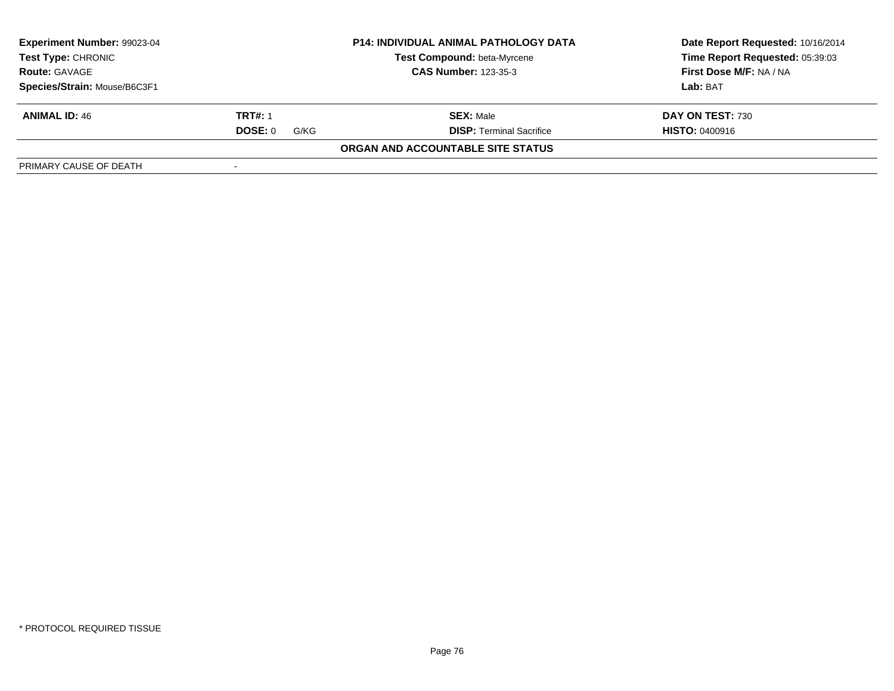| Experiment Number: 99023-04                       |                 | <b>P14: INDIVIDUAL ANIMAL PATHOLOGY DATA</b> | Date Report Requested: 10/16/2014 |
|---------------------------------------------------|-----------------|----------------------------------------------|-----------------------------------|
| <b>Test Type: CHRONIC</b><br><b>Route: GAVAGE</b> |                 | <b>Test Compound: beta-Myrcene</b>           | Time Report Requested: 05:39:03   |
|                                                   |                 | <b>CAS Number: 123-35-3</b>                  | First Dose M/F: NA / NA           |
| Species/Strain: Mouse/B6C3F1                      |                 |                                              | Lab: BAT                          |
| <b>ANIMAL ID: 46</b>                              | <b>TRT#: 1</b>  | <b>SEX: Male</b>                             | DAY ON TEST: 730                  |
|                                                   | DOSE: 0<br>G/KG | <b>DISP: Terminal Sacrifice</b>              | <b>HISTO: 0400916</b>             |
|                                                   |                 | ORGAN AND ACCOUNTABLE SITE STATUS            |                                   |
| PRIMARY CAUSE OF DEATH                            |                 |                                              |                                   |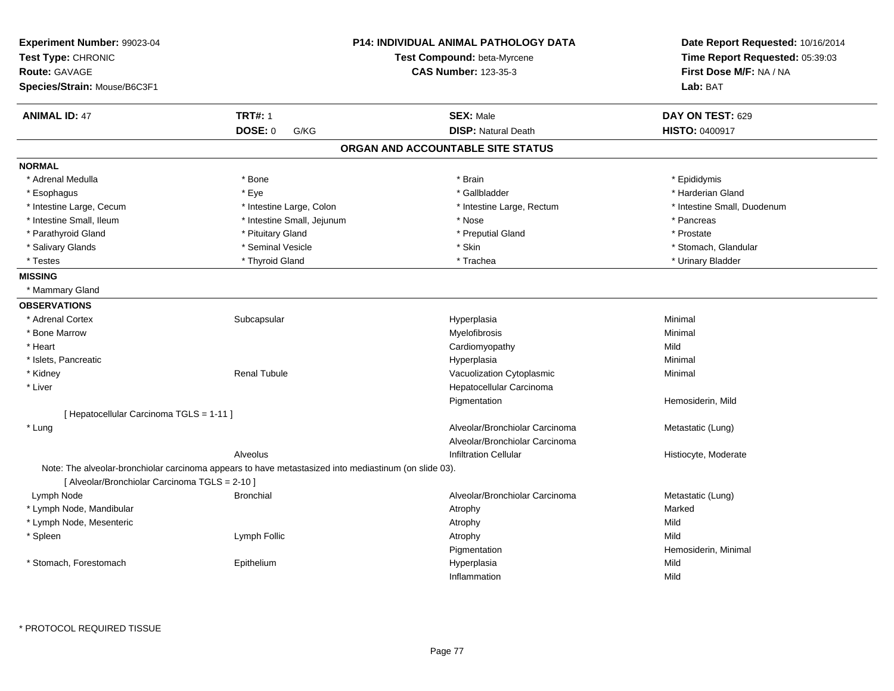| Experiment Number: 99023-04<br>Test Type: CHRONIC<br><b>Route: GAVAGE</b><br>Species/Strain: Mouse/B6C3F1 |                                                                                                       | <b>P14: INDIVIDUAL ANIMAL PATHOLOGY DATA</b><br>Test Compound: beta-Myrcene<br><b>CAS Number: 123-35-3</b> | Date Report Requested: 10/16/2014<br>Time Report Requested: 05:39:03<br>First Dose M/F: NA / NA<br>Lab: BAT |
|-----------------------------------------------------------------------------------------------------------|-------------------------------------------------------------------------------------------------------|------------------------------------------------------------------------------------------------------------|-------------------------------------------------------------------------------------------------------------|
| <b>ANIMAL ID: 47</b>                                                                                      | <b>TRT#: 1</b>                                                                                        | <b>SEX: Male</b>                                                                                           | DAY ON TEST: 629                                                                                            |
|                                                                                                           | DOSE: 0<br>G/KG                                                                                       | <b>DISP: Natural Death</b>                                                                                 | <b>HISTO: 0400917</b>                                                                                       |
|                                                                                                           |                                                                                                       | ORGAN AND ACCOUNTABLE SITE STATUS                                                                          |                                                                                                             |
| <b>NORMAL</b>                                                                                             |                                                                                                       |                                                                                                            |                                                                                                             |
| * Adrenal Medulla                                                                                         | * Bone                                                                                                | * Brain                                                                                                    | * Epididymis                                                                                                |
| * Esophagus                                                                                               | * Eye                                                                                                 | * Gallbladder                                                                                              | * Harderian Gland                                                                                           |
| * Intestine Large, Cecum                                                                                  | * Intestine Large, Colon                                                                              | * Intestine Large, Rectum                                                                                  | * Intestine Small, Duodenum                                                                                 |
| * Intestine Small, Ileum                                                                                  | * Intestine Small, Jejunum                                                                            | * Nose                                                                                                     | * Pancreas                                                                                                  |
| * Parathyroid Gland                                                                                       | * Pituitary Gland                                                                                     | * Preputial Gland                                                                                          | * Prostate                                                                                                  |
| * Salivary Glands                                                                                         | * Seminal Vesicle                                                                                     | * Skin                                                                                                     | * Stomach, Glandular                                                                                        |
| * Testes                                                                                                  | * Thyroid Gland                                                                                       | * Trachea                                                                                                  | * Urinary Bladder                                                                                           |
| <b>MISSING</b>                                                                                            |                                                                                                       |                                                                                                            |                                                                                                             |
| * Mammary Gland                                                                                           |                                                                                                       |                                                                                                            |                                                                                                             |
| <b>OBSERVATIONS</b>                                                                                       |                                                                                                       |                                                                                                            |                                                                                                             |
| * Adrenal Cortex                                                                                          | Subcapsular                                                                                           | Hyperplasia                                                                                                | Minimal                                                                                                     |
| * Bone Marrow                                                                                             |                                                                                                       | Myelofibrosis                                                                                              | Minimal                                                                                                     |
| * Heart                                                                                                   |                                                                                                       | Cardiomyopathy                                                                                             | Mild                                                                                                        |
| * Islets, Pancreatic                                                                                      |                                                                                                       | Hyperplasia                                                                                                | Minimal                                                                                                     |
| * Kidney                                                                                                  | <b>Renal Tubule</b>                                                                                   | Vacuolization Cytoplasmic                                                                                  | Minimal                                                                                                     |
| * Liver                                                                                                   |                                                                                                       | Hepatocellular Carcinoma                                                                                   |                                                                                                             |
|                                                                                                           |                                                                                                       | Pigmentation                                                                                               | Hemosiderin, Mild                                                                                           |
| [ Hepatocellular Carcinoma TGLS = 1-11 ]                                                                  |                                                                                                       |                                                                                                            |                                                                                                             |
| * Lung                                                                                                    |                                                                                                       | Alveolar/Bronchiolar Carcinoma                                                                             | Metastatic (Lung)                                                                                           |
|                                                                                                           |                                                                                                       | Alveolar/Bronchiolar Carcinoma                                                                             |                                                                                                             |
|                                                                                                           | Alveolus                                                                                              | <b>Infiltration Cellular</b>                                                                               | Histiocyte, Moderate                                                                                        |
| [ Alveolar/Bronchiolar Carcinoma TGLS = 2-10 ]                                                            | Note: The alveolar-bronchiolar carcinoma appears to have metastasized into mediastinum (on slide 03). |                                                                                                            |                                                                                                             |
| Lymph Node                                                                                                | <b>Bronchial</b>                                                                                      | Alveolar/Bronchiolar Carcinoma                                                                             | Metastatic (Lung)                                                                                           |
| * Lymph Node, Mandibular                                                                                  |                                                                                                       | Atrophy                                                                                                    | Marked                                                                                                      |
| * Lymph Node, Mesenteric                                                                                  |                                                                                                       | Atrophy                                                                                                    | Mild                                                                                                        |
| * Spleen                                                                                                  | Lymph Follic                                                                                          | Atrophy                                                                                                    | Mild                                                                                                        |
|                                                                                                           |                                                                                                       | Pigmentation                                                                                               | Hemosiderin, Minimal                                                                                        |
| * Stomach, Forestomach                                                                                    | Epithelium                                                                                            | Hyperplasia                                                                                                | Mild                                                                                                        |
|                                                                                                           |                                                                                                       | Inflammation                                                                                               | Mild                                                                                                        |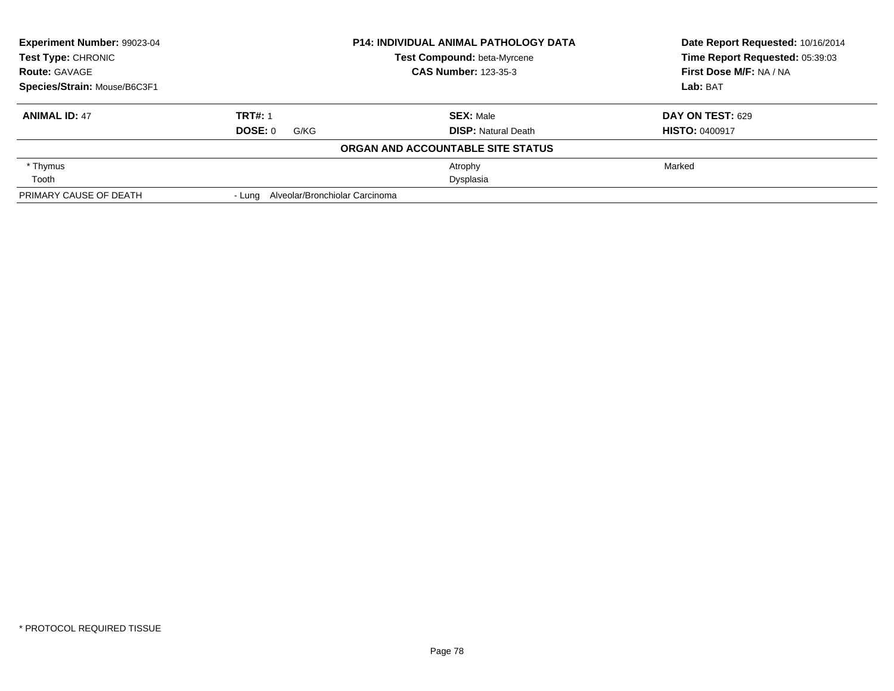| Experiment Number: 99023-04<br><b>Test Type: CHRONIC</b><br><b>Route: GAVAGE</b> |                                       | <b>P14: INDIVIDUAL ANIMAL PATHOLOGY DATA</b> | Date Report Requested: 10/16/2014<br>Time Report Requested: 05:39:03 |  |
|----------------------------------------------------------------------------------|---------------------------------------|----------------------------------------------|----------------------------------------------------------------------|--|
|                                                                                  |                                       | Test Compound: beta-Myrcene                  |                                                                      |  |
|                                                                                  |                                       | <b>CAS Number: 123-35-3</b>                  | First Dose M/F: NA / NA                                              |  |
| Species/Strain: Mouse/B6C3F1                                                     |                                       |                                              | Lab: BAT                                                             |  |
| <b>ANIMAL ID: 47</b>                                                             | <b>TRT#: 1</b>                        | <b>SEX: Male</b>                             | DAY ON TEST: 629                                                     |  |
|                                                                                  | DOSE: 0<br>G/KG                       | <b>DISP:</b> Natural Death                   | <b>HISTO: 0400917</b>                                                |  |
|                                                                                  |                                       | ORGAN AND ACCOUNTABLE SITE STATUS            |                                                                      |  |
| * Thymus                                                                         |                                       | Atrophy                                      | Marked                                                               |  |
| Tooth                                                                            |                                       | Dysplasia                                    |                                                                      |  |
| PRIMARY CAUSE OF DEATH                                                           | - Lung Alveolar/Bronchiolar Carcinoma |                                              |                                                                      |  |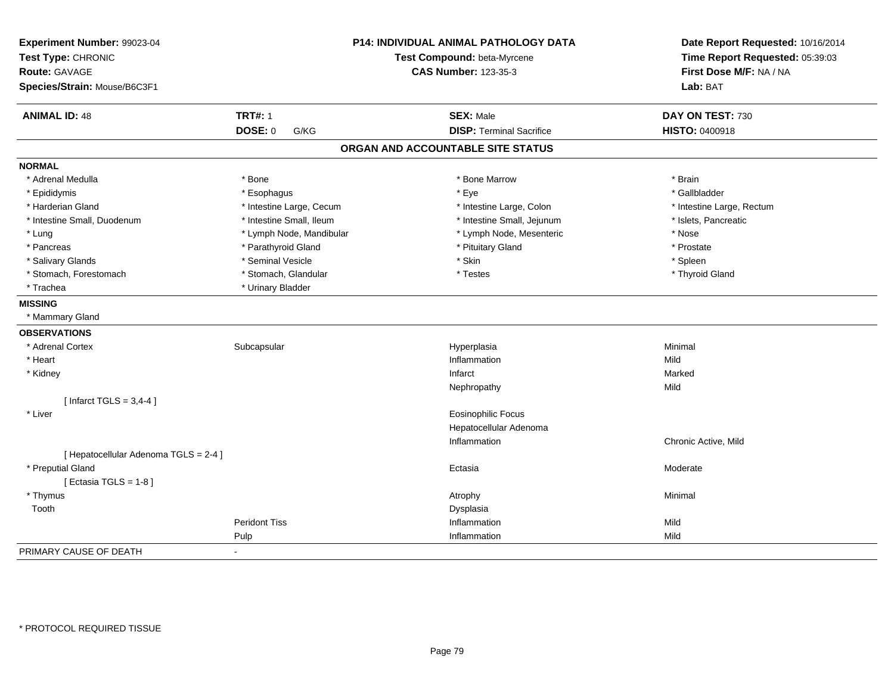| Experiment Number: 99023-04<br>Test Type: CHRONIC | P14: INDIVIDUAL ANIMAL PATHOLOGY DATA<br>Test Compound: beta-Myrcene<br><b>CAS Number: 123-35-3</b> |                                   | Date Report Requested: 10/16/2014<br>Time Report Requested: 05:39:03<br>First Dose M/F: NA / NA |
|---------------------------------------------------|-----------------------------------------------------------------------------------------------------|-----------------------------------|-------------------------------------------------------------------------------------------------|
| <b>Route: GAVAGE</b>                              |                                                                                                     |                                   |                                                                                                 |
|                                                   |                                                                                                     |                                   | Lab: BAT                                                                                        |
| Species/Strain: Mouse/B6C3F1                      |                                                                                                     |                                   |                                                                                                 |
| <b>ANIMAL ID: 48</b>                              | <b>TRT#: 1</b>                                                                                      | <b>SEX: Male</b>                  | DAY ON TEST: 730                                                                                |
|                                                   | DOSE: 0<br>G/KG                                                                                     | <b>DISP: Terminal Sacrifice</b>   | HISTO: 0400918                                                                                  |
|                                                   |                                                                                                     | ORGAN AND ACCOUNTABLE SITE STATUS |                                                                                                 |
| <b>NORMAL</b>                                     |                                                                                                     |                                   |                                                                                                 |
| * Adrenal Medulla                                 | * Bone                                                                                              | * Bone Marrow                     | * Brain                                                                                         |
| * Epididymis                                      | * Esophagus                                                                                         | * Eye                             | * Gallbladder                                                                                   |
| * Harderian Gland                                 | * Intestine Large, Cecum                                                                            | * Intestine Large, Colon          | * Intestine Large, Rectum                                                                       |
| * Intestine Small, Duodenum                       | * Intestine Small, Ileum                                                                            | * Intestine Small, Jejunum        | * Islets, Pancreatic                                                                            |
| * Lung                                            | * Lymph Node, Mandibular                                                                            | * Lymph Node, Mesenteric          | * Nose                                                                                          |
| * Pancreas                                        | * Parathyroid Gland                                                                                 | * Pituitary Gland                 | * Prostate                                                                                      |
| * Salivary Glands                                 | * Seminal Vesicle                                                                                   | * Skin                            | * Spleen                                                                                        |
| * Stomach, Forestomach                            | * Stomach, Glandular                                                                                | * Testes                          | * Thyroid Gland                                                                                 |
| * Trachea                                         | * Urinary Bladder                                                                                   |                                   |                                                                                                 |
| <b>MISSING</b>                                    |                                                                                                     |                                   |                                                                                                 |
| * Mammary Gland                                   |                                                                                                     |                                   |                                                                                                 |
| <b>OBSERVATIONS</b>                               |                                                                                                     |                                   |                                                                                                 |
| * Adrenal Cortex                                  | Subcapsular                                                                                         | Hyperplasia                       | Minimal                                                                                         |
| * Heart                                           |                                                                                                     | Inflammation                      | Mild                                                                                            |
| * Kidney                                          |                                                                                                     | Infarct                           | Marked                                                                                          |
|                                                   |                                                                                                     | Nephropathy                       | Mild                                                                                            |
| [Infarct TGLS = $3,4-4$ ]                         |                                                                                                     |                                   |                                                                                                 |
| * Liver                                           |                                                                                                     | Eosinophilic Focus                |                                                                                                 |
|                                                   |                                                                                                     | Hepatocellular Adenoma            |                                                                                                 |
|                                                   |                                                                                                     | Inflammation                      | Chronic Active, Mild                                                                            |
| [ Hepatocellular Adenoma TGLS = 2-4 ]             |                                                                                                     |                                   |                                                                                                 |
| * Preputial Gland                                 |                                                                                                     | Ectasia                           | Moderate                                                                                        |
| [ Ectasia TGLS = $1-8$ ]                          |                                                                                                     |                                   |                                                                                                 |
| * Thymus                                          |                                                                                                     | Atrophy                           | Minimal                                                                                         |
| Tooth                                             |                                                                                                     | Dysplasia                         |                                                                                                 |
|                                                   | <b>Peridont Tiss</b>                                                                                | Inflammation                      | Mild                                                                                            |
|                                                   | Pulp                                                                                                | Inflammation                      | Mild                                                                                            |
| PRIMARY CAUSE OF DEATH                            |                                                                                                     |                                   |                                                                                                 |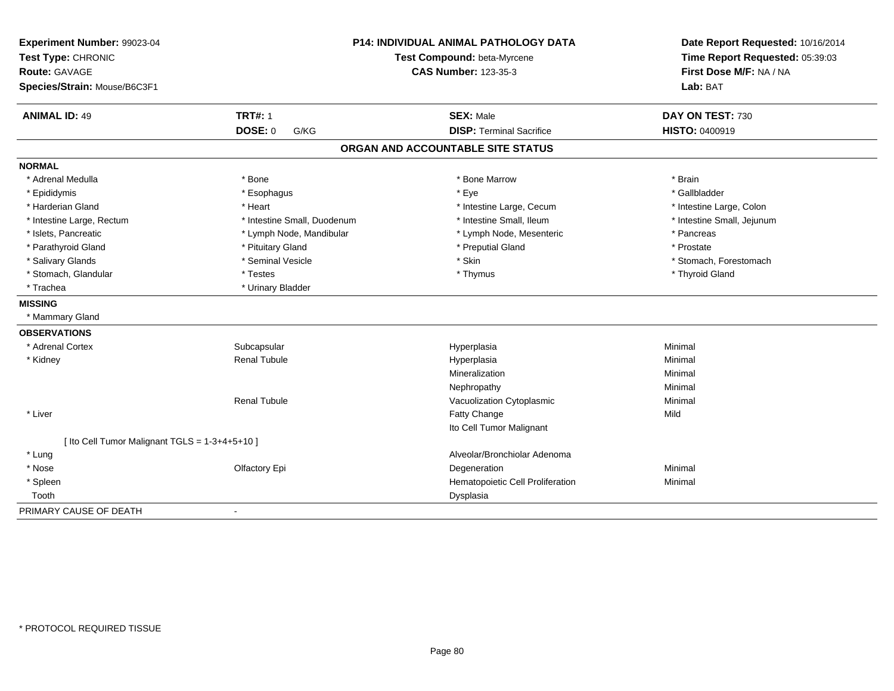| Experiment Number: 99023-04                    | <b>P14: INDIVIDUAL ANIMAL PATHOLOGY DATA</b><br>Test Compound: beta-Myrcene |                                   | Date Report Requested: 10/16/2014 |
|------------------------------------------------|-----------------------------------------------------------------------------|-----------------------------------|-----------------------------------|
| Test Type: CHRONIC                             |                                                                             |                                   | Time Report Requested: 05:39:03   |
| Route: GAVAGE                                  |                                                                             | <b>CAS Number: 123-35-3</b>       | First Dose M/F: NA / NA           |
| Species/Strain: Mouse/B6C3F1                   |                                                                             |                                   | Lab: BAT                          |
| <b>ANIMAL ID: 49</b>                           | <b>TRT#: 1</b>                                                              | <b>SEX: Male</b>                  | DAY ON TEST: 730                  |
|                                                | <b>DOSE: 0</b><br>G/KG                                                      | <b>DISP: Terminal Sacrifice</b>   | <b>HISTO: 0400919</b>             |
|                                                |                                                                             | ORGAN AND ACCOUNTABLE SITE STATUS |                                   |
| <b>NORMAL</b>                                  |                                                                             |                                   |                                   |
| * Adrenal Medulla                              | * Bone                                                                      | * Bone Marrow                     | * Brain                           |
| * Epididymis                                   | * Esophagus                                                                 | * Eye                             | * Gallbladder                     |
| * Harderian Gland                              | * Heart                                                                     | * Intestine Large, Cecum          | * Intestine Large, Colon          |
| * Intestine Large, Rectum                      | * Intestine Small, Duodenum                                                 | * Intestine Small, Ileum          | * Intestine Small, Jejunum        |
| * Islets, Pancreatic                           | * Lymph Node, Mandibular                                                    | * Lymph Node, Mesenteric          | * Pancreas                        |
| * Parathyroid Gland                            | * Pituitary Gland                                                           | * Preputial Gland                 | * Prostate                        |
| * Salivary Glands                              | * Seminal Vesicle                                                           | * Skin                            | * Stomach, Forestomach            |
| * Stomach, Glandular                           | * Testes                                                                    | * Thymus                          | * Thyroid Gland                   |
| * Trachea                                      | * Urinary Bladder                                                           |                                   |                                   |
| <b>MISSING</b>                                 |                                                                             |                                   |                                   |
| * Mammary Gland                                |                                                                             |                                   |                                   |
| <b>OBSERVATIONS</b>                            |                                                                             |                                   |                                   |
| * Adrenal Cortex                               | Subcapsular                                                                 | Hyperplasia                       | Minimal                           |
| * Kidney                                       | <b>Renal Tubule</b>                                                         | Hyperplasia                       | Minimal                           |
|                                                |                                                                             | Mineralization                    | Minimal                           |
|                                                |                                                                             | Nephropathy                       | Minimal                           |
|                                                | <b>Renal Tubule</b>                                                         | Vacuolization Cytoplasmic         | Minimal                           |
| * Liver                                        |                                                                             | Fatty Change                      | Mild                              |
|                                                |                                                                             | Ito Cell Tumor Malignant          |                                   |
| [ Ito Cell Tumor Malignant TGLS = 1-3+4+5+10 ] |                                                                             |                                   |                                   |
| * Lung                                         |                                                                             | Alveolar/Bronchiolar Adenoma      |                                   |
| * Nose                                         | Olfactory Epi                                                               | Degeneration                      | Minimal                           |
| * Spleen                                       |                                                                             | Hematopoietic Cell Proliferation  | Minimal                           |
| Tooth                                          |                                                                             | Dysplasia                         |                                   |
| PRIMARY CAUSE OF DEATH                         | $\blacksquare$                                                              |                                   |                                   |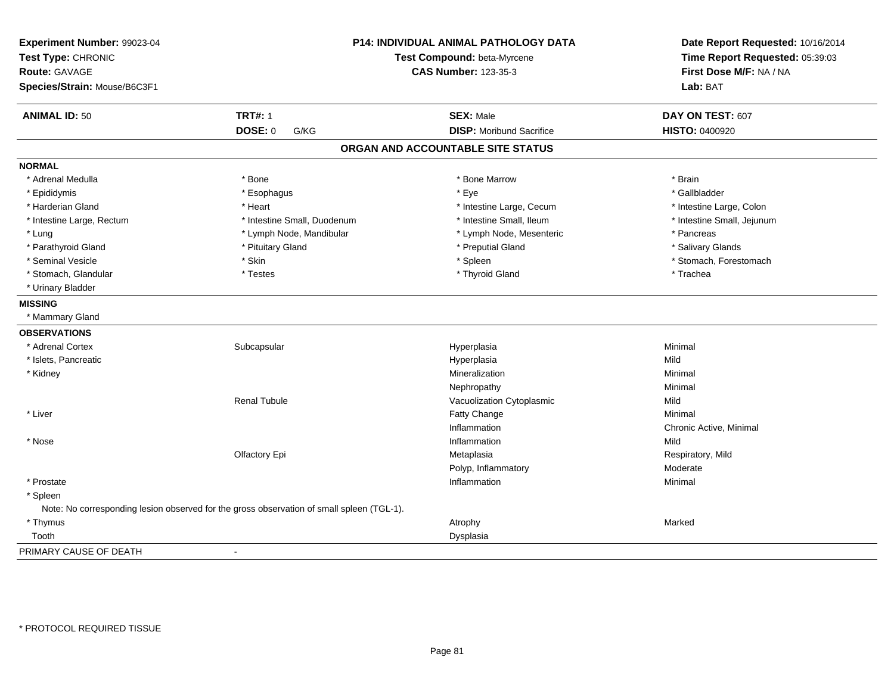| Experiment Number: 99023-04<br>Test Type: CHRONIC<br><b>Route: GAVAGE</b><br>Species/Strain: Mouse/B6C3F1 | <b>P14: INDIVIDUAL ANIMAL PATHOLOGY DATA</b><br>Test Compound: beta-Myrcene<br><b>CAS Number: 123-35-3</b> |                                   | Date Report Requested: 10/16/2014<br>Time Report Requested: 05:39:03<br>First Dose M/F: NA / NA<br>Lab: BAT |
|-----------------------------------------------------------------------------------------------------------|------------------------------------------------------------------------------------------------------------|-----------------------------------|-------------------------------------------------------------------------------------------------------------|
| <b>ANIMAL ID: 50</b>                                                                                      | <b>TRT#: 1</b>                                                                                             | <b>SEX: Male</b>                  | DAY ON TEST: 607                                                                                            |
|                                                                                                           | <b>DOSE: 0</b><br>G/KG                                                                                     | <b>DISP:</b> Moribund Sacrifice   | <b>HISTO: 0400920</b>                                                                                       |
|                                                                                                           |                                                                                                            | ORGAN AND ACCOUNTABLE SITE STATUS |                                                                                                             |
| <b>NORMAL</b>                                                                                             |                                                                                                            |                                   |                                                                                                             |
| * Adrenal Medulla                                                                                         | * Bone                                                                                                     | * Bone Marrow                     | * Brain                                                                                                     |
| * Epididymis                                                                                              | * Esophagus                                                                                                | * Eye                             | * Gallbladder                                                                                               |
| * Harderian Gland                                                                                         | * Heart                                                                                                    | * Intestine Large, Cecum          | * Intestine Large, Colon                                                                                    |
| * Intestine Large, Rectum                                                                                 | * Intestine Small, Duodenum                                                                                | * Intestine Small, Ileum          | * Intestine Small, Jejunum                                                                                  |
| * Lung                                                                                                    | * Lymph Node, Mandibular                                                                                   | * Lymph Node, Mesenteric          | * Pancreas                                                                                                  |
| * Parathyroid Gland                                                                                       | * Pituitary Gland                                                                                          | * Preputial Gland                 | * Salivary Glands                                                                                           |
| * Seminal Vesicle                                                                                         | * Skin                                                                                                     | * Spleen                          | * Stomach, Forestomach                                                                                      |
| * Stomach, Glandular                                                                                      | * Testes                                                                                                   | * Thyroid Gland                   | * Trachea                                                                                                   |
| * Urinary Bladder                                                                                         |                                                                                                            |                                   |                                                                                                             |
| <b>MISSING</b>                                                                                            |                                                                                                            |                                   |                                                                                                             |
| * Mammary Gland                                                                                           |                                                                                                            |                                   |                                                                                                             |
| <b>OBSERVATIONS</b>                                                                                       |                                                                                                            |                                   |                                                                                                             |
| * Adrenal Cortex                                                                                          | Subcapsular                                                                                                | Hyperplasia                       | Minimal                                                                                                     |
| * Islets, Pancreatic                                                                                      |                                                                                                            | Hyperplasia                       | Mild                                                                                                        |
| * Kidney                                                                                                  |                                                                                                            | Mineralization                    | Minimal                                                                                                     |
|                                                                                                           |                                                                                                            | Nephropathy                       | Minimal                                                                                                     |
|                                                                                                           | <b>Renal Tubule</b>                                                                                        | Vacuolization Cytoplasmic         | Mild                                                                                                        |
| * Liver                                                                                                   |                                                                                                            | Fatty Change                      | Minimal                                                                                                     |
|                                                                                                           |                                                                                                            | Inflammation                      | Chronic Active, Minimal                                                                                     |
| * Nose                                                                                                    |                                                                                                            | Inflammation                      | Mild                                                                                                        |
|                                                                                                           | Olfactory Epi                                                                                              | Metaplasia                        | Respiratory, Mild                                                                                           |
|                                                                                                           |                                                                                                            | Polyp, Inflammatory               | Moderate                                                                                                    |
| * Prostate                                                                                                |                                                                                                            | Inflammation                      | Minimal                                                                                                     |
| * Spleen                                                                                                  |                                                                                                            |                                   |                                                                                                             |
|                                                                                                           | Note: No corresponding lesion observed for the gross observation of small spleen (TGL-1).                  |                                   |                                                                                                             |
| * Thymus                                                                                                  |                                                                                                            | Atrophy                           | Marked                                                                                                      |
| Tooth                                                                                                     |                                                                                                            | Dysplasia                         |                                                                                                             |
| PRIMARY CAUSE OF DEATH                                                                                    | $\blacksquare$                                                                                             |                                   |                                                                                                             |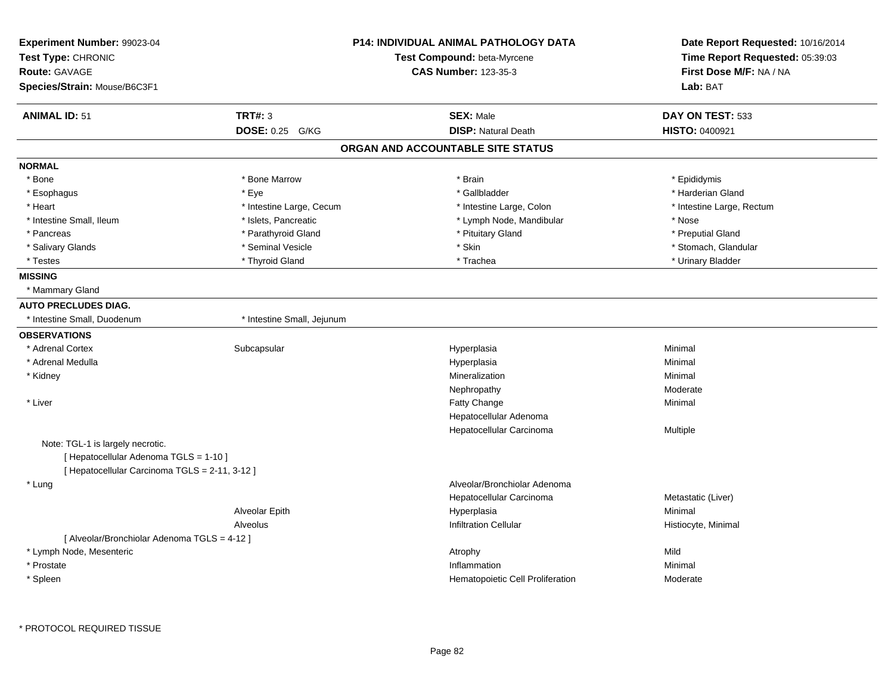| Experiment Number: 99023-04<br>Test Type: CHRONIC<br><b>Route: GAVAGE</b><br>Species/Strain: Mouse/B6C3F1 |                            | <b>P14: INDIVIDUAL ANIMAL PATHOLOGY DATA</b><br>Test Compound: beta-Myrcene<br><b>CAS Number: 123-35-3</b> | Date Report Requested: 10/16/2014<br>Time Report Requested: 05:39:03<br>First Dose M/F: NA / NA<br>Lab: BAT |
|-----------------------------------------------------------------------------------------------------------|----------------------------|------------------------------------------------------------------------------------------------------------|-------------------------------------------------------------------------------------------------------------|
| <b>ANIMAL ID: 51</b>                                                                                      | <b>TRT#: 3</b>             | <b>SEX: Male</b>                                                                                           | DAY ON TEST: 533                                                                                            |
|                                                                                                           | DOSE: 0.25 G/KG            | <b>DISP: Natural Death</b>                                                                                 | <b>HISTO: 0400921</b>                                                                                       |
|                                                                                                           |                            | ORGAN AND ACCOUNTABLE SITE STATUS                                                                          |                                                                                                             |
| <b>NORMAL</b>                                                                                             |                            |                                                                                                            |                                                                                                             |
| * Bone                                                                                                    | * Bone Marrow              | * Brain                                                                                                    | * Epididymis                                                                                                |
| * Esophagus                                                                                               | * Eye                      | * Gallbladder                                                                                              | * Harderian Gland                                                                                           |
| * Heart                                                                                                   | * Intestine Large, Cecum   | * Intestine Large, Colon                                                                                   | * Intestine Large, Rectum                                                                                   |
| * Intestine Small, Ileum                                                                                  | * Islets, Pancreatic       | * Lymph Node, Mandibular                                                                                   | * Nose                                                                                                      |
| * Pancreas                                                                                                | * Parathyroid Gland        | * Pituitary Gland                                                                                          | * Preputial Gland                                                                                           |
| * Salivary Glands                                                                                         | * Seminal Vesicle          | * Skin                                                                                                     | * Stomach, Glandular                                                                                        |
| * Testes                                                                                                  | * Thyroid Gland            | * Trachea                                                                                                  | * Urinary Bladder                                                                                           |
| <b>MISSING</b>                                                                                            |                            |                                                                                                            |                                                                                                             |
| * Mammary Gland                                                                                           |                            |                                                                                                            |                                                                                                             |
| <b>AUTO PRECLUDES DIAG.</b>                                                                               |                            |                                                                                                            |                                                                                                             |
| * Intestine Small, Duodenum                                                                               | * Intestine Small, Jejunum |                                                                                                            |                                                                                                             |
| <b>OBSERVATIONS</b>                                                                                       |                            |                                                                                                            |                                                                                                             |
| * Adrenal Cortex                                                                                          | Subcapsular                | Hyperplasia                                                                                                | Minimal                                                                                                     |
| * Adrenal Medulla                                                                                         |                            | Hyperplasia                                                                                                | Minimal                                                                                                     |
| * Kidney                                                                                                  |                            | Mineralization                                                                                             | Minimal                                                                                                     |
|                                                                                                           |                            | Nephropathy                                                                                                | Moderate                                                                                                    |
| * Liver                                                                                                   |                            | Fatty Change                                                                                               | Minimal                                                                                                     |
|                                                                                                           |                            | Hepatocellular Adenoma                                                                                     |                                                                                                             |
|                                                                                                           |                            | Hepatocellular Carcinoma                                                                                   | Multiple                                                                                                    |
| Note: TGL-1 is largely necrotic.                                                                          |                            |                                                                                                            |                                                                                                             |
| [ Hepatocellular Adenoma TGLS = 1-10 ]                                                                    |                            |                                                                                                            |                                                                                                             |
| [ Hepatocellular Carcinoma TGLS = 2-11, 3-12 ]                                                            |                            |                                                                                                            |                                                                                                             |
| * Lung                                                                                                    |                            | Alveolar/Bronchiolar Adenoma                                                                               |                                                                                                             |
|                                                                                                           |                            | Hepatocellular Carcinoma                                                                                   | Metastatic (Liver)                                                                                          |
|                                                                                                           | Alveolar Epith             | Hyperplasia                                                                                                | Minimal                                                                                                     |
|                                                                                                           | Alveolus                   | <b>Infiltration Cellular</b>                                                                               | Histiocyte, Minimal                                                                                         |
| [ Alveolar/Bronchiolar Adenoma TGLS = 4-12 ]                                                              |                            |                                                                                                            |                                                                                                             |
| * Lymph Node, Mesenteric                                                                                  |                            | Atrophy                                                                                                    | Mild                                                                                                        |
| * Prostate                                                                                                |                            | Inflammation                                                                                               | Minimal                                                                                                     |
| * Spleen                                                                                                  |                            | Hematopoietic Cell Proliferation                                                                           | Moderate                                                                                                    |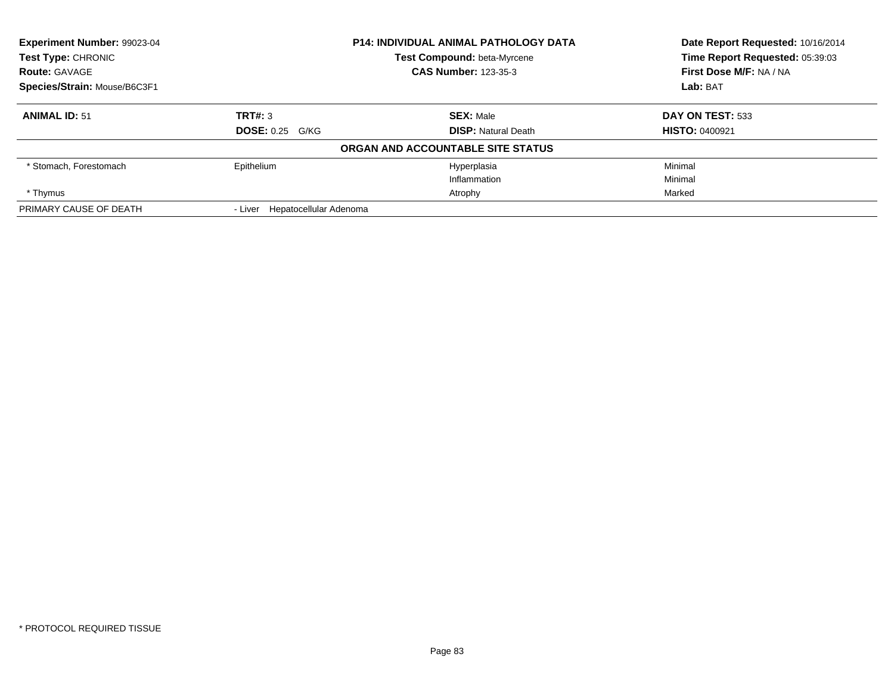| Experiment Number: 99023-04                         |                                | <b>P14: INDIVIDUAL ANIMAL PATHOLOGY DATA</b> | Date Report Requested: 10/16/2014 |
|-----------------------------------------------------|--------------------------------|----------------------------------------------|-----------------------------------|
| <b>Test Type: CHRONIC</b>                           |                                | Test Compound: beta-Myrcene                  | Time Report Requested: 05:39:03   |
| <b>CAS Number: 123-35-3</b><br><b>Route: GAVAGE</b> |                                |                                              | First Dose M/F: NA / NA           |
| Species/Strain: Mouse/B6C3F1                        |                                |                                              | Lab: BAT                          |
| <b>ANIMAL ID: 51</b>                                | TRT#: 3                        | <b>SEX: Male</b>                             | DAY ON TEST: 533                  |
|                                                     | <b>DOSE: 0.25 G/KG</b>         | <b>DISP: Natural Death</b>                   | <b>HISTO: 0400921</b>             |
|                                                     |                                | ORGAN AND ACCOUNTABLE SITE STATUS            |                                   |
| * Stomach, Forestomach                              | Epithelium                     | Hyperplasia                                  | Minimal                           |
|                                                     |                                | Inflammation                                 | Minimal                           |
| * Thymus                                            |                                | Atrophy                                      | Marked                            |
| PRIMARY CAUSE OF DEATH                              | - Liver Hepatocellular Adenoma |                                              |                                   |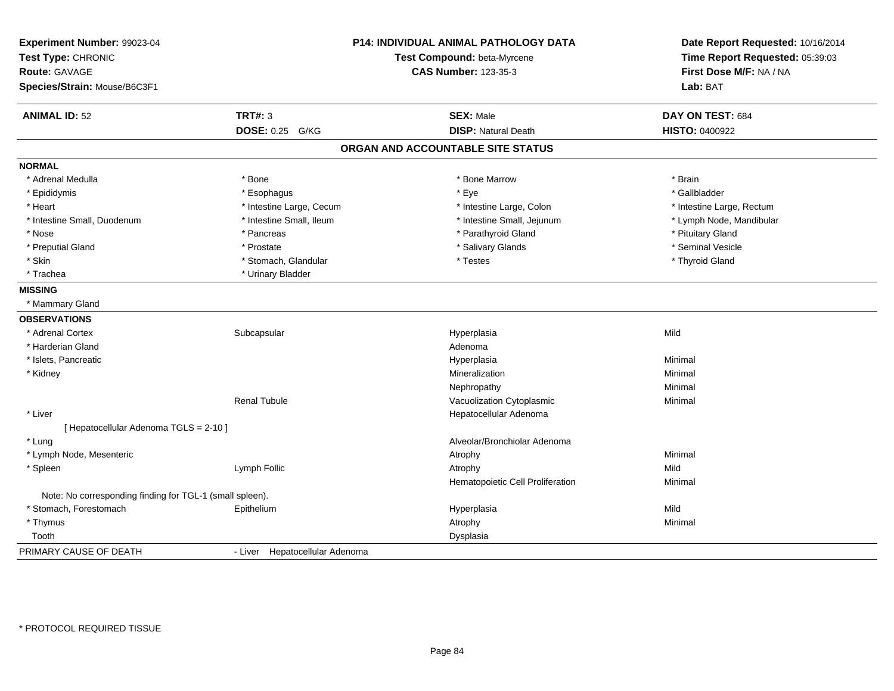| Experiment Number: 99023-04<br>Test Type: CHRONIC<br><b>Route: GAVAGE</b> |                                | <b>P14: INDIVIDUAL ANIMAL PATHOLOGY DATA</b> | Date Report Requested: 10/16/2014<br>Time Report Requested: 05:39:03 |
|---------------------------------------------------------------------------|--------------------------------|----------------------------------------------|----------------------------------------------------------------------|
|                                                                           |                                | Test Compound: beta-Myrcene                  |                                                                      |
|                                                                           |                                | <b>CAS Number: 123-35-3</b>                  | First Dose M/F: NA / NA                                              |
| Species/Strain: Mouse/B6C3F1                                              |                                |                                              | Lab: BAT                                                             |
| <b>ANIMAL ID: 52</b>                                                      | <b>TRT#: 3</b>                 | <b>SEX: Male</b>                             | DAY ON TEST: 684                                                     |
|                                                                           | DOSE: 0.25 G/KG                | <b>DISP: Natural Death</b>                   | HISTO: 0400922                                                       |
|                                                                           |                                | ORGAN AND ACCOUNTABLE SITE STATUS            |                                                                      |
| <b>NORMAL</b>                                                             |                                |                                              |                                                                      |
| * Adrenal Medulla                                                         | * Bone                         | * Bone Marrow                                | * Brain                                                              |
| * Epididymis                                                              | * Esophagus                    | * Eye                                        | * Gallbladder                                                        |
| * Heart                                                                   | * Intestine Large, Cecum       | * Intestine Large, Colon                     | * Intestine Large, Rectum                                            |
| * Intestine Small, Duodenum                                               | * Intestine Small, Ileum       | * Intestine Small, Jejunum                   | * Lymph Node, Mandibular                                             |
| * Nose                                                                    | * Pancreas                     | * Parathyroid Gland                          | * Pituitary Gland                                                    |
| * Preputial Gland                                                         | * Prostate                     | * Salivary Glands                            | * Seminal Vesicle                                                    |
| * Skin                                                                    | * Stomach, Glandular           | * Testes                                     | * Thyroid Gland                                                      |
| * Trachea                                                                 | * Urinary Bladder              |                                              |                                                                      |
| <b>MISSING</b>                                                            |                                |                                              |                                                                      |
| * Mammary Gland                                                           |                                |                                              |                                                                      |
| <b>OBSERVATIONS</b>                                                       |                                |                                              |                                                                      |
| * Adrenal Cortex                                                          | Subcapsular                    | Hyperplasia                                  | Mild                                                                 |
| * Harderian Gland                                                         |                                | Adenoma                                      |                                                                      |
| * Islets, Pancreatic                                                      |                                | Hyperplasia                                  | Minimal                                                              |
| * Kidney                                                                  |                                | Mineralization                               | Minimal                                                              |
|                                                                           |                                | Nephropathy                                  | Minimal                                                              |
|                                                                           | <b>Renal Tubule</b>            | Vacuolization Cytoplasmic                    | Minimal                                                              |
| * Liver                                                                   |                                | Hepatocellular Adenoma                       |                                                                      |
| [ Hepatocellular Adenoma TGLS = 2-10 ]                                    |                                |                                              |                                                                      |
| * Lung                                                                    |                                | Alveolar/Bronchiolar Adenoma                 |                                                                      |
| * Lymph Node, Mesenteric                                                  |                                | Atrophy                                      | Minimal                                                              |
| * Spleen                                                                  | Lymph Follic                   | Atrophy                                      | Mild                                                                 |
|                                                                           |                                | Hematopoietic Cell Proliferation             | Minimal                                                              |
| Note: No corresponding finding for TGL-1 (small spleen).                  |                                |                                              |                                                                      |
| * Stomach, Forestomach                                                    | Epithelium                     | Hyperplasia                                  | Mild                                                                 |
| * Thymus                                                                  |                                | Atrophy                                      | Minimal                                                              |
| Tooth                                                                     |                                | Dysplasia                                    |                                                                      |
| PRIMARY CAUSE OF DEATH                                                    | - Liver Hepatocellular Adenoma |                                              |                                                                      |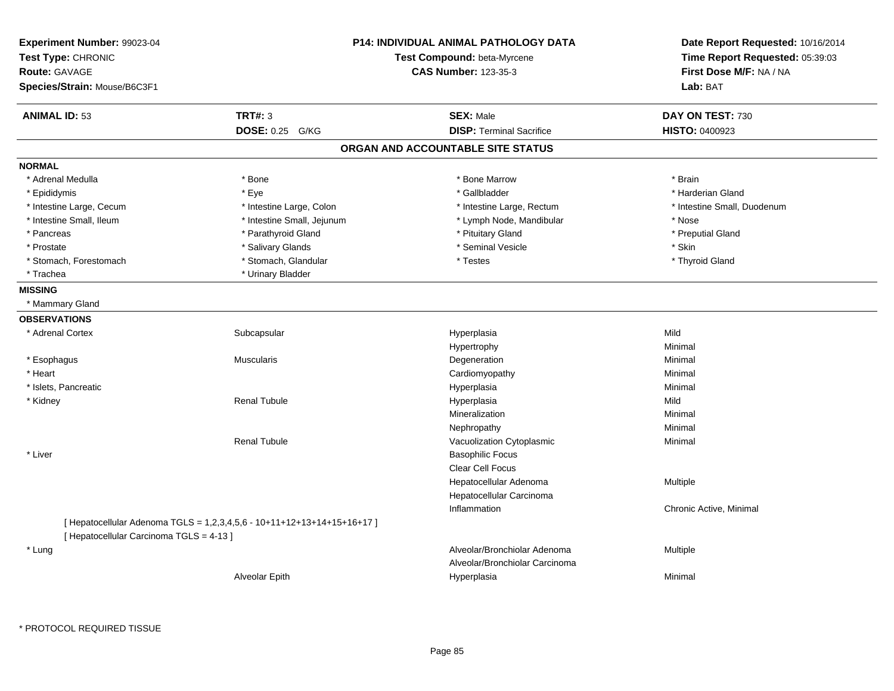| Experiment Number: 99023-04<br>Test Type: CHRONIC<br><b>Route: GAVAGE</b><br>Species/Strain: Mouse/B6C3F1 |                                                                         | P14: INDIVIDUAL ANIMAL PATHOLOGY DATA<br>Test Compound: beta-Myrcene<br><b>CAS Number: 123-35-3</b> | Date Report Requested: 10/16/2014<br>Time Report Requested: 05:39:03<br>First Dose M/F: NA / NA<br>Lab: BAT |
|-----------------------------------------------------------------------------------------------------------|-------------------------------------------------------------------------|-----------------------------------------------------------------------------------------------------|-------------------------------------------------------------------------------------------------------------|
| <b>ANIMAL ID: 53</b>                                                                                      | <b>TRT#: 3</b>                                                          | <b>SEX: Male</b>                                                                                    | DAY ON TEST: 730                                                                                            |
|                                                                                                           | DOSE: 0.25 G/KG                                                         | <b>DISP: Terminal Sacrifice</b>                                                                     | HISTO: 0400923                                                                                              |
|                                                                                                           |                                                                         | ORGAN AND ACCOUNTABLE SITE STATUS                                                                   |                                                                                                             |
| <b>NORMAL</b>                                                                                             |                                                                         |                                                                                                     |                                                                                                             |
| * Adrenal Medulla                                                                                         | * Bone                                                                  | * Bone Marrow                                                                                       | * Brain                                                                                                     |
| * Epididymis                                                                                              | * Eye                                                                   | * Gallbladder                                                                                       | * Harderian Gland                                                                                           |
| * Intestine Large, Cecum                                                                                  | * Intestine Large, Colon                                                | * Intestine Large, Rectum                                                                           | * Intestine Small, Duodenum                                                                                 |
| * Intestine Small, Ileum                                                                                  | * Intestine Small, Jejunum                                              | * Lymph Node, Mandibular                                                                            | * Nose                                                                                                      |
| * Pancreas                                                                                                | * Parathyroid Gland                                                     | * Pituitary Gland                                                                                   | * Preputial Gland                                                                                           |
| * Prostate                                                                                                | * Salivary Glands                                                       | * Seminal Vesicle                                                                                   | * Skin                                                                                                      |
| * Stomach, Forestomach                                                                                    | * Stomach, Glandular                                                    | * Testes                                                                                            | * Thyroid Gland                                                                                             |
| * Trachea                                                                                                 | * Urinary Bladder                                                       |                                                                                                     |                                                                                                             |
| <b>MISSING</b>                                                                                            |                                                                         |                                                                                                     |                                                                                                             |
| * Mammary Gland                                                                                           |                                                                         |                                                                                                     |                                                                                                             |
| <b>OBSERVATIONS</b>                                                                                       |                                                                         |                                                                                                     |                                                                                                             |
| * Adrenal Cortex                                                                                          | Subcapsular                                                             | Hyperplasia                                                                                         | Mild                                                                                                        |
|                                                                                                           |                                                                         | Hypertrophy                                                                                         | Minimal                                                                                                     |
| * Esophagus                                                                                               | Muscularis                                                              | Degeneration                                                                                        | Minimal                                                                                                     |
| * Heart                                                                                                   |                                                                         | Cardiomyopathy                                                                                      | Minimal                                                                                                     |
| * Islets, Pancreatic                                                                                      |                                                                         | Hyperplasia                                                                                         | Minimal                                                                                                     |
| * Kidney                                                                                                  | <b>Renal Tubule</b>                                                     | Hyperplasia                                                                                         | Mild                                                                                                        |
|                                                                                                           |                                                                         | Mineralization                                                                                      | Minimal                                                                                                     |
|                                                                                                           |                                                                         | Nephropathy                                                                                         | Minimal                                                                                                     |
|                                                                                                           | <b>Renal Tubule</b>                                                     | Vacuolization Cytoplasmic                                                                           | Minimal                                                                                                     |
| * Liver                                                                                                   |                                                                         | <b>Basophilic Focus</b>                                                                             |                                                                                                             |
|                                                                                                           |                                                                         | Clear Cell Focus                                                                                    |                                                                                                             |
|                                                                                                           |                                                                         | Hepatocellular Adenoma                                                                              | Multiple                                                                                                    |
|                                                                                                           |                                                                         | Hepatocellular Carcinoma                                                                            |                                                                                                             |
|                                                                                                           |                                                                         | Inflammation                                                                                        | Chronic Active, Minimal                                                                                     |
|                                                                                                           | [ Hepatocellular Adenoma TGLS = 1,2,3,4,5,6 - 10+11+12+13+14+15+16+17 ] |                                                                                                     |                                                                                                             |
| [ Hepatocellular Carcinoma TGLS = 4-13 ]                                                                  |                                                                         |                                                                                                     |                                                                                                             |
| * Lung                                                                                                    |                                                                         | Alveolar/Bronchiolar Adenoma                                                                        | Multiple                                                                                                    |
|                                                                                                           |                                                                         | Alveolar/Bronchiolar Carcinoma                                                                      |                                                                                                             |
|                                                                                                           | Alveolar Epith                                                          | Hyperplasia                                                                                         | Minimal                                                                                                     |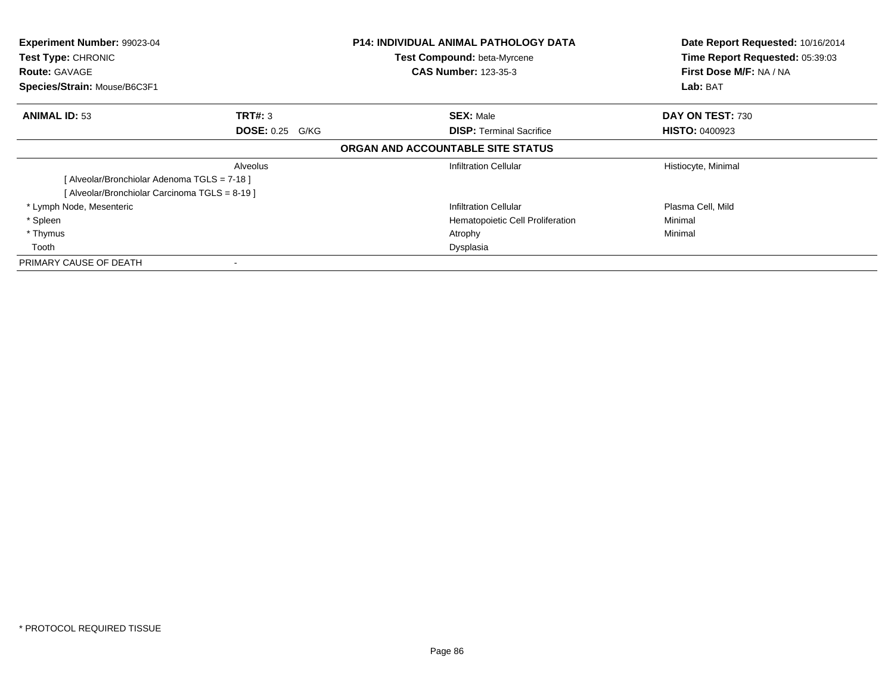| Experiment Number: 99023-04<br>Test Type: CHRONIC<br><b>Route: GAVAGE</b><br>Species/Strain: Mouse/B6C3F1 |                                   | <b>P14: INDIVIDUAL ANIMAL PATHOLOGY DATA</b><br>Test Compound: beta-Myrcene<br><b>CAS Number: 123-35-3</b> | Date Report Requested: 10/16/2014<br>Time Report Requested: 05:39:03<br>First Dose M/F: NA / NA<br>Lab: BAT |
|-----------------------------------------------------------------------------------------------------------|-----------------------------------|------------------------------------------------------------------------------------------------------------|-------------------------------------------------------------------------------------------------------------|
| <b>ANIMAL ID: 53</b>                                                                                      | TRT#: 3<br><b>DOSE: 0.25 G/KG</b> | <b>SEX: Male</b><br><b>DISP:</b> Terminal Sacrifice                                                        | DAY ON TEST: 730<br><b>HISTO: 0400923</b>                                                                   |
|                                                                                                           |                                   | ORGAN AND ACCOUNTABLE SITE STATUS                                                                          |                                                                                                             |
|                                                                                                           | Alveolus                          | <b>Infiltration Cellular</b>                                                                               | Histiocyte, Minimal                                                                                         |
| [Alveolar/Bronchiolar Adenoma TGLS = 7-18]                                                                |                                   |                                                                                                            |                                                                                                             |
| [Alveolar/Bronchiolar Carcinoma TGLS = 8-19]                                                              |                                   |                                                                                                            |                                                                                                             |
| * Lymph Node, Mesenteric                                                                                  |                                   | Infiltration Cellular                                                                                      | Plasma Cell, Mild                                                                                           |
| * Spleen                                                                                                  |                                   | Hematopoietic Cell Proliferation                                                                           | Minimal                                                                                                     |
| * Thymus                                                                                                  |                                   | Atrophy                                                                                                    | Minimal                                                                                                     |
| Tooth                                                                                                     |                                   | Dysplasia                                                                                                  |                                                                                                             |
| PRIMARY CAUSE OF DEATH                                                                                    |                                   |                                                                                                            |                                                                                                             |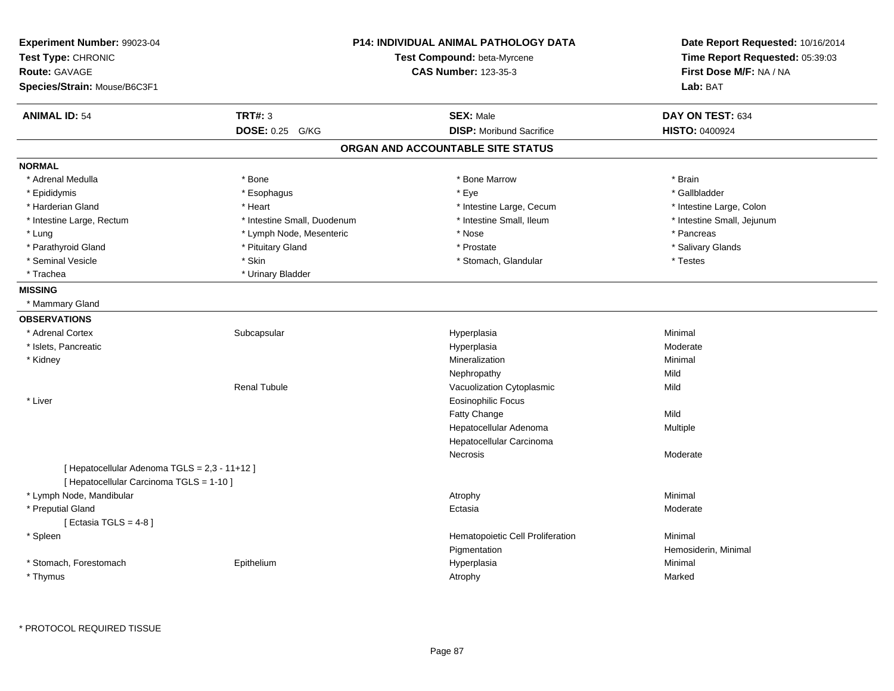| Experiment Number: 99023-04<br>Test Type: CHRONIC<br><b>Route: GAVAGE</b><br>Species/Strain: Mouse/B6C3F1 |                             | <b>P14: INDIVIDUAL ANIMAL PATHOLOGY DATA</b><br>Test Compound: beta-Myrcene<br><b>CAS Number: 123-35-3</b> | Date Report Requested: 10/16/2014<br>Time Report Requested: 05:39:03<br>First Dose M/F: NA / NA<br>Lab: BAT |
|-----------------------------------------------------------------------------------------------------------|-----------------------------|------------------------------------------------------------------------------------------------------------|-------------------------------------------------------------------------------------------------------------|
| <b>ANIMAL ID: 54</b>                                                                                      | <b>TRT#: 3</b>              | <b>SEX: Male</b>                                                                                           | DAY ON TEST: 634                                                                                            |
|                                                                                                           | <b>DOSE: 0.25</b><br>G/KG   | <b>DISP:</b> Moribund Sacrifice                                                                            | <b>HISTO: 0400924</b>                                                                                       |
|                                                                                                           |                             | ORGAN AND ACCOUNTABLE SITE STATUS                                                                          |                                                                                                             |
| <b>NORMAL</b>                                                                                             |                             |                                                                                                            |                                                                                                             |
| * Adrenal Medulla                                                                                         | * Bone                      | * Bone Marrow                                                                                              | * Brain                                                                                                     |
| * Epididymis                                                                                              | * Esophagus                 | $*$ Eye                                                                                                    | * Gallbladder                                                                                               |
| * Harderian Gland                                                                                         | * Heart                     | * Intestine Large, Cecum                                                                                   | * Intestine Large, Colon                                                                                    |
| * Intestine Large, Rectum                                                                                 | * Intestine Small, Duodenum | * Intestine Small, Ileum                                                                                   | * Intestine Small, Jejunum                                                                                  |
| * Lung                                                                                                    | * Lymph Node, Mesenteric    | * Nose                                                                                                     | * Pancreas                                                                                                  |
| * Parathyroid Gland                                                                                       | * Pituitary Gland           | * Prostate                                                                                                 | * Salivary Glands                                                                                           |
| * Seminal Vesicle                                                                                         | * Skin                      | * Stomach, Glandular                                                                                       | * Testes                                                                                                    |
| * Trachea                                                                                                 | * Urinary Bladder           |                                                                                                            |                                                                                                             |
| <b>MISSING</b>                                                                                            |                             |                                                                                                            |                                                                                                             |
| * Mammary Gland                                                                                           |                             |                                                                                                            |                                                                                                             |
| <b>OBSERVATIONS</b>                                                                                       |                             |                                                                                                            |                                                                                                             |
| * Adrenal Cortex                                                                                          | Subcapsular                 | Hyperplasia                                                                                                | Minimal                                                                                                     |
| * Islets, Pancreatic                                                                                      |                             | Hyperplasia                                                                                                | Moderate                                                                                                    |
| * Kidney                                                                                                  |                             | Mineralization                                                                                             | Minimal                                                                                                     |
|                                                                                                           |                             | Nephropathy                                                                                                | Mild                                                                                                        |
|                                                                                                           | <b>Renal Tubule</b>         | Vacuolization Cytoplasmic                                                                                  | Mild                                                                                                        |
| * Liver                                                                                                   |                             | <b>Eosinophilic Focus</b>                                                                                  |                                                                                                             |
|                                                                                                           |                             | Fatty Change                                                                                               | Mild                                                                                                        |
|                                                                                                           |                             | Hepatocellular Adenoma                                                                                     | Multiple                                                                                                    |
|                                                                                                           |                             | Hepatocellular Carcinoma                                                                                   |                                                                                                             |
|                                                                                                           |                             | <b>Necrosis</b>                                                                                            | Moderate                                                                                                    |
| [ Hepatocellular Adenoma TGLS = 2,3 - 11+12 ]<br>[ Hepatocellular Carcinoma TGLS = 1-10 ]                 |                             |                                                                                                            |                                                                                                             |
| * Lymph Node, Mandibular                                                                                  |                             | Atrophy                                                                                                    | Minimal                                                                                                     |
| * Preputial Gland                                                                                         |                             | Ectasia                                                                                                    | Moderate                                                                                                    |
| [ Ectasia TGLS = $4-8$ ]                                                                                  |                             |                                                                                                            |                                                                                                             |
| * Spleen                                                                                                  |                             | Hematopoietic Cell Proliferation                                                                           | Minimal                                                                                                     |
|                                                                                                           |                             | Pigmentation                                                                                               | Hemosiderin, Minimal                                                                                        |
| * Stomach, Forestomach                                                                                    | Epithelium                  | Hyperplasia                                                                                                | Minimal                                                                                                     |
| * Thymus                                                                                                  |                             | Atrophy                                                                                                    | Marked                                                                                                      |
|                                                                                                           |                             |                                                                                                            |                                                                                                             |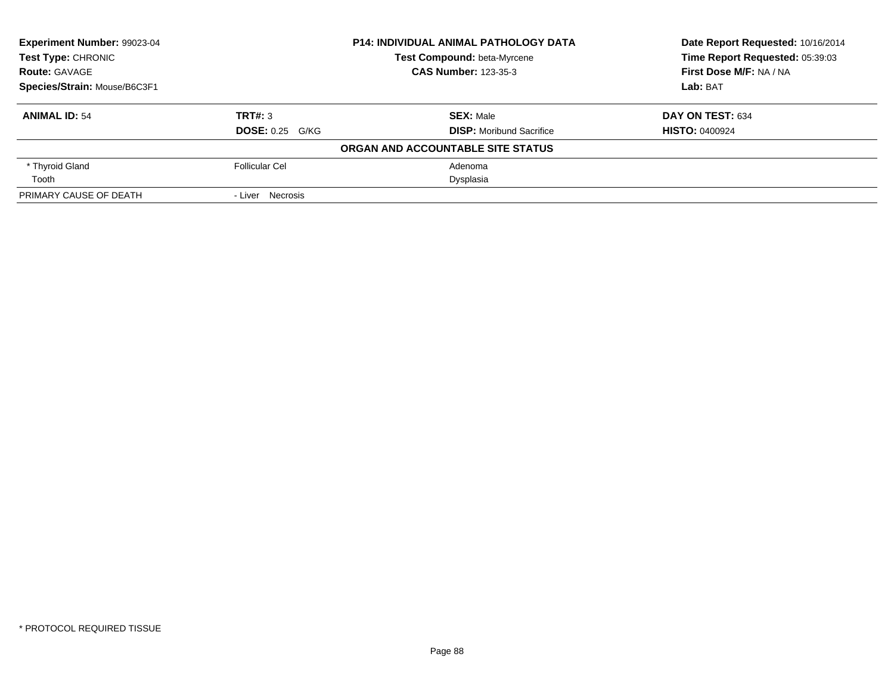| Experiment Number: 99023-04  |                        | <b>P14: INDIVIDUAL ANIMAL PATHOLOGY DATA</b> | Date Report Requested: 10/16/2014<br>Time Report Requested: 05:39:03 |
|------------------------------|------------------------|----------------------------------------------|----------------------------------------------------------------------|
| <b>Test Type: CHRONIC</b>    |                        | Test Compound: beta-Myrcene                  |                                                                      |
| <b>Route: GAVAGE</b>         |                        | <b>CAS Number: 123-35-3</b>                  | First Dose M/F: NA / NA                                              |
| Species/Strain: Mouse/B6C3F1 |                        |                                              | Lab: BAT                                                             |
| <b>ANIMAL ID: 54</b>         | TRT#: 3                | <b>SEX: Male</b>                             | DAY ON TEST: 634                                                     |
|                              | <b>DOSE: 0.25 G/KG</b> | <b>DISP:</b> Moribund Sacrifice              | <b>HISTO: 0400924</b>                                                |
|                              |                        | ORGAN AND ACCOUNTABLE SITE STATUS            |                                                                      |
| * Thyroid Gland              | <b>Follicular Cel</b>  | Adenoma                                      |                                                                      |
| Tooth                        |                        | Dysplasia                                    |                                                                      |
| PRIMARY CAUSE OF DEATH       | - Liver Necrosis       |                                              |                                                                      |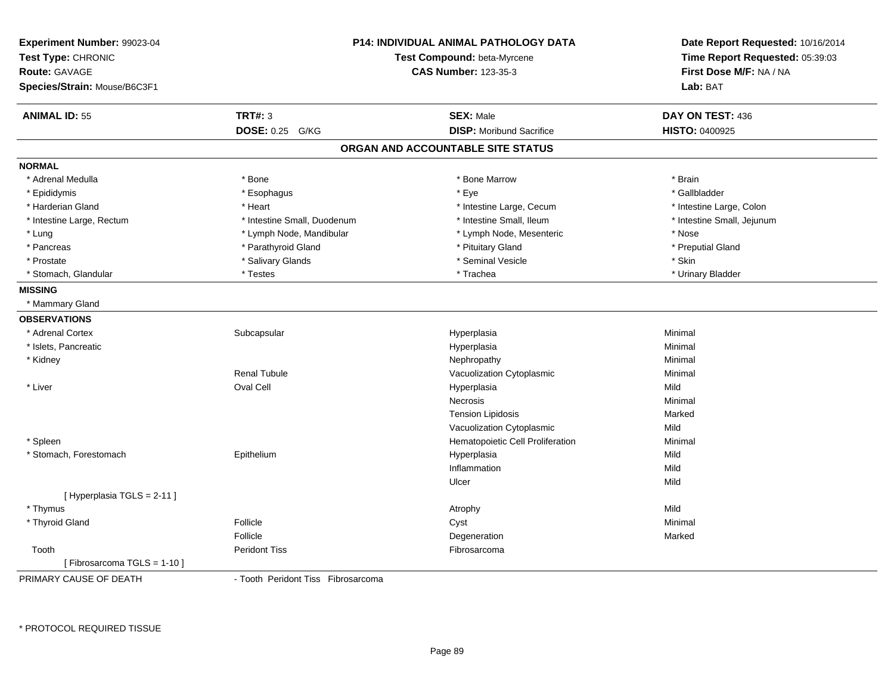| Experiment Number: 99023-04<br>Test Type: CHRONIC<br><b>Route: GAVAGE</b><br>Species/Strain: Mouse/B6C3F1 |                                    | <b>P14: INDIVIDUAL ANIMAL PATHOLOGY DATA</b><br>Test Compound: beta-Myrcene<br><b>CAS Number: 123-35-3</b> | Date Report Requested: 10/16/2014<br>Time Report Requested: 05:39:03<br>First Dose M/F: NA / NA<br>Lab: BAT |
|-----------------------------------------------------------------------------------------------------------|------------------------------------|------------------------------------------------------------------------------------------------------------|-------------------------------------------------------------------------------------------------------------|
| <b>ANIMAL ID: 55</b>                                                                                      | <b>TRT#: 3</b>                     | <b>SEX: Male</b>                                                                                           | DAY ON TEST: 436                                                                                            |
|                                                                                                           | DOSE: 0.25 G/KG                    | <b>DISP:</b> Moribund Sacrifice                                                                            | HISTO: 0400925                                                                                              |
|                                                                                                           |                                    | ORGAN AND ACCOUNTABLE SITE STATUS                                                                          |                                                                                                             |
| <b>NORMAL</b>                                                                                             |                                    |                                                                                                            |                                                                                                             |
| * Adrenal Medulla                                                                                         | * Bone                             | * Bone Marrow                                                                                              | * Brain                                                                                                     |
| * Epididymis                                                                                              | * Esophagus                        | * Eye                                                                                                      | * Gallbladder                                                                                               |
| * Harderian Gland                                                                                         | * Heart                            | * Intestine Large, Cecum                                                                                   | * Intestine Large, Colon                                                                                    |
| * Intestine Large, Rectum                                                                                 | * Intestine Small, Duodenum        | * Intestine Small, Ileum                                                                                   | * Intestine Small, Jejunum                                                                                  |
| * Lung                                                                                                    | * Lymph Node, Mandibular           | * Lymph Node, Mesenteric                                                                                   | * Nose                                                                                                      |
| * Pancreas                                                                                                | * Parathyroid Gland                | * Pituitary Gland                                                                                          | * Preputial Gland                                                                                           |
| * Prostate                                                                                                | * Salivary Glands                  | * Seminal Vesicle                                                                                          | * Skin                                                                                                      |
| * Stomach, Glandular                                                                                      | * Testes                           | * Trachea                                                                                                  | * Urinary Bladder                                                                                           |
| <b>MISSING</b>                                                                                            |                                    |                                                                                                            |                                                                                                             |
| * Mammary Gland                                                                                           |                                    |                                                                                                            |                                                                                                             |
| <b>OBSERVATIONS</b>                                                                                       |                                    |                                                                                                            |                                                                                                             |
| * Adrenal Cortex                                                                                          | Subcapsular                        | Hyperplasia                                                                                                | Minimal                                                                                                     |
| * Islets, Pancreatic                                                                                      |                                    | Hyperplasia                                                                                                | Minimal                                                                                                     |
| * Kidney                                                                                                  |                                    | Nephropathy                                                                                                | Minimal                                                                                                     |
|                                                                                                           | <b>Renal Tubule</b>                | Vacuolization Cytoplasmic                                                                                  | Minimal                                                                                                     |
| * Liver                                                                                                   | <b>Oval Cell</b>                   | Hyperplasia                                                                                                | Mild                                                                                                        |
|                                                                                                           |                                    | Necrosis                                                                                                   | Minimal                                                                                                     |
|                                                                                                           |                                    | <b>Tension Lipidosis</b>                                                                                   | Marked                                                                                                      |
|                                                                                                           |                                    | Vacuolization Cytoplasmic                                                                                  | Mild                                                                                                        |
| * Spleen                                                                                                  |                                    | Hematopoietic Cell Proliferation                                                                           | Minimal                                                                                                     |
| * Stomach, Forestomach                                                                                    | Epithelium                         | Hyperplasia                                                                                                | Mild                                                                                                        |
|                                                                                                           |                                    | Inflammation                                                                                               | Mild                                                                                                        |
|                                                                                                           |                                    | Ulcer                                                                                                      | Mild                                                                                                        |
| [Hyperplasia TGLS = 2-11]                                                                                 |                                    |                                                                                                            |                                                                                                             |
| * Thymus                                                                                                  |                                    | Atrophy                                                                                                    | Mild                                                                                                        |
| * Thyroid Gland                                                                                           | Follicle                           | Cyst                                                                                                       | Minimal                                                                                                     |
|                                                                                                           | Follicle                           | Degeneration                                                                                               | Marked                                                                                                      |
| Tooth                                                                                                     | <b>Peridont Tiss</b>               | Fibrosarcoma                                                                                               |                                                                                                             |
| [Fibrosarcoma TGLS = 1-10]                                                                                |                                    |                                                                                                            |                                                                                                             |
| PRIMARY CAUSE OF DEATH                                                                                    | - Tooth Peridont Tiss Fibrosarcoma |                                                                                                            |                                                                                                             |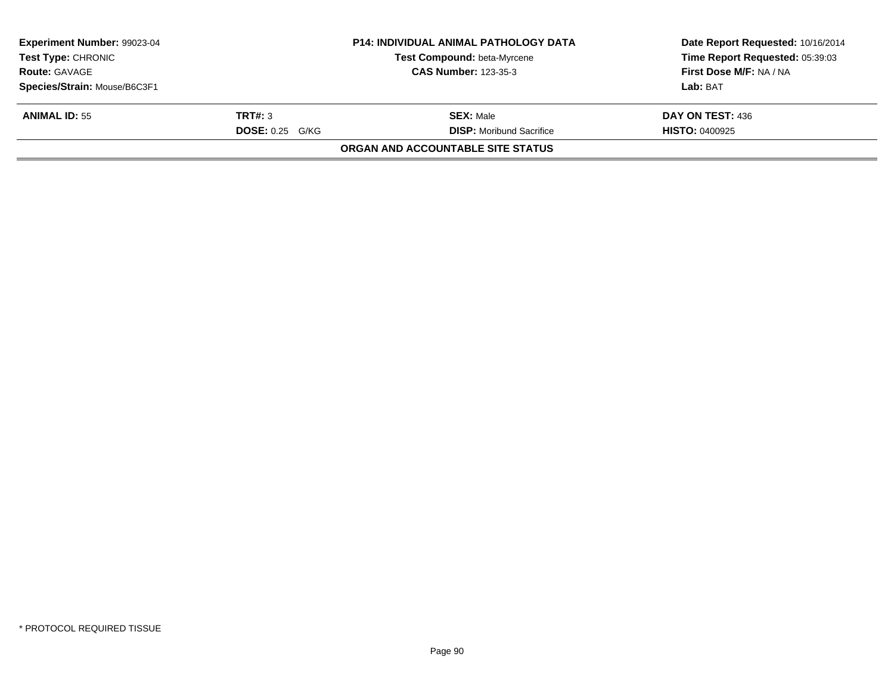| <b>Experiment Number: 99023-04</b> |                        | <b>P14: INDIVIDUAL ANIMAL PATHOLOGY DATA</b> | Date Report Requested: 10/16/2014 |
|------------------------------------|------------------------|----------------------------------------------|-----------------------------------|
| <b>Test Type: CHRONIC</b>          |                        | Test Compound: beta-Myrcene                  | Time Report Requested: 05:39:03   |
| <b>Route: GAVAGE</b>               |                        | <b>CAS Number: 123-35-3</b>                  | <b>First Dose M/F: NA / NA</b>    |
| Species/Strain: Mouse/B6C3F1       |                        |                                              | Lab: BAT                          |
| <b>ANIMAL ID: 55</b>               | TRT#: 3                | <b>SEX: Male</b>                             | DAY ON TEST: 436                  |
|                                    | <b>DOSE: 0.25 G/KG</b> | <b>DISP:</b> Moribund Sacrifice              | <b>HISTO: 0400925</b>             |
|                                    |                        | ORGAN AND ACCOUNTABLE SITE STATUS            |                                   |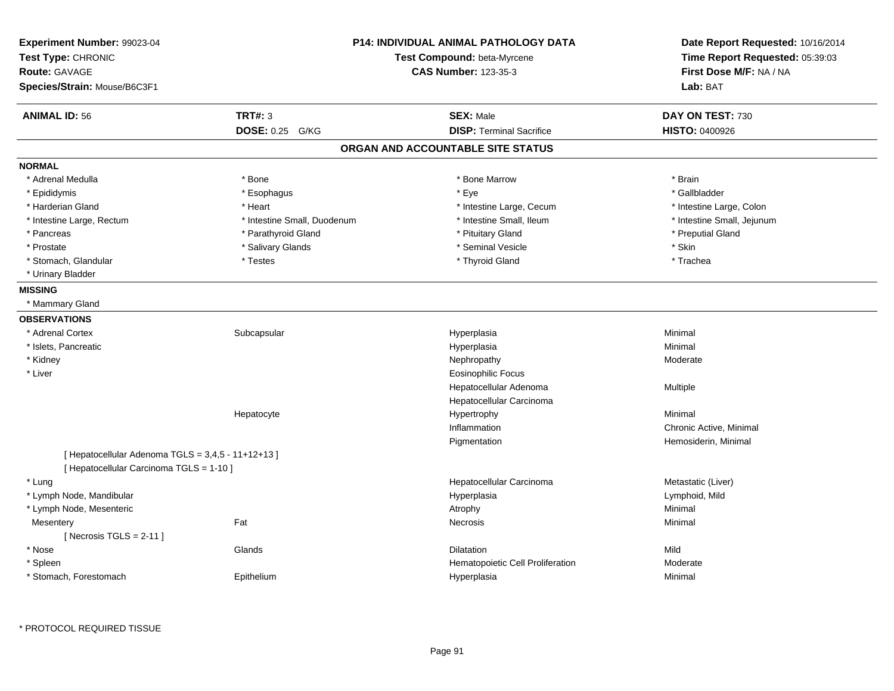| Experiment Number: 99023-04<br>Test Type: CHRONIC<br><b>Route: GAVAGE</b><br>Species/Strain: Mouse/B6C3F1 |                             | <b>P14: INDIVIDUAL ANIMAL PATHOLOGY DATA</b><br>Test Compound: beta-Myrcene<br><b>CAS Number: 123-35-3</b> | Date Report Requested: 10/16/2014<br>Time Report Requested: 05:39:03<br>First Dose M/F: NA / NA<br>Lab: BAT |
|-----------------------------------------------------------------------------------------------------------|-----------------------------|------------------------------------------------------------------------------------------------------------|-------------------------------------------------------------------------------------------------------------|
| <b>ANIMAL ID: 56</b>                                                                                      | <b>TRT#: 3</b>              | <b>SEX: Male</b>                                                                                           | DAY ON TEST: 730                                                                                            |
|                                                                                                           | DOSE: 0.25 G/KG             | <b>DISP: Terminal Sacrifice</b>                                                                            | <b>HISTO: 0400926</b>                                                                                       |
|                                                                                                           |                             | ORGAN AND ACCOUNTABLE SITE STATUS                                                                          |                                                                                                             |
| <b>NORMAL</b>                                                                                             |                             |                                                                                                            |                                                                                                             |
| * Adrenal Medulla                                                                                         | * Bone                      | * Bone Marrow                                                                                              | * Brain                                                                                                     |
| * Epididymis                                                                                              | * Esophagus                 | * Eye                                                                                                      | * Gallbladder                                                                                               |
| * Harderian Gland                                                                                         | * Heart                     | * Intestine Large, Cecum                                                                                   | * Intestine Large, Colon                                                                                    |
| * Intestine Large, Rectum                                                                                 | * Intestine Small, Duodenum | * Intestine Small, Ileum                                                                                   | * Intestine Small, Jejunum                                                                                  |
| * Pancreas                                                                                                | * Parathyroid Gland         | * Pituitary Gland                                                                                          | * Preputial Gland                                                                                           |
| * Prostate                                                                                                | * Salivary Glands           | * Seminal Vesicle                                                                                          | * Skin                                                                                                      |
| * Stomach, Glandular                                                                                      | * Testes                    | * Thyroid Gland                                                                                            | * Trachea                                                                                                   |
| * Urinary Bladder                                                                                         |                             |                                                                                                            |                                                                                                             |
| <b>MISSING</b>                                                                                            |                             |                                                                                                            |                                                                                                             |
| * Mammary Gland                                                                                           |                             |                                                                                                            |                                                                                                             |
| <b>OBSERVATIONS</b>                                                                                       |                             |                                                                                                            |                                                                                                             |
| * Adrenal Cortex                                                                                          | Subcapsular                 | Hyperplasia                                                                                                | Minimal                                                                                                     |
| * Islets, Pancreatic                                                                                      |                             | Hyperplasia                                                                                                | Minimal                                                                                                     |
| * Kidney                                                                                                  |                             | Nephropathy                                                                                                | Moderate                                                                                                    |
| * Liver                                                                                                   |                             | <b>Eosinophilic Focus</b>                                                                                  |                                                                                                             |
|                                                                                                           |                             | Hepatocellular Adenoma                                                                                     | Multiple                                                                                                    |
|                                                                                                           |                             | Hepatocellular Carcinoma                                                                                   |                                                                                                             |
|                                                                                                           | Hepatocyte                  | Hypertrophy                                                                                                | Minimal                                                                                                     |
|                                                                                                           |                             | Inflammation                                                                                               | Chronic Active, Minimal                                                                                     |
|                                                                                                           |                             | Pigmentation                                                                                               | Hemosiderin, Minimal                                                                                        |
| [ Hepatocellular Adenoma TGLS = 3,4,5 - 11+12+13 ]                                                        |                             |                                                                                                            |                                                                                                             |
| [ Hepatocellular Carcinoma TGLS = 1-10 ]                                                                  |                             |                                                                                                            |                                                                                                             |
| * Lung                                                                                                    |                             | Hepatocellular Carcinoma                                                                                   | Metastatic (Liver)                                                                                          |
| * Lymph Node, Mandibular                                                                                  |                             | Hyperplasia                                                                                                | Lymphoid, Mild                                                                                              |
| * Lymph Node, Mesenteric                                                                                  |                             | Atrophy                                                                                                    | Minimal                                                                                                     |
| Mesentery                                                                                                 | Fat                         | Necrosis                                                                                                   | Minimal                                                                                                     |
| [Necrosis $TGLS = 2-11$ ]                                                                                 |                             |                                                                                                            |                                                                                                             |
| * Nose                                                                                                    | Glands                      | <b>Dilatation</b>                                                                                          | Mild                                                                                                        |
| * Spleen                                                                                                  |                             | Hematopoietic Cell Proliferation                                                                           | Moderate                                                                                                    |
| * Stomach, Forestomach                                                                                    | Epithelium                  | Hyperplasia                                                                                                | Minimal                                                                                                     |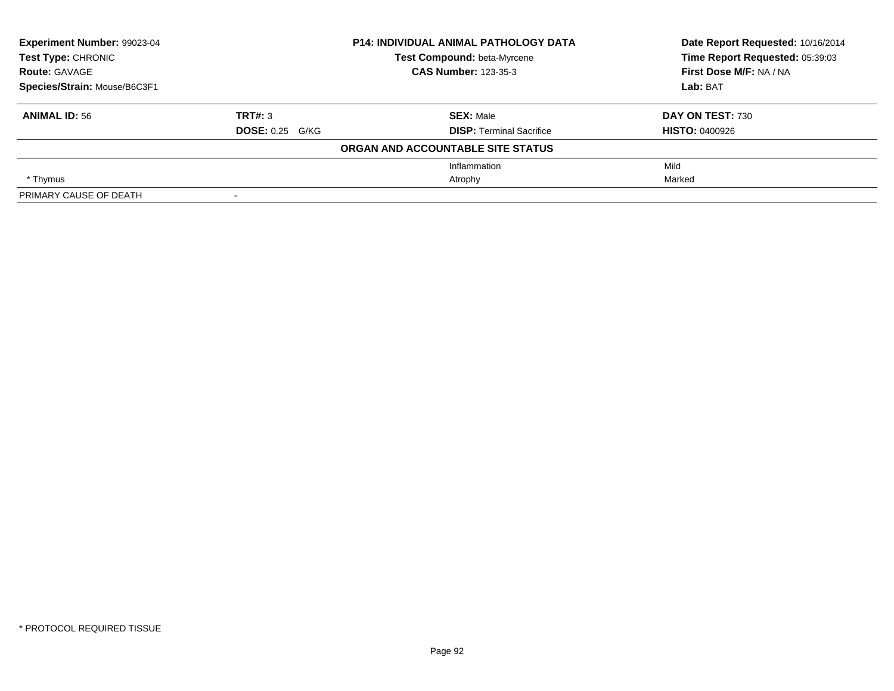| <b>Experiment Number: 99023-04</b> |                        | <b>P14: INDIVIDUAL ANIMAL PATHOLOGY DATA</b> | Date Report Requested: 10/16/2014<br>Time Report Requested: 05:39:03 |
|------------------------------------|------------------------|----------------------------------------------|----------------------------------------------------------------------|
| <b>Test Type: CHRONIC</b>          |                        | Test Compound: beta-Myrcene                  |                                                                      |
| <b>Route: GAVAGE</b>               |                        | <b>CAS Number: 123-35-3</b>                  | First Dose M/F: NA / NA                                              |
| Species/Strain: Mouse/B6C3F1       |                        |                                              | Lab: BAT                                                             |
| <b>ANIMAL ID: 56</b>               | TRT#: 3                | <b>SEX: Male</b>                             | DAY ON TEST: 730                                                     |
|                                    | <b>DOSE: 0.25 G/KG</b> | <b>DISP: Terminal Sacrifice</b>              | <b>HISTO: 0400926</b>                                                |
|                                    |                        | ORGAN AND ACCOUNTABLE SITE STATUS            |                                                                      |
|                                    |                        | Inflammation                                 | Mild                                                                 |
| * Thymus                           |                        | Atrophy                                      | Marked                                                               |
| PRIMARY CAUSE OF DEATH             | $\blacksquare$         |                                              |                                                                      |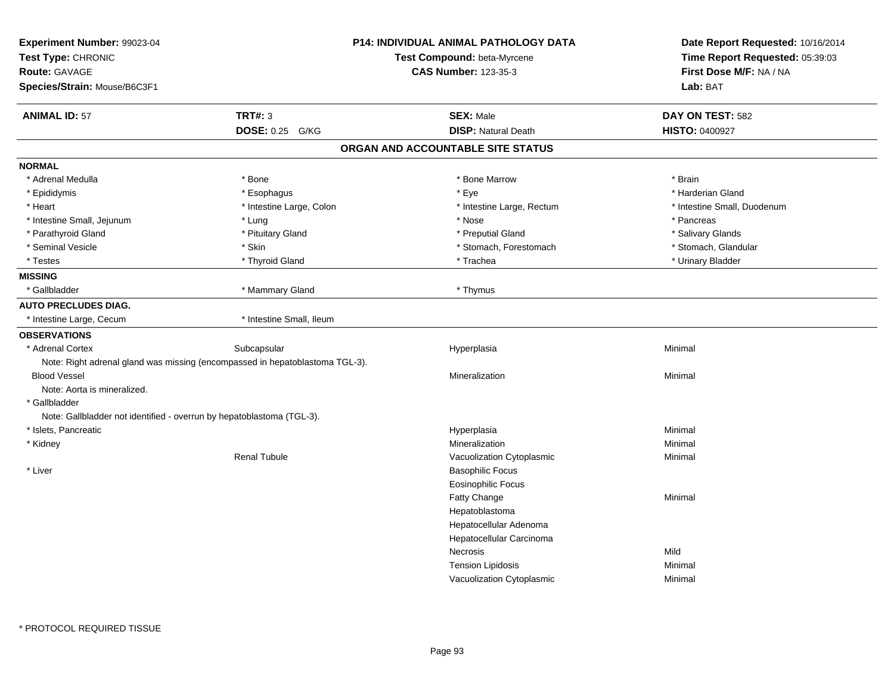| Experiment Number: 99023-04<br>Test Type: CHRONIC<br><b>Route: GAVAGE</b><br>Species/Strain: Mouse/B6C3F1 |                          | <b>P14: INDIVIDUAL ANIMAL PATHOLOGY DATA</b><br>Test Compound: beta-Myrcene<br><b>CAS Number: 123-35-3</b> | Date Report Requested: 10/16/2014<br>Time Report Requested: 05:39:03<br>First Dose M/F: NA / NA<br>Lab: BAT |
|-----------------------------------------------------------------------------------------------------------|--------------------------|------------------------------------------------------------------------------------------------------------|-------------------------------------------------------------------------------------------------------------|
| <b>ANIMAL ID: 57</b>                                                                                      | <b>TRT#: 3</b>           | <b>SEX: Male</b>                                                                                           | DAY ON TEST: 582                                                                                            |
|                                                                                                           | DOSE: 0.25 G/KG          | <b>DISP: Natural Death</b>                                                                                 | <b>HISTO: 0400927</b>                                                                                       |
|                                                                                                           |                          | ORGAN AND ACCOUNTABLE SITE STATUS                                                                          |                                                                                                             |
| <b>NORMAL</b>                                                                                             |                          |                                                                                                            |                                                                                                             |
| * Adrenal Medulla                                                                                         | * Bone                   | * Bone Marrow                                                                                              | * Brain                                                                                                     |
| * Epididymis                                                                                              | * Esophagus              | * Eye                                                                                                      | * Harderian Gland                                                                                           |
| * Heart                                                                                                   | * Intestine Large, Colon | * Intestine Large, Rectum                                                                                  | * Intestine Small, Duodenum                                                                                 |
| * Intestine Small, Jejunum                                                                                | * Lung                   | * Nose                                                                                                     | * Pancreas                                                                                                  |
| * Parathyroid Gland                                                                                       | * Pituitary Gland        | * Preputial Gland                                                                                          | * Salivary Glands                                                                                           |
| * Seminal Vesicle                                                                                         | * Skin                   | * Stomach, Forestomach                                                                                     | * Stomach, Glandular                                                                                        |
| * Testes                                                                                                  | * Thyroid Gland          | * Trachea                                                                                                  | * Urinary Bladder                                                                                           |
| <b>MISSING</b>                                                                                            |                          |                                                                                                            |                                                                                                             |
| * Gallbladder                                                                                             | * Mammary Gland          | * Thymus                                                                                                   |                                                                                                             |
| <b>AUTO PRECLUDES DIAG.</b>                                                                               |                          |                                                                                                            |                                                                                                             |
| * Intestine Large, Cecum                                                                                  | * Intestine Small, Ileum |                                                                                                            |                                                                                                             |
| <b>OBSERVATIONS</b>                                                                                       |                          |                                                                                                            |                                                                                                             |
| * Adrenal Cortex                                                                                          | Subcapsular              | Hyperplasia                                                                                                | Minimal                                                                                                     |
| Note: Right adrenal gland was missing (encompassed in hepatoblastoma TGL-3).                              |                          |                                                                                                            |                                                                                                             |
| <b>Blood Vessel</b>                                                                                       |                          | Mineralization                                                                                             | Minimal                                                                                                     |
| Note: Aorta is mineralized.                                                                               |                          |                                                                                                            |                                                                                                             |
| * Gallbladder                                                                                             |                          |                                                                                                            |                                                                                                             |
| Note: Gallbladder not identified - overrun by hepatoblastoma (TGL-3).                                     |                          |                                                                                                            |                                                                                                             |
| * Islets, Pancreatic                                                                                      |                          | Hyperplasia                                                                                                | Minimal                                                                                                     |
| * Kidney                                                                                                  |                          | Mineralization                                                                                             | Minimal                                                                                                     |
|                                                                                                           | <b>Renal Tubule</b>      | Vacuolization Cytoplasmic                                                                                  | Minimal                                                                                                     |
| * Liver                                                                                                   |                          | <b>Basophilic Focus</b>                                                                                    |                                                                                                             |
|                                                                                                           |                          | <b>Eosinophilic Focus</b>                                                                                  |                                                                                                             |
|                                                                                                           |                          | <b>Fatty Change</b>                                                                                        | Minimal                                                                                                     |
|                                                                                                           |                          | Hepatoblastoma                                                                                             |                                                                                                             |
|                                                                                                           |                          | Hepatocellular Adenoma                                                                                     |                                                                                                             |
|                                                                                                           |                          | Hepatocellular Carcinoma                                                                                   |                                                                                                             |
|                                                                                                           |                          | Necrosis                                                                                                   | Mild                                                                                                        |
|                                                                                                           |                          | <b>Tension Lipidosis</b>                                                                                   | Minimal                                                                                                     |
|                                                                                                           |                          | Vacuolization Cytoplasmic                                                                                  | Minimal                                                                                                     |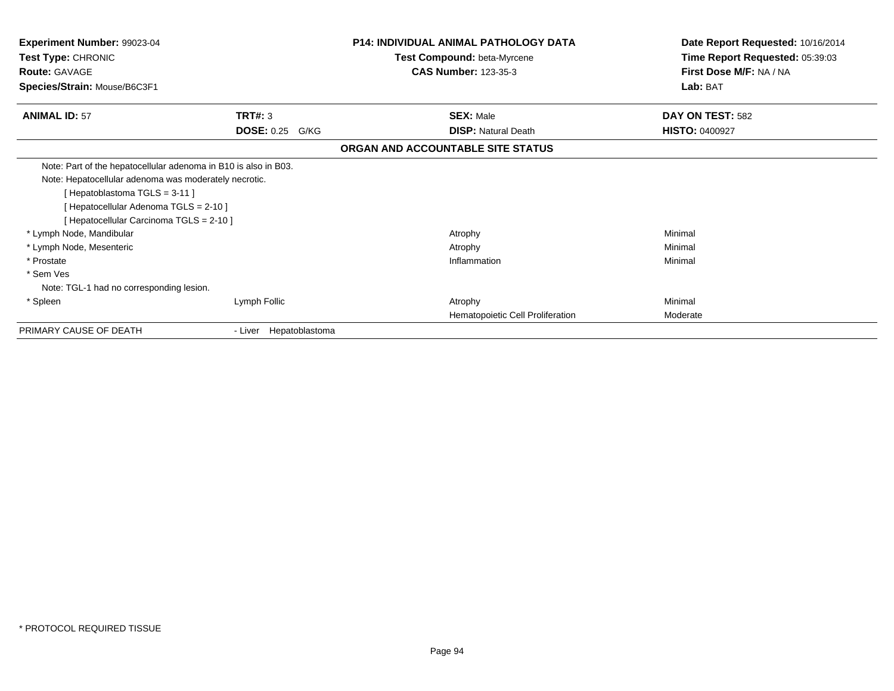| <b>Experiment Number: 99023-04</b><br><b>Test Type: CHRONIC</b> |                           | <b>P14: INDIVIDUAL ANIMAL PATHOLOGY DATA</b><br>Test Compound: beta-Myrcene | Date Report Requested: 10/16/2014<br>Time Report Requested: 05:39:03 |
|-----------------------------------------------------------------|---------------------------|-----------------------------------------------------------------------------|----------------------------------------------------------------------|
| <b>Route: GAVAGE</b>                                            |                           | <b>CAS Number: 123-35-3</b>                                                 | First Dose M/F: NA / NA                                              |
| Species/Strain: Mouse/B6C3F1                                    |                           |                                                                             | Lab: BAT                                                             |
| <b>ANIMAL ID: 57</b>                                            | TRT#: 3                   | <b>SEX: Male</b>                                                            | DAY ON TEST: 582                                                     |
|                                                                 | <b>DOSE: 0.25</b><br>G/KG | <b>DISP: Natural Death</b>                                                  | <b>HISTO: 0400927</b>                                                |
|                                                                 |                           | ORGAN AND ACCOUNTABLE SITE STATUS                                           |                                                                      |
| Note: Part of the hepatocellular adenoma in B10 is also in B03. |                           |                                                                             |                                                                      |
| Note: Hepatocellular adenoma was moderately necrotic.           |                           |                                                                             |                                                                      |
| [Hepatoblastoma TGLS = 3-11]                                    |                           |                                                                             |                                                                      |
| [Hepatocellular Adenoma TGLS = 2-10]                            |                           |                                                                             |                                                                      |
| [Hepatocellular Carcinoma TGLS = 2-10]                          |                           |                                                                             |                                                                      |
| * Lymph Node, Mandibular                                        |                           | Atrophy                                                                     | Minimal                                                              |
| * Lymph Node, Mesenteric                                        |                           | Atrophy                                                                     | Minimal                                                              |
| * Prostate                                                      |                           | Inflammation                                                                | Minimal                                                              |
| * Sem Ves                                                       |                           |                                                                             |                                                                      |
| Note: TGL-1 had no corresponding lesion.                        |                           |                                                                             |                                                                      |
| * Spleen                                                        | Lymph Follic              | Atrophy                                                                     | Minimal                                                              |
|                                                                 |                           | Hematopoietic Cell Proliferation                                            | Moderate                                                             |
| PRIMARY CAUSE OF DEATH                                          | - Liver Hepatoblastoma    |                                                                             |                                                                      |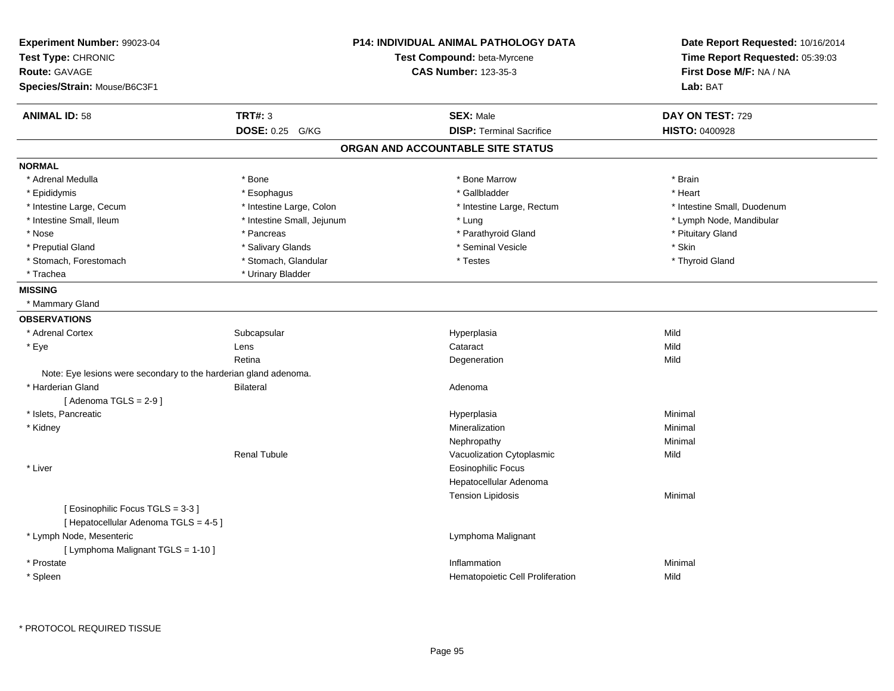| Experiment Number: 99023-04<br>Test Type: CHRONIC<br><b>Route: GAVAGE</b><br>Species/Strain: Mouse/B6C3F1 |                            | <b>P14: INDIVIDUAL ANIMAL PATHOLOGY DATA</b><br>Test Compound: beta-Myrcene<br><b>CAS Number: 123-35-3</b> | Date Report Requested: 10/16/2014<br>Time Report Requested: 05:39:03<br>First Dose M/F: NA / NA<br>Lab: BAT |
|-----------------------------------------------------------------------------------------------------------|----------------------------|------------------------------------------------------------------------------------------------------------|-------------------------------------------------------------------------------------------------------------|
| <b>ANIMAL ID: 58</b>                                                                                      | TRT#: 3                    | <b>SEX: Male</b>                                                                                           | DAY ON TEST: 729                                                                                            |
|                                                                                                           | DOSE: 0.25 G/KG            | <b>DISP: Terminal Sacrifice</b>                                                                            | <b>HISTO: 0400928</b>                                                                                       |
|                                                                                                           |                            | ORGAN AND ACCOUNTABLE SITE STATUS                                                                          |                                                                                                             |
| <b>NORMAL</b>                                                                                             |                            |                                                                                                            |                                                                                                             |
| * Adrenal Medulla                                                                                         | * Bone                     | * Bone Marrow                                                                                              | * Brain                                                                                                     |
| * Epididymis                                                                                              | * Esophagus                | * Gallbladder                                                                                              | * Heart                                                                                                     |
| * Intestine Large, Cecum                                                                                  | * Intestine Large, Colon   | * Intestine Large, Rectum                                                                                  | * Intestine Small, Duodenum                                                                                 |
| * Intestine Small, Ileum                                                                                  | * Intestine Small, Jejunum | * Lung                                                                                                     | * Lymph Node, Mandibular                                                                                    |
| * Nose                                                                                                    | * Pancreas                 | * Parathyroid Gland                                                                                        | * Pituitary Gland                                                                                           |
| * Preputial Gland                                                                                         | * Salivary Glands          | * Seminal Vesicle                                                                                          | * Skin                                                                                                      |
| * Stomach, Forestomach                                                                                    | * Stomach, Glandular       | * Testes                                                                                                   | * Thyroid Gland                                                                                             |
| * Trachea                                                                                                 | * Urinary Bladder          |                                                                                                            |                                                                                                             |
| <b>MISSING</b>                                                                                            |                            |                                                                                                            |                                                                                                             |
| * Mammary Gland                                                                                           |                            |                                                                                                            |                                                                                                             |
| <b>OBSERVATIONS</b>                                                                                       |                            |                                                                                                            |                                                                                                             |
| * Adrenal Cortex                                                                                          | Subcapsular                | Hyperplasia                                                                                                | Mild                                                                                                        |
| * Eye                                                                                                     | Lens                       | Cataract                                                                                                   | Mild                                                                                                        |
|                                                                                                           | Retina                     | Degeneration                                                                                               | Mild                                                                                                        |
| Note: Eye lesions were secondary to the harderian gland adenoma.                                          |                            |                                                                                                            |                                                                                                             |
| * Harderian Gland                                                                                         | <b>Bilateral</b>           | Adenoma                                                                                                    |                                                                                                             |
| [Adenoma TGLS = $2-9$ ]                                                                                   |                            |                                                                                                            |                                                                                                             |
| * Islets, Pancreatic                                                                                      |                            | Hyperplasia                                                                                                | Minimal                                                                                                     |
| * Kidney                                                                                                  |                            | Mineralization                                                                                             | Minimal                                                                                                     |
|                                                                                                           |                            | Nephropathy                                                                                                | Minimal                                                                                                     |
|                                                                                                           | <b>Renal Tubule</b>        | Vacuolization Cytoplasmic                                                                                  | Mild                                                                                                        |
| * Liver                                                                                                   |                            | <b>Eosinophilic Focus</b>                                                                                  |                                                                                                             |
|                                                                                                           |                            | Hepatocellular Adenoma                                                                                     |                                                                                                             |
|                                                                                                           |                            | <b>Tension Lipidosis</b>                                                                                   | Minimal                                                                                                     |
| [Eosinophilic Focus TGLS = 3-3]                                                                           |                            |                                                                                                            |                                                                                                             |
| [ Hepatocellular Adenoma TGLS = 4-5]                                                                      |                            |                                                                                                            |                                                                                                             |
| * Lymph Node, Mesenteric                                                                                  |                            | Lymphoma Malignant                                                                                         |                                                                                                             |
| [ Lymphoma Malignant TGLS = 1-10 ]                                                                        |                            |                                                                                                            |                                                                                                             |
| * Prostate                                                                                                |                            | Inflammation                                                                                               | Minimal                                                                                                     |
| * Spleen                                                                                                  |                            | Hematopoietic Cell Proliferation                                                                           | Mild                                                                                                        |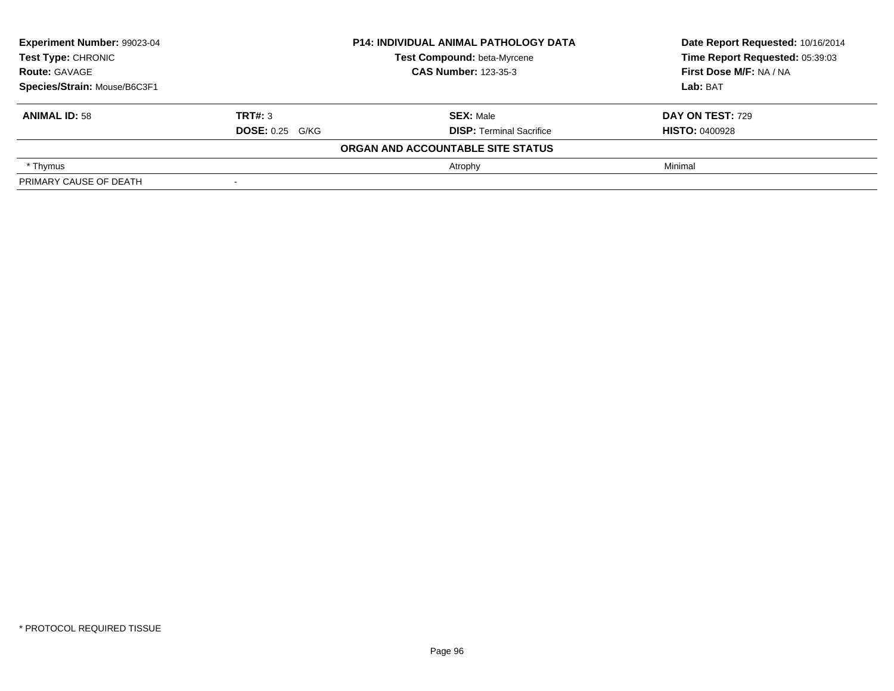| Experiment Number: 99023-04<br>Test Type: CHRONIC<br><b>Route: GAVAGE</b> |                        | <b>P14: INDIVIDUAL ANIMAL PATHOLOGY DATA</b> | Date Report Requested: 10/16/2014 |  |
|---------------------------------------------------------------------------|------------------------|----------------------------------------------|-----------------------------------|--|
|                                                                           |                        | Test Compound: beta-Myrcene                  | Time Report Requested: 05:39:03   |  |
|                                                                           |                        | <b>CAS Number: 123-35-3</b>                  | First Dose M/F: NA / NA           |  |
| Species/Strain: Mouse/B6C3F1                                              |                        |                                              | Lab: BAT                          |  |
| <b>ANIMAL ID: 58</b>                                                      | TRT#: 3                | <b>SEX: Male</b>                             | <b>DAY ON TEST: 729</b>           |  |
|                                                                           | <b>DOSE:</b> 0.25 G/KG | <b>DISP: Terminal Sacrifice</b>              | <b>HISTO: 0400928</b>             |  |
|                                                                           |                        | ORGAN AND ACCOUNTABLE SITE STATUS            |                                   |  |
| * Thymus                                                                  |                        | Atrophy                                      | Minimal                           |  |
| PRIMARY CAUSE OF DEATH                                                    |                        |                                              |                                   |  |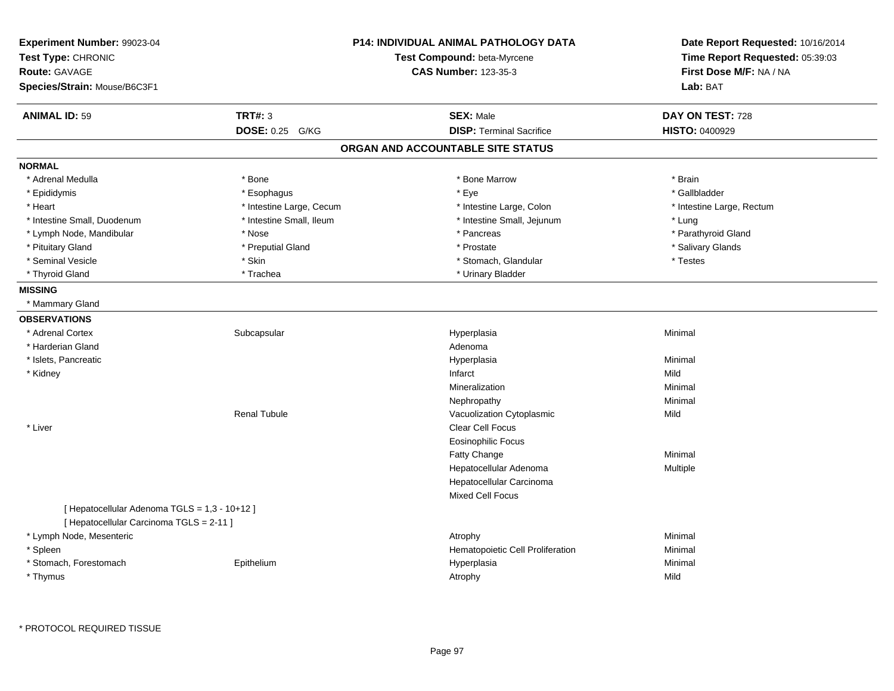| Experiment Number: 99023-04<br>Test Type: CHRONIC<br><b>Route: GAVAGE</b><br>Species/Strain: Mouse/B6C3F1 |                          | P14: INDIVIDUAL ANIMAL PATHOLOGY DATA<br>Test Compound: beta-Myrcene<br><b>CAS Number: 123-35-3</b> | Date Report Requested: 10/16/2014<br>Time Report Requested: 05:39:03<br>First Dose M/F: NA / NA<br>Lab: BAT |
|-----------------------------------------------------------------------------------------------------------|--------------------------|-----------------------------------------------------------------------------------------------------|-------------------------------------------------------------------------------------------------------------|
| <b>ANIMAL ID: 59</b>                                                                                      | <b>TRT#: 3</b>           | <b>SEX: Male</b>                                                                                    | DAY ON TEST: 728                                                                                            |
|                                                                                                           | DOSE: 0.25 G/KG          | <b>DISP: Terminal Sacrifice</b>                                                                     | <b>HISTO: 0400929</b>                                                                                       |
|                                                                                                           |                          | ORGAN AND ACCOUNTABLE SITE STATUS                                                                   |                                                                                                             |
| <b>NORMAL</b>                                                                                             |                          |                                                                                                     |                                                                                                             |
| * Adrenal Medulla                                                                                         | * Bone                   | * Bone Marrow                                                                                       | * Brain                                                                                                     |
| * Epididymis                                                                                              | * Esophagus              | * Eye                                                                                               | * Gallbladder                                                                                               |
| * Heart                                                                                                   | * Intestine Large, Cecum | * Intestine Large, Colon                                                                            | * Intestine Large, Rectum                                                                                   |
| * Intestine Small, Duodenum                                                                               | * Intestine Small, Ileum | * Intestine Small, Jejunum                                                                          | * Lung                                                                                                      |
| * Lymph Node, Mandibular                                                                                  | * Nose                   | * Pancreas                                                                                          | * Parathyroid Gland                                                                                         |
| * Pituitary Gland                                                                                         | * Preputial Gland        | * Prostate                                                                                          | * Salivary Glands                                                                                           |
| * Seminal Vesicle                                                                                         | * Skin                   | * Stomach, Glandular                                                                                | * Testes                                                                                                    |
| * Thyroid Gland                                                                                           | * Trachea                | * Urinary Bladder                                                                                   |                                                                                                             |
| <b>MISSING</b>                                                                                            |                          |                                                                                                     |                                                                                                             |
| * Mammary Gland                                                                                           |                          |                                                                                                     |                                                                                                             |
| <b>OBSERVATIONS</b>                                                                                       |                          |                                                                                                     |                                                                                                             |
| * Adrenal Cortex                                                                                          | Subcapsular              | Hyperplasia                                                                                         | Minimal                                                                                                     |
| * Harderian Gland                                                                                         |                          | Adenoma                                                                                             |                                                                                                             |
| * Islets, Pancreatic                                                                                      |                          | Hyperplasia                                                                                         | Minimal                                                                                                     |
| * Kidney                                                                                                  |                          | Infarct                                                                                             | Mild                                                                                                        |
|                                                                                                           |                          | Mineralization                                                                                      | Minimal                                                                                                     |
|                                                                                                           |                          | Nephropathy                                                                                         | Minimal                                                                                                     |
|                                                                                                           | <b>Renal Tubule</b>      | Vacuolization Cytoplasmic                                                                           | Mild                                                                                                        |
| * Liver                                                                                                   |                          | Clear Cell Focus                                                                                    |                                                                                                             |
|                                                                                                           |                          | <b>Eosinophilic Focus</b>                                                                           |                                                                                                             |
|                                                                                                           |                          | Fatty Change                                                                                        | Minimal                                                                                                     |
|                                                                                                           |                          | Hepatocellular Adenoma                                                                              | Multiple                                                                                                    |
|                                                                                                           |                          | Hepatocellular Carcinoma                                                                            |                                                                                                             |
|                                                                                                           |                          | Mixed Cell Focus                                                                                    |                                                                                                             |
| [ Hepatocellular Adenoma TGLS = 1,3 - 10+12 ]<br>[ Hepatocellular Carcinoma TGLS = 2-11 ]                 |                          |                                                                                                     |                                                                                                             |
| * Lymph Node, Mesenteric                                                                                  |                          | Atrophy                                                                                             | Minimal                                                                                                     |
| * Spleen                                                                                                  |                          | Hematopoietic Cell Proliferation                                                                    | Minimal                                                                                                     |
| * Stomach, Forestomach                                                                                    | Epithelium               | Hyperplasia                                                                                         | Minimal                                                                                                     |
| * Thymus                                                                                                  |                          | Atrophy                                                                                             | Mild                                                                                                        |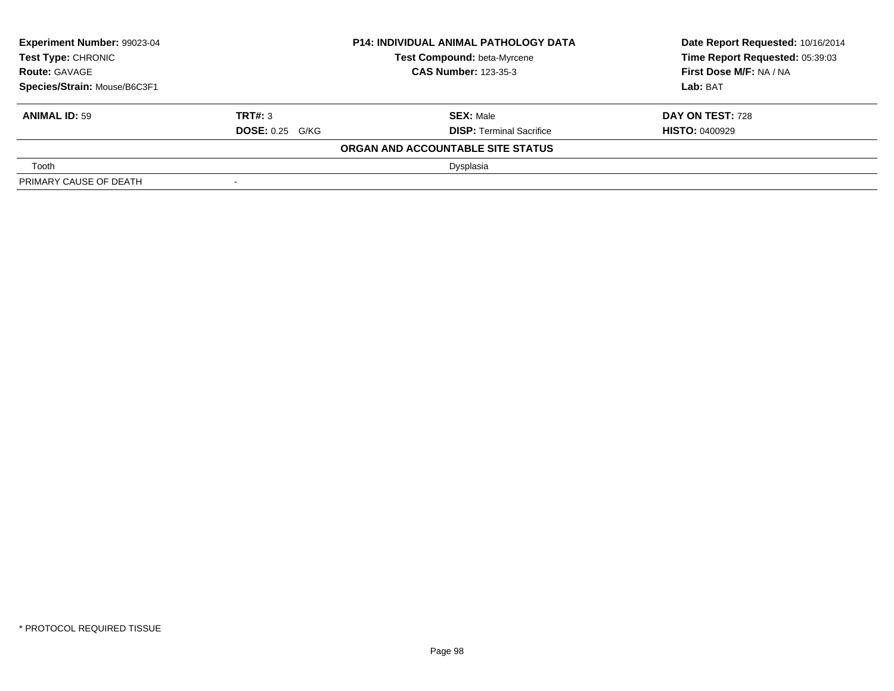| Experiment Number: 99023-04<br><b>Test Type: CHRONIC</b> |                             | <b>P14: INDIVIDUAL ANIMAL PATHOLOGY DATA</b> | Date Report Requested: 10/16/2014 |
|----------------------------------------------------------|-----------------------------|----------------------------------------------|-----------------------------------|
|                                                          |                             | Test Compound: beta-Myrcene                  | Time Report Requested: 05:39:03   |
| <b>Route: GAVAGE</b>                                     | <b>CAS Number: 123-35-3</b> |                                              | First Dose M/F: NA / NA           |
| Species/Strain: Mouse/B6C3F1                             |                             |                                              | Lab: BAT                          |
| <b>ANIMAL ID: 59</b>                                     | TRT#: 3                     | <b>SEX: Male</b>                             | DAY ON TEST: 728                  |
|                                                          | <b>DOSE: 0.25 G/KG</b>      | <b>DISP:</b> Terminal Sacrifice              | <b>HISTO: 0400929</b>             |
|                                                          |                             | ORGAN AND ACCOUNTABLE SITE STATUS            |                                   |
| Tooth                                                    |                             | Dysplasia                                    |                                   |
| PRIMARY CAUSE OF DEATH                                   |                             |                                              |                                   |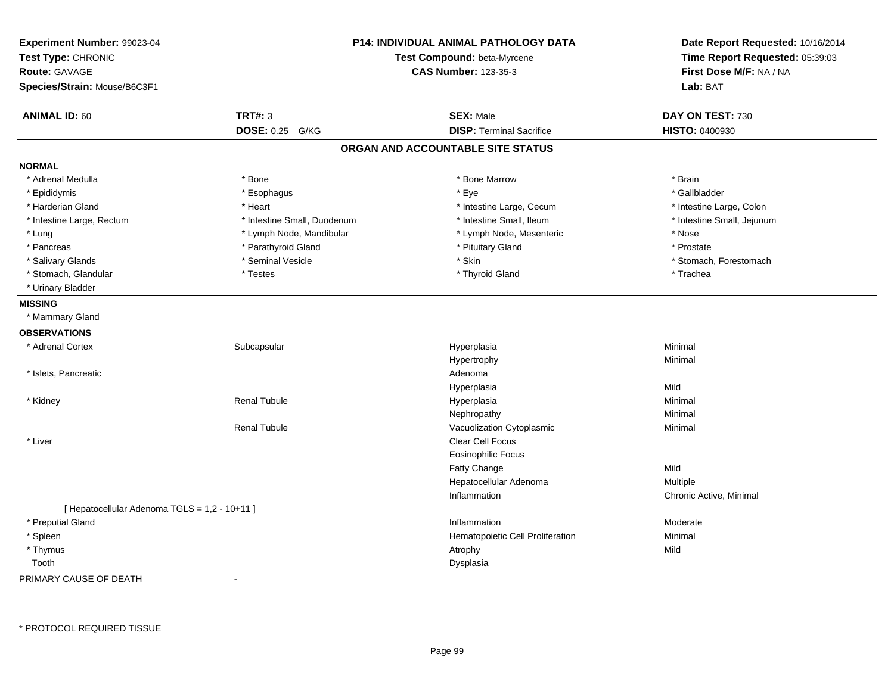| Experiment Number: 99023-04<br>Test Type: CHRONIC<br><b>Route: GAVAGE</b><br>Species/Strain: Mouse/B6C3F1 |                             | <b>P14: INDIVIDUAL ANIMAL PATHOLOGY DATA</b><br>Test Compound: beta-Myrcene<br><b>CAS Number: 123-35-3</b> |                            |
|-----------------------------------------------------------------------------------------------------------|-----------------------------|------------------------------------------------------------------------------------------------------------|----------------------------|
| <b>ANIMAL ID: 60</b>                                                                                      | <b>TRT#: 3</b>              | <b>SEX: Male</b>                                                                                           | DAY ON TEST: 730           |
|                                                                                                           | DOSE: 0.25 G/KG             | <b>DISP: Terminal Sacrifice</b>                                                                            | HISTO: 0400930             |
|                                                                                                           |                             | ORGAN AND ACCOUNTABLE SITE STATUS                                                                          |                            |
| <b>NORMAL</b>                                                                                             |                             |                                                                                                            |                            |
| * Adrenal Medulla                                                                                         | * Bone                      | * Bone Marrow                                                                                              | * Brain                    |
| * Epididymis                                                                                              | * Esophagus                 | * Eye                                                                                                      | * Gallbladder              |
| * Harderian Gland                                                                                         | * Heart                     | * Intestine Large, Cecum                                                                                   | * Intestine Large, Colon   |
| * Intestine Large, Rectum                                                                                 | * Intestine Small, Duodenum | * Intestine Small, Ileum                                                                                   | * Intestine Small, Jejunum |
| * Lung                                                                                                    | * Lymph Node, Mandibular    | * Lymph Node, Mesenteric                                                                                   | * Nose                     |
| * Pancreas                                                                                                | * Parathyroid Gland         | * Pituitary Gland                                                                                          | * Prostate                 |
| * Salivary Glands                                                                                         | * Seminal Vesicle           | * Skin                                                                                                     | * Stomach, Forestomach     |
| * Stomach, Glandular                                                                                      | * Testes                    | * Thyroid Gland                                                                                            | * Trachea                  |
| * Urinary Bladder                                                                                         |                             |                                                                                                            |                            |
| <b>MISSING</b>                                                                                            |                             |                                                                                                            |                            |
| * Mammary Gland                                                                                           |                             |                                                                                                            |                            |
| <b>OBSERVATIONS</b>                                                                                       |                             |                                                                                                            |                            |
| * Adrenal Cortex                                                                                          | Subcapsular                 | Hyperplasia                                                                                                | Minimal                    |
|                                                                                                           |                             | Hypertrophy                                                                                                | Minimal                    |
| * Islets, Pancreatic                                                                                      |                             | Adenoma                                                                                                    |                            |
|                                                                                                           |                             | Hyperplasia                                                                                                | Mild                       |
| * Kidney                                                                                                  | <b>Renal Tubule</b>         | Hyperplasia                                                                                                | Minimal                    |
|                                                                                                           |                             | Nephropathy                                                                                                | Minimal                    |
|                                                                                                           | <b>Renal Tubule</b>         | Vacuolization Cytoplasmic                                                                                  | Minimal                    |
| * Liver                                                                                                   |                             | Clear Cell Focus                                                                                           |                            |
|                                                                                                           |                             | <b>Eosinophilic Focus</b>                                                                                  |                            |
|                                                                                                           |                             | <b>Fatty Change</b>                                                                                        | Mild                       |
|                                                                                                           |                             | Hepatocellular Adenoma                                                                                     | Multiple                   |
|                                                                                                           |                             | Inflammation                                                                                               | Chronic Active, Minimal    |
| [ Hepatocellular Adenoma TGLS = 1,2 - 10+11 ]                                                             |                             |                                                                                                            |                            |
| * Preputial Gland                                                                                         |                             | Inflammation                                                                                               | Moderate                   |
| * Spleen                                                                                                  |                             | Hematopoietic Cell Proliferation                                                                           | Minimal                    |
| * Thymus                                                                                                  |                             | Atrophy                                                                                                    | Mild                       |
| Tooth                                                                                                     |                             | Dysplasia                                                                                                  |                            |

PRIMARY CAUSE OF DEATH-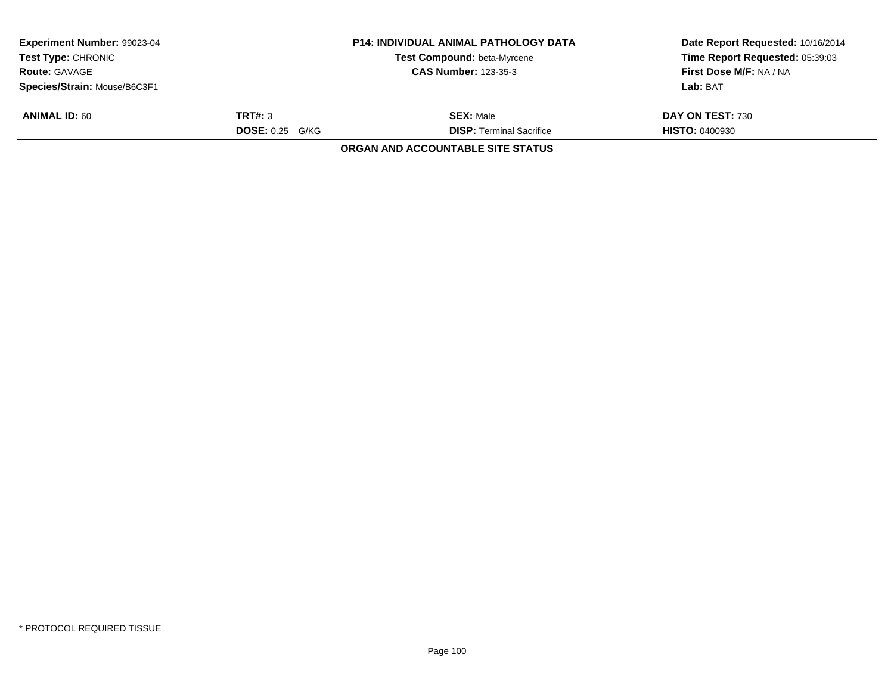| Experiment Number: 99023-04<br><b>Test Type: CHRONIC</b><br><b>Route: GAVAGE</b> | <b>P14: INDIVIDUAL ANIMAL PATHOLOGY DATA</b><br>Test Compound: beta-Myrcene<br><b>CAS Number: 123-35-3</b> |                                          | Date Report Requested: 10/16/2014<br>Time Report Requested: 05:39:03<br>First Dose M/F: NA / NA |
|----------------------------------------------------------------------------------|------------------------------------------------------------------------------------------------------------|------------------------------------------|-------------------------------------------------------------------------------------------------|
| Species/Strain: Mouse/B6C3F1                                                     |                                                                                                            |                                          | Lab: BAT                                                                                        |
| <b>ANIMAL ID: 60</b>                                                             | TRT#: 3                                                                                                    | <b>SEX: Male</b>                         | DAY ON TEST: 730                                                                                |
|                                                                                  | <b>DOSE: 0.25 G/KG</b>                                                                                     | <b>DISP:</b> Terminal Sacrifice          | <b>HISTO: 0400930</b>                                                                           |
|                                                                                  |                                                                                                            | <b>ORGAN AND ACCOUNTABLE SITE STATUS</b> |                                                                                                 |
|                                                                                  |                                                                                                            |                                          |                                                                                                 |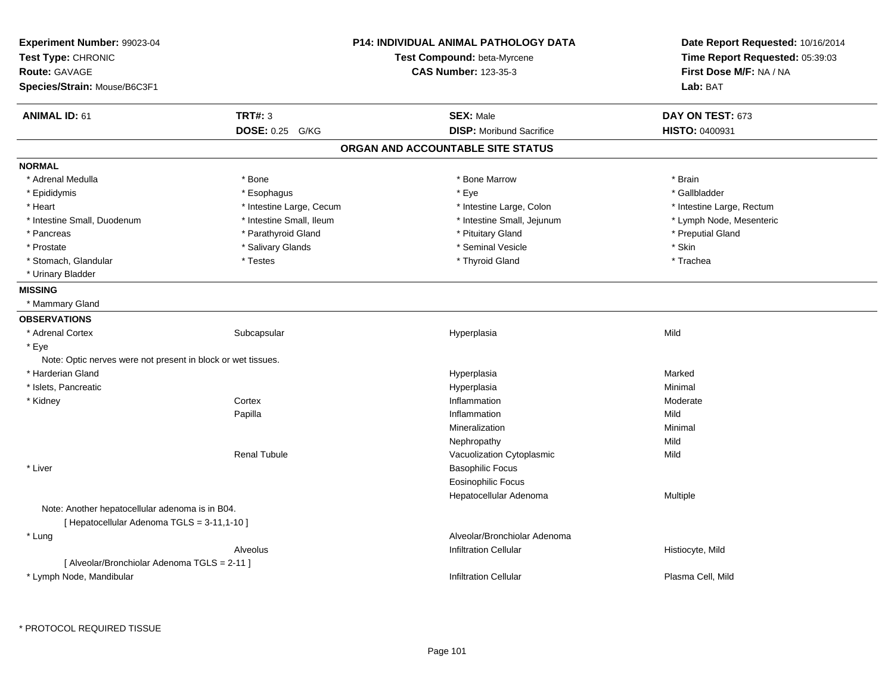| Experiment Number: 99023-04<br>Test Type: CHRONIC<br><b>Route: GAVAGE</b> |                          | <b>P14: INDIVIDUAL ANIMAL PATHOLOGY DATA</b><br>Test Compound: beta-Myrcene<br><b>CAS Number: 123-35-3</b> | Date Report Requested: 10/16/2014<br>Time Report Requested: 05:39:03<br>First Dose M/F: NA / NA |
|---------------------------------------------------------------------------|--------------------------|------------------------------------------------------------------------------------------------------------|-------------------------------------------------------------------------------------------------|
| Species/Strain: Mouse/B6C3F1                                              |                          |                                                                                                            | Lab: BAT                                                                                        |
| <b>ANIMAL ID: 61</b>                                                      | <b>TRT#: 3</b>           | <b>SEX: Male</b>                                                                                           | DAY ON TEST: 673                                                                                |
|                                                                           | DOSE: 0.25 G/KG          | <b>DISP:</b> Moribund Sacrifice                                                                            | <b>HISTO: 0400931</b>                                                                           |
|                                                                           |                          | ORGAN AND ACCOUNTABLE SITE STATUS                                                                          |                                                                                                 |
| <b>NORMAL</b>                                                             |                          |                                                                                                            |                                                                                                 |
| * Adrenal Medulla                                                         | * Bone                   | * Bone Marrow                                                                                              | * Brain                                                                                         |
| * Epididymis                                                              | * Esophagus              | * Eye                                                                                                      | * Gallbladder                                                                                   |
| * Heart                                                                   | * Intestine Large, Cecum | * Intestine Large, Colon                                                                                   | * Intestine Large, Rectum                                                                       |
| * Intestine Small, Duodenum                                               | * Intestine Small, Ileum | * Intestine Small, Jejunum                                                                                 | * Lymph Node, Mesenteric                                                                        |
| * Pancreas                                                                | * Parathyroid Gland      | * Pituitary Gland                                                                                          | * Preputial Gland                                                                               |
| * Prostate                                                                | * Salivary Glands        | * Seminal Vesicle                                                                                          | * Skin                                                                                          |
| * Stomach, Glandular                                                      | * Testes                 | * Thyroid Gland                                                                                            | * Trachea                                                                                       |
| * Urinary Bladder                                                         |                          |                                                                                                            |                                                                                                 |
| <b>MISSING</b>                                                            |                          |                                                                                                            |                                                                                                 |
| * Mammary Gland                                                           |                          |                                                                                                            |                                                                                                 |
| <b>OBSERVATIONS</b>                                                       |                          |                                                                                                            |                                                                                                 |
| * Adrenal Cortex                                                          | Subcapsular              | Hyperplasia                                                                                                | Mild                                                                                            |
| * Eye                                                                     |                          |                                                                                                            |                                                                                                 |
| Note: Optic nerves were not present in block or wet tissues.              |                          |                                                                                                            |                                                                                                 |
| * Harderian Gland                                                         |                          | Hyperplasia                                                                                                | Marked                                                                                          |
| * Islets, Pancreatic                                                      |                          | Hyperplasia                                                                                                | Minimal                                                                                         |
| * Kidney                                                                  | Cortex                   | Inflammation                                                                                               | Moderate                                                                                        |
|                                                                           | Papilla                  | Inflammation                                                                                               | Mild                                                                                            |
|                                                                           |                          | Mineralization                                                                                             | Minimal                                                                                         |
|                                                                           |                          | Nephropathy                                                                                                | Mild                                                                                            |
|                                                                           | <b>Renal Tubule</b>      | Vacuolization Cytoplasmic                                                                                  | Mild                                                                                            |
| * Liver                                                                   |                          | <b>Basophilic Focus</b>                                                                                    |                                                                                                 |
|                                                                           |                          | <b>Eosinophilic Focus</b>                                                                                  |                                                                                                 |
|                                                                           |                          | Hepatocellular Adenoma                                                                                     | <b>Multiple</b>                                                                                 |
| Note: Another hepatocellular adenoma is in B04.                           |                          |                                                                                                            |                                                                                                 |
| [ Hepatocellular Adenoma TGLS = 3-11,1-10 ]                               |                          |                                                                                                            |                                                                                                 |
| * Lung                                                                    |                          | Alveolar/Bronchiolar Adenoma                                                                               |                                                                                                 |
|                                                                           | Alveolus                 | <b>Infiltration Cellular</b>                                                                               | Histiocyte, Mild                                                                                |
| [ Alveolar/Bronchiolar Adenoma TGLS = 2-11 ]                              |                          |                                                                                                            |                                                                                                 |
| * Lymph Node, Mandibular                                                  |                          | <b>Infiltration Cellular</b>                                                                               | Plasma Cell, Mild                                                                               |
|                                                                           |                          |                                                                                                            |                                                                                                 |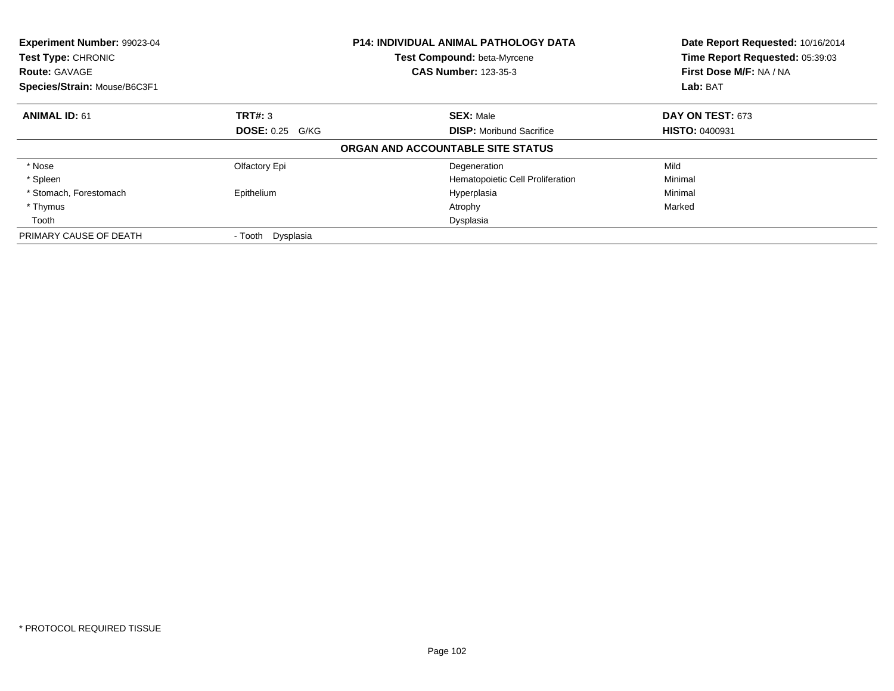| Experiment Number: 99023-04<br>Test Type: CHRONIC<br><b>Route: GAVAGE</b><br>Species/Strain: Mouse/B6C3F1 |                        | <b>P14: INDIVIDUAL ANIMAL PATHOLOGY DATA</b><br><b>Test Compound: beta-Myrcene</b><br><b>CAS Number: 123-35-3</b> | Date Report Requested: 10/16/2014<br>Time Report Requested: 05:39:03<br>First Dose M/F: NA / NA<br>Lab: BAT |
|-----------------------------------------------------------------------------------------------------------|------------------------|-------------------------------------------------------------------------------------------------------------------|-------------------------------------------------------------------------------------------------------------|
| <b>ANIMAL ID: 61</b>                                                                                      | TRT#: 3                | <b>SEX: Male</b>                                                                                                  | DAY ON TEST: 673                                                                                            |
|                                                                                                           | <b>DOSE: 0.25 G/KG</b> | <b>DISP:</b> Moribund Sacrifice                                                                                   | <b>HISTO: 0400931</b>                                                                                       |
|                                                                                                           |                        | ORGAN AND ACCOUNTABLE SITE STATUS                                                                                 |                                                                                                             |
| * Nose                                                                                                    | Olfactory Epi          | Degeneration                                                                                                      | Mild                                                                                                        |
| * Spleen                                                                                                  |                        | Hematopoietic Cell Proliferation                                                                                  | Minimal                                                                                                     |
| * Stomach, Forestomach                                                                                    | Epithelium             | Hyperplasia                                                                                                       | Minimal                                                                                                     |
| * Thymus                                                                                                  |                        | Atrophy                                                                                                           | Marked                                                                                                      |
| Tooth                                                                                                     |                        | Dysplasia                                                                                                         |                                                                                                             |
| PRIMARY CAUSE OF DEATH                                                                                    | - Tooth Dysplasia      |                                                                                                                   |                                                                                                             |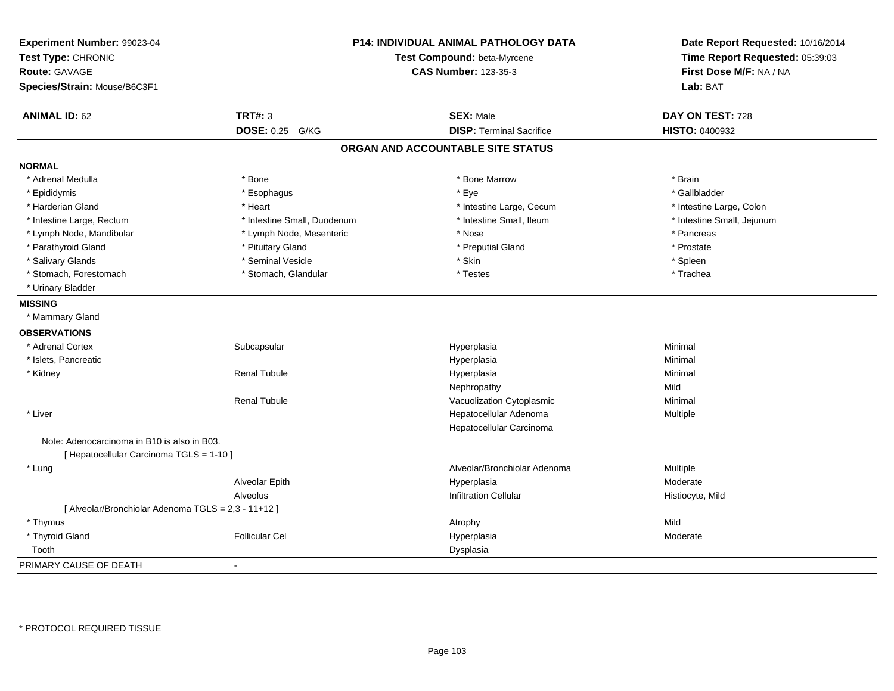| Experiment Number: 99023-04<br>Test Type: CHRONIC<br><b>Route: GAVAGE</b><br>Species/Strain: Mouse/B6C3F1 |                             | <b>P14: INDIVIDUAL ANIMAL PATHOLOGY DATA</b><br>Test Compound: beta-Myrcene<br><b>CAS Number: 123-35-3</b> | Date Report Requested: 10/16/2014<br>Time Report Requested: 05:39:03<br>First Dose M/F: NA / NA<br>Lab: BAT |
|-----------------------------------------------------------------------------------------------------------|-----------------------------|------------------------------------------------------------------------------------------------------------|-------------------------------------------------------------------------------------------------------------|
| <b>ANIMAL ID: 62</b>                                                                                      | <b>TRT#: 3</b>              | <b>SEX: Male</b>                                                                                           | DAY ON TEST: 728                                                                                            |
|                                                                                                           | DOSE: 0.25 G/KG             | <b>DISP: Terminal Sacrifice</b>                                                                            | HISTO: 0400932                                                                                              |
|                                                                                                           |                             | ORGAN AND ACCOUNTABLE SITE STATUS                                                                          |                                                                                                             |
| <b>NORMAL</b>                                                                                             |                             |                                                                                                            |                                                                                                             |
| * Adrenal Medulla                                                                                         | * Bone                      | * Bone Marrow                                                                                              | * Brain                                                                                                     |
| * Epididymis                                                                                              | * Esophagus                 | * Eye                                                                                                      | * Gallbladder                                                                                               |
| * Harderian Gland                                                                                         | * Heart                     | * Intestine Large, Cecum                                                                                   | * Intestine Large, Colon                                                                                    |
| * Intestine Large, Rectum                                                                                 | * Intestine Small, Duodenum | * Intestine Small, Ileum                                                                                   | * Intestine Small, Jejunum                                                                                  |
| * Lymph Node, Mandibular                                                                                  | * Lymph Node, Mesenteric    | * Nose                                                                                                     | * Pancreas                                                                                                  |
| * Parathyroid Gland                                                                                       | * Pituitary Gland           | * Preputial Gland                                                                                          | * Prostate                                                                                                  |
| * Salivary Glands                                                                                         | * Seminal Vesicle           | * Skin                                                                                                     | * Spleen                                                                                                    |
| * Stomach, Forestomach                                                                                    | * Stomach, Glandular        | * Testes                                                                                                   | * Trachea                                                                                                   |
| * Urinary Bladder                                                                                         |                             |                                                                                                            |                                                                                                             |
| <b>MISSING</b>                                                                                            |                             |                                                                                                            |                                                                                                             |
| * Mammary Gland                                                                                           |                             |                                                                                                            |                                                                                                             |
| <b>OBSERVATIONS</b>                                                                                       |                             |                                                                                                            |                                                                                                             |
| * Adrenal Cortex                                                                                          | Subcapsular                 | Hyperplasia                                                                                                | Minimal                                                                                                     |
| * Islets, Pancreatic                                                                                      |                             | Hyperplasia                                                                                                | Minimal                                                                                                     |
| * Kidney                                                                                                  | <b>Renal Tubule</b>         | Hyperplasia                                                                                                | Minimal                                                                                                     |
|                                                                                                           |                             | Nephropathy                                                                                                | Mild                                                                                                        |
|                                                                                                           | <b>Renal Tubule</b>         | Vacuolization Cytoplasmic                                                                                  | Minimal                                                                                                     |
| * Liver                                                                                                   |                             | Hepatocellular Adenoma                                                                                     | Multiple                                                                                                    |
|                                                                                                           |                             | Hepatocellular Carcinoma                                                                                   |                                                                                                             |
| Note: Adenocarcinoma in B10 is also in B03.                                                               |                             |                                                                                                            |                                                                                                             |
| [ Hepatocellular Carcinoma TGLS = 1-10 ]                                                                  |                             |                                                                                                            |                                                                                                             |
| * Lung                                                                                                    |                             | Alveolar/Bronchiolar Adenoma                                                                               | Multiple                                                                                                    |
|                                                                                                           | Alveolar Epith              | Hyperplasia                                                                                                | Moderate                                                                                                    |
|                                                                                                           | Alveolus                    | <b>Infiltration Cellular</b>                                                                               | Histiocyte, Mild                                                                                            |
| [ Alveolar/Bronchiolar Adenoma TGLS = 2,3 - 11+12 ]                                                       |                             |                                                                                                            |                                                                                                             |
| * Thymus                                                                                                  |                             | Atrophy                                                                                                    | Mild                                                                                                        |
| * Thyroid Gland                                                                                           | <b>Follicular Cel</b>       | Hyperplasia                                                                                                | Moderate                                                                                                    |
| Tooth                                                                                                     |                             | Dysplasia                                                                                                  |                                                                                                             |
| PRIMARY CAUSE OF DEATH                                                                                    |                             |                                                                                                            |                                                                                                             |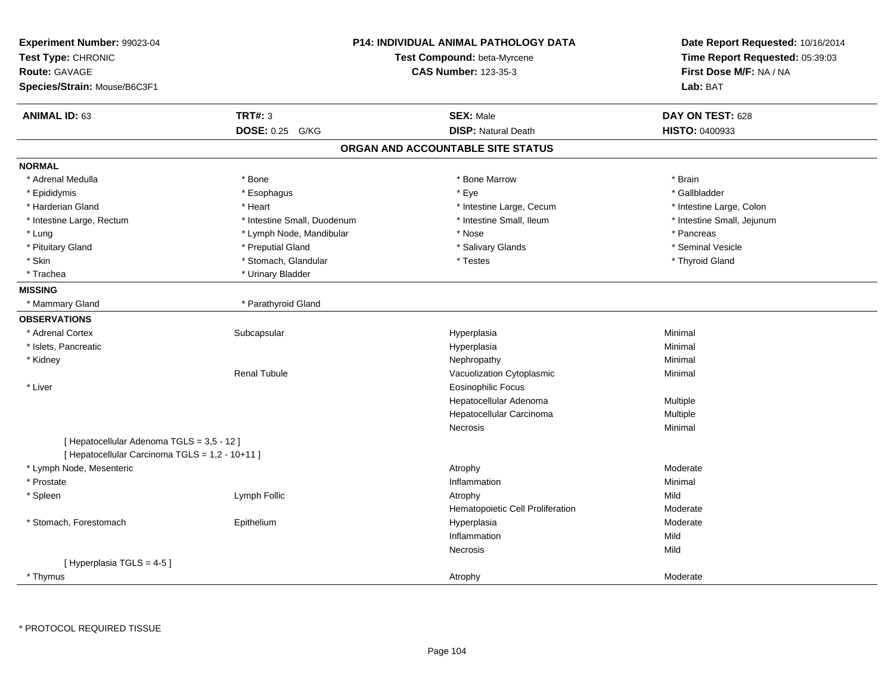| Experiment Number: 99023-04<br>Test Type: CHRONIC<br>Route: GAVAGE<br>Species/Strain: Mouse/B6C3F1 | P14: INDIVIDUAL ANIMAL PATHOLOGY DATA<br>Test Compound: beta-Myrcene<br><b>CAS Number: 123-35-3</b> | Date Report Requested: 10/16/2014<br>Time Report Requested: 05:39:03<br>First Dose M/F: NA / NA<br>Lab: BAT |
|----------------------------------------------------------------------------------------------------|-----------------------------------------------------------------------------------------------------|-------------------------------------------------------------------------------------------------------------|
| <b>TRT#: 3</b><br><b>ANIMAL ID: 63</b>                                                             | <b>SEX: Male</b>                                                                                    | DAY ON TEST: 628                                                                                            |
| DOSE: 0.25 G/KG                                                                                    | <b>DISP: Natural Death</b>                                                                          | HISTO: 0400933                                                                                              |
|                                                                                                    | ORGAN AND ACCOUNTABLE SITE STATUS                                                                   |                                                                                                             |
| <b>NORMAL</b>                                                                                      |                                                                                                     |                                                                                                             |
| * Adrenal Medulla<br>* Bone                                                                        | * Bone Marrow                                                                                       | * Brain                                                                                                     |
| * Esophagus<br>* Epididymis                                                                        | * Eye                                                                                               | * Gallbladder                                                                                               |
| * Harderian Gland<br>* Heart                                                                       | * Intestine Large, Cecum                                                                            | * Intestine Large, Colon                                                                                    |
| * Intestine Small, Duodenum<br>* Intestine Large, Rectum                                           | * Intestine Small, Ileum                                                                            | * Intestine Small, Jejunum                                                                                  |
| * Lymph Node, Mandibular<br>* Lung                                                                 | * Nose                                                                                              | * Pancreas                                                                                                  |
| * Pituitary Gland<br>* Preputial Gland                                                             | * Salivary Glands                                                                                   | * Seminal Vesicle                                                                                           |
| * Skin<br>* Stomach, Glandular                                                                     | * Testes                                                                                            | * Thyroid Gland                                                                                             |
| * Urinary Bladder<br>* Trachea                                                                     |                                                                                                     |                                                                                                             |
| <b>MISSING</b>                                                                                     |                                                                                                     |                                                                                                             |
| * Parathyroid Gland<br>* Mammary Gland                                                             |                                                                                                     |                                                                                                             |
| <b>OBSERVATIONS</b>                                                                                |                                                                                                     |                                                                                                             |
| * Adrenal Cortex<br>Subcapsular                                                                    | Hyperplasia                                                                                         | Minimal                                                                                                     |
| * Islets, Pancreatic                                                                               | Hyperplasia                                                                                         | Minimal                                                                                                     |
| * Kidney                                                                                           | Nephropathy                                                                                         | Minimal                                                                                                     |
| <b>Renal Tubule</b>                                                                                | Vacuolization Cytoplasmic                                                                           | Minimal                                                                                                     |
| * Liver                                                                                            | <b>Eosinophilic Focus</b>                                                                           |                                                                                                             |
|                                                                                                    | Hepatocellular Adenoma                                                                              | Multiple                                                                                                    |
|                                                                                                    | Hepatocellular Carcinoma                                                                            | Multiple                                                                                                    |
|                                                                                                    | <b>Necrosis</b>                                                                                     | Minimal                                                                                                     |
| [Hepatocellular Adenoma TGLS = 3,5 - 12]<br>[ Hepatocellular Carcinoma TGLS = 1,2 - 10+11 ]        |                                                                                                     |                                                                                                             |
| * Lymph Node, Mesenteric                                                                           | Atrophy                                                                                             | Moderate                                                                                                    |
| * Prostate                                                                                         | Inflammation                                                                                        | Minimal                                                                                                     |
| * Spleen<br>Lymph Follic                                                                           | Atrophy                                                                                             | Mild                                                                                                        |
|                                                                                                    | Hematopoietic Cell Proliferation                                                                    | Moderate                                                                                                    |
| * Stomach, Forestomach<br>Epithelium                                                               | Hyperplasia                                                                                         | Moderate                                                                                                    |
|                                                                                                    | Inflammation                                                                                        | Mild                                                                                                        |
|                                                                                                    | Necrosis                                                                                            | Mild                                                                                                        |
| [Hyperplasia TGLS = 4-5]                                                                           |                                                                                                     |                                                                                                             |
| * Thymus                                                                                           | Atrophy                                                                                             | Moderate                                                                                                    |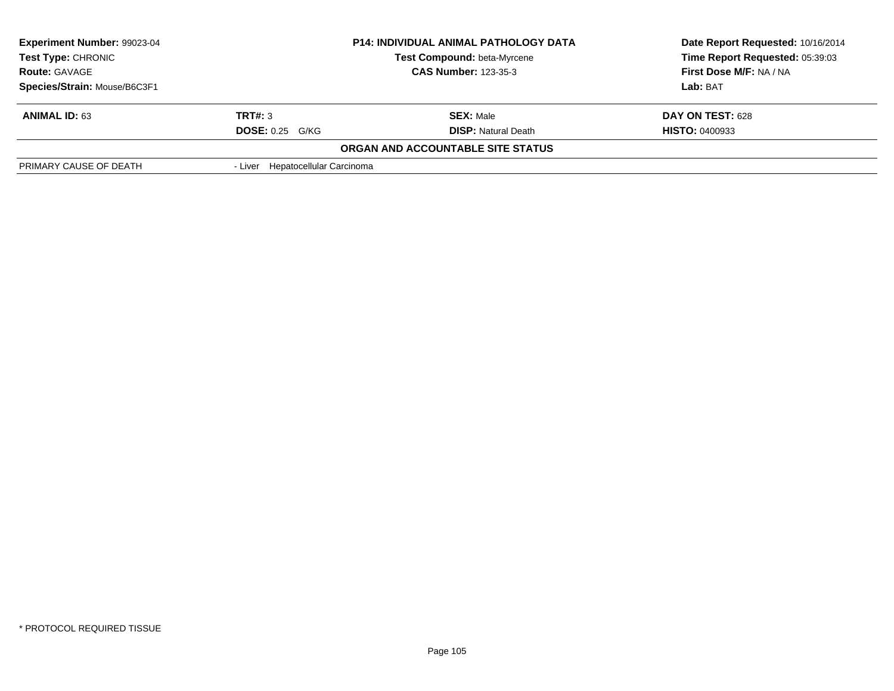| <b>Experiment Number: 99023-04</b><br><b>P14: INDIVIDUAL ANIMAL PATHOLOGY DATA</b><br><b>Test Type: CHRONIC</b><br>Test Compound: beta-Myrcene<br><b>CAS Number: 123-35-3</b><br><b>Route: GAVAGE</b> |                                  | Date Report Requested: 10/16/2014<br>Time Report Requested: 05:39:03 |                       |
|-------------------------------------------------------------------------------------------------------------------------------------------------------------------------------------------------------|----------------------------------|----------------------------------------------------------------------|-----------------------|
|                                                                                                                                                                                                       |                                  | First Dose M/F: NA / NA                                              |                       |
| Species/Strain: Mouse/B6C3F1                                                                                                                                                                          |                                  |                                                                      | Lab: BAT              |
| <b>ANIMAL ID: 63</b>                                                                                                                                                                                  | TRT#: 3                          | <b>SEX: Male</b>                                                     | DAY ON TEST: 628      |
|                                                                                                                                                                                                       | $DOSE: 0.25$ G/KG                | <b>DISP:</b> Natural Death                                           | <b>HISTO: 0400933</b> |
|                                                                                                                                                                                                       |                                  | <b>ORGAN AND ACCOUNTABLE SITE STATUS</b>                             |                       |
| PRIMARY CAUSE OF DEATH                                                                                                                                                                                | - Liver Hepatocellular Carcinoma |                                                                      |                       |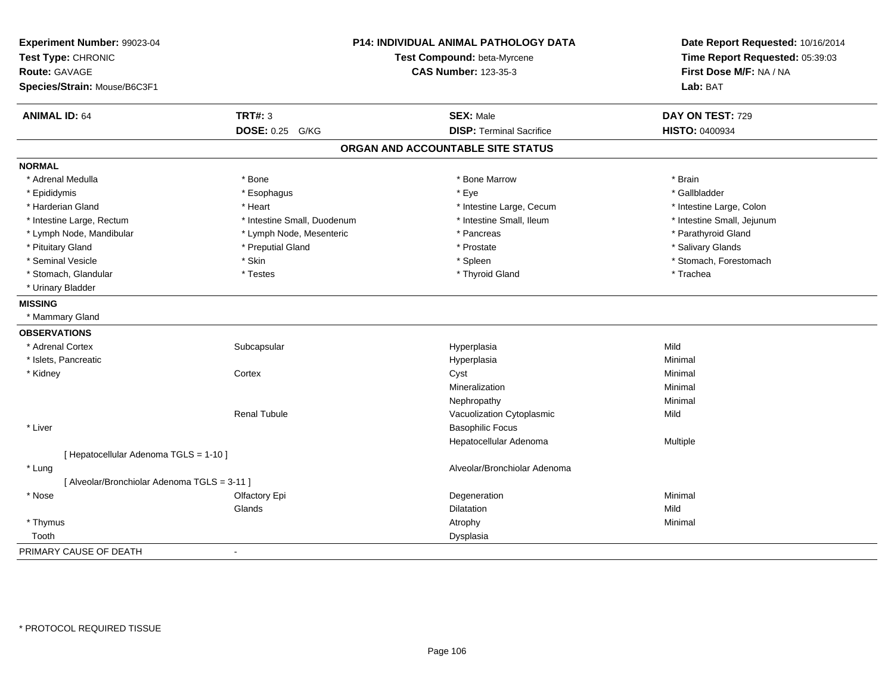| Experiment Number: 99023-04<br>Test Type: CHRONIC<br><b>Route: GAVAGE</b><br>Species/Strain: Mouse/B6C3F1 |                             | P14: INDIVIDUAL ANIMAL PATHOLOGY DATA<br>Test Compound: beta-Myrcene<br><b>CAS Number: 123-35-3</b> |                            |
|-----------------------------------------------------------------------------------------------------------|-----------------------------|-----------------------------------------------------------------------------------------------------|----------------------------|
| <b>ANIMAL ID: 64</b>                                                                                      | <b>TRT#: 3</b>              | <b>SEX: Male</b>                                                                                    | DAY ON TEST: 729           |
|                                                                                                           | DOSE: 0.25 G/KG             | <b>DISP: Terminal Sacrifice</b>                                                                     | HISTO: 0400934             |
|                                                                                                           |                             | ORGAN AND ACCOUNTABLE SITE STATUS                                                                   |                            |
| <b>NORMAL</b>                                                                                             |                             |                                                                                                     |                            |
| * Adrenal Medulla                                                                                         | * Bone                      | * Bone Marrow                                                                                       | * Brain                    |
| * Epididymis                                                                                              | * Esophagus                 | * Eye                                                                                               | * Gallbladder              |
| * Harderian Gland                                                                                         | * Heart                     | * Intestine Large, Cecum                                                                            | * Intestine Large, Colon   |
| * Intestine Large, Rectum                                                                                 | * Intestine Small, Duodenum | * Intestine Small, Ileum                                                                            | * Intestine Small, Jejunum |
| * Lymph Node, Mandibular                                                                                  | * Lymph Node, Mesenteric    | * Pancreas                                                                                          | * Parathyroid Gland        |
| * Pituitary Gland                                                                                         | * Preputial Gland           | * Prostate                                                                                          | * Salivary Glands          |
| * Seminal Vesicle                                                                                         | * Skin                      | * Spleen                                                                                            | * Stomach, Forestomach     |
| * Stomach, Glandular                                                                                      | * Testes                    | * Thyroid Gland                                                                                     | * Trachea                  |
| * Urinary Bladder                                                                                         |                             |                                                                                                     |                            |
| <b>MISSING</b>                                                                                            |                             |                                                                                                     |                            |
| * Mammary Gland                                                                                           |                             |                                                                                                     |                            |
| <b>OBSERVATIONS</b>                                                                                       |                             |                                                                                                     |                            |
| * Adrenal Cortex                                                                                          | Subcapsular                 | Hyperplasia                                                                                         | Mild                       |
| * Islets, Pancreatic                                                                                      |                             | Hyperplasia                                                                                         | Minimal                    |
| * Kidney                                                                                                  | Cortex                      | Cyst                                                                                                | Minimal                    |
|                                                                                                           |                             | Mineralization                                                                                      | Minimal                    |
|                                                                                                           |                             | Nephropathy                                                                                         | Minimal                    |
|                                                                                                           | <b>Renal Tubule</b>         | Vacuolization Cytoplasmic                                                                           | Mild                       |
| * Liver                                                                                                   |                             | <b>Basophilic Focus</b>                                                                             |                            |
|                                                                                                           |                             | Hepatocellular Adenoma                                                                              | Multiple                   |
| [ Hepatocellular Adenoma TGLS = 1-10 ]                                                                    |                             |                                                                                                     |                            |
| * Lung                                                                                                    |                             | Alveolar/Bronchiolar Adenoma                                                                        |                            |
| [ Alveolar/Bronchiolar Adenoma TGLS = 3-11 ]                                                              |                             |                                                                                                     |                            |
| * Nose                                                                                                    | Olfactory Epi               | Degeneration                                                                                        | Minimal                    |
|                                                                                                           | Glands                      | Dilatation                                                                                          | Mild                       |
| * Thymus                                                                                                  |                             | Atrophy                                                                                             | Minimal                    |
| Tooth                                                                                                     |                             | Dysplasia                                                                                           |                            |
| PRIMARY CAUSE OF DEATH                                                                                    | $\sim$                      |                                                                                                     |                            |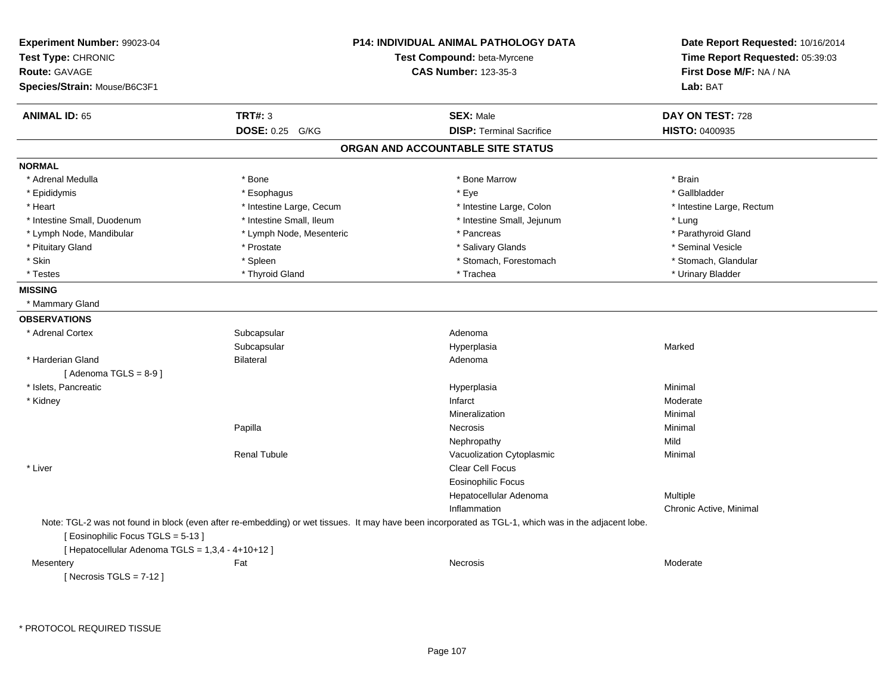| Experiment Number: 99023-04<br>Test Type: CHRONIC<br><b>Route: GAVAGE</b><br>Species/Strain: Mouse/B6C3F1 |                          | P14: INDIVIDUAL ANIMAL PATHOLOGY DATA<br>Test Compound: beta-Myrcene<br><b>CAS Number: 123-35-3</b>                                                  | Date Report Requested: 10/16/2014<br>Time Report Requested: 05:39:03<br>First Dose M/F: NA / NA<br>Lab: BAT |
|-----------------------------------------------------------------------------------------------------------|--------------------------|------------------------------------------------------------------------------------------------------------------------------------------------------|-------------------------------------------------------------------------------------------------------------|
| <b>ANIMAL ID: 65</b>                                                                                      | <b>TRT#: 3</b>           | <b>SEX: Male</b>                                                                                                                                     | <b>DAY ON TEST: 728</b>                                                                                     |
|                                                                                                           | DOSE: 0.25 G/KG          | <b>DISP: Terminal Sacrifice</b>                                                                                                                      | <b>HISTO: 0400935</b>                                                                                       |
|                                                                                                           |                          | ORGAN AND ACCOUNTABLE SITE STATUS                                                                                                                    |                                                                                                             |
| <b>NORMAL</b>                                                                                             |                          |                                                                                                                                                      |                                                                                                             |
| * Adrenal Medulla                                                                                         | * Bone                   | * Bone Marrow                                                                                                                                        | * Brain                                                                                                     |
| * Epididymis                                                                                              | * Esophagus              | * Eye                                                                                                                                                | * Gallbladder                                                                                               |
| * Heart                                                                                                   | * Intestine Large, Cecum | * Intestine Large, Colon                                                                                                                             | * Intestine Large, Rectum                                                                                   |
| * Intestine Small, Duodenum                                                                               | * Intestine Small, Ileum | * Intestine Small, Jejunum                                                                                                                           | * Lung                                                                                                      |
| * Lymph Node, Mandibular                                                                                  | * Lymph Node, Mesenteric | * Pancreas                                                                                                                                           | * Parathyroid Gland                                                                                         |
| * Pituitary Gland                                                                                         | * Prostate               | * Salivary Glands                                                                                                                                    | * Seminal Vesicle                                                                                           |
| * Skin                                                                                                    | * Spleen                 | * Stomach, Forestomach                                                                                                                               | * Stomach, Glandular                                                                                        |
| * Testes                                                                                                  | * Thyroid Gland          | * Trachea                                                                                                                                            | * Urinary Bladder                                                                                           |
| <b>MISSING</b>                                                                                            |                          |                                                                                                                                                      |                                                                                                             |
| * Mammary Gland                                                                                           |                          |                                                                                                                                                      |                                                                                                             |
| <b>OBSERVATIONS</b>                                                                                       |                          |                                                                                                                                                      |                                                                                                             |
| * Adrenal Cortex                                                                                          | Subcapsular              | Adenoma                                                                                                                                              |                                                                                                             |
|                                                                                                           | Subcapsular              | Hyperplasia                                                                                                                                          | Marked                                                                                                      |
| * Harderian Gland                                                                                         | <b>Bilateral</b>         | Adenoma                                                                                                                                              |                                                                                                             |
| [Adenoma TGLS = $8-9$ ]                                                                                   |                          |                                                                                                                                                      |                                                                                                             |
| * Islets. Pancreatic                                                                                      |                          | Hyperplasia                                                                                                                                          | Minimal                                                                                                     |
| * Kidney                                                                                                  |                          | Infarct                                                                                                                                              | Moderate                                                                                                    |
|                                                                                                           |                          | Mineralization                                                                                                                                       | Minimal                                                                                                     |
|                                                                                                           | Papilla                  | Necrosis                                                                                                                                             | Minimal                                                                                                     |
|                                                                                                           |                          | Nephropathy                                                                                                                                          | Mild                                                                                                        |
|                                                                                                           | <b>Renal Tubule</b>      | Vacuolization Cytoplasmic                                                                                                                            | Minimal                                                                                                     |
| * Liver                                                                                                   |                          | Clear Cell Focus                                                                                                                                     |                                                                                                             |
|                                                                                                           |                          | <b>Eosinophilic Focus</b>                                                                                                                            |                                                                                                             |
|                                                                                                           |                          | Hepatocellular Adenoma                                                                                                                               | Multiple                                                                                                    |
|                                                                                                           |                          | Inflammation                                                                                                                                         | Chronic Active, Minimal                                                                                     |
| [Eosinophilic Focus TGLS = 5-13]<br>[ Hepatocellular Adenoma TGLS = 1,3,4 - 4+10+12 ]                     |                          | Note: TGL-2 was not found in block (even after re-embedding) or wet tissues. It may have been incorporated as TGL-1, which was in the adjacent lobe. |                                                                                                             |
| Mesentery                                                                                                 | Fat                      | Necrosis                                                                                                                                             | Moderate                                                                                                    |
| [ Necrosis TGLS = $7-12$ ]                                                                                |                          |                                                                                                                                                      |                                                                                                             |

\* PROTOCOL REQUIRED TISSUE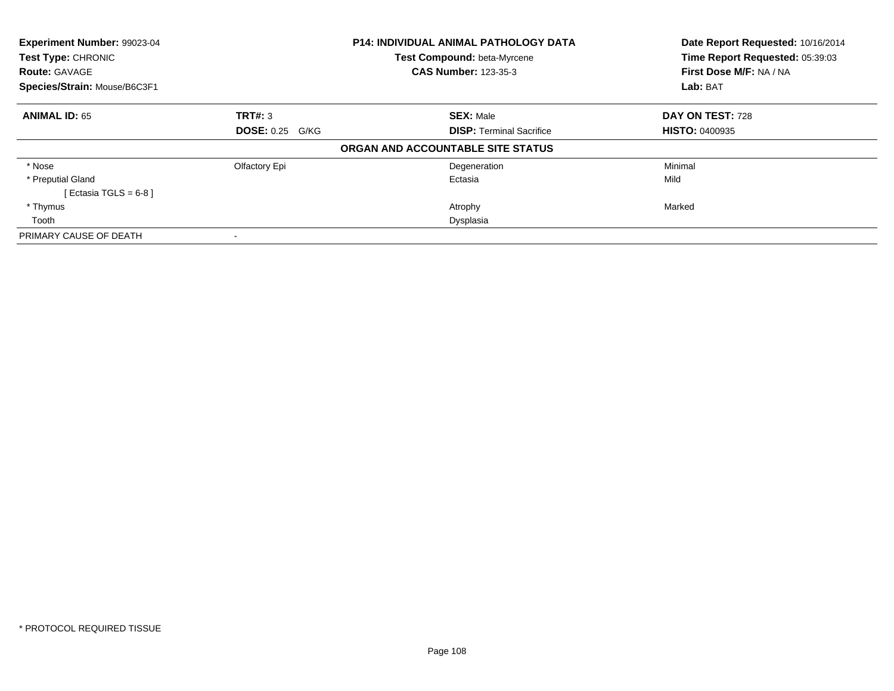| Experiment Number: 99023-04<br>Test Type: CHRONIC<br><b>Route: GAVAGE</b> |                        | <b>P14: INDIVIDUAL ANIMAL PATHOLOGY DATA</b><br>Test Compound: beta-Myrcene<br><b>CAS Number: 123-35-3</b> | Date Report Requested: 10/16/2014<br>Time Report Requested: 05:39:03<br>First Dose M/F: NA / NA |
|---------------------------------------------------------------------------|------------------------|------------------------------------------------------------------------------------------------------------|-------------------------------------------------------------------------------------------------|
| Species/Strain: Mouse/B6C3F1                                              |                        |                                                                                                            | Lab: BAT                                                                                        |
| <b>ANIMAL ID: 65</b>                                                      | TRT#: 3                | <b>SEX: Male</b>                                                                                           | DAY ON TEST: 728                                                                                |
|                                                                           | <b>DOSE: 0.25 G/KG</b> | <b>DISP:</b> Terminal Sacrifice                                                                            | <b>HISTO: 0400935</b>                                                                           |
|                                                                           |                        | ORGAN AND ACCOUNTABLE SITE STATUS                                                                          |                                                                                                 |
| * Nose                                                                    | Olfactory Epi          | Degeneration                                                                                               | Minimal                                                                                         |
| * Preputial Gland                                                         |                        | Ectasia                                                                                                    | Mild                                                                                            |
| [Ectasia TGLS = 6-8 ]                                                     |                        |                                                                                                            |                                                                                                 |
| * Thymus                                                                  |                        | Atrophy                                                                                                    | Marked                                                                                          |
| Tooth                                                                     |                        | Dysplasia                                                                                                  |                                                                                                 |
| PRIMARY CAUSE OF DEATH                                                    |                        |                                                                                                            |                                                                                                 |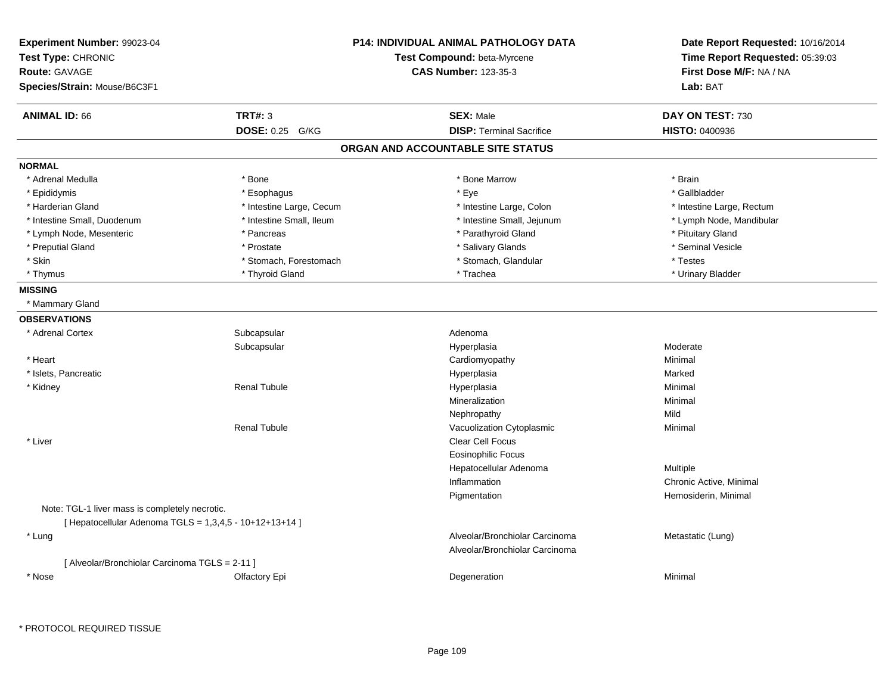| Experiment Number: 99023-04<br>Test Type: CHRONIC<br><b>Route: GAVAGE</b><br>Species/Strain: Mouse/B6C3F1 |                          | P14: INDIVIDUAL ANIMAL PATHOLOGY DATA<br>Test Compound: beta-Myrcene<br><b>CAS Number: 123-35-3</b> | Date Report Requested: 10/16/2014<br>Time Report Requested: 05:39:03<br>First Dose M/F: NA / NA<br>Lab: BAT |
|-----------------------------------------------------------------------------------------------------------|--------------------------|-----------------------------------------------------------------------------------------------------|-------------------------------------------------------------------------------------------------------------|
| <b>ANIMAL ID: 66</b>                                                                                      | <b>TRT#: 3</b>           | <b>SEX: Male</b>                                                                                    | DAY ON TEST: 730                                                                                            |
|                                                                                                           | DOSE: 0.25 G/KG          | <b>DISP: Terminal Sacrifice</b>                                                                     | <b>HISTO: 0400936</b>                                                                                       |
|                                                                                                           |                          | ORGAN AND ACCOUNTABLE SITE STATUS                                                                   |                                                                                                             |
| <b>NORMAL</b>                                                                                             |                          |                                                                                                     |                                                                                                             |
| * Adrenal Medulla                                                                                         | * Bone                   | * Bone Marrow                                                                                       | * Brain                                                                                                     |
| * Epididymis                                                                                              | * Esophagus              | * Eye                                                                                               | * Gallbladder                                                                                               |
| * Harderian Gland                                                                                         | * Intestine Large, Cecum | * Intestine Large, Colon                                                                            | * Intestine Large, Rectum                                                                                   |
| * Intestine Small, Duodenum                                                                               | * Intestine Small, Ileum | * Intestine Small, Jejunum                                                                          | * Lymph Node, Mandibular                                                                                    |
| * Lymph Node, Mesenteric                                                                                  | * Pancreas               | * Parathyroid Gland                                                                                 | * Pituitary Gland                                                                                           |
| * Preputial Gland                                                                                         | * Prostate               | * Salivary Glands                                                                                   | * Seminal Vesicle                                                                                           |
| * Skin                                                                                                    | * Stomach, Forestomach   | * Stomach, Glandular                                                                                | * Testes                                                                                                    |
| * Thymus                                                                                                  | * Thyroid Gland          | * Trachea                                                                                           | * Urinary Bladder                                                                                           |
| <b>MISSING</b>                                                                                            |                          |                                                                                                     |                                                                                                             |
| * Mammary Gland                                                                                           |                          |                                                                                                     |                                                                                                             |
| <b>OBSERVATIONS</b>                                                                                       |                          |                                                                                                     |                                                                                                             |
| * Adrenal Cortex                                                                                          | Subcapsular              | Adenoma                                                                                             |                                                                                                             |
|                                                                                                           | Subcapsular              | Hyperplasia                                                                                         | Moderate                                                                                                    |
| * Heart                                                                                                   |                          | Cardiomyopathy                                                                                      | Minimal                                                                                                     |
| * Islets, Pancreatic                                                                                      |                          | Hyperplasia                                                                                         | Marked                                                                                                      |
| * Kidney                                                                                                  | <b>Renal Tubule</b>      | Hyperplasia                                                                                         | Minimal                                                                                                     |
|                                                                                                           |                          | Mineralization                                                                                      | Minimal                                                                                                     |
|                                                                                                           |                          | Nephropathy                                                                                         | Mild                                                                                                        |
|                                                                                                           | <b>Renal Tubule</b>      | Vacuolization Cytoplasmic                                                                           | Minimal                                                                                                     |
| * Liver                                                                                                   |                          | Clear Cell Focus                                                                                    |                                                                                                             |
|                                                                                                           |                          | <b>Eosinophilic Focus</b>                                                                           |                                                                                                             |
|                                                                                                           |                          | Hepatocellular Adenoma                                                                              | Multiple                                                                                                    |
|                                                                                                           |                          | Inflammation                                                                                        | Chronic Active, Minimal                                                                                     |
|                                                                                                           |                          | Pigmentation                                                                                        | Hemosiderin, Minimal                                                                                        |
| Note: TGL-1 liver mass is completely necrotic.                                                            |                          |                                                                                                     |                                                                                                             |
| [ Hepatocellular Adenoma TGLS = 1,3,4,5 - 10+12+13+14 ]                                                   |                          |                                                                                                     |                                                                                                             |
| * Lung                                                                                                    |                          | Alveolar/Bronchiolar Carcinoma                                                                      | Metastatic (Lung)                                                                                           |
|                                                                                                           |                          | Alveolar/Bronchiolar Carcinoma                                                                      |                                                                                                             |
| [ Alveolar/Bronchiolar Carcinoma TGLS = 2-11 ]                                                            |                          |                                                                                                     |                                                                                                             |
| * Nose                                                                                                    | Olfactory Epi            | Degeneration                                                                                        | Minimal                                                                                                     |
|                                                                                                           |                          |                                                                                                     |                                                                                                             |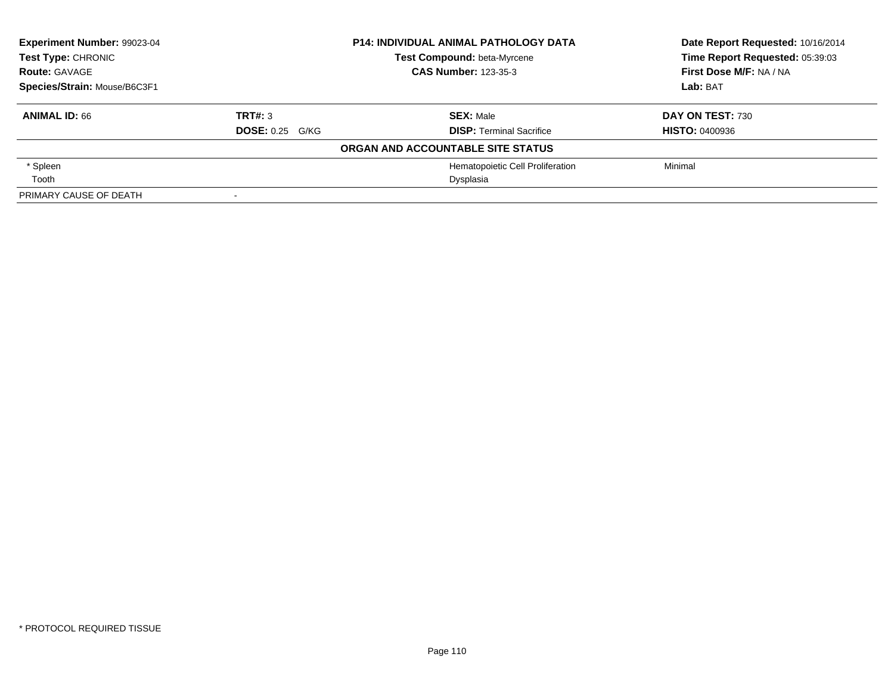| Experiment Number: 99023-04  | <b>P14: INDIVIDUAL ANIMAL PATHOLOGY DATA</b> |                                   | Date Report Requested: 10/16/2014 |
|------------------------------|----------------------------------------------|-----------------------------------|-----------------------------------|
| Test Type: CHRONIC           |                                              | Test Compound: beta-Myrcene       | Time Report Requested: 05:39:03   |
| <b>Route: GAVAGE</b>         |                                              | <b>CAS Number: 123-35-3</b>       | First Dose M/F: NA / NA           |
| Species/Strain: Mouse/B6C3F1 |                                              |                                   | Lab: BAT                          |
| <b>ANIMAL ID: 66</b>         | TRT#: 3                                      | <b>SEX: Male</b>                  | <b>DAY ON TEST: 730</b>           |
|                              | <b>DOSE: 0.25 G/KG</b>                       | <b>DISP: Terminal Sacrifice</b>   | <b>HISTO: 0400936</b>             |
|                              |                                              | ORGAN AND ACCOUNTABLE SITE STATUS |                                   |
| * Spleen                     |                                              | Hematopoietic Cell Proliferation  | Minimal                           |
| Tooth                        |                                              | Dysplasia                         |                                   |
| PRIMARY CAUSE OF DEATH       |                                              |                                   |                                   |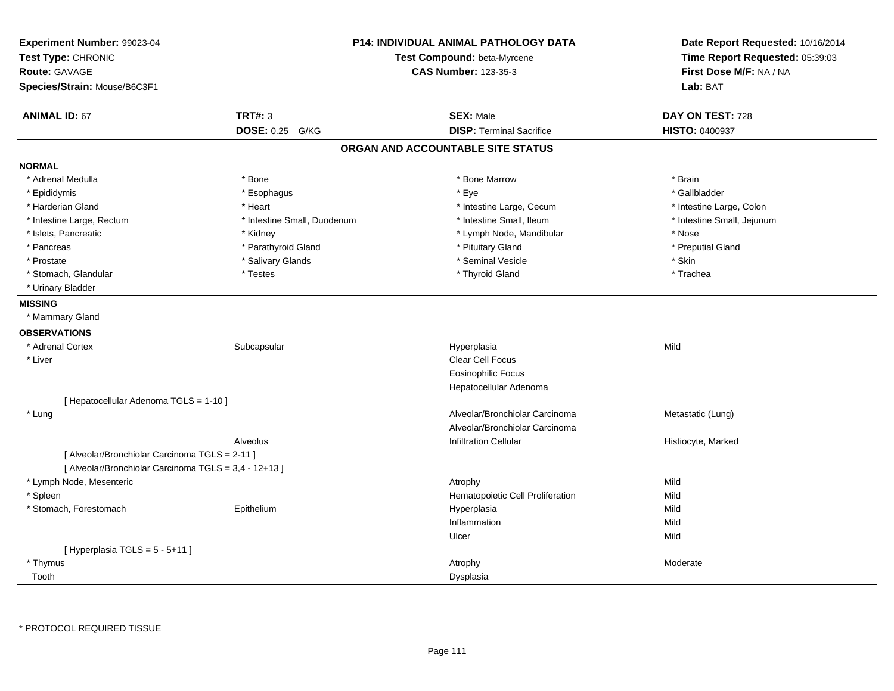| Experiment Number: 99023-04<br>Test Type: CHRONIC<br><b>Route: GAVAGE</b> |                             | <b>P14: INDIVIDUAL ANIMAL PATHOLOGY DATA</b><br>Test Compound: beta-Myrcene<br><b>CAS Number: 123-35-3</b> | Date Report Requested: 10/16/2014<br>Time Report Requested: 05:39:03<br>First Dose M/F: NA / NA |
|---------------------------------------------------------------------------|-----------------------------|------------------------------------------------------------------------------------------------------------|-------------------------------------------------------------------------------------------------|
| Species/Strain: Mouse/B6C3F1                                              |                             |                                                                                                            | Lab: BAT                                                                                        |
| <b>ANIMAL ID: 67</b>                                                      | <b>TRT#: 3</b>              | <b>SEX: Male</b>                                                                                           | DAY ON TEST: 728                                                                                |
|                                                                           | <b>DOSE: 0.25</b><br>G/KG   | <b>DISP: Terminal Sacrifice</b>                                                                            | <b>HISTO: 0400937</b>                                                                           |
|                                                                           |                             | ORGAN AND ACCOUNTABLE SITE STATUS                                                                          |                                                                                                 |
| <b>NORMAL</b>                                                             |                             |                                                                                                            |                                                                                                 |
| * Adrenal Medulla                                                         | * Bone                      | * Bone Marrow                                                                                              | * Brain                                                                                         |
| * Epididymis                                                              | * Esophagus                 | * Eye                                                                                                      | * Gallbladder                                                                                   |
| * Harderian Gland                                                         | * Heart                     | * Intestine Large, Cecum                                                                                   | * Intestine Large, Colon                                                                        |
| * Intestine Large, Rectum                                                 | * Intestine Small, Duodenum | * Intestine Small, Ileum                                                                                   | * Intestine Small, Jejunum                                                                      |
| * Islets, Pancreatic                                                      | * Kidney                    | * Lymph Node, Mandibular                                                                                   | * Nose                                                                                          |
| * Pancreas                                                                | * Parathyroid Gland         | * Pituitary Gland                                                                                          | * Preputial Gland                                                                               |
| * Prostate                                                                | * Salivary Glands           | * Seminal Vesicle                                                                                          | * Skin                                                                                          |
| * Stomach, Glandular                                                      | * Testes                    | * Thyroid Gland                                                                                            | * Trachea                                                                                       |
| * Urinary Bladder                                                         |                             |                                                                                                            |                                                                                                 |
| <b>MISSING</b>                                                            |                             |                                                                                                            |                                                                                                 |
| * Mammary Gland                                                           |                             |                                                                                                            |                                                                                                 |
| <b>OBSERVATIONS</b>                                                       |                             |                                                                                                            |                                                                                                 |
| * Adrenal Cortex                                                          | Subcapsular                 | Hyperplasia                                                                                                | Mild                                                                                            |
| * Liver                                                                   |                             | Clear Cell Focus                                                                                           |                                                                                                 |
|                                                                           |                             | <b>Eosinophilic Focus</b>                                                                                  |                                                                                                 |
|                                                                           |                             | Hepatocellular Adenoma                                                                                     |                                                                                                 |
| [ Hepatocellular Adenoma TGLS = 1-10 ]                                    |                             |                                                                                                            |                                                                                                 |
| * Lung                                                                    |                             | Alveolar/Bronchiolar Carcinoma                                                                             | Metastatic (Lung)                                                                               |
|                                                                           |                             | Alveolar/Bronchiolar Carcinoma                                                                             |                                                                                                 |
|                                                                           | Alveolus                    | <b>Infiltration Cellular</b>                                                                               | Histiocyte, Marked                                                                              |
| [ Alveolar/Bronchiolar Carcinoma TGLS = 2-11 ]                            |                             |                                                                                                            |                                                                                                 |
| [ Alveolar/Bronchiolar Carcinoma TGLS = 3,4 - 12+13 ]                     |                             |                                                                                                            |                                                                                                 |
| * Lymph Node, Mesenteric                                                  |                             | Atrophy                                                                                                    | Mild                                                                                            |
| * Spleen                                                                  |                             | Hematopoietic Cell Proliferation                                                                           | Mild                                                                                            |
| * Stomach, Forestomach                                                    | Epithelium                  | Hyperplasia                                                                                                | Mild                                                                                            |
|                                                                           |                             | Inflammation                                                                                               | Mild                                                                                            |
|                                                                           |                             | Ulcer                                                                                                      | Mild                                                                                            |
| [Hyperplasia TGLS = $5 - 5 + 11$ ]                                        |                             |                                                                                                            |                                                                                                 |
| * Thymus                                                                  |                             | Atrophy                                                                                                    | Moderate                                                                                        |
| Tooth                                                                     |                             | Dysplasia                                                                                                  |                                                                                                 |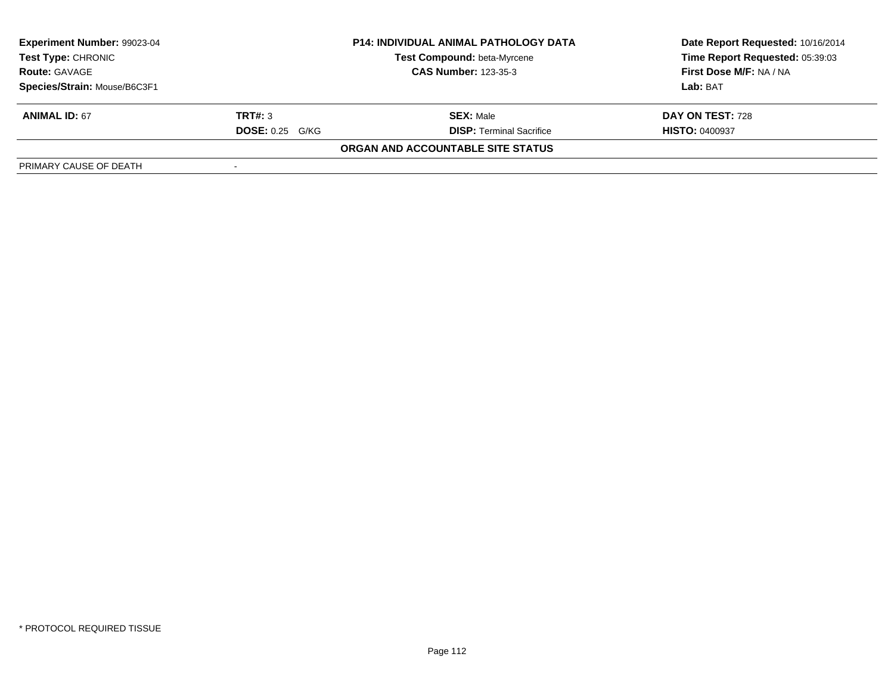| Experiment Number: 99023-04  | <b>P14: INDIVIDUAL ANIMAL PATHOLOGY DATA</b> |                                    | Date Report Requested: 10/16/2014 |  |
|------------------------------|----------------------------------------------|------------------------------------|-----------------------------------|--|
| <b>Test Type: CHRONIC</b>    |                                              | <b>Test Compound: beta-Myrcene</b> | Time Report Requested: 05:39:03   |  |
| <b>Route: GAVAGE</b>         |                                              | <b>CAS Number: 123-35-3</b>        | First Dose M/F: NA / NA           |  |
| Species/Strain: Mouse/B6C3F1 |                                              |                                    | Lab: BAT                          |  |
| <b>ANIMAL ID: 67</b>         | TRT#: 3                                      | <b>SEX: Male</b>                   | DAY ON TEST: 728                  |  |
|                              | <b>DOSE: 0.25 G/KG</b>                       | <b>DISP: Terminal Sacrifice</b>    | <b>HISTO: 0400937</b>             |  |
|                              |                                              | ORGAN AND ACCOUNTABLE SITE STATUS  |                                   |  |
| PRIMARY CAUSE OF DEATH       |                                              |                                    |                                   |  |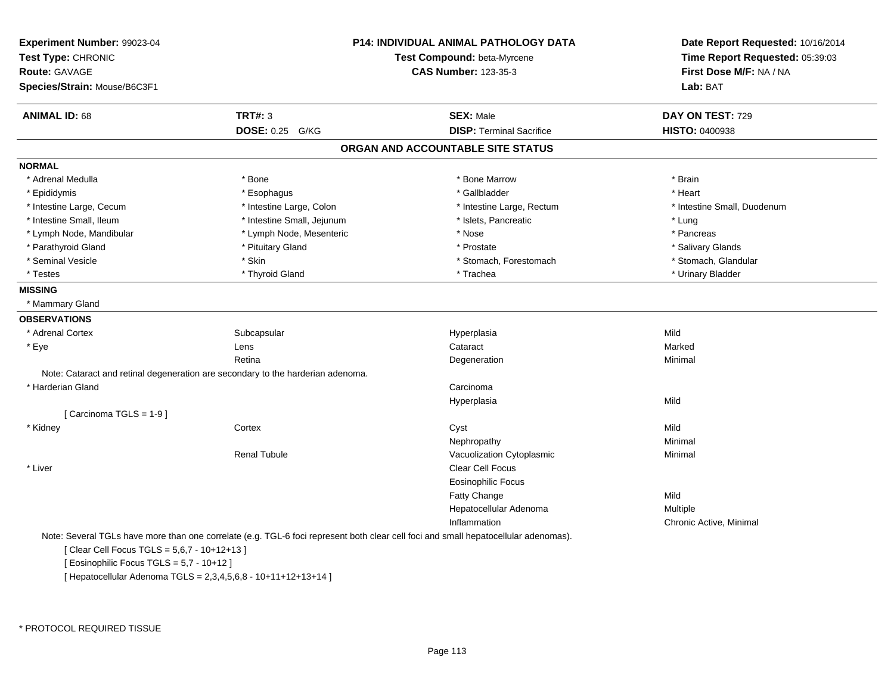| Experiment Number: 99023-04<br>Test Type: CHRONIC<br>Route: GAVAGE<br>Species/Strain: Mouse/B6C3F1 |                                                                                 | P14: INDIVIDUAL ANIMAL PATHOLOGY DATA<br>Test Compound: beta-Myrcene<br><b>CAS Number: 123-35-3</b>                                 | Date Report Requested: 10/16/2014<br>Time Report Requested: 05:39:03<br>First Dose M/F: NA / NA<br>Lab: BAT |
|----------------------------------------------------------------------------------------------------|---------------------------------------------------------------------------------|-------------------------------------------------------------------------------------------------------------------------------------|-------------------------------------------------------------------------------------------------------------|
| <b>ANIMAL ID: 68</b>                                                                               | <b>TRT#: 3</b>                                                                  | <b>SEX: Male</b>                                                                                                                    | DAY ON TEST: 729                                                                                            |
|                                                                                                    | DOSE: 0.25 G/KG                                                                 | <b>DISP: Terminal Sacrifice</b>                                                                                                     | <b>HISTO: 0400938</b>                                                                                       |
|                                                                                                    |                                                                                 | ORGAN AND ACCOUNTABLE SITE STATUS                                                                                                   |                                                                                                             |
| <b>NORMAL</b>                                                                                      |                                                                                 |                                                                                                                                     |                                                                                                             |
| * Adrenal Medulla                                                                                  | * Bone                                                                          | * Bone Marrow                                                                                                                       | * Brain                                                                                                     |
| * Epididymis                                                                                       | * Esophagus                                                                     | * Gallbladder                                                                                                                       | * Heart                                                                                                     |
| * Intestine Large, Cecum                                                                           | * Intestine Large, Colon                                                        | * Intestine Large, Rectum                                                                                                           | * Intestine Small, Duodenum                                                                                 |
| * Intestine Small, Ileum                                                                           | * Intestine Small, Jejunum                                                      | * Islets, Pancreatic                                                                                                                | * Lung                                                                                                      |
| * Lymph Node, Mandibular                                                                           | * Lymph Node, Mesenteric                                                        | * Nose                                                                                                                              | * Pancreas                                                                                                  |
| * Parathyroid Gland                                                                                | * Pituitary Gland                                                               | * Prostate                                                                                                                          | * Salivary Glands                                                                                           |
| * Seminal Vesicle                                                                                  | * Skin                                                                          | * Stomach, Forestomach                                                                                                              | * Stomach, Glandular                                                                                        |
| * Testes                                                                                           | * Thyroid Gland                                                                 | * Trachea                                                                                                                           | * Urinary Bladder                                                                                           |
| <b>MISSING</b>                                                                                     |                                                                                 |                                                                                                                                     |                                                                                                             |
| * Mammary Gland                                                                                    |                                                                                 |                                                                                                                                     |                                                                                                             |
| <b>OBSERVATIONS</b>                                                                                |                                                                                 |                                                                                                                                     |                                                                                                             |
| * Adrenal Cortex                                                                                   | Subcapsular                                                                     | Hyperplasia                                                                                                                         | Mild                                                                                                        |
| * Eye                                                                                              | Lens                                                                            | Cataract                                                                                                                            | Marked                                                                                                      |
|                                                                                                    | Retina                                                                          | Degeneration                                                                                                                        | Minimal                                                                                                     |
|                                                                                                    | Note: Cataract and retinal degeneration are secondary to the harderian adenoma. |                                                                                                                                     |                                                                                                             |
| * Harderian Gland                                                                                  |                                                                                 | Carcinoma                                                                                                                           |                                                                                                             |
|                                                                                                    |                                                                                 | Hyperplasia                                                                                                                         | Mild                                                                                                        |
| [Carcinoma TGLS = 1-9]                                                                             |                                                                                 |                                                                                                                                     |                                                                                                             |
| * Kidney                                                                                           | Cortex                                                                          | Cyst                                                                                                                                | Mild                                                                                                        |
|                                                                                                    |                                                                                 | Nephropathy                                                                                                                         | Minimal                                                                                                     |
|                                                                                                    | <b>Renal Tubule</b>                                                             | Vacuolization Cytoplasmic                                                                                                           | Minimal                                                                                                     |
| * Liver                                                                                            |                                                                                 | <b>Clear Cell Focus</b>                                                                                                             |                                                                                                             |
|                                                                                                    |                                                                                 | <b>Eosinophilic Focus</b>                                                                                                           |                                                                                                             |
|                                                                                                    |                                                                                 | Fatty Change                                                                                                                        | Mild                                                                                                        |
|                                                                                                    |                                                                                 | Hepatocellular Adenoma                                                                                                              | Multiple                                                                                                    |
|                                                                                                    |                                                                                 | Inflammation                                                                                                                        | Chronic Active, Minimal                                                                                     |
|                                                                                                    |                                                                                 | Note: Several TGLs have more than one correlate (e.g. TGL-6 foci represent both clear cell foci and small hepatocellular adenomas). |                                                                                                             |
| [Clear Cell Focus TGLS = 5,6,7 - 10+12+13]                                                         |                                                                                 |                                                                                                                                     |                                                                                                             |
| [ Eosinophilic Focus TGLS = 5,7 - 10+12 ]                                                          |                                                                                 |                                                                                                                                     |                                                                                                             |
|                                                                                                    | [Hepatocellular Adenoma TGLS = 2,3,4,5,6,8 - 10+11+12+13+14]                    |                                                                                                                                     |                                                                                                             |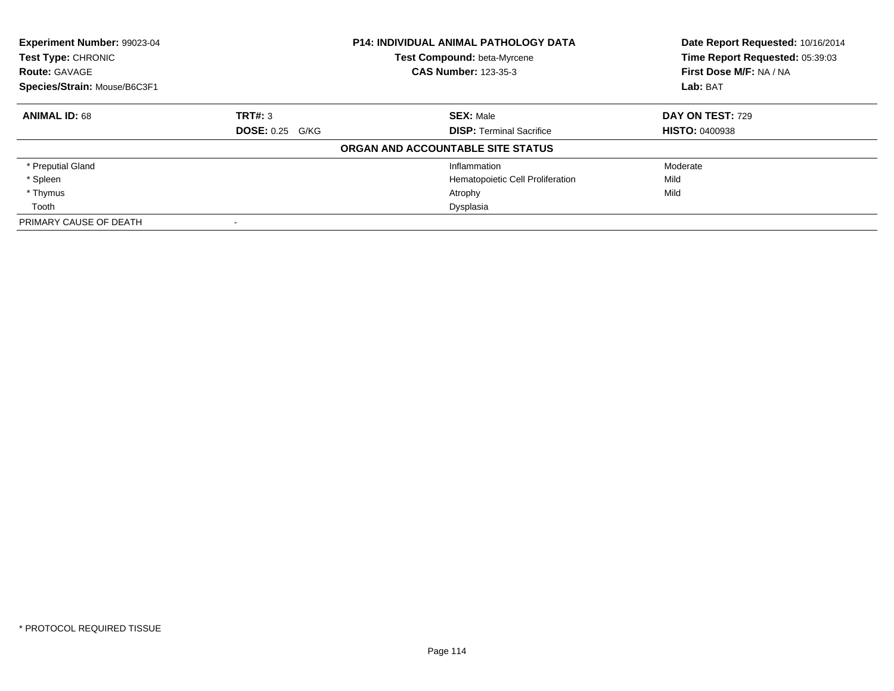| Experiment Number: 99023-04<br>Test Type: CHRONIC<br><b>Route: GAVAGE</b> |                        | <b>P14: INDIVIDUAL ANIMAL PATHOLOGY DATA</b><br>Test Compound: beta-Myrcene<br><b>CAS Number: 123-35-3</b> | Date Report Requested: 10/16/2014<br>Time Report Requested: 05:39:03<br>First Dose M/F: NA / NA |
|---------------------------------------------------------------------------|------------------------|------------------------------------------------------------------------------------------------------------|-------------------------------------------------------------------------------------------------|
| Species/Strain: Mouse/B6C3F1                                              |                        |                                                                                                            | Lab: BAT                                                                                        |
| <b>ANIMAL ID: 68</b>                                                      | TRT#: 3                | <b>SEX: Male</b>                                                                                           | DAY ON TEST: 729                                                                                |
|                                                                           | <b>DOSE: 0.25 G/KG</b> | <b>DISP:</b> Terminal Sacrifice                                                                            | <b>HISTO: 0400938</b>                                                                           |
|                                                                           |                        | ORGAN AND ACCOUNTABLE SITE STATUS                                                                          |                                                                                                 |
| * Preputial Gland                                                         |                        | Inflammation                                                                                               | Moderate                                                                                        |
| * Spleen                                                                  |                        | Hematopoietic Cell Proliferation                                                                           | Mild                                                                                            |
| * Thymus                                                                  |                        | Atrophy                                                                                                    | Mild                                                                                            |
| Tooth                                                                     |                        | Dysplasia                                                                                                  |                                                                                                 |
| PRIMARY CAUSE OF DEATH                                                    |                        |                                                                                                            |                                                                                                 |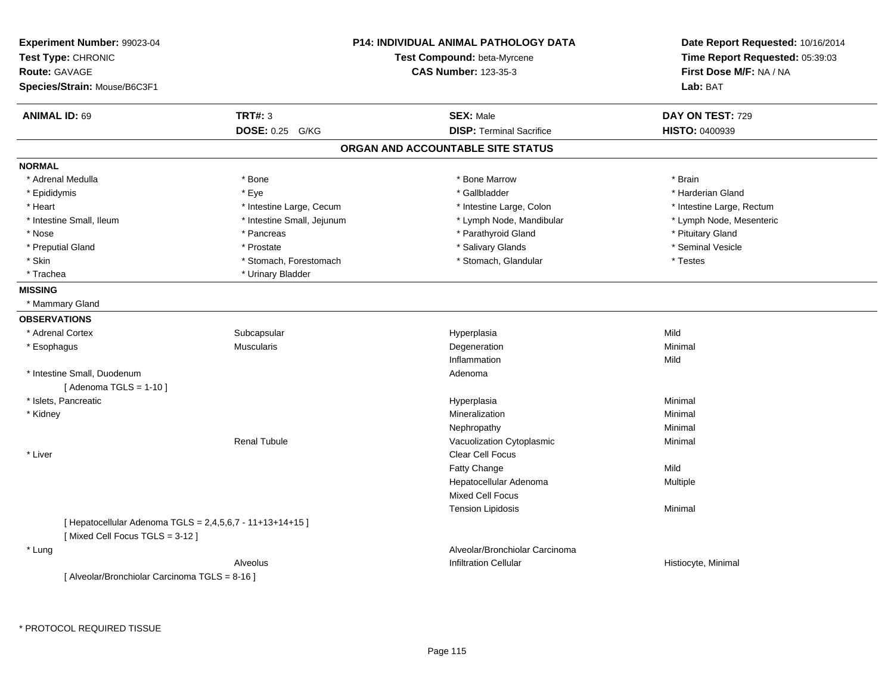| Experiment Number: 99023-04<br>Test Type: CHRONIC<br><b>Route: GAVAGE</b><br>Species/Strain: Mouse/B6C3F1 |                            | <b>P14: INDIVIDUAL ANIMAL PATHOLOGY DATA</b><br>Test Compound: beta-Myrcene<br><b>CAS Number: 123-35-3</b> | Date Report Requested: 10/16/2014<br>Time Report Requested: 05:39:03<br>First Dose M/F: NA / NA<br>Lab: BAT |
|-----------------------------------------------------------------------------------------------------------|----------------------------|------------------------------------------------------------------------------------------------------------|-------------------------------------------------------------------------------------------------------------|
|                                                                                                           |                            |                                                                                                            |                                                                                                             |
| <b>ANIMAL ID: 69</b>                                                                                      | <b>TRT#: 3</b>             | <b>SEX: Male</b>                                                                                           | DAY ON TEST: 729                                                                                            |
|                                                                                                           | <b>DOSE: 0.25</b><br>G/KG  | <b>DISP: Terminal Sacrifice</b>                                                                            | <b>HISTO: 0400939</b>                                                                                       |
|                                                                                                           |                            | ORGAN AND ACCOUNTABLE SITE STATUS                                                                          |                                                                                                             |
| <b>NORMAL</b>                                                                                             |                            |                                                                                                            |                                                                                                             |
| * Adrenal Medulla                                                                                         | * Bone                     | * Bone Marrow                                                                                              | * Brain                                                                                                     |
| * Epididymis                                                                                              | * Eye                      | * Gallbladder                                                                                              | * Harderian Gland                                                                                           |
| * Heart                                                                                                   | * Intestine Large, Cecum   | * Intestine Large, Colon                                                                                   | * Intestine Large, Rectum                                                                                   |
| * Intestine Small, Ileum                                                                                  | * Intestine Small, Jejunum | * Lymph Node, Mandibular                                                                                   | * Lymph Node, Mesenteric                                                                                    |
| * Nose                                                                                                    | * Pancreas                 | * Parathyroid Gland                                                                                        | * Pituitary Gland                                                                                           |
| * Preputial Gland                                                                                         | * Prostate                 | * Salivary Glands                                                                                          | * Seminal Vesicle                                                                                           |
| * Skin                                                                                                    | * Stomach, Forestomach     | * Stomach, Glandular                                                                                       | * Testes                                                                                                    |
| * Trachea                                                                                                 | * Urinary Bladder          |                                                                                                            |                                                                                                             |
| <b>MISSING</b>                                                                                            |                            |                                                                                                            |                                                                                                             |
| * Mammary Gland                                                                                           |                            |                                                                                                            |                                                                                                             |
| <b>OBSERVATIONS</b>                                                                                       |                            |                                                                                                            |                                                                                                             |
| * Adrenal Cortex                                                                                          | Subcapsular                | Hyperplasia                                                                                                | Mild                                                                                                        |
| * Esophagus                                                                                               | <b>Muscularis</b>          | Degeneration                                                                                               | Minimal                                                                                                     |
|                                                                                                           |                            | Inflammation                                                                                               | Mild                                                                                                        |
| * Intestine Small, Duodenum                                                                               |                            | Adenoma                                                                                                    |                                                                                                             |
| [Adenoma TGLS = $1-10$ ]                                                                                  |                            |                                                                                                            |                                                                                                             |
| * Islets, Pancreatic                                                                                      |                            | Hyperplasia                                                                                                | Minimal                                                                                                     |
| * Kidney                                                                                                  |                            | Mineralization                                                                                             | Minimal                                                                                                     |
|                                                                                                           |                            | Nephropathy                                                                                                | Minimal                                                                                                     |
|                                                                                                           | <b>Renal Tubule</b>        | Vacuolization Cytoplasmic                                                                                  | Minimal                                                                                                     |
| * Liver                                                                                                   |                            | Clear Cell Focus                                                                                           |                                                                                                             |
|                                                                                                           |                            | Fatty Change                                                                                               | Mild                                                                                                        |
|                                                                                                           |                            | Hepatocellular Adenoma                                                                                     | Multiple                                                                                                    |
|                                                                                                           |                            | Mixed Cell Focus                                                                                           |                                                                                                             |
|                                                                                                           |                            | <b>Tension Lipidosis</b>                                                                                   | Minimal                                                                                                     |
| [ Hepatocellular Adenoma TGLS = 2,4,5,6,7 - 11+13+14+15 ]                                                 |                            |                                                                                                            |                                                                                                             |
| [Mixed Cell Focus TGLS = 3-12]                                                                            |                            |                                                                                                            |                                                                                                             |
| * Lung                                                                                                    |                            | Alveolar/Bronchiolar Carcinoma                                                                             |                                                                                                             |
|                                                                                                           | Alveolus                   | <b>Infiltration Cellular</b>                                                                               | Histiocyte, Minimal                                                                                         |
| [ Alveolar/Bronchiolar Carcinoma TGLS = 8-16 ]                                                            |                            |                                                                                                            |                                                                                                             |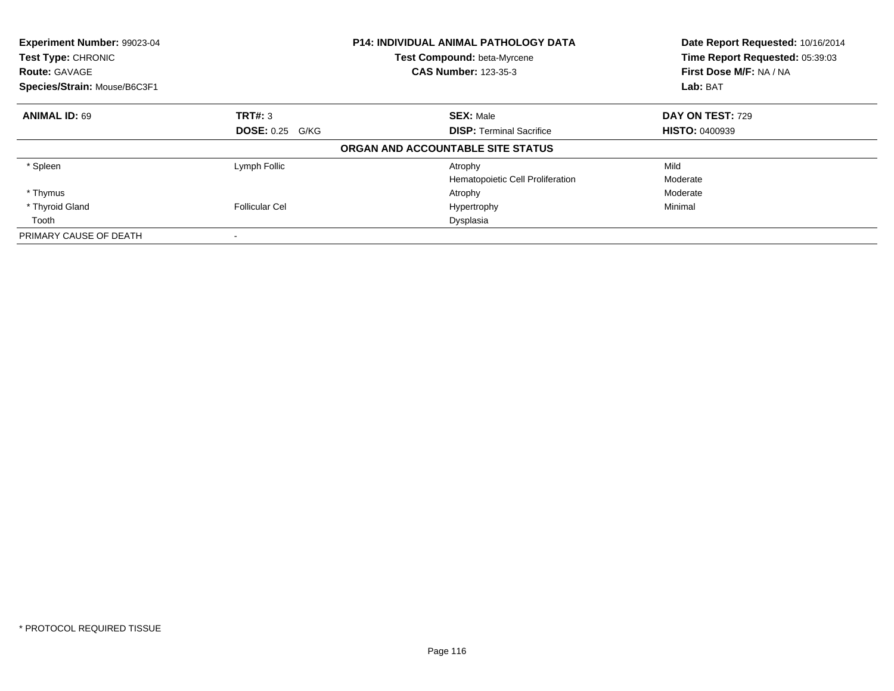| <b>Experiment Number: 99023-04</b><br>Test Type: CHRONIC<br><b>Route: GAVAGE</b> |                        | <b>P14: INDIVIDUAL ANIMAL PATHOLOGY DATA</b><br>Test Compound: beta-Myrcene<br><b>CAS Number: 123-35-3</b> | Date Report Requested: 10/16/2014<br>Time Report Requested: 05:39:03<br>First Dose M/F: NA / NA |
|----------------------------------------------------------------------------------|------------------------|------------------------------------------------------------------------------------------------------------|-------------------------------------------------------------------------------------------------|
| Species/Strain: Mouse/B6C3F1                                                     |                        |                                                                                                            | Lab: BAT                                                                                        |
| <b>ANIMAL ID: 69</b>                                                             | TRT#: 3                | <b>SEX: Male</b>                                                                                           | DAY ON TEST: 729                                                                                |
|                                                                                  | <b>DOSE: 0.25 G/KG</b> | <b>DISP:</b> Terminal Sacrifice                                                                            | <b>HISTO: 0400939</b>                                                                           |
|                                                                                  |                        | ORGAN AND ACCOUNTABLE SITE STATUS                                                                          |                                                                                                 |
| * Spleen                                                                         | Lymph Follic           | Atrophy                                                                                                    | Mild                                                                                            |
|                                                                                  |                        | Hematopoietic Cell Proliferation                                                                           | Moderate                                                                                        |
| * Thymus                                                                         |                        | Atrophy                                                                                                    | Moderate                                                                                        |
| * Thyroid Gland                                                                  | <b>Follicular Cel</b>  | Hypertrophy                                                                                                | Minimal                                                                                         |
| Tooth                                                                            |                        | Dysplasia                                                                                                  |                                                                                                 |
| PRIMARY CAUSE OF DEATH                                                           |                        |                                                                                                            |                                                                                                 |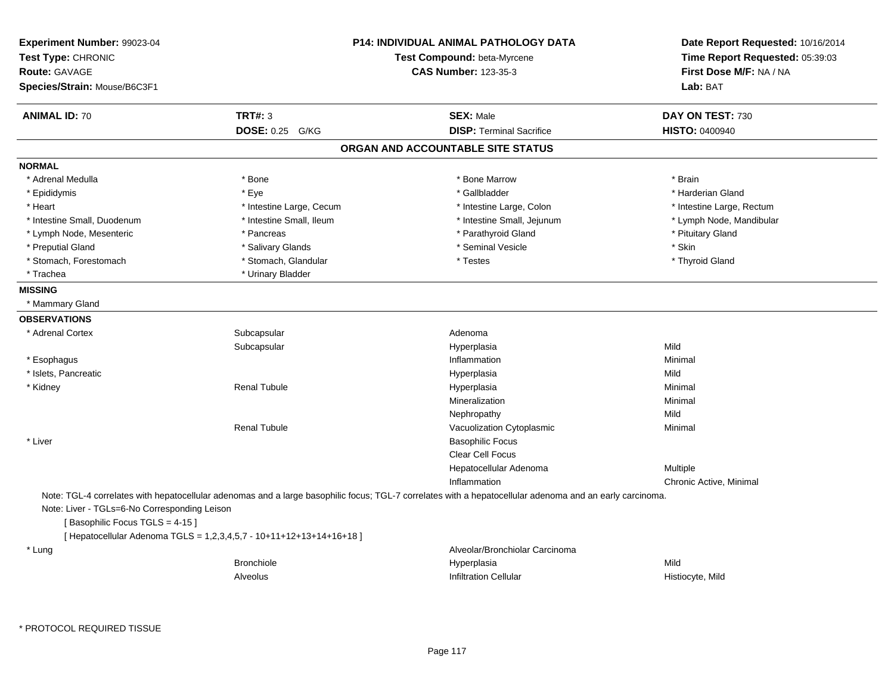| Experiment Number: 99023-04<br>Test Type: CHRONIC<br><b>Route: GAVAGE</b><br>Species/Strain: Mouse/B6C3F1 |                                                                      | <b>P14: INDIVIDUAL ANIMAL PATHOLOGY DATA</b><br>Test Compound: beta-Myrcene<br><b>CAS Number: 123-35-3</b>                                               | Date Report Requested: 10/16/2014<br>Time Report Requested: 05:39:03<br>First Dose M/F: NA / NA<br>Lab: BAT |
|-----------------------------------------------------------------------------------------------------------|----------------------------------------------------------------------|----------------------------------------------------------------------------------------------------------------------------------------------------------|-------------------------------------------------------------------------------------------------------------|
| <b>ANIMAL ID: 70</b>                                                                                      | <b>TRT#: 3</b>                                                       | <b>SEX: Male</b>                                                                                                                                         | DAY ON TEST: 730                                                                                            |
|                                                                                                           | DOSE: 0.25 G/KG                                                      | <b>DISP: Terminal Sacrifice</b>                                                                                                                          | HISTO: 0400940                                                                                              |
|                                                                                                           |                                                                      | ORGAN AND ACCOUNTABLE SITE STATUS                                                                                                                        |                                                                                                             |
| <b>NORMAL</b>                                                                                             |                                                                      |                                                                                                                                                          |                                                                                                             |
| * Adrenal Medulla                                                                                         | * Bone                                                               | * Bone Marrow                                                                                                                                            | * Brain                                                                                                     |
| * Epididymis                                                                                              | * Eye                                                                | * Gallbladder                                                                                                                                            | * Harderian Gland                                                                                           |
| * Heart                                                                                                   | * Intestine Large, Cecum                                             | * Intestine Large, Colon                                                                                                                                 | * Intestine Large, Rectum                                                                                   |
| * Intestine Small, Duodenum                                                                               | * Intestine Small, Ileum                                             | * Intestine Small, Jejunum                                                                                                                               | * Lymph Node, Mandibular                                                                                    |
| * Lymph Node, Mesenteric                                                                                  | * Pancreas                                                           | * Parathyroid Gland                                                                                                                                      | * Pituitary Gland                                                                                           |
| * Preputial Gland                                                                                         | * Salivary Glands                                                    | * Seminal Vesicle                                                                                                                                        | * Skin                                                                                                      |
| * Stomach, Forestomach                                                                                    | * Stomach, Glandular                                                 | * Testes                                                                                                                                                 | * Thyroid Gland                                                                                             |
| * Trachea                                                                                                 | * Urinary Bladder                                                    |                                                                                                                                                          |                                                                                                             |
| <b>MISSING</b>                                                                                            |                                                                      |                                                                                                                                                          |                                                                                                             |
| * Mammary Gland                                                                                           |                                                                      |                                                                                                                                                          |                                                                                                             |
| <b>OBSERVATIONS</b>                                                                                       |                                                                      |                                                                                                                                                          |                                                                                                             |
| * Adrenal Cortex                                                                                          | Subcapsular                                                          | Adenoma                                                                                                                                                  |                                                                                                             |
|                                                                                                           | Subcapsular                                                          | Hyperplasia                                                                                                                                              | Mild                                                                                                        |
| * Esophagus                                                                                               |                                                                      | Inflammation                                                                                                                                             | Minimal                                                                                                     |
| * Islets, Pancreatic                                                                                      |                                                                      | Hyperplasia                                                                                                                                              | Mild                                                                                                        |
| * Kidney                                                                                                  | <b>Renal Tubule</b>                                                  | Hyperplasia                                                                                                                                              | Minimal                                                                                                     |
|                                                                                                           |                                                                      | Mineralization                                                                                                                                           | Minimal                                                                                                     |
|                                                                                                           |                                                                      | Nephropathy                                                                                                                                              | Mild                                                                                                        |
|                                                                                                           | <b>Renal Tubule</b>                                                  | Vacuolization Cytoplasmic                                                                                                                                | Minimal                                                                                                     |
| * Liver                                                                                                   |                                                                      | <b>Basophilic Focus</b>                                                                                                                                  |                                                                                                             |
|                                                                                                           |                                                                      | Clear Cell Focus                                                                                                                                         |                                                                                                             |
|                                                                                                           |                                                                      | Hepatocellular Adenoma                                                                                                                                   | Multiple                                                                                                    |
|                                                                                                           |                                                                      | Inflammation                                                                                                                                             | Chronic Active, Minimal                                                                                     |
| Note: Liver - TGLs=6-No Corresponding Leison<br>[Basophilic Focus TGLS = 4-15]                            | [ Hepatocellular Adenoma TGLS = 1,2,3,4,5,7 - 10+11+12+13+14+16+18 ] | Note: TGL-4 correlates with hepatocellular adenomas and a large basophilic focus; TGL-7 correlates with a hepatocellular adenoma and an early carcinoma. |                                                                                                             |
| * Lung                                                                                                    |                                                                      | Alveolar/Bronchiolar Carcinoma                                                                                                                           |                                                                                                             |
|                                                                                                           | <b>Bronchiole</b>                                                    | Hyperplasia                                                                                                                                              | Mild                                                                                                        |
|                                                                                                           | Alveolus                                                             | <b>Infiltration Cellular</b>                                                                                                                             | Histiocyte, Mild                                                                                            |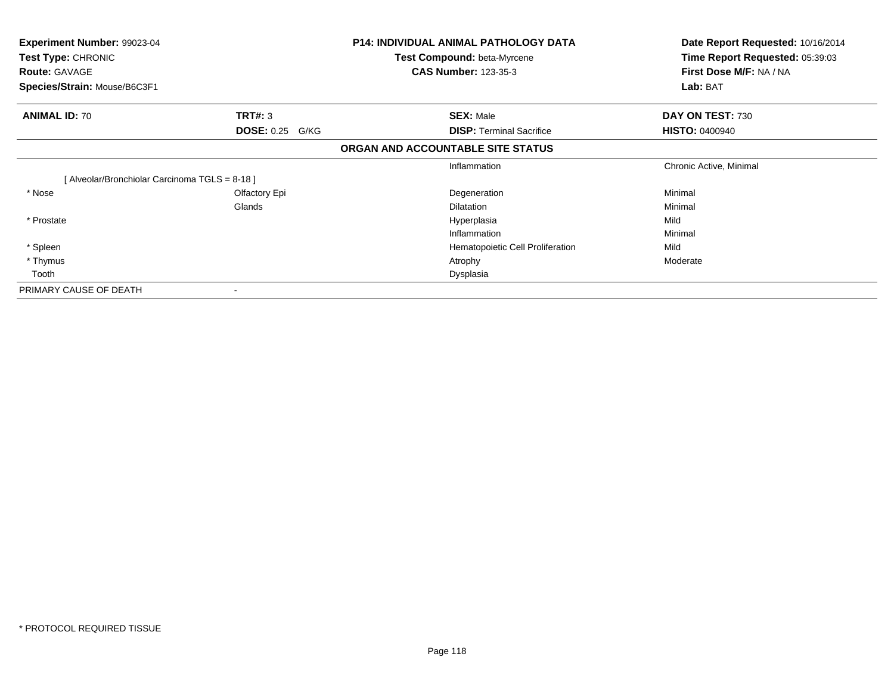| Experiment Number: 99023-04<br>Test Type: CHRONIC<br><b>Route: GAVAGE</b><br>Species/Strain: Mouse/B6C3F1 |                        | P14: INDIVIDUAL ANIMAL PATHOLOGY DATA<br><b>Test Compound: beta-Myrcene</b><br><b>CAS Number: 123-35-3</b> | Date Report Requested: 10/16/2014<br>Time Report Requested: 05:39:03<br>First Dose M/F: NA / NA<br>Lab: BAT |
|-----------------------------------------------------------------------------------------------------------|------------------------|------------------------------------------------------------------------------------------------------------|-------------------------------------------------------------------------------------------------------------|
|                                                                                                           |                        |                                                                                                            |                                                                                                             |
| <b>ANIMAL ID: 70</b>                                                                                      | <b>TRT#: 3</b>         | <b>SEX: Male</b>                                                                                           | DAY ON TEST: 730                                                                                            |
|                                                                                                           | <b>DOSE: 0.25 G/KG</b> | <b>DISP:</b> Terminal Sacrifice                                                                            | <b>HISTO: 0400940</b>                                                                                       |
|                                                                                                           |                        | ORGAN AND ACCOUNTABLE SITE STATUS                                                                          |                                                                                                             |
|                                                                                                           |                        | Inflammation                                                                                               | Chronic Active, Minimal                                                                                     |
| [Alveolar/Bronchiolar Carcinoma TGLS = 8-18]                                                              |                        |                                                                                                            |                                                                                                             |
| * Nose                                                                                                    | Olfactory Epi          | Degeneration                                                                                               | Minimal                                                                                                     |
|                                                                                                           | Glands                 | <b>Dilatation</b>                                                                                          | Minimal                                                                                                     |
| * Prostate                                                                                                |                        | Hyperplasia                                                                                                | Mild                                                                                                        |
|                                                                                                           |                        | Inflammation                                                                                               | Minimal                                                                                                     |
| * Spleen                                                                                                  |                        | Hematopoietic Cell Proliferation                                                                           | Mild                                                                                                        |
| * Thymus                                                                                                  |                        | Atrophy                                                                                                    | Moderate                                                                                                    |
| Tooth                                                                                                     |                        | Dysplasia                                                                                                  |                                                                                                             |
| PRIMARY CAUSE OF DEATH                                                                                    |                        |                                                                                                            |                                                                                                             |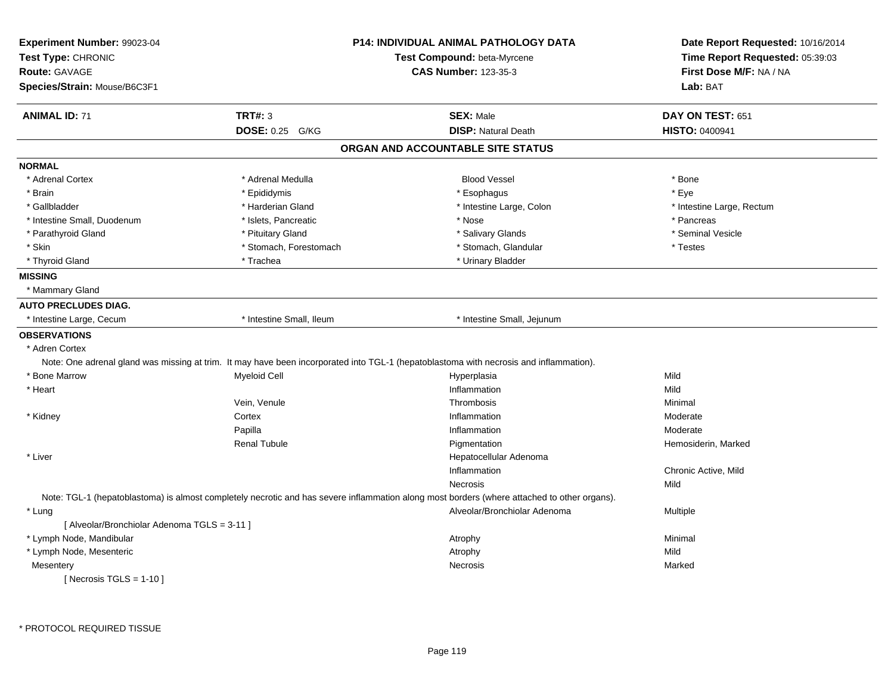| Experiment Number: 99023-04<br>Test Type: CHRONIC<br><b>Route: GAVAGE</b> |                          | <b>P14: INDIVIDUAL ANIMAL PATHOLOGY DATA</b><br>Test Compound: beta-Myrcene<br><b>CAS Number: 123-35-3</b>                                  | Date Report Requested: 10/16/2014<br>Time Report Requested: 05:39:03<br>First Dose M/F: NA / NA |
|---------------------------------------------------------------------------|--------------------------|---------------------------------------------------------------------------------------------------------------------------------------------|-------------------------------------------------------------------------------------------------|
| Species/Strain: Mouse/B6C3F1                                              |                          |                                                                                                                                             | Lab: BAT                                                                                        |
| <b>ANIMAL ID: 71</b>                                                      | <b>TRT#: 3</b>           | <b>SEX: Male</b>                                                                                                                            | DAY ON TEST: 651                                                                                |
|                                                                           | DOSE: 0.25 G/KG          | <b>DISP: Natural Death</b>                                                                                                                  | HISTO: 0400941                                                                                  |
|                                                                           |                          | ORGAN AND ACCOUNTABLE SITE STATUS                                                                                                           |                                                                                                 |
| <b>NORMAL</b>                                                             |                          |                                                                                                                                             |                                                                                                 |
| * Adrenal Cortex                                                          | * Adrenal Medulla        | <b>Blood Vessel</b>                                                                                                                         | * Bone                                                                                          |
| * Brain                                                                   | * Epididymis             | * Esophagus                                                                                                                                 | * Eye                                                                                           |
| * Gallbladder                                                             | * Harderian Gland        | * Intestine Large, Colon                                                                                                                    | * Intestine Large, Rectum                                                                       |
| * Intestine Small, Duodenum                                               | * Islets, Pancreatic     | * Nose                                                                                                                                      | * Pancreas                                                                                      |
| * Parathyroid Gland                                                       | * Pituitary Gland        | * Salivary Glands                                                                                                                           | * Seminal Vesicle                                                                               |
| * Skin                                                                    | * Stomach, Forestomach   | * Stomach, Glandular                                                                                                                        | * Testes                                                                                        |
| * Thyroid Gland                                                           | * Trachea                | * Urinary Bladder                                                                                                                           |                                                                                                 |
| <b>MISSING</b>                                                            |                          |                                                                                                                                             |                                                                                                 |
| * Mammary Gland                                                           |                          |                                                                                                                                             |                                                                                                 |
| <b>AUTO PRECLUDES DIAG.</b>                                               |                          |                                                                                                                                             |                                                                                                 |
| * Intestine Large, Cecum                                                  | * Intestine Small, Ileum | * Intestine Small, Jejunum                                                                                                                  |                                                                                                 |
| <b>OBSERVATIONS</b>                                                       |                          |                                                                                                                                             |                                                                                                 |
| * Adren Cortex                                                            |                          |                                                                                                                                             |                                                                                                 |
|                                                                           |                          | Note: One adrenal gland was missing at trim. It may have been incorporated into TGL-1 (hepatoblastoma with necrosis and inflammation).      |                                                                                                 |
| * Bone Marrow                                                             | <b>Myeloid Cell</b>      | Hyperplasia                                                                                                                                 | Mild                                                                                            |
| * Heart                                                                   |                          | Inflammation                                                                                                                                | Mild                                                                                            |
|                                                                           | Vein, Venule             | Thrombosis                                                                                                                                  | Minimal                                                                                         |
| * Kidney                                                                  | Cortex                   | Inflammation                                                                                                                                | Moderate                                                                                        |
|                                                                           | Papilla                  | Inflammation                                                                                                                                | Moderate                                                                                        |
|                                                                           | <b>Renal Tubule</b>      | Pigmentation                                                                                                                                | Hemosiderin, Marked                                                                             |
| * Liver                                                                   |                          | Hepatocellular Adenoma                                                                                                                      |                                                                                                 |
|                                                                           |                          | Inflammation                                                                                                                                | Chronic Active, Mild                                                                            |
|                                                                           |                          | Necrosis                                                                                                                                    | Mild                                                                                            |
|                                                                           |                          | Note: TGL-1 (hepatoblastoma) is almost completely necrotic and has severe inflammation along most borders (where attached to other organs). |                                                                                                 |
| * Lung                                                                    |                          | Alveolar/Bronchiolar Adenoma                                                                                                                | Multiple                                                                                        |
| [ Alveolar/Bronchiolar Adenoma TGLS = 3-11 ]                              |                          |                                                                                                                                             |                                                                                                 |
| * Lymph Node, Mandibular                                                  |                          | Atrophy                                                                                                                                     | Minimal                                                                                         |
| * Lymph Node, Mesenteric                                                  |                          | Atrophy                                                                                                                                     | Mild                                                                                            |
| Mesentery                                                                 |                          | Necrosis                                                                                                                                    | Marked                                                                                          |
| [ Necrosis TGLS = $1-10$ ]                                                |                          |                                                                                                                                             |                                                                                                 |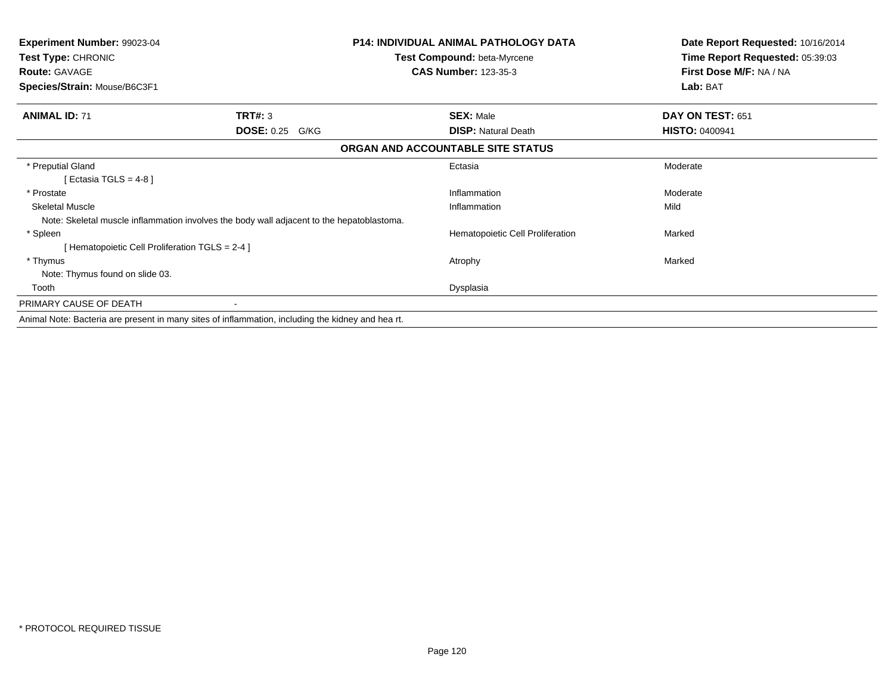| Experiment Number: 99023-04<br><b>Test Type: CHRONIC</b><br><b>Route: GAVAGE</b> |                                                                                                   | <b>P14: INDIVIDUAL ANIMAL PATHOLOGY DATA</b><br><b>Test Compound: beta-Myrcene</b><br><b>CAS Number: 123-35-3</b> | Date Report Requested: 10/16/2014<br>Time Report Requested: 05:39:03<br>First Dose M/F: NA / NA |
|----------------------------------------------------------------------------------|---------------------------------------------------------------------------------------------------|-------------------------------------------------------------------------------------------------------------------|-------------------------------------------------------------------------------------------------|
| Species/Strain: Mouse/B6C3F1                                                     |                                                                                                   |                                                                                                                   | Lab: BAT                                                                                        |
| <b>ANIMAL ID: 71</b>                                                             | TRT#: 3                                                                                           | <b>SEX: Male</b>                                                                                                  | DAY ON TEST: 651                                                                                |
|                                                                                  | <b>DOSE: 0.25 G/KG</b>                                                                            | <b>DISP: Natural Death</b>                                                                                        | <b>HISTO: 0400941</b>                                                                           |
|                                                                                  |                                                                                                   | ORGAN AND ACCOUNTABLE SITE STATUS                                                                                 |                                                                                                 |
| * Preputial Gland                                                                |                                                                                                   | Ectasia                                                                                                           | Moderate                                                                                        |
| [Ectasia TGLS = 4-8]                                                             |                                                                                                   |                                                                                                                   |                                                                                                 |
| * Prostate                                                                       |                                                                                                   | Inflammation                                                                                                      | Moderate                                                                                        |
| <b>Skeletal Muscle</b>                                                           |                                                                                                   | Inflammation                                                                                                      | Mild                                                                                            |
|                                                                                  | Note: Skeletal muscle inflammation involves the body wall adjacent to the hepatoblastoma.         |                                                                                                                   |                                                                                                 |
| * Spleen                                                                         |                                                                                                   | Hematopoietic Cell Proliferation                                                                                  | Marked                                                                                          |
| [Hematopoietic Cell Proliferation TGLS = 2-4 ]                                   |                                                                                                   |                                                                                                                   |                                                                                                 |
| * Thymus                                                                         |                                                                                                   | Atrophy                                                                                                           | Marked                                                                                          |
| Note: Thymus found on slide 03.                                                  |                                                                                                   |                                                                                                                   |                                                                                                 |
| Tooth                                                                            |                                                                                                   | Dysplasia                                                                                                         |                                                                                                 |
| PRIMARY CAUSE OF DEATH                                                           |                                                                                                   |                                                                                                                   |                                                                                                 |
|                                                                                  | Animal Note: Bacteria are present in many sites of inflammation, including the kidney and hea rt. |                                                                                                                   |                                                                                                 |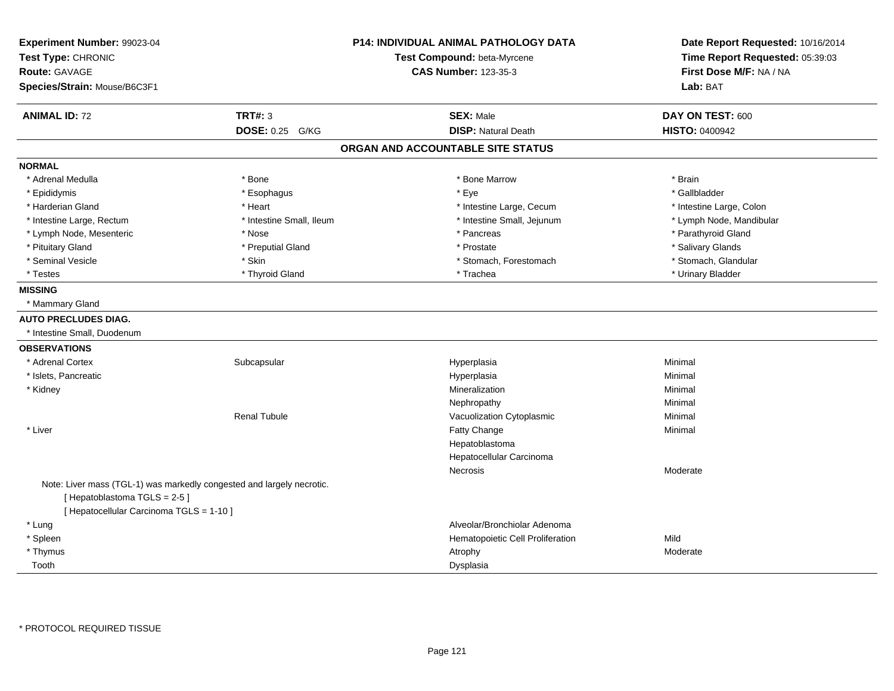| Experiment Number: 99023-04                                           |                          | <b>P14: INDIVIDUAL ANIMAL PATHOLOGY DATA</b> | Date Report Requested: 10/16/2014 |
|-----------------------------------------------------------------------|--------------------------|----------------------------------------------|-----------------------------------|
| Test Type: CHRONIC                                                    |                          | Test Compound: beta-Myrcene                  | Time Report Requested: 05:39:03   |
| <b>Route: GAVAGE</b>                                                  |                          | <b>CAS Number: 123-35-3</b>                  | First Dose M/F: NA / NA           |
| Species/Strain: Mouse/B6C3F1                                          |                          |                                              | Lab: BAT                          |
| <b>ANIMAL ID: 72</b>                                                  | <b>TRT#: 3</b>           | <b>SEX: Male</b>                             | DAY ON TEST: 600                  |
|                                                                       | <b>DOSE: 0.25 G/KG</b>   | <b>DISP: Natural Death</b>                   | <b>HISTO: 0400942</b>             |
|                                                                       |                          | ORGAN AND ACCOUNTABLE SITE STATUS            |                                   |
| <b>NORMAL</b>                                                         |                          |                                              |                                   |
| * Adrenal Medulla                                                     | * Bone                   | * Bone Marrow                                | * Brain                           |
| * Epididymis                                                          | * Esophagus              | * Eye                                        | * Gallbladder                     |
| * Harderian Gland                                                     | * Heart                  | * Intestine Large, Cecum                     | * Intestine Large, Colon          |
| * Intestine Large, Rectum                                             | * Intestine Small, Ileum | * Intestine Small, Jejunum                   | * Lymph Node, Mandibular          |
| * Lymph Node, Mesenteric                                              | * Nose                   | * Pancreas                                   | * Parathyroid Gland               |
| * Pituitary Gland                                                     | * Preputial Gland        | * Prostate                                   | * Salivary Glands                 |
| * Seminal Vesicle                                                     | * Skin                   | * Stomach, Forestomach                       | * Stomach, Glandular              |
| * Testes                                                              | * Thyroid Gland          | * Trachea                                    | * Urinary Bladder                 |
| <b>MISSING</b>                                                        |                          |                                              |                                   |
| * Mammary Gland                                                       |                          |                                              |                                   |
| <b>AUTO PRECLUDES DIAG.</b>                                           |                          |                                              |                                   |
| * Intestine Small, Duodenum                                           |                          |                                              |                                   |
| <b>OBSERVATIONS</b>                                                   |                          |                                              |                                   |
| * Adrenal Cortex                                                      | Subcapsular              | Hyperplasia                                  | Minimal                           |
| * Islets, Pancreatic                                                  |                          | Hyperplasia                                  | Minimal                           |
| * Kidney                                                              |                          | Mineralization                               | Minimal                           |
|                                                                       |                          | Nephropathy                                  | Minimal                           |
|                                                                       | <b>Renal Tubule</b>      | Vacuolization Cytoplasmic                    | Minimal                           |
| * Liver                                                               |                          | Fatty Change                                 | Minimal                           |
|                                                                       |                          | Hepatoblastoma                               |                                   |
|                                                                       |                          | Hepatocellular Carcinoma                     |                                   |
|                                                                       |                          | Necrosis                                     | Moderate                          |
| Note: Liver mass (TGL-1) was markedly congested and largely necrotic. |                          |                                              |                                   |
| [Hepatoblastoma TGLS = 2-5]                                           |                          |                                              |                                   |
| [ Hepatocellular Carcinoma TGLS = 1-10 ]                              |                          |                                              |                                   |
| * Lung                                                                |                          | Alveolar/Bronchiolar Adenoma                 |                                   |
| * Spleen                                                              |                          | Hematopoietic Cell Proliferation             | Mild                              |
| * Thymus                                                              |                          | Atrophy                                      | Moderate                          |
| Tooth                                                                 |                          | Dysplasia                                    |                                   |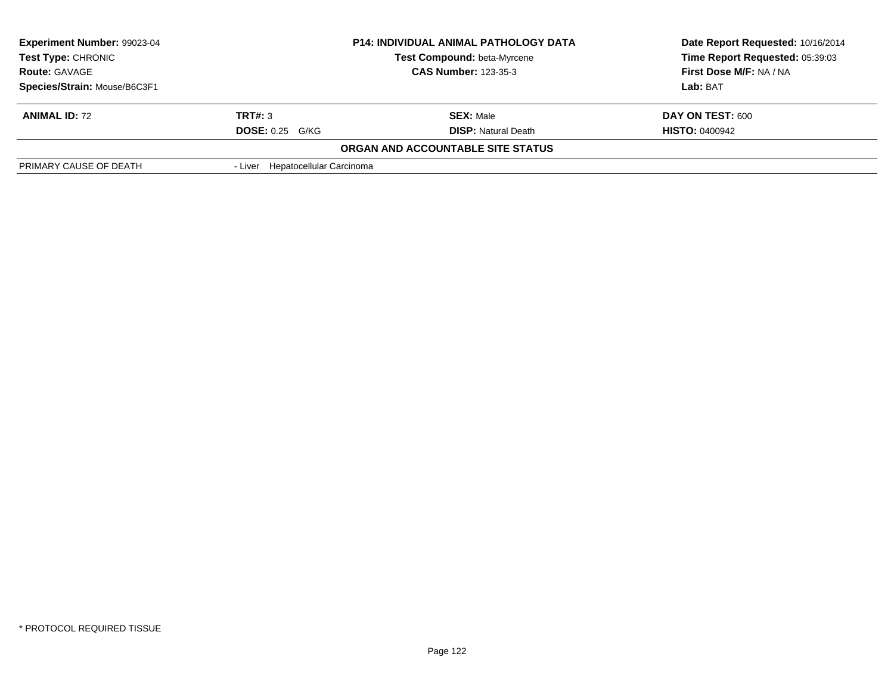| <b>Experiment Number: 99023-04</b><br><b>Test Type: CHRONIC</b> |                                  | <b>P14: INDIVIDUAL ANIMAL PATHOLOGY DATA</b><br>Test Compound: beta-Myrcene | Date Report Requested: 10/16/2014<br>Time Report Requested: 05:39:03 |
|-----------------------------------------------------------------|----------------------------------|-----------------------------------------------------------------------------|----------------------------------------------------------------------|
| <b>Route: GAVAGE</b>                                            |                                  | <b>CAS Number: 123-35-3</b>                                                 | First Dose M/F: NA / NA                                              |
| Species/Strain: Mouse/B6C3F1                                    |                                  |                                                                             | Lab: BAT                                                             |
| <b>ANIMAL ID: 72</b>                                            | TRT#: 3                          | <b>SEX: Male</b>                                                            | DAY ON TEST: 600                                                     |
|                                                                 | $DOSE: 0.25$ G/KG                | <b>DISP:</b> Natural Death                                                  | <b>HISTO: 0400942</b>                                                |
|                                                                 |                                  | <b>ORGAN AND ACCOUNTABLE SITE STATUS</b>                                    |                                                                      |
| PRIMARY CAUSE OF DEATH                                          | - Liver Hepatocellular Carcinoma |                                                                             |                                                                      |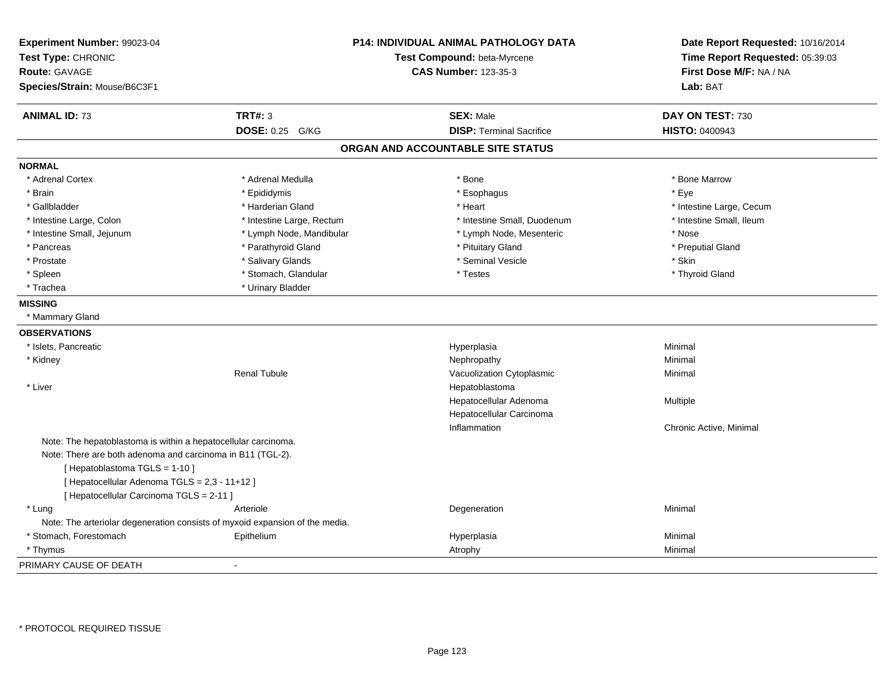| Experiment Number: 99023-04<br>Test Type: CHRONIC<br>Route: GAVAGE<br>Species/Strain: Mouse/B6C3F1 |                           | P14: INDIVIDUAL ANIMAL PATHOLOGY DATA<br>Test Compound: beta-Myrcene<br><b>CAS Number: 123-35-3</b> | Date Report Requested: 10/16/2014<br>Time Report Requested: 05:39:03<br>First Dose M/F: NA / NA<br>Lab: BAT |
|----------------------------------------------------------------------------------------------------|---------------------------|-----------------------------------------------------------------------------------------------------|-------------------------------------------------------------------------------------------------------------|
|                                                                                                    |                           |                                                                                                     |                                                                                                             |
| <b>ANIMAL ID: 73</b>                                                                               | <b>TRT#: 3</b>            | <b>SEX: Male</b>                                                                                    | DAY ON TEST: 730                                                                                            |
|                                                                                                    | DOSE: 0.25 G/KG           | <b>DISP: Terminal Sacrifice</b>                                                                     | HISTO: 0400943                                                                                              |
|                                                                                                    |                           | ORGAN AND ACCOUNTABLE SITE STATUS                                                                   |                                                                                                             |
| <b>NORMAL</b>                                                                                      |                           |                                                                                                     |                                                                                                             |
| * Adrenal Cortex                                                                                   | * Adrenal Medulla         | * Bone                                                                                              | * Bone Marrow                                                                                               |
| * Brain                                                                                            | * Epididymis              | * Esophagus                                                                                         | * Eye                                                                                                       |
| * Gallbladder                                                                                      | * Harderian Gland         | * Heart                                                                                             | * Intestine Large, Cecum                                                                                    |
| * Intestine Large, Colon                                                                           | * Intestine Large, Rectum | * Intestine Small, Duodenum                                                                         | * Intestine Small, Ileum                                                                                    |
| * Intestine Small, Jejunum                                                                         | * Lymph Node, Mandibular  | * Lymph Node, Mesenteric                                                                            | * Nose                                                                                                      |
| * Pancreas                                                                                         | * Parathyroid Gland       | * Pituitary Gland                                                                                   | * Preputial Gland                                                                                           |
| * Prostate                                                                                         | * Salivary Glands         | * Seminal Vesicle                                                                                   | * Skin                                                                                                      |
| * Spleen                                                                                           | * Stomach, Glandular      | * Testes                                                                                            | * Thyroid Gland                                                                                             |
| * Trachea                                                                                          | * Urinary Bladder         |                                                                                                     |                                                                                                             |
| <b>MISSING</b>                                                                                     |                           |                                                                                                     |                                                                                                             |
| * Mammary Gland                                                                                    |                           |                                                                                                     |                                                                                                             |
| <b>OBSERVATIONS</b>                                                                                |                           |                                                                                                     |                                                                                                             |
| * Islets, Pancreatic                                                                               |                           | Hyperplasia                                                                                         | Minimal                                                                                                     |
| * Kidney                                                                                           |                           | Nephropathy                                                                                         | Minimal                                                                                                     |
|                                                                                                    | <b>Renal Tubule</b>       | Vacuolization Cytoplasmic                                                                           | Minimal                                                                                                     |
| * Liver                                                                                            |                           | Hepatoblastoma                                                                                      |                                                                                                             |
|                                                                                                    |                           | Hepatocellular Adenoma                                                                              | Multiple                                                                                                    |
|                                                                                                    |                           | Hepatocellular Carcinoma                                                                            |                                                                                                             |
|                                                                                                    |                           | Inflammation                                                                                        | Chronic Active, Minimal                                                                                     |
| Note: The hepatoblastoma is within a hepatocellular carcinoma.                                     |                           |                                                                                                     |                                                                                                             |
| Note: There are both adenoma and carcinoma in B11 (TGL-2).                                         |                           |                                                                                                     |                                                                                                             |
| [Hepatoblastoma TGLS = 1-10]                                                                       |                           |                                                                                                     |                                                                                                             |
| [ Hepatocellular Adenoma TGLS = 2,3 - 11+12 ]                                                      |                           |                                                                                                     |                                                                                                             |
| [ Hepatocellular Carcinoma TGLS = 2-11 ]                                                           |                           |                                                                                                     |                                                                                                             |
| * Lung                                                                                             | Arteriole                 | Degeneration                                                                                        | Minimal                                                                                                     |
| Note: The arteriolar degeneration consists of myxoid expansion of the media.                       |                           |                                                                                                     |                                                                                                             |
| * Stomach, Forestomach                                                                             | Epithelium                | Hyperplasia                                                                                         | Minimal                                                                                                     |
| * Thymus                                                                                           |                           | Atrophy                                                                                             | Minimal                                                                                                     |
| PRIMARY CAUSE OF DEATH                                                                             |                           |                                                                                                     |                                                                                                             |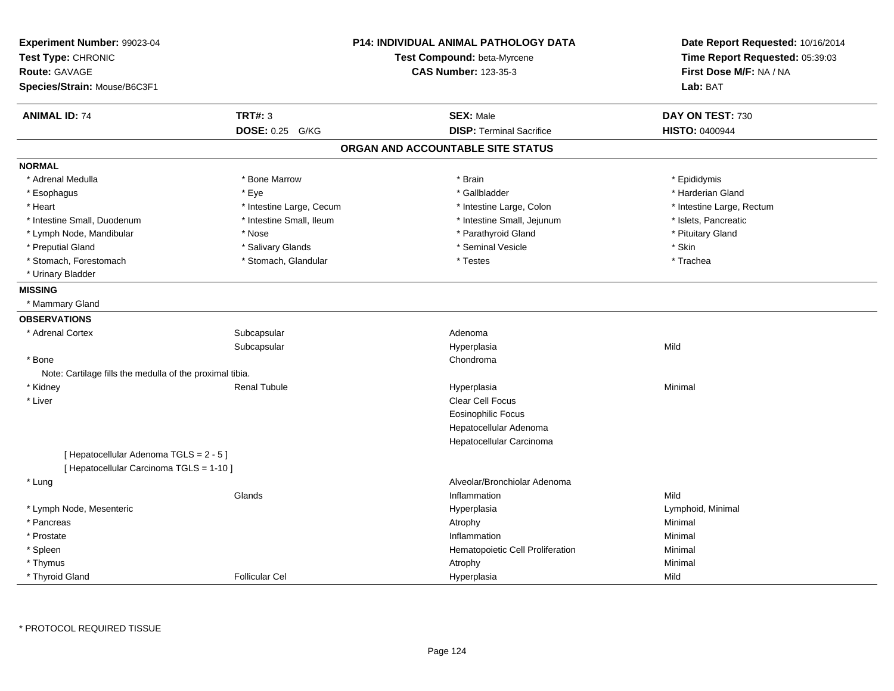| Experiment Number: 99023-04<br>Test Type: CHRONIC        |                           | <b>P14: INDIVIDUAL ANIMAL PATHOLOGY DATA</b><br>Test Compound: beta-Myrcene | Date Report Requested: 10/16/2014<br>Time Report Requested: 05:39:03 |
|----------------------------------------------------------|---------------------------|-----------------------------------------------------------------------------|----------------------------------------------------------------------|
| <b>Route: GAVAGE</b>                                     |                           | <b>CAS Number: 123-35-3</b>                                                 | First Dose M/F: NA / NA                                              |
| Species/Strain: Mouse/B6C3F1                             |                           |                                                                             | Lab: BAT                                                             |
| <b>ANIMAL ID: 74</b>                                     | <b>TRT#: 3</b>            | <b>SEX: Male</b>                                                            | DAY ON TEST: 730                                                     |
|                                                          | <b>DOSE: 0.25</b><br>G/KG | <b>DISP: Terminal Sacrifice</b>                                             | <b>HISTO: 0400944</b>                                                |
|                                                          |                           | ORGAN AND ACCOUNTABLE SITE STATUS                                           |                                                                      |
| <b>NORMAL</b>                                            |                           |                                                                             |                                                                      |
| * Adrenal Medulla                                        | * Bone Marrow             | * Brain                                                                     | * Epididymis                                                         |
| * Esophagus                                              | * Eye                     | * Gallbladder                                                               | * Harderian Gland                                                    |
| * Heart                                                  | * Intestine Large, Cecum  | * Intestine Large, Colon                                                    | * Intestine Large, Rectum                                            |
| * Intestine Small, Duodenum                              | * Intestine Small, Ileum  | * Intestine Small, Jejunum                                                  | * Islets, Pancreatic                                                 |
| * Lymph Node, Mandibular                                 | * Nose                    | * Parathyroid Gland                                                         | * Pituitary Gland                                                    |
| * Preputial Gland                                        | * Salivary Glands         | * Seminal Vesicle                                                           | * Skin                                                               |
| * Stomach, Forestomach                                   | * Stomach, Glandular      | * Testes                                                                    | * Trachea                                                            |
| * Urinary Bladder                                        |                           |                                                                             |                                                                      |
| <b>MISSING</b>                                           |                           |                                                                             |                                                                      |
| * Mammary Gland                                          |                           |                                                                             |                                                                      |
| <b>OBSERVATIONS</b>                                      |                           |                                                                             |                                                                      |
| * Adrenal Cortex                                         | Subcapsular               | Adenoma                                                                     |                                                                      |
|                                                          | Subcapsular               | Hyperplasia                                                                 | Mild                                                                 |
| * Bone                                                   |                           | Chondroma                                                                   |                                                                      |
| Note: Cartilage fills the medulla of the proximal tibia. |                           |                                                                             |                                                                      |
| * Kidney                                                 | <b>Renal Tubule</b>       | Hyperplasia                                                                 | Minimal                                                              |
| * Liver                                                  |                           | <b>Clear Cell Focus</b>                                                     |                                                                      |
|                                                          |                           | <b>Eosinophilic Focus</b>                                                   |                                                                      |
|                                                          |                           | Hepatocellular Adenoma                                                      |                                                                      |
|                                                          |                           | Hepatocellular Carcinoma                                                    |                                                                      |
| [Hepatocellular Adenoma TGLS = 2 - 5]                    |                           |                                                                             |                                                                      |
| [ Hepatocellular Carcinoma TGLS = 1-10 ]                 |                           |                                                                             |                                                                      |
| * Lung                                                   |                           | Alveolar/Bronchiolar Adenoma                                                |                                                                      |
|                                                          | Glands                    | Inflammation                                                                | Mild                                                                 |
| * Lymph Node, Mesenteric                                 |                           | Hyperplasia                                                                 | Lymphoid, Minimal                                                    |
| * Pancreas                                               |                           | Atrophy                                                                     | Minimal                                                              |
| * Prostate                                               |                           | Inflammation                                                                | Minimal                                                              |
| * Spleen                                                 |                           | Hematopoietic Cell Proliferation                                            | Minimal                                                              |
| * Thymus                                                 |                           | Atrophy                                                                     | Minimal                                                              |
| * Thyroid Gland                                          | <b>Follicular Cel</b>     | Hyperplasia                                                                 | Mild                                                                 |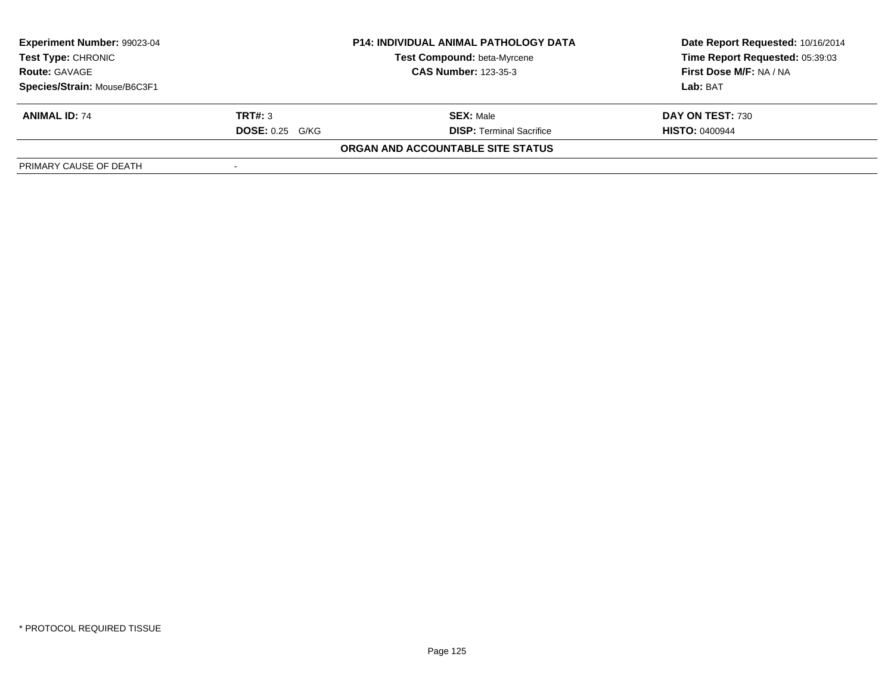| Experiment Number: 99023-04  |                        | <b>P14: INDIVIDUAL ANIMAL PATHOLOGY DATA</b> | Date Report Requested: 10/16/2014 |
|------------------------------|------------------------|----------------------------------------------|-----------------------------------|
| <b>Test Type: CHRONIC</b>    |                        | <b>Test Compound: beta-Myrcene</b>           | Time Report Requested: 05:39:03   |
| <b>Route: GAVAGE</b>         |                        | <b>CAS Number: 123-35-3</b>                  | First Dose M/F: NA / NA           |
| Species/Strain: Mouse/B6C3F1 |                        |                                              | Lab: BAT                          |
| <b>ANIMAL ID: 74</b>         | TRT#: 3                | <b>SEX: Male</b>                             | DAY ON TEST: 730                  |
|                              | <b>DOSE: 0.25 G/KG</b> | <b>DISP: Terminal Sacrifice</b>              | <b>HISTO: 0400944</b>             |
|                              |                        | ORGAN AND ACCOUNTABLE SITE STATUS            |                                   |
| PRIMARY CAUSE OF DEATH       |                        |                                              |                                   |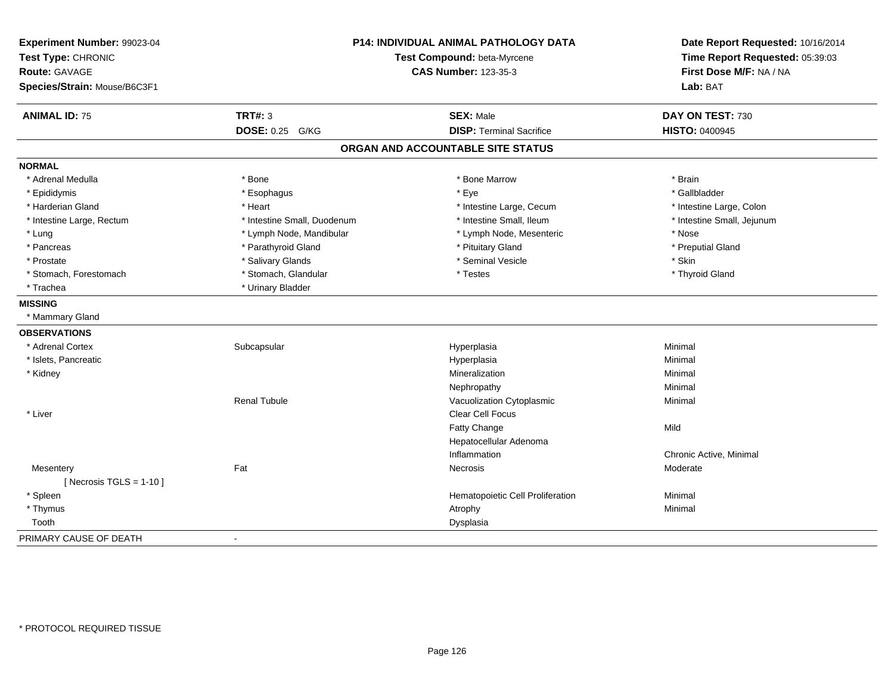| Experiment Number: 99023-04<br>Test Type: CHRONIC<br><b>Route: GAVAGE</b><br>Species/Strain: Mouse/B6C3F1 |                             | <b>P14: INDIVIDUAL ANIMAL PATHOLOGY DATA</b><br>Test Compound: beta-Myrcene<br><b>CAS Number: 123-35-3</b> | Date Report Requested: 10/16/2014<br>Time Report Requested: 05:39:03<br>First Dose M/F: NA / NA<br>Lab: BAT |
|-----------------------------------------------------------------------------------------------------------|-----------------------------|------------------------------------------------------------------------------------------------------------|-------------------------------------------------------------------------------------------------------------|
| <b>ANIMAL ID: 75</b>                                                                                      | <b>TRT#: 3</b>              | <b>SEX: Male</b>                                                                                           | DAY ON TEST: 730                                                                                            |
|                                                                                                           | DOSE: 0.25 G/KG             | <b>DISP: Terminal Sacrifice</b>                                                                            | HISTO: 0400945                                                                                              |
|                                                                                                           |                             | ORGAN AND ACCOUNTABLE SITE STATUS                                                                          |                                                                                                             |
| <b>NORMAL</b>                                                                                             |                             |                                                                                                            |                                                                                                             |
| * Adrenal Medulla                                                                                         | * Bone                      | * Bone Marrow                                                                                              | * Brain                                                                                                     |
| * Epididymis                                                                                              | * Esophagus                 | * Eye                                                                                                      | * Gallbladder                                                                                               |
| * Harderian Gland                                                                                         | * Heart                     | * Intestine Large, Cecum                                                                                   | * Intestine Large, Colon                                                                                    |
| * Intestine Large, Rectum                                                                                 | * Intestine Small, Duodenum | * Intestine Small, Ileum                                                                                   | * Intestine Small, Jejunum                                                                                  |
| * Lung                                                                                                    | * Lymph Node, Mandibular    | * Lymph Node, Mesenteric                                                                                   | * Nose                                                                                                      |
| * Pancreas                                                                                                | * Parathyroid Gland         | * Pituitary Gland                                                                                          | * Preputial Gland                                                                                           |
| * Prostate                                                                                                | * Salivary Glands           | * Seminal Vesicle                                                                                          | * Skin                                                                                                      |
| * Stomach, Forestomach                                                                                    | * Stomach, Glandular        | * Testes                                                                                                   | * Thyroid Gland                                                                                             |
| * Trachea                                                                                                 | * Urinary Bladder           |                                                                                                            |                                                                                                             |
| <b>MISSING</b>                                                                                            |                             |                                                                                                            |                                                                                                             |
| * Mammary Gland                                                                                           |                             |                                                                                                            |                                                                                                             |
| <b>OBSERVATIONS</b>                                                                                       |                             |                                                                                                            |                                                                                                             |
| * Adrenal Cortex                                                                                          | Subcapsular                 | Hyperplasia                                                                                                | Minimal                                                                                                     |
| * Islets, Pancreatic                                                                                      |                             | Hyperplasia                                                                                                | Minimal                                                                                                     |
| * Kidney                                                                                                  |                             | Mineralization                                                                                             | Minimal                                                                                                     |
|                                                                                                           |                             | Nephropathy                                                                                                | Minimal                                                                                                     |
|                                                                                                           | <b>Renal Tubule</b>         | Vacuolization Cytoplasmic                                                                                  | Minimal                                                                                                     |
| * Liver                                                                                                   |                             | <b>Clear Cell Focus</b>                                                                                    |                                                                                                             |
|                                                                                                           |                             | Fatty Change                                                                                               | Mild                                                                                                        |
|                                                                                                           |                             | Hepatocellular Adenoma                                                                                     |                                                                                                             |
|                                                                                                           |                             | Inflammation                                                                                               | Chronic Active, Minimal                                                                                     |
| Mesentery<br>[ Necrosis TGLS = $1-10$ ]                                                                   | Fat                         | Necrosis                                                                                                   | Moderate                                                                                                    |
| * Spleen                                                                                                  |                             | Hematopoietic Cell Proliferation                                                                           | Minimal                                                                                                     |
| * Thymus                                                                                                  |                             | Atrophy                                                                                                    | Minimal                                                                                                     |
| Tooth                                                                                                     |                             | Dysplasia                                                                                                  |                                                                                                             |
| PRIMARY CAUSE OF DEATH                                                                                    | $\blacksquare$              |                                                                                                            |                                                                                                             |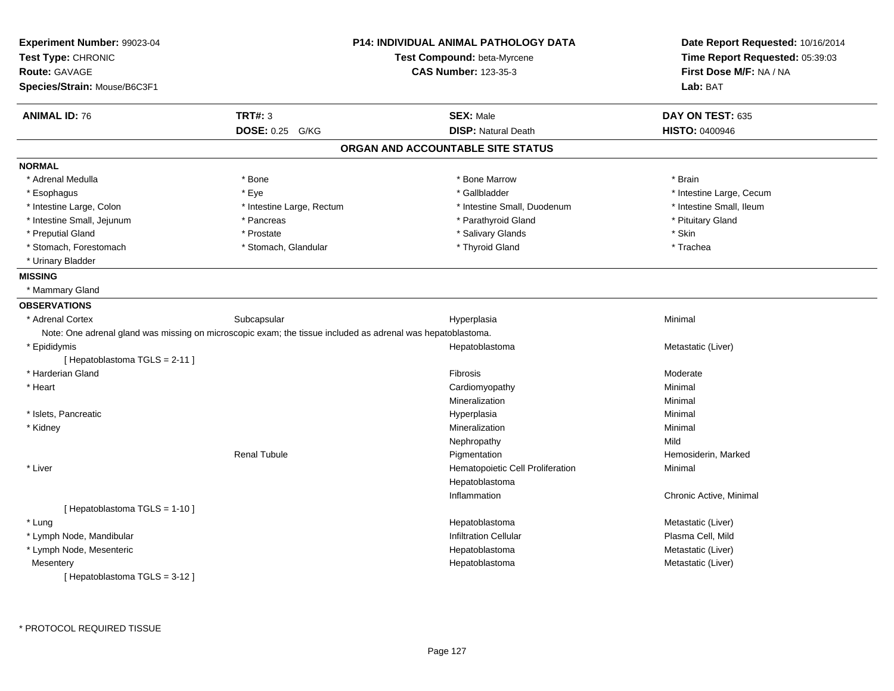| Experiment Number: 99023-04<br>Test Type: CHRONIC<br><b>Route: GAVAGE</b><br>Species/Strain: Mouse/B6C3F1   |                           | <b>P14: INDIVIDUAL ANIMAL PATHOLOGY DATA</b><br>Test Compound: beta-Myrcene<br><b>CAS Number: 123-35-3</b> | Date Report Requested: 10/16/2014<br>Time Report Requested: 05:39:03<br>First Dose M/F: NA / NA<br>Lab: BAT |
|-------------------------------------------------------------------------------------------------------------|---------------------------|------------------------------------------------------------------------------------------------------------|-------------------------------------------------------------------------------------------------------------|
|                                                                                                             |                           |                                                                                                            |                                                                                                             |
| <b>ANIMAL ID: 76</b>                                                                                        | <b>TRT#: 3</b>            | <b>SEX: Male</b>                                                                                           | DAY ON TEST: 635                                                                                            |
|                                                                                                             | <b>DOSE: 0.25</b><br>G/KG | <b>DISP: Natural Death</b>                                                                                 | <b>HISTO: 0400946</b>                                                                                       |
|                                                                                                             |                           | ORGAN AND ACCOUNTABLE SITE STATUS                                                                          |                                                                                                             |
| <b>NORMAL</b>                                                                                               |                           |                                                                                                            |                                                                                                             |
| * Adrenal Medulla                                                                                           | * Bone                    | * Bone Marrow                                                                                              | * Brain                                                                                                     |
| * Esophagus                                                                                                 | * Eye                     | * Gallbladder                                                                                              | * Intestine Large, Cecum                                                                                    |
| * Intestine Large, Colon                                                                                    | * Intestine Large, Rectum | * Intestine Small, Duodenum                                                                                | * Intestine Small, Ileum                                                                                    |
| * Intestine Small, Jejunum                                                                                  | * Pancreas                | * Parathyroid Gland                                                                                        | * Pituitary Gland                                                                                           |
| * Preputial Gland                                                                                           | * Prostate                | * Salivary Glands                                                                                          | * Skin                                                                                                      |
| * Stomach, Forestomach                                                                                      | * Stomach, Glandular      | * Thyroid Gland                                                                                            | * Trachea                                                                                                   |
| * Urinary Bladder                                                                                           |                           |                                                                                                            |                                                                                                             |
| <b>MISSING</b>                                                                                              |                           |                                                                                                            |                                                                                                             |
| * Mammary Gland                                                                                             |                           |                                                                                                            |                                                                                                             |
| <b>OBSERVATIONS</b>                                                                                         |                           |                                                                                                            |                                                                                                             |
| * Adrenal Cortex                                                                                            | Subcapsular               | Hyperplasia                                                                                                | Minimal                                                                                                     |
| Note: One adrenal gland was missing on microscopic exam; the tissue included as adrenal was hepatoblastoma. |                           |                                                                                                            |                                                                                                             |
| * Epididymis                                                                                                |                           | Hepatoblastoma                                                                                             | Metastatic (Liver)                                                                                          |
| [Hepatoblastoma TGLS = 2-11]                                                                                |                           |                                                                                                            |                                                                                                             |
| * Harderian Gland                                                                                           |                           | Fibrosis                                                                                                   | Moderate                                                                                                    |
| * Heart                                                                                                     |                           | Cardiomyopathy                                                                                             | Minimal                                                                                                     |
|                                                                                                             |                           | Mineralization                                                                                             | Minimal                                                                                                     |
| * Islets, Pancreatic                                                                                        |                           | Hyperplasia                                                                                                | Minimal                                                                                                     |
| * Kidney                                                                                                    |                           | Mineralization                                                                                             | Minimal                                                                                                     |
|                                                                                                             |                           | Nephropathy                                                                                                | Mild                                                                                                        |
|                                                                                                             | <b>Renal Tubule</b>       | Pigmentation                                                                                               | Hemosiderin, Marked                                                                                         |
| * Liver                                                                                                     |                           | Hematopoietic Cell Proliferation                                                                           | Minimal                                                                                                     |
|                                                                                                             |                           | Hepatoblastoma                                                                                             |                                                                                                             |
|                                                                                                             |                           | Inflammation                                                                                               | Chronic Active, Minimal                                                                                     |
| [Hepatoblastoma TGLS = 1-10]                                                                                |                           |                                                                                                            |                                                                                                             |
| * Lung                                                                                                      |                           | Hepatoblastoma                                                                                             | Metastatic (Liver)                                                                                          |
| * Lymph Node, Mandibular                                                                                    |                           | Infiltration Cellular                                                                                      | Plasma Cell, Mild                                                                                           |
| * Lymph Node, Mesenteric                                                                                    |                           | Hepatoblastoma                                                                                             | Metastatic (Liver)                                                                                          |
| Mesentery                                                                                                   |                           | Hepatoblastoma                                                                                             | Metastatic (Liver)                                                                                          |
| [Hepatoblastoma TGLS = 3-12]                                                                                |                           |                                                                                                            |                                                                                                             |
|                                                                                                             |                           |                                                                                                            |                                                                                                             |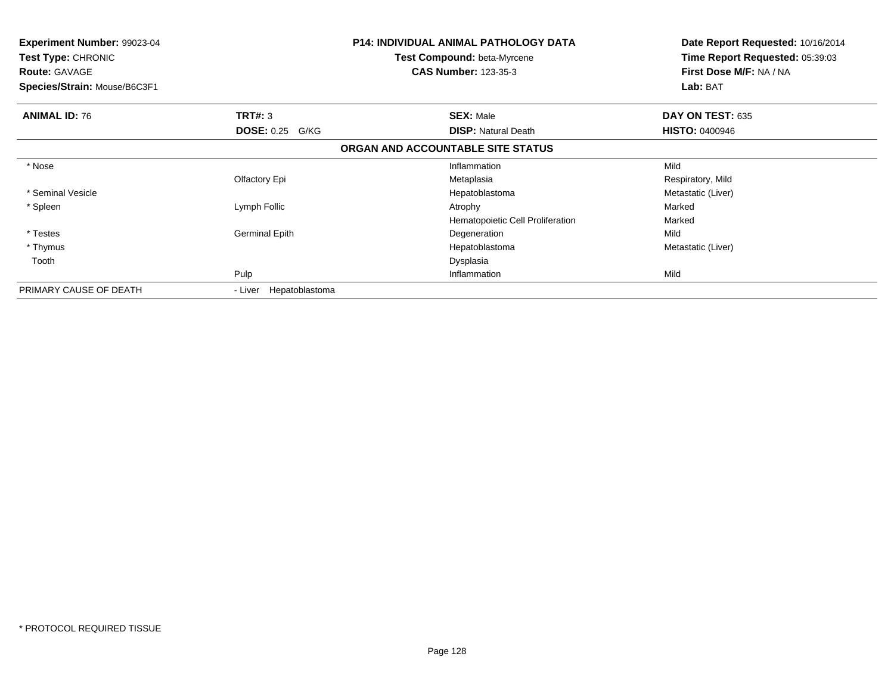| <b>Experiment Number: 99023-04</b><br><b>Test Type: CHRONIC</b><br><b>Route: GAVAGE</b><br>Species/Strain: Mouse/B6C3F1 |                        | <b>P14: INDIVIDUAL ANIMAL PATHOLOGY DATA</b><br><b>Test Compound: beta-Myrcene</b><br><b>CAS Number: 123-35-3</b> | Date Report Requested: 10/16/2014<br>Time Report Requested: 05:39:03<br>First Dose M/F: NA / NA<br>Lab: BAT |
|-------------------------------------------------------------------------------------------------------------------------|------------------------|-------------------------------------------------------------------------------------------------------------------|-------------------------------------------------------------------------------------------------------------|
| <b>ANIMAL ID: 76</b>                                                                                                    | TRT#: 3                | <b>SEX: Male</b>                                                                                                  | DAY ON TEST: 635                                                                                            |
|                                                                                                                         | <b>DOSE: 0.25 G/KG</b> | <b>DISP: Natural Death</b>                                                                                        | <b>HISTO: 0400946</b>                                                                                       |
|                                                                                                                         |                        | ORGAN AND ACCOUNTABLE SITE STATUS                                                                                 |                                                                                                             |
| * Nose                                                                                                                  |                        | Inflammation                                                                                                      | Mild                                                                                                        |
|                                                                                                                         | Olfactory Epi          | Metaplasia                                                                                                        | Respiratory, Mild                                                                                           |
| * Seminal Vesicle                                                                                                       |                        | Hepatoblastoma                                                                                                    | Metastatic (Liver)                                                                                          |
| * Spleen                                                                                                                | Lymph Follic           | Atrophy                                                                                                           | Marked                                                                                                      |
|                                                                                                                         |                        | Hematopoietic Cell Proliferation                                                                                  | Marked                                                                                                      |
| * Testes                                                                                                                | <b>Germinal Epith</b>  | Degeneration                                                                                                      | Mild                                                                                                        |
| * Thymus                                                                                                                |                        | Hepatoblastoma                                                                                                    | Metastatic (Liver)                                                                                          |
| Tooth                                                                                                                   |                        | Dysplasia                                                                                                         |                                                                                                             |
|                                                                                                                         | Pulp                   | Inflammation                                                                                                      | Mild                                                                                                        |
| PRIMARY CAUSE OF DEATH                                                                                                  | - Liver Hepatoblastoma |                                                                                                                   |                                                                                                             |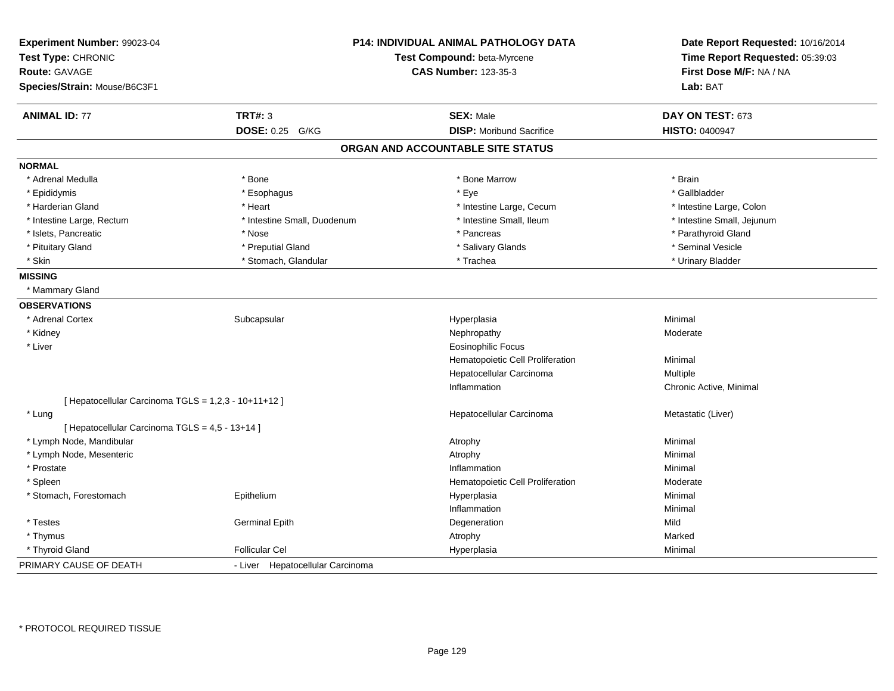| Experiment Number: 99023-04<br>Test Type: CHRONIC<br><b>Route: GAVAGE</b><br>Species/Strain: Mouse/B6C3F1 |                                  | P14: INDIVIDUAL ANIMAL PATHOLOGY DATA<br>Test Compound: beta-Myrcene<br><b>CAS Number: 123-35-3</b> | Date Report Requested: 10/16/2014<br>Time Report Requested: 05:39:03<br>First Dose M/F: NA / NA<br>Lab: BAT |
|-----------------------------------------------------------------------------------------------------------|----------------------------------|-----------------------------------------------------------------------------------------------------|-------------------------------------------------------------------------------------------------------------|
| <b>ANIMAL ID: 77</b>                                                                                      | <b>TRT#: 3</b>                   | <b>SEX: Male</b>                                                                                    | DAY ON TEST: 673                                                                                            |
|                                                                                                           | DOSE: 0.25 G/KG                  | <b>DISP: Moribund Sacrifice</b>                                                                     | <b>HISTO: 0400947</b>                                                                                       |
|                                                                                                           |                                  | ORGAN AND ACCOUNTABLE SITE STATUS                                                                   |                                                                                                             |
| <b>NORMAL</b>                                                                                             |                                  |                                                                                                     |                                                                                                             |
| * Adrenal Medulla                                                                                         | * Bone                           | * Bone Marrow                                                                                       | * Brain                                                                                                     |
| * Epididymis                                                                                              | * Esophagus                      | * Eye                                                                                               | * Gallbladder                                                                                               |
| * Harderian Gland                                                                                         | * Heart                          | * Intestine Large, Cecum                                                                            | * Intestine Large, Colon                                                                                    |
| * Intestine Large, Rectum                                                                                 | * Intestine Small, Duodenum      | * Intestine Small, Ileum                                                                            | * Intestine Small, Jejunum                                                                                  |
| * Islets, Pancreatic                                                                                      | * Nose                           | * Pancreas                                                                                          | * Parathyroid Gland                                                                                         |
| * Pituitary Gland                                                                                         | * Preputial Gland                | * Salivary Glands                                                                                   | * Seminal Vesicle                                                                                           |
| * Skin                                                                                                    | * Stomach, Glandular             | * Trachea                                                                                           | * Urinary Bladder                                                                                           |
| <b>MISSING</b>                                                                                            |                                  |                                                                                                     |                                                                                                             |
| * Mammary Gland                                                                                           |                                  |                                                                                                     |                                                                                                             |
| <b>OBSERVATIONS</b>                                                                                       |                                  |                                                                                                     |                                                                                                             |
| * Adrenal Cortex                                                                                          | Subcapsular                      | Hyperplasia                                                                                         | Minimal                                                                                                     |
| * Kidney                                                                                                  |                                  | Nephropathy                                                                                         | Moderate                                                                                                    |
| * Liver                                                                                                   |                                  | <b>Eosinophilic Focus</b>                                                                           |                                                                                                             |
|                                                                                                           |                                  | Hematopoietic Cell Proliferation                                                                    | Minimal                                                                                                     |
|                                                                                                           |                                  | Hepatocellular Carcinoma                                                                            | Multiple                                                                                                    |
|                                                                                                           |                                  | Inflammation                                                                                        | Chronic Active, Minimal                                                                                     |
| [ Hepatocellular Carcinoma TGLS = 1,2,3 - 10+11+12 ]                                                      |                                  |                                                                                                     |                                                                                                             |
| * Lung                                                                                                    |                                  | Hepatocellular Carcinoma                                                                            | Metastatic (Liver)                                                                                          |
| [ Hepatocellular Carcinoma TGLS = 4,5 - 13+14 ]                                                           |                                  |                                                                                                     |                                                                                                             |
| * Lymph Node, Mandibular                                                                                  |                                  | Atrophy                                                                                             | Minimal                                                                                                     |
| * Lymph Node, Mesenteric                                                                                  |                                  | Atrophy                                                                                             | Minimal                                                                                                     |
| * Prostate                                                                                                |                                  | Inflammation                                                                                        | Minimal                                                                                                     |
| * Spleen                                                                                                  |                                  | Hematopoietic Cell Proliferation                                                                    | Moderate                                                                                                    |
| * Stomach, Forestomach                                                                                    | Epithelium                       | Hyperplasia                                                                                         | Minimal                                                                                                     |
|                                                                                                           |                                  | Inflammation                                                                                        | Minimal                                                                                                     |
| * Testes                                                                                                  | <b>Germinal Epith</b>            | Degeneration                                                                                        | Mild                                                                                                        |
| * Thymus                                                                                                  |                                  | Atrophy                                                                                             | Marked                                                                                                      |
| * Thyroid Gland                                                                                           | <b>Follicular Cel</b>            | Hyperplasia                                                                                         | Minimal                                                                                                     |
| PRIMARY CAUSE OF DEATH                                                                                    | - Liver Hepatocellular Carcinoma |                                                                                                     |                                                                                                             |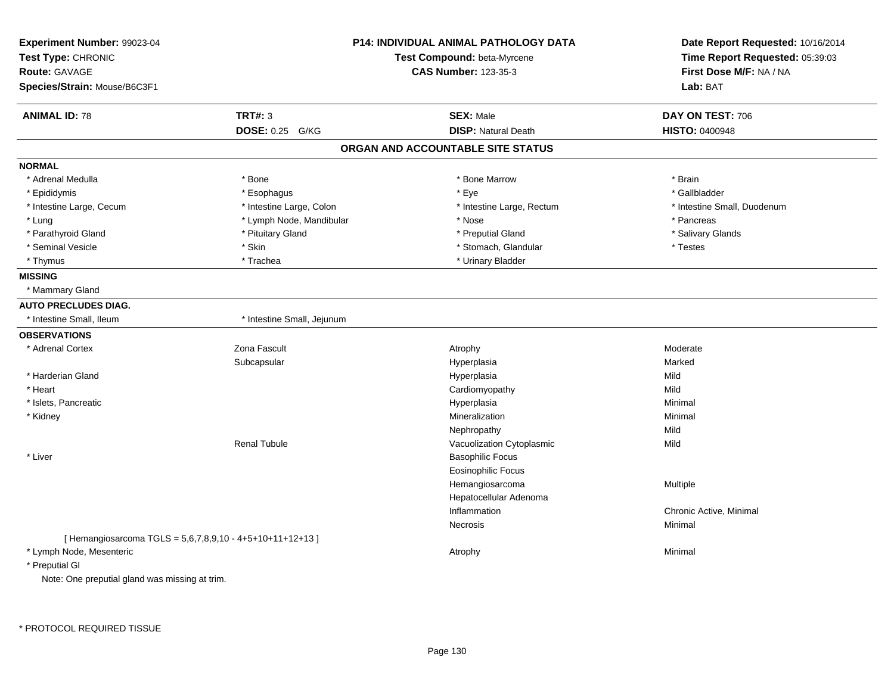| Experiment Number: 99023-04<br>Test Type: CHRONIC<br><b>Route: GAVAGE</b><br>Species/Strain: Mouse/B6C3F1 |                            | <b>P14: INDIVIDUAL ANIMAL PATHOLOGY DATA</b><br>Test Compound: beta-Myrcene<br><b>CAS Number: 123-35-3</b> | Date Report Requested: 10/16/2014<br>Time Report Requested: 05:39:03<br>First Dose M/F: NA / NA<br>Lab: BAT |
|-----------------------------------------------------------------------------------------------------------|----------------------------|------------------------------------------------------------------------------------------------------------|-------------------------------------------------------------------------------------------------------------|
| <b>ANIMAL ID: 78</b>                                                                                      | <b>TRT#: 3</b>             | <b>SEX: Male</b>                                                                                           | DAY ON TEST: 706                                                                                            |
|                                                                                                           | <b>DOSE: 0.25</b><br>G/KG  | <b>DISP: Natural Death</b>                                                                                 | HISTO: 0400948                                                                                              |
|                                                                                                           |                            | ORGAN AND ACCOUNTABLE SITE STATUS                                                                          |                                                                                                             |
| <b>NORMAL</b>                                                                                             |                            |                                                                                                            |                                                                                                             |
| * Adrenal Medulla                                                                                         | * Bone                     | * Bone Marrow                                                                                              | * Brain                                                                                                     |
| * Epididymis                                                                                              | * Esophagus                | * Eye                                                                                                      | * Gallbladder                                                                                               |
| * Intestine Large, Cecum                                                                                  | * Intestine Large, Colon   | * Intestine Large, Rectum                                                                                  | * Intestine Small, Duodenum                                                                                 |
| * Lung                                                                                                    | * Lymph Node, Mandibular   | * Nose                                                                                                     | * Pancreas                                                                                                  |
| * Parathyroid Gland                                                                                       | * Pituitary Gland          | * Preputial Gland                                                                                          | * Salivary Glands                                                                                           |
| * Seminal Vesicle                                                                                         | * Skin                     | * Stomach, Glandular                                                                                       | * Testes                                                                                                    |
| * Thymus                                                                                                  | * Trachea                  | * Urinary Bladder                                                                                          |                                                                                                             |
| <b>MISSING</b>                                                                                            |                            |                                                                                                            |                                                                                                             |
| * Mammary Gland                                                                                           |                            |                                                                                                            |                                                                                                             |
| <b>AUTO PRECLUDES DIAG.</b>                                                                               |                            |                                                                                                            |                                                                                                             |
| * Intestine Small, Ileum                                                                                  | * Intestine Small, Jejunum |                                                                                                            |                                                                                                             |
| <b>OBSERVATIONS</b>                                                                                       |                            |                                                                                                            |                                                                                                             |
| * Adrenal Cortex                                                                                          | Zona Fascult               | Atrophy                                                                                                    | Moderate                                                                                                    |
|                                                                                                           | Subcapsular                | Hyperplasia                                                                                                | Marked                                                                                                      |
| * Harderian Gland                                                                                         |                            | Hyperplasia                                                                                                | Mild                                                                                                        |
| * Heart                                                                                                   |                            | Cardiomyopathy                                                                                             | Mild                                                                                                        |
| * Islets, Pancreatic                                                                                      |                            | Hyperplasia                                                                                                | Minimal                                                                                                     |
| * Kidney                                                                                                  |                            | Mineralization                                                                                             | Minimal                                                                                                     |
|                                                                                                           |                            | Nephropathy                                                                                                | Mild                                                                                                        |
|                                                                                                           | <b>Renal Tubule</b>        | Vacuolization Cytoplasmic                                                                                  | Mild                                                                                                        |
| * Liver                                                                                                   |                            | <b>Basophilic Focus</b>                                                                                    |                                                                                                             |
|                                                                                                           |                            | <b>Eosinophilic Focus</b>                                                                                  |                                                                                                             |
|                                                                                                           |                            | Hemangiosarcoma                                                                                            | Multiple                                                                                                    |
|                                                                                                           |                            | Hepatocellular Adenoma                                                                                     |                                                                                                             |
|                                                                                                           |                            | Inflammation                                                                                               | Chronic Active, Minimal                                                                                     |
|                                                                                                           |                            | Necrosis                                                                                                   | Minimal                                                                                                     |
| [Hemangiosarcoma TGLS = 5,6,7,8,9,10 - 4+5+10+11+12+13]                                                   |                            |                                                                                                            |                                                                                                             |
| * Lymph Node, Mesenteric                                                                                  |                            | Atrophy                                                                                                    | Minimal                                                                                                     |
| * Preputial GI                                                                                            |                            |                                                                                                            |                                                                                                             |
| Note: One preputial gland was missing at trim.                                                            |                            |                                                                                                            |                                                                                                             |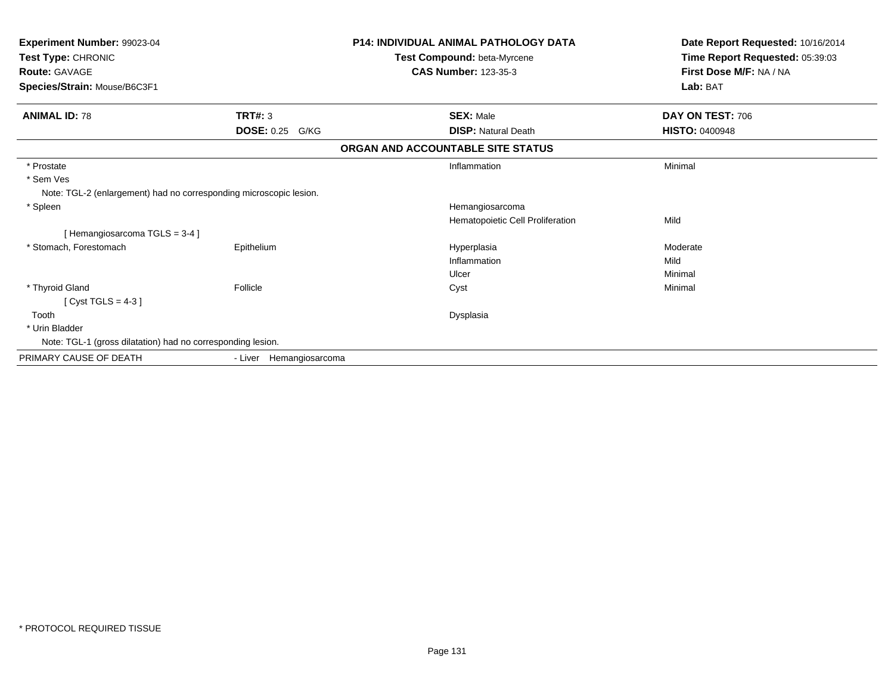| Experiment Number: 99023-04<br>Test Type: CHRONIC<br><b>Route: GAVAGE</b><br>Species/Strain: Mouse/B6C3F1 |                           | <b>P14: INDIVIDUAL ANIMAL PATHOLOGY DATA</b><br>Test Compound: beta-Myrcene<br><b>CAS Number: 123-35-3</b> | Date Report Requested: 10/16/2014<br>Time Report Requested: 05:39:03<br>First Dose M/F: NA / NA<br>Lab: BAT |
|-----------------------------------------------------------------------------------------------------------|---------------------------|------------------------------------------------------------------------------------------------------------|-------------------------------------------------------------------------------------------------------------|
| <b>ANIMAL ID: 78</b>                                                                                      | TRT#: 3                   | <b>SEX: Male</b>                                                                                           | DAY ON TEST: 706                                                                                            |
|                                                                                                           | <b>DOSE: 0.25</b><br>G/KG | <b>DISP: Natural Death</b>                                                                                 | <b>HISTO: 0400948</b>                                                                                       |
|                                                                                                           |                           | ORGAN AND ACCOUNTABLE SITE STATUS                                                                          |                                                                                                             |
| * Prostate<br>* Sem Ves<br>Note: TGL-2 (enlargement) had no corresponding microscopic lesion.             |                           | Inflammation                                                                                               | Minimal                                                                                                     |
| * Spleen<br>[Hemangiosarcoma TGLS = 3-4]                                                                  |                           | Hemangiosarcoma<br>Hematopoietic Cell Proliferation                                                        | Mild                                                                                                        |
| * Stomach, Forestomach                                                                                    | Epithelium                | Hyperplasia<br>Inflammation<br>Ulcer                                                                       | Moderate<br>Mild<br>Minimal                                                                                 |
| * Thyroid Gland<br>[Cyst TGLS = $4-3$ ]                                                                   | Follicle                  | Cyst                                                                                                       | Minimal                                                                                                     |
| Tooth<br>* Urin Bladder                                                                                   |                           | Dysplasia                                                                                                  |                                                                                                             |
| Note: TGL-1 (gross dilatation) had no corresponding lesion.                                               |                           |                                                                                                            |                                                                                                             |
| PRIMARY CAUSE OF DEATH                                                                                    | - Liver Hemangiosarcoma   |                                                                                                            |                                                                                                             |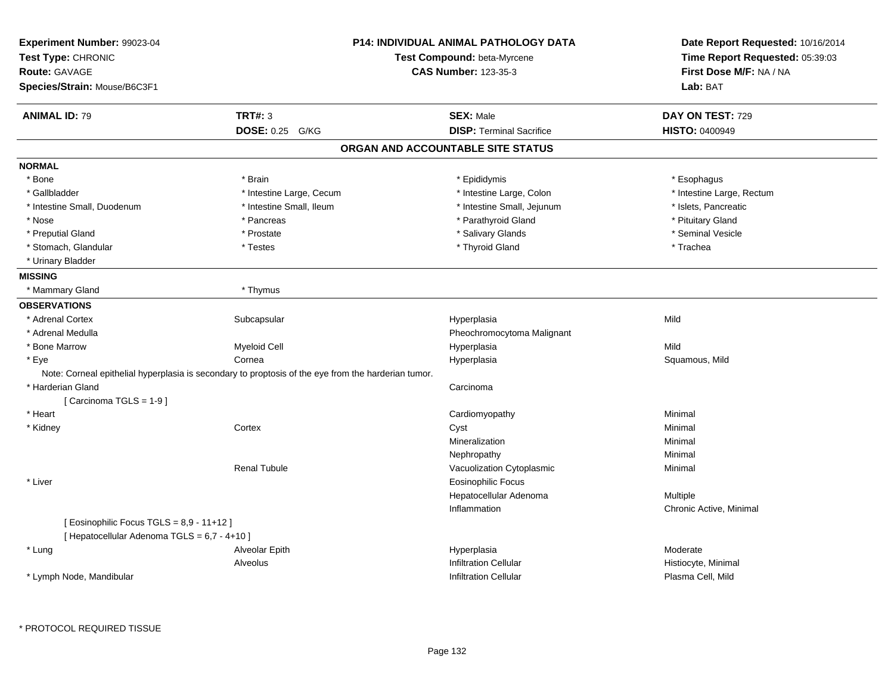| <b>TRT#: 3</b><br><b>ANIMAL ID: 79</b><br>DOSE: 0.25 G/KG<br><b>NORMAL</b><br>* Bone<br>* Brain<br>* Gallbladder<br>* Intestine Large, Cecum<br>* Intestine Small, Duodenum<br>* Intestine Small, Ileum<br>* Nose<br>* Pancreas<br>* Preputial Gland<br>* Prostate<br>* Stomach, Glandular<br>* Testes | <b>SEX: Male</b><br><b>DISP: Terminal Sacrifice</b><br>ORGAN AND ACCOUNTABLE SITE STATUS<br>* Epididymis<br>* Intestine Large, Colon<br>* Intestine Small, Jejunum<br>* Parathyroid Gland<br>* Salivary Glands<br>* Thyroid Gland | DAY ON TEST: 729<br><b>HISTO: 0400949</b><br>* Esophagus<br>* Intestine Large, Rectum<br>* Islets, Pancreatic<br>* Pituitary Gland |
|--------------------------------------------------------------------------------------------------------------------------------------------------------------------------------------------------------------------------------------------------------------------------------------------------------|-----------------------------------------------------------------------------------------------------------------------------------------------------------------------------------------------------------------------------------|------------------------------------------------------------------------------------------------------------------------------------|
|                                                                                                                                                                                                                                                                                                        |                                                                                                                                                                                                                                   |                                                                                                                                    |
|                                                                                                                                                                                                                                                                                                        |                                                                                                                                                                                                                                   |                                                                                                                                    |
|                                                                                                                                                                                                                                                                                                        |                                                                                                                                                                                                                                   |                                                                                                                                    |
|                                                                                                                                                                                                                                                                                                        |                                                                                                                                                                                                                                   |                                                                                                                                    |
|                                                                                                                                                                                                                                                                                                        |                                                                                                                                                                                                                                   |                                                                                                                                    |
|                                                                                                                                                                                                                                                                                                        |                                                                                                                                                                                                                                   |                                                                                                                                    |
|                                                                                                                                                                                                                                                                                                        |                                                                                                                                                                                                                                   |                                                                                                                                    |
|                                                                                                                                                                                                                                                                                                        |                                                                                                                                                                                                                                   |                                                                                                                                    |
|                                                                                                                                                                                                                                                                                                        |                                                                                                                                                                                                                                   | * Seminal Vesicle                                                                                                                  |
|                                                                                                                                                                                                                                                                                                        |                                                                                                                                                                                                                                   | * Trachea                                                                                                                          |
| * Urinary Bladder                                                                                                                                                                                                                                                                                      |                                                                                                                                                                                                                                   |                                                                                                                                    |
| <b>MISSING</b>                                                                                                                                                                                                                                                                                         |                                                                                                                                                                                                                                   |                                                                                                                                    |
| * Mammary Gland<br>* Thymus                                                                                                                                                                                                                                                                            |                                                                                                                                                                                                                                   |                                                                                                                                    |
| <b>OBSERVATIONS</b>                                                                                                                                                                                                                                                                                    |                                                                                                                                                                                                                                   |                                                                                                                                    |
| * Adrenal Cortex<br>Subcapsular                                                                                                                                                                                                                                                                        | Hyperplasia                                                                                                                                                                                                                       | Mild                                                                                                                               |
| * Adrenal Medulla                                                                                                                                                                                                                                                                                      | Pheochromocytoma Malignant                                                                                                                                                                                                        |                                                                                                                                    |
| * Bone Marrow<br><b>Myeloid Cell</b>                                                                                                                                                                                                                                                                   | Hyperplasia                                                                                                                                                                                                                       | Mild                                                                                                                               |
| * Eye<br>Cornea                                                                                                                                                                                                                                                                                        | Hyperplasia                                                                                                                                                                                                                       | Squamous, Mild                                                                                                                     |
| Note: Corneal epithelial hyperplasia is secondary to proptosis of the eye from the harderian tumor.                                                                                                                                                                                                    |                                                                                                                                                                                                                                   |                                                                                                                                    |
| * Harderian Gland                                                                                                                                                                                                                                                                                      | Carcinoma                                                                                                                                                                                                                         |                                                                                                                                    |
| [Carcinoma TGLS = 1-9]                                                                                                                                                                                                                                                                                 |                                                                                                                                                                                                                                   |                                                                                                                                    |
| * Heart                                                                                                                                                                                                                                                                                                | Cardiomyopathy                                                                                                                                                                                                                    | Minimal                                                                                                                            |
| Cortex<br>* Kidney                                                                                                                                                                                                                                                                                     | Cyst                                                                                                                                                                                                                              | Minimal                                                                                                                            |
|                                                                                                                                                                                                                                                                                                        | Mineralization                                                                                                                                                                                                                    | Minimal                                                                                                                            |
|                                                                                                                                                                                                                                                                                                        | Nephropathy                                                                                                                                                                                                                       | Minimal                                                                                                                            |
| <b>Renal Tubule</b>                                                                                                                                                                                                                                                                                    | Vacuolization Cytoplasmic                                                                                                                                                                                                         | Minimal                                                                                                                            |
| * Liver                                                                                                                                                                                                                                                                                                | Eosinophilic Focus                                                                                                                                                                                                                |                                                                                                                                    |
|                                                                                                                                                                                                                                                                                                        | Hepatocellular Adenoma                                                                                                                                                                                                            | Multiple                                                                                                                           |
|                                                                                                                                                                                                                                                                                                        | Inflammation                                                                                                                                                                                                                      | Chronic Active, Minimal                                                                                                            |
| [ Eosinophilic Focus TGLS = 8,9 - 11+12 ]<br>[ Hepatocellular Adenoma TGLS = 6,7 - 4+10 ]                                                                                                                                                                                                              |                                                                                                                                                                                                                                   |                                                                                                                                    |
| * Lung<br>Alveolar Epith                                                                                                                                                                                                                                                                               | Hyperplasia                                                                                                                                                                                                                       | Moderate                                                                                                                           |
| Alveolus                                                                                                                                                                                                                                                                                               | <b>Infiltration Cellular</b>                                                                                                                                                                                                      | Histiocyte, Minimal                                                                                                                |
| * Lymph Node, Mandibular                                                                                                                                                                                                                                                                               | <b>Infiltration Cellular</b>                                                                                                                                                                                                      | Plasma Cell, Mild                                                                                                                  |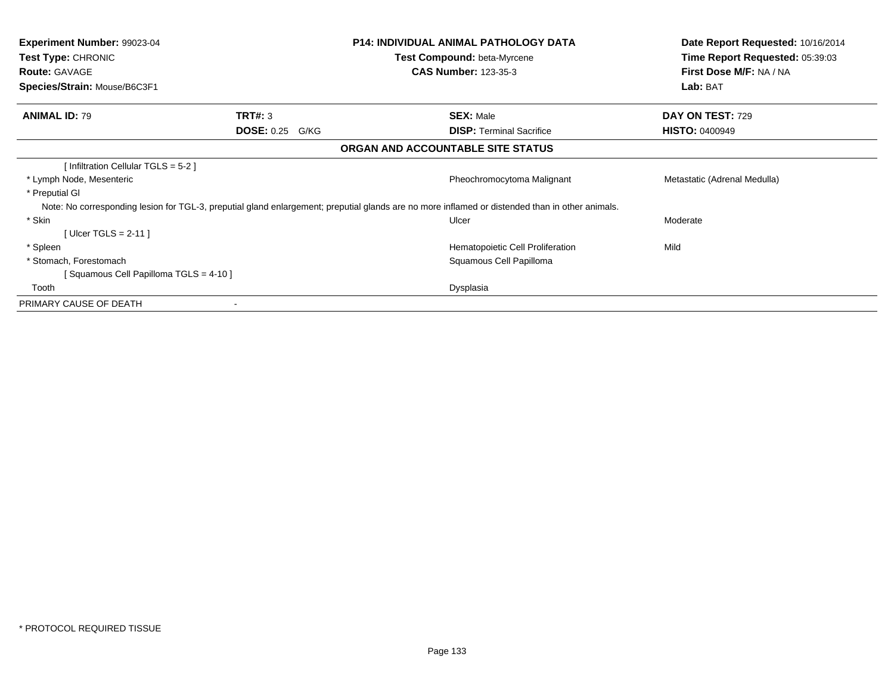| <b>Experiment Number: 99023-04</b><br>Test Type: CHRONIC<br><b>Route: GAVAGE</b> |                        | <b>P14: INDIVIDUAL ANIMAL PATHOLOGY DATA</b><br>Test Compound: beta-Myrcene<br><b>CAS Number: 123-35-3</b>                                      | Date Report Requested: 10/16/2014<br>Time Report Requested: 05:39:03<br>First Dose M/F: NA / NA |
|----------------------------------------------------------------------------------|------------------------|-------------------------------------------------------------------------------------------------------------------------------------------------|-------------------------------------------------------------------------------------------------|
| Species/Strain: Mouse/B6C3F1                                                     |                        |                                                                                                                                                 | Lab: BAT                                                                                        |
| <b>ANIMAL ID: 79</b>                                                             | TRT#: 3                | <b>SEX: Male</b>                                                                                                                                | DAY ON TEST: 729                                                                                |
|                                                                                  | <b>DOSE: 0.25 G/KG</b> | <b>DISP:</b> Terminal Sacrifice                                                                                                                 | <b>HISTO: 0400949</b>                                                                           |
|                                                                                  |                        | ORGAN AND ACCOUNTABLE SITE STATUS                                                                                                               |                                                                                                 |
| [Infiltration Cellular TGLS = 5-2]                                               |                        |                                                                                                                                                 |                                                                                                 |
| * Lymph Node, Mesenteric                                                         |                        | Pheochromocytoma Malignant                                                                                                                      | Metastatic (Adrenal Medulla)                                                                    |
| * Preputial GI                                                                   |                        |                                                                                                                                                 |                                                                                                 |
|                                                                                  |                        | Note: No corresponding lesion for TGL-3, preputial gland enlargement; preputial glands are no more inflamed or distended than in other animals. |                                                                                                 |
| * Skin                                                                           |                        | Ulcer                                                                                                                                           | Moderate                                                                                        |
| [Ulcer TGLS = $2-11$ ]                                                           |                        |                                                                                                                                                 |                                                                                                 |
| * Spleen                                                                         |                        | Hematopoietic Cell Proliferation                                                                                                                | Mild                                                                                            |
| * Stomach, Forestomach                                                           |                        | Squamous Cell Papilloma                                                                                                                         |                                                                                                 |
| [Squamous Cell Papilloma TGLS = 4-10]                                            |                        |                                                                                                                                                 |                                                                                                 |
| Tooth                                                                            |                        | Dysplasia                                                                                                                                       |                                                                                                 |
| PRIMARY CAUSE OF DEATH                                                           |                        |                                                                                                                                                 |                                                                                                 |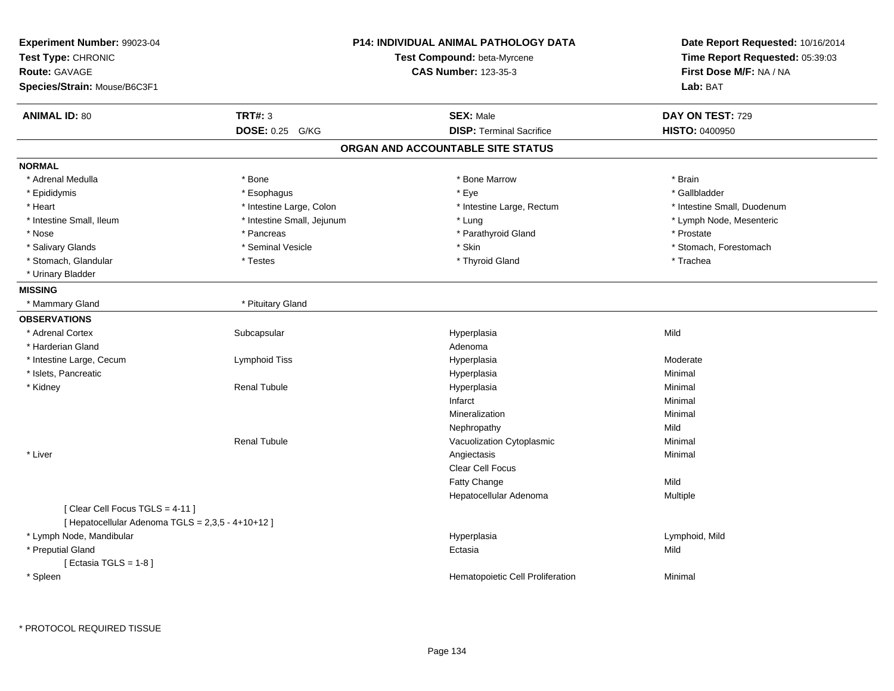| <b>TRT#: 3</b><br><b>ANIMAL ID: 80</b><br><b>SEX: Male</b><br>DAY ON TEST: 729<br><b>DISP: Terminal Sacrifice</b><br>DOSE: 0.25 G/KG<br><b>HISTO: 0400950</b><br>ORGAN AND ACCOUNTABLE SITE STATUS<br>* Adrenal Medulla<br>* Bone<br>* Bone Marrow<br>* Brain<br>* Gallbladder<br>* Epididymis<br>* Esophagus<br>* Eye<br>* Heart<br>* Intestine Large, Colon<br>* Intestine Large, Rectum<br>* Intestine Small, Duodenum<br>* Intestine Small, Jejunum<br>* Intestine Small, Ileum<br>* Lymph Node, Mesenteric<br>* Lung<br>* Parathyroid Gland<br>* Nose<br>* Pancreas<br>* Prostate<br>* Salivary Glands<br>* Seminal Vesicle<br>* Skin<br>* Stomach, Forestomach<br>* Stomach, Glandular<br>* Testes<br>* Thyroid Gland<br>* Trachea<br>* Urinary Bladder<br>* Pituitary Gland<br>* Mammary Gland<br>Mild<br>* Adrenal Cortex<br>Subcapsular<br>Hyperplasia<br>* Harderian Gland<br>Adenoma<br>* Intestine Large, Cecum<br>Lymphoid Tiss<br>Hyperplasia<br>Moderate<br>* Islets, Pancreatic<br>Hyperplasia<br>Minimal<br><b>Renal Tubule</b><br>* Kidney<br>Hyperplasia<br>Minimal<br>Infarct<br>Minimal<br>Minimal<br>Mineralization<br>Mild<br>Nephropathy<br>Minimal<br><b>Renal Tubule</b><br>Vacuolization Cytoplasmic<br>* Liver<br>Minimal<br>Angiectasis<br>Clear Cell Focus<br>Mild<br>Fatty Change<br>Hepatocellular Adenoma<br>Multiple<br>[Clear Cell Focus TGLS = 4-11]<br>[ Hepatocellular Adenoma TGLS = 2,3,5 - 4+10+12 ]<br>* Lymph Node, Mandibular<br>Hyperplasia<br>Lymphoid, Mild<br>* Preputial Gland<br>Mild<br>Ectasia<br>[ Ectasia TGLS = $1-8$ ]<br>* Spleen<br>Hematopoietic Cell Proliferation<br>Minimal | Experiment Number: 99023-04<br>Test Type: CHRONIC<br>Route: GAVAGE<br>Species/Strain: Mouse/B6C3F1 | P14: INDIVIDUAL ANIMAL PATHOLOGY DATA<br>Test Compound: beta-Myrcene<br><b>CAS Number: 123-35-3</b> | Date Report Requested: 10/16/2014<br>Time Report Requested: 05:39:03<br>First Dose M/F: NA / NA<br>Lab: BAT |
|-------------------------------------------------------------------------------------------------------------------------------------------------------------------------------------------------------------------------------------------------------------------------------------------------------------------------------------------------------------------------------------------------------------------------------------------------------------------------------------------------------------------------------------------------------------------------------------------------------------------------------------------------------------------------------------------------------------------------------------------------------------------------------------------------------------------------------------------------------------------------------------------------------------------------------------------------------------------------------------------------------------------------------------------------------------------------------------------------------------------------------------------------------------------------------------------------------------------------------------------------------------------------------------------------------------------------------------------------------------------------------------------------------------------------------------------------------------------------------------------------------------------------------------------------------------------------------------------------------------------------------------------|----------------------------------------------------------------------------------------------------|-----------------------------------------------------------------------------------------------------|-------------------------------------------------------------------------------------------------------------|
|                                                                                                                                                                                                                                                                                                                                                                                                                                                                                                                                                                                                                                                                                                                                                                                                                                                                                                                                                                                                                                                                                                                                                                                                                                                                                                                                                                                                                                                                                                                                                                                                                                           |                                                                                                    |                                                                                                     |                                                                                                             |
|                                                                                                                                                                                                                                                                                                                                                                                                                                                                                                                                                                                                                                                                                                                                                                                                                                                                                                                                                                                                                                                                                                                                                                                                                                                                                                                                                                                                                                                                                                                                                                                                                                           |                                                                                                    |                                                                                                     |                                                                                                             |
|                                                                                                                                                                                                                                                                                                                                                                                                                                                                                                                                                                                                                                                                                                                                                                                                                                                                                                                                                                                                                                                                                                                                                                                                                                                                                                                                                                                                                                                                                                                                                                                                                                           |                                                                                                    |                                                                                                     |                                                                                                             |
|                                                                                                                                                                                                                                                                                                                                                                                                                                                                                                                                                                                                                                                                                                                                                                                                                                                                                                                                                                                                                                                                                                                                                                                                                                                                                                                                                                                                                                                                                                                                                                                                                                           | <b>NORMAL</b>                                                                                      |                                                                                                     |                                                                                                             |
|                                                                                                                                                                                                                                                                                                                                                                                                                                                                                                                                                                                                                                                                                                                                                                                                                                                                                                                                                                                                                                                                                                                                                                                                                                                                                                                                                                                                                                                                                                                                                                                                                                           |                                                                                                    |                                                                                                     |                                                                                                             |
|                                                                                                                                                                                                                                                                                                                                                                                                                                                                                                                                                                                                                                                                                                                                                                                                                                                                                                                                                                                                                                                                                                                                                                                                                                                                                                                                                                                                                                                                                                                                                                                                                                           |                                                                                                    |                                                                                                     |                                                                                                             |
|                                                                                                                                                                                                                                                                                                                                                                                                                                                                                                                                                                                                                                                                                                                                                                                                                                                                                                                                                                                                                                                                                                                                                                                                                                                                                                                                                                                                                                                                                                                                                                                                                                           |                                                                                                    |                                                                                                     |                                                                                                             |
|                                                                                                                                                                                                                                                                                                                                                                                                                                                                                                                                                                                                                                                                                                                                                                                                                                                                                                                                                                                                                                                                                                                                                                                                                                                                                                                                                                                                                                                                                                                                                                                                                                           |                                                                                                    |                                                                                                     |                                                                                                             |
|                                                                                                                                                                                                                                                                                                                                                                                                                                                                                                                                                                                                                                                                                                                                                                                                                                                                                                                                                                                                                                                                                                                                                                                                                                                                                                                                                                                                                                                                                                                                                                                                                                           |                                                                                                    |                                                                                                     |                                                                                                             |
|                                                                                                                                                                                                                                                                                                                                                                                                                                                                                                                                                                                                                                                                                                                                                                                                                                                                                                                                                                                                                                                                                                                                                                                                                                                                                                                                                                                                                                                                                                                                                                                                                                           |                                                                                                    |                                                                                                     |                                                                                                             |
|                                                                                                                                                                                                                                                                                                                                                                                                                                                                                                                                                                                                                                                                                                                                                                                                                                                                                                                                                                                                                                                                                                                                                                                                                                                                                                                                                                                                                                                                                                                                                                                                                                           |                                                                                                    |                                                                                                     |                                                                                                             |
|                                                                                                                                                                                                                                                                                                                                                                                                                                                                                                                                                                                                                                                                                                                                                                                                                                                                                                                                                                                                                                                                                                                                                                                                                                                                                                                                                                                                                                                                                                                                                                                                                                           |                                                                                                    |                                                                                                     |                                                                                                             |
|                                                                                                                                                                                                                                                                                                                                                                                                                                                                                                                                                                                                                                                                                                                                                                                                                                                                                                                                                                                                                                                                                                                                                                                                                                                                                                                                                                                                                                                                                                                                                                                                                                           | <b>MISSING</b>                                                                                     |                                                                                                     |                                                                                                             |
|                                                                                                                                                                                                                                                                                                                                                                                                                                                                                                                                                                                                                                                                                                                                                                                                                                                                                                                                                                                                                                                                                                                                                                                                                                                                                                                                                                                                                                                                                                                                                                                                                                           |                                                                                                    |                                                                                                     |                                                                                                             |
|                                                                                                                                                                                                                                                                                                                                                                                                                                                                                                                                                                                                                                                                                                                                                                                                                                                                                                                                                                                                                                                                                                                                                                                                                                                                                                                                                                                                                                                                                                                                                                                                                                           | <b>OBSERVATIONS</b>                                                                                |                                                                                                     |                                                                                                             |
|                                                                                                                                                                                                                                                                                                                                                                                                                                                                                                                                                                                                                                                                                                                                                                                                                                                                                                                                                                                                                                                                                                                                                                                                                                                                                                                                                                                                                                                                                                                                                                                                                                           |                                                                                                    |                                                                                                     |                                                                                                             |
|                                                                                                                                                                                                                                                                                                                                                                                                                                                                                                                                                                                                                                                                                                                                                                                                                                                                                                                                                                                                                                                                                                                                                                                                                                                                                                                                                                                                                                                                                                                                                                                                                                           |                                                                                                    |                                                                                                     |                                                                                                             |
|                                                                                                                                                                                                                                                                                                                                                                                                                                                                                                                                                                                                                                                                                                                                                                                                                                                                                                                                                                                                                                                                                                                                                                                                                                                                                                                                                                                                                                                                                                                                                                                                                                           |                                                                                                    |                                                                                                     |                                                                                                             |
|                                                                                                                                                                                                                                                                                                                                                                                                                                                                                                                                                                                                                                                                                                                                                                                                                                                                                                                                                                                                                                                                                                                                                                                                                                                                                                                                                                                                                                                                                                                                                                                                                                           |                                                                                                    |                                                                                                     |                                                                                                             |
|                                                                                                                                                                                                                                                                                                                                                                                                                                                                                                                                                                                                                                                                                                                                                                                                                                                                                                                                                                                                                                                                                                                                                                                                                                                                                                                                                                                                                                                                                                                                                                                                                                           |                                                                                                    |                                                                                                     |                                                                                                             |
|                                                                                                                                                                                                                                                                                                                                                                                                                                                                                                                                                                                                                                                                                                                                                                                                                                                                                                                                                                                                                                                                                                                                                                                                                                                                                                                                                                                                                                                                                                                                                                                                                                           |                                                                                                    |                                                                                                     |                                                                                                             |
|                                                                                                                                                                                                                                                                                                                                                                                                                                                                                                                                                                                                                                                                                                                                                                                                                                                                                                                                                                                                                                                                                                                                                                                                                                                                                                                                                                                                                                                                                                                                                                                                                                           |                                                                                                    |                                                                                                     |                                                                                                             |
|                                                                                                                                                                                                                                                                                                                                                                                                                                                                                                                                                                                                                                                                                                                                                                                                                                                                                                                                                                                                                                                                                                                                                                                                                                                                                                                                                                                                                                                                                                                                                                                                                                           |                                                                                                    |                                                                                                     |                                                                                                             |
|                                                                                                                                                                                                                                                                                                                                                                                                                                                                                                                                                                                                                                                                                                                                                                                                                                                                                                                                                                                                                                                                                                                                                                                                                                                                                                                                                                                                                                                                                                                                                                                                                                           |                                                                                                    |                                                                                                     |                                                                                                             |
|                                                                                                                                                                                                                                                                                                                                                                                                                                                                                                                                                                                                                                                                                                                                                                                                                                                                                                                                                                                                                                                                                                                                                                                                                                                                                                                                                                                                                                                                                                                                                                                                                                           |                                                                                                    |                                                                                                     |                                                                                                             |
|                                                                                                                                                                                                                                                                                                                                                                                                                                                                                                                                                                                                                                                                                                                                                                                                                                                                                                                                                                                                                                                                                                                                                                                                                                                                                                                                                                                                                                                                                                                                                                                                                                           |                                                                                                    |                                                                                                     |                                                                                                             |
|                                                                                                                                                                                                                                                                                                                                                                                                                                                                                                                                                                                                                                                                                                                                                                                                                                                                                                                                                                                                                                                                                                                                                                                                                                                                                                                                                                                                                                                                                                                                                                                                                                           |                                                                                                    |                                                                                                     |                                                                                                             |
|                                                                                                                                                                                                                                                                                                                                                                                                                                                                                                                                                                                                                                                                                                                                                                                                                                                                                                                                                                                                                                                                                                                                                                                                                                                                                                                                                                                                                                                                                                                                                                                                                                           |                                                                                                    |                                                                                                     |                                                                                                             |
|                                                                                                                                                                                                                                                                                                                                                                                                                                                                                                                                                                                                                                                                                                                                                                                                                                                                                                                                                                                                                                                                                                                                                                                                                                                                                                                                                                                                                                                                                                                                                                                                                                           |                                                                                                    |                                                                                                     |                                                                                                             |
|                                                                                                                                                                                                                                                                                                                                                                                                                                                                                                                                                                                                                                                                                                                                                                                                                                                                                                                                                                                                                                                                                                                                                                                                                                                                                                                                                                                                                                                                                                                                                                                                                                           |                                                                                                    |                                                                                                     |                                                                                                             |
|                                                                                                                                                                                                                                                                                                                                                                                                                                                                                                                                                                                                                                                                                                                                                                                                                                                                                                                                                                                                                                                                                                                                                                                                                                                                                                                                                                                                                                                                                                                                                                                                                                           |                                                                                                    |                                                                                                     |                                                                                                             |
|                                                                                                                                                                                                                                                                                                                                                                                                                                                                                                                                                                                                                                                                                                                                                                                                                                                                                                                                                                                                                                                                                                                                                                                                                                                                                                                                                                                                                                                                                                                                                                                                                                           |                                                                                                    |                                                                                                     |                                                                                                             |
|                                                                                                                                                                                                                                                                                                                                                                                                                                                                                                                                                                                                                                                                                                                                                                                                                                                                                                                                                                                                                                                                                                                                                                                                                                                                                                                                                                                                                                                                                                                                                                                                                                           |                                                                                                    |                                                                                                     |                                                                                                             |
|                                                                                                                                                                                                                                                                                                                                                                                                                                                                                                                                                                                                                                                                                                                                                                                                                                                                                                                                                                                                                                                                                                                                                                                                                                                                                                                                                                                                                                                                                                                                                                                                                                           |                                                                                                    |                                                                                                     |                                                                                                             |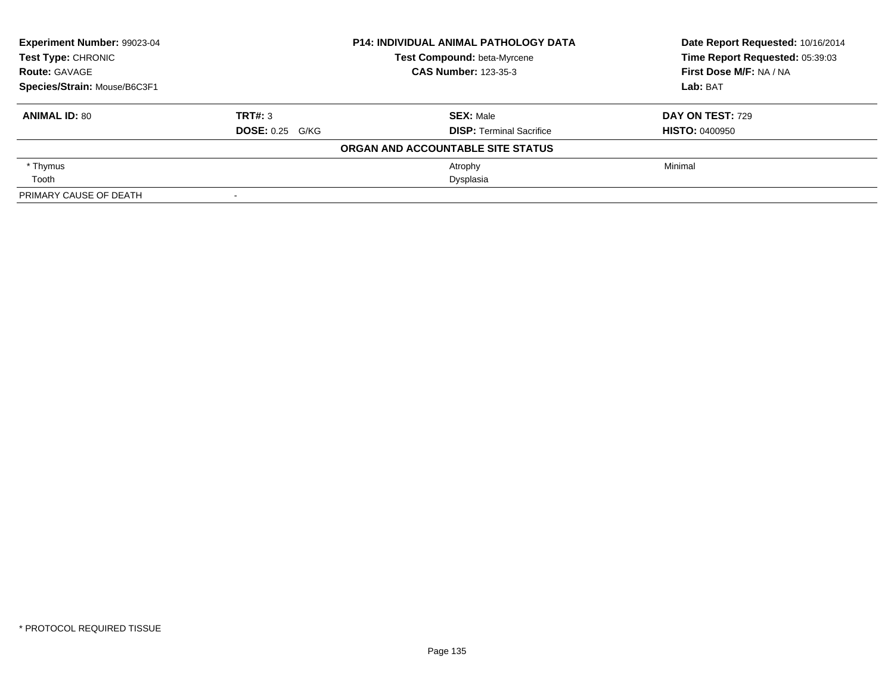| Experiment Number: 99023-04  |                        | <b>P14: INDIVIDUAL ANIMAL PATHOLOGY DATA</b> | Date Report Requested: 10/16/2014 |
|------------------------------|------------------------|----------------------------------------------|-----------------------------------|
| Test Type: CHRONIC           |                        | Test Compound: beta-Myrcene                  | Time Report Requested: 05:39:03   |
| <b>Route: GAVAGE</b>         |                        | <b>CAS Number: 123-35-3</b>                  | First Dose M/F: NA / NA           |
| Species/Strain: Mouse/B6C3F1 |                        |                                              | Lab: BAT                          |
| <b>ANIMAL ID: 80</b>         | TRT#: 3                | <b>SEX: Male</b>                             | <b>DAY ON TEST: 729</b>           |
|                              | <b>DOSE: 0.25 G/KG</b> | <b>DISP: Terminal Sacrifice</b>              | <b>HISTO: 0400950</b>             |
|                              |                        | ORGAN AND ACCOUNTABLE SITE STATUS            |                                   |
| * Thymus                     |                        | Atrophy                                      | Minimal                           |
| Tooth                        |                        | Dysplasia                                    |                                   |
| PRIMARY CAUSE OF DEATH       |                        |                                              |                                   |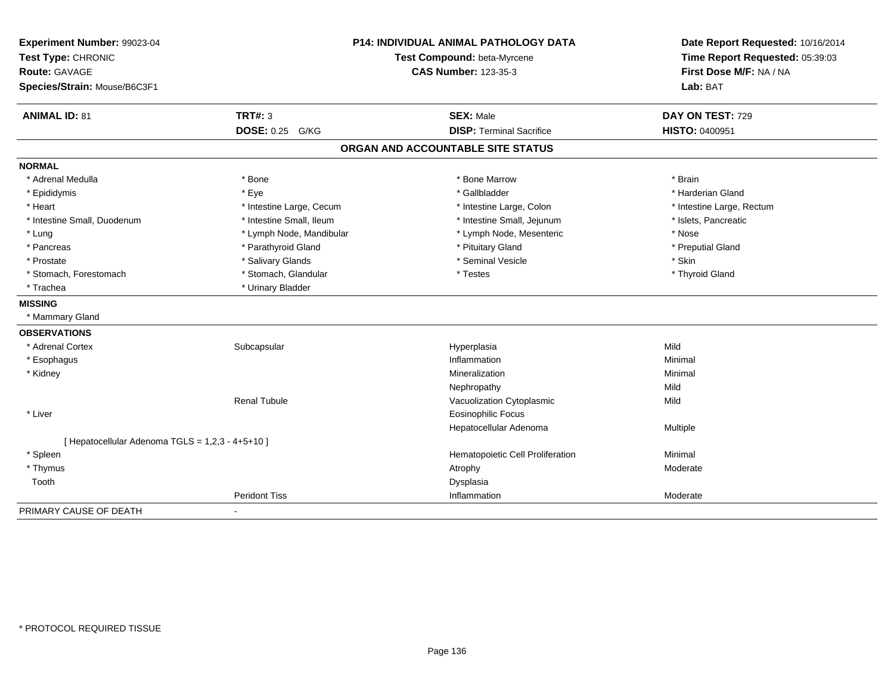| Experiment Number: 99023-04<br>Test Type: CHRONIC<br><b>Route: GAVAGE</b><br>Species/Strain: Mouse/B6C3F1 |                          | <b>P14: INDIVIDUAL ANIMAL PATHOLOGY DATA</b><br>Test Compound: beta-Myrcene<br><b>CAS Number: 123-35-3</b> | Date Report Requested: 10/16/2014<br>Time Report Requested: 05:39:03<br>First Dose M/F: NA / NA<br>Lab: BAT |
|-----------------------------------------------------------------------------------------------------------|--------------------------|------------------------------------------------------------------------------------------------------------|-------------------------------------------------------------------------------------------------------------|
| <b>ANIMAL ID: 81</b>                                                                                      | <b>TRT#: 3</b>           | <b>SEX: Male</b>                                                                                           | DAY ON TEST: 729                                                                                            |
|                                                                                                           | DOSE: 0.25 G/KG          | <b>DISP: Terminal Sacrifice</b>                                                                            | <b>HISTO: 0400951</b>                                                                                       |
|                                                                                                           |                          | ORGAN AND ACCOUNTABLE SITE STATUS                                                                          |                                                                                                             |
| <b>NORMAL</b>                                                                                             |                          |                                                                                                            |                                                                                                             |
| * Adrenal Medulla                                                                                         | * Bone                   | * Bone Marrow                                                                                              | * Brain                                                                                                     |
| * Epididymis                                                                                              | * Eye                    | * Gallbladder                                                                                              | * Harderian Gland                                                                                           |
| * Heart                                                                                                   | * Intestine Large, Cecum | * Intestine Large, Colon                                                                                   | * Intestine Large, Rectum                                                                                   |
| * Intestine Small, Duodenum                                                                               | * Intestine Small, Ileum | * Intestine Small, Jejunum                                                                                 | * Islets, Pancreatic                                                                                        |
| * Lung                                                                                                    | * Lymph Node, Mandibular | * Lymph Node, Mesenteric                                                                                   | * Nose                                                                                                      |
| * Pancreas                                                                                                | * Parathyroid Gland      | * Pituitary Gland                                                                                          | * Preputial Gland                                                                                           |
| * Prostate                                                                                                | * Salivary Glands        | * Seminal Vesicle                                                                                          | * Skin                                                                                                      |
| * Stomach, Forestomach                                                                                    | * Stomach, Glandular     | * Testes                                                                                                   | * Thyroid Gland                                                                                             |
| * Trachea                                                                                                 | * Urinary Bladder        |                                                                                                            |                                                                                                             |
| <b>MISSING</b>                                                                                            |                          |                                                                                                            |                                                                                                             |
| * Mammary Gland                                                                                           |                          |                                                                                                            |                                                                                                             |
| <b>OBSERVATIONS</b>                                                                                       |                          |                                                                                                            |                                                                                                             |
| * Adrenal Cortex                                                                                          | Subcapsular              | Hyperplasia                                                                                                | Mild                                                                                                        |
| * Esophagus                                                                                               |                          | Inflammation                                                                                               | Minimal                                                                                                     |
| * Kidney                                                                                                  |                          | Mineralization                                                                                             | Minimal                                                                                                     |
|                                                                                                           |                          | Nephropathy                                                                                                | Mild                                                                                                        |
|                                                                                                           | <b>Renal Tubule</b>      | Vacuolization Cytoplasmic                                                                                  | Mild                                                                                                        |
| * Liver                                                                                                   |                          | <b>Eosinophilic Focus</b>                                                                                  |                                                                                                             |
|                                                                                                           |                          | Hepatocellular Adenoma                                                                                     | <b>Multiple</b>                                                                                             |
| [ Hepatocellular Adenoma TGLS = 1,2,3 - 4+5+10 ]                                                          |                          |                                                                                                            |                                                                                                             |
| * Spleen                                                                                                  |                          | Hematopoietic Cell Proliferation                                                                           | Minimal                                                                                                     |
| * Thymus                                                                                                  |                          | Atrophy                                                                                                    | Moderate                                                                                                    |
| Tooth                                                                                                     |                          | Dysplasia                                                                                                  |                                                                                                             |
|                                                                                                           | <b>Peridont Tiss</b>     | Inflammation                                                                                               | Moderate                                                                                                    |
| PRIMARY CAUSE OF DEATH                                                                                    | $\blacksquare$           |                                                                                                            |                                                                                                             |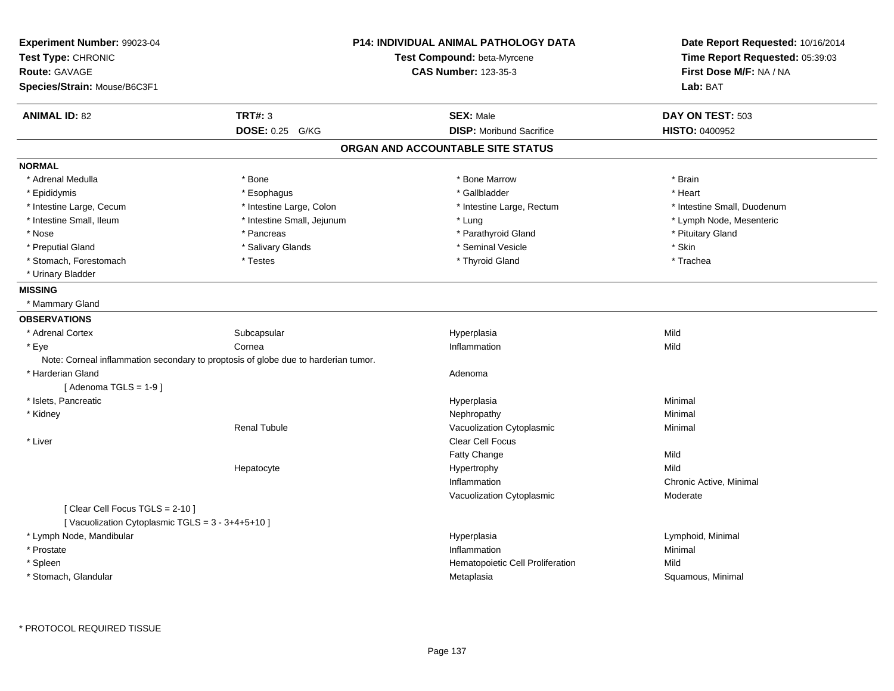| Experiment Number: 99023-04<br>Test Type: CHRONIC<br><b>Route: GAVAGE</b> |                                                                                    | <b>P14: INDIVIDUAL ANIMAL PATHOLOGY DATA</b><br>Test Compound: beta-Myrcene<br><b>CAS Number: 123-35-3</b> | Date Report Requested: 10/16/2014<br>Time Report Requested: 05:39:03<br>First Dose M/F: NA / NA |
|---------------------------------------------------------------------------|------------------------------------------------------------------------------------|------------------------------------------------------------------------------------------------------------|-------------------------------------------------------------------------------------------------|
| Species/Strain: Mouse/B6C3F1                                              |                                                                                    |                                                                                                            | Lab: BAT                                                                                        |
| <b>ANIMAL ID: 82</b>                                                      | <b>TRT#: 3</b>                                                                     | <b>SEX: Male</b>                                                                                           | DAY ON TEST: 503                                                                                |
|                                                                           | DOSE: 0.25 G/KG                                                                    | <b>DISP:</b> Moribund Sacrifice                                                                            | <b>HISTO: 0400952</b>                                                                           |
|                                                                           |                                                                                    | ORGAN AND ACCOUNTABLE SITE STATUS                                                                          |                                                                                                 |
| <b>NORMAL</b>                                                             |                                                                                    |                                                                                                            |                                                                                                 |
| * Adrenal Medulla                                                         | * Bone                                                                             | * Bone Marrow                                                                                              | * Brain                                                                                         |
| * Epididymis                                                              | * Esophagus                                                                        | * Gallbladder                                                                                              | * Heart                                                                                         |
| * Intestine Large, Cecum                                                  | * Intestine Large, Colon                                                           | * Intestine Large, Rectum                                                                                  | * Intestine Small, Duodenum                                                                     |
| * Intestine Small, Ileum                                                  | * Intestine Small, Jejunum                                                         | * Lung                                                                                                     | * Lymph Node, Mesenteric                                                                        |
| * Nose                                                                    | * Pancreas                                                                         | * Parathyroid Gland                                                                                        | * Pituitary Gland                                                                               |
| * Preputial Gland                                                         | * Salivary Glands                                                                  | * Seminal Vesicle                                                                                          | $^\star$ Skin                                                                                   |
| * Stomach, Forestomach                                                    | * Testes                                                                           | * Thyroid Gland                                                                                            | * Trachea                                                                                       |
| * Urinary Bladder                                                         |                                                                                    |                                                                                                            |                                                                                                 |
| <b>MISSING</b>                                                            |                                                                                    |                                                                                                            |                                                                                                 |
| * Mammary Gland                                                           |                                                                                    |                                                                                                            |                                                                                                 |
| <b>OBSERVATIONS</b>                                                       |                                                                                    |                                                                                                            |                                                                                                 |
| * Adrenal Cortex                                                          | Subcapsular                                                                        | Hyperplasia                                                                                                | Mild                                                                                            |
| * Eye                                                                     | Cornea                                                                             | Inflammation                                                                                               | Mild                                                                                            |
|                                                                           | Note: Corneal inflammation secondary to proptosis of globe due to harderian tumor. |                                                                                                            |                                                                                                 |
| * Harderian Gland                                                         |                                                                                    | Adenoma                                                                                                    |                                                                                                 |
| [Adenoma TGLS = $1-9$ ]                                                   |                                                                                    |                                                                                                            |                                                                                                 |
| * Islets, Pancreatic                                                      |                                                                                    | Hyperplasia                                                                                                | Minimal                                                                                         |
| * Kidney                                                                  |                                                                                    | Nephropathy                                                                                                | Minimal                                                                                         |
|                                                                           | <b>Renal Tubule</b>                                                                | Vacuolization Cytoplasmic                                                                                  | Minimal                                                                                         |
| * Liver                                                                   |                                                                                    | Clear Cell Focus                                                                                           |                                                                                                 |
|                                                                           |                                                                                    | Fatty Change                                                                                               | Mild                                                                                            |
|                                                                           | Hepatocyte                                                                         | Hypertrophy                                                                                                | Mild                                                                                            |
|                                                                           |                                                                                    | Inflammation                                                                                               | Chronic Active, Minimal                                                                         |
|                                                                           |                                                                                    | Vacuolization Cytoplasmic                                                                                  | Moderate                                                                                        |
| [Clear Cell Focus TGLS = 2-10]                                            |                                                                                    |                                                                                                            |                                                                                                 |
| [Vacuolization Cytoplasmic TGLS = 3 - 3+4+5+10]                           |                                                                                    |                                                                                                            |                                                                                                 |
| * Lymph Node, Mandibular                                                  |                                                                                    | Hyperplasia                                                                                                | Lymphoid, Minimal                                                                               |
| * Prostate                                                                |                                                                                    | Inflammation                                                                                               | Minimal                                                                                         |
| * Spleen                                                                  |                                                                                    | Hematopoietic Cell Proliferation                                                                           | Mild                                                                                            |
| * Stomach, Glandular                                                      |                                                                                    | Metaplasia                                                                                                 | Squamous, Minimal                                                                               |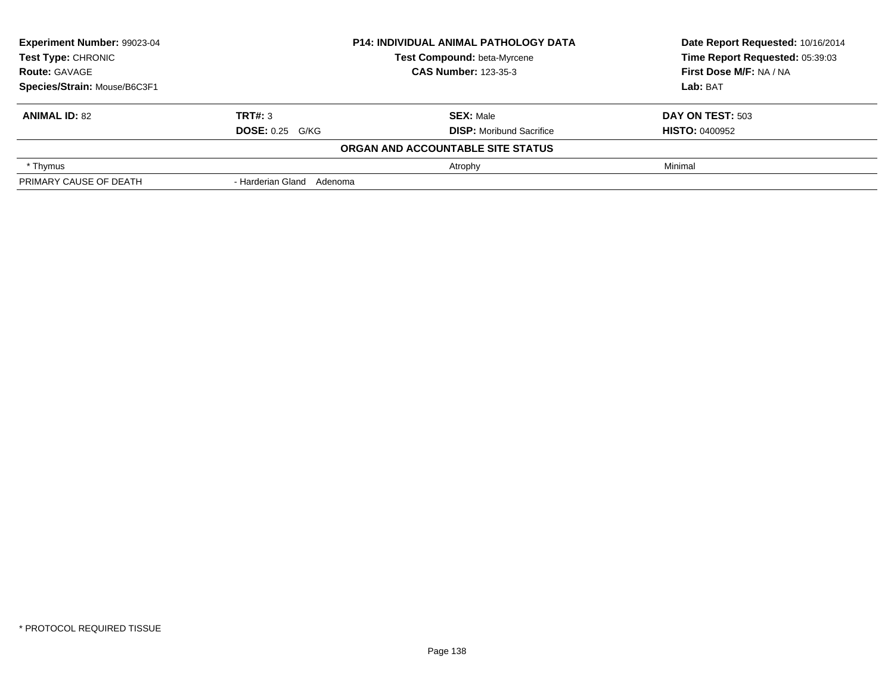| Experiment Number: 99023-04  |                             | <b>P14: INDIVIDUAL ANIMAL PATHOLOGY DATA</b> | Date Report Requested: 10/16/2014<br>Time Report Requested: 05:39:03 |
|------------------------------|-----------------------------|----------------------------------------------|----------------------------------------------------------------------|
| Test Type: CHRONIC           |                             | Test Compound: beta-Myrcene                  |                                                                      |
| <b>Route: GAVAGE</b>         | <b>CAS Number: 123-35-3</b> |                                              | First Dose M/F: NA / NA                                              |
| Species/Strain: Mouse/B6C3F1 |                             |                                              | Lab: BAT                                                             |
| <b>ANIMAL ID: 82</b>         | TRT#: 3                     | <b>SEX: Male</b>                             | DAY ON TEST: 503                                                     |
|                              | <b>DOSE: 0.25 G/KG</b>      | <b>DISP:</b> Moribund Sacrifice              | <b>HISTO: 0400952</b>                                                |
|                              |                             | ORGAN AND ACCOUNTABLE SITE STATUS            |                                                                      |
| * Thymus                     |                             | Atrophy                                      | Minimal                                                              |
| PRIMARY CAUSE OF DEATH       | - Harderian Gland Adenoma   |                                              |                                                                      |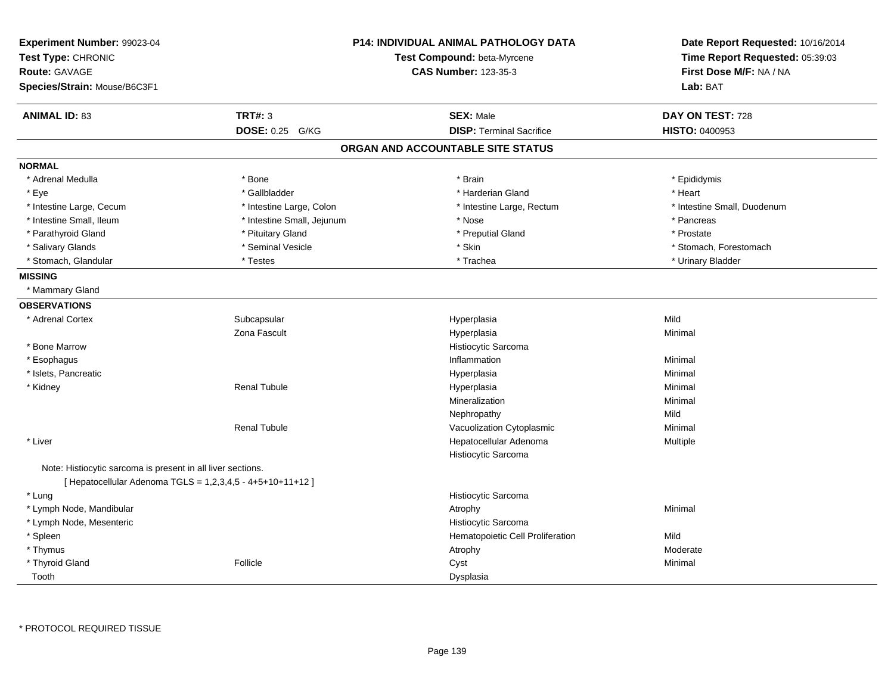| Experiment Number: 99023-04<br>Test Type: CHRONIC           |                            | <b>P14: INDIVIDUAL ANIMAL PATHOLOGY DATA</b><br>Test Compound: beta-Myrcene | Date Report Requested: 10/16/2014<br>Time Report Requested: 05:39:03 |
|-------------------------------------------------------------|----------------------------|-----------------------------------------------------------------------------|----------------------------------------------------------------------|
| <b>Route: GAVAGE</b>                                        |                            | <b>CAS Number: 123-35-3</b>                                                 | First Dose M/F: NA / NA                                              |
| Species/Strain: Mouse/B6C3F1                                |                            |                                                                             | Lab: BAT                                                             |
| <b>ANIMAL ID: 83</b>                                        | <b>TRT#: 3</b>             | <b>SEX: Male</b>                                                            | DAY ON TEST: 728                                                     |
|                                                             | DOSE: 0.25 G/KG            | <b>DISP: Terminal Sacrifice</b>                                             | HISTO: 0400953                                                       |
|                                                             |                            | ORGAN AND ACCOUNTABLE SITE STATUS                                           |                                                                      |
| <b>NORMAL</b>                                               |                            |                                                                             |                                                                      |
| * Adrenal Medulla                                           | * Bone                     | * Brain                                                                     | * Epididymis                                                         |
| * Eye                                                       | * Gallbladder              | * Harderian Gland                                                           | * Heart                                                              |
| * Intestine Large, Cecum                                    | * Intestine Large, Colon   | * Intestine Large, Rectum                                                   | * Intestine Small, Duodenum                                          |
| * Intestine Small, Ileum                                    | * Intestine Small, Jejunum | * Nose                                                                      | * Pancreas                                                           |
| * Parathyroid Gland                                         | * Pituitary Gland          | * Preputial Gland                                                           | * Prostate                                                           |
| * Salivary Glands                                           | * Seminal Vesicle          | * Skin                                                                      | * Stomach, Forestomach                                               |
| * Stomach, Glandular                                        | * Testes                   | * Trachea                                                                   | * Urinary Bladder                                                    |
| <b>MISSING</b>                                              |                            |                                                                             |                                                                      |
| * Mammary Gland                                             |                            |                                                                             |                                                                      |
| <b>OBSERVATIONS</b>                                         |                            |                                                                             |                                                                      |
| * Adrenal Cortex                                            | Subcapsular                | Hyperplasia                                                                 | Mild                                                                 |
|                                                             | Zona Fascult               | Hyperplasia                                                                 | Minimal                                                              |
| * Bone Marrow                                               |                            | Histiocytic Sarcoma                                                         |                                                                      |
| * Esophagus                                                 |                            | Inflammation                                                                | Minimal                                                              |
| * Islets, Pancreatic                                        |                            | Hyperplasia                                                                 | Minimal                                                              |
| * Kidney                                                    | <b>Renal Tubule</b>        | Hyperplasia                                                                 | Minimal                                                              |
|                                                             |                            | Mineralization                                                              | Minimal                                                              |
|                                                             |                            | Nephropathy                                                                 | Mild                                                                 |
|                                                             | <b>Renal Tubule</b>        | Vacuolization Cytoplasmic                                                   | Minimal                                                              |
| * Liver                                                     |                            | Hepatocellular Adenoma                                                      | Multiple                                                             |
|                                                             |                            | Histiocytic Sarcoma                                                         |                                                                      |
| Note: Histiocytic sarcoma is present in all liver sections. |                            |                                                                             |                                                                      |
| [ Hepatocellular Adenoma TGLS = 1,2,3,4,5 - 4+5+10+11+12 ]  |                            |                                                                             |                                                                      |
| * Lung                                                      |                            | Histiocytic Sarcoma                                                         |                                                                      |
| * Lymph Node, Mandibular                                    |                            | Atrophy                                                                     | Minimal                                                              |
| * Lymph Node, Mesenteric                                    |                            | Histiocytic Sarcoma                                                         |                                                                      |
| * Spleen                                                    |                            | Hematopoietic Cell Proliferation                                            | Mild                                                                 |
| * Thymus                                                    |                            | Atrophy                                                                     | Moderate                                                             |
| * Thyroid Gland                                             | Follicle                   | Cyst                                                                        | Minimal                                                              |
| Tooth                                                       |                            | Dysplasia                                                                   |                                                                      |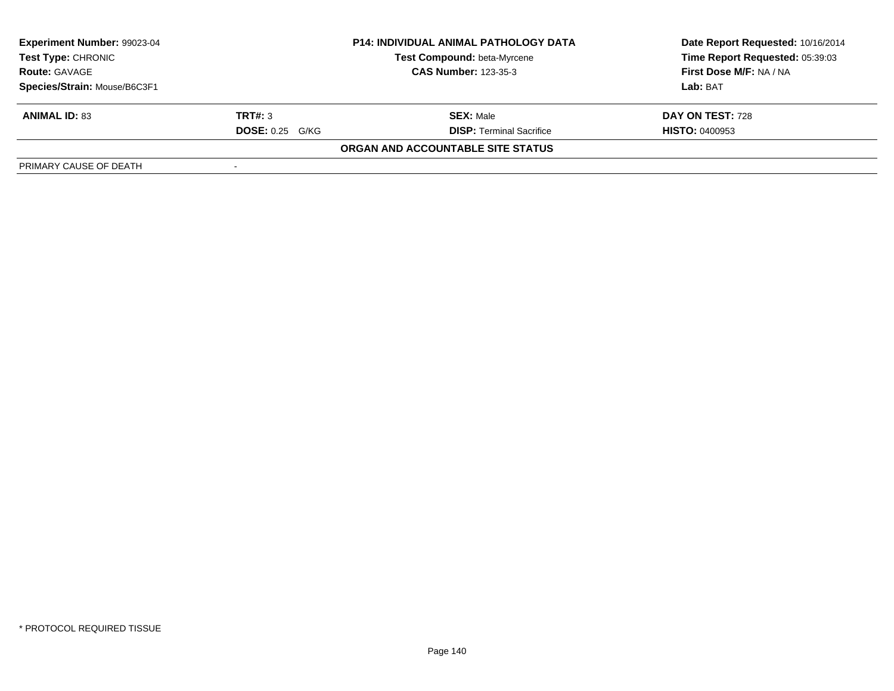| Experiment Number: 99023-04  |                        | <b>P14: INDIVIDUAL ANIMAL PATHOLOGY DATA</b> | Date Report Requested: 10/16/2014 |
|------------------------------|------------------------|----------------------------------------------|-----------------------------------|
| <b>Test Type: CHRONIC</b>    |                        | <b>Test Compound: beta-Myrcene</b>           | Time Report Requested: 05:39:03   |
| <b>Route: GAVAGE</b>         |                        | <b>CAS Number: 123-35-3</b>                  | First Dose M/F: NA / NA           |
| Species/Strain: Mouse/B6C3F1 |                        |                                              | Lab: BAT                          |
| <b>ANIMAL ID: 83</b>         | TRT#: 3                | <b>SEX: Male</b>                             | DAY ON TEST: 728                  |
|                              | <b>DOSE: 0.25 G/KG</b> | <b>DISP: Terminal Sacrifice</b>              | <b>HISTO: 0400953</b>             |
|                              |                        | ORGAN AND ACCOUNTABLE SITE STATUS            |                                   |
| PRIMARY CAUSE OF DEATH       |                        |                                              |                                   |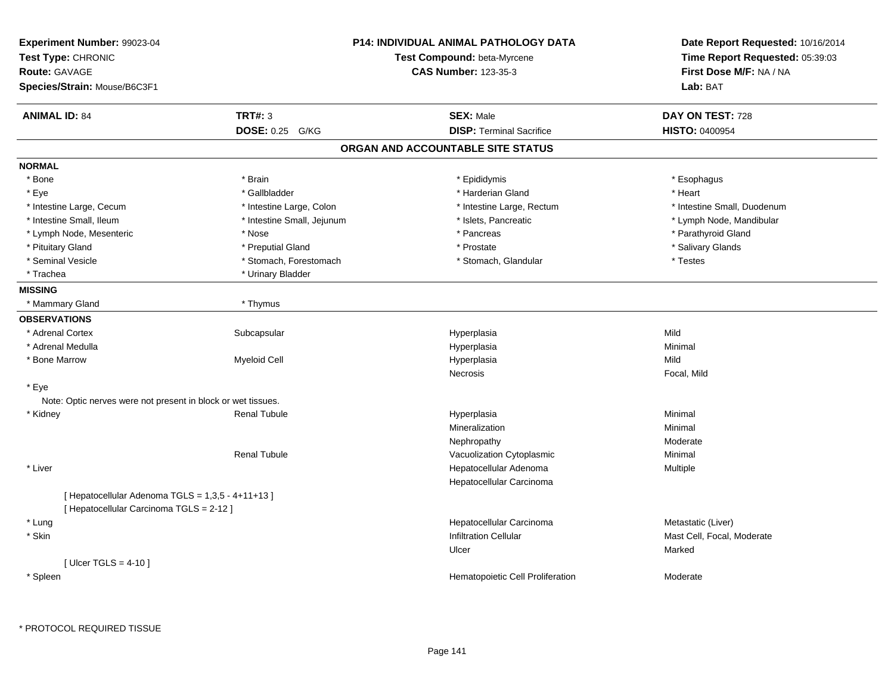| Experiment Number: 99023-04<br>Test Type: CHRONIC<br>Route: GAVAGE<br>Species/Strain: Mouse/B6C3F1 |                                   | <b>P14: INDIVIDUAL ANIMAL PATHOLOGY DATA</b><br>Test Compound: beta-Myrcene<br><b>CAS Number: 123-35-3</b> | Date Report Requested: 10/16/2014<br>Time Report Requested: 05:39:03<br>First Dose M/F: NA / NA<br>Lab: BAT |
|----------------------------------------------------------------------------------------------------|-----------------------------------|------------------------------------------------------------------------------------------------------------|-------------------------------------------------------------------------------------------------------------|
| <b>ANIMAL ID: 84</b>                                                                               | <b>TRT#: 3</b><br>DOSE: 0.25 G/KG | <b>SEX: Male</b><br><b>DISP: Terminal Sacrifice</b>                                                        | DAY ON TEST: 728<br><b>HISTO: 0400954</b>                                                                   |
|                                                                                                    |                                   | ORGAN AND ACCOUNTABLE SITE STATUS                                                                          |                                                                                                             |
|                                                                                                    |                                   |                                                                                                            |                                                                                                             |
| <b>NORMAL</b>                                                                                      |                                   |                                                                                                            |                                                                                                             |
| * Bone                                                                                             | * Brain                           | * Epididymis                                                                                               | * Esophagus                                                                                                 |
| * Eye                                                                                              | * Gallbladder                     | * Harderian Gland                                                                                          | * Heart                                                                                                     |
| * Intestine Large, Cecum                                                                           | * Intestine Large, Colon          | * Intestine Large, Rectum                                                                                  | * Intestine Small, Duodenum                                                                                 |
| * Intestine Small, Ileum                                                                           | * Intestine Small, Jejunum        | * Islets, Pancreatic                                                                                       | * Lymph Node, Mandibular                                                                                    |
| * Lymph Node, Mesenteric<br>* Pituitary Gland                                                      | * Nose<br>* Preputial Gland       | * Pancreas<br>* Prostate                                                                                   | * Parathyroid Gland<br>* Salivary Glands                                                                    |
| * Seminal Vesicle                                                                                  | * Stomach, Forestomach            | * Stomach, Glandular                                                                                       | * Testes                                                                                                    |
| * Trachea                                                                                          | * Urinary Bladder                 |                                                                                                            |                                                                                                             |
| <b>MISSING</b>                                                                                     |                                   |                                                                                                            |                                                                                                             |
| * Mammary Gland                                                                                    | * Thymus                          |                                                                                                            |                                                                                                             |
|                                                                                                    |                                   |                                                                                                            |                                                                                                             |
| <b>OBSERVATIONS</b><br>* Adrenal Cortex                                                            |                                   |                                                                                                            | Mild                                                                                                        |
| * Adrenal Medulla                                                                                  | Subcapsular                       | Hyperplasia                                                                                                | Minimal                                                                                                     |
| * Bone Marrow                                                                                      | <b>Myeloid Cell</b>               | Hyperplasia<br>Hyperplasia                                                                                 | Mild                                                                                                        |
|                                                                                                    |                                   | Necrosis                                                                                                   | Focal, Mild                                                                                                 |
| * Eye                                                                                              |                                   |                                                                                                            |                                                                                                             |
| Note: Optic nerves were not present in block or wet tissues.                                       |                                   |                                                                                                            |                                                                                                             |
| * Kidney                                                                                           | <b>Renal Tubule</b>               | Hyperplasia                                                                                                | Minimal                                                                                                     |
|                                                                                                    |                                   | Mineralization                                                                                             | Minimal                                                                                                     |
|                                                                                                    |                                   | Nephropathy                                                                                                | Moderate                                                                                                    |
|                                                                                                    | <b>Renal Tubule</b>               | Vacuolization Cytoplasmic                                                                                  | Minimal                                                                                                     |
| * Liver                                                                                            |                                   | Hepatocellular Adenoma                                                                                     | Multiple                                                                                                    |
|                                                                                                    |                                   | Hepatocellular Carcinoma                                                                                   |                                                                                                             |
| [ Hepatocellular Adenoma TGLS = 1,3,5 - 4+11+13 ]<br>[ Hepatocellular Carcinoma TGLS = 2-12 ]      |                                   |                                                                                                            |                                                                                                             |
| * Lung                                                                                             |                                   | Hepatocellular Carcinoma                                                                                   | Metastatic (Liver)                                                                                          |
| * Skin                                                                                             |                                   | <b>Infiltration Cellular</b>                                                                               | Mast Cell, Focal, Moderate                                                                                  |
|                                                                                                    |                                   | Ulcer                                                                                                      | Marked                                                                                                      |
| [Ulcer TGLS = $4-10$ ]                                                                             |                                   |                                                                                                            |                                                                                                             |
| * Spleen                                                                                           |                                   | Hematopoietic Cell Proliferation                                                                           | Moderate                                                                                                    |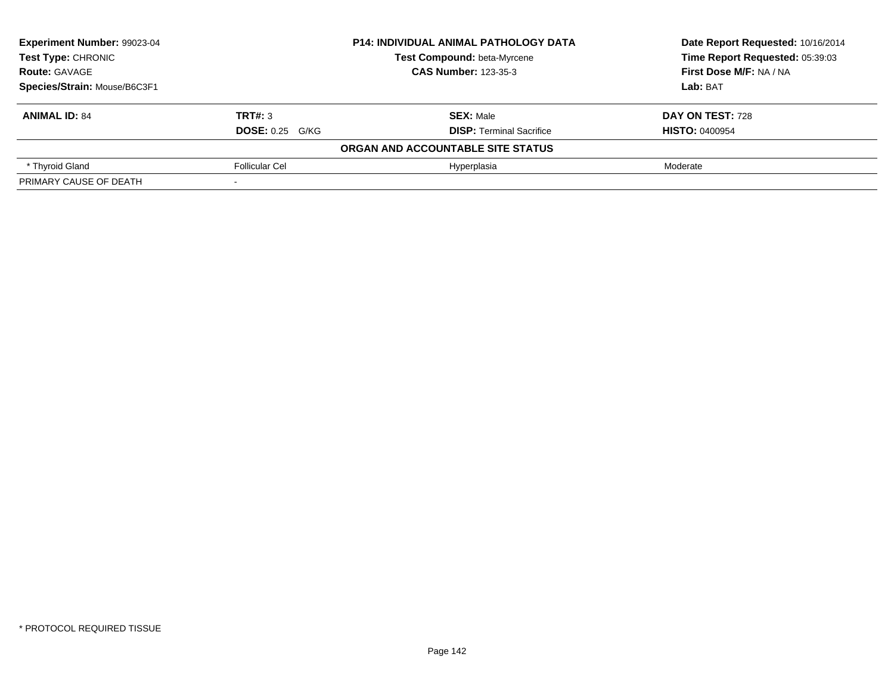| Experiment Number: 99023-04                                                                              |                        | <b>P14: INDIVIDUAL ANIMAL PATHOLOGY DATA</b> | Date Report Requested: 10/16/2014 |
|----------------------------------------------------------------------------------------------------------|------------------------|----------------------------------------------|-----------------------------------|
| Test Type: CHRONIC<br>Test Compound: beta-Myrcene<br><b>CAS Number: 123-35-3</b><br><b>Route: GAVAGE</b> |                        |                                              | Time Report Requested: 05:39:03   |
|                                                                                                          |                        |                                              | First Dose M/F: NA / NA           |
| Species/Strain: Mouse/B6C3F1                                                                             |                        |                                              | Lab: BAT                          |
| <b>ANIMAL ID: 84</b>                                                                                     | TRT#: 3                | <b>SEX: Male</b>                             | DAY ON TEST: 728                  |
|                                                                                                          | <b>DOSE: 0.25 G/KG</b> | <b>DISP: Terminal Sacrifice</b>              | <b>HISTO: 0400954</b>             |
|                                                                                                          |                        | ORGAN AND ACCOUNTABLE SITE STATUS            |                                   |
| * Thyroid Gland                                                                                          | <b>Follicular Cel</b>  | Hyperplasia                                  | Moderate                          |
| PRIMARY CAUSE OF DEATH                                                                                   |                        |                                              |                                   |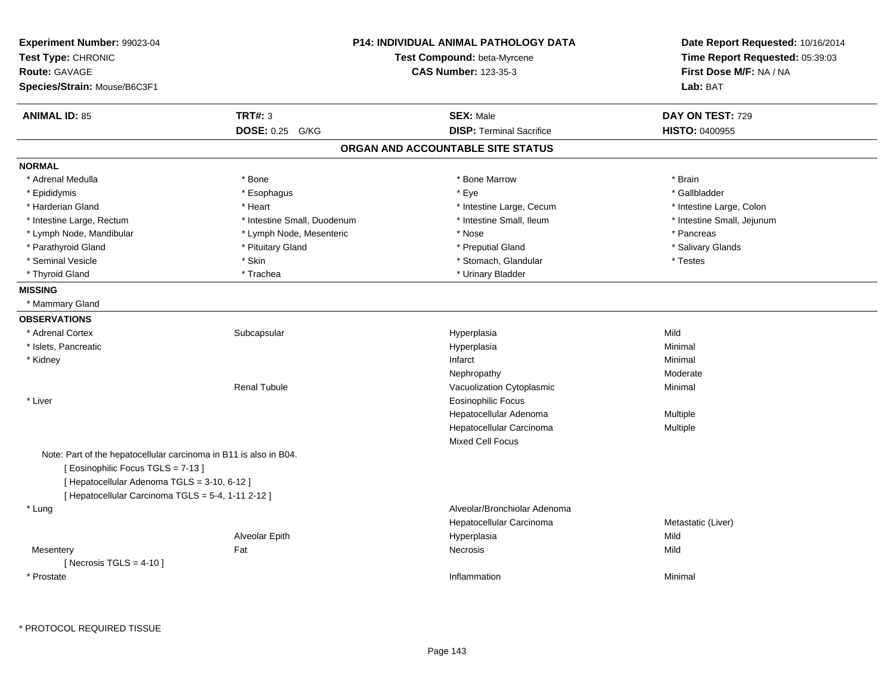| Experiment Number: 99023-04<br>Test Type: CHRONIC<br><b>Route: GAVAGE</b><br>Species/Strain: Mouse/B6C3F1 |                             | <b>P14: INDIVIDUAL ANIMAL PATHOLOGY DATA</b><br>Test Compound: beta-Myrcene<br><b>CAS Number: 123-35-3</b> | Date Report Requested: 10/16/2014<br>Time Report Requested: 05:39:03<br>First Dose M/F: NA / NA<br>Lab: BAT |
|-----------------------------------------------------------------------------------------------------------|-----------------------------|------------------------------------------------------------------------------------------------------------|-------------------------------------------------------------------------------------------------------------|
| <b>ANIMAL ID: 85</b>                                                                                      | <b>TRT#: 3</b>              | <b>SEX: Male</b>                                                                                           | DAY ON TEST: 729                                                                                            |
|                                                                                                           | DOSE: 0.25 G/KG             | <b>DISP: Terminal Sacrifice</b>                                                                            | HISTO: 0400955                                                                                              |
|                                                                                                           |                             | ORGAN AND ACCOUNTABLE SITE STATUS                                                                          |                                                                                                             |
| <b>NORMAL</b>                                                                                             |                             |                                                                                                            |                                                                                                             |
| * Adrenal Medulla                                                                                         | * Bone                      | * Bone Marrow                                                                                              | * Brain                                                                                                     |
| * Epididymis                                                                                              | * Esophagus                 | * Eye                                                                                                      | * Gallbladder                                                                                               |
| * Harderian Gland                                                                                         | * Heart                     | * Intestine Large, Cecum                                                                                   | * Intestine Large, Colon                                                                                    |
| * Intestine Large, Rectum                                                                                 | * Intestine Small, Duodenum | * Intestine Small, Ileum                                                                                   | * Intestine Small, Jejunum                                                                                  |
| * Lymph Node, Mandibular                                                                                  | * Lymph Node, Mesenteric    | * Nose                                                                                                     | * Pancreas                                                                                                  |
| * Parathyroid Gland                                                                                       | * Pituitary Gland           | * Preputial Gland                                                                                          | * Salivary Glands                                                                                           |
| * Seminal Vesicle                                                                                         | * Skin                      | * Stomach, Glandular                                                                                       | * Testes                                                                                                    |
| * Thyroid Gland                                                                                           | * Trachea                   | * Urinary Bladder                                                                                          |                                                                                                             |
| <b>MISSING</b>                                                                                            |                             |                                                                                                            |                                                                                                             |
| * Mammary Gland                                                                                           |                             |                                                                                                            |                                                                                                             |
| <b>OBSERVATIONS</b>                                                                                       |                             |                                                                                                            |                                                                                                             |
| * Adrenal Cortex                                                                                          | Subcapsular                 | Hyperplasia                                                                                                | Mild                                                                                                        |
| * Islets, Pancreatic                                                                                      |                             | Hyperplasia                                                                                                | Minimal                                                                                                     |
| * Kidney                                                                                                  |                             | Infarct                                                                                                    | Minimal                                                                                                     |
|                                                                                                           |                             | Nephropathy                                                                                                | Moderate                                                                                                    |
|                                                                                                           | <b>Renal Tubule</b>         | Vacuolization Cytoplasmic                                                                                  | Minimal                                                                                                     |
| * Liver                                                                                                   |                             | <b>Eosinophilic Focus</b>                                                                                  |                                                                                                             |
|                                                                                                           |                             | Hepatocellular Adenoma                                                                                     | Multiple                                                                                                    |
|                                                                                                           |                             | Hepatocellular Carcinoma                                                                                   | Multiple                                                                                                    |
|                                                                                                           |                             | Mixed Cell Focus                                                                                           |                                                                                                             |
| Note: Part of the hepatocellular carcinoma in B11 is also in B04.                                         |                             |                                                                                                            |                                                                                                             |
| [Eosinophilic Focus TGLS = 7-13]                                                                          |                             |                                                                                                            |                                                                                                             |
| [ Hepatocellular Adenoma TGLS = 3-10, 6-12 ]                                                              |                             |                                                                                                            |                                                                                                             |
| [ Hepatocellular Carcinoma TGLS = 5-4, 1-11 2-12 ]                                                        |                             |                                                                                                            |                                                                                                             |
| * Lung                                                                                                    |                             | Alveolar/Bronchiolar Adenoma                                                                               |                                                                                                             |
|                                                                                                           |                             | Hepatocellular Carcinoma                                                                                   | Metastatic (Liver)                                                                                          |
|                                                                                                           | Alveolar Epith              | Hyperplasia                                                                                                | Mild                                                                                                        |
| Mesentery                                                                                                 | Fat                         | Necrosis                                                                                                   | Mild                                                                                                        |
| [ Necrosis $TGLS = 4-10$ ]                                                                                |                             |                                                                                                            |                                                                                                             |
| * Prostate                                                                                                |                             | Inflammation                                                                                               | Minimal                                                                                                     |
|                                                                                                           |                             |                                                                                                            |                                                                                                             |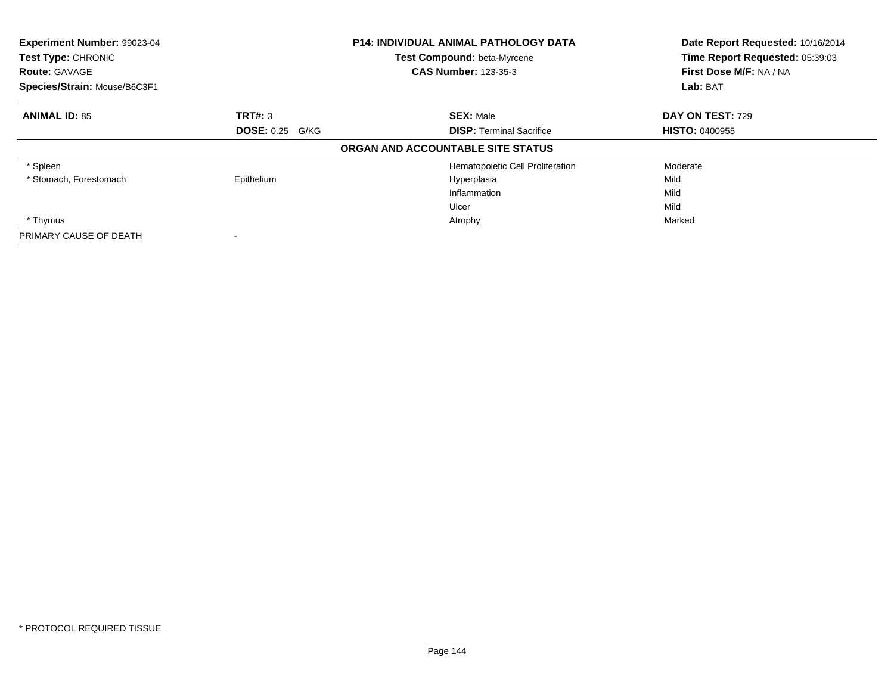| Experiment Number: 99023-04<br><b>P14: INDIVIDUAL ANIMAL PATHOLOGY DATA</b><br>Test Type: CHRONIC<br><b>Test Compound: beta-Myrcene</b><br><b>CAS Number: 123-35-3</b><br><b>Route: GAVAGE</b><br>Species/Strain: Mouse/B6C3F1 |                        |                                   | Date Report Requested: 10/16/2014<br>Time Report Requested: 05:39:03<br>First Dose M/F: NA / NA |
|--------------------------------------------------------------------------------------------------------------------------------------------------------------------------------------------------------------------------------|------------------------|-----------------------------------|-------------------------------------------------------------------------------------------------|
|                                                                                                                                                                                                                                |                        |                                   | Lab: BAT                                                                                        |
| <b>ANIMAL ID: 85</b>                                                                                                                                                                                                           | TRT#: 3                | <b>SEX: Male</b>                  | DAY ON TEST: 729                                                                                |
|                                                                                                                                                                                                                                | <b>DOSE: 0.25 G/KG</b> | <b>DISP:</b> Terminal Sacrifice   | <b>HISTO: 0400955</b>                                                                           |
|                                                                                                                                                                                                                                |                        | ORGAN AND ACCOUNTABLE SITE STATUS |                                                                                                 |
| * Spleen                                                                                                                                                                                                                       |                        | Hematopoietic Cell Proliferation  | Moderate                                                                                        |
| * Stomach, Forestomach                                                                                                                                                                                                         | Epithelium             | Hyperplasia                       | Mild                                                                                            |
|                                                                                                                                                                                                                                |                        | Inflammation                      | Mild                                                                                            |
|                                                                                                                                                                                                                                |                        | Ulcer                             | Mild                                                                                            |
| * Thymus                                                                                                                                                                                                                       |                        | Atrophy                           | Marked                                                                                          |
| PRIMARY CAUSE OF DEATH                                                                                                                                                                                                         |                        |                                   |                                                                                                 |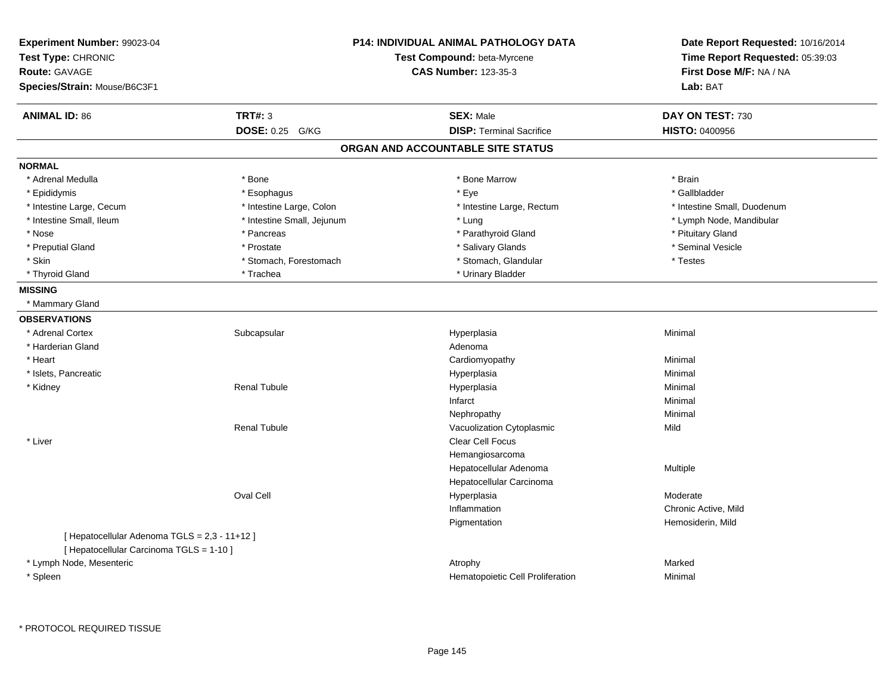| Experiment Number: 99023-04<br>Test Type: CHRONIC<br>Route: GAVAGE<br>Species/Strain: Mouse/B6C3F1 |                            | P14: INDIVIDUAL ANIMAL PATHOLOGY DATA<br>Test Compound: beta-Myrcene<br><b>CAS Number: 123-35-3</b> | Date Report Requested: 10/16/2014<br>Time Report Requested: 05:39:03<br>First Dose M/F: NA / NA<br>Lab: BAT |
|----------------------------------------------------------------------------------------------------|----------------------------|-----------------------------------------------------------------------------------------------------|-------------------------------------------------------------------------------------------------------------|
| <b>ANIMAL ID: 86</b>                                                                               | <b>TRT#: 3</b>             | <b>SEX: Male</b>                                                                                    | DAY ON TEST: 730                                                                                            |
|                                                                                                    | DOSE: 0.25 G/KG            | <b>DISP: Terminal Sacrifice</b>                                                                     | <b>HISTO: 0400956</b>                                                                                       |
|                                                                                                    |                            | ORGAN AND ACCOUNTABLE SITE STATUS                                                                   |                                                                                                             |
| <b>NORMAL</b>                                                                                      |                            |                                                                                                     |                                                                                                             |
| * Adrenal Medulla                                                                                  | * Bone                     | * Bone Marrow                                                                                       | * Brain                                                                                                     |
| * Epididymis                                                                                       | * Esophagus                | * Eye                                                                                               | * Gallbladder                                                                                               |
| * Intestine Large, Cecum                                                                           | * Intestine Large, Colon   | * Intestine Large, Rectum                                                                           | * Intestine Small, Duodenum                                                                                 |
| * Intestine Small, Ileum                                                                           | * Intestine Small, Jejunum | * Lung                                                                                              | * Lymph Node, Mandibular                                                                                    |
| * Nose                                                                                             | * Pancreas                 | * Parathyroid Gland                                                                                 | * Pituitary Gland                                                                                           |
| * Preputial Gland                                                                                  | * Prostate                 | * Salivary Glands                                                                                   | * Seminal Vesicle                                                                                           |
| * Skin                                                                                             | * Stomach, Forestomach     | * Stomach, Glandular                                                                                | * Testes                                                                                                    |
| * Thyroid Gland                                                                                    | * Trachea                  | * Urinary Bladder                                                                                   |                                                                                                             |
| <b>MISSING</b>                                                                                     |                            |                                                                                                     |                                                                                                             |
| * Mammary Gland                                                                                    |                            |                                                                                                     |                                                                                                             |
| <b>OBSERVATIONS</b>                                                                                |                            |                                                                                                     |                                                                                                             |
| * Adrenal Cortex                                                                                   | Subcapsular                | Hyperplasia                                                                                         | Minimal                                                                                                     |
| * Harderian Gland                                                                                  |                            | Adenoma                                                                                             |                                                                                                             |
| * Heart                                                                                            |                            | Cardiomyopathy                                                                                      | Minimal                                                                                                     |
| * Islets, Pancreatic                                                                               |                            | Hyperplasia                                                                                         | Minimal                                                                                                     |
| * Kidney                                                                                           | <b>Renal Tubule</b>        | Hyperplasia                                                                                         | Minimal                                                                                                     |
|                                                                                                    |                            | Infarct                                                                                             | Minimal                                                                                                     |
|                                                                                                    |                            | Nephropathy                                                                                         | Minimal                                                                                                     |
|                                                                                                    | <b>Renal Tubule</b>        | Vacuolization Cytoplasmic                                                                           | Mild                                                                                                        |
| * Liver                                                                                            |                            | Clear Cell Focus                                                                                    |                                                                                                             |
|                                                                                                    |                            | Hemangiosarcoma                                                                                     |                                                                                                             |
|                                                                                                    |                            | Hepatocellular Adenoma                                                                              | Multiple                                                                                                    |
|                                                                                                    |                            | Hepatocellular Carcinoma                                                                            |                                                                                                             |
|                                                                                                    | Oval Cell                  | Hyperplasia                                                                                         | Moderate                                                                                                    |
|                                                                                                    |                            | Inflammation                                                                                        | Chronic Active, Mild                                                                                        |
|                                                                                                    |                            | Pigmentation                                                                                        | Hemosiderin, Mild                                                                                           |
| [ Hepatocellular Adenoma TGLS = 2,3 - 11+12 ]                                                      |                            |                                                                                                     |                                                                                                             |
| [ Hepatocellular Carcinoma TGLS = 1-10 ]                                                           |                            |                                                                                                     |                                                                                                             |
| * Lymph Node, Mesenteric                                                                           |                            | Atrophy                                                                                             | Marked                                                                                                      |
| * Spleen                                                                                           |                            | Hematopoietic Cell Proliferation                                                                    | Minimal                                                                                                     |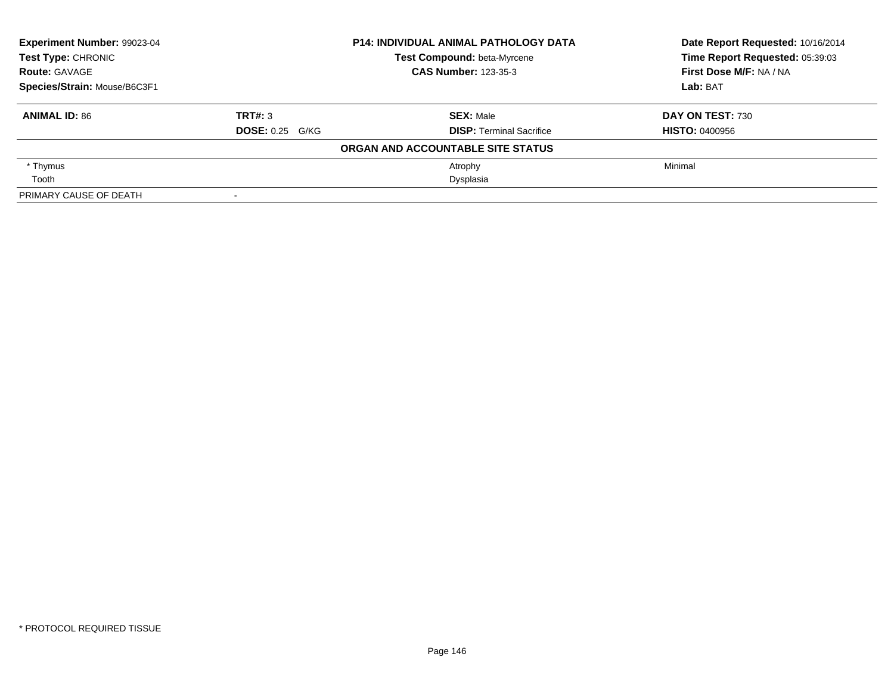| Experiment Number: 99023-04  |                        | <b>P14: INDIVIDUAL ANIMAL PATHOLOGY DATA</b> | Date Report Requested: 10/16/2014 |
|------------------------------|------------------------|----------------------------------------------|-----------------------------------|
| Test Type: CHRONIC           |                        | Test Compound: beta-Myrcene                  | Time Report Requested: 05:39:03   |
| <b>Route: GAVAGE</b>         |                        | <b>CAS Number: 123-35-3</b>                  | First Dose M/F: NA / NA           |
| Species/Strain: Mouse/B6C3F1 |                        |                                              | Lab: BAT                          |
| <b>ANIMAL ID: 86</b>         | TRT#: 3                | <b>SEX: Male</b>                             | <b>DAY ON TEST: 730</b>           |
|                              | <b>DOSE: 0.25 G/KG</b> | <b>DISP: Terminal Sacrifice</b>              | <b>HISTO: 0400956</b>             |
|                              |                        | ORGAN AND ACCOUNTABLE SITE STATUS            |                                   |
| * Thymus                     |                        | Atrophy                                      | Minimal                           |
| Tooth                        |                        | Dysplasia                                    |                                   |
| PRIMARY CAUSE OF DEATH       |                        |                                              |                                   |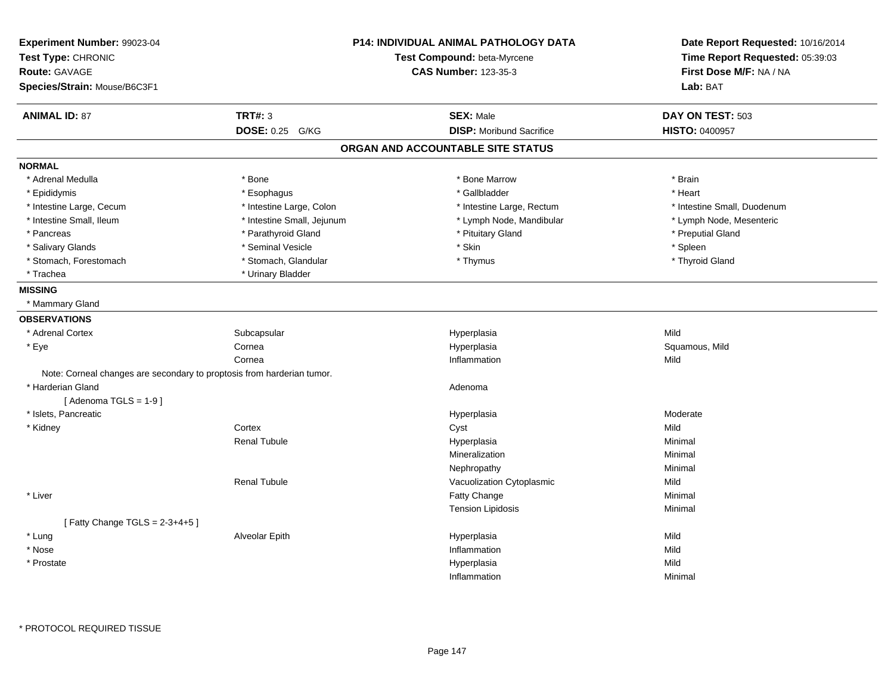| Experiment Number: 99023-04<br>Test Type: CHRONIC<br>Route: GAVAGE<br>Species/Strain: Mouse/B6C3F1 |                            | <b>P14: INDIVIDUAL ANIMAL PATHOLOGY DATA</b><br>Test Compound: beta-Myrcene<br><b>CAS Number: 123-35-3</b> | Date Report Requested: 10/16/2014<br>Time Report Requested: 05:39:03<br>First Dose M/F: NA / NA<br>Lab: BAT |
|----------------------------------------------------------------------------------------------------|----------------------------|------------------------------------------------------------------------------------------------------------|-------------------------------------------------------------------------------------------------------------|
| <b>ANIMAL ID: 87</b>                                                                               | <b>TRT#: 3</b>             | <b>SEX: Male</b>                                                                                           | DAY ON TEST: 503                                                                                            |
|                                                                                                    | <b>DOSE: 0.25</b><br>G/KG  | <b>DISP:</b> Moribund Sacrifice                                                                            | HISTO: 0400957                                                                                              |
|                                                                                                    |                            | ORGAN AND ACCOUNTABLE SITE STATUS                                                                          |                                                                                                             |
| <b>NORMAL</b>                                                                                      |                            |                                                                                                            |                                                                                                             |
| * Adrenal Medulla                                                                                  | * Bone                     | * Bone Marrow                                                                                              | * Brain                                                                                                     |
| * Epididymis                                                                                       | * Esophagus                | * Gallbladder                                                                                              | * Heart                                                                                                     |
| * Intestine Large, Cecum                                                                           | * Intestine Large, Colon   | * Intestine Large, Rectum                                                                                  | * Intestine Small, Duodenum                                                                                 |
| * Intestine Small, Ileum                                                                           | * Intestine Small, Jejunum | * Lymph Node, Mandibular                                                                                   | * Lymph Node, Mesenteric                                                                                    |
| * Pancreas                                                                                         | * Parathyroid Gland        | * Pituitary Gland                                                                                          | * Preputial Gland                                                                                           |
| * Salivary Glands                                                                                  | * Seminal Vesicle          | * Skin                                                                                                     | * Spleen                                                                                                    |
| * Stomach, Forestomach                                                                             | * Stomach, Glandular       | * Thymus                                                                                                   | * Thyroid Gland                                                                                             |
| * Trachea                                                                                          | * Urinary Bladder          |                                                                                                            |                                                                                                             |
| <b>MISSING</b>                                                                                     |                            |                                                                                                            |                                                                                                             |
| * Mammary Gland                                                                                    |                            |                                                                                                            |                                                                                                             |
| <b>OBSERVATIONS</b>                                                                                |                            |                                                                                                            |                                                                                                             |
| * Adrenal Cortex                                                                                   | Subcapsular                | Hyperplasia                                                                                                | Mild                                                                                                        |
| * Eye                                                                                              | Cornea                     | Hyperplasia                                                                                                | Squamous, Mild                                                                                              |
|                                                                                                    | Cornea                     | Inflammation                                                                                               | Mild                                                                                                        |
| Note: Corneal changes are secondary to proptosis from harderian tumor.                             |                            |                                                                                                            |                                                                                                             |
| * Harderian Gland                                                                                  |                            | Adenoma                                                                                                    |                                                                                                             |
| [Adenoma TGLS = $1-9$ ]                                                                            |                            |                                                                                                            |                                                                                                             |
| * Islets, Pancreatic                                                                               |                            | Hyperplasia                                                                                                | Moderate                                                                                                    |
| * Kidney                                                                                           | Cortex                     | Cyst                                                                                                       | Mild                                                                                                        |
|                                                                                                    | <b>Renal Tubule</b>        | Hyperplasia                                                                                                | Minimal                                                                                                     |
|                                                                                                    |                            | Mineralization                                                                                             | Minimal                                                                                                     |
|                                                                                                    |                            | Nephropathy                                                                                                | Minimal                                                                                                     |
|                                                                                                    | <b>Renal Tubule</b>        | Vacuolization Cytoplasmic                                                                                  | Mild                                                                                                        |
| * Liver                                                                                            |                            | Fatty Change                                                                                               | Minimal                                                                                                     |
|                                                                                                    |                            | <b>Tension Lipidosis</b>                                                                                   | Minimal                                                                                                     |
| [Fatty Change TGLS = $2-3+4+5$ ]                                                                   |                            |                                                                                                            |                                                                                                             |
| * Lung                                                                                             | Alveolar Epith             | Hyperplasia                                                                                                | Mild                                                                                                        |
| * Nose                                                                                             |                            | Inflammation                                                                                               | Mild                                                                                                        |
| * Prostate                                                                                         |                            | Hyperplasia                                                                                                | Mild                                                                                                        |
|                                                                                                    |                            | Inflammation                                                                                               | Minimal                                                                                                     |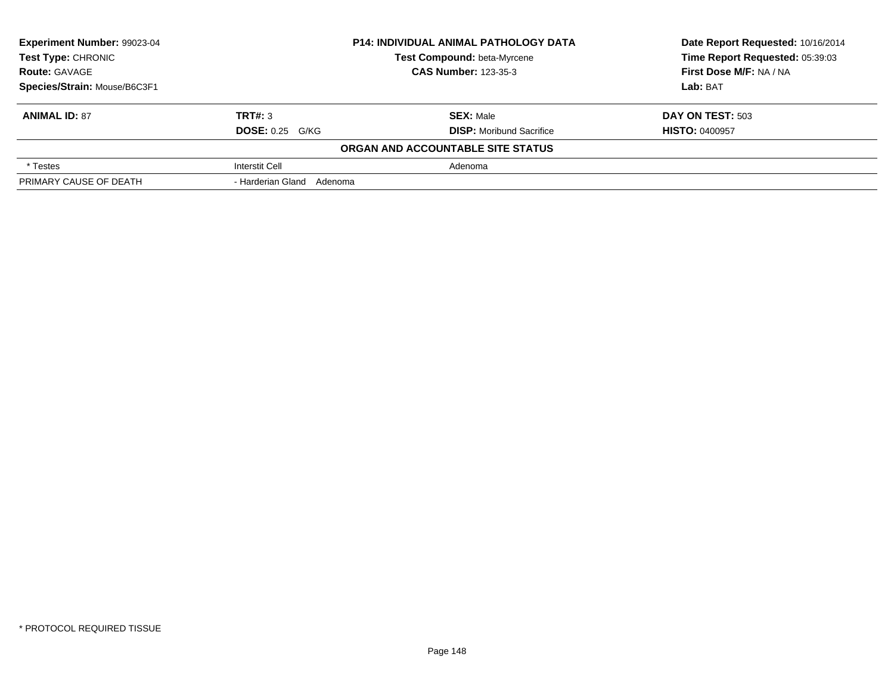| Experiment Number: 99023-04                         |                           | <b>P14: INDIVIDUAL ANIMAL PATHOLOGY DATA</b> | Date Report Requested: 10/16/2014 |  |
|-----------------------------------------------------|---------------------------|----------------------------------------------|-----------------------------------|--|
| <b>Test Type: CHRONIC</b>                           |                           | Test Compound: beta-Myrcene                  | Time Report Requested: 05:39:03   |  |
| <b>CAS Number: 123-35-3</b><br><b>Route: GAVAGE</b> |                           |                                              | First Dose M/F: NA / NA           |  |
| Species/Strain: Mouse/B6C3F1                        |                           |                                              | Lab: BAT                          |  |
| <b>ANIMAL ID: 87</b>                                | TRT#: 3                   | <b>SEX: Male</b>                             | <b>DAY ON TEST: 503</b>           |  |
|                                                     | <b>DOSE: 0.25 G/KG</b>    | <b>DISP:</b> Moribund Sacrifice              | <b>HISTO: 0400957</b>             |  |
|                                                     |                           | ORGAN AND ACCOUNTABLE SITE STATUS            |                                   |  |
| * Testes                                            | <b>Interstit Cell</b>     | Adenoma                                      |                                   |  |
| PRIMARY CAUSE OF DEATH                              | - Harderian Gland Adenoma |                                              |                                   |  |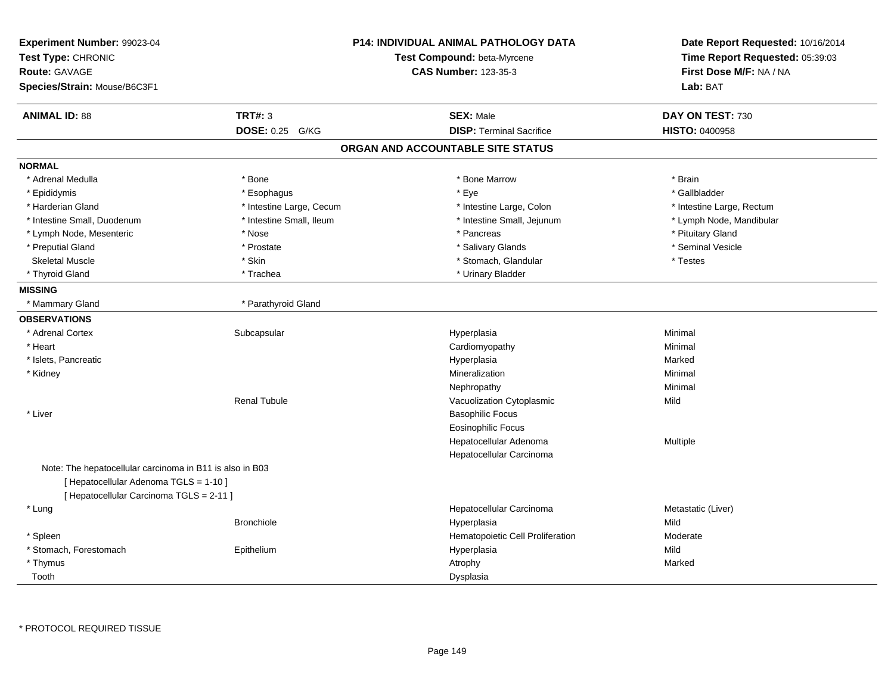| Experiment Number: 99023-04<br>Test Type: CHRONIC<br>Route: GAVAGE<br>Species/Strain: Mouse/B6C3F1 |                          | <b>P14: INDIVIDUAL ANIMAL PATHOLOGY DATA</b><br>Test Compound: beta-Myrcene<br><b>CAS Number: 123-35-3</b> | Date Report Requested: 10/16/2014<br>Time Report Requested: 05:39:03<br>First Dose M/F: NA / NA<br>Lab: BAT |
|----------------------------------------------------------------------------------------------------|--------------------------|------------------------------------------------------------------------------------------------------------|-------------------------------------------------------------------------------------------------------------|
| <b>ANIMAL ID: 88</b>                                                                               | <b>TRT#: 3</b>           | <b>SEX: Male</b>                                                                                           | DAY ON TEST: 730                                                                                            |
|                                                                                                    | DOSE: 0.25 G/KG          | <b>DISP: Terminal Sacrifice</b>                                                                            | <b>HISTO: 0400958</b>                                                                                       |
|                                                                                                    |                          | ORGAN AND ACCOUNTABLE SITE STATUS                                                                          |                                                                                                             |
| <b>NORMAL</b>                                                                                      |                          |                                                                                                            |                                                                                                             |
| * Adrenal Medulla                                                                                  | * Bone                   | * Bone Marrow                                                                                              | * Brain                                                                                                     |
| * Epididymis                                                                                       | * Esophagus              | * Eye                                                                                                      | * Gallbladder                                                                                               |
| * Harderian Gland                                                                                  | * Intestine Large, Cecum | * Intestine Large, Colon                                                                                   | * Intestine Large, Rectum                                                                                   |
| * Intestine Small, Duodenum                                                                        | * Intestine Small, Ileum | * Intestine Small, Jejunum                                                                                 | * Lymph Node, Mandibular                                                                                    |
| * Lymph Node, Mesenteric                                                                           | * Nose                   | * Pancreas                                                                                                 | * Pituitary Gland                                                                                           |
| * Preputial Gland                                                                                  | * Prostate               | * Salivary Glands                                                                                          | * Seminal Vesicle                                                                                           |
| <b>Skeletal Muscle</b>                                                                             | * Skin                   | * Stomach, Glandular                                                                                       | * Testes                                                                                                    |
| * Thyroid Gland                                                                                    | * Trachea                | * Urinary Bladder                                                                                          |                                                                                                             |
| <b>MISSING</b>                                                                                     |                          |                                                                                                            |                                                                                                             |
| * Mammary Gland                                                                                    | * Parathyroid Gland      |                                                                                                            |                                                                                                             |
| <b>OBSERVATIONS</b>                                                                                |                          |                                                                                                            |                                                                                                             |
| * Adrenal Cortex                                                                                   | Subcapsular              | Hyperplasia                                                                                                | Minimal                                                                                                     |
| * Heart                                                                                            |                          | Cardiomyopathy                                                                                             | Minimal                                                                                                     |
| * Islets, Pancreatic                                                                               |                          | Hyperplasia                                                                                                | Marked                                                                                                      |
| * Kidney                                                                                           |                          | Mineralization                                                                                             | Minimal                                                                                                     |
|                                                                                                    |                          | Nephropathy                                                                                                | Minimal                                                                                                     |
|                                                                                                    | <b>Renal Tubule</b>      | Vacuolization Cytoplasmic                                                                                  | Mild                                                                                                        |
| * Liver                                                                                            |                          | <b>Basophilic Focus</b>                                                                                    |                                                                                                             |
|                                                                                                    |                          | <b>Eosinophilic Focus</b>                                                                                  |                                                                                                             |
|                                                                                                    |                          | Hepatocellular Adenoma                                                                                     | Multiple                                                                                                    |
|                                                                                                    |                          | Hepatocellular Carcinoma                                                                                   |                                                                                                             |
| Note: The hepatocellular carcinoma in B11 is also in B03                                           |                          |                                                                                                            |                                                                                                             |
| [ Hepatocellular Adenoma TGLS = 1-10 ]                                                             |                          |                                                                                                            |                                                                                                             |
| [ Hepatocellular Carcinoma TGLS = 2-11 ]                                                           |                          |                                                                                                            |                                                                                                             |
| * Lung                                                                                             |                          | Hepatocellular Carcinoma                                                                                   | Metastatic (Liver)                                                                                          |
|                                                                                                    | <b>Bronchiole</b>        | Hyperplasia                                                                                                | Mild                                                                                                        |
| * Spleen                                                                                           |                          | Hematopoietic Cell Proliferation                                                                           | Moderate                                                                                                    |
| * Stomach, Forestomach                                                                             | Epithelium               | Hyperplasia                                                                                                | Mild                                                                                                        |
| * Thymus                                                                                           |                          | Atrophy                                                                                                    | Marked                                                                                                      |
| Tooth                                                                                              |                          | Dysplasia                                                                                                  |                                                                                                             |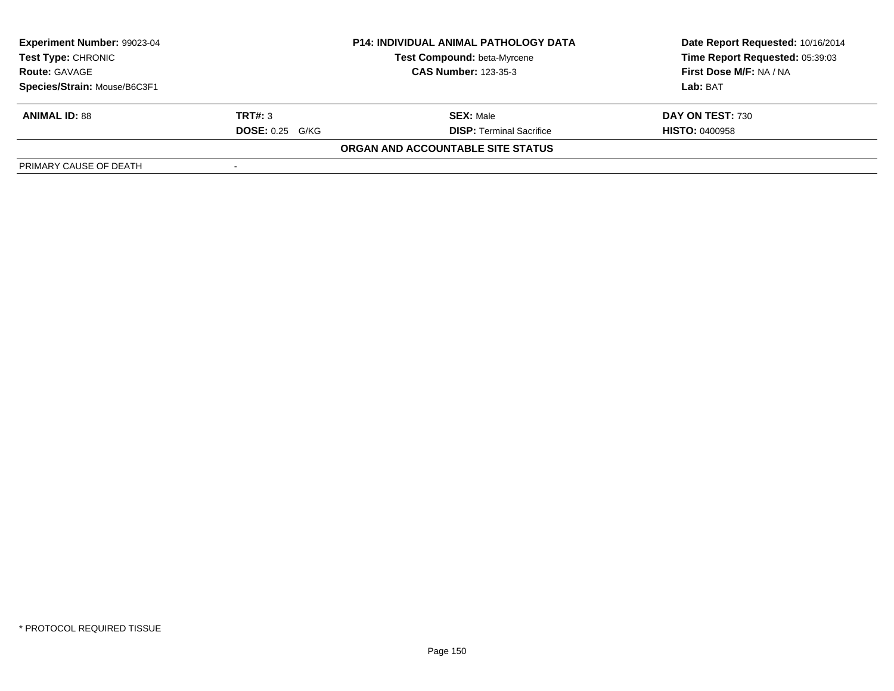| Experiment Number: 99023-04  | <b>P14: INDIVIDUAL ANIMAL PATHOLOGY DATA</b> |                                    | Date Report Requested: 10/16/2014 |
|------------------------------|----------------------------------------------|------------------------------------|-----------------------------------|
| <b>Test Type: CHRONIC</b>    |                                              | <b>Test Compound: beta-Myrcene</b> | Time Report Requested: 05:39:03   |
| <b>Route: GAVAGE</b>         |                                              | <b>CAS Number: 123-35-3</b>        | First Dose M/F: NA / NA           |
| Species/Strain: Mouse/B6C3F1 |                                              |                                    | Lab: BAT                          |
| <b>ANIMAL ID: 88</b>         | TRT#: 3                                      | <b>SEX: Male</b>                   | DAY ON TEST: 730                  |
|                              | <b>DOSE: 0.25 G/KG</b>                       | <b>DISP: Terminal Sacrifice</b>    | <b>HISTO: 0400958</b>             |
|                              |                                              | ORGAN AND ACCOUNTABLE SITE STATUS  |                                   |
| PRIMARY CAUSE OF DEATH       |                                              |                                    |                                   |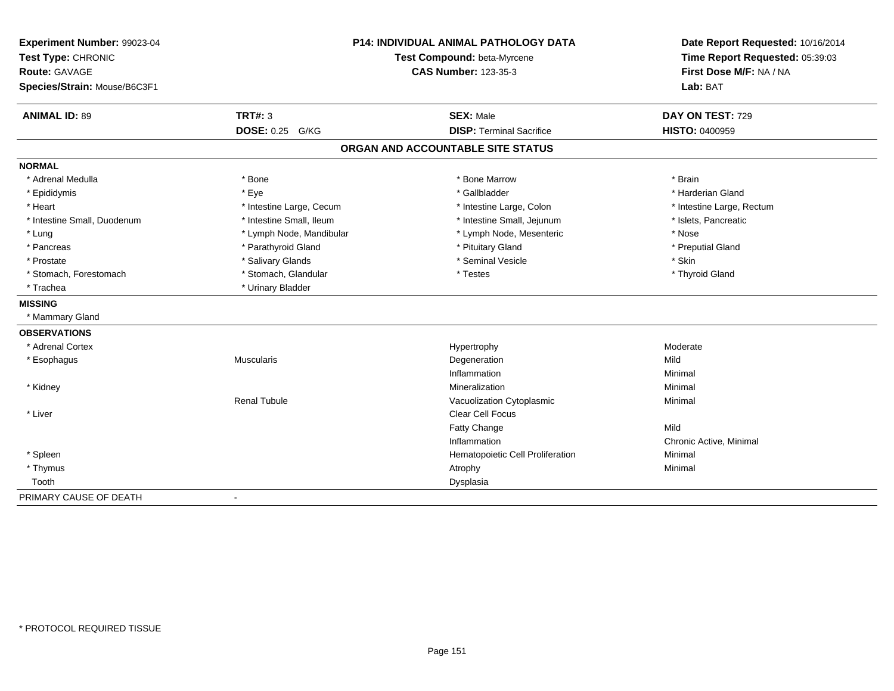| Experiment Number: 99023-04<br>Test Type: CHRONIC<br><b>Route: GAVAGE</b><br>Species/Strain: Mouse/B6C3F1 |                          | <b>P14: INDIVIDUAL ANIMAL PATHOLOGY DATA</b><br>Test Compound: beta-Myrcene<br><b>CAS Number: 123-35-3</b> | Date Report Requested: 10/16/2014<br>Time Report Requested: 05:39:03<br>First Dose M/F: NA / NA<br>Lab: BAT |
|-----------------------------------------------------------------------------------------------------------|--------------------------|------------------------------------------------------------------------------------------------------------|-------------------------------------------------------------------------------------------------------------|
| <b>ANIMAL ID: 89</b>                                                                                      | <b>TRT#: 3</b>           | <b>SEX: Male</b>                                                                                           | DAY ON TEST: 729                                                                                            |
|                                                                                                           | DOSE: 0.25 G/KG          | <b>DISP: Terminal Sacrifice</b>                                                                            | HISTO: 0400959                                                                                              |
|                                                                                                           |                          | ORGAN AND ACCOUNTABLE SITE STATUS                                                                          |                                                                                                             |
| <b>NORMAL</b>                                                                                             |                          |                                                                                                            |                                                                                                             |
| * Adrenal Medulla                                                                                         | * Bone                   | * Bone Marrow                                                                                              | * Brain                                                                                                     |
| * Epididymis                                                                                              | * Eye                    | * Gallbladder                                                                                              | * Harderian Gland                                                                                           |
| * Heart                                                                                                   | * Intestine Large, Cecum | * Intestine Large, Colon                                                                                   | * Intestine Large, Rectum                                                                                   |
| * Intestine Small, Duodenum                                                                               | * Intestine Small, Ileum | * Intestine Small, Jejunum                                                                                 | * Islets, Pancreatic                                                                                        |
| * Lung                                                                                                    | * Lymph Node, Mandibular | * Lymph Node, Mesenteric                                                                                   | * Nose                                                                                                      |
| * Pancreas                                                                                                | * Parathyroid Gland      | * Pituitary Gland                                                                                          | * Preputial Gland                                                                                           |
| * Prostate                                                                                                | * Salivary Glands        | * Seminal Vesicle                                                                                          | * Skin                                                                                                      |
| * Stomach, Forestomach                                                                                    | * Stomach, Glandular     | * Testes                                                                                                   | * Thyroid Gland                                                                                             |
| * Trachea                                                                                                 | * Urinary Bladder        |                                                                                                            |                                                                                                             |
| <b>MISSING</b>                                                                                            |                          |                                                                                                            |                                                                                                             |
| * Mammary Gland                                                                                           |                          |                                                                                                            |                                                                                                             |
| <b>OBSERVATIONS</b>                                                                                       |                          |                                                                                                            |                                                                                                             |
| * Adrenal Cortex                                                                                          |                          | Hypertrophy                                                                                                | Moderate                                                                                                    |
| * Esophagus                                                                                               | <b>Muscularis</b>        | Degeneration                                                                                               | Mild                                                                                                        |
|                                                                                                           |                          | Inflammation                                                                                               | Minimal                                                                                                     |
| * Kidney                                                                                                  |                          | Mineralization                                                                                             | Minimal                                                                                                     |
|                                                                                                           | <b>Renal Tubule</b>      | Vacuolization Cytoplasmic                                                                                  | Minimal                                                                                                     |
| * Liver                                                                                                   |                          | <b>Clear Cell Focus</b>                                                                                    |                                                                                                             |
|                                                                                                           |                          | <b>Fatty Change</b>                                                                                        | Mild                                                                                                        |
|                                                                                                           |                          | Inflammation                                                                                               | Chronic Active, Minimal                                                                                     |
| * Spleen                                                                                                  |                          | Hematopoietic Cell Proliferation                                                                           | Minimal                                                                                                     |
| * Thymus                                                                                                  |                          | Atrophy                                                                                                    | Minimal                                                                                                     |
| Tooth                                                                                                     |                          | Dysplasia                                                                                                  |                                                                                                             |
| PRIMARY CAUSE OF DEATH                                                                                    | $\blacksquare$           |                                                                                                            |                                                                                                             |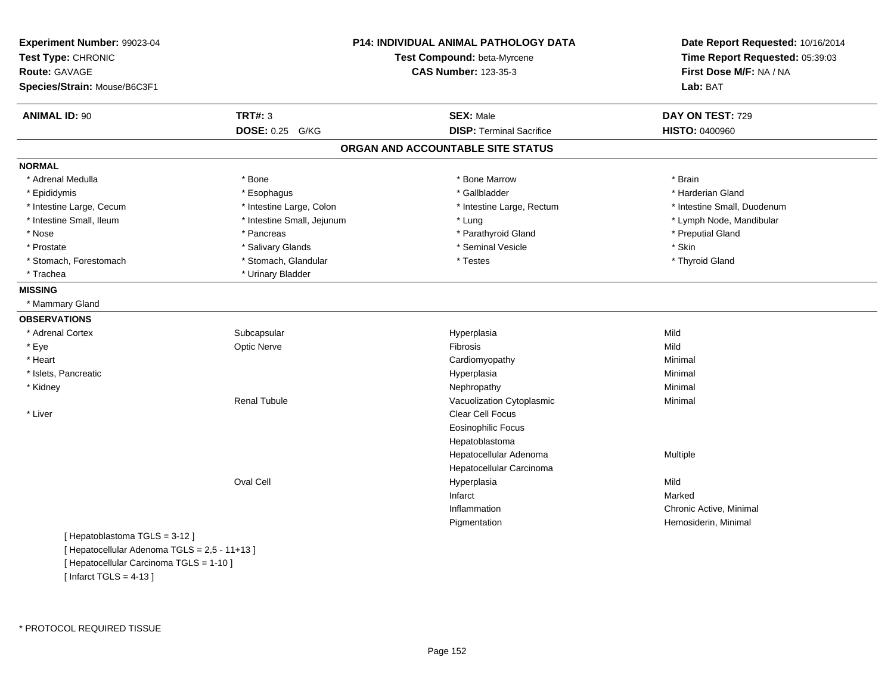| Experiment Number: 99023-04<br>Test Type: CHRONIC<br><b>Route: GAVAGE</b><br>Species/Strain: Mouse/B6C3F1 |                            | P14: INDIVIDUAL ANIMAL PATHOLOGY DATA<br>Test Compound: beta-Myrcene<br><b>CAS Number: 123-35-3</b> | Date Report Requested: 10/16/2014<br>Time Report Requested: 05:39:03<br>First Dose M/F: NA / NA<br>Lab: BAT |
|-----------------------------------------------------------------------------------------------------------|----------------------------|-----------------------------------------------------------------------------------------------------|-------------------------------------------------------------------------------------------------------------|
|                                                                                                           |                            |                                                                                                     |                                                                                                             |
| <b>ANIMAL ID: 90</b>                                                                                      | <b>TRT#: 3</b>             | <b>SEX: Male</b>                                                                                    | DAY ON TEST: 729                                                                                            |
|                                                                                                           | DOSE: 0.25 G/KG            | <b>DISP: Terminal Sacrifice</b>                                                                     | HISTO: 0400960                                                                                              |
|                                                                                                           |                            | ORGAN AND ACCOUNTABLE SITE STATUS                                                                   |                                                                                                             |
| <b>NORMAL</b>                                                                                             |                            |                                                                                                     |                                                                                                             |
| * Adrenal Medulla                                                                                         | * Bone                     | * Bone Marrow                                                                                       | * Brain                                                                                                     |
| * Epididymis                                                                                              | * Esophagus                | * Gallbladder                                                                                       | * Harderian Gland                                                                                           |
| * Intestine Large, Cecum                                                                                  | * Intestine Large, Colon   | * Intestine Large, Rectum                                                                           | * Intestine Small, Duodenum                                                                                 |
| * Intestine Small, Ileum                                                                                  | * Intestine Small, Jejunum | * Lung                                                                                              | * Lymph Node, Mandibular                                                                                    |
| * Nose                                                                                                    | * Pancreas                 | * Parathyroid Gland                                                                                 | * Preputial Gland                                                                                           |
| * Prostate                                                                                                | * Salivary Glands          | * Seminal Vesicle                                                                                   | * Skin                                                                                                      |
| * Stomach, Forestomach                                                                                    | * Stomach, Glandular       | * Testes                                                                                            | * Thyroid Gland                                                                                             |
| * Trachea                                                                                                 | * Urinary Bladder          |                                                                                                     |                                                                                                             |
| <b>MISSING</b>                                                                                            |                            |                                                                                                     |                                                                                                             |
| * Mammary Gland                                                                                           |                            |                                                                                                     |                                                                                                             |
| <b>OBSERVATIONS</b>                                                                                       |                            |                                                                                                     |                                                                                                             |
| * Adrenal Cortex                                                                                          | Subcapsular                | Hyperplasia                                                                                         | Mild                                                                                                        |
| * Eye                                                                                                     | <b>Optic Nerve</b>         | Fibrosis                                                                                            | Mild                                                                                                        |
| * Heart                                                                                                   |                            | Cardiomyopathy                                                                                      | Minimal                                                                                                     |
| * Islets, Pancreatic                                                                                      |                            | Hyperplasia                                                                                         | Minimal                                                                                                     |
| * Kidney                                                                                                  |                            | Nephropathy                                                                                         | Minimal                                                                                                     |
|                                                                                                           | Renal Tubule               | Vacuolization Cytoplasmic                                                                           | Minimal                                                                                                     |
| * Liver                                                                                                   |                            | Clear Cell Focus                                                                                    |                                                                                                             |
|                                                                                                           |                            | <b>Eosinophilic Focus</b>                                                                           |                                                                                                             |
|                                                                                                           |                            | Hepatoblastoma                                                                                      |                                                                                                             |
|                                                                                                           |                            | Hepatocellular Adenoma                                                                              | Multiple                                                                                                    |
|                                                                                                           |                            | Hepatocellular Carcinoma                                                                            |                                                                                                             |
|                                                                                                           | Oval Cell                  | Hyperplasia                                                                                         | Mild                                                                                                        |
|                                                                                                           |                            | Infarct                                                                                             | Marked                                                                                                      |
|                                                                                                           |                            | Inflammation                                                                                        | Chronic Active, Minimal                                                                                     |
|                                                                                                           |                            | Pigmentation                                                                                        | Hemosiderin, Minimal                                                                                        |
| [Hepatoblastoma TGLS = 3-12]                                                                              |                            |                                                                                                     |                                                                                                             |
| [ Hepatocellular Adenoma TGLS = 2,5 - 11+13 ]                                                             |                            |                                                                                                     |                                                                                                             |

\* PROTOCOL REQUIRED TISSUE

[ Infarct TGLS = 4-13 ]

[ Hepatocellular Carcinoma TGLS = 1-10 ]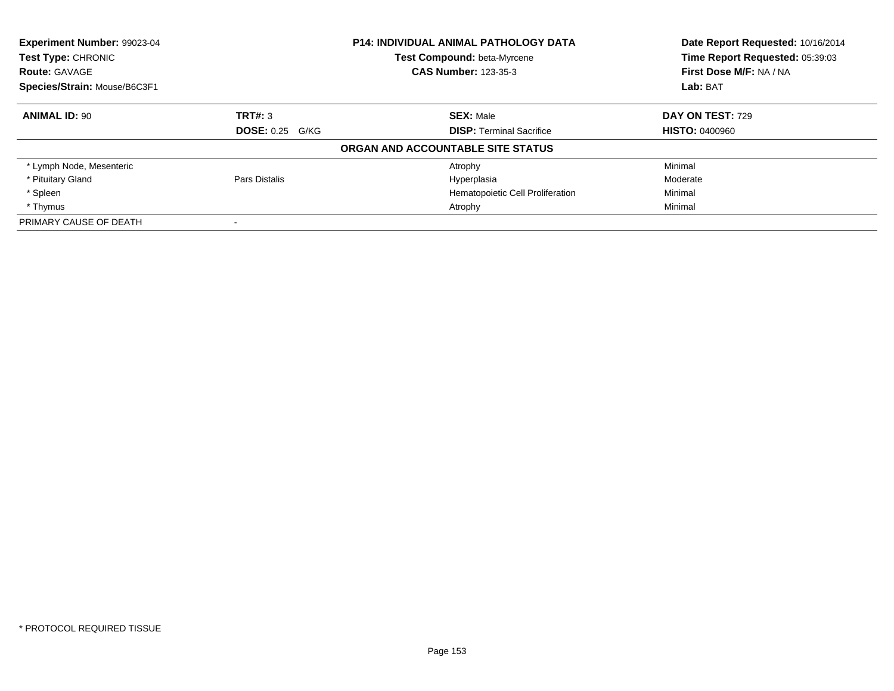| <b>Experiment Number: 99023-04</b><br>Test Type: CHRONIC |                        | <b>P14: INDIVIDUAL ANIMAL PATHOLOGY DATA</b><br>Test Compound: beta-Myrcene | Date Report Requested: 10/16/2014<br>Time Report Requested: 05:39:03 |
|----------------------------------------------------------|------------------------|-----------------------------------------------------------------------------|----------------------------------------------------------------------|
| <b>Route: GAVAGE</b>                                     |                        | <b>CAS Number: 123-35-3</b>                                                 | First Dose M/F: NA / NA                                              |
| Species/Strain: Mouse/B6C3F1                             |                        |                                                                             | Lab: BAT                                                             |
| <b>ANIMAL ID: 90</b>                                     | TRT#: 3                | <b>SEX: Male</b>                                                            | <b>DAY ON TEST: 729</b>                                              |
|                                                          | <b>DOSE: 0.25 G/KG</b> | <b>DISP:</b> Terminal Sacrifice                                             | <b>HISTO: 0400960</b>                                                |
|                                                          |                        | ORGAN AND ACCOUNTABLE SITE STATUS                                           |                                                                      |
| * Lymph Node, Mesenteric                                 |                        | Atrophy                                                                     | Minimal                                                              |
| * Pituitary Gland                                        | Pars Distalis          | Hyperplasia                                                                 | Moderate                                                             |
| * Spleen                                                 |                        | Hematopoietic Cell Proliferation                                            | Minimal                                                              |
| * Thymus                                                 |                        | Atrophy                                                                     | Minimal                                                              |
| PRIMARY CAUSE OF DEATH                                   |                        |                                                                             |                                                                      |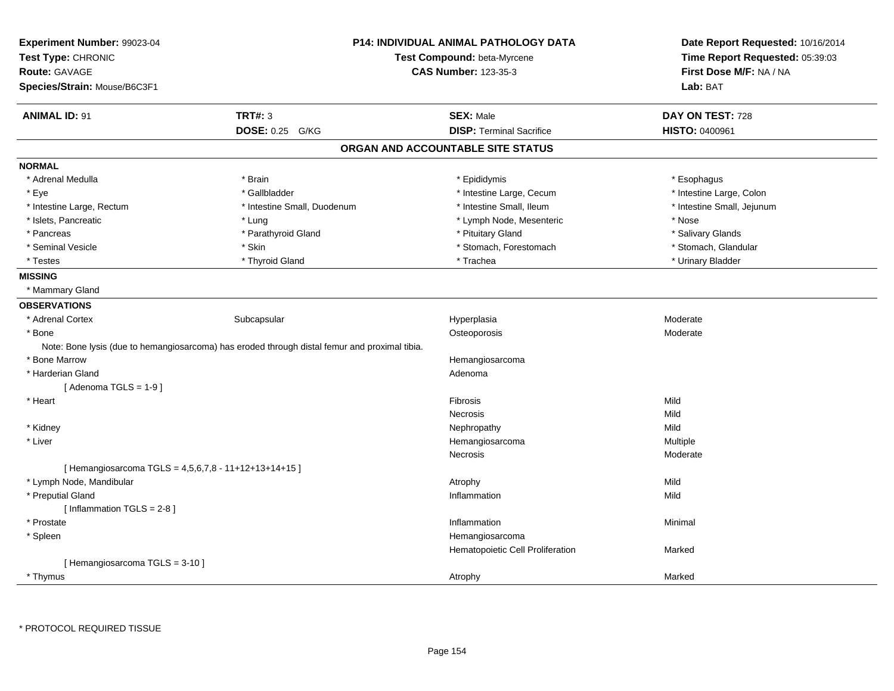| Experiment Number: 99023-04<br>Test Type: CHRONIC<br>Route: GAVAGE                            | <b>P14: INDIVIDUAL ANIMAL PATHOLOGY DATA</b><br>Test Compound: beta-Myrcene<br><b>CAS Number: 123-35-3</b> |                                   | Date Report Requested: 10/16/2014<br>Time Report Requested: 05:39:03<br>First Dose M/F: NA / NA |
|-----------------------------------------------------------------------------------------------|------------------------------------------------------------------------------------------------------------|-----------------------------------|-------------------------------------------------------------------------------------------------|
| Species/Strain: Mouse/B6C3F1                                                                  |                                                                                                            |                                   | Lab: BAT                                                                                        |
|                                                                                               |                                                                                                            |                                   |                                                                                                 |
| <b>ANIMAL ID: 91</b>                                                                          | <b>TRT#: 3</b>                                                                                             | <b>SEX: Male</b>                  | DAY ON TEST: 728                                                                                |
|                                                                                               | <b>DOSE: 0.25</b><br>G/KG                                                                                  | <b>DISP: Terminal Sacrifice</b>   | HISTO: 0400961                                                                                  |
|                                                                                               |                                                                                                            | ORGAN AND ACCOUNTABLE SITE STATUS |                                                                                                 |
| <b>NORMAL</b>                                                                                 |                                                                                                            |                                   |                                                                                                 |
| * Adrenal Medulla                                                                             | * Brain                                                                                                    | * Epididymis                      | * Esophagus                                                                                     |
| * Eye                                                                                         | * Gallbladder                                                                                              | * Intestine Large, Cecum          | * Intestine Large, Colon                                                                        |
| * Intestine Large, Rectum                                                                     | * Intestine Small, Duodenum                                                                                | * Intestine Small, Ileum          | * Intestine Small, Jejunum                                                                      |
| * Islets, Pancreatic                                                                          | * Lung                                                                                                     | * Lymph Node, Mesenteric          | * Nose                                                                                          |
| * Pancreas                                                                                    | * Parathyroid Gland                                                                                        | * Pituitary Gland                 | * Salivary Glands                                                                               |
| * Seminal Vesicle                                                                             | * Skin                                                                                                     | * Stomach, Forestomach            | * Stomach, Glandular                                                                            |
| * Testes                                                                                      | * Thyroid Gland                                                                                            | * Trachea                         | * Urinary Bladder                                                                               |
| <b>MISSING</b>                                                                                |                                                                                                            |                                   |                                                                                                 |
| * Mammary Gland                                                                               |                                                                                                            |                                   |                                                                                                 |
| <b>OBSERVATIONS</b>                                                                           |                                                                                                            |                                   |                                                                                                 |
| * Adrenal Cortex                                                                              | Subcapsular                                                                                                | Hyperplasia                       | Moderate                                                                                        |
| * Bone                                                                                        |                                                                                                            | Osteoporosis                      | Moderate                                                                                        |
| Note: Bone lysis (due to hemangiosarcoma) has eroded through distal femur and proximal tibia. |                                                                                                            |                                   |                                                                                                 |
| * Bone Marrow                                                                                 |                                                                                                            | Hemangiosarcoma                   |                                                                                                 |
| * Harderian Gland                                                                             |                                                                                                            | Adenoma                           |                                                                                                 |
| [Adenoma TGLS = $1-9$ ]                                                                       |                                                                                                            |                                   |                                                                                                 |
| * Heart                                                                                       |                                                                                                            | Fibrosis                          | Mild                                                                                            |
|                                                                                               |                                                                                                            | Necrosis                          | Mild                                                                                            |
| * Kidney                                                                                      |                                                                                                            | Nephropathy                       | Mild                                                                                            |
| * Liver                                                                                       |                                                                                                            | Hemangiosarcoma                   | Multiple                                                                                        |
|                                                                                               |                                                                                                            | Necrosis                          | Moderate                                                                                        |
| [Hemangiosarcoma TGLS = $4,5,6,7,8 - 11+12+13+14+15$ ]                                        |                                                                                                            |                                   |                                                                                                 |
| * Lymph Node, Mandibular                                                                      |                                                                                                            | Atrophy                           | Mild                                                                                            |
| * Preputial Gland                                                                             |                                                                                                            | Inflammation                      | Mild                                                                                            |
| [Inflammation TGLS = $2-8$ ]                                                                  |                                                                                                            |                                   |                                                                                                 |
| * Prostate                                                                                    |                                                                                                            | Inflammation                      | Minimal                                                                                         |
| * Spleen                                                                                      |                                                                                                            | Hemangiosarcoma                   |                                                                                                 |
|                                                                                               |                                                                                                            | Hematopoietic Cell Proliferation  | Marked                                                                                          |
| [Hemangiosarcoma TGLS = 3-10]                                                                 |                                                                                                            |                                   |                                                                                                 |
| * Thymus                                                                                      |                                                                                                            | Atrophy                           | Marked                                                                                          |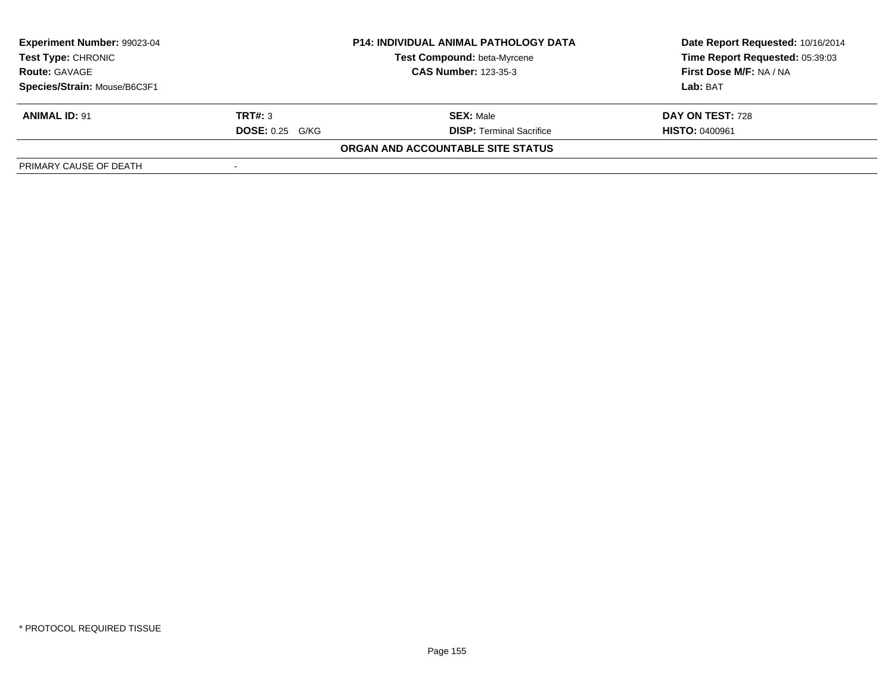| Experiment Number: 99023-04  | <b>P14: INDIVIDUAL ANIMAL PATHOLOGY DATA</b> |                                    | Date Report Requested: 10/16/2014 |  |
|------------------------------|----------------------------------------------|------------------------------------|-----------------------------------|--|
| <b>Test Type: CHRONIC</b>    |                                              | <b>Test Compound: beta-Myrcene</b> | Time Report Requested: 05:39:03   |  |
| <b>Route: GAVAGE</b>         |                                              | <b>CAS Number: 123-35-3</b>        | First Dose M/F: NA / NA           |  |
| Species/Strain: Mouse/B6C3F1 |                                              |                                    | Lab: BAT                          |  |
| <b>ANIMAL ID: 91</b>         | TRT#: 3                                      | <b>SEX: Male</b>                   | DAY ON TEST: 728                  |  |
|                              | <b>DOSE: 0.25 G/KG</b>                       | <b>DISP: Terminal Sacrifice</b>    | <b>HISTO: 0400961</b>             |  |
|                              |                                              | ORGAN AND ACCOUNTABLE SITE STATUS  |                                   |  |
| PRIMARY CAUSE OF DEATH       |                                              |                                    |                                   |  |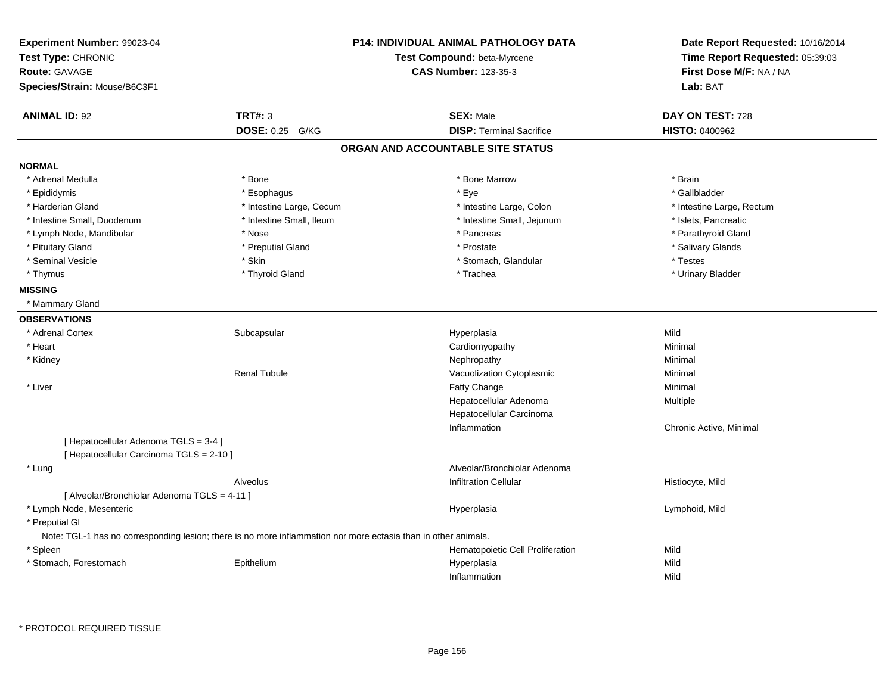| Experiment Number: 99023-04<br>Test Type: CHRONIC<br><b>Route: GAVAGE</b>                                      |                           | <b>P14: INDIVIDUAL ANIMAL PATHOLOGY DATA</b><br>Test Compound: beta-Myrcene<br><b>CAS Number: 123-35-3</b> | Date Report Requested: 10/16/2014<br>Time Report Requested: 05:39:03<br>First Dose M/F: NA / NA |
|----------------------------------------------------------------------------------------------------------------|---------------------------|------------------------------------------------------------------------------------------------------------|-------------------------------------------------------------------------------------------------|
| Species/Strain: Mouse/B6C3F1                                                                                   |                           |                                                                                                            | Lab: BAT                                                                                        |
| <b>ANIMAL ID: 92</b>                                                                                           | <b>TRT#: 3</b>            | <b>SEX: Male</b>                                                                                           | DAY ON TEST: 728                                                                                |
|                                                                                                                | <b>DOSE: 0.25</b><br>G/KG | <b>DISP: Terminal Sacrifice</b>                                                                            | <b>HISTO: 0400962</b>                                                                           |
|                                                                                                                |                           | ORGAN AND ACCOUNTABLE SITE STATUS                                                                          |                                                                                                 |
| <b>NORMAL</b>                                                                                                  |                           |                                                                                                            |                                                                                                 |
| * Adrenal Medulla                                                                                              | * Bone                    | * Bone Marrow                                                                                              | * Brain                                                                                         |
| * Epididymis                                                                                                   | * Esophagus               | * Eye                                                                                                      | * Gallbladder                                                                                   |
| * Harderian Gland                                                                                              | * Intestine Large, Cecum  | * Intestine Large, Colon                                                                                   | * Intestine Large, Rectum                                                                       |
| * Intestine Small, Duodenum                                                                                    | * Intestine Small, Ileum  | * Intestine Small, Jejunum                                                                                 | * Islets, Pancreatic                                                                            |
| * Lymph Node, Mandibular                                                                                       | * Nose                    | * Pancreas                                                                                                 | * Parathyroid Gland                                                                             |
| * Pituitary Gland                                                                                              | * Preputial Gland         | * Prostate                                                                                                 | * Salivary Glands                                                                               |
| * Seminal Vesicle                                                                                              | * Skin                    | * Stomach, Glandular                                                                                       | * Testes                                                                                        |
| * Thymus                                                                                                       | * Thyroid Gland           | * Trachea                                                                                                  | * Urinary Bladder                                                                               |
| <b>MISSING</b>                                                                                                 |                           |                                                                                                            |                                                                                                 |
| * Mammary Gland                                                                                                |                           |                                                                                                            |                                                                                                 |
| <b>OBSERVATIONS</b>                                                                                            |                           |                                                                                                            |                                                                                                 |
| * Adrenal Cortex                                                                                               | Subcapsular               | Hyperplasia                                                                                                | Mild                                                                                            |
| * Heart                                                                                                        |                           | Cardiomyopathy                                                                                             | Minimal                                                                                         |
| * Kidney                                                                                                       |                           | Nephropathy                                                                                                | Minimal                                                                                         |
|                                                                                                                | <b>Renal Tubule</b>       | Vacuolization Cytoplasmic                                                                                  | Minimal                                                                                         |
| * Liver                                                                                                        |                           | Fatty Change                                                                                               | Minimal                                                                                         |
|                                                                                                                |                           | Hepatocellular Adenoma                                                                                     | Multiple                                                                                        |
|                                                                                                                |                           | Hepatocellular Carcinoma                                                                                   |                                                                                                 |
|                                                                                                                |                           | Inflammation                                                                                               | Chronic Active, Minimal                                                                         |
| [ Hepatocellular Adenoma TGLS = 3-4 ]                                                                          |                           |                                                                                                            |                                                                                                 |
| [ Hepatocellular Carcinoma TGLS = 2-10 ]                                                                       |                           |                                                                                                            |                                                                                                 |
| * Lung                                                                                                         |                           | Alveolar/Bronchiolar Adenoma                                                                               |                                                                                                 |
|                                                                                                                | Alveolus                  | <b>Infiltration Cellular</b>                                                                               | Histiocyte, Mild                                                                                |
| [ Alveolar/Bronchiolar Adenoma TGLS = 4-11 ]                                                                   |                           |                                                                                                            |                                                                                                 |
| * Lymph Node, Mesenteric                                                                                       |                           | Hyperplasia                                                                                                | Lymphoid, Mild                                                                                  |
| * Preputial GI                                                                                                 |                           |                                                                                                            |                                                                                                 |
| Note: TGL-1 has no corresponding lesion; there is no more inflammation nor more ectasia than in other animals. |                           |                                                                                                            |                                                                                                 |
| * Spleen                                                                                                       |                           | Hematopoietic Cell Proliferation                                                                           | Mild                                                                                            |
| * Stomach, Forestomach                                                                                         | Epithelium                | Hyperplasia                                                                                                | Mild                                                                                            |
|                                                                                                                |                           | Inflammation                                                                                               | Mild                                                                                            |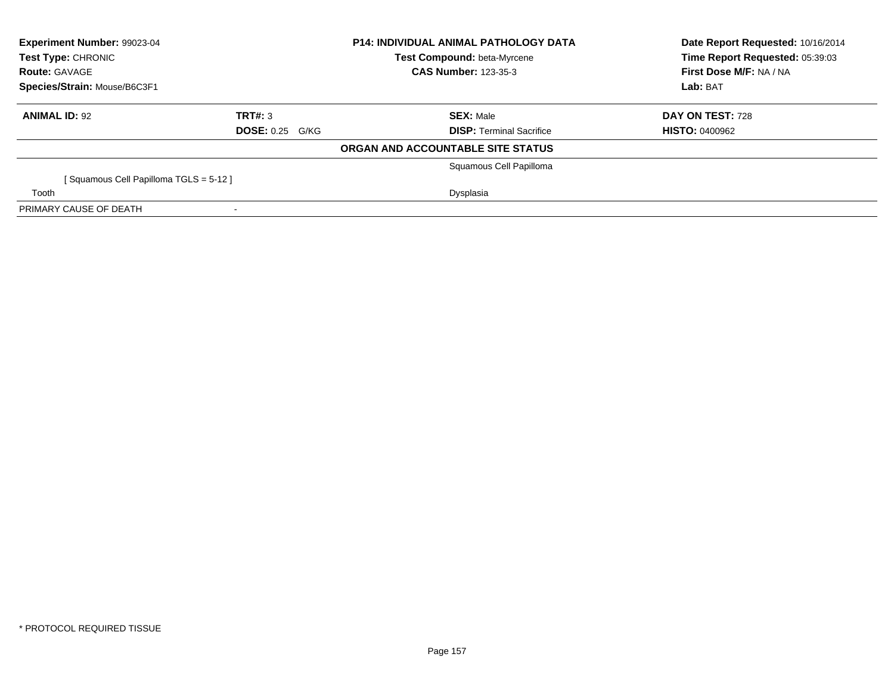| Experiment Number: 99023-04<br><b>Test Type: CHRONIC</b><br><b>Route: GAVAGE</b> |                        | <b>P14: INDIVIDUAL ANIMAL PATHOLOGY DATA</b><br><b>Test Compound: beta-Myrcene</b><br><b>CAS Number: 123-35-3</b> | Date Report Requested: 10/16/2014<br>Time Report Requested: 05:39:03<br>First Dose M/F: NA / NA |
|----------------------------------------------------------------------------------|------------------------|-------------------------------------------------------------------------------------------------------------------|-------------------------------------------------------------------------------------------------|
| Species/Strain: Mouse/B6C3F1                                                     |                        |                                                                                                                   | Lab: BAT                                                                                        |
| <b>ANIMAL ID: 92</b>                                                             | TRT#: 3                | <b>SEX: Male</b>                                                                                                  | DAY ON TEST: 728                                                                                |
|                                                                                  | <b>DOSE: 0.25 G/KG</b> | <b>DISP:</b> Terminal Sacrifice                                                                                   | <b>HISTO: 0400962</b>                                                                           |
|                                                                                  |                        | ORGAN AND ACCOUNTABLE SITE STATUS                                                                                 |                                                                                                 |
|                                                                                  |                        | Squamous Cell Papilloma                                                                                           |                                                                                                 |
| [Squamous Cell Papilloma TGLS = 5-12]                                            |                        |                                                                                                                   |                                                                                                 |
| Tooth                                                                            |                        | Dysplasia                                                                                                         |                                                                                                 |
| PRIMARY CAUSE OF DEATH                                                           |                        |                                                                                                                   |                                                                                                 |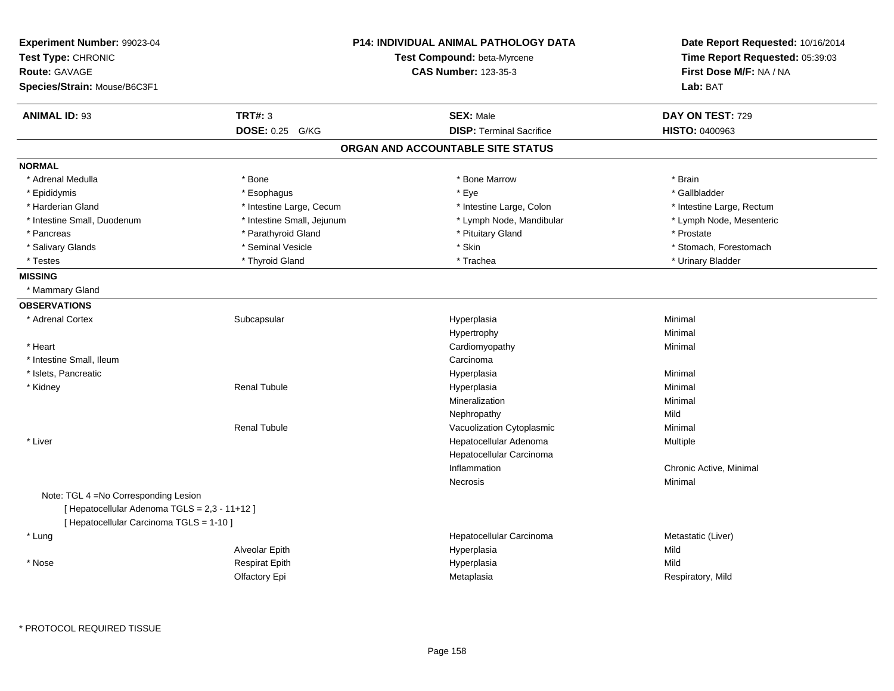| Experiment Number: 99023-04<br>Test Type: CHRONIC<br>Route: GAVAGE<br>Species/Strain: Mouse/B6C3F1                                 |                            | <b>P14: INDIVIDUAL ANIMAL PATHOLOGY DATA</b><br><b>Test Compound: beta-Myrcene</b><br><b>CAS Number: 123-35-3</b> | Date Report Requested: 10/16/2014<br>Time Report Requested: 05:39:03<br>First Dose M/F: NA / NA<br>Lab: BAT |
|------------------------------------------------------------------------------------------------------------------------------------|----------------------------|-------------------------------------------------------------------------------------------------------------------|-------------------------------------------------------------------------------------------------------------|
| <b>ANIMAL ID: 93</b>                                                                                                               | <b>TRT#: 3</b>             | <b>SEX: Male</b>                                                                                                  | DAY ON TEST: 729                                                                                            |
|                                                                                                                                    | DOSE: 0.25 G/KG            | <b>DISP: Terminal Sacrifice</b>                                                                                   | HISTO: 0400963                                                                                              |
|                                                                                                                                    |                            | ORGAN AND ACCOUNTABLE SITE STATUS                                                                                 |                                                                                                             |
| <b>NORMAL</b>                                                                                                                      |                            |                                                                                                                   |                                                                                                             |
| * Adrenal Medulla                                                                                                                  | * Bone                     | * Bone Marrow                                                                                                     | * Brain                                                                                                     |
| * Epididymis                                                                                                                       | * Esophagus                | * Eye                                                                                                             | * Gallbladder                                                                                               |
| * Harderian Gland                                                                                                                  | * Intestine Large, Cecum   | * Intestine Large, Colon                                                                                          | * Intestine Large, Rectum                                                                                   |
| * Intestine Small, Duodenum                                                                                                        | * Intestine Small, Jejunum | * Lymph Node, Mandibular                                                                                          | * Lymph Node, Mesenteric                                                                                    |
| * Pancreas                                                                                                                         | * Parathyroid Gland        | * Pituitary Gland                                                                                                 | * Prostate                                                                                                  |
| * Salivary Glands                                                                                                                  | * Seminal Vesicle          | * Skin                                                                                                            | * Stomach, Forestomach                                                                                      |
| * Testes                                                                                                                           | * Thyroid Gland            | * Trachea                                                                                                         | * Urinary Bladder                                                                                           |
| <b>MISSING</b>                                                                                                                     |                            |                                                                                                                   |                                                                                                             |
| * Mammary Gland                                                                                                                    |                            |                                                                                                                   |                                                                                                             |
| <b>OBSERVATIONS</b>                                                                                                                |                            |                                                                                                                   |                                                                                                             |
| * Adrenal Cortex                                                                                                                   | Subcapsular                | Hyperplasia                                                                                                       | Minimal                                                                                                     |
|                                                                                                                                    |                            | Hypertrophy                                                                                                       | Minimal                                                                                                     |
| * Heart                                                                                                                            |                            | Cardiomyopathy                                                                                                    | Minimal                                                                                                     |
| * Intestine Small, Ileum                                                                                                           |                            | Carcinoma                                                                                                         |                                                                                                             |
| * Islets, Pancreatic                                                                                                               |                            | Hyperplasia                                                                                                       | Minimal                                                                                                     |
| * Kidney                                                                                                                           | <b>Renal Tubule</b>        | Hyperplasia                                                                                                       | Minimal                                                                                                     |
|                                                                                                                                    |                            | Mineralization                                                                                                    | Minimal                                                                                                     |
|                                                                                                                                    |                            | Nephropathy                                                                                                       | Mild                                                                                                        |
|                                                                                                                                    | <b>Renal Tubule</b>        | Vacuolization Cytoplasmic                                                                                         | Minimal                                                                                                     |
| * Liver                                                                                                                            |                            | Hepatocellular Adenoma                                                                                            | <b>Multiple</b>                                                                                             |
|                                                                                                                                    |                            | Hepatocellular Carcinoma                                                                                          |                                                                                                             |
|                                                                                                                                    |                            | Inflammation                                                                                                      | Chronic Active, Minimal                                                                                     |
|                                                                                                                                    |                            | Necrosis                                                                                                          | Minimal                                                                                                     |
| Note: TGL 4 = No Corresponding Lesion<br>[ Hepatocellular Adenoma TGLS = 2,3 - 11+12 ]<br>[ Hepatocellular Carcinoma TGLS = 1-10 ] |                            |                                                                                                                   |                                                                                                             |
| * Lung                                                                                                                             |                            | Hepatocellular Carcinoma                                                                                          | Metastatic (Liver)                                                                                          |
|                                                                                                                                    | Alveolar Epith             | Hyperplasia                                                                                                       | Mild                                                                                                        |
| * Nose                                                                                                                             | <b>Respirat Epith</b>      | Hyperplasia                                                                                                       | Mild                                                                                                        |
|                                                                                                                                    | Olfactory Epi              | Metaplasia                                                                                                        | Respiratory, Mild                                                                                           |
|                                                                                                                                    |                            |                                                                                                                   |                                                                                                             |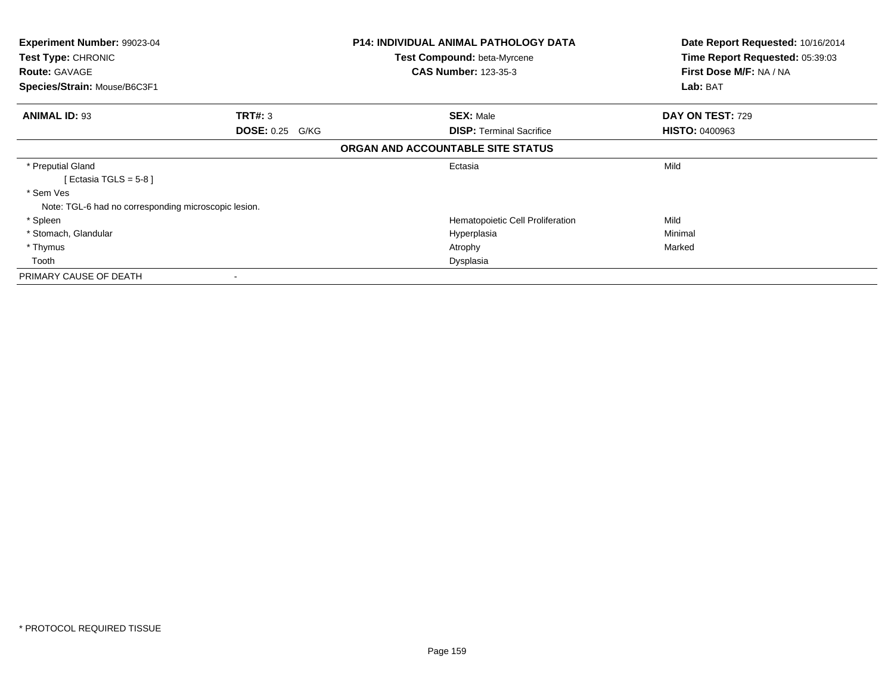| <b>Experiment Number: 99023-04</b><br>Test Type: CHRONIC |                        | <b>P14: INDIVIDUAL ANIMAL PATHOLOGY DATA</b> | Date Report Requested: 10/16/2014 |
|----------------------------------------------------------|------------------------|----------------------------------------------|-----------------------------------|
|                                                          |                        | <b>Test Compound: beta-Myrcene</b>           | Time Report Requested: 05:39:03   |
| <b>Route: GAVAGE</b>                                     |                        | <b>CAS Number: 123-35-3</b>                  | First Dose M/F: NA / NA           |
| Species/Strain: Mouse/B6C3F1                             |                        |                                              | Lab: BAT                          |
| <b>ANIMAL ID: 93</b>                                     | TRT#: 3                | <b>SEX: Male</b>                             | DAY ON TEST: 729                  |
|                                                          | <b>DOSE: 0.25 G/KG</b> | <b>DISP: Terminal Sacrifice</b>              | <b>HISTO: 0400963</b>             |
|                                                          |                        | ORGAN AND ACCOUNTABLE SITE STATUS            |                                   |
| * Preputial Gland                                        |                        | Ectasia                                      | Mild                              |
| [ Ectasia TGLS = $5-8$ ]                                 |                        |                                              |                                   |
| * Sem Ves                                                |                        |                                              |                                   |
| Note: TGL-6 had no corresponding microscopic lesion.     |                        |                                              |                                   |
| * Spleen                                                 |                        | Hematopoietic Cell Proliferation             | Mild                              |
| * Stomach, Glandular                                     |                        | Hyperplasia                                  | Minimal                           |
| * Thymus                                                 |                        | Atrophy                                      | Marked                            |
| Tooth                                                    |                        | Dysplasia                                    |                                   |
| PRIMARY CAUSE OF DEATH                                   |                        |                                              |                                   |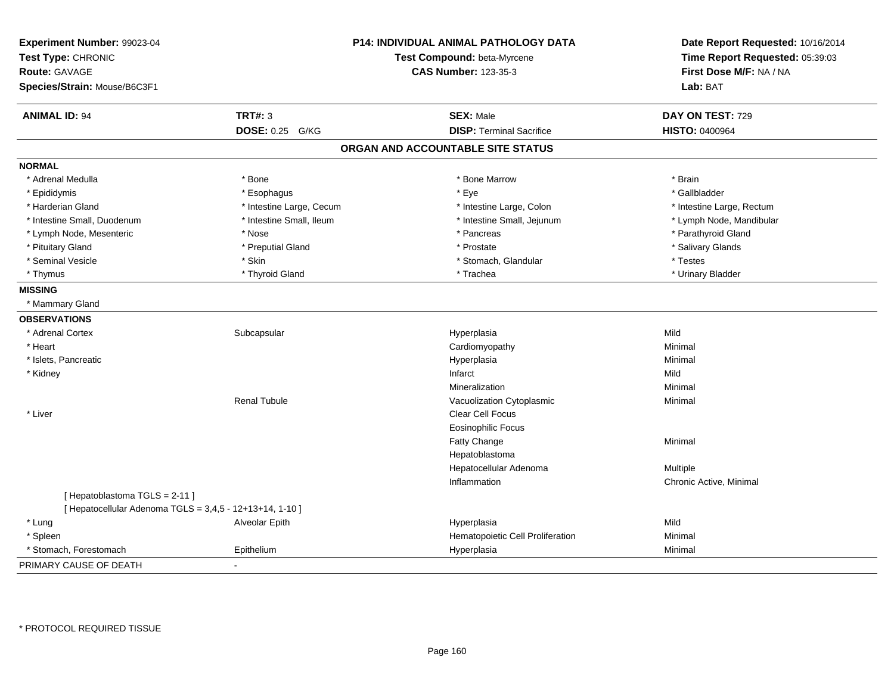| Experiment Number: 99023-04<br>Test Type: CHRONIC<br><b>Route: GAVAGE</b><br>Species/Strain: Mouse/B6C3F1 |                          | <b>P14: INDIVIDUAL ANIMAL PATHOLOGY DATA</b><br>Test Compound: beta-Myrcene<br><b>CAS Number: 123-35-3</b> | Date Report Requested: 10/16/2014<br>Time Report Requested: 05:39:03<br>First Dose M/F: NA / NA<br>Lab: BAT |
|-----------------------------------------------------------------------------------------------------------|--------------------------|------------------------------------------------------------------------------------------------------------|-------------------------------------------------------------------------------------------------------------|
| <b>ANIMAL ID: 94</b>                                                                                      | <b>TRT#: 3</b>           | <b>SEX: Male</b>                                                                                           | DAY ON TEST: 729                                                                                            |
|                                                                                                           | DOSE: 0.25 G/KG          | <b>DISP: Terminal Sacrifice</b>                                                                            | <b>HISTO: 0400964</b>                                                                                       |
|                                                                                                           |                          | ORGAN AND ACCOUNTABLE SITE STATUS                                                                          |                                                                                                             |
| <b>NORMAL</b>                                                                                             |                          |                                                                                                            |                                                                                                             |
| * Adrenal Medulla                                                                                         | * Bone                   | * Bone Marrow                                                                                              | * Brain                                                                                                     |
| * Epididymis                                                                                              | * Esophagus              | * Eye                                                                                                      | * Gallbladder                                                                                               |
| * Harderian Gland                                                                                         | * Intestine Large, Cecum | * Intestine Large, Colon                                                                                   | * Intestine Large, Rectum                                                                                   |
| * Intestine Small, Duodenum                                                                               | * Intestine Small, Ileum | * Intestine Small, Jejunum                                                                                 | * Lymph Node, Mandibular                                                                                    |
| * Lymph Node, Mesenteric                                                                                  | * Nose                   | * Pancreas                                                                                                 | * Parathyroid Gland                                                                                         |
| * Pituitary Gland                                                                                         | * Preputial Gland        | * Prostate                                                                                                 | * Salivary Glands                                                                                           |
| * Seminal Vesicle                                                                                         | * Skin                   | * Stomach, Glandular                                                                                       | * Testes                                                                                                    |
| * Thymus                                                                                                  | * Thyroid Gland          | * Trachea                                                                                                  | * Urinary Bladder                                                                                           |
| <b>MISSING</b>                                                                                            |                          |                                                                                                            |                                                                                                             |
| * Mammary Gland                                                                                           |                          |                                                                                                            |                                                                                                             |
| <b>OBSERVATIONS</b>                                                                                       |                          |                                                                                                            |                                                                                                             |
| * Adrenal Cortex                                                                                          | Subcapsular              | Hyperplasia                                                                                                | Mild                                                                                                        |
| * Heart                                                                                                   |                          | Cardiomyopathy                                                                                             | Minimal                                                                                                     |
| * Islets, Pancreatic                                                                                      |                          | Hyperplasia                                                                                                | Minimal                                                                                                     |
| * Kidney                                                                                                  |                          | Infarct                                                                                                    | Mild                                                                                                        |
|                                                                                                           |                          | Mineralization                                                                                             | Minimal                                                                                                     |
|                                                                                                           | <b>Renal Tubule</b>      | Vacuolization Cytoplasmic                                                                                  | Minimal                                                                                                     |
| * Liver                                                                                                   |                          | Clear Cell Focus                                                                                           |                                                                                                             |
|                                                                                                           |                          | Eosinophilic Focus                                                                                         |                                                                                                             |
|                                                                                                           |                          | Fatty Change                                                                                               | Minimal                                                                                                     |
|                                                                                                           |                          | Hepatoblastoma                                                                                             |                                                                                                             |
|                                                                                                           |                          | Hepatocellular Adenoma                                                                                     | Multiple                                                                                                    |
|                                                                                                           |                          | Inflammation                                                                                               | Chronic Active, Minimal                                                                                     |
| [Hepatoblastoma TGLS = 2-11]                                                                              |                          |                                                                                                            |                                                                                                             |
| [ Hepatocellular Adenoma TGLS = 3,4,5 - 12+13+14, 1-10 ]                                                  |                          |                                                                                                            |                                                                                                             |
| * Lung                                                                                                    | Alveolar Epith           | Hyperplasia                                                                                                | Mild                                                                                                        |
| * Spleen                                                                                                  |                          | Hematopoietic Cell Proliferation                                                                           | Minimal                                                                                                     |
| * Stomach, Forestomach                                                                                    | Epithelium               | Hyperplasia                                                                                                | Minimal                                                                                                     |
| PRIMARY CAUSE OF DEATH                                                                                    |                          |                                                                                                            |                                                                                                             |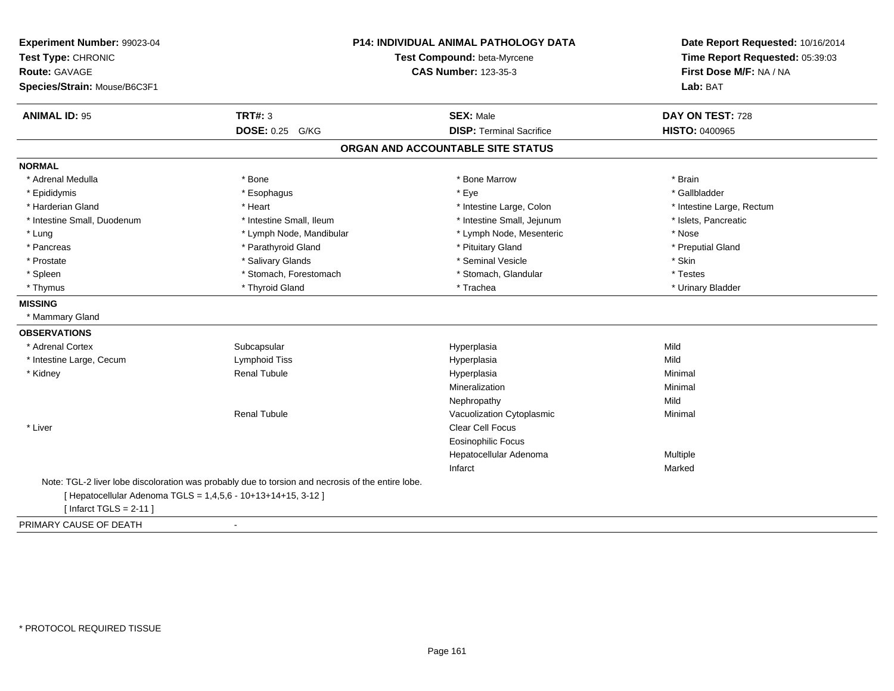| Experiment Number: 99023-04<br>Test Type: CHRONIC<br><b>Route: GAVAGE</b><br>Species/Strain: Mouse/B6C3F1 |                                                                                                   | <b>P14: INDIVIDUAL ANIMAL PATHOLOGY DATA</b><br>Test Compound: beta-Myrcene<br><b>CAS Number: 123-35-3</b> |                           |
|-----------------------------------------------------------------------------------------------------------|---------------------------------------------------------------------------------------------------|------------------------------------------------------------------------------------------------------------|---------------------------|
| <b>ANIMAL ID: 95</b>                                                                                      | <b>TRT#: 3</b>                                                                                    | <b>SEX: Male</b>                                                                                           | DAY ON TEST: 728          |
|                                                                                                           | DOSE: 0.25 G/KG                                                                                   | <b>DISP: Terminal Sacrifice</b>                                                                            | HISTO: 0400965            |
|                                                                                                           |                                                                                                   | ORGAN AND ACCOUNTABLE SITE STATUS                                                                          |                           |
| <b>NORMAL</b>                                                                                             |                                                                                                   |                                                                                                            |                           |
| * Adrenal Medulla                                                                                         | * Bone                                                                                            | * Bone Marrow                                                                                              | * Brain                   |
| * Epididymis                                                                                              | * Esophagus                                                                                       | * Eye                                                                                                      | * Gallbladder             |
| * Harderian Gland                                                                                         | * Heart                                                                                           | * Intestine Large, Colon                                                                                   | * Intestine Large, Rectum |
| * Intestine Small, Duodenum                                                                               | * Intestine Small, Ileum                                                                          | * Intestine Small, Jejunum                                                                                 | * Islets, Pancreatic      |
| * Lung                                                                                                    | * Lymph Node, Mandibular                                                                          | * Lymph Node, Mesenteric                                                                                   | * Nose                    |
| * Pancreas                                                                                                | * Parathyroid Gland                                                                               | * Pituitary Gland                                                                                          | * Preputial Gland         |
| * Prostate                                                                                                | * Salivary Glands                                                                                 | * Seminal Vesicle                                                                                          | * Skin                    |
| * Spleen                                                                                                  | * Stomach, Forestomach                                                                            | * Stomach, Glandular                                                                                       | * Testes                  |
| * Thymus                                                                                                  | * Thyroid Gland                                                                                   | * Trachea                                                                                                  | * Urinary Bladder         |
| <b>MISSING</b>                                                                                            |                                                                                                   |                                                                                                            |                           |
| * Mammary Gland                                                                                           |                                                                                                   |                                                                                                            |                           |
| <b>OBSERVATIONS</b>                                                                                       |                                                                                                   |                                                                                                            |                           |
| * Adrenal Cortex                                                                                          | Subcapsular                                                                                       | Hyperplasia                                                                                                | Mild                      |
| * Intestine Large, Cecum                                                                                  | Lymphoid Tiss                                                                                     | Hyperplasia                                                                                                | Mild                      |
| * Kidney                                                                                                  | <b>Renal Tubule</b>                                                                               | Hyperplasia                                                                                                | Minimal                   |
|                                                                                                           |                                                                                                   | Mineralization                                                                                             | Minimal                   |
|                                                                                                           |                                                                                                   | Nephropathy                                                                                                | Mild                      |
|                                                                                                           | <b>Renal Tubule</b>                                                                               | Vacuolization Cytoplasmic                                                                                  | Minimal                   |
| * Liver                                                                                                   |                                                                                                   | Clear Cell Focus                                                                                           |                           |
|                                                                                                           |                                                                                                   | <b>Eosinophilic Focus</b>                                                                                  |                           |
|                                                                                                           |                                                                                                   | Hepatocellular Adenoma                                                                                     | Multiple                  |
|                                                                                                           |                                                                                                   | Infarct                                                                                                    | Marked                    |
|                                                                                                           | Note: TGL-2 liver lobe discoloration was probably due to torsion and necrosis of the entire lobe. |                                                                                                            |                           |
|                                                                                                           | [ Hepatocellular Adenoma TGLS = 1,4,5,6 - 10+13+14+15, 3-12 ]                                     |                                                                                                            |                           |
| [Infarct TGLS = $2-11$ ]                                                                                  |                                                                                                   |                                                                                                            |                           |
| PRIMARY CAUSE OF DEATH                                                                                    | $\blacksquare$                                                                                    |                                                                                                            |                           |

-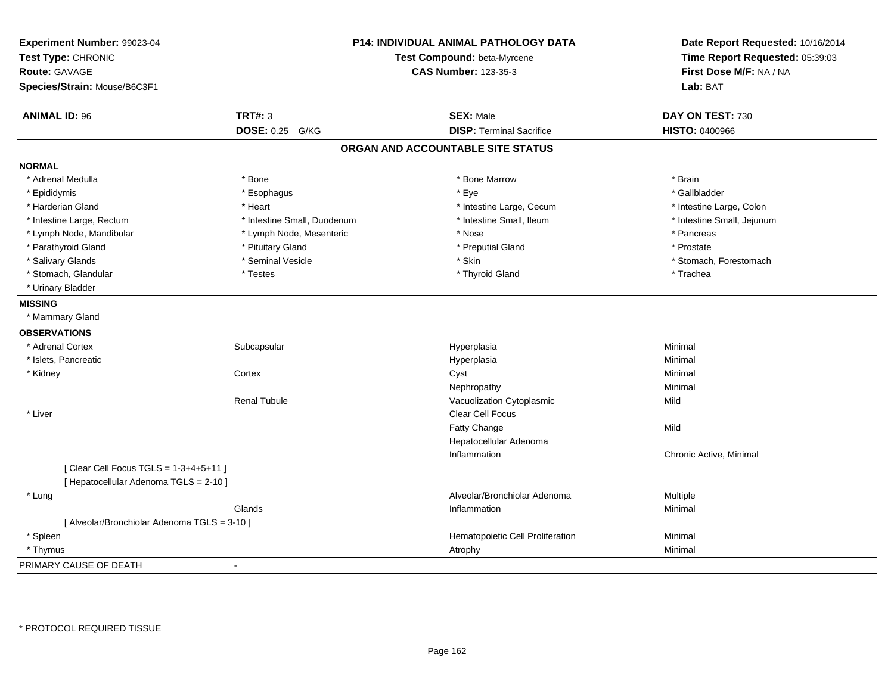| Experiment Number: 99023-04<br>Test Type: CHRONIC<br>Route: GAVAGE<br>Species/Strain: Mouse/B6C3F1 |                             | P14: INDIVIDUAL ANIMAL PATHOLOGY DATA<br>Test Compound: beta-Myrcene<br><b>CAS Number: 123-35-3</b> | Date Report Requested: 10/16/2014<br>Time Report Requested: 05:39:03<br>First Dose M/F: NA / NA<br>Lab: BAT |
|----------------------------------------------------------------------------------------------------|-----------------------------|-----------------------------------------------------------------------------------------------------|-------------------------------------------------------------------------------------------------------------|
| <b>ANIMAL ID: 96</b>                                                                               | <b>TRT#: 3</b>              | <b>SEX: Male</b>                                                                                    | DAY ON TEST: 730                                                                                            |
|                                                                                                    | DOSE: 0.25 G/KG             | <b>DISP: Terminal Sacrifice</b>                                                                     | <b>HISTO: 0400966</b>                                                                                       |
|                                                                                                    |                             | ORGAN AND ACCOUNTABLE SITE STATUS                                                                   |                                                                                                             |
| <b>NORMAL</b>                                                                                      |                             |                                                                                                     |                                                                                                             |
| * Adrenal Medulla                                                                                  | $*$ Bone                    | * Bone Marrow                                                                                       | * Brain                                                                                                     |
| * Epididymis                                                                                       | * Esophagus                 | * Eye                                                                                               | * Gallbladder                                                                                               |
| * Harderian Gland                                                                                  | * Heart                     | * Intestine Large, Cecum                                                                            | * Intestine Large, Colon                                                                                    |
| * Intestine Large, Rectum                                                                          | * Intestine Small, Duodenum | * Intestine Small, Ileum                                                                            | * Intestine Small, Jejunum                                                                                  |
| * Lymph Node, Mandibular                                                                           | * Lymph Node, Mesenteric    | * Nose                                                                                              | * Pancreas                                                                                                  |
| * Parathyroid Gland                                                                                | * Pituitary Gland           | * Preputial Gland                                                                                   | * Prostate                                                                                                  |
| * Salivary Glands                                                                                  | * Seminal Vesicle           | * Skin                                                                                              | * Stomach, Forestomach                                                                                      |
| * Stomach, Glandular                                                                               | * Testes                    | * Thyroid Gland                                                                                     | * Trachea                                                                                                   |
| * Urinary Bladder                                                                                  |                             |                                                                                                     |                                                                                                             |
| <b>MISSING</b>                                                                                     |                             |                                                                                                     |                                                                                                             |
| * Mammary Gland                                                                                    |                             |                                                                                                     |                                                                                                             |
| <b>OBSERVATIONS</b>                                                                                |                             |                                                                                                     |                                                                                                             |
| * Adrenal Cortex                                                                                   | Subcapsular                 | Hyperplasia                                                                                         | Minimal                                                                                                     |
| * Islets, Pancreatic                                                                               |                             | Hyperplasia                                                                                         | Minimal                                                                                                     |
| * Kidney                                                                                           | Cortex                      | Cyst                                                                                                | Minimal                                                                                                     |
|                                                                                                    |                             | Nephropathy                                                                                         | Minimal                                                                                                     |
|                                                                                                    | <b>Renal Tubule</b>         | Vacuolization Cytoplasmic                                                                           | Mild                                                                                                        |
| * Liver                                                                                            |                             | Clear Cell Focus                                                                                    |                                                                                                             |
|                                                                                                    |                             | Fatty Change                                                                                        | Mild                                                                                                        |
|                                                                                                    |                             | Hepatocellular Adenoma                                                                              |                                                                                                             |
|                                                                                                    |                             | Inflammation                                                                                        | Chronic Active, Minimal                                                                                     |
| [ Clear Cell Focus TGLS = 1-3+4+5+11 ]<br>[ Hepatocellular Adenoma TGLS = 2-10 ]                   |                             |                                                                                                     |                                                                                                             |
| * Lung                                                                                             |                             | Alveolar/Bronchiolar Adenoma                                                                        | Multiple                                                                                                    |
|                                                                                                    | Glands                      | Inflammation                                                                                        | Minimal                                                                                                     |
| [ Alveolar/Bronchiolar Adenoma TGLS = 3-10 ]                                                       |                             |                                                                                                     |                                                                                                             |
| * Spleen                                                                                           |                             | Hematopoietic Cell Proliferation                                                                    | Minimal                                                                                                     |
| * Thymus                                                                                           |                             | Atrophy                                                                                             | Minimal                                                                                                     |
| PRIMARY CAUSE OF DEATH                                                                             | $\blacksquare$              |                                                                                                     |                                                                                                             |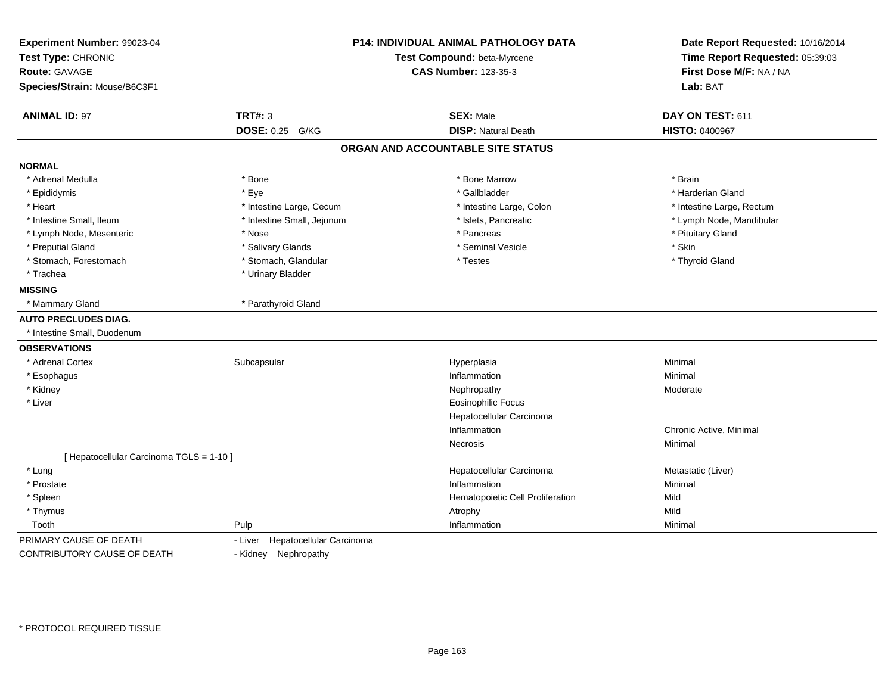| Experiment Number: 99023-04<br>Test Type: CHRONIC<br><b>Route: GAVAGE</b><br>Species/Strain: Mouse/B6C3F1 |                                     | P14: INDIVIDUAL ANIMAL PATHOLOGY DATA<br>Test Compound: beta-Myrcene<br><b>CAS Number: 123-35-3</b> | Date Report Requested: 10/16/2014<br>Time Report Requested: 05:39:03<br>First Dose M/F: NA / NA<br>Lab: BAT |
|-----------------------------------------------------------------------------------------------------------|-------------------------------------|-----------------------------------------------------------------------------------------------------|-------------------------------------------------------------------------------------------------------------|
| <b>ANIMAL ID: 97</b>                                                                                      | <b>TRT#: 3</b>                      | <b>SEX: Male</b>                                                                                    | DAY ON TEST: 611                                                                                            |
|                                                                                                           | <b>DOSE: 0.25 G/KG</b>              | <b>DISP: Natural Death</b>                                                                          | <b>HISTO: 0400967</b>                                                                                       |
|                                                                                                           |                                     | ORGAN AND ACCOUNTABLE SITE STATUS                                                                   |                                                                                                             |
| <b>NORMAL</b>                                                                                             |                                     |                                                                                                     |                                                                                                             |
| * Adrenal Medulla                                                                                         | * Bone                              | * Bone Marrow                                                                                       | * Brain                                                                                                     |
| * Epididymis                                                                                              | * Eye                               | * Gallbladder                                                                                       | * Harderian Gland                                                                                           |
| * Heart                                                                                                   | * Intestine Large, Cecum            | * Intestine Large, Colon                                                                            | * Intestine Large, Rectum                                                                                   |
| * Intestine Small, Ileum                                                                                  | * Intestine Small, Jejunum          | * Islets, Pancreatic                                                                                | * Lymph Node, Mandibular                                                                                    |
| * Lymph Node, Mesenteric                                                                                  | * Nose                              | * Pancreas                                                                                          | * Pituitary Gland                                                                                           |
| * Preputial Gland                                                                                         | * Salivary Glands                   | * Seminal Vesicle                                                                                   | * Skin                                                                                                      |
| * Stomach, Forestomach                                                                                    | * Stomach, Glandular                | * Testes                                                                                            | * Thyroid Gland                                                                                             |
| * Trachea                                                                                                 | * Urinary Bladder                   |                                                                                                     |                                                                                                             |
| <b>MISSING</b>                                                                                            |                                     |                                                                                                     |                                                                                                             |
| * Mammary Gland                                                                                           | * Parathyroid Gland                 |                                                                                                     |                                                                                                             |
| <b>AUTO PRECLUDES DIAG.</b>                                                                               |                                     |                                                                                                     |                                                                                                             |
| * Intestine Small, Duodenum                                                                               |                                     |                                                                                                     |                                                                                                             |
| <b>OBSERVATIONS</b>                                                                                       |                                     |                                                                                                     |                                                                                                             |
| * Adrenal Cortex                                                                                          | Subcapsular                         | Hyperplasia                                                                                         | Minimal                                                                                                     |
| * Esophagus                                                                                               |                                     | Inflammation                                                                                        | Minimal                                                                                                     |
| * Kidney                                                                                                  |                                     | Nephropathy                                                                                         | Moderate                                                                                                    |
| * Liver                                                                                                   |                                     | <b>Eosinophilic Focus</b>                                                                           |                                                                                                             |
|                                                                                                           |                                     | Hepatocellular Carcinoma                                                                            |                                                                                                             |
|                                                                                                           |                                     | Inflammation                                                                                        | Chronic Active, Minimal                                                                                     |
|                                                                                                           |                                     | Necrosis                                                                                            | Minimal                                                                                                     |
| [ Hepatocellular Carcinoma TGLS = 1-10 ]                                                                  |                                     |                                                                                                     |                                                                                                             |
| * Lung                                                                                                    |                                     | Hepatocellular Carcinoma                                                                            | Metastatic (Liver)                                                                                          |
| * Prostate                                                                                                |                                     | Inflammation                                                                                        | Minimal                                                                                                     |
| * Spleen                                                                                                  |                                     | Hematopoietic Cell Proliferation                                                                    | Mild                                                                                                        |
| * Thymus                                                                                                  |                                     | Atrophy                                                                                             | Mild                                                                                                        |
| Tooth                                                                                                     | Pulp                                | Inflammation                                                                                        | Minimal                                                                                                     |
| PRIMARY CAUSE OF DEATH                                                                                    | - Liver<br>Hepatocellular Carcinoma |                                                                                                     |                                                                                                             |
| CONTRIBUTORY CAUSE OF DEATH                                                                               | - Kidney Nephropathy                |                                                                                                     |                                                                                                             |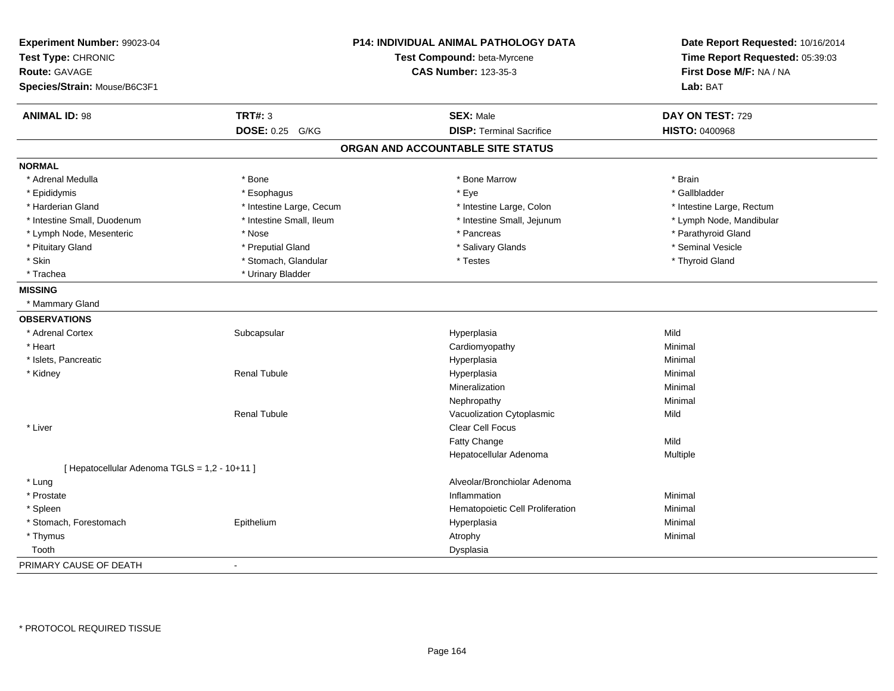| Experiment Number: 99023-04<br>Test Type: CHRONIC<br><b>Route: GAVAGE</b> |                          | P14: INDIVIDUAL ANIMAL PATHOLOGY DATA<br>Test Compound: beta-Myrcene<br><b>CAS Number: 123-35-3</b> | Date Report Requested: 10/16/2014<br>Time Report Requested: 05:39:03<br>First Dose M/F: NA / NA |
|---------------------------------------------------------------------------|--------------------------|-----------------------------------------------------------------------------------------------------|-------------------------------------------------------------------------------------------------|
| Species/Strain: Mouse/B6C3F1                                              |                          |                                                                                                     | Lab: BAT                                                                                        |
| <b>ANIMAL ID: 98</b>                                                      | <b>TRT#: 3</b>           | <b>SEX: Male</b>                                                                                    | DAY ON TEST: 729                                                                                |
|                                                                           | DOSE: 0.25 G/KG          | <b>DISP: Terminal Sacrifice</b>                                                                     | <b>HISTO: 0400968</b>                                                                           |
|                                                                           |                          | ORGAN AND ACCOUNTABLE SITE STATUS                                                                   |                                                                                                 |
| <b>NORMAL</b>                                                             |                          |                                                                                                     |                                                                                                 |
| * Adrenal Medulla                                                         | * Bone                   | * Bone Marrow                                                                                       | * Brain                                                                                         |
| * Epididymis                                                              | * Esophagus              | * Eye                                                                                               | * Gallbladder                                                                                   |
| * Harderian Gland                                                         | * Intestine Large, Cecum | * Intestine Large, Colon                                                                            | * Intestine Large, Rectum                                                                       |
| * Intestine Small, Duodenum                                               | * Intestine Small, Ileum | * Intestine Small, Jejunum                                                                          | * Lymph Node, Mandibular                                                                        |
| * Lymph Node, Mesenteric                                                  | * Nose                   | * Pancreas                                                                                          | * Parathyroid Gland                                                                             |
| * Pituitary Gland                                                         | * Preputial Gland        | * Salivary Glands                                                                                   | * Seminal Vesicle                                                                               |
| * Skin                                                                    | * Stomach, Glandular     | * Testes                                                                                            | * Thyroid Gland                                                                                 |
| * Trachea                                                                 | * Urinary Bladder        |                                                                                                     |                                                                                                 |
| <b>MISSING</b>                                                            |                          |                                                                                                     |                                                                                                 |
| * Mammary Gland                                                           |                          |                                                                                                     |                                                                                                 |
| <b>OBSERVATIONS</b>                                                       |                          |                                                                                                     |                                                                                                 |
| * Adrenal Cortex                                                          | Subcapsular              | Hyperplasia                                                                                         | Mild                                                                                            |
| * Heart                                                                   |                          | Cardiomyopathy                                                                                      | Minimal                                                                                         |
| * Islets, Pancreatic                                                      |                          | Hyperplasia                                                                                         | Minimal                                                                                         |
| * Kidney                                                                  | <b>Renal Tubule</b>      | Hyperplasia                                                                                         | Minimal                                                                                         |
|                                                                           |                          | Mineralization                                                                                      | Minimal                                                                                         |
|                                                                           |                          | Nephropathy                                                                                         | Minimal                                                                                         |
|                                                                           | <b>Renal Tubule</b>      | Vacuolization Cytoplasmic                                                                           | Mild                                                                                            |
| * Liver                                                                   |                          | Clear Cell Focus                                                                                    |                                                                                                 |
|                                                                           |                          | Fatty Change                                                                                        | Mild                                                                                            |
|                                                                           |                          | Hepatocellular Adenoma                                                                              | Multiple                                                                                        |
| [ Hepatocellular Adenoma TGLS = 1,2 - 10+11 ]                             |                          |                                                                                                     |                                                                                                 |
| * Lung                                                                    |                          | Alveolar/Bronchiolar Adenoma                                                                        |                                                                                                 |
| * Prostate                                                                |                          | Inflammation                                                                                        | Minimal                                                                                         |
| * Spleen                                                                  |                          | Hematopoietic Cell Proliferation                                                                    | Minimal                                                                                         |
| * Stomach, Forestomach                                                    | Epithelium               | Hyperplasia                                                                                         | Minimal                                                                                         |
| * Thymus                                                                  |                          | Atrophy                                                                                             | Minimal                                                                                         |
| Tooth                                                                     |                          | Dysplasia                                                                                           |                                                                                                 |
| PRIMARY CAUSE OF DEATH                                                    | $\blacksquare$           |                                                                                                     |                                                                                                 |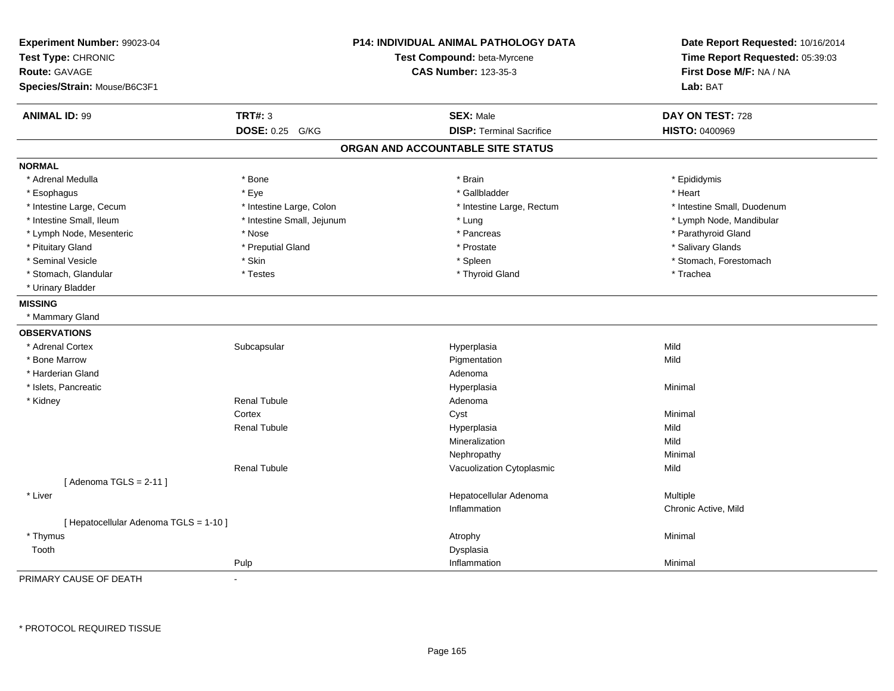| Experiment Number: 99023-04<br>Test Type: CHRONIC<br><b>Route: GAVAGE</b><br>Species/Strain: Mouse/B6C3F1 |                            | <b>P14: INDIVIDUAL ANIMAL PATHOLOGY DATA</b><br>Test Compound: beta-Myrcene<br><b>CAS Number: 123-35-3</b> | Date Report Requested: 10/16/2014<br>Time Report Requested: 05:39:03<br>First Dose M/F: NA / NA<br>Lab: BAT |
|-----------------------------------------------------------------------------------------------------------|----------------------------|------------------------------------------------------------------------------------------------------------|-------------------------------------------------------------------------------------------------------------|
| <b>ANIMAL ID: 99</b>                                                                                      | <b>TRT#: 3</b>             | <b>SEX: Male</b>                                                                                           | DAY ON TEST: 728                                                                                            |
|                                                                                                           | DOSE: 0.25 G/KG            | <b>DISP: Terminal Sacrifice</b>                                                                            | <b>HISTO: 0400969</b>                                                                                       |
|                                                                                                           |                            | ORGAN AND ACCOUNTABLE SITE STATUS                                                                          |                                                                                                             |
| <b>NORMAL</b>                                                                                             |                            |                                                                                                            |                                                                                                             |
| * Adrenal Medulla                                                                                         | * Bone                     | * Brain                                                                                                    | * Epididymis                                                                                                |
| * Esophagus                                                                                               | * Eye                      | * Gallbladder                                                                                              | * Heart                                                                                                     |
| * Intestine Large, Cecum                                                                                  | * Intestine Large, Colon   | * Intestine Large, Rectum                                                                                  | * Intestine Small, Duodenum                                                                                 |
| * Intestine Small, Ileum                                                                                  | * Intestine Small, Jejunum | * Lung                                                                                                     | * Lymph Node, Mandibular                                                                                    |
| * Lymph Node, Mesenteric                                                                                  | * Nose                     | * Pancreas                                                                                                 | * Parathyroid Gland                                                                                         |
| * Pituitary Gland                                                                                         | * Preputial Gland          | * Prostate                                                                                                 | * Salivary Glands                                                                                           |
| * Seminal Vesicle                                                                                         | * Skin                     | * Spleen                                                                                                   | * Stomach, Forestomach                                                                                      |
| * Stomach, Glandular                                                                                      | * Testes                   | * Thyroid Gland                                                                                            | * Trachea                                                                                                   |
| * Urinary Bladder                                                                                         |                            |                                                                                                            |                                                                                                             |
| <b>MISSING</b>                                                                                            |                            |                                                                                                            |                                                                                                             |
| * Mammary Gland                                                                                           |                            |                                                                                                            |                                                                                                             |
| <b>OBSERVATIONS</b>                                                                                       |                            |                                                                                                            |                                                                                                             |
| * Adrenal Cortex                                                                                          | Subcapsular                | Hyperplasia                                                                                                | Mild                                                                                                        |
| * Bone Marrow                                                                                             |                            | Pigmentation                                                                                               | Mild                                                                                                        |
| * Harderian Gland                                                                                         |                            | Adenoma                                                                                                    |                                                                                                             |
| * Islets, Pancreatic                                                                                      |                            | Hyperplasia                                                                                                | Minimal                                                                                                     |
| * Kidney                                                                                                  | <b>Renal Tubule</b>        | Adenoma                                                                                                    |                                                                                                             |
|                                                                                                           | Cortex                     | Cyst                                                                                                       | Minimal                                                                                                     |
|                                                                                                           | <b>Renal Tubule</b>        | Hyperplasia                                                                                                | Mild                                                                                                        |
|                                                                                                           |                            | Mineralization                                                                                             | Mild                                                                                                        |
|                                                                                                           |                            | Nephropathy                                                                                                | Minimal                                                                                                     |
|                                                                                                           | <b>Renal Tubule</b>        | Vacuolization Cytoplasmic                                                                                  | Mild                                                                                                        |
| [Adenoma TGLS = $2-11$ ]                                                                                  |                            |                                                                                                            |                                                                                                             |
| * Liver                                                                                                   |                            | Hepatocellular Adenoma                                                                                     | Multiple                                                                                                    |
|                                                                                                           |                            | Inflammation                                                                                               | Chronic Active, Mild                                                                                        |
| [ Hepatocellular Adenoma TGLS = 1-10 ]                                                                    |                            |                                                                                                            |                                                                                                             |
| * Thymus                                                                                                  |                            | Atrophy                                                                                                    | Minimal                                                                                                     |
| Tooth                                                                                                     |                            | Dysplasia                                                                                                  |                                                                                                             |
|                                                                                                           | Pulp                       | Inflammation                                                                                               | Minimal                                                                                                     |

PRIMARY CAUSE OF DEATH-

\* PROTOCOL REQUIRED TISSUE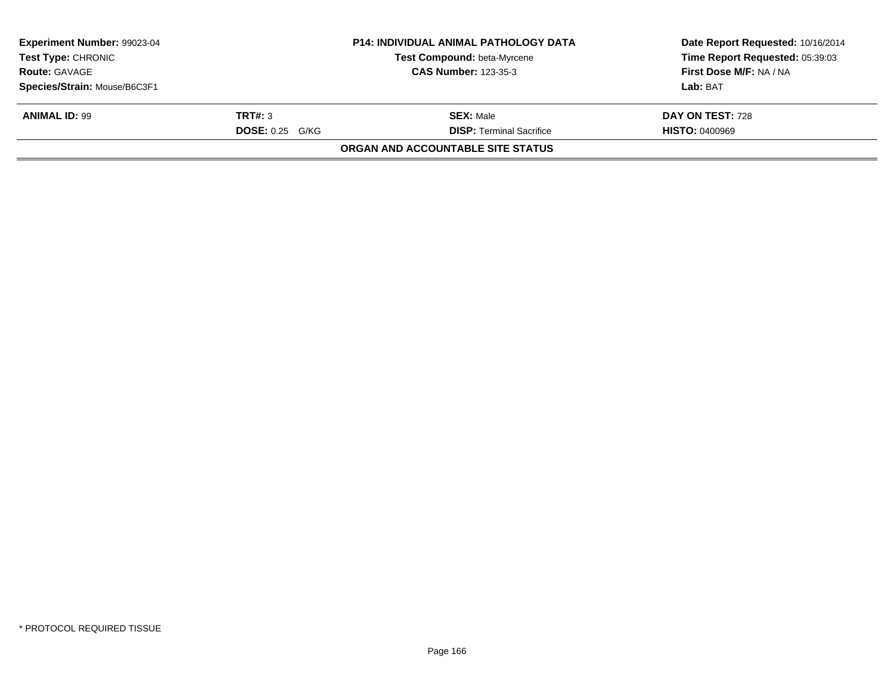| Experiment Number: 99023-04  |                        | <b>P14: INDIVIDUAL ANIMAL PATHOLOGY DATA</b> | Date Report Requested: 10/16/2014 |
|------------------------------|------------------------|----------------------------------------------|-----------------------------------|
| <b>Test Type: CHRONIC</b>    |                        | Test Compound: beta-Myrcene                  | Time Report Requested: 05:39:03   |
| <b>Route: GAVAGE</b>         |                        | <b>CAS Number: 123-35-3</b>                  | First Dose M/F: NA / NA           |
| Species/Strain: Mouse/B6C3F1 |                        |                                              | Lab: BAT                          |
| <b>ANIMAL ID: 99</b>         | TRT#: 3                | <b>SEX: Male</b>                             | DAY ON TEST: 728                  |
|                              | <b>DOSE: 0.25 G/KG</b> | <b>DISP: Terminal Sacrifice</b>              | <b>HISTO: 0400969</b>             |
|                              |                        | <b>ORGAN AND ACCOUNTABLE SITE STATUS</b>     |                                   |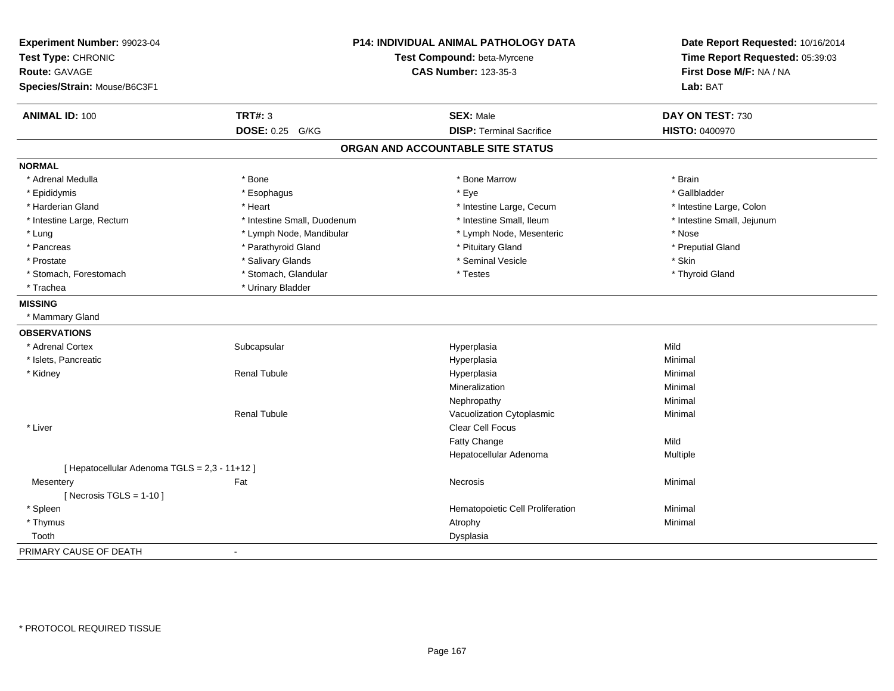| Experiment Number: 99023-04<br>Test Type: CHRONIC<br><b>Route: GAVAGE</b><br>Species/Strain: Mouse/B6C3F1 | P14: INDIVIDUAL ANIMAL PATHOLOGY DATA<br>Test Compound: beta-Myrcene<br><b>CAS Number: 123-35-3</b> |                                   | Date Report Requested: 10/16/2014<br>Time Report Requested: 05:39:03<br>First Dose M/F: NA / NA<br>Lab: BAT |
|-----------------------------------------------------------------------------------------------------------|-----------------------------------------------------------------------------------------------------|-----------------------------------|-------------------------------------------------------------------------------------------------------------|
| <b>ANIMAL ID: 100</b>                                                                                     | <b>TRT#: 3</b>                                                                                      | <b>SEX: Male</b>                  | DAY ON TEST: 730                                                                                            |
|                                                                                                           | <b>DOSE: 0.25 G/KG</b>                                                                              | <b>DISP: Terminal Sacrifice</b>   | <b>HISTO: 0400970</b>                                                                                       |
|                                                                                                           |                                                                                                     | ORGAN AND ACCOUNTABLE SITE STATUS |                                                                                                             |
| <b>NORMAL</b>                                                                                             |                                                                                                     |                                   |                                                                                                             |
| * Adrenal Medulla                                                                                         | * Bone                                                                                              | * Bone Marrow                     | * Brain                                                                                                     |
| * Epididymis                                                                                              | * Esophagus                                                                                         | * Eye                             | * Gallbladder                                                                                               |
| * Harderian Gland                                                                                         | * Heart                                                                                             | * Intestine Large, Cecum          | * Intestine Large, Colon                                                                                    |
| * Intestine Large, Rectum                                                                                 | * Intestine Small, Duodenum                                                                         | * Intestine Small, Ileum          | * Intestine Small, Jejunum                                                                                  |
| * Lung                                                                                                    | * Lymph Node, Mandibular                                                                            | * Lymph Node, Mesenteric          | * Nose                                                                                                      |
| * Pancreas                                                                                                | * Parathyroid Gland                                                                                 | * Pituitary Gland                 | * Preputial Gland                                                                                           |
| * Prostate                                                                                                | * Salivary Glands                                                                                   | * Seminal Vesicle                 | * Skin                                                                                                      |
| * Stomach, Forestomach                                                                                    | * Stomach, Glandular                                                                                | * Testes                          | * Thyroid Gland                                                                                             |
| * Trachea                                                                                                 | * Urinary Bladder                                                                                   |                                   |                                                                                                             |
| <b>MISSING</b>                                                                                            |                                                                                                     |                                   |                                                                                                             |
| * Mammary Gland                                                                                           |                                                                                                     |                                   |                                                                                                             |
| <b>OBSERVATIONS</b>                                                                                       |                                                                                                     |                                   |                                                                                                             |
| * Adrenal Cortex                                                                                          | Subcapsular                                                                                         | Hyperplasia                       | Mild                                                                                                        |
| * Islets, Pancreatic                                                                                      |                                                                                                     | Hyperplasia                       | Minimal                                                                                                     |
| * Kidney                                                                                                  | <b>Renal Tubule</b>                                                                                 | Hyperplasia                       | Minimal                                                                                                     |
|                                                                                                           |                                                                                                     | Mineralization                    | Minimal                                                                                                     |
|                                                                                                           |                                                                                                     | Nephropathy                       | Minimal                                                                                                     |
|                                                                                                           | <b>Renal Tubule</b>                                                                                 | Vacuolization Cytoplasmic         | Minimal                                                                                                     |
| * Liver                                                                                                   |                                                                                                     | Clear Cell Focus                  |                                                                                                             |
|                                                                                                           |                                                                                                     | Fatty Change                      | Mild                                                                                                        |
|                                                                                                           |                                                                                                     | Hepatocellular Adenoma            | Multiple                                                                                                    |
| [ Hepatocellular Adenoma TGLS = 2,3 - 11+12 ]                                                             |                                                                                                     |                                   |                                                                                                             |
| Mesentery                                                                                                 | Fat                                                                                                 | Necrosis                          | Minimal                                                                                                     |
| [ Necrosis $TGLS = 1-10$ ]                                                                                |                                                                                                     |                                   |                                                                                                             |
| * Spleen                                                                                                  |                                                                                                     | Hematopoietic Cell Proliferation  | Minimal                                                                                                     |
| * Thymus                                                                                                  |                                                                                                     | Atrophy                           | Minimal                                                                                                     |
| Tooth                                                                                                     |                                                                                                     | Dysplasia                         |                                                                                                             |
| PRIMARY CAUSE OF DEATH                                                                                    |                                                                                                     |                                   |                                                                                                             |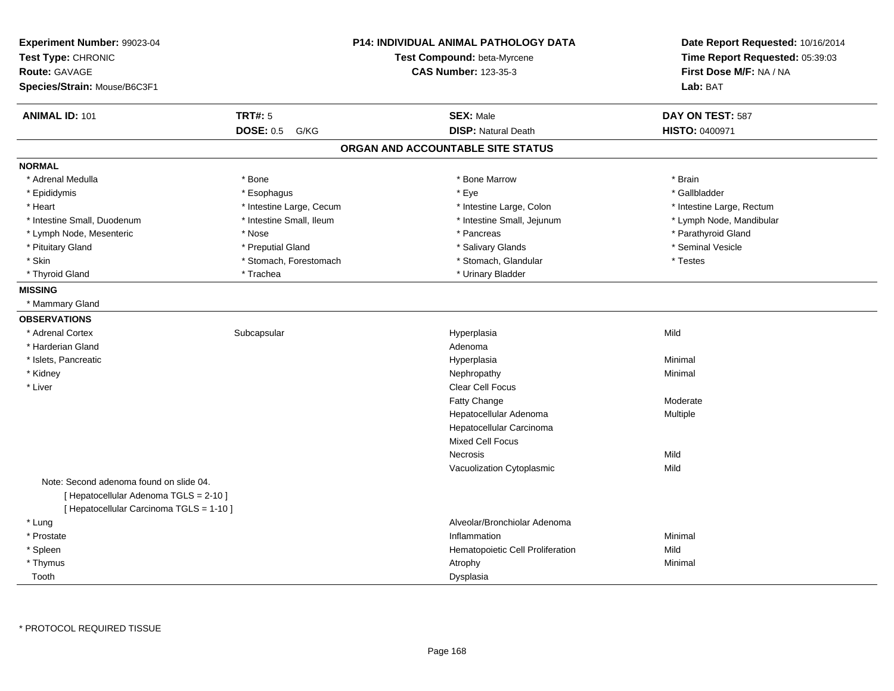| Experiment Number: 99023-04<br>Test Type: CHRONIC<br>Route: GAVAGE<br>Species/Strain: Mouse/B6C3F1 |                          | <b>P14: INDIVIDUAL ANIMAL PATHOLOGY DATA</b><br>Test Compound: beta-Myrcene<br><b>CAS Number: 123-35-3</b> | Date Report Requested: 10/16/2014<br>Time Report Requested: 05:39:03<br>First Dose M/F: NA / NA<br>Lab: BAT |
|----------------------------------------------------------------------------------------------------|--------------------------|------------------------------------------------------------------------------------------------------------|-------------------------------------------------------------------------------------------------------------|
| <b>ANIMAL ID: 101</b>                                                                              | <b>TRT#: 5</b>           | <b>SEX: Male</b>                                                                                           | DAY ON TEST: 587                                                                                            |
|                                                                                                    | <b>DOSE: 0.5</b><br>G/KG | <b>DISP: Natural Death</b>                                                                                 | HISTO: 0400971                                                                                              |
|                                                                                                    |                          | ORGAN AND ACCOUNTABLE SITE STATUS                                                                          |                                                                                                             |
| <b>NORMAL</b>                                                                                      |                          |                                                                                                            |                                                                                                             |
| * Adrenal Medulla                                                                                  | * Bone                   | * Bone Marrow                                                                                              | * Brain                                                                                                     |
| * Epididymis                                                                                       | * Esophagus              | * Eye                                                                                                      | * Gallbladder                                                                                               |
| * Heart                                                                                            | * Intestine Large, Cecum | * Intestine Large, Colon                                                                                   | * Intestine Large, Rectum                                                                                   |
| * Intestine Small, Duodenum                                                                        | * Intestine Small, Ileum | * Intestine Small, Jejunum                                                                                 | * Lymph Node, Mandibular                                                                                    |
| * Lymph Node, Mesenteric                                                                           | * Nose                   | * Pancreas                                                                                                 | * Parathyroid Gland                                                                                         |
| * Pituitary Gland                                                                                  | * Preputial Gland        | * Salivary Glands                                                                                          | * Seminal Vesicle                                                                                           |
| * Skin                                                                                             | * Stomach, Forestomach   | * Stomach, Glandular                                                                                       | * Testes                                                                                                    |
| * Thyroid Gland                                                                                    | * Trachea                | * Urinary Bladder                                                                                          |                                                                                                             |
| <b>MISSING</b>                                                                                     |                          |                                                                                                            |                                                                                                             |
| * Mammary Gland                                                                                    |                          |                                                                                                            |                                                                                                             |
| <b>OBSERVATIONS</b>                                                                                |                          |                                                                                                            |                                                                                                             |
| * Adrenal Cortex                                                                                   | Subcapsular              | Hyperplasia                                                                                                | Mild                                                                                                        |
| * Harderian Gland                                                                                  |                          | Adenoma                                                                                                    |                                                                                                             |
| * Islets, Pancreatic                                                                               |                          | Hyperplasia                                                                                                | Minimal                                                                                                     |
| * Kidney                                                                                           |                          | Nephropathy                                                                                                | Minimal                                                                                                     |
| * Liver                                                                                            |                          | Clear Cell Focus                                                                                           |                                                                                                             |
|                                                                                                    |                          | Fatty Change                                                                                               | Moderate                                                                                                    |
|                                                                                                    |                          | Hepatocellular Adenoma                                                                                     | Multiple                                                                                                    |
|                                                                                                    |                          | Hepatocellular Carcinoma                                                                                   |                                                                                                             |
|                                                                                                    |                          | <b>Mixed Cell Focus</b>                                                                                    |                                                                                                             |
|                                                                                                    |                          | <b>Necrosis</b>                                                                                            | Mild                                                                                                        |
|                                                                                                    |                          | Vacuolization Cytoplasmic                                                                                  | Mild                                                                                                        |
| Note: Second adenoma found on slide 04.                                                            |                          |                                                                                                            |                                                                                                             |
| [ Hepatocellular Adenoma TGLS = 2-10 ]                                                             |                          |                                                                                                            |                                                                                                             |
| [ Hepatocellular Carcinoma TGLS = 1-10 ]                                                           |                          |                                                                                                            |                                                                                                             |
| * Lung                                                                                             |                          | Alveolar/Bronchiolar Adenoma                                                                               |                                                                                                             |
| * Prostate                                                                                         |                          | Inflammation                                                                                               | Minimal                                                                                                     |
| * Spleen                                                                                           |                          | Hematopoietic Cell Proliferation                                                                           | Mild                                                                                                        |
| * Thymus                                                                                           |                          | Atrophy                                                                                                    | Minimal                                                                                                     |
| Tooth                                                                                              |                          | Dysplasia                                                                                                  |                                                                                                             |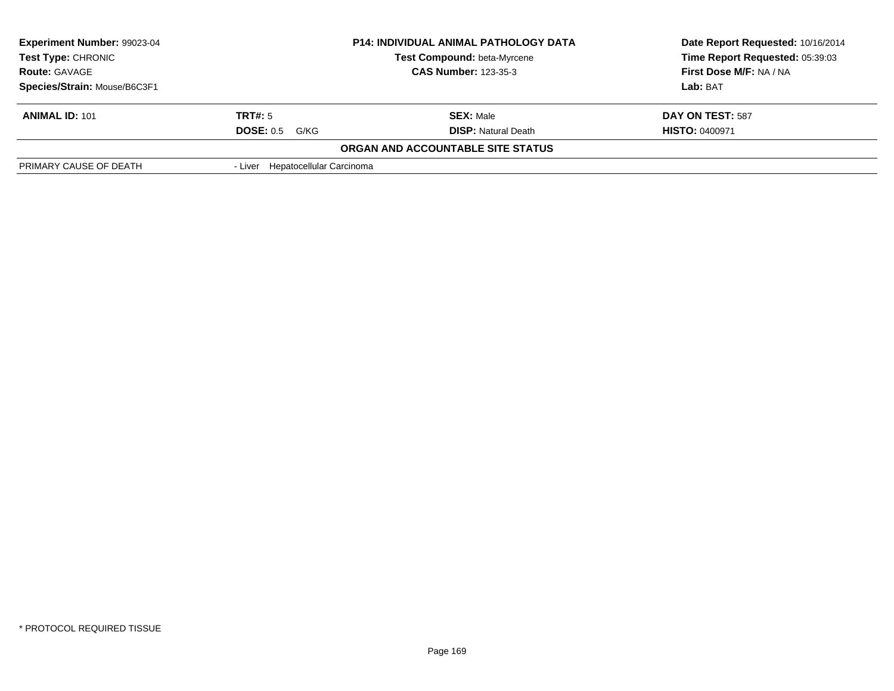| <b>Experiment Number: 99023-04</b><br><b>Test Type: CHRONIC</b> |                                  | <b>P14: INDIVIDUAL ANIMAL PATHOLOGY DATA</b><br>Test Compound: beta-Myrcene | Date Report Requested: 10/16/2014<br>Time Report Requested: 05:39:03 |
|-----------------------------------------------------------------|----------------------------------|-----------------------------------------------------------------------------|----------------------------------------------------------------------|
| <b>Route: GAVAGE</b>                                            |                                  | <b>CAS Number: 123-35-3</b>                                                 | First Dose M/F: NA / NA                                              |
| Species/Strain: Mouse/B6C3F1                                    |                                  |                                                                             | <b>Lab: BAT</b>                                                      |
| <b>ANIMAL ID: 101</b>                                           | TRT#: 5                          | <b>SEX: Male</b>                                                            | DAY ON TEST: 587                                                     |
|                                                                 | DOSE: 0.5<br>G/KG                | <b>DISP:</b> Natural Death                                                  | <b>HISTO: 0400971</b>                                                |
|                                                                 |                                  | <b>ORGAN AND ACCOUNTABLE SITE STATUS</b>                                    |                                                                      |
| PRIMARY CAUSE OF DEATH                                          | - Liver Hepatocellular Carcinoma |                                                                             |                                                                      |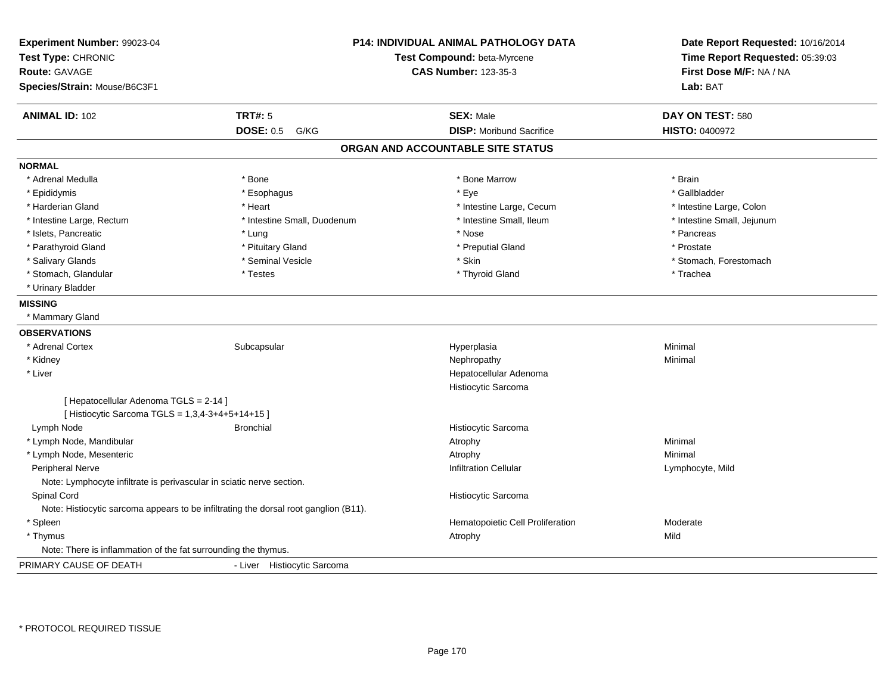| Experiment Number: 99023-04<br>Test Type: CHRONIC<br>Route: GAVAGE    |                                                                                      | P14: INDIVIDUAL ANIMAL PATHOLOGY DATA<br>Test Compound: beta-Myrcene<br><b>CAS Number: 123-35-3</b> | Date Report Requested: 10/16/2014<br>Time Report Requested: 05:39:03<br>First Dose M/F: NA / NA |
|-----------------------------------------------------------------------|--------------------------------------------------------------------------------------|-----------------------------------------------------------------------------------------------------|-------------------------------------------------------------------------------------------------|
| Species/Strain: Mouse/B6C3F1                                          |                                                                                      |                                                                                                     | Lab: BAT                                                                                        |
| <b>ANIMAL ID: 102</b>                                                 | <b>TRT#: 5</b>                                                                       | <b>SEX: Male</b>                                                                                    | DAY ON TEST: 580                                                                                |
|                                                                       | <b>DOSE: 0.5</b><br>G/KG                                                             | <b>DISP:</b> Moribund Sacrifice                                                                     | <b>HISTO: 0400972</b>                                                                           |
|                                                                       |                                                                                      | ORGAN AND ACCOUNTABLE SITE STATUS                                                                   |                                                                                                 |
| <b>NORMAL</b>                                                         |                                                                                      |                                                                                                     |                                                                                                 |
| * Adrenal Medulla                                                     | * Bone                                                                               | * Bone Marrow                                                                                       | * Brain                                                                                         |
| * Epididymis                                                          | * Esophagus                                                                          | * Eye                                                                                               | * Gallbladder                                                                                   |
| * Harderian Gland                                                     | * Heart                                                                              | * Intestine Large, Cecum                                                                            | * Intestine Large, Colon                                                                        |
| * Intestine Large, Rectum                                             | * Intestine Small, Duodenum                                                          | * Intestine Small, Ileum                                                                            | * Intestine Small, Jejunum                                                                      |
| * Islets, Pancreatic                                                  | * Lung                                                                               | * Nose                                                                                              | * Pancreas                                                                                      |
| * Parathyroid Gland                                                   | * Pituitary Gland                                                                    | * Preputial Gland                                                                                   | * Prostate                                                                                      |
| * Salivary Glands                                                     | * Seminal Vesicle                                                                    | * Skin                                                                                              | * Stomach, Forestomach                                                                          |
| * Stomach, Glandular                                                  | * Testes                                                                             | * Thyroid Gland                                                                                     | * Trachea                                                                                       |
| * Urinary Bladder                                                     |                                                                                      |                                                                                                     |                                                                                                 |
| <b>MISSING</b>                                                        |                                                                                      |                                                                                                     |                                                                                                 |
| * Mammary Gland                                                       |                                                                                      |                                                                                                     |                                                                                                 |
| <b>OBSERVATIONS</b>                                                   |                                                                                      |                                                                                                     |                                                                                                 |
| * Adrenal Cortex                                                      | Subcapsular                                                                          | Hyperplasia                                                                                         | Minimal                                                                                         |
| * Kidney                                                              |                                                                                      | Nephropathy                                                                                         | Minimal                                                                                         |
| * Liver                                                               |                                                                                      | Hepatocellular Adenoma                                                                              |                                                                                                 |
|                                                                       |                                                                                      | Histiocytic Sarcoma                                                                                 |                                                                                                 |
| [ Hepatocellular Adenoma TGLS = 2-14 ]                                |                                                                                      |                                                                                                     |                                                                                                 |
| [ Histiocytic Sarcoma TGLS = 1,3,4-3+4+5+14+15 ]                      |                                                                                      |                                                                                                     |                                                                                                 |
| Lymph Node                                                            | <b>Bronchial</b>                                                                     | Histiocytic Sarcoma                                                                                 |                                                                                                 |
| * Lymph Node, Mandibular                                              |                                                                                      | Atrophy                                                                                             | Minimal                                                                                         |
| * Lymph Node, Mesenteric                                              |                                                                                      | Atrophy                                                                                             | Minimal                                                                                         |
| Peripheral Nerve                                                      |                                                                                      | <b>Infiltration Cellular</b>                                                                        | Lymphocyte, Mild                                                                                |
| Note: Lymphocyte infiltrate is perivascular in sciatic nerve section. |                                                                                      |                                                                                                     |                                                                                                 |
| Spinal Cord                                                           |                                                                                      | Histiocytic Sarcoma                                                                                 |                                                                                                 |
|                                                                       | Note: Histiocytic sarcoma appears to be infiltrating the dorsal root ganglion (B11). |                                                                                                     |                                                                                                 |
| * Spleen                                                              |                                                                                      | Hematopoietic Cell Proliferation                                                                    | Moderate                                                                                        |
| * Thymus                                                              |                                                                                      | Atrophy                                                                                             | Mild                                                                                            |
| Note: There is inflammation of the fat surrounding the thymus.        |                                                                                      |                                                                                                     |                                                                                                 |
| PRIMARY CAUSE OF DEATH                                                | - Liver Histiocytic Sarcoma                                                          |                                                                                                     |                                                                                                 |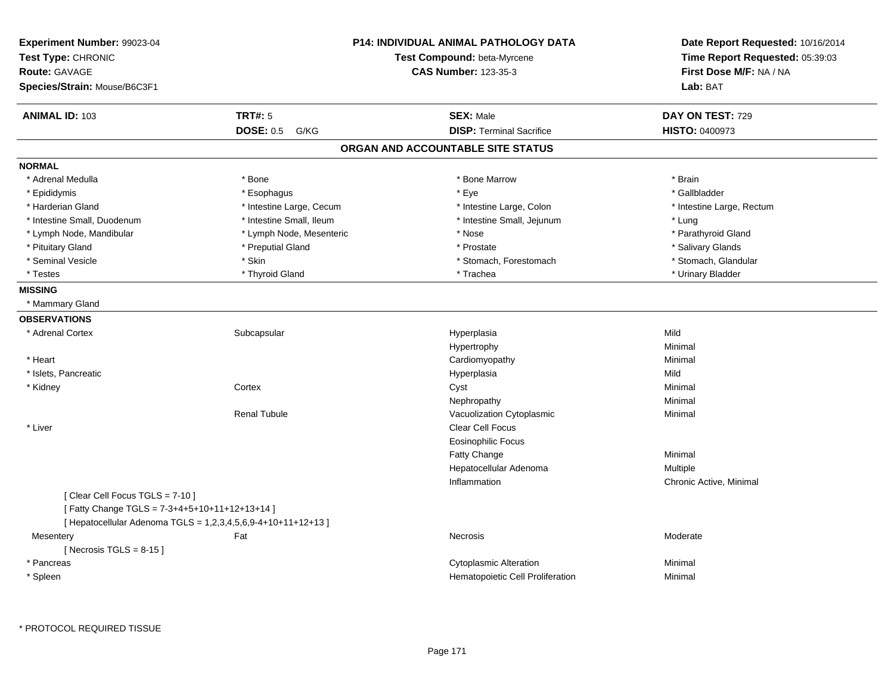| ANIMAL ID: 103<br><b>TRT#: 5</b><br><b>SEX: Male</b><br>DAY ON TEST: 729<br><b>DISP: Terminal Sacrifice</b><br><b>DOSE: 0.5</b><br>HISTO: 0400973<br>G/KG<br>ORGAN AND ACCOUNTABLE SITE STATUS<br><b>NORMAL</b><br>* Adrenal Medulla<br>* Bone<br>* Bone Marrow<br>* Brain<br>* Eye<br>* Epididymis<br>* Gallbladder<br>* Esophagus<br>* Harderian Gland<br>* Intestine Large, Cecum<br>* Intestine Large, Colon<br>* Intestine Large, Rectum<br>* Intestine Small, Ileum<br>* Intestine Small, Jejunum<br>* Lung<br>* Intestine Small, Duodenum<br>* Lymph Node, Mesenteric<br>* Parathyroid Gland<br>* Lymph Node, Mandibular<br>* Nose<br>* Pituitary Gland<br>* Preputial Gland<br>* Prostate<br>* Salivary Glands<br>* Skin<br>* Stomach, Glandular<br>* Seminal Vesicle<br>* Stomach, Forestomach<br>* Thyroid Gland<br>* Trachea<br>* Urinary Bladder<br>* Testes<br><b>MISSING</b><br>* Mammary Gland<br><b>OBSERVATIONS</b><br>Mild<br>* Adrenal Cortex<br>Subcapsular<br>Hyperplasia<br>Hypertrophy<br>Minimal<br>* Heart<br>Cardiomyopathy<br>Minimal<br>* Islets, Pancreatic<br>Hyperplasia<br>Mild<br>* Kidney<br>Cortex<br>Cyst<br>Minimal<br>Nephropathy<br>Minimal<br><b>Renal Tubule</b><br>Vacuolization Cytoplasmic<br>Minimal<br>* Liver<br><b>Clear Cell Focus</b><br><b>Eosinophilic Focus</b><br>Fatty Change<br>Minimal<br>Hepatocellular Adenoma<br><b>Multiple</b><br>Inflammation<br>Chronic Active, Minimal<br>[Clear Cell Focus TGLS = 7-10]<br>[Fatty Change TGLS = 7-3+4+5+10+11+12+13+14]<br>[ Hepatocellular Adenoma TGLS = 1,2,3,4,5,6,9-4+10+11+12+13 ]<br>Fat<br>Moderate<br>Mesentery<br>Necrosis<br>[Necrosis TGLS = $8-15$ ]<br>* Pancreas<br><b>Cytoplasmic Alteration</b><br>Minimal | Experiment Number: 99023-04<br>Test Type: CHRONIC<br>Route: GAVAGE<br>Species/Strain: Mouse/B6C3F1 | <b>P14: INDIVIDUAL ANIMAL PATHOLOGY DATA</b><br>Test Compound: beta-Myrcene<br><b>CAS Number: 123-35-3</b> | Date Report Requested: 10/16/2014<br>Time Report Requested: 05:39:03<br>First Dose M/F: NA / NA<br>Lab: BAT |
|-------------------------------------------------------------------------------------------------------------------------------------------------------------------------------------------------------------------------------------------------------------------------------------------------------------------------------------------------------------------------------------------------------------------------------------------------------------------------------------------------------------------------------------------------------------------------------------------------------------------------------------------------------------------------------------------------------------------------------------------------------------------------------------------------------------------------------------------------------------------------------------------------------------------------------------------------------------------------------------------------------------------------------------------------------------------------------------------------------------------------------------------------------------------------------------------------------------------------------------------------------------------------------------------------------------------------------------------------------------------------------------------------------------------------------------------------------------------------------------------------------------------------------------------------------------------------------------------------------------------------------------------------------------------------------------------------------------------------------|----------------------------------------------------------------------------------------------------|------------------------------------------------------------------------------------------------------------|-------------------------------------------------------------------------------------------------------------|
|                                                                                                                                                                                                                                                                                                                                                                                                                                                                                                                                                                                                                                                                                                                                                                                                                                                                                                                                                                                                                                                                                                                                                                                                                                                                                                                                                                                                                                                                                                                                                                                                                                                                                                                               |                                                                                                    |                                                                                                            |                                                                                                             |
|                                                                                                                                                                                                                                                                                                                                                                                                                                                                                                                                                                                                                                                                                                                                                                                                                                                                                                                                                                                                                                                                                                                                                                                                                                                                                                                                                                                                                                                                                                                                                                                                                                                                                                                               |                                                                                                    |                                                                                                            |                                                                                                             |
|                                                                                                                                                                                                                                                                                                                                                                                                                                                                                                                                                                                                                                                                                                                                                                                                                                                                                                                                                                                                                                                                                                                                                                                                                                                                                                                                                                                                                                                                                                                                                                                                                                                                                                                               |                                                                                                    |                                                                                                            |                                                                                                             |
|                                                                                                                                                                                                                                                                                                                                                                                                                                                                                                                                                                                                                                                                                                                                                                                                                                                                                                                                                                                                                                                                                                                                                                                                                                                                                                                                                                                                                                                                                                                                                                                                                                                                                                                               |                                                                                                    |                                                                                                            |                                                                                                             |
|                                                                                                                                                                                                                                                                                                                                                                                                                                                                                                                                                                                                                                                                                                                                                                                                                                                                                                                                                                                                                                                                                                                                                                                                                                                                                                                                                                                                                                                                                                                                                                                                                                                                                                                               |                                                                                                    |                                                                                                            |                                                                                                             |
|                                                                                                                                                                                                                                                                                                                                                                                                                                                                                                                                                                                                                                                                                                                                                                                                                                                                                                                                                                                                                                                                                                                                                                                                                                                                                                                                                                                                                                                                                                                                                                                                                                                                                                                               |                                                                                                    |                                                                                                            |                                                                                                             |
|                                                                                                                                                                                                                                                                                                                                                                                                                                                                                                                                                                                                                                                                                                                                                                                                                                                                                                                                                                                                                                                                                                                                                                                                                                                                                                                                                                                                                                                                                                                                                                                                                                                                                                                               |                                                                                                    |                                                                                                            |                                                                                                             |
|                                                                                                                                                                                                                                                                                                                                                                                                                                                                                                                                                                                                                                                                                                                                                                                                                                                                                                                                                                                                                                                                                                                                                                                                                                                                                                                                                                                                                                                                                                                                                                                                                                                                                                                               |                                                                                                    |                                                                                                            |                                                                                                             |
|                                                                                                                                                                                                                                                                                                                                                                                                                                                                                                                                                                                                                                                                                                                                                                                                                                                                                                                                                                                                                                                                                                                                                                                                                                                                                                                                                                                                                                                                                                                                                                                                                                                                                                                               |                                                                                                    |                                                                                                            |                                                                                                             |
|                                                                                                                                                                                                                                                                                                                                                                                                                                                                                                                                                                                                                                                                                                                                                                                                                                                                                                                                                                                                                                                                                                                                                                                                                                                                                                                                                                                                                                                                                                                                                                                                                                                                                                                               |                                                                                                    |                                                                                                            |                                                                                                             |
|                                                                                                                                                                                                                                                                                                                                                                                                                                                                                                                                                                                                                                                                                                                                                                                                                                                                                                                                                                                                                                                                                                                                                                                                                                                                                                                                                                                                                                                                                                                                                                                                                                                                                                                               |                                                                                                    |                                                                                                            |                                                                                                             |
|                                                                                                                                                                                                                                                                                                                                                                                                                                                                                                                                                                                                                                                                                                                                                                                                                                                                                                                                                                                                                                                                                                                                                                                                                                                                                                                                                                                                                                                                                                                                                                                                                                                                                                                               |                                                                                                    |                                                                                                            |                                                                                                             |
|                                                                                                                                                                                                                                                                                                                                                                                                                                                                                                                                                                                                                                                                                                                                                                                                                                                                                                                                                                                                                                                                                                                                                                                                                                                                                                                                                                                                                                                                                                                                                                                                                                                                                                                               |                                                                                                    |                                                                                                            |                                                                                                             |
|                                                                                                                                                                                                                                                                                                                                                                                                                                                                                                                                                                                                                                                                                                                                                                                                                                                                                                                                                                                                                                                                                                                                                                                                                                                                                                                                                                                                                                                                                                                                                                                                                                                                                                                               |                                                                                                    |                                                                                                            |                                                                                                             |
|                                                                                                                                                                                                                                                                                                                                                                                                                                                                                                                                                                                                                                                                                                                                                                                                                                                                                                                                                                                                                                                                                                                                                                                                                                                                                                                                                                                                                                                                                                                                                                                                                                                                                                                               |                                                                                                    |                                                                                                            |                                                                                                             |
|                                                                                                                                                                                                                                                                                                                                                                                                                                                                                                                                                                                                                                                                                                                                                                                                                                                                                                                                                                                                                                                                                                                                                                                                                                                                                                                                                                                                                                                                                                                                                                                                                                                                                                                               |                                                                                                    |                                                                                                            |                                                                                                             |
|                                                                                                                                                                                                                                                                                                                                                                                                                                                                                                                                                                                                                                                                                                                                                                                                                                                                                                                                                                                                                                                                                                                                                                                                                                                                                                                                                                                                                                                                                                                                                                                                                                                                                                                               |                                                                                                    |                                                                                                            |                                                                                                             |
|                                                                                                                                                                                                                                                                                                                                                                                                                                                                                                                                                                                                                                                                                                                                                                                                                                                                                                                                                                                                                                                                                                                                                                                                                                                                                                                                                                                                                                                                                                                                                                                                                                                                                                                               |                                                                                                    |                                                                                                            |                                                                                                             |
|                                                                                                                                                                                                                                                                                                                                                                                                                                                                                                                                                                                                                                                                                                                                                                                                                                                                                                                                                                                                                                                                                                                                                                                                                                                                                                                                                                                                                                                                                                                                                                                                                                                                                                                               |                                                                                                    |                                                                                                            |                                                                                                             |
|                                                                                                                                                                                                                                                                                                                                                                                                                                                                                                                                                                                                                                                                                                                                                                                                                                                                                                                                                                                                                                                                                                                                                                                                                                                                                                                                                                                                                                                                                                                                                                                                                                                                                                                               |                                                                                                    |                                                                                                            |                                                                                                             |
|                                                                                                                                                                                                                                                                                                                                                                                                                                                                                                                                                                                                                                                                                                                                                                                                                                                                                                                                                                                                                                                                                                                                                                                                                                                                                                                                                                                                                                                                                                                                                                                                                                                                                                                               |                                                                                                    |                                                                                                            |                                                                                                             |
|                                                                                                                                                                                                                                                                                                                                                                                                                                                                                                                                                                                                                                                                                                                                                                                                                                                                                                                                                                                                                                                                                                                                                                                                                                                                                                                                                                                                                                                                                                                                                                                                                                                                                                                               |                                                                                                    |                                                                                                            |                                                                                                             |
|                                                                                                                                                                                                                                                                                                                                                                                                                                                                                                                                                                                                                                                                                                                                                                                                                                                                                                                                                                                                                                                                                                                                                                                                                                                                                                                                                                                                                                                                                                                                                                                                                                                                                                                               |                                                                                                    |                                                                                                            |                                                                                                             |
|                                                                                                                                                                                                                                                                                                                                                                                                                                                                                                                                                                                                                                                                                                                                                                                                                                                                                                                                                                                                                                                                                                                                                                                                                                                                                                                                                                                                                                                                                                                                                                                                                                                                                                                               |                                                                                                    |                                                                                                            |                                                                                                             |
|                                                                                                                                                                                                                                                                                                                                                                                                                                                                                                                                                                                                                                                                                                                                                                                                                                                                                                                                                                                                                                                                                                                                                                                                                                                                                                                                                                                                                                                                                                                                                                                                                                                                                                                               |                                                                                                    |                                                                                                            |                                                                                                             |
|                                                                                                                                                                                                                                                                                                                                                                                                                                                                                                                                                                                                                                                                                                                                                                                                                                                                                                                                                                                                                                                                                                                                                                                                                                                                                                                                                                                                                                                                                                                                                                                                                                                                                                                               |                                                                                                    |                                                                                                            |                                                                                                             |
|                                                                                                                                                                                                                                                                                                                                                                                                                                                                                                                                                                                                                                                                                                                                                                                                                                                                                                                                                                                                                                                                                                                                                                                                                                                                                                                                                                                                                                                                                                                                                                                                                                                                                                                               |                                                                                                    |                                                                                                            |                                                                                                             |
|                                                                                                                                                                                                                                                                                                                                                                                                                                                                                                                                                                                                                                                                                                                                                                                                                                                                                                                                                                                                                                                                                                                                                                                                                                                                                                                                                                                                                                                                                                                                                                                                                                                                                                                               |                                                                                                    |                                                                                                            |                                                                                                             |
|                                                                                                                                                                                                                                                                                                                                                                                                                                                                                                                                                                                                                                                                                                                                                                                                                                                                                                                                                                                                                                                                                                                                                                                                                                                                                                                                                                                                                                                                                                                                                                                                                                                                                                                               |                                                                                                    |                                                                                                            |                                                                                                             |
|                                                                                                                                                                                                                                                                                                                                                                                                                                                                                                                                                                                                                                                                                                                                                                                                                                                                                                                                                                                                                                                                                                                                                                                                                                                                                                                                                                                                                                                                                                                                                                                                                                                                                                                               |                                                                                                    |                                                                                                            |                                                                                                             |
|                                                                                                                                                                                                                                                                                                                                                                                                                                                                                                                                                                                                                                                                                                                                                                                                                                                                                                                                                                                                                                                                                                                                                                                                                                                                                                                                                                                                                                                                                                                                                                                                                                                                                                                               |                                                                                                    |                                                                                                            |                                                                                                             |
|                                                                                                                                                                                                                                                                                                                                                                                                                                                                                                                                                                                                                                                                                                                                                                                                                                                                                                                                                                                                                                                                                                                                                                                                                                                                                                                                                                                                                                                                                                                                                                                                                                                                                                                               |                                                                                                    |                                                                                                            |                                                                                                             |
|                                                                                                                                                                                                                                                                                                                                                                                                                                                                                                                                                                                                                                                                                                                                                                                                                                                                                                                                                                                                                                                                                                                                                                                                                                                                                                                                                                                                                                                                                                                                                                                                                                                                                                                               |                                                                                                    |                                                                                                            |                                                                                                             |
|                                                                                                                                                                                                                                                                                                                                                                                                                                                                                                                                                                                                                                                                                                                                                                                                                                                                                                                                                                                                                                                                                                                                                                                                                                                                                                                                                                                                                                                                                                                                                                                                                                                                                                                               | * Spleen                                                                                           | Hematopoietic Cell Proliferation                                                                           | Minimal                                                                                                     |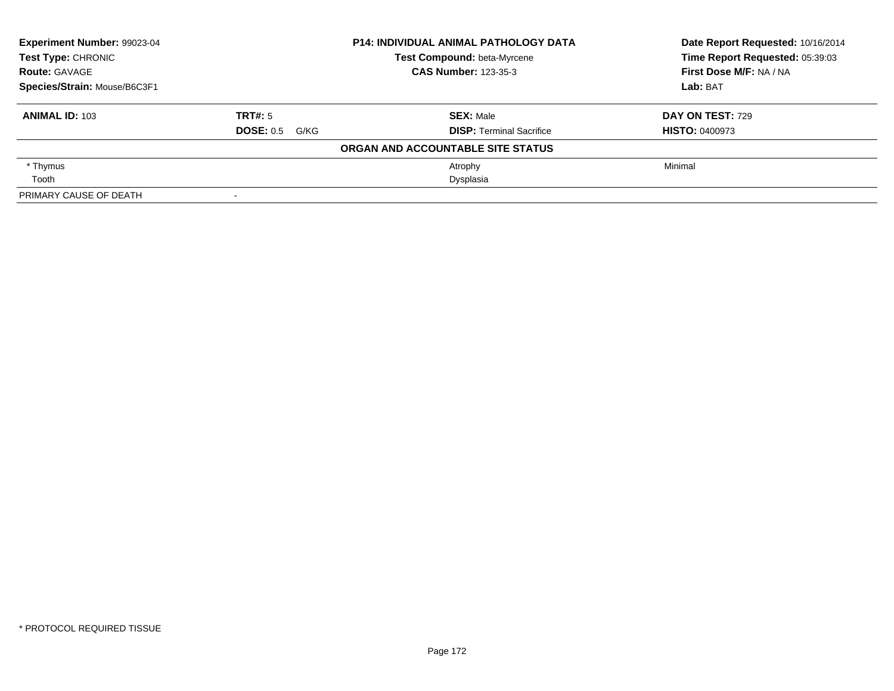| Experiment Number: 99023-04  |                          | <b>P14: INDIVIDUAL ANIMAL PATHOLOGY DATA</b> | Date Report Requested: 10/16/2014 |  |
|------------------------------|--------------------------|----------------------------------------------|-----------------------------------|--|
| Test Type: CHRONIC           |                          | Test Compound: beta-Myrcene                  | Time Report Requested: 05:39:03   |  |
| <b>Route: GAVAGE</b>         |                          | <b>CAS Number: 123-35-3</b>                  | First Dose M/F: NA / NA           |  |
| Species/Strain: Mouse/B6C3F1 |                          |                                              | Lab: BAT                          |  |
| <b>ANIMAL ID: 103</b>        | TRT#: 5                  | <b>SEX: Male</b>                             | <b>DAY ON TEST: 729</b>           |  |
|                              | <b>DOSE: 0.5</b><br>G/KG | <b>DISP: Terminal Sacrifice</b>              | <b>HISTO: 0400973</b>             |  |
|                              |                          | ORGAN AND ACCOUNTABLE SITE STATUS            |                                   |  |
| * Thymus                     |                          | Atrophy                                      | Minimal                           |  |
| Tooth                        |                          | Dysplasia                                    |                                   |  |
| PRIMARY CAUSE OF DEATH       |                          |                                              |                                   |  |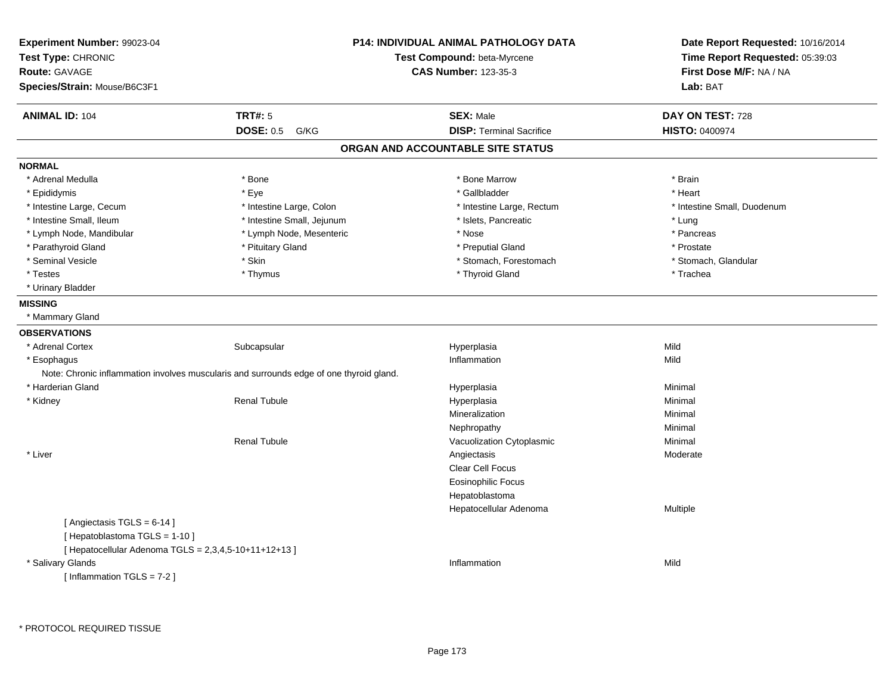| Experiment Number: 99023-04<br>Test Type: CHRONIC<br><b>Route: GAVAGE</b> |                                                                                         | <b>P14: INDIVIDUAL ANIMAL PATHOLOGY DATA</b><br>Test Compound: beta-Myrcene<br><b>CAS Number: 123-35-3</b> | Date Report Requested: 10/16/2014<br>Time Report Requested: 05:39:03<br>First Dose M/F: NA / NA |
|---------------------------------------------------------------------------|-----------------------------------------------------------------------------------------|------------------------------------------------------------------------------------------------------------|-------------------------------------------------------------------------------------------------|
| Species/Strain: Mouse/B6C3F1                                              |                                                                                         |                                                                                                            | Lab: BAT                                                                                        |
| <b>ANIMAL ID: 104</b>                                                     | <b>TRT#: 5</b>                                                                          | <b>SEX: Male</b>                                                                                           | DAY ON TEST: 728                                                                                |
|                                                                           | <b>DOSE: 0.5</b><br>G/KG                                                                | <b>DISP: Terminal Sacrifice</b>                                                                            | HISTO: 0400974                                                                                  |
|                                                                           |                                                                                         | ORGAN AND ACCOUNTABLE SITE STATUS                                                                          |                                                                                                 |
| <b>NORMAL</b>                                                             |                                                                                         |                                                                                                            |                                                                                                 |
| * Adrenal Medulla                                                         | * Bone                                                                                  | * Bone Marrow                                                                                              | * Brain                                                                                         |
| * Epididymis                                                              | * Eye                                                                                   | * Gallbladder                                                                                              | * Heart                                                                                         |
| * Intestine Large, Cecum                                                  | * Intestine Large, Colon                                                                | * Intestine Large, Rectum                                                                                  | * Intestine Small, Duodenum                                                                     |
| * Intestine Small, Ileum                                                  | * Intestine Small, Jejunum                                                              | * Islets, Pancreatic                                                                                       | * Lung                                                                                          |
| * Lymph Node, Mandibular                                                  | * Lymph Node, Mesenteric                                                                | * Nose                                                                                                     | * Pancreas                                                                                      |
| * Parathyroid Gland                                                       | * Pituitary Gland                                                                       | * Preputial Gland                                                                                          | * Prostate                                                                                      |
| * Seminal Vesicle                                                         | * Skin                                                                                  | * Stomach, Forestomach                                                                                     | * Stomach, Glandular                                                                            |
| * Testes                                                                  | * Thymus                                                                                | * Thyroid Gland                                                                                            | * Trachea                                                                                       |
| * Urinary Bladder                                                         |                                                                                         |                                                                                                            |                                                                                                 |
| <b>MISSING</b>                                                            |                                                                                         |                                                                                                            |                                                                                                 |
| * Mammary Gland                                                           |                                                                                         |                                                                                                            |                                                                                                 |
| <b>OBSERVATIONS</b>                                                       |                                                                                         |                                                                                                            |                                                                                                 |
| * Adrenal Cortex                                                          | Subcapsular                                                                             | Hyperplasia                                                                                                | Mild                                                                                            |
| * Esophagus                                                               |                                                                                         | Inflammation                                                                                               | Mild                                                                                            |
|                                                                           | Note: Chronic inflammation involves muscularis and surrounds edge of one thyroid gland. |                                                                                                            |                                                                                                 |
| * Harderian Gland                                                         |                                                                                         | Hyperplasia                                                                                                | Minimal                                                                                         |
| * Kidney                                                                  | <b>Renal Tubule</b>                                                                     | Hyperplasia                                                                                                | Minimal                                                                                         |
|                                                                           |                                                                                         | Mineralization                                                                                             | Minimal                                                                                         |
|                                                                           |                                                                                         | Nephropathy                                                                                                | Minimal                                                                                         |
|                                                                           | <b>Renal Tubule</b>                                                                     | Vacuolization Cytoplasmic                                                                                  | Minimal                                                                                         |
| * Liver                                                                   |                                                                                         | Angiectasis                                                                                                | Moderate                                                                                        |
|                                                                           |                                                                                         | Clear Cell Focus                                                                                           |                                                                                                 |
|                                                                           |                                                                                         | <b>Eosinophilic Focus</b>                                                                                  |                                                                                                 |
|                                                                           |                                                                                         | Hepatoblastoma                                                                                             |                                                                                                 |
|                                                                           |                                                                                         | Hepatocellular Adenoma                                                                                     | Multiple                                                                                        |
| [Angiectasis $TGLS = 6-14$ ]                                              |                                                                                         |                                                                                                            |                                                                                                 |
| [Hepatoblastoma TGLS = 1-10]                                              |                                                                                         |                                                                                                            |                                                                                                 |
| [ Hepatocellular Adenoma TGLS = 2,3,4,5-10+11+12+13 ]                     |                                                                                         |                                                                                                            |                                                                                                 |
| * Salivary Glands                                                         |                                                                                         | Inflammation                                                                                               | Mild                                                                                            |
| [Inflammation TGLS = $7-2$ ]                                              |                                                                                         |                                                                                                            |                                                                                                 |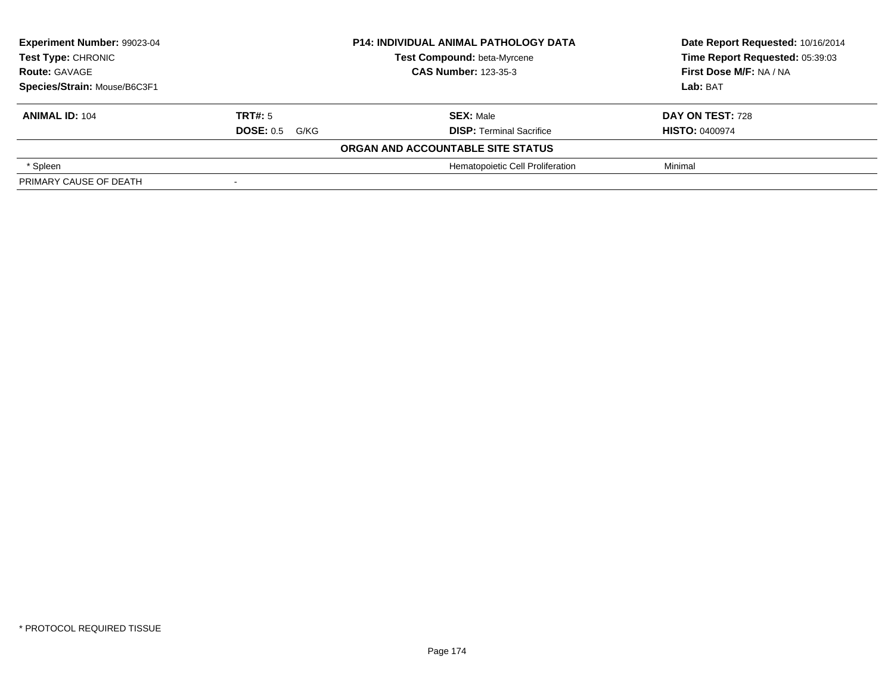| Experiment Number: 99023-04<br><b>Test Type: CHRONIC</b> |                       | <b>P14: INDIVIDUAL ANIMAL PATHOLOGY DATA</b> | Date Report Requested: 10/16/2014 |  |
|----------------------------------------------------------|-----------------------|----------------------------------------------|-----------------------------------|--|
|                                                          |                       | Test Compound: beta-Myrcene                  | Time Report Requested: 05:39:03   |  |
| <b>Route: GAVAGE</b>                                     |                       | <b>CAS Number: 123-35-3</b>                  | First Dose M/F: NA / NA           |  |
| Species/Strain: Mouse/B6C3F1                             |                       |                                              | Lab: BAT                          |  |
| <b>ANIMAL ID: 104</b>                                    | TRT#: 5               | <b>SEX: Male</b>                             | DAY ON TEST: 728                  |  |
|                                                          | <b>DOSE: 0.5 G/KG</b> | <b>DISP: Terminal Sacrifice</b>              | <b>HISTO: 0400974</b>             |  |
|                                                          |                       | ORGAN AND ACCOUNTABLE SITE STATUS            |                                   |  |
| * Spleen                                                 |                       | Hematopoietic Cell Proliferation             | Minimal                           |  |
| PRIMARY CAUSE OF DEATH                                   |                       |                                              |                                   |  |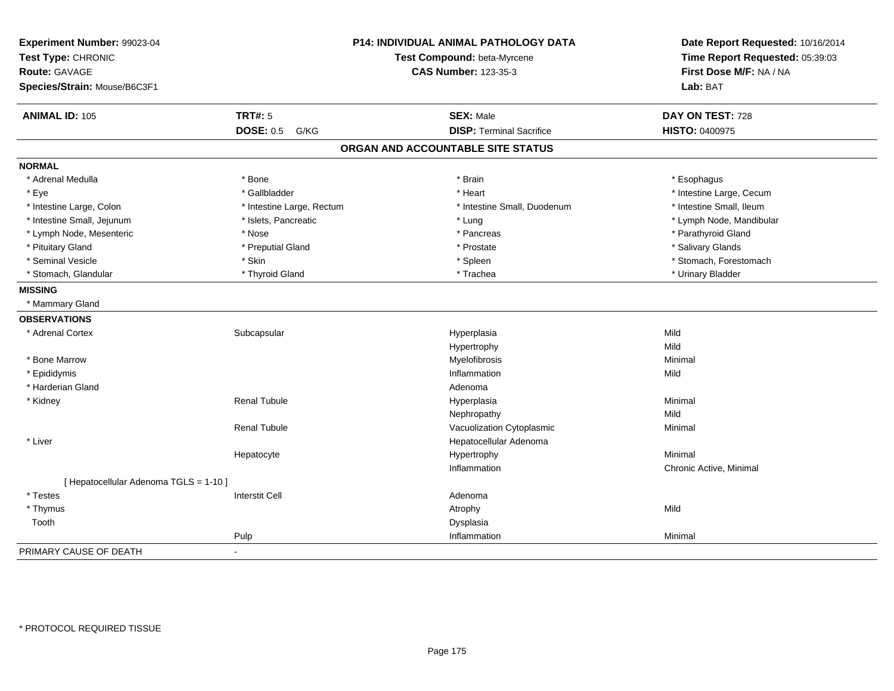| Experiment Number: 99023-04            |                           | <b>P14: INDIVIDUAL ANIMAL PATHOLOGY DATA</b> | Date Report Requested: 10/16/2014 |
|----------------------------------------|---------------------------|----------------------------------------------|-----------------------------------|
| Test Type: CHRONIC                     |                           | Test Compound: beta-Myrcene                  | Time Report Requested: 05:39:03   |
| <b>Route: GAVAGE</b>                   |                           | <b>CAS Number: 123-35-3</b>                  | First Dose M/F: NA / NA           |
| Species/Strain: Mouse/B6C3F1           |                           |                                              | Lab: BAT                          |
| <b>ANIMAL ID: 105</b>                  | <b>TRT#: 5</b>            | <b>SEX: Male</b>                             | DAY ON TEST: 728                  |
|                                        | <b>DOSE: 0.5</b><br>G/KG  | <b>DISP: Terminal Sacrifice</b>              | <b>HISTO: 0400975</b>             |
|                                        |                           | ORGAN AND ACCOUNTABLE SITE STATUS            |                                   |
| <b>NORMAL</b>                          |                           |                                              |                                   |
| * Adrenal Medulla                      | * Bone                    | * Brain                                      | * Esophagus                       |
| * Eye                                  | * Gallbladder             | * Heart                                      | * Intestine Large, Cecum          |
| * Intestine Large, Colon               | * Intestine Large, Rectum | * Intestine Small, Duodenum                  | * Intestine Small, Ileum          |
| * Intestine Small, Jejunum             | * Islets, Pancreatic      | * Lung                                       | * Lymph Node, Mandibular          |
| * Lymph Node, Mesenteric               | * Nose                    | * Pancreas                                   | * Parathyroid Gland               |
| * Pituitary Gland                      | * Preputial Gland         | * Prostate                                   | * Salivary Glands                 |
| * Seminal Vesicle                      | * Skin                    | * Spleen                                     | * Stomach, Forestomach            |
| * Stomach, Glandular                   | * Thyroid Gland           | * Trachea                                    | * Urinary Bladder                 |
| <b>MISSING</b>                         |                           |                                              |                                   |
| * Mammary Gland                        |                           |                                              |                                   |
| <b>OBSERVATIONS</b>                    |                           |                                              |                                   |
| * Adrenal Cortex                       | Subcapsular               | Hyperplasia                                  | Mild                              |
|                                        |                           | Hypertrophy                                  | Mild                              |
| * Bone Marrow                          |                           | Myelofibrosis                                | Minimal                           |
| * Epididymis                           |                           | Inflammation                                 | Mild                              |
| * Harderian Gland                      |                           | Adenoma                                      |                                   |
| * Kidney                               | <b>Renal Tubule</b>       | Hyperplasia                                  | Minimal                           |
|                                        |                           | Nephropathy                                  | Mild                              |
|                                        | <b>Renal Tubule</b>       | Vacuolization Cytoplasmic                    | Minimal                           |
| * Liver                                |                           | Hepatocellular Adenoma                       |                                   |
|                                        | Hepatocyte                | Hypertrophy                                  | Minimal                           |
|                                        |                           | Inflammation                                 | Chronic Active, Minimal           |
| [ Hepatocellular Adenoma TGLS = 1-10 ] |                           |                                              |                                   |
| * Testes                               | <b>Interstit Cell</b>     | Adenoma                                      |                                   |
| * Thymus                               |                           | Atrophy                                      | Mild                              |
| Tooth                                  |                           | Dysplasia                                    |                                   |
|                                        | Pulp                      | Inflammation                                 | Minimal                           |
| PRIMARY CAUSE OF DEATH                 | $\sim$                    |                                              |                                   |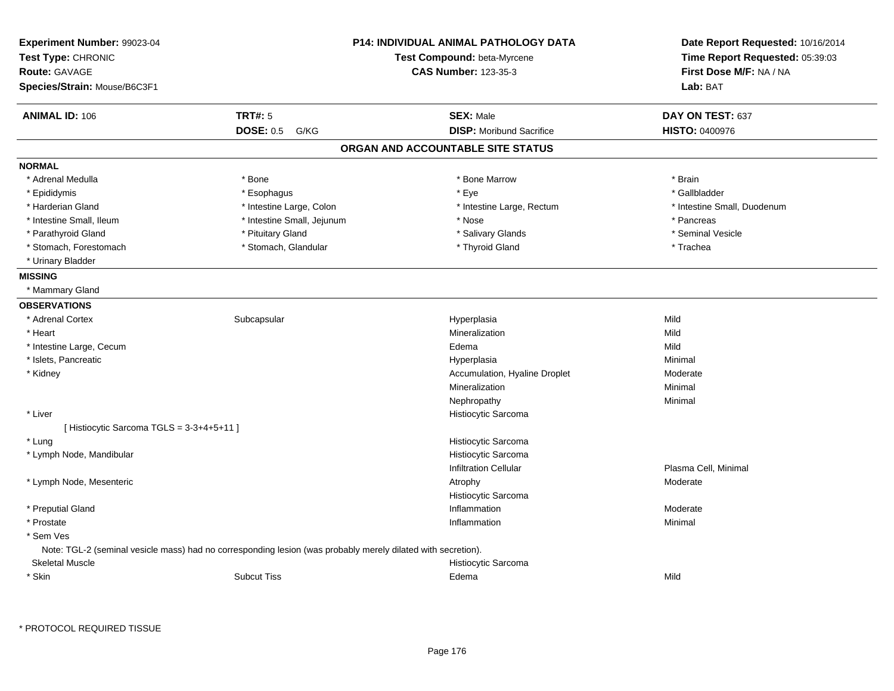| Experiment Number: 99023-04<br>Test Type: CHRONIC<br><b>Route: GAVAGE</b><br>Species/Strain: Mouse/B6C3F1 |                                                                                                              | <b>P14: INDIVIDUAL ANIMAL PATHOLOGY DATA</b><br>Test Compound: beta-Myrcene<br><b>CAS Number: 123-35-3</b> | Date Report Requested: 10/16/2014<br>Time Report Requested: 05:39:03<br>First Dose M/F: NA / NA<br>Lab: BAT |
|-----------------------------------------------------------------------------------------------------------|--------------------------------------------------------------------------------------------------------------|------------------------------------------------------------------------------------------------------------|-------------------------------------------------------------------------------------------------------------|
| <b>ANIMAL ID: 106</b>                                                                                     | <b>TRT#: 5</b>                                                                                               | <b>SEX: Male</b>                                                                                           | DAY ON TEST: 637                                                                                            |
|                                                                                                           | <b>DOSE: 0.5</b><br>G/KG                                                                                     | <b>DISP:</b> Moribund Sacrifice                                                                            | <b>HISTO: 0400976</b>                                                                                       |
|                                                                                                           |                                                                                                              | ORGAN AND ACCOUNTABLE SITE STATUS                                                                          |                                                                                                             |
| <b>NORMAL</b>                                                                                             |                                                                                                              |                                                                                                            |                                                                                                             |
| * Adrenal Medulla                                                                                         | * Bone                                                                                                       | * Bone Marrow                                                                                              | * Brain                                                                                                     |
| * Epididymis                                                                                              | * Esophagus                                                                                                  | * Eye                                                                                                      | * Gallbladder                                                                                               |
| * Harderian Gland                                                                                         | * Intestine Large, Colon                                                                                     | * Intestine Large, Rectum                                                                                  | * Intestine Small, Duodenum                                                                                 |
| * Intestine Small, Ileum                                                                                  | * Intestine Small, Jejunum                                                                                   | * Nose                                                                                                     | * Pancreas                                                                                                  |
| * Parathyroid Gland                                                                                       | * Pituitary Gland                                                                                            | * Salivary Glands                                                                                          | * Seminal Vesicle                                                                                           |
| * Stomach, Forestomach                                                                                    | * Stomach, Glandular                                                                                         | * Thyroid Gland                                                                                            | * Trachea                                                                                                   |
| * Urinary Bladder                                                                                         |                                                                                                              |                                                                                                            |                                                                                                             |
| <b>MISSING</b>                                                                                            |                                                                                                              |                                                                                                            |                                                                                                             |
| * Mammary Gland                                                                                           |                                                                                                              |                                                                                                            |                                                                                                             |
| <b>OBSERVATIONS</b>                                                                                       |                                                                                                              |                                                                                                            |                                                                                                             |
| * Adrenal Cortex                                                                                          | Subcapsular                                                                                                  | Hyperplasia                                                                                                | Mild                                                                                                        |
| * Heart                                                                                                   |                                                                                                              | Mineralization                                                                                             | Mild                                                                                                        |
| * Intestine Large, Cecum                                                                                  |                                                                                                              | Edema                                                                                                      | Mild                                                                                                        |
| * Islets, Pancreatic                                                                                      |                                                                                                              | Hyperplasia                                                                                                | Minimal                                                                                                     |
| * Kidney                                                                                                  |                                                                                                              | Accumulation, Hyaline Droplet                                                                              | Moderate                                                                                                    |
|                                                                                                           |                                                                                                              | Mineralization                                                                                             | Minimal                                                                                                     |
|                                                                                                           |                                                                                                              | Nephropathy                                                                                                | Minimal                                                                                                     |
| * Liver                                                                                                   |                                                                                                              | Histiocytic Sarcoma                                                                                        |                                                                                                             |
| [Histiocytic Sarcoma TGLS = 3-3+4+5+11]                                                                   |                                                                                                              |                                                                                                            |                                                                                                             |
| * Lung                                                                                                    |                                                                                                              | Histiocytic Sarcoma                                                                                        |                                                                                                             |
| * Lymph Node, Mandibular                                                                                  |                                                                                                              | Histiocytic Sarcoma                                                                                        |                                                                                                             |
|                                                                                                           |                                                                                                              | <b>Infiltration Cellular</b>                                                                               | Plasma Cell, Minimal                                                                                        |
| * Lymph Node, Mesenteric                                                                                  |                                                                                                              | Atrophy                                                                                                    | Moderate                                                                                                    |
|                                                                                                           |                                                                                                              | Histiocytic Sarcoma                                                                                        |                                                                                                             |
| * Preputial Gland                                                                                         |                                                                                                              | Inflammation                                                                                               | Moderate                                                                                                    |
| * Prostate                                                                                                |                                                                                                              | Inflammation                                                                                               | Minimal                                                                                                     |
| * Sem Ves                                                                                                 |                                                                                                              |                                                                                                            |                                                                                                             |
|                                                                                                           | Note: TGL-2 (seminal vesicle mass) had no corresponding lesion (was probably merely dilated with secretion). |                                                                                                            |                                                                                                             |
| <b>Skeletal Muscle</b>                                                                                    |                                                                                                              | Histiocytic Sarcoma                                                                                        |                                                                                                             |
| * Skin                                                                                                    | <b>Subcut Tiss</b>                                                                                           | Edema                                                                                                      | Mild                                                                                                        |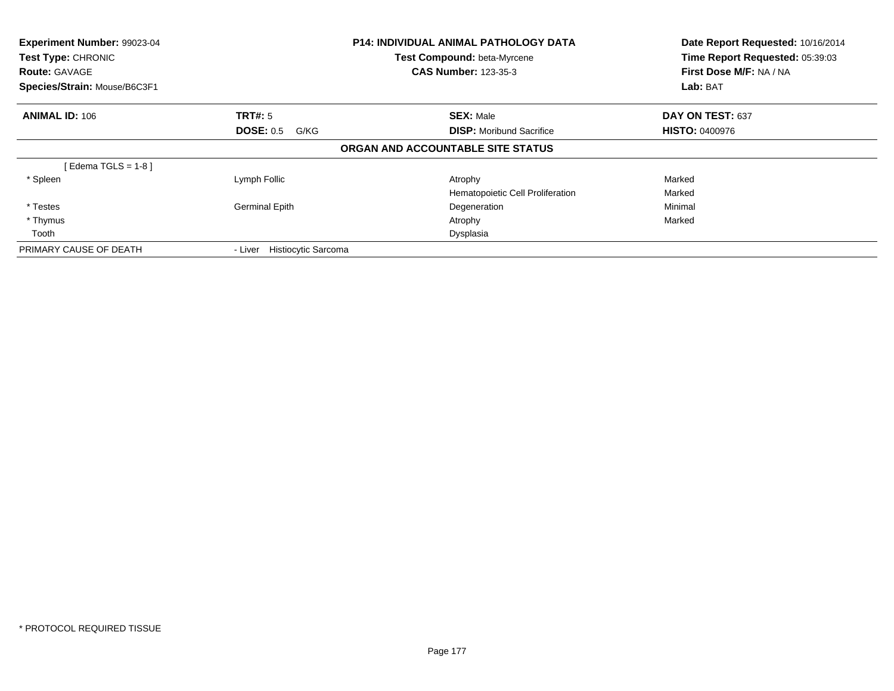| <b>Experiment Number: 99023-04</b><br><b>Test Type: CHRONIC</b><br><b>Route: GAVAGE</b><br>Species/Strain: Mouse/B6C3F1 |                                       | <b>P14: INDIVIDUAL ANIMAL PATHOLOGY DATA</b><br>Test Compound: beta-Myrcene<br><b>CAS Number: 123-35-3</b> | Date Report Requested: 10/16/2014<br>Time Report Requested: 05:39:03<br>First Dose M/F: NA / NA<br>Lab: BAT |
|-------------------------------------------------------------------------------------------------------------------------|---------------------------------------|------------------------------------------------------------------------------------------------------------|-------------------------------------------------------------------------------------------------------------|
| <b>ANIMAL ID: 106</b>                                                                                                   | <b>TRT#:</b> 5                        | <b>SEX: Male</b>                                                                                           | DAY ON TEST: 637                                                                                            |
|                                                                                                                         | <b>DOSE: 0.5</b><br>G/KG              | <b>DISP:</b> Moribund Sacrifice                                                                            | <b>HISTO: 0400976</b>                                                                                       |
|                                                                                                                         |                                       | ORGAN AND ACCOUNTABLE SITE STATUS                                                                          |                                                                                                             |
| [Edema TGLS = $1-8$ ]                                                                                                   |                                       |                                                                                                            |                                                                                                             |
| * Spleen                                                                                                                | Lymph Follic                          | Atrophy                                                                                                    | Marked                                                                                                      |
|                                                                                                                         |                                       | Hematopoietic Cell Proliferation                                                                           | Marked                                                                                                      |
| * Testes                                                                                                                | <b>Germinal Epith</b>                 | Degeneration                                                                                               | Minimal                                                                                                     |
| * Thymus                                                                                                                |                                       | Atrophy                                                                                                    | Marked                                                                                                      |
| Tooth                                                                                                                   |                                       | Dysplasia                                                                                                  |                                                                                                             |
| PRIMARY CAUSE OF DEATH                                                                                                  | <b>Histiocytic Sarcoma</b><br>- Liver |                                                                                                            |                                                                                                             |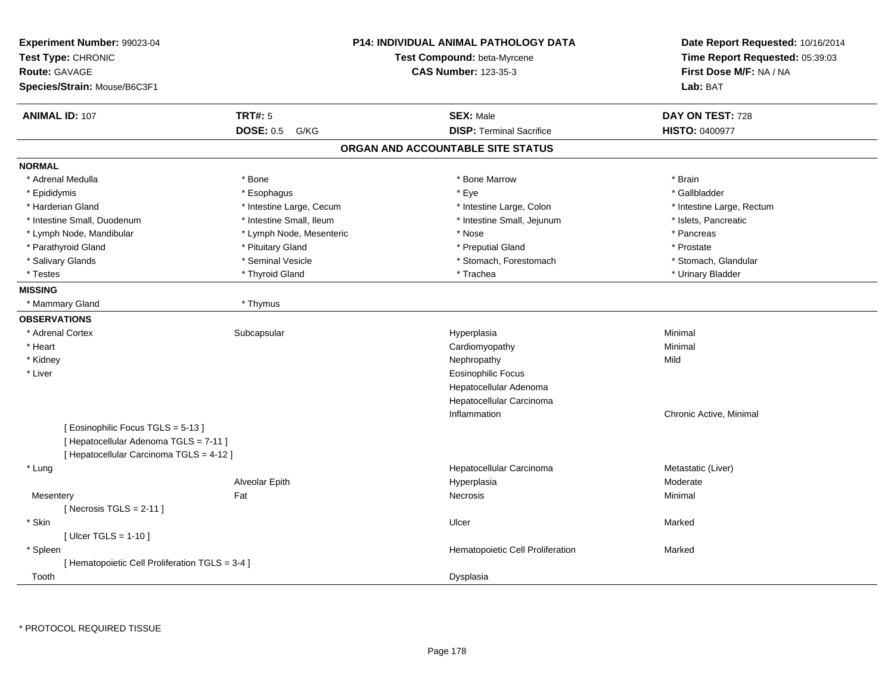| Experiment Number: 99023-04<br>Test Type: CHRONIC<br><b>Route: GAVAGE</b><br>Species/Strain: Mouse/B6C3F1 |                          | <b>P14: INDIVIDUAL ANIMAL PATHOLOGY DATA</b><br>Test Compound: beta-Myrcene<br><b>CAS Number: 123-35-3</b> | Date Report Requested: 10/16/2014<br>Time Report Requested: 05:39:03<br>First Dose M/F: NA / NA<br>Lab: BAT |
|-----------------------------------------------------------------------------------------------------------|--------------------------|------------------------------------------------------------------------------------------------------------|-------------------------------------------------------------------------------------------------------------|
| <b>ANIMAL ID: 107</b>                                                                                     | <b>TRT#: 5</b>           | <b>SEX: Male</b>                                                                                           | DAY ON TEST: 728                                                                                            |
|                                                                                                           | <b>DOSE: 0.5</b><br>G/KG | <b>DISP: Terminal Sacrifice</b>                                                                            | <b>HISTO: 0400977</b>                                                                                       |
|                                                                                                           |                          | ORGAN AND ACCOUNTABLE SITE STATUS                                                                          |                                                                                                             |
| <b>NORMAL</b>                                                                                             |                          |                                                                                                            |                                                                                                             |
| * Adrenal Medulla                                                                                         | * Bone                   | * Bone Marrow                                                                                              | * Brain                                                                                                     |
| * Epididymis                                                                                              | * Esophagus              | * Eye                                                                                                      | * Gallbladder                                                                                               |
| * Harderian Gland                                                                                         | * Intestine Large, Cecum | * Intestine Large, Colon                                                                                   | * Intestine Large, Rectum                                                                                   |
| * Intestine Small, Duodenum                                                                               | * Intestine Small, Ileum | * Intestine Small, Jejunum                                                                                 | * Islets, Pancreatic                                                                                        |
| * Lymph Node, Mandibular                                                                                  | * Lymph Node, Mesenteric | * Nose                                                                                                     | * Pancreas                                                                                                  |
| * Parathyroid Gland                                                                                       | * Pituitary Gland        | * Preputial Gland                                                                                          | * Prostate                                                                                                  |
| * Salivary Glands                                                                                         | * Seminal Vesicle        | * Stomach, Forestomach                                                                                     | * Stomach, Glandular                                                                                        |
| * Testes                                                                                                  | * Thyroid Gland          | * Trachea                                                                                                  | * Urinary Bladder                                                                                           |
| <b>MISSING</b>                                                                                            |                          |                                                                                                            |                                                                                                             |
| * Mammary Gland                                                                                           | * Thymus                 |                                                                                                            |                                                                                                             |
| <b>OBSERVATIONS</b>                                                                                       |                          |                                                                                                            |                                                                                                             |
| * Adrenal Cortex                                                                                          | Subcapsular              | Hyperplasia                                                                                                | Minimal                                                                                                     |
| * Heart                                                                                                   |                          | Cardiomyopathy                                                                                             | Minimal                                                                                                     |
| * Kidney                                                                                                  |                          | Nephropathy                                                                                                | Mild                                                                                                        |
| * Liver                                                                                                   |                          | <b>Eosinophilic Focus</b>                                                                                  |                                                                                                             |
|                                                                                                           |                          | Hepatocellular Adenoma                                                                                     |                                                                                                             |
|                                                                                                           |                          | Hepatocellular Carcinoma                                                                                   |                                                                                                             |
|                                                                                                           |                          | Inflammation                                                                                               | Chronic Active, Minimal                                                                                     |
| [Eosinophilic Focus TGLS = 5-13]                                                                          |                          |                                                                                                            |                                                                                                             |
| [ Hepatocellular Adenoma TGLS = 7-11 ]                                                                    |                          |                                                                                                            |                                                                                                             |
| [ Hepatocellular Carcinoma TGLS = 4-12 ]                                                                  |                          |                                                                                                            |                                                                                                             |
| * Lung                                                                                                    |                          | Hepatocellular Carcinoma                                                                                   | Metastatic (Liver)                                                                                          |
|                                                                                                           | Alveolar Epith           | Hyperplasia                                                                                                | Moderate                                                                                                    |
| Mesentery                                                                                                 | Fat                      | Necrosis                                                                                                   | Minimal                                                                                                     |
| [Necrosis $TGLS = 2-11$ ]                                                                                 |                          |                                                                                                            |                                                                                                             |
| * Skin                                                                                                    |                          | Ulcer                                                                                                      | Marked                                                                                                      |
| [ Ulcer TGLS = $1-10$ ]                                                                                   |                          |                                                                                                            |                                                                                                             |
| * Spleen                                                                                                  |                          | Hematopoietic Cell Proliferation                                                                           | Marked                                                                                                      |
| [ Hematopoietic Cell Proliferation TGLS = 3-4 ]                                                           |                          |                                                                                                            |                                                                                                             |
| Tooth                                                                                                     |                          | Dysplasia                                                                                                  |                                                                                                             |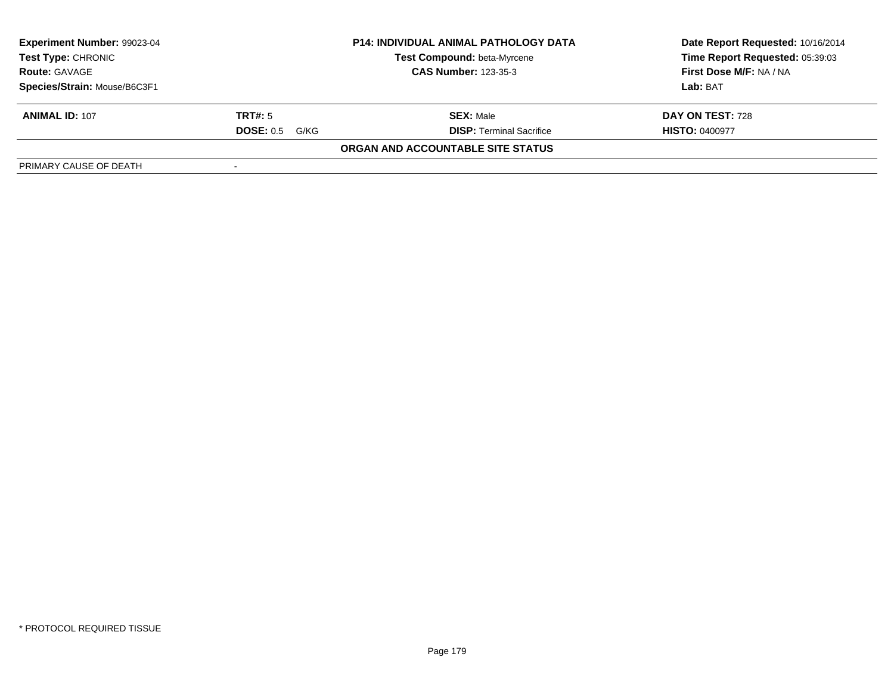| Experiment Number: 99023-04  | <b>P14: INDIVIDUAL ANIMAL PATHOLOGY DATA</b> |                                    | Date Report Requested: 10/16/2014 |  |
|------------------------------|----------------------------------------------|------------------------------------|-----------------------------------|--|
| <b>Test Type: CHRONIC</b>    |                                              | <b>Test Compound: beta-Myrcene</b> | Time Report Requested: 05:39:03   |  |
| <b>Route: GAVAGE</b>         |                                              | <b>CAS Number: 123-35-3</b>        | First Dose M/F: NA / NA           |  |
| Species/Strain: Mouse/B6C3F1 |                                              |                                    | Lab: BAT                          |  |
| <b>ANIMAL ID: 107</b>        | TRT#: 5                                      | <b>SEX: Male</b>                   | DAY ON TEST: 728                  |  |
|                              | <b>DOSE: 0.5 G/KG</b>                        | <b>DISP: Terminal Sacrifice</b>    | <b>HISTO: 0400977</b>             |  |
|                              |                                              | ORGAN AND ACCOUNTABLE SITE STATUS  |                                   |  |
| PRIMARY CAUSE OF DEATH       |                                              |                                    |                                   |  |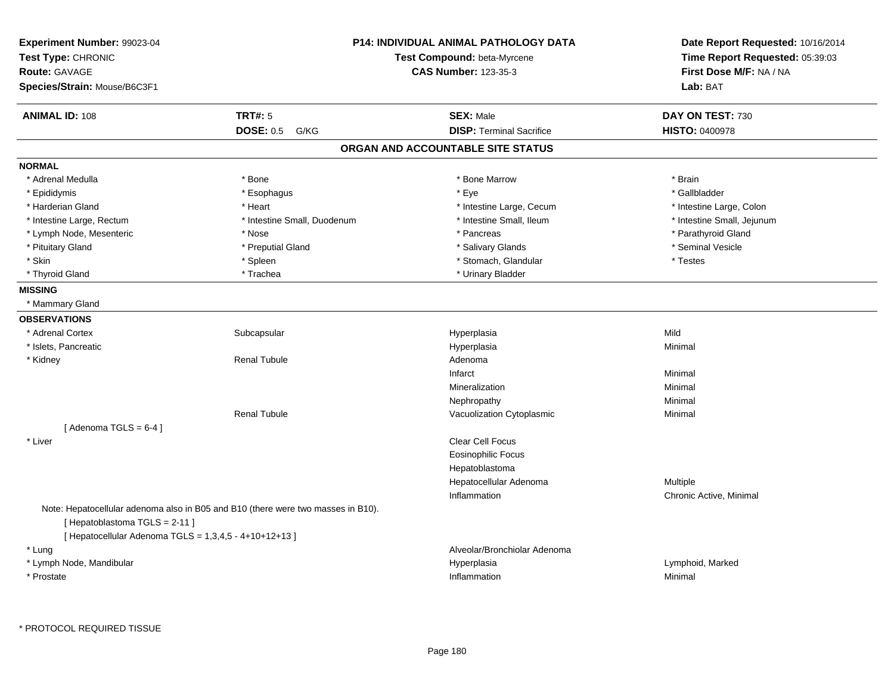| Experiment Number: 99023-04<br>Test Type: CHRONIC<br><b>Route: GAVAGE</b><br>Species/Strain: Mouse/B6C3F1 |                                                                                  | <b>P14: INDIVIDUAL ANIMAL PATHOLOGY DATA</b><br>Test Compound: beta-Myrcene<br><b>CAS Number: 123-35-3</b> | Date Report Requested: 10/16/2014<br>Time Report Requested: 05:39:03<br>First Dose M/F: NA / NA<br>Lab: BAT |
|-----------------------------------------------------------------------------------------------------------|----------------------------------------------------------------------------------|------------------------------------------------------------------------------------------------------------|-------------------------------------------------------------------------------------------------------------|
| <b>ANIMAL ID: 108</b>                                                                                     | <b>TRT#: 5</b>                                                                   | <b>SEX: Male</b>                                                                                           | DAY ON TEST: 730                                                                                            |
|                                                                                                           | <b>DOSE: 0.5</b><br>G/KG                                                         | <b>DISP: Terminal Sacrifice</b>                                                                            | <b>HISTO: 0400978</b>                                                                                       |
|                                                                                                           |                                                                                  | ORGAN AND ACCOUNTABLE SITE STATUS                                                                          |                                                                                                             |
| <b>NORMAL</b>                                                                                             |                                                                                  |                                                                                                            |                                                                                                             |
| * Adrenal Medulla                                                                                         | * Bone                                                                           | * Bone Marrow                                                                                              | * Brain                                                                                                     |
| * Epididymis                                                                                              | * Esophagus                                                                      | * Eye                                                                                                      | * Gallbladder                                                                                               |
| * Harderian Gland                                                                                         | * Heart                                                                          | * Intestine Large, Cecum                                                                                   | * Intestine Large, Colon                                                                                    |
| * Intestine Large, Rectum                                                                                 | * Intestine Small, Duodenum                                                      | * Intestine Small, Ileum                                                                                   | * Intestine Small, Jejunum                                                                                  |
| * Lymph Node, Mesenteric                                                                                  | * Nose                                                                           | * Pancreas                                                                                                 | * Parathyroid Gland                                                                                         |
| * Pituitary Gland                                                                                         | * Preputial Gland                                                                | * Salivary Glands                                                                                          | * Seminal Vesicle                                                                                           |
| * Skin                                                                                                    | * Spleen                                                                         | * Stomach, Glandular                                                                                       | * Testes                                                                                                    |
| * Thyroid Gland                                                                                           | * Trachea                                                                        | * Urinary Bladder                                                                                          |                                                                                                             |
| <b>MISSING</b>                                                                                            |                                                                                  |                                                                                                            |                                                                                                             |
| * Mammary Gland                                                                                           |                                                                                  |                                                                                                            |                                                                                                             |
| <b>OBSERVATIONS</b>                                                                                       |                                                                                  |                                                                                                            |                                                                                                             |
| * Adrenal Cortex                                                                                          | Subcapsular                                                                      | Hyperplasia                                                                                                | Mild                                                                                                        |
| * Islets, Pancreatic                                                                                      |                                                                                  | Hyperplasia                                                                                                | Minimal                                                                                                     |
| * Kidney                                                                                                  | <b>Renal Tubule</b>                                                              | Adenoma                                                                                                    |                                                                                                             |
|                                                                                                           |                                                                                  | Infarct                                                                                                    | Minimal                                                                                                     |
|                                                                                                           |                                                                                  | Mineralization                                                                                             | Minimal                                                                                                     |
|                                                                                                           |                                                                                  | Nephropathy                                                                                                | Minimal                                                                                                     |
|                                                                                                           | <b>Renal Tubule</b>                                                              | Vacuolization Cytoplasmic                                                                                  | Minimal                                                                                                     |
| [Adenoma TGLS = $6-4$ ]                                                                                   |                                                                                  |                                                                                                            |                                                                                                             |
| * Liver                                                                                                   |                                                                                  | Clear Cell Focus                                                                                           |                                                                                                             |
|                                                                                                           |                                                                                  | <b>Eosinophilic Focus</b>                                                                                  |                                                                                                             |
|                                                                                                           |                                                                                  | Hepatoblastoma                                                                                             |                                                                                                             |
|                                                                                                           |                                                                                  | Hepatocellular Adenoma                                                                                     | Multiple                                                                                                    |
|                                                                                                           |                                                                                  | Inflammation                                                                                               | Chronic Active, Minimal                                                                                     |
| [Hepatoblastoma TGLS = 2-11]<br>[ Hepatocellular Adenoma TGLS = 1,3,4,5 - 4+10+12+13 ]                    | Note: Hepatocellular adenoma also in B05 and B10 (there were two masses in B10). |                                                                                                            |                                                                                                             |
| * Lung                                                                                                    |                                                                                  | Alveolar/Bronchiolar Adenoma                                                                               |                                                                                                             |
| * Lymph Node, Mandibular                                                                                  |                                                                                  | Hyperplasia                                                                                                | Lymphoid, Marked                                                                                            |
| * Prostate                                                                                                |                                                                                  | Inflammation                                                                                               | Minimal                                                                                                     |
|                                                                                                           |                                                                                  |                                                                                                            |                                                                                                             |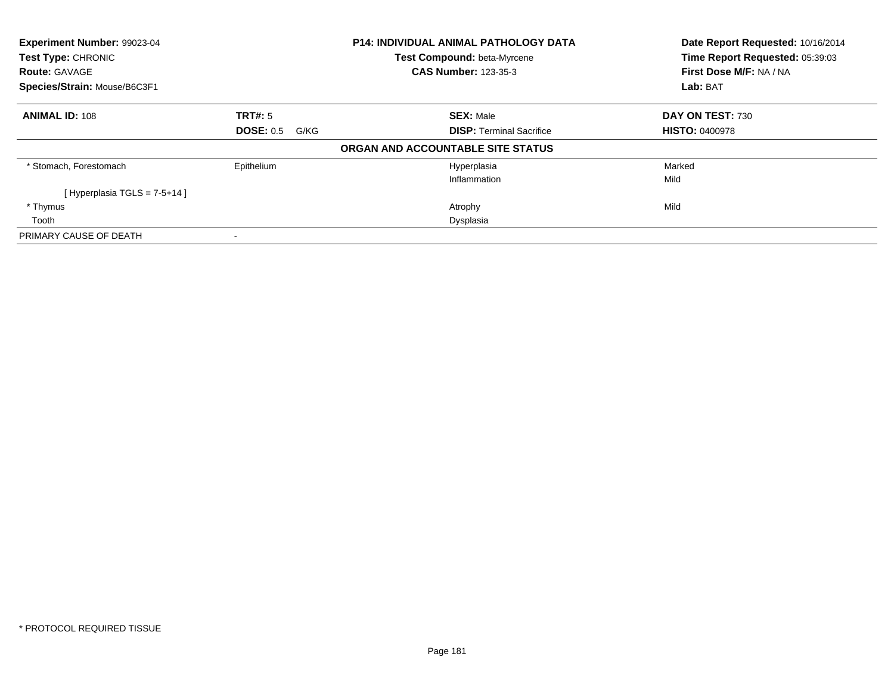| Experiment Number: 99023-04  |                          | <b>P14: INDIVIDUAL ANIMAL PATHOLOGY DATA</b> | Date Report Requested: 10/16/2014 |  |
|------------------------------|--------------------------|----------------------------------------------|-----------------------------------|--|
| Test Type: CHRONIC           |                          | Test Compound: beta-Myrcene                  | Time Report Requested: 05:39:03   |  |
| <b>Route: GAVAGE</b>         |                          | <b>CAS Number: 123-35-3</b>                  | First Dose M/F: NA / NA           |  |
| Species/Strain: Mouse/B6C3F1 |                          |                                              | Lab: BAT                          |  |
| <b>ANIMAL ID: 108</b>        | <b>TRT#: 5</b>           | <b>SEX: Male</b>                             | DAY ON TEST: 730                  |  |
|                              | <b>DOSE: 0.5</b><br>G/KG | <b>DISP: Terminal Sacrifice</b>              | <b>HISTO: 0400978</b>             |  |
|                              |                          | ORGAN AND ACCOUNTABLE SITE STATUS            |                                   |  |
| * Stomach, Forestomach       | Epithelium               | Hyperplasia                                  | Marked                            |  |
|                              |                          | Inflammation                                 | Mild                              |  |
| [Hyperplasia TGLS = 7-5+14]  |                          |                                              |                                   |  |
| * Thymus                     |                          | Atrophy                                      | Mild                              |  |
| Tooth                        |                          | Dysplasia                                    |                                   |  |
| PRIMARY CAUSE OF DEATH       |                          |                                              |                                   |  |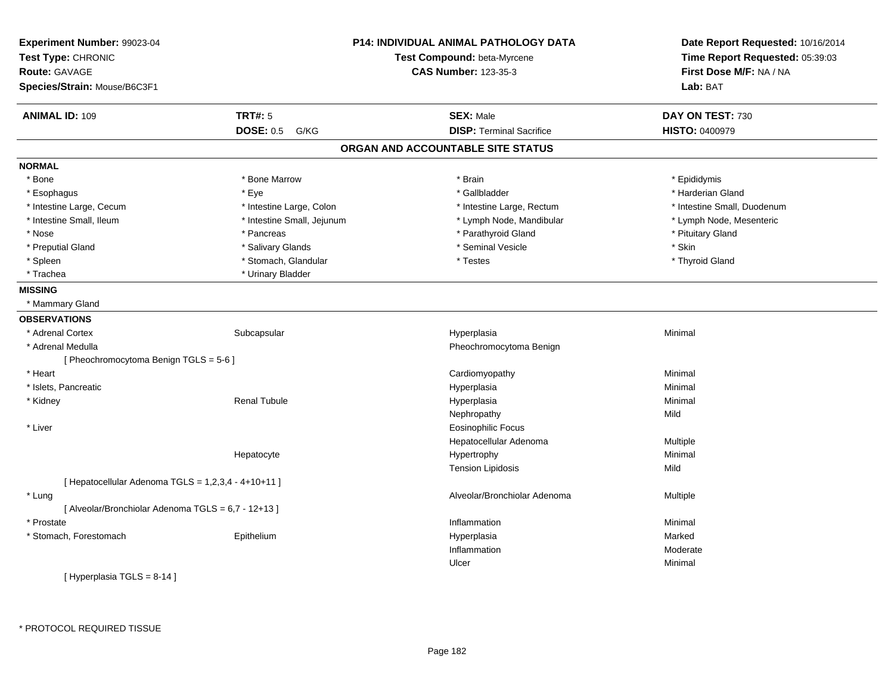| Experiment Number: 99023-04<br>Test Type: CHRONIC   |                            | <b>P14: INDIVIDUAL ANIMAL PATHOLOGY DATA</b><br>Test Compound: beta-Myrcene | Date Report Requested: 10/16/2014<br>Time Report Requested: 05:39:03 |
|-----------------------------------------------------|----------------------------|-----------------------------------------------------------------------------|----------------------------------------------------------------------|
| Route: GAVAGE                                       |                            | <b>CAS Number: 123-35-3</b>                                                 | First Dose M/F: NA / NA                                              |
| Species/Strain: Mouse/B6C3F1                        |                            |                                                                             | Lab: BAT                                                             |
| <b>ANIMAL ID: 109</b>                               | <b>TRT#: 5</b>             | <b>SEX: Male</b>                                                            | DAY ON TEST: 730                                                     |
|                                                     | <b>DOSE: 0.5</b><br>G/KG   | <b>DISP: Terminal Sacrifice</b>                                             | <b>HISTO: 0400979</b>                                                |
|                                                     |                            | ORGAN AND ACCOUNTABLE SITE STATUS                                           |                                                                      |
| <b>NORMAL</b>                                       |                            |                                                                             |                                                                      |
| * Bone                                              | * Bone Marrow              | * Brain                                                                     | * Epididymis                                                         |
| * Esophagus                                         | * Eye                      | * Gallbladder                                                               | * Harderian Gland                                                    |
| * Intestine Large, Cecum                            | * Intestine Large, Colon   | * Intestine Large, Rectum                                                   | * Intestine Small, Duodenum                                          |
| * Intestine Small, Ileum                            | * Intestine Small, Jejunum | * Lymph Node, Mandibular                                                    | * Lymph Node, Mesenteric                                             |
| * Nose                                              | * Pancreas                 | * Parathyroid Gland                                                         | * Pituitary Gland                                                    |
| * Preputial Gland                                   | * Salivary Glands          | * Seminal Vesicle                                                           | * Skin                                                               |
| * Spleen                                            | * Stomach, Glandular       | * Testes                                                                    | * Thyroid Gland                                                      |
| * Trachea                                           | * Urinary Bladder          |                                                                             |                                                                      |
| <b>MISSING</b>                                      |                            |                                                                             |                                                                      |
| * Mammary Gland                                     |                            |                                                                             |                                                                      |
| <b>OBSERVATIONS</b>                                 |                            |                                                                             |                                                                      |
| * Adrenal Cortex                                    | Subcapsular                | Hyperplasia                                                                 | Minimal                                                              |
| * Adrenal Medulla                                   |                            | Pheochromocytoma Benign                                                     |                                                                      |
| [ Pheochromocytoma Benign TGLS = 5-6 ]              |                            |                                                                             |                                                                      |
| * Heart                                             |                            | Cardiomyopathy                                                              | Minimal                                                              |
| * Islets, Pancreatic                                |                            | Hyperplasia                                                                 | Minimal                                                              |
| * Kidney                                            | <b>Renal Tubule</b>        | Hyperplasia                                                                 | Minimal                                                              |
|                                                     |                            | Nephropathy                                                                 | Mild                                                                 |
| * Liver                                             |                            | <b>Eosinophilic Focus</b>                                                   |                                                                      |
|                                                     |                            | Hepatocellular Adenoma                                                      | Multiple                                                             |
|                                                     | Hepatocyte                 | Hypertrophy                                                                 | Minimal                                                              |
|                                                     |                            | <b>Tension Lipidosis</b>                                                    | Mild                                                                 |
| [ Hepatocellular Adenoma TGLS = 1,2,3,4 - 4+10+11 ] |                            |                                                                             |                                                                      |
| * Lung                                              |                            | Alveolar/Bronchiolar Adenoma                                                | Multiple                                                             |
| [ Alveolar/Bronchiolar Adenoma TGLS = 6,7 - 12+13 ] |                            |                                                                             |                                                                      |
| * Prostate                                          |                            | Inflammation                                                                | Minimal                                                              |
| * Stomach, Forestomach                              | Epithelium                 | Hyperplasia                                                                 | Marked                                                               |
|                                                     |                            | Inflammation                                                                | Moderate                                                             |
|                                                     |                            | Ulcer                                                                       | Minimal                                                              |
| [Hyperplasia TGLS = 8-14 ]                          |                            |                                                                             |                                                                      |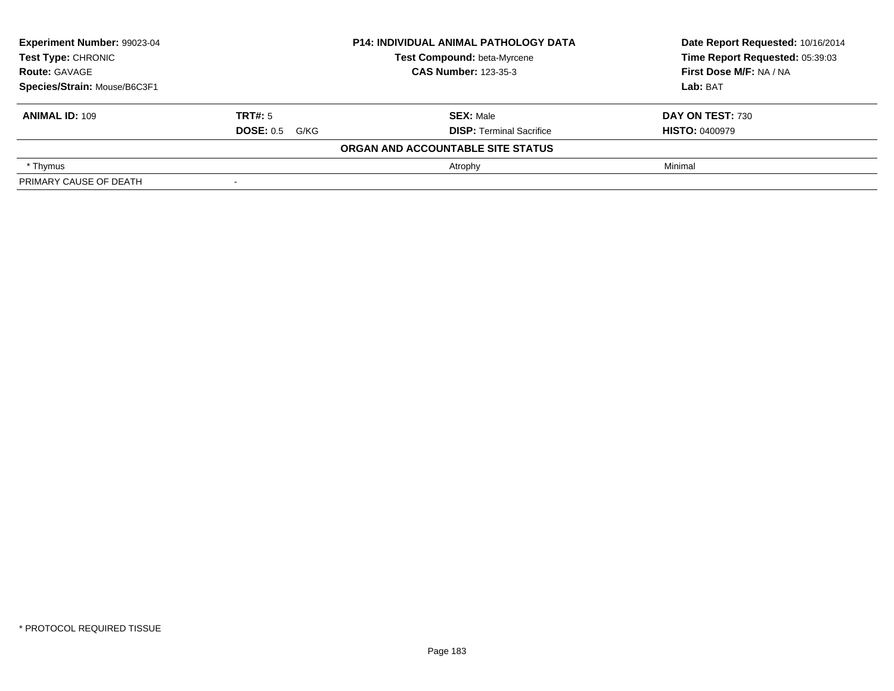| Experiment Number: 99023-04<br>Test Type: CHRONIC<br><b>Route: GAVAGE</b><br>Species/Strain: Mouse/B6C3F1 |                          | <b>P14: INDIVIDUAL ANIMAL PATHOLOGY DATA</b> | Date Report Requested: 10/16/2014 |
|-----------------------------------------------------------------------------------------------------------|--------------------------|----------------------------------------------|-----------------------------------|
|                                                                                                           |                          | Test Compound: beta-Myrcene                  | Time Report Requested: 05:39:03   |
|                                                                                                           |                          | <b>CAS Number: 123-35-3</b>                  | First Dose M/F: NA / NA           |
|                                                                                                           |                          |                                              | Lab: BAT                          |
| <b>ANIMAL ID: 109</b>                                                                                     | TRT#: 5                  | <b>SEX: Male</b>                             | DAY ON TEST: 730                  |
|                                                                                                           | <b>DOSE: 0.5 G/KG</b>    | <b>DISP: Terminal Sacrifice</b>              | <b>HISTO: 0400979</b>             |
|                                                                                                           |                          | ORGAN AND ACCOUNTABLE SITE STATUS            |                                   |
| * Thymus                                                                                                  |                          | Atrophy                                      | Minimal                           |
| PRIMARY CAUSE OF DEATH                                                                                    | $\overline{\phantom{0}}$ |                                              |                                   |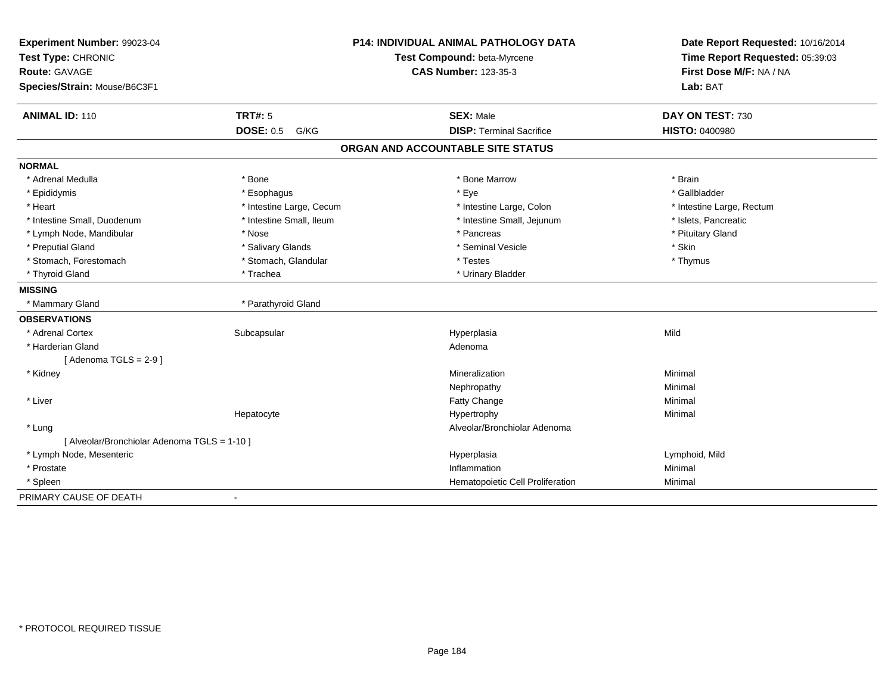| Experiment Number: 99023-04<br>Test Type: CHRONIC |                          | <b>P14: INDIVIDUAL ANIMAL PATHOLOGY DATA</b><br>Test Compound: beta-Myrcene | Date Report Requested: 10/16/2014<br>Time Report Requested: 05:39:03 |
|---------------------------------------------------|--------------------------|-----------------------------------------------------------------------------|----------------------------------------------------------------------|
| Route: GAVAGE                                     |                          | <b>CAS Number: 123-35-3</b>                                                 | First Dose M/F: NA / NA                                              |
| Species/Strain: Mouse/B6C3F1                      |                          |                                                                             | Lab: BAT                                                             |
|                                                   |                          |                                                                             |                                                                      |
| <b>ANIMAL ID: 110</b>                             | <b>TRT#: 5</b>           | <b>SEX: Male</b>                                                            | DAY ON TEST: 730                                                     |
|                                                   | <b>DOSE: 0.5</b><br>G/KG | <b>DISP: Terminal Sacrifice</b>                                             | <b>HISTO: 0400980</b>                                                |
|                                                   |                          | ORGAN AND ACCOUNTABLE SITE STATUS                                           |                                                                      |
| <b>NORMAL</b>                                     |                          |                                                                             |                                                                      |
| * Adrenal Medulla                                 | * Bone                   | * Bone Marrow                                                               | * Brain                                                              |
| * Epididymis                                      | * Esophagus              | * Eye                                                                       | * Gallbladder                                                        |
| * Heart                                           | * Intestine Large, Cecum | * Intestine Large, Colon                                                    | * Intestine Large, Rectum                                            |
| * Intestine Small, Duodenum                       | * Intestine Small, Ileum | * Intestine Small, Jejunum                                                  | * Islets, Pancreatic                                                 |
| * Lymph Node, Mandibular                          | * Nose                   | * Pancreas                                                                  | * Pituitary Gland                                                    |
| * Preputial Gland                                 | * Salivary Glands        | * Seminal Vesicle                                                           | * Skin                                                               |
| * Stomach, Forestomach                            | * Stomach, Glandular     | * Testes                                                                    | * Thymus                                                             |
| * Thyroid Gland                                   | * Trachea                | * Urinary Bladder                                                           |                                                                      |
| <b>MISSING</b>                                    |                          |                                                                             |                                                                      |
| * Mammary Gland                                   | * Parathyroid Gland      |                                                                             |                                                                      |
| <b>OBSERVATIONS</b>                               |                          |                                                                             |                                                                      |
| * Adrenal Cortex                                  | Subcapsular              | Hyperplasia                                                                 | Mild                                                                 |
| * Harderian Gland                                 |                          | Adenoma                                                                     |                                                                      |
| [Adenoma TGLS = $2-9$ ]                           |                          |                                                                             |                                                                      |
| * Kidney                                          |                          | Mineralization                                                              | Minimal                                                              |
|                                                   |                          | Nephropathy                                                                 | Minimal                                                              |
| * Liver                                           |                          | Fatty Change                                                                | Minimal                                                              |
|                                                   | Hepatocyte               | Hypertrophy                                                                 | Minimal                                                              |
| * Lung                                            |                          | Alveolar/Bronchiolar Adenoma                                                |                                                                      |
| [ Alveolar/Bronchiolar Adenoma TGLS = 1-10 ]      |                          |                                                                             |                                                                      |
| * Lymph Node, Mesenteric                          |                          | Hyperplasia                                                                 | Lymphoid, Mild                                                       |
| * Prostate                                        |                          | Inflammation                                                                | Minimal                                                              |
| * Spleen                                          |                          | Hematopoietic Cell Proliferation                                            | Minimal                                                              |
| PRIMARY CAUSE OF DEATH                            | $\blacksquare$           |                                                                             |                                                                      |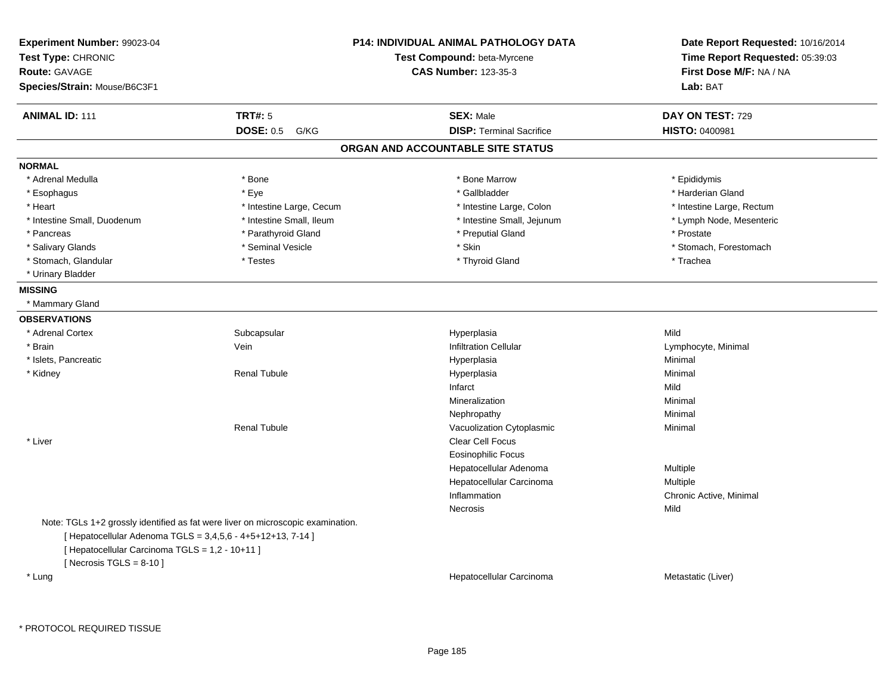| Experiment Number: 99023-04<br>Test Type: CHRONIC<br>Route: GAVAGE<br>Species/Strain: Mouse/B6C3F1                                          |                                                                                 | <b>P14: INDIVIDUAL ANIMAL PATHOLOGY DATA</b><br><b>Test Compound: beta-Myrcene</b><br><b>CAS Number: 123-35-3</b> | Date Report Requested: 10/16/2014<br>Time Report Requested: 05:39:03<br>First Dose M/F: NA / NA<br>Lab: BAT |
|---------------------------------------------------------------------------------------------------------------------------------------------|---------------------------------------------------------------------------------|-------------------------------------------------------------------------------------------------------------------|-------------------------------------------------------------------------------------------------------------|
| <b>ANIMAL ID: 111</b>                                                                                                                       | <b>TRT#: 5</b>                                                                  | <b>SEX: Male</b>                                                                                                  | DAY ON TEST: 729                                                                                            |
|                                                                                                                                             | <b>DOSE: 0.5</b><br>G/KG                                                        | <b>DISP: Terminal Sacrifice</b>                                                                                   | <b>HISTO: 0400981</b>                                                                                       |
|                                                                                                                                             |                                                                                 | ORGAN AND ACCOUNTABLE SITE STATUS                                                                                 |                                                                                                             |
| <b>NORMAL</b>                                                                                                                               |                                                                                 |                                                                                                                   |                                                                                                             |
| * Adrenal Medulla                                                                                                                           | * Bone                                                                          | * Bone Marrow                                                                                                     | * Epididymis                                                                                                |
| * Esophagus                                                                                                                                 | * Eye                                                                           | * Gallbladder                                                                                                     | * Harderian Gland                                                                                           |
| * Heart                                                                                                                                     | * Intestine Large, Cecum                                                        | * Intestine Large, Colon                                                                                          | * Intestine Large, Rectum                                                                                   |
| * Intestine Small, Duodenum                                                                                                                 | * Intestine Small, Ileum                                                        | * Intestine Small, Jejunum                                                                                        | * Lymph Node, Mesenteric                                                                                    |
| * Pancreas                                                                                                                                  | * Parathyroid Gland                                                             | * Preputial Gland                                                                                                 | * Prostate                                                                                                  |
| * Salivary Glands                                                                                                                           | * Seminal Vesicle                                                               | * Skin                                                                                                            | * Stomach, Forestomach                                                                                      |
| * Stomach, Glandular                                                                                                                        | * Testes                                                                        | * Thyroid Gland                                                                                                   | * Trachea                                                                                                   |
| * Urinary Bladder                                                                                                                           |                                                                                 |                                                                                                                   |                                                                                                             |
| <b>MISSING</b>                                                                                                                              |                                                                                 |                                                                                                                   |                                                                                                             |
| * Mammary Gland                                                                                                                             |                                                                                 |                                                                                                                   |                                                                                                             |
| <b>OBSERVATIONS</b>                                                                                                                         |                                                                                 |                                                                                                                   |                                                                                                             |
| * Adrenal Cortex                                                                                                                            | Subcapsular                                                                     | Hyperplasia                                                                                                       | Mild                                                                                                        |
| * Brain                                                                                                                                     | Vein                                                                            | <b>Infiltration Cellular</b>                                                                                      | Lymphocyte, Minimal                                                                                         |
| * Islets, Pancreatic                                                                                                                        |                                                                                 | Hyperplasia                                                                                                       | Minimal                                                                                                     |
| * Kidney                                                                                                                                    | <b>Renal Tubule</b>                                                             | Hyperplasia                                                                                                       | Minimal                                                                                                     |
|                                                                                                                                             |                                                                                 | Infarct                                                                                                           | Mild                                                                                                        |
|                                                                                                                                             |                                                                                 | Mineralization                                                                                                    | Minimal                                                                                                     |
|                                                                                                                                             |                                                                                 | Nephropathy                                                                                                       | Minimal                                                                                                     |
|                                                                                                                                             | <b>Renal Tubule</b>                                                             | Vacuolization Cytoplasmic                                                                                         | Minimal                                                                                                     |
| * Liver                                                                                                                                     |                                                                                 | Clear Cell Focus                                                                                                  |                                                                                                             |
|                                                                                                                                             |                                                                                 | <b>Eosinophilic Focus</b>                                                                                         |                                                                                                             |
|                                                                                                                                             |                                                                                 | Hepatocellular Adenoma                                                                                            | Multiple                                                                                                    |
|                                                                                                                                             |                                                                                 | Hepatocellular Carcinoma                                                                                          | Multiple                                                                                                    |
|                                                                                                                                             |                                                                                 | Inflammation                                                                                                      | Chronic Active, Minimal                                                                                     |
|                                                                                                                                             |                                                                                 | Necrosis                                                                                                          | Mild                                                                                                        |
| [ Hepatocellular Adenoma TGLS = 3,4,5,6 - 4+5+12+13, 7-14 ]<br>[ Hepatocellular Carcinoma TGLS = 1,2 - 10+11 ]<br>[Necrosis $TGLS = 8-10$ ] | Note: TGLs 1+2 grossly identified as fat were liver on microscopic examination. |                                                                                                                   |                                                                                                             |
| * Lung                                                                                                                                      |                                                                                 | Hepatocellular Carcinoma                                                                                          | Metastatic (Liver)                                                                                          |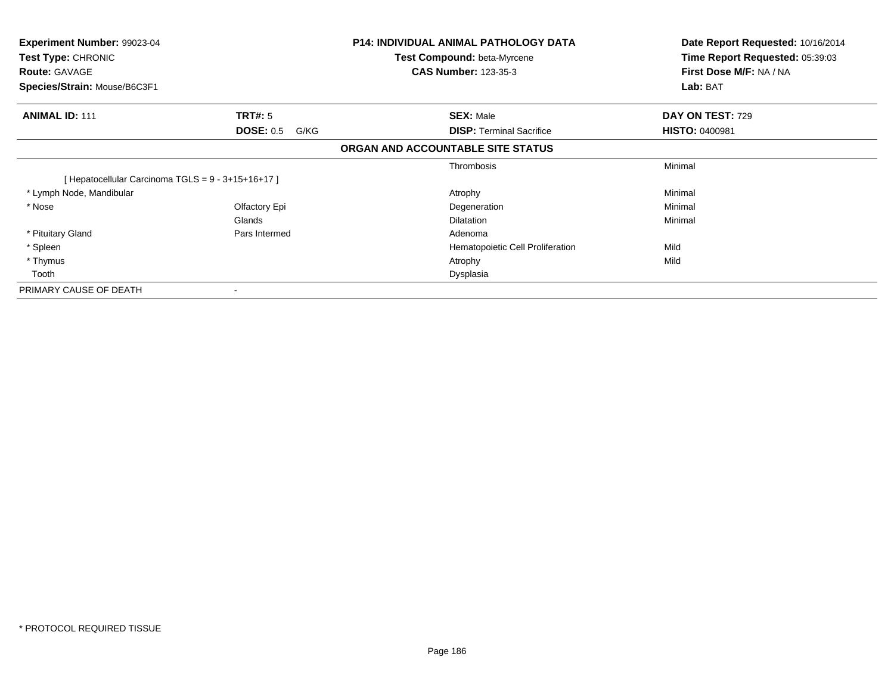| Experiment Number: 99023-04<br>Test Type: CHRONIC<br><b>Route: GAVAGE</b><br>Species/Strain: Mouse/B6C3F1 |                          | <b>P14: INDIVIDUAL ANIMAL PATHOLOGY DATA</b><br><b>Test Compound: beta-Myrcene</b><br><b>CAS Number: 123-35-3</b> | Date Report Requested: 10/16/2014<br>Time Report Requested: 05:39:03<br>First Dose M/F: NA / NA<br>Lab: BAT |
|-----------------------------------------------------------------------------------------------------------|--------------------------|-------------------------------------------------------------------------------------------------------------------|-------------------------------------------------------------------------------------------------------------|
| <b>ANIMAL ID: 111</b>                                                                                     | <b>TRT#:</b> 5           | <b>SEX: Male</b>                                                                                                  | <b>DAY ON TEST: 729</b>                                                                                     |
|                                                                                                           | <b>DOSE: 0.5</b><br>G/KG | <b>DISP:</b> Terminal Sacrifice                                                                                   | <b>HISTO: 0400981</b>                                                                                       |
|                                                                                                           |                          | ORGAN AND ACCOUNTABLE SITE STATUS                                                                                 |                                                                                                             |
|                                                                                                           |                          | Thrombosis                                                                                                        | Minimal                                                                                                     |
| [Hepatocellular Carcinoma TGLS = 9 - 3+15+16+17]                                                          |                          |                                                                                                                   |                                                                                                             |
| * Lymph Node, Mandibular                                                                                  |                          | Atrophy                                                                                                           | Minimal                                                                                                     |
| * Nose                                                                                                    | Olfactory Epi            | Degeneration                                                                                                      | Minimal                                                                                                     |
|                                                                                                           | Glands                   | <b>Dilatation</b>                                                                                                 | Minimal                                                                                                     |
| * Pituitary Gland                                                                                         | Pars Intermed            | Adenoma                                                                                                           |                                                                                                             |
| * Spleen                                                                                                  |                          | Hematopoietic Cell Proliferation                                                                                  | Mild                                                                                                        |
| * Thymus                                                                                                  |                          | Atrophy                                                                                                           | Mild                                                                                                        |
| Tooth                                                                                                     |                          | Dysplasia                                                                                                         |                                                                                                             |
| PRIMARY CAUSE OF DEATH                                                                                    | $\blacksquare$           |                                                                                                                   |                                                                                                             |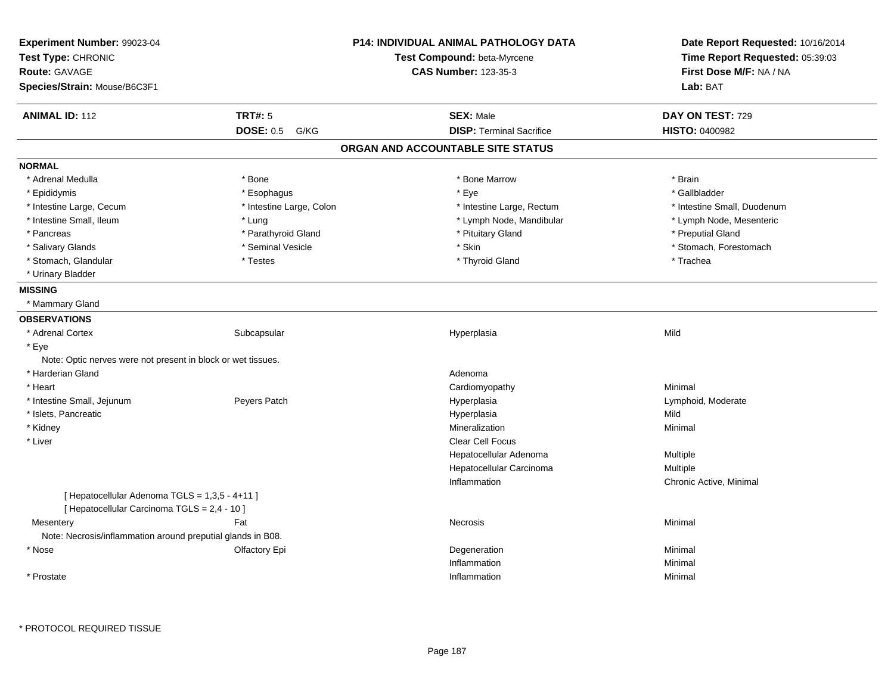| Experiment Number: 99023-04<br>Test Type: CHRONIC                                              |                          | P14: INDIVIDUAL ANIMAL PATHOLOGY DATA<br>Test Compound: beta-Myrcene | Date Report Requested: 10/16/2014<br>Time Report Requested: 05:39:03 |  |
|------------------------------------------------------------------------------------------------|--------------------------|----------------------------------------------------------------------|----------------------------------------------------------------------|--|
| <b>Route: GAVAGE</b>                                                                           |                          | <b>CAS Number: 123-35-3</b>                                          | First Dose M/F: NA / NA                                              |  |
| Species/Strain: Mouse/B6C3F1                                                                   |                          |                                                                      | Lab: BAT                                                             |  |
| <b>ANIMAL ID: 112</b>                                                                          | <b>TRT#: 5</b>           | <b>SEX: Male</b>                                                     | DAY ON TEST: 729                                                     |  |
|                                                                                                | <b>DOSE: 0.5</b><br>G/KG | <b>DISP: Terminal Sacrifice</b>                                      | <b>HISTO: 0400982</b>                                                |  |
|                                                                                                |                          | ORGAN AND ACCOUNTABLE SITE STATUS                                    |                                                                      |  |
| <b>NORMAL</b>                                                                                  |                          |                                                                      |                                                                      |  |
| * Adrenal Medulla                                                                              | * Bone                   | * Bone Marrow                                                        | * Brain                                                              |  |
| * Epididymis                                                                                   | * Esophagus              | * Eye                                                                | * Gallbladder                                                        |  |
| * Intestine Large, Cecum                                                                       | * Intestine Large, Colon | * Intestine Large, Rectum                                            | * Intestine Small, Duodenum                                          |  |
| * Intestine Small, Ileum                                                                       | * Lung                   | * Lymph Node, Mandibular                                             | * Lymph Node, Mesenteric                                             |  |
| * Pancreas                                                                                     | * Parathyroid Gland      | * Pituitary Gland                                                    | * Preputial Gland                                                    |  |
| * Salivary Glands                                                                              | * Seminal Vesicle        | * Skin                                                               | * Stomach, Forestomach                                               |  |
| * Stomach, Glandular                                                                           | * Testes                 | * Thyroid Gland                                                      | * Trachea                                                            |  |
| * Urinary Bladder                                                                              |                          |                                                                      |                                                                      |  |
| <b>MISSING</b>                                                                                 |                          |                                                                      |                                                                      |  |
| * Mammary Gland                                                                                |                          |                                                                      |                                                                      |  |
| <b>OBSERVATIONS</b>                                                                            |                          |                                                                      |                                                                      |  |
| * Adrenal Cortex                                                                               | Subcapsular              | Hyperplasia                                                          | Mild                                                                 |  |
| * Eye                                                                                          |                          |                                                                      |                                                                      |  |
| Note: Optic nerves were not present in block or wet tissues.                                   |                          |                                                                      |                                                                      |  |
| * Harderian Gland                                                                              |                          | Adenoma                                                              |                                                                      |  |
| * Heart                                                                                        |                          | Cardiomyopathy                                                       | Minimal                                                              |  |
| * Intestine Small, Jejunum                                                                     | Peyers Patch             | Hyperplasia                                                          | Lymphoid, Moderate                                                   |  |
| * Islets, Pancreatic                                                                           |                          | Hyperplasia                                                          | Mild                                                                 |  |
| * Kidney                                                                                       |                          | Mineralization                                                       | Minimal                                                              |  |
| * Liver                                                                                        |                          | Clear Cell Focus                                                     |                                                                      |  |
|                                                                                                |                          | Hepatocellular Adenoma                                               | Multiple                                                             |  |
|                                                                                                |                          | Hepatocellular Carcinoma                                             | Multiple                                                             |  |
|                                                                                                |                          | Inflammation                                                         | Chronic Active, Minimal                                              |  |
| [ Hepatocellular Adenoma TGLS = 1,3,5 - 4+11 ]<br>[ Hepatocellular Carcinoma TGLS = 2,4 - 10 ] |                          |                                                                      |                                                                      |  |
| Mesentery                                                                                      | Fat                      | Necrosis                                                             | Minimal                                                              |  |
| Note: Necrosis/inflammation around preputial glands in B08.                                    |                          |                                                                      |                                                                      |  |
| * Nose                                                                                         | Olfactory Epi            | Degeneration                                                         | Minimal                                                              |  |
|                                                                                                |                          | Inflammation                                                         | Minimal                                                              |  |
|                                                                                                |                          |                                                                      |                                                                      |  |
| * Prostate                                                                                     |                          | Inflammation                                                         | Minimal                                                              |  |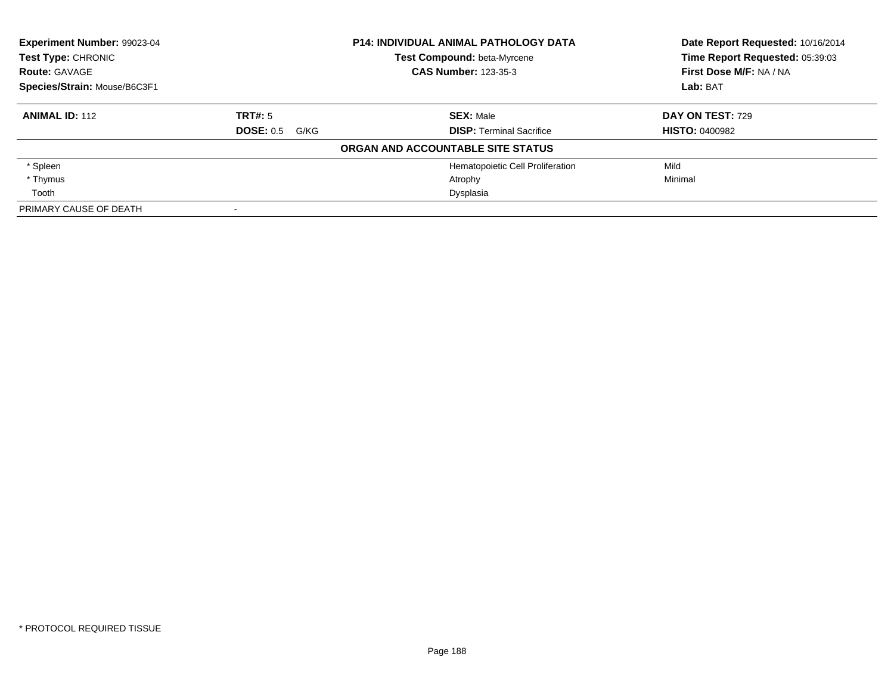| Experiment Number: 99023-04  |                       | <b>P14: INDIVIDUAL ANIMAL PATHOLOGY DATA</b> | Date Report Requested: 10/16/2014 |
|------------------------------|-----------------------|----------------------------------------------|-----------------------------------|
| Test Type: CHRONIC           |                       | <b>Test Compound: beta-Myrcene</b>           | Time Report Requested: 05:39:03   |
| <b>Route: GAVAGE</b>         |                       | <b>CAS Number: 123-35-3</b>                  | First Dose M/F: NA / NA           |
| Species/Strain: Mouse/B6C3F1 |                       |                                              | Lab: BAT                          |
| <b>ANIMAL ID: 112</b>        | TRT#: 5               | <b>SEX: Male</b>                             | DAY ON TEST: 729                  |
|                              | <b>DOSE: 0.5 G/KG</b> | <b>DISP:</b> Terminal Sacrifice              | <b>HISTO: 0400982</b>             |
|                              |                       | ORGAN AND ACCOUNTABLE SITE STATUS            |                                   |
| * Spleen                     |                       | Hematopoietic Cell Proliferation             | Mild                              |
| * Thymus                     |                       | Atrophy                                      | Minimal                           |
| Tooth                        |                       | Dysplasia                                    |                                   |
| PRIMARY CAUSE OF DEATH       |                       |                                              |                                   |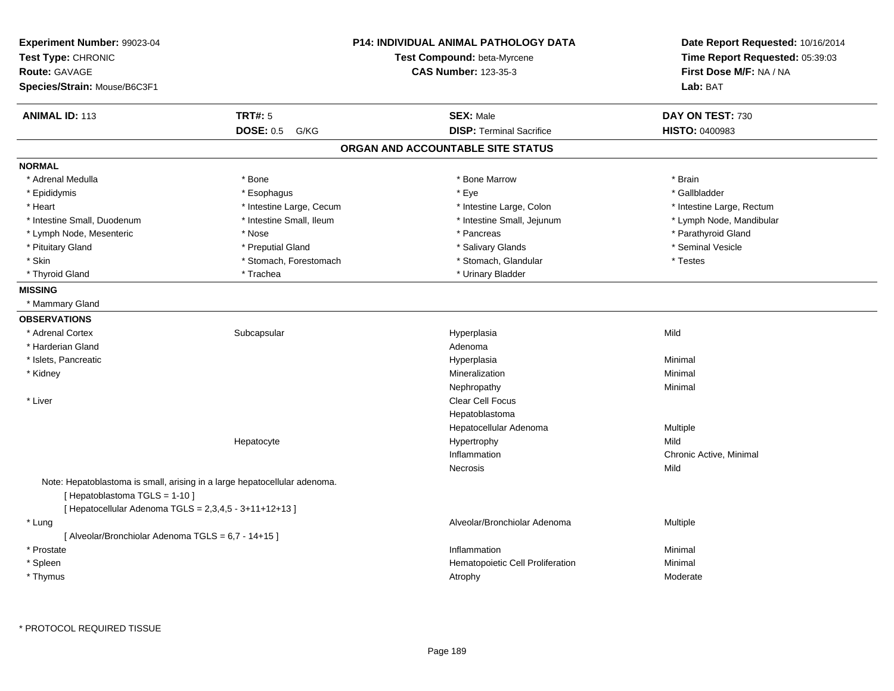| Experiment Number: 99023-04<br>Test Type: CHRONIC<br>Route: GAVAGE<br>Species/Strain: Mouse/B6C3F1                                                                  |                          | <b>P14: INDIVIDUAL ANIMAL PATHOLOGY DATA</b><br>Test Compound: beta-Myrcene<br><b>CAS Number: 123-35-3</b> | Date Report Requested: 10/16/2014<br>Time Report Requested: 05:39:03<br>First Dose M/F: NA / NA<br>Lab: BAT |
|---------------------------------------------------------------------------------------------------------------------------------------------------------------------|--------------------------|------------------------------------------------------------------------------------------------------------|-------------------------------------------------------------------------------------------------------------|
| <b>ANIMAL ID: 113</b>                                                                                                                                               | <b>TRT#: 5</b>           | <b>SEX: Male</b>                                                                                           | DAY ON TEST: 730                                                                                            |
|                                                                                                                                                                     | <b>DOSE: 0.5</b><br>G/KG | <b>DISP: Terminal Sacrifice</b>                                                                            | HISTO: 0400983                                                                                              |
|                                                                                                                                                                     |                          | ORGAN AND ACCOUNTABLE SITE STATUS                                                                          |                                                                                                             |
| <b>NORMAL</b>                                                                                                                                                       |                          |                                                                                                            |                                                                                                             |
| * Adrenal Medulla                                                                                                                                                   | * Bone                   | * Bone Marrow                                                                                              | * Brain                                                                                                     |
| * Epididymis                                                                                                                                                        | * Esophagus              | * Eye                                                                                                      | * Gallbladder                                                                                               |
| * Heart                                                                                                                                                             | * Intestine Large, Cecum | * Intestine Large, Colon                                                                                   | * Intestine Large, Rectum                                                                                   |
| * Intestine Small, Duodenum                                                                                                                                         | * Intestine Small, Ileum | * Intestine Small, Jejunum                                                                                 | * Lymph Node, Mandibular                                                                                    |
| * Lymph Node, Mesenteric                                                                                                                                            | * Nose                   | * Pancreas                                                                                                 | * Parathyroid Gland                                                                                         |
| * Pituitary Gland                                                                                                                                                   | * Preputial Gland        | * Salivary Glands                                                                                          | * Seminal Vesicle                                                                                           |
| * Skin                                                                                                                                                              | * Stomach, Forestomach   | * Stomach, Glandular                                                                                       | * Testes                                                                                                    |
| * Thyroid Gland                                                                                                                                                     | * Trachea                | * Urinary Bladder                                                                                          |                                                                                                             |
| <b>MISSING</b>                                                                                                                                                      |                          |                                                                                                            |                                                                                                             |
| * Mammary Gland                                                                                                                                                     |                          |                                                                                                            |                                                                                                             |
| <b>OBSERVATIONS</b>                                                                                                                                                 |                          |                                                                                                            |                                                                                                             |
| * Adrenal Cortex                                                                                                                                                    | Subcapsular              | Hyperplasia                                                                                                | Mild                                                                                                        |
| * Harderian Gland                                                                                                                                                   |                          | Adenoma                                                                                                    |                                                                                                             |
| * Islets, Pancreatic                                                                                                                                                |                          | Hyperplasia                                                                                                | Minimal                                                                                                     |
| * Kidney                                                                                                                                                            |                          | Mineralization                                                                                             | Minimal                                                                                                     |
|                                                                                                                                                                     |                          | Nephropathy                                                                                                | Minimal                                                                                                     |
| * Liver                                                                                                                                                             |                          | Clear Cell Focus                                                                                           |                                                                                                             |
|                                                                                                                                                                     |                          | Hepatoblastoma                                                                                             |                                                                                                             |
|                                                                                                                                                                     |                          | Hepatocellular Adenoma                                                                                     | Multiple                                                                                                    |
|                                                                                                                                                                     | Hepatocyte               | Hypertrophy                                                                                                | Mild                                                                                                        |
|                                                                                                                                                                     |                          | Inflammation                                                                                               | Chronic Active, Minimal                                                                                     |
|                                                                                                                                                                     |                          | Necrosis                                                                                                   | Mild                                                                                                        |
| Note: Hepatoblastoma is small, arising in a large hepatocellular adenoma.<br>[Hepatoblastoma TGLS = 1-10]<br>[ Hepatocellular Adenoma TGLS = 2,3,4,5 - 3+11+12+13 ] |                          |                                                                                                            |                                                                                                             |
| * Lung                                                                                                                                                              |                          | Alveolar/Bronchiolar Adenoma                                                                               | Multiple                                                                                                    |
| [ Alveolar/Bronchiolar Adenoma TGLS = 6,7 - 14+15 ]                                                                                                                 |                          |                                                                                                            |                                                                                                             |
| * Prostate                                                                                                                                                          |                          | Inflammation                                                                                               | Minimal                                                                                                     |
|                                                                                                                                                                     |                          |                                                                                                            |                                                                                                             |
| * Spleen                                                                                                                                                            |                          | Hematopoietic Cell Proliferation                                                                           | Minimal                                                                                                     |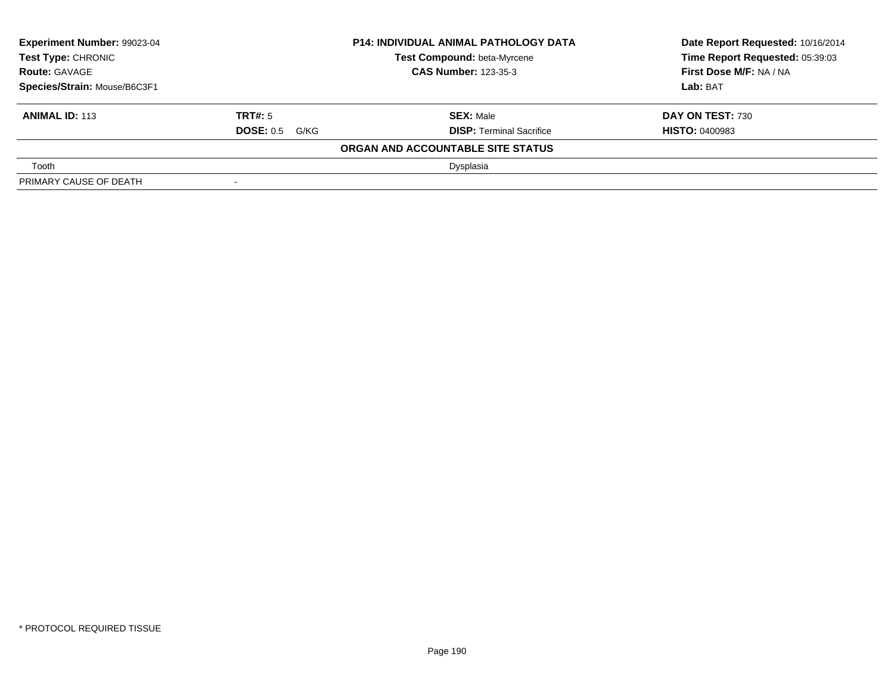| Experiment Number: 99023-04<br><b>Test Type: CHRONIC</b> |                             | <b>P14: INDIVIDUAL ANIMAL PATHOLOGY DATA</b> | Date Report Requested: 10/16/2014 |
|----------------------------------------------------------|-----------------------------|----------------------------------------------|-----------------------------------|
|                                                          |                             | <b>Test Compound: beta-Myrcene</b>           | Time Report Requested: 05:39:03   |
| <b>Route: GAVAGE</b>                                     | <b>CAS Number: 123-35-3</b> |                                              | First Dose M/F: NA / NA           |
| Species/Strain: Mouse/B6C3F1                             |                             |                                              | Lab: BAT                          |
| <b>ANIMAL ID: 113</b>                                    | <b>TRT#:</b> 5              | <b>SEX: Male</b>                             | <b>DAY ON TEST: 730</b>           |
|                                                          | <b>DOSE: 0.5 G/KG</b>       | <b>DISP: Terminal Sacrifice</b>              | <b>HISTO: 0400983</b>             |
|                                                          |                             | ORGAN AND ACCOUNTABLE SITE STATUS            |                                   |
| Tooth                                                    |                             | Dysplasia                                    |                                   |
| PRIMARY CAUSE OF DEATH                                   |                             |                                              |                                   |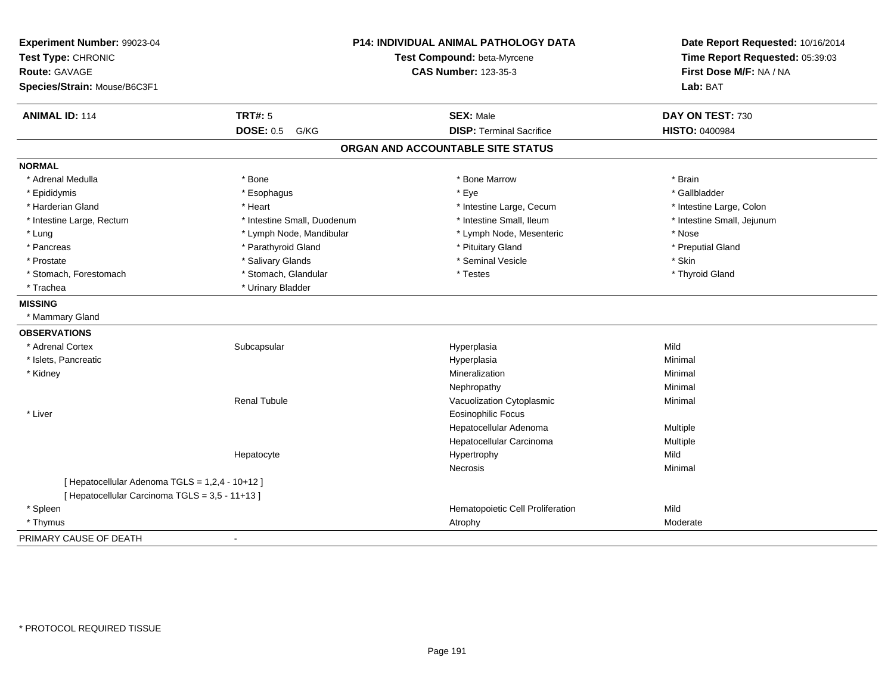| Experiment Number: 99023-04                     | P14: INDIVIDUAL ANIMAL PATHOLOGY DATA |                                   | Date Report Requested: 10/16/2014 |
|-------------------------------------------------|---------------------------------------|-----------------------------------|-----------------------------------|
| Test Type: CHRONIC                              |                                       | Test Compound: beta-Myrcene       |                                   |
| <b>Route: GAVAGE</b>                            |                                       | <b>CAS Number: 123-35-3</b>       | First Dose M/F: NA / NA           |
| Species/Strain: Mouse/B6C3F1                    |                                       |                                   | Lab: BAT                          |
| <b>ANIMAL ID: 114</b>                           | <b>TRT#: 5</b>                        | <b>SEX: Male</b>                  | DAY ON TEST: 730                  |
|                                                 | <b>DOSE: 0.5</b><br>G/KG              | <b>DISP: Terminal Sacrifice</b>   | <b>HISTO: 0400984</b>             |
|                                                 |                                       | ORGAN AND ACCOUNTABLE SITE STATUS |                                   |
| <b>NORMAL</b>                                   |                                       |                                   |                                   |
| * Adrenal Medulla                               | * Bone                                | * Bone Marrow                     | * Brain                           |
| * Epididymis                                    | * Esophagus                           | * Eye                             | * Gallbladder                     |
| * Harderian Gland                               | * Heart                               | * Intestine Large, Cecum          | * Intestine Large, Colon          |
| * Intestine Large, Rectum                       | * Intestine Small, Duodenum           | * Intestine Small, Ileum          | * Intestine Small, Jejunum        |
| * Lung                                          | * Lymph Node, Mandibular              | * Lymph Node, Mesenteric          | * Nose                            |
| * Pancreas                                      | * Parathyroid Gland                   | * Pituitary Gland                 | * Preputial Gland                 |
| * Prostate                                      | * Salivary Glands                     | * Seminal Vesicle                 | * Skin                            |
| * Stomach, Forestomach                          | * Stomach, Glandular                  | * Testes                          | * Thyroid Gland                   |
| * Trachea                                       | * Urinary Bladder                     |                                   |                                   |
| <b>MISSING</b>                                  |                                       |                                   |                                   |
| * Mammary Gland                                 |                                       |                                   |                                   |
| <b>OBSERVATIONS</b>                             |                                       |                                   |                                   |
| * Adrenal Cortex                                | Subcapsular                           | Hyperplasia                       | Mild                              |
| * Islets, Pancreatic                            |                                       | Hyperplasia                       | Minimal                           |
| * Kidney                                        |                                       | Mineralization                    | Minimal                           |
|                                                 |                                       | Nephropathy                       | Minimal                           |
|                                                 | <b>Renal Tubule</b>                   | Vacuolization Cytoplasmic         | Minimal                           |
| * Liver                                         |                                       | <b>Eosinophilic Focus</b>         |                                   |
|                                                 |                                       | Hepatocellular Adenoma            | Multiple                          |
|                                                 |                                       | Hepatocellular Carcinoma          | Multiple                          |
|                                                 | Hepatocyte                            | Hypertrophy                       | Mild                              |
|                                                 |                                       | <b>Necrosis</b>                   | Minimal                           |
| [ Hepatocellular Adenoma TGLS = 1,2,4 - 10+12 ] |                                       |                                   |                                   |
| [ Hepatocellular Carcinoma TGLS = 3,5 - 11+13 ] |                                       |                                   |                                   |
| * Spleen                                        |                                       | Hematopoietic Cell Proliferation  | Mild                              |
| * Thymus                                        |                                       | Atrophy                           | Moderate                          |
| PRIMARY CAUSE OF DEATH                          |                                       |                                   |                                   |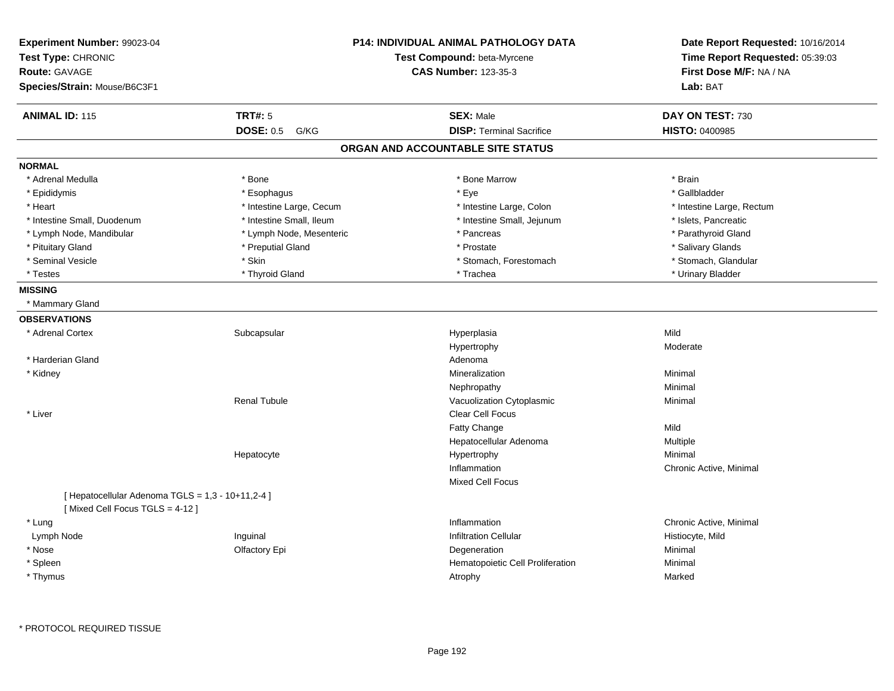| Experiment Number: 99023-04<br>Test Type: CHRONIC<br><b>Route: GAVAGE</b><br>Species/Strain: Mouse/B6C3F1 |                          | <b>P14: INDIVIDUAL ANIMAL PATHOLOGY DATA</b><br>Test Compound: beta-Myrcene<br><b>CAS Number: 123-35-3</b> | Date Report Requested: 10/16/2014<br>Time Report Requested: 05:39:03<br>First Dose M/F: NA / NA<br>Lab: BAT |
|-----------------------------------------------------------------------------------------------------------|--------------------------|------------------------------------------------------------------------------------------------------------|-------------------------------------------------------------------------------------------------------------|
| <b>ANIMAL ID: 115</b>                                                                                     | <b>TRT#: 5</b>           | <b>SEX: Male</b>                                                                                           | DAY ON TEST: 730                                                                                            |
|                                                                                                           | <b>DOSE: 0.5</b><br>G/KG | <b>DISP: Terminal Sacrifice</b>                                                                            | <b>HISTO: 0400985</b>                                                                                       |
|                                                                                                           |                          | ORGAN AND ACCOUNTABLE SITE STATUS                                                                          |                                                                                                             |
| <b>NORMAL</b>                                                                                             |                          |                                                                                                            |                                                                                                             |
| * Adrenal Medulla                                                                                         | * Bone                   | * Bone Marrow                                                                                              | * Brain                                                                                                     |
| * Epididymis                                                                                              | * Esophagus              | * Eye                                                                                                      | * Gallbladder                                                                                               |
| * Heart                                                                                                   | * Intestine Large, Cecum | * Intestine Large, Colon                                                                                   | * Intestine Large, Rectum                                                                                   |
| * Intestine Small, Duodenum                                                                               | * Intestine Small, Ileum | * Intestine Small, Jejunum                                                                                 | * Islets, Pancreatic                                                                                        |
| * Lymph Node, Mandibular                                                                                  | * Lymph Node, Mesenteric | * Pancreas                                                                                                 | * Parathyroid Gland                                                                                         |
| * Pituitary Gland                                                                                         | * Preputial Gland        | * Prostate                                                                                                 | * Salivary Glands                                                                                           |
| * Seminal Vesicle                                                                                         | * Skin                   | * Stomach, Forestomach                                                                                     | * Stomach, Glandular                                                                                        |
| * Testes                                                                                                  | * Thyroid Gland          | * Trachea                                                                                                  | * Urinary Bladder                                                                                           |
| <b>MISSING</b>                                                                                            |                          |                                                                                                            |                                                                                                             |
| * Mammary Gland                                                                                           |                          |                                                                                                            |                                                                                                             |
| <b>OBSERVATIONS</b>                                                                                       |                          |                                                                                                            |                                                                                                             |
| * Adrenal Cortex                                                                                          | Subcapsular              | Hyperplasia                                                                                                | Mild                                                                                                        |
|                                                                                                           |                          | Hypertrophy                                                                                                | Moderate                                                                                                    |
| * Harderian Gland                                                                                         |                          | Adenoma                                                                                                    |                                                                                                             |
| * Kidney                                                                                                  |                          | Mineralization                                                                                             | Minimal                                                                                                     |
|                                                                                                           |                          | Nephropathy                                                                                                | Minimal                                                                                                     |
|                                                                                                           | <b>Renal Tubule</b>      | Vacuolization Cytoplasmic                                                                                  | Minimal                                                                                                     |
| * Liver                                                                                                   |                          | Clear Cell Focus                                                                                           |                                                                                                             |
|                                                                                                           |                          | Fatty Change                                                                                               | Mild                                                                                                        |
|                                                                                                           |                          | Hepatocellular Adenoma                                                                                     | Multiple                                                                                                    |
|                                                                                                           | Hepatocyte               | Hypertrophy                                                                                                | Minimal                                                                                                     |
|                                                                                                           |                          | Inflammation                                                                                               | Chronic Active, Minimal                                                                                     |
|                                                                                                           |                          | Mixed Cell Focus                                                                                           |                                                                                                             |
| [ Hepatocellular Adenoma TGLS = 1,3 - 10+11,2-4 ]<br>[Mixed Cell Focus TGLS = 4-12]                       |                          |                                                                                                            |                                                                                                             |
| * Lung                                                                                                    |                          | Inflammation                                                                                               | Chronic Active, Minimal                                                                                     |
| Lymph Node                                                                                                | Inguinal                 | <b>Infiltration Cellular</b>                                                                               | Histiocyte, Mild                                                                                            |
| * Nose                                                                                                    | Olfactory Epi            | Degeneration                                                                                               | Minimal                                                                                                     |
| * Spleen                                                                                                  |                          | Hematopoietic Cell Proliferation                                                                           | Minimal                                                                                                     |
| * Thymus                                                                                                  |                          | Atrophy                                                                                                    | Marked                                                                                                      |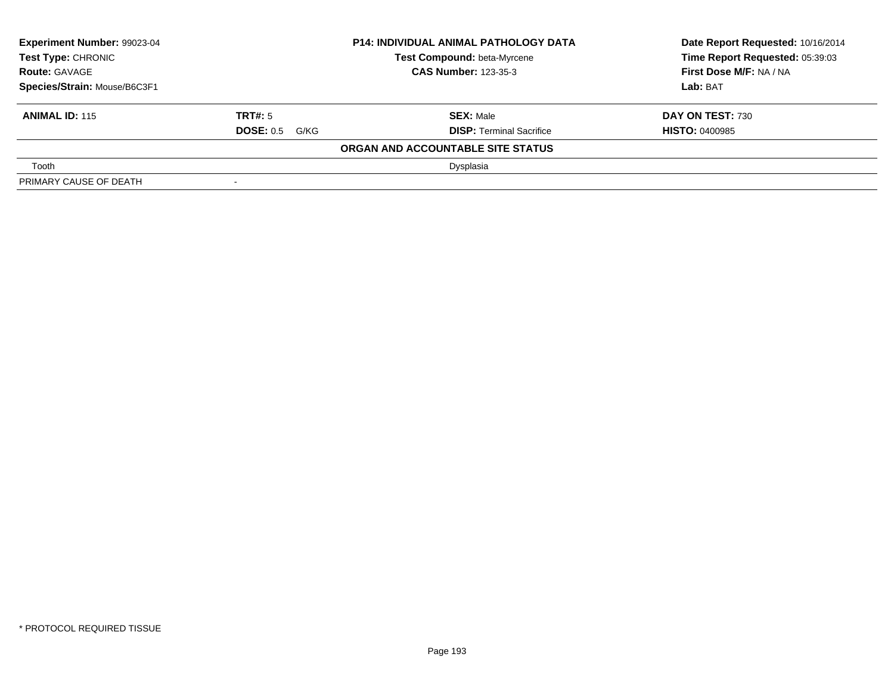| <b>Experiment Number: 99023-04</b><br>Test Type: CHRONIC<br><b>Route: GAVAGE</b> |                       | <b>P14: INDIVIDUAL ANIMAL PATHOLOGY DATA</b> | Date Report Requested: 10/16/2014 |
|----------------------------------------------------------------------------------|-----------------------|----------------------------------------------|-----------------------------------|
|                                                                                  |                       | Test Compound: beta-Myrcene                  | Time Report Requested: 05:39:03   |
|                                                                                  |                       | <b>CAS Number: 123-35-3</b>                  | <b>First Dose M/F: NA / NA</b>    |
| Species/Strain: Mouse/B6C3F1                                                     |                       |                                              | Lab: BAT                          |
| <b>ANIMAL ID: 115</b>                                                            | <b>TRT#:</b> 5        | <b>SEX: Male</b>                             | <b>DAY ON TEST: 730</b>           |
|                                                                                  | <b>DOSE:</b> 0.5 G/KG | <b>DISP: Terminal Sacrifice</b>              | <b>HISTO: 0400985</b>             |
|                                                                                  |                       | ORGAN AND ACCOUNTABLE SITE STATUS            |                                   |
| Tooth                                                                            |                       | Dysplasia                                    |                                   |
| PRIMARY CAUSE OF DEATH                                                           | $\,$                  |                                              |                                   |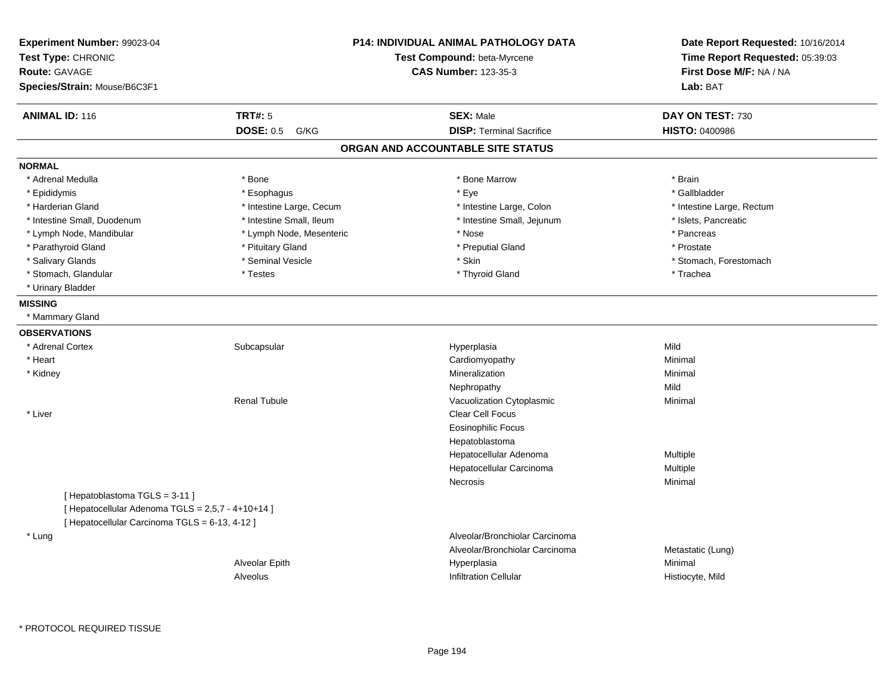| Experiment Number: 99023-04<br>Test Type: CHRONIC<br><b>Route: GAVAGE</b><br>Species/Strain: Mouse/B6C3F1                           |                          | <b>P14: INDIVIDUAL ANIMAL PATHOLOGY DATA</b><br>Test Compound: beta-Myrcene<br><b>CAS Number: 123-35-3</b> | Date Report Requested: 10/16/2014<br>Time Report Requested: 05:39:03<br>First Dose M/F: NA / NA<br>Lab: BAT |
|-------------------------------------------------------------------------------------------------------------------------------------|--------------------------|------------------------------------------------------------------------------------------------------------|-------------------------------------------------------------------------------------------------------------|
| <b>ANIMAL ID: 116</b>                                                                                                               | <b>TRT#: 5</b>           | <b>SEX: Male</b>                                                                                           | DAY ON TEST: 730                                                                                            |
|                                                                                                                                     | <b>DOSE: 0.5</b><br>G/KG | <b>DISP: Terminal Sacrifice</b>                                                                            | HISTO: 0400986                                                                                              |
|                                                                                                                                     |                          | ORGAN AND ACCOUNTABLE SITE STATUS                                                                          |                                                                                                             |
| <b>NORMAL</b>                                                                                                                       |                          |                                                                                                            |                                                                                                             |
| * Adrenal Medulla                                                                                                                   | * Bone                   | * Bone Marrow                                                                                              | * Brain                                                                                                     |
| * Epididymis                                                                                                                        | * Esophagus              | * Eye                                                                                                      | * Gallbladder                                                                                               |
| * Harderian Gland                                                                                                                   | * Intestine Large, Cecum | * Intestine Large, Colon                                                                                   | * Intestine Large, Rectum                                                                                   |
| * Intestine Small, Duodenum                                                                                                         | * Intestine Small, Ileum | * Intestine Small, Jejunum                                                                                 | * Islets, Pancreatic                                                                                        |
| * Lymph Node, Mandibular                                                                                                            | * Lymph Node, Mesenteric | * Nose                                                                                                     | * Pancreas                                                                                                  |
| * Parathyroid Gland                                                                                                                 | * Pituitary Gland        | * Preputial Gland                                                                                          | * Prostate                                                                                                  |
| * Salivary Glands                                                                                                                   | * Seminal Vesicle        | * Skin                                                                                                     | * Stomach, Forestomach                                                                                      |
| * Stomach, Glandular                                                                                                                | * Testes                 | * Thyroid Gland                                                                                            | * Trachea                                                                                                   |
| * Urinary Bladder                                                                                                                   |                          |                                                                                                            |                                                                                                             |
| <b>MISSING</b>                                                                                                                      |                          |                                                                                                            |                                                                                                             |
| * Mammary Gland                                                                                                                     |                          |                                                                                                            |                                                                                                             |
| <b>OBSERVATIONS</b>                                                                                                                 |                          |                                                                                                            |                                                                                                             |
| * Adrenal Cortex                                                                                                                    | Subcapsular              | Hyperplasia                                                                                                | Mild                                                                                                        |
| * Heart                                                                                                                             |                          | Cardiomyopathy                                                                                             | Minimal                                                                                                     |
| * Kidney                                                                                                                            |                          | Mineralization                                                                                             | Minimal                                                                                                     |
|                                                                                                                                     |                          | Nephropathy                                                                                                | Mild                                                                                                        |
|                                                                                                                                     | <b>Renal Tubule</b>      | Vacuolization Cytoplasmic                                                                                  | Minimal                                                                                                     |
| * Liver                                                                                                                             |                          | Clear Cell Focus                                                                                           |                                                                                                             |
|                                                                                                                                     |                          | <b>Eosinophilic Focus</b>                                                                                  |                                                                                                             |
|                                                                                                                                     |                          | Hepatoblastoma                                                                                             |                                                                                                             |
|                                                                                                                                     |                          | Hepatocellular Adenoma                                                                                     | Multiple                                                                                                    |
|                                                                                                                                     |                          | Hepatocellular Carcinoma                                                                                   | Multiple                                                                                                    |
|                                                                                                                                     |                          | Necrosis                                                                                                   | Minimal                                                                                                     |
| [Hepatoblastoma TGLS = 3-11]<br>[ Hepatocellular Adenoma TGLS = 2,5,7 - 4+10+14 ]<br>[ Hepatocellular Carcinoma TGLS = 6-13, 4-12 ] |                          |                                                                                                            |                                                                                                             |
| * Lung                                                                                                                              |                          | Alveolar/Bronchiolar Carcinoma                                                                             |                                                                                                             |
|                                                                                                                                     |                          | Alveolar/Bronchiolar Carcinoma                                                                             | Metastatic (Lung)                                                                                           |
|                                                                                                                                     | Alveolar Epith           | Hyperplasia                                                                                                | Minimal                                                                                                     |
|                                                                                                                                     | Alveolus                 | Infiltration Cellular                                                                                      | Histiocyte, Mild                                                                                            |

\* PROTOCOL REQUIRED TISSUE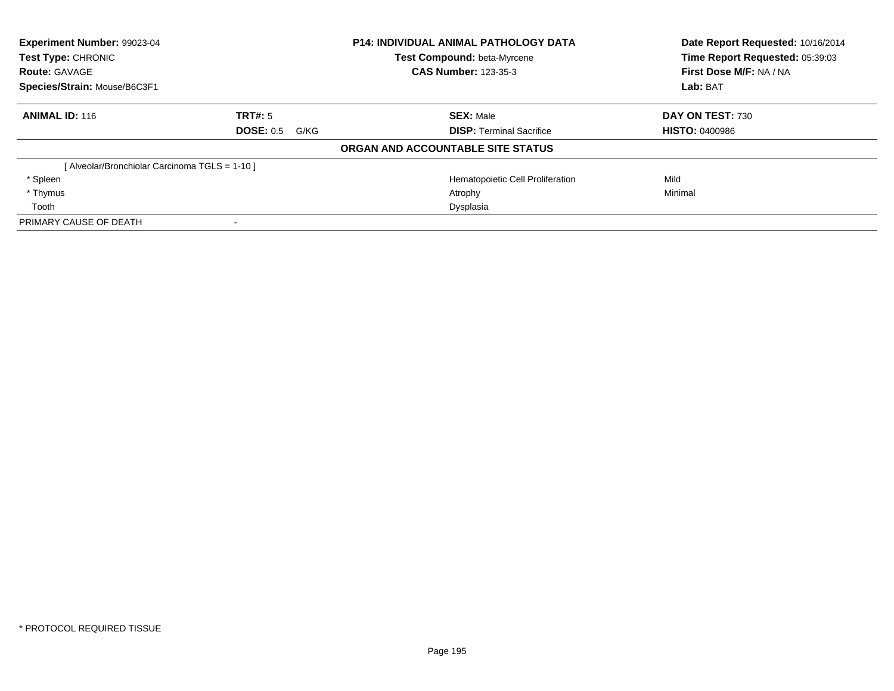| <b>Experiment Number: 99023-04</b><br><b>Test Type: CHRONIC</b> |                          | <b>P14: INDIVIDUAL ANIMAL PATHOLOGY DATA</b><br><b>Test Compound: beta-Myrcene</b> | Date Report Requested: 10/16/2014<br>Time Report Requested: 05:39:03 |
|-----------------------------------------------------------------|--------------------------|------------------------------------------------------------------------------------|----------------------------------------------------------------------|
| <b>Route: GAVAGE</b>                                            |                          | <b>CAS Number: 123-35-3</b>                                                        | First Dose M/F: NA / NA                                              |
| Species/Strain: Mouse/B6C3F1                                    |                          |                                                                                    | Lab: BAT                                                             |
| <b>ANIMAL ID: 116</b>                                           | TRT#: 5                  | <b>SEX: Male</b>                                                                   | DAY ON TEST: 730                                                     |
|                                                                 | <b>DOSE: 0.5</b><br>G/KG | <b>DISP:</b> Terminal Sacrifice                                                    | <b>HISTO: 0400986</b>                                                |
|                                                                 |                          | ORGAN AND ACCOUNTABLE SITE STATUS                                                  |                                                                      |
| [ Alveolar/Bronchiolar Carcinoma TGLS = 1-10 ]                  |                          |                                                                                    |                                                                      |
| * Spleen                                                        |                          | Hematopoietic Cell Proliferation                                                   | Mild                                                                 |
| * Thymus                                                        |                          | Atrophy                                                                            | Minimal                                                              |
| Tooth                                                           |                          | Dysplasia                                                                          |                                                                      |
| PRIMARY CAUSE OF DEATH                                          |                          |                                                                                    |                                                                      |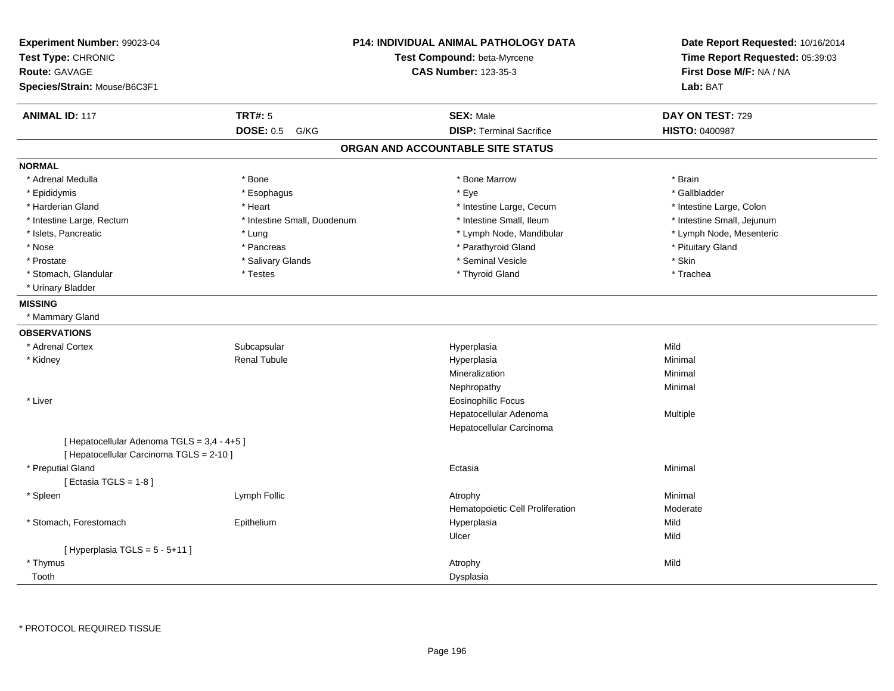| Experiment Number: 99023-04<br>Test Type: CHRONIC<br><b>Route: GAVAGE</b><br>Species/Strain: Mouse/B6C3F1 |                             | <b>P14: INDIVIDUAL ANIMAL PATHOLOGY DATA</b><br>Test Compound: beta-Myrcene<br><b>CAS Number: 123-35-3</b> | Date Report Requested: 10/16/2014<br>Time Report Requested: 05:39:03<br>First Dose M/F: NA / NA<br>Lab: BAT |
|-----------------------------------------------------------------------------------------------------------|-----------------------------|------------------------------------------------------------------------------------------------------------|-------------------------------------------------------------------------------------------------------------|
|                                                                                                           |                             |                                                                                                            |                                                                                                             |
| <b>ANIMAL ID: 117</b>                                                                                     | <b>TRT#: 5</b>              | <b>SEX: Male</b>                                                                                           | DAY ON TEST: 729                                                                                            |
|                                                                                                           | <b>DOSE: 0.5</b><br>G/KG    | <b>DISP: Terminal Sacrifice</b>                                                                            | HISTO: 0400987                                                                                              |
|                                                                                                           |                             | ORGAN AND ACCOUNTABLE SITE STATUS                                                                          |                                                                                                             |
| <b>NORMAL</b>                                                                                             |                             |                                                                                                            |                                                                                                             |
| * Adrenal Medulla                                                                                         | * Bone                      | * Bone Marrow                                                                                              | * Brain                                                                                                     |
| * Epididymis                                                                                              | * Esophagus                 | * Eye                                                                                                      | * Gallbladder                                                                                               |
| * Harderian Gland                                                                                         | * Heart                     | * Intestine Large, Cecum                                                                                   | * Intestine Large, Colon                                                                                    |
| * Intestine Large, Rectum                                                                                 | * Intestine Small, Duodenum | * Intestine Small, Ileum                                                                                   | * Intestine Small, Jejunum                                                                                  |
| * Islets, Pancreatic                                                                                      | * Lung                      | * Lymph Node, Mandibular                                                                                   | * Lymph Node, Mesenteric                                                                                    |
| * Nose                                                                                                    | * Pancreas                  | * Parathyroid Gland                                                                                        | * Pituitary Gland                                                                                           |
| * Prostate                                                                                                | * Salivary Glands           | * Seminal Vesicle                                                                                          | * Skin                                                                                                      |
| * Stomach, Glandular                                                                                      | * Testes                    | * Thyroid Gland                                                                                            | * Trachea                                                                                                   |
| * Urinary Bladder                                                                                         |                             |                                                                                                            |                                                                                                             |
| <b>MISSING</b>                                                                                            |                             |                                                                                                            |                                                                                                             |
| * Mammary Gland                                                                                           |                             |                                                                                                            |                                                                                                             |
| <b>OBSERVATIONS</b>                                                                                       |                             |                                                                                                            |                                                                                                             |
| * Adrenal Cortex                                                                                          | Subcapsular                 | Hyperplasia                                                                                                | Mild                                                                                                        |
| * Kidney                                                                                                  | <b>Renal Tubule</b>         | Hyperplasia                                                                                                | Minimal                                                                                                     |
|                                                                                                           |                             | Mineralization                                                                                             | Minimal                                                                                                     |
|                                                                                                           |                             | Nephropathy                                                                                                | Minimal                                                                                                     |
| * Liver                                                                                                   |                             | <b>Eosinophilic Focus</b>                                                                                  |                                                                                                             |
|                                                                                                           |                             | Hepatocellular Adenoma                                                                                     | Multiple                                                                                                    |
|                                                                                                           |                             | Hepatocellular Carcinoma                                                                                   |                                                                                                             |
| [ Hepatocellular Adenoma TGLS = 3,4 - 4+5 ]                                                               |                             |                                                                                                            |                                                                                                             |
| [ Hepatocellular Carcinoma TGLS = 2-10 ]                                                                  |                             |                                                                                                            |                                                                                                             |
| * Preputial Gland                                                                                         |                             | Ectasia                                                                                                    | Minimal                                                                                                     |
| [Ectasia TGLS = $1-8$ ]                                                                                   |                             |                                                                                                            |                                                                                                             |
| * Spleen                                                                                                  | Lymph Follic                | Atrophy                                                                                                    | Minimal                                                                                                     |
|                                                                                                           |                             | Hematopoietic Cell Proliferation                                                                           | Moderate                                                                                                    |
| * Stomach, Forestomach                                                                                    | Epithelium                  | Hyperplasia                                                                                                | Mild                                                                                                        |
|                                                                                                           |                             | Ulcer                                                                                                      | Mild                                                                                                        |
| [Hyperplasia TGLS = 5 - 5+11]                                                                             |                             |                                                                                                            |                                                                                                             |
| * Thymus                                                                                                  |                             | Atrophy                                                                                                    | Mild                                                                                                        |
| Tooth                                                                                                     |                             | Dysplasia                                                                                                  |                                                                                                             |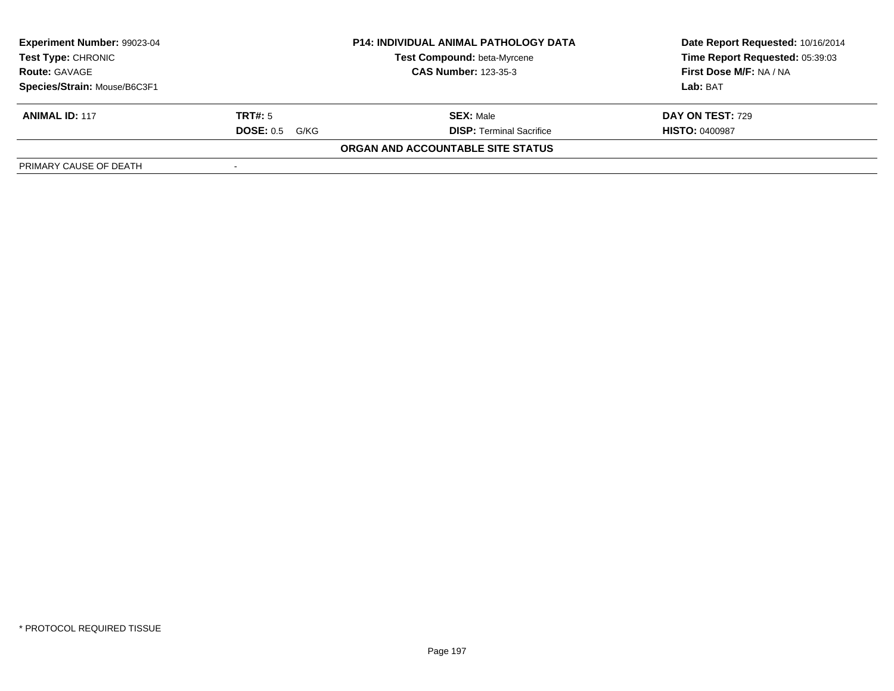| <b>Experiment Number: 99023-04</b><br><b>Test Type: CHRONIC</b><br><b>Route: GAVAGE</b> |                          | <b>P14: INDIVIDUAL ANIMAL PATHOLOGY DATA</b> | Date Report Requested: 10/16/2014 |  |
|-----------------------------------------------------------------------------------------|--------------------------|----------------------------------------------|-----------------------------------|--|
|                                                                                         |                          | <b>Test Compound: beta-Myrcene</b>           | Time Report Requested: 05:39:03   |  |
|                                                                                         |                          | <b>CAS Number: 123-35-3</b>                  | First Dose M/F: NA / NA           |  |
| Species/Strain: Mouse/B6C3F1                                                            |                          |                                              | Lab: BAT                          |  |
| <b>ANIMAL ID: 117</b>                                                                   | <b>TRT#:</b> 5           | <b>SEX: Male</b>                             | <b>DAY ON TEST: 729</b>           |  |
|                                                                                         | <b>DOSE: 0.5</b><br>G/KG | <b>DISP: Terminal Sacrifice</b>              | <b>HISTO: 0400987</b>             |  |
|                                                                                         |                          | ORGAN AND ACCOUNTABLE SITE STATUS            |                                   |  |
| PRIMARY CAUSE OF DEATH                                                                  | $\sim$                   |                                              |                                   |  |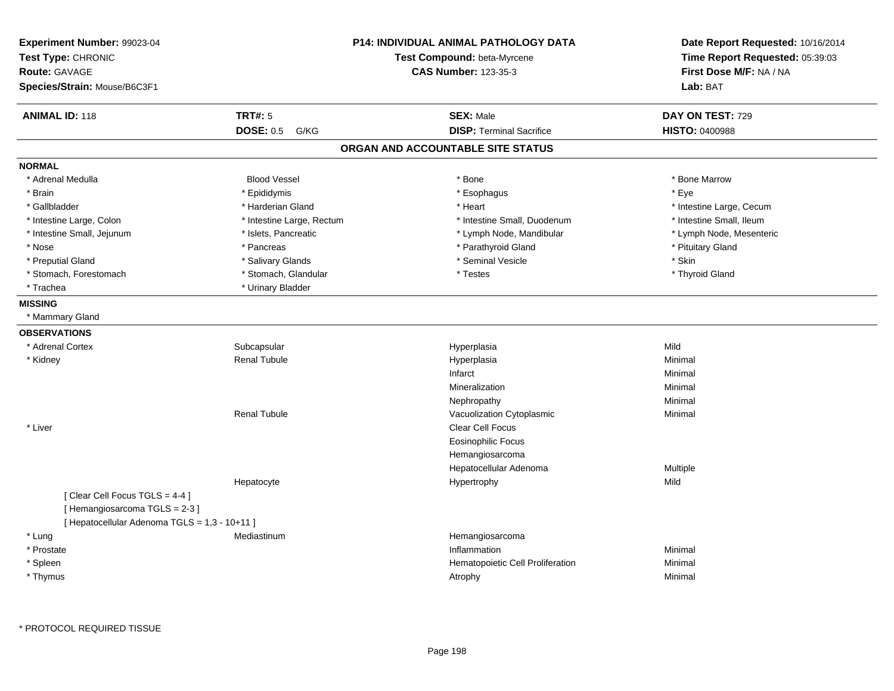| Experiment Number: 99023-04<br>Test Type: CHRONIC<br><b>Route: GAVAGE</b><br>Species/Strain: Mouse/B6C3F1 |                           | <b>P14: INDIVIDUAL ANIMAL PATHOLOGY DATA</b><br>Test Compound: beta-Myrcene<br><b>CAS Number: 123-35-3</b> | Date Report Requested: 10/16/2014<br>Time Report Requested: 05:39:03<br>First Dose M/F: NA / NA<br>Lab: BAT |
|-----------------------------------------------------------------------------------------------------------|---------------------------|------------------------------------------------------------------------------------------------------------|-------------------------------------------------------------------------------------------------------------|
| <b>ANIMAL ID: 118</b>                                                                                     | <b>TRT#: 5</b>            | <b>SEX: Male</b>                                                                                           | DAY ON TEST: 729                                                                                            |
|                                                                                                           | <b>DOSE: 0.5 G/KG</b>     | <b>DISP: Terminal Sacrifice</b>                                                                            | <b>HISTO: 0400988</b>                                                                                       |
|                                                                                                           |                           | ORGAN AND ACCOUNTABLE SITE STATUS                                                                          |                                                                                                             |
| <b>NORMAL</b>                                                                                             |                           |                                                                                                            |                                                                                                             |
| * Adrenal Medulla                                                                                         | <b>Blood Vessel</b>       | * Bone                                                                                                     | * Bone Marrow                                                                                               |
| * Brain                                                                                                   | * Epididymis              | * Esophagus                                                                                                | * Eye                                                                                                       |
| * Gallbladder                                                                                             | * Harderian Gland         | * Heart                                                                                                    | * Intestine Large, Cecum                                                                                    |
| * Intestine Large, Colon                                                                                  | * Intestine Large, Rectum | * Intestine Small, Duodenum                                                                                | * Intestine Small, Ileum                                                                                    |
| * Intestine Small, Jejunum                                                                                | * Islets, Pancreatic      | * Lymph Node, Mandibular                                                                                   | * Lymph Node, Mesenteric                                                                                    |
| * Nose                                                                                                    | * Pancreas                | * Parathyroid Gland                                                                                        | * Pituitary Gland                                                                                           |
| * Preputial Gland                                                                                         | * Salivary Glands         | * Seminal Vesicle                                                                                          | * Skin                                                                                                      |
| * Stomach, Forestomach                                                                                    | * Stomach, Glandular      | * Testes                                                                                                   | * Thyroid Gland                                                                                             |
| * Trachea                                                                                                 | * Urinary Bladder         |                                                                                                            |                                                                                                             |
| <b>MISSING</b>                                                                                            |                           |                                                                                                            |                                                                                                             |
| * Mammary Gland                                                                                           |                           |                                                                                                            |                                                                                                             |
| <b>OBSERVATIONS</b>                                                                                       |                           |                                                                                                            |                                                                                                             |
| * Adrenal Cortex                                                                                          | Subcapsular               | Hyperplasia                                                                                                | Mild                                                                                                        |
| * Kidney                                                                                                  | <b>Renal Tubule</b>       | Hyperplasia                                                                                                | Minimal                                                                                                     |
|                                                                                                           |                           | Infarct                                                                                                    | Minimal                                                                                                     |
|                                                                                                           |                           | Mineralization                                                                                             | Minimal                                                                                                     |
|                                                                                                           |                           | Nephropathy                                                                                                | Minimal                                                                                                     |
|                                                                                                           | <b>Renal Tubule</b>       | Vacuolization Cytoplasmic                                                                                  | Minimal                                                                                                     |
| * Liver                                                                                                   |                           | <b>Clear Cell Focus</b>                                                                                    |                                                                                                             |
|                                                                                                           |                           | <b>Eosinophilic Focus</b>                                                                                  |                                                                                                             |
|                                                                                                           |                           | Hemangiosarcoma                                                                                            |                                                                                                             |
|                                                                                                           |                           | Hepatocellular Adenoma                                                                                     | Multiple                                                                                                    |
|                                                                                                           | Hepatocyte                | Hypertrophy                                                                                                | Mild                                                                                                        |
| [Clear Cell Focus TGLS = 4-4]                                                                             |                           |                                                                                                            |                                                                                                             |
| [Hemangiosarcoma TGLS = 2-3]                                                                              |                           |                                                                                                            |                                                                                                             |
| [ Hepatocellular Adenoma TGLS = 1,3 - 10+11 ]                                                             |                           |                                                                                                            |                                                                                                             |
| * Lung                                                                                                    | Mediastinum               | Hemangiosarcoma                                                                                            |                                                                                                             |
| * Prostate                                                                                                |                           | Inflammation                                                                                               | Minimal                                                                                                     |
| * Spleen                                                                                                  |                           | Hematopoietic Cell Proliferation                                                                           | Minimal                                                                                                     |
| * Thymus                                                                                                  |                           | Atrophy                                                                                                    | Minimal                                                                                                     |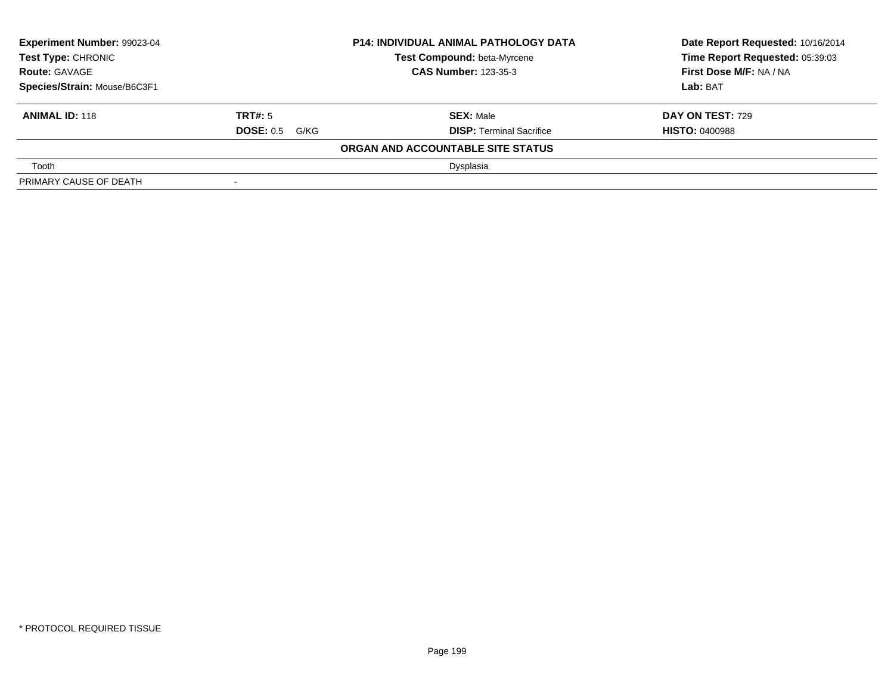| <b>Experiment Number: 99023-04</b><br>Test Type: CHRONIC<br><b>Route: GAVAGE</b> |                       | <b>P14: INDIVIDUAL ANIMAL PATHOLOGY DATA</b> | Date Report Requested: 10/16/2014 |
|----------------------------------------------------------------------------------|-----------------------|----------------------------------------------|-----------------------------------|
|                                                                                  |                       | Test Compound: beta-Myrcene                  | Time Report Requested: 05:39:03   |
|                                                                                  |                       | <b>CAS Number: 123-35-3</b>                  | <b>First Dose M/F: NA / NA</b>    |
| Species/Strain: Mouse/B6C3F1                                                     |                       |                                              | Lab: BAT                          |
| <b>ANIMAL ID: 118</b>                                                            | <b>TRT#:</b> 5        | <b>SEX: Male</b>                             | <b>DAY ON TEST: 729</b>           |
|                                                                                  | <b>DOSE:</b> 0.5 G/KG | <b>DISP: Terminal Sacrifice</b>              | <b>HISTO: 0400988</b>             |
|                                                                                  |                       | ORGAN AND ACCOUNTABLE SITE STATUS            |                                   |
| Tooth                                                                            |                       | Dysplasia                                    |                                   |
| PRIMARY CAUSE OF DEATH                                                           | $\,$                  |                                              |                                   |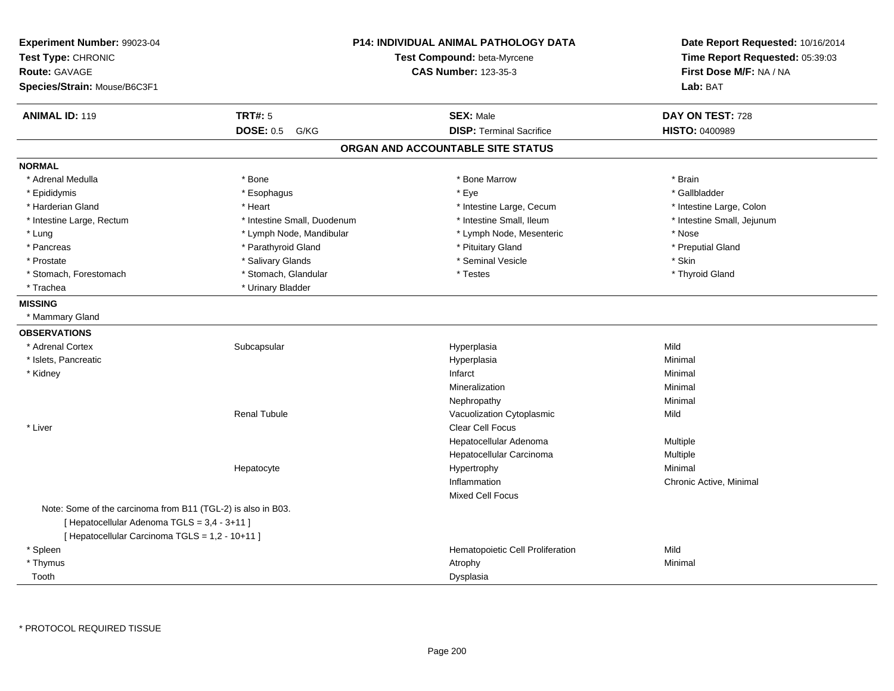| Experiment Number: 99023-04<br>Test Type: CHRONIC<br><b>Route: GAVAGE</b><br>Species/Strain: Mouse/B6C3F1 |                             | <b>P14: INDIVIDUAL ANIMAL PATHOLOGY DATA</b><br>Test Compound: beta-Myrcene<br><b>CAS Number: 123-35-3</b> | Date Report Requested: 10/16/2014<br>Time Report Requested: 05:39:03<br>First Dose M/F: NA / NA<br>Lab: BAT |
|-----------------------------------------------------------------------------------------------------------|-----------------------------|------------------------------------------------------------------------------------------------------------|-------------------------------------------------------------------------------------------------------------|
| <b>ANIMAL ID: 119</b>                                                                                     | <b>TRT#: 5</b>              | <b>SEX: Male</b>                                                                                           | DAY ON TEST: 728                                                                                            |
|                                                                                                           | <b>DOSE: 0.5</b><br>G/KG    | <b>DISP: Terminal Sacrifice</b>                                                                            | HISTO: 0400989                                                                                              |
|                                                                                                           |                             | ORGAN AND ACCOUNTABLE SITE STATUS                                                                          |                                                                                                             |
| <b>NORMAL</b>                                                                                             |                             |                                                                                                            |                                                                                                             |
| * Adrenal Medulla                                                                                         | * Bone                      | * Bone Marrow                                                                                              | * Brain                                                                                                     |
| * Epididymis                                                                                              | * Esophagus                 | * Eye                                                                                                      | * Gallbladder                                                                                               |
| * Harderian Gland                                                                                         | * Heart                     | * Intestine Large, Cecum                                                                                   | * Intestine Large, Colon                                                                                    |
| * Intestine Large, Rectum                                                                                 | * Intestine Small, Duodenum | * Intestine Small, Ileum                                                                                   | * Intestine Small, Jejunum                                                                                  |
| * Lung                                                                                                    | * Lymph Node, Mandibular    | * Lymph Node, Mesenteric                                                                                   | * Nose                                                                                                      |
| * Pancreas                                                                                                | * Parathyroid Gland         | * Pituitary Gland                                                                                          | * Preputial Gland                                                                                           |
| * Prostate                                                                                                | * Salivary Glands           | * Seminal Vesicle                                                                                          | * Skin                                                                                                      |
| * Stomach, Forestomach                                                                                    | * Stomach, Glandular        | * Testes                                                                                                   | * Thyroid Gland                                                                                             |
| * Trachea                                                                                                 | * Urinary Bladder           |                                                                                                            |                                                                                                             |
| <b>MISSING</b>                                                                                            |                             |                                                                                                            |                                                                                                             |
| * Mammary Gland                                                                                           |                             |                                                                                                            |                                                                                                             |
| <b>OBSERVATIONS</b>                                                                                       |                             |                                                                                                            |                                                                                                             |
| * Adrenal Cortex                                                                                          | Subcapsular                 | Hyperplasia                                                                                                | Mild                                                                                                        |
| * Islets, Pancreatic                                                                                      |                             | Hyperplasia                                                                                                | Minimal                                                                                                     |
| * Kidney                                                                                                  |                             | Infarct                                                                                                    | Minimal                                                                                                     |
|                                                                                                           |                             | Mineralization                                                                                             | Minimal                                                                                                     |
|                                                                                                           |                             | Nephropathy                                                                                                | Minimal                                                                                                     |
|                                                                                                           | <b>Renal Tubule</b>         | Vacuolization Cytoplasmic                                                                                  | Mild                                                                                                        |
| * Liver                                                                                                   |                             | Clear Cell Focus                                                                                           |                                                                                                             |
|                                                                                                           |                             | Hepatocellular Adenoma                                                                                     | Multiple                                                                                                    |
|                                                                                                           |                             | Hepatocellular Carcinoma                                                                                   | Multiple                                                                                                    |
|                                                                                                           | Hepatocyte                  | Hypertrophy                                                                                                | Minimal                                                                                                     |
|                                                                                                           |                             | Inflammation                                                                                               | Chronic Active, Minimal                                                                                     |
|                                                                                                           |                             | <b>Mixed Cell Focus</b>                                                                                    |                                                                                                             |
| Note: Some of the carcinoma from B11 (TGL-2) is also in B03.                                              |                             |                                                                                                            |                                                                                                             |
| [ Hepatocellular Adenoma TGLS = 3,4 - 3+11 ]                                                              |                             |                                                                                                            |                                                                                                             |
| [ Hepatocellular Carcinoma TGLS = 1,2 - 10+11 ]                                                           |                             |                                                                                                            |                                                                                                             |
| * Spleen                                                                                                  |                             | Hematopoietic Cell Proliferation                                                                           | Mild                                                                                                        |
| * Thymus                                                                                                  |                             | Atrophy                                                                                                    | Minimal                                                                                                     |
| Tooth                                                                                                     |                             | Dysplasia                                                                                                  |                                                                                                             |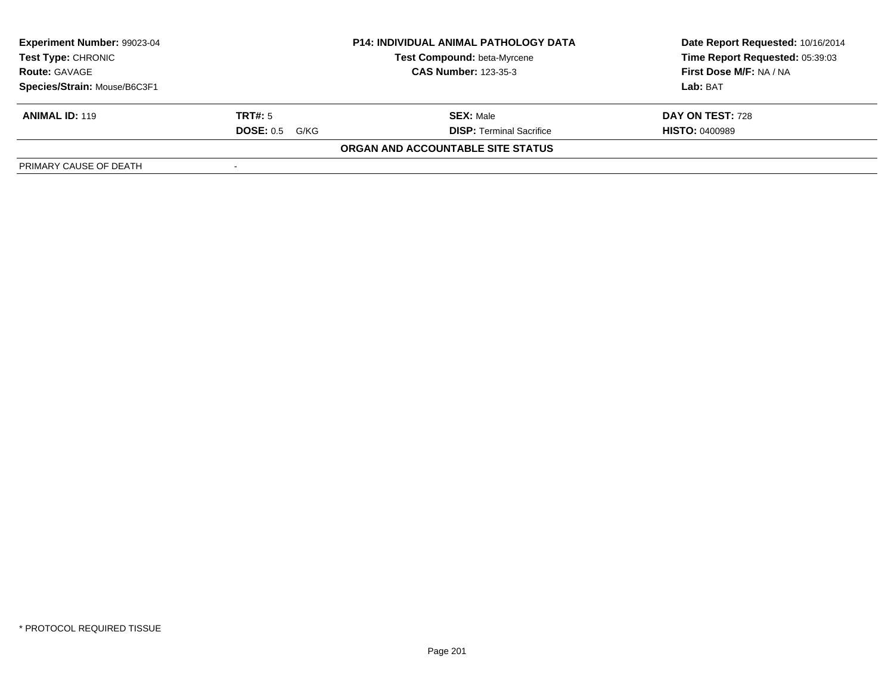| Experiment Number: 99023-04<br><b>Test Type: CHRONIC</b><br><b>Route: GAVAGE</b> |                          | <b>P14: INDIVIDUAL ANIMAL PATHOLOGY DATA</b> | Date Report Requested: 10/16/2014 |  |
|----------------------------------------------------------------------------------|--------------------------|----------------------------------------------|-----------------------------------|--|
|                                                                                  |                          | <b>Test Compound: beta-Myrcene</b>           | Time Report Requested: 05:39:03   |  |
|                                                                                  |                          | <b>CAS Number: 123-35-3</b>                  | First Dose M/F: NA / NA           |  |
| Species/Strain: Mouse/B6C3F1                                                     |                          |                                              | Lab: BAT                          |  |
| <b>ANIMAL ID: 119</b>                                                            | TRT#: 5                  | <b>SEX: Male</b>                             | DAY ON TEST: 728                  |  |
|                                                                                  | <b>DOSE: 0.5</b><br>G/KG | <b>DISP: Terminal Sacrifice</b>              | <b>HISTO: 0400989</b>             |  |
|                                                                                  |                          | ORGAN AND ACCOUNTABLE SITE STATUS            |                                   |  |
| PRIMARY CAUSE OF DEATH                                                           |                          |                                              |                                   |  |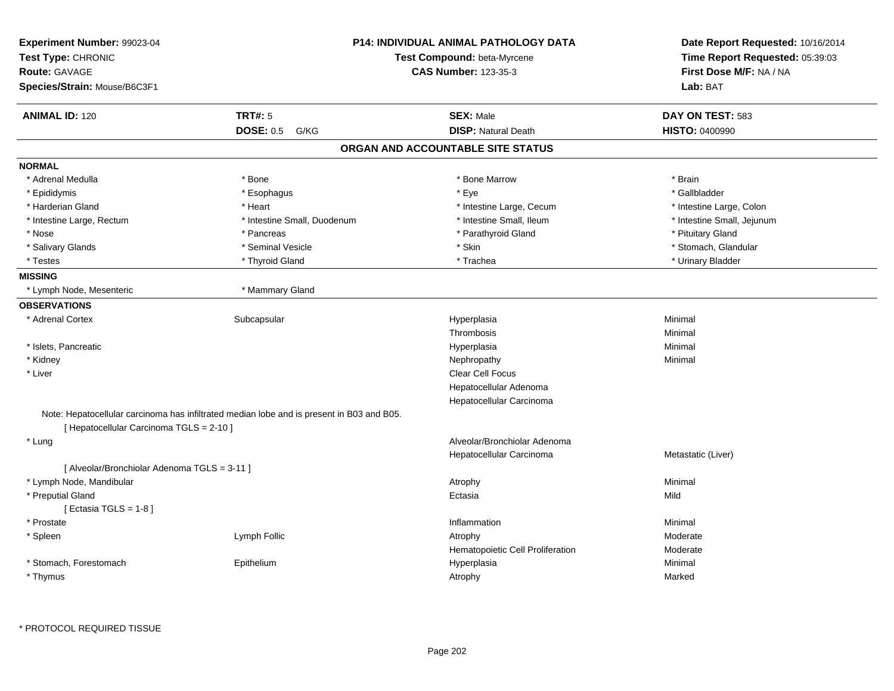| Experiment Number: 99023-04<br>Test Type: CHRONIC<br><b>Route: GAVAGE</b><br>Species/Strain: Mouse/B6C3F1 | <b>P14: INDIVIDUAL ANIMAL PATHOLOGY DATA</b><br>Test Compound: beta-Myrcene<br><b>CAS Number: 123-35-3</b> |                                   | Date Report Requested: 10/16/2014<br>Time Report Requested: 05:39:03<br>First Dose M/F: NA / NA<br>Lab: BAT |  |
|-----------------------------------------------------------------------------------------------------------|------------------------------------------------------------------------------------------------------------|-----------------------------------|-------------------------------------------------------------------------------------------------------------|--|
| <b>ANIMAL ID: 120</b>                                                                                     | <b>TRT#: 5</b>                                                                                             | <b>SEX: Male</b>                  | DAY ON TEST: 583                                                                                            |  |
|                                                                                                           | <b>DOSE: 0.5</b><br>G/KG                                                                                   | <b>DISP: Natural Death</b>        | <b>HISTO: 0400990</b>                                                                                       |  |
|                                                                                                           |                                                                                                            | ORGAN AND ACCOUNTABLE SITE STATUS |                                                                                                             |  |
| <b>NORMAL</b>                                                                                             |                                                                                                            |                                   |                                                                                                             |  |
| * Adrenal Medulla                                                                                         | * Bone                                                                                                     | * Bone Marrow                     | * Brain                                                                                                     |  |
| * Epididymis                                                                                              | * Esophagus                                                                                                | * Eye                             | * Gallbladder                                                                                               |  |
| * Harderian Gland                                                                                         | * Heart                                                                                                    | * Intestine Large, Cecum          | * Intestine Large, Colon                                                                                    |  |
| * Intestine Large, Rectum                                                                                 | * Intestine Small, Duodenum                                                                                | * Intestine Small, Ileum          | * Intestine Small, Jejunum                                                                                  |  |
| * Nose                                                                                                    | * Pancreas                                                                                                 | * Parathyroid Gland               | * Pituitary Gland                                                                                           |  |
| * Salivary Glands                                                                                         | * Seminal Vesicle                                                                                          | * Skin                            | * Stomach, Glandular                                                                                        |  |
| * Testes                                                                                                  | * Thyroid Gland                                                                                            | * Trachea                         | * Urinary Bladder                                                                                           |  |
| <b>MISSING</b>                                                                                            |                                                                                                            |                                   |                                                                                                             |  |
| * Lymph Node, Mesenteric                                                                                  | * Mammary Gland                                                                                            |                                   |                                                                                                             |  |
| <b>OBSERVATIONS</b>                                                                                       |                                                                                                            |                                   |                                                                                                             |  |
| * Adrenal Cortex                                                                                          | Subcapsular                                                                                                | Hyperplasia                       | Minimal                                                                                                     |  |
|                                                                                                           |                                                                                                            | Thrombosis                        | Minimal                                                                                                     |  |
| * Islets, Pancreatic                                                                                      |                                                                                                            | Hyperplasia                       | Minimal                                                                                                     |  |
| * Kidney                                                                                                  |                                                                                                            | Nephropathy                       | Minimal                                                                                                     |  |
| * Liver                                                                                                   |                                                                                                            | Clear Cell Focus                  |                                                                                                             |  |
|                                                                                                           |                                                                                                            | Hepatocellular Adenoma            |                                                                                                             |  |
|                                                                                                           |                                                                                                            | Hepatocellular Carcinoma          |                                                                                                             |  |
| [ Hepatocellular Carcinoma TGLS = 2-10 ]                                                                  | Note: Hepatocellular carcinoma has infiltrated median lobe and is present in B03 and B05.                  |                                   |                                                                                                             |  |
| * Lung                                                                                                    |                                                                                                            | Alveolar/Bronchiolar Adenoma      |                                                                                                             |  |
|                                                                                                           |                                                                                                            | Hepatocellular Carcinoma          | Metastatic (Liver)                                                                                          |  |
| [ Alveolar/Bronchiolar Adenoma TGLS = 3-11 ]                                                              |                                                                                                            |                                   |                                                                                                             |  |
| * Lymph Node, Mandibular                                                                                  |                                                                                                            | Atrophy                           | Minimal                                                                                                     |  |
| * Preputial Gland                                                                                         |                                                                                                            | Ectasia                           | Mild                                                                                                        |  |
| [ Ectasia TGLS = $1-8$ ]                                                                                  |                                                                                                            |                                   |                                                                                                             |  |
| * Prostate                                                                                                |                                                                                                            | Inflammation                      | Minimal                                                                                                     |  |
| * Spleen                                                                                                  | Lymph Follic                                                                                               | Atrophy                           | Moderate                                                                                                    |  |
|                                                                                                           |                                                                                                            | Hematopoietic Cell Proliferation  | Moderate                                                                                                    |  |
| * Stomach, Forestomach                                                                                    | Epithelium                                                                                                 | Hyperplasia                       | Minimal                                                                                                     |  |
| * Thymus                                                                                                  |                                                                                                            | Atrophy                           |                                                                                                             |  |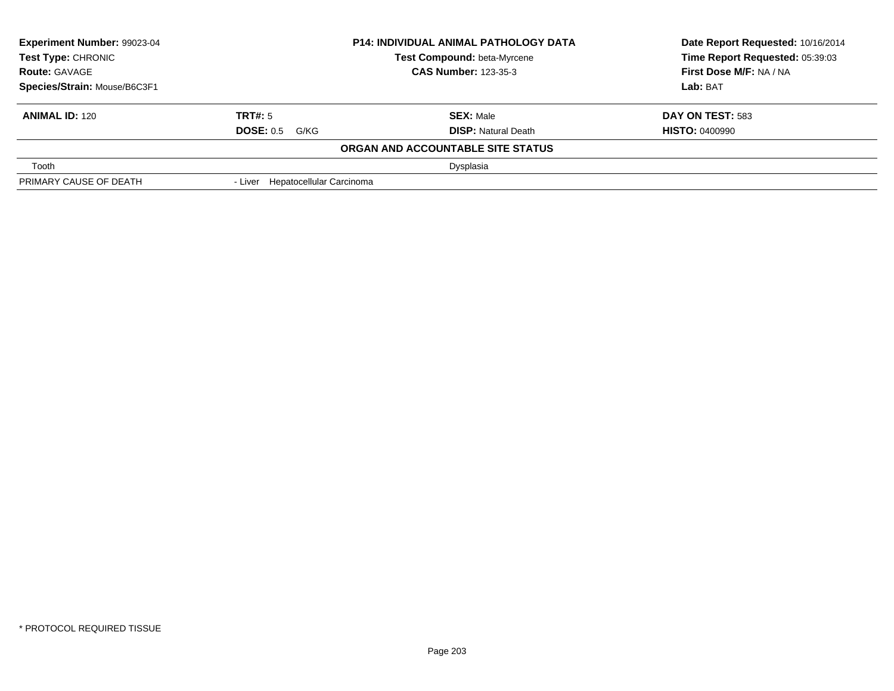| Experiment Number: 99023-04<br><b>P14: INDIVIDUAL ANIMAL PATHOLOGY DATA</b><br><b>Test Type: CHRONIC</b><br><b>Test Compound: beta-Myrcene</b><br><b>CAS Number: 123-35-3</b><br><b>Route: GAVAGE</b> |                                  |                                   | Date Report Requested: 10/16/2014<br>Time Report Requested: 05:39:03 |  |
|-------------------------------------------------------------------------------------------------------------------------------------------------------------------------------------------------------|----------------------------------|-----------------------------------|----------------------------------------------------------------------|--|
|                                                                                                                                                                                                       |                                  |                                   |                                                                      |  |
|                                                                                                                                                                                                       |                                  |                                   | First Dose M/F: NA / NA                                              |  |
| Species/Strain: Mouse/B6C3F1                                                                                                                                                                          |                                  |                                   | Lab: BAT                                                             |  |
| <b>ANIMAL ID: 120</b>                                                                                                                                                                                 | TRT#: 5                          | <b>SEX: Male</b>                  | <b>DAY ON TEST: 583</b>                                              |  |
|                                                                                                                                                                                                       | <b>DOSE: 0.5 G/KG</b>            | <b>DISP: Natural Death</b>        | <b>HISTO: 0400990</b>                                                |  |
|                                                                                                                                                                                                       |                                  | ORGAN AND ACCOUNTABLE SITE STATUS |                                                                      |  |
| Tooth                                                                                                                                                                                                 |                                  | Dysplasia                         |                                                                      |  |
| PRIMARY CAUSE OF DEATH                                                                                                                                                                                | - Liver Hepatocellular Carcinoma |                                   |                                                                      |  |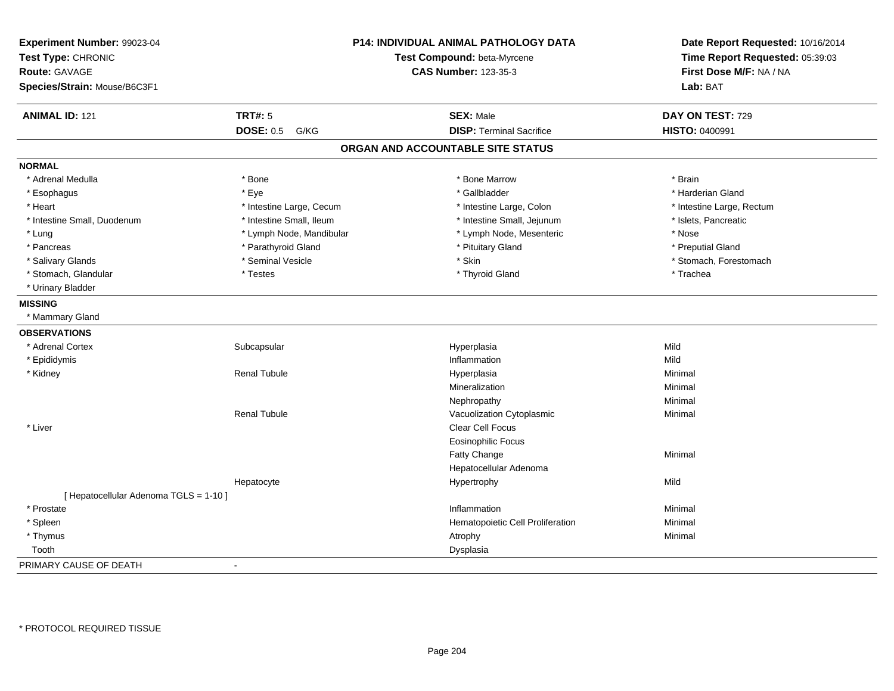| Experiment Number: 99023-04<br>Test Type: CHRONIC<br>Route: GAVAGE |                          | P14: INDIVIDUAL ANIMAL PATHOLOGY DATA<br>Test Compound: beta-Myrcene<br><b>CAS Number: 123-35-3</b> | Date Report Requested: 10/16/2014<br>Time Report Requested: 05:39:03<br>First Dose M/F: NA / NA |
|--------------------------------------------------------------------|--------------------------|-----------------------------------------------------------------------------------------------------|-------------------------------------------------------------------------------------------------|
| Species/Strain: Mouse/B6C3F1                                       |                          |                                                                                                     | Lab: BAT                                                                                        |
| <b>ANIMAL ID: 121</b>                                              | <b>TRT#: 5</b>           | <b>SEX: Male</b>                                                                                    | DAY ON TEST: 729                                                                                |
|                                                                    | <b>DOSE: 0.5</b><br>G/KG | <b>DISP: Terminal Sacrifice</b>                                                                     | HISTO: 0400991                                                                                  |
|                                                                    |                          | ORGAN AND ACCOUNTABLE SITE STATUS                                                                   |                                                                                                 |
| <b>NORMAL</b>                                                      |                          |                                                                                                     |                                                                                                 |
| * Adrenal Medulla                                                  | * Bone                   | * Bone Marrow                                                                                       | * Brain                                                                                         |
| * Esophagus                                                        | * Eye                    | * Gallbladder                                                                                       | * Harderian Gland                                                                               |
| * Heart                                                            | * Intestine Large, Cecum | * Intestine Large, Colon                                                                            | * Intestine Large, Rectum                                                                       |
| * Intestine Small, Duodenum                                        | * Intestine Small, Ileum | * Intestine Small, Jejunum                                                                          | * Islets, Pancreatic                                                                            |
| * Lung                                                             | * Lymph Node, Mandibular | * Lymph Node, Mesenteric                                                                            | * Nose                                                                                          |
| * Pancreas                                                         | * Parathyroid Gland      | * Pituitary Gland                                                                                   | * Preputial Gland                                                                               |
| * Salivary Glands                                                  | * Seminal Vesicle        | * Skin                                                                                              | * Stomach, Forestomach                                                                          |
| * Stomach, Glandular                                               | * Testes                 | * Thyroid Gland                                                                                     | * Trachea                                                                                       |
| * Urinary Bladder                                                  |                          |                                                                                                     |                                                                                                 |
| <b>MISSING</b>                                                     |                          |                                                                                                     |                                                                                                 |
| * Mammary Gland                                                    |                          |                                                                                                     |                                                                                                 |
| <b>OBSERVATIONS</b>                                                |                          |                                                                                                     |                                                                                                 |
| * Adrenal Cortex                                                   | Subcapsular              | Hyperplasia                                                                                         | Mild                                                                                            |
| * Epididymis                                                       |                          | Inflammation                                                                                        | Mild                                                                                            |
| * Kidney                                                           | <b>Renal Tubule</b>      | Hyperplasia                                                                                         | Minimal                                                                                         |
|                                                                    |                          | Mineralization                                                                                      | Minimal                                                                                         |
|                                                                    |                          | Nephropathy                                                                                         | Minimal                                                                                         |
|                                                                    | <b>Renal Tubule</b>      | Vacuolization Cytoplasmic                                                                           | Minimal                                                                                         |
| * Liver                                                            |                          | Clear Cell Focus                                                                                    |                                                                                                 |
|                                                                    |                          | <b>Eosinophilic Focus</b>                                                                           |                                                                                                 |
|                                                                    |                          | Fatty Change                                                                                        | Minimal                                                                                         |
|                                                                    |                          | Hepatocellular Adenoma                                                                              |                                                                                                 |
|                                                                    | Hepatocyte               | Hypertrophy                                                                                         | Mild                                                                                            |
| [ Hepatocellular Adenoma TGLS = 1-10 ]                             |                          |                                                                                                     |                                                                                                 |
| * Prostate                                                         |                          | Inflammation                                                                                        | Minimal                                                                                         |
| * Spleen                                                           |                          | Hematopoietic Cell Proliferation                                                                    | Minimal                                                                                         |
| * Thymus                                                           |                          | Atrophy                                                                                             | Minimal                                                                                         |
| Tooth                                                              |                          | Dysplasia                                                                                           |                                                                                                 |
| PRIMARY CAUSE OF DEATH                                             | $\blacksquare$           |                                                                                                     |                                                                                                 |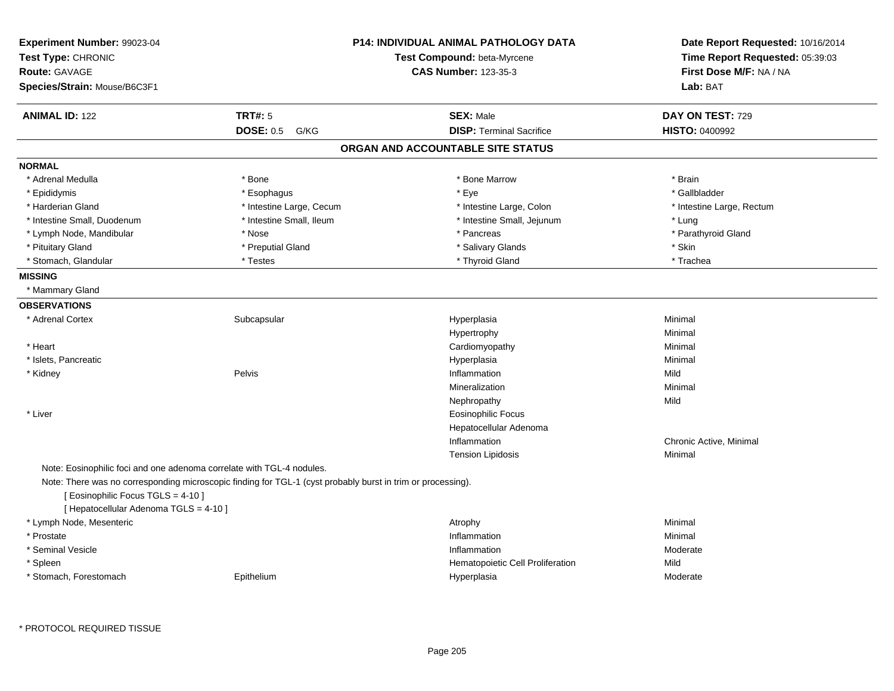| <b>Experiment Number: 99023-04</b><br>Test Type: CHRONIC<br><b>Route: GAVAGE</b><br>Species/Strain: Mouse/B6C3F1 | <b>P14: INDIVIDUAL ANIMAL PATHOLOGY DATA</b><br>Test Compound: beta-Myrcene<br><b>CAS Number: 123-35-3</b>  |                                   | Date Report Requested: 10/16/2014<br>Time Report Requested: 05:39:03<br>First Dose M/F: NA / NA<br>Lab: BAT |  |
|------------------------------------------------------------------------------------------------------------------|-------------------------------------------------------------------------------------------------------------|-----------------------------------|-------------------------------------------------------------------------------------------------------------|--|
| <b>ANIMAL ID: 122</b>                                                                                            | <b>TRT#: 5</b>                                                                                              | <b>SEX: Male</b>                  | DAY ON TEST: 729                                                                                            |  |
|                                                                                                                  | <b>DOSE: 0.5</b><br>G/KG                                                                                    | <b>DISP: Terminal Sacrifice</b>   | <b>HISTO: 0400992</b>                                                                                       |  |
|                                                                                                                  |                                                                                                             | ORGAN AND ACCOUNTABLE SITE STATUS |                                                                                                             |  |
| <b>NORMAL</b>                                                                                                    |                                                                                                             |                                   |                                                                                                             |  |
| * Adrenal Medulla                                                                                                | * Bone                                                                                                      | * Bone Marrow                     | * Brain                                                                                                     |  |
| * Epididymis                                                                                                     | * Esophagus                                                                                                 | * Eye                             | * Gallbladder                                                                                               |  |
| * Harderian Gland                                                                                                | * Intestine Large, Cecum                                                                                    | * Intestine Large, Colon          | * Intestine Large, Rectum                                                                                   |  |
| * Intestine Small, Duodenum                                                                                      | * Intestine Small, Ileum                                                                                    | * Intestine Small, Jejunum        | * Lung                                                                                                      |  |
| * Lymph Node, Mandibular                                                                                         | * Nose                                                                                                      | * Pancreas                        | * Parathyroid Gland                                                                                         |  |
| * Pituitary Gland                                                                                                | * Preputial Gland                                                                                           | * Salivary Glands                 | * Skin                                                                                                      |  |
| * Stomach, Glandular                                                                                             | * Testes                                                                                                    | * Thyroid Gland                   | * Trachea                                                                                                   |  |
| <b>MISSING</b>                                                                                                   |                                                                                                             |                                   |                                                                                                             |  |
| * Mammary Gland                                                                                                  |                                                                                                             |                                   |                                                                                                             |  |
| <b>OBSERVATIONS</b>                                                                                              |                                                                                                             |                                   |                                                                                                             |  |
| * Adrenal Cortex                                                                                                 | Subcapsular                                                                                                 | Hyperplasia                       | Minimal                                                                                                     |  |
|                                                                                                                  |                                                                                                             | Hypertrophy                       | Minimal                                                                                                     |  |
| * Heart                                                                                                          |                                                                                                             | Cardiomyopathy                    | Minimal                                                                                                     |  |
| * Islets, Pancreatic                                                                                             |                                                                                                             | Hyperplasia                       | Minimal                                                                                                     |  |
| * Kidney                                                                                                         | Pelvis                                                                                                      | Inflammation                      | Mild                                                                                                        |  |
|                                                                                                                  |                                                                                                             | Mineralization                    | Minimal                                                                                                     |  |
|                                                                                                                  |                                                                                                             | Nephropathy                       | Mild                                                                                                        |  |
| * Liver                                                                                                          |                                                                                                             | <b>Eosinophilic Focus</b>         |                                                                                                             |  |
|                                                                                                                  |                                                                                                             | Hepatocellular Adenoma            |                                                                                                             |  |
|                                                                                                                  |                                                                                                             | Inflammation                      | Chronic Active, Minimal                                                                                     |  |
|                                                                                                                  |                                                                                                             | <b>Tension Lipidosis</b>          | Minimal                                                                                                     |  |
| Note: Eosinophilic foci and one adenoma correlate with TGL-4 nodules.                                            |                                                                                                             |                                   |                                                                                                             |  |
| [ Eosinophilic Focus TGLS = 4-10 ]<br>[ Hepatocellular Adenoma TGLS = 4-10 ]                                     | Note: There was no corresponding microscopic finding for TGL-1 (cyst probably burst in trim or processing). |                                   |                                                                                                             |  |
| * Lymph Node, Mesenteric                                                                                         |                                                                                                             | Atrophy                           | Minimal                                                                                                     |  |
| * Prostate                                                                                                       |                                                                                                             | Inflammation                      | Minimal                                                                                                     |  |
| * Seminal Vesicle                                                                                                |                                                                                                             | Inflammation                      | Moderate                                                                                                    |  |
| * Spleen                                                                                                         |                                                                                                             | Hematopoietic Cell Proliferation  | Mild                                                                                                        |  |
| * Stomach, Forestomach                                                                                           | Epithelium                                                                                                  | Hyperplasia                       | Moderate                                                                                                    |  |
|                                                                                                                  |                                                                                                             |                                   |                                                                                                             |  |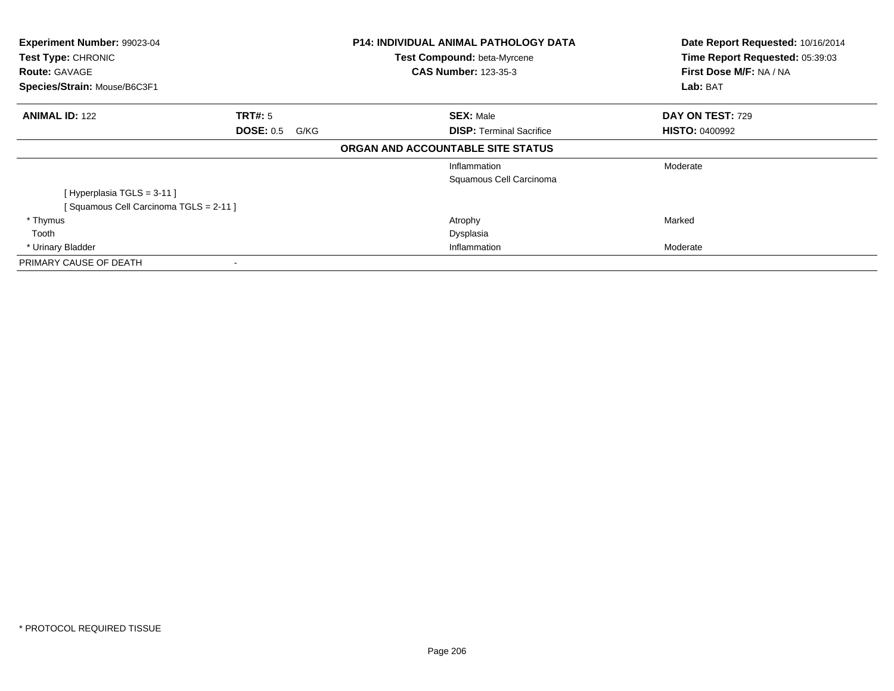| Experiment Number: 99023-04<br>Test Type: CHRONIC<br><b>Route: GAVAGE</b><br>Species/Strain: Mouse/B6C3F1 |                          | <b>P14: INDIVIDUAL ANIMAL PATHOLOGY DATA</b><br>Test Compound: beta-Myrcene<br><b>CAS Number: 123-35-3</b> | Date Report Requested: 10/16/2014<br>Time Report Requested: 05:39:03<br>First Dose M/F: NA / NA<br>Lab: BAT |
|-----------------------------------------------------------------------------------------------------------|--------------------------|------------------------------------------------------------------------------------------------------------|-------------------------------------------------------------------------------------------------------------|
| <b>ANIMAL ID: 122</b>                                                                                     | <b>TRT#: 5</b>           | <b>SEX: Male</b>                                                                                           | DAY ON TEST: 729                                                                                            |
|                                                                                                           | <b>DOSE: 0.5</b><br>G/KG | <b>DISP: Terminal Sacrifice</b>                                                                            | <b>HISTO: 0400992</b>                                                                                       |
|                                                                                                           |                          | ORGAN AND ACCOUNTABLE SITE STATUS                                                                          |                                                                                                             |
|                                                                                                           |                          | Inflammation                                                                                               | Moderate                                                                                                    |
|                                                                                                           |                          | Squamous Cell Carcinoma                                                                                    |                                                                                                             |
| [Hyperplasia TGLS = 3-11]                                                                                 |                          |                                                                                                            |                                                                                                             |
| [Squamous Cell Carcinoma TGLS = 2-11]                                                                     |                          |                                                                                                            |                                                                                                             |
| * Thymus                                                                                                  |                          | Atrophy                                                                                                    | Marked                                                                                                      |
| Tooth                                                                                                     |                          | Dysplasia                                                                                                  |                                                                                                             |
| * Urinary Bladder                                                                                         |                          | Inflammation                                                                                               | Moderate                                                                                                    |
| PRIMARY CAUSE OF DEATH                                                                                    |                          |                                                                                                            |                                                                                                             |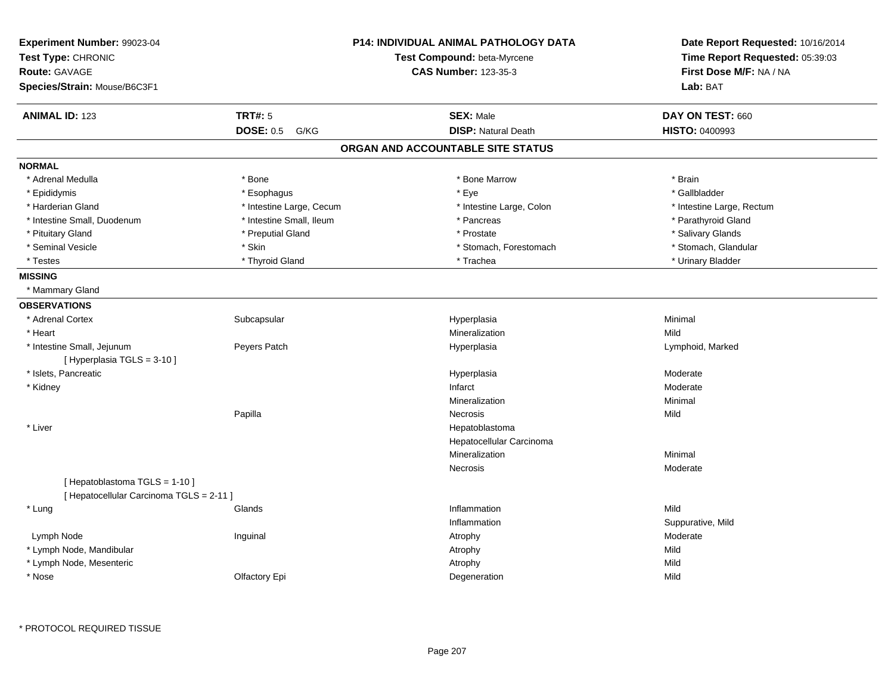| <b>P14: INDIVIDUAL ANIMAL PATHOLOGY DATA</b><br>Experiment Number: 99023-04<br>Test Type: CHRONIC<br>Route: GAVAGE<br>Species/Strain: Mouse/B6C3F1 |                          | Test Compound: beta-Myrcene<br><b>CAS Number: 123-35-3</b> | Date Report Requested: 10/16/2014<br>Time Report Requested: 05:39:03<br>First Dose M/F: NA / NA<br>Lab: BAT |
|----------------------------------------------------------------------------------------------------------------------------------------------------|--------------------------|------------------------------------------------------------|-------------------------------------------------------------------------------------------------------------|
| <b>ANIMAL ID: 123</b>                                                                                                                              | <b>TRT#: 5</b>           | <b>SEX: Male</b>                                           | DAY ON TEST: 660                                                                                            |
|                                                                                                                                                    | <b>DOSE: 0.5</b><br>G/KG | <b>DISP: Natural Death</b>                                 | <b>HISTO: 0400993</b>                                                                                       |
|                                                                                                                                                    |                          | ORGAN AND ACCOUNTABLE SITE STATUS                          |                                                                                                             |
| <b>NORMAL</b>                                                                                                                                      |                          |                                                            |                                                                                                             |
| * Adrenal Medulla                                                                                                                                  | * Bone                   | * Bone Marrow                                              | * Brain                                                                                                     |
| * Epididymis                                                                                                                                       | * Esophagus              | * Eye                                                      | * Gallbladder                                                                                               |
| * Harderian Gland                                                                                                                                  | * Intestine Large, Cecum | * Intestine Large, Colon                                   | * Intestine Large, Rectum                                                                                   |
| * Intestine Small, Duodenum                                                                                                                        | * Intestine Small, Ileum | * Pancreas                                                 | * Parathyroid Gland                                                                                         |
| * Pituitary Gland                                                                                                                                  | * Preputial Gland        | * Prostate                                                 | * Salivary Glands                                                                                           |
| * Seminal Vesicle                                                                                                                                  | * Skin                   | * Stomach, Forestomach                                     | * Stomach, Glandular                                                                                        |
| * Testes                                                                                                                                           | * Thyroid Gland          | * Trachea                                                  | * Urinary Bladder                                                                                           |
| <b>MISSING</b>                                                                                                                                     |                          |                                                            |                                                                                                             |
| * Mammary Gland                                                                                                                                    |                          |                                                            |                                                                                                             |
| <b>OBSERVATIONS</b>                                                                                                                                |                          |                                                            |                                                                                                             |
| * Adrenal Cortex                                                                                                                                   | Subcapsular              | Hyperplasia                                                | Minimal                                                                                                     |
| * Heart                                                                                                                                            |                          | Mineralization                                             | Mild                                                                                                        |
| * Intestine Small, Jejunum                                                                                                                         | Peyers Patch             | Hyperplasia                                                | Lymphoid, Marked                                                                                            |
| [ Hyperplasia TGLS = 3-10 ]                                                                                                                        |                          |                                                            |                                                                                                             |
| * Islets, Pancreatic                                                                                                                               |                          | Hyperplasia                                                | Moderate                                                                                                    |
| * Kidney                                                                                                                                           |                          | Infarct                                                    | Moderate                                                                                                    |
|                                                                                                                                                    |                          | Mineralization                                             | Minimal                                                                                                     |
|                                                                                                                                                    | Papilla                  | <b>Necrosis</b>                                            | Mild                                                                                                        |
| * Liver                                                                                                                                            |                          | Hepatoblastoma                                             |                                                                                                             |
|                                                                                                                                                    |                          | Hepatocellular Carcinoma                                   |                                                                                                             |
|                                                                                                                                                    |                          | Mineralization                                             | Minimal                                                                                                     |
|                                                                                                                                                    |                          | Necrosis                                                   | Moderate                                                                                                    |
| [Hepatoblastoma TGLS = 1-10]<br>[ Hepatocellular Carcinoma TGLS = 2-11 ]                                                                           |                          |                                                            |                                                                                                             |
| * Lung                                                                                                                                             | Glands                   | Inflammation                                               | Mild                                                                                                        |
|                                                                                                                                                    |                          | Inflammation                                               | Suppurative, Mild                                                                                           |
| Lymph Node                                                                                                                                         | Inguinal                 | Atrophy                                                    | Moderate                                                                                                    |
| * Lymph Node, Mandibular                                                                                                                           |                          | Atrophy                                                    | Mild                                                                                                        |
| * Lymph Node, Mesenteric                                                                                                                           |                          | Atrophy                                                    | Mild                                                                                                        |
| * Nose                                                                                                                                             | Olfactory Epi            | Degeneration                                               | Mild                                                                                                        |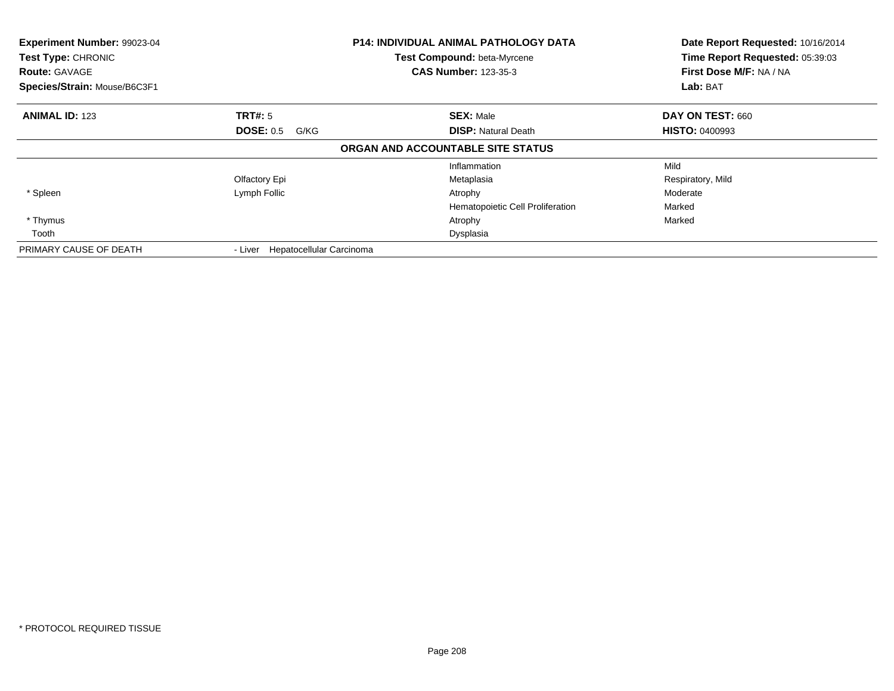| Experiment Number: 99023-04<br>Test Type: CHRONIC<br><b>Route: GAVAGE</b><br>Species/Strain: Mouse/B6C3F1 |                                     | <b>P14: INDIVIDUAL ANIMAL PATHOLOGY DATA</b><br>Test Compound: beta-Myrcene<br><b>CAS Number: 123-35-3</b> | Date Report Requested: 10/16/2014<br>Time Report Requested: 05:39:03<br>First Dose M/F: NA / NA<br>Lab: BAT |  |
|-----------------------------------------------------------------------------------------------------------|-------------------------------------|------------------------------------------------------------------------------------------------------------|-------------------------------------------------------------------------------------------------------------|--|
| <b>ANIMAL ID: 123</b>                                                                                     | <b>TRT#: 5</b>                      | <b>SEX: Male</b>                                                                                           | <b>DAY ON TEST: 660</b>                                                                                     |  |
|                                                                                                           | <b>DOSE: 0.5</b><br>G/KG            | <b>DISP:</b> Natural Death                                                                                 | <b>HISTO: 0400993</b>                                                                                       |  |
|                                                                                                           |                                     | ORGAN AND ACCOUNTABLE SITE STATUS                                                                          |                                                                                                             |  |
|                                                                                                           |                                     | Inflammation                                                                                               | Mild                                                                                                        |  |
|                                                                                                           | Olfactory Epi                       | Metaplasia                                                                                                 | Respiratory, Mild                                                                                           |  |
| * Spleen                                                                                                  | Lymph Follic                        | Atrophy                                                                                                    | Moderate                                                                                                    |  |
|                                                                                                           |                                     | Hematopoietic Cell Proliferation                                                                           | Marked                                                                                                      |  |
| * Thymus                                                                                                  |                                     | Atrophy                                                                                                    | Marked                                                                                                      |  |
| Tooth                                                                                                     |                                     | Dysplasia                                                                                                  |                                                                                                             |  |
| PRIMARY CAUSE OF DEATH                                                                                    | Hepatocellular Carcinoma<br>- Liver |                                                                                                            |                                                                                                             |  |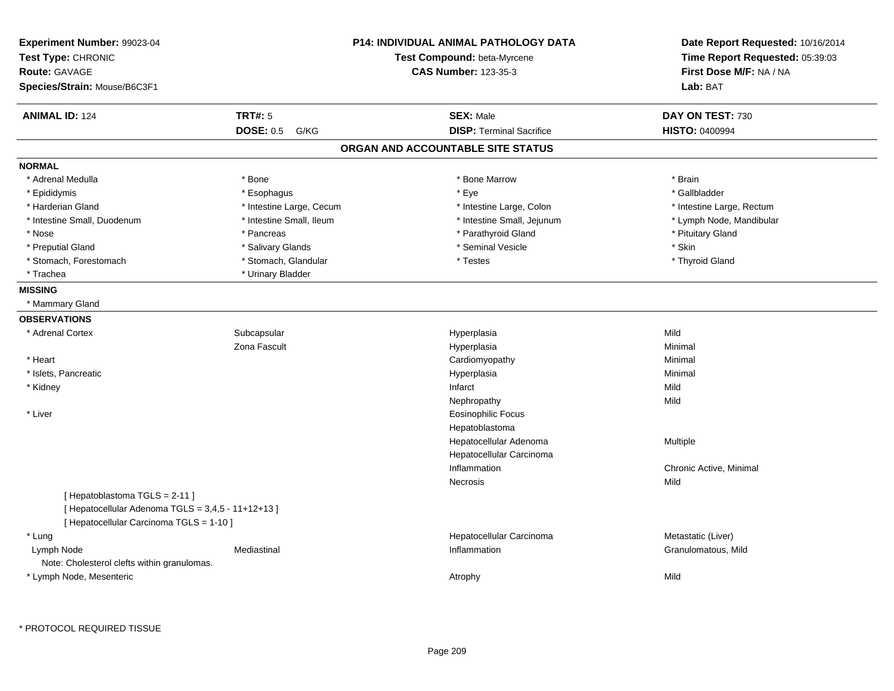| Experiment Number: 99023-04<br>Test Type: CHRONIC<br>Route: GAVAGE<br>Species/Strain: Mouse/B6C3F1                             |                          | <b>P14: INDIVIDUAL ANIMAL PATHOLOGY DATA</b><br>Test Compound: beta-Myrcene<br><b>CAS Number: 123-35-3</b> | Date Report Requested: 10/16/2014<br>Time Report Requested: 05:39:03<br>First Dose M/F: NA / NA<br>Lab: BAT |
|--------------------------------------------------------------------------------------------------------------------------------|--------------------------|------------------------------------------------------------------------------------------------------------|-------------------------------------------------------------------------------------------------------------|
| <b>ANIMAL ID: 124</b>                                                                                                          | <b>TRT#: 5</b>           | <b>SEX: Male</b>                                                                                           | DAY ON TEST: 730                                                                                            |
|                                                                                                                                | <b>DOSE: 0.5</b><br>G/KG | <b>DISP: Terminal Sacrifice</b>                                                                            | <b>HISTO: 0400994</b>                                                                                       |
|                                                                                                                                |                          | ORGAN AND ACCOUNTABLE SITE STATUS                                                                          |                                                                                                             |
| <b>NORMAL</b>                                                                                                                  |                          |                                                                                                            |                                                                                                             |
| * Adrenal Medulla                                                                                                              | * Bone                   | * Bone Marrow                                                                                              | * Brain                                                                                                     |
| * Epididymis                                                                                                                   | * Esophagus              | * Eye                                                                                                      | * Gallbladder                                                                                               |
| * Harderian Gland                                                                                                              | * Intestine Large, Cecum | * Intestine Large, Colon                                                                                   | * Intestine Large, Rectum                                                                                   |
| * Intestine Small, Duodenum                                                                                                    | * Intestine Small, Ileum | * Intestine Small, Jejunum                                                                                 | * Lymph Node, Mandibular                                                                                    |
| * Nose                                                                                                                         | * Pancreas               | * Parathyroid Gland                                                                                        | * Pituitary Gland                                                                                           |
| * Preputial Gland                                                                                                              | * Salivary Glands        | * Seminal Vesicle                                                                                          | * Skin                                                                                                      |
| * Stomach, Forestomach                                                                                                         | * Stomach, Glandular     | * Testes                                                                                                   | * Thyroid Gland                                                                                             |
| * Trachea                                                                                                                      | * Urinary Bladder        |                                                                                                            |                                                                                                             |
| <b>MISSING</b>                                                                                                                 |                          |                                                                                                            |                                                                                                             |
| * Mammary Gland                                                                                                                |                          |                                                                                                            |                                                                                                             |
| <b>OBSERVATIONS</b>                                                                                                            |                          |                                                                                                            |                                                                                                             |
| * Adrenal Cortex                                                                                                               | Subcapsular              | Hyperplasia                                                                                                | Mild                                                                                                        |
|                                                                                                                                | Zona Fascult             | Hyperplasia                                                                                                | Minimal                                                                                                     |
| * Heart                                                                                                                        |                          | Cardiomyopathy                                                                                             | Minimal                                                                                                     |
| * Islets, Pancreatic                                                                                                           |                          | Hyperplasia                                                                                                | Minimal                                                                                                     |
| * Kidney                                                                                                                       |                          | Infarct                                                                                                    | Mild                                                                                                        |
|                                                                                                                                |                          | Nephropathy                                                                                                | Mild                                                                                                        |
| * Liver                                                                                                                        |                          | <b>Eosinophilic Focus</b>                                                                                  |                                                                                                             |
|                                                                                                                                |                          | Hepatoblastoma                                                                                             |                                                                                                             |
|                                                                                                                                |                          | Hepatocellular Adenoma                                                                                     | Multiple                                                                                                    |
|                                                                                                                                |                          | Hepatocellular Carcinoma                                                                                   |                                                                                                             |
|                                                                                                                                |                          | Inflammation                                                                                               | Chronic Active, Minimal                                                                                     |
|                                                                                                                                |                          | Necrosis                                                                                                   | Mild                                                                                                        |
| [Hepatoblastoma TGLS = 2-11]<br>[ Hepatocellular Adenoma TGLS = 3,4,5 - 11+12+13 ]<br>[ Hepatocellular Carcinoma TGLS = 1-10 ] |                          |                                                                                                            |                                                                                                             |
| * Lung                                                                                                                         |                          | Hepatocellular Carcinoma                                                                                   | Metastatic (Liver)                                                                                          |
| Lymph Node                                                                                                                     | Mediastinal              | Inflammation                                                                                               | Granulomatous, Mild                                                                                         |
| Note: Cholesterol clefts within granulomas.                                                                                    |                          |                                                                                                            |                                                                                                             |
| * Lymph Node, Mesenteric                                                                                                       |                          | Atrophy                                                                                                    | Mild                                                                                                        |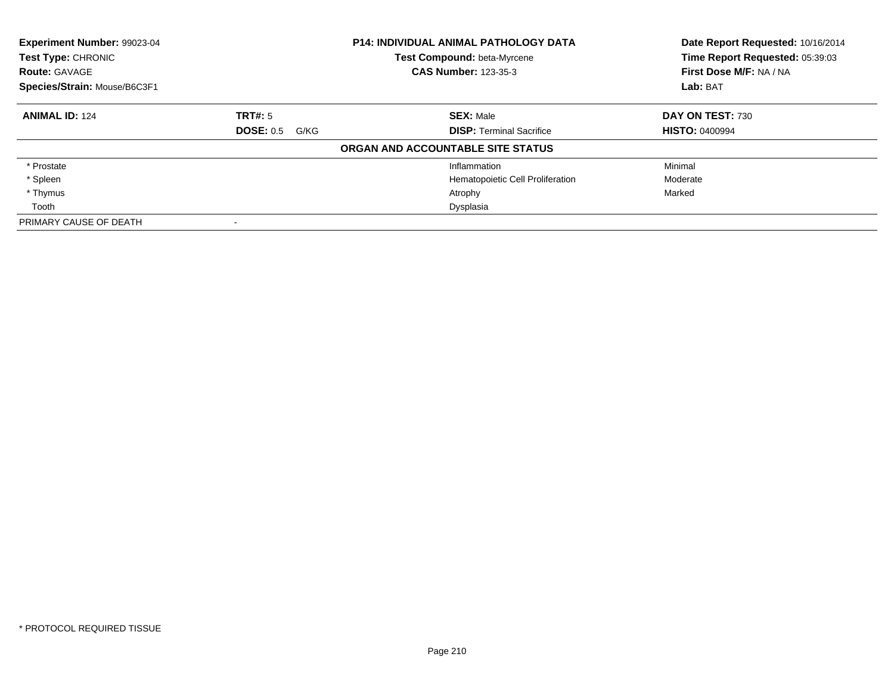| Experiment Number: 99023-04<br>Test Type: CHRONIC |                          | <b>P14: INDIVIDUAL ANIMAL PATHOLOGY DATA</b><br><b>Test Compound: beta-Myrcene</b> | Date Report Requested: 10/16/2014<br>Time Report Requested: 05:39:03 |
|---------------------------------------------------|--------------------------|------------------------------------------------------------------------------------|----------------------------------------------------------------------|
| <b>Route: GAVAGE</b>                              |                          | <b>CAS Number: 123-35-3</b>                                                        | First Dose M/F: NA / NA                                              |
| Species/Strain: Mouse/B6C3F1                      |                          |                                                                                    | Lab: BAT                                                             |
| <b>ANIMAL ID: 124</b>                             | TRT#: 5                  | <b>SEX: Male</b>                                                                   | DAY ON TEST: 730                                                     |
|                                                   | <b>DOSE: 0.5</b><br>G/KG | <b>DISP: Terminal Sacrifice</b>                                                    | <b>HISTO: 0400994</b>                                                |
|                                                   |                          | ORGAN AND ACCOUNTABLE SITE STATUS                                                  |                                                                      |
| * Prostate                                        |                          | Inflammation                                                                       | Minimal                                                              |
| * Spleen                                          |                          | Hematopoietic Cell Proliferation                                                   | Moderate                                                             |
| * Thymus                                          |                          | Atrophy                                                                            | Marked                                                               |
| Tooth                                             |                          | Dysplasia                                                                          |                                                                      |
| PRIMARY CAUSE OF DEATH                            |                          |                                                                                    |                                                                      |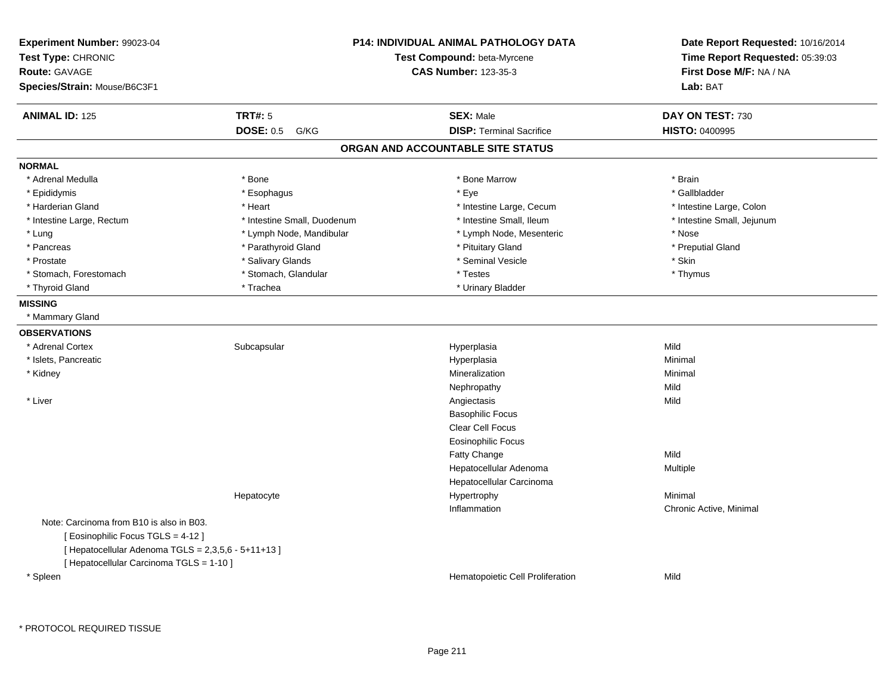| Experiment Number: 99023-04<br>Test Type: CHRONIC<br><b>Route: GAVAGE</b><br>Species/Strain: Mouse/B6C3F1 |                             | <b>P14: INDIVIDUAL ANIMAL PATHOLOGY DATA</b><br>Test Compound: beta-Myrcene<br><b>CAS Number: 123-35-3</b> |                            |
|-----------------------------------------------------------------------------------------------------------|-----------------------------|------------------------------------------------------------------------------------------------------------|----------------------------|
| <b>ANIMAL ID: 125</b>                                                                                     | <b>TRT#: 5</b>              | <b>SEX: Male</b>                                                                                           | DAY ON TEST: 730           |
|                                                                                                           | <b>DOSE: 0.5</b><br>G/KG    | <b>DISP: Terminal Sacrifice</b>                                                                            | <b>HISTO: 0400995</b>      |
|                                                                                                           |                             | ORGAN AND ACCOUNTABLE SITE STATUS                                                                          |                            |
| <b>NORMAL</b>                                                                                             |                             |                                                                                                            |                            |
| * Adrenal Medulla                                                                                         | * Bone                      | * Bone Marrow                                                                                              | * Brain                    |
| * Epididymis                                                                                              | * Esophagus                 | * Eye                                                                                                      | * Gallbladder              |
| * Harderian Gland                                                                                         | * Heart                     | * Intestine Large, Cecum                                                                                   | * Intestine Large, Colon   |
| * Intestine Large, Rectum                                                                                 | * Intestine Small, Duodenum | * Intestine Small, Ileum                                                                                   | * Intestine Small, Jejunum |
| * Lung                                                                                                    | * Lymph Node, Mandibular    | * Lymph Node, Mesenteric                                                                                   | * Nose                     |
| * Pancreas                                                                                                | * Parathyroid Gland         | * Pituitary Gland                                                                                          | * Preputial Gland          |
| * Prostate                                                                                                | * Salivary Glands           | * Seminal Vesicle                                                                                          | * Skin                     |
| * Stomach, Forestomach                                                                                    | * Stomach, Glandular        | * Testes                                                                                                   | * Thymus                   |
| * Thyroid Gland                                                                                           | * Trachea                   | * Urinary Bladder                                                                                          |                            |
| <b>MISSING</b>                                                                                            |                             |                                                                                                            |                            |
| * Mammary Gland                                                                                           |                             |                                                                                                            |                            |
| <b>OBSERVATIONS</b>                                                                                       |                             |                                                                                                            |                            |
| * Adrenal Cortex                                                                                          | Subcapsular                 | Hyperplasia                                                                                                | Mild                       |
| * Islets, Pancreatic                                                                                      |                             | Hyperplasia                                                                                                | Minimal                    |
| * Kidney                                                                                                  |                             | Mineralization                                                                                             | Minimal                    |
|                                                                                                           |                             | Nephropathy                                                                                                | Mild                       |
| * Liver                                                                                                   |                             | Angiectasis                                                                                                | Mild                       |
|                                                                                                           |                             | <b>Basophilic Focus</b>                                                                                    |                            |
|                                                                                                           |                             | <b>Clear Cell Focus</b>                                                                                    |                            |
|                                                                                                           |                             | <b>Eosinophilic Focus</b>                                                                                  |                            |
|                                                                                                           |                             | Fatty Change                                                                                               | Mild                       |
|                                                                                                           |                             | Hepatocellular Adenoma                                                                                     | Multiple                   |
|                                                                                                           |                             | Hepatocellular Carcinoma                                                                                   |                            |
|                                                                                                           | Hepatocyte                  | Hypertrophy                                                                                                | Minimal                    |
|                                                                                                           |                             | Inflammation                                                                                               | Chronic Active, Minimal    |
| Note: Carcinoma from B10 is also in B03.                                                                  |                             |                                                                                                            |                            |
| [ Eosinophilic Focus TGLS = 4-12 ]                                                                        |                             |                                                                                                            |                            |
| [ Hepatocellular Adenoma TGLS = 2,3,5,6 - 5+11+13 ]                                                       |                             |                                                                                                            |                            |
| [ Hepatocellular Carcinoma TGLS = 1-10 ]                                                                  |                             |                                                                                                            |                            |
| * Spleen                                                                                                  |                             | Hematopoietic Cell Proliferation                                                                           | Mild                       |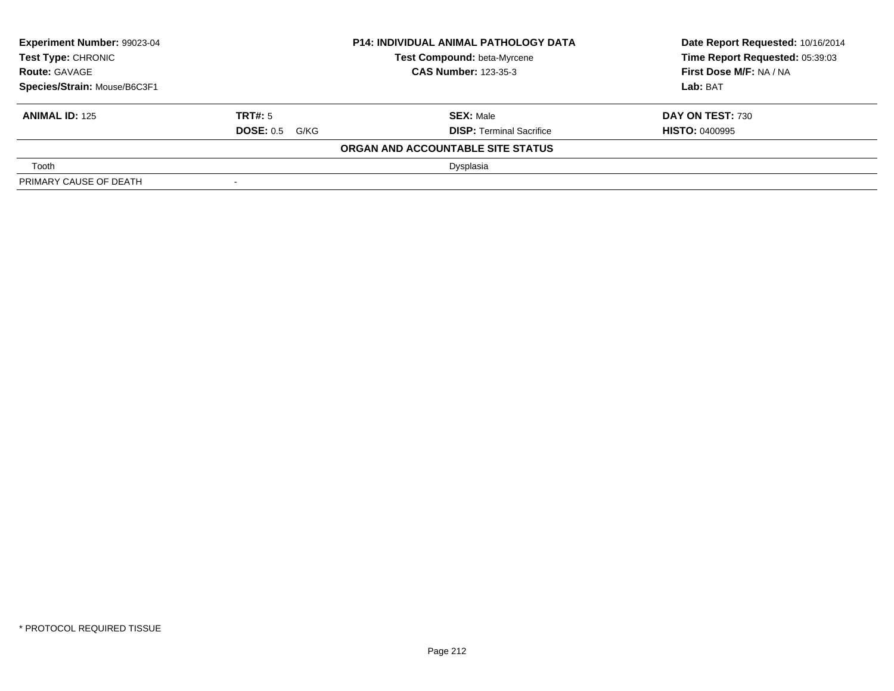| <b>Experiment Number: 99023-04</b><br>Test Type: CHRONIC<br><b>Route: GAVAGE</b> |                       | <b>P14: INDIVIDUAL ANIMAL PATHOLOGY DATA</b> | Date Report Requested: 10/16/2014 |
|----------------------------------------------------------------------------------|-----------------------|----------------------------------------------|-----------------------------------|
|                                                                                  |                       | Test Compound: beta-Myrcene                  | Time Report Requested: 05:39:03   |
|                                                                                  |                       | <b>CAS Number: 123-35-3</b>                  | <b>First Dose M/F: NA / NA</b>    |
| Species/Strain: Mouse/B6C3F1                                                     |                       |                                              | Lab: BAT                          |
| <b>ANIMAL ID: 125</b>                                                            | <b>TRT#:</b> 5        | <b>SEX: Male</b>                             | <b>DAY ON TEST: 730</b>           |
|                                                                                  | <b>DOSE:</b> 0.5 G/KG | <b>DISP: Terminal Sacrifice</b>              | <b>HISTO: 0400995</b>             |
|                                                                                  |                       | ORGAN AND ACCOUNTABLE SITE STATUS            |                                   |
| Tooth                                                                            |                       | Dysplasia                                    |                                   |
| PRIMARY CAUSE OF DEATH                                                           | $\,$                  |                                              |                                   |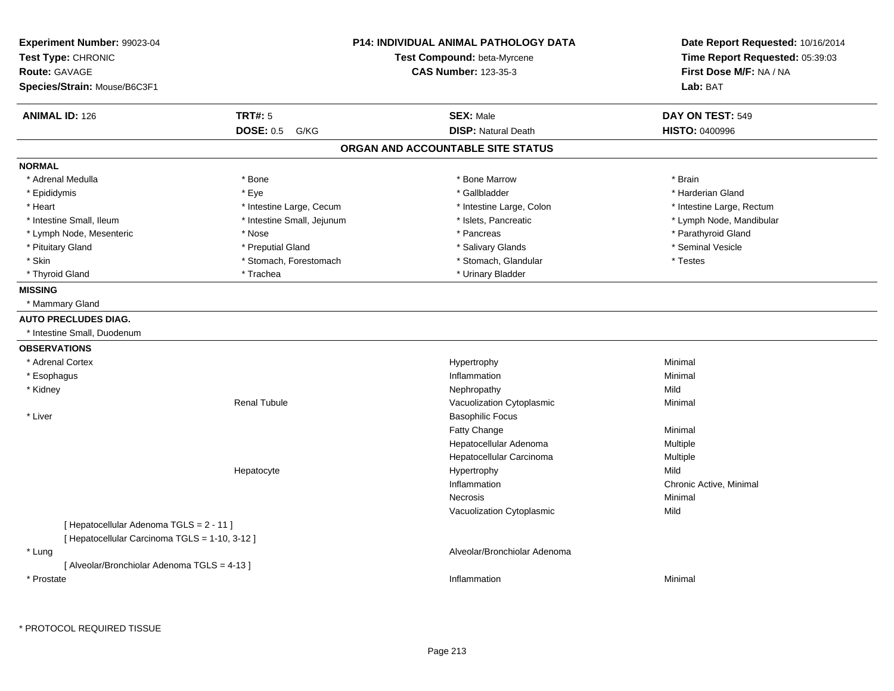| <b>Experiment Number: 99023-04</b>             |                            | <b>P14: INDIVIDUAL ANIMAL PATHOLOGY DATA</b> | Date Report Requested: 10/16/2014 |
|------------------------------------------------|----------------------------|----------------------------------------------|-----------------------------------|
| Test Type: CHRONIC                             |                            | Test Compound: beta-Myrcene                  | Time Report Requested: 05:39:03   |
| <b>Route: GAVAGE</b>                           |                            | <b>CAS Number: 123-35-3</b>                  | First Dose M/F: NA / NA           |
| Species/Strain: Mouse/B6C3F1                   |                            |                                              | Lab: BAT                          |
| <b>ANIMAL ID: 126</b>                          | <b>TRT#: 5</b>             | <b>SEX: Male</b>                             | DAY ON TEST: 549                  |
|                                                | <b>DOSE: 0.5 G/KG</b>      | <b>DISP: Natural Death</b>                   | <b>HISTO: 0400996</b>             |
|                                                |                            | ORGAN AND ACCOUNTABLE SITE STATUS            |                                   |
| <b>NORMAL</b>                                  |                            |                                              |                                   |
| * Adrenal Medulla                              | * Bone                     | * Bone Marrow                                | * Brain                           |
| * Epididymis                                   | * Eye                      | * Gallbladder                                | * Harderian Gland                 |
| * Heart                                        | * Intestine Large, Cecum   | * Intestine Large, Colon                     | * Intestine Large, Rectum         |
| * Intestine Small, Ileum                       | * Intestine Small, Jejunum | * Islets, Pancreatic                         | * Lymph Node, Mandibular          |
| * Lymph Node, Mesenteric                       | * Nose                     | * Pancreas                                   | * Parathyroid Gland               |
| * Pituitary Gland                              | * Preputial Gland          | * Salivary Glands                            | * Seminal Vesicle                 |
| * Skin                                         | * Stomach, Forestomach     | * Stomach, Glandular                         | * Testes                          |
| * Thyroid Gland                                | * Trachea                  | * Urinary Bladder                            |                                   |
| <b>MISSING</b>                                 |                            |                                              |                                   |
| * Mammary Gland                                |                            |                                              |                                   |
| <b>AUTO PRECLUDES DIAG.</b>                    |                            |                                              |                                   |
| * Intestine Small, Duodenum                    |                            |                                              |                                   |
| <b>OBSERVATIONS</b>                            |                            |                                              |                                   |
| * Adrenal Cortex                               |                            | Hypertrophy                                  | Minimal                           |
| * Esophagus                                    |                            | Inflammation                                 | Minimal                           |
| * Kidney                                       |                            | Nephropathy                                  | Mild                              |
|                                                | <b>Renal Tubule</b>        | Vacuolization Cytoplasmic                    | Minimal                           |
| * Liver                                        |                            | <b>Basophilic Focus</b>                      |                                   |
|                                                |                            | Fatty Change                                 | Minimal                           |
|                                                |                            | Hepatocellular Adenoma                       | Multiple                          |
|                                                |                            | Hepatocellular Carcinoma                     | Multiple                          |
|                                                | Hepatocyte                 | Hypertrophy                                  | Mild                              |
|                                                |                            | Inflammation                                 | Chronic Active, Minimal           |
|                                                |                            | Necrosis                                     | Minimal                           |
|                                                |                            | Vacuolization Cytoplasmic                    | Mild                              |
| [Hepatocellular Adenoma TGLS = 2 - 11]         |                            |                                              |                                   |
| [ Hepatocellular Carcinoma TGLS = 1-10, 3-12 ] |                            |                                              |                                   |
| * Lung                                         |                            | Alveolar/Bronchiolar Adenoma                 |                                   |
| [ Alveolar/Bronchiolar Adenoma TGLS = 4-13 ]   |                            |                                              |                                   |
| * Prostate                                     |                            | Inflammation                                 | Minimal                           |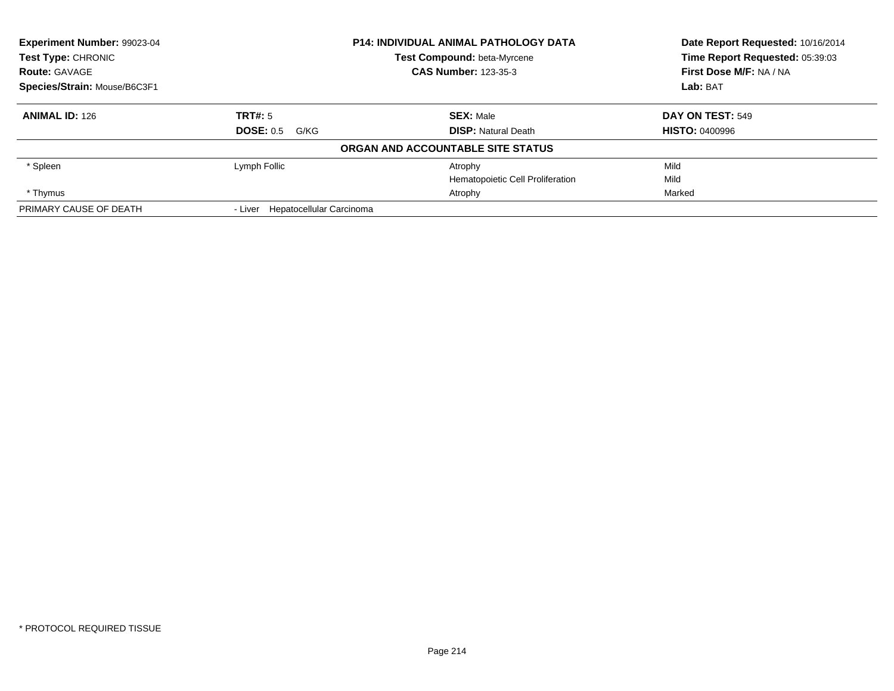| Experiment Number: 99023-04<br>Test Type: CHRONIC<br><b>Route: GAVAGE</b> |                                     | <b>P14: INDIVIDUAL ANIMAL PATHOLOGY DATA</b> | Date Report Requested: 10/16/2014<br>Time Report Requested: 05:39:03 |
|---------------------------------------------------------------------------|-------------------------------------|----------------------------------------------|----------------------------------------------------------------------|
|                                                                           |                                     | Test Compound: beta-Myrcene                  |                                                                      |
|                                                                           |                                     | <b>CAS Number: 123-35-3</b>                  | First Dose M/F: NA / NA                                              |
| Species/Strain: Mouse/B6C3F1                                              |                                     |                                              | Lab: BAT                                                             |
| <b>ANIMAL ID: 126</b>                                                     | <b>TRT#: 5</b>                      | <b>SEX: Male</b>                             | DAY ON TEST: 549                                                     |
|                                                                           | <b>DOSE: 0.5 G/KG</b>               | <b>DISP:</b> Natural Death                   | <b>HISTO: 0400996</b>                                                |
|                                                                           |                                     | ORGAN AND ACCOUNTABLE SITE STATUS            |                                                                      |
| * Spleen                                                                  | Lymph Follic                        | Atrophy                                      | Mild                                                                 |
|                                                                           |                                     | Hematopoietic Cell Proliferation             | Mild                                                                 |
| * Thymus                                                                  |                                     | Atrophy                                      | Marked                                                               |
| PRIMARY CAUSE OF DEATH                                                    | Hepatocellular Carcinoma<br>- Liver |                                              |                                                                      |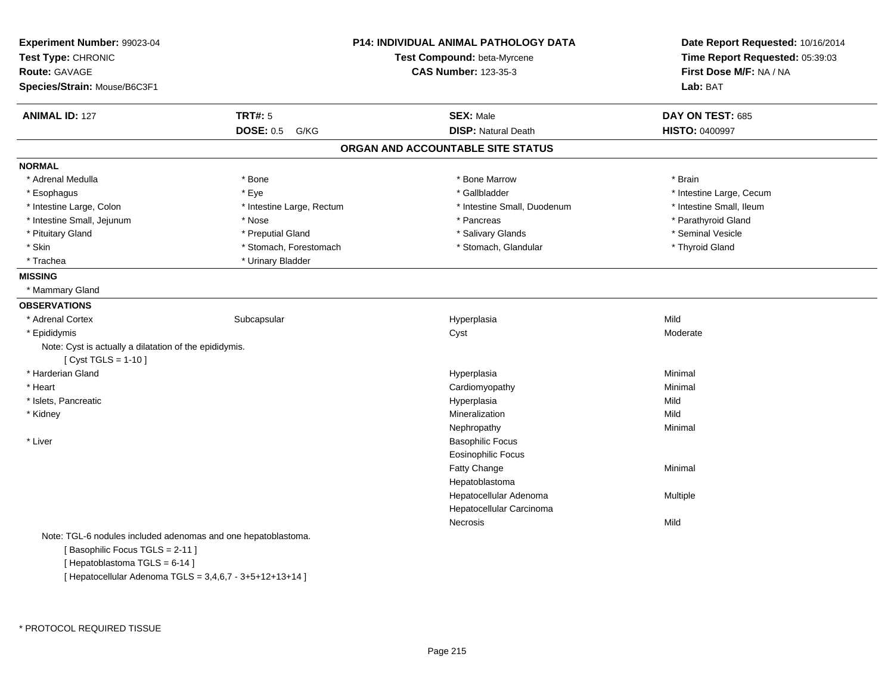| Experiment Number: 99023-04                                                      |                           | <b>P14: INDIVIDUAL ANIMAL PATHOLOGY DATA</b> | Date Report Requested: 10/16/2014 |
|----------------------------------------------------------------------------------|---------------------------|----------------------------------------------|-----------------------------------|
| Test Type: CHRONIC                                                               |                           | Test Compound: beta-Myrcene                  | Time Report Requested: 05:39:03   |
| <b>Route: GAVAGE</b>                                                             |                           | <b>CAS Number: 123-35-3</b>                  | First Dose M/F: NA / NA           |
| Species/Strain: Mouse/B6C3F1                                                     |                           |                                              | Lab: BAT                          |
| <b>ANIMAL ID: 127</b>                                                            | <b>TRT#: 5</b>            | <b>SEX: Male</b>                             | DAY ON TEST: 685                  |
|                                                                                  | <b>DOSE: 0.5</b><br>G/KG  | <b>DISP: Natural Death</b>                   | <b>HISTO: 0400997</b>             |
|                                                                                  |                           | ORGAN AND ACCOUNTABLE SITE STATUS            |                                   |
| <b>NORMAL</b>                                                                    |                           |                                              |                                   |
| * Adrenal Medulla                                                                | * Bone                    | * Bone Marrow                                | * Brain                           |
| * Esophagus                                                                      | * Eye                     | * Gallbladder                                | * Intestine Large, Cecum          |
| * Intestine Large, Colon                                                         | * Intestine Large, Rectum | * Intestine Small, Duodenum                  | * Intestine Small, Ileum          |
| * Intestine Small, Jejunum                                                       | * Nose                    | * Pancreas                                   | * Parathyroid Gland               |
| * Pituitary Gland                                                                | * Preputial Gland         | * Salivary Glands                            | * Seminal Vesicle                 |
| * Skin                                                                           | * Stomach, Forestomach    | * Stomach, Glandular                         | * Thyroid Gland                   |
| * Trachea                                                                        | * Urinary Bladder         |                                              |                                   |
| <b>MISSING</b>                                                                   |                           |                                              |                                   |
| * Mammary Gland                                                                  |                           |                                              |                                   |
| <b>OBSERVATIONS</b>                                                              |                           |                                              |                                   |
| * Adrenal Cortex                                                                 | Subcapsular               | Hyperplasia                                  | Mild                              |
| * Epididymis                                                                     |                           | Cyst                                         | Moderate                          |
| Note: Cyst is actually a dilatation of the epididymis.<br>[ $Cyst TGLS = 1-10$ ] |                           |                                              |                                   |
| * Harderian Gland                                                                |                           | Hyperplasia                                  | Minimal                           |
| * Heart                                                                          |                           | Cardiomyopathy                               | Minimal                           |
| * Islets, Pancreatic                                                             |                           | Hyperplasia                                  | Mild                              |
| * Kidney                                                                         |                           | Mineralization                               | Mild                              |
|                                                                                  |                           | Nephropathy                                  | Minimal                           |
| * Liver                                                                          |                           | <b>Basophilic Focus</b>                      |                                   |
|                                                                                  |                           | Eosinophilic Focus                           |                                   |
|                                                                                  |                           | Fatty Change                                 | Minimal                           |
|                                                                                  |                           | Hepatoblastoma                               |                                   |
|                                                                                  |                           | Hepatocellular Adenoma                       | Multiple                          |
|                                                                                  |                           | Hepatocellular Carcinoma                     |                                   |
|                                                                                  |                           | Necrosis                                     | Mild                              |
| Note: TGL-6 nodules included adenomas and one hepatoblastoma.                    |                           |                                              |                                   |
| [Basophilic Focus TGLS = 2-11]                                                   |                           |                                              |                                   |
| [Hepatoblastoma TGLS = 6-14]                                                     |                           |                                              |                                   |
| [ Hepatocellular Adenoma TGLS = $3,4,6,7 - 3+5+12+13+14$ ]                       |                           |                                              |                                   |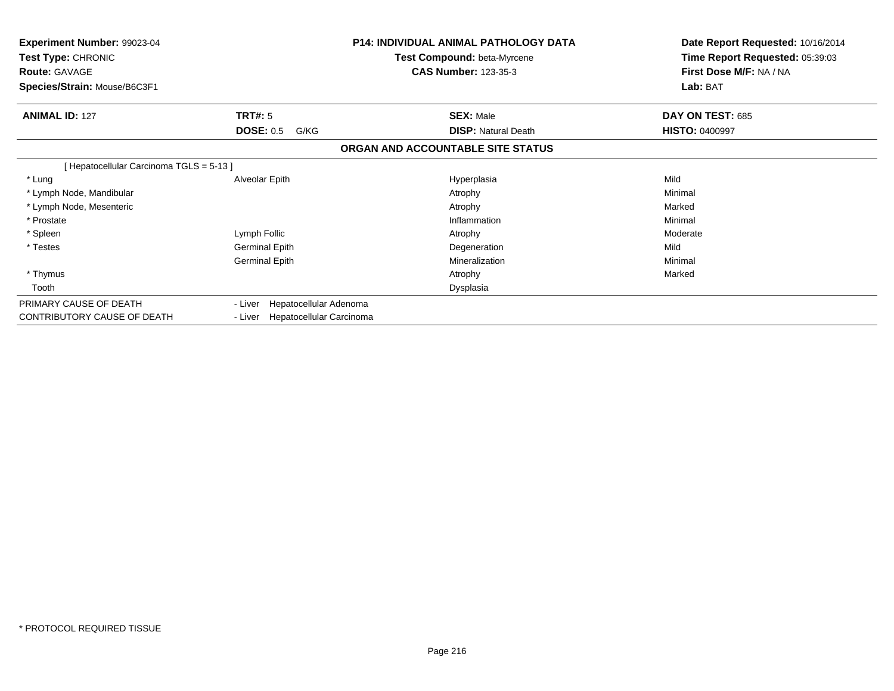| Experiment Number: 99023-04<br>Test Type: CHRONIC<br><b>Route: GAVAGE</b><br>Species/Strain: Mouse/B6C3F1 |                                            | <b>P14: INDIVIDUAL ANIMAL PATHOLOGY DATA</b><br>Test Compound: beta-Myrcene<br><b>CAS Number: 123-35-3</b> | Date Report Requested: 10/16/2014<br>Time Report Requested: 05:39:03<br>First Dose M/F: NA / NA<br>Lab: BAT |
|-----------------------------------------------------------------------------------------------------------|--------------------------------------------|------------------------------------------------------------------------------------------------------------|-------------------------------------------------------------------------------------------------------------|
| <b>ANIMAL ID: 127</b>                                                                                     | <b>TRT#: 5</b><br><b>DOSE: 0.5</b><br>G/KG | <b>SEX: Male</b><br><b>DISP: Natural Death</b>                                                             | DAY ON TEST: 685<br><b>HISTO: 0400997</b>                                                                   |
|                                                                                                           |                                            | ORGAN AND ACCOUNTABLE SITE STATUS                                                                          |                                                                                                             |
| [Hepatocellular Carcinoma TGLS = 5-13]                                                                    |                                            |                                                                                                            |                                                                                                             |
| * Lung                                                                                                    | Alveolar Epith                             | Hyperplasia                                                                                                | Mild                                                                                                        |
| * Lymph Node, Mandibular                                                                                  |                                            | Atrophy                                                                                                    | Minimal                                                                                                     |
| * Lymph Node, Mesenteric                                                                                  |                                            | Atrophy                                                                                                    | Marked                                                                                                      |
| * Prostate                                                                                                |                                            | Inflammation                                                                                               | Minimal                                                                                                     |
| * Spleen                                                                                                  | Lymph Follic                               | Atrophy                                                                                                    | Moderate                                                                                                    |
| * Testes                                                                                                  | <b>Germinal Epith</b>                      | Degeneration                                                                                               | Mild                                                                                                        |
|                                                                                                           | <b>Germinal Epith</b>                      | Mineralization                                                                                             | Minimal                                                                                                     |
| * Thymus                                                                                                  |                                            | Atrophy                                                                                                    | Marked                                                                                                      |
| Tooth                                                                                                     |                                            | Dysplasia                                                                                                  |                                                                                                             |
| PRIMARY CAUSE OF DEATH                                                                                    | Hepatocellular Adenoma<br>- Liver          |                                                                                                            |                                                                                                             |
| CONTRIBUTORY CAUSE OF DEATH                                                                               | Hepatocellular Carcinoma<br>- Liver        |                                                                                                            |                                                                                                             |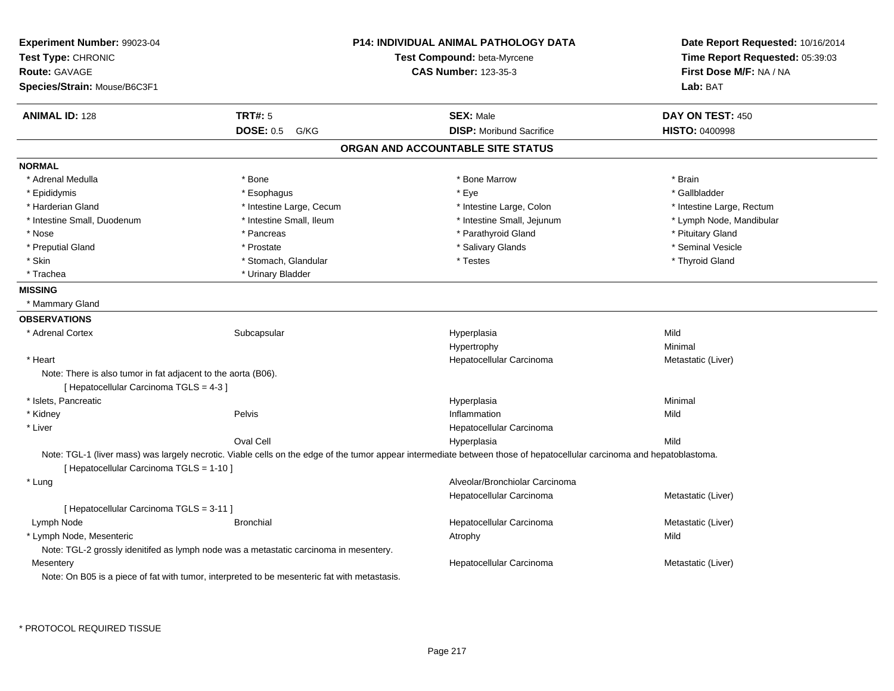| Experiment Number: 99023-04<br>Test Type: CHRONIC<br><b>Route: GAVAGE</b><br>Species/Strain: Mouse/B6C3F1 |                                                                                              | <b>P14: INDIVIDUAL ANIMAL PATHOLOGY DATA</b><br>Test Compound: beta-Myrcene<br><b>CAS Number: 123-35-3</b>                                                             | Date Report Requested: 10/16/2014<br>Time Report Requested: 05:39:03<br>First Dose M/F: NA / NA<br>Lab: BAT |
|-----------------------------------------------------------------------------------------------------------|----------------------------------------------------------------------------------------------|------------------------------------------------------------------------------------------------------------------------------------------------------------------------|-------------------------------------------------------------------------------------------------------------|
| <b>ANIMAL ID: 128</b>                                                                                     | <b>TRT#: 5</b>                                                                               | <b>SEX: Male</b>                                                                                                                                                       | DAY ON TEST: 450                                                                                            |
|                                                                                                           | <b>DOSE: 0.5</b><br>G/KG                                                                     | <b>DISP:</b> Moribund Sacrifice                                                                                                                                        | <b>HISTO: 0400998</b>                                                                                       |
|                                                                                                           |                                                                                              | ORGAN AND ACCOUNTABLE SITE STATUS                                                                                                                                      |                                                                                                             |
| <b>NORMAL</b>                                                                                             |                                                                                              |                                                                                                                                                                        |                                                                                                             |
| * Adrenal Medulla                                                                                         | * Bone                                                                                       | * Bone Marrow                                                                                                                                                          | * Brain                                                                                                     |
| * Epididymis                                                                                              | * Esophagus                                                                                  | * Eye                                                                                                                                                                  | * Gallbladder                                                                                               |
| * Harderian Gland                                                                                         | * Intestine Large, Cecum                                                                     | * Intestine Large, Colon                                                                                                                                               | * Intestine Large, Rectum                                                                                   |
| * Intestine Small, Duodenum                                                                               | * Intestine Small, Ileum                                                                     | * Intestine Small, Jejunum                                                                                                                                             | * Lymph Node, Mandibular                                                                                    |
| * Nose                                                                                                    | * Pancreas                                                                                   | * Parathyroid Gland                                                                                                                                                    | * Pituitary Gland                                                                                           |
| * Preputial Gland                                                                                         | * Prostate                                                                                   | * Salivary Glands                                                                                                                                                      | * Seminal Vesicle                                                                                           |
| * Skin                                                                                                    | * Stomach, Glandular                                                                         | * Testes                                                                                                                                                               | * Thyroid Gland                                                                                             |
| * Trachea                                                                                                 | * Urinary Bladder                                                                            |                                                                                                                                                                        |                                                                                                             |
| <b>MISSING</b>                                                                                            |                                                                                              |                                                                                                                                                                        |                                                                                                             |
| * Mammary Gland                                                                                           |                                                                                              |                                                                                                                                                                        |                                                                                                             |
| <b>OBSERVATIONS</b>                                                                                       |                                                                                              |                                                                                                                                                                        |                                                                                                             |
| * Adrenal Cortex                                                                                          | Subcapsular                                                                                  | Hyperplasia                                                                                                                                                            | Mild                                                                                                        |
|                                                                                                           |                                                                                              | Hypertrophy                                                                                                                                                            | Minimal                                                                                                     |
| * Heart                                                                                                   |                                                                                              | Hepatocellular Carcinoma                                                                                                                                               | Metastatic (Liver)                                                                                          |
| Note: There is also tumor in fat adjacent to the aorta (B06).                                             |                                                                                              |                                                                                                                                                                        |                                                                                                             |
| [ Hepatocellular Carcinoma TGLS = 4-3 ]                                                                   |                                                                                              |                                                                                                                                                                        |                                                                                                             |
| * Islets, Pancreatic                                                                                      |                                                                                              | Hyperplasia                                                                                                                                                            | Minimal                                                                                                     |
| * Kidney                                                                                                  | Pelvis                                                                                       | Inflammation                                                                                                                                                           | Mild                                                                                                        |
| * Liver                                                                                                   |                                                                                              | Hepatocellular Carcinoma                                                                                                                                               |                                                                                                             |
|                                                                                                           | Oval Cell                                                                                    | Hyperplasia                                                                                                                                                            | Mild                                                                                                        |
| [ Hepatocellular Carcinoma TGLS = 1-10 ]                                                                  |                                                                                              | Note: TGL-1 (liver mass) was largely necrotic. Viable cells on the edge of the tumor appear intermediate between those of hepatocellular carcinoma and hepatoblastoma. |                                                                                                             |
| * Lung                                                                                                    |                                                                                              | Alveolar/Bronchiolar Carcinoma                                                                                                                                         |                                                                                                             |
|                                                                                                           |                                                                                              | Hepatocellular Carcinoma                                                                                                                                               | Metastatic (Liver)                                                                                          |
| [ Hepatocellular Carcinoma TGLS = 3-11 ]                                                                  |                                                                                              |                                                                                                                                                                        |                                                                                                             |
| Lymph Node                                                                                                | <b>Bronchial</b>                                                                             | Hepatocellular Carcinoma                                                                                                                                               | Metastatic (Liver)                                                                                          |
| * Lymph Node, Mesenteric                                                                                  |                                                                                              | Atrophy                                                                                                                                                                | Mild                                                                                                        |
|                                                                                                           | Note: TGL-2 grossly idenitifed as lymph node was a metastatic carcinoma in mesentery.        |                                                                                                                                                                        |                                                                                                             |
| Mesentery                                                                                                 |                                                                                              | Hepatocellular Carcinoma                                                                                                                                               | Metastatic (Liver)                                                                                          |
|                                                                                                           | Note: On B05 is a piece of fat with tumor, interpreted to be mesenteric fat with metastasis. |                                                                                                                                                                        |                                                                                                             |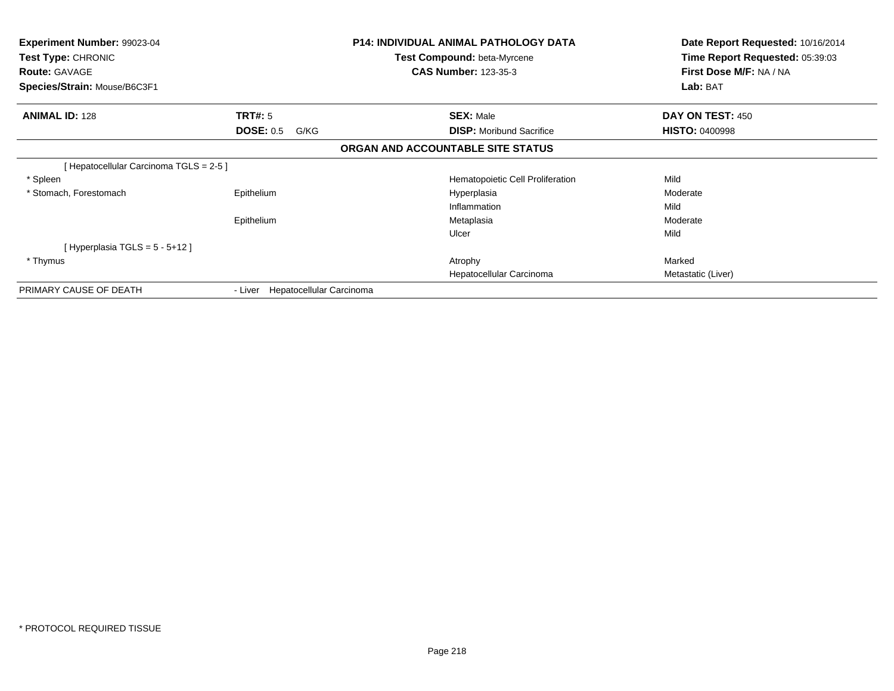| <b>Experiment Number: 99023-04</b><br><b>Test Type: CHRONIC</b><br><b>Route: GAVAGE</b><br>Species/Strain: Mouse/B6C3F1 |                                     | <b>P14: INDIVIDUAL ANIMAL PATHOLOGY DATA</b><br><b>Test Compound: beta-Myrcene</b><br><b>CAS Number: 123-35-3</b> | Date Report Requested: 10/16/2014<br>Time Report Requested: 05:39:03<br>First Dose M/F: NA / NA<br>Lab: BAT |
|-------------------------------------------------------------------------------------------------------------------------|-------------------------------------|-------------------------------------------------------------------------------------------------------------------|-------------------------------------------------------------------------------------------------------------|
| <b>ANIMAL ID: 128</b>                                                                                                   | TRT#: 5                             | <b>SEX: Male</b>                                                                                                  | DAY ON TEST: 450                                                                                            |
|                                                                                                                         | <b>DOSE: 0.5</b><br>G/KG            | <b>DISP:</b> Moribund Sacrifice                                                                                   | <b>HISTO: 0400998</b>                                                                                       |
|                                                                                                                         |                                     | ORGAN AND ACCOUNTABLE SITE STATUS                                                                                 |                                                                                                             |
| [ Hepatocellular Carcinoma TGLS = 2-5 ]                                                                                 |                                     |                                                                                                                   |                                                                                                             |
| * Spleen                                                                                                                |                                     | Hematopoietic Cell Proliferation                                                                                  | Mild                                                                                                        |
| * Stomach, Forestomach                                                                                                  | Epithelium                          | Hyperplasia                                                                                                       | Moderate                                                                                                    |
|                                                                                                                         |                                     | Inflammation                                                                                                      | Mild                                                                                                        |
|                                                                                                                         | Epithelium                          | Metaplasia                                                                                                        | Moderate                                                                                                    |
|                                                                                                                         |                                     | Ulcer                                                                                                             | Mild                                                                                                        |
| [Hyperplasia TGLS = $5 - 5 + 12$ ]                                                                                      |                                     |                                                                                                                   |                                                                                                             |
| * Thymus                                                                                                                |                                     | Atrophy                                                                                                           | Marked                                                                                                      |
|                                                                                                                         |                                     | Hepatocellular Carcinoma                                                                                          | Metastatic (Liver)                                                                                          |
| PRIMARY CAUSE OF DEATH                                                                                                  | Hepatocellular Carcinoma<br>- Liver |                                                                                                                   |                                                                                                             |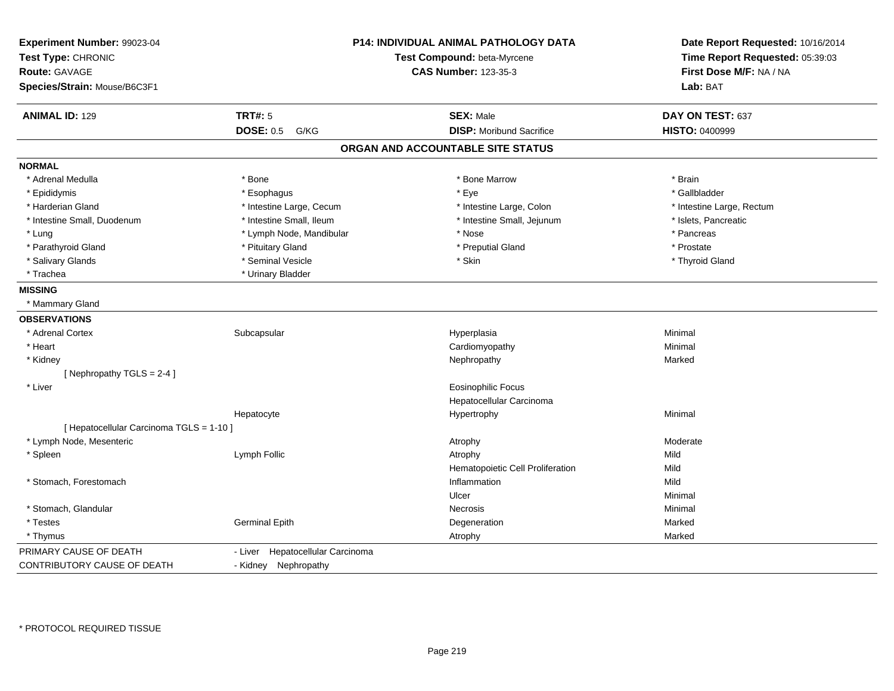| Experiment Number: 99023-04<br>Test Type: CHRONIC<br><b>Route: GAVAGE</b><br>Species/Strain: Mouse/B6C3F1 |                                  | P14: INDIVIDUAL ANIMAL PATHOLOGY DATA<br>Test Compound: beta-Myrcene<br><b>CAS Number: 123-35-3</b> | Date Report Requested: 10/16/2014<br>Time Report Requested: 05:39:03<br>First Dose M/F: NA / NA<br>Lab: BAT |
|-----------------------------------------------------------------------------------------------------------|----------------------------------|-----------------------------------------------------------------------------------------------------|-------------------------------------------------------------------------------------------------------------|
| <b>ANIMAL ID: 129</b>                                                                                     | <b>TRT#: 5</b>                   | <b>SEX: Male</b>                                                                                    | DAY ON TEST: 637                                                                                            |
|                                                                                                           | <b>DOSE: 0.5</b><br>G/KG         | <b>DISP: Moribund Sacrifice</b>                                                                     | <b>HISTO: 0400999</b>                                                                                       |
|                                                                                                           |                                  | ORGAN AND ACCOUNTABLE SITE STATUS                                                                   |                                                                                                             |
| <b>NORMAL</b>                                                                                             |                                  |                                                                                                     |                                                                                                             |
| * Adrenal Medulla                                                                                         | * Bone                           | * Bone Marrow                                                                                       | * Brain                                                                                                     |
| * Epididymis                                                                                              | * Esophagus                      | * Eye                                                                                               | * Gallbladder                                                                                               |
| * Harderian Gland                                                                                         | * Intestine Large, Cecum         | * Intestine Large, Colon                                                                            | * Intestine Large, Rectum                                                                                   |
| * Intestine Small, Duodenum                                                                               | * Intestine Small, Ileum         | * Intestine Small, Jejunum                                                                          | * Islets, Pancreatic                                                                                        |
| * Lung                                                                                                    | * Lymph Node, Mandibular         | * Nose                                                                                              | * Pancreas                                                                                                  |
| * Parathyroid Gland                                                                                       | * Pituitary Gland                | * Preputial Gland                                                                                   | * Prostate                                                                                                  |
| * Salivary Glands                                                                                         | * Seminal Vesicle                | * Skin                                                                                              | * Thyroid Gland                                                                                             |
| * Trachea                                                                                                 | * Urinary Bladder                |                                                                                                     |                                                                                                             |
| <b>MISSING</b>                                                                                            |                                  |                                                                                                     |                                                                                                             |
| * Mammary Gland                                                                                           |                                  |                                                                                                     |                                                                                                             |
| <b>OBSERVATIONS</b>                                                                                       |                                  |                                                                                                     |                                                                                                             |
| * Adrenal Cortex                                                                                          | Subcapsular                      | Hyperplasia                                                                                         | Minimal                                                                                                     |
| * Heart                                                                                                   |                                  | Cardiomyopathy                                                                                      | Minimal                                                                                                     |
| * Kidney                                                                                                  |                                  | Nephropathy                                                                                         | Marked                                                                                                      |
| [Nephropathy TGLS = 2-4]                                                                                  |                                  |                                                                                                     |                                                                                                             |
| * Liver                                                                                                   |                                  | <b>Eosinophilic Focus</b>                                                                           |                                                                                                             |
|                                                                                                           |                                  | Hepatocellular Carcinoma                                                                            |                                                                                                             |
|                                                                                                           | Hepatocyte                       | Hypertrophy                                                                                         | Minimal                                                                                                     |
| [ Hepatocellular Carcinoma TGLS = 1-10 ]                                                                  |                                  |                                                                                                     |                                                                                                             |
| * Lymph Node, Mesenteric                                                                                  |                                  | Atrophy                                                                                             | Moderate                                                                                                    |
| * Spleen                                                                                                  | Lymph Follic                     | Atrophy                                                                                             | Mild                                                                                                        |
|                                                                                                           |                                  | Hematopoietic Cell Proliferation                                                                    | Mild                                                                                                        |
| * Stomach, Forestomach                                                                                    |                                  | Inflammation                                                                                        | Mild                                                                                                        |
|                                                                                                           |                                  | Ulcer                                                                                               | Minimal                                                                                                     |
| * Stomach, Glandular                                                                                      |                                  | Necrosis                                                                                            | Minimal                                                                                                     |
| * Testes                                                                                                  | <b>Germinal Epith</b>            | Degeneration                                                                                        | Marked                                                                                                      |
| * Thymus                                                                                                  |                                  | Atrophy                                                                                             | Marked                                                                                                      |
| PRIMARY CAUSE OF DEATH                                                                                    | - Liver Hepatocellular Carcinoma |                                                                                                     |                                                                                                             |
| CONTRIBUTORY CAUSE OF DEATH                                                                               | - Kidney Nephropathy             |                                                                                                     |                                                                                                             |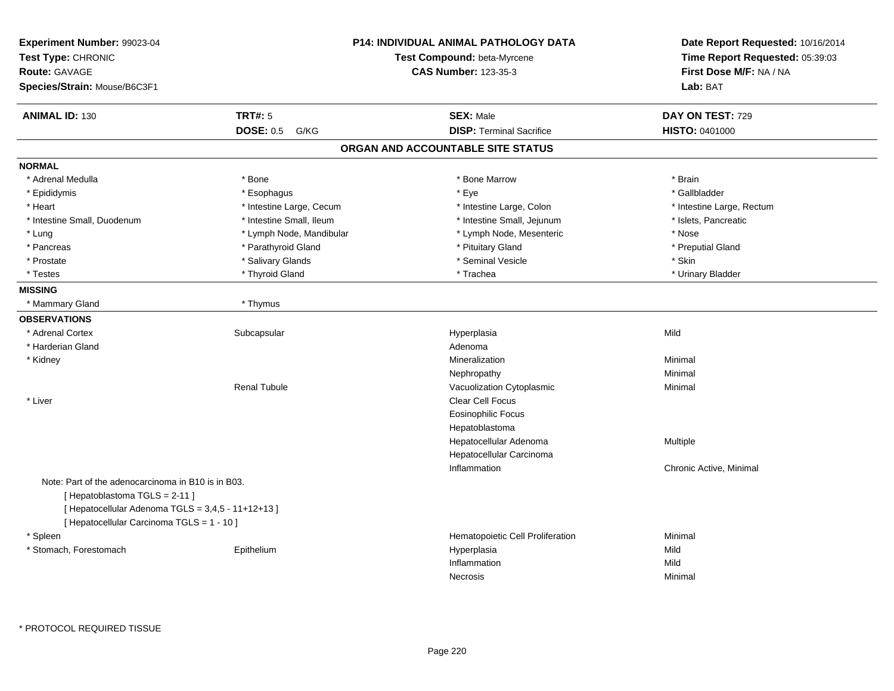| Experiment Number: 99023-04<br>Test Type: CHRONIC<br>Route: GAVAGE<br>Species/Strain: Mouse/B6C3F1                                                                                     |                          | <b>P14: INDIVIDUAL ANIMAL PATHOLOGY DATA</b><br>Test Compound: beta-Myrcene<br><b>CAS Number: 123-35-3</b> | Date Report Requested: 10/16/2014<br>Time Report Requested: 05:39:03<br>First Dose M/F: NA / NA<br>Lab: BAT |
|----------------------------------------------------------------------------------------------------------------------------------------------------------------------------------------|--------------------------|------------------------------------------------------------------------------------------------------------|-------------------------------------------------------------------------------------------------------------|
| <b>ANIMAL ID: 130</b>                                                                                                                                                                  | <b>TRT#: 5</b>           | <b>SEX: Male</b>                                                                                           | DAY ON TEST: 729                                                                                            |
|                                                                                                                                                                                        | <b>DOSE: 0.5</b><br>G/KG | <b>DISP: Terminal Sacrifice</b>                                                                            | HISTO: 0401000                                                                                              |
|                                                                                                                                                                                        |                          | ORGAN AND ACCOUNTABLE SITE STATUS                                                                          |                                                                                                             |
| <b>NORMAL</b>                                                                                                                                                                          |                          |                                                                                                            |                                                                                                             |
| * Adrenal Medulla                                                                                                                                                                      | * Bone                   | * Bone Marrow                                                                                              | * Brain                                                                                                     |
| * Epididymis                                                                                                                                                                           | * Esophagus              | * Eye                                                                                                      | * Gallbladder                                                                                               |
| * Heart                                                                                                                                                                                | * Intestine Large, Cecum | * Intestine Large, Colon                                                                                   | * Intestine Large, Rectum                                                                                   |
| * Intestine Small, Duodenum                                                                                                                                                            | * Intestine Small, Ileum | * Intestine Small, Jejunum                                                                                 | * Islets, Pancreatic                                                                                        |
| * Lung                                                                                                                                                                                 | * Lymph Node, Mandibular | * Lymph Node, Mesenteric                                                                                   | * Nose                                                                                                      |
| * Pancreas                                                                                                                                                                             | * Parathyroid Gland      | * Pituitary Gland                                                                                          | * Preputial Gland                                                                                           |
| * Prostate                                                                                                                                                                             | * Salivary Glands        | * Seminal Vesicle                                                                                          | * Skin                                                                                                      |
| * Testes                                                                                                                                                                               | * Thyroid Gland          | * Trachea                                                                                                  | * Urinary Bladder                                                                                           |
| <b>MISSING</b>                                                                                                                                                                         |                          |                                                                                                            |                                                                                                             |
| * Mammary Gland                                                                                                                                                                        | * Thymus                 |                                                                                                            |                                                                                                             |
| <b>OBSERVATIONS</b>                                                                                                                                                                    |                          |                                                                                                            |                                                                                                             |
| * Adrenal Cortex                                                                                                                                                                       | Subcapsular              | Hyperplasia                                                                                                | Mild                                                                                                        |
| * Harderian Gland                                                                                                                                                                      |                          | Adenoma                                                                                                    |                                                                                                             |
| * Kidney                                                                                                                                                                               |                          | Mineralization                                                                                             | Minimal                                                                                                     |
|                                                                                                                                                                                        |                          | Nephropathy                                                                                                | Minimal                                                                                                     |
|                                                                                                                                                                                        | <b>Renal Tubule</b>      | Vacuolization Cytoplasmic                                                                                  | Minimal                                                                                                     |
| * Liver                                                                                                                                                                                |                          | Clear Cell Focus                                                                                           |                                                                                                             |
|                                                                                                                                                                                        |                          | Eosinophilic Focus                                                                                         |                                                                                                             |
|                                                                                                                                                                                        |                          | Hepatoblastoma                                                                                             |                                                                                                             |
|                                                                                                                                                                                        |                          | Hepatocellular Adenoma                                                                                     | Multiple                                                                                                    |
|                                                                                                                                                                                        |                          | Hepatocellular Carcinoma                                                                                   |                                                                                                             |
|                                                                                                                                                                                        |                          | Inflammation                                                                                               | Chronic Active, Minimal                                                                                     |
| Note: Part of the adenocarcinoma in B10 is in B03.<br>[Hepatoblastoma TGLS = 2-11]<br>[ Hepatocellular Adenoma TGLS = 3,4,5 - 11+12+13 ]<br>[ Hepatocellular Carcinoma TGLS = 1 - 10 ] |                          |                                                                                                            |                                                                                                             |
| * Spleen                                                                                                                                                                               |                          | Hematopoietic Cell Proliferation                                                                           | Minimal                                                                                                     |
| * Stomach, Forestomach                                                                                                                                                                 | Epithelium               | Hyperplasia                                                                                                | Mild                                                                                                        |
|                                                                                                                                                                                        |                          | Inflammation                                                                                               | Mild                                                                                                        |
|                                                                                                                                                                                        |                          | <b>Necrosis</b>                                                                                            | Minimal                                                                                                     |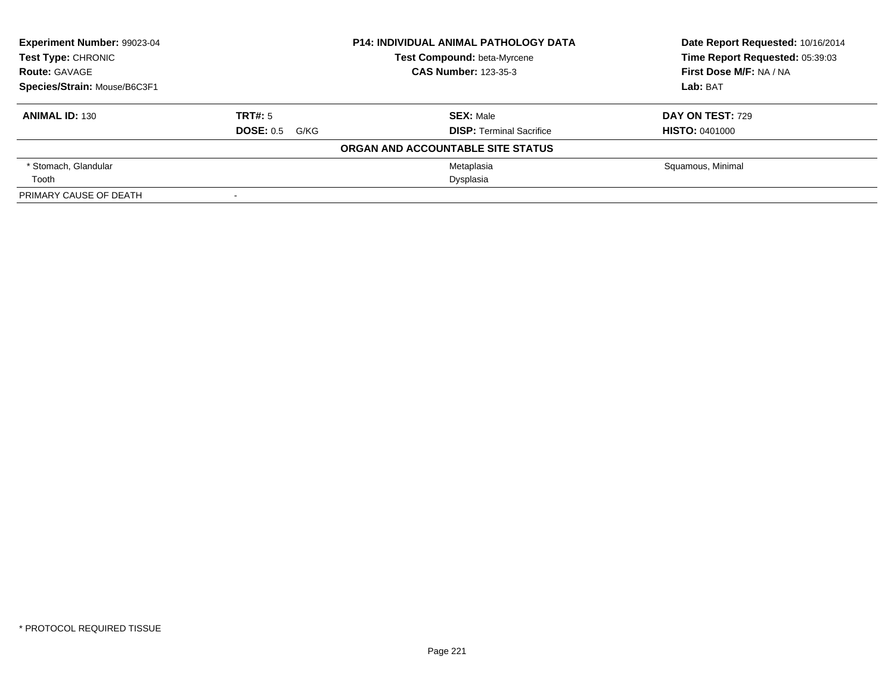| Experiment Number: 99023-04<br>Test Type: CHRONIC |                       | <b>P14: INDIVIDUAL ANIMAL PATHOLOGY DATA</b> | Date Report Requested: 10/16/2014<br>Time Report Requested: 05:39:03 |
|---------------------------------------------------|-----------------------|----------------------------------------------|----------------------------------------------------------------------|
|                                                   |                       | Test Compound: beta-Myrcene                  |                                                                      |
| <b>Route: GAVAGE</b>                              |                       | <b>CAS Number: 123-35-3</b>                  | First Dose M/F: NA / NA                                              |
| Species/Strain: Mouse/B6C3F1                      |                       |                                              | Lab: BAT                                                             |
| <b>ANIMAL ID: 130</b>                             | TRT#: 5               | <b>SEX: Male</b>                             | <b>DAY ON TEST: 729</b>                                              |
|                                                   | <b>DOSE: 0.5 G/KG</b> | <b>DISP:</b> Terminal Sacrifice              | <b>HISTO: 0401000</b>                                                |
|                                                   |                       | ORGAN AND ACCOUNTABLE SITE STATUS            |                                                                      |
| * Stomach, Glandular                              |                       | Metaplasia                                   | Squamous, Minimal                                                    |
| Tooth                                             |                       | Dysplasia                                    |                                                                      |
| PRIMARY CAUSE OF DEATH                            |                       |                                              |                                                                      |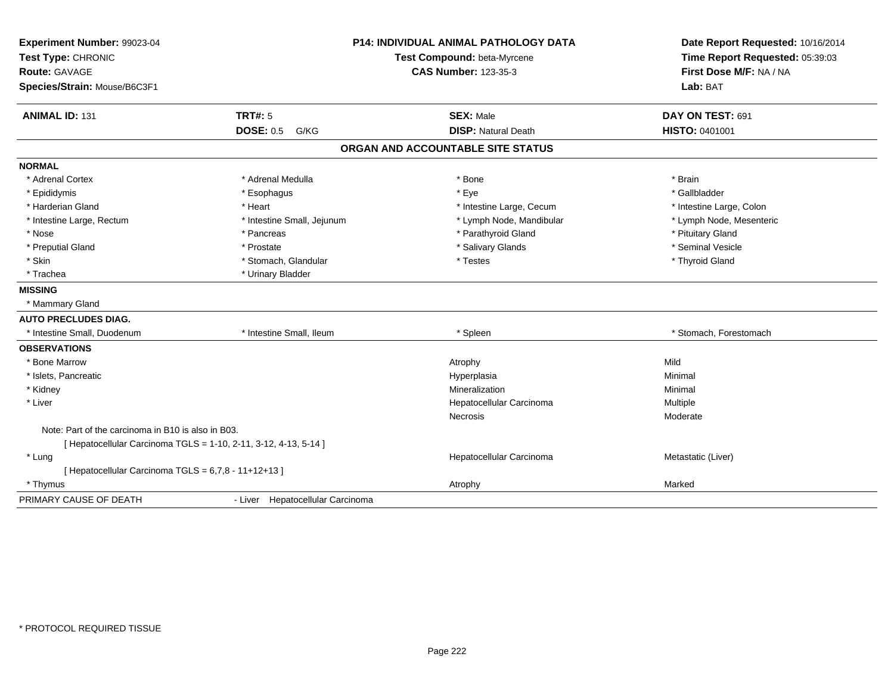| Experiment Number: 99023-04                          | <b>P14: INDIVIDUAL ANIMAL PATHOLOGY DATA</b>                   |                                   | Date Report Requested: 10/16/2014                          |
|------------------------------------------------------|----------------------------------------------------------------|-----------------------------------|------------------------------------------------------------|
| Test Type: CHRONIC                                   |                                                                | Test Compound: beta-Myrcene       | Time Report Requested: 05:39:03<br>First Dose M/F: NA / NA |
| Route: GAVAGE                                        |                                                                | <b>CAS Number: 123-35-3</b>       |                                                            |
| Species/Strain: Mouse/B6C3F1                         |                                                                |                                   | Lab: BAT                                                   |
| <b>ANIMAL ID: 131</b>                                | <b>TRT#: 5</b>                                                 | <b>SEX: Male</b>                  | DAY ON TEST: 691                                           |
|                                                      | <b>DOSE: 0.5 G/KG</b>                                          | <b>DISP: Natural Death</b>        | HISTO: 0401001                                             |
|                                                      |                                                                | ORGAN AND ACCOUNTABLE SITE STATUS |                                                            |
| <b>NORMAL</b>                                        |                                                                |                                   |                                                            |
| * Adrenal Cortex                                     | * Adrenal Medulla                                              | * Bone                            | * Brain                                                    |
| * Epididymis                                         | * Esophagus                                                    | * Eye                             | * Gallbladder                                              |
| * Harderian Gland                                    | * Heart                                                        | * Intestine Large, Cecum          | * Intestine Large, Colon                                   |
| * Intestine Large, Rectum                            | * Intestine Small, Jejunum                                     | * Lymph Node, Mandibular          | * Lymph Node, Mesenteric                                   |
| * Nose                                               | * Pancreas                                                     | * Parathyroid Gland               | * Pituitary Gland                                          |
| * Preputial Gland                                    | * Prostate                                                     | * Salivary Glands                 | * Seminal Vesicle                                          |
| * Skin                                               | * Stomach, Glandular                                           | * Testes                          | * Thyroid Gland                                            |
| * Trachea                                            | * Urinary Bladder                                              |                                   |                                                            |
| <b>MISSING</b>                                       |                                                                |                                   |                                                            |
| * Mammary Gland                                      |                                                                |                                   |                                                            |
| <b>AUTO PRECLUDES DIAG.</b>                          |                                                                |                                   |                                                            |
| * Intestine Small, Duodenum                          | * Intestine Small, Ileum                                       | * Spleen                          | * Stomach, Forestomach                                     |
| <b>OBSERVATIONS</b>                                  |                                                                |                                   |                                                            |
| * Bone Marrow                                        |                                                                | Atrophy                           | Mild                                                       |
| * Islets, Pancreatic                                 |                                                                | Hyperplasia                       | Minimal                                                    |
| * Kidney                                             |                                                                | Mineralization                    | Minimal                                                    |
| * Liver                                              |                                                                | Hepatocellular Carcinoma          | Multiple                                                   |
|                                                      |                                                                | Necrosis                          | Moderate                                                   |
| Note: Part of the carcinoma in B10 is also in B03.   |                                                                |                                   |                                                            |
|                                                      | [Hepatocellular Carcinoma TGLS = 1-10, 2-11, 3-12, 4-13, 5-14] |                                   |                                                            |
| * Lung                                               |                                                                | Hepatocellular Carcinoma          | Metastatic (Liver)                                         |
| [ Hepatocellular Carcinoma TGLS = 6,7,8 - 11+12+13 ] |                                                                |                                   |                                                            |
| * Thymus                                             |                                                                | Atrophy                           | Marked                                                     |
| PRIMARY CAUSE OF DEATH                               | - Liver Hepatocellular Carcinoma                               |                                   |                                                            |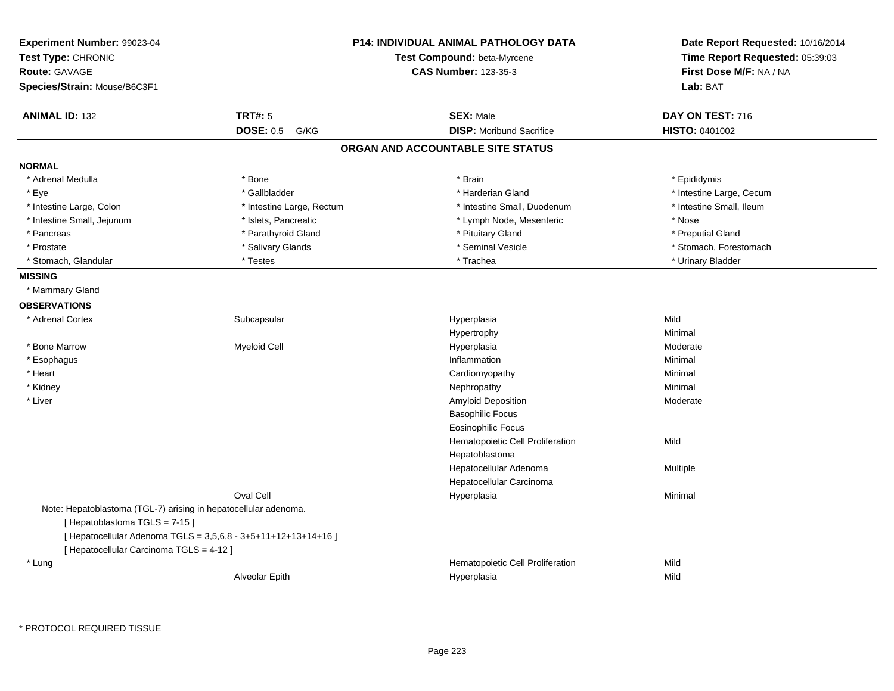| Experiment Number: 99023-04<br>Test Type: CHRONIC<br><b>Route: GAVAGE</b>                       |                                                                | <b>P14: INDIVIDUAL ANIMAL PATHOLOGY DATA</b><br>Test Compound: beta-Myrcene<br><b>CAS Number: 123-35-3</b> | Date Report Requested: 10/16/2014<br>Time Report Requested: 05:39:03<br>First Dose M/F: NA / NA |
|-------------------------------------------------------------------------------------------------|----------------------------------------------------------------|------------------------------------------------------------------------------------------------------------|-------------------------------------------------------------------------------------------------|
| Species/Strain: Mouse/B6C3F1                                                                    |                                                                |                                                                                                            | Lab: BAT                                                                                        |
| <b>ANIMAL ID: 132</b>                                                                           | <b>TRT#: 5</b>                                                 | <b>SEX: Male</b>                                                                                           | DAY ON TEST: 716                                                                                |
|                                                                                                 | <b>DOSE: 0.5</b><br>G/KG                                       | <b>DISP:</b> Moribund Sacrifice                                                                            | HISTO: 0401002                                                                                  |
|                                                                                                 |                                                                | ORGAN AND ACCOUNTABLE SITE STATUS                                                                          |                                                                                                 |
| <b>NORMAL</b>                                                                                   |                                                                |                                                                                                            |                                                                                                 |
| * Adrenal Medulla                                                                               | * Bone                                                         | * Brain                                                                                                    | * Epididymis                                                                                    |
| * Eye                                                                                           | * Gallbladder                                                  | * Harderian Gland                                                                                          | * Intestine Large, Cecum                                                                        |
| * Intestine Large, Colon                                                                        | * Intestine Large, Rectum                                      | * Intestine Small, Duodenum                                                                                | * Intestine Small, Ileum                                                                        |
| * Intestine Small, Jejunum                                                                      | * Islets, Pancreatic                                           | * Lymph Node, Mesenteric                                                                                   | * Nose                                                                                          |
| * Pancreas                                                                                      | * Parathyroid Gland                                            | * Pituitary Gland                                                                                          | * Preputial Gland                                                                               |
| * Prostate                                                                                      | * Salivary Glands                                              | * Seminal Vesicle                                                                                          | * Stomach, Forestomach                                                                          |
| * Stomach, Glandular                                                                            | * Testes                                                       | * Trachea                                                                                                  | * Urinary Bladder                                                                               |
| <b>MISSING</b>                                                                                  |                                                                |                                                                                                            |                                                                                                 |
| * Mammary Gland                                                                                 |                                                                |                                                                                                            |                                                                                                 |
| <b>OBSERVATIONS</b>                                                                             |                                                                |                                                                                                            |                                                                                                 |
| * Adrenal Cortex                                                                                | Subcapsular                                                    | Hyperplasia                                                                                                | Mild                                                                                            |
|                                                                                                 |                                                                | Hypertrophy                                                                                                | Minimal                                                                                         |
| * Bone Marrow                                                                                   | <b>Myeloid Cell</b>                                            | Hyperplasia                                                                                                | Moderate                                                                                        |
| * Esophagus                                                                                     |                                                                | Inflammation                                                                                               | Minimal                                                                                         |
| * Heart                                                                                         |                                                                | Cardiomyopathy                                                                                             | Minimal                                                                                         |
| * Kidney                                                                                        |                                                                | Nephropathy                                                                                                | Minimal                                                                                         |
| * Liver                                                                                         |                                                                | Amyloid Deposition                                                                                         | Moderate                                                                                        |
|                                                                                                 |                                                                | <b>Basophilic Focus</b>                                                                                    |                                                                                                 |
|                                                                                                 |                                                                | <b>Eosinophilic Focus</b>                                                                                  |                                                                                                 |
|                                                                                                 |                                                                | Hematopoietic Cell Proliferation                                                                           | Mild                                                                                            |
|                                                                                                 |                                                                | Hepatoblastoma                                                                                             |                                                                                                 |
|                                                                                                 |                                                                | Hepatocellular Adenoma                                                                                     | Multiple                                                                                        |
|                                                                                                 |                                                                | Hepatocellular Carcinoma                                                                                   |                                                                                                 |
|                                                                                                 | Oval Cell                                                      | Hyperplasia                                                                                                | Minimal                                                                                         |
| Note: Hepatoblastoma (TGL-7) arising in hepatocellular adenoma.<br>[Hepatoblastoma TGLS = 7-15] |                                                                |                                                                                                            |                                                                                                 |
| [ Hepatocellular Carcinoma TGLS = 4-12 ]                                                        | [ Hepatocellular Adenoma TGLS = 3,5,6,8 - 3+5+11+12+13+14+16 ] |                                                                                                            |                                                                                                 |
| * Lung                                                                                          |                                                                | Hematopoietic Cell Proliferation                                                                           | Mild                                                                                            |
|                                                                                                 | Alveolar Epith                                                 | Hyperplasia                                                                                                | Mild                                                                                            |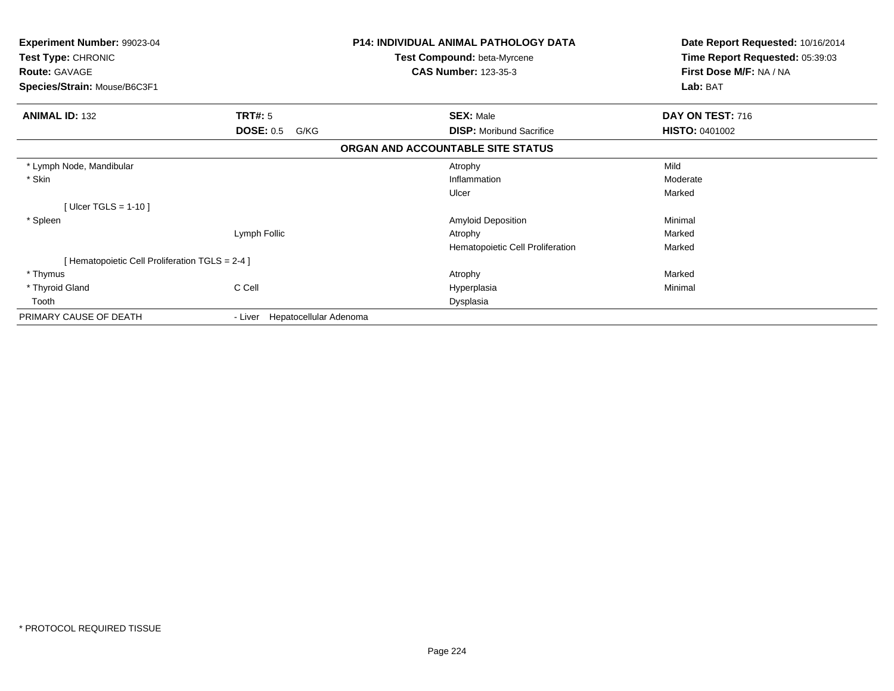| <b>Experiment Number: 99023-04</b><br><b>Test Type: CHRONIC</b><br><b>Route: GAVAGE</b> |                                | <b>P14: INDIVIDUAL ANIMAL PATHOLOGY DATA</b><br><b>Test Compound: beta-Myrcene</b><br><b>CAS Number: 123-35-3</b> | Date Report Requested: 10/16/2014<br>Time Report Requested: 05:39:03<br>First Dose M/F: NA / NA |
|-----------------------------------------------------------------------------------------|--------------------------------|-------------------------------------------------------------------------------------------------------------------|-------------------------------------------------------------------------------------------------|
| Species/Strain: Mouse/B6C3F1                                                            |                                |                                                                                                                   | Lab: BAT                                                                                        |
| <b>ANIMAL ID: 132</b>                                                                   | <b>TRT#: 5</b>                 | <b>SEX: Male</b>                                                                                                  | DAY ON TEST: 716                                                                                |
|                                                                                         | <b>DOSE: 0.5</b><br>G/KG       | <b>DISP:</b> Moribund Sacrifice                                                                                   | <b>HISTO: 0401002</b>                                                                           |
|                                                                                         |                                | ORGAN AND ACCOUNTABLE SITE STATUS                                                                                 |                                                                                                 |
| * Lymph Node, Mandibular                                                                |                                | Atrophy                                                                                                           | Mild                                                                                            |
| * Skin                                                                                  |                                | Inflammation                                                                                                      | Moderate                                                                                        |
|                                                                                         |                                | Ulcer                                                                                                             | Marked                                                                                          |
| [ Ulcer TGLS = $1-10$ ]                                                                 |                                |                                                                                                                   |                                                                                                 |
| * Spleen                                                                                |                                | <b>Amyloid Deposition</b>                                                                                         | Minimal                                                                                         |
|                                                                                         | Lymph Follic                   | Atrophy                                                                                                           | Marked                                                                                          |
|                                                                                         |                                | Hematopoietic Cell Proliferation                                                                                  | Marked                                                                                          |
| [ Hematopoietic Cell Proliferation TGLS = 2-4 ]                                         |                                |                                                                                                                   |                                                                                                 |
| * Thymus                                                                                |                                | Atrophy                                                                                                           | Marked                                                                                          |
| * Thyroid Gland                                                                         | C Cell                         | Hyperplasia                                                                                                       | Minimal                                                                                         |
| Tooth                                                                                   |                                | Dysplasia                                                                                                         |                                                                                                 |
| PRIMARY CAUSE OF DEATH                                                                  | - Liver Hepatocellular Adenoma |                                                                                                                   |                                                                                                 |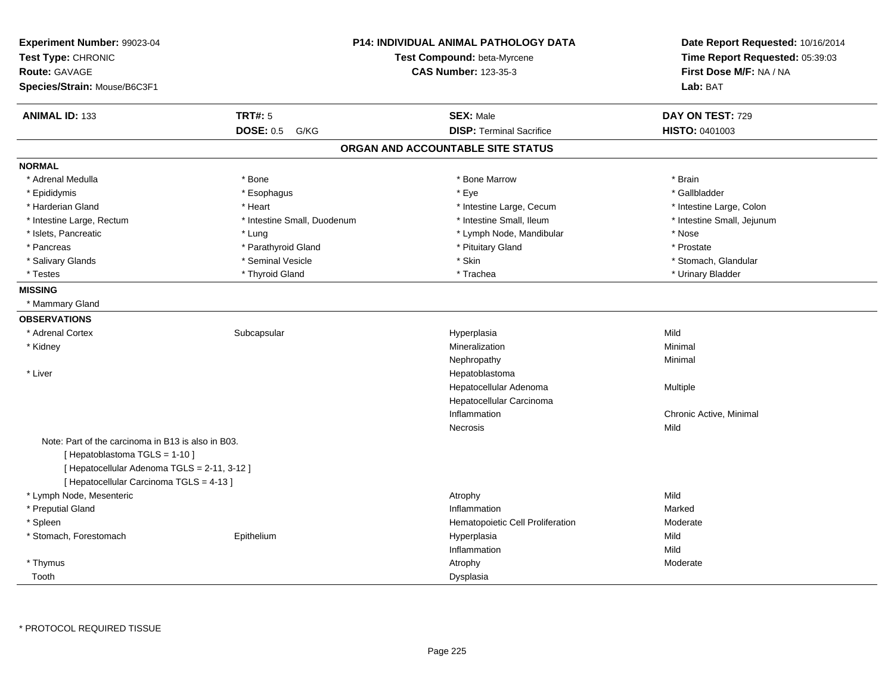| Experiment Number: 99023-04                        |                             | <b>P14: INDIVIDUAL ANIMAL PATHOLOGY DATA</b> | Date Report Requested: 10/16/2014 |
|----------------------------------------------------|-----------------------------|----------------------------------------------|-----------------------------------|
| Test Type: CHRONIC                                 |                             | Test Compound: beta-Myrcene                  | Time Report Requested: 05:39:03   |
| <b>Route: GAVAGE</b>                               |                             | <b>CAS Number: 123-35-3</b>                  | First Dose M/F: NA / NA           |
| Species/Strain: Mouse/B6C3F1                       |                             |                                              | Lab: BAT                          |
| <b>ANIMAL ID: 133</b>                              | <b>TRT#: 5</b>              | <b>SEX: Male</b>                             | DAY ON TEST: 729                  |
|                                                    | <b>DOSE: 0.5</b><br>G/KG    | <b>DISP: Terminal Sacrifice</b>              | HISTO: 0401003                    |
|                                                    |                             | ORGAN AND ACCOUNTABLE SITE STATUS            |                                   |
| <b>NORMAL</b>                                      |                             |                                              |                                   |
| * Adrenal Medulla                                  | * Bone                      | * Bone Marrow                                | * Brain                           |
| * Epididymis                                       | * Esophagus                 | * Eye                                        | * Gallbladder                     |
| * Harderian Gland                                  | * Heart                     | * Intestine Large, Cecum                     | * Intestine Large, Colon          |
| * Intestine Large, Rectum                          | * Intestine Small, Duodenum | * Intestine Small, Ileum                     | * Intestine Small, Jejunum        |
| * Islets, Pancreatic                               | * Lung                      | * Lymph Node, Mandibular                     | * Nose                            |
| * Pancreas                                         | * Parathyroid Gland         | * Pituitary Gland                            | * Prostate                        |
| * Salivary Glands                                  | * Seminal Vesicle           | * Skin                                       | * Stomach, Glandular              |
| * Testes                                           | * Thyroid Gland             | * Trachea                                    | * Urinary Bladder                 |
| <b>MISSING</b>                                     |                             |                                              |                                   |
| * Mammary Gland                                    |                             |                                              |                                   |
| <b>OBSERVATIONS</b>                                |                             |                                              |                                   |
| * Adrenal Cortex                                   | Subcapsular                 | Hyperplasia                                  | Mild                              |
| * Kidney                                           |                             | Mineralization                               | Minimal                           |
|                                                    |                             | Nephropathy                                  | Minimal                           |
| * Liver                                            |                             | Hepatoblastoma                               |                                   |
|                                                    |                             | Hepatocellular Adenoma                       | Multiple                          |
|                                                    |                             | Hepatocellular Carcinoma                     |                                   |
|                                                    |                             | Inflammation                                 | Chronic Active, Minimal           |
|                                                    |                             | Necrosis                                     | Mild                              |
| Note: Part of the carcinoma in B13 is also in B03. |                             |                                              |                                   |
| [Hepatoblastoma TGLS = 1-10]                       |                             |                                              |                                   |
| [ Hepatocellular Adenoma TGLS = 2-11, 3-12 ]       |                             |                                              |                                   |
| [ Hepatocellular Carcinoma TGLS = 4-13 ]           |                             |                                              |                                   |
| * Lymph Node, Mesenteric                           |                             | Atrophy                                      | Mild                              |
| * Preputial Gland                                  |                             | Inflammation                                 | Marked                            |
| * Spleen                                           |                             | Hematopoietic Cell Proliferation             | Moderate                          |
| * Stomach, Forestomach                             | Epithelium                  | Hyperplasia                                  | Mild                              |
|                                                    |                             | Inflammation                                 | Mild                              |
| * Thymus                                           |                             | Atrophy                                      | Moderate                          |
| Tooth                                              |                             | Dysplasia                                    |                                   |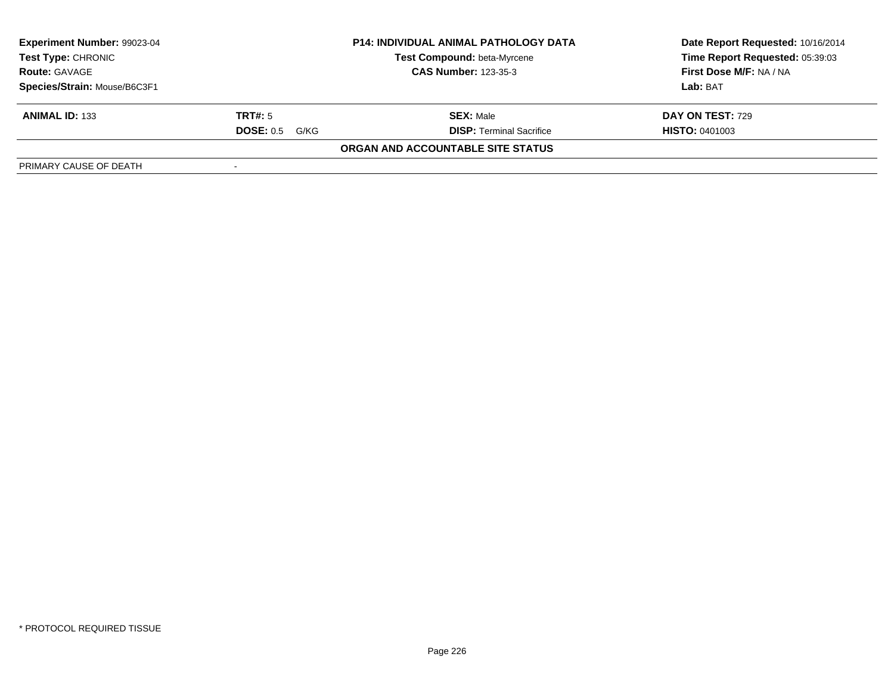| Experiment Number: 99023-04<br><b>P14: INDIVIDUAL ANIMAL PATHOLOGY DATA</b><br><b>Test Compound: beta-Myrcene</b><br><b>Test Type: CHRONIC</b><br><b>Route: GAVAGE</b><br><b>CAS Number: 123-35-3</b> |                          |                                   | Date Report Requested: 10/16/2014 |
|-------------------------------------------------------------------------------------------------------------------------------------------------------------------------------------------------------|--------------------------|-----------------------------------|-----------------------------------|
|                                                                                                                                                                                                       |                          |                                   | Time Report Requested: 05:39:03   |
|                                                                                                                                                                                                       |                          |                                   | First Dose M/F: NA / NA           |
| Species/Strain: Mouse/B6C3F1                                                                                                                                                                          |                          |                                   | Lab: BAT                          |
| <b>ANIMAL ID: 133</b>                                                                                                                                                                                 | TRT#: 5                  | <b>SEX: Male</b>                  | <b>DAY ON TEST: 729</b>           |
|                                                                                                                                                                                                       | <b>DOSE: 0.5</b><br>G/KG | <b>DISP: Terminal Sacrifice</b>   | <b>HISTO: 0401003</b>             |
|                                                                                                                                                                                                       |                          | ORGAN AND ACCOUNTABLE SITE STATUS |                                   |
| PRIMARY CAUSE OF DEATH                                                                                                                                                                                |                          |                                   |                                   |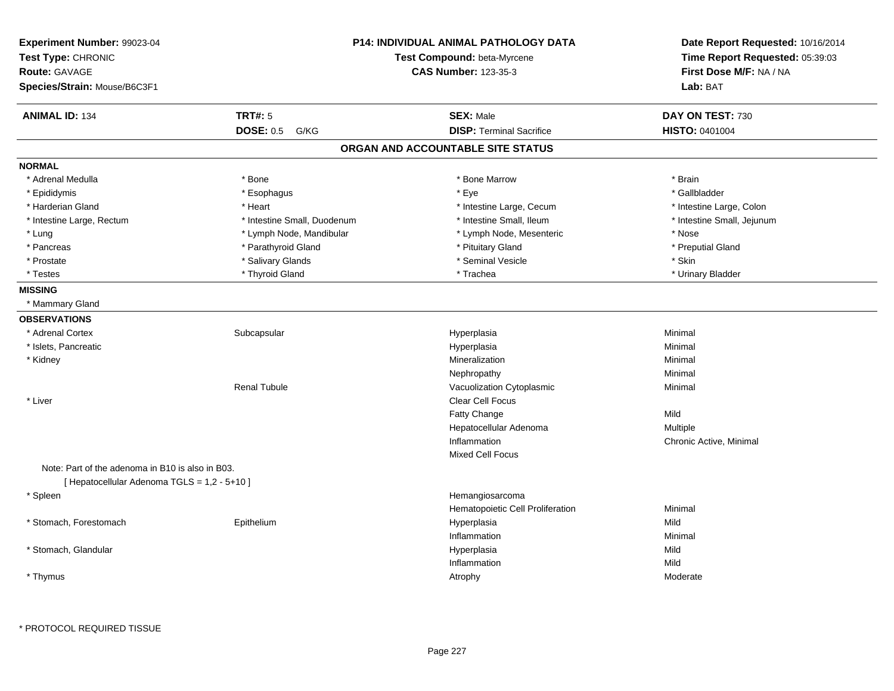| Experiment Number: 99023-04<br>Test Type: CHRONIC<br><b>Route: GAVAGE</b><br>Species/Strain: Mouse/B6C3F1 |                             | P14: INDIVIDUAL ANIMAL PATHOLOGY DATA<br>Test Compound: beta-Myrcene<br><b>CAS Number: 123-35-3</b> | Date Report Requested: 10/16/2014<br>Time Report Requested: 05:39:03<br>First Dose M/F: NA / NA<br>Lab: BAT |
|-----------------------------------------------------------------------------------------------------------|-----------------------------|-----------------------------------------------------------------------------------------------------|-------------------------------------------------------------------------------------------------------------|
| <b>ANIMAL ID: 134</b>                                                                                     | <b>TRT#: 5</b>              | <b>SEX: Male</b>                                                                                    | DAY ON TEST: 730                                                                                            |
|                                                                                                           | <b>DOSE: 0.5 G/KG</b>       | <b>DISP: Terminal Sacrifice</b>                                                                     | <b>HISTO: 0401004</b>                                                                                       |
|                                                                                                           |                             | ORGAN AND ACCOUNTABLE SITE STATUS                                                                   |                                                                                                             |
| <b>NORMAL</b>                                                                                             |                             |                                                                                                     |                                                                                                             |
| * Adrenal Medulla                                                                                         | * Bone                      | * Bone Marrow                                                                                       | * Brain                                                                                                     |
| * Epididymis                                                                                              | * Esophagus                 | * Eye                                                                                               | * Gallbladder                                                                                               |
| * Harderian Gland                                                                                         | * Heart                     | * Intestine Large, Cecum                                                                            | * Intestine Large, Colon                                                                                    |
| * Intestine Large, Rectum                                                                                 | * Intestine Small, Duodenum | * Intestine Small, Ileum                                                                            | * Intestine Small, Jejunum                                                                                  |
| * Lung                                                                                                    | * Lymph Node, Mandibular    | * Lymph Node, Mesenteric                                                                            | * Nose                                                                                                      |
| * Pancreas                                                                                                | * Parathyroid Gland         | * Pituitary Gland                                                                                   | * Preputial Gland                                                                                           |
| * Prostate                                                                                                | * Salivary Glands           | * Seminal Vesicle                                                                                   | * Skin                                                                                                      |
| * Testes                                                                                                  | * Thyroid Gland             | * Trachea                                                                                           | * Urinary Bladder                                                                                           |
| <b>MISSING</b>                                                                                            |                             |                                                                                                     |                                                                                                             |
| * Mammary Gland                                                                                           |                             |                                                                                                     |                                                                                                             |
| <b>OBSERVATIONS</b>                                                                                       |                             |                                                                                                     |                                                                                                             |
| * Adrenal Cortex                                                                                          | Subcapsular                 | Hyperplasia                                                                                         | Minimal                                                                                                     |
| * Islets, Pancreatic                                                                                      |                             | Hyperplasia                                                                                         | Minimal                                                                                                     |
| * Kidney                                                                                                  |                             | Mineralization                                                                                      | Minimal                                                                                                     |
|                                                                                                           |                             | Nephropathy                                                                                         | Minimal                                                                                                     |
|                                                                                                           | <b>Renal Tubule</b>         | Vacuolization Cytoplasmic                                                                           | Minimal                                                                                                     |
| * Liver                                                                                                   |                             | <b>Clear Cell Focus</b>                                                                             |                                                                                                             |
|                                                                                                           |                             | Fatty Change                                                                                        | Mild                                                                                                        |
|                                                                                                           |                             | Hepatocellular Adenoma                                                                              | Multiple                                                                                                    |
|                                                                                                           |                             | Inflammation                                                                                        | Chronic Active, Minimal                                                                                     |
|                                                                                                           |                             | Mixed Cell Focus                                                                                    |                                                                                                             |
| Note: Part of the adenoma in B10 is also in B03.<br>[ Hepatocellular Adenoma TGLS = 1,2 - 5+10 ]          |                             |                                                                                                     |                                                                                                             |
| * Spleen                                                                                                  |                             | Hemangiosarcoma                                                                                     |                                                                                                             |
|                                                                                                           |                             | Hematopoietic Cell Proliferation                                                                    | Minimal                                                                                                     |
| * Stomach, Forestomach                                                                                    | Epithelium                  | Hyperplasia                                                                                         | Mild                                                                                                        |
|                                                                                                           |                             | Inflammation                                                                                        | Minimal                                                                                                     |
| * Stomach, Glandular                                                                                      |                             | Hyperplasia                                                                                         | Mild                                                                                                        |
|                                                                                                           |                             | Inflammation                                                                                        | Mild                                                                                                        |
| * Thymus                                                                                                  |                             | Atrophy                                                                                             | Moderate                                                                                                    |
|                                                                                                           |                             |                                                                                                     |                                                                                                             |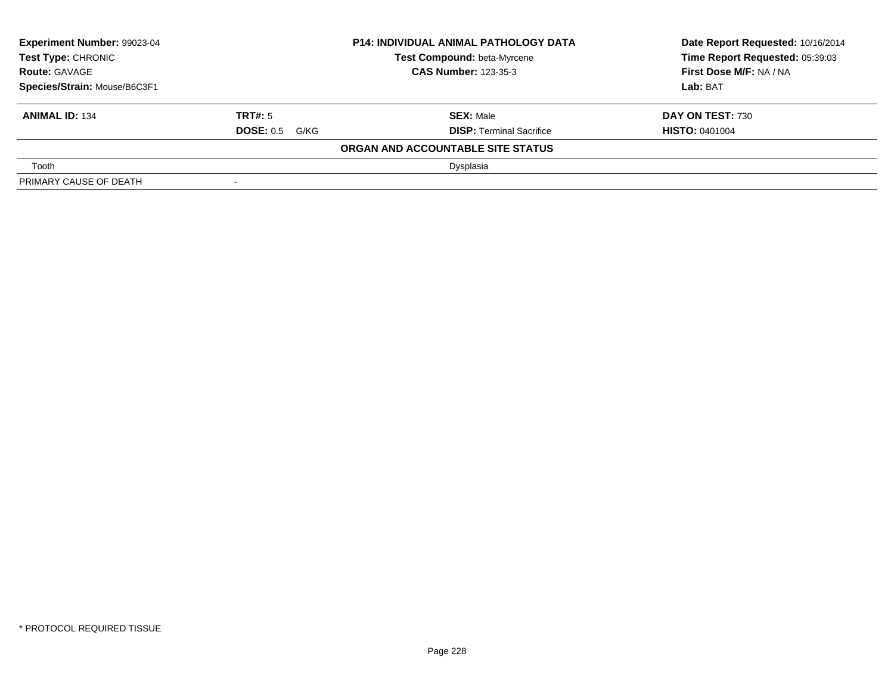| <b>Experiment Number: 99023-04</b><br><b>P14: INDIVIDUAL ANIMAL PATHOLOGY DATA</b><br><b>Test Type: CHRONIC</b><br><b>Test Compound: beta-Myrcene</b><br><b>CAS Number: 123-35-3</b><br><b>Route: GAVAGE</b><br>Species/Strain: Mouse/B6C3F1 |                       |                                   | Date Report Requested: 10/16/2014 |
|----------------------------------------------------------------------------------------------------------------------------------------------------------------------------------------------------------------------------------------------|-----------------------|-----------------------------------|-----------------------------------|
|                                                                                                                                                                                                                                              |                       |                                   | Time Report Requested: 05:39:03   |
|                                                                                                                                                                                                                                              |                       |                                   | First Dose M/F: NA / NA           |
|                                                                                                                                                                                                                                              |                       |                                   | Lab: BAT                          |
| <b>ANIMAL ID: 134</b>                                                                                                                                                                                                                        | TRT#: 5               | <b>SEX: Male</b>                  | DAY ON TEST: 730                  |
|                                                                                                                                                                                                                                              | <b>DOSE: 0.5 G/KG</b> | <b>DISP: Terminal Sacrifice</b>   | <b>HISTO: 0401004</b>             |
|                                                                                                                                                                                                                                              |                       | ORGAN AND ACCOUNTABLE SITE STATUS |                                   |
| Tooth                                                                                                                                                                                                                                        |                       | Dysplasia                         |                                   |
| PRIMARY CAUSE OF DEATH                                                                                                                                                                                                                       |                       |                                   |                                   |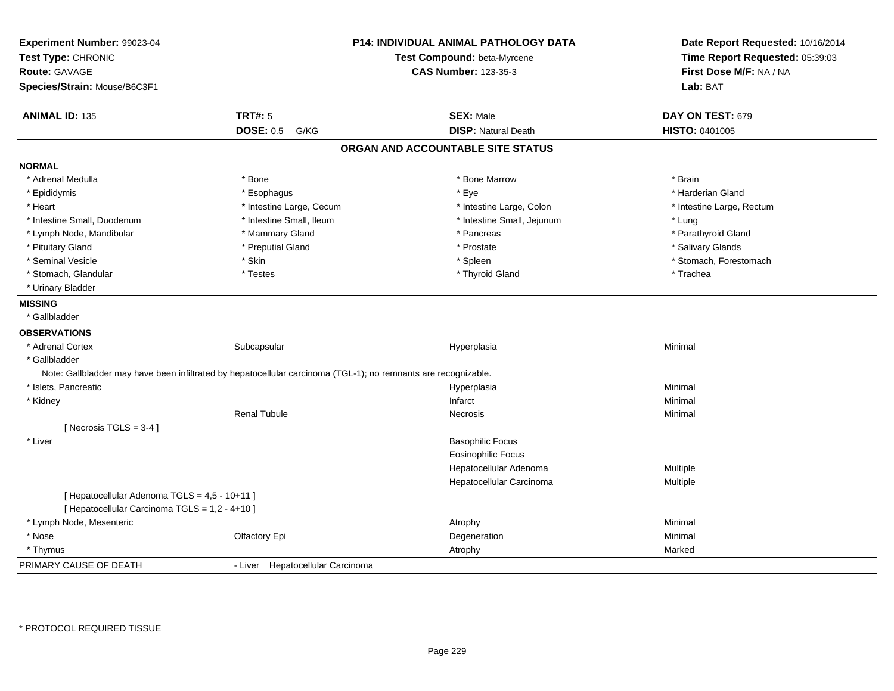| Experiment Number: 99023-04<br>Test Type: CHRONIC<br><b>Route: GAVAGE</b><br>Species/Strain: Mouse/B6C3F1      | <b>P14: INDIVIDUAL ANIMAL PATHOLOGY DATA</b><br>Test Compound: beta-Myrcene<br><b>CAS Number: 123-35-3</b> | Date Report Requested: 10/16/2014<br>Time Report Requested: 05:39:03<br>First Dose M/F: NA / NA<br>Lab: BAT |
|----------------------------------------------------------------------------------------------------------------|------------------------------------------------------------------------------------------------------------|-------------------------------------------------------------------------------------------------------------|
|                                                                                                                |                                                                                                            |                                                                                                             |
| <b>TRT#: 5</b><br><b>ANIMAL ID: 135</b>                                                                        | <b>SEX: Male</b>                                                                                           | DAY ON TEST: 679                                                                                            |
| <b>DOSE: 0.5</b><br>G/KG                                                                                       | <b>DISP: Natural Death</b>                                                                                 | HISTO: 0401005                                                                                              |
|                                                                                                                | ORGAN AND ACCOUNTABLE SITE STATUS                                                                          |                                                                                                             |
| <b>NORMAL</b>                                                                                                  |                                                                                                            |                                                                                                             |
| * Adrenal Medulla<br>* Bone                                                                                    | * Bone Marrow                                                                                              | * Brain                                                                                                     |
| * Epididymis<br>* Esophagus                                                                                    | * Eye                                                                                                      | * Harderian Gland                                                                                           |
| * Heart<br>* Intestine Large, Cecum                                                                            | * Intestine Large, Colon                                                                                   | * Intestine Large, Rectum                                                                                   |
| * Intestine Small, Duodenum<br>* Intestine Small, Ileum                                                        | * Intestine Small, Jejunum                                                                                 | * Lung                                                                                                      |
| * Lymph Node, Mandibular<br>* Mammary Gland                                                                    | * Pancreas                                                                                                 | * Parathyroid Gland                                                                                         |
| * Pituitary Gland<br>* Preputial Gland                                                                         | * Prostate                                                                                                 | * Salivary Glands                                                                                           |
| * Skin<br>* Seminal Vesicle                                                                                    | * Spleen                                                                                                   | * Stomach, Forestomach                                                                                      |
| * Stomach, Glandular<br>* Testes                                                                               | * Thyroid Gland                                                                                            | * Trachea                                                                                                   |
| * Urinary Bladder                                                                                              |                                                                                                            |                                                                                                             |
| <b>MISSING</b>                                                                                                 |                                                                                                            |                                                                                                             |
| * Gallbladder                                                                                                  |                                                                                                            |                                                                                                             |
| <b>OBSERVATIONS</b>                                                                                            |                                                                                                            |                                                                                                             |
| * Adrenal Cortex<br>Subcapsular                                                                                | Hyperplasia                                                                                                | Minimal                                                                                                     |
| * Gallbladder                                                                                                  |                                                                                                            |                                                                                                             |
| Note: Gallbladder may have been infiltrated by hepatocellular carcinoma (TGL-1); no remnants are recognizable. |                                                                                                            |                                                                                                             |
| * Islets, Pancreatic                                                                                           | Hyperplasia                                                                                                | Minimal                                                                                                     |
| * Kidney                                                                                                       | Infarct                                                                                                    | Minimal                                                                                                     |
| <b>Renal Tubule</b>                                                                                            | <b>Necrosis</b>                                                                                            | Minimal                                                                                                     |
| [ Necrosis TGLS = $3-4$ ]                                                                                      |                                                                                                            |                                                                                                             |
| * Liver                                                                                                        | <b>Basophilic Focus</b>                                                                                    |                                                                                                             |
|                                                                                                                | <b>Eosinophilic Focus</b>                                                                                  |                                                                                                             |
|                                                                                                                | Hepatocellular Adenoma                                                                                     | Multiple                                                                                                    |
|                                                                                                                | Hepatocellular Carcinoma                                                                                   | Multiple                                                                                                    |
| [ Hepatocellular Adenoma TGLS = 4,5 - 10+11 ]                                                                  |                                                                                                            |                                                                                                             |
| [ Hepatocellular Carcinoma TGLS = 1,2 - 4+10 ]                                                                 |                                                                                                            |                                                                                                             |
| * Lymph Node, Mesenteric                                                                                       | Atrophy                                                                                                    | Minimal                                                                                                     |
| * Nose<br>Olfactory Epi                                                                                        | Degeneration                                                                                               | Minimal                                                                                                     |
| * Thymus                                                                                                       | Atrophy                                                                                                    | Marked                                                                                                      |
| PRIMARY CAUSE OF DEATH<br>- Liver Hepatocellular Carcinoma                                                     |                                                                                                            |                                                                                                             |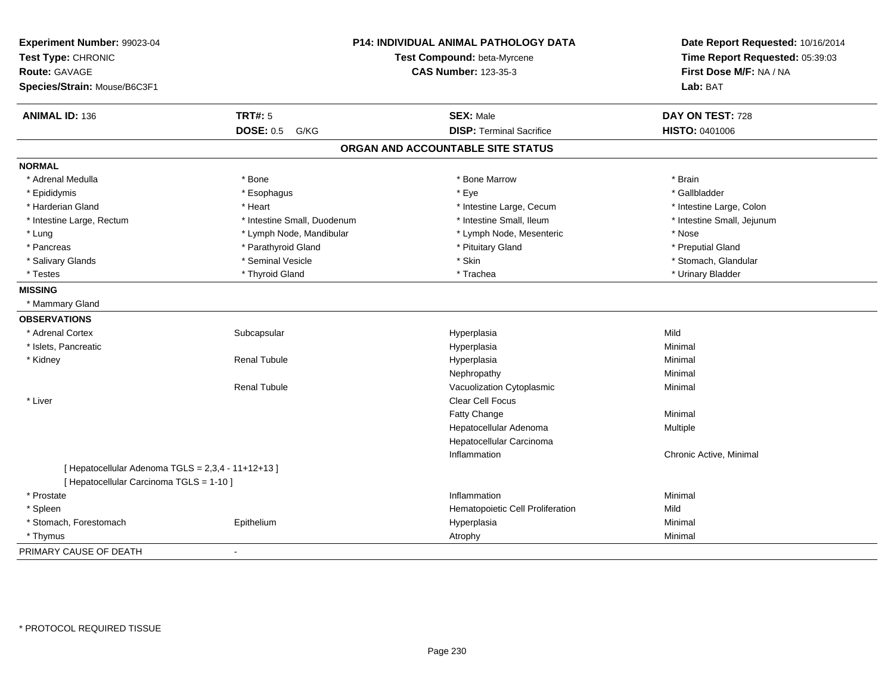| Experiment Number: 99023-04<br>Test Type: CHRONIC<br><b>Route: GAVAGE</b><br>Species/Strain: Mouse/B6C3F1 |                             | <b>P14: INDIVIDUAL ANIMAL PATHOLOGY DATA</b><br>Test Compound: beta-Myrcene<br><b>CAS Number: 123-35-3</b> |                            |
|-----------------------------------------------------------------------------------------------------------|-----------------------------|------------------------------------------------------------------------------------------------------------|----------------------------|
| <b>ANIMAL ID: 136</b>                                                                                     | <b>TRT#: 5</b>              | <b>SEX: Male</b>                                                                                           | DAY ON TEST: 728           |
|                                                                                                           | <b>DOSE: 0.5 G/KG</b>       | <b>DISP: Terminal Sacrifice</b>                                                                            | <b>HISTO: 0401006</b>      |
|                                                                                                           |                             | ORGAN AND ACCOUNTABLE SITE STATUS                                                                          |                            |
| <b>NORMAL</b>                                                                                             |                             |                                                                                                            |                            |
| * Adrenal Medulla                                                                                         | * Bone                      | * Bone Marrow                                                                                              | * Brain                    |
| * Epididymis                                                                                              | * Esophagus                 | * Eye                                                                                                      | * Gallbladder              |
| * Harderian Gland                                                                                         | * Heart                     | * Intestine Large, Cecum                                                                                   | * Intestine Large, Colon   |
| * Intestine Large, Rectum                                                                                 | * Intestine Small, Duodenum | * Intestine Small, Ileum                                                                                   | * Intestine Small, Jejunum |
| * Lung                                                                                                    | * Lymph Node, Mandibular    | * Lymph Node, Mesenteric                                                                                   | * Nose                     |
| * Pancreas                                                                                                | * Parathyroid Gland         | * Pituitary Gland                                                                                          | * Preputial Gland          |
| * Salivary Glands                                                                                         | * Seminal Vesicle           | * Skin                                                                                                     | * Stomach, Glandular       |
| * Testes                                                                                                  | * Thyroid Gland             | * Trachea                                                                                                  | * Urinary Bladder          |
| <b>MISSING</b>                                                                                            |                             |                                                                                                            |                            |
| * Mammary Gland                                                                                           |                             |                                                                                                            |                            |
| <b>OBSERVATIONS</b>                                                                                       |                             |                                                                                                            |                            |
| * Adrenal Cortex                                                                                          | Subcapsular                 | Hyperplasia                                                                                                | Mild                       |
| * Islets, Pancreatic                                                                                      |                             | Hyperplasia                                                                                                | Minimal                    |
| * Kidney                                                                                                  | <b>Renal Tubule</b>         | Hyperplasia                                                                                                | Minimal                    |
|                                                                                                           |                             | Nephropathy                                                                                                | Minimal                    |
|                                                                                                           | <b>Renal Tubule</b>         | Vacuolization Cytoplasmic                                                                                  | Minimal                    |
| * Liver                                                                                                   |                             | <b>Clear Cell Focus</b>                                                                                    |                            |
|                                                                                                           |                             | Fatty Change                                                                                               | Minimal                    |
|                                                                                                           |                             | Hepatocellular Adenoma                                                                                     | Multiple                   |
|                                                                                                           |                             | Hepatocellular Carcinoma                                                                                   |                            |
|                                                                                                           |                             | Inflammation                                                                                               | Chronic Active, Minimal    |
| [ Hepatocellular Adenoma TGLS = 2,3,4 - 11+12+13 ]<br>[ Hepatocellular Carcinoma TGLS = 1-10 ]            |                             |                                                                                                            |                            |
| * Prostate                                                                                                |                             | Inflammation                                                                                               | Minimal                    |
| * Spleen                                                                                                  |                             | Hematopoietic Cell Proliferation                                                                           | Mild                       |
| * Stomach, Forestomach                                                                                    | Epithelium                  | Hyperplasia                                                                                                | Minimal                    |
| * Thymus                                                                                                  |                             | Atrophy                                                                                                    | Minimal                    |
| PRIMARY CAUSE OF DEATH                                                                                    |                             |                                                                                                            |                            |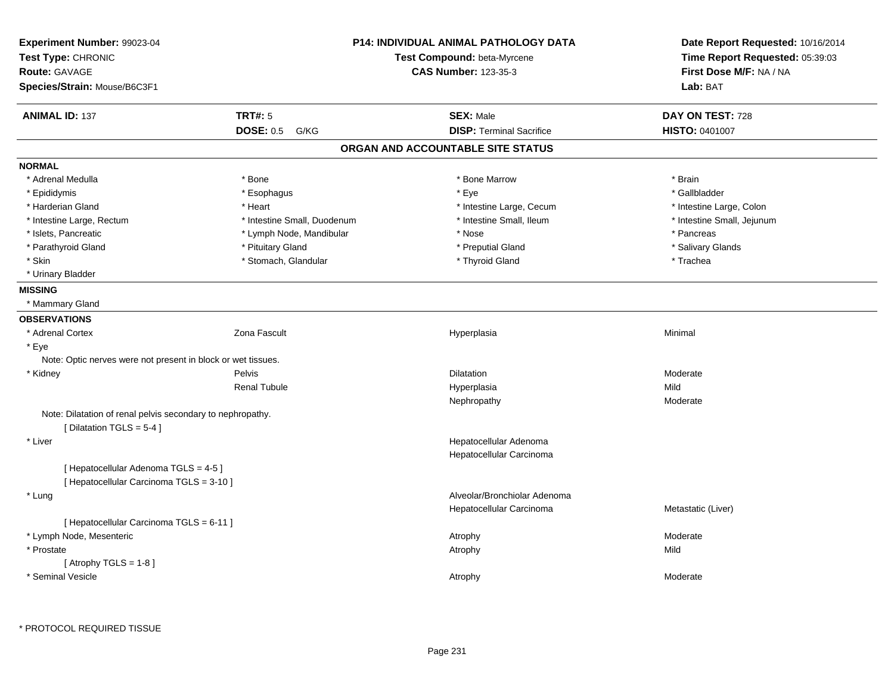| Experiment Number: 99023-04<br>Test Type: CHRONIC<br><b>Route: GAVAGE</b><br>Species/Strain: Mouse/B6C3F1 |                             | <b>P14: INDIVIDUAL ANIMAL PATHOLOGY DATA</b><br>Test Compound: beta-Myrcene<br><b>CAS Number: 123-35-3</b> | Date Report Requested: 10/16/2014<br>Time Report Requested: 05:39:03<br>First Dose M/F: NA / NA<br>Lab: BAT |
|-----------------------------------------------------------------------------------------------------------|-----------------------------|------------------------------------------------------------------------------------------------------------|-------------------------------------------------------------------------------------------------------------|
| <b>ANIMAL ID: 137</b>                                                                                     | <b>TRT#: 5</b>              | <b>SEX: Male</b>                                                                                           | DAY ON TEST: 728                                                                                            |
|                                                                                                           | <b>DOSE: 0.5 G/KG</b>       | <b>DISP: Terminal Sacrifice</b>                                                                            | HISTO: 0401007                                                                                              |
|                                                                                                           |                             | ORGAN AND ACCOUNTABLE SITE STATUS                                                                          |                                                                                                             |
| <b>NORMAL</b>                                                                                             |                             |                                                                                                            |                                                                                                             |
| * Adrenal Medulla                                                                                         | * Bone                      | * Bone Marrow                                                                                              | * Brain                                                                                                     |
| * Epididymis                                                                                              | * Esophagus                 | * Eye                                                                                                      | * Gallbladder                                                                                               |
| * Harderian Gland                                                                                         | * Heart                     | * Intestine Large, Cecum                                                                                   | * Intestine Large, Colon                                                                                    |
| * Intestine Large, Rectum                                                                                 | * Intestine Small, Duodenum | * Intestine Small, Ileum                                                                                   | * Intestine Small, Jejunum                                                                                  |
| * Islets, Pancreatic                                                                                      | * Lymph Node, Mandibular    | * Nose                                                                                                     | * Pancreas                                                                                                  |
| * Parathyroid Gland                                                                                       | * Pituitary Gland           | * Preputial Gland                                                                                          | * Salivary Glands                                                                                           |
| * Skin                                                                                                    | * Stomach, Glandular        | * Thyroid Gland                                                                                            | * Trachea                                                                                                   |
| * Urinary Bladder                                                                                         |                             |                                                                                                            |                                                                                                             |
| <b>MISSING</b>                                                                                            |                             |                                                                                                            |                                                                                                             |
| * Mammary Gland                                                                                           |                             |                                                                                                            |                                                                                                             |
| <b>OBSERVATIONS</b>                                                                                       |                             |                                                                                                            |                                                                                                             |
| * Adrenal Cortex                                                                                          | Zona Fascult                | Hyperplasia                                                                                                | Minimal                                                                                                     |
| * Eye                                                                                                     |                             |                                                                                                            |                                                                                                             |
| Note: Optic nerves were not present in block or wet tissues.                                              |                             |                                                                                                            |                                                                                                             |
| * Kidney                                                                                                  | Pelvis                      | <b>Dilatation</b>                                                                                          | Moderate                                                                                                    |
|                                                                                                           | <b>Renal Tubule</b>         | Hyperplasia                                                                                                | Mild                                                                                                        |
|                                                                                                           |                             | Nephropathy                                                                                                | Moderate                                                                                                    |
| Note: Dilatation of renal pelvis secondary to nephropathy.<br>[Dilatation TGLS = 5-4]                     |                             |                                                                                                            |                                                                                                             |
| * Liver                                                                                                   |                             | Hepatocellular Adenoma<br>Hepatocellular Carcinoma                                                         |                                                                                                             |
| [ Hepatocellular Adenoma TGLS = 4-5]<br>[ Hepatocellular Carcinoma TGLS = 3-10 ]                          |                             |                                                                                                            |                                                                                                             |
| * Lung                                                                                                    |                             | Alveolar/Bronchiolar Adenoma<br>Hepatocellular Carcinoma                                                   | Metastatic (Liver)                                                                                          |
| [ Hepatocellular Carcinoma TGLS = 6-11 ]                                                                  |                             |                                                                                                            |                                                                                                             |
| * Lymph Node, Mesenteric                                                                                  |                             | Atrophy                                                                                                    | Moderate                                                                                                    |
| * Prostate                                                                                                |                             | Atrophy                                                                                                    | Mild                                                                                                        |
| [Atrophy TGLS = $1-8$ ]                                                                                   |                             |                                                                                                            |                                                                                                             |
| * Seminal Vesicle                                                                                         |                             | Atrophy                                                                                                    | Moderate                                                                                                    |
|                                                                                                           |                             |                                                                                                            |                                                                                                             |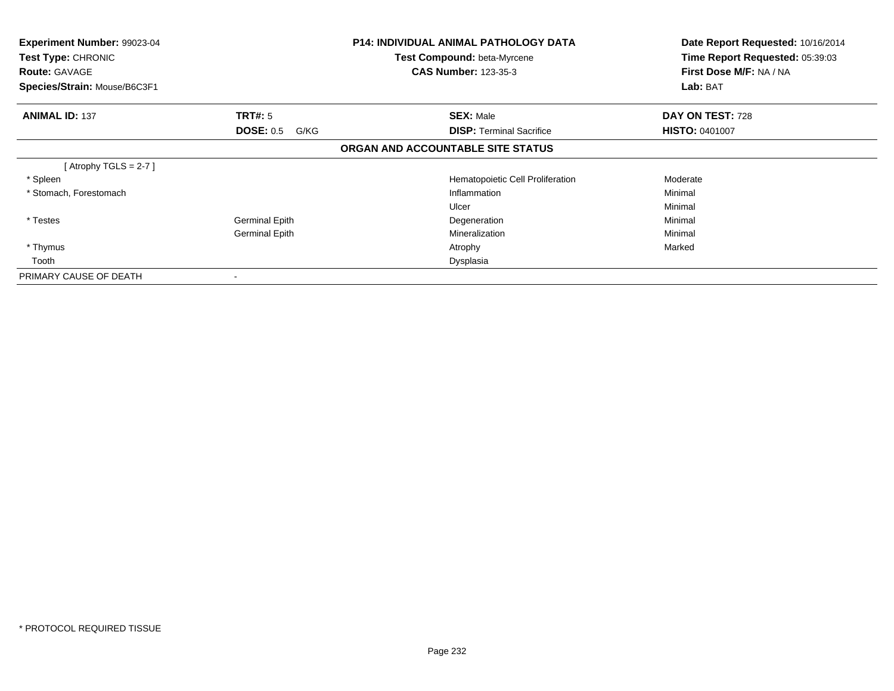| Experiment Number: 99023-04<br>Test Type: CHRONIC<br><b>Route: GAVAGE</b><br>Species/Strain: Mouse/B6C3F1 |                          | P14: INDIVIDUAL ANIMAL PATHOLOGY DATA<br><b>Test Compound: beta-Myrcene</b><br><b>CAS Number: 123-35-3</b> | Date Report Requested: 10/16/2014<br>Time Report Requested: 05:39:03<br>First Dose M/F: NA / NA<br>Lab: BAT |
|-----------------------------------------------------------------------------------------------------------|--------------------------|------------------------------------------------------------------------------------------------------------|-------------------------------------------------------------------------------------------------------------|
| <b>ANIMAL ID: 137</b>                                                                                     | <b>TRT#: 5</b>           | <b>SEX: Male</b>                                                                                           | DAY ON TEST: 728                                                                                            |
|                                                                                                           | <b>DOSE: 0.5</b><br>G/KG | <b>DISP:</b> Terminal Sacrifice                                                                            | <b>HISTO: 0401007</b>                                                                                       |
|                                                                                                           |                          | ORGAN AND ACCOUNTABLE SITE STATUS                                                                          |                                                                                                             |
| [Atrophy TGLS = 2-7 ]                                                                                     |                          |                                                                                                            |                                                                                                             |
| * Spleen                                                                                                  |                          | Hematopoietic Cell Proliferation                                                                           | Moderate                                                                                                    |
| * Stomach, Forestomach                                                                                    |                          | Inflammation                                                                                               | Minimal                                                                                                     |
|                                                                                                           |                          | Ulcer                                                                                                      | Minimal                                                                                                     |
| * Testes                                                                                                  | <b>Germinal Epith</b>    | Degeneration                                                                                               | Minimal                                                                                                     |
|                                                                                                           | <b>Germinal Epith</b>    | Mineralization                                                                                             | Minimal                                                                                                     |
| * Thymus                                                                                                  |                          | Atrophy                                                                                                    | Marked                                                                                                      |
| Tooth                                                                                                     |                          | Dysplasia                                                                                                  |                                                                                                             |
| PRIMARY CAUSE OF DEATH                                                                                    |                          |                                                                                                            |                                                                                                             |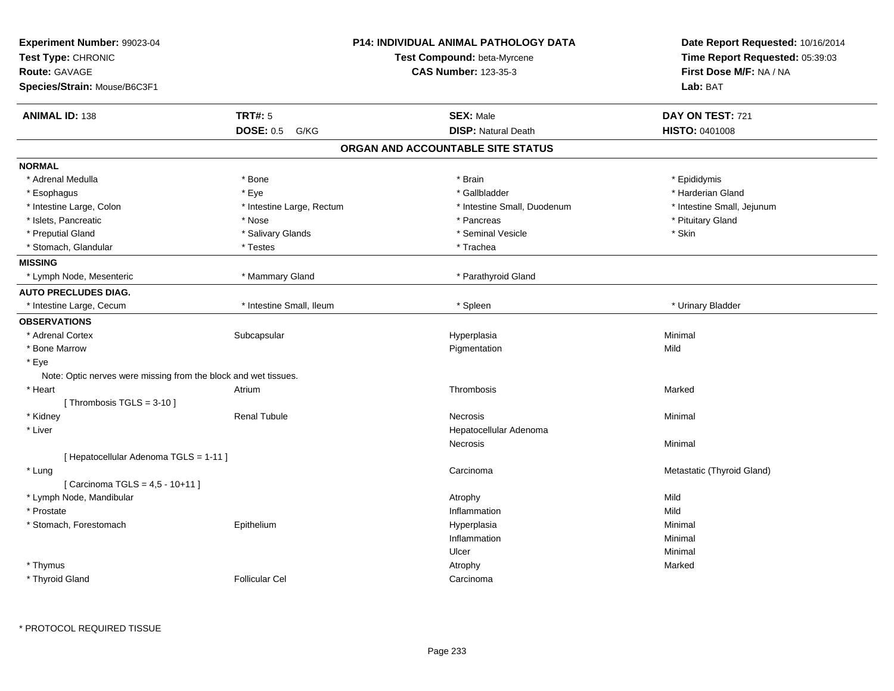| Experiment Number: 99023-04<br>Test Type: CHRONIC<br>Route: GAVAGE<br>Species/Strain: Mouse/B6C3F1 |                           | P14: INDIVIDUAL ANIMAL PATHOLOGY DATA<br>Test Compound: beta-Myrcene<br><b>CAS Number: 123-35-3</b> | Date Report Requested: 10/16/2014<br>Time Report Requested: 05:39:03<br>First Dose M/F: NA / NA<br>Lab: BAT |
|----------------------------------------------------------------------------------------------------|---------------------------|-----------------------------------------------------------------------------------------------------|-------------------------------------------------------------------------------------------------------------|
| <b>ANIMAL ID: 138</b>                                                                              | <b>TRT#: 5</b>            | <b>SEX: Male</b>                                                                                    | DAY ON TEST: 721                                                                                            |
|                                                                                                    | <b>DOSE: 0.5 G/KG</b>     | <b>DISP: Natural Death</b>                                                                          | HISTO: 0401008                                                                                              |
|                                                                                                    |                           | ORGAN AND ACCOUNTABLE SITE STATUS                                                                   |                                                                                                             |
| <b>NORMAL</b>                                                                                      |                           |                                                                                                     |                                                                                                             |
| * Adrenal Medulla                                                                                  | * Bone                    | * Brain                                                                                             | * Epididymis                                                                                                |
| * Esophagus                                                                                        | * Eye                     | * Gallbladder                                                                                       | * Harderian Gland                                                                                           |
| * Intestine Large, Colon                                                                           | * Intestine Large, Rectum | * Intestine Small, Duodenum                                                                         | * Intestine Small, Jejunum                                                                                  |
| * Islets, Pancreatic                                                                               | * Nose                    | * Pancreas                                                                                          | * Pituitary Gland                                                                                           |
| * Preputial Gland                                                                                  | * Salivary Glands         | * Seminal Vesicle                                                                                   | * Skin                                                                                                      |
| * Stomach, Glandular                                                                               | * Testes                  | * Trachea                                                                                           |                                                                                                             |
| <b>MISSING</b>                                                                                     |                           |                                                                                                     |                                                                                                             |
| * Lymph Node, Mesenteric                                                                           | * Mammary Gland           | * Parathyroid Gland                                                                                 |                                                                                                             |
| <b>AUTO PRECLUDES DIAG.</b>                                                                        |                           |                                                                                                     |                                                                                                             |
| * Intestine Large, Cecum                                                                           | * Intestine Small, Ileum  | * Spleen                                                                                            | * Urinary Bladder                                                                                           |
| <b>OBSERVATIONS</b>                                                                                |                           |                                                                                                     |                                                                                                             |
| * Adrenal Cortex                                                                                   | Subcapsular               | Hyperplasia                                                                                         | Minimal                                                                                                     |
| * Bone Marrow                                                                                      |                           | Pigmentation                                                                                        | Mild                                                                                                        |
| * Eye                                                                                              |                           |                                                                                                     |                                                                                                             |
| Note: Optic nerves were missing from the block and wet tissues.                                    |                           |                                                                                                     |                                                                                                             |
| * Heart                                                                                            | Atrium                    | Thrombosis                                                                                          | Marked                                                                                                      |
| [Thrombosis TGLS = $3-10$ ]                                                                        |                           |                                                                                                     |                                                                                                             |
| * Kidney                                                                                           | <b>Renal Tubule</b>       | <b>Necrosis</b>                                                                                     | Minimal                                                                                                     |
| * Liver                                                                                            |                           | Hepatocellular Adenoma                                                                              |                                                                                                             |
|                                                                                                    |                           | <b>Necrosis</b>                                                                                     | Minimal                                                                                                     |
| [ Hepatocellular Adenoma TGLS = 1-11 ]                                                             |                           |                                                                                                     |                                                                                                             |
| * Lung                                                                                             |                           | Carcinoma                                                                                           | Metastatic (Thyroid Gland)                                                                                  |
| [ Carcinoma TGLS = 4,5 - 10+11 ]                                                                   |                           |                                                                                                     |                                                                                                             |
| * Lymph Node, Mandibular                                                                           |                           | Atrophy                                                                                             | Mild                                                                                                        |
| * Prostate                                                                                         |                           | Inflammation                                                                                        | Mild                                                                                                        |
| * Stomach, Forestomach                                                                             | Epithelium                | Hyperplasia                                                                                         | Minimal                                                                                                     |
|                                                                                                    |                           | Inflammation                                                                                        | Minimal                                                                                                     |
|                                                                                                    |                           | Ulcer                                                                                               | Minimal                                                                                                     |
| * Thymus                                                                                           |                           | Atrophy                                                                                             | Marked                                                                                                      |
| * Thyroid Gland                                                                                    | <b>Follicular Cel</b>     | Carcinoma                                                                                           |                                                                                                             |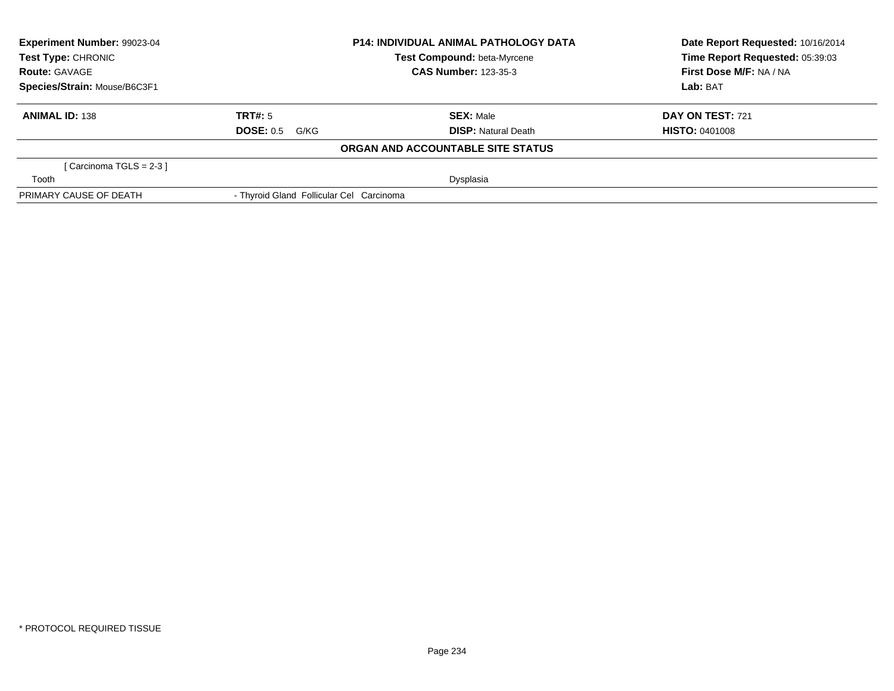| Experiment Number: 99023-04                              |                                          | <b>P14: INDIVIDUAL ANIMAL PATHOLOGY DATA</b> | Date Report Requested: 10/16/2014 |  |
|----------------------------------------------------------|------------------------------------------|----------------------------------------------|-----------------------------------|--|
| <b>Test Type: CHRONIC</b><br>Test Compound: beta-Myrcene |                                          |                                              | Time Report Requested: 05:39:03   |  |
| <b>Route: GAVAGE</b>                                     |                                          | <b>CAS Number: 123-35-3</b>                  | First Dose M/F: NA / NA           |  |
| Species/Strain: Mouse/B6C3F1                             |                                          |                                              | Lab: BAT                          |  |
| <b>ANIMAL ID: 138</b>                                    | TRT#: 5                                  | <b>SEX: Male</b>                             | DAY ON TEST: 721                  |  |
|                                                          | DOSE: 0.5<br>G/KG                        | <b>DISP:</b> Natural Death                   | <b>HISTO: 0401008</b>             |  |
|                                                          |                                          | ORGAN AND ACCOUNTABLE SITE STATUS            |                                   |  |
| [Carcinoma TGLS = 2-3 ]                                  |                                          |                                              |                                   |  |
| Tooth                                                    |                                          | Dysplasia                                    |                                   |  |
| PRIMARY CAUSE OF DEATH                                   | - Thyroid Gland Follicular Cel Carcinoma |                                              |                                   |  |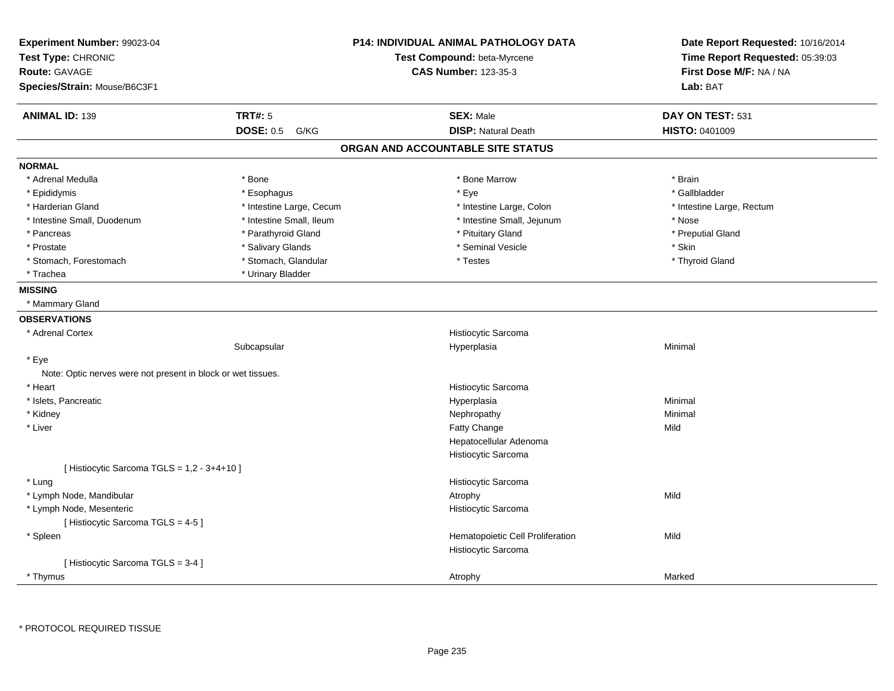| Experiment Number: 99023-04<br>Test Type: CHRONIC<br>Route: GAVAGE |                          | <b>P14: INDIVIDUAL ANIMAL PATHOLOGY DATA</b><br>Test Compound: beta-Myrcene<br><b>CAS Number: 123-35-3</b> | Date Report Requested: 10/16/2014<br>Time Report Requested: 05:39:03<br>First Dose M/F: NA / NA |
|--------------------------------------------------------------------|--------------------------|------------------------------------------------------------------------------------------------------------|-------------------------------------------------------------------------------------------------|
| Species/Strain: Mouse/B6C3F1                                       |                          |                                                                                                            | Lab: BAT                                                                                        |
| <b>ANIMAL ID: 139</b>                                              | <b>TRT#: 5</b>           | <b>SEX: Male</b>                                                                                           | DAY ON TEST: 531                                                                                |
|                                                                    | <b>DOSE: 0.5</b><br>G/KG | <b>DISP: Natural Death</b>                                                                                 | HISTO: 0401009                                                                                  |
|                                                                    |                          | ORGAN AND ACCOUNTABLE SITE STATUS                                                                          |                                                                                                 |
| <b>NORMAL</b>                                                      |                          |                                                                                                            |                                                                                                 |
| * Adrenal Medulla                                                  | * Bone                   | * Bone Marrow                                                                                              | * Brain                                                                                         |
| * Epididymis                                                       | * Esophagus              | * Eye                                                                                                      | * Gallbladder                                                                                   |
| * Harderian Gland                                                  | * Intestine Large, Cecum | * Intestine Large, Colon                                                                                   | * Intestine Large, Rectum                                                                       |
| * Intestine Small, Duodenum                                        | * Intestine Small, Ileum | * Intestine Small, Jejunum                                                                                 | * Nose                                                                                          |
| * Pancreas                                                         | * Parathyroid Gland      | * Pituitary Gland                                                                                          | * Preputial Gland                                                                               |
| * Prostate                                                         | * Salivary Glands        | * Seminal Vesicle                                                                                          | * Skin                                                                                          |
| * Stomach, Forestomach                                             | * Stomach, Glandular     | * Testes                                                                                                   | * Thyroid Gland                                                                                 |
| * Trachea                                                          | * Urinary Bladder        |                                                                                                            |                                                                                                 |
| <b>MISSING</b>                                                     |                          |                                                                                                            |                                                                                                 |
| * Mammary Gland                                                    |                          |                                                                                                            |                                                                                                 |
| <b>OBSERVATIONS</b>                                                |                          |                                                                                                            |                                                                                                 |
| * Adrenal Cortex                                                   |                          | Histiocytic Sarcoma                                                                                        |                                                                                                 |
|                                                                    | Subcapsular              | Hyperplasia                                                                                                | Minimal                                                                                         |
| * Eye                                                              |                          |                                                                                                            |                                                                                                 |
| Note: Optic nerves were not present in block or wet tissues.       |                          |                                                                                                            |                                                                                                 |
| * Heart                                                            |                          | Histiocytic Sarcoma                                                                                        |                                                                                                 |
| * Islets, Pancreatic                                               |                          | Hyperplasia                                                                                                | Minimal                                                                                         |
| * Kidney                                                           |                          | Nephropathy                                                                                                | Minimal                                                                                         |
| * Liver                                                            |                          | Fatty Change                                                                                               | Mild                                                                                            |
|                                                                    |                          | Hepatocellular Adenoma                                                                                     |                                                                                                 |
|                                                                    |                          | Histiocytic Sarcoma                                                                                        |                                                                                                 |
| [ Histiocytic Sarcoma TGLS = 1,2 - 3+4+10 ]                        |                          |                                                                                                            |                                                                                                 |
| * Lung                                                             |                          | Histiocytic Sarcoma                                                                                        |                                                                                                 |
| * Lymph Node, Mandibular                                           |                          | Atrophy                                                                                                    | Mild                                                                                            |
| * Lymph Node, Mesenteric                                           |                          | Histiocytic Sarcoma                                                                                        |                                                                                                 |
| [Histiocytic Sarcoma TGLS = 4-5]                                   |                          |                                                                                                            |                                                                                                 |
| * Spleen                                                           |                          | Hematopoietic Cell Proliferation                                                                           | Mild                                                                                            |
|                                                                    |                          | Histiocytic Sarcoma                                                                                        |                                                                                                 |
| [Histiocytic Sarcoma TGLS = 3-4]                                   |                          |                                                                                                            |                                                                                                 |
| * Thymus                                                           |                          | Atrophy                                                                                                    | Marked                                                                                          |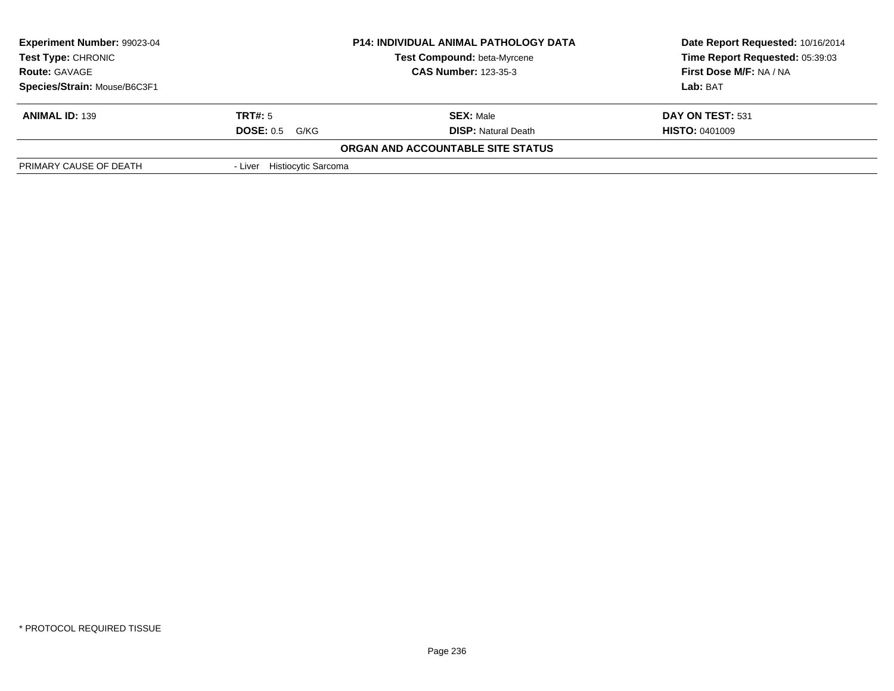| <b>Experiment Number: 99023-04</b> |                             | <b>P14: INDIVIDUAL ANIMAL PATHOLOGY DATA</b> | Date Report Requested: 10/16/2014 |
|------------------------------------|-----------------------------|----------------------------------------------|-----------------------------------|
| <b>Test Type: CHRONIC</b>          |                             | Test Compound: beta-Myrcene                  | Time Report Requested: 05:39:03   |
| <b>Route: GAVAGE</b>               |                             | <b>CAS Number: 123-35-3</b>                  | First Dose M/F: NA / NA           |
| Species/Strain: Mouse/B6C3F1       |                             |                                              | <b>Lab:</b> BAT                   |
| <b>ANIMAL ID: 139</b>              | TRT#: 5                     | <b>SEX: Male</b>                             | DAY ON TEST: 531                  |
|                                    | <b>DOSE: 0.5</b><br>G/KG    | <b>DISP:</b> Natural Death                   | <b>HISTO: 0401009</b>             |
|                                    |                             | <b>ORGAN AND ACCOUNTABLE SITE STATUS</b>     |                                   |
| PRIMARY CAUSE OF DEATH             | - Liver Histiocytic Sarcoma |                                              |                                   |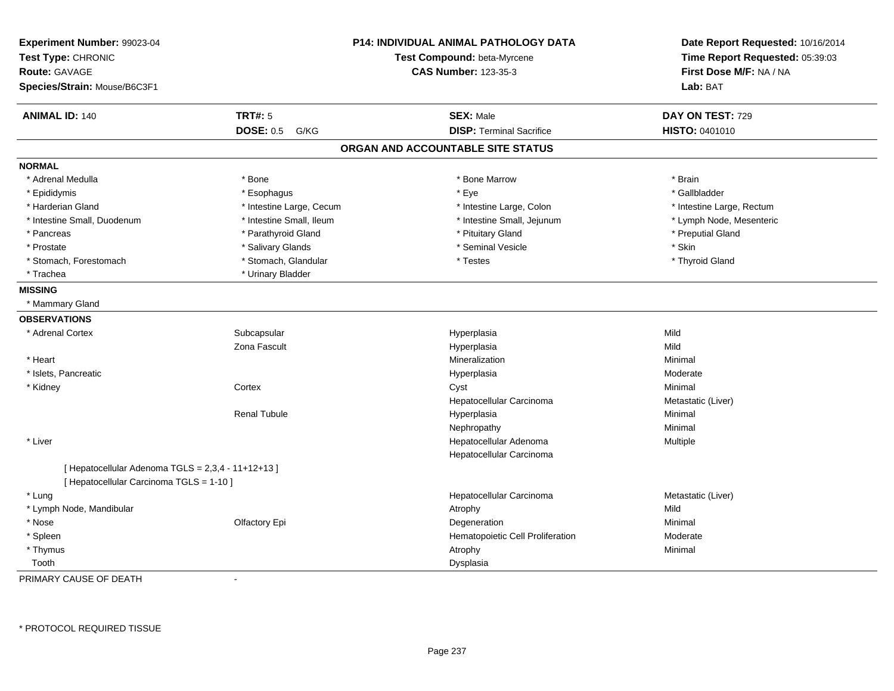| Experiment Number: 99023-04<br>Test Type: CHRONIC<br><b>Route: GAVAGE</b><br>Species/Strain: Mouse/B6C3F1 | <b>P14: INDIVIDUAL ANIMAL PATHOLOGY DATA</b><br>Test Compound: beta-Myrcene<br><b>CAS Number: 123-35-3</b> |                                   | Date Report Requested: 10/16/2014<br>Time Report Requested: 05:39:03<br>First Dose M/F: NA / NA<br>Lab: BAT |
|-----------------------------------------------------------------------------------------------------------|------------------------------------------------------------------------------------------------------------|-----------------------------------|-------------------------------------------------------------------------------------------------------------|
| <b>ANIMAL ID: 140</b>                                                                                     | <b>TRT#: 5</b>                                                                                             | <b>SEX: Male</b>                  | DAY ON TEST: 729                                                                                            |
|                                                                                                           | <b>DOSE: 0.5</b><br>G/KG                                                                                   | <b>DISP: Terminal Sacrifice</b>   | HISTO: 0401010                                                                                              |
|                                                                                                           |                                                                                                            | ORGAN AND ACCOUNTABLE SITE STATUS |                                                                                                             |
| <b>NORMAL</b>                                                                                             |                                                                                                            |                                   |                                                                                                             |
| * Adrenal Medulla                                                                                         | * Bone                                                                                                     | * Bone Marrow                     | * Brain                                                                                                     |
| * Epididymis                                                                                              | * Esophagus                                                                                                | * Eye                             | * Gallbladder                                                                                               |
| * Harderian Gland                                                                                         | * Intestine Large, Cecum                                                                                   | * Intestine Large, Colon          | * Intestine Large, Rectum                                                                                   |
| * Intestine Small, Duodenum                                                                               | * Intestine Small, Ileum                                                                                   | * Intestine Small, Jejunum        | * Lymph Node, Mesenteric                                                                                    |
| * Pancreas                                                                                                | * Parathyroid Gland                                                                                        | * Pituitary Gland                 | * Preputial Gland                                                                                           |
| * Prostate                                                                                                | * Salivary Glands                                                                                          | * Seminal Vesicle                 | * Skin                                                                                                      |
| * Stomach, Forestomach                                                                                    | * Stomach, Glandular                                                                                       | * Testes                          | * Thyroid Gland                                                                                             |
| * Trachea                                                                                                 | * Urinary Bladder                                                                                          |                                   |                                                                                                             |
| <b>MISSING</b>                                                                                            |                                                                                                            |                                   |                                                                                                             |
| * Mammary Gland                                                                                           |                                                                                                            |                                   |                                                                                                             |
| <b>OBSERVATIONS</b>                                                                                       |                                                                                                            |                                   |                                                                                                             |
| * Adrenal Cortex                                                                                          | Subcapsular                                                                                                | Hyperplasia                       | Mild                                                                                                        |
|                                                                                                           | Zona Fascult                                                                                               | Hyperplasia                       | Mild                                                                                                        |
| * Heart                                                                                                   |                                                                                                            | <b>Mineralization</b>             | Minimal                                                                                                     |
| * Islets, Pancreatic                                                                                      |                                                                                                            | Hyperplasia                       | Moderate                                                                                                    |
| * Kidney                                                                                                  | Cortex                                                                                                     | Cyst                              | Minimal                                                                                                     |
|                                                                                                           |                                                                                                            | Hepatocellular Carcinoma          | Metastatic (Liver)                                                                                          |
|                                                                                                           | <b>Renal Tubule</b>                                                                                        | Hyperplasia                       | Minimal                                                                                                     |
|                                                                                                           |                                                                                                            | Nephropathy                       | Minimal                                                                                                     |
| * Liver                                                                                                   |                                                                                                            | Hepatocellular Adenoma            | Multiple                                                                                                    |
|                                                                                                           |                                                                                                            | Hepatocellular Carcinoma          |                                                                                                             |
| [ Hepatocellular Adenoma TGLS = 2,3,4 - 11+12+13 ]<br>[ Hepatocellular Carcinoma TGLS = 1-10 ]            |                                                                                                            |                                   |                                                                                                             |
| * Lung                                                                                                    |                                                                                                            | Hepatocellular Carcinoma          | Metastatic (Liver)                                                                                          |
| * Lymph Node, Mandibular                                                                                  |                                                                                                            | Atrophy                           | Mild                                                                                                        |
| * Nose                                                                                                    | Olfactory Epi                                                                                              | Degeneration                      | Minimal                                                                                                     |
| * Spleen                                                                                                  |                                                                                                            | Hematopoietic Cell Proliferation  | Moderate                                                                                                    |
| * Thymus                                                                                                  |                                                                                                            | Atrophy                           | Minimal                                                                                                     |
| Tooth                                                                                                     |                                                                                                            | Dysplasia                         |                                                                                                             |

PRIMARY CAUSE OF DEATH-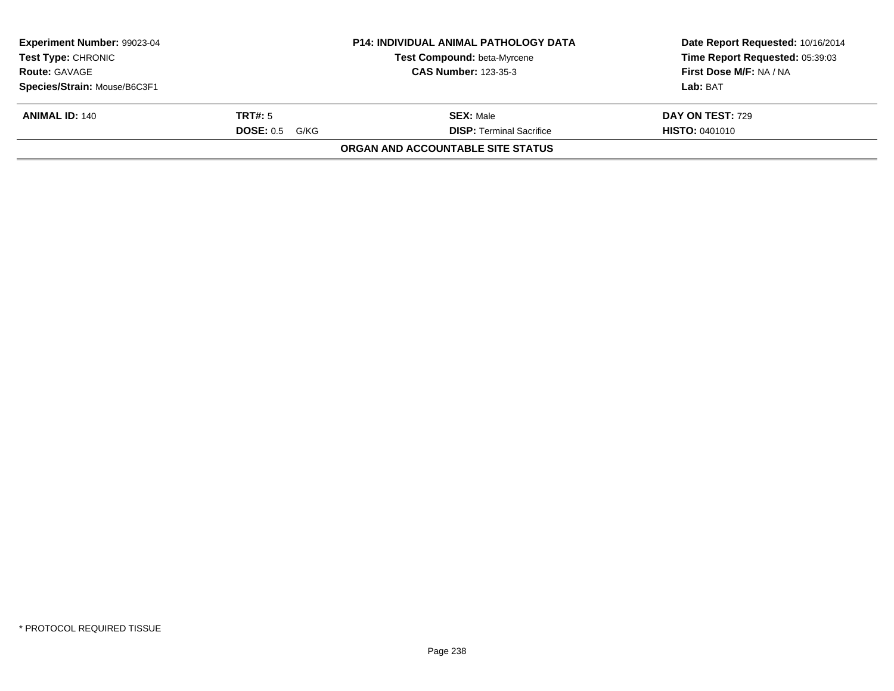| Experiment Number: 99023-04<br><b>Test Type: CHRONIC</b><br><b>Route: GAVAGE</b><br>Species/Strain: Mouse/B6C3F1 |                                     | <b>P14: INDIVIDUAL ANIMAL PATHOLOGY DATA</b><br>Test Compound: beta-Myrcene<br><b>CAS Number: 123-35-3</b> | Date Report Requested: 10/16/2014<br>Time Report Requested: 05:39:03<br>First Dose M/F: NA / NA<br>Lab: BAT |
|------------------------------------------------------------------------------------------------------------------|-------------------------------------|------------------------------------------------------------------------------------------------------------|-------------------------------------------------------------------------------------------------------------|
| <b>ANIMAL ID: 140</b>                                                                                            | TRT#: 5<br><b>DOSE: 0.5</b><br>G/KG | <b>SEX: Male</b><br><b>DISP: Terminal Sacrifice</b>                                                        | DAY ON TEST: 729<br><b>HISTO: 0401010</b>                                                                   |
|                                                                                                                  |                                     | ORGAN AND ACCOUNTABLE SITE STATUS                                                                          |                                                                                                             |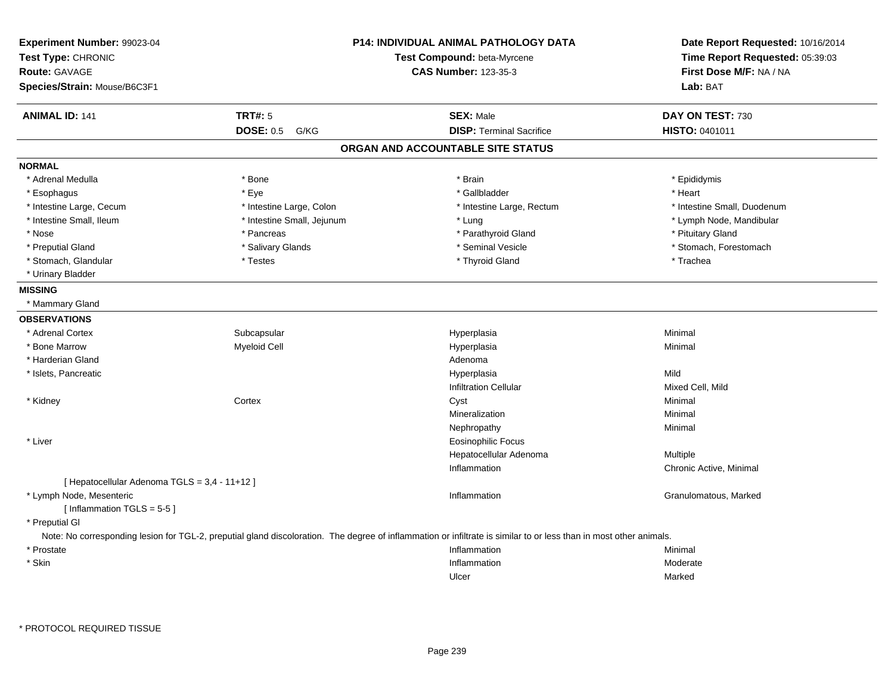| Experiment Number: 99023-04<br>Test Type: CHRONIC<br><b>Route: GAVAGE</b> |                            | <b>P14: INDIVIDUAL ANIMAL PATHOLOGY DATA</b><br>Test Compound: beta-Myrcene<br><b>CAS Number: 123-35-3</b>                                                         | Date Report Requested: 10/16/2014<br>Time Report Requested: 05:39:03<br>First Dose M/F: NA / NA |  |
|---------------------------------------------------------------------------|----------------------------|--------------------------------------------------------------------------------------------------------------------------------------------------------------------|-------------------------------------------------------------------------------------------------|--|
| Species/Strain: Mouse/B6C3F1                                              |                            |                                                                                                                                                                    | Lab: BAT                                                                                        |  |
| <b>ANIMAL ID: 141</b>                                                     | <b>TRT#: 5</b>             | <b>SEX: Male</b>                                                                                                                                                   | DAY ON TEST: 730                                                                                |  |
|                                                                           | <b>DOSE: 0.5</b><br>G/KG   | <b>DISP: Terminal Sacrifice</b>                                                                                                                                    | <b>HISTO: 0401011</b>                                                                           |  |
|                                                                           |                            | ORGAN AND ACCOUNTABLE SITE STATUS                                                                                                                                  |                                                                                                 |  |
| <b>NORMAL</b>                                                             |                            |                                                                                                                                                                    |                                                                                                 |  |
| * Adrenal Medulla                                                         | * Bone                     | * Brain                                                                                                                                                            | * Epididymis                                                                                    |  |
| * Esophagus                                                               | * Eye                      | * Gallbladder                                                                                                                                                      | * Heart                                                                                         |  |
| * Intestine Large, Cecum                                                  | * Intestine Large, Colon   | * Intestine Large, Rectum                                                                                                                                          | * Intestine Small, Duodenum                                                                     |  |
| * Intestine Small, Ileum                                                  | * Intestine Small, Jejunum | * Lung                                                                                                                                                             | * Lymph Node, Mandibular                                                                        |  |
| * Nose                                                                    | * Pancreas                 | * Parathyroid Gland                                                                                                                                                | * Pituitary Gland                                                                               |  |
| * Preputial Gland                                                         | * Salivary Glands          | * Seminal Vesicle                                                                                                                                                  | * Stomach, Forestomach                                                                          |  |
| * Stomach, Glandular                                                      | * Testes                   | * Thyroid Gland                                                                                                                                                    | * Trachea                                                                                       |  |
| * Urinary Bladder                                                         |                            |                                                                                                                                                                    |                                                                                                 |  |
| <b>MISSING</b>                                                            |                            |                                                                                                                                                                    |                                                                                                 |  |
| * Mammary Gland                                                           |                            |                                                                                                                                                                    |                                                                                                 |  |
| <b>OBSERVATIONS</b>                                                       |                            |                                                                                                                                                                    |                                                                                                 |  |
| * Adrenal Cortex                                                          | Subcapsular                | Hyperplasia                                                                                                                                                        | Minimal                                                                                         |  |
| * Bone Marrow                                                             | <b>Myeloid Cell</b>        | Hyperplasia                                                                                                                                                        | Minimal                                                                                         |  |
| * Harderian Gland                                                         |                            | Adenoma                                                                                                                                                            |                                                                                                 |  |
| * Islets, Pancreatic                                                      |                            | Hyperplasia                                                                                                                                                        | Mild                                                                                            |  |
|                                                                           |                            | <b>Infiltration Cellular</b>                                                                                                                                       | Mixed Cell, Mild                                                                                |  |
| * Kidney                                                                  | Cortex                     | Cyst                                                                                                                                                               | Minimal                                                                                         |  |
|                                                                           |                            | Mineralization                                                                                                                                                     | Minimal                                                                                         |  |
|                                                                           |                            | Nephropathy                                                                                                                                                        | Minimal                                                                                         |  |
| * Liver                                                                   |                            | <b>Eosinophilic Focus</b>                                                                                                                                          |                                                                                                 |  |
|                                                                           |                            | Hepatocellular Adenoma                                                                                                                                             | Multiple                                                                                        |  |
|                                                                           |                            | Inflammation                                                                                                                                                       | Chronic Active, Minimal                                                                         |  |
| [ Hepatocellular Adenoma TGLS = 3,4 - 11+12 ]                             |                            |                                                                                                                                                                    |                                                                                                 |  |
| * Lymph Node, Mesenteric                                                  |                            | Inflammation                                                                                                                                                       | Granulomatous, Marked                                                                           |  |
| [Inflammation TGLS = $5-5$ ]                                              |                            |                                                                                                                                                                    |                                                                                                 |  |
| * Preputial GI                                                            |                            |                                                                                                                                                                    |                                                                                                 |  |
|                                                                           |                            | Note: No corresponding lesion for TGL-2, preputial gland discoloration. The degree of inflammation or infiltrate is similar to or less than in most other animals. |                                                                                                 |  |
| * Prostate                                                                |                            | Inflammation                                                                                                                                                       | Minimal                                                                                         |  |
| * Skin                                                                    |                            | Inflammation                                                                                                                                                       | Moderate                                                                                        |  |
|                                                                           |                            | Ulcer                                                                                                                                                              | Marked                                                                                          |  |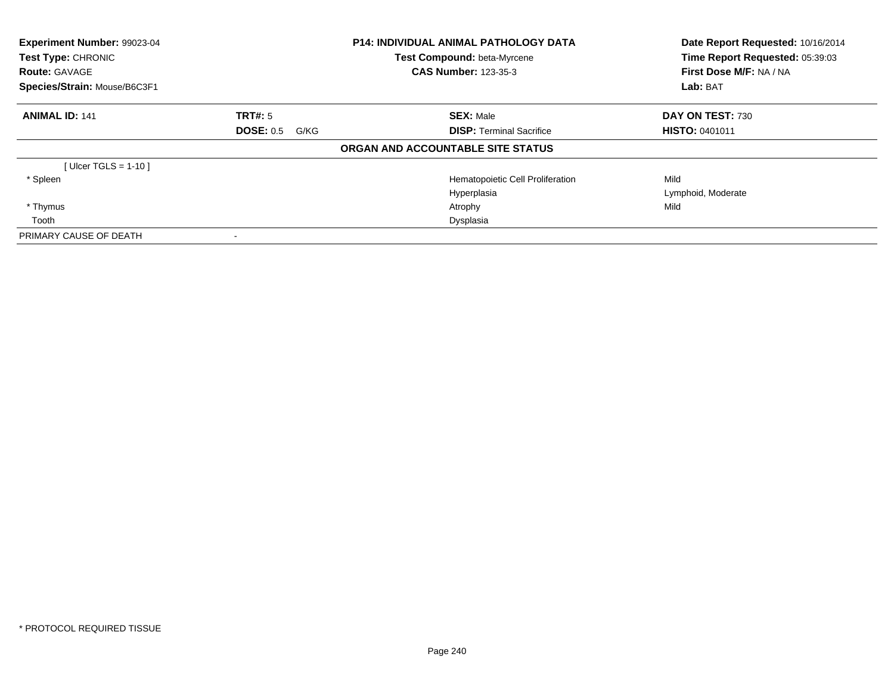| Experiment Number: 99023-04<br>Test Type: CHRONIC<br><b>Route: GAVAGE</b> |                          | <b>P14: INDIVIDUAL ANIMAL PATHOLOGY DATA</b><br>Test Compound: beta-Myrcene<br><b>CAS Number: 123-35-3</b> | Date Report Requested: 10/16/2014<br>Time Report Requested: 05:39:03<br>First Dose M/F: NA / NA |
|---------------------------------------------------------------------------|--------------------------|------------------------------------------------------------------------------------------------------------|-------------------------------------------------------------------------------------------------|
| Species/Strain: Mouse/B6C3F1                                              |                          |                                                                                                            | Lab: BAT                                                                                        |
| <b>ANIMAL ID: 141</b>                                                     | TRT#: 5                  | <b>SEX: Male</b>                                                                                           | DAY ON TEST: 730                                                                                |
|                                                                           | <b>DOSE: 0.5</b><br>G/KG | <b>DISP: Terminal Sacrifice</b>                                                                            | <b>HISTO: 0401011</b>                                                                           |
|                                                                           |                          | ORGAN AND ACCOUNTABLE SITE STATUS                                                                          |                                                                                                 |
| [Ulcer TGLS = 1-10]                                                       |                          |                                                                                                            |                                                                                                 |
| * Spleen                                                                  |                          | Hematopoietic Cell Proliferation                                                                           | Mild                                                                                            |
|                                                                           |                          | Hyperplasia                                                                                                | Lymphoid, Moderate                                                                              |
| * Thymus                                                                  |                          | Atrophy                                                                                                    | Mild                                                                                            |
| Tooth                                                                     |                          | Dysplasia                                                                                                  |                                                                                                 |
| PRIMARY CAUSE OF DEATH                                                    |                          |                                                                                                            |                                                                                                 |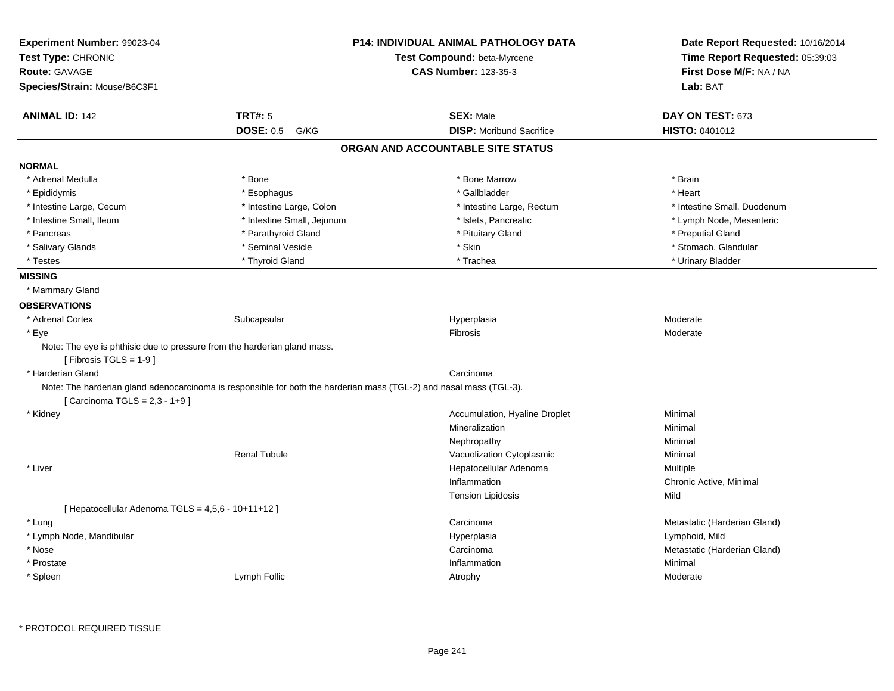| Experiment Number: 99023-04                                              |                                                                                                                     | P14: INDIVIDUAL ANIMAL PATHOLOGY DATA | Date Report Requested: 10/16/2014 |
|--------------------------------------------------------------------------|---------------------------------------------------------------------------------------------------------------------|---------------------------------------|-----------------------------------|
| Test Type: CHRONIC                                                       |                                                                                                                     | Test Compound: beta-Myrcene           | Time Report Requested: 05:39:03   |
| <b>Route: GAVAGE</b>                                                     |                                                                                                                     | <b>CAS Number: 123-35-3</b>           | First Dose M/F: NA / NA           |
| Species/Strain: Mouse/B6C3F1                                             |                                                                                                                     |                                       | Lab: BAT                          |
| <b>ANIMAL ID: 142</b>                                                    | <b>TRT#: 5</b>                                                                                                      | <b>SEX: Male</b>                      | DAY ON TEST: 673                  |
|                                                                          | <b>DOSE: 0.5</b><br>G/KG                                                                                            | <b>DISP:</b> Moribund Sacrifice       | HISTO: 0401012                    |
|                                                                          |                                                                                                                     | ORGAN AND ACCOUNTABLE SITE STATUS     |                                   |
| <b>NORMAL</b>                                                            |                                                                                                                     |                                       |                                   |
| * Adrenal Medulla                                                        | * Bone                                                                                                              | * Bone Marrow                         | * Brain                           |
| * Epididymis                                                             | * Esophagus                                                                                                         | * Gallbladder                         | * Heart                           |
| * Intestine Large, Cecum                                                 | * Intestine Large, Colon                                                                                            | * Intestine Large, Rectum             | * Intestine Small, Duodenum       |
| * Intestine Small, Ileum                                                 | * Intestine Small, Jejunum                                                                                          | * Islets, Pancreatic                  | * Lymph Node, Mesenteric          |
| * Pancreas                                                               | * Parathyroid Gland                                                                                                 | * Pituitary Gland                     | * Preputial Gland                 |
| * Salivary Glands                                                        | * Seminal Vesicle                                                                                                   | * Skin                                | * Stomach, Glandular              |
| * Testes                                                                 | * Thyroid Gland                                                                                                     | * Trachea                             | * Urinary Bladder                 |
| <b>MISSING</b>                                                           |                                                                                                                     |                                       |                                   |
| * Mammary Gland                                                          |                                                                                                                     |                                       |                                   |
| <b>OBSERVATIONS</b>                                                      |                                                                                                                     |                                       |                                   |
| * Adrenal Cortex                                                         | Subcapsular                                                                                                         | Hyperplasia                           | Moderate                          |
| * Eye                                                                    |                                                                                                                     | Fibrosis                              | Moderate                          |
| Note: The eye is phthisic due to pressure from the harderian gland mass. |                                                                                                                     |                                       |                                   |
| [Fibrosis TGLS = 1-9]                                                    |                                                                                                                     |                                       |                                   |
| * Harderian Gland                                                        |                                                                                                                     | Carcinoma                             |                                   |
|                                                                          | Note: The harderian gland adenocarcinoma is responsible for both the harderian mass (TGL-2) and nasal mass (TGL-3). |                                       |                                   |
| [ Carcinoma TGLS = 2,3 - 1+9 ]                                           |                                                                                                                     |                                       |                                   |
| * Kidney                                                                 |                                                                                                                     | Accumulation, Hyaline Droplet         | Minimal                           |
|                                                                          |                                                                                                                     | Mineralization                        | Minimal                           |
|                                                                          |                                                                                                                     | Nephropathy                           | Minimal                           |
|                                                                          | <b>Renal Tubule</b>                                                                                                 | Vacuolization Cytoplasmic             | Minimal                           |
| * Liver                                                                  |                                                                                                                     | Hepatocellular Adenoma                | Multiple                          |
|                                                                          |                                                                                                                     | Inflammation                          | Chronic Active, Minimal           |
|                                                                          |                                                                                                                     | <b>Tension Lipidosis</b>              | Mild                              |
| [Hepatocellular Adenoma TGLS = 4,5,6 - 10+11+12]                         |                                                                                                                     |                                       |                                   |
| * Lung                                                                   |                                                                                                                     | Carcinoma                             | Metastatic (Harderian Gland)      |
| * Lymph Node, Mandibular                                                 |                                                                                                                     | Hyperplasia                           | Lymphoid, Mild                    |
| * Nose                                                                   |                                                                                                                     | Carcinoma                             | Metastatic (Harderian Gland)      |
| * Prostate                                                               |                                                                                                                     | Inflammation                          | Minimal                           |
| * Spleen                                                                 | Lymph Follic                                                                                                        | Atrophy                               | Moderate                          |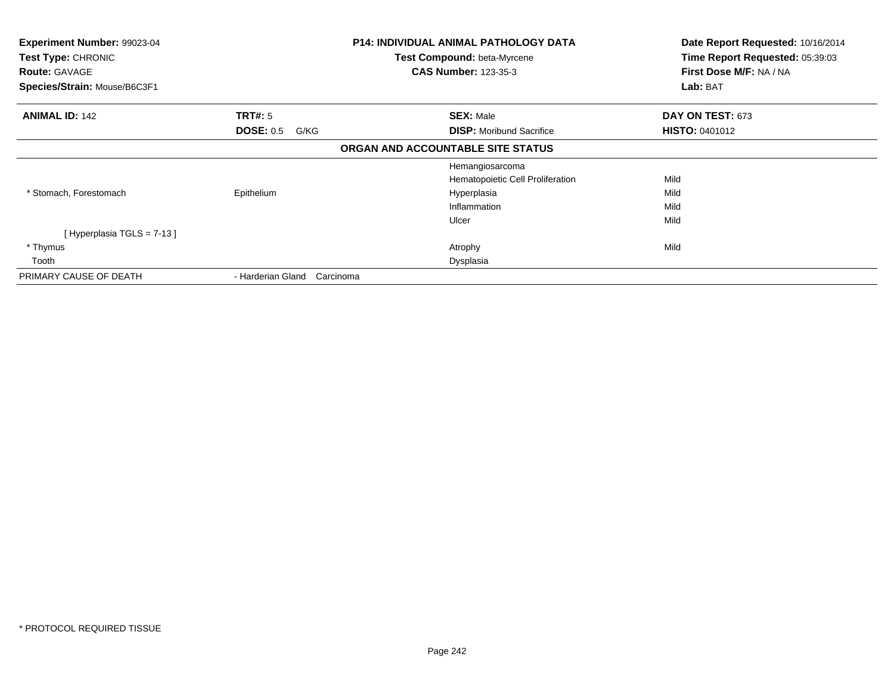| Experiment Number: 99023-04<br>Test Type: CHRONIC<br><b>Route: GAVAGE</b><br>Species/Strain: Mouse/B6C3F1 | P14: INDIVIDUAL ANIMAL PATHOLOGY DATA<br><b>Test Compound: beta-Myrcene</b><br><b>CAS Number: 123-35-3</b> |                                   | Date Report Requested: 10/16/2014<br>Time Report Requested: 05:39:03<br>First Dose M/F: NA / NA<br>Lab: BAT |
|-----------------------------------------------------------------------------------------------------------|------------------------------------------------------------------------------------------------------------|-----------------------------------|-------------------------------------------------------------------------------------------------------------|
| <b>ANIMAL ID: 142</b>                                                                                     | <b>TRT#:</b> 5                                                                                             | <b>SEX: Male</b>                  | DAY ON TEST: 673                                                                                            |
|                                                                                                           | <b>DOSE: 0.5</b><br>G/KG                                                                                   | <b>DISP:</b> Moribund Sacrifice   | <b>HISTO: 0401012</b>                                                                                       |
|                                                                                                           |                                                                                                            | ORGAN AND ACCOUNTABLE SITE STATUS |                                                                                                             |
|                                                                                                           |                                                                                                            | Hemangiosarcoma                   |                                                                                                             |
|                                                                                                           |                                                                                                            | Hematopoietic Cell Proliferation  | Mild                                                                                                        |
| * Stomach, Forestomach                                                                                    | Epithelium                                                                                                 | Hyperplasia                       | Mild                                                                                                        |
|                                                                                                           |                                                                                                            | Inflammation                      | Mild                                                                                                        |
|                                                                                                           |                                                                                                            | Ulcer                             | Mild                                                                                                        |
| [Hyperplasia TGLS = $7-13$ ]                                                                              |                                                                                                            |                                   |                                                                                                             |
| * Thymus                                                                                                  |                                                                                                            | Atrophy                           | Mild                                                                                                        |
| Tooth                                                                                                     |                                                                                                            | Dysplasia                         |                                                                                                             |
| PRIMARY CAUSE OF DEATH                                                                                    | - Harderian Gland<br>Carcinoma                                                                             |                                   |                                                                                                             |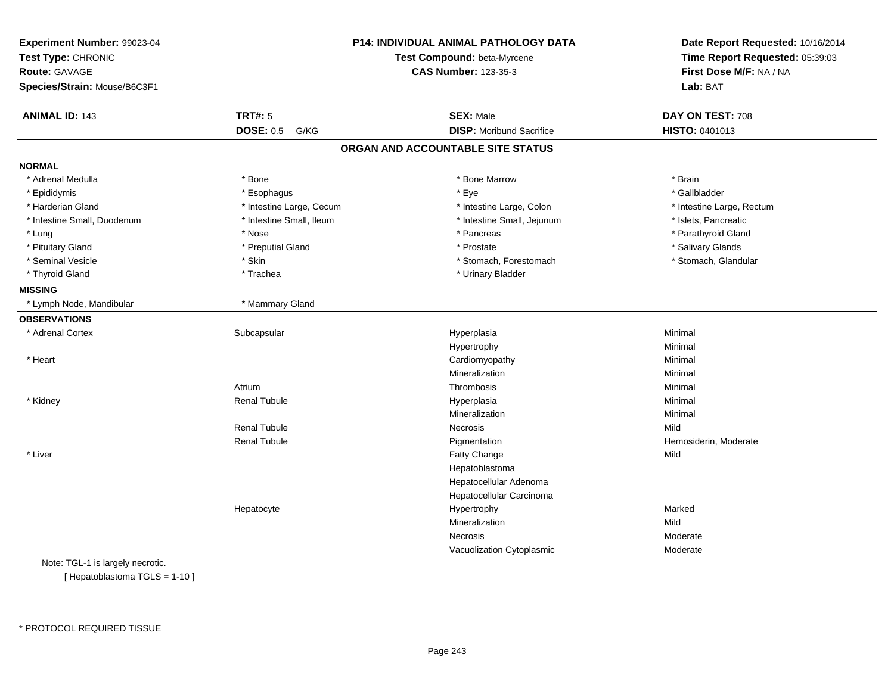| Experiment Number: 99023-04<br>Test Type: CHRONIC<br><b>Route: GAVAGE</b><br>Species/Strain: Mouse/B6C3F1 |                          | P14: INDIVIDUAL ANIMAL PATHOLOGY DATA<br>Test Compound: beta-Myrcene<br><b>CAS Number: 123-35-3</b> | Date Report Requested: 10/16/2014<br>Time Report Requested: 05:39:03<br>First Dose M/F: NA / NA<br>Lab: BAT |
|-----------------------------------------------------------------------------------------------------------|--------------------------|-----------------------------------------------------------------------------------------------------|-------------------------------------------------------------------------------------------------------------|
| <b>ANIMAL ID: 143</b>                                                                                     | <b>TRT#: 5</b>           | <b>SEX: Male</b>                                                                                    | DAY ON TEST: 708                                                                                            |
|                                                                                                           | <b>DOSE: 0.5</b><br>G/KG | <b>DISP:</b> Moribund Sacrifice                                                                     | HISTO: 0401013                                                                                              |
|                                                                                                           |                          | ORGAN AND ACCOUNTABLE SITE STATUS                                                                   |                                                                                                             |
| <b>NORMAL</b>                                                                                             |                          |                                                                                                     |                                                                                                             |
| * Adrenal Medulla                                                                                         | * Bone                   | * Bone Marrow                                                                                       | * Brain                                                                                                     |
| * Epididymis                                                                                              | * Esophagus              | * Eye                                                                                               | * Gallbladder                                                                                               |
| * Harderian Gland                                                                                         | * Intestine Large, Cecum | * Intestine Large, Colon                                                                            | * Intestine Large, Rectum                                                                                   |
| * Intestine Small, Duodenum                                                                               | * Intestine Small, Ileum | * Intestine Small, Jejunum                                                                          | * Islets, Pancreatic                                                                                        |
| * Lung                                                                                                    | * Nose                   | * Pancreas                                                                                          | * Parathyroid Gland                                                                                         |
| * Pituitary Gland                                                                                         | * Preputial Gland        | * Prostate                                                                                          | * Salivary Glands                                                                                           |
| * Seminal Vesicle                                                                                         | * Skin                   | * Stomach, Forestomach                                                                              | * Stomach, Glandular                                                                                        |
| * Thyroid Gland                                                                                           | * Trachea                | * Urinary Bladder                                                                                   |                                                                                                             |
| <b>MISSING</b>                                                                                            |                          |                                                                                                     |                                                                                                             |
| * Lymph Node, Mandibular                                                                                  | * Mammary Gland          |                                                                                                     |                                                                                                             |
| <b>OBSERVATIONS</b>                                                                                       |                          |                                                                                                     |                                                                                                             |
| * Adrenal Cortex                                                                                          | Subcapsular              | Hyperplasia                                                                                         | Minimal                                                                                                     |
|                                                                                                           |                          | Hypertrophy                                                                                         | Minimal                                                                                                     |
| * Heart                                                                                                   |                          | Cardiomyopathy                                                                                      | Minimal                                                                                                     |
|                                                                                                           |                          | Mineralization                                                                                      | Minimal                                                                                                     |
|                                                                                                           | Atrium                   | Thrombosis                                                                                          | Minimal                                                                                                     |
| * Kidney                                                                                                  | <b>Renal Tubule</b>      | Hyperplasia                                                                                         | Minimal                                                                                                     |
|                                                                                                           |                          | Mineralization                                                                                      | Minimal                                                                                                     |
|                                                                                                           | <b>Renal Tubule</b>      | <b>Necrosis</b>                                                                                     | Mild                                                                                                        |
|                                                                                                           | <b>Renal Tubule</b>      | Pigmentation                                                                                        | Hemosiderin, Moderate                                                                                       |
| * Liver                                                                                                   |                          | Fatty Change                                                                                        | Mild                                                                                                        |
|                                                                                                           |                          | Hepatoblastoma                                                                                      |                                                                                                             |
|                                                                                                           |                          | Hepatocellular Adenoma                                                                              |                                                                                                             |
|                                                                                                           |                          | Hepatocellular Carcinoma                                                                            |                                                                                                             |
|                                                                                                           | Hepatocyte               | Hypertrophy                                                                                         | Marked                                                                                                      |
|                                                                                                           |                          | Mineralization                                                                                      | Mild                                                                                                        |
|                                                                                                           |                          | <b>Necrosis</b>                                                                                     | Moderate                                                                                                    |
|                                                                                                           |                          | Vacuolization Cytoplasmic                                                                           | Moderate                                                                                                    |
| Note: TGL-1 is largely necrotic.                                                                          |                          |                                                                                                     |                                                                                                             |

[ Hepatoblastoma TGLS = 1-10 ]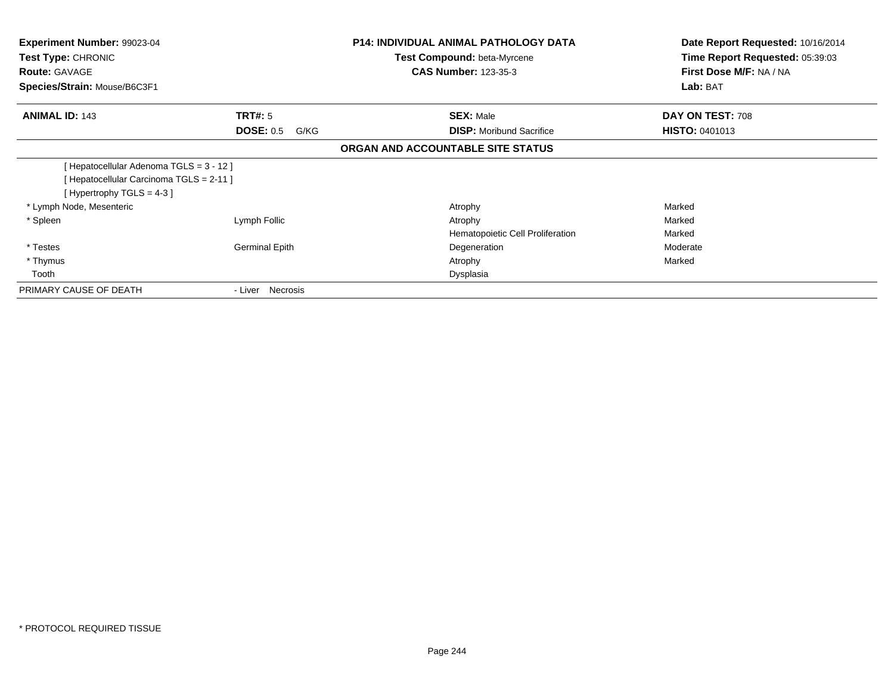| Experiment Number: 99023-04<br><b>Test Type: CHRONIC</b><br><b>Route: GAVAGE</b><br>Species/Strain: Mouse/B6C3F1  |                          | <b>P14: INDIVIDUAL ANIMAL PATHOLOGY DATA</b><br><b>Test Compound: beta-Myrcene</b><br><b>CAS Number: 123-35-3</b> | Date Report Requested: 10/16/2014<br>Time Report Requested: 05:39:03<br>First Dose M/F: NA / NA<br>Lab: BAT |
|-------------------------------------------------------------------------------------------------------------------|--------------------------|-------------------------------------------------------------------------------------------------------------------|-------------------------------------------------------------------------------------------------------------|
| <b>ANIMAL ID: 143</b>                                                                                             | <b>TRT#:</b> 5           | <b>SEX: Male</b>                                                                                                  | DAY ON TEST: 708                                                                                            |
|                                                                                                                   | <b>DOSE: 0.5</b><br>G/KG | <b>DISP:</b> Moribund Sacrifice                                                                                   | <b>HISTO: 0401013</b>                                                                                       |
|                                                                                                                   |                          | ORGAN AND ACCOUNTABLE SITE STATUS                                                                                 |                                                                                                             |
| [Hepatocellular Adenoma TGLS = 3 - 12]<br>[ Hepatocellular Carcinoma TGLS = 2-11 ]<br>[Hypertrophy $TGLS = 4-3$ ] |                          |                                                                                                                   |                                                                                                             |
| * Lymph Node, Mesenteric                                                                                          |                          | Atrophy                                                                                                           | Marked                                                                                                      |
| * Spleen                                                                                                          | Lymph Follic             | Atrophy<br>Hematopoietic Cell Proliferation                                                                       | Marked<br>Marked                                                                                            |
| * Testes                                                                                                          | Germinal Epith           | Degeneration                                                                                                      | Moderate                                                                                                    |
| * Thymus                                                                                                          |                          | Atrophy                                                                                                           | Marked                                                                                                      |
| Tooth                                                                                                             |                          | Dysplasia                                                                                                         |                                                                                                             |
| PRIMARY CAUSE OF DEATH                                                                                            | - Liver Necrosis         |                                                                                                                   |                                                                                                             |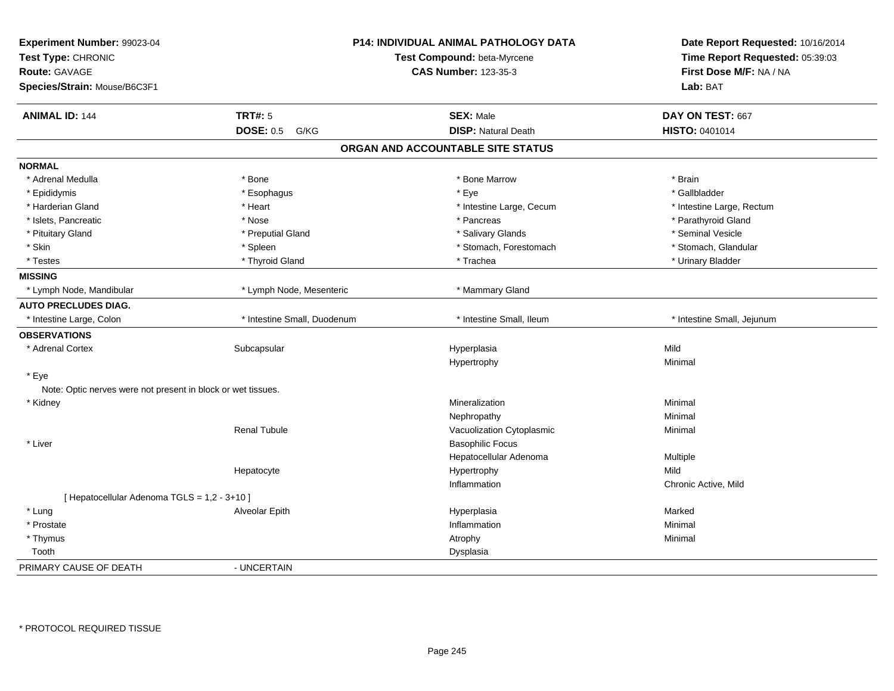| Experiment Number: 99023-04<br>Test Type: CHRONIC<br><b>Route: GAVAGE</b><br>Species/Strain: Mouse/B6C3F1 |                             | <b>P14: INDIVIDUAL ANIMAL PATHOLOGY DATA</b><br>Test Compound: beta-Myrcene<br><b>CAS Number: 123-35-3</b> | Date Report Requested: 10/16/2014<br>Time Report Requested: 05:39:03<br>First Dose M/F: NA / NA<br>Lab: BAT |
|-----------------------------------------------------------------------------------------------------------|-----------------------------|------------------------------------------------------------------------------------------------------------|-------------------------------------------------------------------------------------------------------------|
| <b>ANIMAL ID: 144</b>                                                                                     | <b>TRT#: 5</b>              | <b>SEX: Male</b>                                                                                           | DAY ON TEST: 667                                                                                            |
|                                                                                                           | <b>DOSE: 0.5</b><br>G/KG    | <b>DISP: Natural Death</b>                                                                                 | <b>HISTO: 0401014</b>                                                                                       |
|                                                                                                           |                             | ORGAN AND ACCOUNTABLE SITE STATUS                                                                          |                                                                                                             |
| <b>NORMAL</b>                                                                                             |                             |                                                                                                            |                                                                                                             |
| * Adrenal Medulla                                                                                         | * Bone                      | * Bone Marrow                                                                                              | * Brain                                                                                                     |
| * Epididymis                                                                                              | * Esophagus                 | * Eye                                                                                                      | * Gallbladder                                                                                               |
| * Harderian Gland                                                                                         | * Heart                     | * Intestine Large, Cecum                                                                                   | * Intestine Large, Rectum                                                                                   |
| * Islets, Pancreatic                                                                                      | * Nose                      | * Pancreas                                                                                                 | * Parathyroid Gland                                                                                         |
| * Pituitary Gland                                                                                         | * Preputial Gland           | * Salivary Glands                                                                                          | * Seminal Vesicle                                                                                           |
| * Skin                                                                                                    | * Spleen                    | * Stomach, Forestomach                                                                                     | * Stomach, Glandular                                                                                        |
| * Testes                                                                                                  | * Thyroid Gland             | * Trachea                                                                                                  | * Urinary Bladder                                                                                           |
| <b>MISSING</b>                                                                                            |                             |                                                                                                            |                                                                                                             |
| * Lymph Node, Mandibular                                                                                  | * Lymph Node, Mesenteric    | * Mammary Gland                                                                                            |                                                                                                             |
| <b>AUTO PRECLUDES DIAG.</b>                                                                               |                             |                                                                                                            |                                                                                                             |
| * Intestine Large, Colon                                                                                  | * Intestine Small, Duodenum | * Intestine Small, Ileum                                                                                   | * Intestine Small, Jejunum                                                                                  |
| <b>OBSERVATIONS</b>                                                                                       |                             |                                                                                                            |                                                                                                             |
| * Adrenal Cortex                                                                                          | Subcapsular                 | Hyperplasia                                                                                                | Mild                                                                                                        |
|                                                                                                           |                             | Hypertrophy                                                                                                | Minimal                                                                                                     |
| * Eye                                                                                                     |                             |                                                                                                            |                                                                                                             |
| Note: Optic nerves were not present in block or wet tissues.                                              |                             |                                                                                                            |                                                                                                             |
| * Kidney                                                                                                  |                             | Mineralization                                                                                             | Minimal                                                                                                     |
|                                                                                                           |                             | Nephropathy                                                                                                | Minimal                                                                                                     |
|                                                                                                           | <b>Renal Tubule</b>         | Vacuolization Cytoplasmic                                                                                  | Minimal                                                                                                     |
| * Liver                                                                                                   |                             | <b>Basophilic Focus</b>                                                                                    |                                                                                                             |
|                                                                                                           |                             | Hepatocellular Adenoma                                                                                     | Multiple                                                                                                    |
|                                                                                                           | Hepatocyte                  | Hypertrophy                                                                                                | Mild                                                                                                        |
|                                                                                                           |                             | Inflammation                                                                                               | Chronic Active, Mild                                                                                        |
| [ Hepatocellular Adenoma TGLS = 1,2 - 3+10 ]                                                              |                             |                                                                                                            |                                                                                                             |
| * Lung                                                                                                    | Alveolar Epith              | Hyperplasia                                                                                                | Marked                                                                                                      |
| * Prostate                                                                                                |                             | Inflammation                                                                                               | Minimal                                                                                                     |
| * Thymus                                                                                                  |                             | Atrophy                                                                                                    | Minimal                                                                                                     |
| Tooth                                                                                                     |                             | Dysplasia                                                                                                  |                                                                                                             |
| PRIMARY CAUSE OF DEATH                                                                                    | - UNCERTAIN                 |                                                                                                            |                                                                                                             |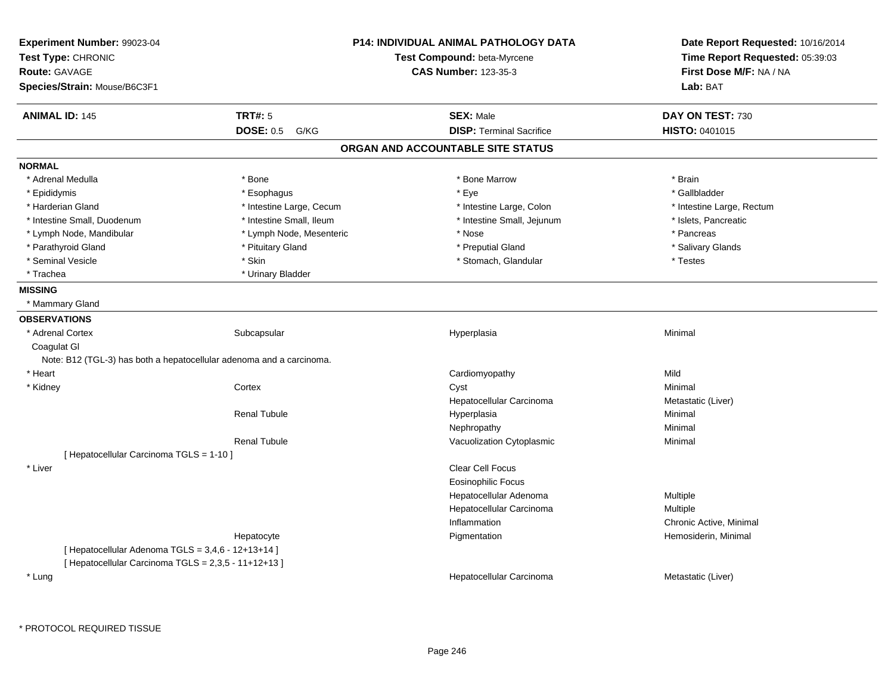| Experiment Number: 99023-04<br>Test Type: CHRONIC<br><b>Route: GAVAGE</b><br>Species/Strain: Mouse/B6C3F1 |                          | P14: INDIVIDUAL ANIMAL PATHOLOGY DATA<br>Test Compound: beta-Myrcene<br><b>CAS Number: 123-35-3</b> | Date Report Requested: 10/16/2014<br>Time Report Requested: 05:39:03<br>First Dose M/F: NA / NA<br>Lab: BAT |
|-----------------------------------------------------------------------------------------------------------|--------------------------|-----------------------------------------------------------------------------------------------------|-------------------------------------------------------------------------------------------------------------|
|                                                                                                           |                          |                                                                                                     |                                                                                                             |
| <b>ANIMAL ID: 145</b>                                                                                     | <b>TRT#: 5</b>           | <b>SEX: Male</b>                                                                                    | DAY ON TEST: 730                                                                                            |
|                                                                                                           | <b>DOSE: 0.5</b><br>G/KG | <b>DISP: Terminal Sacrifice</b>                                                                     | <b>HISTO: 0401015</b>                                                                                       |
|                                                                                                           |                          | ORGAN AND ACCOUNTABLE SITE STATUS                                                                   |                                                                                                             |
| <b>NORMAL</b>                                                                                             |                          |                                                                                                     |                                                                                                             |
| * Adrenal Medulla                                                                                         | * Bone                   | * Bone Marrow                                                                                       | * Brain                                                                                                     |
| * Epididymis                                                                                              | * Esophagus              | * Eye                                                                                               | * Gallbladder                                                                                               |
| * Harderian Gland                                                                                         | * Intestine Large, Cecum | * Intestine Large, Colon                                                                            | * Intestine Large, Rectum                                                                                   |
| * Intestine Small, Duodenum                                                                               | * Intestine Small, Ileum | * Intestine Small, Jejunum                                                                          | * Islets, Pancreatic                                                                                        |
| * Lymph Node, Mandibular                                                                                  | * Lymph Node, Mesenteric | * Nose                                                                                              | * Pancreas                                                                                                  |
| * Parathyroid Gland                                                                                       | * Pituitary Gland        | * Preputial Gland                                                                                   | * Salivary Glands                                                                                           |
| * Seminal Vesicle                                                                                         | * Skin                   | * Stomach, Glandular                                                                                | * Testes                                                                                                    |
| * Trachea                                                                                                 | * Urinary Bladder        |                                                                                                     |                                                                                                             |
| <b>MISSING</b>                                                                                            |                          |                                                                                                     |                                                                                                             |
| * Mammary Gland                                                                                           |                          |                                                                                                     |                                                                                                             |
| <b>OBSERVATIONS</b>                                                                                       |                          |                                                                                                     |                                                                                                             |
| * Adrenal Cortex                                                                                          | Subcapsular              | Hyperplasia                                                                                         | Minimal                                                                                                     |
| Coagulat GI                                                                                               |                          |                                                                                                     |                                                                                                             |
| Note: B12 (TGL-3) has both a hepatocellular adenoma and a carcinoma.                                      |                          |                                                                                                     |                                                                                                             |
| * Heart                                                                                                   |                          | Cardiomyopathy                                                                                      | Mild                                                                                                        |
| * Kidney                                                                                                  | Cortex                   | Cyst                                                                                                | Minimal                                                                                                     |
|                                                                                                           |                          | Hepatocellular Carcinoma                                                                            | Metastatic (Liver)                                                                                          |
|                                                                                                           | <b>Renal Tubule</b>      | Hyperplasia                                                                                         | Minimal                                                                                                     |
|                                                                                                           |                          | Nephropathy                                                                                         | Minimal                                                                                                     |
|                                                                                                           | <b>Renal Tubule</b>      | Vacuolization Cytoplasmic                                                                           | Minimal                                                                                                     |
| [ Hepatocellular Carcinoma TGLS = 1-10 ]                                                                  |                          |                                                                                                     |                                                                                                             |
| * Liver                                                                                                   |                          | Clear Cell Focus                                                                                    |                                                                                                             |
|                                                                                                           |                          | <b>Eosinophilic Focus</b>                                                                           |                                                                                                             |
|                                                                                                           |                          | Hepatocellular Adenoma                                                                              | Multiple                                                                                                    |
|                                                                                                           |                          | Hepatocellular Carcinoma                                                                            | Multiple                                                                                                    |
|                                                                                                           |                          | Inflammation                                                                                        | Chronic Active, Minimal                                                                                     |
|                                                                                                           | Hepatocyte               | Pigmentation                                                                                        | Hemosiderin, Minimal                                                                                        |
| [ Hepatocellular Adenoma TGLS = 3,4,6 - 12+13+14 ]                                                        |                          |                                                                                                     |                                                                                                             |
| [ Hepatocellular Carcinoma TGLS = 2,3,5 - 11+12+13 ]                                                      |                          |                                                                                                     |                                                                                                             |
| * Lung                                                                                                    |                          | Hepatocellular Carcinoma                                                                            | Metastatic (Liver)                                                                                          |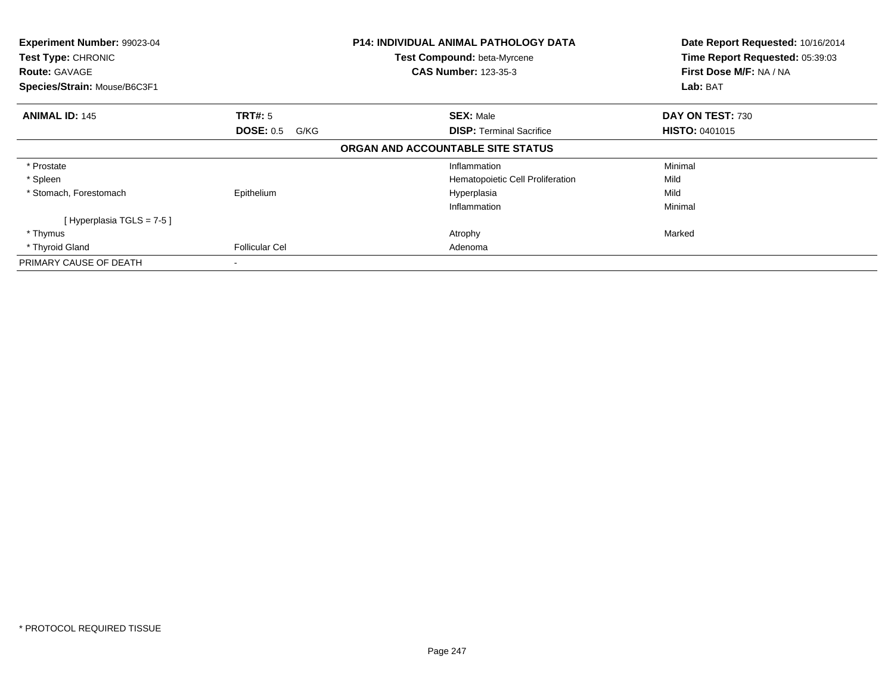| Experiment Number: 99023-04<br>Test Type: CHRONIC<br><b>Route: GAVAGE</b><br>Species/Strain: Mouse/B6C3F1 | <b>P14: INDIVIDUAL ANIMAL PATHOLOGY DATA</b><br>Test Compound: beta-Myrcene<br><b>CAS Number: 123-35-3</b> |                                                                 | Date Report Requested: 10/16/2014<br>Time Report Requested: 05:39:03<br>First Dose M/F: NA / NA<br>Lab: BAT |
|-----------------------------------------------------------------------------------------------------------|------------------------------------------------------------------------------------------------------------|-----------------------------------------------------------------|-------------------------------------------------------------------------------------------------------------|
| <b>ANIMAL ID: 145</b>                                                                                     | <b>TRT#:</b> 5<br><b>DOSE: 0.5</b><br>G/KG                                                                 | <b>SEX: Male</b><br><b>DISP:</b> Terminal Sacrifice             | DAY ON TEST: 730<br><b>HISTO: 0401015</b>                                                                   |
|                                                                                                           |                                                                                                            | ORGAN AND ACCOUNTABLE SITE STATUS                               |                                                                                                             |
| * Prostate<br>* Spleen<br>* Stomach, Forestomach                                                          | Epithelium                                                                                                 | Inflammation<br>Hematopoietic Cell Proliferation<br>Hyperplasia | Minimal<br>Mild<br>Mild                                                                                     |
| [Hyperplasia TGLS = 7-5 ]<br>* Thymus<br>* Thyroid Gland                                                  | <b>Follicular Cel</b>                                                                                      | Inflammation<br>Atrophy<br>Adenoma                              | Minimal<br>Marked                                                                                           |
| PRIMARY CAUSE OF DEATH                                                                                    |                                                                                                            |                                                                 |                                                                                                             |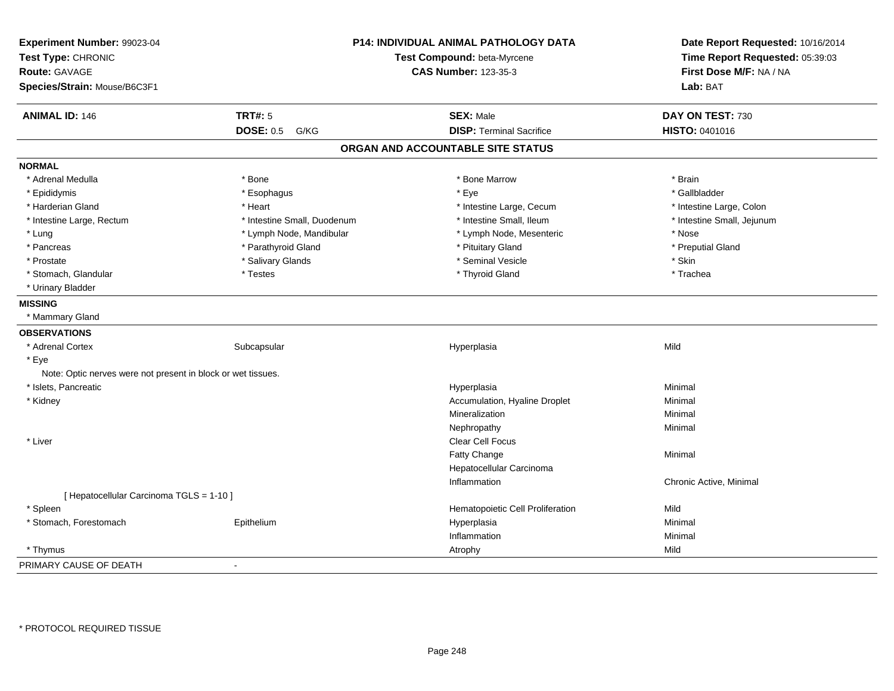| Experiment Number: 99023-04                                  |                             | P14: INDIVIDUAL ANIMAL PATHOLOGY DATA | Date Report Requested: 10/16/2014 |
|--------------------------------------------------------------|-----------------------------|---------------------------------------|-----------------------------------|
| Test Type: CHRONIC                                           |                             | Test Compound: beta-Myrcene           | Time Report Requested: 05:39:03   |
| Route: GAVAGE                                                |                             | <b>CAS Number: 123-35-3</b>           | First Dose M/F: NA / NA           |
| Species/Strain: Mouse/B6C3F1                                 |                             |                                       | Lab: BAT                          |
| <b>ANIMAL ID: 146</b>                                        | <b>TRT#: 5</b>              | <b>SEX: Male</b>                      | DAY ON TEST: 730                  |
|                                                              | <b>DOSE: 0.5</b><br>G/KG    | <b>DISP: Terminal Sacrifice</b>       | HISTO: 0401016                    |
|                                                              |                             | ORGAN AND ACCOUNTABLE SITE STATUS     |                                   |
| <b>NORMAL</b>                                                |                             |                                       |                                   |
| * Adrenal Medulla                                            | * Bone                      | * Bone Marrow                         | * Brain                           |
| * Epididymis                                                 | * Esophagus                 | * Eye                                 | * Gallbladder                     |
| * Harderian Gland                                            | * Heart                     | * Intestine Large, Cecum              | * Intestine Large, Colon          |
| * Intestine Large, Rectum                                    | * Intestine Small, Duodenum | * Intestine Small, Ileum              | * Intestine Small, Jejunum        |
| * Lung                                                       | * Lymph Node, Mandibular    | * Lymph Node, Mesenteric              | * Nose                            |
| * Pancreas                                                   | * Parathyroid Gland         | * Pituitary Gland                     | * Preputial Gland                 |
| * Prostate                                                   | * Salivary Glands           | * Seminal Vesicle                     | * Skin                            |
| * Stomach, Glandular                                         | * Testes                    | * Thyroid Gland                       | * Trachea                         |
| * Urinary Bladder                                            |                             |                                       |                                   |
| <b>MISSING</b>                                               |                             |                                       |                                   |
| * Mammary Gland                                              |                             |                                       |                                   |
| <b>OBSERVATIONS</b>                                          |                             |                                       |                                   |
| * Adrenal Cortex                                             | Subcapsular                 | Hyperplasia                           | Mild                              |
| * Eye                                                        |                             |                                       |                                   |
| Note: Optic nerves were not present in block or wet tissues. |                             |                                       |                                   |
| * Islets, Pancreatic                                         |                             | Hyperplasia                           | Minimal                           |
| * Kidney                                                     |                             | Accumulation, Hyaline Droplet         | Minimal                           |
|                                                              |                             | Mineralization                        | Minimal                           |
|                                                              |                             | Nephropathy                           | Minimal                           |
| * Liver                                                      |                             | Clear Cell Focus                      |                                   |
|                                                              |                             | Fatty Change                          | Minimal                           |
|                                                              |                             | Hepatocellular Carcinoma              |                                   |
|                                                              |                             | Inflammation                          | Chronic Active, Minimal           |
| [ Hepatocellular Carcinoma TGLS = 1-10 ]                     |                             |                                       |                                   |
| * Spleen                                                     |                             | Hematopoietic Cell Proliferation      | Mild                              |
| * Stomach, Forestomach                                       | Epithelium                  | Hyperplasia                           | Minimal                           |
|                                                              |                             | Inflammation                          | Minimal                           |
| * Thymus                                                     |                             | Atrophy                               | Mild                              |
| PRIMARY CAUSE OF DEATH                                       |                             |                                       |                                   |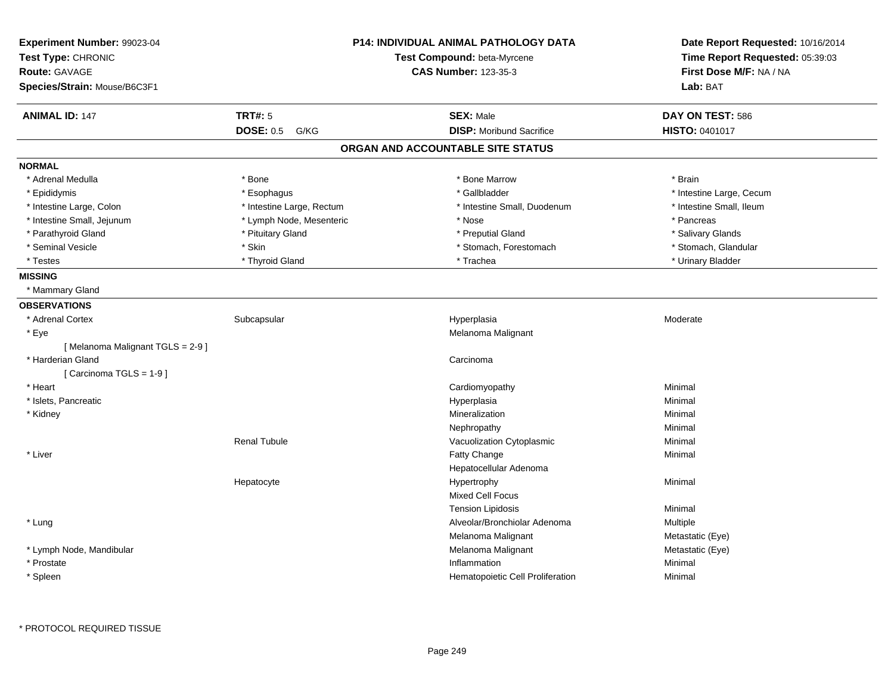| Experiment Number: 99023-04<br>Test Type: CHRONIC<br><b>Route: GAVAGE</b> | <b>P14: INDIVIDUAL ANIMAL PATHOLOGY DATA</b><br>Test Compound: beta-Myrcene<br><b>CAS Number: 123-35-3</b> |                                   | Date Report Requested: 10/16/2014<br>Time Report Requested: 05:39:03<br>First Dose M/F: NA / NA |
|---------------------------------------------------------------------------|------------------------------------------------------------------------------------------------------------|-----------------------------------|-------------------------------------------------------------------------------------------------|
| Species/Strain: Mouse/B6C3F1                                              |                                                                                                            |                                   | Lab: BAT                                                                                        |
| <b>ANIMAL ID: 147</b>                                                     | <b>TRT#: 5</b>                                                                                             | <b>SEX: Male</b>                  | DAY ON TEST: 586                                                                                |
|                                                                           | <b>DOSE: 0.5</b><br>G/KG                                                                                   | <b>DISP:</b> Moribund Sacrifice   | <b>HISTO: 0401017</b>                                                                           |
|                                                                           |                                                                                                            | ORGAN AND ACCOUNTABLE SITE STATUS |                                                                                                 |
| <b>NORMAL</b>                                                             |                                                                                                            |                                   |                                                                                                 |
| * Adrenal Medulla                                                         | * Bone                                                                                                     | * Bone Marrow                     | * Brain                                                                                         |
| * Epididymis                                                              | * Esophagus                                                                                                | * Gallbladder                     | * Intestine Large, Cecum                                                                        |
| * Intestine Large, Colon                                                  | * Intestine Large, Rectum                                                                                  | * Intestine Small, Duodenum       | * Intestine Small, Ileum                                                                        |
| * Intestine Small, Jejunum                                                | * Lymph Node, Mesenteric                                                                                   | * Nose                            | * Pancreas                                                                                      |
| * Parathyroid Gland                                                       | * Pituitary Gland                                                                                          | * Preputial Gland                 | * Salivary Glands                                                                               |
| * Seminal Vesicle                                                         | * Skin                                                                                                     | * Stomach, Forestomach            | * Stomach, Glandular                                                                            |
| * Testes                                                                  | * Thyroid Gland                                                                                            | * Trachea                         | * Urinary Bladder                                                                               |
| <b>MISSING</b>                                                            |                                                                                                            |                                   |                                                                                                 |
| * Mammary Gland                                                           |                                                                                                            |                                   |                                                                                                 |
| <b>OBSERVATIONS</b>                                                       |                                                                                                            |                                   |                                                                                                 |
| * Adrenal Cortex                                                          | Subcapsular                                                                                                | Hyperplasia                       | Moderate                                                                                        |
| * Eye                                                                     |                                                                                                            | Melanoma Malignant                |                                                                                                 |
| [Melanoma Malignant TGLS = 2-9]                                           |                                                                                                            |                                   |                                                                                                 |
| * Harderian Gland                                                         |                                                                                                            | Carcinoma                         |                                                                                                 |
| [Carcinoma TGLS = 1-9]                                                    |                                                                                                            |                                   |                                                                                                 |
| * Heart                                                                   |                                                                                                            | Cardiomyopathy                    | Minimal                                                                                         |
| * Islets, Pancreatic                                                      |                                                                                                            | Hyperplasia                       | Minimal                                                                                         |
| * Kidney                                                                  |                                                                                                            | Mineralization                    | Minimal                                                                                         |
|                                                                           |                                                                                                            | Nephropathy                       | Minimal                                                                                         |
|                                                                           | <b>Renal Tubule</b>                                                                                        | Vacuolization Cytoplasmic         | Minimal                                                                                         |
| * Liver                                                                   |                                                                                                            | Fatty Change                      | Minimal                                                                                         |
|                                                                           |                                                                                                            | Hepatocellular Adenoma            |                                                                                                 |
|                                                                           | Hepatocyte                                                                                                 | Hypertrophy                       | Minimal                                                                                         |
|                                                                           |                                                                                                            | Mixed Cell Focus                  |                                                                                                 |
|                                                                           |                                                                                                            | <b>Tension Lipidosis</b>          | Minimal                                                                                         |
| * Lung                                                                    |                                                                                                            | Alveolar/Bronchiolar Adenoma      | Multiple                                                                                        |
|                                                                           |                                                                                                            | Melanoma Malignant                | Metastatic (Eye)                                                                                |
| * Lymph Node, Mandibular                                                  |                                                                                                            | Melanoma Malignant                | Metastatic (Eye)                                                                                |
| * Prostate                                                                |                                                                                                            | Inflammation                      | Minimal                                                                                         |
| * Spleen                                                                  |                                                                                                            | Hematopoietic Cell Proliferation  | Minimal                                                                                         |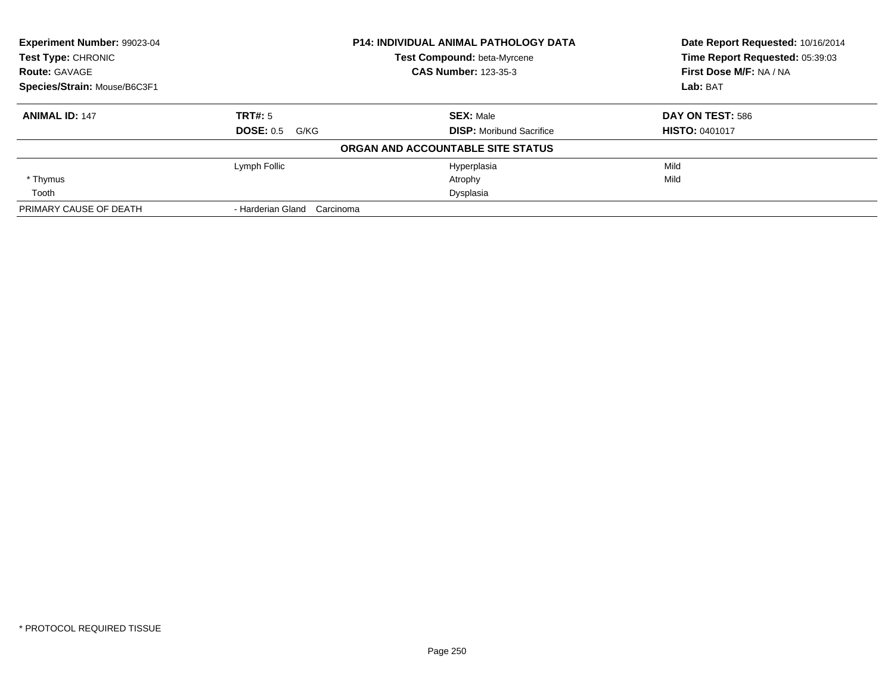| Experiment Number: 99023-04<br>Test Type: CHRONIC |                                | <b>P14: INDIVIDUAL ANIMAL PATHOLOGY DATA</b> | Date Report Requested: 10/16/2014 |
|---------------------------------------------------|--------------------------------|----------------------------------------------|-----------------------------------|
|                                                   |                                | Test Compound: beta-Myrcene                  | Time Report Requested: 05:39:03   |
| <b>Route: GAVAGE</b>                              |                                | <b>CAS Number: 123-35-3</b>                  | First Dose M/F: NA / NA           |
| Species/Strain: Mouse/B6C3F1                      |                                |                                              | Lab: BAT                          |
| <b>ANIMAL ID: 147</b>                             | TRT#: 5                        | <b>SEX: Male</b>                             | DAY ON TEST: 586                  |
|                                                   | <b>DOSE: 0.5 G/KG</b>          | <b>DISP:</b> Moribund Sacrifice              | <b>HISTO: 0401017</b>             |
|                                                   |                                | ORGAN AND ACCOUNTABLE SITE STATUS            |                                   |
|                                                   | Lymph Follic                   | Hyperplasia                                  | Mild                              |
| * Thymus                                          |                                | Atrophy                                      | Mild                              |
| Tooth                                             |                                | Dysplasia                                    |                                   |
| PRIMARY CAUSE OF DEATH                            | - Harderian Gland<br>Carcinoma |                                              |                                   |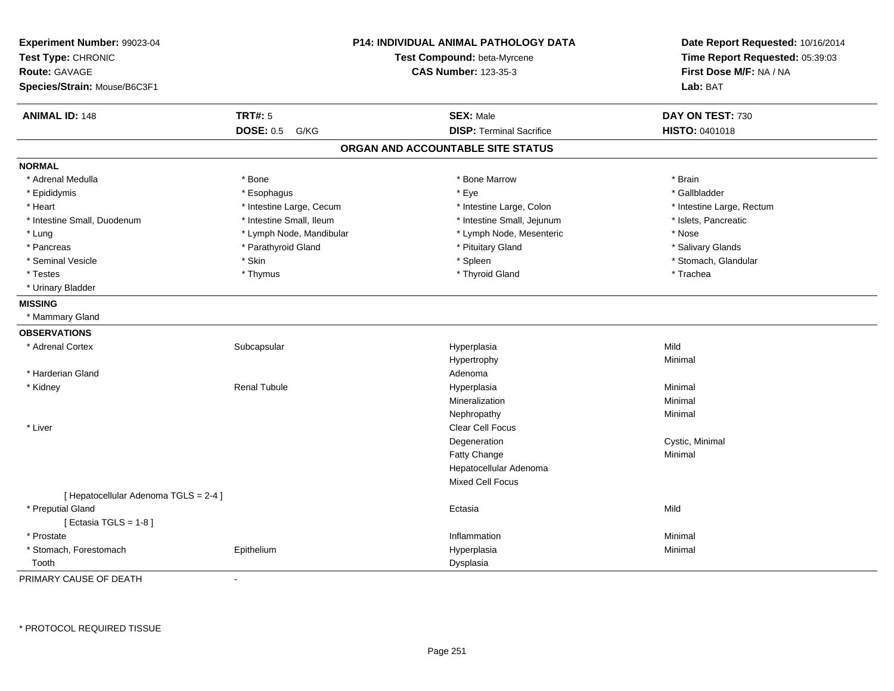| Experiment Number: 99023-04<br>Test Type: CHRONIC<br><b>Route: GAVAGE</b><br>Species/Strain: Mouse/B6C3F1 |                          | <b>P14: INDIVIDUAL ANIMAL PATHOLOGY DATA</b><br>Test Compound: beta-Myrcene<br><b>CAS Number: 123-35-3</b> | Date Report Requested: 10/16/2014<br>Time Report Requested: 05:39:03<br>First Dose M/F: NA / NA<br>Lab: BAT |
|-----------------------------------------------------------------------------------------------------------|--------------------------|------------------------------------------------------------------------------------------------------------|-------------------------------------------------------------------------------------------------------------|
| <b>ANIMAL ID: 148</b>                                                                                     | <b>TRT#: 5</b>           | <b>SEX: Male</b>                                                                                           | DAY ON TEST: 730                                                                                            |
|                                                                                                           | <b>DOSE: 0.5</b><br>G/KG | <b>DISP: Terminal Sacrifice</b>                                                                            | HISTO: 0401018                                                                                              |
|                                                                                                           |                          | ORGAN AND ACCOUNTABLE SITE STATUS                                                                          |                                                                                                             |
| <b>NORMAL</b>                                                                                             |                          |                                                                                                            |                                                                                                             |
| * Adrenal Medulla                                                                                         | * Bone                   | * Bone Marrow                                                                                              | * Brain                                                                                                     |
| * Epididymis                                                                                              | * Esophagus              | * Eye                                                                                                      | * Gallbladder                                                                                               |
| * Heart                                                                                                   | * Intestine Large, Cecum | * Intestine Large, Colon                                                                                   | * Intestine Large, Rectum                                                                                   |
| * Intestine Small, Duodenum                                                                               | * Intestine Small, Ileum | * Intestine Small, Jejunum                                                                                 | * Islets, Pancreatic                                                                                        |
| * Lung                                                                                                    | * Lymph Node, Mandibular | * Lymph Node, Mesenteric                                                                                   | * Nose                                                                                                      |
| * Pancreas                                                                                                | * Parathyroid Gland      | * Pituitary Gland                                                                                          | * Salivary Glands                                                                                           |
| * Seminal Vesicle                                                                                         | * Skin                   | * Spleen                                                                                                   | * Stomach, Glandular                                                                                        |
| * Testes                                                                                                  | * Thymus                 | * Thyroid Gland                                                                                            | * Trachea                                                                                                   |
| * Urinary Bladder                                                                                         |                          |                                                                                                            |                                                                                                             |
| <b>MISSING</b>                                                                                            |                          |                                                                                                            |                                                                                                             |
| * Mammary Gland                                                                                           |                          |                                                                                                            |                                                                                                             |
| <b>OBSERVATIONS</b>                                                                                       |                          |                                                                                                            |                                                                                                             |
| * Adrenal Cortex                                                                                          | Subcapsular              | Hyperplasia                                                                                                | Mild                                                                                                        |
|                                                                                                           |                          | Hypertrophy                                                                                                | Minimal                                                                                                     |
| * Harderian Gland                                                                                         |                          | Adenoma                                                                                                    |                                                                                                             |
| * Kidney                                                                                                  | <b>Renal Tubule</b>      | Hyperplasia                                                                                                | Minimal                                                                                                     |
|                                                                                                           |                          | Mineralization                                                                                             | Minimal                                                                                                     |
|                                                                                                           |                          | Nephropathy                                                                                                | Minimal                                                                                                     |
| * Liver                                                                                                   |                          | Clear Cell Focus                                                                                           |                                                                                                             |
|                                                                                                           |                          | Degeneration                                                                                               | Cystic, Minimal                                                                                             |
|                                                                                                           |                          | Fatty Change                                                                                               | Minimal                                                                                                     |
|                                                                                                           |                          | Hepatocellular Adenoma                                                                                     |                                                                                                             |
|                                                                                                           |                          | Mixed Cell Focus                                                                                           |                                                                                                             |
| [ Hepatocellular Adenoma TGLS = 2-4 ]                                                                     |                          |                                                                                                            |                                                                                                             |
| * Preputial Gland                                                                                         |                          | Ectasia                                                                                                    | Mild                                                                                                        |
| [Ectasia TGLS = $1-8$ ]                                                                                   |                          |                                                                                                            |                                                                                                             |
| * Prostate                                                                                                |                          | Inflammation                                                                                               | Minimal                                                                                                     |
| * Stomach, Forestomach                                                                                    | Epithelium               | Hyperplasia                                                                                                | Minimal                                                                                                     |
| Tooth                                                                                                     |                          | Dysplasia                                                                                                  |                                                                                                             |

PRIMARY CAUSE OF DEATH-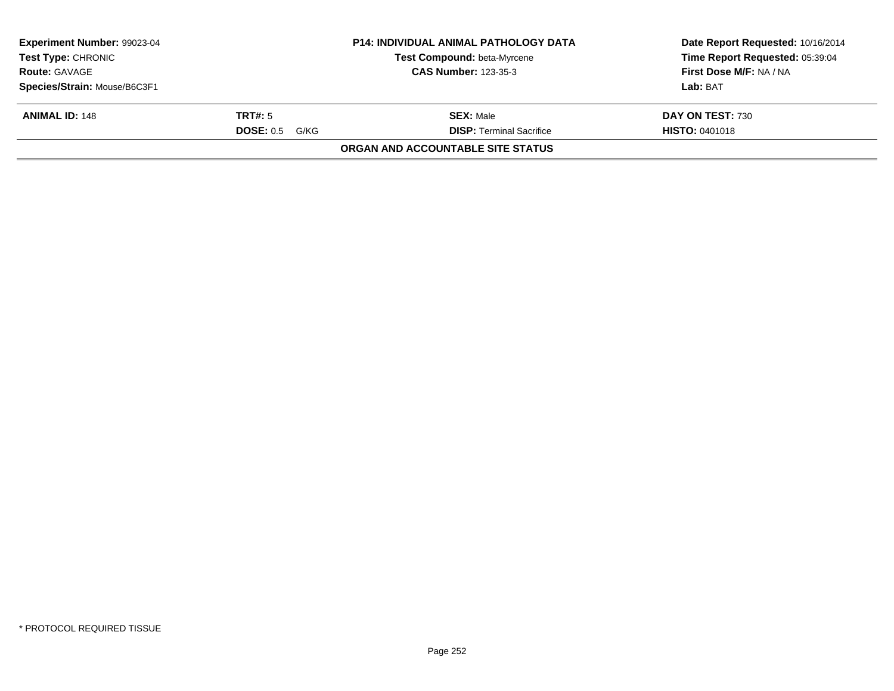| <b>Experiment Number: 99023-04</b> |                  | <b>P14: INDIVIDUAL ANIMAL PATHOLOGY DATA</b> | Date Report Requested: 10/16/2014 |
|------------------------------------|------------------|----------------------------------------------|-----------------------------------|
| <b>Test Type: CHRONIC</b>          |                  | Test Compound: beta-Myrcene                  | Time Report Requested: 05:39:04   |
| <b>Route: GAVAGE</b>               |                  | <b>CAS Number: 123-35-3</b>                  | First Dose M/F: NA / NA           |
| Species/Strain: Mouse/B6C3F1       |                  |                                              | Lab: BAT                          |
| <b>ANIMAL ID: 148</b>              | TRT#: 5          | <b>SEX: Male</b>                             | DAY ON TEST: 730                  |
|                                    | $DOSE: 0.5$ G/KG | <b>DISP: Terminal Sacrifice</b>              | <b>HISTO: 0401018</b>             |
|                                    |                  | <b>ORGAN AND ACCOUNTABLE SITE STATUS</b>     |                                   |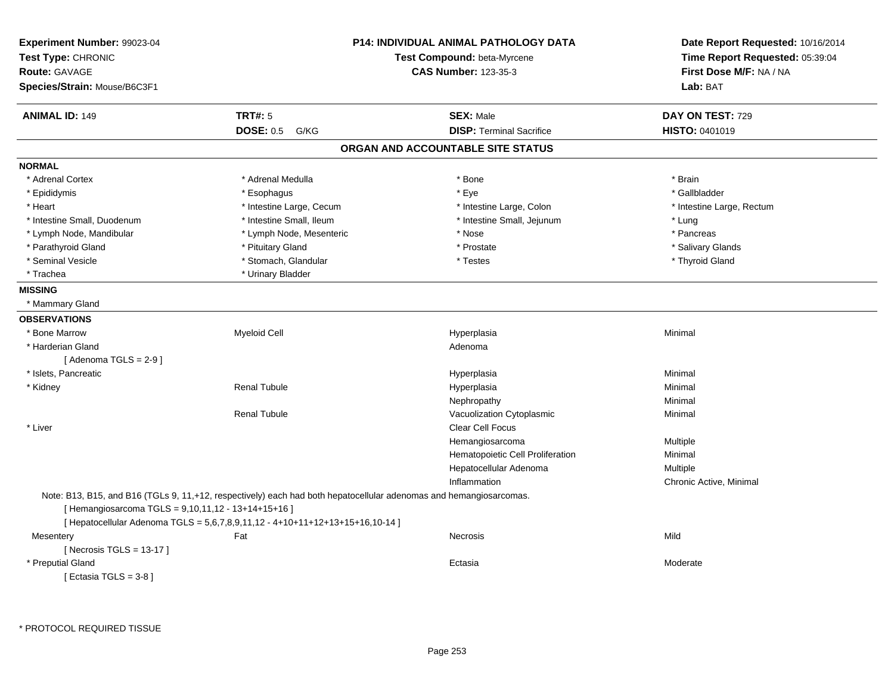| Experiment Number: 99023-04<br>Test Type: CHRONIC<br>Route: GAVAGE<br>Species/Strain: Mouse/B6C3F1 |                                                                               | P14: INDIVIDUAL ANIMAL PATHOLOGY DATA<br>Test Compound: beta-Myrcene<br><b>CAS Number: 123-35-3</b>                | Date Report Requested: 10/16/2014<br>Time Report Requested: 05:39:04<br>First Dose M/F: NA / NA<br>Lab: BAT |
|----------------------------------------------------------------------------------------------------|-------------------------------------------------------------------------------|--------------------------------------------------------------------------------------------------------------------|-------------------------------------------------------------------------------------------------------------|
| <b>ANIMAL ID: 149</b>                                                                              | <b>TRT#: 5</b>                                                                | <b>SEX: Male</b>                                                                                                   | DAY ON TEST: 729                                                                                            |
|                                                                                                    | <b>DOSE: 0.5</b><br>G/KG                                                      | <b>DISP: Terminal Sacrifice</b>                                                                                    | <b>HISTO: 0401019</b>                                                                                       |
|                                                                                                    |                                                                               | ORGAN AND ACCOUNTABLE SITE STATUS                                                                                  |                                                                                                             |
| <b>NORMAL</b>                                                                                      |                                                                               |                                                                                                                    |                                                                                                             |
| * Adrenal Cortex                                                                                   | * Adrenal Medulla                                                             | * Bone                                                                                                             | * Brain                                                                                                     |
| * Epididymis                                                                                       | * Esophagus                                                                   | * Eye                                                                                                              | * Gallbladder                                                                                               |
| * Heart                                                                                            | * Intestine Large, Cecum                                                      | * Intestine Large, Colon                                                                                           | * Intestine Large, Rectum                                                                                   |
| * Intestine Small, Duodenum                                                                        | * Intestine Small, Ileum                                                      | * Intestine Small, Jejunum                                                                                         | * Lung                                                                                                      |
| * Lymph Node, Mandibular                                                                           | * Lymph Node, Mesenteric                                                      | * Nose                                                                                                             | * Pancreas                                                                                                  |
| * Parathyroid Gland                                                                                | * Pituitary Gland                                                             | * Prostate                                                                                                         | * Salivary Glands                                                                                           |
| * Seminal Vesicle                                                                                  | * Stomach, Glandular                                                          | * Testes                                                                                                           | * Thyroid Gland                                                                                             |
| * Trachea                                                                                          | * Urinary Bladder                                                             |                                                                                                                    |                                                                                                             |
| <b>MISSING</b>                                                                                     |                                                                               |                                                                                                                    |                                                                                                             |
| * Mammary Gland                                                                                    |                                                                               |                                                                                                                    |                                                                                                             |
| <b>OBSERVATIONS</b>                                                                                |                                                                               |                                                                                                                    |                                                                                                             |
| * Bone Marrow                                                                                      | <b>Myeloid Cell</b>                                                           | Hyperplasia                                                                                                        | Minimal                                                                                                     |
| * Harderian Gland                                                                                  |                                                                               | Adenoma                                                                                                            |                                                                                                             |
| [Adenoma TGLS = $2-9$ ]                                                                            |                                                                               |                                                                                                                    |                                                                                                             |
| * Islets, Pancreatic                                                                               |                                                                               | Hyperplasia                                                                                                        | Minimal                                                                                                     |
| * Kidney                                                                                           | <b>Renal Tubule</b>                                                           | Hyperplasia                                                                                                        | Minimal                                                                                                     |
|                                                                                                    |                                                                               | Nephropathy                                                                                                        | Minimal                                                                                                     |
|                                                                                                    | <b>Renal Tubule</b>                                                           | Vacuolization Cytoplasmic                                                                                          | Minimal                                                                                                     |
| * Liver                                                                                            |                                                                               | Clear Cell Focus                                                                                                   |                                                                                                             |
|                                                                                                    |                                                                               | Hemangiosarcoma                                                                                                    | Multiple                                                                                                    |
|                                                                                                    |                                                                               | Hematopoietic Cell Proliferation                                                                                   | Minimal                                                                                                     |
|                                                                                                    |                                                                               | Hepatocellular Adenoma                                                                                             | Multiple                                                                                                    |
|                                                                                                    |                                                                               | Inflammation                                                                                                       | Chronic Active, Minimal                                                                                     |
| [ Hemangiosarcoma TGLS = 9,10,11,12 - 13+14+15+16 ]                                                | [ Hepatocellular Adenoma TGLS = 5,6,7,8,9,11,12 - 4+10+11+12+13+15+16,10-14 ] | Note: B13, B15, and B16 (TGLs 9, 11,+12, respectively) each had both hepatocellular adenomas and hemangiosarcomas. |                                                                                                             |
| Mesentery                                                                                          | Fat                                                                           | <b>Necrosis</b>                                                                                                    | Mild                                                                                                        |
| [Necrosis TGLS = $13-17$ ]                                                                         |                                                                               |                                                                                                                    |                                                                                                             |
| * Preputial Gland                                                                                  |                                                                               | Ectasia                                                                                                            | Moderate                                                                                                    |
| [ Ectasia TGLS = $3-8$ ]                                                                           |                                                                               |                                                                                                                    |                                                                                                             |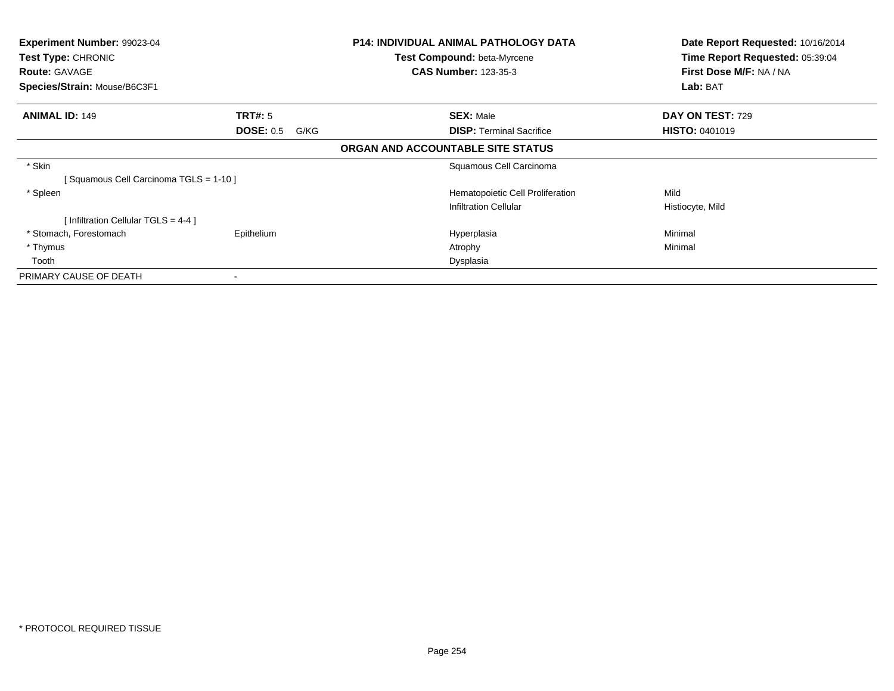| Experiment Number: 99023-04<br>Test Type: CHRONIC<br><b>Route: GAVAGE</b> |                          | P14: INDIVIDUAL ANIMAL PATHOLOGY DATA<br><b>Test Compound: beta-Myrcene</b><br><b>CAS Number: 123-35-3</b> | Date Report Requested: 10/16/2014<br>Time Report Requested: 05:39:04<br>First Dose M/F: NA / NA |
|---------------------------------------------------------------------------|--------------------------|------------------------------------------------------------------------------------------------------------|-------------------------------------------------------------------------------------------------|
| Species/Strain: Mouse/B6C3F1                                              |                          |                                                                                                            | Lab: BAT                                                                                        |
| <b>ANIMAL ID: 149</b>                                                     | TRT#: 5                  | <b>SEX: Male</b>                                                                                           | DAY ON TEST: 729                                                                                |
|                                                                           | <b>DOSE: 0.5</b><br>G/KG | <b>DISP:</b> Terminal Sacrifice                                                                            | <b>HISTO: 0401019</b>                                                                           |
|                                                                           |                          | ORGAN AND ACCOUNTABLE SITE STATUS                                                                          |                                                                                                 |
| * Skin                                                                    |                          | Squamous Cell Carcinoma                                                                                    |                                                                                                 |
| Squamous Cell Carcinoma TGLS = 1-10 ]                                     |                          |                                                                                                            |                                                                                                 |
| * Spleen                                                                  |                          | Hematopoietic Cell Proliferation                                                                           | Mild                                                                                            |
|                                                                           |                          | <b>Infiltration Cellular</b>                                                                               | Histiocyte, Mild                                                                                |
| [Infiltration Cellular TGLS = 4-4]                                        |                          |                                                                                                            |                                                                                                 |
| * Stomach, Forestomach                                                    | Epithelium               | Hyperplasia                                                                                                | Minimal                                                                                         |
| * Thymus                                                                  |                          | Atrophy                                                                                                    | Minimal                                                                                         |
| Tooth                                                                     |                          | Dysplasia                                                                                                  |                                                                                                 |
| PRIMARY CAUSE OF DEATH                                                    |                          |                                                                                                            |                                                                                                 |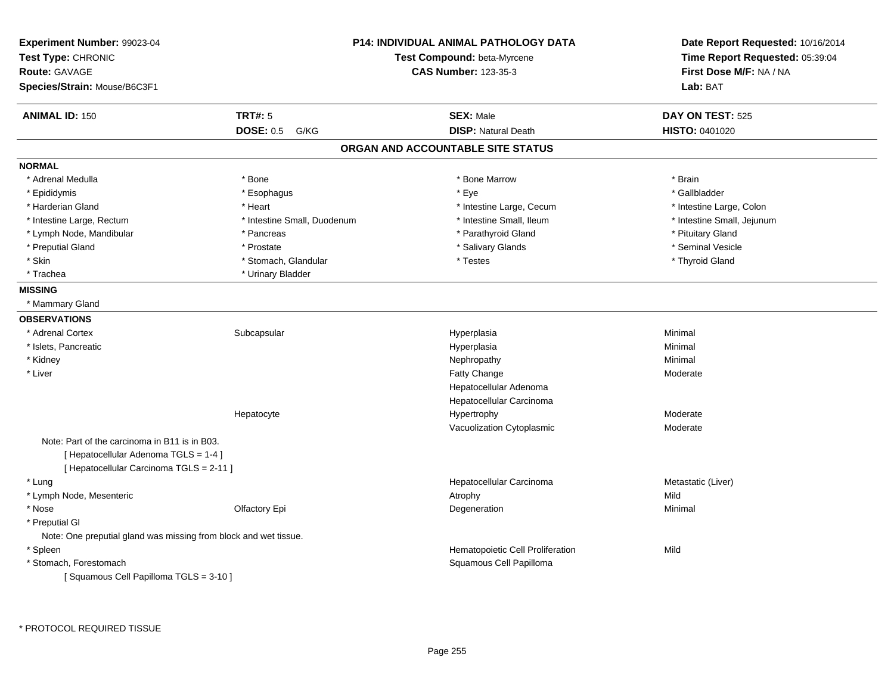| Experiment Number: 99023-04<br>Test Type: CHRONIC<br><b>Route: GAVAGE</b><br>Species/Strain: Mouse/B6C3F1                          |                             | <b>P14: INDIVIDUAL ANIMAL PATHOLOGY DATA</b><br>Test Compound: beta-Myrcene<br><b>CAS Number: 123-35-3</b> | Date Report Requested: 10/16/2014<br>Time Report Requested: 05:39:04<br>First Dose M/F: NA / NA<br>Lab: BAT |
|------------------------------------------------------------------------------------------------------------------------------------|-----------------------------|------------------------------------------------------------------------------------------------------------|-------------------------------------------------------------------------------------------------------------|
| <b>ANIMAL ID: 150</b>                                                                                                              | <b>TRT#: 5</b>              | <b>SEX: Male</b>                                                                                           | DAY ON TEST: 525                                                                                            |
|                                                                                                                                    | <b>DOSE: 0.5</b><br>G/KG    | <b>DISP: Natural Death</b>                                                                                 | <b>HISTO: 0401020</b>                                                                                       |
|                                                                                                                                    |                             | ORGAN AND ACCOUNTABLE SITE STATUS                                                                          |                                                                                                             |
| <b>NORMAL</b>                                                                                                                      |                             |                                                                                                            |                                                                                                             |
| * Adrenal Medulla                                                                                                                  | * Bone                      | * Bone Marrow                                                                                              | * Brain                                                                                                     |
| * Epididymis                                                                                                                       | * Esophagus                 | * Eye                                                                                                      | * Gallbladder                                                                                               |
| * Harderian Gland                                                                                                                  | * Heart                     | * Intestine Large, Cecum                                                                                   | * Intestine Large, Colon                                                                                    |
| * Intestine Large, Rectum                                                                                                          | * Intestine Small, Duodenum | * Intestine Small, Ileum                                                                                   | * Intestine Small, Jejunum                                                                                  |
| * Lymph Node, Mandibular                                                                                                           | * Pancreas                  | * Parathyroid Gland                                                                                        | * Pituitary Gland                                                                                           |
| * Preputial Gland                                                                                                                  | * Prostate                  | * Salivary Glands                                                                                          | * Seminal Vesicle                                                                                           |
| * Skin                                                                                                                             | * Stomach, Glandular        | * Testes                                                                                                   | * Thyroid Gland                                                                                             |
| * Trachea                                                                                                                          | * Urinary Bladder           |                                                                                                            |                                                                                                             |
| <b>MISSING</b>                                                                                                                     |                             |                                                                                                            |                                                                                                             |
| * Mammary Gland                                                                                                                    |                             |                                                                                                            |                                                                                                             |
| <b>OBSERVATIONS</b>                                                                                                                |                             |                                                                                                            |                                                                                                             |
| * Adrenal Cortex                                                                                                                   | Subcapsular                 | Hyperplasia                                                                                                | Minimal                                                                                                     |
| * Islets, Pancreatic                                                                                                               |                             | Hyperplasia                                                                                                | Minimal                                                                                                     |
| * Kidney                                                                                                                           |                             | Nephropathy                                                                                                | Minimal                                                                                                     |
| * Liver                                                                                                                            |                             | Fatty Change                                                                                               | Moderate                                                                                                    |
|                                                                                                                                    |                             | Hepatocellular Adenoma                                                                                     |                                                                                                             |
|                                                                                                                                    |                             | Hepatocellular Carcinoma                                                                                   |                                                                                                             |
|                                                                                                                                    | Hepatocyte                  | Hypertrophy                                                                                                | Moderate                                                                                                    |
|                                                                                                                                    |                             | Vacuolization Cytoplasmic                                                                                  | Moderate                                                                                                    |
| Note: Part of the carcinoma in B11 is in B03.<br>[ Hepatocellular Adenoma TGLS = 1-4 ]<br>[ Hepatocellular Carcinoma TGLS = 2-11 ] |                             |                                                                                                            |                                                                                                             |
| * Lung                                                                                                                             |                             | Hepatocellular Carcinoma                                                                                   | Metastatic (Liver)                                                                                          |
| * Lymph Node, Mesenteric                                                                                                           |                             | Atrophy                                                                                                    | Mild                                                                                                        |
| * Nose                                                                                                                             | Olfactory Epi               | Degeneration                                                                                               | Minimal                                                                                                     |
| * Preputial GI                                                                                                                     |                             |                                                                                                            |                                                                                                             |
| Note: One preputial gland was missing from block and wet tissue.                                                                   |                             |                                                                                                            |                                                                                                             |
| * Spleen                                                                                                                           |                             | Hematopoietic Cell Proliferation                                                                           | Mild                                                                                                        |
| * Stomach, Forestomach                                                                                                             |                             | Squamous Cell Papilloma                                                                                    |                                                                                                             |
| [Squamous Cell Papilloma TGLS = 3-10]                                                                                              |                             |                                                                                                            |                                                                                                             |
|                                                                                                                                    |                             |                                                                                                            |                                                                                                             |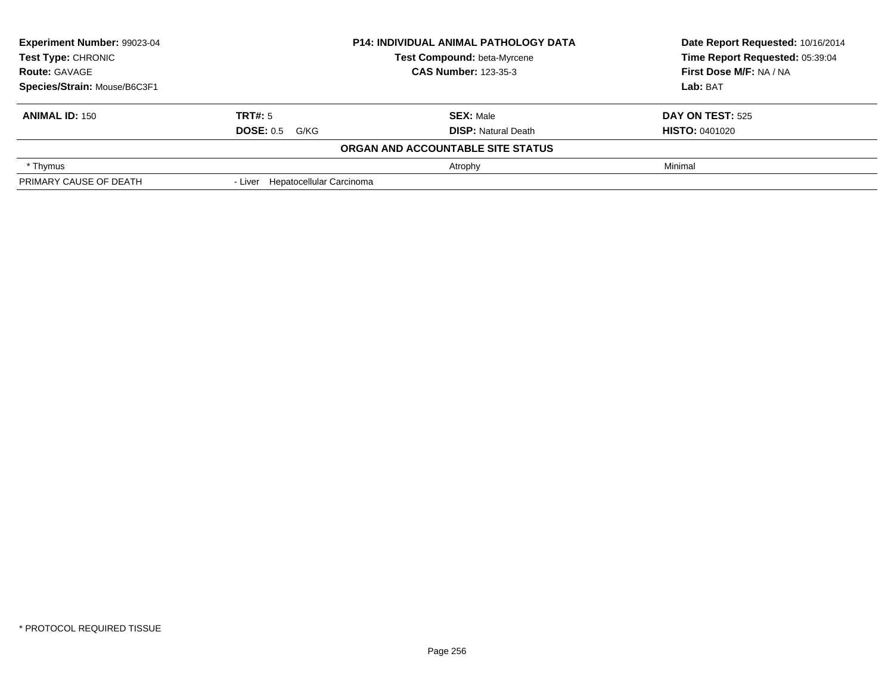| Experiment Number: 99023-04<br><b>Test Type: CHRONIC</b> |                                  | <b>P14: INDIVIDUAL ANIMAL PATHOLOGY DATA</b> | Date Report Requested: 10/16/2014<br>Time Report Requested: 05:39:04 |  |
|----------------------------------------------------------|----------------------------------|----------------------------------------------|----------------------------------------------------------------------|--|
|                                                          |                                  | Test Compound: beta-Myrcene                  |                                                                      |  |
| <b>Route: GAVAGE</b>                                     |                                  | <b>CAS Number: 123-35-3</b>                  | First Dose M/F: NA / NA                                              |  |
| Species/Strain: Mouse/B6C3F1                             |                                  |                                              | Lab: BAT                                                             |  |
| <b>ANIMAL ID: 150</b>                                    | <b>TRT#: 5</b>                   | <b>SEX: Male</b>                             | <b>DAY ON TEST: 525</b>                                              |  |
|                                                          | <b>DOSE: 0.5 G/KG</b>            | <b>DISP:</b> Natural Death                   | <b>HISTO: 0401020</b>                                                |  |
|                                                          |                                  | ORGAN AND ACCOUNTABLE SITE STATUS            |                                                                      |  |
| * Thymus                                                 |                                  | Atrophy                                      | Minimal                                                              |  |
| PRIMARY CAUSE OF DEATH                                   | - Liver Hepatocellular Carcinoma |                                              |                                                                      |  |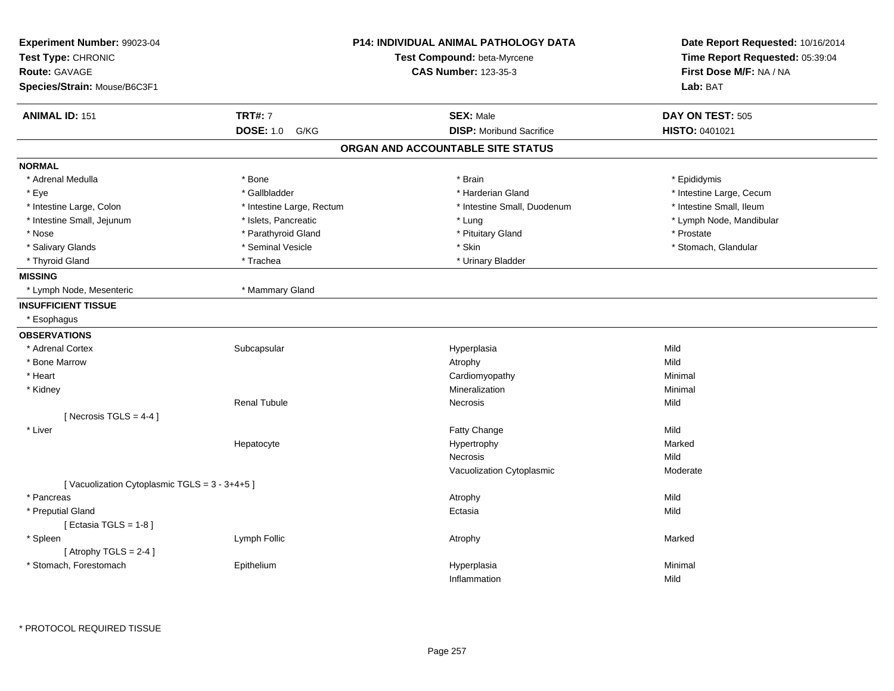| Experiment Number: 99023-04<br>Test Type: CHRONIC<br>Route: GAVAGE<br>Species/Strain: Mouse/B6C3F1 |                           | <b>P14: INDIVIDUAL ANIMAL PATHOLOGY DATA</b><br>Test Compound: beta-Myrcene<br><b>CAS Number: 123-35-3</b> | Time Report Requested: 05:39:04<br>First Dose M/F: NA / NA<br>Lab: BAT |  | Date Report Requested: 10/16/2014 |
|----------------------------------------------------------------------------------------------------|---------------------------|------------------------------------------------------------------------------------------------------------|------------------------------------------------------------------------|--|-----------------------------------|
| <b>ANIMAL ID: 151</b>                                                                              | <b>TRT#: 7</b>            | <b>SEX: Male</b>                                                                                           | DAY ON TEST: 505                                                       |  |                                   |
|                                                                                                    | <b>DOSE: 1.0</b><br>G/KG  | <b>DISP:</b> Moribund Sacrifice                                                                            | <b>HISTO: 0401021</b>                                                  |  |                                   |
|                                                                                                    |                           | ORGAN AND ACCOUNTABLE SITE STATUS                                                                          |                                                                        |  |                                   |
| <b>NORMAL</b>                                                                                      |                           |                                                                                                            |                                                                        |  |                                   |
| * Adrenal Medulla                                                                                  | * Bone                    | * Brain                                                                                                    | * Epididymis                                                           |  |                                   |
| * Eye                                                                                              | * Gallbladder             | * Harderian Gland                                                                                          | * Intestine Large, Cecum                                               |  |                                   |
| * Intestine Large, Colon                                                                           | * Intestine Large, Rectum | * Intestine Small, Duodenum                                                                                | * Intestine Small, Ileum                                               |  |                                   |
| * Intestine Small, Jejunum                                                                         | * Islets, Pancreatic      | * Lung                                                                                                     | * Lymph Node, Mandibular                                               |  |                                   |
| * Nose                                                                                             | * Parathyroid Gland       | * Pituitary Gland                                                                                          | * Prostate                                                             |  |                                   |
| * Salivary Glands                                                                                  | * Seminal Vesicle         | * Skin                                                                                                     | * Stomach, Glandular                                                   |  |                                   |
| * Thyroid Gland                                                                                    | * Trachea                 | * Urinary Bladder                                                                                          |                                                                        |  |                                   |
| <b>MISSING</b>                                                                                     |                           |                                                                                                            |                                                                        |  |                                   |
| * Lymph Node, Mesenteric                                                                           | * Mammary Gland           |                                                                                                            |                                                                        |  |                                   |
| <b>INSUFFICIENT TISSUE</b>                                                                         |                           |                                                                                                            |                                                                        |  |                                   |
| * Esophagus                                                                                        |                           |                                                                                                            |                                                                        |  |                                   |
| <b>OBSERVATIONS</b>                                                                                |                           |                                                                                                            |                                                                        |  |                                   |
| * Adrenal Cortex                                                                                   | Subcapsular               | Hyperplasia                                                                                                | Mild                                                                   |  |                                   |
| * Bone Marrow                                                                                      |                           | Atrophy                                                                                                    | Mild                                                                   |  |                                   |
| * Heart                                                                                            |                           | Cardiomyopathy                                                                                             | Minimal                                                                |  |                                   |
| * Kidney                                                                                           |                           | Mineralization                                                                                             | Minimal                                                                |  |                                   |
|                                                                                                    | <b>Renal Tubule</b>       | Necrosis                                                                                                   | Mild                                                                   |  |                                   |
| [ Necrosis $TGLS = 4-4$ ]                                                                          |                           |                                                                                                            |                                                                        |  |                                   |
| * Liver                                                                                            |                           | Fatty Change                                                                                               | Mild                                                                   |  |                                   |
|                                                                                                    | Hepatocyte                | Hypertrophy                                                                                                | Marked                                                                 |  |                                   |
|                                                                                                    |                           | <b>Necrosis</b>                                                                                            | Mild                                                                   |  |                                   |
|                                                                                                    |                           | Vacuolization Cytoplasmic                                                                                  | Moderate                                                               |  |                                   |
| [Vacuolization Cytoplasmic TGLS = 3 - 3+4+5]                                                       |                           |                                                                                                            |                                                                        |  |                                   |
| * Pancreas                                                                                         |                           | Atrophy                                                                                                    | Mild                                                                   |  |                                   |
| * Preputial Gland                                                                                  |                           | Ectasia                                                                                                    | Mild                                                                   |  |                                   |
| [ Ectasia TGLS = $1-8$ ]                                                                           |                           |                                                                                                            |                                                                        |  |                                   |
| * Spleen                                                                                           | Lymph Follic              | Atrophy                                                                                                    | Marked                                                                 |  |                                   |
| [Atrophy TGLS = $2-4$ ]                                                                            |                           |                                                                                                            |                                                                        |  |                                   |
| * Stomach, Forestomach                                                                             | Epithelium                | Hyperplasia                                                                                                | Minimal                                                                |  |                                   |
|                                                                                                    |                           | Inflammation                                                                                               | Mild                                                                   |  |                                   |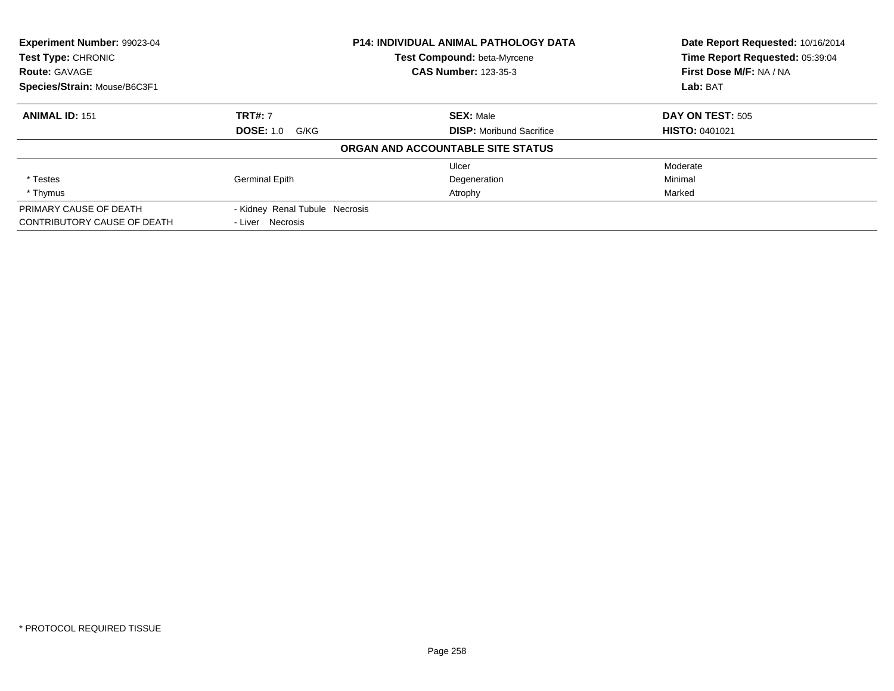| <b>Experiment Number: 99023-04</b><br>Test Type: CHRONIC |                                | <b>P14: INDIVIDUAL ANIMAL PATHOLOGY DATA</b> | Date Report Requested: 10/16/2014<br>Time Report Requested: 05:39:04 |
|----------------------------------------------------------|--------------------------------|----------------------------------------------|----------------------------------------------------------------------|
|                                                          |                                | Test Compound: beta-Myrcene                  |                                                                      |
| <b>Route: GAVAGE</b>                                     |                                | <b>CAS Number: 123-35-3</b>                  | First Dose M/F: NA / NA                                              |
| Species/Strain: Mouse/B6C3F1                             |                                |                                              | Lab: BAT                                                             |
| <b>ANIMAL ID: 151</b>                                    | <b>TRT#: 7</b>                 | <b>SEX: Male</b>                             | DAY ON TEST: 505                                                     |
|                                                          | <b>DOSE: 1.0 G/KG</b>          | <b>DISP:</b> Moribund Sacrifice              | <b>HISTO: 0401021</b>                                                |
|                                                          |                                | ORGAN AND ACCOUNTABLE SITE STATUS            |                                                                      |
|                                                          |                                | Ulcer                                        | Moderate                                                             |
| * Testes                                                 | <b>Germinal Epith</b>          | Degeneration                                 | Minimal                                                              |
| * Thymus                                                 |                                | Atrophy                                      | Marked                                                               |
| PRIMARY CAUSE OF DEATH                                   | - Kidney Renal Tubule Necrosis |                                              |                                                                      |
| CONTRIBUTORY CAUSE OF DEATH                              | - Liver Necrosis               |                                              |                                                                      |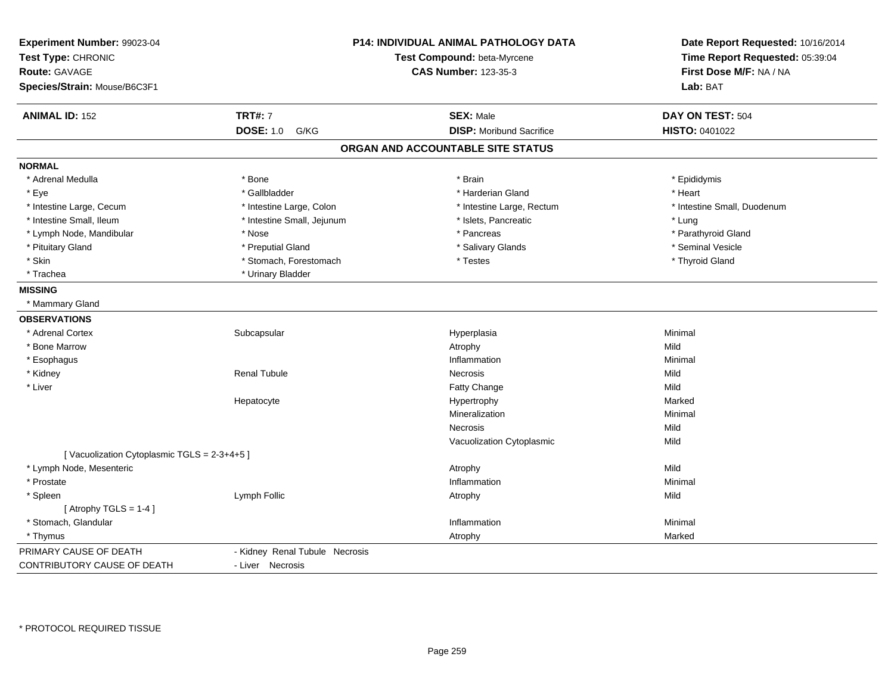| Experiment Number: 99023-04<br>Test Type: CHRONIC<br><b>Route: GAVAGE</b><br>Species/Strain: Mouse/B6C3F1 |                                | P14: INDIVIDUAL ANIMAL PATHOLOGY DATA<br>Test Compound: beta-Myrcene<br><b>CAS Number: 123-35-3</b> | Date Report Requested: 10/16/2014<br>Time Report Requested: 05:39:04<br>First Dose M/F: NA / NA<br>Lab: BAT |
|-----------------------------------------------------------------------------------------------------------|--------------------------------|-----------------------------------------------------------------------------------------------------|-------------------------------------------------------------------------------------------------------------|
| <b>ANIMAL ID: 152</b>                                                                                     | <b>TRT#: 7</b>                 | <b>SEX: Male</b>                                                                                    | DAY ON TEST: 504                                                                                            |
|                                                                                                           | <b>DOSE: 1.0</b><br>G/KG       | <b>DISP: Moribund Sacrifice</b>                                                                     | HISTO: 0401022                                                                                              |
|                                                                                                           |                                | ORGAN AND ACCOUNTABLE SITE STATUS                                                                   |                                                                                                             |
| <b>NORMAL</b>                                                                                             |                                |                                                                                                     |                                                                                                             |
| * Adrenal Medulla                                                                                         | * Bone                         | * Brain                                                                                             | * Epididymis                                                                                                |
| * Eye                                                                                                     | * Gallbladder                  | * Harderian Gland                                                                                   | * Heart                                                                                                     |
| * Intestine Large, Cecum                                                                                  | * Intestine Large, Colon       | * Intestine Large, Rectum                                                                           | * Intestine Small, Duodenum                                                                                 |
| * Intestine Small, Ileum                                                                                  | * Intestine Small, Jejunum     | * Islets, Pancreatic                                                                                | * Lung                                                                                                      |
| * Lymph Node, Mandibular                                                                                  | * Nose                         | * Pancreas                                                                                          | * Parathyroid Gland                                                                                         |
| * Pituitary Gland                                                                                         | * Preputial Gland              | * Salivary Glands                                                                                   | * Seminal Vesicle                                                                                           |
| * Skin                                                                                                    | * Stomach, Forestomach         | * Testes                                                                                            | * Thyroid Gland                                                                                             |
| * Trachea                                                                                                 | * Urinary Bladder              |                                                                                                     |                                                                                                             |
| <b>MISSING</b>                                                                                            |                                |                                                                                                     |                                                                                                             |
| * Mammary Gland                                                                                           |                                |                                                                                                     |                                                                                                             |
| <b>OBSERVATIONS</b>                                                                                       |                                |                                                                                                     |                                                                                                             |
| * Adrenal Cortex                                                                                          | Subcapsular                    | Hyperplasia                                                                                         | Minimal                                                                                                     |
| * Bone Marrow                                                                                             |                                | Atrophy                                                                                             | Mild                                                                                                        |
| * Esophagus                                                                                               |                                | Inflammation                                                                                        | Minimal                                                                                                     |
| * Kidney                                                                                                  | <b>Renal Tubule</b>            | <b>Necrosis</b>                                                                                     | Mild                                                                                                        |
| * Liver                                                                                                   |                                | Fatty Change                                                                                        | Mild                                                                                                        |
|                                                                                                           | Hepatocyte                     | Hypertrophy                                                                                         | Marked                                                                                                      |
|                                                                                                           |                                | Mineralization                                                                                      | Minimal                                                                                                     |
|                                                                                                           |                                | Necrosis                                                                                            | Mild                                                                                                        |
|                                                                                                           |                                | Vacuolization Cytoplasmic                                                                           | Mild                                                                                                        |
| [Vacuolization Cytoplasmic TGLS = 2-3+4+5]                                                                |                                |                                                                                                     |                                                                                                             |
| * Lymph Node, Mesenteric                                                                                  |                                | Atrophy                                                                                             | Mild                                                                                                        |
| * Prostate                                                                                                |                                | Inflammation                                                                                        | Minimal                                                                                                     |
| * Spleen                                                                                                  | Lymph Follic                   | Atrophy                                                                                             | Mild                                                                                                        |
| [Atrophy TGLS = $1-4$ ]                                                                                   |                                |                                                                                                     |                                                                                                             |
| * Stomach, Glandular                                                                                      |                                | Inflammation                                                                                        | Minimal                                                                                                     |
| * Thymus                                                                                                  |                                | Atrophy                                                                                             | Marked                                                                                                      |
| PRIMARY CAUSE OF DEATH                                                                                    | - Kidney Renal Tubule Necrosis |                                                                                                     |                                                                                                             |
| CONTRIBUTORY CAUSE OF DEATH                                                                               | - Liver Necrosis               |                                                                                                     |                                                                                                             |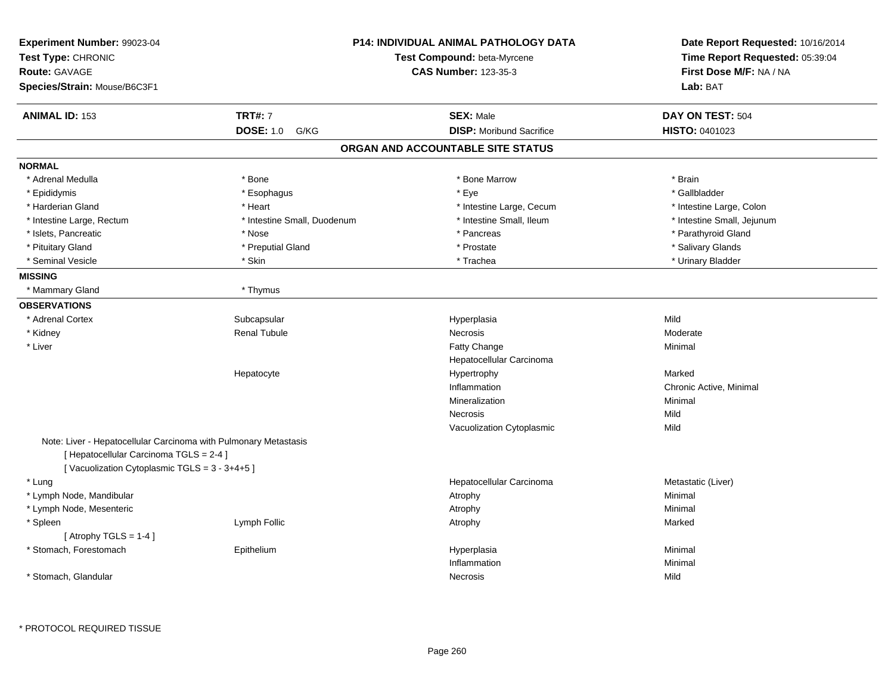| Experiment Number: 99023-04<br>Test Type: CHRONIC<br><b>Route: GAVAGE</b><br>Species/Strain: Mouse/B6C3F1 |                             | P14: INDIVIDUAL ANIMAL PATHOLOGY DATA<br>Test Compound: beta-Myrcene<br><b>CAS Number: 123-35-3</b> | Date Report Requested: 10/16/2014<br>Time Report Requested: 05:39:04<br>First Dose M/F: NA / NA<br><b>Lab: BAT</b> |
|-----------------------------------------------------------------------------------------------------------|-----------------------------|-----------------------------------------------------------------------------------------------------|--------------------------------------------------------------------------------------------------------------------|
| <b>ANIMAL ID: 153</b>                                                                                     | <b>TRT#: 7</b>              | <b>SEX: Male</b>                                                                                    | DAY ON TEST: 504                                                                                                   |
|                                                                                                           | <b>DOSE: 1.0</b><br>G/KG    | <b>DISP: Moribund Sacrifice</b>                                                                     | HISTO: 0401023                                                                                                     |
|                                                                                                           |                             | ORGAN AND ACCOUNTABLE SITE STATUS                                                                   |                                                                                                                    |
| <b>NORMAL</b>                                                                                             |                             |                                                                                                     |                                                                                                                    |
| * Adrenal Medulla                                                                                         | * Bone                      | * Bone Marrow                                                                                       | * Brain                                                                                                            |
| * Epididymis                                                                                              | * Esophagus                 | * Eye                                                                                               | * Gallbladder                                                                                                      |
| * Harderian Gland                                                                                         | * Heart                     | * Intestine Large, Cecum                                                                            | * Intestine Large, Colon                                                                                           |
| * Intestine Large, Rectum                                                                                 | * Intestine Small, Duodenum | * Intestine Small, Ileum                                                                            | * Intestine Small, Jejunum                                                                                         |
| * Islets, Pancreatic                                                                                      | * Nose                      | * Pancreas                                                                                          | * Parathyroid Gland                                                                                                |
| * Pituitary Gland                                                                                         | * Preputial Gland           | * Prostate                                                                                          | * Salivary Glands                                                                                                  |
| * Seminal Vesicle                                                                                         | * Skin                      | * Trachea                                                                                           | * Urinary Bladder                                                                                                  |
| <b>MISSING</b>                                                                                            |                             |                                                                                                     |                                                                                                                    |
| * Mammary Gland                                                                                           | * Thymus                    |                                                                                                     |                                                                                                                    |
| <b>OBSERVATIONS</b>                                                                                       |                             |                                                                                                     |                                                                                                                    |
| * Adrenal Cortex                                                                                          | Subcapsular                 | Hyperplasia                                                                                         | Mild                                                                                                               |
| * Kidney                                                                                                  | <b>Renal Tubule</b>         | Necrosis                                                                                            | Moderate                                                                                                           |
| * Liver                                                                                                   |                             | <b>Fatty Change</b>                                                                                 | Minimal                                                                                                            |
|                                                                                                           |                             | Hepatocellular Carcinoma                                                                            |                                                                                                                    |
|                                                                                                           | Hepatocyte                  | Hypertrophy                                                                                         | Marked                                                                                                             |
|                                                                                                           |                             | Inflammation                                                                                        | Chronic Active, Minimal                                                                                            |
|                                                                                                           |                             | Mineralization                                                                                      | Minimal                                                                                                            |
|                                                                                                           |                             | Necrosis                                                                                            | Mild                                                                                                               |
|                                                                                                           |                             | Vacuolization Cytoplasmic                                                                           | Mild                                                                                                               |
| Note: Liver - Hepatocellular Carcinoma with Pulmonary Metastasis                                          |                             |                                                                                                     |                                                                                                                    |
| [ Hepatocellular Carcinoma TGLS = 2-4 ]                                                                   |                             |                                                                                                     |                                                                                                                    |
| [Vacuolization Cytoplasmic TGLS = 3 - 3+4+5]                                                              |                             |                                                                                                     |                                                                                                                    |
| * Lung                                                                                                    |                             | Hepatocellular Carcinoma                                                                            | Metastatic (Liver)                                                                                                 |
| * Lymph Node, Mandibular                                                                                  |                             | Atrophy                                                                                             | Minimal                                                                                                            |
| * Lymph Node, Mesenteric                                                                                  |                             | Atrophy                                                                                             | Minimal                                                                                                            |
| * Spleen                                                                                                  | Lymph Follic                | Atrophy                                                                                             | Marked                                                                                                             |
| [ Atrophy TGLS = $1-4$ ]                                                                                  |                             |                                                                                                     |                                                                                                                    |
| * Stomach, Forestomach                                                                                    | Epithelium                  | Hyperplasia                                                                                         | Minimal                                                                                                            |
|                                                                                                           |                             | Inflammation                                                                                        | Minimal                                                                                                            |
| * Stomach, Glandular                                                                                      |                             | Necrosis                                                                                            | Mild                                                                                                               |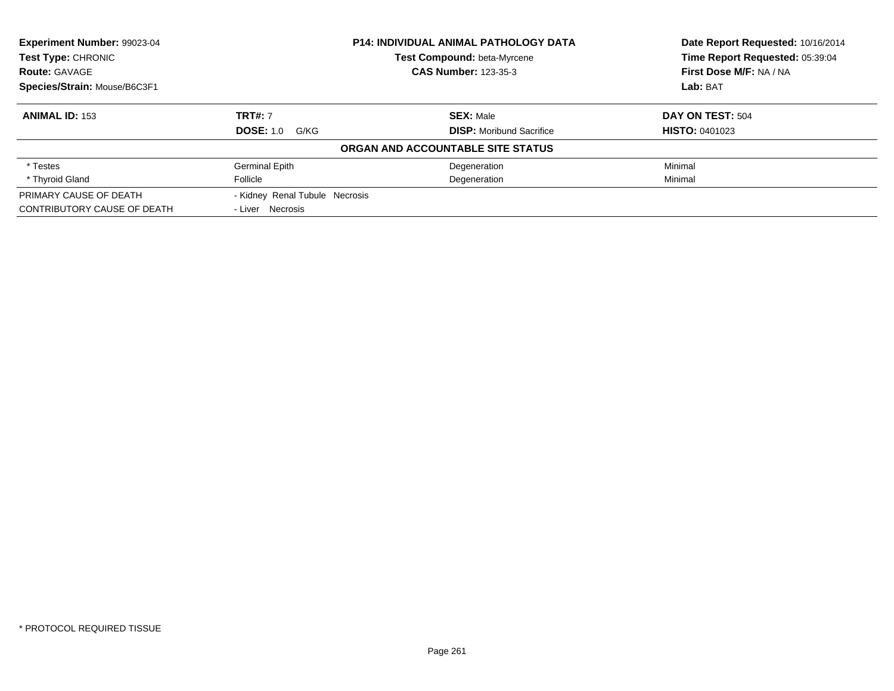|                                |                                 | Date Report Requested: 10/16/2014                                                                                |
|--------------------------------|---------------------------------|------------------------------------------------------------------------------------------------------------------|
|                                |                                 | Time Report Requested: 05:39:04                                                                                  |
|                                | <b>CAS Number: 123-35-3</b>     | First Dose M/F: NA / NA                                                                                          |
|                                |                                 | Lab: BAT                                                                                                         |
| <b>TRT#: 7</b>                 | <b>SEX: Male</b>                | DAY ON TEST: 504                                                                                                 |
| <b>DOSE: 1.0 G/KG</b>          | <b>DISP:</b> Moribund Sacrifice | <b>HISTO: 0401023</b>                                                                                            |
|                                |                                 |                                                                                                                  |
| <b>Germinal Epith</b>          | Degeneration                    | Minimal                                                                                                          |
| Follicle                       | Degeneration                    | Minimal                                                                                                          |
| - Kidney Renal Tubule Necrosis |                                 |                                                                                                                  |
| - Liver Necrosis               |                                 |                                                                                                                  |
|                                |                                 | <b>P14: INDIVIDUAL ANIMAL PATHOLOGY DATA</b><br>Test Compound: beta-Myrcene<br>ORGAN AND ACCOUNTABLE SITE STATUS |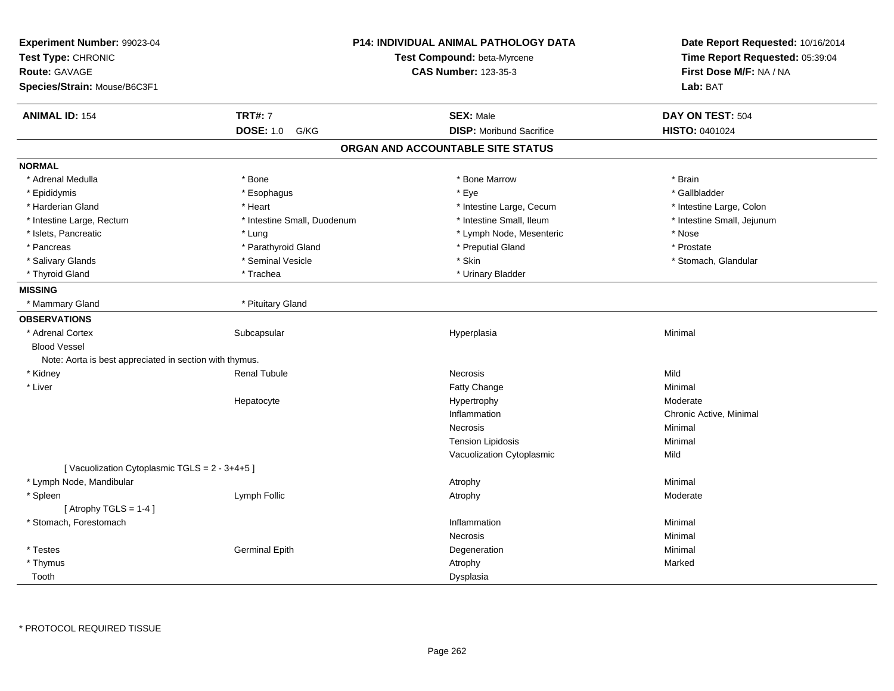| Experiment Number: 99023-04<br>Test Type: CHRONIC<br><b>Route: GAVAGE</b><br>Species/Strain: Mouse/B6C3F1 | <b>P14: INDIVIDUAL ANIMAL PATHOLOGY DATA</b><br>Test Compound: beta-Myrcene<br><b>CAS Number: 123-35-3</b> |                                   | Date Report Requested: 10/16/2014<br>Time Report Requested: 05:39:04<br>First Dose M/F: NA / NA<br>Lab: BAT |
|-----------------------------------------------------------------------------------------------------------|------------------------------------------------------------------------------------------------------------|-----------------------------------|-------------------------------------------------------------------------------------------------------------|
| <b>ANIMAL ID: 154</b>                                                                                     | <b>TRT#: 7</b>                                                                                             | <b>SEX: Male</b>                  | DAY ON TEST: 504                                                                                            |
|                                                                                                           | <b>DOSE: 1.0</b><br>G/KG                                                                                   | <b>DISP:</b> Moribund Sacrifice   | <b>HISTO: 0401024</b>                                                                                       |
|                                                                                                           |                                                                                                            | ORGAN AND ACCOUNTABLE SITE STATUS |                                                                                                             |
| <b>NORMAL</b>                                                                                             |                                                                                                            |                                   |                                                                                                             |
| * Adrenal Medulla                                                                                         | * Bone                                                                                                     | * Bone Marrow                     | * Brain                                                                                                     |
| * Epididymis                                                                                              | * Esophagus                                                                                                | * Eye                             | * Gallbladder                                                                                               |
| * Harderian Gland                                                                                         | * Heart                                                                                                    | * Intestine Large, Cecum          | * Intestine Large, Colon                                                                                    |
| * Intestine Large, Rectum                                                                                 | * Intestine Small, Duodenum                                                                                | * Intestine Small, Ileum          | * Intestine Small, Jejunum                                                                                  |
| * Islets, Pancreatic                                                                                      | * Lung                                                                                                     | * Lymph Node, Mesenteric          | * Nose                                                                                                      |
| * Pancreas                                                                                                | * Parathyroid Gland                                                                                        | * Preputial Gland                 | * Prostate                                                                                                  |
| * Salivary Glands                                                                                         | * Seminal Vesicle                                                                                          | * Skin                            | * Stomach, Glandular                                                                                        |
| * Thyroid Gland                                                                                           | * Trachea                                                                                                  | * Urinary Bladder                 |                                                                                                             |
| <b>MISSING</b>                                                                                            |                                                                                                            |                                   |                                                                                                             |
| * Mammary Gland                                                                                           | * Pituitary Gland                                                                                          |                                   |                                                                                                             |
| <b>OBSERVATIONS</b>                                                                                       |                                                                                                            |                                   |                                                                                                             |
| * Adrenal Cortex                                                                                          | Subcapsular                                                                                                | Hyperplasia                       | Minimal                                                                                                     |
| <b>Blood Vessel</b>                                                                                       |                                                                                                            |                                   |                                                                                                             |
| Note: Aorta is best appreciated in section with thymus.                                                   |                                                                                                            |                                   |                                                                                                             |
| * Kidney                                                                                                  | Renal Tubule                                                                                               | <b>Necrosis</b>                   | Mild                                                                                                        |
| * Liver                                                                                                   |                                                                                                            | Fatty Change                      | Minimal                                                                                                     |
|                                                                                                           | Hepatocyte                                                                                                 | Hypertrophy                       | Moderate                                                                                                    |
|                                                                                                           |                                                                                                            | Inflammation                      | Chronic Active, Minimal                                                                                     |
|                                                                                                           |                                                                                                            | Necrosis                          | Minimal                                                                                                     |
|                                                                                                           |                                                                                                            | <b>Tension Lipidosis</b>          | Minimal                                                                                                     |
|                                                                                                           |                                                                                                            | Vacuolization Cytoplasmic         | Mild                                                                                                        |
| [Vacuolization Cytoplasmic TGLS = 2 - 3+4+5]                                                              |                                                                                                            |                                   |                                                                                                             |
| * Lymph Node, Mandibular                                                                                  |                                                                                                            | Atrophy                           | Minimal                                                                                                     |
| * Spleen                                                                                                  | Lymph Follic                                                                                               | Atrophy                           | Moderate                                                                                                    |
| [Atrophy TGLS = $1-4$ ]                                                                                   |                                                                                                            |                                   |                                                                                                             |
| * Stomach, Forestomach                                                                                    |                                                                                                            | Inflammation                      | Minimal                                                                                                     |
|                                                                                                           |                                                                                                            | <b>Necrosis</b>                   | Minimal                                                                                                     |
| * Testes                                                                                                  | <b>Germinal Epith</b>                                                                                      | Degeneration                      | Minimal                                                                                                     |
| * Thymus                                                                                                  |                                                                                                            | Atrophy                           | Marked                                                                                                      |
| Tooth                                                                                                     |                                                                                                            | Dysplasia                         |                                                                                                             |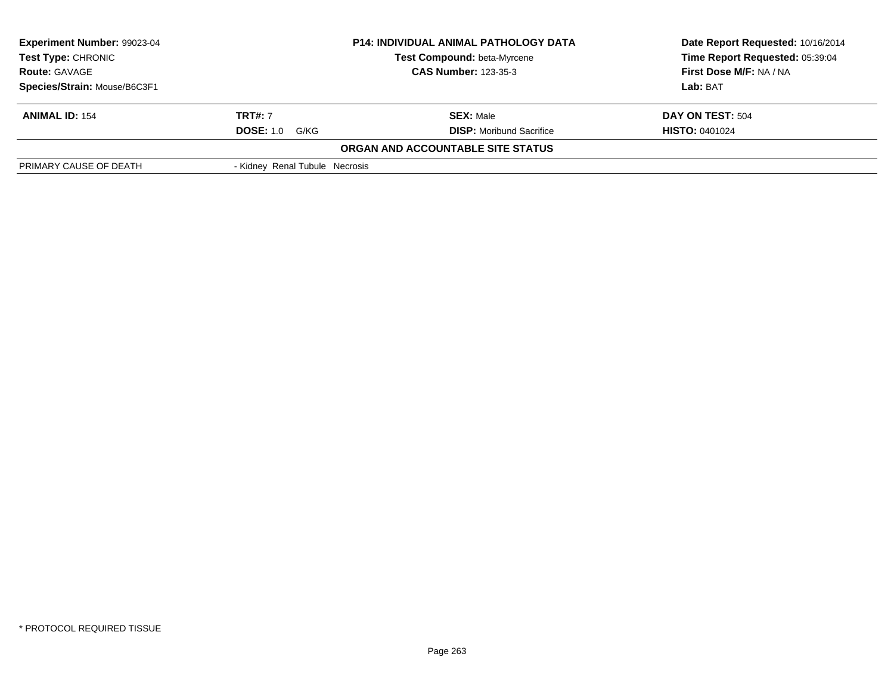| Experiment Number: 99023-04                                                                                     |                                | <b>P14: INDIVIDUAL ANIMAL PATHOLOGY DATA</b> | Date Report Requested: 10/16/2014 |  |
|-----------------------------------------------------------------------------------------------------------------|--------------------------------|----------------------------------------------|-----------------------------------|--|
| <b>Test Type: CHRONIC</b><br>Test Compound: beta-Myrcene<br><b>CAS Number: 123-35-3</b><br><b>Route: GAVAGE</b> |                                |                                              | Time Report Requested: 05:39:04   |  |
|                                                                                                                 |                                |                                              | First Dose M/F: NA / NA           |  |
| Species/Strain: Mouse/B6C3F1                                                                                    |                                |                                              | Lab: BAT                          |  |
| <b>ANIMAL ID: 154</b>                                                                                           | <b>TRT#:</b> 7                 | <b>SEX: Male</b>                             | DAY ON TEST: 504                  |  |
|                                                                                                                 | <b>DOSE: 1.0 G/KG</b>          | <b>DISP:</b> Moribund Sacrifice              | <b>HISTO: 0401024</b>             |  |
|                                                                                                                 |                                | ORGAN AND ACCOUNTABLE SITE STATUS            |                                   |  |
| PRIMARY CAUSE OF DEATH                                                                                          | - Kidney Renal Tubule Necrosis |                                              |                                   |  |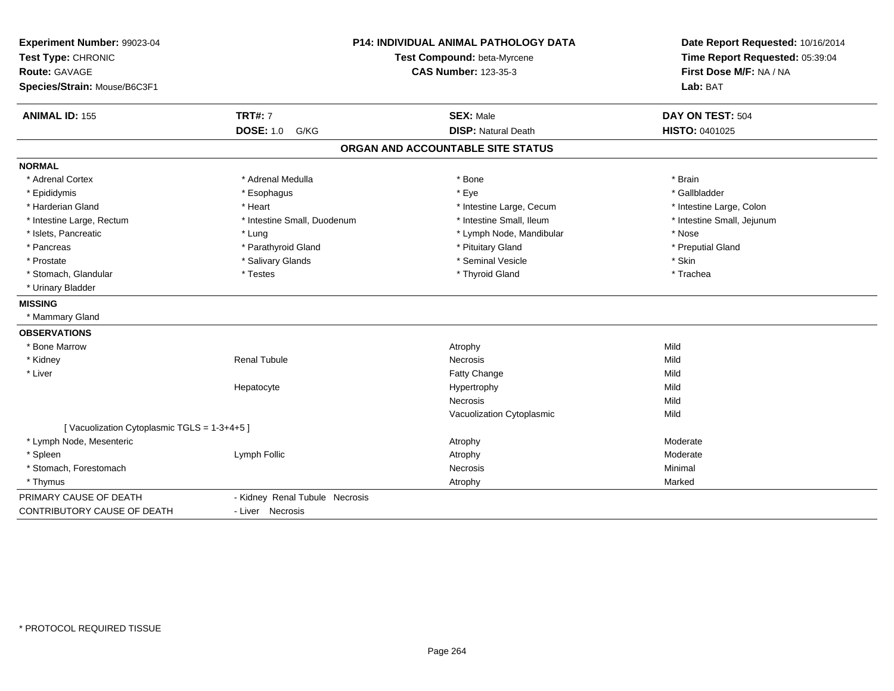| Experiment Number: 99023-04<br>Test Type: CHRONIC<br>Route: GAVAGE<br>Species/Strain: Mouse/B6C3F1 | <b>P14: INDIVIDUAL ANIMAL PATHOLOGY DATA</b><br>Test Compound: beta-Myrcene<br><b>CAS Number: 123-35-3</b> |                                   | Date Report Requested: 10/16/2014<br>Time Report Requested: 05:39:04<br>First Dose M/F: NA / NA<br>Lab: BAT |  |
|----------------------------------------------------------------------------------------------------|------------------------------------------------------------------------------------------------------------|-----------------------------------|-------------------------------------------------------------------------------------------------------------|--|
| <b>ANIMAL ID: 155</b>                                                                              | <b>TRT#: 7</b>                                                                                             | <b>SEX: Male</b>                  | DAY ON TEST: 504                                                                                            |  |
|                                                                                                    | <b>DOSE: 1.0</b><br>G/KG                                                                                   | <b>DISP: Natural Death</b>        | HISTO: 0401025                                                                                              |  |
|                                                                                                    |                                                                                                            | ORGAN AND ACCOUNTABLE SITE STATUS |                                                                                                             |  |
| <b>NORMAL</b>                                                                                      |                                                                                                            |                                   |                                                                                                             |  |
| * Adrenal Cortex                                                                                   | * Adrenal Medulla                                                                                          | * Bone                            | * Brain                                                                                                     |  |
| * Epididymis                                                                                       | * Esophagus                                                                                                | * Eye                             | * Gallbladder                                                                                               |  |
| * Harderian Gland                                                                                  | * Heart                                                                                                    | * Intestine Large, Cecum          | * Intestine Large, Colon                                                                                    |  |
| * Intestine Large, Rectum                                                                          | * Intestine Small, Duodenum                                                                                | * Intestine Small, Ileum          | * Intestine Small, Jejunum                                                                                  |  |
| * Islets, Pancreatic                                                                               | * Lung                                                                                                     | * Lymph Node, Mandibular          | * Nose                                                                                                      |  |
| * Pancreas                                                                                         | * Parathyroid Gland                                                                                        | * Pituitary Gland                 | * Preputial Gland                                                                                           |  |
| * Prostate                                                                                         | * Salivary Glands                                                                                          | * Seminal Vesicle                 | * Skin                                                                                                      |  |
| * Stomach, Glandular                                                                               | * Testes                                                                                                   | * Thyroid Gland                   | * Trachea                                                                                                   |  |
| * Urinary Bladder                                                                                  |                                                                                                            |                                   |                                                                                                             |  |
| <b>MISSING</b>                                                                                     |                                                                                                            |                                   |                                                                                                             |  |
| * Mammary Gland                                                                                    |                                                                                                            |                                   |                                                                                                             |  |
| <b>OBSERVATIONS</b>                                                                                |                                                                                                            |                                   |                                                                                                             |  |
| * Bone Marrow                                                                                      |                                                                                                            | Atrophy                           | Mild                                                                                                        |  |
| * Kidney                                                                                           | <b>Renal Tubule</b>                                                                                        | Necrosis                          | Mild                                                                                                        |  |
| * Liver                                                                                            |                                                                                                            | Fatty Change                      | Mild                                                                                                        |  |
|                                                                                                    | Hepatocyte                                                                                                 | Hypertrophy                       | Mild                                                                                                        |  |
|                                                                                                    |                                                                                                            | <b>Necrosis</b>                   | Mild                                                                                                        |  |
|                                                                                                    |                                                                                                            | Vacuolization Cytoplasmic         | Mild                                                                                                        |  |
| [Vacuolization Cytoplasmic TGLS = 1-3+4+5]                                                         |                                                                                                            |                                   |                                                                                                             |  |
| * Lymph Node, Mesenteric                                                                           |                                                                                                            | Atrophy                           | Moderate                                                                                                    |  |
| * Spleen                                                                                           | Lymph Follic                                                                                               | Atrophy                           | Moderate                                                                                                    |  |
| * Stomach, Forestomach                                                                             |                                                                                                            | Necrosis                          | Minimal                                                                                                     |  |
| * Thymus                                                                                           |                                                                                                            | Atrophy                           | Marked                                                                                                      |  |
| PRIMARY CAUSE OF DEATH                                                                             | - Kidney Renal Tubule Necrosis                                                                             |                                   |                                                                                                             |  |
| <b>CONTRIBUTORY CAUSE OF DEATH</b>                                                                 | - Liver Necrosis                                                                                           |                                   |                                                                                                             |  |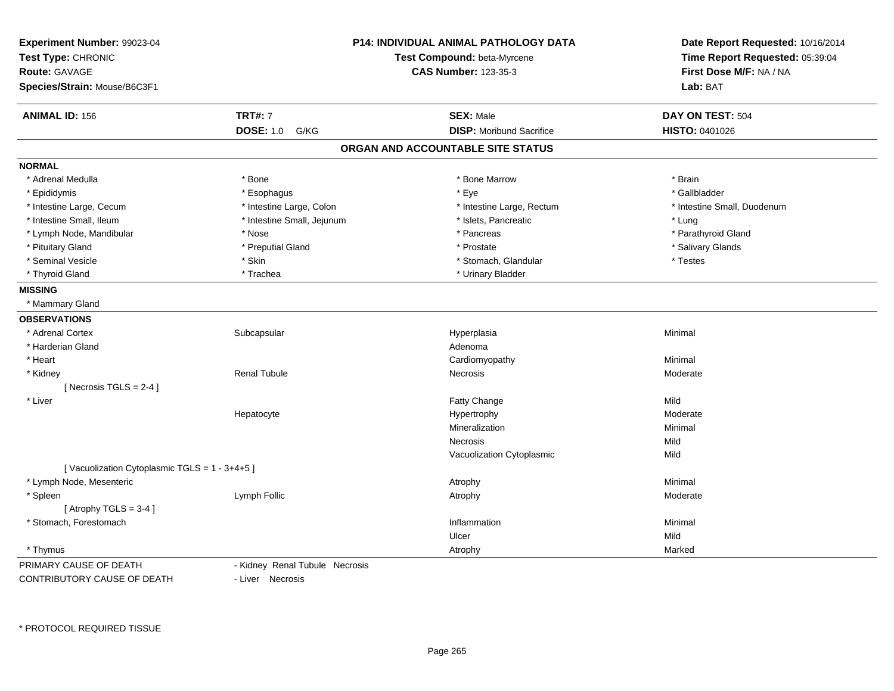| Experiment Number: 99023-04<br>Test Type: CHRONIC |                                | P14: INDIVIDUAL ANIMAL PATHOLOGY DATA<br>Test Compound: beta-Myrcene | Date Report Requested: 10/16/2014<br>Time Report Requested: 05:39:04 |
|---------------------------------------------------|--------------------------------|----------------------------------------------------------------------|----------------------------------------------------------------------|
| Route: GAVAGE                                     |                                | <b>CAS Number: 123-35-3</b>                                          | First Dose M/F: NA / NA                                              |
| Species/Strain: Mouse/B6C3F1                      |                                |                                                                      | Lab: BAT                                                             |
| <b>ANIMAL ID: 156</b>                             | <b>TRT#: 7</b>                 | <b>SEX: Male</b>                                                     | DAY ON TEST: 504                                                     |
|                                                   | <b>DOSE: 1.0</b><br>G/KG       | <b>DISP:</b> Moribund Sacrifice                                      | <b>HISTO: 0401026</b>                                                |
|                                                   |                                | ORGAN AND ACCOUNTABLE SITE STATUS                                    |                                                                      |
| <b>NORMAL</b>                                     |                                |                                                                      |                                                                      |
| * Adrenal Medulla                                 | * Bone                         | * Bone Marrow                                                        | * Brain                                                              |
| * Epididymis                                      | * Esophagus                    | * Eye                                                                | * Gallbladder                                                        |
| * Intestine Large, Cecum                          | * Intestine Large, Colon       | * Intestine Large, Rectum                                            | * Intestine Small, Duodenum                                          |
| * Intestine Small, Ileum                          | * Intestine Small, Jejunum     | * Islets, Pancreatic                                                 | * Lung                                                               |
| * Lymph Node, Mandibular                          | * Nose                         | * Pancreas                                                           | * Parathyroid Gland                                                  |
| * Pituitary Gland                                 | * Preputial Gland              | * Prostate                                                           | * Salivary Glands                                                    |
| * Seminal Vesicle                                 | * Skin                         | * Stomach, Glandular                                                 | * Testes                                                             |
| * Thyroid Gland                                   | * Trachea                      | * Urinary Bladder                                                    |                                                                      |
| <b>MISSING</b>                                    |                                |                                                                      |                                                                      |
| * Mammary Gland                                   |                                |                                                                      |                                                                      |
| <b>OBSERVATIONS</b>                               |                                |                                                                      |                                                                      |
| * Adrenal Cortex                                  | Subcapsular                    | Hyperplasia                                                          | Minimal                                                              |
| * Harderian Gland                                 |                                | Adenoma                                                              |                                                                      |
| * Heart                                           |                                | Cardiomyopathy                                                       | Minimal                                                              |
| * Kidney                                          | <b>Renal Tubule</b>            | Necrosis                                                             | Moderate                                                             |
| [Necrosis $TGLS = 2-4$ ]                          |                                |                                                                      |                                                                      |
| * Liver                                           |                                | Fatty Change                                                         | Mild                                                                 |
|                                                   | Hepatocyte                     | Hypertrophy                                                          | Moderate                                                             |
|                                                   |                                | Mineralization                                                       | Minimal                                                              |
|                                                   |                                | Necrosis                                                             | Mild                                                                 |
|                                                   |                                | Vacuolization Cytoplasmic                                            | Mild                                                                 |
| [Vacuolization Cytoplasmic TGLS = 1 - 3+4+5]      |                                |                                                                      |                                                                      |
| * Lymph Node, Mesenteric                          |                                | Atrophy                                                              | Minimal                                                              |
| * Spleen                                          | Lymph Follic                   | Atrophy                                                              | Moderate                                                             |
| [Atrophy TGLS = $3-4$ ]                           |                                |                                                                      |                                                                      |
| * Stomach, Forestomach                            |                                | Inflammation                                                         | Minimal                                                              |
|                                                   |                                | Ulcer                                                                | Mild                                                                 |
| * Thymus                                          |                                | Atrophy                                                              | Marked                                                               |
| PRIMARY CAUSE OF DEATH                            | - Kidney Renal Tubule Necrosis |                                                                      |                                                                      |
| CONTRIBUTORY CAUSE OF DEATH                       | - Liver Necrosis               |                                                                      |                                                                      |

- Liver Necrosis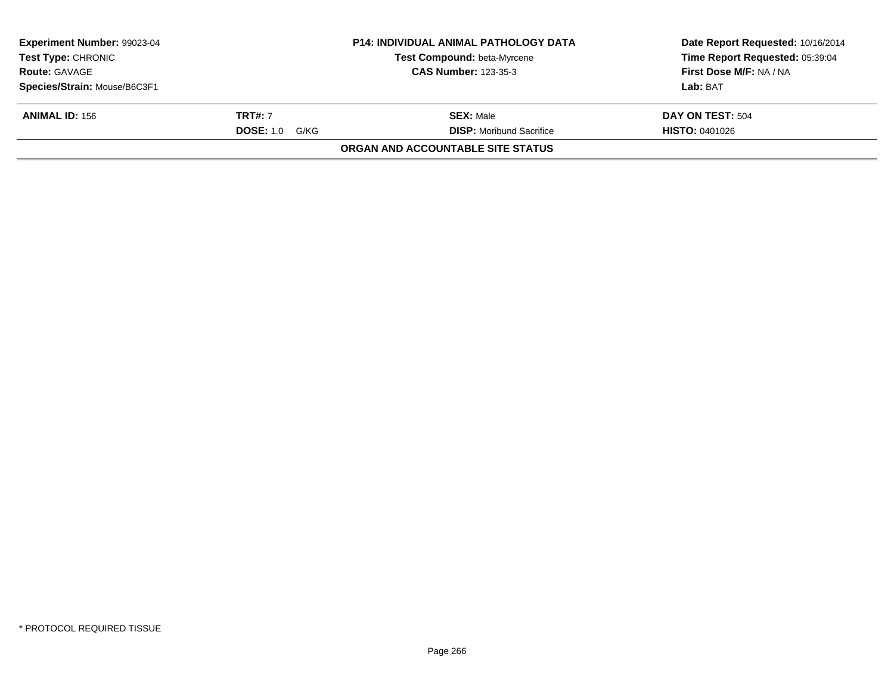| <b>Test Type: CHRONIC</b><br><b>Route: GAVAGE</b> | Test Compound: beta-Myrcene<br><b>CAS Number: 123-35-3</b> | Time Report Requested: 05:39:04<br>First Dose M/F: NA / NA |
|---------------------------------------------------|------------------------------------------------------------|------------------------------------------------------------|
|                                                   |                                                            |                                                            |
| Species/Strain: Mouse/B6C3F1                      |                                                            | Lab: BAT                                                   |
| <b>TRT#: 7</b><br><b>ANIMAL ID: 156</b>           | <b>SEX: Male</b>                                           | DAY ON TEST: 504                                           |
| <b>DOSE: 1.0</b>                                  | <b>DISP:</b> Moribund Sacrifice<br>G/KG                    | <b>HISTO: 0401026</b>                                      |
|                                                   | <b>ORGAN AND ACCOUNTABLE SITE STATUS</b>                   |                                                            |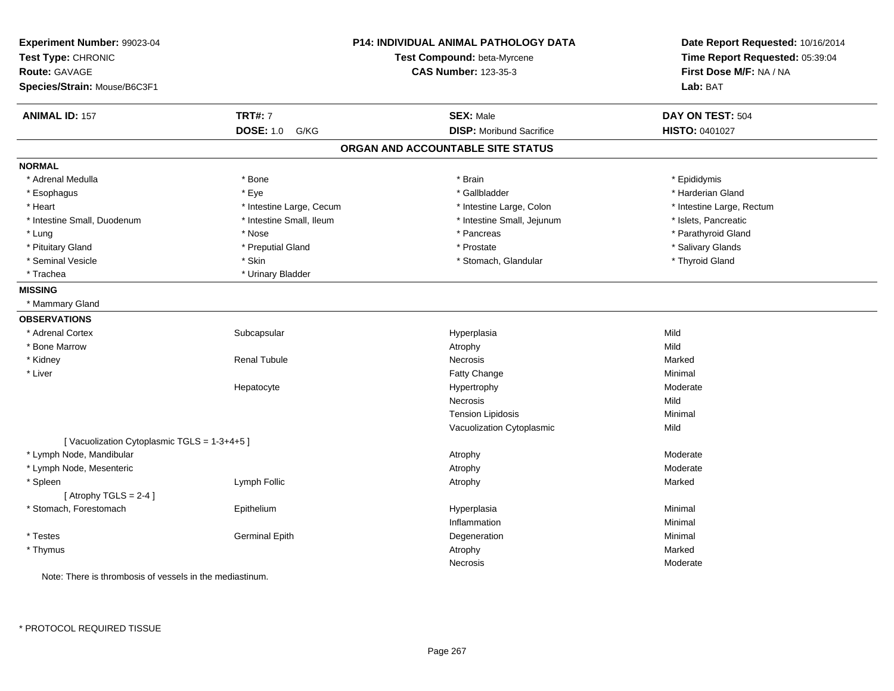| Experiment Number: 99023-04<br>Test Type: CHRONIC<br><b>Route: GAVAGE</b><br>Species/Strain: Mouse/B6C3F1 |                          | P14: INDIVIDUAL ANIMAL PATHOLOGY DATA<br>Test Compound: beta-Myrcene<br><b>CAS Number: 123-35-3</b> | Date Report Requested: 10/16/2014<br>Time Report Requested: 05:39:04<br>First Dose M/F: NA / NA<br>Lab: BAT |
|-----------------------------------------------------------------------------------------------------------|--------------------------|-----------------------------------------------------------------------------------------------------|-------------------------------------------------------------------------------------------------------------|
| <b>ANIMAL ID: 157</b>                                                                                     | <b>TRT#: 7</b>           | <b>SEX: Male</b>                                                                                    | DAY ON TEST: 504                                                                                            |
|                                                                                                           | <b>DOSE: 1.0</b><br>G/KG | <b>DISP:</b> Moribund Sacrifice                                                                     | HISTO: 0401027                                                                                              |
|                                                                                                           |                          | ORGAN AND ACCOUNTABLE SITE STATUS                                                                   |                                                                                                             |
| <b>NORMAL</b>                                                                                             |                          |                                                                                                     |                                                                                                             |
| * Adrenal Medulla                                                                                         | * Bone                   | * Brain                                                                                             | * Epididymis                                                                                                |
| * Esophagus                                                                                               | * Eye                    | * Gallbladder                                                                                       | * Harderian Gland                                                                                           |
| * Heart                                                                                                   | * Intestine Large, Cecum | * Intestine Large, Colon                                                                            | * Intestine Large, Rectum                                                                                   |
| * Intestine Small, Duodenum                                                                               | * Intestine Small, Ileum | * Intestine Small, Jejunum                                                                          | * Islets, Pancreatic                                                                                        |
| * Lung                                                                                                    | * Nose                   | * Pancreas                                                                                          | * Parathyroid Gland                                                                                         |
| * Pituitary Gland                                                                                         | * Preputial Gland        | * Prostate                                                                                          | * Salivary Glands                                                                                           |
| * Seminal Vesicle                                                                                         | * Skin                   | * Stomach, Glandular                                                                                | * Thyroid Gland                                                                                             |
| * Trachea                                                                                                 | * Urinary Bladder        |                                                                                                     |                                                                                                             |
| <b>MISSING</b>                                                                                            |                          |                                                                                                     |                                                                                                             |
| * Mammary Gland                                                                                           |                          |                                                                                                     |                                                                                                             |
| <b>OBSERVATIONS</b>                                                                                       |                          |                                                                                                     |                                                                                                             |
| * Adrenal Cortex                                                                                          | Subcapsular              | Hyperplasia                                                                                         | Mild                                                                                                        |
| * Bone Marrow                                                                                             |                          | Atrophy                                                                                             | Mild                                                                                                        |
| * Kidney                                                                                                  | <b>Renal Tubule</b>      | Necrosis                                                                                            | Marked                                                                                                      |
| * Liver                                                                                                   |                          | Fatty Change                                                                                        | Minimal                                                                                                     |
|                                                                                                           | Hepatocyte               | Hypertrophy                                                                                         | Moderate                                                                                                    |
|                                                                                                           |                          | Necrosis                                                                                            | Mild                                                                                                        |
|                                                                                                           |                          | <b>Tension Lipidosis</b>                                                                            | Minimal                                                                                                     |
|                                                                                                           |                          | Vacuolization Cytoplasmic                                                                           | Mild                                                                                                        |
| [Vacuolization Cytoplasmic TGLS = 1-3+4+5]                                                                |                          |                                                                                                     |                                                                                                             |
| * Lymph Node, Mandibular                                                                                  |                          | Atrophy                                                                                             | Moderate                                                                                                    |
| * Lymph Node, Mesenteric                                                                                  |                          | Atrophy                                                                                             | Moderate                                                                                                    |
| * Spleen                                                                                                  | Lymph Follic             | Atrophy                                                                                             | Marked                                                                                                      |
| [Atrophy TGLS = 2-4]                                                                                      |                          |                                                                                                     |                                                                                                             |
| * Stomach, Forestomach                                                                                    | Epithelium               | Hyperplasia                                                                                         | Minimal                                                                                                     |
|                                                                                                           |                          | Inflammation                                                                                        | Minimal                                                                                                     |
| * Testes                                                                                                  | <b>Germinal Epith</b>    | Degeneration                                                                                        | Minimal                                                                                                     |
| * Thymus                                                                                                  |                          | Atrophy                                                                                             | Marked                                                                                                      |
|                                                                                                           |                          | Necrosis                                                                                            | Moderate                                                                                                    |
| Note: There is thrombosis of vessels in the mediastinum.                                                  |                          |                                                                                                     |                                                                                                             |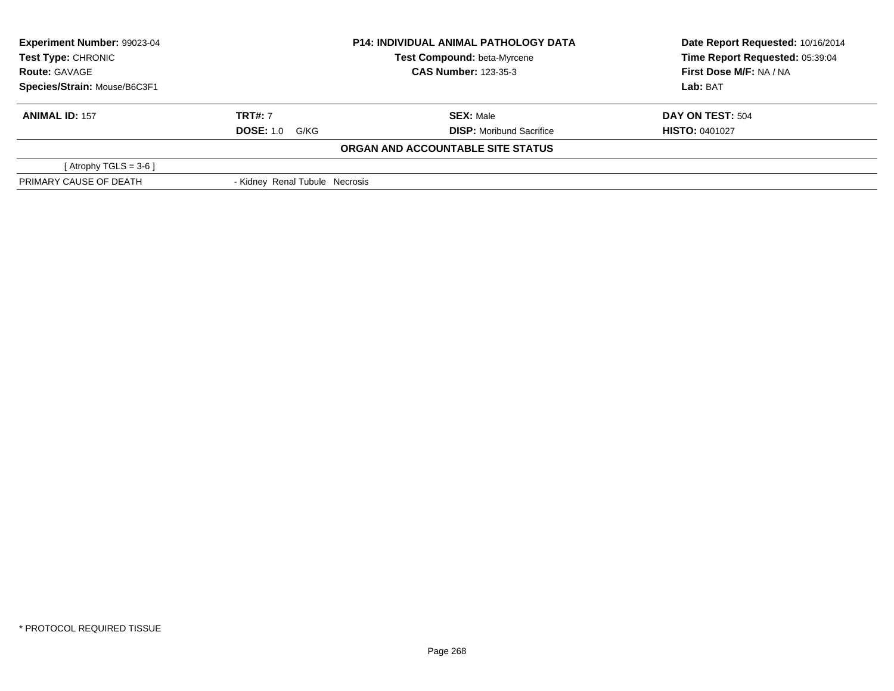| Experiment Number: 99023-04<br><b>Test Type: CHRONIC</b><br><b>Route: GAVAGE</b> |                                | <b>P14: INDIVIDUAL ANIMAL PATHOLOGY DATA</b> | Date Report Requested: 10/16/2014 |  |
|----------------------------------------------------------------------------------|--------------------------------|----------------------------------------------|-----------------------------------|--|
|                                                                                  |                                | <b>Test Compound: beta-Myrcene</b>           | Time Report Requested: 05:39:04   |  |
|                                                                                  |                                | <b>CAS Number: 123-35-3</b>                  | First Dose M/F: NA / NA           |  |
| Species/Strain: Mouse/B6C3F1                                                     |                                |                                              | Lab: BAT                          |  |
| <b>ANIMAL ID: 157</b>                                                            | <b>TRT#: 7</b>                 | <b>SEX: Male</b>                             | DAY ON TEST: 504                  |  |
|                                                                                  | <b>DOSE: 1.0 G/KG</b>          | <b>DISP:</b> Moribund Sacrifice              | <b>HISTO: 0401027</b>             |  |
|                                                                                  |                                | ORGAN AND ACCOUNTABLE SITE STATUS            |                                   |  |
| [Atrophy TGLS = $3-6$ ]                                                          |                                |                                              |                                   |  |
| PRIMARY CAUSE OF DEATH                                                           | - Kidney Renal Tubule Necrosis |                                              |                                   |  |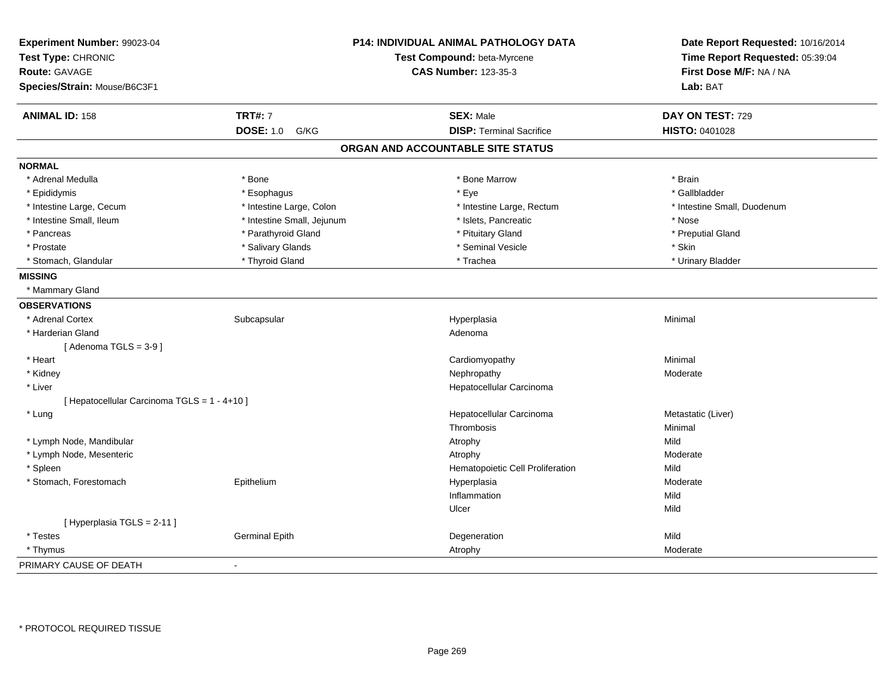| Experiment Number: 99023-04<br>Test Type: CHRONIC<br>Route: GAVAGE |                            | P14: INDIVIDUAL ANIMAL PATHOLOGY DATA<br>Test Compound: beta-Myrcene<br><b>CAS Number: 123-35-3</b> | Date Report Requested: 10/16/2014<br>Time Report Requested: 05:39:04<br>First Dose M/F: NA / NA |  |
|--------------------------------------------------------------------|----------------------------|-----------------------------------------------------------------------------------------------------|-------------------------------------------------------------------------------------------------|--|
| Species/Strain: Mouse/B6C3F1                                       |                            |                                                                                                     | Lab: BAT                                                                                        |  |
|                                                                    |                            |                                                                                                     |                                                                                                 |  |
| <b>ANIMAL ID: 158</b>                                              | <b>TRT#: 7</b>             | <b>SEX: Male</b>                                                                                    | DAY ON TEST: 729                                                                                |  |
|                                                                    | <b>DOSE: 1.0</b><br>G/KG   | <b>DISP: Terminal Sacrifice</b>                                                                     | <b>HISTO: 0401028</b>                                                                           |  |
|                                                                    |                            | ORGAN AND ACCOUNTABLE SITE STATUS                                                                   |                                                                                                 |  |
| <b>NORMAL</b>                                                      |                            |                                                                                                     |                                                                                                 |  |
| * Adrenal Medulla                                                  | * Bone                     | * Bone Marrow                                                                                       | * Brain                                                                                         |  |
| * Epididymis                                                       | * Esophagus                | * Eye                                                                                               | * Gallbladder                                                                                   |  |
| * Intestine Large, Cecum                                           | * Intestine Large, Colon   | * Intestine Large, Rectum                                                                           | * Intestine Small, Duodenum                                                                     |  |
| * Intestine Small, Ileum                                           | * Intestine Small, Jejunum | * Islets, Pancreatic                                                                                | * Nose                                                                                          |  |
| * Pancreas                                                         | * Parathyroid Gland        | * Pituitary Gland                                                                                   | * Preputial Gland                                                                               |  |
| * Prostate                                                         | * Salivary Glands          | * Seminal Vesicle                                                                                   | * Skin                                                                                          |  |
| * Stomach, Glandular                                               | * Thyroid Gland            | * Trachea                                                                                           | * Urinary Bladder                                                                               |  |
| <b>MISSING</b>                                                     |                            |                                                                                                     |                                                                                                 |  |
| * Mammary Gland                                                    |                            |                                                                                                     |                                                                                                 |  |
| <b>OBSERVATIONS</b>                                                |                            |                                                                                                     |                                                                                                 |  |
| * Adrenal Cortex                                                   | Subcapsular                | Hyperplasia                                                                                         | Minimal                                                                                         |  |
| * Harderian Gland                                                  |                            | Adenoma                                                                                             |                                                                                                 |  |
| [Adenoma TGLS = $3-9$ ]                                            |                            |                                                                                                     |                                                                                                 |  |
| * Heart                                                            |                            | Cardiomyopathy                                                                                      | Minimal                                                                                         |  |
| * Kidney                                                           |                            | Nephropathy                                                                                         | Moderate                                                                                        |  |
| * Liver                                                            |                            | Hepatocellular Carcinoma                                                                            |                                                                                                 |  |
| [ Hepatocellular Carcinoma TGLS = 1 - 4+10 ]                       |                            |                                                                                                     |                                                                                                 |  |
| * Lung                                                             |                            | Hepatocellular Carcinoma                                                                            | Metastatic (Liver)                                                                              |  |
|                                                                    |                            | Thrombosis                                                                                          | Minimal                                                                                         |  |
| * Lymph Node, Mandibular                                           |                            | Atrophy                                                                                             | Mild                                                                                            |  |
| * Lymph Node, Mesenteric                                           |                            | Atrophy                                                                                             | Moderate                                                                                        |  |
| * Spleen                                                           |                            | Hematopoietic Cell Proliferation                                                                    | Mild                                                                                            |  |
| * Stomach, Forestomach                                             | Epithelium                 | Hyperplasia                                                                                         | Moderate                                                                                        |  |
|                                                                    |                            | Inflammation                                                                                        | Mild                                                                                            |  |
|                                                                    |                            | Ulcer                                                                                               | Mild                                                                                            |  |
| [ Hyperplasia TGLS = 2-11 ]                                        |                            |                                                                                                     |                                                                                                 |  |
| * Testes                                                           | <b>Germinal Epith</b>      | Degeneration                                                                                        | Mild                                                                                            |  |
| * Thymus                                                           |                            | Atrophy                                                                                             | Moderate                                                                                        |  |
| PRIMARY CAUSE OF DEATH                                             | $\sim$                     |                                                                                                     |                                                                                                 |  |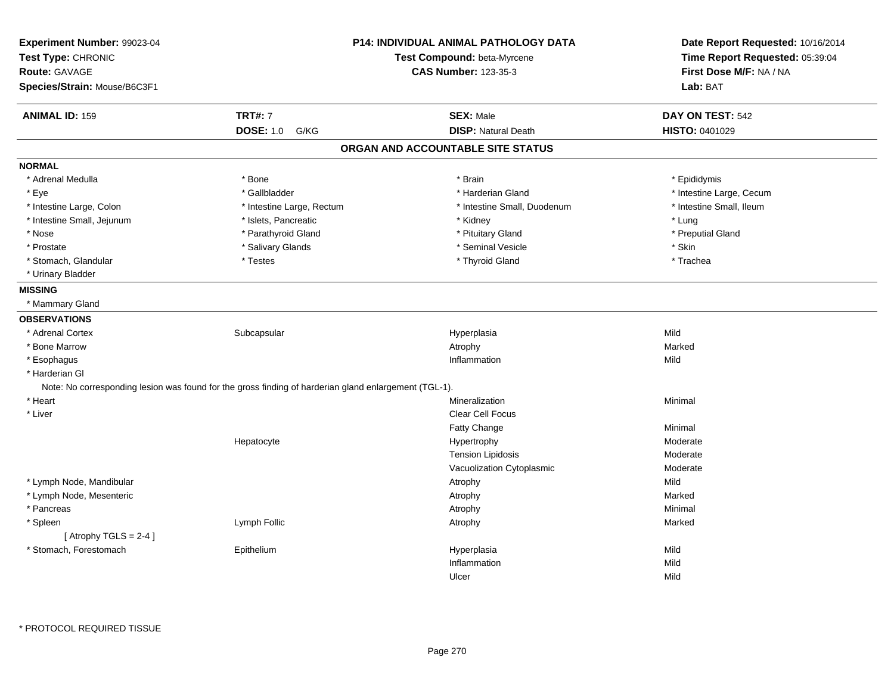| Experiment Number: 99023-04<br>Test Type: CHRONIC<br><b>Route: GAVAGE</b><br>Species/Strain: Mouse/B6C3F1 |                                                                                                       | <b>P14: INDIVIDUAL ANIMAL PATHOLOGY DATA</b><br>Test Compound: beta-Myrcene<br><b>CAS Number: 123-35-3</b> |                          |
|-----------------------------------------------------------------------------------------------------------|-------------------------------------------------------------------------------------------------------|------------------------------------------------------------------------------------------------------------|--------------------------|
| <b>ANIMAL ID: 159</b>                                                                                     | <b>TRT#: 7</b>                                                                                        | <b>SEX: Male</b>                                                                                           | DAY ON TEST: 542         |
|                                                                                                           | <b>DOSE: 1.0</b><br>G/KG                                                                              | <b>DISP: Natural Death</b>                                                                                 | HISTO: 0401029           |
|                                                                                                           |                                                                                                       | ORGAN AND ACCOUNTABLE SITE STATUS                                                                          |                          |
| <b>NORMAL</b>                                                                                             |                                                                                                       |                                                                                                            |                          |
| * Adrenal Medulla                                                                                         | * Bone                                                                                                | * Brain                                                                                                    | * Epididymis             |
| * Eye                                                                                                     | * Gallbladder                                                                                         | * Harderian Gland                                                                                          | * Intestine Large, Cecum |
| * Intestine Large, Colon                                                                                  | * Intestine Large, Rectum                                                                             | * Intestine Small, Duodenum                                                                                | * Intestine Small, Ileum |
| * Intestine Small, Jejunum                                                                                | * Islets, Pancreatic                                                                                  | * Kidney                                                                                                   | * Lung                   |
| * Nose                                                                                                    | * Parathyroid Gland                                                                                   | * Pituitary Gland                                                                                          | * Preputial Gland        |
| * Prostate                                                                                                | * Salivary Glands                                                                                     | * Seminal Vesicle                                                                                          | * Skin                   |
| * Stomach, Glandular                                                                                      | * Testes                                                                                              | * Thyroid Gland                                                                                            | * Trachea                |
| * Urinary Bladder                                                                                         |                                                                                                       |                                                                                                            |                          |
| <b>MISSING</b>                                                                                            |                                                                                                       |                                                                                                            |                          |
| * Mammary Gland                                                                                           |                                                                                                       |                                                                                                            |                          |
| <b>OBSERVATIONS</b>                                                                                       |                                                                                                       |                                                                                                            |                          |
| * Adrenal Cortex                                                                                          | Subcapsular                                                                                           | Hyperplasia                                                                                                | Mild                     |
| * Bone Marrow                                                                                             |                                                                                                       | Atrophy                                                                                                    | Marked                   |
| * Esophagus                                                                                               |                                                                                                       | Inflammation                                                                                               | Mild                     |
| * Harderian Gl                                                                                            |                                                                                                       |                                                                                                            |                          |
|                                                                                                           | Note: No corresponding lesion was found for the gross finding of harderian gland enlargement (TGL-1). |                                                                                                            |                          |
| * Heart                                                                                                   |                                                                                                       | Mineralization                                                                                             | Minimal                  |
| * Liver                                                                                                   |                                                                                                       | <b>Clear Cell Focus</b>                                                                                    |                          |
|                                                                                                           |                                                                                                       | Fatty Change                                                                                               | Minimal                  |
|                                                                                                           | Hepatocyte                                                                                            | Hypertrophy                                                                                                | Moderate                 |
|                                                                                                           |                                                                                                       | <b>Tension Lipidosis</b>                                                                                   | Moderate                 |
|                                                                                                           |                                                                                                       | Vacuolization Cytoplasmic                                                                                  | Moderate                 |
| * Lymph Node, Mandibular                                                                                  |                                                                                                       | Atrophy                                                                                                    | Mild                     |
| * Lymph Node, Mesenteric                                                                                  |                                                                                                       | Atrophy                                                                                                    | Marked                   |
| * Pancreas                                                                                                |                                                                                                       | Atrophy                                                                                                    | Minimal                  |
| * Spleen                                                                                                  | Lymph Follic                                                                                          | Atrophy                                                                                                    | Marked                   |
| [Atrophy TGLS = $2-4$ ]                                                                                   |                                                                                                       |                                                                                                            |                          |
| * Stomach, Forestomach                                                                                    | Epithelium                                                                                            | Hyperplasia                                                                                                | Mild                     |
|                                                                                                           |                                                                                                       | Inflammation                                                                                               | Mild                     |
|                                                                                                           |                                                                                                       | Ulcer                                                                                                      | Mild                     |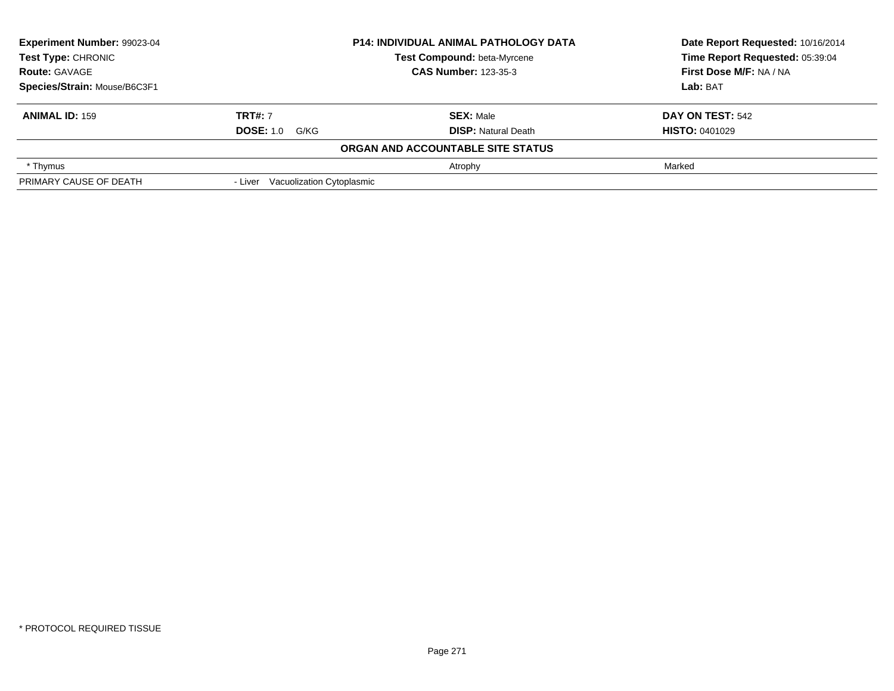| Experiment Number: 99023-04<br><b>Test Type: CHRONIC</b><br><b>Route: GAVAGE</b> |                                   | <b>P14: INDIVIDUAL ANIMAL PATHOLOGY DATA</b> | Date Report Requested: 10/16/2014 |  |
|----------------------------------------------------------------------------------|-----------------------------------|----------------------------------------------|-----------------------------------|--|
|                                                                                  |                                   | Test Compound: beta-Myrcene                  | Time Report Requested: 05:39:04   |  |
|                                                                                  |                                   | <b>CAS Number: 123-35-3</b>                  | First Dose M/F: NA / NA           |  |
| Species/Strain: Mouse/B6C3F1                                                     |                                   |                                              | Lab: BAT                          |  |
| <b>ANIMAL ID: 159</b>                                                            | <b>TRT#: 7</b>                    | <b>SEX: Male</b>                             | DAY ON TEST: 542                  |  |
|                                                                                  | <b>DOSE: 1.0 G/KG</b>             | <b>DISP:</b> Natural Death                   | <b>HISTO: 0401029</b>             |  |
|                                                                                  |                                   | ORGAN AND ACCOUNTABLE SITE STATUS            |                                   |  |
| * Thymus                                                                         |                                   | Atrophy                                      | Marked                            |  |
| PRIMARY CAUSE OF DEATH                                                           | - Liver Vacuolization Cytoplasmic |                                              |                                   |  |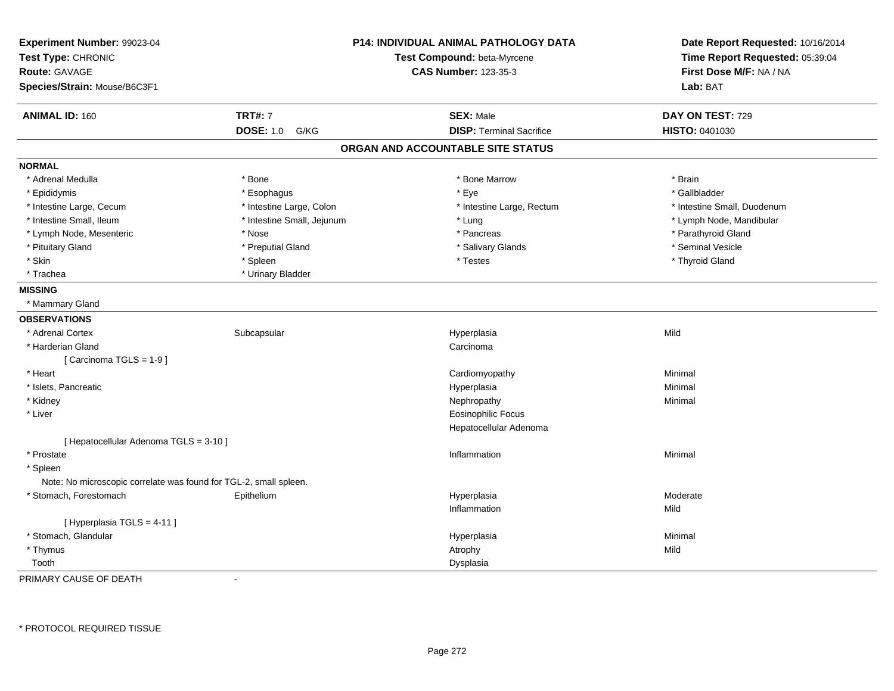| Experiment Number: 99023-04<br>Test Type: CHRONIC                 |                            | <b>P14: INDIVIDUAL ANIMAL PATHOLOGY DATA</b><br>Test Compound: beta-Myrcene | Date Report Requested: 10/16/2014<br>Time Report Requested: 05:39:04 |
|-------------------------------------------------------------------|----------------------------|-----------------------------------------------------------------------------|----------------------------------------------------------------------|
| <b>Route: GAVAGE</b>                                              |                            | <b>CAS Number: 123-35-3</b>                                                 | First Dose M/F: NA / NA                                              |
| Species/Strain: Mouse/B6C3F1                                      |                            |                                                                             | Lab: BAT                                                             |
| <b>ANIMAL ID: 160</b>                                             | <b>TRT#: 7</b>             | <b>SEX: Male</b>                                                            | DAY ON TEST: 729                                                     |
|                                                                   | <b>DOSE: 1.0</b><br>G/KG   | <b>DISP: Terminal Sacrifice</b>                                             | HISTO: 0401030                                                       |
|                                                                   |                            | ORGAN AND ACCOUNTABLE SITE STATUS                                           |                                                                      |
| <b>NORMAL</b>                                                     |                            |                                                                             |                                                                      |
| * Adrenal Medulla                                                 | * Bone                     | * Bone Marrow                                                               | * Brain                                                              |
| * Epididymis                                                      | * Esophagus                | * Eye                                                                       | * Gallbladder                                                        |
| * Intestine Large, Cecum                                          | * Intestine Large, Colon   | * Intestine Large, Rectum                                                   | * Intestine Small, Duodenum                                          |
| * Intestine Small, Ileum                                          | * Intestine Small, Jejunum | * Lung                                                                      | * Lymph Node, Mandibular                                             |
| * Lymph Node, Mesenteric                                          | * Nose                     | * Pancreas                                                                  | * Parathyroid Gland                                                  |
| * Pituitary Gland                                                 | * Preputial Gland          | * Salivary Glands                                                           | * Seminal Vesicle                                                    |
| * Skin                                                            | * Spleen                   | * Testes                                                                    | * Thyroid Gland                                                      |
| * Trachea                                                         | * Urinary Bladder          |                                                                             |                                                                      |
| <b>MISSING</b>                                                    |                            |                                                                             |                                                                      |
| * Mammary Gland                                                   |                            |                                                                             |                                                                      |
| <b>OBSERVATIONS</b>                                               |                            |                                                                             |                                                                      |
| * Adrenal Cortex                                                  | Subcapsular                | Hyperplasia                                                                 | Mild                                                                 |
| * Harderian Gland                                                 |                            | Carcinoma                                                                   |                                                                      |
| [Carcinoma TGLS = 1-9]                                            |                            |                                                                             |                                                                      |
| * Heart                                                           |                            | Cardiomyopathy                                                              | Minimal                                                              |
| * Islets, Pancreatic                                              |                            | Hyperplasia                                                                 | Minimal                                                              |
| * Kidney                                                          |                            | Nephropathy                                                                 | Minimal                                                              |
| * Liver                                                           |                            | <b>Eosinophilic Focus</b>                                                   |                                                                      |
|                                                                   |                            | Hepatocellular Adenoma                                                      |                                                                      |
| [ Hepatocellular Adenoma TGLS = 3-10 ]                            |                            |                                                                             |                                                                      |
| * Prostate                                                        |                            | Inflammation                                                                | Minimal                                                              |
| * Spleen                                                          |                            |                                                                             |                                                                      |
| Note: No microscopic correlate was found for TGL-2, small spleen. |                            |                                                                             |                                                                      |
| * Stomach, Forestomach                                            | Epithelium                 | Hyperplasia                                                                 | Moderate                                                             |
|                                                                   |                            | Inflammation                                                                | Mild                                                                 |
| [ Hyperplasia TGLS = 4-11 ]                                       |                            |                                                                             |                                                                      |
| * Stomach, Glandular                                              |                            | Hyperplasia                                                                 | Minimal                                                              |
| * Thymus                                                          |                            | Atrophy                                                                     | Mild                                                                 |
| Tooth                                                             |                            | Dysplasia                                                                   |                                                                      |

PRIMARY CAUSE OF DEATH-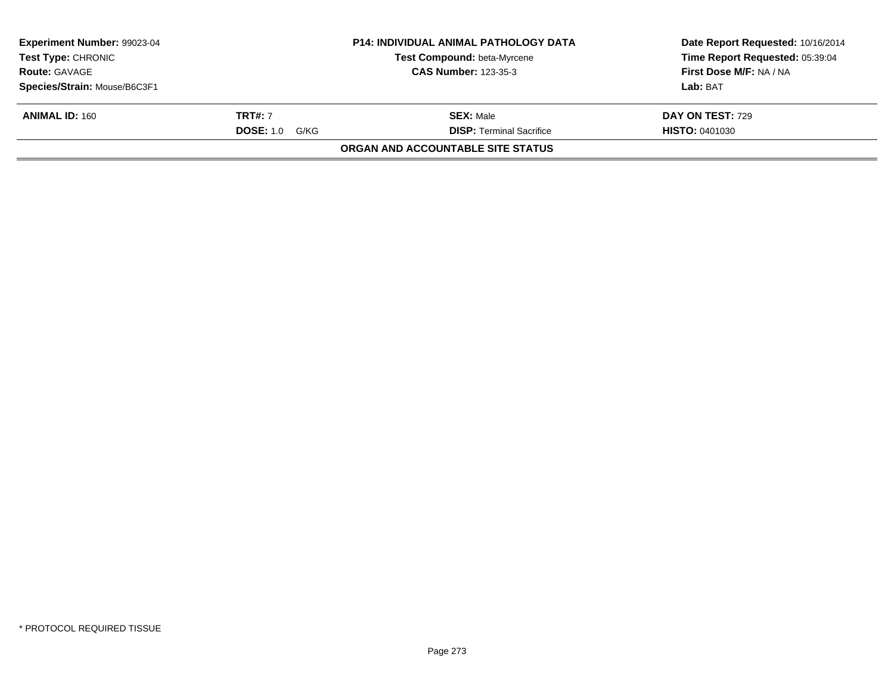| <b>Experiment Number: 99023-04</b><br><b>Test Type: CHRONIC</b><br><b>Route: GAVAGE</b> |                       | <b>P14: INDIVIDUAL ANIMAL PATHOLOGY DATA</b><br>Test Compound: beta-Myrcene<br><b>CAS Number: 123-35-3</b> | Date Report Requested: 10/16/2014<br>Time Report Requested: 05:39:04<br>First Dose M/F: NA / NA |
|-----------------------------------------------------------------------------------------|-----------------------|------------------------------------------------------------------------------------------------------------|-------------------------------------------------------------------------------------------------|
| Species/Strain: Mouse/B6C3F1                                                            |                       |                                                                                                            | Lab: BAT                                                                                        |
| <b>ANIMAL ID: 160</b>                                                                   | <b>TRT#:</b> 7        | <b>SEX: Male</b>                                                                                           | DAY ON TEST: 729                                                                                |
|                                                                                         | <b>DOSE: 1.0 G/KG</b> | <b>DISP: Terminal Sacrifice</b>                                                                            | <b>HISTO: 0401030</b>                                                                           |
|                                                                                         |                       | <b>ORGAN AND ACCOUNTABLE SITE STATUS</b>                                                                   |                                                                                                 |
|                                                                                         |                       |                                                                                                            |                                                                                                 |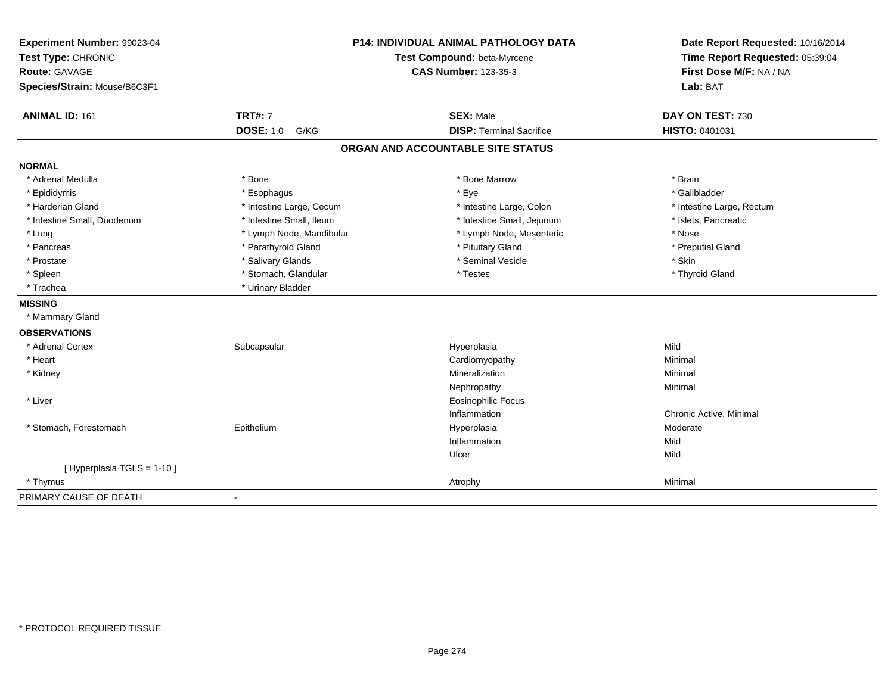| Experiment Number: 99023-04<br>Test Type: CHRONIC<br><b>Route: GAVAGE</b><br>Species/Strain: Mouse/B6C3F1 | P14: INDIVIDUAL ANIMAL PATHOLOGY DATA<br>Test Compound: beta-Myrcene<br><b>CAS Number: 123-35-3</b> |                                                     | Date Report Requested: 10/16/2014<br>Time Report Requested: 05:39:04<br>First Dose M/F: NA / NA<br>Lab: BAT |
|-----------------------------------------------------------------------------------------------------------|-----------------------------------------------------------------------------------------------------|-----------------------------------------------------|-------------------------------------------------------------------------------------------------------------|
| <b>ANIMAL ID: 161</b>                                                                                     | <b>TRT#: 7</b><br><b>DOSE: 1.0</b><br>G/KG                                                          | <b>SEX: Male</b><br><b>DISP: Terminal Sacrifice</b> | DAY ON TEST: 730<br>HISTO: 0401031                                                                          |
|                                                                                                           |                                                                                                     |                                                     |                                                                                                             |
|                                                                                                           |                                                                                                     | ORGAN AND ACCOUNTABLE SITE STATUS                   |                                                                                                             |
| <b>NORMAL</b>                                                                                             |                                                                                                     |                                                     |                                                                                                             |
| * Adrenal Medulla                                                                                         | * Bone                                                                                              | * Bone Marrow                                       | * Brain                                                                                                     |
| * Epididymis                                                                                              | * Esophagus                                                                                         | * Eye                                               | * Gallbladder                                                                                               |
| * Harderian Gland                                                                                         | * Intestine Large, Cecum                                                                            | * Intestine Large, Colon                            | * Intestine Large, Rectum                                                                                   |
| * Intestine Small, Duodenum                                                                               | * Intestine Small, Ileum                                                                            | * Intestine Small, Jejunum                          | * Islets, Pancreatic                                                                                        |
| * Lung                                                                                                    | * Lymph Node, Mandibular                                                                            | * Lymph Node, Mesenteric                            | * Nose                                                                                                      |
| * Pancreas                                                                                                | * Parathyroid Gland                                                                                 | * Pituitary Gland                                   | * Preputial Gland                                                                                           |
| * Prostate                                                                                                | * Salivary Glands                                                                                   | * Seminal Vesicle                                   | * Skin                                                                                                      |
| * Spleen                                                                                                  | * Stomach, Glandular                                                                                | * Testes                                            | * Thyroid Gland                                                                                             |
| * Trachea                                                                                                 | * Urinary Bladder                                                                                   |                                                     |                                                                                                             |
| <b>MISSING</b>                                                                                            |                                                                                                     |                                                     |                                                                                                             |
| * Mammary Gland                                                                                           |                                                                                                     |                                                     |                                                                                                             |
| <b>OBSERVATIONS</b>                                                                                       |                                                                                                     |                                                     |                                                                                                             |
| * Adrenal Cortex                                                                                          | Subcapsular                                                                                         | Hyperplasia                                         | Mild                                                                                                        |
| * Heart                                                                                                   |                                                                                                     | Cardiomyopathy                                      | Minimal                                                                                                     |
| * Kidney                                                                                                  |                                                                                                     | Mineralization                                      | Minimal                                                                                                     |
|                                                                                                           |                                                                                                     | Nephropathy                                         | Minimal                                                                                                     |
| * Liver                                                                                                   |                                                                                                     | <b>Eosinophilic Focus</b>                           |                                                                                                             |
|                                                                                                           |                                                                                                     | Inflammation                                        | Chronic Active, Minimal                                                                                     |
| * Stomach, Forestomach                                                                                    | Epithelium                                                                                          | Hyperplasia                                         | Moderate                                                                                                    |
|                                                                                                           |                                                                                                     | Inflammation                                        | Mild                                                                                                        |
|                                                                                                           |                                                                                                     | Ulcer                                               | Mild                                                                                                        |
| [ Hyperplasia TGLS = 1-10 ]                                                                               |                                                                                                     |                                                     |                                                                                                             |
| * Thymus                                                                                                  |                                                                                                     | Atrophy                                             | Minimal                                                                                                     |
| PRIMARY CAUSE OF DEATH                                                                                    |                                                                                                     |                                                     |                                                                                                             |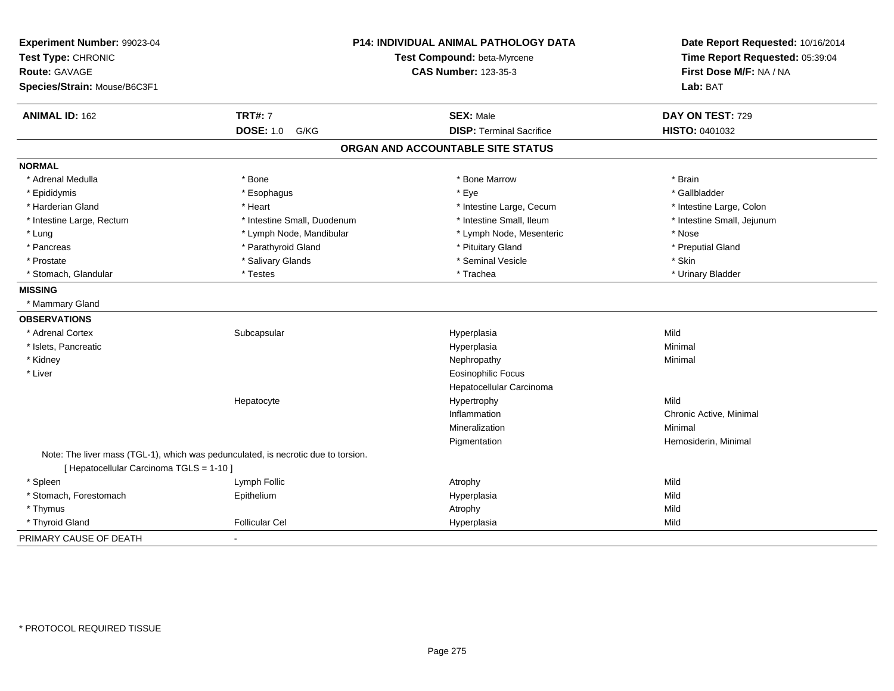| Experiment Number: 99023-04<br>Test Type: CHRONIC<br><b>Route: GAVAGE</b><br>Species/Strain: Mouse/B6C3F1 | P14: INDIVIDUAL ANIMAL PATHOLOGY DATA<br>Test Compound: beta-Myrcene<br><b>CAS Number: 123-35-3</b> |                                   | Date Report Requested: 10/16/2014<br>Time Report Requested: 05:39:04<br>First Dose M/F: NA / NA<br>Lab: BAT |
|-----------------------------------------------------------------------------------------------------------|-----------------------------------------------------------------------------------------------------|-----------------------------------|-------------------------------------------------------------------------------------------------------------|
|                                                                                                           |                                                                                                     |                                   |                                                                                                             |
| <b>ANIMAL ID: 162</b>                                                                                     | <b>TRT#: 7</b>                                                                                      | <b>SEX: Male</b>                  | DAY ON TEST: 729                                                                                            |
|                                                                                                           | <b>DOSE: 1.0</b><br>G/KG                                                                            | <b>DISP: Terminal Sacrifice</b>   | HISTO: 0401032                                                                                              |
|                                                                                                           |                                                                                                     | ORGAN AND ACCOUNTABLE SITE STATUS |                                                                                                             |
| <b>NORMAL</b>                                                                                             |                                                                                                     |                                   |                                                                                                             |
| * Adrenal Medulla                                                                                         | * Bone                                                                                              | * Bone Marrow                     | * Brain                                                                                                     |
| * Epididymis                                                                                              | * Esophagus                                                                                         | * Eye                             | * Gallbladder                                                                                               |
| * Harderian Gland                                                                                         | * Heart                                                                                             | * Intestine Large, Cecum          | * Intestine Large, Colon                                                                                    |
| * Intestine Large, Rectum                                                                                 | * Intestine Small, Duodenum                                                                         | * Intestine Small, Ileum          | * Intestine Small, Jejunum                                                                                  |
| * Lung                                                                                                    | * Lymph Node, Mandibular                                                                            | * Lymph Node, Mesenteric          | * Nose                                                                                                      |
| * Pancreas                                                                                                | * Parathyroid Gland                                                                                 | * Pituitary Gland                 | * Preputial Gland                                                                                           |
| * Prostate                                                                                                | * Salivary Glands                                                                                   | * Seminal Vesicle                 | * Skin                                                                                                      |
| * Stomach, Glandular                                                                                      | * Testes                                                                                            | * Trachea                         | * Urinary Bladder                                                                                           |
| <b>MISSING</b>                                                                                            |                                                                                                     |                                   |                                                                                                             |
| * Mammary Gland                                                                                           |                                                                                                     |                                   |                                                                                                             |
| <b>OBSERVATIONS</b>                                                                                       |                                                                                                     |                                   |                                                                                                             |
| * Adrenal Cortex                                                                                          | Subcapsular                                                                                         | Hyperplasia                       | Mild                                                                                                        |
| * Islets, Pancreatic                                                                                      |                                                                                                     | Hyperplasia                       | Minimal                                                                                                     |
| * Kidney                                                                                                  |                                                                                                     | Nephropathy                       | Minimal                                                                                                     |
| * Liver                                                                                                   |                                                                                                     | <b>Eosinophilic Focus</b>         |                                                                                                             |
|                                                                                                           |                                                                                                     | Hepatocellular Carcinoma          |                                                                                                             |
|                                                                                                           | Hepatocyte                                                                                          | Hypertrophy                       | Mild                                                                                                        |
|                                                                                                           |                                                                                                     | Inflammation                      | Chronic Active, Minimal                                                                                     |
|                                                                                                           |                                                                                                     | Mineralization                    | Minimal                                                                                                     |
|                                                                                                           |                                                                                                     | Pigmentation                      | Hemosiderin, Minimal                                                                                        |
| [ Hepatocellular Carcinoma TGLS = 1-10 ]                                                                  | Note: The liver mass (TGL-1), which was pedunculated, is necrotic due to torsion.                   |                                   |                                                                                                             |
| * Spleen                                                                                                  | Lymph Follic                                                                                        | Atrophy                           | Mild                                                                                                        |
| * Stomach, Forestomach                                                                                    | Epithelium                                                                                          | Hyperplasia                       | Mild                                                                                                        |
| * Thymus                                                                                                  |                                                                                                     | Atrophy                           | Mild                                                                                                        |
| * Thyroid Gland                                                                                           | Follicular Cel                                                                                      | Hyperplasia                       | Mild                                                                                                        |
| PRIMARY CAUSE OF DEATH                                                                                    |                                                                                                     |                                   |                                                                                                             |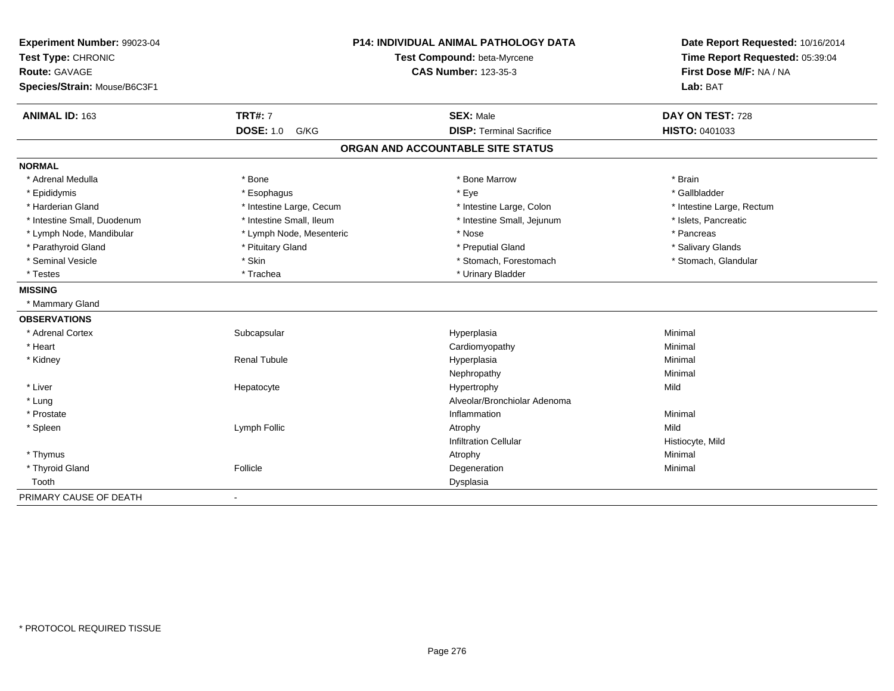| Experiment Number: 99023-04<br>Test Type: CHRONIC<br><b>Route: GAVAGE</b><br>Species/Strain: Mouse/B6C3F1 | <b>P14: INDIVIDUAL ANIMAL PATHOLOGY DATA</b><br>Test Compound: beta-Myrcene<br><b>CAS Number: 123-35-3</b> |                                   | Date Report Requested: 10/16/2014<br>Time Report Requested: 05:39:04<br>First Dose M/F: NA / NA<br>Lab: BAT |
|-----------------------------------------------------------------------------------------------------------|------------------------------------------------------------------------------------------------------------|-----------------------------------|-------------------------------------------------------------------------------------------------------------|
| <b>ANIMAL ID: 163</b>                                                                                     | <b>TRT#: 7</b>                                                                                             | <b>SEX: Male</b>                  | DAY ON TEST: 728                                                                                            |
|                                                                                                           | <b>DOSE: 1.0</b><br>G/KG                                                                                   | <b>DISP: Terminal Sacrifice</b>   | HISTO: 0401033                                                                                              |
|                                                                                                           |                                                                                                            | ORGAN AND ACCOUNTABLE SITE STATUS |                                                                                                             |
| <b>NORMAL</b>                                                                                             |                                                                                                            |                                   |                                                                                                             |
| * Adrenal Medulla                                                                                         | * Bone                                                                                                     | * Bone Marrow                     | * Brain                                                                                                     |
| * Epididymis                                                                                              | * Esophagus                                                                                                | * Eye                             | * Gallbladder                                                                                               |
| * Harderian Gland                                                                                         | * Intestine Large, Cecum                                                                                   | * Intestine Large, Colon          | * Intestine Large, Rectum                                                                                   |
| * Intestine Small, Duodenum                                                                               | * Intestine Small, Ileum                                                                                   | * Intestine Small, Jejunum        | * Islets, Pancreatic                                                                                        |
| * Lymph Node, Mandibular                                                                                  | * Lymph Node, Mesenteric                                                                                   | * Nose                            | * Pancreas                                                                                                  |
| * Parathyroid Gland                                                                                       | * Pituitary Gland                                                                                          | * Preputial Gland                 | * Salivary Glands                                                                                           |
| * Seminal Vesicle                                                                                         | * Skin                                                                                                     | * Stomach, Forestomach            | * Stomach, Glandular                                                                                        |
| * Testes                                                                                                  | * Trachea                                                                                                  | * Urinary Bladder                 |                                                                                                             |
| <b>MISSING</b>                                                                                            |                                                                                                            |                                   |                                                                                                             |
| * Mammary Gland                                                                                           |                                                                                                            |                                   |                                                                                                             |
| <b>OBSERVATIONS</b>                                                                                       |                                                                                                            |                                   |                                                                                                             |
| * Adrenal Cortex                                                                                          | Subcapsular                                                                                                | Hyperplasia                       | Minimal                                                                                                     |
| * Heart                                                                                                   |                                                                                                            | Cardiomyopathy                    | Minimal                                                                                                     |
| * Kidney                                                                                                  | <b>Renal Tubule</b>                                                                                        | Hyperplasia                       | Minimal                                                                                                     |
|                                                                                                           |                                                                                                            | Nephropathy                       | Minimal                                                                                                     |
| * Liver                                                                                                   | Hepatocyte                                                                                                 | Hypertrophy                       | Mild                                                                                                        |
| * Lung                                                                                                    |                                                                                                            | Alveolar/Bronchiolar Adenoma      |                                                                                                             |
| * Prostate                                                                                                |                                                                                                            | Inflammation                      | Minimal                                                                                                     |
| * Spleen                                                                                                  | Lymph Follic                                                                                               | Atrophy                           | Mild                                                                                                        |
|                                                                                                           |                                                                                                            | <b>Infiltration Cellular</b>      | Histiocyte, Mild                                                                                            |
| * Thymus                                                                                                  |                                                                                                            | Atrophy                           | Minimal                                                                                                     |
| * Thyroid Gland                                                                                           | Follicle                                                                                                   | Degeneration                      | Minimal                                                                                                     |
| Tooth                                                                                                     |                                                                                                            | Dysplasia                         |                                                                                                             |
| PRIMARY CAUSE OF DEATH                                                                                    |                                                                                                            |                                   |                                                                                                             |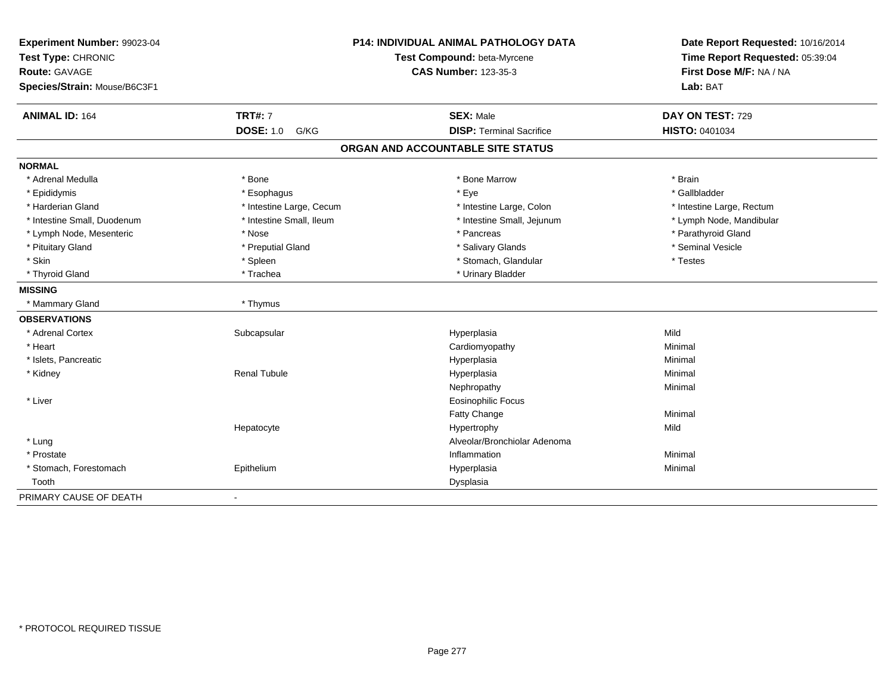| Experiment Number: 99023-04<br>Test Type: CHRONIC<br><b>Route: GAVAGE</b><br>Species/Strain: Mouse/B6C3F1 |                          | <b>P14: INDIVIDUAL ANIMAL PATHOLOGY DATA</b><br>Test Compound: beta-Myrcene<br><b>CAS Number: 123-35-3</b> | Date Report Requested: 10/16/2014<br>Time Report Requested: 05:39:04<br>First Dose M/F: NA / NA<br>Lab: BAT |
|-----------------------------------------------------------------------------------------------------------|--------------------------|------------------------------------------------------------------------------------------------------------|-------------------------------------------------------------------------------------------------------------|
| <b>ANIMAL ID: 164</b>                                                                                     | <b>TRT#: 7</b>           | <b>SEX: Male</b>                                                                                           | DAY ON TEST: 729                                                                                            |
|                                                                                                           | <b>DOSE: 1.0</b><br>G/KG | <b>DISP: Terminal Sacrifice</b>                                                                            | HISTO: 0401034                                                                                              |
|                                                                                                           |                          | ORGAN AND ACCOUNTABLE SITE STATUS                                                                          |                                                                                                             |
| <b>NORMAL</b>                                                                                             |                          |                                                                                                            |                                                                                                             |
| * Adrenal Medulla                                                                                         | * Bone                   | * Bone Marrow                                                                                              | * Brain                                                                                                     |
| * Epididymis                                                                                              | * Esophagus              | * Eye                                                                                                      | * Gallbladder                                                                                               |
| * Harderian Gland                                                                                         | * Intestine Large, Cecum | * Intestine Large, Colon                                                                                   | * Intestine Large, Rectum                                                                                   |
| * Intestine Small, Duodenum                                                                               | * Intestine Small, Ileum | * Intestine Small, Jejunum                                                                                 | * Lymph Node, Mandibular                                                                                    |
| * Lymph Node, Mesenteric                                                                                  | * Nose                   | * Pancreas                                                                                                 | * Parathyroid Gland                                                                                         |
| * Pituitary Gland                                                                                         | * Preputial Gland        | * Salivary Glands                                                                                          | * Seminal Vesicle                                                                                           |
| * Skin                                                                                                    | * Spleen                 | * Stomach, Glandular                                                                                       | * Testes                                                                                                    |
| * Thyroid Gland                                                                                           | * Trachea                | * Urinary Bladder                                                                                          |                                                                                                             |
| <b>MISSING</b>                                                                                            |                          |                                                                                                            |                                                                                                             |
| * Mammary Gland                                                                                           | * Thymus                 |                                                                                                            |                                                                                                             |
| <b>OBSERVATIONS</b>                                                                                       |                          |                                                                                                            |                                                                                                             |
| * Adrenal Cortex                                                                                          | Subcapsular              | Hyperplasia                                                                                                | Mild                                                                                                        |
| * Heart                                                                                                   |                          | Cardiomyopathy                                                                                             | Minimal                                                                                                     |
| * Islets, Pancreatic                                                                                      |                          | Hyperplasia                                                                                                | Minimal                                                                                                     |
| * Kidney                                                                                                  | <b>Renal Tubule</b>      | Hyperplasia                                                                                                | Minimal                                                                                                     |
|                                                                                                           |                          | Nephropathy                                                                                                | Minimal                                                                                                     |
| * Liver                                                                                                   |                          | <b>Eosinophilic Focus</b>                                                                                  |                                                                                                             |
|                                                                                                           |                          | <b>Fatty Change</b>                                                                                        | Minimal                                                                                                     |
|                                                                                                           | Hepatocyte               | Hypertrophy                                                                                                | Mild                                                                                                        |
| * Lung                                                                                                    |                          | Alveolar/Bronchiolar Adenoma                                                                               |                                                                                                             |
| * Prostate                                                                                                |                          | Inflammation                                                                                               | Minimal                                                                                                     |
| * Stomach, Forestomach                                                                                    | Epithelium               | Hyperplasia                                                                                                | Minimal                                                                                                     |
| Tooth                                                                                                     |                          | Dysplasia                                                                                                  |                                                                                                             |
| PRIMARY CAUSE OF DEATH                                                                                    | $\overline{a}$           |                                                                                                            |                                                                                                             |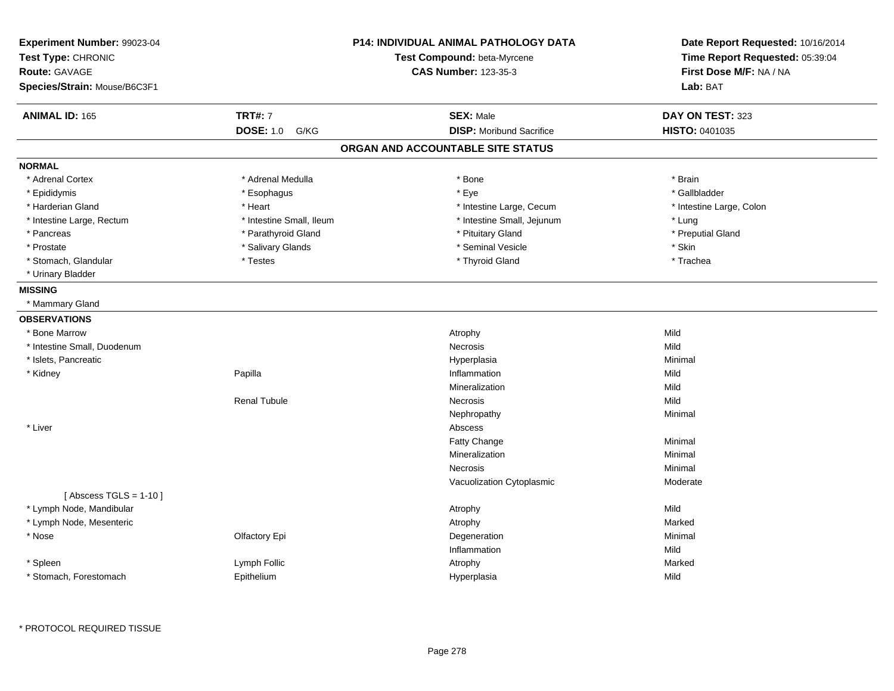| Experiment Number: 99023-04<br>Test Type: CHRONIC<br><b>Route: GAVAGE</b><br>Species/Strain: Mouse/B6C3F1 |                          | <b>P14: INDIVIDUAL ANIMAL PATHOLOGY DATA</b><br>Test Compound: beta-Myrcene<br><b>CAS Number: 123-35-3</b> | Date Report Requested: 10/16/2014<br>Time Report Requested: 05:39:04<br>First Dose M/F: NA / NA<br>Lab: BAT |
|-----------------------------------------------------------------------------------------------------------|--------------------------|------------------------------------------------------------------------------------------------------------|-------------------------------------------------------------------------------------------------------------|
| <b>ANIMAL ID: 165</b>                                                                                     | <b>TRT#: 7</b>           | <b>SEX: Male</b>                                                                                           | DAY ON TEST: 323                                                                                            |
|                                                                                                           | <b>DOSE: 1.0</b><br>G/KG | <b>DISP:</b> Moribund Sacrifice                                                                            | <b>HISTO: 0401035</b>                                                                                       |
|                                                                                                           |                          | ORGAN AND ACCOUNTABLE SITE STATUS                                                                          |                                                                                                             |
| <b>NORMAL</b>                                                                                             |                          |                                                                                                            |                                                                                                             |
| * Adrenal Cortex                                                                                          | * Adrenal Medulla        | * Bone                                                                                                     | * Brain                                                                                                     |
| * Epididymis                                                                                              | * Esophagus              | * Eye                                                                                                      | * Gallbladder                                                                                               |
| * Harderian Gland                                                                                         | * Heart                  | * Intestine Large, Cecum                                                                                   | * Intestine Large, Colon                                                                                    |
| * Intestine Large, Rectum                                                                                 | * Intestine Small, Ileum | * Intestine Small, Jejunum                                                                                 | * Lung                                                                                                      |
| * Pancreas                                                                                                | * Parathyroid Gland      | * Pituitary Gland                                                                                          | * Preputial Gland                                                                                           |
| * Prostate                                                                                                | * Salivary Glands        | * Seminal Vesicle                                                                                          | * Skin                                                                                                      |
| * Stomach, Glandular                                                                                      | * Testes                 | * Thyroid Gland                                                                                            | * Trachea                                                                                                   |
| * Urinary Bladder                                                                                         |                          |                                                                                                            |                                                                                                             |
| <b>MISSING</b>                                                                                            |                          |                                                                                                            |                                                                                                             |
| * Mammary Gland                                                                                           |                          |                                                                                                            |                                                                                                             |
| <b>OBSERVATIONS</b>                                                                                       |                          |                                                                                                            |                                                                                                             |
| * Bone Marrow                                                                                             |                          | Atrophy                                                                                                    | Mild                                                                                                        |
| * Intestine Small, Duodenum                                                                               |                          | Necrosis                                                                                                   | Mild                                                                                                        |
| * Islets, Pancreatic                                                                                      |                          | Hyperplasia                                                                                                | Minimal                                                                                                     |
| * Kidney                                                                                                  | Papilla                  | Inflammation                                                                                               | Mild                                                                                                        |
|                                                                                                           |                          | Mineralization                                                                                             | Mild                                                                                                        |
|                                                                                                           | <b>Renal Tubule</b>      | Necrosis                                                                                                   | Mild                                                                                                        |
|                                                                                                           |                          | Nephropathy                                                                                                | Minimal                                                                                                     |
| * Liver                                                                                                   |                          | Abscess                                                                                                    |                                                                                                             |
|                                                                                                           |                          | Fatty Change                                                                                               | Minimal                                                                                                     |
|                                                                                                           |                          | Mineralization                                                                                             | Minimal                                                                                                     |
|                                                                                                           |                          | Necrosis                                                                                                   | Minimal                                                                                                     |
|                                                                                                           |                          | Vacuolization Cytoplasmic                                                                                  | Moderate                                                                                                    |
| [Abscess TGLS = $1-10$ ]                                                                                  |                          |                                                                                                            |                                                                                                             |
| * Lymph Node, Mandibular                                                                                  |                          | Atrophy                                                                                                    | Mild                                                                                                        |
| * Lymph Node, Mesenteric                                                                                  |                          | Atrophy                                                                                                    | Marked                                                                                                      |
| * Nose                                                                                                    | Olfactory Epi            | Degeneration                                                                                               | Minimal                                                                                                     |
|                                                                                                           |                          | Inflammation                                                                                               | Mild                                                                                                        |
| * Spleen                                                                                                  | Lymph Follic             | Atrophy                                                                                                    | Marked                                                                                                      |
| * Stomach, Forestomach                                                                                    | Epithelium               | Hyperplasia                                                                                                | Mild                                                                                                        |
|                                                                                                           |                          |                                                                                                            |                                                                                                             |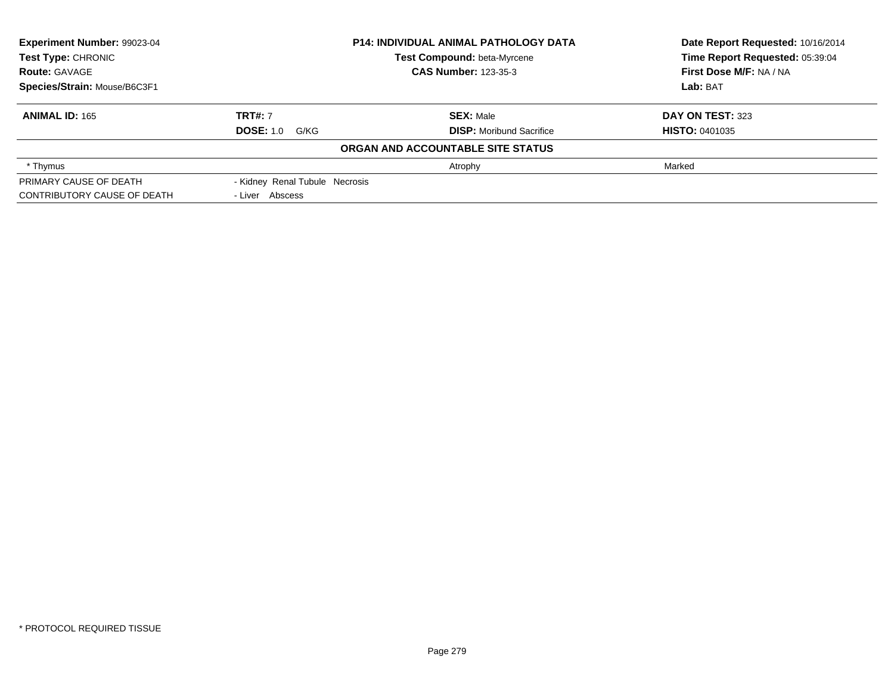| Experiment Number: 99023-04  |                                | <b>P14: INDIVIDUAL ANIMAL PATHOLOGY DATA</b> | Date Report Requested: 10/16/2014 |
|------------------------------|--------------------------------|----------------------------------------------|-----------------------------------|
| <b>Test Type: CHRONIC</b>    |                                | Test Compound: beta-Myrcene                  | Time Report Requested: 05:39:04   |
| <b>Route: GAVAGE</b>         | <b>CAS Number: 123-35-3</b>    |                                              | First Dose M/F: NA / NA           |
| Species/Strain: Mouse/B6C3F1 |                                |                                              | Lab: BAT                          |
| <b>ANIMAL ID: 165</b>        | <b>TRT#: 7</b>                 | <b>SEX: Male</b>                             | DAY ON TEST: 323                  |
|                              | <b>DOSE: 1.0 G/KG</b>          | <b>DISP:</b> Moribund Sacrifice              | <b>HISTO: 0401035</b>             |
|                              |                                | ORGAN AND ACCOUNTABLE SITE STATUS            |                                   |
| * Thymus                     |                                | Atrophy                                      | Marked                            |
| PRIMARY CAUSE OF DEATH       | - Kidney Renal Tubule Necrosis |                                              |                                   |
| CONTRIBUTORY CAUSE OF DEATH  | - Liver Abscess                |                                              |                                   |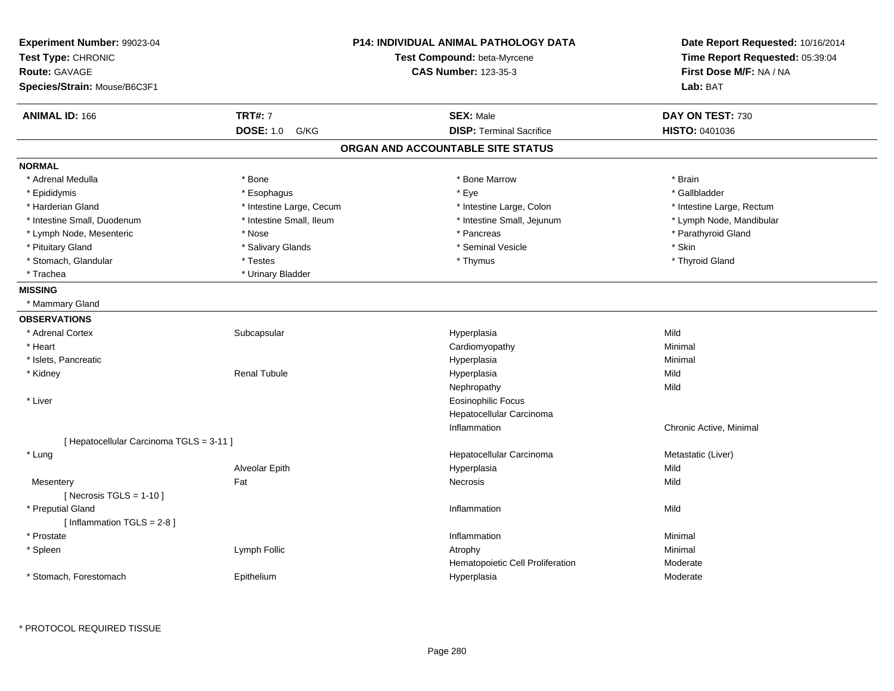| Experiment Number: 99023-04<br>Test Type: CHRONIC<br><b>Route: GAVAGE</b><br>Species/Strain: Mouse/B6C3F1 |                                            | <b>P14: INDIVIDUAL ANIMAL PATHOLOGY DATA</b><br>Test Compound: beta-Myrcene<br><b>CAS Number: 123-35-3</b> | Date Report Requested: 10/16/2014<br>Time Report Requested: 05:39:04<br>First Dose M/F: NA / NA<br>Lab: BAT |
|-----------------------------------------------------------------------------------------------------------|--------------------------------------------|------------------------------------------------------------------------------------------------------------|-------------------------------------------------------------------------------------------------------------|
| <b>ANIMAL ID: 166</b>                                                                                     | <b>TRT#: 7</b><br><b>DOSE: 1.0</b><br>G/KG | <b>SEX: Male</b><br><b>DISP: Terminal Sacrifice</b>                                                        | DAY ON TEST: 730<br><b>HISTO: 0401036</b>                                                                   |
|                                                                                                           |                                            | ORGAN AND ACCOUNTABLE SITE STATUS                                                                          |                                                                                                             |
| <b>NORMAL</b>                                                                                             |                                            |                                                                                                            |                                                                                                             |
| * Adrenal Medulla                                                                                         | * Bone                                     | * Bone Marrow                                                                                              | * Brain                                                                                                     |
| * Epididymis                                                                                              | * Esophagus                                | * Eye                                                                                                      | * Gallbladder                                                                                               |
| * Harderian Gland                                                                                         | * Intestine Large, Cecum                   | * Intestine Large, Colon                                                                                   | * Intestine Large, Rectum                                                                                   |
| * Intestine Small, Duodenum                                                                               | * Intestine Small, Ileum                   | * Intestine Small, Jejunum                                                                                 | * Lymph Node, Mandibular                                                                                    |
| * Lymph Node, Mesenteric                                                                                  | * Nose                                     | * Pancreas                                                                                                 | * Parathyroid Gland                                                                                         |
| * Pituitary Gland                                                                                         | * Salivary Glands                          | * Seminal Vesicle                                                                                          | * Skin                                                                                                      |
| * Stomach, Glandular                                                                                      | * Testes                                   | * Thymus                                                                                                   | * Thyroid Gland                                                                                             |
| * Trachea                                                                                                 | * Urinary Bladder                          |                                                                                                            |                                                                                                             |
| <b>MISSING</b>                                                                                            |                                            |                                                                                                            |                                                                                                             |
| * Mammary Gland                                                                                           |                                            |                                                                                                            |                                                                                                             |
| <b>OBSERVATIONS</b>                                                                                       |                                            |                                                                                                            |                                                                                                             |
| * Adrenal Cortex                                                                                          | Subcapsular                                | Hyperplasia                                                                                                | Mild                                                                                                        |
| * Heart                                                                                                   |                                            | Cardiomyopathy                                                                                             | Minimal                                                                                                     |
| * Islets, Pancreatic                                                                                      |                                            | Hyperplasia                                                                                                | Minimal                                                                                                     |
| * Kidney                                                                                                  | <b>Renal Tubule</b>                        | Hyperplasia                                                                                                | Mild                                                                                                        |
|                                                                                                           |                                            | Nephropathy                                                                                                | Mild                                                                                                        |
| * Liver                                                                                                   |                                            | <b>Eosinophilic Focus</b>                                                                                  |                                                                                                             |
|                                                                                                           |                                            | Hepatocellular Carcinoma                                                                                   |                                                                                                             |
|                                                                                                           |                                            | Inflammation                                                                                               | Chronic Active, Minimal                                                                                     |
| [ Hepatocellular Carcinoma TGLS = 3-11 ]                                                                  |                                            |                                                                                                            |                                                                                                             |
| * Lung                                                                                                    |                                            | Hepatocellular Carcinoma                                                                                   | Metastatic (Liver)                                                                                          |
|                                                                                                           | Alveolar Epith                             | Hyperplasia                                                                                                | Mild                                                                                                        |
| Mesentery                                                                                                 | Fat                                        | Necrosis                                                                                                   | Mild                                                                                                        |
| [ Necrosis $TGLS = 1-10$ ]                                                                                |                                            |                                                                                                            |                                                                                                             |
| * Preputial Gland                                                                                         |                                            | Inflammation                                                                                               | Mild                                                                                                        |
| [ Inflammation TGLS = 2-8 ]                                                                               |                                            |                                                                                                            |                                                                                                             |
| * Prostate                                                                                                |                                            | Inflammation                                                                                               | Minimal                                                                                                     |
| * Spleen                                                                                                  | Lymph Follic                               | Atrophy                                                                                                    | Minimal                                                                                                     |
|                                                                                                           |                                            | Hematopoietic Cell Proliferation                                                                           | Moderate                                                                                                    |
| * Stomach, Forestomach                                                                                    | Epithelium                                 | Hyperplasia                                                                                                | Moderate                                                                                                    |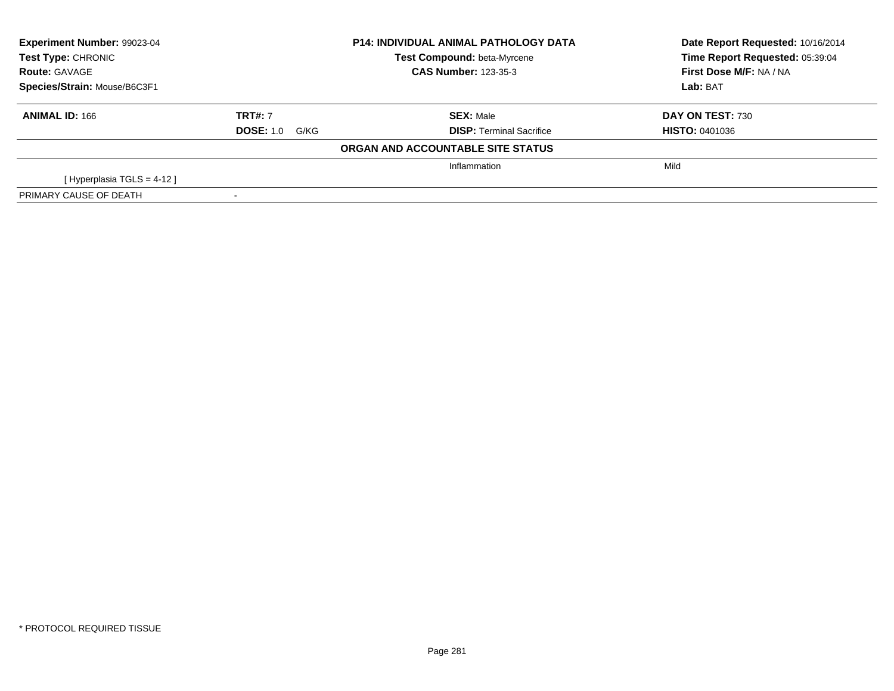| Experiment Number: 99023-04  |                       | <b>P14: INDIVIDUAL ANIMAL PATHOLOGY DATA</b> | Date Report Requested: 10/16/2014 |
|------------------------------|-----------------------|----------------------------------------------|-----------------------------------|
| Test Type: CHRONIC           |                       | Test Compound: beta-Myrcene                  | Time Report Requested: 05:39:04   |
| <b>Route: GAVAGE</b>         |                       | <b>CAS Number: 123-35-3</b>                  | First Dose M/F: NA / NA           |
| Species/Strain: Mouse/B6C3F1 |                       |                                              | Lab: BAT                          |
| <b>ANIMAL ID: 166</b>        | <b>TRT#: 7</b>        | <b>SEX: Male</b>                             | DAY ON TEST: 730                  |
|                              | <b>DOSE: 1.0 G/KG</b> | <b>DISP:</b> Terminal Sacrifice              | <b>HISTO: 0401036</b>             |
|                              |                       | ORGAN AND ACCOUNTABLE SITE STATUS            |                                   |
|                              |                       | Inflammation                                 | Mild                              |
| [Hyperplasia TGLS = $4-12$ ] |                       |                                              |                                   |
| PRIMARY CAUSE OF DEATH       |                       |                                              |                                   |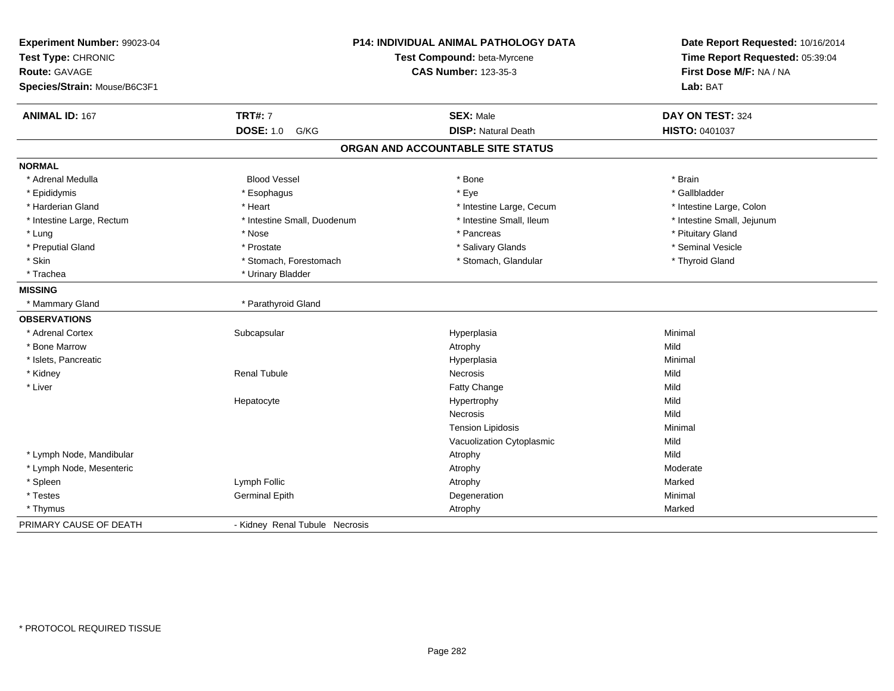| Experiment Number: 99023-04<br>Test Type: CHRONIC<br><b>Route: GAVAGE</b><br>Species/Strain: Mouse/B6C3F1 | P14: INDIVIDUAL ANIMAL PATHOLOGY DATA<br>Test Compound: beta-Myrcene<br><b>CAS Number: 123-35-3</b> |                                                | Date Report Requested: 10/16/2014<br>Time Report Requested: 05:39:04<br>First Dose M/F: NA / NA<br>Lab: BAT |
|-----------------------------------------------------------------------------------------------------------|-----------------------------------------------------------------------------------------------------|------------------------------------------------|-------------------------------------------------------------------------------------------------------------|
| <b>ANIMAL ID: 167</b>                                                                                     | <b>TRT#: 7</b><br><b>DOSE: 1.0</b><br>G/KG                                                          | <b>SEX: Male</b><br><b>DISP: Natural Death</b> | DAY ON TEST: 324<br>HISTO: 0401037                                                                          |
|                                                                                                           |                                                                                                     |                                                |                                                                                                             |
|                                                                                                           |                                                                                                     | ORGAN AND ACCOUNTABLE SITE STATUS              |                                                                                                             |
| <b>NORMAL</b>                                                                                             |                                                                                                     |                                                |                                                                                                             |
| * Adrenal Medulla                                                                                         | <b>Blood Vessel</b>                                                                                 | * Bone                                         | * Brain                                                                                                     |
| * Epididymis                                                                                              | * Esophagus                                                                                         | * Eye                                          | * Gallbladder                                                                                               |
| * Harderian Gland                                                                                         | * Heart                                                                                             | * Intestine Large, Cecum                       | * Intestine Large, Colon                                                                                    |
| * Intestine Large, Rectum                                                                                 | * Intestine Small, Duodenum                                                                         | * Intestine Small, Ileum                       | * Intestine Small, Jejunum                                                                                  |
| * Lung                                                                                                    | * Nose                                                                                              | * Pancreas                                     | * Pituitary Gland                                                                                           |
| * Preputial Gland                                                                                         | * Prostate                                                                                          | * Salivary Glands                              | * Seminal Vesicle                                                                                           |
| * Skin                                                                                                    | * Stomach, Forestomach                                                                              | * Stomach, Glandular                           | * Thyroid Gland                                                                                             |
| * Trachea                                                                                                 | * Urinary Bladder                                                                                   |                                                |                                                                                                             |
| <b>MISSING</b>                                                                                            |                                                                                                     |                                                |                                                                                                             |
| * Mammary Gland                                                                                           | * Parathyroid Gland                                                                                 |                                                |                                                                                                             |
| <b>OBSERVATIONS</b>                                                                                       |                                                                                                     |                                                |                                                                                                             |
| * Adrenal Cortex                                                                                          | Subcapsular                                                                                         | Hyperplasia                                    | Minimal                                                                                                     |
| * Bone Marrow                                                                                             |                                                                                                     | Atrophy                                        | Mild                                                                                                        |
| * Islets, Pancreatic                                                                                      |                                                                                                     | Hyperplasia                                    | Minimal                                                                                                     |
| * Kidney                                                                                                  | <b>Renal Tubule</b>                                                                                 | Necrosis                                       | Mild                                                                                                        |
| * Liver                                                                                                   |                                                                                                     | Fatty Change                                   | Mild                                                                                                        |
|                                                                                                           | Hepatocyte                                                                                          | Hypertrophy                                    | Mild                                                                                                        |
|                                                                                                           |                                                                                                     | Necrosis                                       | Mild                                                                                                        |
|                                                                                                           |                                                                                                     | <b>Tension Lipidosis</b>                       | Minimal                                                                                                     |
|                                                                                                           |                                                                                                     | Vacuolization Cytoplasmic                      | Mild                                                                                                        |
| * Lymph Node, Mandibular                                                                                  |                                                                                                     | Atrophy                                        | Mild                                                                                                        |
| * Lymph Node, Mesenteric                                                                                  |                                                                                                     | Atrophy                                        | Moderate                                                                                                    |
| * Spleen                                                                                                  | Lymph Follic                                                                                        | Atrophy                                        | Marked                                                                                                      |
| * Testes                                                                                                  | <b>Germinal Epith</b>                                                                               | Degeneration                                   | Minimal                                                                                                     |
| * Thymus                                                                                                  |                                                                                                     | Atrophy                                        | Marked                                                                                                      |
| PRIMARY CAUSE OF DEATH                                                                                    | - Kidney Renal Tubule Necrosis                                                                      |                                                |                                                                                                             |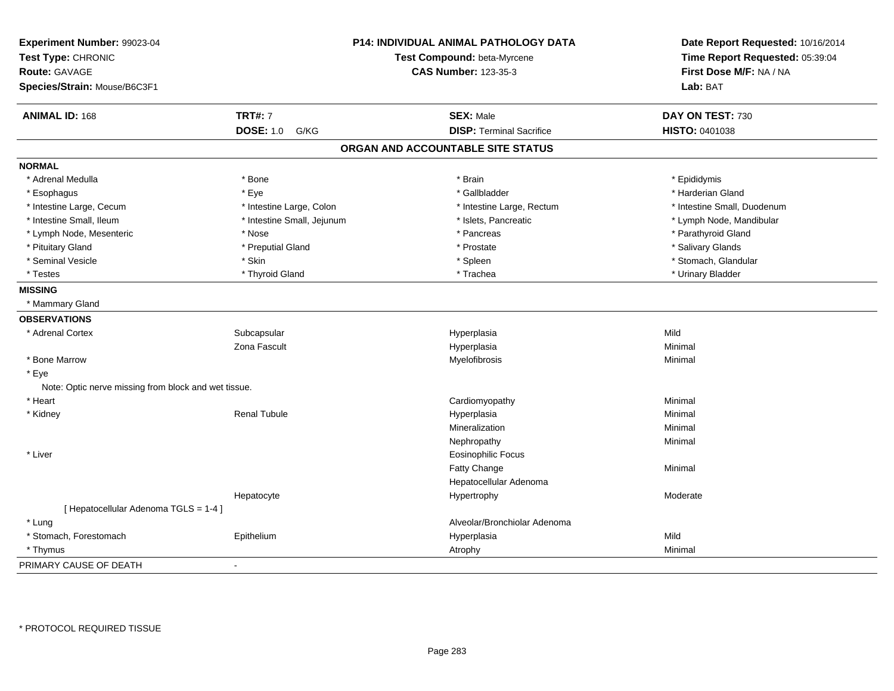| Experiment Number: 99023-04<br>Test Type: CHRONIC<br><b>Route: GAVAGE</b> |                            | P14: INDIVIDUAL ANIMAL PATHOLOGY DATA<br>Test Compound: beta-Myrcene<br><b>CAS Number: 123-35-3</b> | Date Report Requested: 10/16/2014<br>Time Report Requested: 05:39:04<br>First Dose M/F: NA / NA |
|---------------------------------------------------------------------------|----------------------------|-----------------------------------------------------------------------------------------------------|-------------------------------------------------------------------------------------------------|
| Species/Strain: Mouse/B6C3F1                                              |                            |                                                                                                     | Lab: BAT                                                                                        |
| <b>ANIMAL ID: 168</b>                                                     | <b>TRT#: 7</b>             | <b>SEX: Male</b>                                                                                    | DAY ON TEST: 730                                                                                |
|                                                                           | <b>DOSE: 1.0</b><br>G/KG   | <b>DISP: Terminal Sacrifice</b>                                                                     | <b>HISTO: 0401038</b>                                                                           |
|                                                                           |                            | ORGAN AND ACCOUNTABLE SITE STATUS                                                                   |                                                                                                 |
| <b>NORMAL</b>                                                             |                            |                                                                                                     |                                                                                                 |
| * Adrenal Medulla                                                         | * Bone                     | * Brain                                                                                             | * Epididymis                                                                                    |
| * Esophagus                                                               | * Eye                      | * Gallbladder                                                                                       | * Harderian Gland                                                                               |
| * Intestine Large, Cecum                                                  | * Intestine Large, Colon   | * Intestine Large, Rectum                                                                           | * Intestine Small, Duodenum                                                                     |
| * Intestine Small, Ileum                                                  | * Intestine Small, Jejunum | * Islets, Pancreatic                                                                                | * Lymph Node, Mandibular                                                                        |
| * Lymph Node, Mesenteric                                                  | * Nose                     | * Pancreas                                                                                          | * Parathyroid Gland                                                                             |
| * Pituitary Gland                                                         | * Preputial Gland          | * Prostate                                                                                          | * Salivary Glands                                                                               |
| * Seminal Vesicle                                                         | * Skin                     | * Spleen                                                                                            | * Stomach, Glandular                                                                            |
| * Testes                                                                  | * Thyroid Gland            | * Trachea                                                                                           | * Urinary Bladder                                                                               |
| <b>MISSING</b>                                                            |                            |                                                                                                     |                                                                                                 |
| * Mammary Gland                                                           |                            |                                                                                                     |                                                                                                 |
| <b>OBSERVATIONS</b>                                                       |                            |                                                                                                     |                                                                                                 |
| * Adrenal Cortex                                                          | Subcapsular                | Hyperplasia                                                                                         | Mild                                                                                            |
|                                                                           | Zona Fascult               | Hyperplasia                                                                                         | Minimal                                                                                         |
| * Bone Marrow                                                             |                            | Myelofibrosis                                                                                       | Minimal                                                                                         |
| * Eye                                                                     |                            |                                                                                                     |                                                                                                 |
| Note: Optic nerve missing from block and wet tissue.                      |                            |                                                                                                     |                                                                                                 |
| * Heart                                                                   |                            | Cardiomyopathy                                                                                      | Minimal                                                                                         |
| * Kidney                                                                  | <b>Renal Tubule</b>        | Hyperplasia                                                                                         | Minimal                                                                                         |
|                                                                           |                            | Mineralization                                                                                      | Minimal                                                                                         |
|                                                                           |                            | Nephropathy                                                                                         | Minimal                                                                                         |
| * Liver                                                                   |                            | <b>Eosinophilic Focus</b>                                                                           |                                                                                                 |
|                                                                           |                            | Fatty Change                                                                                        | Minimal                                                                                         |
|                                                                           |                            | Hepatocellular Adenoma                                                                              |                                                                                                 |
|                                                                           | Hepatocyte                 | Hypertrophy                                                                                         | Moderate                                                                                        |
| [ Hepatocellular Adenoma TGLS = 1-4 ]                                     |                            |                                                                                                     |                                                                                                 |
| * Lung                                                                    |                            | Alveolar/Bronchiolar Adenoma                                                                        |                                                                                                 |
| * Stomach, Forestomach                                                    | Epithelium                 | Hyperplasia                                                                                         | Mild                                                                                            |
| * Thymus                                                                  |                            | Atrophy                                                                                             | Minimal                                                                                         |
| PRIMARY CAUSE OF DEATH                                                    | $\blacksquare$             |                                                                                                     |                                                                                                 |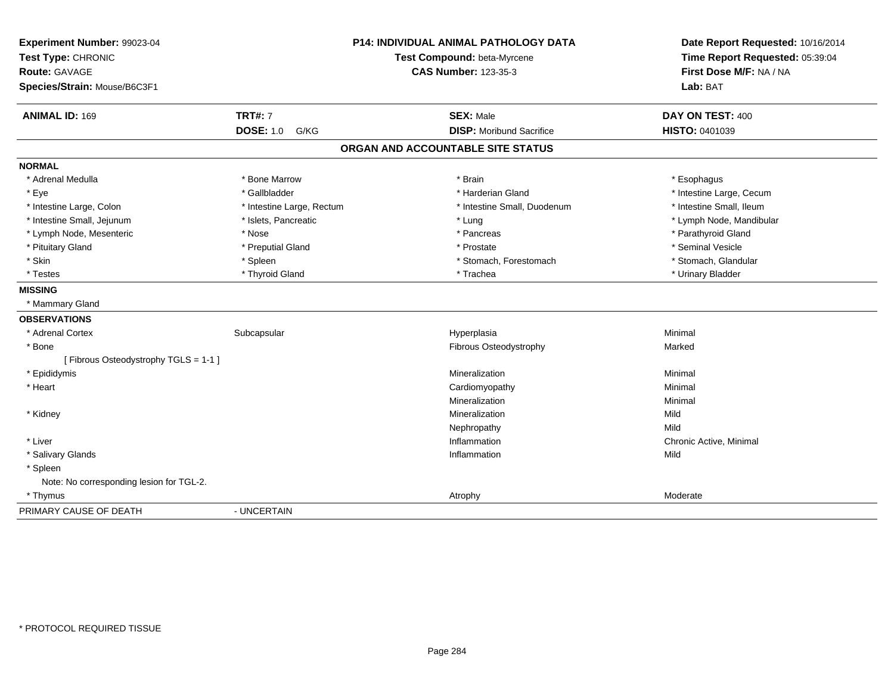| <b>P14: INDIVIDUAL ANIMAL PATHOLOGY DATA</b><br>Experiment Number: 99023-04<br>Test Compound: beta-Myrcene<br>Test Type: CHRONIC<br>Route: GAVAGE<br><b>CAS Number: 123-35-3</b><br>Species/Strain: Mouse/B6C3F1 |                           | Date Report Requested: 10/16/2014<br>Time Report Requested: 05:39:04<br>First Dose M/F: NA / NA<br>Lab: BAT |                          |
|------------------------------------------------------------------------------------------------------------------------------------------------------------------------------------------------------------------|---------------------------|-------------------------------------------------------------------------------------------------------------|--------------------------|
| <b>ANIMAL ID: 169</b>                                                                                                                                                                                            | <b>TRT#: 7</b>            | <b>SEX: Male</b>                                                                                            | DAY ON TEST: 400         |
|                                                                                                                                                                                                                  | <b>DOSE: 1.0 G/KG</b>     | <b>DISP:</b> Moribund Sacrifice                                                                             | HISTO: 0401039           |
|                                                                                                                                                                                                                  |                           | ORGAN AND ACCOUNTABLE SITE STATUS                                                                           |                          |
| <b>NORMAL</b>                                                                                                                                                                                                    |                           |                                                                                                             |                          |
| * Adrenal Medulla                                                                                                                                                                                                | * Bone Marrow             | * Brain                                                                                                     | * Esophagus              |
| * Eye                                                                                                                                                                                                            | * Gallbladder             | * Harderian Gland                                                                                           | * Intestine Large, Cecum |
| * Intestine Large, Colon                                                                                                                                                                                         | * Intestine Large, Rectum | * Intestine Small, Duodenum                                                                                 | * Intestine Small, Ileum |
| * Intestine Small, Jejunum                                                                                                                                                                                       | * Islets, Pancreatic      | * Lung                                                                                                      | * Lymph Node, Mandibular |
| * Lymph Node, Mesenteric                                                                                                                                                                                         | * Nose                    | * Pancreas                                                                                                  | * Parathyroid Gland      |
| * Pituitary Gland                                                                                                                                                                                                | * Preputial Gland         | * Prostate                                                                                                  | * Seminal Vesicle        |
| * Skin                                                                                                                                                                                                           | * Spleen                  | * Stomach, Forestomach                                                                                      | * Stomach, Glandular     |
| * Testes                                                                                                                                                                                                         | * Thyroid Gland           | * Trachea                                                                                                   | * Urinary Bladder        |
| <b>MISSING</b>                                                                                                                                                                                                   |                           |                                                                                                             |                          |
| * Mammary Gland                                                                                                                                                                                                  |                           |                                                                                                             |                          |
| <b>OBSERVATIONS</b>                                                                                                                                                                                              |                           |                                                                                                             |                          |
| * Adrenal Cortex                                                                                                                                                                                                 | Subcapsular               | Hyperplasia                                                                                                 | Minimal                  |
| * Bone                                                                                                                                                                                                           |                           | Fibrous Osteodystrophy                                                                                      | Marked                   |
| [Fibrous Osteodystrophy TGLS = 1-1]                                                                                                                                                                              |                           |                                                                                                             |                          |
| * Epididymis                                                                                                                                                                                                     |                           | Mineralization                                                                                              | Minimal                  |
| * Heart                                                                                                                                                                                                          |                           | Cardiomyopathy                                                                                              | Minimal                  |
|                                                                                                                                                                                                                  |                           | Mineralization                                                                                              | Minimal                  |
| * Kidney                                                                                                                                                                                                         |                           | <b>Mineralization</b>                                                                                       | Mild                     |
|                                                                                                                                                                                                                  |                           | Nephropathy                                                                                                 | Mild                     |
| * Liver                                                                                                                                                                                                          |                           | Inflammation                                                                                                | Chronic Active, Minimal  |
| * Salivary Glands                                                                                                                                                                                                |                           | Inflammation                                                                                                | Mild                     |
| * Spleen                                                                                                                                                                                                         |                           |                                                                                                             |                          |
| Note: No corresponding lesion for TGL-2.                                                                                                                                                                         |                           |                                                                                                             |                          |
| * Thymus                                                                                                                                                                                                         |                           | Atrophy                                                                                                     | Moderate                 |
| PRIMARY CAUSE OF DEATH                                                                                                                                                                                           | - UNCERTAIN               |                                                                                                             |                          |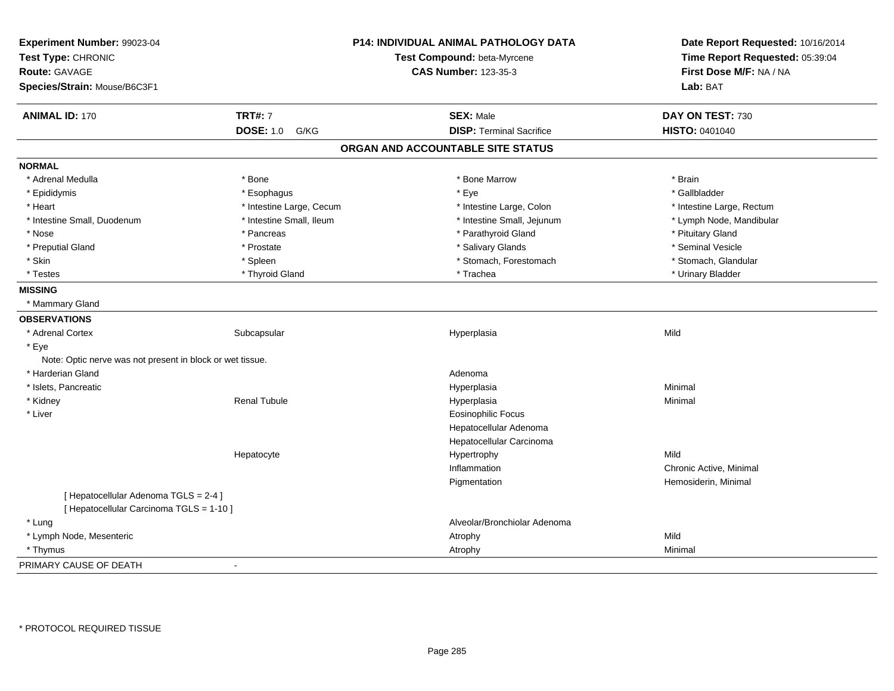| Experiment Number: 99023-04<br>Test Type: CHRONIC<br>Route: GAVAGE |                          | P14: INDIVIDUAL ANIMAL PATHOLOGY DATA | Date Report Requested: 10/16/2014<br>Time Report Requested: 05:39:04 |
|--------------------------------------------------------------------|--------------------------|---------------------------------------|----------------------------------------------------------------------|
|                                                                    |                          | Test Compound: beta-Myrcene           |                                                                      |
|                                                                    |                          | <b>CAS Number: 123-35-3</b>           | First Dose M/F: NA / NA                                              |
| Species/Strain: Mouse/B6C3F1                                       |                          |                                       | Lab: BAT                                                             |
| <b>ANIMAL ID: 170</b>                                              | <b>TRT#: 7</b>           | <b>SEX: Male</b>                      | DAY ON TEST: 730                                                     |
|                                                                    | <b>DOSE: 1.0</b><br>G/KG | <b>DISP: Terminal Sacrifice</b>       | <b>HISTO: 0401040</b>                                                |
|                                                                    |                          | ORGAN AND ACCOUNTABLE SITE STATUS     |                                                                      |
| <b>NORMAL</b>                                                      |                          |                                       |                                                                      |
| * Adrenal Medulla                                                  | * Bone                   | * Bone Marrow                         | * Brain                                                              |
| * Epididymis                                                       | * Esophagus              | * Eye                                 | * Gallbladder                                                        |
| * Heart                                                            | * Intestine Large, Cecum | * Intestine Large, Colon              | * Intestine Large, Rectum                                            |
| * Intestine Small, Duodenum                                        | * Intestine Small, Ileum | * Intestine Small, Jejunum            | * Lymph Node, Mandibular                                             |
| * Nose                                                             | * Pancreas               | * Parathyroid Gland                   | * Pituitary Gland                                                    |
| * Preputial Gland                                                  | * Prostate               | * Salivary Glands                     | * Seminal Vesicle                                                    |
| * Skin                                                             | * Spleen                 | * Stomach, Forestomach                | * Stomach, Glandular                                                 |
| * Testes                                                           | * Thyroid Gland          | * Trachea                             | * Urinary Bladder                                                    |
| <b>MISSING</b>                                                     |                          |                                       |                                                                      |
| * Mammary Gland                                                    |                          |                                       |                                                                      |
| <b>OBSERVATIONS</b>                                                |                          |                                       |                                                                      |
| * Adrenal Cortex                                                   | Subcapsular              | Hyperplasia                           | Mild                                                                 |
| * Eye                                                              |                          |                                       |                                                                      |
| Note: Optic nerve was not present in block or wet tissue.          |                          |                                       |                                                                      |
| * Harderian Gland                                                  |                          | Adenoma                               |                                                                      |
| * Islets, Pancreatic                                               |                          | Hyperplasia                           | Minimal                                                              |
| * Kidney                                                           | <b>Renal Tubule</b>      | Hyperplasia                           | Minimal                                                              |
| * Liver                                                            |                          | <b>Eosinophilic Focus</b>             |                                                                      |
|                                                                    |                          | Hepatocellular Adenoma                |                                                                      |
|                                                                    |                          | Hepatocellular Carcinoma              |                                                                      |
|                                                                    | Hepatocyte               | Hypertrophy                           | Mild                                                                 |
|                                                                    |                          | Inflammation                          | Chronic Active, Minimal                                              |
|                                                                    |                          | Pigmentation                          | Hemosiderin, Minimal                                                 |
| [ Hepatocellular Adenoma TGLS = 2-4 ]                              |                          |                                       |                                                                      |
| [ Hepatocellular Carcinoma TGLS = 1-10 ]                           |                          |                                       |                                                                      |
| * Lung                                                             |                          | Alveolar/Bronchiolar Adenoma          |                                                                      |
| * Lymph Node, Mesenteric                                           |                          | Atrophy                               | Mild                                                                 |
| * Thymus                                                           |                          | Atrophy                               | Minimal                                                              |
| PRIMARY CAUSE OF DEATH                                             | $\blacksquare$           |                                       |                                                                      |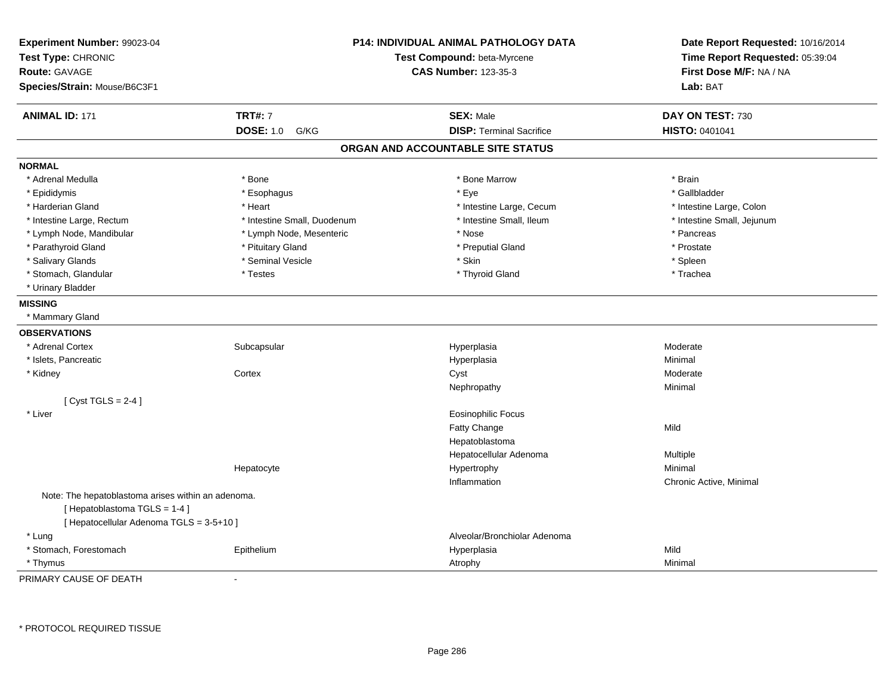| Experiment Number: 99023-04<br>Test Type: CHRONIC<br><b>Route: GAVAGE</b><br>Species/Strain: Mouse/B6C3F1 | <b>P14: INDIVIDUAL ANIMAL PATHOLOGY DATA</b><br>Test Compound: beta-Myrcene<br><b>CAS Number: 123-35-3</b> |                                   | Date Report Requested: 10/16/2014<br>Time Report Requested: 05:39:04<br>First Dose M/F: NA / NA<br>Lab: BAT |
|-----------------------------------------------------------------------------------------------------------|------------------------------------------------------------------------------------------------------------|-----------------------------------|-------------------------------------------------------------------------------------------------------------|
| <b>ANIMAL ID: 171</b>                                                                                     | <b>TRT#: 7</b>                                                                                             | <b>SEX: Male</b>                  | DAY ON TEST: 730                                                                                            |
|                                                                                                           | <b>DOSE: 1.0</b><br>G/KG                                                                                   | <b>DISP: Terminal Sacrifice</b>   | HISTO: 0401041                                                                                              |
|                                                                                                           |                                                                                                            | ORGAN AND ACCOUNTABLE SITE STATUS |                                                                                                             |
| <b>NORMAL</b>                                                                                             |                                                                                                            |                                   |                                                                                                             |
| * Adrenal Medulla                                                                                         | * Bone                                                                                                     | * Bone Marrow                     | * Brain                                                                                                     |
| * Epididymis                                                                                              | * Esophagus                                                                                                | * Eye                             | * Gallbladder                                                                                               |
| * Harderian Gland                                                                                         | * Heart                                                                                                    | * Intestine Large, Cecum          | * Intestine Large, Colon                                                                                    |
| * Intestine Large, Rectum                                                                                 | * Intestine Small, Duodenum                                                                                | * Intestine Small, Ileum          | * Intestine Small, Jejunum                                                                                  |
| * Lymph Node, Mandibular                                                                                  | * Lymph Node, Mesenteric                                                                                   | * Nose                            | * Pancreas                                                                                                  |
| * Parathyroid Gland                                                                                       | * Pituitary Gland                                                                                          | * Preputial Gland                 | * Prostate                                                                                                  |
| * Salivary Glands                                                                                         | * Seminal Vesicle                                                                                          | * Skin                            | * Spleen                                                                                                    |
| * Stomach, Glandular                                                                                      | * Testes                                                                                                   | * Thyroid Gland                   | * Trachea                                                                                                   |
| * Urinary Bladder                                                                                         |                                                                                                            |                                   |                                                                                                             |
| <b>MISSING</b>                                                                                            |                                                                                                            |                                   |                                                                                                             |
| * Mammary Gland                                                                                           |                                                                                                            |                                   |                                                                                                             |
| <b>OBSERVATIONS</b>                                                                                       |                                                                                                            |                                   |                                                                                                             |
| * Adrenal Cortex                                                                                          | Subcapsular                                                                                                | Hyperplasia                       | Moderate                                                                                                    |
| * Islets, Pancreatic                                                                                      |                                                                                                            | Hyperplasia                       | Minimal                                                                                                     |
| * Kidney                                                                                                  | Cortex                                                                                                     | Cyst                              | Moderate                                                                                                    |
|                                                                                                           |                                                                                                            | Nephropathy                       | Minimal                                                                                                     |
| [Cyst TGLS = $2-4$ ]                                                                                      |                                                                                                            |                                   |                                                                                                             |
| * Liver                                                                                                   |                                                                                                            | <b>Eosinophilic Focus</b>         |                                                                                                             |
|                                                                                                           |                                                                                                            | Fatty Change                      | Mild                                                                                                        |
|                                                                                                           |                                                                                                            | Hepatoblastoma                    |                                                                                                             |
|                                                                                                           |                                                                                                            | Hepatocellular Adenoma            | Multiple                                                                                                    |
|                                                                                                           | Hepatocyte                                                                                                 | Hypertrophy                       | Minimal                                                                                                     |
|                                                                                                           |                                                                                                            | Inflammation                      | Chronic Active, Minimal                                                                                     |
| Note: The hepatoblastoma arises within an adenoma.                                                        |                                                                                                            |                                   |                                                                                                             |
| [Hepatoblastoma TGLS = 1-4]                                                                               |                                                                                                            |                                   |                                                                                                             |
| [ Hepatocellular Adenoma TGLS = 3-5+10 ]                                                                  |                                                                                                            |                                   |                                                                                                             |
| * Lung                                                                                                    |                                                                                                            | Alveolar/Bronchiolar Adenoma      |                                                                                                             |
| * Stomach, Forestomach                                                                                    | Epithelium                                                                                                 | Hyperplasia                       | Mild                                                                                                        |
| * Thymus                                                                                                  |                                                                                                            | Atrophy                           | Minimal                                                                                                     |

PRIMARY CAUSE OF DEATH-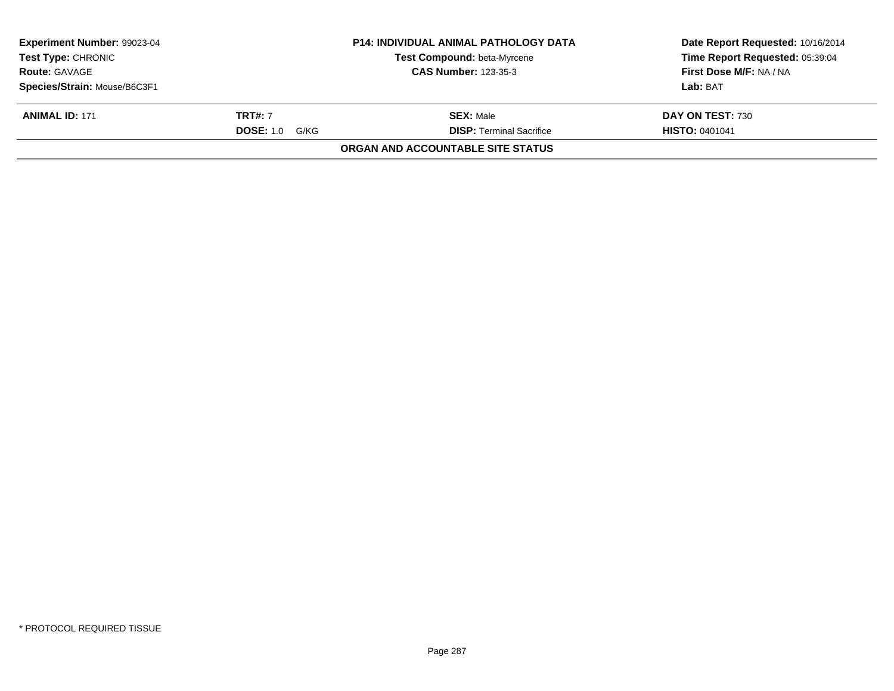| <b>Experiment Number: 99023-04</b><br><b>Test Type: CHRONIC</b> |                       | <b>P14: INDIVIDUAL ANIMAL PATHOLOGY DATA</b><br><b>Test Compound: beta-Myrcene</b> | Date Report Requested: 10/16/2014<br>Time Report Requested: 05:39:04 |
|-----------------------------------------------------------------|-----------------------|------------------------------------------------------------------------------------|----------------------------------------------------------------------|
| <b>Route: GAVAGE</b>                                            |                       | <b>CAS Number: 123-35-3</b>                                                        | First Dose M/F: NA / NA                                              |
| Species/Strain: Mouse/B6C3F1                                    |                       |                                                                                    | Lab: BAT                                                             |
| <b>ANIMAL ID: 171</b>                                           | <b>TRT#:</b> 7        | <b>SEX: Male</b>                                                                   | DAY ON TEST: 730                                                     |
|                                                                 | <b>DOSE:</b> 1.0 G/KG | <b>DISP: Terminal Sacrifice</b>                                                    | <b>HISTO: 0401041</b>                                                |
|                                                                 |                       | ORGAN AND ACCOUNTABLE SITE STATUS                                                  |                                                                      |
|                                                                 |                       |                                                                                    |                                                                      |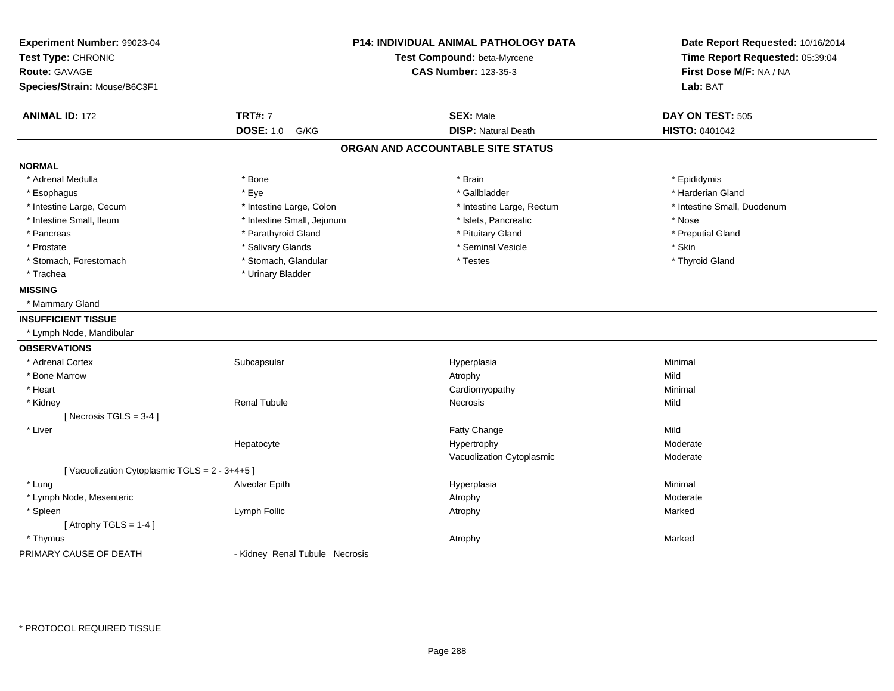| Experiment Number: 99023-04<br>Test Type: CHRONIC<br><b>Route: GAVAGE</b> |                                | <b>P14: INDIVIDUAL ANIMAL PATHOLOGY DATA</b><br>Test Compound: beta-Myrcene<br><b>CAS Number: 123-35-3</b> | Date Report Requested: 10/16/2014<br>Time Report Requested: 05:39:04<br>First Dose M/F: NA / NA |  |
|---------------------------------------------------------------------------|--------------------------------|------------------------------------------------------------------------------------------------------------|-------------------------------------------------------------------------------------------------|--|
| Species/Strain: Mouse/B6C3F1                                              |                                |                                                                                                            | Lab: BAT                                                                                        |  |
| <b>ANIMAL ID: 172</b>                                                     | <b>TRT#: 7</b>                 | <b>SEX: Male</b>                                                                                           | DAY ON TEST: 505                                                                                |  |
|                                                                           | <b>DOSE: 1.0</b><br>G/KG       | <b>DISP: Natural Death</b>                                                                                 | HISTO: 0401042                                                                                  |  |
|                                                                           |                                | ORGAN AND ACCOUNTABLE SITE STATUS                                                                          |                                                                                                 |  |
| <b>NORMAL</b>                                                             |                                |                                                                                                            |                                                                                                 |  |
| * Adrenal Medulla                                                         | * Bone                         | * Brain                                                                                                    | * Epididymis                                                                                    |  |
| * Esophagus                                                               | * Eye                          | * Gallbladder                                                                                              | * Harderian Gland                                                                               |  |
| * Intestine Large, Cecum                                                  | * Intestine Large, Colon       | * Intestine Large, Rectum                                                                                  | * Intestine Small, Duodenum                                                                     |  |
| * Intestine Small, Ileum                                                  | * Intestine Small, Jejunum     | * Islets, Pancreatic                                                                                       | * Nose                                                                                          |  |
| * Pancreas                                                                | * Parathyroid Gland            | * Pituitary Gland                                                                                          | * Preputial Gland                                                                               |  |
| * Prostate                                                                | * Salivary Glands              | * Seminal Vesicle                                                                                          | * Skin                                                                                          |  |
| * Stomach, Forestomach                                                    | * Stomach, Glandular           | * Testes                                                                                                   | * Thyroid Gland                                                                                 |  |
| * Trachea                                                                 | * Urinary Bladder              |                                                                                                            |                                                                                                 |  |
| <b>MISSING</b>                                                            |                                |                                                                                                            |                                                                                                 |  |
| * Mammary Gland                                                           |                                |                                                                                                            |                                                                                                 |  |
| <b>INSUFFICIENT TISSUE</b>                                                |                                |                                                                                                            |                                                                                                 |  |
| * Lymph Node, Mandibular                                                  |                                |                                                                                                            |                                                                                                 |  |
| <b>OBSERVATIONS</b>                                                       |                                |                                                                                                            |                                                                                                 |  |
| * Adrenal Cortex                                                          | Subcapsular                    | Hyperplasia                                                                                                | Minimal                                                                                         |  |
| * Bone Marrow                                                             |                                | Atrophy                                                                                                    | Mild                                                                                            |  |
| * Heart                                                                   |                                | Cardiomyopathy                                                                                             | Minimal                                                                                         |  |
| * Kidney                                                                  | <b>Renal Tubule</b>            | Necrosis                                                                                                   | Mild                                                                                            |  |
| [Necrosis $TGLS = 3-4$ ]                                                  |                                |                                                                                                            |                                                                                                 |  |
| * Liver                                                                   |                                | Fatty Change                                                                                               | Mild                                                                                            |  |
|                                                                           | Hepatocyte                     | Hypertrophy                                                                                                | Moderate                                                                                        |  |
|                                                                           |                                | Vacuolization Cytoplasmic                                                                                  | Moderate                                                                                        |  |
| [Vacuolization Cytoplasmic TGLS = 2 - 3+4+5]                              |                                |                                                                                                            |                                                                                                 |  |
| * Lung                                                                    | Alveolar Epith                 | Hyperplasia                                                                                                | Minimal                                                                                         |  |
| * Lymph Node, Mesenteric                                                  |                                | Atrophy                                                                                                    | Moderate                                                                                        |  |
| * Spleen                                                                  | Lymph Follic                   | Atrophy                                                                                                    | Marked                                                                                          |  |
| [Atrophy TGLS = $1-4$ ]                                                   |                                |                                                                                                            |                                                                                                 |  |
| * Thymus                                                                  |                                | Atrophy                                                                                                    | Marked                                                                                          |  |
| PRIMARY CAUSE OF DEATH                                                    | - Kidney Renal Tubule Necrosis |                                                                                                            |                                                                                                 |  |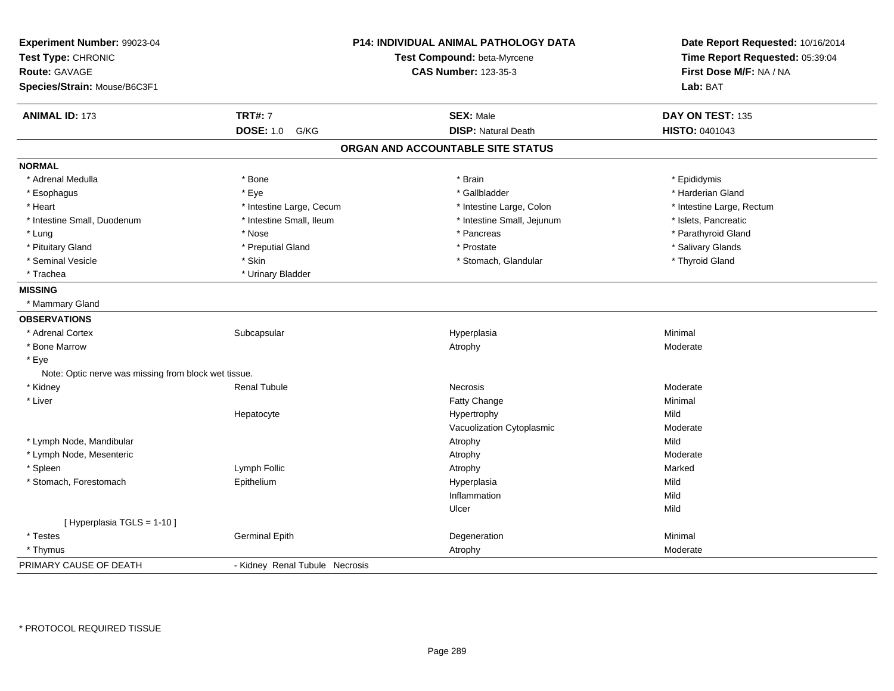| Experiment Number: 99023-04<br>Test Type: CHRONIC<br><b>Route: GAVAGE</b><br>Species/Strain: Mouse/B6C3F1 |                                | P14: INDIVIDUAL ANIMAL PATHOLOGY DATA<br>Test Compound: beta-Myrcene<br><b>CAS Number: 123-35-3</b> | Date Report Requested: 10/16/2014<br>Time Report Requested: 05:39:04<br>First Dose M/F: NA / NA<br>Lab: BAT |
|-----------------------------------------------------------------------------------------------------------|--------------------------------|-----------------------------------------------------------------------------------------------------|-------------------------------------------------------------------------------------------------------------|
| <b>ANIMAL ID: 173</b>                                                                                     | <b>TRT#: 7</b>                 | <b>SEX: Male</b>                                                                                    | DAY ON TEST: 135                                                                                            |
|                                                                                                           | <b>DOSE: 1.0</b><br>G/KG       | <b>DISP: Natural Death</b>                                                                          | <b>HISTO: 0401043</b>                                                                                       |
|                                                                                                           |                                | ORGAN AND ACCOUNTABLE SITE STATUS                                                                   |                                                                                                             |
| <b>NORMAL</b>                                                                                             |                                |                                                                                                     |                                                                                                             |
| * Adrenal Medulla                                                                                         | * Bone                         | * Brain                                                                                             | * Epididymis                                                                                                |
| * Esophagus                                                                                               | * Eye                          | * Gallbladder                                                                                       | * Harderian Gland                                                                                           |
| * Heart                                                                                                   | * Intestine Large, Cecum       | * Intestine Large, Colon                                                                            | * Intestine Large, Rectum                                                                                   |
| * Intestine Small, Duodenum                                                                               | * Intestine Small, Ileum       | * Intestine Small, Jejunum                                                                          | * Islets, Pancreatic                                                                                        |
| * Lung                                                                                                    | * Nose                         | * Pancreas                                                                                          | * Parathyroid Gland                                                                                         |
| * Pituitary Gland                                                                                         | * Preputial Gland              | * Prostate                                                                                          | * Salivary Glands                                                                                           |
| * Seminal Vesicle                                                                                         | * Skin                         | * Stomach, Glandular                                                                                | * Thyroid Gland                                                                                             |
| * Trachea                                                                                                 | * Urinary Bladder              |                                                                                                     |                                                                                                             |
| <b>MISSING</b>                                                                                            |                                |                                                                                                     |                                                                                                             |
| * Mammary Gland                                                                                           |                                |                                                                                                     |                                                                                                             |
| <b>OBSERVATIONS</b>                                                                                       |                                |                                                                                                     |                                                                                                             |
| * Adrenal Cortex                                                                                          | Subcapsular                    | Hyperplasia                                                                                         | Minimal                                                                                                     |
| * Bone Marrow                                                                                             |                                | Atrophy                                                                                             | Moderate                                                                                                    |
| * Eye                                                                                                     |                                |                                                                                                     |                                                                                                             |
| Note: Optic nerve was missing from block wet tissue.                                                      |                                |                                                                                                     |                                                                                                             |
| * Kidney                                                                                                  | <b>Renal Tubule</b>            | <b>Necrosis</b>                                                                                     | Moderate                                                                                                    |
| * Liver                                                                                                   |                                | Fatty Change                                                                                        | Minimal                                                                                                     |
|                                                                                                           | Hepatocyte                     | Hypertrophy                                                                                         | Mild                                                                                                        |
|                                                                                                           |                                | Vacuolization Cytoplasmic                                                                           | Moderate                                                                                                    |
| * Lymph Node, Mandibular                                                                                  |                                | Atrophy                                                                                             | Mild                                                                                                        |
| * Lymph Node, Mesenteric                                                                                  |                                | Atrophy                                                                                             | Moderate                                                                                                    |
| * Spleen                                                                                                  | Lymph Follic                   | Atrophy                                                                                             | Marked                                                                                                      |
| * Stomach, Forestomach                                                                                    | Epithelium                     | Hyperplasia                                                                                         | Mild                                                                                                        |
|                                                                                                           |                                | Inflammation                                                                                        | Mild                                                                                                        |
|                                                                                                           |                                | Ulcer                                                                                               | Mild                                                                                                        |
| [Hyperplasia TGLS = 1-10]                                                                                 |                                |                                                                                                     |                                                                                                             |
| * Testes                                                                                                  | <b>Germinal Epith</b>          | Degeneration                                                                                        | Minimal                                                                                                     |
| * Thymus                                                                                                  |                                | Atrophy                                                                                             | Moderate                                                                                                    |
| PRIMARY CAUSE OF DEATH                                                                                    | - Kidney Renal Tubule Necrosis |                                                                                                     |                                                                                                             |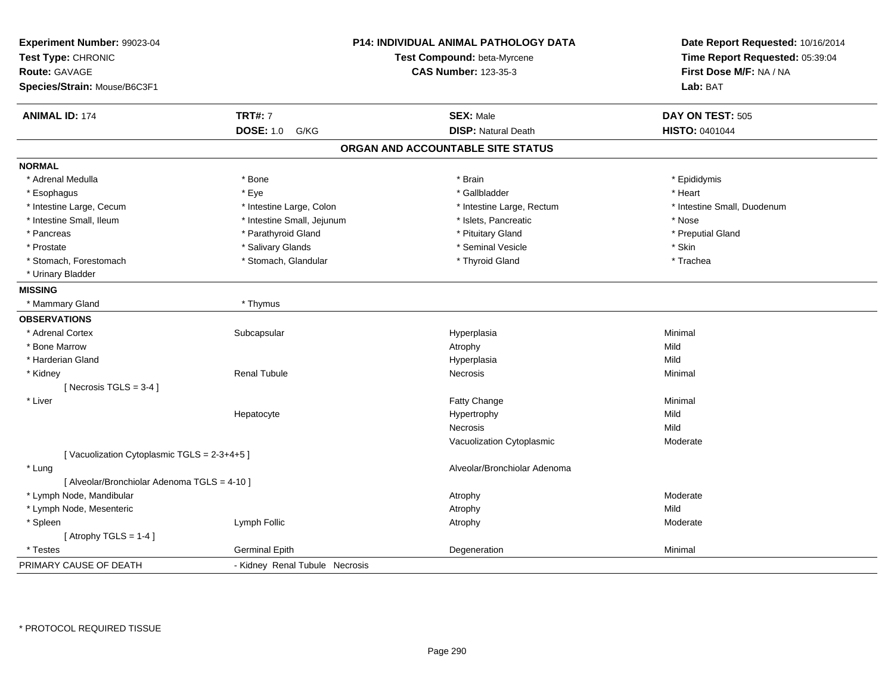| Experiment Number: 99023-04<br>Test Type: CHRONIC<br><b>Route: GAVAGE</b><br>Species/Strain: Mouse/B6C3F1 |                                | <b>P14: INDIVIDUAL ANIMAL PATHOLOGY DATA</b><br>Test Compound: beta-Myrcene<br><b>CAS Number: 123-35-3</b> | Date Report Requested: 10/16/2014<br>Time Report Requested: 05:39:04<br>First Dose M/F: NA / NA<br>Lab: BAT |
|-----------------------------------------------------------------------------------------------------------|--------------------------------|------------------------------------------------------------------------------------------------------------|-------------------------------------------------------------------------------------------------------------|
| <b>ANIMAL ID: 174</b>                                                                                     | <b>TRT#: 7</b>                 | <b>SEX: Male</b>                                                                                           | DAY ON TEST: 505                                                                                            |
|                                                                                                           | <b>DOSE: 1.0</b><br>G/KG       | <b>DISP: Natural Death</b>                                                                                 | <b>HISTO: 0401044</b>                                                                                       |
|                                                                                                           |                                | ORGAN AND ACCOUNTABLE SITE STATUS                                                                          |                                                                                                             |
| <b>NORMAL</b>                                                                                             |                                |                                                                                                            |                                                                                                             |
| * Adrenal Medulla                                                                                         | * Bone                         | * Brain                                                                                                    | * Epididymis                                                                                                |
| * Esophagus                                                                                               | * Eye                          | * Gallbladder                                                                                              | * Heart                                                                                                     |
| * Intestine Large, Cecum                                                                                  | * Intestine Large, Colon       | * Intestine Large, Rectum                                                                                  | * Intestine Small, Duodenum                                                                                 |
| * Intestine Small, Ileum                                                                                  | * Intestine Small, Jejunum     | * Islets, Pancreatic                                                                                       | * Nose                                                                                                      |
| * Pancreas                                                                                                | * Parathyroid Gland            | * Pituitary Gland                                                                                          | * Preputial Gland                                                                                           |
| * Prostate                                                                                                | * Salivary Glands              | * Seminal Vesicle                                                                                          | * Skin                                                                                                      |
| * Stomach, Forestomach                                                                                    | * Stomach, Glandular           | * Thyroid Gland                                                                                            | * Trachea                                                                                                   |
| * Urinary Bladder                                                                                         |                                |                                                                                                            |                                                                                                             |
| <b>MISSING</b>                                                                                            |                                |                                                                                                            |                                                                                                             |
| * Mammary Gland                                                                                           | * Thymus                       |                                                                                                            |                                                                                                             |
| <b>OBSERVATIONS</b>                                                                                       |                                |                                                                                                            |                                                                                                             |
| * Adrenal Cortex                                                                                          | Subcapsular                    | Hyperplasia                                                                                                | Minimal                                                                                                     |
| * Bone Marrow                                                                                             |                                | Atrophy                                                                                                    | Mild                                                                                                        |
| * Harderian Gland                                                                                         |                                | Hyperplasia                                                                                                | Mild                                                                                                        |
| * Kidney                                                                                                  | <b>Renal Tubule</b>            | Necrosis                                                                                                   | Minimal                                                                                                     |
| [Necrosis $TGLS = 3-4$ ]                                                                                  |                                |                                                                                                            |                                                                                                             |
| * Liver                                                                                                   |                                | Fatty Change                                                                                               | Minimal                                                                                                     |
|                                                                                                           | Hepatocyte                     | Hypertrophy                                                                                                | Mild                                                                                                        |
|                                                                                                           |                                | Necrosis                                                                                                   | Mild                                                                                                        |
|                                                                                                           |                                | Vacuolization Cytoplasmic                                                                                  | Moderate                                                                                                    |
| [Vacuolization Cytoplasmic TGLS = 2-3+4+5]                                                                |                                |                                                                                                            |                                                                                                             |
| * Lung                                                                                                    |                                | Alveolar/Bronchiolar Adenoma                                                                               |                                                                                                             |
| [ Alveolar/Bronchiolar Adenoma TGLS = 4-10 ]                                                              |                                |                                                                                                            |                                                                                                             |
| * Lymph Node, Mandibular                                                                                  |                                | Atrophy                                                                                                    | Moderate                                                                                                    |
| * Lymph Node, Mesenteric                                                                                  |                                | Atrophy                                                                                                    | Mild                                                                                                        |
| * Spleen                                                                                                  | Lymph Follic                   | Atrophy                                                                                                    | Moderate                                                                                                    |
| [Atrophy TGLS = $1-4$ ]                                                                                   |                                |                                                                                                            |                                                                                                             |
| * Testes                                                                                                  | <b>Germinal Epith</b>          | Degeneration                                                                                               | Minimal                                                                                                     |
| PRIMARY CAUSE OF DEATH                                                                                    | - Kidney Renal Tubule Necrosis |                                                                                                            |                                                                                                             |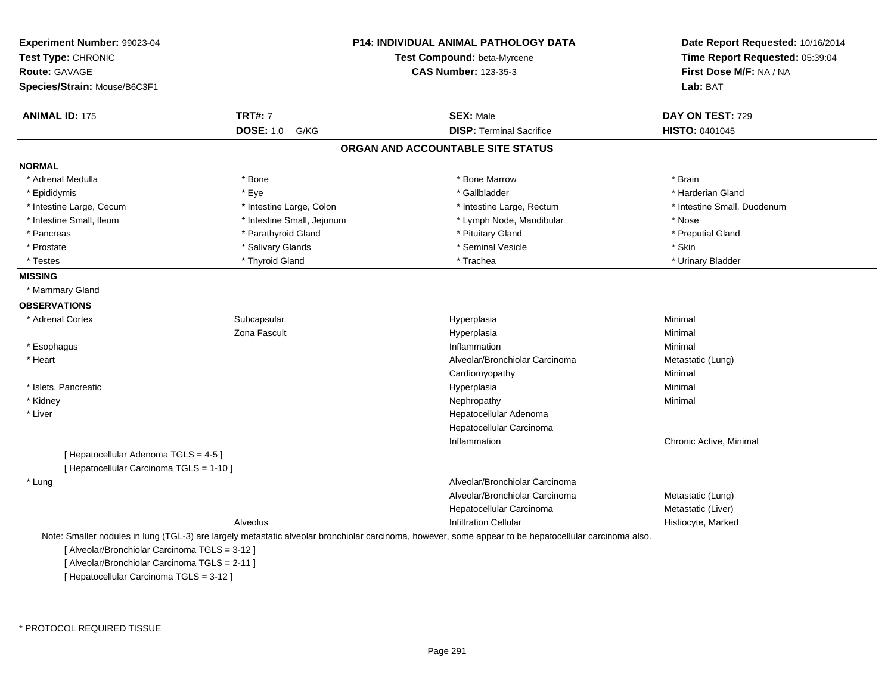| Experiment Number: 99023-04<br>Test Type: CHRONIC<br>Route: GAVAGE<br>Species/Strain: Mouse/B6C3F1 |                            | P14: INDIVIDUAL ANIMAL PATHOLOGY DATA<br>Test Compound: beta-Myrcene<br><b>CAS Number: 123-35-3</b>                                                    | Date Report Requested: 10/16/2014<br>Time Report Requested: 05:39:04<br>First Dose M/F: NA / NA<br>Lab: BAT |
|----------------------------------------------------------------------------------------------------|----------------------------|--------------------------------------------------------------------------------------------------------------------------------------------------------|-------------------------------------------------------------------------------------------------------------|
| <b>ANIMAL ID: 175</b>                                                                              | <b>TRT#: 7</b>             | <b>SEX: Male</b>                                                                                                                                       | DAY ON TEST: 729                                                                                            |
|                                                                                                    | <b>DOSE: 1.0</b><br>G/KG   | <b>DISP: Terminal Sacrifice</b>                                                                                                                        | <b>HISTO: 0401045</b>                                                                                       |
|                                                                                                    |                            | ORGAN AND ACCOUNTABLE SITE STATUS                                                                                                                      |                                                                                                             |
| <b>NORMAL</b>                                                                                      |                            |                                                                                                                                                        |                                                                                                             |
| * Adrenal Medulla                                                                                  | * Bone                     | * Bone Marrow                                                                                                                                          | * Brain                                                                                                     |
| * Epididymis                                                                                       | * Eye                      | * Gallbladder                                                                                                                                          | * Harderian Gland                                                                                           |
| * Intestine Large, Cecum                                                                           | * Intestine Large, Colon   | * Intestine Large, Rectum                                                                                                                              | * Intestine Small, Duodenum                                                                                 |
| * Intestine Small, Ileum                                                                           | * Intestine Small, Jejunum | * Lymph Node, Mandibular                                                                                                                               | * Nose                                                                                                      |
| * Pancreas                                                                                         | * Parathyroid Gland        | * Pituitary Gland                                                                                                                                      | * Preputial Gland                                                                                           |
| * Prostate                                                                                         | * Salivary Glands          | * Seminal Vesicle                                                                                                                                      | * Skin                                                                                                      |
| * Testes                                                                                           | * Thyroid Gland            | * Trachea                                                                                                                                              | * Urinary Bladder                                                                                           |
| <b>MISSING</b>                                                                                     |                            |                                                                                                                                                        |                                                                                                             |
| * Mammary Gland                                                                                    |                            |                                                                                                                                                        |                                                                                                             |
| <b>OBSERVATIONS</b>                                                                                |                            |                                                                                                                                                        |                                                                                                             |
| * Adrenal Cortex                                                                                   | Subcapsular                | Hyperplasia                                                                                                                                            | Minimal                                                                                                     |
|                                                                                                    | Zona Fascult               | Hyperplasia                                                                                                                                            | Minimal                                                                                                     |
| * Esophagus                                                                                        |                            | Inflammation                                                                                                                                           | Minimal                                                                                                     |
| * Heart                                                                                            |                            | Alveolar/Bronchiolar Carcinoma                                                                                                                         | Metastatic (Lung)                                                                                           |
|                                                                                                    |                            | Cardiomyopathy                                                                                                                                         | Minimal                                                                                                     |
| * Islets, Pancreatic                                                                               |                            | Hyperplasia                                                                                                                                            | Minimal                                                                                                     |
| * Kidney                                                                                           |                            | Nephropathy                                                                                                                                            | Minimal                                                                                                     |
| * Liver                                                                                            |                            | Hepatocellular Adenoma                                                                                                                                 |                                                                                                             |
|                                                                                                    |                            | Hepatocellular Carcinoma                                                                                                                               |                                                                                                             |
|                                                                                                    |                            | Inflammation                                                                                                                                           | Chronic Active, Minimal                                                                                     |
| [ Hepatocellular Adenoma TGLS = 4-5 ]                                                              |                            |                                                                                                                                                        |                                                                                                             |
| [ Hepatocellular Carcinoma TGLS = 1-10 ]                                                           |                            |                                                                                                                                                        |                                                                                                             |
| * Lung                                                                                             |                            | Alveolar/Bronchiolar Carcinoma                                                                                                                         |                                                                                                             |
|                                                                                                    |                            | Alveolar/Bronchiolar Carcinoma                                                                                                                         | Metastatic (Lung)                                                                                           |
|                                                                                                    |                            | Hepatocellular Carcinoma                                                                                                                               | Metastatic (Liver)                                                                                          |
|                                                                                                    | Alveolus                   | <b>Infiltration Cellular</b>                                                                                                                           | Histiocyte, Marked                                                                                          |
|                                                                                                    |                            | Note: Smaller nodules in lung (TGL-3) are largely metastatic alveolar bronchiolar carcinoma, however, some appear to be hepatocellular carcinoma also. |                                                                                                             |
| [ Alveolar/Bronchiolar Carcinoma TGLS = 3-12 ]                                                     |                            |                                                                                                                                                        |                                                                                                             |
| [ Alveolar/Bronchiolar Carcinoma TGLS = 2-11 ]                                                     |                            |                                                                                                                                                        |                                                                                                             |
| [ Hepatocellular Carcinoma TGLS = 3-12 ]                                                           |                            |                                                                                                                                                        |                                                                                                             |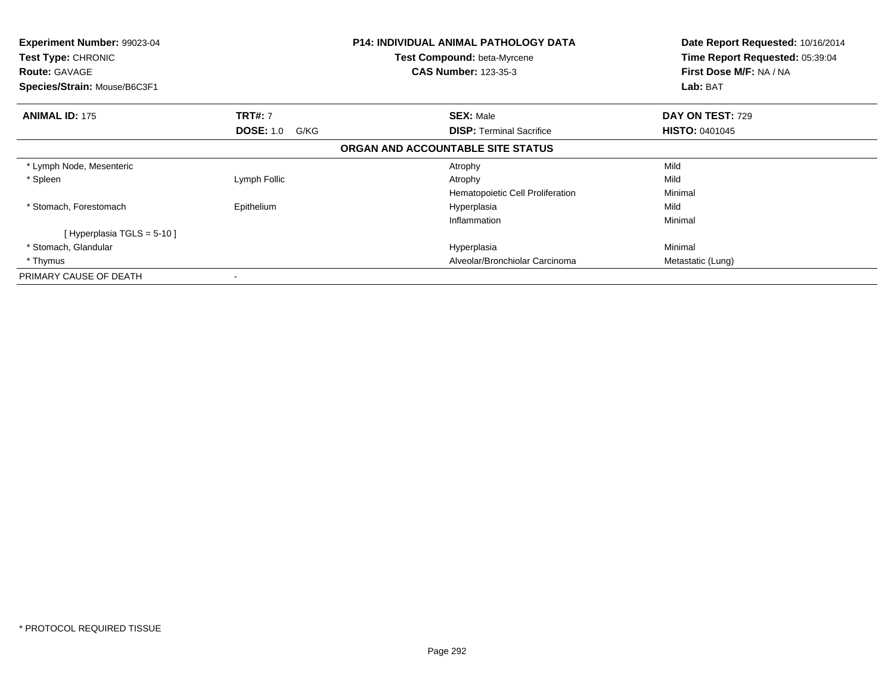| Experiment Number: 99023-04<br>Test Type: CHRONIC<br><b>Route: GAVAGE</b><br>Species/Strain: Mouse/B6C3F1 |                          | P14: INDIVIDUAL ANIMAL PATHOLOGY DATA<br><b>Test Compound: beta-Myrcene</b><br><b>CAS Number: 123-35-3</b> | Date Report Requested: 10/16/2014<br>Time Report Requested: 05:39:04<br>First Dose M/F: NA / NA<br>Lab: BAT |
|-----------------------------------------------------------------------------------------------------------|--------------------------|------------------------------------------------------------------------------------------------------------|-------------------------------------------------------------------------------------------------------------|
| <b>ANIMAL ID: 175</b>                                                                                     | <b>TRT#: 7</b>           | <b>SEX: Male</b>                                                                                           | <b>DAY ON TEST: 729</b>                                                                                     |
|                                                                                                           | <b>DOSE: 1.0</b><br>G/KG | <b>DISP:</b> Terminal Sacrifice                                                                            | <b>HISTO: 0401045</b>                                                                                       |
|                                                                                                           |                          | ORGAN AND ACCOUNTABLE SITE STATUS                                                                          |                                                                                                             |
| * Lymph Node, Mesenteric                                                                                  |                          | Atrophy                                                                                                    | Mild                                                                                                        |
| * Spleen                                                                                                  | Lymph Follic             | Atrophy                                                                                                    | Mild                                                                                                        |
|                                                                                                           |                          | Hematopoietic Cell Proliferation                                                                           | Minimal                                                                                                     |
| * Stomach, Forestomach                                                                                    | Epithelium               | Hyperplasia                                                                                                | Mild                                                                                                        |
|                                                                                                           |                          | Inflammation                                                                                               | Minimal                                                                                                     |
| [ Hyperplasia TGLS = 5-10 ]                                                                               |                          |                                                                                                            |                                                                                                             |
| * Stomach, Glandular                                                                                      |                          | Hyperplasia                                                                                                | Minimal                                                                                                     |
| * Thymus                                                                                                  |                          | Alveolar/Bronchiolar Carcinoma                                                                             | Metastatic (Lung)                                                                                           |
| PRIMARY CAUSE OF DEATH                                                                                    | $\,$                     |                                                                                                            |                                                                                                             |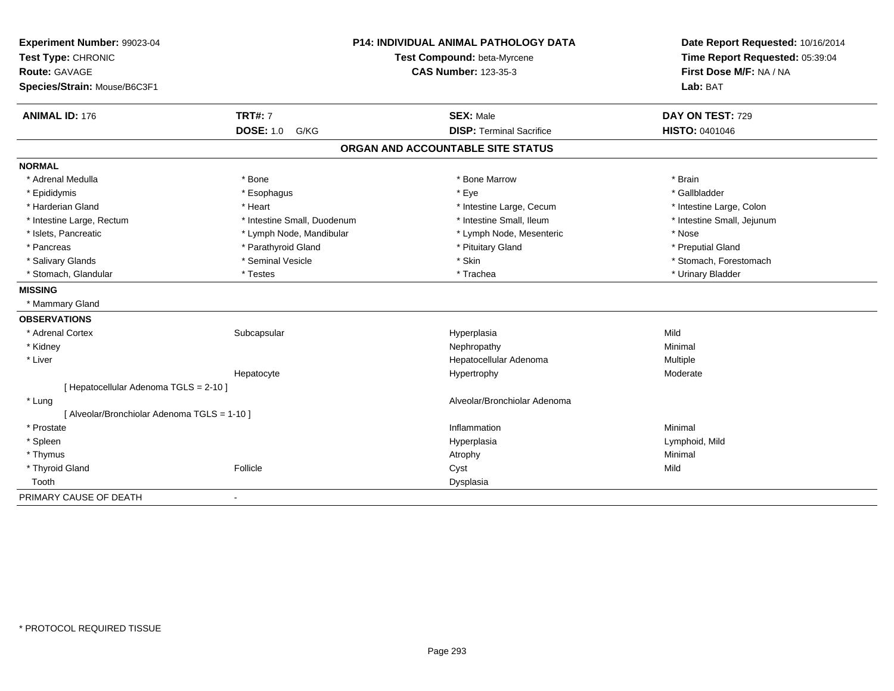| Experiment Number: 99023-04<br>Test Type: CHRONIC<br><b>Route: GAVAGE</b><br>Species/Strain: Mouse/B6C3F1 |                             | <b>P14: INDIVIDUAL ANIMAL PATHOLOGY DATA</b><br>Test Compound: beta-Myrcene<br><b>CAS Number: 123-35-3</b> | Date Report Requested: 10/16/2014<br>Time Report Requested: 05:39:04<br>First Dose M/F: NA / NA<br>Lab: BAT |
|-----------------------------------------------------------------------------------------------------------|-----------------------------|------------------------------------------------------------------------------------------------------------|-------------------------------------------------------------------------------------------------------------|
| <b>ANIMAL ID: 176</b>                                                                                     | <b>TRT#: 7</b>              | <b>SEX: Male</b>                                                                                           | DAY ON TEST: 729                                                                                            |
|                                                                                                           | <b>DOSE: 1.0</b><br>G/KG    | <b>DISP: Terminal Sacrifice</b>                                                                            | <b>HISTO: 0401046</b>                                                                                       |
|                                                                                                           |                             | ORGAN AND ACCOUNTABLE SITE STATUS                                                                          |                                                                                                             |
| <b>NORMAL</b>                                                                                             |                             |                                                                                                            |                                                                                                             |
| * Adrenal Medulla                                                                                         | * Bone                      | * Bone Marrow                                                                                              | * Brain                                                                                                     |
| * Epididymis                                                                                              | * Esophagus                 | * Eye                                                                                                      | * Gallbladder                                                                                               |
| * Harderian Gland                                                                                         | * Heart                     | * Intestine Large, Cecum                                                                                   | * Intestine Large, Colon                                                                                    |
| * Intestine Large, Rectum                                                                                 | * Intestine Small, Duodenum | * Intestine Small. Ileum                                                                                   | * Intestine Small, Jejunum                                                                                  |
| * Islets, Pancreatic                                                                                      | * Lymph Node, Mandibular    | * Lymph Node, Mesenteric                                                                                   | * Nose                                                                                                      |
| * Pancreas                                                                                                | * Parathyroid Gland         | * Pituitary Gland                                                                                          | * Preputial Gland                                                                                           |
| * Salivary Glands                                                                                         | * Seminal Vesicle           | * Skin                                                                                                     | * Stomach, Forestomach                                                                                      |
| * Stomach, Glandular                                                                                      | * Testes                    | * Trachea                                                                                                  | * Urinary Bladder                                                                                           |
| <b>MISSING</b>                                                                                            |                             |                                                                                                            |                                                                                                             |
| * Mammary Gland                                                                                           |                             |                                                                                                            |                                                                                                             |
| <b>OBSERVATIONS</b>                                                                                       |                             |                                                                                                            |                                                                                                             |
| * Adrenal Cortex                                                                                          | Subcapsular                 | Hyperplasia                                                                                                | Mild                                                                                                        |
| * Kidney                                                                                                  |                             | Nephropathy                                                                                                | Minimal                                                                                                     |
| * Liver                                                                                                   |                             | Hepatocellular Adenoma                                                                                     | Multiple                                                                                                    |
|                                                                                                           | Hepatocyte                  | Hypertrophy                                                                                                | Moderate                                                                                                    |
| [ Hepatocellular Adenoma TGLS = 2-10 ]                                                                    |                             |                                                                                                            |                                                                                                             |
| * Lung                                                                                                    |                             | Alveolar/Bronchiolar Adenoma                                                                               |                                                                                                             |
| [ Alveolar/Bronchiolar Adenoma TGLS = 1-10 ]                                                              |                             |                                                                                                            |                                                                                                             |
| * Prostate                                                                                                |                             | Inflammation                                                                                               | Minimal                                                                                                     |
| * Spleen                                                                                                  |                             | Hyperplasia                                                                                                | Lymphoid, Mild                                                                                              |
| * Thymus                                                                                                  |                             | Atrophy                                                                                                    | Minimal                                                                                                     |
| * Thyroid Gland                                                                                           | Follicle                    | Cyst                                                                                                       | Mild                                                                                                        |
| Tooth                                                                                                     |                             | Dysplasia                                                                                                  |                                                                                                             |
| PRIMARY CAUSE OF DEATH                                                                                    | $\overline{\phantom{a}}$    |                                                                                                            |                                                                                                             |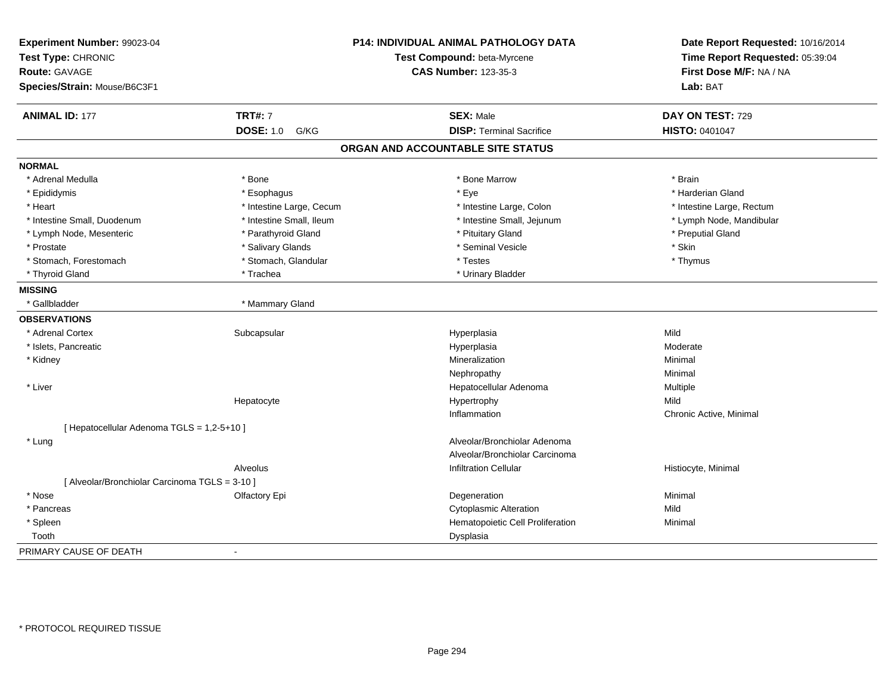| Experiment Number: 99023-04                    |                          | P14: INDIVIDUAL ANIMAL PATHOLOGY DATA | Date Report Requested: 10/16/2014<br>Time Report Requested: 05:39:04 |
|------------------------------------------------|--------------------------|---------------------------------------|----------------------------------------------------------------------|
| Test Type: CHRONIC                             |                          | Test Compound: beta-Myrcene           |                                                                      |
| <b>Route: GAVAGE</b>                           |                          | <b>CAS Number: 123-35-3</b>           | First Dose M/F: NA / NA                                              |
| Species/Strain: Mouse/B6C3F1                   |                          |                                       | Lab: BAT                                                             |
| <b>ANIMAL ID: 177</b>                          | <b>TRT#: 7</b>           | <b>SEX: Male</b>                      | DAY ON TEST: 729                                                     |
|                                                | <b>DOSE: 1.0</b><br>G/KG | <b>DISP: Terminal Sacrifice</b>       | HISTO: 0401047                                                       |
|                                                |                          | ORGAN AND ACCOUNTABLE SITE STATUS     |                                                                      |
| <b>NORMAL</b>                                  |                          |                                       |                                                                      |
| * Adrenal Medulla                              | * Bone                   | * Bone Marrow                         | * Brain                                                              |
| * Epididymis                                   | * Esophagus              | * Eye                                 | * Harderian Gland                                                    |
| * Heart                                        | * Intestine Large, Cecum | * Intestine Large, Colon              | * Intestine Large, Rectum                                            |
| * Intestine Small, Duodenum                    | * Intestine Small, Ileum | * Intestine Small, Jejunum            | * Lymph Node, Mandibular                                             |
| * Lymph Node, Mesenteric                       | * Parathyroid Gland      | * Pituitary Gland                     | * Preputial Gland                                                    |
| * Prostate                                     | * Salivary Glands        | * Seminal Vesicle                     | * Skin                                                               |
| * Stomach, Forestomach                         | * Stomach, Glandular     | * Testes                              | * Thymus                                                             |
| * Thyroid Gland                                | * Trachea                | * Urinary Bladder                     |                                                                      |
| <b>MISSING</b>                                 |                          |                                       |                                                                      |
| * Gallbladder                                  | * Mammary Gland          |                                       |                                                                      |
| <b>OBSERVATIONS</b>                            |                          |                                       |                                                                      |
| * Adrenal Cortex                               | Subcapsular              | Hyperplasia                           | Mild                                                                 |
| * Islets, Pancreatic                           |                          | Hyperplasia                           | Moderate                                                             |
| * Kidney                                       |                          | Mineralization                        | Minimal                                                              |
|                                                |                          | Nephropathy                           | Minimal                                                              |
| * Liver                                        |                          | Hepatocellular Adenoma                | Multiple                                                             |
|                                                | Hepatocyte               | Hypertrophy                           | Mild                                                                 |
|                                                |                          | Inflammation                          | Chronic Active, Minimal                                              |
| [ Hepatocellular Adenoma TGLS = 1,2-5+10 ]     |                          |                                       |                                                                      |
| * Lung                                         |                          | Alveolar/Bronchiolar Adenoma          |                                                                      |
|                                                |                          | Alveolar/Bronchiolar Carcinoma        |                                                                      |
|                                                | Alveolus                 | <b>Infiltration Cellular</b>          | Histiocyte, Minimal                                                  |
| [ Alveolar/Bronchiolar Carcinoma TGLS = 3-10 ] |                          |                                       |                                                                      |
| * Nose                                         | Olfactory Epi            | Degeneration                          | Minimal                                                              |
| * Pancreas                                     |                          | <b>Cytoplasmic Alteration</b>         | Mild                                                                 |
| * Spleen                                       |                          | Hematopoietic Cell Proliferation      | Minimal                                                              |
| Tooth                                          |                          | Dysplasia                             |                                                                      |
| PRIMARY CAUSE OF DEATH                         | $\blacksquare$           |                                       |                                                                      |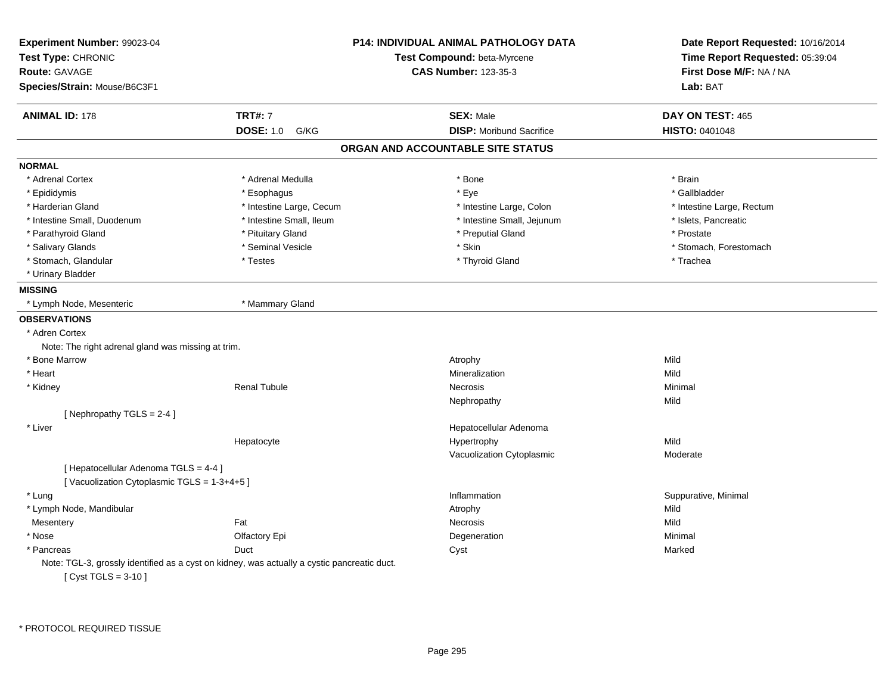| Experiment Number: 99023-04<br>Test Type: CHRONIC  |                                                                                             | <b>P14: INDIVIDUAL ANIMAL PATHOLOGY DATA</b><br>Test Compound: beta-Myrcene | Date Report Requested: 10/16/2014<br>Time Report Requested: 05:39:04 |
|----------------------------------------------------|---------------------------------------------------------------------------------------------|-----------------------------------------------------------------------------|----------------------------------------------------------------------|
| <b>Route: GAVAGE</b>                               |                                                                                             | <b>CAS Number: 123-35-3</b>                                                 | First Dose M/F: NA / NA                                              |
| Species/Strain: Mouse/B6C3F1                       |                                                                                             |                                                                             | Lab: BAT                                                             |
| <b>ANIMAL ID: 178</b>                              | <b>TRT#: 7</b>                                                                              | <b>SEX: Male</b>                                                            | DAY ON TEST: 465                                                     |
|                                                    | <b>DOSE: 1.0</b><br>G/KG                                                                    | <b>DISP:</b> Moribund Sacrifice                                             | <b>HISTO: 0401048</b>                                                |
|                                                    |                                                                                             | ORGAN AND ACCOUNTABLE SITE STATUS                                           |                                                                      |
| <b>NORMAL</b>                                      |                                                                                             |                                                                             |                                                                      |
| * Adrenal Cortex                                   | * Adrenal Medulla                                                                           | * Bone                                                                      | * Brain                                                              |
| * Epididymis                                       | * Esophagus                                                                                 | * Eye                                                                       | * Gallbladder                                                        |
| * Harderian Gland                                  | * Intestine Large, Cecum                                                                    | * Intestine Large, Colon                                                    | * Intestine Large, Rectum                                            |
| * Intestine Small, Duodenum                        | * Intestine Small, Ileum                                                                    | * Intestine Small, Jejunum                                                  | * Islets, Pancreatic                                                 |
| * Parathyroid Gland                                | * Pituitary Gland                                                                           | * Preputial Gland                                                           | * Prostate                                                           |
| * Salivary Glands                                  | * Seminal Vesicle                                                                           | * Skin                                                                      | * Stomach, Forestomach                                               |
| * Stomach, Glandular                               | * Testes                                                                                    | * Thyroid Gland                                                             | * Trachea                                                            |
| * Urinary Bladder                                  |                                                                                             |                                                                             |                                                                      |
| <b>MISSING</b>                                     |                                                                                             |                                                                             |                                                                      |
| * Lymph Node, Mesenteric                           | * Mammary Gland                                                                             |                                                                             |                                                                      |
| <b>OBSERVATIONS</b>                                |                                                                                             |                                                                             |                                                                      |
| * Adren Cortex                                     |                                                                                             |                                                                             |                                                                      |
| Note: The right adrenal gland was missing at trim. |                                                                                             |                                                                             |                                                                      |
| * Bone Marrow                                      |                                                                                             | Atrophy                                                                     | Mild                                                                 |
| * Heart                                            |                                                                                             | Mineralization                                                              | Mild                                                                 |
| * Kidney                                           | <b>Renal Tubule</b>                                                                         | <b>Necrosis</b>                                                             | Minimal                                                              |
|                                                    |                                                                                             | Nephropathy                                                                 | Mild                                                                 |
| [Nephropathy TGLS = 2-4]                           |                                                                                             |                                                                             |                                                                      |
| * Liver                                            |                                                                                             | Hepatocellular Adenoma                                                      |                                                                      |
|                                                    | Hepatocyte                                                                                  | Hypertrophy                                                                 | Mild                                                                 |
|                                                    |                                                                                             | Vacuolization Cytoplasmic                                                   | Moderate                                                             |
| [ Hepatocellular Adenoma TGLS = 4-4 ]              |                                                                                             |                                                                             |                                                                      |
| [Vacuolization Cytoplasmic TGLS = 1-3+4+5]         |                                                                                             |                                                                             |                                                                      |
| * Lung                                             |                                                                                             | Inflammation                                                                | Suppurative, Minimal                                                 |
| * Lymph Node, Mandibular                           |                                                                                             | Atrophy                                                                     | Mild                                                                 |
| Mesentery                                          | Fat                                                                                         | Necrosis                                                                    | Mild                                                                 |
| * Nose                                             | Olfactory Epi                                                                               | Degeneration                                                                | Minimal                                                              |
| * Pancreas                                         | Duct                                                                                        | Cyst                                                                        | Marked                                                               |
|                                                    | Note: TGL-3, grossly identified as a cyst on kidney, was actually a cystic pancreatic duct. |                                                                             |                                                                      |
| [ $Cyst TGLS = 3-10$ ]                             |                                                                                             |                                                                             |                                                                      |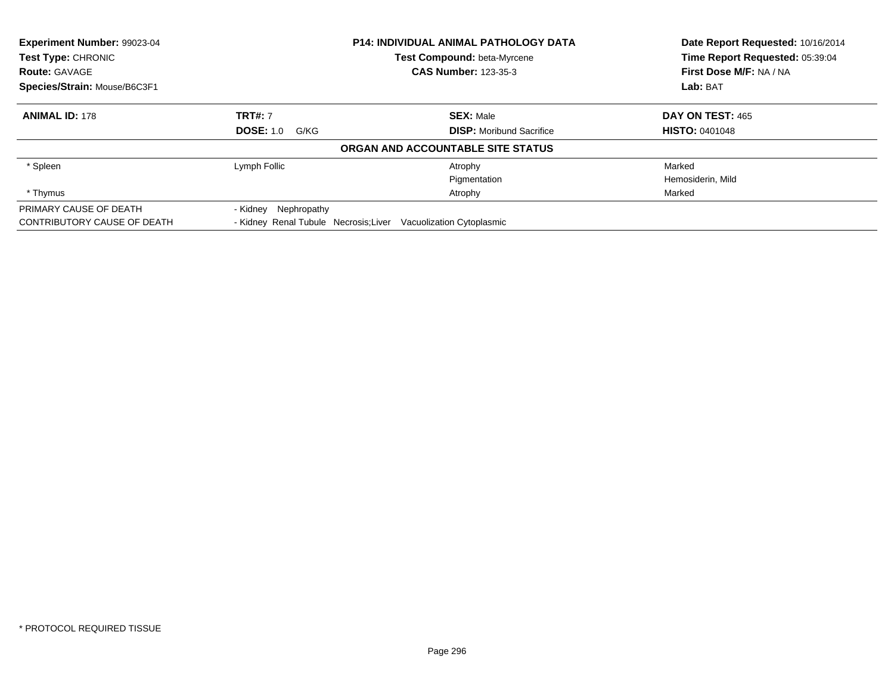| Experiment Number: 99023-04  |                                                                 | <b>P14: INDIVIDUAL ANIMAL PATHOLOGY DATA</b> | Date Report Requested: 10/16/2014 |
|------------------------------|-----------------------------------------------------------------|----------------------------------------------|-----------------------------------|
| Test Type: CHRONIC           |                                                                 | <b>Test Compound: beta-Myrcene</b>           | Time Report Requested: 05:39:04   |
| <b>Route: GAVAGE</b>         |                                                                 | <b>CAS Number: 123-35-3</b>                  | First Dose M/F: NA / NA           |
| Species/Strain: Mouse/B6C3F1 |                                                                 |                                              | Lab: BAT                          |
| <b>ANIMAL ID: 178</b>        | <b>TRT#: 7</b>                                                  | <b>SEX: Male</b>                             | DAY ON TEST: 465                  |
|                              | <b>DOSE: 1.0</b><br>G/KG                                        | <b>DISP:</b> Moribund Sacrifice              | <b>HISTO: 0401048</b>             |
|                              |                                                                 | ORGAN AND ACCOUNTABLE SITE STATUS            |                                   |
| * Spleen                     | Lymph Follic                                                    | Atrophy                                      | Marked                            |
|                              |                                                                 | Pigmentation                                 | Hemosiderin, Mild                 |
| * Thymus                     |                                                                 | Atrophy                                      | Marked                            |
| PRIMARY CAUSE OF DEATH       | - Kidney Nephropathy                                            |                                              |                                   |
| CONTRIBUTORY CAUSE OF DEATH  | - Kidney Renal Tubule Necrosis; Liver Vacuolization Cytoplasmic |                                              |                                   |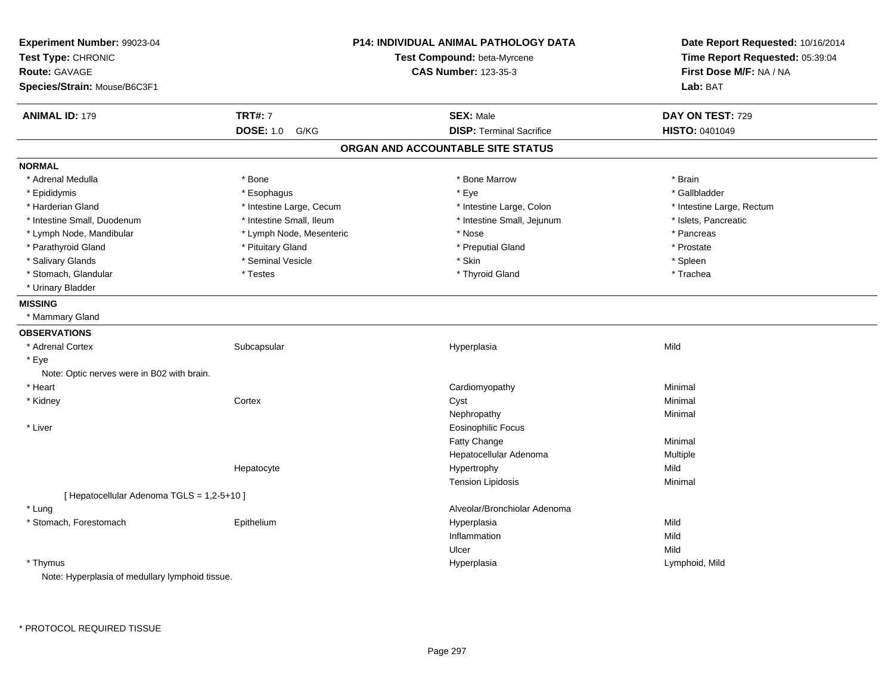| Experiment Number: 99023-04<br>Test Type: CHRONIC<br>Route: GAVAGE |                          | <b>P14: INDIVIDUAL ANIMAL PATHOLOGY DATA</b><br>Test Compound: beta-Myrcene<br><b>CAS Number: 123-35-3</b> | Date Report Requested: 10/16/2014<br>Time Report Requested: 05:39:04<br>First Dose M/F: NA / NA |
|--------------------------------------------------------------------|--------------------------|------------------------------------------------------------------------------------------------------------|-------------------------------------------------------------------------------------------------|
| Species/Strain: Mouse/B6C3F1                                       |                          |                                                                                                            | Lab: BAT                                                                                        |
| <b>ANIMAL ID: 179</b>                                              | <b>TRT#: 7</b>           | <b>SEX: Male</b>                                                                                           | DAY ON TEST: 729                                                                                |
|                                                                    | <b>DOSE: 1.0</b><br>G/KG | <b>DISP: Terminal Sacrifice</b>                                                                            | HISTO: 0401049                                                                                  |
|                                                                    |                          | ORGAN AND ACCOUNTABLE SITE STATUS                                                                          |                                                                                                 |
| <b>NORMAL</b>                                                      |                          |                                                                                                            |                                                                                                 |
| * Adrenal Medulla                                                  | * Bone                   | * Bone Marrow                                                                                              | * Brain                                                                                         |
| * Epididymis                                                       | * Esophagus              | * Eye                                                                                                      | * Gallbladder                                                                                   |
| * Harderian Gland                                                  | * Intestine Large, Cecum | * Intestine Large, Colon                                                                                   | * Intestine Large, Rectum                                                                       |
| * Intestine Small, Duodenum                                        | * Intestine Small, Ileum | * Intestine Small, Jejunum                                                                                 | * Islets, Pancreatic                                                                            |
| * Lymph Node, Mandibular                                           | * Lymph Node, Mesenteric | * Nose                                                                                                     | * Pancreas                                                                                      |
| * Parathyroid Gland                                                | * Pituitary Gland        | * Preputial Gland                                                                                          | * Prostate                                                                                      |
| * Salivary Glands                                                  | * Seminal Vesicle        | * Skin                                                                                                     | * Spleen                                                                                        |
| * Stomach, Glandular                                               | * Testes                 | * Thyroid Gland                                                                                            | * Trachea                                                                                       |
| * Urinary Bladder                                                  |                          |                                                                                                            |                                                                                                 |
| <b>MISSING</b>                                                     |                          |                                                                                                            |                                                                                                 |
| * Mammary Gland                                                    |                          |                                                                                                            |                                                                                                 |
| <b>OBSERVATIONS</b>                                                |                          |                                                                                                            |                                                                                                 |
| * Adrenal Cortex                                                   | Subcapsular              | Hyperplasia                                                                                                | Mild                                                                                            |
| * Eye                                                              |                          |                                                                                                            |                                                                                                 |
| Note: Optic nerves were in B02 with brain.                         |                          |                                                                                                            |                                                                                                 |
| * Heart                                                            |                          | Cardiomyopathy                                                                                             | Minimal                                                                                         |
| * Kidney                                                           | Cortex                   | Cyst                                                                                                       | Minimal                                                                                         |
|                                                                    |                          | Nephropathy                                                                                                | Minimal                                                                                         |
| * Liver                                                            |                          | <b>Eosinophilic Focus</b>                                                                                  |                                                                                                 |
|                                                                    |                          | Fatty Change                                                                                               | Minimal                                                                                         |
|                                                                    |                          | Hepatocellular Adenoma                                                                                     | Multiple                                                                                        |
|                                                                    | Hepatocyte               | Hypertrophy                                                                                                | Mild                                                                                            |
|                                                                    |                          | <b>Tension Lipidosis</b>                                                                                   | Minimal                                                                                         |
| [ Hepatocellular Adenoma TGLS = 1,2-5+10 ]                         |                          |                                                                                                            |                                                                                                 |
| * Lung                                                             |                          | Alveolar/Bronchiolar Adenoma                                                                               |                                                                                                 |
| * Stomach, Forestomach                                             | Epithelium               | Hyperplasia                                                                                                | Mild                                                                                            |
|                                                                    |                          | Inflammation                                                                                               | Mild                                                                                            |
|                                                                    |                          | Ulcer                                                                                                      | Mild                                                                                            |
| * Thymus                                                           |                          | Hyperplasia                                                                                                | Lymphoid, Mild                                                                                  |
| Note: Hyperplasia of medullary lymphoid tissue.                    |                          |                                                                                                            |                                                                                                 |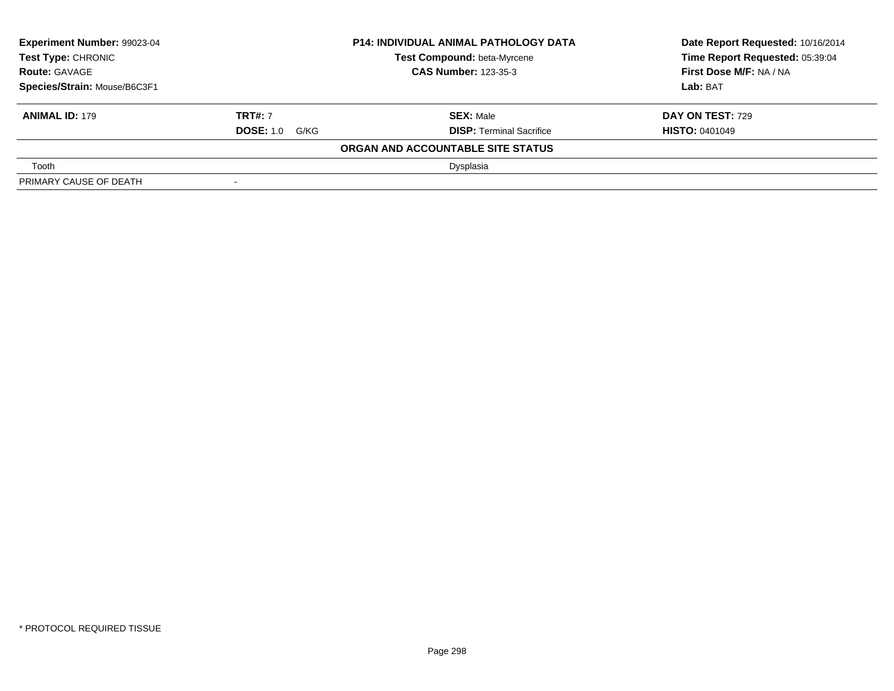| <b>Experiment Number: 99023-04</b><br>Test Type: CHRONIC |                             | <b>P14: INDIVIDUAL ANIMAL PATHOLOGY DATA</b> | Date Report Requested: 10/16/2014 |
|----------------------------------------------------------|-----------------------------|----------------------------------------------|-----------------------------------|
|                                                          |                             | <b>Test Compound: beta-Myrcene</b>           | Time Report Requested: 05:39:04   |
| <b>Route: GAVAGE</b>                                     | <b>CAS Number: 123-35-3</b> |                                              | <b>First Dose M/F: NA / NA</b>    |
| Species/Strain: Mouse/B6C3F1                             |                             |                                              | Lab: BAT                          |
| <b>ANIMAL ID: 179</b>                                    | <b>TRT#: 7</b>              | <b>SEX: Male</b>                             | <b>DAY ON TEST: 729</b>           |
|                                                          | <b>DOSE: 1.0 G/KG</b>       | <b>DISP: Terminal Sacrifice</b>              | <b>HISTO: 0401049</b>             |
|                                                          |                             | ORGAN AND ACCOUNTABLE SITE STATUS            |                                   |
| Tooth                                                    |                             | Dysplasia                                    |                                   |
| PRIMARY CAUSE OF DEATH                                   | $\,$                        |                                              |                                   |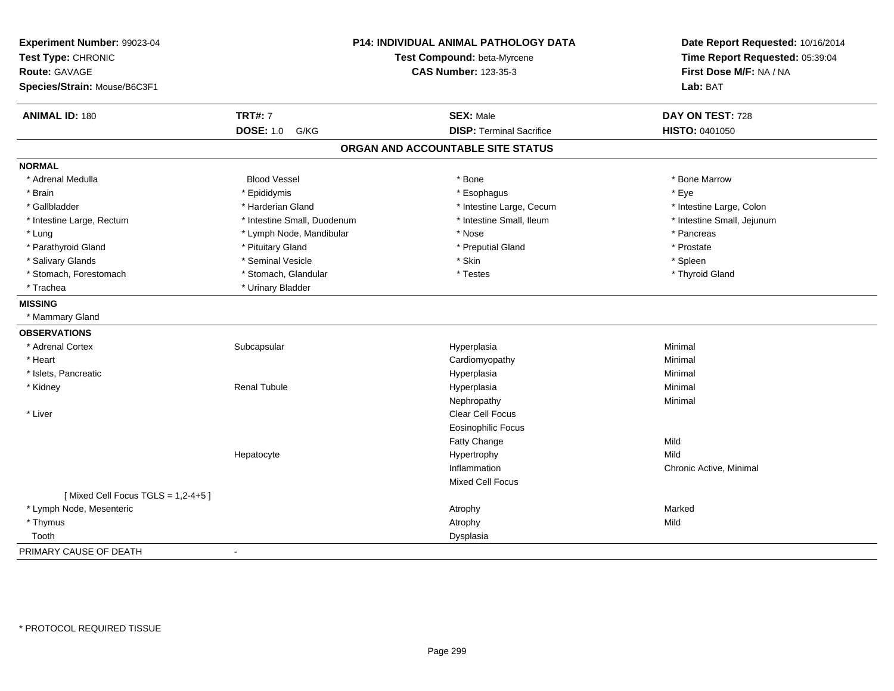| Experiment Number: 99023-04<br>Test Type: CHRONIC<br><b>Route: GAVAGE</b><br>Species/Strain: Mouse/B6C3F1 | <b>P14: INDIVIDUAL ANIMAL PATHOLOGY DATA</b><br>Test Compound: beta-Myrcene<br><b>CAS Number: 123-35-3</b> |                                   | Date Report Requested: 10/16/2014<br>Time Report Requested: 05:39:04<br>First Dose M/F: NA / NA<br>Lab: BAT |
|-----------------------------------------------------------------------------------------------------------|------------------------------------------------------------------------------------------------------------|-----------------------------------|-------------------------------------------------------------------------------------------------------------|
| <b>ANIMAL ID: 180</b>                                                                                     | <b>TRT#: 7</b>                                                                                             | <b>SEX: Male</b>                  | DAY ON TEST: 728                                                                                            |
|                                                                                                           | <b>DOSE: 1.0</b><br>G/KG                                                                                   | <b>DISP: Terminal Sacrifice</b>   | <b>HISTO: 0401050</b>                                                                                       |
|                                                                                                           |                                                                                                            | ORGAN AND ACCOUNTABLE SITE STATUS |                                                                                                             |
| <b>NORMAL</b>                                                                                             |                                                                                                            |                                   |                                                                                                             |
| * Adrenal Medulla                                                                                         | <b>Blood Vessel</b>                                                                                        | * Bone                            | * Bone Marrow                                                                                               |
| * Brain                                                                                                   | * Epididymis                                                                                               | * Esophagus                       | * Eye                                                                                                       |
| * Gallbladder                                                                                             | * Harderian Gland                                                                                          | * Intestine Large, Cecum          | * Intestine Large, Colon                                                                                    |
| * Intestine Large, Rectum                                                                                 | * Intestine Small, Duodenum                                                                                | * Intestine Small, Ileum          | * Intestine Small, Jejunum                                                                                  |
| * Lung                                                                                                    | * Lymph Node, Mandibular                                                                                   | * Nose                            | * Pancreas                                                                                                  |
| * Parathyroid Gland                                                                                       | * Pituitary Gland                                                                                          | * Preputial Gland                 | * Prostate                                                                                                  |
| * Salivary Glands                                                                                         | * Seminal Vesicle                                                                                          | * Skin                            | * Spleen                                                                                                    |
| * Stomach, Forestomach                                                                                    | * Stomach, Glandular                                                                                       | * Testes                          | * Thyroid Gland                                                                                             |
| * Trachea                                                                                                 | * Urinary Bladder                                                                                          |                                   |                                                                                                             |
| <b>MISSING</b>                                                                                            |                                                                                                            |                                   |                                                                                                             |
| * Mammary Gland                                                                                           |                                                                                                            |                                   |                                                                                                             |
| <b>OBSERVATIONS</b>                                                                                       |                                                                                                            |                                   |                                                                                                             |
| * Adrenal Cortex                                                                                          | Subcapsular                                                                                                | Hyperplasia                       | Minimal                                                                                                     |
| * Heart                                                                                                   |                                                                                                            | Cardiomyopathy                    | Minimal                                                                                                     |
| * Islets, Pancreatic                                                                                      |                                                                                                            | Hyperplasia                       | Minimal                                                                                                     |
| * Kidney                                                                                                  | <b>Renal Tubule</b>                                                                                        | Hyperplasia                       | Minimal                                                                                                     |
|                                                                                                           |                                                                                                            | Nephropathy                       | Minimal                                                                                                     |
| * Liver                                                                                                   |                                                                                                            | Clear Cell Focus                  |                                                                                                             |
|                                                                                                           |                                                                                                            | <b>Eosinophilic Focus</b>         |                                                                                                             |
|                                                                                                           |                                                                                                            | Fatty Change                      | Mild                                                                                                        |
|                                                                                                           | Hepatocyte                                                                                                 | Hypertrophy                       | Mild                                                                                                        |
|                                                                                                           |                                                                                                            | Inflammation                      | Chronic Active, Minimal                                                                                     |
|                                                                                                           |                                                                                                            | Mixed Cell Focus                  |                                                                                                             |
| [Mixed Cell Focus TGLS = $1,2-4+5$ ]                                                                      |                                                                                                            |                                   |                                                                                                             |
| * Lymph Node, Mesenteric                                                                                  |                                                                                                            | Atrophy                           | Marked                                                                                                      |
| * Thymus                                                                                                  |                                                                                                            | Atrophy                           | Mild                                                                                                        |
| Tooth                                                                                                     |                                                                                                            | Dysplasia                         |                                                                                                             |
| PRIMARY CAUSE OF DEATH                                                                                    |                                                                                                            |                                   |                                                                                                             |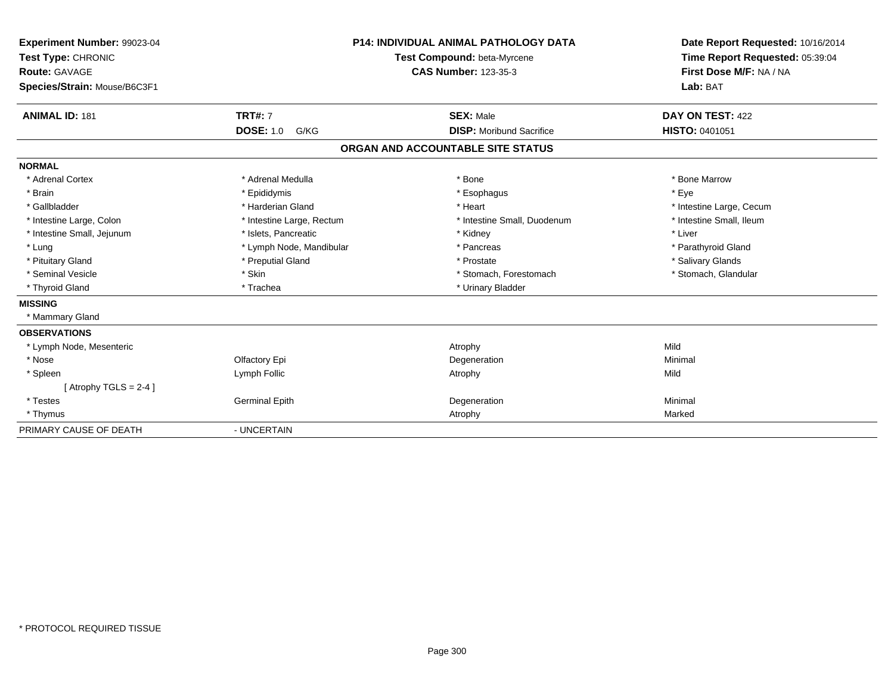| Experiment Number: 99023-04<br>Test Type: CHRONIC<br><b>Route: GAVAGE</b><br>Species/Strain: Mouse/B6C3F1 |                                            | <b>P14: INDIVIDUAL ANIMAL PATHOLOGY DATA</b><br>Test Compound: beta-Myrcene<br><b>CAS Number: 123-35-3</b> | Date Report Requested: 10/16/2014<br>Time Report Requested: 05:39:04<br>First Dose M/F: NA / NA<br>Lab: BAT |
|-----------------------------------------------------------------------------------------------------------|--------------------------------------------|------------------------------------------------------------------------------------------------------------|-------------------------------------------------------------------------------------------------------------|
| <b>ANIMAL ID: 181</b>                                                                                     | <b>TRT#: 7</b><br><b>DOSE: 1.0</b><br>G/KG | <b>SEX: Male</b><br><b>DISP:</b> Moribund Sacrifice                                                        | DAY ON TEST: 422<br><b>HISTO: 0401051</b>                                                                   |
|                                                                                                           |                                            |                                                                                                            |                                                                                                             |
|                                                                                                           |                                            | ORGAN AND ACCOUNTABLE SITE STATUS                                                                          |                                                                                                             |
| <b>NORMAL</b>                                                                                             |                                            |                                                                                                            |                                                                                                             |
| * Adrenal Cortex                                                                                          | * Adrenal Medulla                          | * Bone                                                                                                     | * Bone Marrow                                                                                               |
| * Brain                                                                                                   | * Epididymis                               | * Esophagus                                                                                                | * Eve                                                                                                       |
| * Gallbladder                                                                                             | * Harderian Gland                          | * Heart                                                                                                    | * Intestine Large, Cecum                                                                                    |
| * Intestine Large, Colon                                                                                  | * Intestine Large, Rectum                  | * Intestine Small, Duodenum                                                                                | * Intestine Small, Ileum                                                                                    |
| * Intestine Small, Jejunum                                                                                | * Islets, Pancreatic                       | * Kidney                                                                                                   | * Liver                                                                                                     |
| * Lung                                                                                                    | * Lymph Node, Mandibular                   | * Pancreas                                                                                                 | * Parathyroid Gland                                                                                         |
| * Pituitary Gland                                                                                         | * Preputial Gland                          | * Prostate                                                                                                 | * Salivary Glands                                                                                           |
| * Seminal Vesicle                                                                                         | * Skin                                     | * Stomach, Forestomach                                                                                     | * Stomach, Glandular                                                                                        |
| * Thyroid Gland                                                                                           | * Trachea                                  | * Urinary Bladder                                                                                          |                                                                                                             |
| <b>MISSING</b>                                                                                            |                                            |                                                                                                            |                                                                                                             |
| * Mammary Gland                                                                                           |                                            |                                                                                                            |                                                                                                             |
| <b>OBSERVATIONS</b>                                                                                       |                                            |                                                                                                            |                                                                                                             |
| * Lymph Node, Mesenteric                                                                                  |                                            | Atrophy                                                                                                    | Mild                                                                                                        |
| * Nose                                                                                                    | Olfactory Epi                              | Degeneration                                                                                               | Minimal                                                                                                     |
| * Spleen                                                                                                  | Lymph Follic                               | Atrophy                                                                                                    | Mild                                                                                                        |
| [Atrophy TGLS = $2-4$ ]                                                                                   |                                            |                                                                                                            |                                                                                                             |
| * Testes                                                                                                  | <b>Germinal Epith</b>                      | Degeneration                                                                                               | Minimal                                                                                                     |
| * Thymus                                                                                                  |                                            | Atrophy                                                                                                    | Marked                                                                                                      |
| PRIMARY CAUSE OF DEATH                                                                                    | - UNCERTAIN                                |                                                                                                            |                                                                                                             |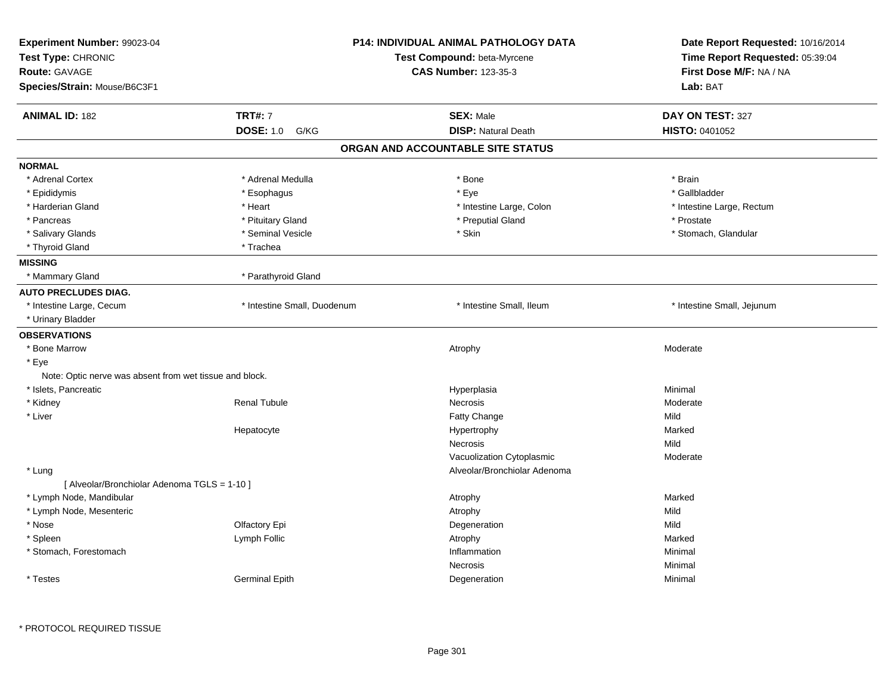| Experiment Number: 99023-04<br>Test Type: CHRONIC<br>Route: GAVAGE<br>Species/Strain: Mouse/B6C3F1 |                             | P14: INDIVIDUAL ANIMAL PATHOLOGY DATA<br>Test Compound: beta-Myrcene<br><b>CAS Number: 123-35-3</b> | Date Report Requested: 10/16/2014<br>Time Report Requested: 05:39:04<br>First Dose M/F: NA / NA<br>Lab: BAT |
|----------------------------------------------------------------------------------------------------|-----------------------------|-----------------------------------------------------------------------------------------------------|-------------------------------------------------------------------------------------------------------------|
| <b>ANIMAL ID: 182</b>                                                                              | <b>TRT#: 7</b>              | <b>SEX: Male</b>                                                                                    | DAY ON TEST: 327                                                                                            |
|                                                                                                    | <b>DOSE: 1.0 G/KG</b>       | <b>DISP: Natural Death</b>                                                                          | HISTO: 0401052                                                                                              |
|                                                                                                    |                             | ORGAN AND ACCOUNTABLE SITE STATUS                                                                   |                                                                                                             |
| <b>NORMAL</b>                                                                                      |                             |                                                                                                     |                                                                                                             |
| * Adrenal Cortex                                                                                   | * Adrenal Medulla           | * Bone                                                                                              | * Brain                                                                                                     |
| * Epididymis                                                                                       | * Esophagus                 | * Eye                                                                                               | * Gallbladder                                                                                               |
| * Harderian Gland                                                                                  | * Heart                     | * Intestine Large, Colon                                                                            | * Intestine Large, Rectum                                                                                   |
| * Pancreas                                                                                         | * Pituitary Gland           | * Preputial Gland                                                                                   | * Prostate                                                                                                  |
| * Salivary Glands                                                                                  | * Seminal Vesicle           | * Skin                                                                                              | * Stomach, Glandular                                                                                        |
| * Thyroid Gland                                                                                    | * Trachea                   |                                                                                                     |                                                                                                             |
| <b>MISSING</b>                                                                                     |                             |                                                                                                     |                                                                                                             |
| * Mammary Gland                                                                                    | * Parathyroid Gland         |                                                                                                     |                                                                                                             |
| <b>AUTO PRECLUDES DIAG.</b>                                                                        |                             |                                                                                                     |                                                                                                             |
| * Intestine Large, Cecum                                                                           | * Intestine Small, Duodenum | * Intestine Small, Ileum                                                                            | * Intestine Small, Jejunum                                                                                  |
| * Urinary Bladder                                                                                  |                             |                                                                                                     |                                                                                                             |
| <b>OBSERVATIONS</b>                                                                                |                             |                                                                                                     |                                                                                                             |
| * Bone Marrow                                                                                      |                             | Atrophy                                                                                             | Moderate                                                                                                    |
| * Eye                                                                                              |                             |                                                                                                     |                                                                                                             |
| Note: Optic nerve was absent from wet tissue and block.                                            |                             |                                                                                                     |                                                                                                             |
| * Islets, Pancreatic                                                                               |                             | Hyperplasia                                                                                         | Minimal                                                                                                     |
| * Kidney                                                                                           | <b>Renal Tubule</b>         | Necrosis                                                                                            | Moderate                                                                                                    |
| * Liver                                                                                            |                             | Fatty Change                                                                                        | Mild                                                                                                        |
|                                                                                                    | Hepatocyte                  | Hypertrophy                                                                                         | Marked                                                                                                      |
|                                                                                                    |                             | Necrosis                                                                                            | Mild                                                                                                        |
|                                                                                                    |                             | Vacuolization Cytoplasmic                                                                           | Moderate                                                                                                    |
| * Lung                                                                                             |                             | Alveolar/Bronchiolar Adenoma                                                                        |                                                                                                             |
| [ Alveolar/Bronchiolar Adenoma TGLS = 1-10 ]                                                       |                             |                                                                                                     |                                                                                                             |
| * Lymph Node, Mandibular                                                                           |                             | Atrophy                                                                                             | Marked                                                                                                      |
| * Lymph Node, Mesenteric                                                                           |                             | Atrophy                                                                                             | Mild                                                                                                        |
| * Nose                                                                                             | Olfactory Epi               | Degeneration                                                                                        | Mild                                                                                                        |
| * Spleen                                                                                           | Lymph Follic                | Atrophy                                                                                             | Marked                                                                                                      |
| * Stomach, Forestomach                                                                             |                             | Inflammation                                                                                        | Minimal                                                                                                     |
|                                                                                                    |                             | Necrosis                                                                                            | Minimal                                                                                                     |
|                                                                                                    | Germinal Epith              | Degeneration                                                                                        | Minimal                                                                                                     |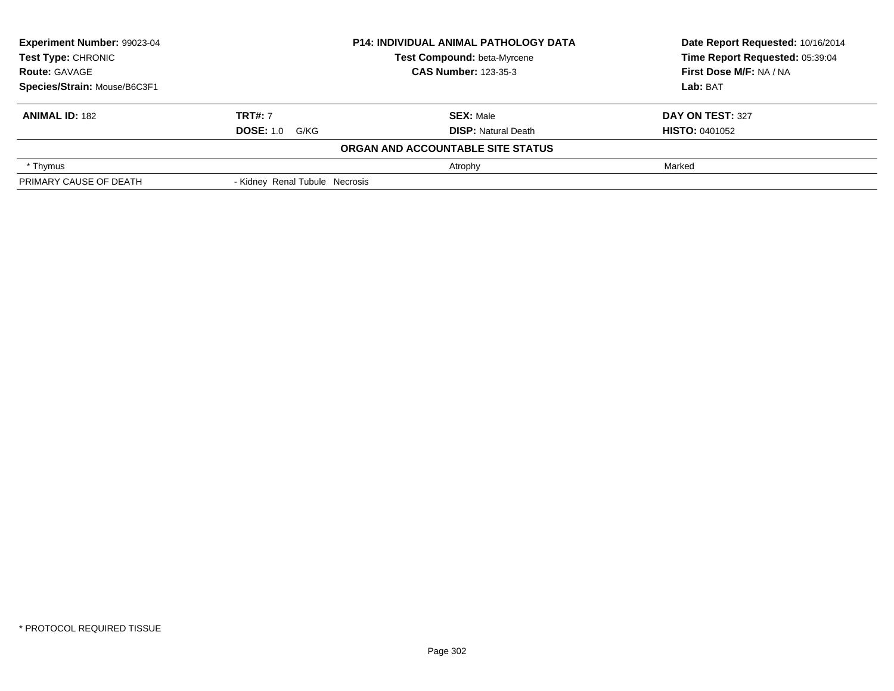| Experiment Number: 99023-04  | <b>P14: INDIVIDUAL ANIMAL PATHOLOGY DATA</b> |                                   | Date Report Requested: 10/16/2014 |
|------------------------------|----------------------------------------------|-----------------------------------|-----------------------------------|
| <b>Test Type: CHRONIC</b>    |                                              | Test Compound: beta-Myrcene       | Time Report Requested: 05:39:04   |
| <b>Route: GAVAGE</b>         |                                              | <b>CAS Number: 123-35-3</b>       | First Dose M/F: NA / NA           |
| Species/Strain: Mouse/B6C3F1 |                                              |                                   | Lab: BAT                          |
| <b>ANIMAL ID: 182</b>        | <b>TRT#: 7</b>                               | <b>SEX: Male</b>                  | DAY ON TEST: 327                  |
|                              | <b>DOSE:</b> 1.0 G/KG                        | <b>DISP: Natural Death</b>        | <b>HISTO: 0401052</b>             |
|                              |                                              | ORGAN AND ACCOUNTABLE SITE STATUS |                                   |
| * Thymus                     |                                              | Atrophy                           | Marked                            |
| PRIMARY CAUSE OF DEATH       | - Kidney Renal Tubule Necrosis               |                                   |                                   |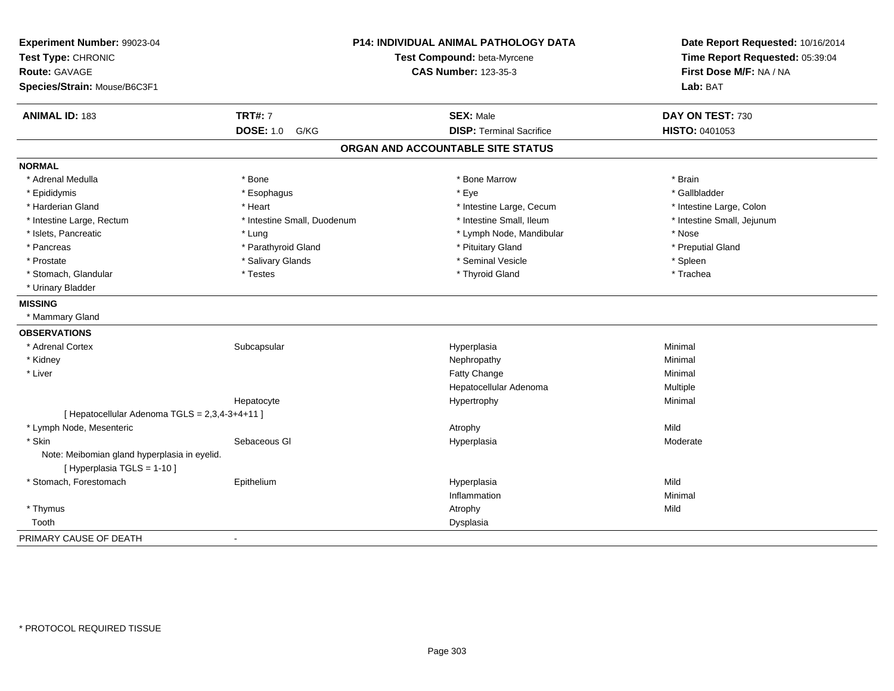| Experiment Number: 99023-04                                                 |                             | P14: INDIVIDUAL ANIMAL PATHOLOGY DATA | Date Report Requested: 10/16/2014 |
|-----------------------------------------------------------------------------|-----------------------------|---------------------------------------|-----------------------------------|
| Test Type: CHRONIC                                                          | Test Compound: beta-Myrcene |                                       | Time Report Requested: 05:39:04   |
| Route: GAVAGE                                                               |                             | <b>CAS Number: 123-35-3</b>           | First Dose M/F: NA / NA           |
| Species/Strain: Mouse/B6C3F1                                                |                             |                                       | Lab: BAT                          |
| ANIMAL ID: 183                                                              | <b>TRT#: 7</b>              | <b>SEX: Male</b>                      | DAY ON TEST: 730                  |
|                                                                             | <b>DOSE: 1.0</b><br>G/KG    | <b>DISP: Terminal Sacrifice</b>       | HISTO: 0401053                    |
|                                                                             |                             | ORGAN AND ACCOUNTABLE SITE STATUS     |                                   |
| <b>NORMAL</b>                                                               |                             |                                       |                                   |
| * Adrenal Medulla                                                           | * Bone                      | * Bone Marrow                         | * Brain                           |
| * Epididymis                                                                | * Esophagus                 | * Eye                                 | * Gallbladder                     |
| * Harderian Gland                                                           | * Heart                     | * Intestine Large, Cecum              | * Intestine Large, Colon          |
| * Intestine Large, Rectum                                                   | * Intestine Small, Duodenum | * Intestine Small, Ileum              | * Intestine Small, Jejunum        |
| * Islets, Pancreatic                                                        | * Lung                      | * Lymph Node, Mandibular              | * Nose                            |
| * Pancreas                                                                  | * Parathyroid Gland         | * Pituitary Gland                     | * Preputial Gland                 |
| * Prostate                                                                  | * Salivary Glands           | * Seminal Vesicle                     | * Spleen                          |
| * Stomach, Glandular                                                        | * Testes                    | * Thyroid Gland                       | * Trachea                         |
| * Urinary Bladder                                                           |                             |                                       |                                   |
| <b>MISSING</b>                                                              |                             |                                       |                                   |
| * Mammary Gland                                                             |                             |                                       |                                   |
| <b>OBSERVATIONS</b>                                                         |                             |                                       |                                   |
| * Adrenal Cortex                                                            | Subcapsular                 | Hyperplasia                           | Minimal                           |
| * Kidney                                                                    |                             | Nephropathy                           | Minimal                           |
| * Liver                                                                     |                             | Fatty Change                          | Minimal                           |
|                                                                             |                             | Hepatocellular Adenoma                | Multiple                          |
|                                                                             | Hepatocyte                  | Hypertrophy                           | Minimal                           |
| [ Hepatocellular Adenoma TGLS = 2,3,4-3+4+11 ]                              |                             |                                       |                                   |
| * Lymph Node, Mesenteric                                                    |                             | Atrophy                               | Mild                              |
| * Skin                                                                      | Sebaceous GI                | Hyperplasia                           | Moderate                          |
| Note: Meibomian gland hyperplasia in eyelid.<br>[ Hyperplasia TGLS = 1-10 ] |                             |                                       |                                   |
| * Stomach, Forestomach                                                      | Epithelium                  | Hyperplasia                           | Mild                              |
|                                                                             |                             | Inflammation                          | Minimal                           |
| * Thymus                                                                    |                             | Atrophy                               | Mild                              |
| Tooth                                                                       |                             | Dysplasia                             |                                   |
| PRIMARY CAUSE OF DEATH                                                      | $\blacksquare$              |                                       |                                   |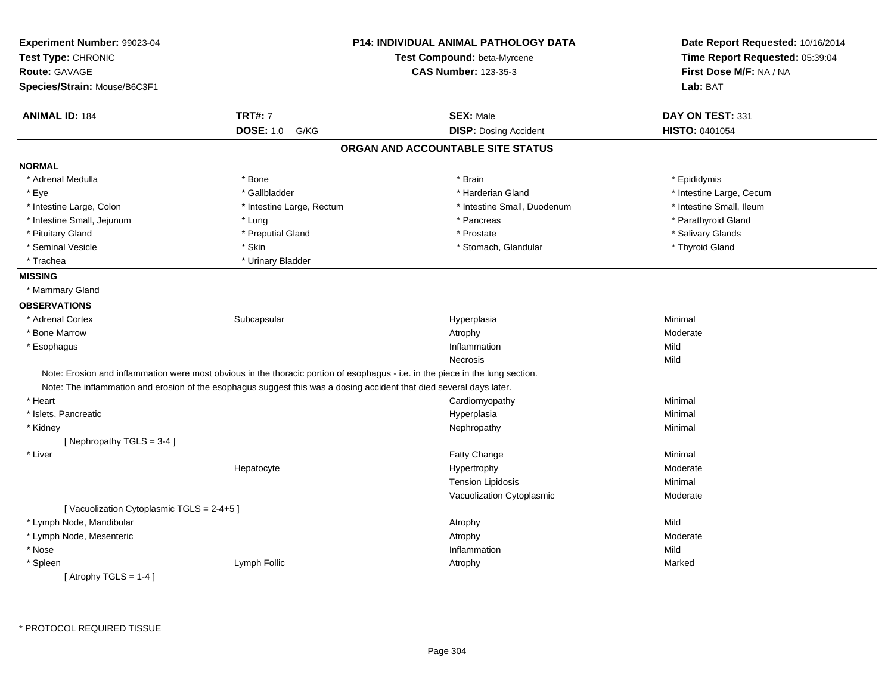| Experiment Number: 99023-04              |                                                                                                                                | P14: INDIVIDUAL ANIMAL PATHOLOGY DATA | Date Report Requested: 10/16/2014<br>Time Report Requested: 05:39:04 |
|------------------------------------------|--------------------------------------------------------------------------------------------------------------------------------|---------------------------------------|----------------------------------------------------------------------|
| Test Type: CHRONIC                       |                                                                                                                                | Test Compound: beta-Myrcene           |                                                                      |
| <b>Route: GAVAGE</b>                     |                                                                                                                                | <b>CAS Number: 123-35-3</b>           | First Dose M/F: NA / NA                                              |
| Species/Strain: Mouse/B6C3F1             |                                                                                                                                |                                       | Lab: BAT                                                             |
| <b>ANIMAL ID: 184</b>                    | <b>TRT#: 7</b>                                                                                                                 | <b>SEX: Male</b>                      | DAY ON TEST: 331                                                     |
|                                          | <b>DOSE: 1.0</b><br>G/KG                                                                                                       | <b>DISP: Dosing Accident</b>          | <b>HISTO: 0401054</b>                                                |
|                                          |                                                                                                                                | ORGAN AND ACCOUNTABLE SITE STATUS     |                                                                      |
| <b>NORMAL</b>                            |                                                                                                                                |                                       |                                                                      |
| * Adrenal Medulla                        | * Bone                                                                                                                         | * Brain                               | * Epididymis                                                         |
| * Eye                                    | * Gallbladder                                                                                                                  | * Harderian Gland                     | * Intestine Large, Cecum                                             |
| * Intestine Large, Colon                 | * Intestine Large, Rectum                                                                                                      | * Intestine Small, Duodenum           | * Intestine Small, Ileum                                             |
| * Intestine Small, Jejunum               | * Lung                                                                                                                         | * Pancreas                            | * Parathyroid Gland                                                  |
| * Pituitary Gland                        | * Preputial Gland                                                                                                              | * Prostate                            | * Salivary Glands                                                    |
| * Seminal Vesicle                        | * Skin                                                                                                                         | * Stomach, Glandular                  | * Thyroid Gland                                                      |
| * Trachea                                | * Urinary Bladder                                                                                                              |                                       |                                                                      |
| <b>MISSING</b>                           |                                                                                                                                |                                       |                                                                      |
| * Mammary Gland                          |                                                                                                                                |                                       |                                                                      |
| <b>OBSERVATIONS</b>                      |                                                                                                                                |                                       |                                                                      |
| * Adrenal Cortex                         | Subcapsular                                                                                                                    | Hyperplasia                           | Minimal                                                              |
| * Bone Marrow                            |                                                                                                                                | Atrophy                               | Moderate                                                             |
| * Esophagus                              |                                                                                                                                | Inflammation                          | Mild                                                                 |
|                                          |                                                                                                                                | <b>Necrosis</b>                       | Mild                                                                 |
|                                          | Note: Erosion and inflammation were most obvious in the thoracic portion of esophagus - i.e. in the piece in the lung section. |                                       |                                                                      |
|                                          | Note: The inflammation and erosion of the esophagus suggest this was a dosing accident that died several days later.           |                                       |                                                                      |
| * Heart                                  |                                                                                                                                | Cardiomyopathy                        | Minimal                                                              |
| * Islets, Pancreatic                     |                                                                                                                                | Hyperplasia                           | Minimal                                                              |
| * Kidney                                 |                                                                                                                                | Nephropathy                           | Minimal                                                              |
| [Nephropathy TGLS = 3-4]                 |                                                                                                                                |                                       |                                                                      |
| * Liver                                  |                                                                                                                                | Fatty Change                          | Minimal                                                              |
|                                          | Hepatocyte                                                                                                                     | Hypertrophy                           | Moderate                                                             |
|                                          |                                                                                                                                | <b>Tension Lipidosis</b>              | Minimal                                                              |
|                                          |                                                                                                                                | Vacuolization Cytoplasmic             | Moderate                                                             |
| [Vacuolization Cytoplasmic TGLS = 2-4+5] |                                                                                                                                |                                       |                                                                      |
| * Lymph Node, Mandibular                 |                                                                                                                                | Atrophy                               | Mild                                                                 |
| * Lymph Node, Mesenteric                 |                                                                                                                                | Atrophy                               | Moderate                                                             |
| * Nose                                   |                                                                                                                                | Inflammation                          | Mild                                                                 |
| * Spleen                                 | Lymph Follic                                                                                                                   | Atrophy                               | Marked                                                               |
| [Atrophy TGLS = $1-4$ ]                  |                                                                                                                                |                                       |                                                                      |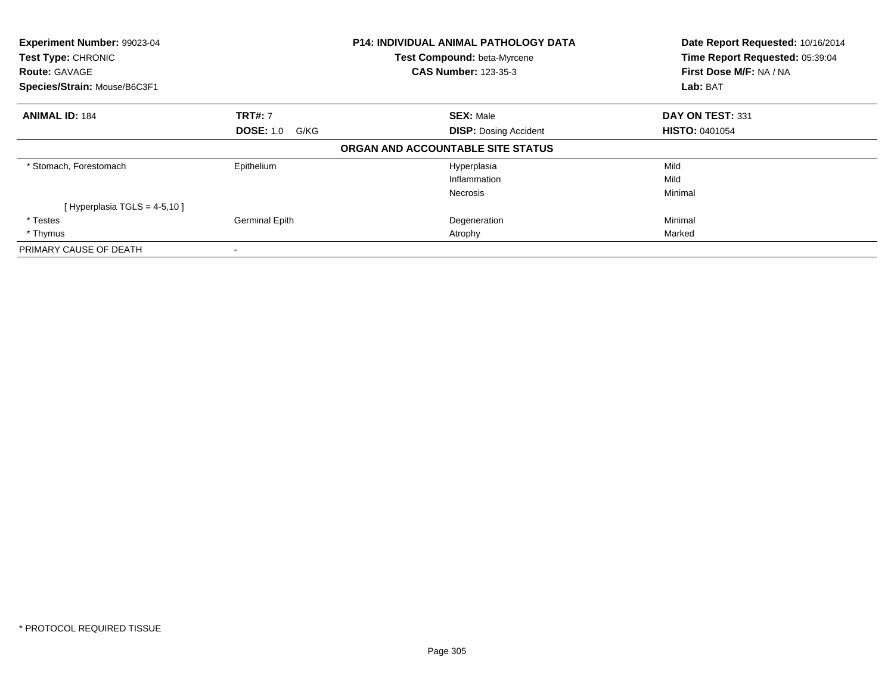| Experiment Number: 99023-04<br>Test Type: CHRONIC |                          | <b>P14: INDIVIDUAL ANIMAL PATHOLOGY DATA</b> | Date Report Requested: 10/16/2014<br>Time Report Requested: 05:39:04 |
|---------------------------------------------------|--------------------------|----------------------------------------------|----------------------------------------------------------------------|
|                                                   |                          | <b>Test Compound: beta-Myrcene</b>           |                                                                      |
| <b>Route: GAVAGE</b>                              |                          | <b>CAS Number: 123-35-3</b>                  | First Dose M/F: NA / NA                                              |
| Species/Strain: Mouse/B6C3F1                      |                          |                                              | <b>Lab: BAT</b>                                                      |
| <b>ANIMAL ID: 184</b>                             | <b>TRT#: 7</b>           | <b>SEX: Male</b>                             | DAY ON TEST: 331                                                     |
|                                                   | <b>DOSE: 1.0</b><br>G/KG | <b>DISP: Dosing Accident</b>                 | <b>HISTO: 0401054</b>                                                |
|                                                   |                          | ORGAN AND ACCOUNTABLE SITE STATUS            |                                                                      |
| * Stomach, Forestomach                            | Epithelium               | Hyperplasia                                  | Mild                                                                 |
|                                                   |                          | Inflammation                                 | Mild                                                                 |
|                                                   |                          | <b>Necrosis</b>                              | Minimal                                                              |
| [Hyperplasia TGLS = $4-5,10$ ]                    |                          |                                              |                                                                      |
| * Testes                                          | <b>Germinal Epith</b>    | Degeneration                                 | Minimal                                                              |
| * Thymus                                          |                          | Atrophy                                      | Marked                                                               |
| PRIMARY CAUSE OF DEATH                            |                          |                                              |                                                                      |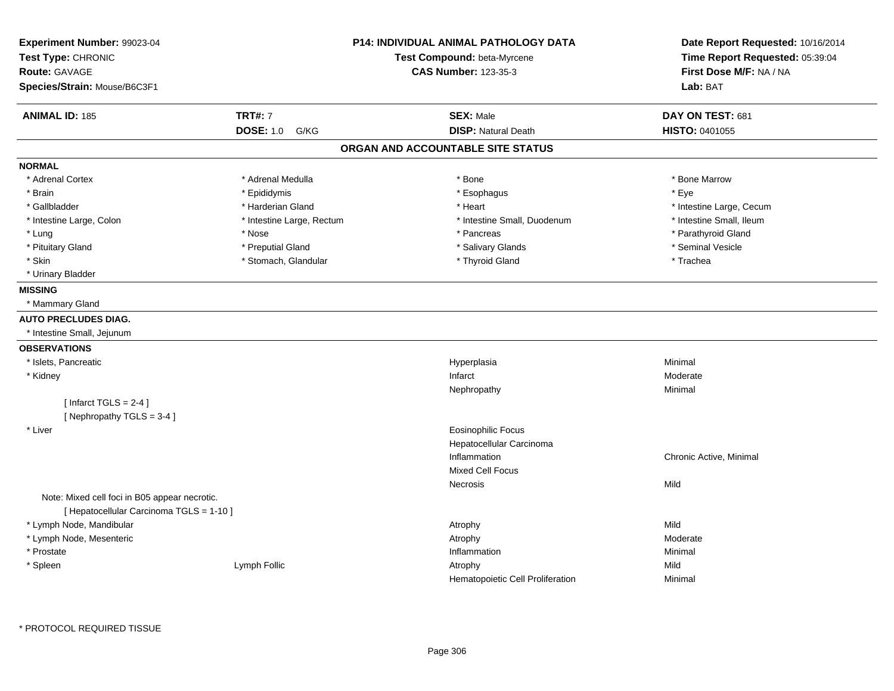| Experiment Number: 99023-04                   |                           | <b>P14: INDIVIDUAL ANIMAL PATHOLOGY DATA</b> | Date Report Requested: 10/16/2014 |
|-----------------------------------------------|---------------------------|----------------------------------------------|-----------------------------------|
| Test Type: CHRONIC                            |                           | Test Compound: beta-Myrcene                  | Time Report Requested: 05:39:04   |
| Route: GAVAGE                                 |                           | <b>CAS Number: 123-35-3</b>                  | First Dose M/F: NA / NA           |
| Species/Strain: Mouse/B6C3F1                  |                           |                                              | Lab: BAT                          |
| <b>ANIMAL ID: 185</b>                         | <b>TRT#: 7</b>            | <b>SEX: Male</b>                             | DAY ON TEST: 681                  |
|                                               | <b>DOSE: 1.0</b><br>G/KG  | <b>DISP: Natural Death</b>                   | HISTO: 0401055                    |
|                                               |                           | ORGAN AND ACCOUNTABLE SITE STATUS            |                                   |
| <b>NORMAL</b>                                 |                           |                                              |                                   |
| * Adrenal Cortex                              | * Adrenal Medulla         | * Bone                                       | * Bone Marrow                     |
| * Brain                                       | * Epididymis              | * Esophagus                                  | * Eye                             |
| * Gallbladder                                 | * Harderian Gland         | * Heart                                      | * Intestine Large, Cecum          |
| * Intestine Large, Colon                      | * Intestine Large, Rectum | * Intestine Small, Duodenum                  | * Intestine Small, Ileum          |
| * Lung                                        | * Nose                    | * Pancreas                                   | * Parathyroid Gland               |
| * Pituitary Gland                             | * Preputial Gland         | * Salivary Glands                            | * Seminal Vesicle                 |
| * Skin                                        | * Stomach, Glandular      | * Thyroid Gland                              | * Trachea                         |
| * Urinary Bladder                             |                           |                                              |                                   |
| <b>MISSING</b>                                |                           |                                              |                                   |
| * Mammary Gland                               |                           |                                              |                                   |
| <b>AUTO PRECLUDES DIAG.</b>                   |                           |                                              |                                   |
| * Intestine Small, Jejunum                    |                           |                                              |                                   |
| <b>OBSERVATIONS</b>                           |                           |                                              |                                   |
| * Islets, Pancreatic                          |                           | Hyperplasia                                  | Minimal                           |
| * Kidney                                      |                           | Infarct                                      | Moderate                          |
|                                               |                           | Nephropathy                                  | Minimal                           |
| [Infarct TGLS = $2-4$ ]                       |                           |                                              |                                   |
| [Nephropathy TGLS = 3-4]                      |                           |                                              |                                   |
| * Liver                                       |                           | Eosinophilic Focus                           |                                   |
|                                               |                           | Hepatocellular Carcinoma                     |                                   |
|                                               |                           | Inflammation                                 | Chronic Active, Minimal           |
|                                               |                           | <b>Mixed Cell Focus</b>                      |                                   |
|                                               |                           | Necrosis                                     | Mild                              |
| Note: Mixed cell foci in B05 appear necrotic. |                           |                                              |                                   |
| [ Hepatocellular Carcinoma TGLS = 1-10 ]      |                           |                                              |                                   |
| * Lymph Node, Mandibular                      |                           | Atrophy                                      | Mild                              |
| * Lymph Node, Mesenteric                      |                           | Atrophy                                      | Moderate                          |
| * Prostate                                    |                           | Inflammation                                 | Minimal                           |
| * Spleen                                      | Lymph Follic              | Atrophy                                      | Mild                              |
|                                               |                           | Hematopoietic Cell Proliferation             | Minimal                           |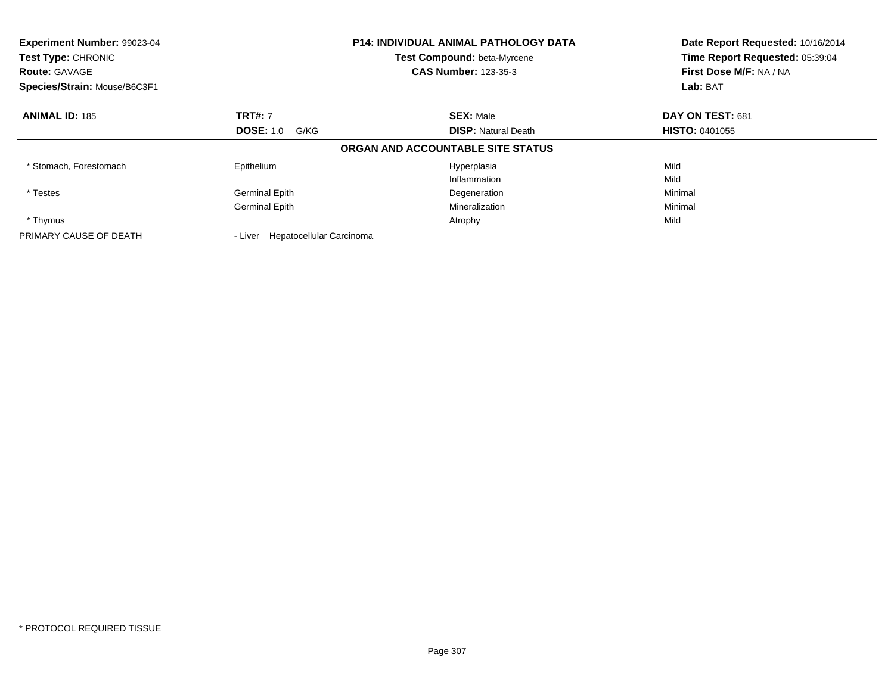| <b>Experiment Number: 99023-04</b><br>Test Type: CHRONIC<br><b>Route: GAVAGE</b> |                                  | <b>P14: INDIVIDUAL ANIMAL PATHOLOGY DATA</b><br>Test Compound: beta-Myrcene<br><b>CAS Number: 123-35-3</b> | Date Report Requested: 10/16/2014<br>Time Report Requested: 05:39:04<br>First Dose M/F: NA / NA |
|----------------------------------------------------------------------------------|----------------------------------|------------------------------------------------------------------------------------------------------------|-------------------------------------------------------------------------------------------------|
| Species/Strain: Mouse/B6C3F1                                                     |                                  |                                                                                                            | Lab: BAT                                                                                        |
| <b>ANIMAL ID: 185</b>                                                            | <b>TRT#: 7</b>                   | <b>SEX: Male</b>                                                                                           | DAY ON TEST: 681                                                                                |
|                                                                                  | <b>DOSE: 1.0</b><br>G/KG         | <b>DISP:</b> Natural Death                                                                                 | <b>HISTO: 0401055</b>                                                                           |
|                                                                                  |                                  | ORGAN AND ACCOUNTABLE SITE STATUS                                                                          |                                                                                                 |
| * Stomach, Forestomach                                                           | Epithelium                       | Hyperplasia                                                                                                | Mild                                                                                            |
|                                                                                  |                                  | Inflammation                                                                                               | Mild                                                                                            |
| * Testes                                                                         | <b>Germinal Epith</b>            | Degeneration                                                                                               | Minimal                                                                                         |
|                                                                                  | <b>Germinal Epith</b>            | Mineralization                                                                                             | Minimal                                                                                         |
| * Thymus                                                                         |                                  | Atrophy                                                                                                    | Mild                                                                                            |
| PRIMARY CAUSE OF DEATH                                                           | - Liver Hepatocellular Carcinoma |                                                                                                            |                                                                                                 |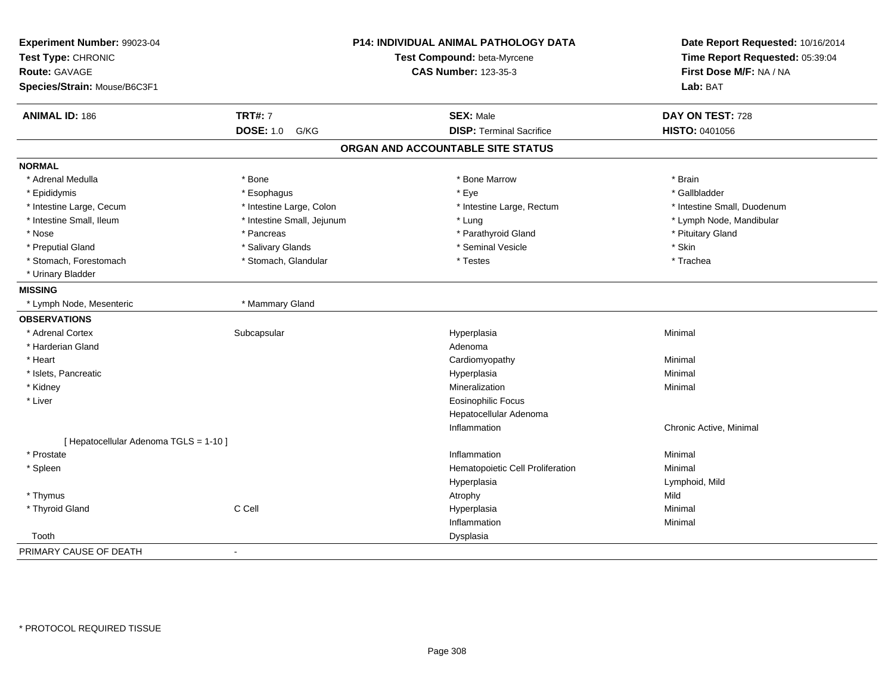| Experiment Number: 99023-04<br>Test Type: CHRONIC |                            | <b>P14: INDIVIDUAL ANIMAL PATHOLOGY DATA</b><br>Test Compound: beta-Myrcene | Date Report Requested: 10/16/2014<br>Time Report Requested: 05:39:04 |
|---------------------------------------------------|----------------------------|-----------------------------------------------------------------------------|----------------------------------------------------------------------|
| <b>Route: GAVAGE</b>                              |                            | <b>CAS Number: 123-35-3</b>                                                 | First Dose M/F: NA / NA                                              |
| Species/Strain: Mouse/B6C3F1                      |                            |                                                                             | Lab: BAT                                                             |
| <b>ANIMAL ID: 186</b>                             | <b>TRT#: 7</b>             | <b>SEX: Male</b>                                                            | DAY ON TEST: 728                                                     |
|                                                   | <b>DOSE: 1.0</b><br>G/KG   | <b>DISP: Terminal Sacrifice</b>                                             | HISTO: 0401056                                                       |
|                                                   |                            | ORGAN AND ACCOUNTABLE SITE STATUS                                           |                                                                      |
| <b>NORMAL</b>                                     |                            |                                                                             |                                                                      |
| * Adrenal Medulla                                 | * Bone                     | * Bone Marrow                                                               | * Brain                                                              |
| * Epididymis                                      | * Esophagus                | * Eye                                                                       | * Gallbladder                                                        |
| * Intestine Large, Cecum                          | * Intestine Large, Colon   | * Intestine Large, Rectum                                                   | * Intestine Small, Duodenum                                          |
| * Intestine Small, Ileum                          | * Intestine Small, Jejunum | * Lung                                                                      | * Lymph Node, Mandibular                                             |
| * Nose                                            | * Pancreas                 | * Parathyroid Gland                                                         | * Pituitary Gland                                                    |
| * Preputial Gland                                 | * Salivary Glands          | * Seminal Vesicle                                                           | * Skin                                                               |
| * Stomach, Forestomach                            | * Stomach, Glandular       | * Testes                                                                    | * Trachea                                                            |
| * Urinary Bladder                                 |                            |                                                                             |                                                                      |
| <b>MISSING</b>                                    |                            |                                                                             |                                                                      |
| * Lymph Node, Mesenteric                          | * Mammary Gland            |                                                                             |                                                                      |
| <b>OBSERVATIONS</b>                               |                            |                                                                             |                                                                      |
| * Adrenal Cortex                                  | Subcapsular                | Hyperplasia                                                                 | Minimal                                                              |
| * Harderian Gland                                 |                            | Adenoma                                                                     |                                                                      |
| * Heart                                           |                            | Cardiomyopathy                                                              | Minimal                                                              |
| * Islets, Pancreatic                              |                            | Hyperplasia                                                                 | Minimal                                                              |
| * Kidney                                          |                            | Mineralization                                                              | Minimal                                                              |
| * Liver                                           |                            | <b>Eosinophilic Focus</b>                                                   |                                                                      |
|                                                   |                            | Hepatocellular Adenoma                                                      |                                                                      |
|                                                   |                            | Inflammation                                                                | Chronic Active, Minimal                                              |
| [ Hepatocellular Adenoma TGLS = 1-10 ]            |                            |                                                                             |                                                                      |
| * Prostate                                        |                            | Inflammation                                                                | Minimal                                                              |
| * Spleen                                          |                            | Hematopoietic Cell Proliferation                                            | Minimal                                                              |
|                                                   |                            | Hyperplasia                                                                 | Lymphoid, Mild                                                       |
| * Thymus                                          |                            | Atrophy                                                                     | Mild                                                                 |
| * Thyroid Gland                                   | C Cell                     | Hyperplasia                                                                 | Minimal                                                              |
|                                                   |                            | Inflammation                                                                | Minimal                                                              |
| Tooth                                             |                            | Dysplasia                                                                   |                                                                      |
| PRIMARY CAUSE OF DEATH                            | $\blacksquare$             |                                                                             |                                                                      |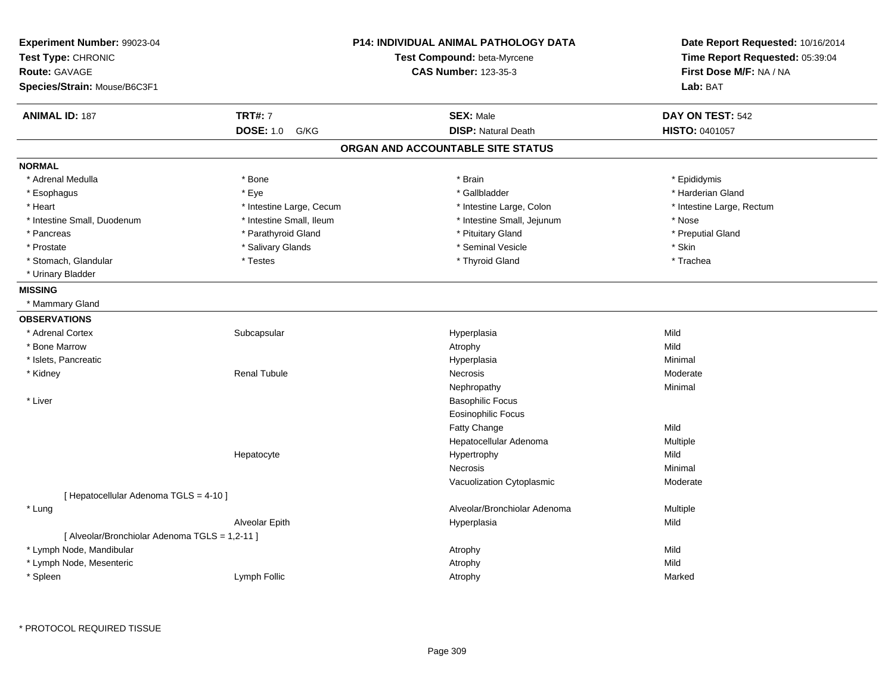| Experiment Number: 99023-04<br>Test Type: CHRONIC<br><b>Route: GAVAGE</b><br>Species/Strain: Mouse/B6C3F1 |                          | P14: INDIVIDUAL ANIMAL PATHOLOGY DATA<br>Test Compound: beta-Myrcene<br><b>CAS Number: 123-35-3</b> | Date Report Requested: 10/16/2014<br>Time Report Requested: 05:39:04<br>First Dose M/F: NA / NA<br>Lab: BAT |
|-----------------------------------------------------------------------------------------------------------|--------------------------|-----------------------------------------------------------------------------------------------------|-------------------------------------------------------------------------------------------------------------|
| <b>ANIMAL ID: 187</b>                                                                                     | <b>TRT#: 7</b>           | <b>SEX: Male</b>                                                                                    | DAY ON TEST: 542                                                                                            |
|                                                                                                           | <b>DOSE: 1.0</b><br>G/KG | <b>DISP: Natural Death</b>                                                                          | HISTO: 0401057                                                                                              |
|                                                                                                           |                          | ORGAN AND ACCOUNTABLE SITE STATUS                                                                   |                                                                                                             |
| <b>NORMAL</b>                                                                                             |                          |                                                                                                     |                                                                                                             |
| * Adrenal Medulla                                                                                         | * Bone                   | * Brain                                                                                             | * Epididymis                                                                                                |
| * Esophagus                                                                                               | * Eye                    | * Gallbladder                                                                                       | * Harderian Gland                                                                                           |
| * Heart                                                                                                   | * Intestine Large, Cecum | * Intestine Large, Colon                                                                            | * Intestine Large, Rectum                                                                                   |
| * Intestine Small, Duodenum                                                                               | * Intestine Small, Ileum | * Intestine Small, Jejunum                                                                          | * Nose                                                                                                      |
| * Pancreas                                                                                                | * Parathyroid Gland      | * Pituitary Gland                                                                                   | * Preputial Gland                                                                                           |
| * Prostate                                                                                                | * Salivary Glands        | * Seminal Vesicle                                                                                   | * Skin                                                                                                      |
| * Stomach, Glandular                                                                                      | * Testes                 | * Thyroid Gland                                                                                     | * Trachea                                                                                                   |
| * Urinary Bladder                                                                                         |                          |                                                                                                     |                                                                                                             |
| <b>MISSING</b>                                                                                            |                          |                                                                                                     |                                                                                                             |
| * Mammary Gland                                                                                           |                          |                                                                                                     |                                                                                                             |
| <b>OBSERVATIONS</b>                                                                                       |                          |                                                                                                     |                                                                                                             |
| * Adrenal Cortex                                                                                          | Subcapsular              | Hyperplasia                                                                                         | Mild                                                                                                        |
| * Bone Marrow                                                                                             |                          | Atrophy                                                                                             | Mild                                                                                                        |
| * Islets, Pancreatic                                                                                      |                          | Hyperplasia                                                                                         | Minimal                                                                                                     |
| * Kidney                                                                                                  | <b>Renal Tubule</b>      | Necrosis                                                                                            | Moderate                                                                                                    |
|                                                                                                           |                          | Nephropathy                                                                                         | Minimal                                                                                                     |
| * Liver                                                                                                   |                          | <b>Basophilic Focus</b>                                                                             |                                                                                                             |
|                                                                                                           |                          | <b>Eosinophilic Focus</b>                                                                           |                                                                                                             |
|                                                                                                           |                          | <b>Fatty Change</b>                                                                                 | Mild                                                                                                        |
|                                                                                                           |                          | Hepatocellular Adenoma                                                                              | Multiple                                                                                                    |
|                                                                                                           | Hepatocyte               | Hypertrophy                                                                                         | Mild                                                                                                        |
|                                                                                                           |                          | Necrosis                                                                                            | Minimal                                                                                                     |
|                                                                                                           |                          | Vacuolization Cytoplasmic                                                                           | Moderate                                                                                                    |
| [ Hepatocellular Adenoma TGLS = 4-10 ]                                                                    |                          |                                                                                                     |                                                                                                             |
| * Lung                                                                                                    |                          | Alveolar/Bronchiolar Adenoma                                                                        | Multiple                                                                                                    |
|                                                                                                           | Alveolar Epith           | Hyperplasia                                                                                         | Mild                                                                                                        |
| [ Alveolar/Bronchiolar Adenoma TGLS = 1,2-11 ]                                                            |                          |                                                                                                     |                                                                                                             |
| * Lymph Node, Mandibular                                                                                  |                          | Atrophy                                                                                             | Mild                                                                                                        |
| * Lymph Node, Mesenteric                                                                                  |                          | Atrophy                                                                                             | Mild                                                                                                        |
| * Spleen                                                                                                  | Lymph Follic             | Atrophy                                                                                             | Marked                                                                                                      |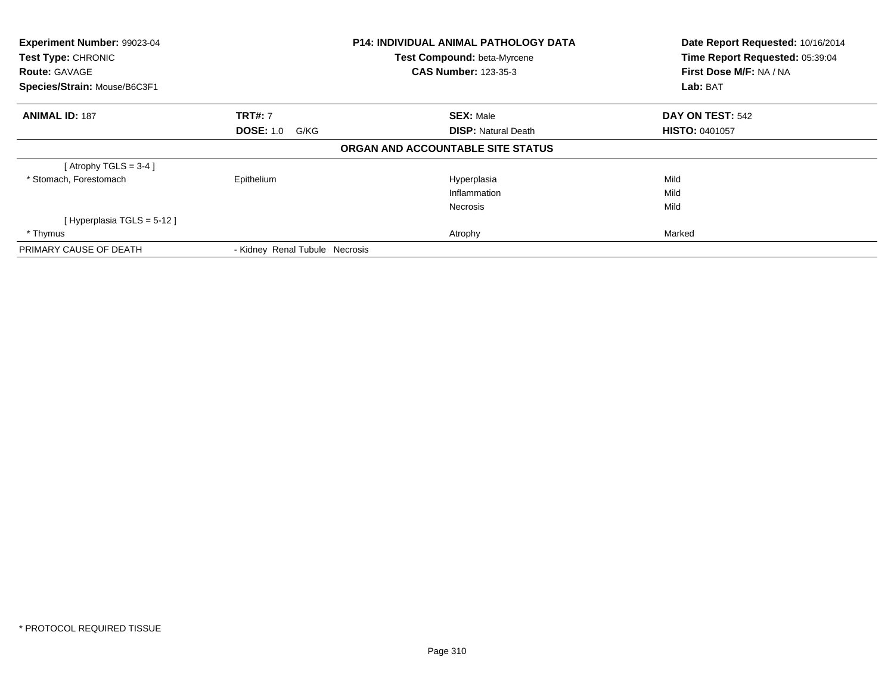| <b>Experiment Number: 99023-04</b><br>Test Type: CHRONIC |                                | <b>P14: INDIVIDUAL ANIMAL PATHOLOGY DATA</b> | Date Report Requested: 10/16/2014<br>Time Report Requested: 05:39:04 |
|----------------------------------------------------------|--------------------------------|----------------------------------------------|----------------------------------------------------------------------|
|                                                          |                                | Test Compound: beta-Myrcene                  |                                                                      |
| <b>Route: GAVAGE</b>                                     |                                | <b>CAS Number: 123-35-3</b>                  | First Dose M/F: NA / NA                                              |
| Species/Strain: Mouse/B6C3F1                             |                                |                                              | Lab: BAT                                                             |
| <b>ANIMAL ID: 187</b>                                    | <b>TRT#: 7</b>                 | <b>SEX: Male</b>                             | DAY ON TEST: 542                                                     |
|                                                          | <b>DOSE: 1.0</b><br>G/KG       | <b>DISP:</b> Natural Death                   | <b>HISTO: 0401057</b>                                                |
|                                                          |                                | ORGAN AND ACCOUNTABLE SITE STATUS            |                                                                      |
| [Atrophy TGLS = $3-4$ ]                                  |                                |                                              |                                                                      |
| * Stomach, Forestomach                                   | Epithelium                     | Hyperplasia                                  | Mild                                                                 |
|                                                          |                                | Inflammation                                 | Mild                                                                 |
|                                                          |                                | <b>Necrosis</b>                              | Mild                                                                 |
| [Hyperplasia TGLS = 5-12]                                |                                |                                              |                                                                      |
| * Thymus                                                 |                                | Atrophy                                      | Marked                                                               |
| PRIMARY CAUSE OF DEATH                                   | - Kidney Renal Tubule Necrosis |                                              |                                                                      |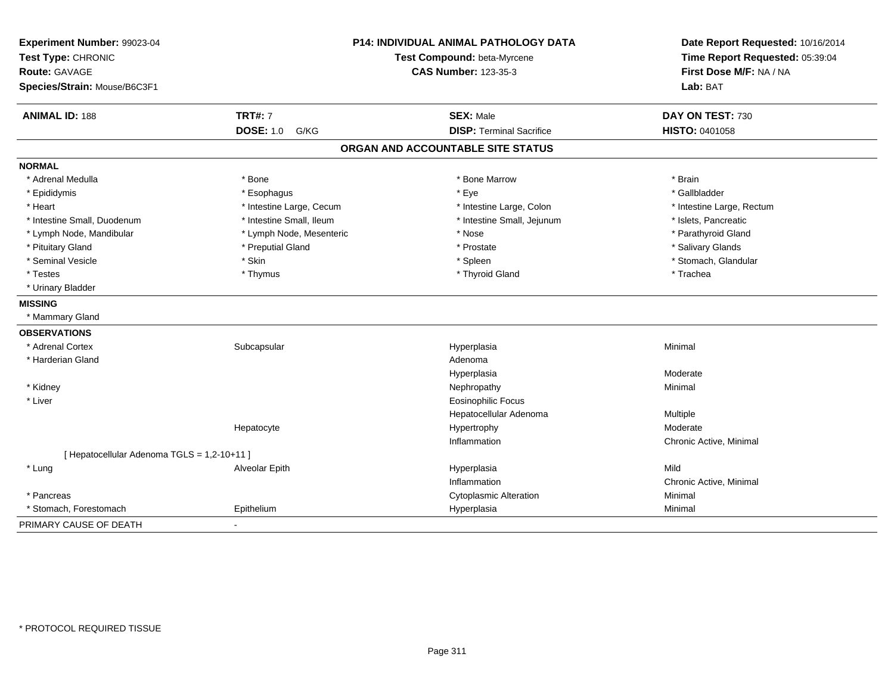| Experiment Number: 99023-04<br>Test Type: CHRONIC<br><b>Route: GAVAGE</b><br>Species/Strain: Mouse/B6C3F1 |                          | P14: INDIVIDUAL ANIMAL PATHOLOGY DATA<br>Test Compound: beta-Myrcene<br><b>CAS Number: 123-35-3</b> | Date Report Requested: 10/16/2014<br>Time Report Requested: 05:39:04<br>First Dose M/F: NA / NA<br>Lab: BAT |
|-----------------------------------------------------------------------------------------------------------|--------------------------|-----------------------------------------------------------------------------------------------------|-------------------------------------------------------------------------------------------------------------|
| <b>ANIMAL ID: 188</b>                                                                                     | <b>TRT#: 7</b>           | <b>SEX: Male</b>                                                                                    | DAY ON TEST: 730                                                                                            |
|                                                                                                           | <b>DOSE: 1.0</b><br>G/KG | <b>DISP: Terminal Sacrifice</b>                                                                     | HISTO: 0401058                                                                                              |
|                                                                                                           |                          | ORGAN AND ACCOUNTABLE SITE STATUS                                                                   |                                                                                                             |
| <b>NORMAL</b>                                                                                             |                          |                                                                                                     |                                                                                                             |
| * Adrenal Medulla                                                                                         | * Bone                   | * Bone Marrow                                                                                       | * Brain                                                                                                     |
| * Epididymis                                                                                              | * Esophagus              | * Eye                                                                                               | * Gallbladder                                                                                               |
| * Heart                                                                                                   | * Intestine Large, Cecum | * Intestine Large, Colon                                                                            | * Intestine Large, Rectum                                                                                   |
| * Intestine Small, Duodenum                                                                               | * Intestine Small, Ileum | * Intestine Small, Jejunum                                                                          | * Islets, Pancreatic                                                                                        |
| * Lymph Node, Mandibular                                                                                  | * Lymph Node, Mesenteric | * Nose                                                                                              | * Parathyroid Gland                                                                                         |
| * Pituitary Gland                                                                                         | * Preputial Gland        | * Prostate                                                                                          | * Salivary Glands                                                                                           |
| * Seminal Vesicle                                                                                         | * Skin                   | * Spleen                                                                                            | * Stomach, Glandular                                                                                        |
| * Testes                                                                                                  | * Thymus                 | * Thyroid Gland                                                                                     | * Trachea                                                                                                   |
| * Urinary Bladder                                                                                         |                          |                                                                                                     |                                                                                                             |
| <b>MISSING</b>                                                                                            |                          |                                                                                                     |                                                                                                             |
| * Mammary Gland                                                                                           |                          |                                                                                                     |                                                                                                             |
| <b>OBSERVATIONS</b>                                                                                       |                          |                                                                                                     |                                                                                                             |
| * Adrenal Cortex                                                                                          | Subcapsular              | Hyperplasia                                                                                         | Minimal                                                                                                     |
| * Harderian Gland                                                                                         |                          | Adenoma                                                                                             |                                                                                                             |
|                                                                                                           |                          | Hyperplasia                                                                                         | Moderate                                                                                                    |
| * Kidney                                                                                                  |                          | Nephropathy                                                                                         | Minimal                                                                                                     |
| * Liver                                                                                                   |                          | <b>Eosinophilic Focus</b>                                                                           |                                                                                                             |
|                                                                                                           |                          | Hepatocellular Adenoma                                                                              | Multiple                                                                                                    |
|                                                                                                           | Hepatocyte               | Hypertrophy                                                                                         | Moderate                                                                                                    |
|                                                                                                           |                          | Inflammation                                                                                        | Chronic Active, Minimal                                                                                     |
| [ Hepatocellular Adenoma TGLS = 1,2-10+11 ]                                                               |                          |                                                                                                     |                                                                                                             |
| * Lung                                                                                                    | Alveolar Epith           | Hyperplasia                                                                                         | Mild                                                                                                        |
|                                                                                                           |                          | Inflammation                                                                                        | Chronic Active, Minimal                                                                                     |
| * Pancreas                                                                                                |                          | <b>Cytoplasmic Alteration</b>                                                                       | Minimal                                                                                                     |
| * Stomach, Forestomach                                                                                    | Epithelium               | Hyperplasia                                                                                         | Minimal                                                                                                     |
| PRIMARY CAUSE OF DEATH                                                                                    |                          |                                                                                                     |                                                                                                             |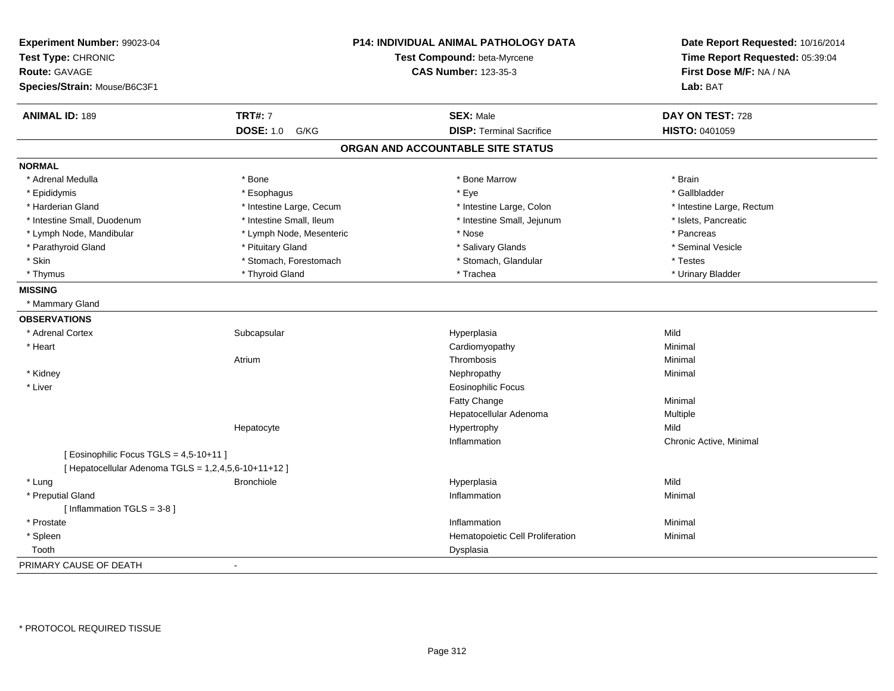| Experiment Number: 99023-04<br>Test Type: CHRONIC<br>Route: GAVAGE<br>Species/Strain: Mouse/B6C3F1 |                          | P14: INDIVIDUAL ANIMAL PATHOLOGY DATA<br>Test Compound: beta-Myrcene<br><b>CAS Number: 123-35-3</b> | Date Report Requested: 10/16/2014<br>Time Report Requested: 05:39:04<br>First Dose M/F: NA / NA<br>Lab: BAT |
|----------------------------------------------------------------------------------------------------|--------------------------|-----------------------------------------------------------------------------------------------------|-------------------------------------------------------------------------------------------------------------|
|                                                                                                    |                          |                                                                                                     |                                                                                                             |
| <b>ANIMAL ID: 189</b>                                                                              | <b>TRT#: 7</b>           | <b>SEX: Male</b>                                                                                    | DAY ON TEST: 728                                                                                            |
|                                                                                                    | <b>DOSE: 1.0</b><br>G/KG | <b>DISP: Terminal Sacrifice</b>                                                                     | HISTO: 0401059                                                                                              |
|                                                                                                    |                          | ORGAN AND ACCOUNTABLE SITE STATUS                                                                   |                                                                                                             |
| <b>NORMAL</b>                                                                                      |                          |                                                                                                     |                                                                                                             |
| * Adrenal Medulla                                                                                  | * Bone                   | * Bone Marrow                                                                                       | * Brain                                                                                                     |
| * Epididymis                                                                                       | * Esophagus              | * Eye                                                                                               | * Gallbladder                                                                                               |
| * Harderian Gland                                                                                  | * Intestine Large, Cecum | * Intestine Large, Colon                                                                            | * Intestine Large, Rectum                                                                                   |
| * Intestine Small, Duodenum                                                                        | * Intestine Small, Ileum | * Intestine Small, Jejunum                                                                          | * Islets, Pancreatic                                                                                        |
| * Lymph Node, Mandibular                                                                           | * Lymph Node, Mesenteric | * Nose                                                                                              | * Pancreas                                                                                                  |
| * Parathyroid Gland                                                                                | * Pituitary Gland        | * Salivary Glands                                                                                   | * Seminal Vesicle                                                                                           |
| * Skin                                                                                             | * Stomach, Forestomach   | * Stomach, Glandular                                                                                | * Testes                                                                                                    |
| * Thymus                                                                                           | * Thyroid Gland          | * Trachea                                                                                           | * Urinary Bladder                                                                                           |
| <b>MISSING</b>                                                                                     |                          |                                                                                                     |                                                                                                             |
| * Mammary Gland                                                                                    |                          |                                                                                                     |                                                                                                             |
| <b>OBSERVATIONS</b>                                                                                |                          |                                                                                                     |                                                                                                             |
| * Adrenal Cortex                                                                                   | Subcapsular              | Hyperplasia                                                                                         | Mild                                                                                                        |
| * Heart                                                                                            |                          | Cardiomyopathy                                                                                      | Minimal                                                                                                     |
|                                                                                                    | Atrium                   | Thrombosis                                                                                          | Minimal                                                                                                     |
| * Kidney                                                                                           |                          | Nephropathy                                                                                         | Minimal                                                                                                     |
| * Liver                                                                                            |                          | <b>Eosinophilic Focus</b>                                                                           |                                                                                                             |
|                                                                                                    |                          | <b>Fatty Change</b>                                                                                 | Minimal                                                                                                     |
|                                                                                                    |                          | Hepatocellular Adenoma                                                                              | Multiple                                                                                                    |
|                                                                                                    | Hepatocyte               | Hypertrophy                                                                                         | Mild                                                                                                        |
|                                                                                                    |                          | Inflammation                                                                                        | Chronic Active, Minimal                                                                                     |
| [ Eosinophilic Focus TGLS = 4,5-10+11 ]                                                            |                          |                                                                                                     |                                                                                                             |
| [ Hepatocellular Adenoma TGLS = 1,2,4,5,6-10+11+12 ]                                               |                          |                                                                                                     |                                                                                                             |
| * Lung                                                                                             | <b>Bronchiole</b>        | Hyperplasia                                                                                         | Mild                                                                                                        |
| * Preputial Gland                                                                                  |                          | Inflammation                                                                                        | Minimal                                                                                                     |
| [ Inflammation TGLS = 3-8 ]                                                                        |                          |                                                                                                     |                                                                                                             |
| * Prostate                                                                                         |                          | Inflammation                                                                                        | Minimal                                                                                                     |
| * Spleen                                                                                           |                          | Hematopoietic Cell Proliferation                                                                    | Minimal                                                                                                     |
| Tooth                                                                                              |                          | Dysplasia                                                                                           |                                                                                                             |
| PRIMARY CAUSE OF DEATH                                                                             | $\mathbf{r}$             |                                                                                                     |                                                                                                             |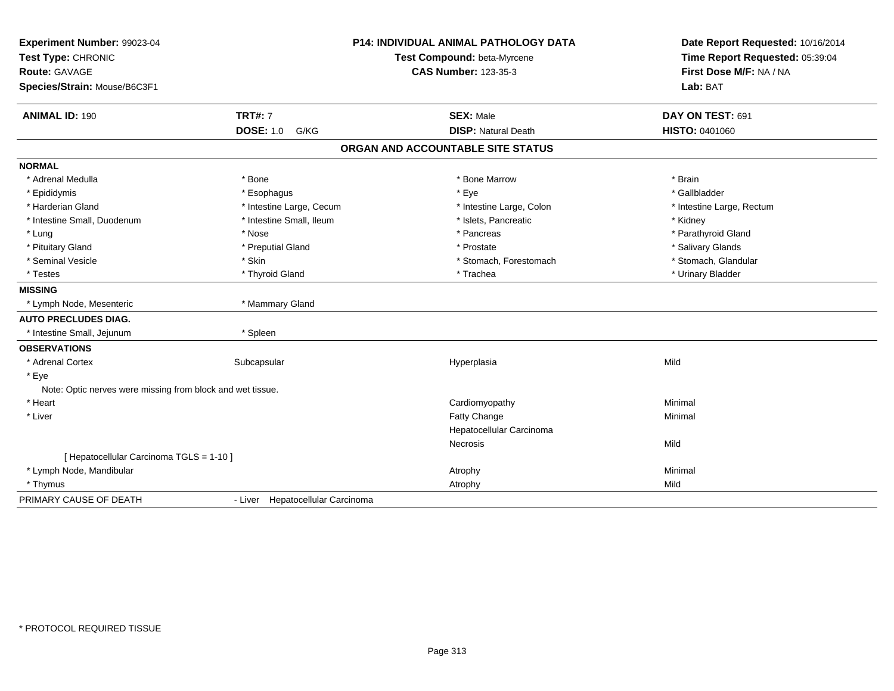| Experiment Number: 99023-04<br>Test Type: CHRONIC<br>Route: GAVAGE<br>Species/Strain: Mouse/B6C3F1 | <b>P14: INDIVIDUAL ANIMAL PATHOLOGY DATA</b><br>Test Compound: beta-Myrcene<br><b>CAS Number: 123-35-3</b> |                                                | Date Report Requested: 10/16/2014<br>Time Report Requested: 05:39:04<br>First Dose M/F: NA / NA<br>Lab: BAT |  |
|----------------------------------------------------------------------------------------------------|------------------------------------------------------------------------------------------------------------|------------------------------------------------|-------------------------------------------------------------------------------------------------------------|--|
| <b>ANIMAL ID: 190</b>                                                                              | <b>TRT#: 7</b><br><b>DOSE: 1.0</b><br>G/KG                                                                 | <b>SEX: Male</b><br><b>DISP: Natural Death</b> | DAY ON TEST: 691<br>HISTO: 0401060                                                                          |  |
|                                                                                                    |                                                                                                            | ORGAN AND ACCOUNTABLE SITE STATUS              |                                                                                                             |  |
|                                                                                                    |                                                                                                            |                                                |                                                                                                             |  |
| <b>NORMAL</b>                                                                                      |                                                                                                            |                                                |                                                                                                             |  |
| * Adrenal Medulla                                                                                  | * Bone                                                                                                     | * Bone Marrow                                  | * Brain                                                                                                     |  |
| * Epididymis                                                                                       | * Esophagus                                                                                                | * Eye                                          | * Gallbladder                                                                                               |  |
| * Harderian Gland                                                                                  | * Intestine Large, Cecum                                                                                   | * Intestine Large, Colon                       | * Intestine Large, Rectum                                                                                   |  |
| * Intestine Small, Duodenum                                                                        | * Intestine Small, Ileum                                                                                   | * Islets, Pancreatic                           | * Kidney                                                                                                    |  |
| * Lung                                                                                             | * Nose                                                                                                     | * Pancreas                                     | * Parathyroid Gland                                                                                         |  |
| * Pituitary Gland                                                                                  | * Preputial Gland                                                                                          | * Prostate                                     | * Salivary Glands                                                                                           |  |
| * Seminal Vesicle                                                                                  | * Skin                                                                                                     | * Stomach, Forestomach                         | * Stomach, Glandular                                                                                        |  |
| * Testes                                                                                           | * Thyroid Gland                                                                                            | * Trachea                                      | * Urinary Bladder                                                                                           |  |
| <b>MISSING</b>                                                                                     |                                                                                                            |                                                |                                                                                                             |  |
| * Lymph Node, Mesenteric                                                                           | * Mammary Gland                                                                                            |                                                |                                                                                                             |  |
| <b>AUTO PRECLUDES DIAG.</b>                                                                        |                                                                                                            |                                                |                                                                                                             |  |
| * Intestine Small, Jejunum                                                                         | * Spleen                                                                                                   |                                                |                                                                                                             |  |
| <b>OBSERVATIONS</b>                                                                                |                                                                                                            |                                                |                                                                                                             |  |
| * Adrenal Cortex                                                                                   | Subcapsular                                                                                                | Hyperplasia                                    | Mild                                                                                                        |  |
| * Eye                                                                                              |                                                                                                            |                                                |                                                                                                             |  |
| Note: Optic nerves were missing from block and wet tissue.                                         |                                                                                                            |                                                |                                                                                                             |  |
| * Heart                                                                                            |                                                                                                            | Cardiomyopathy                                 | Minimal                                                                                                     |  |
| * Liver                                                                                            |                                                                                                            | <b>Fatty Change</b>                            | Minimal                                                                                                     |  |
|                                                                                                    |                                                                                                            | Hepatocellular Carcinoma                       |                                                                                                             |  |
|                                                                                                    |                                                                                                            | <b>Necrosis</b>                                | Mild                                                                                                        |  |
| [ Hepatocellular Carcinoma TGLS = 1-10 ]                                                           |                                                                                                            |                                                |                                                                                                             |  |
| * Lymph Node, Mandibular                                                                           |                                                                                                            | Atrophy                                        | Minimal                                                                                                     |  |
| * Thymus                                                                                           |                                                                                                            | Atrophy                                        | Mild                                                                                                        |  |
| PRIMARY CAUSE OF DEATH                                                                             | - Liver Hepatocellular Carcinoma                                                                           |                                                |                                                                                                             |  |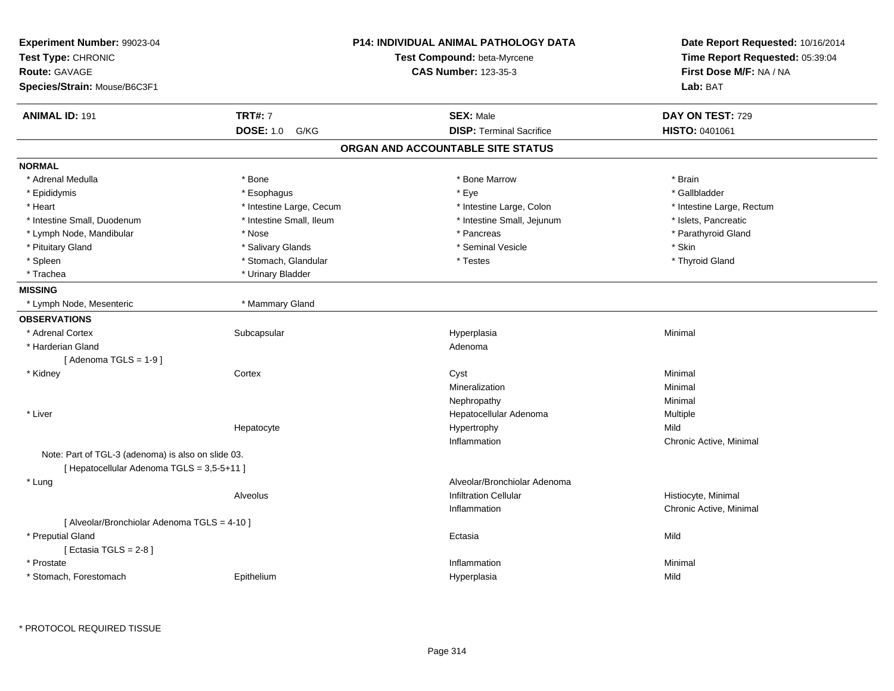| Experiment Number: 99023-04<br>Test Type: CHRONIC<br>Route: GAVAGE<br>Species/Strain: Mouse/B6C3F1 |                          | P14: INDIVIDUAL ANIMAL PATHOLOGY DATA<br>Test Compound: beta-Myrcene<br><b>CAS Number: 123-35-3</b> | Date Report Requested: 10/16/2014<br>Time Report Requested: 05:39:04<br>First Dose M/F: NA / NA<br>Lab: BAT |
|----------------------------------------------------------------------------------------------------|--------------------------|-----------------------------------------------------------------------------------------------------|-------------------------------------------------------------------------------------------------------------|
| <b>ANIMAL ID: 191</b>                                                                              | <b>TRT#: 7</b>           | <b>SEX: Male</b>                                                                                    | DAY ON TEST: 729                                                                                            |
|                                                                                                    | <b>DOSE: 1.0</b><br>G/KG | <b>DISP: Terminal Sacrifice</b>                                                                     | HISTO: 0401061                                                                                              |
|                                                                                                    |                          | ORGAN AND ACCOUNTABLE SITE STATUS                                                                   |                                                                                                             |
| <b>NORMAL</b>                                                                                      |                          |                                                                                                     |                                                                                                             |
| * Adrenal Medulla                                                                                  | * Bone                   | * Bone Marrow                                                                                       | * Brain                                                                                                     |
| * Epididymis                                                                                       | * Esophagus              | * Eye                                                                                               | * Gallbladder                                                                                               |
| * Heart                                                                                            | * Intestine Large, Cecum | * Intestine Large, Colon                                                                            | * Intestine Large, Rectum                                                                                   |
| * Intestine Small, Duodenum                                                                        | * Intestine Small, Ileum | * Intestine Small, Jejunum                                                                          | * Islets, Pancreatic                                                                                        |
| * Lymph Node, Mandibular                                                                           | * Nose                   | * Pancreas                                                                                          | * Parathyroid Gland                                                                                         |
| * Pituitary Gland                                                                                  | * Salivary Glands        | * Seminal Vesicle                                                                                   | * Skin                                                                                                      |
| * Spleen                                                                                           | * Stomach, Glandular     | * Testes                                                                                            | * Thyroid Gland                                                                                             |
| * Trachea                                                                                          | * Urinary Bladder        |                                                                                                     |                                                                                                             |
| <b>MISSING</b>                                                                                     |                          |                                                                                                     |                                                                                                             |
| * Lymph Node, Mesenteric                                                                           | * Mammary Gland          |                                                                                                     |                                                                                                             |
| <b>OBSERVATIONS</b>                                                                                |                          |                                                                                                     |                                                                                                             |
| * Adrenal Cortex                                                                                   | Subcapsular              | Hyperplasia                                                                                         | Minimal                                                                                                     |
| * Harderian Gland                                                                                  |                          | Adenoma                                                                                             |                                                                                                             |
| [Adenoma TGLS = $1-9$ ]                                                                            |                          |                                                                                                     |                                                                                                             |
| * Kidney                                                                                           | Cortex                   | Cyst                                                                                                | Minimal                                                                                                     |
|                                                                                                    |                          | Mineralization                                                                                      | Minimal                                                                                                     |
|                                                                                                    |                          | Nephropathy                                                                                         | Minimal                                                                                                     |
| * Liver                                                                                            |                          | Hepatocellular Adenoma                                                                              | Multiple                                                                                                    |
|                                                                                                    | Hepatocyte               | Hypertrophy                                                                                         | Mild                                                                                                        |
|                                                                                                    |                          | Inflammation                                                                                        | Chronic Active, Minimal                                                                                     |
| Note: Part of TGL-3 (adenoma) is also on slide 03.                                                 |                          |                                                                                                     |                                                                                                             |
| [ Hepatocellular Adenoma TGLS = 3,5-5+11 ]                                                         |                          |                                                                                                     |                                                                                                             |
| * Lung                                                                                             |                          | Alveolar/Bronchiolar Adenoma                                                                        |                                                                                                             |
|                                                                                                    | Alveolus                 | <b>Infiltration Cellular</b>                                                                        | Histiocyte, Minimal                                                                                         |
|                                                                                                    |                          | Inflammation                                                                                        | Chronic Active, Minimal                                                                                     |
| [ Alveolar/Bronchiolar Adenoma TGLS = 4-10 ]                                                       |                          |                                                                                                     |                                                                                                             |
| * Preputial Gland                                                                                  |                          | Ectasia                                                                                             | Mild                                                                                                        |
| [Ectasia TGLS = $2-8$ ]                                                                            |                          |                                                                                                     |                                                                                                             |
| * Prostate                                                                                         |                          | Inflammation                                                                                        | Minimal                                                                                                     |
| * Stomach, Forestomach                                                                             | Epithelium               | Hyperplasia                                                                                         | Mild                                                                                                        |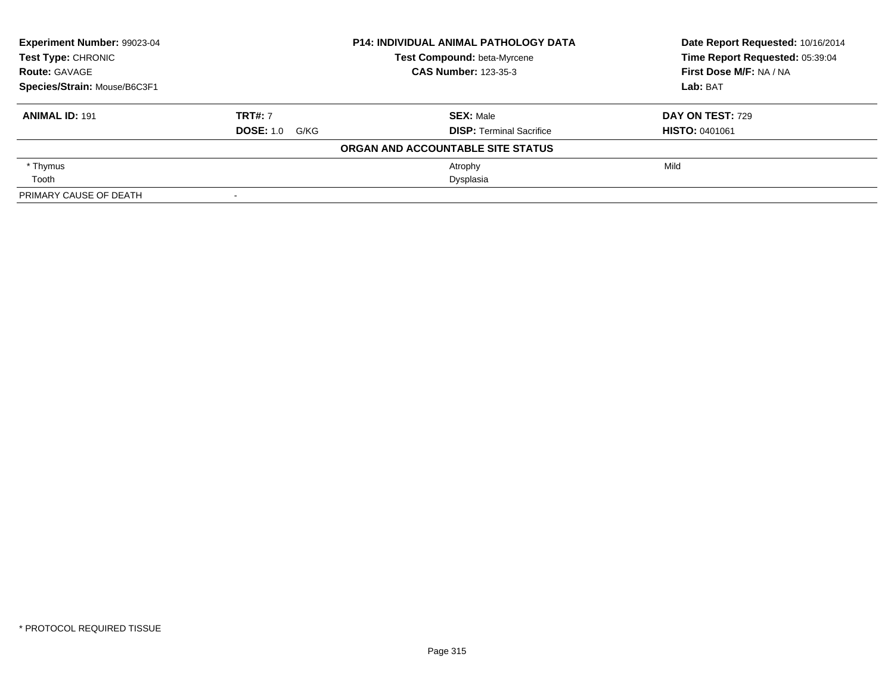| Experiment Number: 99023-04<br><b>Test Type: CHRONIC</b><br><b>Route: GAVAGE</b><br>Species/Strain: Mouse/B6C3F1 |                       | <b>P14: INDIVIDUAL ANIMAL PATHOLOGY DATA</b> | Date Report Requested: 10/16/2014 |
|------------------------------------------------------------------------------------------------------------------|-----------------------|----------------------------------------------|-----------------------------------|
|                                                                                                                  |                       | Test Compound: beta-Myrcene                  | Time Report Requested: 05:39:04   |
|                                                                                                                  |                       | <b>CAS Number: 123-35-3</b>                  | First Dose M/F: NA / NA           |
|                                                                                                                  |                       |                                              | Lab: BAT                          |
| <b>ANIMAL ID: 191</b>                                                                                            | <b>TRT#: 7</b>        | <b>SEX: Male</b>                             | <b>DAY ON TEST: 729</b>           |
|                                                                                                                  | <b>DOSE: 1.0 G/KG</b> | <b>DISP:</b> Terminal Sacrifice              | <b>HISTO: 0401061</b>             |
|                                                                                                                  |                       | ORGAN AND ACCOUNTABLE SITE STATUS            |                                   |
| * Thymus                                                                                                         |                       | Atrophy                                      | Mild                              |
| Tooth                                                                                                            |                       | Dysplasia                                    |                                   |
| PRIMARY CAUSE OF DEATH                                                                                           |                       |                                              |                                   |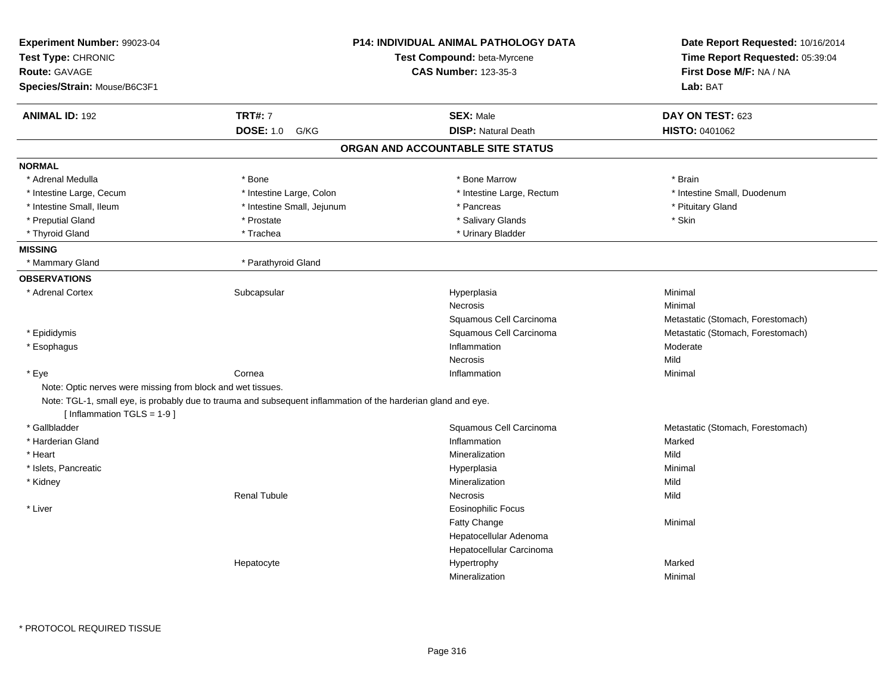| <b>ANIMAL ID: 192</b><br><b>TRT#: 7</b><br><b>SEX: Male</b><br>DAY ON TEST: 623<br><b>DOSE: 1.0</b><br><b>DISP: Natural Death</b><br>HISTO: 0401062<br>G/KG<br>ORGAN AND ACCOUNTABLE SITE STATUS<br><b>NORMAL</b><br>* Adrenal Medulla<br>* Bone Marrow<br>* Bone<br>* Brain<br>* Intestine Large, Colon<br>* Intestine Small, Duodenum<br>* Intestine Large, Cecum<br>* Intestine Large, Rectum<br>* Intestine Small, Ileum<br>* Intestine Small, Jejunum<br>* Pituitary Gland<br>* Pancreas<br>* Preputial Gland<br>* Salivary Glands<br>* Skin<br>* Prostate<br>* Urinary Bladder<br>* Thyroid Gland<br>* Trachea<br>* Mammary Gland<br>* Parathyroid Gland<br><b>OBSERVATIONS</b><br>* Adrenal Cortex<br>Subcapsular<br>Hyperplasia<br>Minimal<br>Necrosis<br>Minimal<br>Squamous Cell Carcinoma<br>Metastatic (Stomach, Forestomach)<br>* Epididymis<br>Squamous Cell Carcinoma<br>Metastatic (Stomach, Forestomach)<br>Inflammation<br>Moderate<br>* Esophagus<br>Mild<br>Necrosis<br>* Eye<br>Cornea<br>Minimal<br>Inflammation<br>Note: Optic nerves were missing from block and wet tissues.<br>Note: TGL-1, small eye, is probably due to trauma and subsequent inflammation of the harderian gland and eye.<br>[Inflammation TGLS = 1-9]<br>* Gallbladder<br>Squamous Cell Carcinoma<br>Metastatic (Stomach, Forestomach)<br>* Harderian Gland<br>Inflammation<br>Marked<br>* Heart<br>Mineralization<br>Mild<br>* Islets, Pancreatic<br>Minimal<br>Hyperplasia<br>Mineralization<br>Mild<br>* Kidney<br><b>Renal Tubule</b><br>Necrosis<br>Mild<br><b>Eosinophilic Focus</b><br>* Liver<br>Fatty Change<br>Minimal<br>Hepatocellular Adenoma<br>Hepatocellular Carcinoma<br>Marked<br>Hepatocyte<br>Hypertrophy | Experiment Number: 99023-04<br>Test Type: CHRONIC<br><b>Route: GAVAGE</b><br>Species/Strain: Mouse/B6C3F1 | <b>P14: INDIVIDUAL ANIMAL PATHOLOGY DATA</b><br>Test Compound: beta-Myrcene<br><b>CAS Number: 123-35-3</b> | Date Report Requested: 10/16/2014<br>Time Report Requested: 05:39:04<br>First Dose M/F: NA / NA<br>Lab: BAT |
|-----------------------------------------------------------------------------------------------------------------------------------------------------------------------------------------------------------------------------------------------------------------------------------------------------------------------------------------------------------------------------------------------------------------------------------------------------------------------------------------------------------------------------------------------------------------------------------------------------------------------------------------------------------------------------------------------------------------------------------------------------------------------------------------------------------------------------------------------------------------------------------------------------------------------------------------------------------------------------------------------------------------------------------------------------------------------------------------------------------------------------------------------------------------------------------------------------------------------------------------------------------------------------------------------------------------------------------------------------------------------------------------------------------------------------------------------------------------------------------------------------------------------------------------------------------------------------------------------------------------------------------------------------------------------------------------------------------------------------|-----------------------------------------------------------------------------------------------------------|------------------------------------------------------------------------------------------------------------|-------------------------------------------------------------------------------------------------------------|
|                                                                                                                                                                                                                                                                                                                                                                                                                                                                                                                                                                                                                                                                                                                                                                                                                                                                                                                                                                                                                                                                                                                                                                                                                                                                                                                                                                                                                                                                                                                                                                                                                                                                                                                             |                                                                                                           |                                                                                                            |                                                                                                             |
|                                                                                                                                                                                                                                                                                                                                                                                                                                                                                                                                                                                                                                                                                                                                                                                                                                                                                                                                                                                                                                                                                                                                                                                                                                                                                                                                                                                                                                                                                                                                                                                                                                                                                                                             |                                                                                                           |                                                                                                            |                                                                                                             |
|                                                                                                                                                                                                                                                                                                                                                                                                                                                                                                                                                                                                                                                                                                                                                                                                                                                                                                                                                                                                                                                                                                                                                                                                                                                                                                                                                                                                                                                                                                                                                                                                                                                                                                                             |                                                                                                           |                                                                                                            |                                                                                                             |
|                                                                                                                                                                                                                                                                                                                                                                                                                                                                                                                                                                                                                                                                                                                                                                                                                                                                                                                                                                                                                                                                                                                                                                                                                                                                                                                                                                                                                                                                                                                                                                                                                                                                                                                             |                                                                                                           |                                                                                                            |                                                                                                             |
|                                                                                                                                                                                                                                                                                                                                                                                                                                                                                                                                                                                                                                                                                                                                                                                                                                                                                                                                                                                                                                                                                                                                                                                                                                                                                                                                                                                                                                                                                                                                                                                                                                                                                                                             |                                                                                                           |                                                                                                            |                                                                                                             |
|                                                                                                                                                                                                                                                                                                                                                                                                                                                                                                                                                                                                                                                                                                                                                                                                                                                                                                                                                                                                                                                                                                                                                                                                                                                                                                                                                                                                                                                                                                                                                                                                                                                                                                                             |                                                                                                           |                                                                                                            |                                                                                                             |
|                                                                                                                                                                                                                                                                                                                                                                                                                                                                                                                                                                                                                                                                                                                                                                                                                                                                                                                                                                                                                                                                                                                                                                                                                                                                                                                                                                                                                                                                                                                                                                                                                                                                                                                             |                                                                                                           |                                                                                                            |                                                                                                             |
|                                                                                                                                                                                                                                                                                                                                                                                                                                                                                                                                                                                                                                                                                                                                                                                                                                                                                                                                                                                                                                                                                                                                                                                                                                                                                                                                                                                                                                                                                                                                                                                                                                                                                                                             |                                                                                                           |                                                                                                            |                                                                                                             |
|                                                                                                                                                                                                                                                                                                                                                                                                                                                                                                                                                                                                                                                                                                                                                                                                                                                                                                                                                                                                                                                                                                                                                                                                                                                                                                                                                                                                                                                                                                                                                                                                                                                                                                                             |                                                                                                           |                                                                                                            |                                                                                                             |
|                                                                                                                                                                                                                                                                                                                                                                                                                                                                                                                                                                                                                                                                                                                                                                                                                                                                                                                                                                                                                                                                                                                                                                                                                                                                                                                                                                                                                                                                                                                                                                                                                                                                                                                             |                                                                                                           |                                                                                                            |                                                                                                             |
|                                                                                                                                                                                                                                                                                                                                                                                                                                                                                                                                                                                                                                                                                                                                                                                                                                                                                                                                                                                                                                                                                                                                                                                                                                                                                                                                                                                                                                                                                                                                                                                                                                                                                                                             | <b>MISSING</b>                                                                                            |                                                                                                            |                                                                                                             |
|                                                                                                                                                                                                                                                                                                                                                                                                                                                                                                                                                                                                                                                                                                                                                                                                                                                                                                                                                                                                                                                                                                                                                                                                                                                                                                                                                                                                                                                                                                                                                                                                                                                                                                                             |                                                                                                           |                                                                                                            |                                                                                                             |
|                                                                                                                                                                                                                                                                                                                                                                                                                                                                                                                                                                                                                                                                                                                                                                                                                                                                                                                                                                                                                                                                                                                                                                                                                                                                                                                                                                                                                                                                                                                                                                                                                                                                                                                             |                                                                                                           |                                                                                                            |                                                                                                             |
|                                                                                                                                                                                                                                                                                                                                                                                                                                                                                                                                                                                                                                                                                                                                                                                                                                                                                                                                                                                                                                                                                                                                                                                                                                                                                                                                                                                                                                                                                                                                                                                                                                                                                                                             |                                                                                                           |                                                                                                            |                                                                                                             |
|                                                                                                                                                                                                                                                                                                                                                                                                                                                                                                                                                                                                                                                                                                                                                                                                                                                                                                                                                                                                                                                                                                                                                                                                                                                                                                                                                                                                                                                                                                                                                                                                                                                                                                                             |                                                                                                           |                                                                                                            |                                                                                                             |
|                                                                                                                                                                                                                                                                                                                                                                                                                                                                                                                                                                                                                                                                                                                                                                                                                                                                                                                                                                                                                                                                                                                                                                                                                                                                                                                                                                                                                                                                                                                                                                                                                                                                                                                             |                                                                                                           |                                                                                                            |                                                                                                             |
|                                                                                                                                                                                                                                                                                                                                                                                                                                                                                                                                                                                                                                                                                                                                                                                                                                                                                                                                                                                                                                                                                                                                                                                                                                                                                                                                                                                                                                                                                                                                                                                                                                                                                                                             |                                                                                                           |                                                                                                            |                                                                                                             |
|                                                                                                                                                                                                                                                                                                                                                                                                                                                                                                                                                                                                                                                                                                                                                                                                                                                                                                                                                                                                                                                                                                                                                                                                                                                                                                                                                                                                                                                                                                                                                                                                                                                                                                                             |                                                                                                           |                                                                                                            |                                                                                                             |
|                                                                                                                                                                                                                                                                                                                                                                                                                                                                                                                                                                                                                                                                                                                                                                                                                                                                                                                                                                                                                                                                                                                                                                                                                                                                                                                                                                                                                                                                                                                                                                                                                                                                                                                             |                                                                                                           |                                                                                                            |                                                                                                             |
|                                                                                                                                                                                                                                                                                                                                                                                                                                                                                                                                                                                                                                                                                                                                                                                                                                                                                                                                                                                                                                                                                                                                                                                                                                                                                                                                                                                                                                                                                                                                                                                                                                                                                                                             |                                                                                                           |                                                                                                            |                                                                                                             |
|                                                                                                                                                                                                                                                                                                                                                                                                                                                                                                                                                                                                                                                                                                                                                                                                                                                                                                                                                                                                                                                                                                                                                                                                                                                                                                                                                                                                                                                                                                                                                                                                                                                                                                                             |                                                                                                           |                                                                                                            |                                                                                                             |
|                                                                                                                                                                                                                                                                                                                                                                                                                                                                                                                                                                                                                                                                                                                                                                                                                                                                                                                                                                                                                                                                                                                                                                                                                                                                                                                                                                                                                                                                                                                                                                                                                                                                                                                             |                                                                                                           |                                                                                                            |                                                                                                             |
|                                                                                                                                                                                                                                                                                                                                                                                                                                                                                                                                                                                                                                                                                                                                                                                                                                                                                                                                                                                                                                                                                                                                                                                                                                                                                                                                                                                                                                                                                                                                                                                                                                                                                                                             |                                                                                                           |                                                                                                            |                                                                                                             |
|                                                                                                                                                                                                                                                                                                                                                                                                                                                                                                                                                                                                                                                                                                                                                                                                                                                                                                                                                                                                                                                                                                                                                                                                                                                                                                                                                                                                                                                                                                                                                                                                                                                                                                                             |                                                                                                           |                                                                                                            |                                                                                                             |
|                                                                                                                                                                                                                                                                                                                                                                                                                                                                                                                                                                                                                                                                                                                                                                                                                                                                                                                                                                                                                                                                                                                                                                                                                                                                                                                                                                                                                                                                                                                                                                                                                                                                                                                             |                                                                                                           |                                                                                                            |                                                                                                             |
|                                                                                                                                                                                                                                                                                                                                                                                                                                                                                                                                                                                                                                                                                                                                                                                                                                                                                                                                                                                                                                                                                                                                                                                                                                                                                                                                                                                                                                                                                                                                                                                                                                                                                                                             |                                                                                                           |                                                                                                            |                                                                                                             |
|                                                                                                                                                                                                                                                                                                                                                                                                                                                                                                                                                                                                                                                                                                                                                                                                                                                                                                                                                                                                                                                                                                                                                                                                                                                                                                                                                                                                                                                                                                                                                                                                                                                                                                                             |                                                                                                           |                                                                                                            |                                                                                                             |
|                                                                                                                                                                                                                                                                                                                                                                                                                                                                                                                                                                                                                                                                                                                                                                                                                                                                                                                                                                                                                                                                                                                                                                                                                                                                                                                                                                                                                                                                                                                                                                                                                                                                                                                             |                                                                                                           |                                                                                                            |                                                                                                             |
|                                                                                                                                                                                                                                                                                                                                                                                                                                                                                                                                                                                                                                                                                                                                                                                                                                                                                                                                                                                                                                                                                                                                                                                                                                                                                                                                                                                                                                                                                                                                                                                                                                                                                                                             |                                                                                                           |                                                                                                            |                                                                                                             |
|                                                                                                                                                                                                                                                                                                                                                                                                                                                                                                                                                                                                                                                                                                                                                                                                                                                                                                                                                                                                                                                                                                                                                                                                                                                                                                                                                                                                                                                                                                                                                                                                                                                                                                                             |                                                                                                           |                                                                                                            |                                                                                                             |
|                                                                                                                                                                                                                                                                                                                                                                                                                                                                                                                                                                                                                                                                                                                                                                                                                                                                                                                                                                                                                                                                                                                                                                                                                                                                                                                                                                                                                                                                                                                                                                                                                                                                                                                             |                                                                                                           |                                                                                                            |                                                                                                             |
|                                                                                                                                                                                                                                                                                                                                                                                                                                                                                                                                                                                                                                                                                                                                                                                                                                                                                                                                                                                                                                                                                                                                                                                                                                                                                                                                                                                                                                                                                                                                                                                                                                                                                                                             |                                                                                                           |                                                                                                            |                                                                                                             |
|                                                                                                                                                                                                                                                                                                                                                                                                                                                                                                                                                                                                                                                                                                                                                                                                                                                                                                                                                                                                                                                                                                                                                                                                                                                                                                                                                                                                                                                                                                                                                                                                                                                                                                                             |                                                                                                           |                                                                                                            |                                                                                                             |
|                                                                                                                                                                                                                                                                                                                                                                                                                                                                                                                                                                                                                                                                                                                                                                                                                                                                                                                                                                                                                                                                                                                                                                                                                                                                                                                                                                                                                                                                                                                                                                                                                                                                                                                             |                                                                                                           | Mineralization                                                                                             | Minimal                                                                                                     |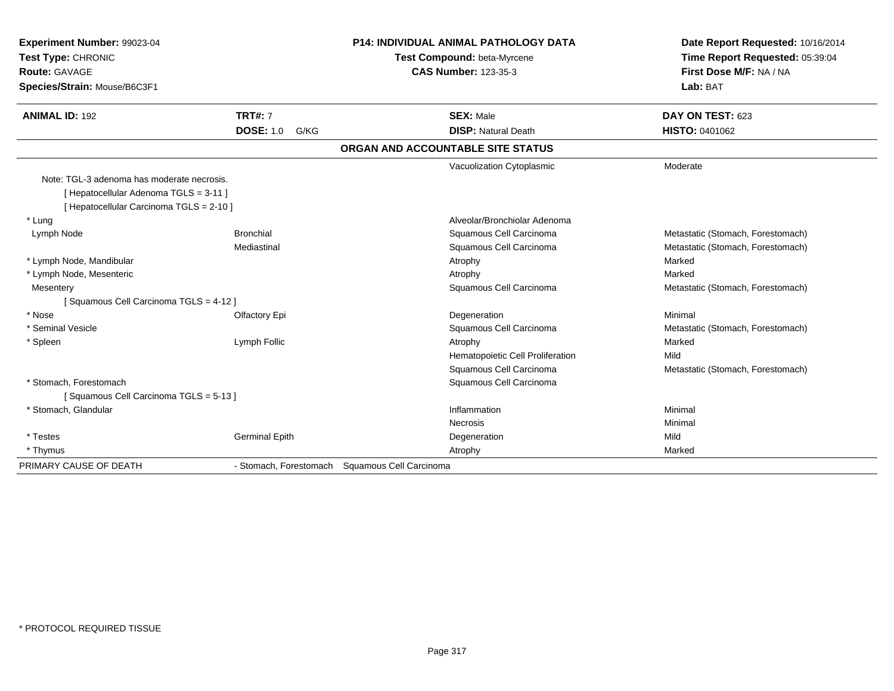| Experiment Number: 99023-04<br>Test Type: CHRONIC<br><b>Route: GAVAGE</b><br>Species/Strain: Mouse/B6C3F1                        |                                                | P14: INDIVIDUAL ANIMAL PATHOLOGY DATA<br>Test Compound: beta-Myrcene<br><b>CAS Number: 123-35-3</b> | Date Report Requested: 10/16/2014<br>Time Report Requested: 05:39:04<br>First Dose M/F: NA / NA<br>Lab: BAT |
|----------------------------------------------------------------------------------------------------------------------------------|------------------------------------------------|-----------------------------------------------------------------------------------------------------|-------------------------------------------------------------------------------------------------------------|
| <b>ANIMAL ID: 192</b>                                                                                                            | <b>TRT#: 7</b>                                 | <b>SEX: Male</b>                                                                                    | DAY ON TEST: 623                                                                                            |
|                                                                                                                                  | <b>DOSE: 1.0</b><br>G/KG                       | <b>DISP: Natural Death</b>                                                                          | <b>HISTO: 0401062</b>                                                                                       |
|                                                                                                                                  |                                                | ORGAN AND ACCOUNTABLE SITE STATUS                                                                   |                                                                                                             |
|                                                                                                                                  |                                                | Vacuolization Cytoplasmic                                                                           | Moderate                                                                                                    |
| Note: TGL-3 adenoma has moderate necrosis.<br>[ Hepatocellular Adenoma TGLS = 3-11 ]<br>[ Hepatocellular Carcinoma TGLS = 2-10 ] |                                                |                                                                                                     |                                                                                                             |
| * Lung                                                                                                                           |                                                | Alveolar/Bronchiolar Adenoma                                                                        |                                                                                                             |
| Lymph Node                                                                                                                       | <b>Bronchial</b>                               | Squamous Cell Carcinoma                                                                             | Metastatic (Stomach, Forestomach)                                                                           |
|                                                                                                                                  | Mediastinal                                    | Squamous Cell Carcinoma                                                                             | Metastatic (Stomach, Forestomach)                                                                           |
| * Lymph Node, Mandibular                                                                                                         |                                                | Atrophy                                                                                             | Marked                                                                                                      |
| * Lymph Node, Mesenteric                                                                                                         |                                                | Atrophy                                                                                             | Marked                                                                                                      |
| Mesentery                                                                                                                        |                                                | Squamous Cell Carcinoma                                                                             | Metastatic (Stomach, Forestomach)                                                                           |
| [Squamous Cell Carcinoma TGLS = 4-12]                                                                                            |                                                |                                                                                                     |                                                                                                             |
| * Nose                                                                                                                           | Olfactory Epi                                  | Degeneration                                                                                        | Minimal                                                                                                     |
| * Seminal Vesicle                                                                                                                |                                                | Squamous Cell Carcinoma                                                                             | Metastatic (Stomach, Forestomach)                                                                           |
| * Spleen                                                                                                                         | Lymph Follic                                   | Atrophy                                                                                             | Marked                                                                                                      |
|                                                                                                                                  |                                                | Hematopoietic Cell Proliferation                                                                    | Mild                                                                                                        |
|                                                                                                                                  |                                                | Squamous Cell Carcinoma                                                                             | Metastatic (Stomach, Forestomach)                                                                           |
| * Stomach, Forestomach                                                                                                           |                                                | Squamous Cell Carcinoma                                                                             |                                                                                                             |
| [Squamous Cell Carcinoma TGLS = 5-13]                                                                                            |                                                |                                                                                                     |                                                                                                             |
| * Stomach, Glandular                                                                                                             |                                                | Inflammation                                                                                        | Minimal                                                                                                     |
|                                                                                                                                  |                                                | <b>Necrosis</b>                                                                                     | Minimal                                                                                                     |
| * Testes                                                                                                                         | <b>Germinal Epith</b>                          | Degeneration                                                                                        | Mild                                                                                                        |
| * Thymus                                                                                                                         |                                                | Atrophy                                                                                             | Marked                                                                                                      |
| PRIMARY CAUSE OF DEATH                                                                                                           | - Stomach, Forestomach Squamous Cell Carcinoma |                                                                                                     |                                                                                                             |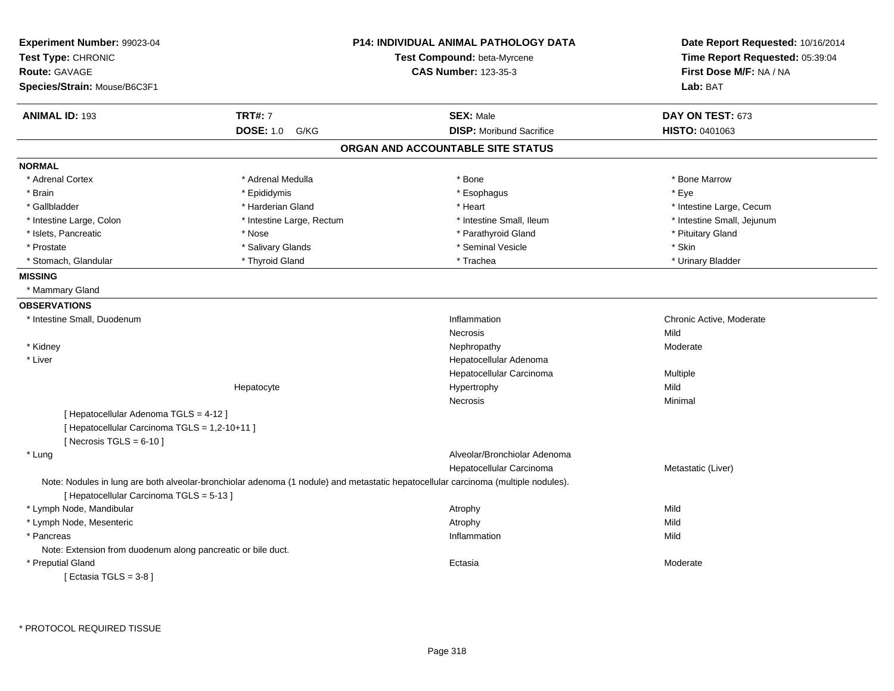| Experiment Number: 99023-04<br>Test Type: CHRONIC<br><b>Route: GAVAGE</b> |                           | <b>P14: INDIVIDUAL ANIMAL PATHOLOGY DATA</b><br>Test Compound: beta-Myrcene<br><b>CAS Number: 123-35-3</b>                         | Date Report Requested: 10/16/2014<br>Time Report Requested: 05:39:04<br>First Dose M/F: NA / NA |
|---------------------------------------------------------------------------|---------------------------|------------------------------------------------------------------------------------------------------------------------------------|-------------------------------------------------------------------------------------------------|
| Species/Strain: Mouse/B6C3F1                                              |                           |                                                                                                                                    | Lab: BAT                                                                                        |
| <b>ANIMAL ID: 193</b>                                                     | <b>TRT#: 7</b>            | <b>SEX: Male</b>                                                                                                                   | DAY ON TEST: 673                                                                                |
|                                                                           | <b>DOSE: 1.0</b><br>G/KG  | <b>DISP:</b> Moribund Sacrifice                                                                                                    | HISTO: 0401063                                                                                  |
|                                                                           |                           | ORGAN AND ACCOUNTABLE SITE STATUS                                                                                                  |                                                                                                 |
| <b>NORMAL</b>                                                             |                           |                                                                                                                                    |                                                                                                 |
| * Adrenal Cortex                                                          | * Adrenal Medulla         | * Bone                                                                                                                             | * Bone Marrow                                                                                   |
| * Brain                                                                   | * Epididymis              | * Esophagus                                                                                                                        | * Eye                                                                                           |
| * Gallbladder                                                             | * Harderian Gland         | * Heart                                                                                                                            | * Intestine Large, Cecum                                                                        |
| * Intestine Large, Colon                                                  | * Intestine Large, Rectum | * Intestine Small, Ileum                                                                                                           | * Intestine Small, Jejunum                                                                      |
| * Islets, Pancreatic                                                      | * Nose                    | * Parathyroid Gland                                                                                                                | * Pituitary Gland                                                                               |
| * Prostate                                                                | * Salivary Glands         | * Seminal Vesicle                                                                                                                  | * Skin                                                                                          |
| * Stomach, Glandular                                                      | * Thyroid Gland           | * Trachea                                                                                                                          | * Urinary Bladder                                                                               |
| <b>MISSING</b>                                                            |                           |                                                                                                                                    |                                                                                                 |
| * Mammary Gland                                                           |                           |                                                                                                                                    |                                                                                                 |
| <b>OBSERVATIONS</b>                                                       |                           |                                                                                                                                    |                                                                                                 |
| * Intestine Small, Duodenum                                               |                           | Inflammation                                                                                                                       | Chronic Active, Moderate                                                                        |
|                                                                           |                           | Necrosis                                                                                                                           | Mild                                                                                            |
| * Kidney                                                                  |                           | Nephropathy                                                                                                                        | Moderate                                                                                        |
| * Liver                                                                   |                           | Hepatocellular Adenoma                                                                                                             |                                                                                                 |
|                                                                           |                           | Hepatocellular Carcinoma                                                                                                           | Multiple                                                                                        |
|                                                                           | Hepatocyte                | Hypertrophy                                                                                                                        | Mild                                                                                            |
|                                                                           |                           | <b>Necrosis</b>                                                                                                                    | Minimal                                                                                         |
| [ Hepatocellular Adenoma TGLS = 4-12 ]                                    |                           |                                                                                                                                    |                                                                                                 |
| [ Hepatocellular Carcinoma TGLS = 1,2-10+11 ]                             |                           |                                                                                                                                    |                                                                                                 |
| [Necrosis TGLS = $6-10$ ]                                                 |                           |                                                                                                                                    |                                                                                                 |
| * Lung                                                                    |                           | Alveolar/Bronchiolar Adenoma                                                                                                       |                                                                                                 |
|                                                                           |                           | Hepatocellular Carcinoma                                                                                                           | Metastatic (Liver)                                                                              |
| [ Hepatocellular Carcinoma TGLS = 5-13 ]                                  |                           | Note: Nodules in lung are both alveolar-bronchiolar adenoma (1 nodule) and metastatic hepatocellular carcinoma (multiple nodules). |                                                                                                 |
| * Lymph Node, Mandibular                                                  |                           | Atrophy                                                                                                                            | Mild                                                                                            |
| * Lymph Node, Mesenteric                                                  |                           | Atrophy                                                                                                                            | Mild                                                                                            |
| * Pancreas                                                                |                           | Inflammation                                                                                                                       | Mild                                                                                            |
| Note: Extension from duodenum along pancreatic or bile duct.              |                           |                                                                                                                                    |                                                                                                 |
| * Preputial Gland                                                         |                           | Ectasia                                                                                                                            | Moderate                                                                                        |
| [ Ectasia TGLS = $3-8$ ]                                                  |                           |                                                                                                                                    |                                                                                                 |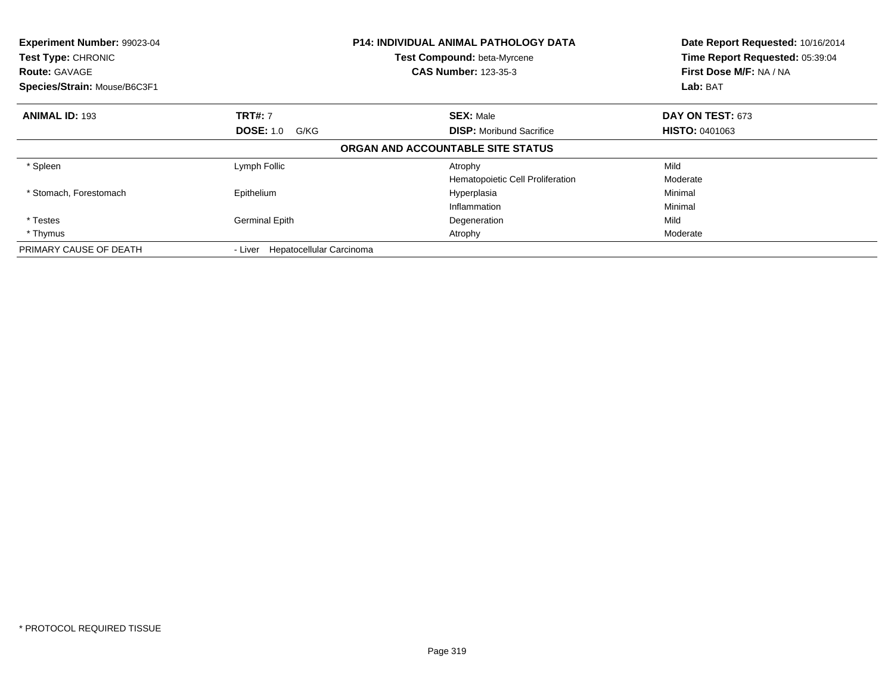| Experiment Number: 99023-04<br>Test Type: CHRONIC<br><b>Route: GAVAGE</b><br>Species/Strain: Mouse/B6C3F1 |                                     | <b>P14: INDIVIDUAL ANIMAL PATHOLOGY DATA</b><br>Test Compound: beta-Myrcene<br><b>CAS Number: 123-35-3</b> | Date Report Requested: 10/16/2014<br>Time Report Requested: 05:39:04<br>First Dose M/F: NA / NA<br>Lab: BAT |
|-----------------------------------------------------------------------------------------------------------|-------------------------------------|------------------------------------------------------------------------------------------------------------|-------------------------------------------------------------------------------------------------------------|
| <b>ANIMAL ID: 193</b>                                                                                     | <b>TRT#: 7</b>                      | <b>SEX: Male</b>                                                                                           | DAY ON TEST: 673                                                                                            |
|                                                                                                           | <b>DOSE: 1.0 G/KG</b>               | <b>DISP:</b> Moribund Sacrifice                                                                            | <b>HISTO: 0401063</b>                                                                                       |
|                                                                                                           |                                     | ORGAN AND ACCOUNTABLE SITE STATUS                                                                          |                                                                                                             |
| * Spleen                                                                                                  | Lymph Follic                        | Atrophy                                                                                                    | Mild                                                                                                        |
|                                                                                                           |                                     | Hematopoietic Cell Proliferation                                                                           | Moderate                                                                                                    |
| * Stomach, Forestomach                                                                                    | Epithelium                          | Hyperplasia                                                                                                | Minimal                                                                                                     |
|                                                                                                           |                                     | Inflammation                                                                                               | Minimal                                                                                                     |
| * Testes                                                                                                  | <b>Germinal Epith</b>               | Degeneration                                                                                               | Mild                                                                                                        |
| * Thymus                                                                                                  |                                     | Atrophy                                                                                                    | Moderate                                                                                                    |
| PRIMARY CAUSE OF DEATH                                                                                    | Hepatocellular Carcinoma<br>- Liver |                                                                                                            |                                                                                                             |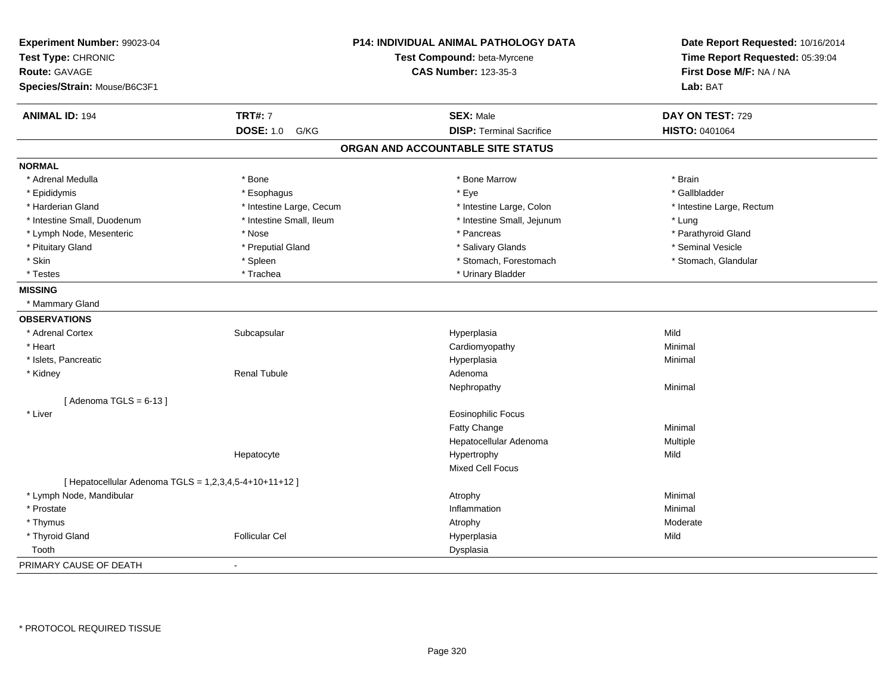| Experiment Number: 99023-04                            |                          | P14: INDIVIDUAL ANIMAL PATHOLOGY DATA | Date Report Requested: 10/16/2014 |
|--------------------------------------------------------|--------------------------|---------------------------------------|-----------------------------------|
| Test Type: CHRONIC                                     |                          | Test Compound: beta-Myrcene           | Time Report Requested: 05:39:04   |
| <b>Route: GAVAGE</b>                                   |                          | <b>CAS Number: 123-35-3</b>           | First Dose M/F: NA / NA           |
| Species/Strain: Mouse/B6C3F1                           |                          |                                       | Lab: BAT                          |
| <b>ANIMAL ID: 194</b>                                  | <b>TRT#: 7</b>           | <b>SEX: Male</b>                      | DAY ON TEST: 729                  |
|                                                        | <b>DOSE: 1.0</b><br>G/KG | <b>DISP: Terminal Sacrifice</b>       | HISTO: 0401064                    |
|                                                        |                          | ORGAN AND ACCOUNTABLE SITE STATUS     |                                   |
| <b>NORMAL</b>                                          |                          |                                       |                                   |
| * Adrenal Medulla                                      | * Bone                   | * Bone Marrow                         | * Brain                           |
| * Epididymis                                           | * Esophagus              | * Eye                                 | * Gallbladder                     |
| * Harderian Gland                                      | * Intestine Large, Cecum | * Intestine Large, Colon              | * Intestine Large, Rectum         |
| * Intestine Small, Duodenum                            | * Intestine Small, Ileum | * Intestine Small, Jejunum            | * Lung                            |
| * Lymph Node, Mesenteric                               | * Nose                   | * Pancreas                            | * Parathyroid Gland               |
| * Pituitary Gland                                      | * Preputial Gland        | * Salivary Glands                     | * Seminal Vesicle                 |
| * Skin                                                 | * Spleen                 | * Stomach, Forestomach                | * Stomach, Glandular              |
| * Testes                                               | * Trachea                | * Urinary Bladder                     |                                   |
| <b>MISSING</b>                                         |                          |                                       |                                   |
| * Mammary Gland                                        |                          |                                       |                                   |
| <b>OBSERVATIONS</b>                                    |                          |                                       |                                   |
| * Adrenal Cortex                                       | Subcapsular              | Hyperplasia                           | Mild                              |
| * Heart                                                |                          | Cardiomyopathy                        | Minimal                           |
| * Islets, Pancreatic                                   |                          | Hyperplasia                           | Minimal                           |
| * Kidney                                               | <b>Renal Tubule</b>      | Adenoma                               |                                   |
|                                                        |                          | Nephropathy                           | Minimal                           |
| [Adenoma TGLS = $6-13$ ]                               |                          |                                       |                                   |
| * Liver                                                |                          | <b>Eosinophilic Focus</b>             |                                   |
|                                                        |                          | Fatty Change                          | Minimal                           |
|                                                        |                          | Hepatocellular Adenoma                | Multiple                          |
|                                                        | Hepatocyte               | Hypertrophy                           | Mild                              |
|                                                        |                          | <b>Mixed Cell Focus</b>               |                                   |
| [ Hepatocellular Adenoma TGLS = 1,2,3,4,5-4+10+11+12 ] |                          |                                       |                                   |
| * Lymph Node, Mandibular                               |                          | Atrophy                               | Minimal                           |
| * Prostate                                             |                          | Inflammation                          | Minimal                           |
| * Thymus                                               |                          | Atrophy                               | Moderate                          |
| * Thyroid Gland                                        | <b>Follicular Cel</b>    | Hyperplasia                           | Mild                              |
| Tooth                                                  |                          | Dysplasia                             |                                   |
| PRIMARY CAUSE OF DEATH                                 | $\overline{a}$           |                                       |                                   |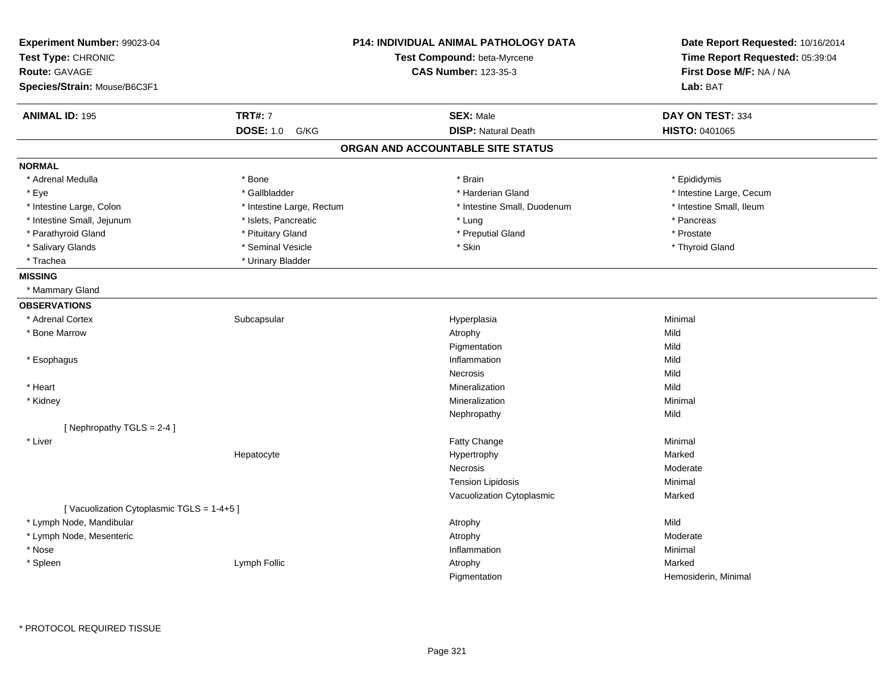| Experiment Number: 99023-04<br>Test Type: CHRONIC<br><b>Route: GAVAGE</b><br>Species/Strain: Mouse/B6C3F1 |                           | <b>P14: INDIVIDUAL ANIMAL PATHOLOGY DATA</b><br>Test Compound: beta-Myrcene<br><b>CAS Number: 123-35-3</b> |                          |
|-----------------------------------------------------------------------------------------------------------|---------------------------|------------------------------------------------------------------------------------------------------------|--------------------------|
| <b>ANIMAL ID: 195</b>                                                                                     | <b>TRT#: 7</b>            | <b>SEX: Male</b>                                                                                           | DAY ON TEST: 334         |
|                                                                                                           | <b>DOSE: 1.0</b><br>G/KG  | <b>DISP: Natural Death</b>                                                                                 | HISTO: 0401065           |
|                                                                                                           |                           | ORGAN AND ACCOUNTABLE SITE STATUS                                                                          |                          |
| <b>NORMAL</b>                                                                                             |                           |                                                                                                            |                          |
| * Adrenal Medulla                                                                                         | * Bone                    | * Brain                                                                                                    | * Epididymis             |
| * Eye                                                                                                     | * Gallbladder             | * Harderian Gland                                                                                          | * Intestine Large, Cecum |
| * Intestine Large, Colon                                                                                  | * Intestine Large, Rectum | * Intestine Small, Duodenum                                                                                | * Intestine Small, Ileum |
| * Intestine Small, Jejunum                                                                                | * Islets, Pancreatic      | * Lung                                                                                                     | * Pancreas               |
| * Parathyroid Gland                                                                                       | * Pituitary Gland         | * Preputial Gland                                                                                          | * Prostate               |
| * Salivary Glands                                                                                         | * Seminal Vesicle         | * Skin                                                                                                     | * Thyroid Gland          |
| * Trachea                                                                                                 | * Urinary Bladder         |                                                                                                            |                          |
| <b>MISSING</b>                                                                                            |                           |                                                                                                            |                          |
| * Mammary Gland                                                                                           |                           |                                                                                                            |                          |
| <b>OBSERVATIONS</b>                                                                                       |                           |                                                                                                            |                          |
| * Adrenal Cortex                                                                                          | Subcapsular               | Hyperplasia                                                                                                | Minimal                  |
| * Bone Marrow                                                                                             |                           | Atrophy                                                                                                    | Mild                     |
|                                                                                                           |                           | Pigmentation                                                                                               | Mild                     |
| * Esophagus                                                                                               |                           | Inflammation                                                                                               | Mild                     |
|                                                                                                           |                           | Necrosis                                                                                                   | Mild                     |
| * Heart                                                                                                   |                           | Mineralization                                                                                             | Mild                     |
| * Kidney                                                                                                  |                           | Mineralization                                                                                             | Minimal                  |
|                                                                                                           |                           | Nephropathy                                                                                                | Mild                     |
| [Nephropathy TGLS = 2-4]                                                                                  |                           |                                                                                                            |                          |
| * Liver                                                                                                   |                           | <b>Fatty Change</b>                                                                                        | Minimal                  |
|                                                                                                           | Hepatocyte                | Hypertrophy                                                                                                | Marked                   |
|                                                                                                           |                           | Necrosis                                                                                                   | Moderate                 |
|                                                                                                           |                           | <b>Tension Lipidosis</b>                                                                                   | Minimal                  |
|                                                                                                           |                           | Vacuolization Cytoplasmic                                                                                  | Marked                   |
| [Vacuolization Cytoplasmic TGLS = 1-4+5]                                                                  |                           |                                                                                                            |                          |
| * Lymph Node, Mandibular                                                                                  |                           | Atrophy                                                                                                    | Mild                     |
| * Lymph Node, Mesenteric                                                                                  |                           | Atrophy                                                                                                    | Moderate                 |
| * Nose                                                                                                    |                           | Inflammation                                                                                               | Minimal                  |
| * Spleen                                                                                                  | Lymph Follic              | Atrophy                                                                                                    | Marked                   |
|                                                                                                           |                           | Pigmentation                                                                                               | Hemosiderin, Minimal     |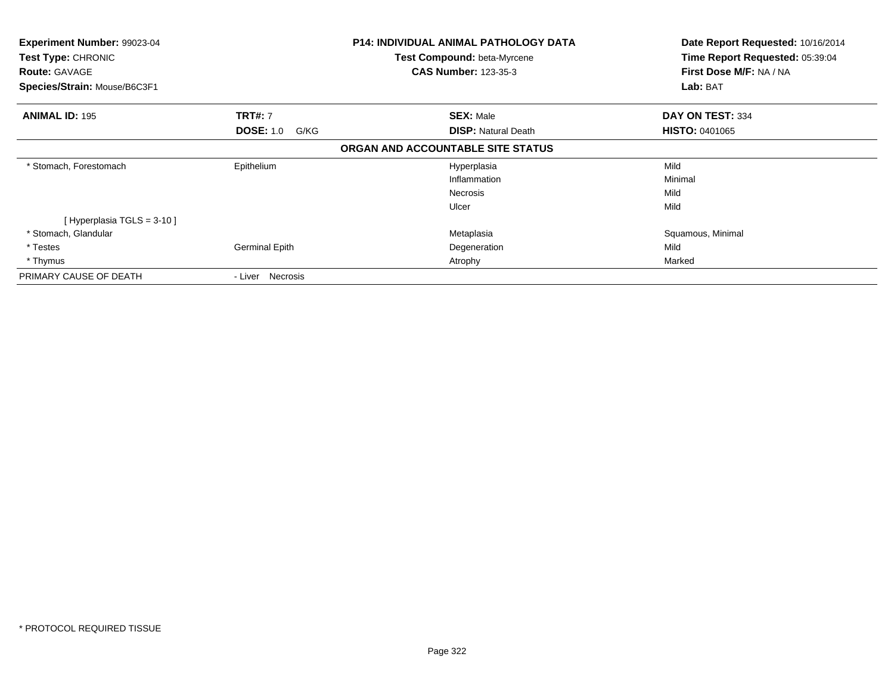| Experiment Number: 99023-04<br>Test Type: CHRONIC<br><b>Route: GAVAGE</b> |                          | P14: INDIVIDUAL ANIMAL PATHOLOGY DATA<br><b>Test Compound: beta-Myrcene</b><br><b>CAS Number: 123-35-3</b> | Date Report Requested: 10/16/2014<br>Time Report Requested: 05:39:04<br>First Dose M/F: NA / NA |
|---------------------------------------------------------------------------|--------------------------|------------------------------------------------------------------------------------------------------------|-------------------------------------------------------------------------------------------------|
| Species/Strain: Mouse/B6C3F1                                              |                          |                                                                                                            | Lab: BAT                                                                                        |
| <b>ANIMAL ID: 195</b>                                                     | <b>TRT#: 7</b>           | <b>SEX: Male</b>                                                                                           | DAY ON TEST: 334                                                                                |
|                                                                           | <b>DOSE: 1.0</b><br>G/KG | <b>DISP: Natural Death</b>                                                                                 | <b>HISTO: 0401065</b>                                                                           |
|                                                                           |                          | ORGAN AND ACCOUNTABLE SITE STATUS                                                                          |                                                                                                 |
| * Stomach, Forestomach                                                    | Epithelium               | Hyperplasia                                                                                                | Mild                                                                                            |
|                                                                           |                          | Inflammation                                                                                               | Minimal                                                                                         |
|                                                                           |                          | <b>Necrosis</b>                                                                                            | Mild                                                                                            |
|                                                                           |                          | Ulcer                                                                                                      | Mild                                                                                            |
| [Hyperplasia TGLS = 3-10 ]                                                |                          |                                                                                                            |                                                                                                 |
| * Stomach, Glandular                                                      |                          | Metaplasia                                                                                                 | Squamous, Minimal                                                                               |
| * Testes                                                                  | Germinal Epith           | Degeneration                                                                                               | Mild                                                                                            |
| * Thymus                                                                  |                          | Atrophy                                                                                                    | Marked                                                                                          |
| PRIMARY CAUSE OF DEATH                                                    | - Liver Necrosis         |                                                                                                            |                                                                                                 |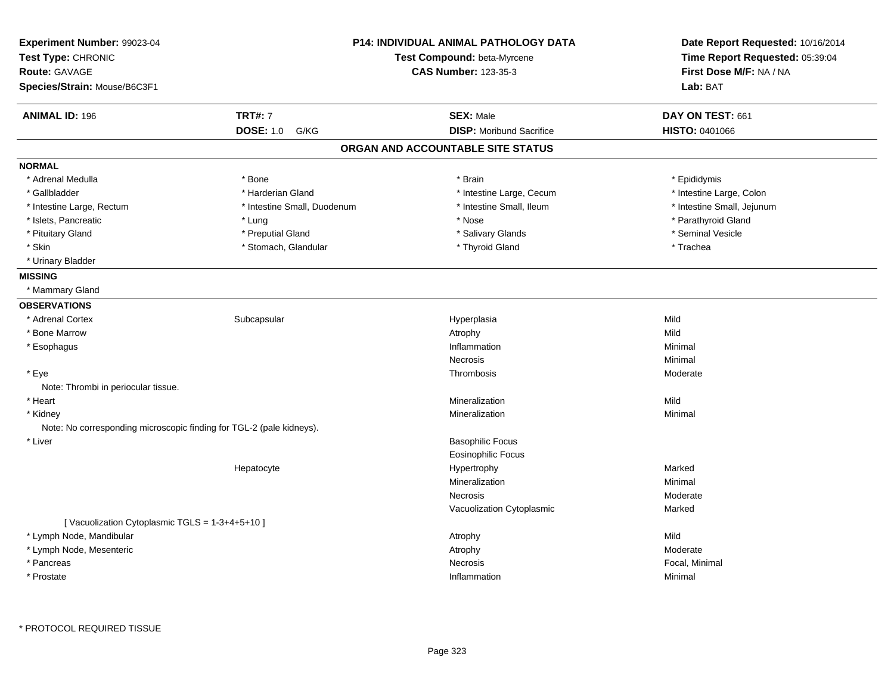| Experiment Number: 99023-04<br>Test Type: CHRONIC<br>Route: GAVAGE<br>Species/Strain: Mouse/B6C3F1 |                             | P14: INDIVIDUAL ANIMAL PATHOLOGY DATA<br>Test Compound: beta-Myrcene<br><b>CAS Number: 123-35-3</b> | Date Report Requested: 10/16/2014<br>Time Report Requested: 05:39:04<br>First Dose M/F: NA / NA<br>Lab: BAT |
|----------------------------------------------------------------------------------------------------|-----------------------------|-----------------------------------------------------------------------------------------------------|-------------------------------------------------------------------------------------------------------------|
| <b>ANIMAL ID: 196</b>                                                                              | <b>TRT#: 7</b>              | <b>SEX: Male</b>                                                                                    | DAY ON TEST: 661                                                                                            |
|                                                                                                    | <b>DOSE: 1.0</b><br>G/KG    | <b>DISP:</b> Moribund Sacrifice                                                                     | HISTO: 0401066                                                                                              |
|                                                                                                    |                             | ORGAN AND ACCOUNTABLE SITE STATUS                                                                   |                                                                                                             |
| <b>NORMAL</b>                                                                                      |                             |                                                                                                     |                                                                                                             |
| * Adrenal Medulla                                                                                  | * Bone                      | * Brain                                                                                             | * Epididymis                                                                                                |
| * Gallbladder                                                                                      | * Harderian Gland           | * Intestine Large, Cecum                                                                            | * Intestine Large, Colon                                                                                    |
| * Intestine Large, Rectum                                                                          | * Intestine Small, Duodenum | * Intestine Small, Ileum                                                                            | * Intestine Small, Jejunum                                                                                  |
| * Islets, Pancreatic                                                                               | * Lung                      | * Nose                                                                                              | * Parathyroid Gland                                                                                         |
| * Pituitary Gland                                                                                  | * Preputial Gland           | * Salivary Glands                                                                                   | * Seminal Vesicle                                                                                           |
| * Skin                                                                                             | * Stomach, Glandular        | * Thyroid Gland                                                                                     | * Trachea                                                                                                   |
| * Urinary Bladder                                                                                  |                             |                                                                                                     |                                                                                                             |
| <b>MISSING</b>                                                                                     |                             |                                                                                                     |                                                                                                             |
| * Mammary Gland                                                                                    |                             |                                                                                                     |                                                                                                             |
| <b>OBSERVATIONS</b>                                                                                |                             |                                                                                                     |                                                                                                             |
| * Adrenal Cortex                                                                                   | Subcapsular                 | Hyperplasia                                                                                         | Mild                                                                                                        |
| * Bone Marrow                                                                                      |                             | Atrophy                                                                                             | Mild                                                                                                        |
| * Esophagus                                                                                        |                             | Inflammation                                                                                        | Minimal                                                                                                     |
|                                                                                                    |                             | Necrosis                                                                                            | Minimal                                                                                                     |
| * Eye                                                                                              |                             | Thrombosis                                                                                          | Moderate                                                                                                    |
| Note: Thrombi in periocular tissue.                                                                |                             |                                                                                                     |                                                                                                             |
| * Heart                                                                                            |                             | Mineralization                                                                                      | Mild                                                                                                        |
| * Kidney                                                                                           |                             | Mineralization                                                                                      | Minimal                                                                                                     |
| Note: No corresponding microscopic finding for TGL-2 (pale kidneys).                               |                             |                                                                                                     |                                                                                                             |
| * Liver                                                                                            |                             | <b>Basophilic Focus</b>                                                                             |                                                                                                             |
|                                                                                                    |                             | <b>Eosinophilic Focus</b>                                                                           |                                                                                                             |
|                                                                                                    | Hepatocyte                  | Hypertrophy                                                                                         | Marked                                                                                                      |
|                                                                                                    |                             | Mineralization                                                                                      | Minimal                                                                                                     |
|                                                                                                    |                             | Necrosis                                                                                            | Moderate                                                                                                    |
|                                                                                                    |                             | Vacuolization Cytoplasmic                                                                           | Marked                                                                                                      |
| [Vacuolization Cytoplasmic TGLS = 1-3+4+5+10]                                                      |                             |                                                                                                     |                                                                                                             |
| * Lymph Node, Mandibular                                                                           |                             | Atrophy                                                                                             | Mild                                                                                                        |
| * Lymph Node, Mesenteric                                                                           |                             | Atrophy                                                                                             | Moderate                                                                                                    |
| * Pancreas                                                                                         |                             | Necrosis                                                                                            | Focal, Minimal                                                                                              |
| * Prostate                                                                                         |                             | Inflammation                                                                                        | Minimal                                                                                                     |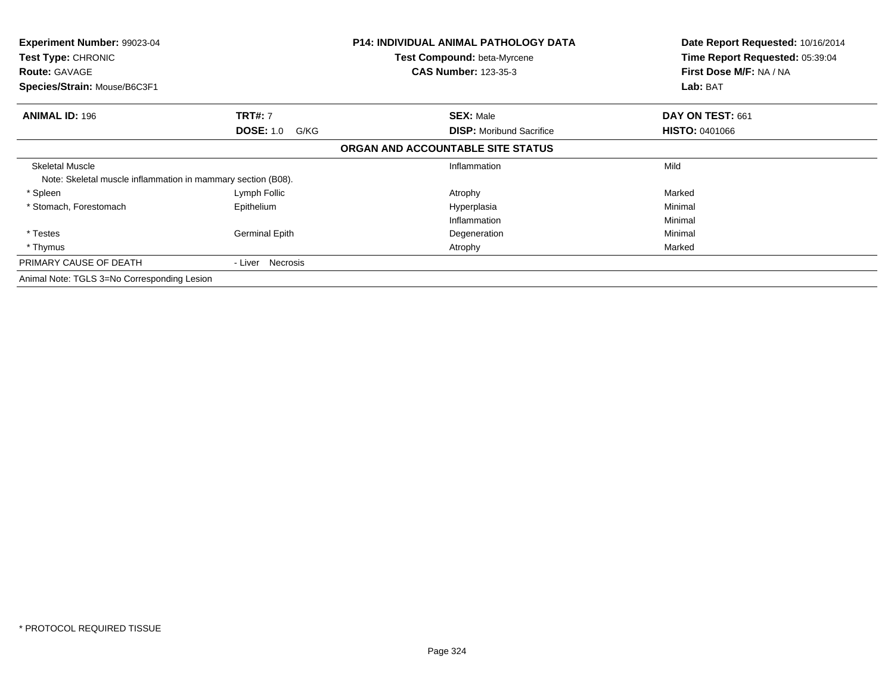| <b>Experiment Number: 99023-04</b><br><b>Test Type: CHRONIC</b> |                          | <b>P14: INDIVIDUAL ANIMAL PATHOLOGY DATA</b><br><b>Test Compound: beta-Myrcene</b> | Date Report Requested: 10/16/2014<br>Time Report Requested: 05:39:04 |
|-----------------------------------------------------------------|--------------------------|------------------------------------------------------------------------------------|----------------------------------------------------------------------|
| <b>Route: GAVAGE</b>                                            |                          | <b>CAS Number: 123-35-3</b>                                                        | First Dose M/F: NA / NA                                              |
| Species/Strain: Mouse/B6C3F1                                    |                          |                                                                                    | Lab: BAT                                                             |
| <b>ANIMAL ID: 196</b>                                           | <b>TRT#: 7</b>           | <b>SEX: Male</b>                                                                   | DAY ON TEST: 661                                                     |
|                                                                 | <b>DOSE: 1.0</b><br>G/KG | <b>DISP:</b> Moribund Sacrifice                                                    | <b>HISTO: 0401066</b>                                                |
|                                                                 |                          | ORGAN AND ACCOUNTABLE SITE STATUS                                                  |                                                                      |
| <b>Skeletal Muscle</b>                                          |                          | Inflammation                                                                       | Mild                                                                 |
| Note: Skeletal muscle inflammation in mammary section (B08).    |                          |                                                                                    |                                                                      |
| * Spleen                                                        | Lymph Follic             | Atrophy                                                                            | Marked                                                               |
| * Stomach, Forestomach                                          | Epithelium               | Hyperplasia                                                                        | Minimal                                                              |
|                                                                 |                          | Inflammation                                                                       | Minimal                                                              |
| * Testes                                                        | <b>Germinal Epith</b>    | Degeneration                                                                       | Minimal                                                              |
| * Thymus                                                        |                          | Atrophy                                                                            | Marked                                                               |
| PRIMARY CAUSE OF DEATH                                          | - Liver Necrosis         |                                                                                    |                                                                      |
| Animal Note: TGLS 3=No Corresponding Lesion                     |                          |                                                                                    |                                                                      |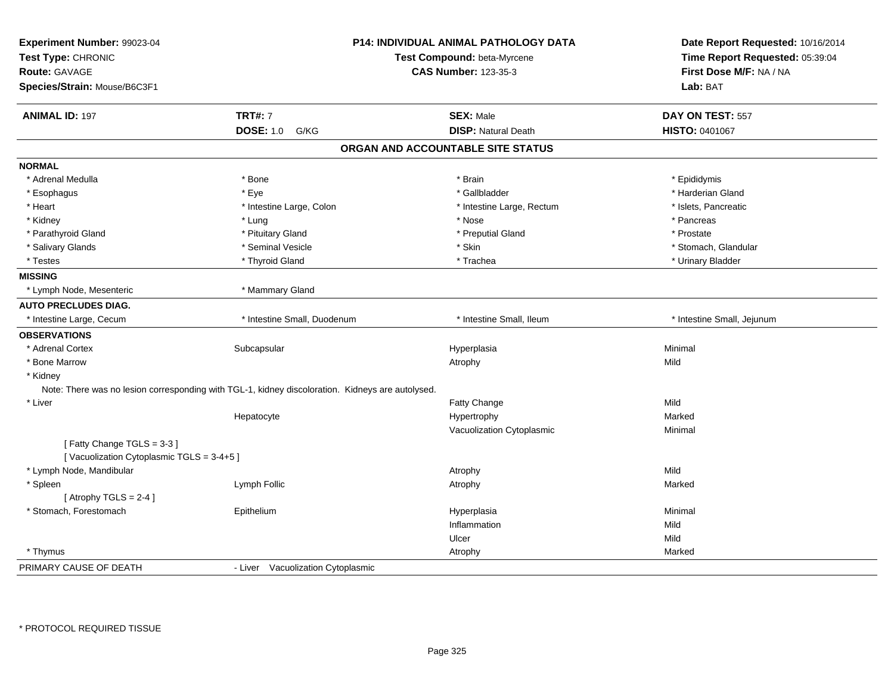| Experiment Number: 99023-04              |                                                                                                  | <b>P14: INDIVIDUAL ANIMAL PATHOLOGY DATA</b> | Date Report Requested: 10/16/2014 |
|------------------------------------------|--------------------------------------------------------------------------------------------------|----------------------------------------------|-----------------------------------|
| Test Type: CHRONIC                       |                                                                                                  | Test Compound: beta-Myrcene                  | Time Report Requested: 05:39:04   |
| <b>Route: GAVAGE</b>                     |                                                                                                  | <b>CAS Number: 123-35-3</b>                  | First Dose M/F: NA / NA           |
| Species/Strain: Mouse/B6C3F1             |                                                                                                  |                                              | Lab: BAT                          |
| <b>ANIMAL ID: 197</b>                    | <b>TRT#: 7</b>                                                                                   | <b>SEX: Male</b>                             | DAY ON TEST: 557                  |
|                                          | <b>DOSE: 1.0</b><br>G/KG                                                                         | <b>DISP: Natural Death</b>                   | HISTO: 0401067                    |
|                                          |                                                                                                  | ORGAN AND ACCOUNTABLE SITE STATUS            |                                   |
| <b>NORMAL</b>                            |                                                                                                  |                                              |                                   |
| * Adrenal Medulla                        | * Bone                                                                                           | * Brain                                      | * Epididymis                      |
| * Esophagus                              | * Eye                                                                                            | * Gallbladder                                | * Harderian Gland                 |
| * Heart                                  | * Intestine Large, Colon                                                                         | * Intestine Large, Rectum                    | * Islets, Pancreatic              |
| * Kidney                                 | * Lung                                                                                           | * Nose                                       | * Pancreas                        |
| * Parathyroid Gland                      | * Pituitary Gland                                                                                | * Preputial Gland                            | * Prostate                        |
| * Salivary Glands                        | * Seminal Vesicle                                                                                | * Skin                                       | * Stomach, Glandular              |
| * Testes                                 | * Thyroid Gland                                                                                  | * Trachea                                    | * Urinary Bladder                 |
| <b>MISSING</b>                           |                                                                                                  |                                              |                                   |
| * Lymph Node, Mesenteric                 | * Mammary Gland                                                                                  |                                              |                                   |
| <b>AUTO PRECLUDES DIAG.</b>              |                                                                                                  |                                              |                                   |
| * Intestine Large, Cecum                 | * Intestine Small, Duodenum                                                                      | * Intestine Small, Ileum                     | * Intestine Small, Jejunum        |
| <b>OBSERVATIONS</b>                      |                                                                                                  |                                              |                                   |
| * Adrenal Cortex                         | Subcapsular                                                                                      | Hyperplasia                                  | Minimal                           |
| * Bone Marrow                            |                                                                                                  | Atrophy                                      | Mild                              |
| * Kidney                                 |                                                                                                  |                                              |                                   |
|                                          | Note: There was no lesion corresponding with TGL-1, kidney discoloration. Kidneys are autolysed. |                                              |                                   |
| * Liver                                  |                                                                                                  | Fatty Change                                 | Mild                              |
|                                          | Hepatocyte                                                                                       | Hypertrophy                                  | Marked                            |
|                                          |                                                                                                  | Vacuolization Cytoplasmic                    | Minimal                           |
| [Fatty Change TGLS = 3-3]                |                                                                                                  |                                              |                                   |
| [Vacuolization Cytoplasmic TGLS = 3-4+5] |                                                                                                  |                                              |                                   |
| * Lymph Node, Mandibular                 |                                                                                                  | Atrophy                                      | Mild                              |
| * Spleen                                 | Lymph Follic                                                                                     | Atrophy                                      | Marked                            |
| [Atrophy TGLS = $2-4$ ]                  |                                                                                                  |                                              |                                   |
| * Stomach, Forestomach                   | Epithelium                                                                                       | Hyperplasia                                  | Minimal                           |
|                                          |                                                                                                  | Inflammation                                 | Mild                              |
|                                          |                                                                                                  | Ulcer                                        | Mild                              |
| * Thymus                                 |                                                                                                  | Atrophy                                      | Marked                            |
| PRIMARY CAUSE OF DEATH                   | - Liver Vacuolization Cytoplasmic                                                                |                                              |                                   |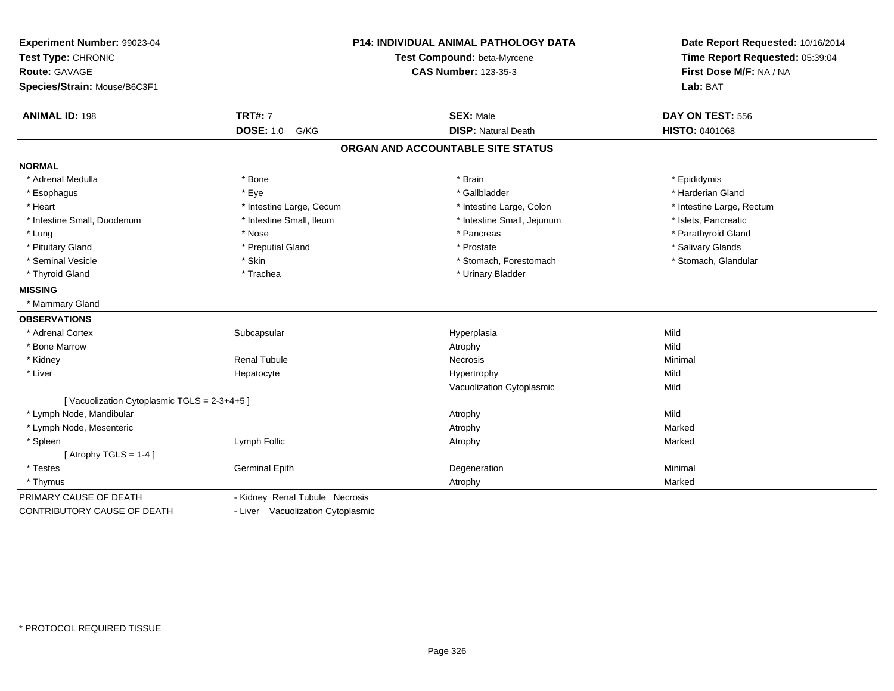| Experiment Number: 99023-04<br>Test Type: CHRONIC<br>Route: GAVAGE<br>Species/Strain: Mouse/B6C3F1 |                                   | <b>P14: INDIVIDUAL ANIMAL PATHOLOGY DATA</b><br>Test Compound: beta-Myrcene<br><b>CAS Number: 123-35-3</b> | Date Report Requested: 10/16/2014<br>Time Report Requested: 05:39:04<br>First Dose M/F: NA / NA<br>Lab: BAT |
|----------------------------------------------------------------------------------------------------|-----------------------------------|------------------------------------------------------------------------------------------------------------|-------------------------------------------------------------------------------------------------------------|
| <b>ANIMAL ID: 198</b>                                                                              | <b>TRT#: 7</b>                    | <b>SEX: Male</b>                                                                                           | DAY ON TEST: 556                                                                                            |
|                                                                                                    | <b>DOSE: 1.0</b><br>G/KG          | <b>DISP: Natural Death</b>                                                                                 | <b>HISTO: 0401068</b>                                                                                       |
|                                                                                                    |                                   | ORGAN AND ACCOUNTABLE SITE STATUS                                                                          |                                                                                                             |
| <b>NORMAL</b>                                                                                      |                                   |                                                                                                            |                                                                                                             |
| * Adrenal Medulla                                                                                  | * Bone                            | * Brain                                                                                                    | * Epididymis                                                                                                |
| * Esophagus                                                                                        | * Eye                             | * Gallbladder                                                                                              | * Harderian Gland                                                                                           |
| * Heart                                                                                            | * Intestine Large, Cecum          | * Intestine Large, Colon                                                                                   | * Intestine Large, Rectum                                                                                   |
| * Intestine Small, Duodenum                                                                        | * Intestine Small, Ileum          | * Intestine Small, Jejunum                                                                                 | * Islets, Pancreatic                                                                                        |
| * Lung                                                                                             | * Nose                            | * Pancreas                                                                                                 | * Parathyroid Gland                                                                                         |
| * Pituitary Gland                                                                                  | * Preputial Gland                 | * Prostate                                                                                                 | * Salivary Glands                                                                                           |
| * Seminal Vesicle                                                                                  | * Skin                            | * Stomach, Forestomach                                                                                     | * Stomach, Glandular                                                                                        |
| * Thyroid Gland                                                                                    | * Trachea                         | * Urinary Bladder                                                                                          |                                                                                                             |
| <b>MISSING</b>                                                                                     |                                   |                                                                                                            |                                                                                                             |
| * Mammary Gland                                                                                    |                                   |                                                                                                            |                                                                                                             |
| <b>OBSERVATIONS</b>                                                                                |                                   |                                                                                                            |                                                                                                             |
| * Adrenal Cortex                                                                                   | Subcapsular                       | Hyperplasia                                                                                                | Mild                                                                                                        |
| * Bone Marrow                                                                                      |                                   | Atrophy                                                                                                    | Mild                                                                                                        |
| * Kidney                                                                                           | <b>Renal Tubule</b>               | Necrosis                                                                                                   | Minimal                                                                                                     |
| * Liver                                                                                            | Hepatocyte                        | Hypertrophy                                                                                                | Mild                                                                                                        |
|                                                                                                    |                                   | Vacuolization Cytoplasmic                                                                                  | Mild                                                                                                        |
| [Vacuolization Cytoplasmic TGLS = 2-3+4+5]                                                         |                                   |                                                                                                            |                                                                                                             |
| * Lymph Node, Mandibular                                                                           |                                   | Atrophy                                                                                                    | Mild                                                                                                        |
| * Lymph Node, Mesenteric                                                                           |                                   | Atrophy                                                                                                    | Marked                                                                                                      |
| * Spleen                                                                                           | Lymph Follic                      | Atrophy                                                                                                    | Marked                                                                                                      |
| [Atrophy TGLS = $1-4$ ]                                                                            |                                   |                                                                                                            |                                                                                                             |
| * Testes                                                                                           | <b>Germinal Epith</b>             | Degeneration                                                                                               | Minimal                                                                                                     |
| * Thymus                                                                                           |                                   | Atrophy                                                                                                    | Marked                                                                                                      |
| PRIMARY CAUSE OF DEATH                                                                             | - Kidney Renal Tubule Necrosis    |                                                                                                            |                                                                                                             |
| CONTRIBUTORY CAUSE OF DEATH                                                                        | - Liver Vacuolization Cytoplasmic |                                                                                                            |                                                                                                             |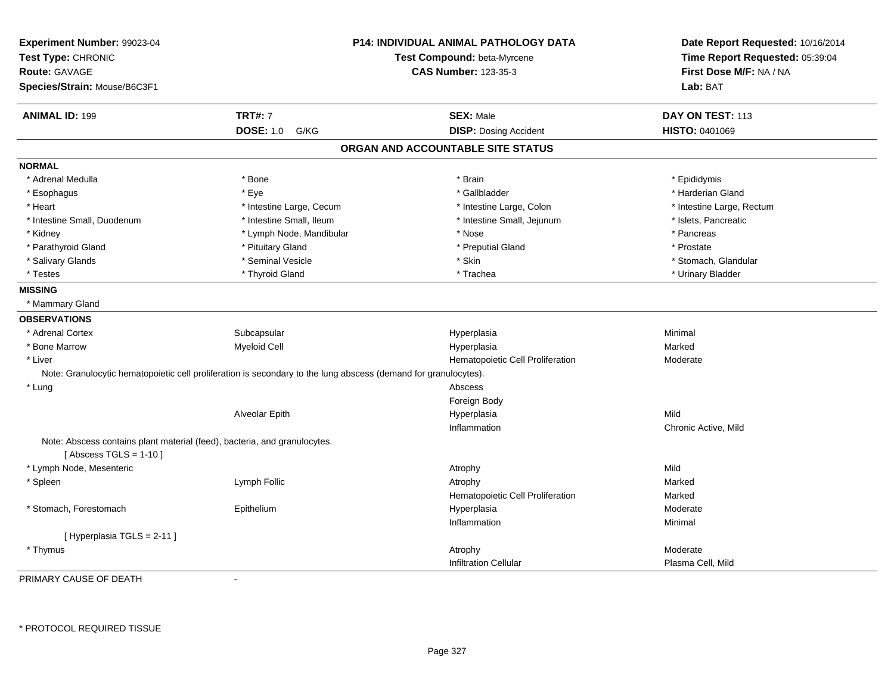| Experiment Number: 99023-04                                                                           |                                                                                                                 | P14: INDIVIDUAL ANIMAL PATHOLOGY DATA | Date Report Requested: 10/16/2014 |
|-------------------------------------------------------------------------------------------------------|-----------------------------------------------------------------------------------------------------------------|---------------------------------------|-----------------------------------|
| Test Type: CHRONIC                                                                                    |                                                                                                                 | Test Compound: beta-Myrcene           | Time Report Requested: 05:39:04   |
| <b>Route: GAVAGE</b>                                                                                  |                                                                                                                 | <b>CAS Number: 123-35-3</b>           | First Dose M/F: NA / NA           |
| Species/Strain: Mouse/B6C3F1                                                                          |                                                                                                                 |                                       | Lab: BAT                          |
| <b>ANIMAL ID: 199</b>                                                                                 | <b>TRT#: 7</b>                                                                                                  | <b>SEX: Male</b>                      | DAY ON TEST: 113                  |
|                                                                                                       | <b>DOSE: 1.0</b><br>G/KG                                                                                        | <b>DISP: Dosing Accident</b>          | HISTO: 0401069                    |
|                                                                                                       |                                                                                                                 | ORGAN AND ACCOUNTABLE SITE STATUS     |                                   |
| <b>NORMAL</b>                                                                                         |                                                                                                                 |                                       |                                   |
| * Adrenal Medulla                                                                                     | * Bone                                                                                                          | * Brain                               | * Epididymis                      |
| * Esophagus                                                                                           | * Eye                                                                                                           | * Gallbladder                         | * Harderian Gland                 |
| * Heart                                                                                               | * Intestine Large, Cecum                                                                                        | * Intestine Large, Colon              | * Intestine Large, Rectum         |
| * Intestine Small, Duodenum                                                                           | * Intestine Small, Ileum                                                                                        | * Intestine Small, Jejunum            | * Islets, Pancreatic              |
| * Kidney                                                                                              | * Lymph Node, Mandibular                                                                                        | * Nose                                | * Pancreas                        |
| * Parathyroid Gland                                                                                   | * Pituitary Gland                                                                                               | * Preputial Gland                     | * Prostate                        |
| * Salivary Glands                                                                                     | * Seminal Vesicle                                                                                               | * Skin                                | * Stomach, Glandular              |
| * Testes                                                                                              | * Thyroid Gland                                                                                                 | * Trachea                             | * Urinary Bladder                 |
| <b>MISSING</b>                                                                                        |                                                                                                                 |                                       |                                   |
| * Mammary Gland                                                                                       |                                                                                                                 |                                       |                                   |
| <b>OBSERVATIONS</b>                                                                                   |                                                                                                                 |                                       |                                   |
| * Adrenal Cortex                                                                                      | Subcapsular                                                                                                     | Hyperplasia                           | Minimal                           |
| * Bone Marrow                                                                                         | <b>Myeloid Cell</b>                                                                                             | Hyperplasia                           | Marked                            |
| * Liver                                                                                               |                                                                                                                 | Hematopoietic Cell Proliferation      | Moderate                          |
|                                                                                                       | Note: Granulocytic hematopoietic cell proliferation is secondary to the lung abscess (demand for granulocytes). |                                       |                                   |
| * Lung                                                                                                |                                                                                                                 | Abscess                               |                                   |
|                                                                                                       |                                                                                                                 | Foreign Body                          |                                   |
|                                                                                                       | Alveolar Epith                                                                                                  | Hyperplasia                           | Mild                              |
|                                                                                                       |                                                                                                                 | Inflammation                          | Chronic Active, Mild              |
| Note: Abscess contains plant material (feed), bacteria, and granulocytes.<br>[Abscess TGLS = $1-10$ ] |                                                                                                                 |                                       |                                   |
| * Lymph Node, Mesenteric                                                                              |                                                                                                                 | Atrophy                               | Mild                              |
| * Spleen                                                                                              | Lymph Follic                                                                                                    | Atrophy                               | Marked                            |
|                                                                                                       |                                                                                                                 | Hematopoietic Cell Proliferation      | Marked                            |
| * Stomach, Forestomach                                                                                | Epithelium                                                                                                      | Hyperplasia                           | Moderate                          |
|                                                                                                       |                                                                                                                 | Inflammation                          | Minimal                           |
| [Hyperplasia TGLS = 2-11]                                                                             |                                                                                                                 |                                       |                                   |
| * Thymus                                                                                              |                                                                                                                 | Atrophy                               | Moderate                          |
|                                                                                                       |                                                                                                                 | <b>Infiltration Cellular</b>          | Plasma Cell, Mild                 |
|                                                                                                       |                                                                                                                 |                                       |                                   |

PRIMARY CAUSE OF DEATH-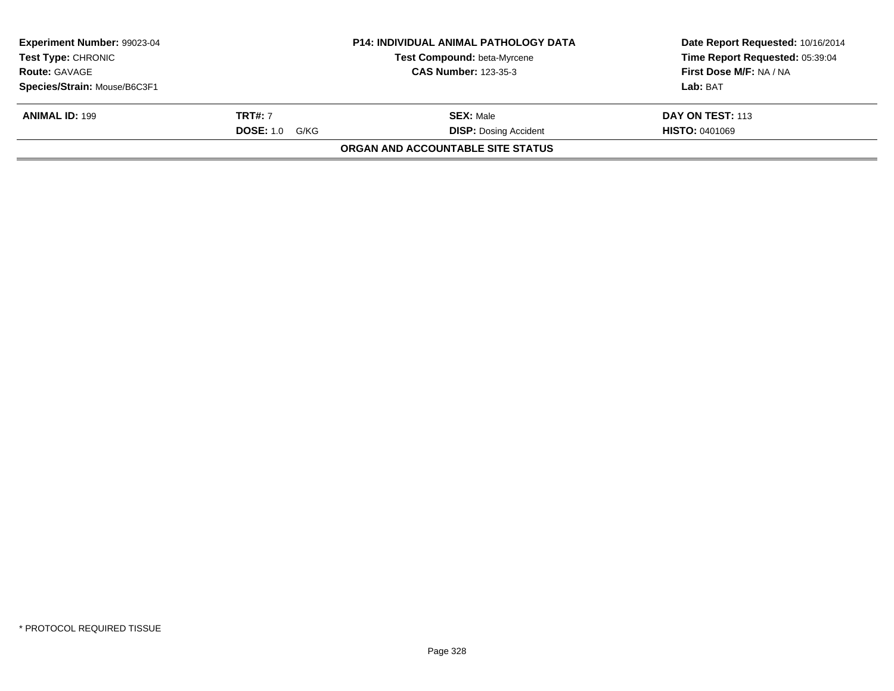| Experiment Number: 99023-04<br>Test Type: CHRONIC |                       | <b>P14: INDIVIDUAL ANIMAL PATHOLOGY DATA</b><br>Test Compound: beta-Myrcene | Date Report Requested: 10/16/2014<br>Time Report Requested: 05:39:04 |
|---------------------------------------------------|-----------------------|-----------------------------------------------------------------------------|----------------------------------------------------------------------|
| <b>Route: GAVAGE</b>                              |                       | <b>CAS Number: 123-35-3</b>                                                 | First Dose M/F: NA / NA                                              |
| Species/Strain: Mouse/B6C3F1                      |                       |                                                                             | Lab: BAT                                                             |
| <b>ANIMAL ID: 199</b>                             | <b>TRT#:</b> 7        | <b>SEX: Male</b>                                                            | <b>DAY ON TEST: 113</b>                                              |
|                                                   | <b>DOSE:</b> 1.0 G/KG | <b>DISP:</b> Dosing Accident                                                | <b>HISTO: 0401069</b>                                                |
|                                                   |                       | ORGAN AND ACCOUNTABLE SITE STATUS                                           |                                                                      |
|                                                   |                       |                                                                             |                                                                      |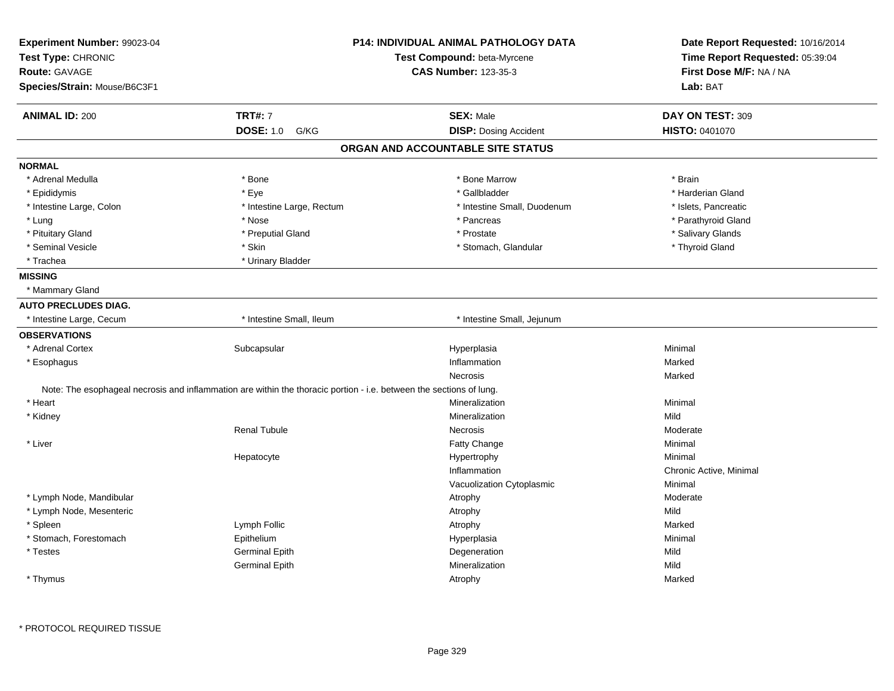| Experiment Number: 99023-04<br>Test Type: CHRONIC |                                                                                                                     | <b>P14: INDIVIDUAL ANIMAL PATHOLOGY DATA</b><br>Test Compound: beta-Myrcene | Date Report Requested: 10/16/2014<br>Time Report Requested: 05:39:04 |
|---------------------------------------------------|---------------------------------------------------------------------------------------------------------------------|-----------------------------------------------------------------------------|----------------------------------------------------------------------|
| <b>Route: GAVAGE</b>                              |                                                                                                                     | <b>CAS Number: 123-35-3</b>                                                 | First Dose M/F: NA / NA                                              |
| Species/Strain: Mouse/B6C3F1                      |                                                                                                                     |                                                                             | Lab: BAT                                                             |
|                                                   |                                                                                                                     |                                                                             |                                                                      |
| <b>ANIMAL ID: 200</b>                             | <b>TRT#: 7</b>                                                                                                      | <b>SEX: Male</b>                                                            | DAY ON TEST: 309                                                     |
|                                                   | <b>DOSE: 1.0</b><br>G/KG                                                                                            | <b>DISP: Dosing Accident</b>                                                | HISTO: 0401070                                                       |
|                                                   |                                                                                                                     | ORGAN AND ACCOUNTABLE SITE STATUS                                           |                                                                      |
| <b>NORMAL</b>                                     |                                                                                                                     |                                                                             |                                                                      |
| * Adrenal Medulla                                 | * Bone                                                                                                              | * Bone Marrow                                                               | * Brain                                                              |
| * Epididymis                                      | * Eye                                                                                                               | * Gallbladder                                                               | * Harderian Gland                                                    |
| * Intestine Large, Colon                          | * Intestine Large, Rectum                                                                                           | * Intestine Small, Duodenum                                                 | * Islets, Pancreatic                                                 |
| * Lung                                            | * Nose                                                                                                              | * Pancreas                                                                  | * Parathyroid Gland                                                  |
| * Pituitary Gland                                 | * Preputial Gland                                                                                                   | * Prostate                                                                  | * Salivary Glands                                                    |
| * Seminal Vesicle                                 | * Skin                                                                                                              | * Stomach, Glandular                                                        | * Thyroid Gland                                                      |
| * Trachea                                         | * Urinary Bladder                                                                                                   |                                                                             |                                                                      |
| <b>MISSING</b>                                    |                                                                                                                     |                                                                             |                                                                      |
| * Mammary Gland                                   |                                                                                                                     |                                                                             |                                                                      |
| <b>AUTO PRECLUDES DIAG.</b>                       |                                                                                                                     |                                                                             |                                                                      |
| * Intestine Large, Cecum                          | * Intestine Small, Ileum                                                                                            | * Intestine Small, Jejunum                                                  |                                                                      |
| <b>OBSERVATIONS</b>                               |                                                                                                                     |                                                                             |                                                                      |
| * Adrenal Cortex                                  | Subcapsular                                                                                                         | Hyperplasia                                                                 | Minimal                                                              |
| * Esophagus                                       |                                                                                                                     | Inflammation                                                                | Marked                                                               |
|                                                   |                                                                                                                     | Necrosis                                                                    | Marked                                                               |
|                                                   | Note: The esophageal necrosis and inflammation are within the thoracic portion - i.e. between the sections of lung. |                                                                             |                                                                      |
| * Heart                                           |                                                                                                                     | Mineralization                                                              | Minimal                                                              |
| * Kidney                                          |                                                                                                                     | Mineralization                                                              | Mild                                                                 |
|                                                   | <b>Renal Tubule</b>                                                                                                 | Necrosis                                                                    | Moderate                                                             |
| * Liver                                           |                                                                                                                     | Fatty Change                                                                | Minimal                                                              |
|                                                   | Hepatocyte                                                                                                          | Hypertrophy                                                                 | Minimal                                                              |
|                                                   |                                                                                                                     | Inflammation                                                                | Chronic Active, Minimal                                              |
|                                                   |                                                                                                                     | Vacuolization Cytoplasmic                                                   | Minimal                                                              |
| * Lymph Node, Mandibular                          |                                                                                                                     | Atrophy                                                                     | Moderate                                                             |
| * Lymph Node, Mesenteric                          |                                                                                                                     | Atrophy                                                                     | Mild                                                                 |
| * Spleen                                          | Lymph Follic                                                                                                        | Atrophy                                                                     | Marked                                                               |
| * Stomach, Forestomach                            | Epithelium                                                                                                          | Hyperplasia                                                                 | Minimal                                                              |
| $^\star$ Testes                                   | <b>Germinal Epith</b>                                                                                               | Degeneration                                                                | Mild                                                                 |
|                                                   | <b>Germinal Epith</b>                                                                                               | Mineralization                                                              | Mild                                                                 |
| * Thymus                                          |                                                                                                                     | Atrophy                                                                     | Marked                                                               |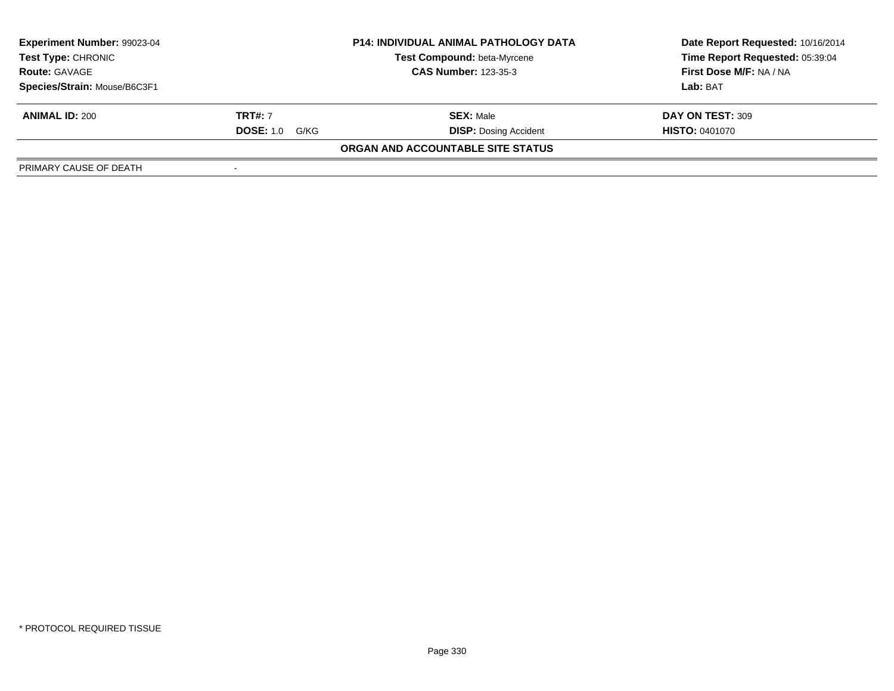| Experiment Number: 99023-04<br><b>Test Type: CHRONIC</b><br><b>Route: GAVAGE</b> |                       | <b>P14: INDIVIDUAL ANIMAL PATHOLOGY DATA</b> | Date Report Requested: 10/16/2014 |  |
|----------------------------------------------------------------------------------|-----------------------|----------------------------------------------|-----------------------------------|--|
|                                                                                  |                       | <b>Test Compound: beta-Myrcene</b>           | Time Report Requested: 05:39:04   |  |
|                                                                                  |                       | <b>CAS Number: 123-35-3</b>                  | First Dose M/F: NA / NA           |  |
| Species/Strain: Mouse/B6C3F1                                                     |                       |                                              | Lab: BAT                          |  |
| <b>ANIMAL ID: 200</b>                                                            | <b>TRT#: 7</b>        | <b>SEX: Male</b>                             | DAY ON TEST: 309                  |  |
|                                                                                  | <b>DOSE: 1.0 G/KG</b> | <b>DISP: Dosing Accident</b>                 | <b>HISTO: 0401070</b>             |  |
|                                                                                  |                       | ORGAN AND ACCOUNTABLE SITE STATUS            |                                   |  |
| PRIMARY CAUSE OF DEATH                                                           |                       |                                              |                                   |  |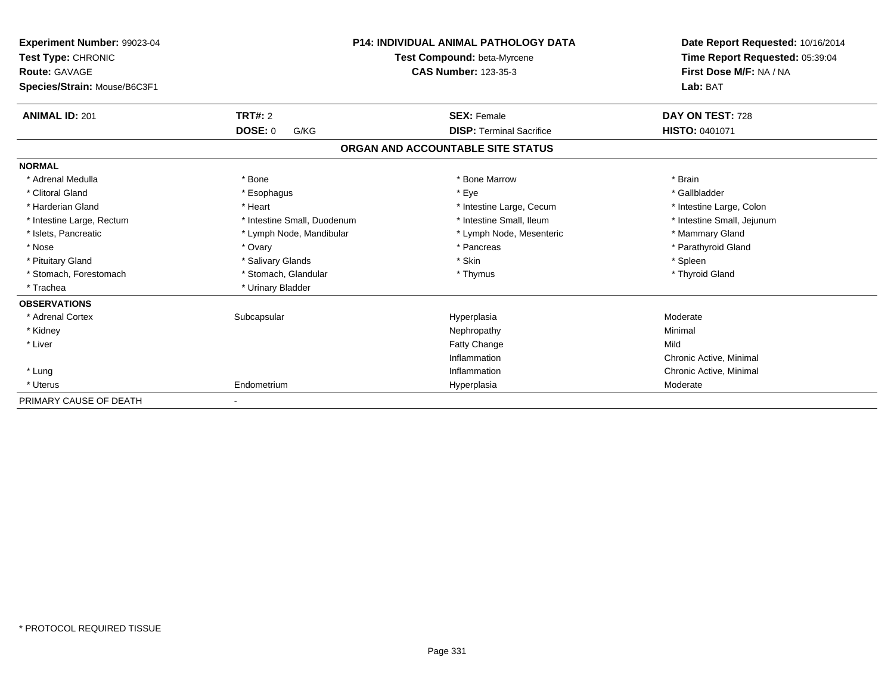| Experiment Number: 99023-04<br>Test Type: CHRONIC<br>Route: GAVAGE |                             | <b>P14: INDIVIDUAL ANIMAL PATHOLOGY DATA</b><br>Test Compound: beta-Myrcene<br><b>CAS Number: 123-35-3</b> | Date Report Requested: 10/16/2014<br>Time Report Requested: 05:39:04<br>First Dose M/F: NA / NA |  |
|--------------------------------------------------------------------|-----------------------------|------------------------------------------------------------------------------------------------------------|-------------------------------------------------------------------------------------------------|--|
| Species/Strain: Mouse/B6C3F1                                       |                             |                                                                                                            | Lab: BAT                                                                                        |  |
| <b>ANIMAL ID: 201</b>                                              | <b>TRT#: 2</b>              | <b>SEX: Female</b>                                                                                         | DAY ON TEST: 728                                                                                |  |
|                                                                    | <b>DOSE: 0</b><br>G/KG      | <b>DISP: Terminal Sacrifice</b>                                                                            | <b>HISTO: 0401071</b>                                                                           |  |
|                                                                    |                             | ORGAN AND ACCOUNTABLE SITE STATUS                                                                          |                                                                                                 |  |
| <b>NORMAL</b>                                                      |                             |                                                                                                            |                                                                                                 |  |
| * Adrenal Medulla                                                  | * Bone                      | * Bone Marrow                                                                                              | * Brain                                                                                         |  |
| * Clitoral Gland                                                   | * Esophagus                 | * Eye                                                                                                      | * Gallbladder                                                                                   |  |
| * Harderian Gland                                                  | * Heart                     | * Intestine Large, Cecum                                                                                   | * Intestine Large, Colon                                                                        |  |
| * Intestine Large, Rectum                                          | * Intestine Small, Duodenum | * Intestine Small, Ileum                                                                                   | * Intestine Small, Jejunum                                                                      |  |
| * Islets, Pancreatic                                               | * Lymph Node, Mandibular    | * Lymph Node, Mesenteric                                                                                   | * Mammary Gland                                                                                 |  |
| * Nose                                                             | * Ovary                     | * Pancreas                                                                                                 | * Parathyroid Gland                                                                             |  |
| * Pituitary Gland                                                  | * Salivary Glands           | * Skin                                                                                                     | * Spleen                                                                                        |  |
| * Stomach, Forestomach                                             | * Stomach, Glandular        | * Thymus                                                                                                   | * Thyroid Gland                                                                                 |  |
| * Trachea                                                          | * Urinary Bladder           |                                                                                                            |                                                                                                 |  |
| <b>OBSERVATIONS</b>                                                |                             |                                                                                                            |                                                                                                 |  |
| * Adrenal Cortex                                                   | Subcapsular                 | Hyperplasia                                                                                                | Moderate                                                                                        |  |
| * Kidney                                                           |                             | Nephropathy                                                                                                | Minimal                                                                                         |  |
| * Liver                                                            |                             | <b>Fatty Change</b>                                                                                        | Mild                                                                                            |  |
|                                                                    |                             | Inflammation                                                                                               | Chronic Active, Minimal                                                                         |  |
| * Lung                                                             |                             | Inflammation                                                                                               | Chronic Active, Minimal                                                                         |  |
| * Uterus                                                           | Endometrium                 | Hyperplasia                                                                                                | Moderate                                                                                        |  |
| PRIMARY CAUSE OF DEATH                                             |                             |                                                                                                            |                                                                                                 |  |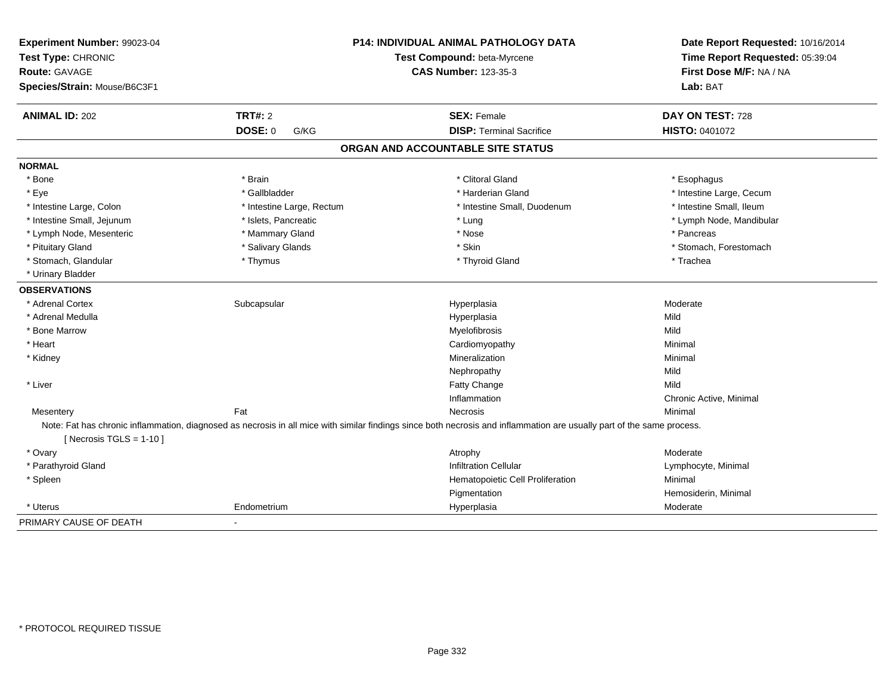| Experiment Number: 99023-04<br>Test Type: CHRONIC<br><b>Route: GAVAGE</b><br>Species/Strain: Mouse/B6C3F1 |                           | P14: INDIVIDUAL ANIMAL PATHOLOGY DATA<br>Test Compound: beta-Myrcene<br><b>CAS Number: 123-35-3</b>                                                                    | Date Report Requested: 10/16/2014<br>Time Report Requested: 05:39:04<br>First Dose M/F: NA / NA<br>Lab: BAT |
|-----------------------------------------------------------------------------------------------------------|---------------------------|------------------------------------------------------------------------------------------------------------------------------------------------------------------------|-------------------------------------------------------------------------------------------------------------|
| <b>ANIMAL ID: 202</b>                                                                                     | TRT#: 2                   | <b>SEX: Female</b>                                                                                                                                                     | DAY ON TEST: 728                                                                                            |
|                                                                                                           | <b>DOSE: 0</b><br>G/KG    | <b>DISP: Terminal Sacrifice</b>                                                                                                                                        | HISTO: 0401072                                                                                              |
|                                                                                                           |                           | ORGAN AND ACCOUNTABLE SITE STATUS                                                                                                                                      |                                                                                                             |
| <b>NORMAL</b>                                                                                             |                           |                                                                                                                                                                        |                                                                                                             |
| * Bone                                                                                                    | * Brain                   | * Clitoral Gland                                                                                                                                                       | * Esophagus                                                                                                 |
| * Eye                                                                                                     | * Gallbladder             | * Harderian Gland                                                                                                                                                      | * Intestine Large, Cecum                                                                                    |
| * Intestine Large, Colon                                                                                  | * Intestine Large, Rectum | * Intestine Small, Duodenum                                                                                                                                            | * Intestine Small, Ileum                                                                                    |
| * Intestine Small, Jejunum                                                                                | * Islets, Pancreatic      | * Lung                                                                                                                                                                 | * Lymph Node, Mandibular                                                                                    |
| * Lymph Node, Mesenteric                                                                                  | * Mammary Gland           | * Nose                                                                                                                                                                 | * Pancreas                                                                                                  |
| * Pituitary Gland                                                                                         | * Salivary Glands         | * Skin                                                                                                                                                                 | * Stomach, Forestomach                                                                                      |
| * Stomach, Glandular                                                                                      | * Thymus                  | * Thyroid Gland                                                                                                                                                        | * Trachea                                                                                                   |
| * Urinary Bladder                                                                                         |                           |                                                                                                                                                                        |                                                                                                             |
| <b>OBSERVATIONS</b>                                                                                       |                           |                                                                                                                                                                        |                                                                                                             |
| * Adrenal Cortex                                                                                          | Subcapsular               | Hyperplasia                                                                                                                                                            | Moderate                                                                                                    |
| * Adrenal Medulla                                                                                         |                           | Hyperplasia                                                                                                                                                            | Mild                                                                                                        |
| * Bone Marrow                                                                                             |                           | Myelofibrosis                                                                                                                                                          | Mild                                                                                                        |
| * Heart                                                                                                   |                           | Cardiomyopathy                                                                                                                                                         | Minimal                                                                                                     |
| * Kidney                                                                                                  |                           | Mineralization                                                                                                                                                         | Minimal                                                                                                     |
|                                                                                                           |                           | Nephropathy                                                                                                                                                            | Mild                                                                                                        |
| * Liver                                                                                                   |                           | <b>Fatty Change</b>                                                                                                                                                    | Mild                                                                                                        |
|                                                                                                           |                           | Inflammation                                                                                                                                                           | Chronic Active, Minimal                                                                                     |
| Mesentery                                                                                                 | Fat                       | <b>Necrosis</b>                                                                                                                                                        | Minimal                                                                                                     |
| [ Necrosis $TGLS = 1-10$ ]                                                                                |                           | Note: Fat has chronic inflammation, diagnosed as necrosis in all mice with similar findings since both necrosis and inflammation are usually part of the same process. |                                                                                                             |
| * Ovary                                                                                                   |                           | Atrophy                                                                                                                                                                | Moderate                                                                                                    |
| * Parathyroid Gland                                                                                       |                           | <b>Infiltration Cellular</b>                                                                                                                                           | Lymphocyte, Minimal                                                                                         |
| * Spleen                                                                                                  |                           | Hematopoietic Cell Proliferation                                                                                                                                       | Minimal                                                                                                     |
|                                                                                                           |                           | Pigmentation                                                                                                                                                           | Hemosiderin, Minimal                                                                                        |
| * Uterus                                                                                                  | Endometrium               | Hyperplasia                                                                                                                                                            | Moderate                                                                                                    |
| PRIMARY CAUSE OF DEATH                                                                                    | $\blacksquare$            |                                                                                                                                                                        |                                                                                                             |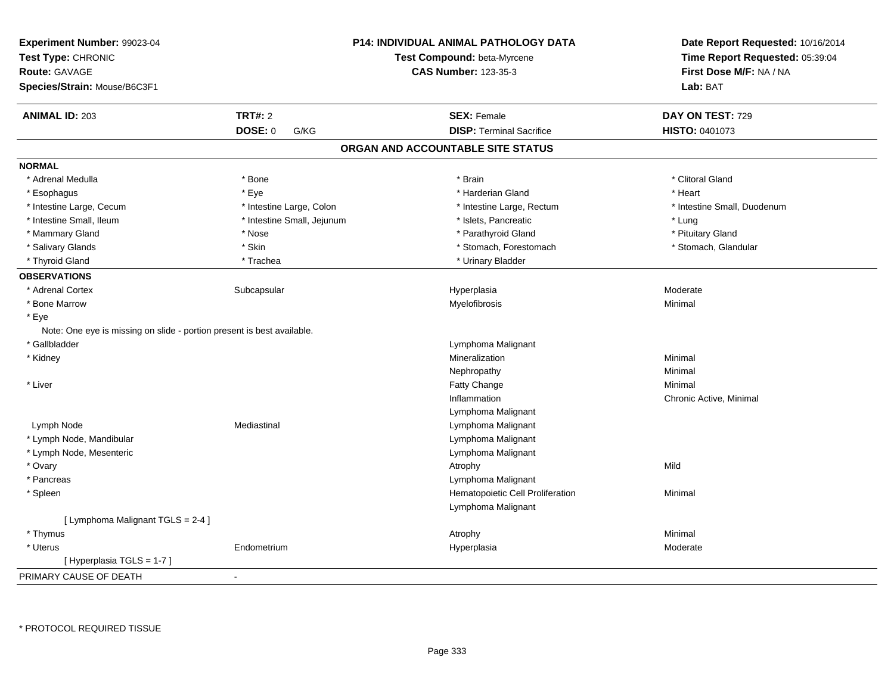| Experiment Number: 99023-04<br>Test Type: CHRONIC<br><b>Route: GAVAGE</b><br>Species/Strain: Mouse/B6C3F1 |                            | <b>P14: INDIVIDUAL ANIMAL PATHOLOGY DATA</b><br>Test Compound: beta-Myrcene<br><b>CAS Number: 123-35-3</b> | Date Report Requested: 10/16/2014<br>Time Report Requested: 05:39:04<br>First Dose M/F: NA / NA<br>Lab: BAT |
|-----------------------------------------------------------------------------------------------------------|----------------------------|------------------------------------------------------------------------------------------------------------|-------------------------------------------------------------------------------------------------------------|
| <b>ANIMAL ID: 203</b>                                                                                     | TRT#: 2                    | <b>SEX: Female</b>                                                                                         | DAY ON TEST: 729                                                                                            |
|                                                                                                           | <b>DOSE: 0</b><br>G/KG     | <b>DISP: Terminal Sacrifice</b>                                                                            | <b>HISTO: 0401073</b>                                                                                       |
|                                                                                                           |                            | ORGAN AND ACCOUNTABLE SITE STATUS                                                                          |                                                                                                             |
| <b>NORMAL</b>                                                                                             |                            |                                                                                                            |                                                                                                             |
| * Adrenal Medulla                                                                                         | * Bone                     | * Brain                                                                                                    | * Clitoral Gland                                                                                            |
| * Esophagus                                                                                               | * Eye                      | * Harderian Gland                                                                                          | * Heart                                                                                                     |
| * Intestine Large, Cecum                                                                                  | * Intestine Large, Colon   | * Intestine Large, Rectum                                                                                  | * Intestine Small, Duodenum                                                                                 |
| * Intestine Small, Ileum                                                                                  | * Intestine Small, Jejunum | * Islets, Pancreatic                                                                                       | * Lung                                                                                                      |
| * Mammary Gland                                                                                           | * Nose                     | * Parathyroid Gland                                                                                        | * Pituitary Gland                                                                                           |
| * Salivary Glands                                                                                         | * Skin                     | * Stomach, Forestomach                                                                                     | * Stomach, Glandular                                                                                        |
| * Thyroid Gland                                                                                           | * Trachea                  | * Urinary Bladder                                                                                          |                                                                                                             |
| <b>OBSERVATIONS</b>                                                                                       |                            |                                                                                                            |                                                                                                             |
| * Adrenal Cortex                                                                                          | Subcapsular                | Hyperplasia                                                                                                | Moderate                                                                                                    |
| * Bone Marrow                                                                                             |                            | Myelofibrosis                                                                                              | Minimal                                                                                                     |
| * Eye                                                                                                     |                            |                                                                                                            |                                                                                                             |
| Note: One eye is missing on slide - portion present is best available.                                    |                            |                                                                                                            |                                                                                                             |
| * Gallbladder                                                                                             |                            | Lymphoma Malignant                                                                                         |                                                                                                             |
| * Kidney                                                                                                  |                            | Mineralization                                                                                             | Minimal                                                                                                     |
|                                                                                                           |                            | Nephropathy                                                                                                | Minimal                                                                                                     |
| * Liver                                                                                                   |                            | Fatty Change                                                                                               | Minimal                                                                                                     |
|                                                                                                           |                            | Inflammation                                                                                               | Chronic Active, Minimal                                                                                     |
|                                                                                                           |                            | Lymphoma Malignant                                                                                         |                                                                                                             |
| Lymph Node                                                                                                | Mediastinal                | Lymphoma Malignant                                                                                         |                                                                                                             |
| * Lymph Node, Mandibular                                                                                  |                            | Lymphoma Malignant                                                                                         |                                                                                                             |
| * Lymph Node, Mesenteric                                                                                  |                            | Lymphoma Malignant                                                                                         |                                                                                                             |
| * Ovary                                                                                                   |                            | Atrophy                                                                                                    | Mild                                                                                                        |
| * Pancreas                                                                                                |                            | Lymphoma Malignant                                                                                         |                                                                                                             |
| * Spleen                                                                                                  |                            | Hematopoietic Cell Proliferation                                                                           | Minimal                                                                                                     |
|                                                                                                           |                            | Lymphoma Malignant                                                                                         |                                                                                                             |
| [ Lymphoma Malignant TGLS = 2-4 ]                                                                         |                            |                                                                                                            |                                                                                                             |
| * Thymus                                                                                                  |                            | Atrophy                                                                                                    | Minimal                                                                                                     |
| * Uterus                                                                                                  | Endometrium                | Hyperplasia                                                                                                | Moderate                                                                                                    |
| [Hyperplasia TGLS = 1-7]                                                                                  |                            |                                                                                                            |                                                                                                             |
| PRIMARY CAUSE OF DEATH                                                                                    | $\mathbf{r}$               |                                                                                                            |                                                                                                             |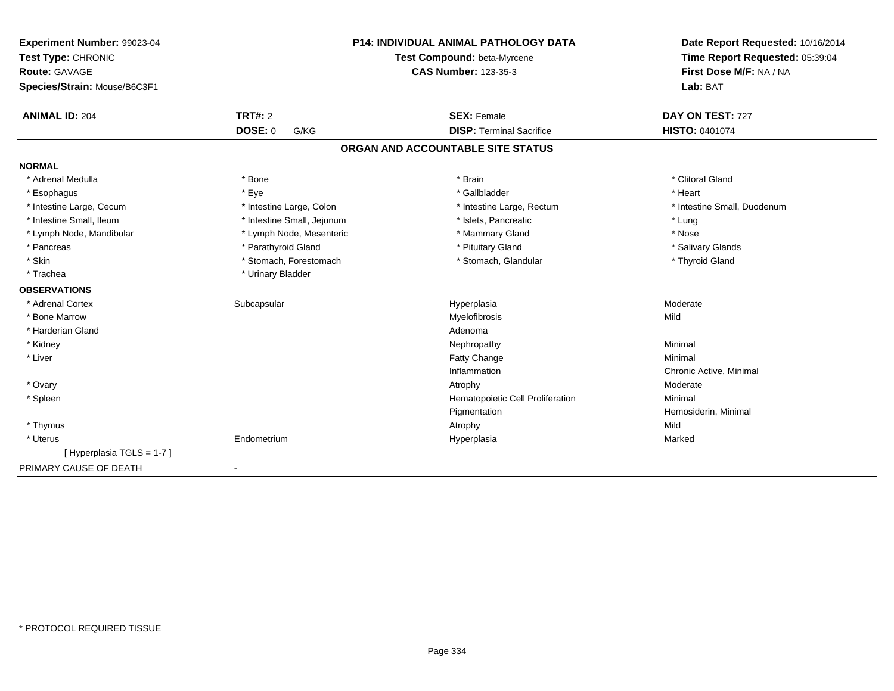| Test Type: CHRONIC                                     | Test Compound: beta-Myrcene       | Time Report Requested: 05:39:04<br>First Dose M/F: NA / NA |  |
|--------------------------------------------------------|-----------------------------------|------------------------------------------------------------|--|
| <b>Route: GAVAGE</b>                                   | <b>CAS Number: 123-35-3</b>       |                                                            |  |
| Species/Strain: Mouse/B6C3F1                           |                                   | Lab: BAT                                                   |  |
| TRT#: 2<br><b>ANIMAL ID: 204</b>                       | <b>SEX: Female</b>                | DAY ON TEST: 727                                           |  |
| <b>DOSE: 0</b><br>G/KG                                 | <b>DISP: Terminal Sacrifice</b>   | <b>HISTO: 0401074</b>                                      |  |
|                                                        | ORGAN AND ACCOUNTABLE SITE STATUS |                                                            |  |
| <b>NORMAL</b>                                          |                                   |                                                            |  |
| * Adrenal Medulla<br>* Bone                            | * Brain                           | * Clitoral Gland                                           |  |
| * Eye<br>* Esophagus                                   | * Gallbladder                     | * Heart                                                    |  |
| * Intestine Large, Cecum<br>* Intestine Large, Colon   | * Intestine Large, Rectum         | * Intestine Small, Duodenum                                |  |
| * Intestine Small, Ileum<br>* Intestine Small, Jejunum | * Islets, Pancreatic              | * Lung                                                     |  |
| * Lymph Node, Mandibular<br>* Lymph Node, Mesenteric   | * Mammary Gland                   | * Nose                                                     |  |
| * Parathyroid Gland<br>* Pancreas                      | * Pituitary Gland                 | * Salivary Glands                                          |  |
| * Stomach, Forestomach<br>* Skin                       | * Stomach, Glandular              | * Thyroid Gland                                            |  |
| * Trachea<br>* Urinary Bladder                         |                                   |                                                            |  |
| <b>OBSERVATIONS</b>                                    |                                   |                                                            |  |
| * Adrenal Cortex<br>Subcapsular                        | Hyperplasia                       | Moderate                                                   |  |
| * Bone Marrow                                          | Myelofibrosis                     | Mild                                                       |  |
| * Harderian Gland                                      | Adenoma                           |                                                            |  |
| * Kidney                                               | Nephropathy                       | Minimal                                                    |  |
| * Liver                                                | Fatty Change                      | Minimal                                                    |  |
|                                                        | Inflammation                      | Chronic Active, Minimal                                    |  |
| * Ovary                                                | Atrophy                           | Moderate                                                   |  |
| * Spleen                                               | Hematopoietic Cell Proliferation  | Minimal                                                    |  |
|                                                        | Pigmentation                      | Hemosiderin, Minimal                                       |  |
| * Thymus                                               | Atrophy                           | Mild                                                       |  |
| Endometrium<br>* Uterus                                | Hyperplasia                       | Marked                                                     |  |
| [Hyperplasia TGLS = 1-7]                               |                                   |                                                            |  |
| PRIMARY CAUSE OF DEATH<br>$\blacksquare$               |                                   |                                                            |  |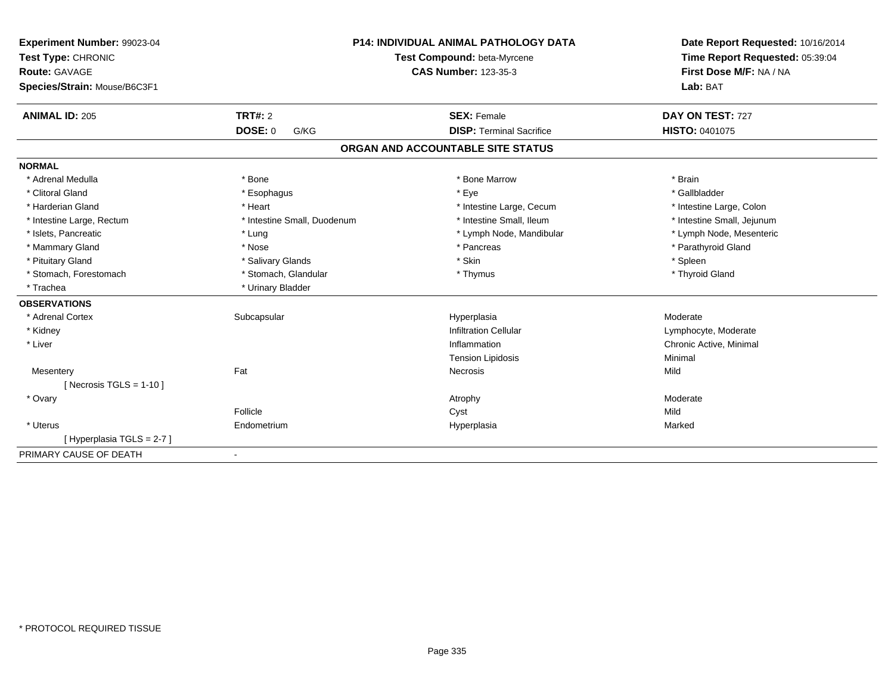| Experiment Number: 99023-04<br>Test Type: CHRONIC |                             | <b>P14: INDIVIDUAL ANIMAL PATHOLOGY DATA</b><br>Test Compound: beta-Myrcene | Date Report Requested: 10/16/2014<br>Time Report Requested: 05:39:04 |
|---------------------------------------------------|-----------------------------|-----------------------------------------------------------------------------|----------------------------------------------------------------------|
| <b>Route: GAVAGE</b>                              |                             | <b>CAS Number: 123-35-3</b>                                                 | First Dose M/F: NA / NA                                              |
| Species/Strain: Mouse/B6C3F1                      |                             |                                                                             | Lab: BAT                                                             |
| <b>ANIMAL ID: 205</b>                             | TRT#: 2                     | <b>SEX: Female</b>                                                          | DAY ON TEST: 727                                                     |
|                                                   | <b>DOSE: 0</b><br>G/KG      | <b>DISP: Terminal Sacrifice</b>                                             | <b>HISTO: 0401075</b>                                                |
|                                                   |                             | ORGAN AND ACCOUNTABLE SITE STATUS                                           |                                                                      |
| <b>NORMAL</b>                                     |                             |                                                                             |                                                                      |
| * Adrenal Medulla                                 | * Bone                      | * Bone Marrow                                                               | * Brain                                                              |
| * Clitoral Gland                                  | * Esophagus                 | * Eye                                                                       | * Gallbladder                                                        |
| * Harderian Gland                                 | * Heart                     | * Intestine Large, Cecum                                                    | * Intestine Large, Colon                                             |
| * Intestine Large, Rectum                         | * Intestine Small, Duodenum | * Intestine Small, Ileum                                                    | * Intestine Small, Jejunum                                           |
| * Islets, Pancreatic                              | * Lung                      | * Lymph Node, Mandibular                                                    | * Lymph Node, Mesenteric                                             |
| * Mammary Gland                                   | * Nose                      | * Pancreas                                                                  | * Parathyroid Gland                                                  |
| * Pituitary Gland                                 | * Salivary Glands           | * Skin                                                                      | * Spleen                                                             |
| * Stomach, Forestomach                            | * Stomach, Glandular        | * Thymus                                                                    | * Thyroid Gland                                                      |
| * Trachea                                         | * Urinary Bladder           |                                                                             |                                                                      |
| <b>OBSERVATIONS</b>                               |                             |                                                                             |                                                                      |
| * Adrenal Cortex                                  | Subcapsular                 | Hyperplasia                                                                 | Moderate                                                             |
| * Kidney                                          |                             | <b>Infiltration Cellular</b>                                                | Lymphocyte, Moderate                                                 |
| * Liver                                           |                             | Inflammation                                                                | Chronic Active, Minimal                                              |
|                                                   |                             | <b>Tension Lipidosis</b>                                                    | Minimal                                                              |
| Mesentery                                         | Fat                         | Necrosis                                                                    | Mild                                                                 |
| [ Necrosis $TGLS = 1-10$ ]                        |                             |                                                                             |                                                                      |
| * Ovary                                           |                             | Atrophy                                                                     | Moderate                                                             |
|                                                   | Follicle                    | Cyst                                                                        | Mild                                                                 |
| * Uterus                                          | Endometrium                 | Hyperplasia                                                                 | Marked                                                               |
| [Hyperplasia TGLS = 2-7]                          |                             |                                                                             |                                                                      |
| PRIMARY CAUSE OF DEATH                            | $\blacksquare$              |                                                                             |                                                                      |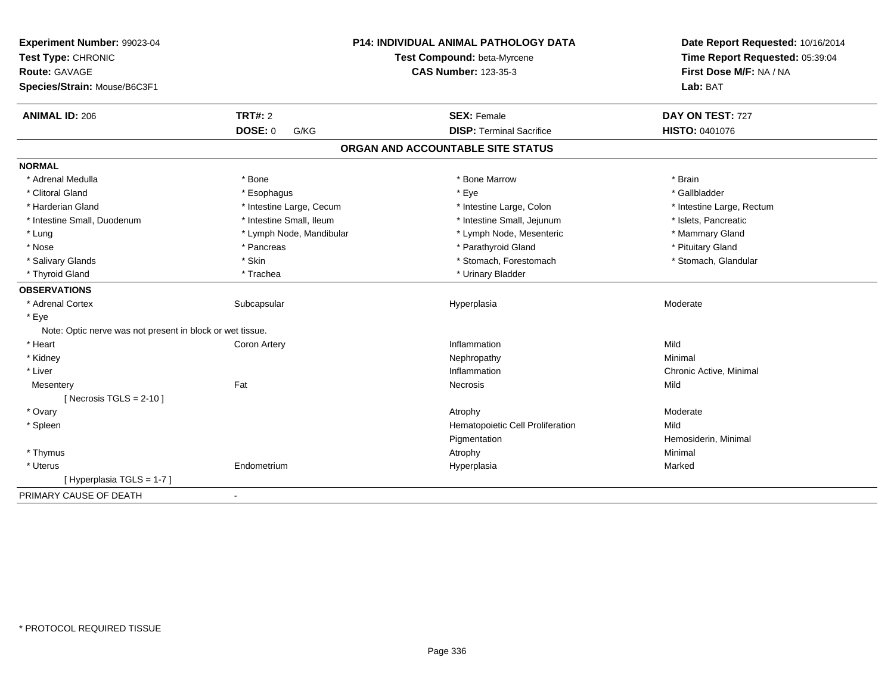| Experiment Number: 99023-04<br>Test Type: CHRONIC<br><b>Route: GAVAGE</b><br>Species/Strain: Mouse/B6C3F1 |                          | <b>P14: INDIVIDUAL ANIMAL PATHOLOGY DATA</b><br>Test Compound: beta-Myrcene<br><b>CAS Number: 123-35-3</b> | Date Report Requested: 10/16/2014<br>Time Report Requested: 05:39:04<br>First Dose M/F: NA / NA<br>Lab: BAT |
|-----------------------------------------------------------------------------------------------------------|--------------------------|------------------------------------------------------------------------------------------------------------|-------------------------------------------------------------------------------------------------------------|
| <b>ANIMAL ID: 206</b>                                                                                     | <b>TRT#: 2</b>           | <b>SEX: Female</b>                                                                                         | DAY ON TEST: 727                                                                                            |
|                                                                                                           | <b>DOSE: 0</b><br>G/KG   | <b>DISP: Terminal Sacrifice</b>                                                                            | HISTO: 0401076                                                                                              |
|                                                                                                           |                          | ORGAN AND ACCOUNTABLE SITE STATUS                                                                          |                                                                                                             |
| <b>NORMAL</b>                                                                                             |                          |                                                                                                            |                                                                                                             |
| * Adrenal Medulla                                                                                         | * Bone                   | * Bone Marrow                                                                                              | * Brain                                                                                                     |
| * Clitoral Gland                                                                                          | * Esophagus              | * Eye                                                                                                      | * Gallbladder                                                                                               |
| * Harderian Gland                                                                                         | * Intestine Large, Cecum | * Intestine Large, Colon                                                                                   | * Intestine Large, Rectum                                                                                   |
| * Intestine Small, Duodenum                                                                               | * Intestine Small, Ileum | * Intestine Small, Jejunum                                                                                 | * Islets, Pancreatic                                                                                        |
| $*$ Lung                                                                                                  | * Lymph Node, Mandibular | * Lymph Node, Mesenteric                                                                                   | * Mammary Gland                                                                                             |
| * Nose                                                                                                    | * Pancreas               | * Parathyroid Gland                                                                                        | * Pituitary Gland                                                                                           |
| * Salivary Glands                                                                                         | * Skin                   | * Stomach, Forestomach                                                                                     | * Stomach, Glandular                                                                                        |
| * Thyroid Gland                                                                                           | * Trachea                | * Urinary Bladder                                                                                          |                                                                                                             |
| <b>OBSERVATIONS</b>                                                                                       |                          |                                                                                                            |                                                                                                             |
| * Adrenal Cortex                                                                                          | Subcapsular              | Hyperplasia                                                                                                | Moderate                                                                                                    |
| * Eye                                                                                                     |                          |                                                                                                            |                                                                                                             |
| Note: Optic nerve was not present in block or wet tissue.                                                 |                          |                                                                                                            |                                                                                                             |
| * Heart                                                                                                   | Coron Artery             | Inflammation                                                                                               | Mild                                                                                                        |
| * Kidney                                                                                                  |                          | Nephropathy                                                                                                | Minimal                                                                                                     |
| * Liver                                                                                                   |                          | Inflammation                                                                                               | Chronic Active, Minimal                                                                                     |
| Mesentery                                                                                                 | Fat                      | Necrosis                                                                                                   | Mild                                                                                                        |
| [ Necrosis $TGLS = 2-10$ ]                                                                                |                          |                                                                                                            |                                                                                                             |
| * Ovary                                                                                                   |                          | Atrophy                                                                                                    | Moderate                                                                                                    |
| * Spleen                                                                                                  |                          | Hematopoietic Cell Proliferation                                                                           | Mild                                                                                                        |
|                                                                                                           |                          | Pigmentation                                                                                               | Hemosiderin, Minimal                                                                                        |
| * Thymus                                                                                                  |                          | Atrophy                                                                                                    | Minimal                                                                                                     |
| * Uterus                                                                                                  | Endometrium              | Hyperplasia                                                                                                | Marked                                                                                                      |
| [ Hyperplasia TGLS = 1-7 ]                                                                                |                          |                                                                                                            |                                                                                                             |
| PRIMARY CAUSE OF DEATH                                                                                    | $\blacksquare$           |                                                                                                            |                                                                                                             |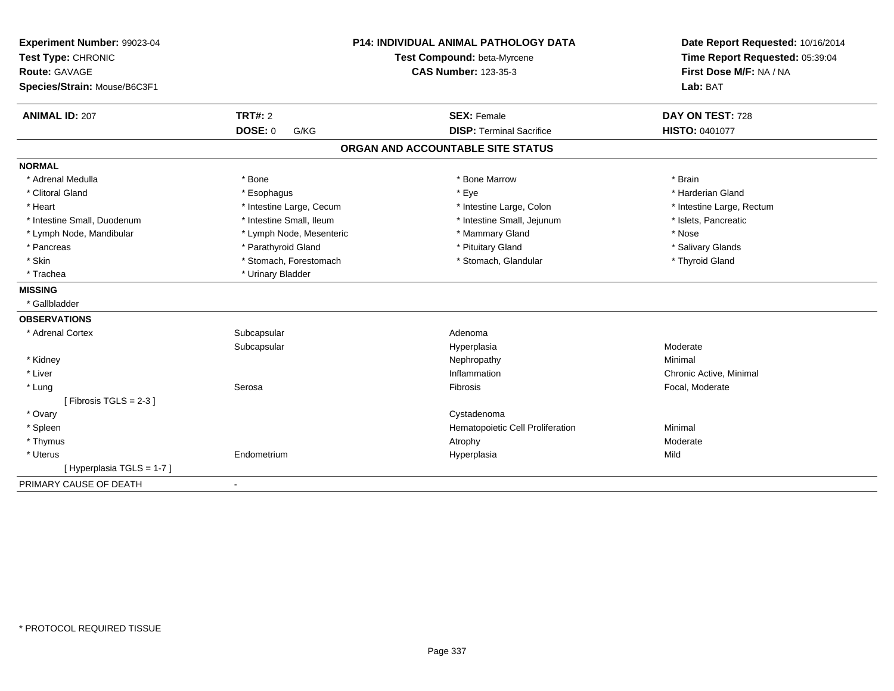| Experiment Number: 99023-04<br>Test Type: CHRONIC<br>Route: GAVAGE<br>Species/Strain: Mouse/B6C3F1 |                          | <b>P14: INDIVIDUAL ANIMAL PATHOLOGY DATA</b><br>Test Compound: beta-Myrcene<br><b>CAS Number: 123-35-3</b> | Date Report Requested: 10/16/2014<br>Time Report Requested: 05:39:04<br>First Dose M/F: NA / NA<br>Lab: BAT |
|----------------------------------------------------------------------------------------------------|--------------------------|------------------------------------------------------------------------------------------------------------|-------------------------------------------------------------------------------------------------------------|
| <b>ANIMAL ID: 207</b>                                                                              | TRT#: 2                  | <b>SEX: Female</b>                                                                                         | DAY ON TEST: 728                                                                                            |
|                                                                                                    | <b>DOSE: 0</b><br>G/KG   | <b>DISP: Terminal Sacrifice</b>                                                                            | HISTO: 0401077                                                                                              |
|                                                                                                    |                          | ORGAN AND ACCOUNTABLE SITE STATUS                                                                          |                                                                                                             |
| <b>NORMAL</b>                                                                                      |                          |                                                                                                            |                                                                                                             |
| * Adrenal Medulla                                                                                  | * Bone                   | * Bone Marrow                                                                                              | * Brain                                                                                                     |
| * Clitoral Gland                                                                                   | * Esophagus              | * Eye                                                                                                      | * Harderian Gland                                                                                           |
| * Heart                                                                                            | * Intestine Large, Cecum | * Intestine Large, Colon                                                                                   | * Intestine Large, Rectum                                                                                   |
| * Intestine Small, Duodenum                                                                        | * Intestine Small, Ileum | * Intestine Small, Jejunum                                                                                 | * Islets, Pancreatic                                                                                        |
| * Lymph Node, Mandibular                                                                           | * Lymph Node, Mesenteric | * Mammary Gland                                                                                            | * Nose                                                                                                      |
| * Pancreas                                                                                         | * Parathyroid Gland      | * Pituitary Gland                                                                                          | * Salivary Glands                                                                                           |
| * Skin                                                                                             | * Stomach, Forestomach   | * Stomach, Glandular                                                                                       | * Thyroid Gland                                                                                             |
| * Trachea                                                                                          | * Urinary Bladder        |                                                                                                            |                                                                                                             |
| <b>MISSING</b>                                                                                     |                          |                                                                                                            |                                                                                                             |
| * Gallbladder                                                                                      |                          |                                                                                                            |                                                                                                             |
| <b>OBSERVATIONS</b>                                                                                |                          |                                                                                                            |                                                                                                             |
| * Adrenal Cortex                                                                                   | Subcapsular              | Adenoma                                                                                                    |                                                                                                             |
|                                                                                                    | Subcapsular              | Hyperplasia                                                                                                | Moderate                                                                                                    |
| * Kidney                                                                                           |                          | Nephropathy                                                                                                | Minimal                                                                                                     |
| * Liver                                                                                            |                          | Inflammation                                                                                               | Chronic Active, Minimal                                                                                     |
| * Lung                                                                                             | Serosa                   | Fibrosis                                                                                                   | Focal, Moderate                                                                                             |
| [Fibrosis TGLS = $2-3$ ]                                                                           |                          |                                                                                                            |                                                                                                             |
| * Ovary                                                                                            |                          | Cystadenoma                                                                                                |                                                                                                             |
| * Spleen                                                                                           |                          | Hematopoietic Cell Proliferation                                                                           | Minimal                                                                                                     |
| * Thymus                                                                                           |                          | Atrophy                                                                                                    | Moderate                                                                                                    |
| * Uterus                                                                                           | Endometrium              | Hyperplasia                                                                                                | Mild                                                                                                        |
| [Hyperplasia TGLS = 1-7]                                                                           |                          |                                                                                                            |                                                                                                             |
| PRIMARY CAUSE OF DEATH                                                                             |                          |                                                                                                            |                                                                                                             |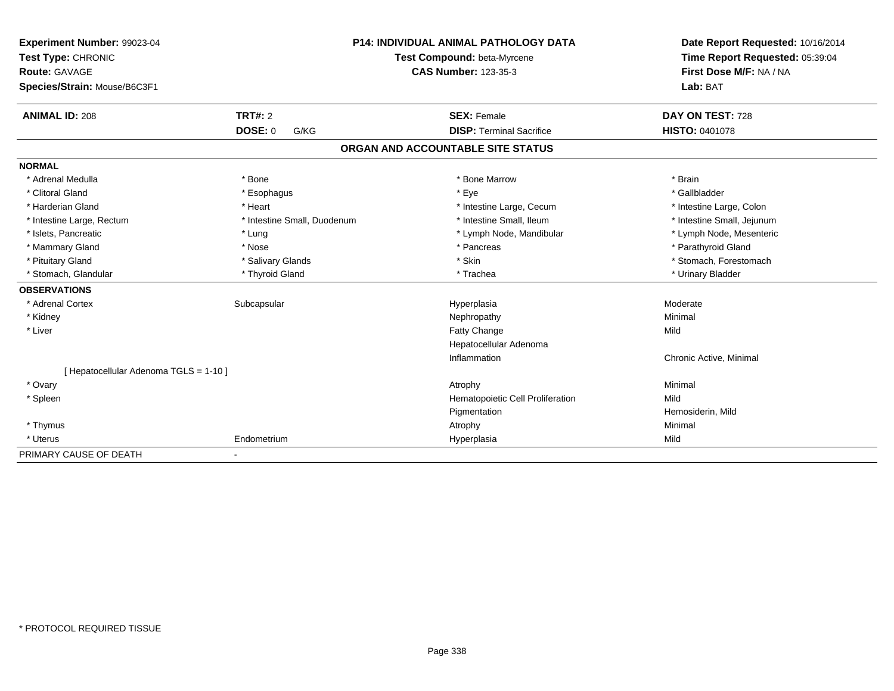| Experiment Number: 99023-04<br>Test Type: CHRONIC<br><b>Route: GAVAGE</b> |                             | <b>P14: INDIVIDUAL ANIMAL PATHOLOGY DATA</b> | Date Report Requested: 10/16/2014<br>Time Report Requested: 05:39:04 |
|---------------------------------------------------------------------------|-----------------------------|----------------------------------------------|----------------------------------------------------------------------|
|                                                                           |                             | Test Compound: beta-Myrcene                  |                                                                      |
|                                                                           |                             | <b>CAS Number: 123-35-3</b>                  | First Dose M/F: NA / NA                                              |
| Species/Strain: Mouse/B6C3F1                                              |                             |                                              | Lab: BAT                                                             |
| <b>ANIMAL ID: 208</b>                                                     | TRT#: 2                     | <b>SEX: Female</b>                           | DAY ON TEST: 728                                                     |
|                                                                           | <b>DOSE: 0</b><br>G/KG      | <b>DISP: Terminal Sacrifice</b>              | <b>HISTO: 0401078</b>                                                |
|                                                                           |                             | ORGAN AND ACCOUNTABLE SITE STATUS            |                                                                      |
| <b>NORMAL</b>                                                             |                             |                                              |                                                                      |
| * Adrenal Medulla                                                         | * Bone                      | * Bone Marrow                                | * Brain                                                              |
| * Clitoral Gland                                                          | * Esophagus                 | * Eye                                        | * Gallbladder                                                        |
| * Harderian Gland                                                         | * Heart                     | * Intestine Large, Cecum                     | * Intestine Large, Colon                                             |
| * Intestine Large, Rectum                                                 | * Intestine Small, Duodenum | * Intestine Small, Ileum                     | * Intestine Small, Jejunum                                           |
| * Islets, Pancreatic                                                      | * Lung                      | * Lymph Node, Mandibular                     | * Lymph Node, Mesenteric                                             |
| * Mammary Gland                                                           | * Nose                      | * Pancreas                                   | * Parathyroid Gland                                                  |
| * Pituitary Gland                                                         | * Salivary Glands           | * Skin                                       | * Stomach, Forestomach                                               |
| * Stomach, Glandular                                                      | * Thyroid Gland             | * Trachea                                    | * Urinary Bladder                                                    |
| <b>OBSERVATIONS</b>                                                       |                             |                                              |                                                                      |
| * Adrenal Cortex                                                          | Subcapsular                 | Hyperplasia                                  | Moderate                                                             |
| * Kidney                                                                  |                             | Nephropathy                                  | Minimal                                                              |
| * Liver                                                                   |                             | Fatty Change                                 | Mild                                                                 |
|                                                                           |                             | Hepatocellular Adenoma                       |                                                                      |
|                                                                           |                             | Inflammation                                 | Chronic Active, Minimal                                              |
| [ Hepatocellular Adenoma TGLS = 1-10 ]                                    |                             |                                              |                                                                      |
| * Ovary                                                                   |                             | Atrophy                                      | Minimal                                                              |
| * Spleen                                                                  |                             | Hematopoietic Cell Proliferation             | Mild                                                                 |
|                                                                           |                             | Pigmentation                                 | Hemosiderin, Mild                                                    |
| * Thymus                                                                  |                             | Atrophy                                      | Minimal                                                              |
| * Uterus                                                                  | Endometrium                 | Hyperplasia                                  | Mild                                                                 |
| PRIMARY CAUSE OF DEATH                                                    |                             |                                              |                                                                      |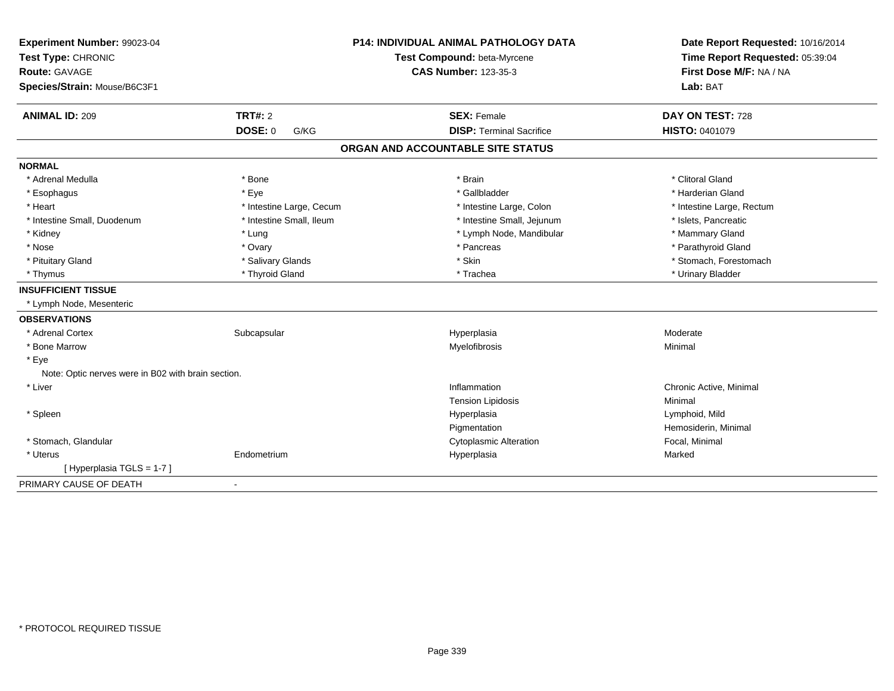| Experiment Number: 99023-04<br>Test Type: CHRONIC<br><b>Route: GAVAGE</b><br>Species/Strain: Mouse/B6C3F1 |                          | P14: INDIVIDUAL ANIMAL PATHOLOGY DATA<br>Test Compound: beta-Myrcene<br><b>CAS Number: 123-35-3</b> | Date Report Requested: 10/16/2014<br>Time Report Requested: 05:39:04<br>First Dose M/F: NA / NA<br>Lab: BAT |
|-----------------------------------------------------------------------------------------------------------|--------------------------|-----------------------------------------------------------------------------------------------------|-------------------------------------------------------------------------------------------------------------|
| <b>ANIMAL ID: 209</b>                                                                                     | TRT#: 2                  | <b>SEX: Female</b>                                                                                  | DAY ON TEST: 728                                                                                            |
|                                                                                                           | <b>DOSE: 0</b><br>G/KG   | <b>DISP: Terminal Sacrifice</b>                                                                     | HISTO: 0401079                                                                                              |
|                                                                                                           |                          | ORGAN AND ACCOUNTABLE SITE STATUS                                                                   |                                                                                                             |
| <b>NORMAL</b>                                                                                             |                          |                                                                                                     |                                                                                                             |
| * Adrenal Medulla                                                                                         | * Bone                   | * Brain                                                                                             | * Clitoral Gland                                                                                            |
| * Esophagus                                                                                               | * Eye                    | * Gallbladder                                                                                       | * Harderian Gland                                                                                           |
| * Heart                                                                                                   | * Intestine Large, Cecum | * Intestine Large, Colon                                                                            | * Intestine Large, Rectum                                                                                   |
| * Intestine Small. Duodenum                                                                               | * Intestine Small, Ileum | * Intestine Small, Jejunum                                                                          | * Islets, Pancreatic                                                                                        |
| * Kidney                                                                                                  | * Lung                   | * Lymph Node, Mandibular                                                                            | * Mammary Gland                                                                                             |
| * Nose                                                                                                    | * Ovary                  | * Pancreas                                                                                          | * Parathyroid Gland                                                                                         |
| * Pituitary Gland                                                                                         | * Salivary Glands        | * Skin                                                                                              | * Stomach, Forestomach                                                                                      |
| * Thymus                                                                                                  | * Thyroid Gland          | * Trachea                                                                                           | * Urinary Bladder                                                                                           |
| <b>INSUFFICIENT TISSUE</b>                                                                                |                          |                                                                                                     |                                                                                                             |
| * Lymph Node, Mesenteric                                                                                  |                          |                                                                                                     |                                                                                                             |
| <b>OBSERVATIONS</b>                                                                                       |                          |                                                                                                     |                                                                                                             |
| * Adrenal Cortex                                                                                          | Subcapsular              | Hyperplasia                                                                                         | Moderate                                                                                                    |
| * Bone Marrow                                                                                             |                          | Myelofibrosis                                                                                       | Minimal                                                                                                     |
| * Eye                                                                                                     |                          |                                                                                                     |                                                                                                             |
| Note: Optic nerves were in B02 with brain section.                                                        |                          |                                                                                                     |                                                                                                             |
| * Liver                                                                                                   |                          | Inflammation                                                                                        | Chronic Active, Minimal                                                                                     |
|                                                                                                           |                          | <b>Tension Lipidosis</b>                                                                            | Minimal                                                                                                     |
| * Spleen                                                                                                  |                          | Hyperplasia                                                                                         | Lymphoid, Mild                                                                                              |
|                                                                                                           |                          | Pigmentation                                                                                        | Hemosiderin, Minimal                                                                                        |
| * Stomach, Glandular                                                                                      |                          | <b>Cytoplasmic Alteration</b>                                                                       | Focal, Minimal                                                                                              |
| * Uterus                                                                                                  | Endometrium              | Hyperplasia                                                                                         | Marked                                                                                                      |
| [ Hyperplasia TGLS = 1-7 ]                                                                                |                          |                                                                                                     |                                                                                                             |
| PRIMARY CAUSE OF DEATH                                                                                    |                          |                                                                                                     |                                                                                                             |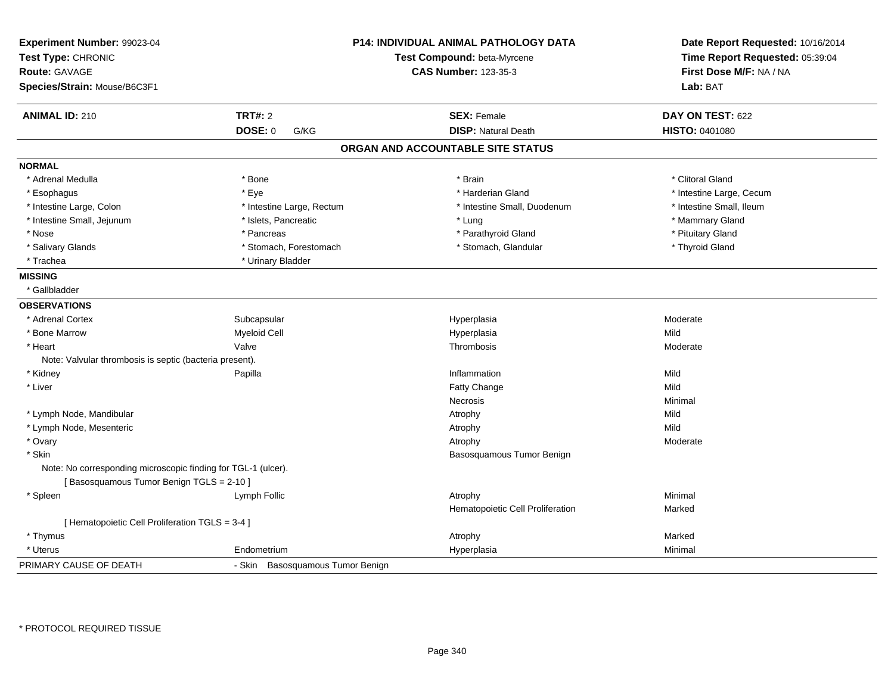| Experiment Number: 99023-04<br>Test Type: CHRONIC<br><b>Route: GAVAGE</b><br>Species/Strain: Mouse/B6C3F1 |                                  | <b>P14: INDIVIDUAL ANIMAL PATHOLOGY DATA</b><br>Test Compound: beta-Myrcene<br><b>CAS Number: 123-35-3</b> | Date Report Requested: 10/16/2014<br>Time Report Requested: 05:39:04<br>First Dose M/F: NA / NA<br>Lab: BAT |
|-----------------------------------------------------------------------------------------------------------|----------------------------------|------------------------------------------------------------------------------------------------------------|-------------------------------------------------------------------------------------------------------------|
| <b>ANIMAL ID: 210</b>                                                                                     | <b>TRT#: 2</b>                   | <b>SEX: Female</b>                                                                                         | DAY ON TEST: 622                                                                                            |
|                                                                                                           | DOSE: 0<br>G/KG                  | <b>DISP: Natural Death</b>                                                                                 | HISTO: 0401080                                                                                              |
|                                                                                                           |                                  | ORGAN AND ACCOUNTABLE SITE STATUS                                                                          |                                                                                                             |
| <b>NORMAL</b>                                                                                             |                                  |                                                                                                            |                                                                                                             |
| * Adrenal Medulla                                                                                         | * Bone                           | * Brain                                                                                                    | * Clitoral Gland                                                                                            |
| * Esophagus                                                                                               | * Eye                            | * Harderian Gland                                                                                          | * Intestine Large, Cecum                                                                                    |
| * Intestine Large, Colon                                                                                  | * Intestine Large, Rectum        | * Intestine Small, Duodenum                                                                                | * Intestine Small, Ileum                                                                                    |
| * Intestine Small, Jejunum                                                                                | * Islets, Pancreatic             | * Lung                                                                                                     | * Mammary Gland                                                                                             |
| * Nose                                                                                                    | * Pancreas                       | * Parathyroid Gland                                                                                        | * Pituitary Gland                                                                                           |
| * Salivary Glands                                                                                         | * Stomach, Forestomach           | * Stomach, Glandular                                                                                       | * Thyroid Gland                                                                                             |
| * Trachea                                                                                                 | * Urinary Bladder                |                                                                                                            |                                                                                                             |
| <b>MISSING</b>                                                                                            |                                  |                                                                                                            |                                                                                                             |
| * Gallbladder                                                                                             |                                  |                                                                                                            |                                                                                                             |
| <b>OBSERVATIONS</b>                                                                                       |                                  |                                                                                                            |                                                                                                             |
| * Adrenal Cortex                                                                                          | Subcapsular                      | Hyperplasia                                                                                                | Moderate                                                                                                    |
| * Bone Marrow                                                                                             | <b>Myeloid Cell</b>              | Hyperplasia                                                                                                | Mild                                                                                                        |
| * Heart                                                                                                   | Valve                            | Thrombosis                                                                                                 | Moderate                                                                                                    |
| Note: Valvular thrombosis is septic (bacteria present).                                                   |                                  |                                                                                                            |                                                                                                             |
| * Kidney                                                                                                  | Papilla                          | Inflammation                                                                                               | Mild                                                                                                        |
| * Liver                                                                                                   |                                  | Fatty Change                                                                                               | Mild                                                                                                        |
|                                                                                                           |                                  | Necrosis                                                                                                   | Minimal                                                                                                     |
| * Lymph Node, Mandibular                                                                                  |                                  | Atrophy                                                                                                    | Mild                                                                                                        |
| * Lymph Node, Mesenteric                                                                                  |                                  | Atrophy                                                                                                    | Mild                                                                                                        |
| * Ovary                                                                                                   |                                  | Atrophy                                                                                                    | Moderate                                                                                                    |
| * Skin                                                                                                    |                                  | Basosquamous Tumor Benign                                                                                  |                                                                                                             |
| Note: No corresponding microscopic finding for TGL-1 (ulcer).<br>[Basosquamous Tumor Benign TGLS = 2-10]  |                                  |                                                                                                            |                                                                                                             |
| * Spleen                                                                                                  | Lymph Follic                     | Atrophy                                                                                                    | Minimal                                                                                                     |
|                                                                                                           |                                  | Hematopoietic Cell Proliferation                                                                           | Marked                                                                                                      |
| [ Hematopoietic Cell Proliferation TGLS = 3-4 ]                                                           |                                  |                                                                                                            |                                                                                                             |
| * Thymus                                                                                                  |                                  | Atrophy                                                                                                    | Marked                                                                                                      |
| * Uterus                                                                                                  | Endometrium                      | Hyperplasia                                                                                                | Minimal                                                                                                     |
| PRIMARY CAUSE OF DEATH                                                                                    | - Skin Basosquamous Tumor Benign |                                                                                                            |                                                                                                             |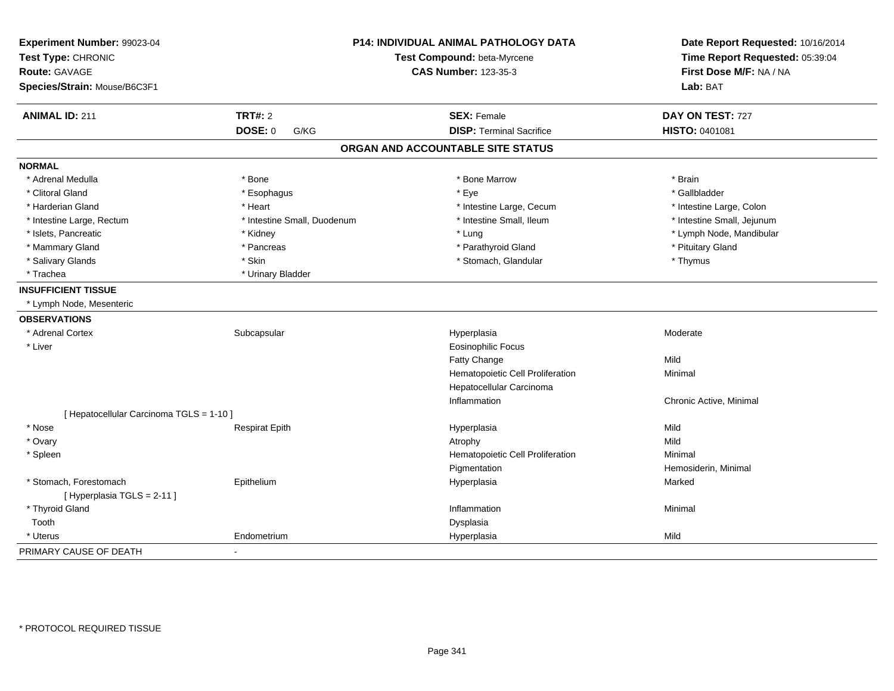| Experiment Number: 99023-04<br>Test Type: CHRONIC<br><b>Route: GAVAGE</b> |                             | <b>P14: INDIVIDUAL ANIMAL PATHOLOGY DATA</b><br>Test Compound: beta-Myrcene<br><b>CAS Number: 123-35-3</b> | Date Report Requested: 10/16/2014<br>Time Report Requested: 05:39:04<br>First Dose M/F: NA / NA |
|---------------------------------------------------------------------------|-----------------------------|------------------------------------------------------------------------------------------------------------|-------------------------------------------------------------------------------------------------|
| Species/Strain: Mouse/B6C3F1                                              |                             |                                                                                                            | Lab: BAT                                                                                        |
| <b>ANIMAL ID: 211</b>                                                     | <b>TRT#: 2</b>              | <b>SEX: Female</b>                                                                                         | DAY ON TEST: 727                                                                                |
|                                                                           | <b>DOSE: 0</b><br>G/KG      | <b>DISP: Terminal Sacrifice</b>                                                                            | HISTO: 0401081                                                                                  |
|                                                                           |                             | ORGAN AND ACCOUNTABLE SITE STATUS                                                                          |                                                                                                 |
| <b>NORMAL</b>                                                             |                             |                                                                                                            |                                                                                                 |
| * Adrenal Medulla                                                         | * Bone                      | * Bone Marrow                                                                                              | * Brain                                                                                         |
| * Clitoral Gland                                                          | * Esophagus                 | * Eye                                                                                                      | * Gallbladder                                                                                   |
| * Harderian Gland                                                         | * Heart                     | * Intestine Large, Cecum                                                                                   | * Intestine Large, Colon                                                                        |
| * Intestine Large, Rectum                                                 | * Intestine Small, Duodenum | * Intestine Small, Ileum                                                                                   | * Intestine Small, Jejunum                                                                      |
| * Islets, Pancreatic                                                      | * Kidney                    | * Lung                                                                                                     | * Lymph Node, Mandibular                                                                        |
| * Mammary Gland                                                           | * Pancreas                  | * Parathyroid Gland                                                                                        | * Pituitary Gland                                                                               |
| * Salivary Glands                                                         | * Skin                      | * Stomach, Glandular                                                                                       | * Thymus                                                                                        |
| * Trachea                                                                 | * Urinary Bladder           |                                                                                                            |                                                                                                 |
| <b>INSUFFICIENT TISSUE</b>                                                |                             |                                                                                                            |                                                                                                 |
| * Lymph Node, Mesenteric                                                  |                             |                                                                                                            |                                                                                                 |
| <b>OBSERVATIONS</b>                                                       |                             |                                                                                                            |                                                                                                 |
| * Adrenal Cortex                                                          | Subcapsular                 | Hyperplasia                                                                                                | Moderate                                                                                        |
| * Liver                                                                   |                             | <b>Eosinophilic Focus</b>                                                                                  |                                                                                                 |
|                                                                           |                             | Fatty Change                                                                                               | Mild                                                                                            |
|                                                                           |                             | Hematopoietic Cell Proliferation                                                                           | Minimal                                                                                         |
|                                                                           |                             | Hepatocellular Carcinoma                                                                                   |                                                                                                 |
|                                                                           |                             | Inflammation                                                                                               | Chronic Active, Minimal                                                                         |
| [ Hepatocellular Carcinoma TGLS = 1-10 ]                                  |                             |                                                                                                            |                                                                                                 |
| * Nose                                                                    | <b>Respirat Epith</b>       | Hyperplasia                                                                                                | Mild                                                                                            |
| * Ovary                                                                   |                             | Atrophy                                                                                                    | Mild                                                                                            |
| * Spleen                                                                  |                             | Hematopoietic Cell Proliferation                                                                           | Minimal                                                                                         |
|                                                                           |                             | Pigmentation                                                                                               | Hemosiderin, Minimal                                                                            |
| * Stomach, Forestomach<br>[Hyperplasia TGLS = 2-11]                       | Epithelium                  | Hyperplasia                                                                                                | Marked                                                                                          |
| * Thyroid Gland                                                           |                             | Inflammation                                                                                               | Minimal                                                                                         |
| Tooth                                                                     |                             | Dysplasia                                                                                                  |                                                                                                 |
| * Uterus                                                                  | Endometrium                 | Hyperplasia                                                                                                | Mild                                                                                            |
| PRIMARY CAUSE OF DEATH                                                    | $\blacksquare$              |                                                                                                            |                                                                                                 |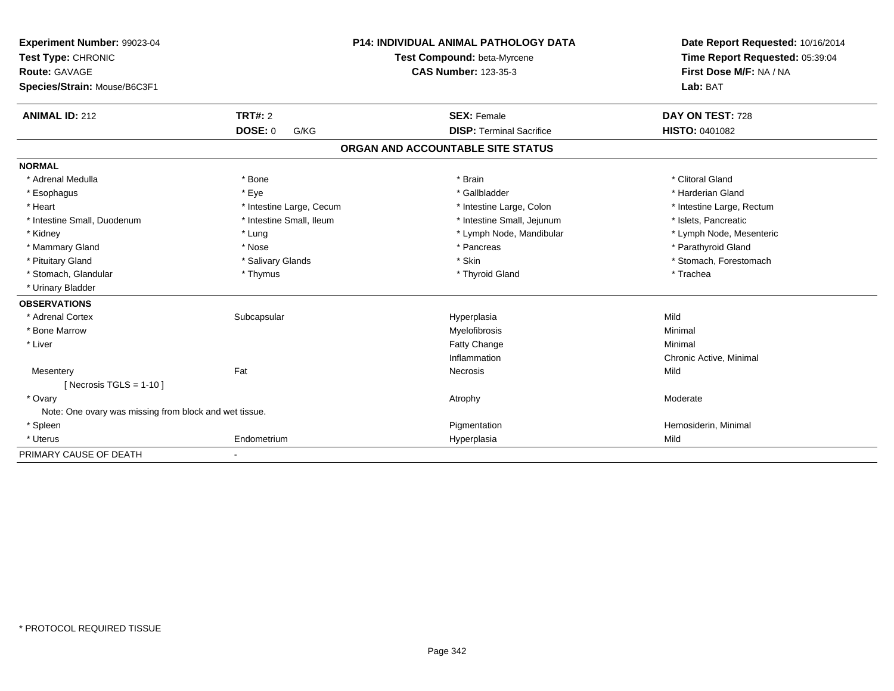| Experiment Number: 99023-04<br>Test Type: CHRONIC      |                          | <b>P14: INDIVIDUAL ANIMAL PATHOLOGY DATA</b> | Date Report Requested: 10/16/2014<br>Time Report Requested: 05:39:04 |
|--------------------------------------------------------|--------------------------|----------------------------------------------|----------------------------------------------------------------------|
|                                                        |                          | Test Compound: beta-Myrcene                  |                                                                      |
| <b>Route: GAVAGE</b>                                   |                          | <b>CAS Number: 123-35-3</b>                  | First Dose M/F: NA / NA                                              |
| Species/Strain: Mouse/B6C3F1                           |                          |                                              | Lab: BAT                                                             |
| <b>ANIMAL ID: 212</b>                                  | <b>TRT#: 2</b>           | <b>SEX: Female</b>                           | DAY ON TEST: 728                                                     |
|                                                        | <b>DOSE: 0</b><br>G/KG   | <b>DISP: Terminal Sacrifice</b>              | <b>HISTO: 0401082</b>                                                |
|                                                        |                          | ORGAN AND ACCOUNTABLE SITE STATUS            |                                                                      |
| <b>NORMAL</b>                                          |                          |                                              |                                                                      |
| * Adrenal Medulla                                      | * Bone                   | * Brain                                      | * Clitoral Gland                                                     |
| * Esophagus                                            | * Eye                    | * Gallbladder                                | * Harderian Gland                                                    |
| * Heart                                                | * Intestine Large, Cecum | * Intestine Large, Colon                     | * Intestine Large, Rectum                                            |
| * Intestine Small, Duodenum                            | * Intestine Small, Ileum | * Intestine Small, Jejunum                   | * Islets, Pancreatic                                                 |
| * Kidney                                               | * Lung                   | * Lymph Node, Mandibular                     | * Lymph Node, Mesenteric                                             |
| * Mammary Gland                                        | * Nose                   | * Pancreas                                   | * Parathyroid Gland                                                  |
| * Pituitary Gland                                      | * Salivary Glands        | * Skin                                       | * Stomach, Forestomach                                               |
| * Stomach, Glandular                                   | * Thymus                 | * Thyroid Gland                              | * Trachea                                                            |
| * Urinary Bladder                                      |                          |                                              |                                                                      |
| <b>OBSERVATIONS</b>                                    |                          |                                              |                                                                      |
| * Adrenal Cortex                                       | Subcapsular              | Hyperplasia                                  | Mild                                                                 |
| * Bone Marrow                                          |                          | Myelofibrosis                                | Minimal                                                              |
| * Liver                                                |                          | <b>Fatty Change</b>                          | Minimal                                                              |
|                                                        |                          | Inflammation                                 | Chronic Active, Minimal                                              |
| Mesentery                                              | Fat                      | Necrosis                                     | Mild                                                                 |
| [ Necrosis TGLS = $1-10$ ]                             |                          |                                              |                                                                      |
| * Ovary                                                |                          | Atrophy                                      | Moderate                                                             |
| Note: One ovary was missing from block and wet tissue. |                          |                                              |                                                                      |
| * Spleen                                               |                          | Pigmentation                                 | Hemosiderin, Minimal                                                 |
| * Uterus                                               | Endometrium              | Hyperplasia                                  | Mild                                                                 |
| PRIMARY CAUSE OF DEATH                                 |                          |                                              |                                                                      |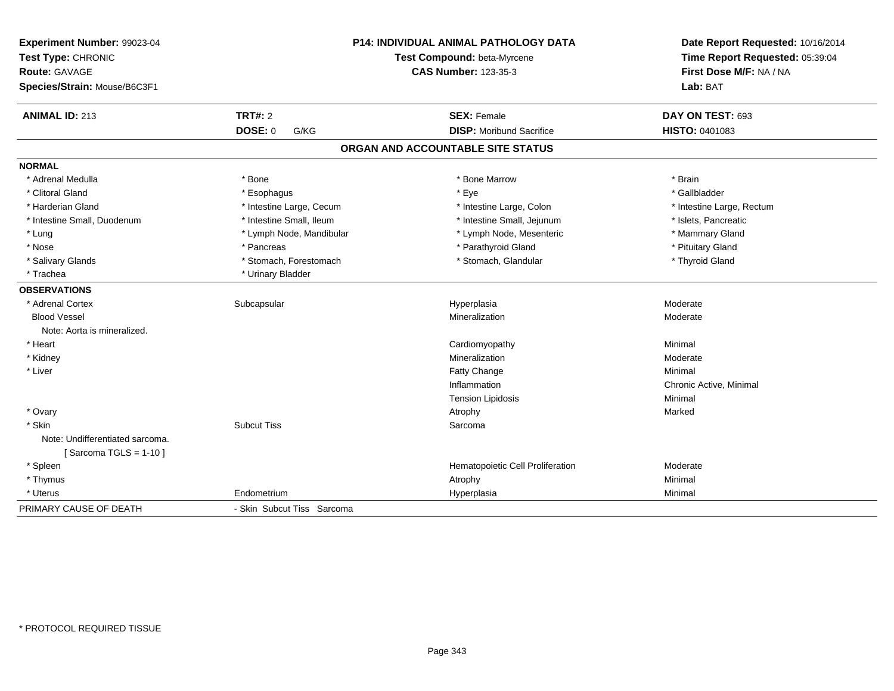| Experiment Number: 99023-04<br>Test Type: CHRONIC<br>Route: GAVAGE<br>Species/Strain: Mouse/B6C3F1 |                            | <b>P14: INDIVIDUAL ANIMAL PATHOLOGY DATA</b><br>Test Compound: beta-Myrcene<br><b>CAS Number: 123-35-3</b> | Date Report Requested: 10/16/2014<br>Time Report Requested: 05:39:04<br>First Dose M/F: NA / NA<br>Lab: BAT |
|----------------------------------------------------------------------------------------------------|----------------------------|------------------------------------------------------------------------------------------------------------|-------------------------------------------------------------------------------------------------------------|
| <b>ANIMAL ID: 213</b>                                                                              | <b>TRT#: 2</b>             | <b>SEX: Female</b>                                                                                         | DAY ON TEST: 693                                                                                            |
|                                                                                                    | <b>DOSE: 0</b><br>G/KG     | <b>DISP: Moribund Sacrifice</b>                                                                            | HISTO: 0401083                                                                                              |
|                                                                                                    |                            | ORGAN AND ACCOUNTABLE SITE STATUS                                                                          |                                                                                                             |
| <b>NORMAL</b>                                                                                      |                            |                                                                                                            |                                                                                                             |
| * Adrenal Medulla                                                                                  | * Bone                     | * Bone Marrow                                                                                              | * Brain                                                                                                     |
| * Clitoral Gland                                                                                   | * Esophagus                | * Eye                                                                                                      | * Gallbladder                                                                                               |
| * Harderian Gland                                                                                  | * Intestine Large, Cecum   | * Intestine Large, Colon                                                                                   | * Intestine Large, Rectum                                                                                   |
| * Intestine Small, Duodenum                                                                        | * Intestine Small, Ileum   | * Intestine Small, Jejunum                                                                                 | * Islets, Pancreatic                                                                                        |
| * Lung                                                                                             | * Lymph Node, Mandibular   | * Lymph Node, Mesenteric                                                                                   | * Mammary Gland                                                                                             |
| * Nose                                                                                             | * Pancreas                 | * Parathyroid Gland                                                                                        | * Pituitary Gland                                                                                           |
| * Salivary Glands                                                                                  | * Stomach, Forestomach     | * Stomach, Glandular                                                                                       | * Thyroid Gland                                                                                             |
| * Trachea                                                                                          | * Urinary Bladder          |                                                                                                            |                                                                                                             |
| <b>OBSERVATIONS</b>                                                                                |                            |                                                                                                            |                                                                                                             |
| * Adrenal Cortex                                                                                   | Subcapsular                | Hyperplasia                                                                                                | Moderate                                                                                                    |
| <b>Blood Vessel</b>                                                                                |                            | Mineralization                                                                                             | Moderate                                                                                                    |
| Note: Aorta is mineralized.                                                                        |                            |                                                                                                            |                                                                                                             |
| * Heart                                                                                            |                            | Cardiomyopathy                                                                                             | Minimal                                                                                                     |
| * Kidney                                                                                           |                            | Mineralization                                                                                             | Moderate                                                                                                    |
| * Liver                                                                                            |                            | Fatty Change                                                                                               | Minimal                                                                                                     |
|                                                                                                    |                            | Inflammation                                                                                               | Chronic Active, Minimal                                                                                     |
|                                                                                                    |                            | <b>Tension Lipidosis</b>                                                                                   | Minimal                                                                                                     |
| * Ovary                                                                                            |                            | Atrophy                                                                                                    | Marked                                                                                                      |
| * Skin                                                                                             | <b>Subcut Tiss</b>         | Sarcoma                                                                                                    |                                                                                                             |
| Note: Undifferentiated sarcoma.                                                                    |                            |                                                                                                            |                                                                                                             |
| [Sarcoma TGLS = $1-10$ ]                                                                           |                            |                                                                                                            |                                                                                                             |
| * Spleen                                                                                           |                            | Hematopoietic Cell Proliferation                                                                           | Moderate                                                                                                    |
| * Thymus                                                                                           |                            | Atrophy                                                                                                    | Minimal                                                                                                     |
| * Uterus                                                                                           | Endometrium                | Hyperplasia                                                                                                | Minimal                                                                                                     |
| PRIMARY CAUSE OF DEATH                                                                             | - Skin Subcut Tiss Sarcoma |                                                                                                            |                                                                                                             |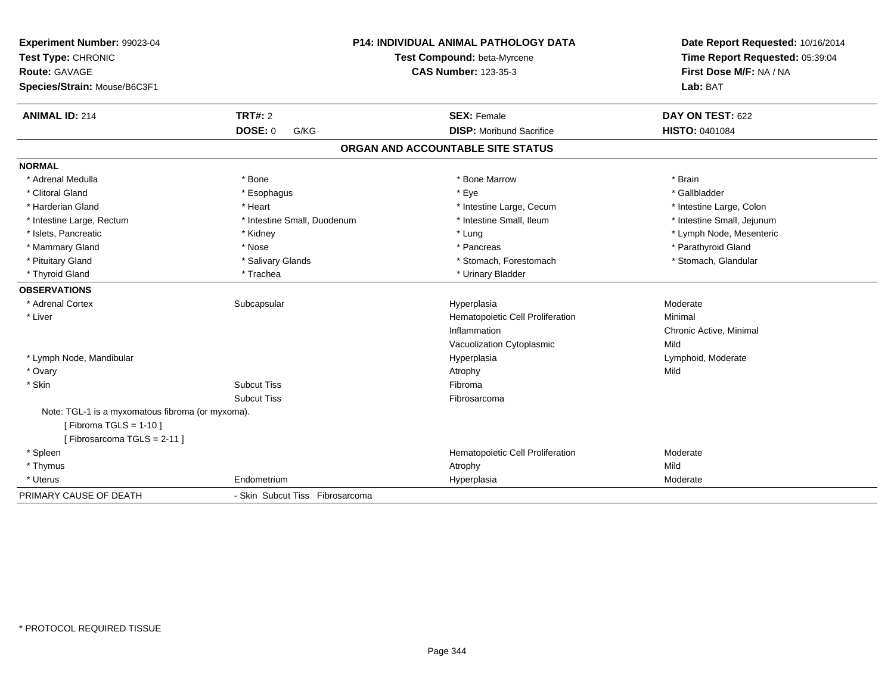| Experiment Number: 99023-04<br>Test Type: CHRONIC<br><b>Route: GAVAGE</b><br>Species/Strain: Mouse/B6C3F1 |                                 | <b>P14: INDIVIDUAL ANIMAL PATHOLOGY DATA</b><br>Test Compound: beta-Myrcene<br><b>CAS Number: 123-35-3</b> | Date Report Requested: 10/16/2014<br>Time Report Requested: 05:39:04<br>First Dose M/F: NA / NA<br>Lab: BAT |
|-----------------------------------------------------------------------------------------------------------|---------------------------------|------------------------------------------------------------------------------------------------------------|-------------------------------------------------------------------------------------------------------------|
| <b>ANIMAL ID: 214</b>                                                                                     | <b>TRT#: 2</b>                  | <b>SEX: Female</b>                                                                                         | DAY ON TEST: 622                                                                                            |
|                                                                                                           | <b>DOSE: 0</b><br>G/KG          | <b>DISP: Moribund Sacrifice</b>                                                                            | HISTO: 0401084                                                                                              |
|                                                                                                           |                                 | ORGAN AND ACCOUNTABLE SITE STATUS                                                                          |                                                                                                             |
| <b>NORMAL</b>                                                                                             |                                 |                                                                                                            |                                                                                                             |
| * Adrenal Medulla                                                                                         | * Bone                          | * Bone Marrow                                                                                              | * Brain                                                                                                     |
| * Clitoral Gland                                                                                          | * Esophagus                     | * Eye                                                                                                      | * Gallbladder                                                                                               |
| * Harderian Gland                                                                                         | * Heart                         | * Intestine Large, Cecum                                                                                   | * Intestine Large, Colon                                                                                    |
| * Intestine Large, Rectum                                                                                 | * Intestine Small, Duodenum     | * Intestine Small, Ileum                                                                                   | * Intestine Small, Jejunum                                                                                  |
| * Islets, Pancreatic                                                                                      | * Kidney                        | * Lung                                                                                                     | * Lymph Node, Mesenteric                                                                                    |
| * Mammary Gland                                                                                           | * Nose                          | * Pancreas                                                                                                 | * Parathyroid Gland                                                                                         |
| * Pituitary Gland                                                                                         | * Salivary Glands               | * Stomach, Forestomach                                                                                     | * Stomach, Glandular                                                                                        |
| * Thyroid Gland                                                                                           | * Trachea                       | * Urinary Bladder                                                                                          |                                                                                                             |
| <b>OBSERVATIONS</b>                                                                                       |                                 |                                                                                                            |                                                                                                             |
| * Adrenal Cortex                                                                                          | Subcapsular                     | Hyperplasia                                                                                                | Moderate                                                                                                    |
| * Liver                                                                                                   |                                 | Hematopoietic Cell Proliferation                                                                           | Minimal                                                                                                     |
|                                                                                                           |                                 | Inflammation                                                                                               | Chronic Active, Minimal                                                                                     |
|                                                                                                           |                                 | Vacuolization Cytoplasmic                                                                                  | Mild                                                                                                        |
| * Lymph Node, Mandibular                                                                                  |                                 | Hyperplasia                                                                                                | Lymphoid, Moderate                                                                                          |
| * Ovary                                                                                                   |                                 | Atrophy                                                                                                    | Mild                                                                                                        |
| * Skin                                                                                                    | <b>Subcut Tiss</b>              | Fibroma                                                                                                    |                                                                                                             |
|                                                                                                           | <b>Subcut Tiss</b>              | Fibrosarcoma                                                                                               |                                                                                                             |
| Note: TGL-1 is a myxomatous fibroma (or myxoma).<br>[Fibroma TGLS = $1-10$ ]                              |                                 |                                                                                                            |                                                                                                             |
| [Fibrosarcoma TGLS = 2-11]                                                                                |                                 |                                                                                                            |                                                                                                             |
| * Spleen                                                                                                  |                                 | Hematopoietic Cell Proliferation                                                                           | Moderate                                                                                                    |
| * Thymus                                                                                                  |                                 | Atrophy                                                                                                    | Mild                                                                                                        |
| * Uterus                                                                                                  | Endometrium                     | Hyperplasia                                                                                                | Moderate                                                                                                    |
| PRIMARY CAUSE OF DEATH                                                                                    | - Skin Subcut Tiss Fibrosarcoma |                                                                                                            |                                                                                                             |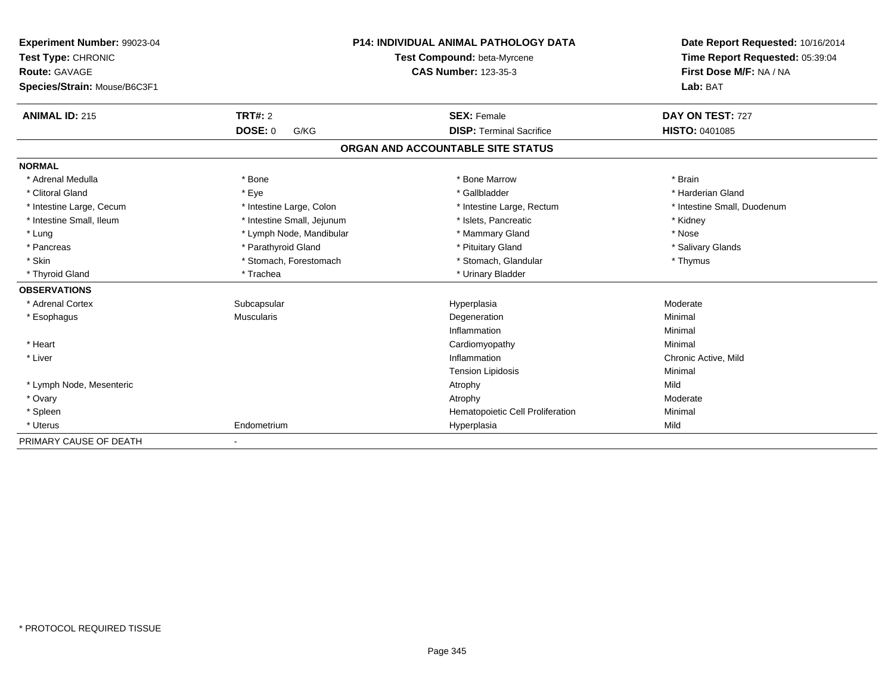| Experiment Number: 99023-04<br>Test Type: CHRONIC |                            | <b>P14: INDIVIDUAL ANIMAL PATHOLOGY DATA</b><br>Test Compound: beta-Myrcene | Date Report Requested: 10/16/2014<br>Time Report Requested: 05:39:04 |
|---------------------------------------------------|----------------------------|-----------------------------------------------------------------------------|----------------------------------------------------------------------|
| Route: GAVAGE                                     |                            | <b>CAS Number: 123-35-3</b>                                                 | First Dose M/F: NA / NA                                              |
| Species/Strain: Mouse/B6C3F1                      |                            |                                                                             | Lab: BAT                                                             |
| <b>ANIMAL ID: 215</b>                             | TRT#: 2                    | <b>SEX: Female</b>                                                          | DAY ON TEST: 727                                                     |
|                                                   | DOSE: 0<br>G/KG            | <b>DISP: Terminal Sacrifice</b>                                             | HISTO: 0401085                                                       |
|                                                   |                            | ORGAN AND ACCOUNTABLE SITE STATUS                                           |                                                                      |
| <b>NORMAL</b>                                     |                            |                                                                             |                                                                      |
| * Adrenal Medulla                                 | * Bone                     | * Bone Marrow                                                               | * Brain                                                              |
| * Clitoral Gland                                  | * Eye                      | * Gallbladder                                                               | * Harderian Gland                                                    |
| * Intestine Large, Cecum                          | * Intestine Large, Colon   | * Intestine Large, Rectum                                                   | * Intestine Small, Duodenum                                          |
| * Intestine Small, Ileum                          | * Intestine Small, Jejunum | * Islets, Pancreatic                                                        | * Kidney                                                             |
| * Lung                                            | * Lymph Node, Mandibular   | * Mammary Gland                                                             | * Nose                                                               |
| * Pancreas                                        | * Parathyroid Gland        | * Pituitary Gland                                                           | * Salivary Glands                                                    |
| * Skin                                            | * Stomach, Forestomach     | * Stomach, Glandular                                                        | * Thymus                                                             |
| * Thyroid Gland                                   | * Trachea                  | * Urinary Bladder                                                           |                                                                      |
| <b>OBSERVATIONS</b>                               |                            |                                                                             |                                                                      |
| * Adrenal Cortex                                  | Subcapsular                | Hyperplasia                                                                 | Moderate                                                             |
| * Esophagus                                       | <b>Muscularis</b>          | Degeneration                                                                | Minimal                                                              |
|                                                   |                            | Inflammation                                                                | Minimal                                                              |
| * Heart                                           |                            | Cardiomyopathy                                                              | Minimal                                                              |
| * Liver                                           |                            | Inflammation                                                                | Chronic Active, Mild                                                 |
|                                                   |                            | <b>Tension Lipidosis</b>                                                    | Minimal                                                              |
| * Lymph Node, Mesenteric                          |                            | Atrophy                                                                     | Mild                                                                 |
| * Ovary                                           |                            | Atrophy                                                                     | Moderate                                                             |
| * Spleen                                          |                            | Hematopoietic Cell Proliferation                                            | Minimal                                                              |
| * Uterus                                          | Endometrium                | Hyperplasia                                                                 | Mild                                                                 |
| PRIMARY CAUSE OF DEATH                            | ٠                          |                                                                             |                                                                      |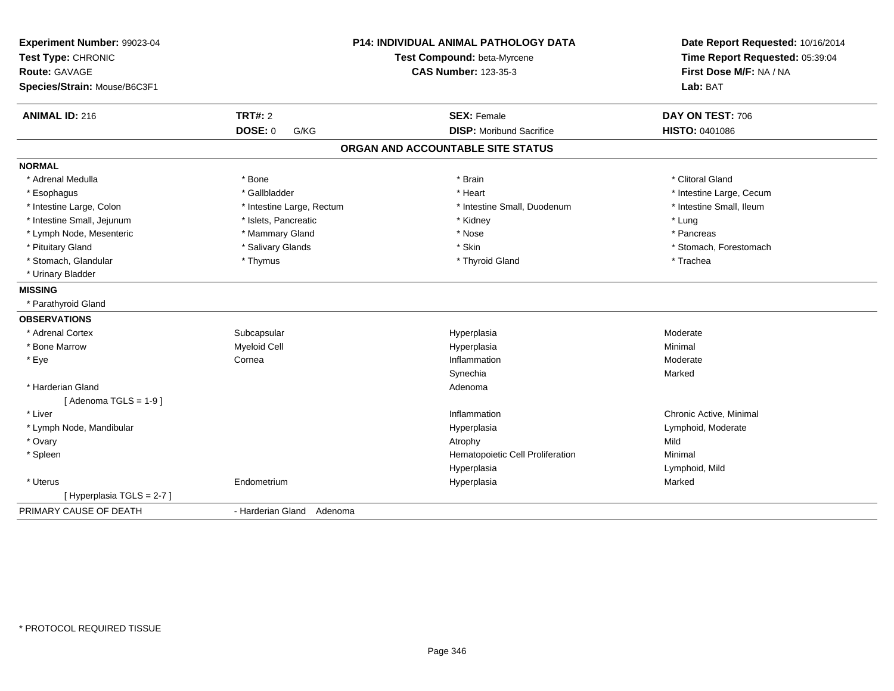| Experiment Number: 99023-04<br>Test Type: CHRONIC |                           | P14: INDIVIDUAL ANIMAL PATHOLOGY DATA<br>Test Compound: beta-Myrcene | Date Report Requested: 10/16/2014<br>Time Report Requested: 05:39:04 |
|---------------------------------------------------|---------------------------|----------------------------------------------------------------------|----------------------------------------------------------------------|
| Route: GAVAGE                                     |                           | <b>CAS Number: 123-35-3</b>                                          | First Dose M/F: NA / NA                                              |
| Species/Strain: Mouse/B6C3F1                      |                           |                                                                      | Lab: BAT                                                             |
| <b>ANIMAL ID: 216</b>                             | TRT#: 2                   | <b>SEX: Female</b>                                                   | DAY ON TEST: 706                                                     |
|                                                   | <b>DOSE: 0</b><br>G/KG    | <b>DISP:</b> Moribund Sacrifice                                      | HISTO: 0401086                                                       |
|                                                   |                           | ORGAN AND ACCOUNTABLE SITE STATUS                                    |                                                                      |
| <b>NORMAL</b>                                     |                           |                                                                      |                                                                      |
| * Adrenal Medulla                                 | * Bone                    | * Brain                                                              | * Clitoral Gland                                                     |
| * Esophagus                                       | * Gallbladder             | * Heart                                                              | * Intestine Large, Cecum                                             |
| * Intestine Large, Colon                          | * Intestine Large, Rectum | * Intestine Small, Duodenum                                          | * Intestine Small, Ileum                                             |
| * Intestine Small, Jejunum                        | * Islets, Pancreatic      | * Kidney                                                             | * Lung                                                               |
| * Lymph Node, Mesenteric                          | * Mammary Gland           | * Nose                                                               | * Pancreas                                                           |
| * Pituitary Gland                                 | * Salivary Glands         | * Skin                                                               | * Stomach, Forestomach                                               |
| * Stomach, Glandular                              | * Thymus                  | * Thyroid Gland                                                      | * Trachea                                                            |
| * Urinary Bladder                                 |                           |                                                                      |                                                                      |
| <b>MISSING</b>                                    |                           |                                                                      |                                                                      |
| * Parathyroid Gland                               |                           |                                                                      |                                                                      |
| <b>OBSERVATIONS</b>                               |                           |                                                                      |                                                                      |
| * Adrenal Cortex                                  | Subcapsular               | Hyperplasia                                                          | Moderate                                                             |
| * Bone Marrow                                     | <b>Myeloid Cell</b>       | Hyperplasia                                                          | Minimal                                                              |
| * Eye                                             | Cornea                    | Inflammation                                                         | Moderate                                                             |
|                                                   |                           | Synechia                                                             | Marked                                                               |
| * Harderian Gland                                 |                           | Adenoma                                                              |                                                                      |
| [Adenoma TGLS = $1-9$ ]                           |                           |                                                                      |                                                                      |
| * Liver                                           |                           | Inflammation                                                         | Chronic Active, Minimal                                              |
| * Lymph Node, Mandibular                          |                           | Hyperplasia                                                          | Lymphoid, Moderate                                                   |
| * Ovary                                           |                           | Atrophy                                                              | Mild                                                                 |
| * Spleen                                          |                           | Hematopoietic Cell Proliferation                                     | Minimal                                                              |
|                                                   |                           | Hyperplasia                                                          | Lymphoid, Mild                                                       |
| * Uterus                                          | Endometrium               | Hyperplasia                                                          | Marked                                                               |
| [Hyperplasia TGLS = 2-7]                          |                           |                                                                      |                                                                      |
| PRIMARY CAUSE OF DEATH                            | - Harderian Gland Adenoma |                                                                      |                                                                      |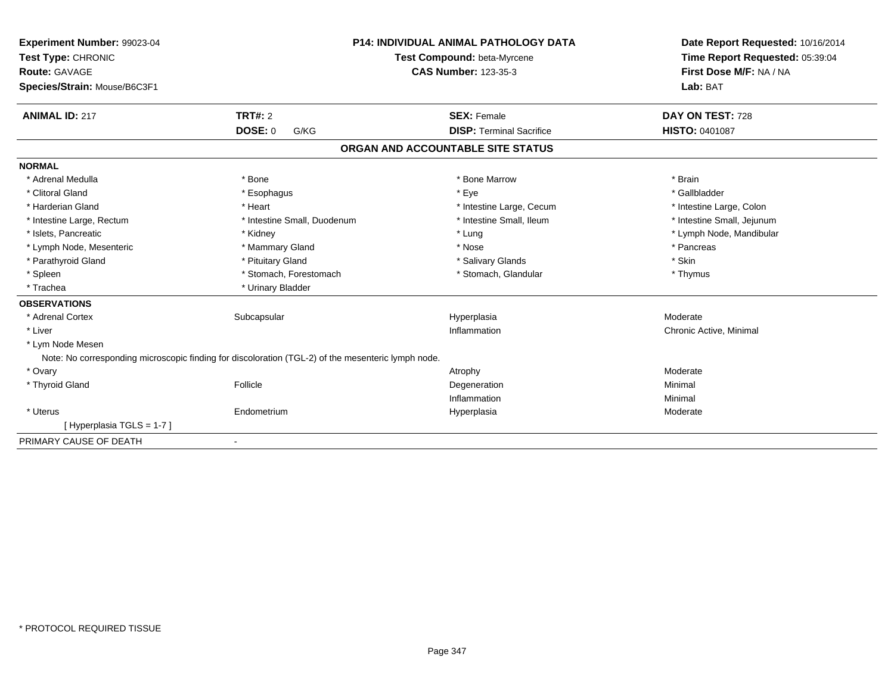| Experiment Number: 99023-04<br>Test Type: CHRONIC<br>Route: GAVAGE<br>Species/Strain: Mouse/B6C3F1 |                                                                                                    | <b>P14: INDIVIDUAL ANIMAL PATHOLOGY DATA</b><br>Test Compound: beta-Myrcene<br><b>CAS Number: 123-35-3</b> | Date Report Requested: 10/16/2014<br>Time Report Requested: 05:39:04<br>First Dose M/F: NA / NA<br>Lab: BAT |
|----------------------------------------------------------------------------------------------------|----------------------------------------------------------------------------------------------------|------------------------------------------------------------------------------------------------------------|-------------------------------------------------------------------------------------------------------------|
| <b>ANIMAL ID: 217</b>                                                                              | TRT#: 2                                                                                            | <b>SEX: Female</b>                                                                                         | DAY ON TEST: 728                                                                                            |
|                                                                                                    | <b>DOSE: 0</b><br>G/KG                                                                             | <b>DISP: Terminal Sacrifice</b>                                                                            | HISTO: 0401087                                                                                              |
|                                                                                                    |                                                                                                    | ORGAN AND ACCOUNTABLE SITE STATUS                                                                          |                                                                                                             |
| <b>NORMAL</b>                                                                                      |                                                                                                    |                                                                                                            |                                                                                                             |
| * Adrenal Medulla                                                                                  | * Bone                                                                                             | * Bone Marrow                                                                                              | * Brain                                                                                                     |
| * Clitoral Gland                                                                                   | * Esophagus                                                                                        | * Eye                                                                                                      | * Gallbladder                                                                                               |
| * Harderian Gland                                                                                  | * Heart                                                                                            | * Intestine Large, Cecum                                                                                   | * Intestine Large, Colon                                                                                    |
| * Intestine Large, Rectum                                                                          | * Intestine Small, Duodenum                                                                        | * Intestine Small, Ileum                                                                                   | * Intestine Small, Jejunum                                                                                  |
| * Islets, Pancreatic                                                                               | * Kidney                                                                                           | * Lung                                                                                                     | * Lymph Node, Mandibular                                                                                    |
| * Lymph Node, Mesenteric                                                                           | * Mammary Gland                                                                                    | * Nose                                                                                                     | * Pancreas                                                                                                  |
| * Parathyroid Gland                                                                                | * Pituitary Gland                                                                                  | * Salivary Glands                                                                                          | * Skin                                                                                                      |
| * Spleen                                                                                           | * Stomach, Forestomach                                                                             | * Stomach, Glandular                                                                                       | * Thymus                                                                                                    |
| * Trachea                                                                                          | * Urinary Bladder                                                                                  |                                                                                                            |                                                                                                             |
| <b>OBSERVATIONS</b>                                                                                |                                                                                                    |                                                                                                            |                                                                                                             |
| * Adrenal Cortex                                                                                   | Subcapsular                                                                                        | Hyperplasia                                                                                                | Moderate                                                                                                    |
| * Liver                                                                                            |                                                                                                    | Inflammation                                                                                               | Chronic Active, Minimal                                                                                     |
| * Lym Node Mesen                                                                                   |                                                                                                    |                                                                                                            |                                                                                                             |
|                                                                                                    | Note: No corresponding microscopic finding for discoloration (TGL-2) of the mesenteric lymph node. |                                                                                                            |                                                                                                             |
| * Ovary                                                                                            |                                                                                                    | Atrophy                                                                                                    | Moderate                                                                                                    |
| * Thyroid Gland                                                                                    | Follicle                                                                                           | Degeneration                                                                                               | Minimal                                                                                                     |
|                                                                                                    |                                                                                                    | Inflammation                                                                                               | Minimal                                                                                                     |
| * Uterus                                                                                           | Endometrium                                                                                        | Hyperplasia                                                                                                | Moderate                                                                                                    |
| [Hyperplasia TGLS = 1-7]                                                                           |                                                                                                    |                                                                                                            |                                                                                                             |
| PRIMARY CAUSE OF DEATH                                                                             | $\blacksquare$                                                                                     |                                                                                                            |                                                                                                             |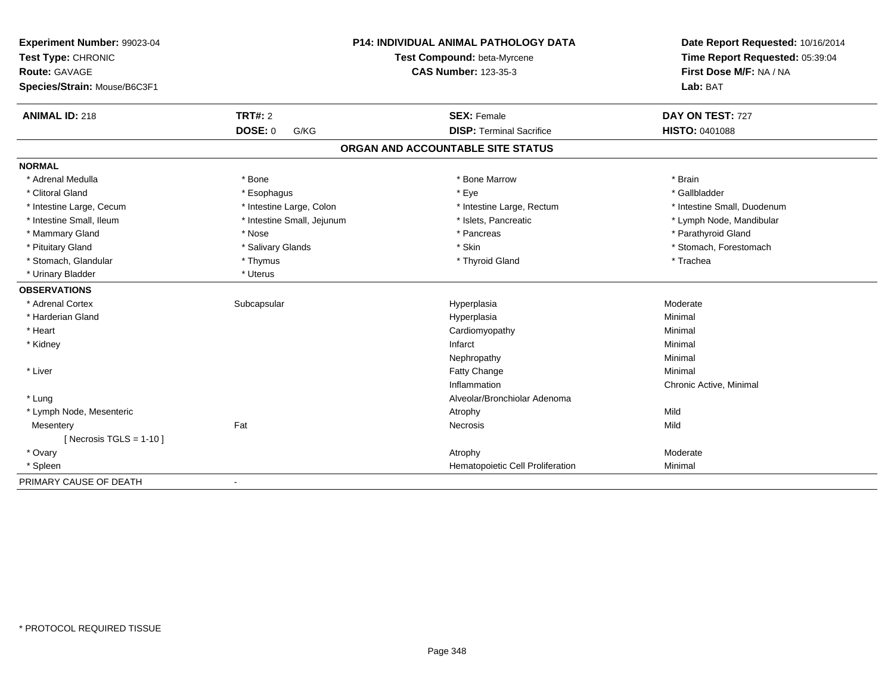| Experiment Number: 99023-04<br>Test Type: CHRONIC<br><b>Route: GAVAGE</b><br>Species/Strain: Mouse/B6C3F1 |                            | <b>P14: INDIVIDUAL ANIMAL PATHOLOGY DATA</b><br>Test Compound: beta-Myrcene<br><b>CAS Number: 123-35-3</b> | Date Report Requested: 10/16/2014<br>Time Report Requested: 05:39:04<br>First Dose M/F: NA / NA<br>Lab: BAT |
|-----------------------------------------------------------------------------------------------------------|----------------------------|------------------------------------------------------------------------------------------------------------|-------------------------------------------------------------------------------------------------------------|
| <b>ANIMAL ID: 218</b>                                                                                     | <b>TRT#: 2</b>             | <b>SEX: Female</b>                                                                                         | DAY ON TEST: 727                                                                                            |
|                                                                                                           | <b>DOSE: 0</b><br>G/KG     | <b>DISP: Terminal Sacrifice</b>                                                                            | <b>HISTO: 0401088</b>                                                                                       |
|                                                                                                           |                            | ORGAN AND ACCOUNTABLE SITE STATUS                                                                          |                                                                                                             |
| <b>NORMAL</b>                                                                                             |                            |                                                                                                            |                                                                                                             |
| * Adrenal Medulla                                                                                         | * Bone                     | * Bone Marrow                                                                                              | * Brain                                                                                                     |
| * Clitoral Gland                                                                                          | * Esophagus                | * Eye                                                                                                      | * Gallbladder                                                                                               |
| * Intestine Large, Cecum                                                                                  | * Intestine Large, Colon   | * Intestine Large, Rectum                                                                                  | * Intestine Small, Duodenum                                                                                 |
| * Intestine Small, Ileum                                                                                  | * Intestine Small, Jejunum | * Islets. Pancreatic                                                                                       | * Lymph Node, Mandibular                                                                                    |
| * Mammary Gland                                                                                           | * Nose                     | * Pancreas                                                                                                 | * Parathyroid Gland                                                                                         |
| * Pituitary Gland                                                                                         | * Salivary Glands          | * Skin                                                                                                     | * Stomach, Forestomach                                                                                      |
| * Stomach, Glandular                                                                                      | * Thymus                   | * Thyroid Gland                                                                                            | * Trachea                                                                                                   |
| * Urinary Bladder                                                                                         | * Uterus                   |                                                                                                            |                                                                                                             |
| <b>OBSERVATIONS</b>                                                                                       |                            |                                                                                                            |                                                                                                             |
| * Adrenal Cortex                                                                                          | Subcapsular                | Hyperplasia                                                                                                | Moderate                                                                                                    |
| * Harderian Gland                                                                                         |                            | Hyperplasia                                                                                                | Minimal                                                                                                     |
| * Heart                                                                                                   |                            | Cardiomyopathy                                                                                             | Minimal                                                                                                     |
| * Kidney                                                                                                  |                            | Infarct                                                                                                    | Minimal                                                                                                     |
|                                                                                                           |                            | Nephropathy                                                                                                | Minimal                                                                                                     |
| * Liver                                                                                                   |                            | Fatty Change                                                                                               | Minimal                                                                                                     |
|                                                                                                           |                            | Inflammation                                                                                               | Chronic Active, Minimal                                                                                     |
| * Lung                                                                                                    |                            | Alveolar/Bronchiolar Adenoma                                                                               |                                                                                                             |
| * Lymph Node, Mesenteric                                                                                  |                            | Atrophy                                                                                                    | Mild                                                                                                        |
| Mesentery                                                                                                 | Fat                        | Necrosis                                                                                                   | Mild                                                                                                        |
| [ Necrosis TGLS = $1-10$ ]                                                                                |                            |                                                                                                            |                                                                                                             |
| * Ovary                                                                                                   |                            | Atrophy                                                                                                    | Moderate                                                                                                    |
| * Spleen                                                                                                  |                            | Hematopoietic Cell Proliferation                                                                           | Minimal                                                                                                     |
| PRIMARY CAUSE OF DEATH                                                                                    |                            |                                                                                                            |                                                                                                             |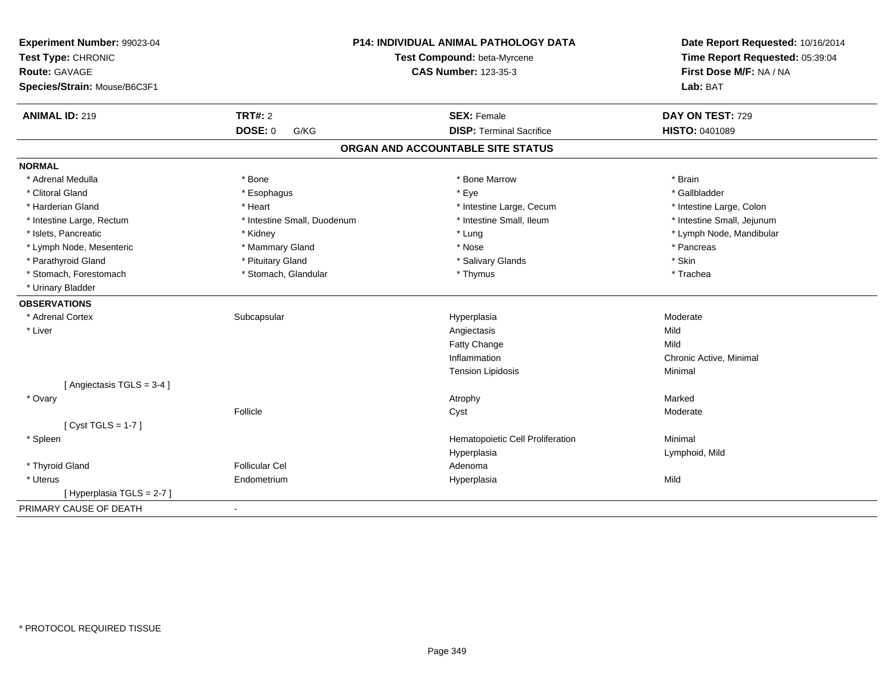| Experiment Number: 99023-04  |                             | <b>P14: INDIVIDUAL ANIMAL PATHOLOGY DATA</b> | Date Report Requested: 10/16/2014                          |
|------------------------------|-----------------------------|----------------------------------------------|------------------------------------------------------------|
| Test Type: CHRONIC           |                             | Test Compound: beta-Myrcene                  | Time Report Requested: 05:39:04<br>First Dose M/F: NA / NA |
| <b>Route: GAVAGE</b>         |                             | <b>CAS Number: 123-35-3</b>                  |                                                            |
| Species/Strain: Mouse/B6C3F1 |                             |                                              | Lab: BAT                                                   |
| <b>ANIMAL ID: 219</b>        | <b>TRT#: 2</b>              | <b>SEX: Female</b>                           | DAY ON TEST: 729                                           |
|                              | <b>DOSE: 0</b><br>G/KG      | <b>DISP: Terminal Sacrifice</b>              | <b>HISTO: 0401089</b>                                      |
|                              |                             | ORGAN AND ACCOUNTABLE SITE STATUS            |                                                            |
| <b>NORMAL</b>                |                             |                                              |                                                            |
| * Adrenal Medulla            | * Bone                      | * Bone Marrow                                | * Brain                                                    |
| * Clitoral Gland             | * Esophagus                 | * Eye                                        | * Gallbladder                                              |
| * Harderian Gland            | * Heart                     | * Intestine Large, Cecum                     | * Intestine Large, Colon                                   |
| * Intestine Large, Rectum    | * Intestine Small, Duodenum | * Intestine Small, Ileum                     | * Intestine Small, Jejunum                                 |
| * Islets, Pancreatic         | * Kidney                    | * Lung                                       | * Lymph Node, Mandibular                                   |
| * Lymph Node, Mesenteric     | * Mammary Gland             | * Nose                                       | * Pancreas                                                 |
| * Parathyroid Gland          | * Pituitary Gland           | * Salivary Glands                            | * Skin                                                     |
| * Stomach, Forestomach       | * Stomach, Glandular        | * Thymus                                     | * Trachea                                                  |
| * Urinary Bladder            |                             |                                              |                                                            |
| <b>OBSERVATIONS</b>          |                             |                                              |                                                            |
| * Adrenal Cortex             | Subcapsular                 | Hyperplasia                                  | Moderate                                                   |
| * Liver                      |                             | Angiectasis                                  | Mild                                                       |
|                              |                             | Fatty Change                                 | Mild                                                       |
|                              |                             | Inflammation                                 | Chronic Active, Minimal                                    |
|                              |                             | <b>Tension Lipidosis</b>                     | Minimal                                                    |
| [Angiectasis TGLS = 3-4]     |                             |                                              |                                                            |
| * Ovary                      |                             | Atrophy                                      | Marked                                                     |
|                              | Follicle                    | Cyst                                         | Moderate                                                   |
| [Cyst TGLS = $1-7$ ]         |                             |                                              |                                                            |
| * Spleen                     |                             | Hematopoietic Cell Proliferation             | Minimal                                                    |
|                              |                             | Hyperplasia                                  | Lymphoid, Mild                                             |
| * Thyroid Gland              | <b>Follicular Cel</b>       | Adenoma                                      |                                                            |
| * Uterus                     | Endometrium                 | Hyperplasia                                  | Mild                                                       |
| [ Hyperplasia TGLS = 2-7 ]   |                             |                                              |                                                            |
| PRIMARY CAUSE OF DEATH       | $\blacksquare$              |                                              |                                                            |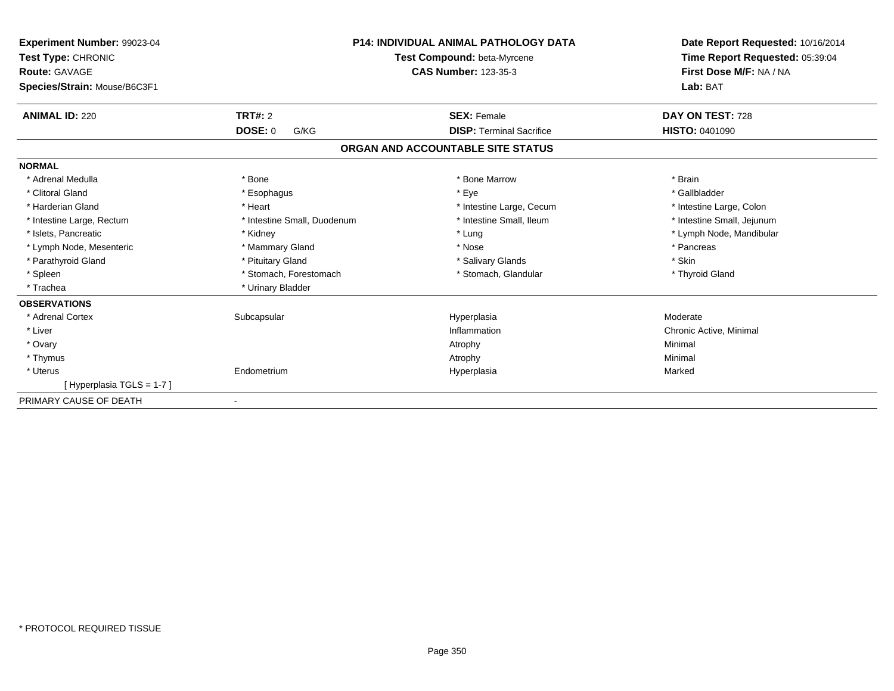| Experiment Number: 99023-04<br>Test Type: CHRONIC<br><b>Route: GAVAGE</b><br>Species/Strain: Mouse/B6C3F1 | <b>P14: INDIVIDUAL ANIMAL PATHOLOGY DATA</b><br>Test Compound: beta-Myrcene<br><b>CAS Number: 123-35-3</b> |                                   | Date Report Requested: 10/16/2014<br>Time Report Requested: 05:39:04<br>First Dose M/F: NA / NA<br>Lab: BAT |
|-----------------------------------------------------------------------------------------------------------|------------------------------------------------------------------------------------------------------------|-----------------------------------|-------------------------------------------------------------------------------------------------------------|
| <b>ANIMAL ID: 220</b>                                                                                     | <b>TRT#: 2</b>                                                                                             | <b>SEX: Female</b>                | DAY ON TEST: 728                                                                                            |
|                                                                                                           | <b>DOSE: 0</b><br>G/KG                                                                                     | <b>DISP: Terminal Sacrifice</b>   | <b>HISTO: 0401090</b>                                                                                       |
|                                                                                                           |                                                                                                            | ORGAN AND ACCOUNTABLE SITE STATUS |                                                                                                             |
| <b>NORMAL</b>                                                                                             |                                                                                                            |                                   |                                                                                                             |
| * Adrenal Medulla                                                                                         | * Bone                                                                                                     | * Bone Marrow                     | * Brain                                                                                                     |
| * Clitoral Gland                                                                                          | * Esophagus                                                                                                | * Eye                             | * Gallbladder                                                                                               |
| * Harderian Gland                                                                                         | * Heart                                                                                                    | * Intestine Large, Cecum          | * Intestine Large, Colon                                                                                    |
| * Intestine Large, Rectum                                                                                 | * Intestine Small, Duodenum                                                                                | * Intestine Small, Ileum          | * Intestine Small, Jejunum                                                                                  |
| * Islets. Pancreatic                                                                                      | * Kidney                                                                                                   | * Lung                            | * Lymph Node, Mandibular                                                                                    |
| * Lymph Node, Mesenteric                                                                                  | * Mammary Gland                                                                                            | * Nose                            | * Pancreas                                                                                                  |
| * Parathyroid Gland                                                                                       | * Pituitary Gland                                                                                          | * Salivary Glands                 | * Skin                                                                                                      |
| * Spleen                                                                                                  | * Stomach, Forestomach                                                                                     | * Stomach, Glandular              | * Thyroid Gland                                                                                             |
| * Trachea                                                                                                 | * Urinary Bladder                                                                                          |                                   |                                                                                                             |
| <b>OBSERVATIONS</b>                                                                                       |                                                                                                            |                                   |                                                                                                             |
| * Adrenal Cortex                                                                                          | Subcapsular                                                                                                | Hyperplasia                       | Moderate                                                                                                    |
| * Liver                                                                                                   |                                                                                                            | Inflammation                      | Chronic Active, Minimal                                                                                     |
| * Ovary                                                                                                   |                                                                                                            | Atrophy                           | Minimal                                                                                                     |
| * Thymus                                                                                                  |                                                                                                            | Atrophy                           | Minimal                                                                                                     |
| * Uterus                                                                                                  | Endometrium                                                                                                | Hyperplasia                       | Marked                                                                                                      |
| [Hyperplasia TGLS = 1-7]                                                                                  |                                                                                                            |                                   |                                                                                                             |
| PRIMARY CAUSE OF DEATH                                                                                    |                                                                                                            |                                   |                                                                                                             |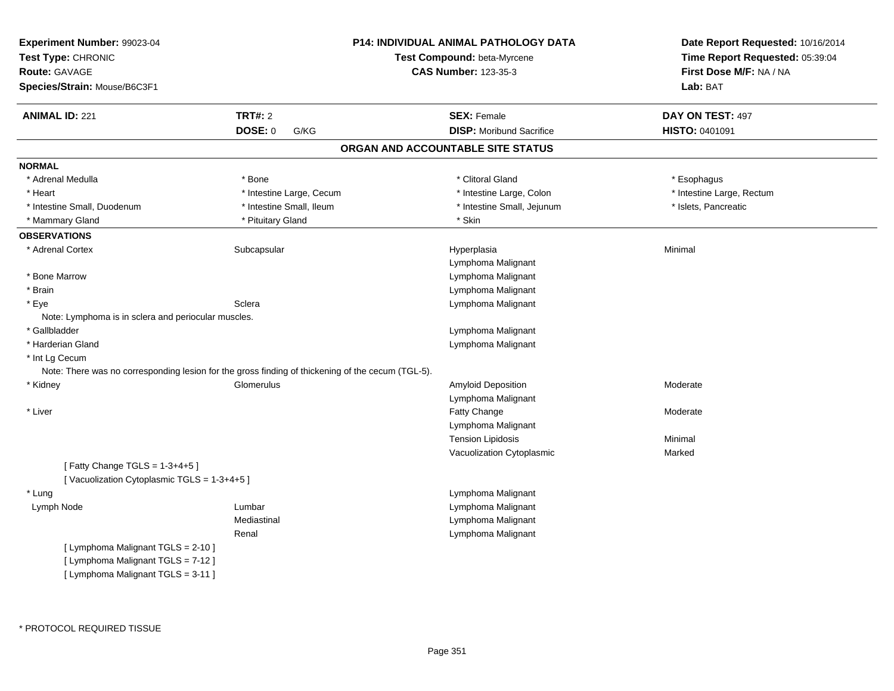| Experiment Number: 99023-04<br>Test Type: CHRONIC<br>Route: GAVAGE<br>Species/Strain: Mouse/B6C3F1 |                          | <b>P14: INDIVIDUAL ANIMAL PATHOLOGY DATA</b><br>Test Compound: beta-Myrcene<br><b>CAS Number: 123-35-3</b> | Date Report Requested: 10/16/2014<br>Time Report Requested: 05:39:04<br>First Dose M/F: NA / NA<br>Lab: BAT |
|----------------------------------------------------------------------------------------------------|--------------------------|------------------------------------------------------------------------------------------------------------|-------------------------------------------------------------------------------------------------------------|
| <b>ANIMAL ID: 221</b>                                                                              | <b>TRT#: 2</b>           | <b>SEX: Female</b>                                                                                         | DAY ON TEST: 497                                                                                            |
|                                                                                                    | DOSE: 0<br>G/KG          | <b>DISP:</b> Moribund Sacrifice                                                                            | HISTO: 0401091                                                                                              |
|                                                                                                    |                          | ORGAN AND ACCOUNTABLE SITE STATUS                                                                          |                                                                                                             |
| <b>NORMAL</b>                                                                                      |                          |                                                                                                            |                                                                                                             |
| * Adrenal Medulla                                                                                  | * Bone                   | * Clitoral Gland                                                                                           | * Esophagus                                                                                                 |
| * Heart                                                                                            | * Intestine Large, Cecum | * Intestine Large, Colon                                                                                   | * Intestine Large, Rectum                                                                                   |
| * Intestine Small, Duodenum                                                                        | * Intestine Small, Ileum | * Intestine Small, Jejunum                                                                                 | * Islets, Pancreatic                                                                                        |
| * Mammary Gland                                                                                    | * Pituitary Gland        | * Skin                                                                                                     |                                                                                                             |
| <b>OBSERVATIONS</b>                                                                                |                          |                                                                                                            |                                                                                                             |
| * Adrenal Cortex                                                                                   | Subcapsular              | Hyperplasia                                                                                                | Minimal                                                                                                     |
|                                                                                                    |                          | Lymphoma Malignant                                                                                         |                                                                                                             |
| * Bone Marrow                                                                                      |                          | Lymphoma Malignant                                                                                         |                                                                                                             |
| * Brain                                                                                            |                          | Lymphoma Malignant                                                                                         |                                                                                                             |
| * Eye                                                                                              | Sclera                   | Lymphoma Malignant                                                                                         |                                                                                                             |
| Note: Lymphoma is in sclera and periocular muscles.                                                |                          |                                                                                                            |                                                                                                             |
| * Gallbladder                                                                                      |                          | Lymphoma Malignant                                                                                         |                                                                                                             |
| * Harderian Gland                                                                                  |                          | Lymphoma Malignant                                                                                         |                                                                                                             |
| * Int Lg Cecum                                                                                     |                          |                                                                                                            |                                                                                                             |
| Note: There was no corresponding lesion for the gross finding of thickening of the cecum (TGL-5).  |                          |                                                                                                            |                                                                                                             |
| * Kidney                                                                                           | Glomerulus               | Amyloid Deposition                                                                                         | Moderate                                                                                                    |
|                                                                                                    |                          | Lymphoma Malignant                                                                                         |                                                                                                             |
| * Liver                                                                                            |                          | Fatty Change                                                                                               | Moderate                                                                                                    |
|                                                                                                    |                          | Lymphoma Malignant                                                                                         |                                                                                                             |
|                                                                                                    |                          | <b>Tension Lipidosis</b>                                                                                   | Minimal                                                                                                     |
|                                                                                                    |                          | Vacuolization Cytoplasmic                                                                                  | Marked                                                                                                      |
| [Fatty Change TGLS = 1-3+4+5]                                                                      |                          |                                                                                                            |                                                                                                             |
| [Vacuolization Cytoplasmic TGLS = 1-3+4+5]                                                         |                          |                                                                                                            |                                                                                                             |
| * Lung                                                                                             |                          | Lymphoma Malignant                                                                                         |                                                                                                             |
| Lymph Node                                                                                         | Lumbar                   | Lymphoma Malignant                                                                                         |                                                                                                             |
|                                                                                                    | Mediastinal              | Lymphoma Malignant                                                                                         |                                                                                                             |
|                                                                                                    | Renal                    | Lymphoma Malignant                                                                                         |                                                                                                             |
| [ Lymphoma Malignant TGLS = 2-10 ]                                                                 |                          |                                                                                                            |                                                                                                             |
| [ Lymphoma Malignant TGLS = 7-12 ]                                                                 |                          |                                                                                                            |                                                                                                             |
| [ Lymphoma Malignant TGLS = 3-11 ]                                                                 |                          |                                                                                                            |                                                                                                             |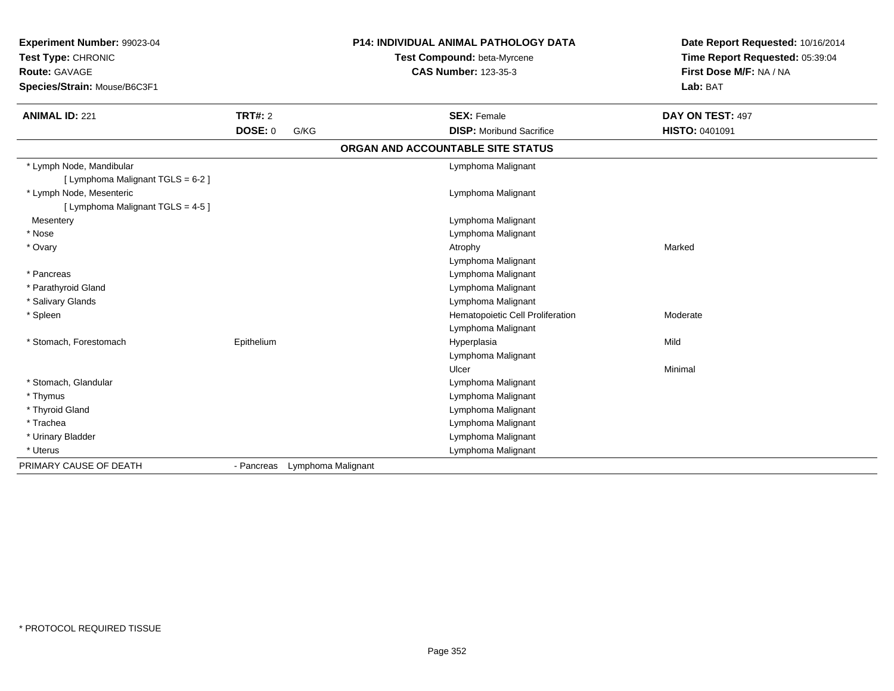| Experiment Number: 99023-04<br>Test Type: CHRONIC<br>Route: GAVAGE<br>Species/Strain: Mouse/B6C3F1 |                |                               | <b>P14: INDIVIDUAL ANIMAL PATHOLOGY DATA</b><br>Test Compound: beta-Myrcene<br><b>CAS Number: 123-35-3</b> | Date Report Requested: 10/16/2014<br>Time Report Requested: 05:39:04<br>First Dose M/F: NA / NA<br>Lab: BAT |
|----------------------------------------------------------------------------------------------------|----------------|-------------------------------|------------------------------------------------------------------------------------------------------------|-------------------------------------------------------------------------------------------------------------|
| <b>ANIMAL ID: 221</b>                                                                              | TRT#: 2        |                               | <b>SEX: Female</b>                                                                                         | DAY ON TEST: 497                                                                                            |
|                                                                                                    | <b>DOSE: 0</b> | G/KG                          | <b>DISP:</b> Moribund Sacrifice                                                                            | <b>HISTO: 0401091</b>                                                                                       |
|                                                                                                    |                |                               | ORGAN AND ACCOUNTABLE SITE STATUS                                                                          |                                                                                                             |
| * Lymph Node, Mandibular<br>[ Lymphoma Malignant TGLS = 6-2 ]                                      |                |                               | Lymphoma Malignant                                                                                         |                                                                                                             |
| * Lymph Node, Mesenteric<br>[ Lymphoma Malignant TGLS = 4-5 ]                                      |                |                               | Lymphoma Malignant                                                                                         |                                                                                                             |
| Mesentery                                                                                          |                |                               | Lymphoma Malignant                                                                                         |                                                                                                             |
| * Nose                                                                                             |                |                               | Lymphoma Malignant                                                                                         |                                                                                                             |
| * Ovary                                                                                            |                |                               | Atrophy                                                                                                    | Marked                                                                                                      |
|                                                                                                    |                |                               | Lymphoma Malignant                                                                                         |                                                                                                             |
| * Pancreas                                                                                         |                |                               | Lymphoma Malignant                                                                                         |                                                                                                             |
| * Parathyroid Gland                                                                                |                |                               | Lymphoma Malignant                                                                                         |                                                                                                             |
| * Salivary Glands                                                                                  |                |                               | Lymphoma Malignant                                                                                         |                                                                                                             |
| * Spleen                                                                                           |                |                               | Hematopoietic Cell Proliferation                                                                           | Moderate                                                                                                    |
|                                                                                                    |                |                               | Lymphoma Malignant                                                                                         |                                                                                                             |
| * Stomach, Forestomach                                                                             | Epithelium     |                               | Hyperplasia                                                                                                | Mild                                                                                                        |
|                                                                                                    |                |                               | Lymphoma Malignant                                                                                         |                                                                                                             |
|                                                                                                    |                |                               | Ulcer                                                                                                      | Minimal                                                                                                     |
| * Stomach, Glandular                                                                               |                |                               | Lymphoma Malignant                                                                                         |                                                                                                             |
| * Thymus                                                                                           |                |                               | Lymphoma Malignant                                                                                         |                                                                                                             |
| * Thyroid Gland                                                                                    |                |                               | Lymphoma Malignant                                                                                         |                                                                                                             |
| * Trachea                                                                                          |                |                               | Lymphoma Malignant                                                                                         |                                                                                                             |
| * Urinary Bladder                                                                                  |                |                               | Lymphoma Malignant                                                                                         |                                                                                                             |
| * Uterus                                                                                           |                |                               | Lymphoma Malignant                                                                                         |                                                                                                             |
| PRIMARY CAUSE OF DEATH                                                                             |                | - Pancreas Lymphoma Malignant |                                                                                                            |                                                                                                             |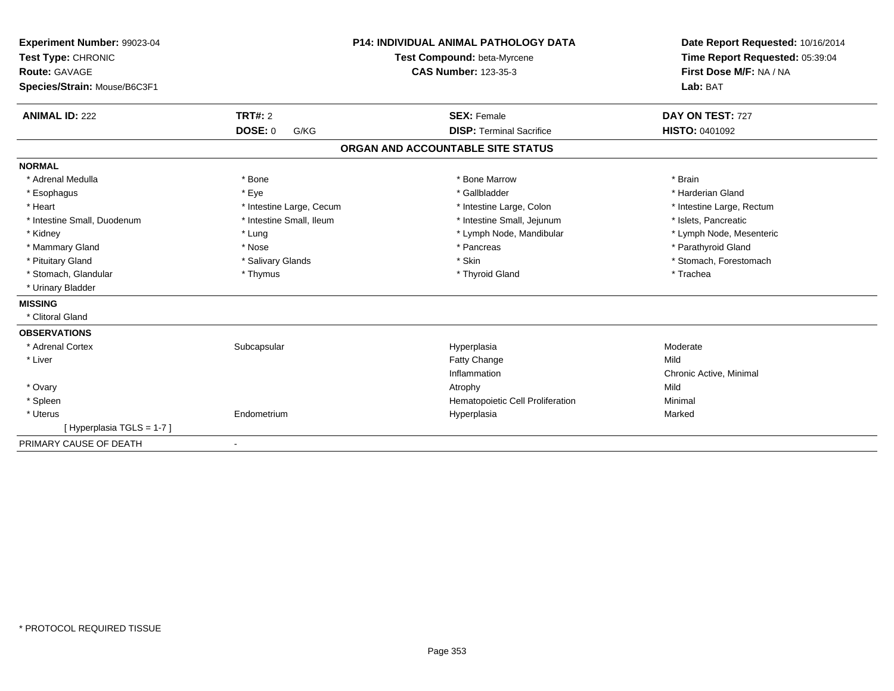| Experiment Number: 99023-04<br>Test Type: CHRONIC<br><b>Route: GAVAGE</b><br>Species/Strain: Mouse/B6C3F1<br><b>ANIMAL ID: 222</b> | <b>TRT#: 2</b>           | <b>P14: INDIVIDUAL ANIMAL PATHOLOGY DATA</b><br>Test Compound: beta-Myrcene<br><b>CAS Number: 123-35-3</b><br><b>SEX: Female</b> | Date Report Requested: 10/16/2014<br>Time Report Requested: 05:39:04<br>First Dose M/F: NA / NA<br>Lab: BAT<br>DAY ON TEST: 727 |
|------------------------------------------------------------------------------------------------------------------------------------|--------------------------|----------------------------------------------------------------------------------------------------------------------------------|---------------------------------------------------------------------------------------------------------------------------------|
|                                                                                                                                    | <b>DOSE: 0</b><br>G/KG   | <b>DISP: Terminal Sacrifice</b>                                                                                                  | HISTO: 0401092                                                                                                                  |
|                                                                                                                                    |                          | ORGAN AND ACCOUNTABLE SITE STATUS                                                                                                |                                                                                                                                 |
| <b>NORMAL</b>                                                                                                                      |                          |                                                                                                                                  |                                                                                                                                 |
| * Adrenal Medulla                                                                                                                  | * Bone                   | * Bone Marrow                                                                                                                    | * Brain                                                                                                                         |
| * Esophagus                                                                                                                        | * Eye                    | * Gallbladder                                                                                                                    | * Harderian Gland                                                                                                               |
| * Heart                                                                                                                            | * Intestine Large, Cecum | * Intestine Large, Colon                                                                                                         | * Intestine Large, Rectum                                                                                                       |
| * Intestine Small, Duodenum                                                                                                        | * Intestine Small, Ileum | * Intestine Small, Jejunum                                                                                                       | * Islets, Pancreatic                                                                                                            |
| * Kidney                                                                                                                           | * Lung                   | * Lymph Node, Mandibular                                                                                                         | * Lymph Node, Mesenteric                                                                                                        |
| * Mammary Gland                                                                                                                    | * Nose                   | * Pancreas                                                                                                                       | * Parathyroid Gland                                                                                                             |
| * Pituitary Gland                                                                                                                  | * Salivary Glands        | * Skin                                                                                                                           | * Stomach, Forestomach                                                                                                          |
| * Stomach, Glandular                                                                                                               | * Thymus                 | * Thyroid Gland                                                                                                                  | * Trachea                                                                                                                       |
| * Urinary Bladder                                                                                                                  |                          |                                                                                                                                  |                                                                                                                                 |
| <b>MISSING</b>                                                                                                                     |                          |                                                                                                                                  |                                                                                                                                 |
| * Clitoral Gland                                                                                                                   |                          |                                                                                                                                  |                                                                                                                                 |
| <b>OBSERVATIONS</b>                                                                                                                |                          |                                                                                                                                  |                                                                                                                                 |
| * Adrenal Cortex                                                                                                                   | Subcapsular              | Hyperplasia                                                                                                                      | Moderate                                                                                                                        |
| * Liver                                                                                                                            |                          | <b>Fatty Change</b>                                                                                                              | Mild                                                                                                                            |
|                                                                                                                                    |                          | Inflammation                                                                                                                     | Chronic Active, Minimal                                                                                                         |
| * Ovary                                                                                                                            |                          | Atrophy                                                                                                                          | Mild                                                                                                                            |
| * Spleen                                                                                                                           |                          | Hematopoietic Cell Proliferation                                                                                                 | Minimal                                                                                                                         |
| * Uterus                                                                                                                           | Endometrium              | Hyperplasia                                                                                                                      | Marked                                                                                                                          |
| [Hyperplasia TGLS = 1-7]                                                                                                           |                          |                                                                                                                                  |                                                                                                                                 |
| PRIMARY CAUSE OF DEATH                                                                                                             | $\overline{\phantom{a}}$ |                                                                                                                                  |                                                                                                                                 |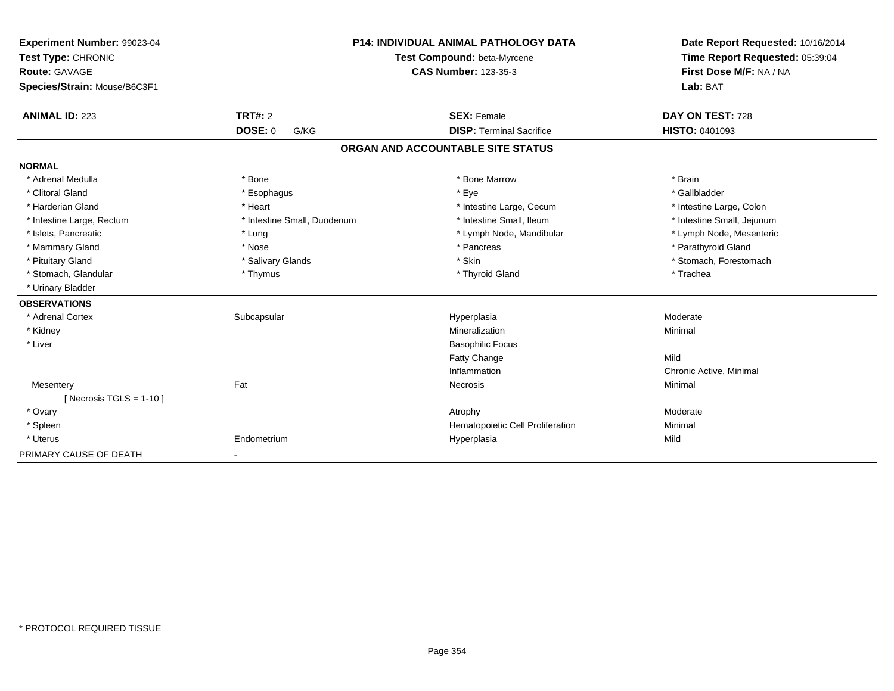| Experiment Number: 99023-04  | <b>P14: INDIVIDUAL ANIMAL PATHOLOGY DATA</b> |                                   | Date Report Requested: 10/16/2014 |
|------------------------------|----------------------------------------------|-----------------------------------|-----------------------------------|
| Test Type: CHRONIC           |                                              | Test Compound: beta-Myrcene       | Time Report Requested: 05:39:04   |
| <b>Route: GAVAGE</b>         |                                              | <b>CAS Number: 123-35-3</b>       | First Dose M/F: NA / NA           |
| Species/Strain: Mouse/B6C3F1 |                                              |                                   | Lab: BAT                          |
| <b>ANIMAL ID: 223</b>        | <b>TRT#: 2</b>                               | <b>SEX: Female</b>                | DAY ON TEST: 728                  |
|                              | <b>DOSE: 0</b><br>G/KG                       | <b>DISP: Terminal Sacrifice</b>   | <b>HISTO: 0401093</b>             |
|                              |                                              | ORGAN AND ACCOUNTABLE SITE STATUS |                                   |
| <b>NORMAL</b>                |                                              |                                   |                                   |
| * Adrenal Medulla            | * Bone                                       | * Bone Marrow                     | * Brain                           |
| * Clitoral Gland             | * Esophagus                                  | * Eye                             | * Gallbladder                     |
| * Harderian Gland            | * Heart                                      | * Intestine Large, Cecum          | * Intestine Large, Colon          |
| * Intestine Large, Rectum    | * Intestine Small, Duodenum                  | * Intestine Small, Ileum          | * Intestine Small, Jejunum        |
| * Islets, Pancreatic         | * Lung                                       | * Lymph Node, Mandibular          | * Lymph Node, Mesenteric          |
| * Mammary Gland              | * Nose                                       | * Pancreas                        | * Parathyroid Gland               |
| * Pituitary Gland            | * Salivary Glands                            | * Skin                            | * Stomach, Forestomach            |
| * Stomach, Glandular         | * Thymus                                     | * Thyroid Gland                   | * Trachea                         |
| * Urinary Bladder            |                                              |                                   |                                   |
| <b>OBSERVATIONS</b>          |                                              |                                   |                                   |
| * Adrenal Cortex             | Subcapsular                                  | Hyperplasia                       | Moderate                          |
| * Kidney                     |                                              | Mineralization                    | Minimal                           |
| * Liver                      |                                              | <b>Basophilic Focus</b>           |                                   |
|                              |                                              | <b>Fatty Change</b>               | Mild                              |
|                              |                                              | Inflammation                      | Chronic Active, Minimal           |
| Mesentery                    | Fat                                          | Necrosis                          | Minimal                           |
| [ Necrosis TGLS = $1-10$ ]   |                                              |                                   |                                   |
| * Ovary                      |                                              | Atrophy                           | Moderate                          |
| * Spleen                     |                                              | Hematopoietic Cell Proliferation  | Minimal                           |
| * Uterus                     | Endometrium                                  | Hyperplasia                       | Mild                              |
| PRIMARY CAUSE OF DEATH       |                                              |                                   |                                   |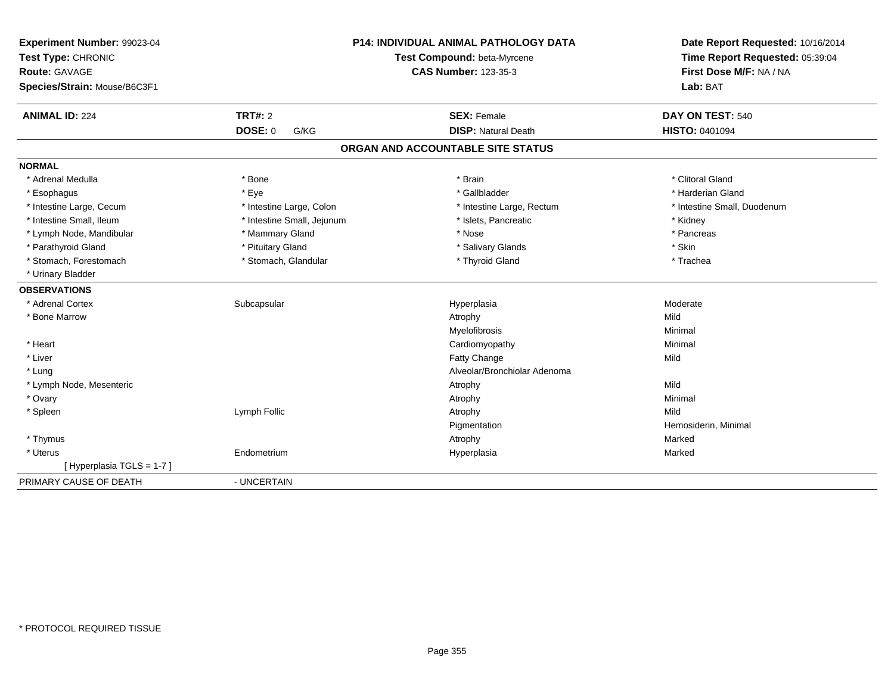| Experiment Number: 99023-04<br>Test Type: CHRONIC<br><b>Route: GAVAGE</b><br>Species/Strain: Mouse/B6C3F1 | P14: INDIVIDUAL ANIMAL PATHOLOGY DATA<br>Test Compound: beta-Myrcene<br><b>CAS Number: 123-35-3</b> |                                   | Date Report Requested: 10/16/2014<br>Time Report Requested: 05:39:04<br>First Dose M/F: NA / NA<br>Lab: BAT |  |
|-----------------------------------------------------------------------------------------------------------|-----------------------------------------------------------------------------------------------------|-----------------------------------|-------------------------------------------------------------------------------------------------------------|--|
| <b>ANIMAL ID: 224</b>                                                                                     | <b>TRT#: 2</b>                                                                                      | <b>SEX: Female</b>                | DAY ON TEST: 540                                                                                            |  |
|                                                                                                           | <b>DOSE: 0</b><br>G/KG                                                                              | <b>DISP: Natural Death</b>        | <b>HISTO: 0401094</b>                                                                                       |  |
|                                                                                                           |                                                                                                     | ORGAN AND ACCOUNTABLE SITE STATUS |                                                                                                             |  |
| <b>NORMAL</b>                                                                                             |                                                                                                     |                                   |                                                                                                             |  |
| * Adrenal Medulla                                                                                         | * Bone                                                                                              | * Brain                           | * Clitoral Gland                                                                                            |  |
| * Esophagus                                                                                               | * Eye                                                                                               | * Gallbladder                     | * Harderian Gland                                                                                           |  |
| * Intestine Large, Cecum                                                                                  | * Intestine Large, Colon                                                                            | * Intestine Large, Rectum         | * Intestine Small, Duodenum                                                                                 |  |
| * Intestine Small, Ileum                                                                                  | * Intestine Small, Jejunum                                                                          | * Islets, Pancreatic              | * Kidney                                                                                                    |  |
| * Lymph Node, Mandibular                                                                                  | * Mammary Gland                                                                                     | * Nose                            | * Pancreas                                                                                                  |  |
| * Parathyroid Gland                                                                                       | * Pituitary Gland                                                                                   | * Salivary Glands                 | * Skin                                                                                                      |  |
| * Stomach, Forestomach                                                                                    | * Stomach, Glandular                                                                                | * Thyroid Gland                   | * Trachea                                                                                                   |  |
| * Urinary Bladder                                                                                         |                                                                                                     |                                   |                                                                                                             |  |
| <b>OBSERVATIONS</b>                                                                                       |                                                                                                     |                                   |                                                                                                             |  |
| * Adrenal Cortex                                                                                          | Subcapsular                                                                                         | Hyperplasia                       | Moderate                                                                                                    |  |
| * Bone Marrow                                                                                             |                                                                                                     | Atrophy                           | Mild                                                                                                        |  |
|                                                                                                           |                                                                                                     | Myelofibrosis                     | Minimal                                                                                                     |  |
| * Heart                                                                                                   |                                                                                                     | Cardiomyopathy                    | Minimal                                                                                                     |  |
| * Liver                                                                                                   |                                                                                                     | Fatty Change                      | Mild                                                                                                        |  |
| * Lung                                                                                                    |                                                                                                     | Alveolar/Bronchiolar Adenoma      |                                                                                                             |  |
| * Lymph Node, Mesenteric                                                                                  |                                                                                                     | Atrophy                           | Mild                                                                                                        |  |
| * Ovary                                                                                                   |                                                                                                     | Atrophy                           | Minimal                                                                                                     |  |
| * Spleen                                                                                                  | Lymph Follic                                                                                        | Atrophy                           | Mild                                                                                                        |  |
|                                                                                                           |                                                                                                     | Pigmentation                      | Hemosiderin, Minimal                                                                                        |  |
| * Thymus                                                                                                  |                                                                                                     | Atrophy                           | Marked                                                                                                      |  |
| * Uterus                                                                                                  | Endometrium                                                                                         | Hyperplasia                       | Marked                                                                                                      |  |
| [Hyperplasia TGLS = 1-7]                                                                                  |                                                                                                     |                                   |                                                                                                             |  |
| PRIMARY CAUSE OF DEATH                                                                                    | - UNCERTAIN                                                                                         |                                   |                                                                                                             |  |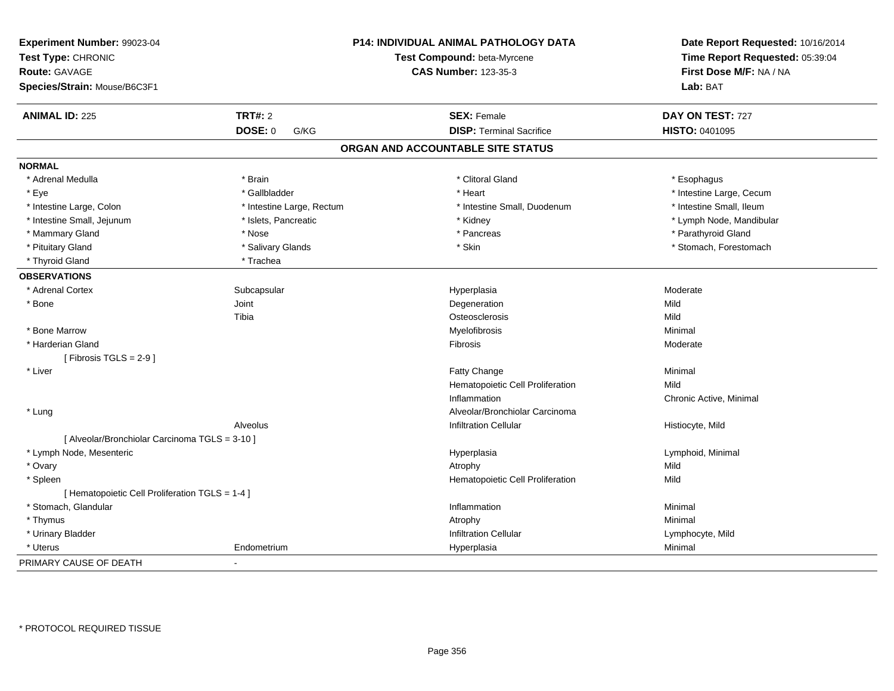| Experiment Number: 99023-04<br>Test Type: CHRONIC<br><b>Route: GAVAGE</b><br>Species/Strain: Mouse/B6C3F1 |                           | P14: INDIVIDUAL ANIMAL PATHOLOGY DATA<br>Test Compound: beta-Myrcene<br><b>CAS Number: 123-35-3</b> | Date Report Requested: 10/16/2014<br>Time Report Requested: 05:39:04<br>First Dose M/F: NA / NA<br>Lab: BAT |
|-----------------------------------------------------------------------------------------------------------|---------------------------|-----------------------------------------------------------------------------------------------------|-------------------------------------------------------------------------------------------------------------|
| <b>ANIMAL ID: 225</b>                                                                                     | <b>TRT#: 2</b>            | <b>SEX: Female</b>                                                                                  | DAY ON TEST: 727                                                                                            |
|                                                                                                           | <b>DOSE: 0</b><br>G/KG    | <b>DISP: Terminal Sacrifice</b>                                                                     | HISTO: 0401095                                                                                              |
|                                                                                                           |                           | ORGAN AND ACCOUNTABLE SITE STATUS                                                                   |                                                                                                             |
| <b>NORMAL</b>                                                                                             |                           |                                                                                                     |                                                                                                             |
| * Adrenal Medulla                                                                                         | * Brain                   | * Clitoral Gland                                                                                    | * Esophagus                                                                                                 |
| * Eye                                                                                                     | * Gallbladder             | * Heart                                                                                             | * Intestine Large, Cecum                                                                                    |
| * Intestine Large, Colon                                                                                  | * Intestine Large, Rectum | * Intestine Small, Duodenum                                                                         | * Intestine Small, Ileum                                                                                    |
| * Intestine Small, Jejunum                                                                                | * Islets, Pancreatic      | * Kidney                                                                                            | * Lymph Node, Mandibular                                                                                    |
| * Mammary Gland                                                                                           | * Nose                    | * Pancreas                                                                                          | * Parathyroid Gland                                                                                         |
| * Pituitary Gland                                                                                         | * Salivary Glands         | * Skin                                                                                              | * Stomach, Forestomach                                                                                      |
| * Thyroid Gland                                                                                           | * Trachea                 |                                                                                                     |                                                                                                             |
| <b>OBSERVATIONS</b>                                                                                       |                           |                                                                                                     |                                                                                                             |
| * Adrenal Cortex                                                                                          | Subcapsular               | Hyperplasia                                                                                         | Moderate                                                                                                    |
| * Bone                                                                                                    | Joint                     | Degeneration                                                                                        | Mild                                                                                                        |
|                                                                                                           | Tibia                     | Osteosclerosis                                                                                      | Mild                                                                                                        |
| * Bone Marrow                                                                                             |                           | Myelofibrosis                                                                                       | Minimal                                                                                                     |
| * Harderian Gland                                                                                         |                           | Fibrosis                                                                                            | Moderate                                                                                                    |
| [Fibrosis TGLS = $2-9$ ]                                                                                  |                           |                                                                                                     |                                                                                                             |
| * Liver                                                                                                   |                           | Fatty Change                                                                                        | Minimal                                                                                                     |
|                                                                                                           |                           | Hematopoietic Cell Proliferation                                                                    | Mild                                                                                                        |
|                                                                                                           |                           | Inflammation                                                                                        | Chronic Active, Minimal                                                                                     |
| * Lung                                                                                                    |                           | Alveolar/Bronchiolar Carcinoma                                                                      |                                                                                                             |
|                                                                                                           | Alveolus                  | <b>Infiltration Cellular</b>                                                                        | Histiocyte, Mild                                                                                            |
| [ Alveolar/Bronchiolar Carcinoma TGLS = 3-10 ]                                                            |                           |                                                                                                     |                                                                                                             |
| * Lymph Node, Mesenteric                                                                                  |                           | Hyperplasia                                                                                         | Lymphoid, Minimal                                                                                           |
| * Ovary                                                                                                   |                           | Atrophy                                                                                             | Mild                                                                                                        |
| * Spleen                                                                                                  |                           | Hematopoietic Cell Proliferation                                                                    | Mild                                                                                                        |
| [ Hematopoietic Cell Proliferation TGLS = 1-4 ]                                                           |                           |                                                                                                     |                                                                                                             |
| * Stomach, Glandular                                                                                      |                           | Inflammation                                                                                        | Minimal                                                                                                     |
| * Thymus                                                                                                  |                           | Atrophy                                                                                             | Minimal                                                                                                     |
| * Urinary Bladder                                                                                         |                           | <b>Infiltration Cellular</b>                                                                        | Lymphocyte, Mild                                                                                            |
| * Uterus                                                                                                  | Endometrium               | Hyperplasia                                                                                         | Minimal                                                                                                     |
| PRIMARY CAUSE OF DEATH                                                                                    |                           |                                                                                                     |                                                                                                             |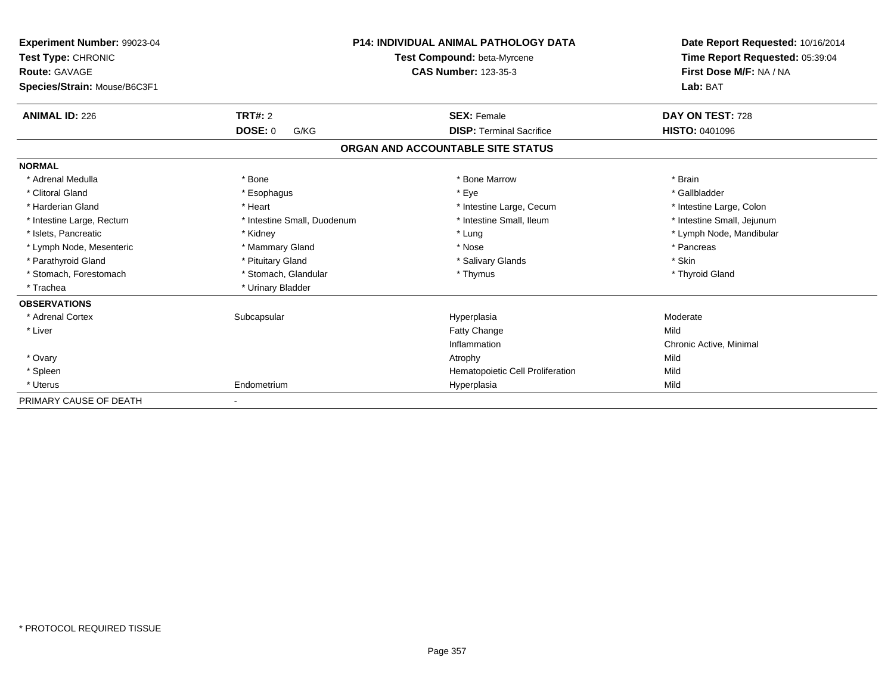| Experiment Number: 99023-04<br>Test Type: CHRONIC<br><b>Route: GAVAGE</b><br>Species/Strain: Mouse/B6C3F1 |                             | <b>P14: INDIVIDUAL ANIMAL PATHOLOGY DATA</b><br>Test Compound: beta-Myrcene<br><b>CAS Number: 123-35-3</b> | Date Report Requested: 10/16/2014<br>Time Report Requested: 05:39:04<br>First Dose M/F: NA / NA<br>Lab: BAT |
|-----------------------------------------------------------------------------------------------------------|-----------------------------|------------------------------------------------------------------------------------------------------------|-------------------------------------------------------------------------------------------------------------|
| <b>ANIMAL ID: 226</b>                                                                                     | <b>TRT#: 2</b>              | <b>SEX: Female</b>                                                                                         | DAY ON TEST: 728                                                                                            |
|                                                                                                           | <b>DOSE: 0</b><br>G/KG      | <b>DISP: Terminal Sacrifice</b>                                                                            | <b>HISTO: 0401096</b>                                                                                       |
|                                                                                                           |                             | ORGAN AND ACCOUNTABLE SITE STATUS                                                                          |                                                                                                             |
| <b>NORMAL</b>                                                                                             |                             |                                                                                                            |                                                                                                             |
| * Adrenal Medulla                                                                                         | * Bone                      | * Bone Marrow                                                                                              | * Brain                                                                                                     |
| * Clitoral Gland                                                                                          | * Esophagus                 | * Eye                                                                                                      | * Gallbladder                                                                                               |
| * Harderian Gland                                                                                         | * Heart                     | * Intestine Large, Cecum                                                                                   | * Intestine Large, Colon                                                                                    |
| * Intestine Large, Rectum                                                                                 | * Intestine Small, Duodenum | * Intestine Small, Ileum                                                                                   | * Intestine Small, Jejunum                                                                                  |
| * Islets, Pancreatic                                                                                      | * Kidney                    | * Lung                                                                                                     | * Lymph Node, Mandibular                                                                                    |
| * Lymph Node, Mesenteric                                                                                  | * Mammary Gland             | * Nose                                                                                                     | * Pancreas                                                                                                  |
| * Parathyroid Gland                                                                                       | * Pituitary Gland           | * Salivary Glands                                                                                          | * Skin                                                                                                      |
| * Stomach, Forestomach                                                                                    | * Stomach, Glandular        | * Thymus                                                                                                   | * Thyroid Gland                                                                                             |
| * Trachea                                                                                                 | * Urinary Bladder           |                                                                                                            |                                                                                                             |
| <b>OBSERVATIONS</b>                                                                                       |                             |                                                                                                            |                                                                                                             |
| * Adrenal Cortex                                                                                          | Subcapsular                 | Hyperplasia                                                                                                | Moderate                                                                                                    |
| * Liver                                                                                                   |                             | <b>Fatty Change</b>                                                                                        | Mild                                                                                                        |
|                                                                                                           |                             | Inflammation                                                                                               | Chronic Active, Minimal                                                                                     |
| * Ovary                                                                                                   |                             | Atrophy                                                                                                    | Mild                                                                                                        |
| * Spleen                                                                                                  |                             | Hematopoietic Cell Proliferation                                                                           | Mild                                                                                                        |
| * Uterus                                                                                                  | Endometrium                 | Hyperplasia                                                                                                | Mild                                                                                                        |
| PRIMARY CAUSE OF DEATH                                                                                    |                             |                                                                                                            |                                                                                                             |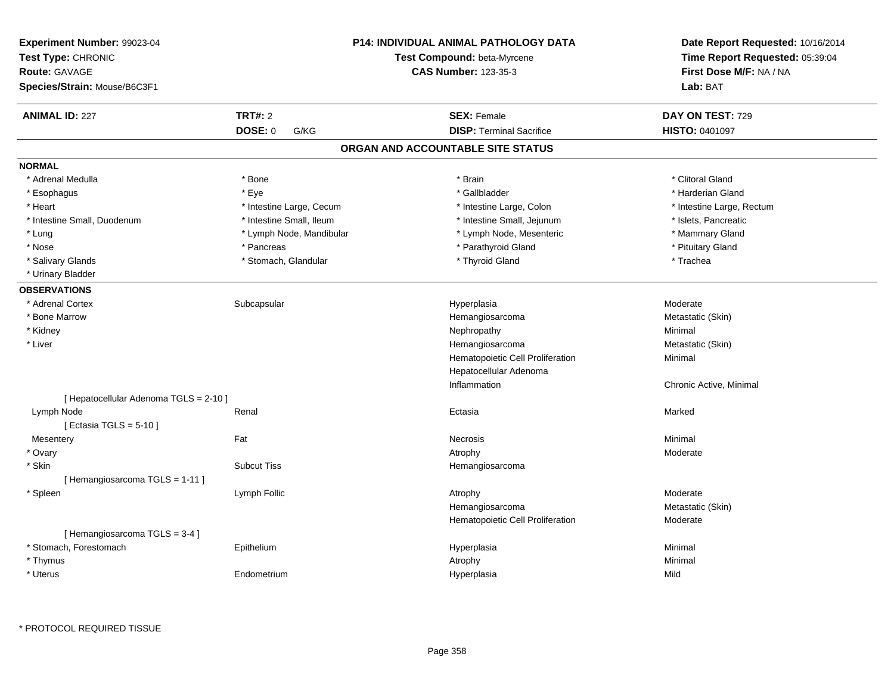| Experiment Number: 99023-04<br>Test Type: CHRONIC<br><b>Route: GAVAGE</b><br>Species/Strain: Mouse/B6C3F1 |                                   | <b>P14: INDIVIDUAL ANIMAL PATHOLOGY DATA</b><br>Test Compound: beta-Myrcene<br><b>CAS Number: 123-35-3</b> | Date Report Requested: 10/16/2014<br>Time Report Requested: 05:39:04<br>First Dose M/F: NA / NA<br>Lab: BAT |
|-----------------------------------------------------------------------------------------------------------|-----------------------------------|------------------------------------------------------------------------------------------------------------|-------------------------------------------------------------------------------------------------------------|
| <b>ANIMAL ID: 227</b>                                                                                     | <b>TRT#: 2</b><br>DOSE: 0<br>G/KG | <b>SEX: Female</b><br><b>DISP: Terminal Sacrifice</b>                                                      | DAY ON TEST: 729<br>HISTO: 0401097                                                                          |
|                                                                                                           |                                   | ORGAN AND ACCOUNTABLE SITE STATUS                                                                          |                                                                                                             |
| <b>NORMAL</b>                                                                                             |                                   |                                                                                                            |                                                                                                             |
| * Adrenal Medulla                                                                                         | * Bone                            | * Brain                                                                                                    | * Clitoral Gland                                                                                            |
| * Esophagus                                                                                               | * Eye                             | * Gallbladder                                                                                              | * Harderian Gland                                                                                           |
| * Heart                                                                                                   | * Intestine Large, Cecum          | * Intestine Large, Colon                                                                                   | * Intestine Large, Rectum                                                                                   |
| * Intestine Small, Duodenum                                                                               | * Intestine Small, Ileum          | * Intestine Small, Jejunum                                                                                 | * Islets, Pancreatic                                                                                        |
| * Lung                                                                                                    | * Lymph Node, Mandibular          | * Lymph Node, Mesenteric                                                                                   | * Mammary Gland                                                                                             |
| * Nose                                                                                                    | * Pancreas                        | * Parathyroid Gland                                                                                        | * Pituitary Gland                                                                                           |
| * Salivary Glands                                                                                         | * Stomach, Glandular              | * Thyroid Gland                                                                                            | * Trachea                                                                                                   |
| * Urinary Bladder                                                                                         |                                   |                                                                                                            |                                                                                                             |
| <b>OBSERVATIONS</b>                                                                                       |                                   |                                                                                                            |                                                                                                             |
| * Adrenal Cortex                                                                                          | Subcapsular                       | Hyperplasia                                                                                                | Moderate                                                                                                    |
| * Bone Marrow                                                                                             |                                   | Hemangiosarcoma                                                                                            | Metastatic (Skin)                                                                                           |
| * Kidney                                                                                                  |                                   | Nephropathy                                                                                                | Minimal                                                                                                     |
| * Liver                                                                                                   |                                   | Hemangiosarcoma                                                                                            | Metastatic (Skin)                                                                                           |
|                                                                                                           |                                   | Hematopoietic Cell Proliferation                                                                           | Minimal                                                                                                     |
|                                                                                                           |                                   | Hepatocellular Adenoma                                                                                     |                                                                                                             |
|                                                                                                           |                                   | Inflammation                                                                                               | Chronic Active, Minimal                                                                                     |
| [ Hepatocellular Adenoma TGLS = 2-10 ]                                                                    |                                   |                                                                                                            |                                                                                                             |
| Lymph Node                                                                                                | Renal                             | Ectasia                                                                                                    | Marked                                                                                                      |
| [ Ectasia TGLS = $5-10$ ]                                                                                 |                                   |                                                                                                            |                                                                                                             |
| Mesentery                                                                                                 | Fat                               | Necrosis                                                                                                   | Minimal                                                                                                     |
| * Ovary                                                                                                   |                                   | Atrophy                                                                                                    | Moderate                                                                                                    |
| * Skin                                                                                                    | <b>Subcut Tiss</b>                | Hemangiosarcoma                                                                                            |                                                                                                             |
| [Hemangiosarcoma TGLS = 1-11]                                                                             |                                   |                                                                                                            |                                                                                                             |
| * Spleen                                                                                                  | Lymph Follic                      | Atrophy                                                                                                    | Moderate                                                                                                    |
|                                                                                                           |                                   | Hemangiosarcoma                                                                                            | Metastatic (Skin)                                                                                           |
|                                                                                                           |                                   | Hematopoietic Cell Proliferation                                                                           | Moderate                                                                                                    |
| [Hemangiosarcoma TGLS = 3-4]<br>* Stomach, Forestomach                                                    |                                   |                                                                                                            | Minimal                                                                                                     |
| * Thymus                                                                                                  | Epithelium                        | Hyperplasia<br>Atrophy                                                                                     | Minimal                                                                                                     |
| * Uterus                                                                                                  | Endometrium                       | Hyperplasia                                                                                                | Mild                                                                                                        |
|                                                                                                           |                                   |                                                                                                            |                                                                                                             |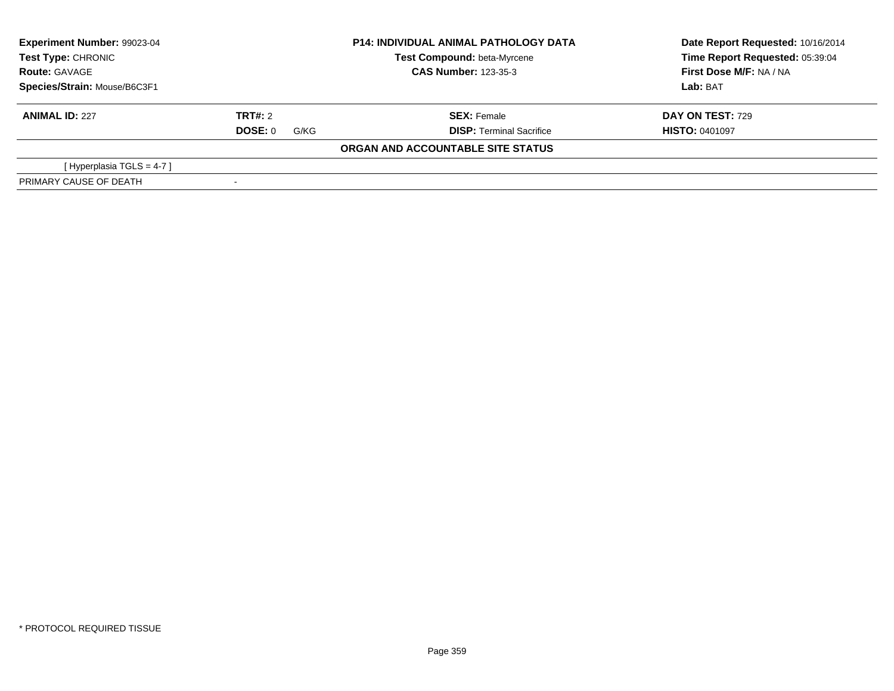| Experiment Number: 99023-04<br>Test Type: CHRONIC<br><b>Route: GAVAGE</b> |                        | <b>P14: INDIVIDUAL ANIMAL PATHOLOGY DATA</b><br>Test Compound: beta-Myrcene | Date Report Requested: 10/16/2014<br>Time Report Requested: 05:39:04<br>First Dose M/F: NA / NA |
|---------------------------------------------------------------------------|------------------------|-----------------------------------------------------------------------------|-------------------------------------------------------------------------------------------------|
|                                                                           |                        | <b>CAS Number: 123-35-3</b>                                                 |                                                                                                 |
| Species/Strain: Mouse/B6C3F1                                              |                        |                                                                             | Lab: BAT                                                                                        |
| <b>ANIMAL ID: 227</b>                                                     | TRT#: 2                | <b>SEX: Female</b>                                                          | <b>DAY ON TEST: 729</b>                                                                         |
|                                                                           | <b>DOSE: 0</b><br>G/KG | <b>DISP: Terminal Sacrifice</b>                                             | <b>HISTO: 0401097</b>                                                                           |
|                                                                           |                        | ORGAN AND ACCOUNTABLE SITE STATUS                                           |                                                                                                 |
| [Hyperplasia TGLS = $4-7$ ]                                               |                        |                                                                             |                                                                                                 |
| PRIMARY CAUSE OF DEATH                                                    |                        |                                                                             |                                                                                                 |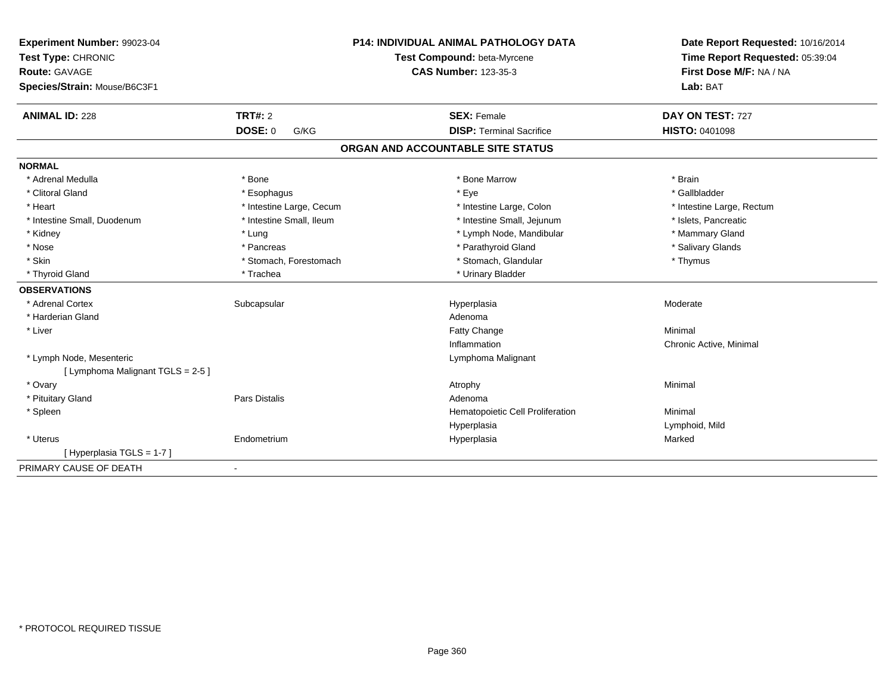| Experiment Number: 99023-04                                     |                          | <b>P14: INDIVIDUAL ANIMAL PATHOLOGY DATA</b> | Date Report Requested: 10/16/2014 |
|-----------------------------------------------------------------|--------------------------|----------------------------------------------|-----------------------------------|
| Test Type: CHRONIC                                              |                          | Test Compound: beta-Myrcene                  | Time Report Requested: 05:39:04   |
| <b>Route: GAVAGE</b>                                            |                          | <b>CAS Number: 123-35-3</b>                  | First Dose M/F: NA / NA           |
| Species/Strain: Mouse/B6C3F1                                    |                          |                                              | Lab: BAT                          |
| <b>ANIMAL ID: 228</b>                                           | TRT#: 2                  | <b>SEX: Female</b>                           | DAY ON TEST: 727                  |
|                                                                 | <b>DOSE: 0</b><br>G/KG   | <b>DISP: Terminal Sacrifice</b>              | <b>HISTO: 0401098</b>             |
|                                                                 |                          | ORGAN AND ACCOUNTABLE SITE STATUS            |                                   |
| <b>NORMAL</b>                                                   |                          |                                              |                                   |
| * Adrenal Medulla                                               | * Bone                   | * Bone Marrow                                | * Brain                           |
| * Clitoral Gland                                                | * Esophagus              | * Eye                                        | * Gallbladder                     |
| * Heart                                                         | * Intestine Large, Cecum | * Intestine Large, Colon                     | * Intestine Large, Rectum         |
| * Intestine Small, Duodenum                                     | * Intestine Small, Ileum | * Intestine Small, Jejunum                   | * Islets, Pancreatic              |
| * Kidney                                                        | * Lung                   | * Lymph Node, Mandibular                     | * Mammary Gland                   |
| * Nose                                                          | * Pancreas               | * Parathyroid Gland                          | * Salivary Glands                 |
| * Skin                                                          | * Stomach, Forestomach   | * Stomach, Glandular                         | * Thymus                          |
| * Thyroid Gland                                                 | * Trachea                | * Urinary Bladder                            |                                   |
| <b>OBSERVATIONS</b>                                             |                          |                                              |                                   |
| * Adrenal Cortex                                                | Subcapsular              | Hyperplasia                                  | Moderate                          |
| * Harderian Gland                                               |                          | Adenoma                                      |                                   |
| * Liver                                                         |                          | <b>Fatty Change</b>                          | Minimal                           |
|                                                                 |                          | Inflammation                                 | Chronic Active, Minimal           |
| * Lymph Node, Mesenteric<br>[ Lymphoma Malignant TGLS = $2-5$ ] |                          | Lymphoma Malignant                           |                                   |
| * Ovary                                                         |                          | Atrophy                                      | Minimal                           |
| * Pituitary Gland                                               | Pars Distalis            | Adenoma                                      |                                   |
| * Spleen                                                        |                          | Hematopoietic Cell Proliferation             | Minimal                           |
|                                                                 |                          | Hyperplasia                                  | Lymphoid, Mild                    |
| * Uterus                                                        | Endometrium              | Hyperplasia                                  | Marked                            |
| [Hyperplasia TGLS = 1-7]                                        |                          |                                              |                                   |
| PRIMARY CAUSE OF DEATH                                          | $\blacksquare$           |                                              |                                   |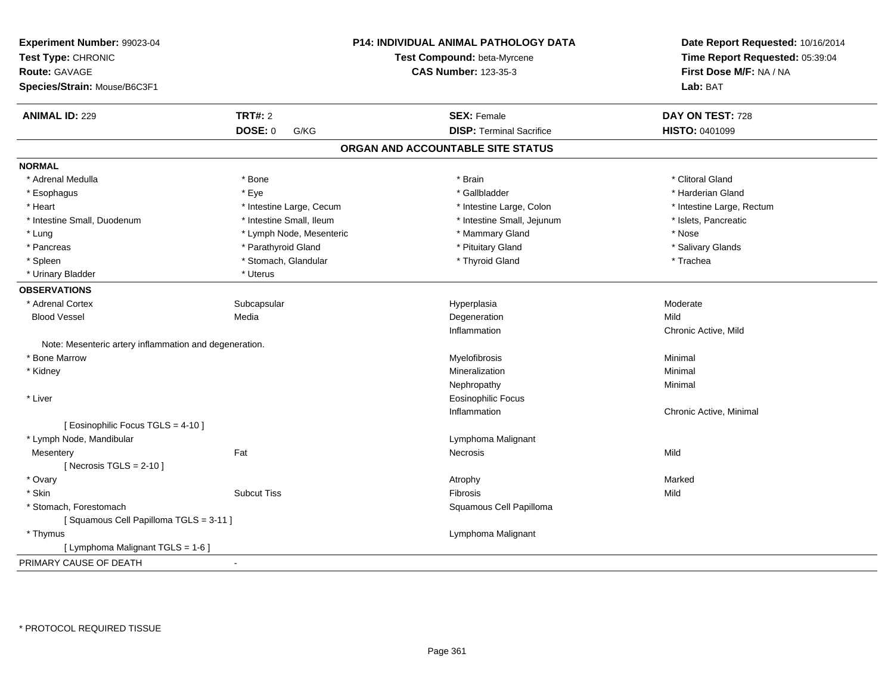| Experiment Number: 99023-04<br>Test Type: CHRONIC      |                          | <b>P14: INDIVIDUAL ANIMAL PATHOLOGY DATA</b><br>Test Compound: beta-Myrcene | Date Report Requested: 10/16/2014<br>Time Report Requested: 05:39:04 |
|--------------------------------------------------------|--------------------------|-----------------------------------------------------------------------------|----------------------------------------------------------------------|
| <b>Route: GAVAGE</b>                                   |                          | <b>CAS Number: 123-35-3</b>                                                 | First Dose M/F: NA / NA                                              |
| Species/Strain: Mouse/B6C3F1                           |                          |                                                                             | Lab: BAT                                                             |
| <b>ANIMAL ID: 229</b>                                  | <b>TRT#: 2</b>           | <b>SEX: Female</b>                                                          | DAY ON TEST: 728                                                     |
|                                                        | DOSE: 0<br>G/KG          | <b>DISP: Terminal Sacrifice</b>                                             | HISTO: 0401099                                                       |
|                                                        |                          | ORGAN AND ACCOUNTABLE SITE STATUS                                           |                                                                      |
| <b>NORMAL</b>                                          |                          |                                                                             |                                                                      |
| * Adrenal Medulla                                      | * Bone                   | * Brain                                                                     | * Clitoral Gland                                                     |
| * Esophagus                                            | * Eye                    | * Gallbladder                                                               | * Harderian Gland                                                    |
| * Heart                                                | * Intestine Large, Cecum | * Intestine Large, Colon                                                    | * Intestine Large, Rectum                                            |
| * Intestine Small, Duodenum                            | * Intestine Small, Ileum | * Intestine Small, Jejunum                                                  | * Islets, Pancreatic                                                 |
| * Lung                                                 | * Lymph Node, Mesenteric | * Mammary Gland                                                             | * Nose                                                               |
| * Pancreas                                             | * Parathyroid Gland      | * Pituitary Gland                                                           | * Salivary Glands                                                    |
| * Spleen                                               | * Stomach, Glandular     | * Thyroid Gland                                                             | * Trachea                                                            |
| * Urinary Bladder                                      | * Uterus                 |                                                                             |                                                                      |
| <b>OBSERVATIONS</b>                                    |                          |                                                                             |                                                                      |
| * Adrenal Cortex                                       | Subcapsular              | Hyperplasia                                                                 | Moderate                                                             |
| <b>Blood Vessel</b>                                    | Media                    | Degeneration                                                                | Mild                                                                 |
|                                                        |                          | Inflammation                                                                | Chronic Active, Mild                                                 |
| Note: Mesenteric artery inflammation and degeneration. |                          |                                                                             |                                                                      |
| * Bone Marrow                                          |                          | Myelofibrosis                                                               | Minimal                                                              |
| * Kidney                                               |                          | Mineralization                                                              | Minimal                                                              |
|                                                        |                          | Nephropathy                                                                 | Minimal                                                              |
| * Liver                                                |                          | <b>Eosinophilic Focus</b>                                                   |                                                                      |
|                                                        |                          | Inflammation                                                                | Chronic Active, Minimal                                              |
| [ Eosinophilic Focus TGLS = 4-10 ]                     |                          |                                                                             |                                                                      |
| * Lymph Node, Mandibular                               |                          | Lymphoma Malignant                                                          |                                                                      |
| Mesentery                                              | Fat                      | Necrosis                                                                    | Mild                                                                 |
| [Necrosis TGLS = $2-10$ ]                              |                          |                                                                             |                                                                      |
| * Ovary                                                |                          | Atrophy                                                                     | Marked                                                               |
| * Skin                                                 | <b>Subcut Tiss</b>       | Fibrosis                                                                    | Mild                                                                 |
| * Stomach, Forestomach                                 |                          | Squamous Cell Papilloma                                                     |                                                                      |
| [Squamous Cell Papilloma TGLS = 3-11]                  |                          |                                                                             |                                                                      |
| * Thymus                                               |                          | Lymphoma Malignant                                                          |                                                                      |
| [ Lymphoma Malignant TGLS = 1-6 ]                      |                          |                                                                             |                                                                      |
| PRIMARY CAUSE OF DEATH                                 | $\blacksquare$           |                                                                             |                                                                      |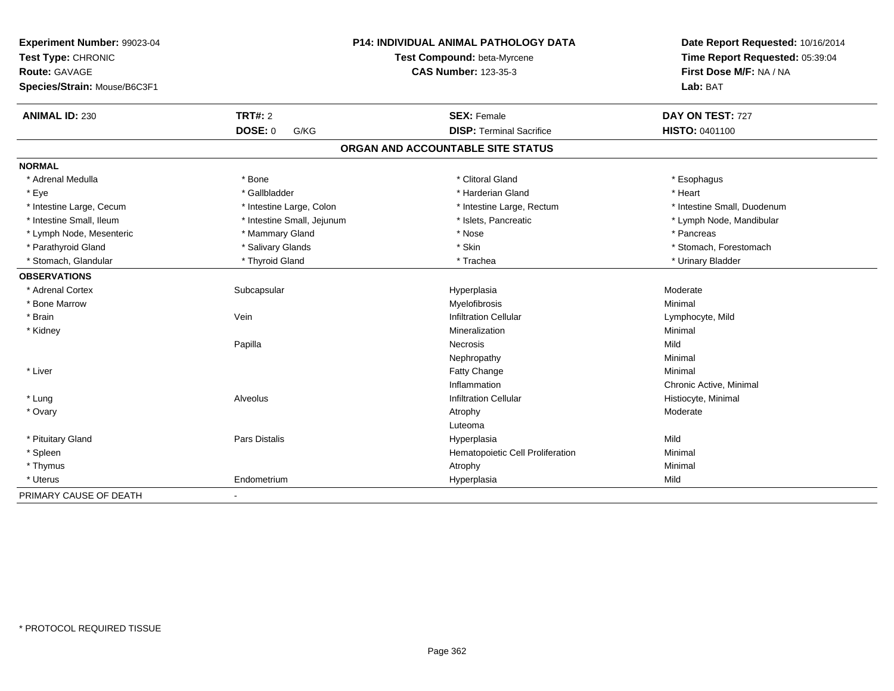| Experiment Number: 99023-04<br>Test Type: CHRONIC<br><b>Route: GAVAGE</b><br>Species/Strain: Mouse/B6C3F1 |                            | <b>P14: INDIVIDUAL ANIMAL PATHOLOGY DATA</b><br>Test Compound: beta-Myrcene<br><b>CAS Number: 123-35-3</b> | Date Report Requested: 10/16/2014<br>Time Report Requested: 05:39:04<br>First Dose M/F: NA / NA<br>Lab: BAT |
|-----------------------------------------------------------------------------------------------------------|----------------------------|------------------------------------------------------------------------------------------------------------|-------------------------------------------------------------------------------------------------------------|
| <b>ANIMAL ID: 230</b>                                                                                     | <b>TRT#: 2</b>             | <b>SEX: Female</b>                                                                                         | DAY ON TEST: 727                                                                                            |
|                                                                                                           | DOSE: 0<br>G/KG            | <b>DISP: Terminal Sacrifice</b>                                                                            | HISTO: 0401100                                                                                              |
|                                                                                                           |                            | ORGAN AND ACCOUNTABLE SITE STATUS                                                                          |                                                                                                             |
| <b>NORMAL</b>                                                                                             |                            |                                                                                                            |                                                                                                             |
| * Adrenal Medulla                                                                                         | * Bone                     | * Clitoral Gland                                                                                           | * Esophagus                                                                                                 |
| * Eye                                                                                                     | * Gallbladder              | * Harderian Gland                                                                                          | * Heart                                                                                                     |
| * Intestine Large, Cecum                                                                                  | * Intestine Large, Colon   | * Intestine Large, Rectum                                                                                  | * Intestine Small, Duodenum                                                                                 |
| * Intestine Small, Ileum                                                                                  | * Intestine Small, Jejunum | * Islets, Pancreatic                                                                                       | * Lymph Node, Mandibular                                                                                    |
| * Lymph Node, Mesenteric                                                                                  | * Mammary Gland            | * Nose                                                                                                     | * Pancreas                                                                                                  |
| * Parathyroid Gland                                                                                       | * Salivary Glands          | * Skin                                                                                                     | * Stomach, Forestomach                                                                                      |
| * Stomach, Glandular                                                                                      | * Thyroid Gland            | * Trachea                                                                                                  | * Urinary Bladder                                                                                           |
| <b>OBSERVATIONS</b>                                                                                       |                            |                                                                                                            |                                                                                                             |
| * Adrenal Cortex                                                                                          | Subcapsular                | Hyperplasia                                                                                                | Moderate                                                                                                    |
| * Bone Marrow                                                                                             |                            | Myelofibrosis                                                                                              | Minimal                                                                                                     |
| * Brain                                                                                                   | Vein                       | <b>Infiltration Cellular</b>                                                                               | Lymphocyte, Mild                                                                                            |
| * Kidney                                                                                                  |                            | Mineralization                                                                                             | Minimal                                                                                                     |
|                                                                                                           | Papilla                    | <b>Necrosis</b>                                                                                            | Mild                                                                                                        |
|                                                                                                           |                            | Nephropathy                                                                                                | Minimal                                                                                                     |
| * Liver                                                                                                   |                            | Fatty Change                                                                                               | Minimal                                                                                                     |
|                                                                                                           |                            | Inflammation                                                                                               | Chronic Active, Minimal                                                                                     |
| * Lung                                                                                                    | Alveolus                   | <b>Infiltration Cellular</b>                                                                               | Histiocyte, Minimal                                                                                         |
| * Ovary                                                                                                   |                            | Atrophy                                                                                                    | Moderate                                                                                                    |
|                                                                                                           |                            | Luteoma                                                                                                    |                                                                                                             |
| * Pituitary Gland                                                                                         | Pars Distalis              | Hyperplasia                                                                                                | Mild                                                                                                        |
| * Spleen                                                                                                  |                            | Hematopoietic Cell Proliferation                                                                           | Minimal                                                                                                     |
| * Thymus                                                                                                  |                            | Atrophy                                                                                                    | Minimal                                                                                                     |
| * Uterus                                                                                                  | Endometrium                | Hyperplasia                                                                                                | Mild                                                                                                        |
| PRIMARY CAUSE OF DEATH                                                                                    | $\blacksquare$             |                                                                                                            |                                                                                                             |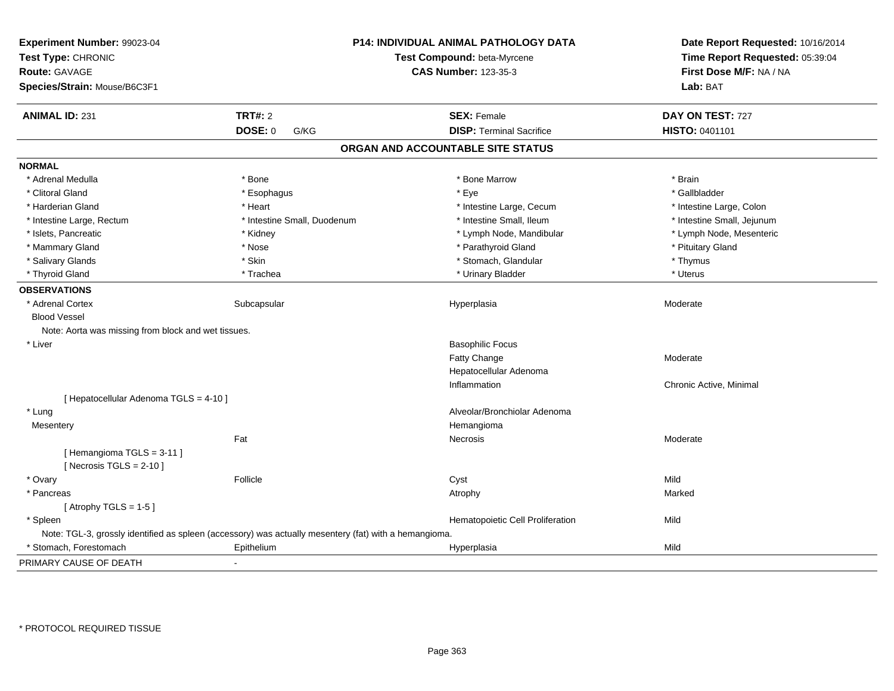| Experiment Number: 99023-04<br>Test Type: CHRONIC<br><b>Route: GAVAGE</b><br>Species/Strain: Mouse/B6C3F1 |                             | P14: INDIVIDUAL ANIMAL PATHOLOGY DATA<br>Test Compound: beta-Myrcene<br><b>CAS Number: 123-35-3</b> | Date Report Requested: 10/16/2014<br>Time Report Requested: 05:39:04<br>First Dose M/F: NA / NA<br>Lab: BAT |
|-----------------------------------------------------------------------------------------------------------|-----------------------------|-----------------------------------------------------------------------------------------------------|-------------------------------------------------------------------------------------------------------------|
| <b>ANIMAL ID: 231</b>                                                                                     | <b>TRT#: 2</b>              | <b>SEX: Female</b>                                                                                  | DAY ON TEST: 727                                                                                            |
|                                                                                                           | <b>DOSE: 0</b><br>G/KG      | <b>DISP: Terminal Sacrifice</b>                                                                     | HISTO: 0401101                                                                                              |
|                                                                                                           |                             | ORGAN AND ACCOUNTABLE SITE STATUS                                                                   |                                                                                                             |
| <b>NORMAL</b>                                                                                             |                             |                                                                                                     |                                                                                                             |
| * Adrenal Medulla                                                                                         | * Bone                      | * Bone Marrow                                                                                       | * Brain                                                                                                     |
| * Clitoral Gland                                                                                          | * Esophagus                 | * Eye                                                                                               | * Gallbladder                                                                                               |
| * Harderian Gland                                                                                         | * Heart                     | * Intestine Large, Cecum                                                                            | * Intestine Large, Colon                                                                                    |
| * Intestine Large, Rectum                                                                                 | * Intestine Small, Duodenum | * Intestine Small, Ileum                                                                            | * Intestine Small, Jejunum                                                                                  |
| * Islets, Pancreatic                                                                                      | * Kidney                    | * Lymph Node, Mandibular                                                                            | * Lymph Node, Mesenteric                                                                                    |
| * Mammary Gland                                                                                           | * Nose                      | * Parathyroid Gland                                                                                 | * Pituitary Gland                                                                                           |
| * Salivary Glands                                                                                         | * Skin                      | * Stomach, Glandular                                                                                | * Thymus                                                                                                    |
| * Thyroid Gland                                                                                           | * Trachea                   | * Urinary Bladder                                                                                   | * Uterus                                                                                                    |
| <b>OBSERVATIONS</b>                                                                                       |                             |                                                                                                     |                                                                                                             |
| * Adrenal Cortex                                                                                          | Subcapsular                 | Hyperplasia                                                                                         | Moderate                                                                                                    |
| <b>Blood Vessel</b>                                                                                       |                             |                                                                                                     |                                                                                                             |
| Note: Aorta was missing from block and wet tissues.                                                       |                             |                                                                                                     |                                                                                                             |
| * Liver                                                                                                   |                             | <b>Basophilic Focus</b>                                                                             |                                                                                                             |
|                                                                                                           |                             | Fatty Change                                                                                        | Moderate                                                                                                    |
|                                                                                                           |                             | Hepatocellular Adenoma                                                                              |                                                                                                             |
|                                                                                                           |                             | Inflammation                                                                                        | Chronic Active, Minimal                                                                                     |
| [ Hepatocellular Adenoma TGLS = 4-10 ]                                                                    |                             |                                                                                                     |                                                                                                             |
| * Lung                                                                                                    |                             | Alveolar/Bronchiolar Adenoma                                                                        |                                                                                                             |
| Mesentery                                                                                                 |                             | Hemangioma                                                                                          |                                                                                                             |
|                                                                                                           | Fat                         | Necrosis                                                                                            | Moderate                                                                                                    |
| [Hemangioma TGLS = 3-11]<br>[ Necrosis $TGLS = 2-10$ ]                                                    |                             |                                                                                                     |                                                                                                             |
| * Ovary                                                                                                   | Follicle                    | Cyst                                                                                                | Mild                                                                                                        |
| * Pancreas                                                                                                |                             | Atrophy                                                                                             | Marked                                                                                                      |
| [Atrophy TGLS = $1-5$ ]                                                                                   |                             |                                                                                                     |                                                                                                             |
| * Spleen                                                                                                  |                             | Hematopoietic Cell Proliferation                                                                    | Mild                                                                                                        |
| Note: TGL-3, grossly identified as spleen (accessory) was actually mesentery (fat) with a hemangioma.     |                             |                                                                                                     |                                                                                                             |
| * Stomach, Forestomach                                                                                    | Epithelium                  | Hyperplasia                                                                                         | Mild                                                                                                        |
| PRIMARY CAUSE OF DEATH                                                                                    |                             |                                                                                                     |                                                                                                             |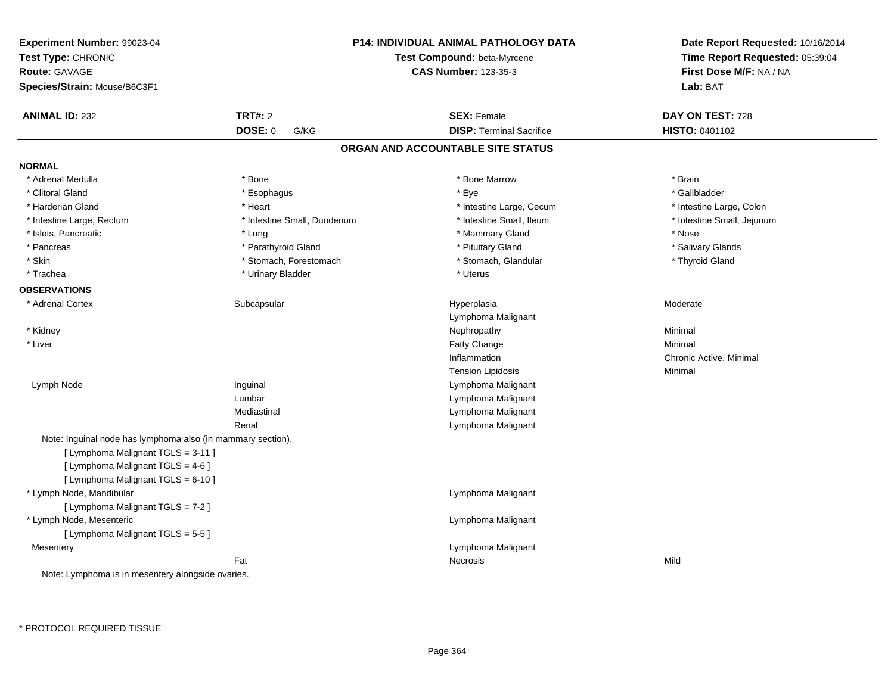| Experiment Number: 99023-04<br>Test Type: CHRONIC<br><b>Route: GAVAGE</b><br>Species/Strain: Mouse/B6C3F1 |                             | <b>P14: INDIVIDUAL ANIMAL PATHOLOGY DATA</b><br>Test Compound: beta-Myrcene<br><b>CAS Number: 123-35-3</b> | Date Report Requested: 10/16/2014<br>Time Report Requested: 05:39:04<br>First Dose M/F: NA / NA<br>Lab: BAT |
|-----------------------------------------------------------------------------------------------------------|-----------------------------|------------------------------------------------------------------------------------------------------------|-------------------------------------------------------------------------------------------------------------|
| <b>ANIMAL ID: 232</b>                                                                                     | <b>TRT#: 2</b>              | <b>SEX: Female</b>                                                                                         | DAY ON TEST: 728                                                                                            |
|                                                                                                           | <b>DOSE: 0</b><br>G/KG      | <b>DISP: Terminal Sacrifice</b>                                                                            | <b>HISTO: 0401102</b>                                                                                       |
|                                                                                                           |                             | ORGAN AND ACCOUNTABLE SITE STATUS                                                                          |                                                                                                             |
| <b>NORMAL</b>                                                                                             |                             |                                                                                                            |                                                                                                             |
| * Adrenal Medulla                                                                                         | * Bone                      | * Bone Marrow                                                                                              | * Brain                                                                                                     |
| * Clitoral Gland                                                                                          | * Esophagus                 | $*$ Eye                                                                                                    | * Gallbladder                                                                                               |
| * Harderian Gland                                                                                         | * Heart                     | * Intestine Large, Cecum                                                                                   | * Intestine Large, Colon                                                                                    |
| * Intestine Large, Rectum                                                                                 | * Intestine Small, Duodenum | * Intestine Small, Ileum                                                                                   | * Intestine Small, Jejunum                                                                                  |
| * Islets, Pancreatic                                                                                      | * Lung                      | * Mammary Gland                                                                                            | * Nose                                                                                                      |
| * Pancreas                                                                                                | * Parathyroid Gland         | * Pituitary Gland                                                                                          | * Salivary Glands                                                                                           |
| * Skin                                                                                                    | * Stomach, Forestomach      | * Stomach, Glandular                                                                                       | * Thyroid Gland                                                                                             |
| * Trachea                                                                                                 | * Urinary Bladder           | * Uterus                                                                                                   |                                                                                                             |
| <b>OBSERVATIONS</b>                                                                                       |                             |                                                                                                            |                                                                                                             |
| * Adrenal Cortex                                                                                          | Subcapsular                 | Hyperplasia                                                                                                | Moderate                                                                                                    |
|                                                                                                           |                             | Lymphoma Malignant                                                                                         |                                                                                                             |
| * Kidney                                                                                                  |                             | Nephropathy                                                                                                | Minimal                                                                                                     |
| * Liver                                                                                                   |                             | Fatty Change                                                                                               | Minimal                                                                                                     |
|                                                                                                           |                             | Inflammation                                                                                               | Chronic Active, Minimal                                                                                     |
|                                                                                                           |                             | <b>Tension Lipidosis</b>                                                                                   | Minimal                                                                                                     |
| Lymph Node                                                                                                | Inguinal                    | Lymphoma Malignant                                                                                         |                                                                                                             |
|                                                                                                           | Lumbar                      | Lymphoma Malignant                                                                                         |                                                                                                             |
|                                                                                                           | Mediastinal                 | Lymphoma Malignant                                                                                         |                                                                                                             |
|                                                                                                           | Renal                       | Lymphoma Malignant                                                                                         |                                                                                                             |
| Note: Inguinal node has lymphoma also (in mammary section).                                               |                             |                                                                                                            |                                                                                                             |
| [ Lymphoma Malignant TGLS = 3-11 ]                                                                        |                             |                                                                                                            |                                                                                                             |
| [ Lymphoma Malignant TGLS = 4-6 ]                                                                         |                             |                                                                                                            |                                                                                                             |
| [ Lymphoma Malignant TGLS = 6-10 ]                                                                        |                             |                                                                                                            |                                                                                                             |
| * Lymph Node, Mandibular                                                                                  |                             | Lymphoma Malignant                                                                                         |                                                                                                             |
| [ Lymphoma Malignant TGLS = 7-2 ]                                                                         |                             |                                                                                                            |                                                                                                             |
| * Lymph Node, Mesenteric                                                                                  |                             | Lymphoma Malignant                                                                                         |                                                                                                             |
| [ Lymphoma Malignant TGLS = 5-5 ]                                                                         |                             |                                                                                                            |                                                                                                             |
| Mesentery                                                                                                 |                             | Lymphoma Malignant                                                                                         |                                                                                                             |
|                                                                                                           | Fat                         | Necrosis                                                                                                   | Mild                                                                                                        |
| Note: Lymphoma is in mesentery alongside ovaries.                                                         |                             |                                                                                                            |                                                                                                             |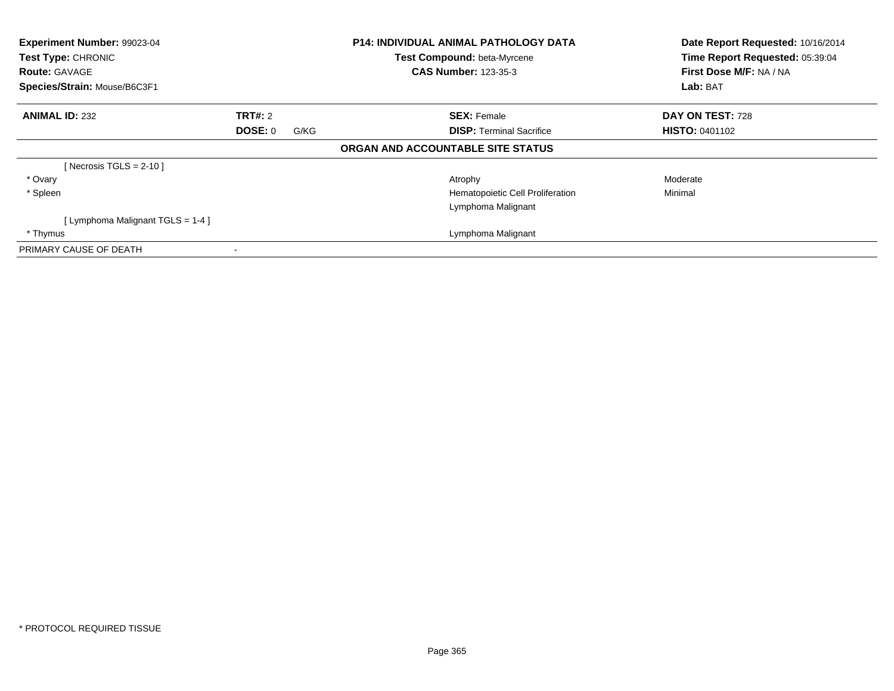| Experiment Number: 99023-04<br>Test Type: CHRONIC<br><b>Route: GAVAGE</b><br>Species/Strain: Mouse/B6C3F1 |                          | <b>P14: INDIVIDUAL ANIMAL PATHOLOGY DATA</b><br>Test Compound: beta-Myrcene<br><b>CAS Number: 123-35-3</b> | Date Report Requested: 10/16/2014<br>Time Report Requested: 05:39:04<br>First Dose M/F: NA / NA<br>Lab: BAT |
|-----------------------------------------------------------------------------------------------------------|--------------------------|------------------------------------------------------------------------------------------------------------|-------------------------------------------------------------------------------------------------------------|
| <b>ANIMAL ID: 232</b>                                                                                     | <b>TRT#: 2</b>           | <b>SEX: Female</b>                                                                                         | DAY ON TEST: 728                                                                                            |
|                                                                                                           | <b>DOSE: 0</b><br>G/KG   | <b>DISP: Terminal Sacrifice</b>                                                                            | <b>HISTO: 0401102</b>                                                                                       |
|                                                                                                           |                          | ORGAN AND ACCOUNTABLE SITE STATUS                                                                          |                                                                                                             |
| [Necrosis TGLS = $2-10$ ]                                                                                 |                          |                                                                                                            |                                                                                                             |
| * Ovary                                                                                                   |                          | Atrophy                                                                                                    | Moderate                                                                                                    |
| * Spleen                                                                                                  |                          | Hematopoietic Cell Proliferation                                                                           | Minimal                                                                                                     |
|                                                                                                           |                          | Lymphoma Malignant                                                                                         |                                                                                                             |
| [Lymphoma Malignant TGLS = 1-4]                                                                           |                          |                                                                                                            |                                                                                                             |
| * Thymus                                                                                                  |                          | Lymphoma Malignant                                                                                         |                                                                                                             |
| PRIMARY CAUSE OF DEATH                                                                                    | $\overline{\phantom{a}}$ |                                                                                                            |                                                                                                             |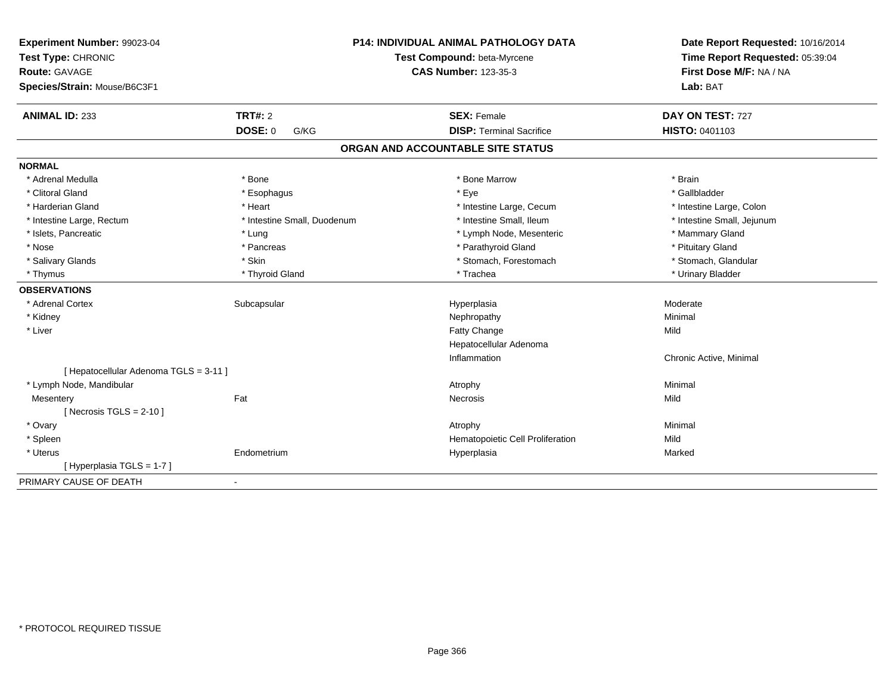| Experiment Number: 99023-04<br>Test Type: CHRONIC<br><b>Route: GAVAGE</b><br>Species/Strain: Mouse/B6C3F1 |                             | <b>P14: INDIVIDUAL ANIMAL PATHOLOGY DATA</b><br>Test Compound: beta-Myrcene<br><b>CAS Number: 123-35-3</b> | Date Report Requested: 10/16/2014<br>Time Report Requested: 05:39:04<br>First Dose M/F: NA / NA<br>Lab: BAT |  |
|-----------------------------------------------------------------------------------------------------------|-----------------------------|------------------------------------------------------------------------------------------------------------|-------------------------------------------------------------------------------------------------------------|--|
| <b>ANIMAL ID: 233</b>                                                                                     | <b>TRT#: 2</b>              | <b>SEX: Female</b>                                                                                         | DAY ON TEST: 727                                                                                            |  |
|                                                                                                           | <b>DOSE: 0</b><br>G/KG      | <b>DISP: Terminal Sacrifice</b>                                                                            | HISTO: 0401103                                                                                              |  |
|                                                                                                           |                             | ORGAN AND ACCOUNTABLE SITE STATUS                                                                          |                                                                                                             |  |
| <b>NORMAL</b>                                                                                             |                             |                                                                                                            |                                                                                                             |  |
| * Adrenal Medulla                                                                                         | * Bone                      | * Bone Marrow                                                                                              | * Brain                                                                                                     |  |
| * Clitoral Gland                                                                                          | * Esophagus                 | * Eye                                                                                                      | * Gallbladder                                                                                               |  |
| * Harderian Gland                                                                                         | * Heart                     | * Intestine Large, Cecum                                                                                   | * Intestine Large, Colon                                                                                    |  |
| * Intestine Large, Rectum                                                                                 | * Intestine Small, Duodenum | * Intestine Small, Ileum                                                                                   | * Intestine Small, Jejunum                                                                                  |  |
| * Islets, Pancreatic                                                                                      | * Lung                      | * Lymph Node, Mesenteric                                                                                   | * Mammary Gland                                                                                             |  |
| * Nose                                                                                                    | * Pancreas                  | * Parathyroid Gland                                                                                        | * Pituitary Gland                                                                                           |  |
| * Salivary Glands                                                                                         | * Skin                      | * Stomach, Forestomach                                                                                     | * Stomach, Glandular                                                                                        |  |
| * Thymus                                                                                                  | * Thyroid Gland             | * Trachea                                                                                                  | * Urinary Bladder                                                                                           |  |
| <b>OBSERVATIONS</b>                                                                                       |                             |                                                                                                            |                                                                                                             |  |
| * Adrenal Cortex                                                                                          | Subcapsular                 | Hyperplasia                                                                                                | Moderate                                                                                                    |  |
| * Kidney                                                                                                  |                             | Nephropathy                                                                                                | Minimal                                                                                                     |  |
| * Liver                                                                                                   |                             | Fatty Change                                                                                               | Mild                                                                                                        |  |
|                                                                                                           |                             | Hepatocellular Adenoma                                                                                     |                                                                                                             |  |
|                                                                                                           |                             | Inflammation                                                                                               | Chronic Active, Minimal                                                                                     |  |
| [ Hepatocellular Adenoma TGLS = 3-11 ]                                                                    |                             |                                                                                                            |                                                                                                             |  |
| * Lymph Node, Mandibular                                                                                  |                             | Atrophy                                                                                                    | Minimal                                                                                                     |  |
| Mesentery                                                                                                 | Fat                         | <b>Necrosis</b>                                                                                            | Mild                                                                                                        |  |
| [ Necrosis $TGLS = 2-10$ ]                                                                                |                             |                                                                                                            |                                                                                                             |  |
| * Ovary                                                                                                   |                             | Atrophy                                                                                                    | Minimal                                                                                                     |  |
| * Spleen                                                                                                  |                             | Hematopoietic Cell Proliferation                                                                           | Mild                                                                                                        |  |
| * Uterus                                                                                                  | Endometrium                 | Hyperplasia                                                                                                | Marked                                                                                                      |  |
| [Hyperplasia TGLS = 1-7]                                                                                  |                             |                                                                                                            |                                                                                                             |  |
| PRIMARY CAUSE OF DEATH                                                                                    | $\blacksquare$              |                                                                                                            |                                                                                                             |  |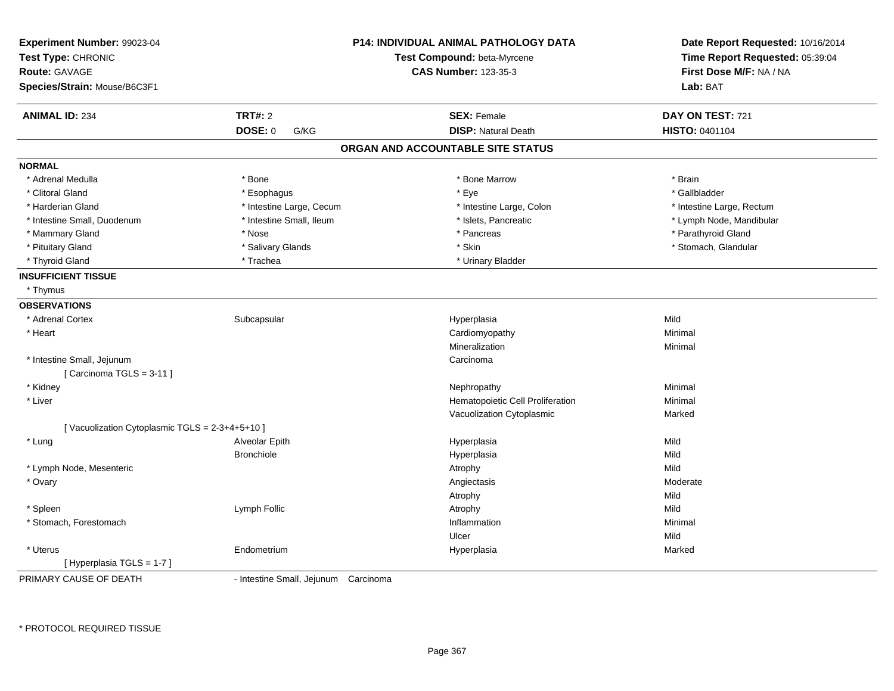| Experiment Number: 99023-04                     |                                      | <b>P14: INDIVIDUAL ANIMAL PATHOLOGY DATA</b> | Date Report Requested: 10/16/2014 |  |
|-------------------------------------------------|--------------------------------------|----------------------------------------------|-----------------------------------|--|
| Test Type: CHRONIC                              |                                      | Test Compound: beta-Myrcene                  | Time Report Requested: 05:39:04   |  |
| <b>Route: GAVAGE</b>                            |                                      | <b>CAS Number: 123-35-3</b>                  | First Dose M/F: NA / NA           |  |
| Species/Strain: Mouse/B6C3F1                    |                                      |                                              | Lab: BAT                          |  |
| <b>ANIMAL ID: 234</b>                           | <b>TRT#: 2</b>                       | <b>SEX: Female</b>                           | DAY ON TEST: 721                  |  |
|                                                 | <b>DOSE: 0</b><br>G/KG               | <b>DISP: Natural Death</b>                   | HISTO: 0401104                    |  |
|                                                 |                                      | ORGAN AND ACCOUNTABLE SITE STATUS            |                                   |  |
| <b>NORMAL</b>                                   |                                      |                                              |                                   |  |
| * Adrenal Medulla                               | * Bone                               | * Bone Marrow                                | * Brain                           |  |
| * Clitoral Gland                                | * Esophagus                          | * Eye                                        | * Gallbladder                     |  |
| * Harderian Gland                               | * Intestine Large, Cecum             | * Intestine Large, Colon                     | * Intestine Large, Rectum         |  |
| * Intestine Small, Duodenum                     | * Intestine Small, Ileum             | * Islets, Pancreatic                         | * Lymph Node, Mandibular          |  |
| * Mammary Gland                                 | * Nose                               | * Pancreas                                   | * Parathyroid Gland               |  |
| * Pituitary Gland                               | * Salivary Glands                    | * Skin                                       | * Stomach, Glandular              |  |
| * Thyroid Gland                                 | * Trachea                            | * Urinary Bladder                            |                                   |  |
| <b>INSUFFICIENT TISSUE</b>                      |                                      |                                              |                                   |  |
| * Thymus                                        |                                      |                                              |                                   |  |
| <b>OBSERVATIONS</b>                             |                                      |                                              |                                   |  |
| * Adrenal Cortex                                | Subcapsular                          | Hyperplasia                                  | Mild                              |  |
| * Heart                                         |                                      | Cardiomyopathy                               | Minimal                           |  |
|                                                 |                                      | Mineralization                               | Minimal                           |  |
| * Intestine Small, Jejunum                      |                                      | Carcinoma                                    |                                   |  |
| [Carcinoma TGLS = 3-11]                         |                                      |                                              |                                   |  |
| * Kidney                                        |                                      | Nephropathy                                  | Minimal                           |  |
| * Liver                                         |                                      | Hematopoietic Cell Proliferation             | Minimal                           |  |
|                                                 |                                      | Vacuolization Cytoplasmic                    | Marked                            |  |
| [ Vacuolization Cytoplasmic TGLS = 2-3+4+5+10 ] |                                      |                                              |                                   |  |
| * Lung                                          | Alveolar Epith                       | Hyperplasia                                  | Mild                              |  |
|                                                 | <b>Bronchiole</b>                    | Hyperplasia                                  | Mild                              |  |
| * Lymph Node, Mesenteric                        |                                      | Atrophy                                      | Mild                              |  |
| * Ovary                                         |                                      | Angiectasis                                  | Moderate                          |  |
|                                                 |                                      | Atrophy                                      | Mild                              |  |
| * Spleen                                        | Lymph Follic                         | Atrophy                                      | Mild                              |  |
| * Stomach, Forestomach                          |                                      | Inflammation                                 | Minimal                           |  |
|                                                 |                                      | Ulcer                                        | Mild                              |  |
| * Uterus                                        | Endometrium                          | Hyperplasia                                  | Marked                            |  |
| [Hyperplasia TGLS = 1-7]                        |                                      |                                              |                                   |  |
| PRIMARY CAUSE OF DEATH                          | - Intestine Small, Jejunum Carcinoma |                                              |                                   |  |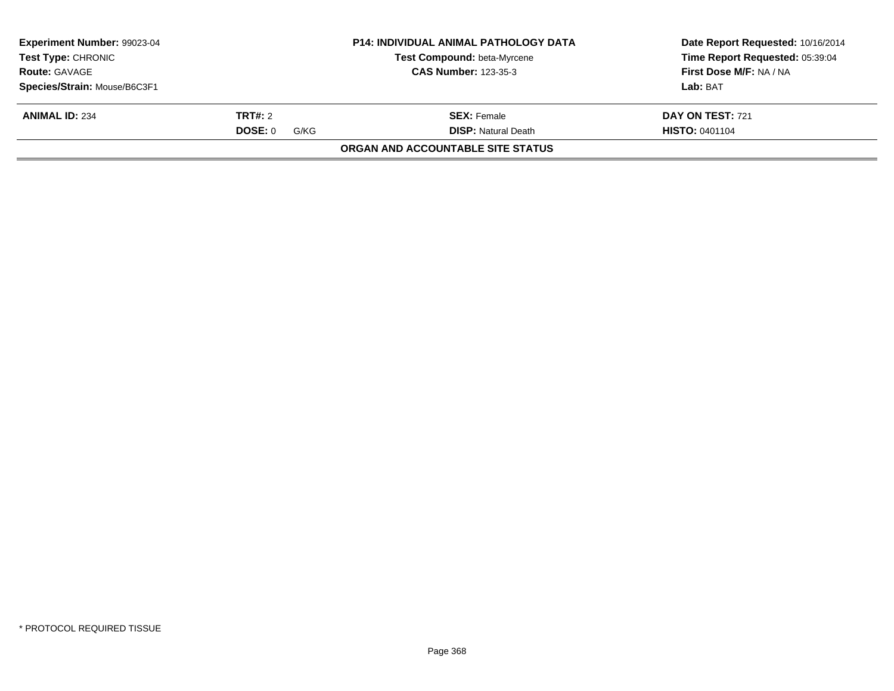| <b>Experiment Number: 99023-04</b><br><b>Test Type: CHRONIC</b><br><b>Route: GAVAGE</b> |                 | <b>P14: INDIVIDUAL ANIMAL PATHOLOGY DATA</b><br>Test Compound: beta-Myrcene<br><b>CAS Number: 123-35-3</b> | Date Report Requested: 10/16/2014<br>Time Report Requested: 05:39:04<br>First Dose M/F: NA / NA |
|-----------------------------------------------------------------------------------------|-----------------|------------------------------------------------------------------------------------------------------------|-------------------------------------------------------------------------------------------------|
| Species/Strain: Mouse/B6C3F1                                                            |                 |                                                                                                            | Lab: BAT                                                                                        |
|                                                                                         |                 |                                                                                                            |                                                                                                 |
| <b>ANIMAL ID: 234</b>                                                                   | <b>TRT#:</b> 2  | <b>SEX:</b> Female                                                                                         | DAY ON TEST: 721                                                                                |
|                                                                                         | DOSE: 0<br>G/KG | <b>DISP:</b> Natural Death                                                                                 | <b>HISTO: 0401104</b>                                                                           |
|                                                                                         |                 | ORGAN AND ACCOUNTABLE SITE STATUS                                                                          |                                                                                                 |
|                                                                                         |                 |                                                                                                            |                                                                                                 |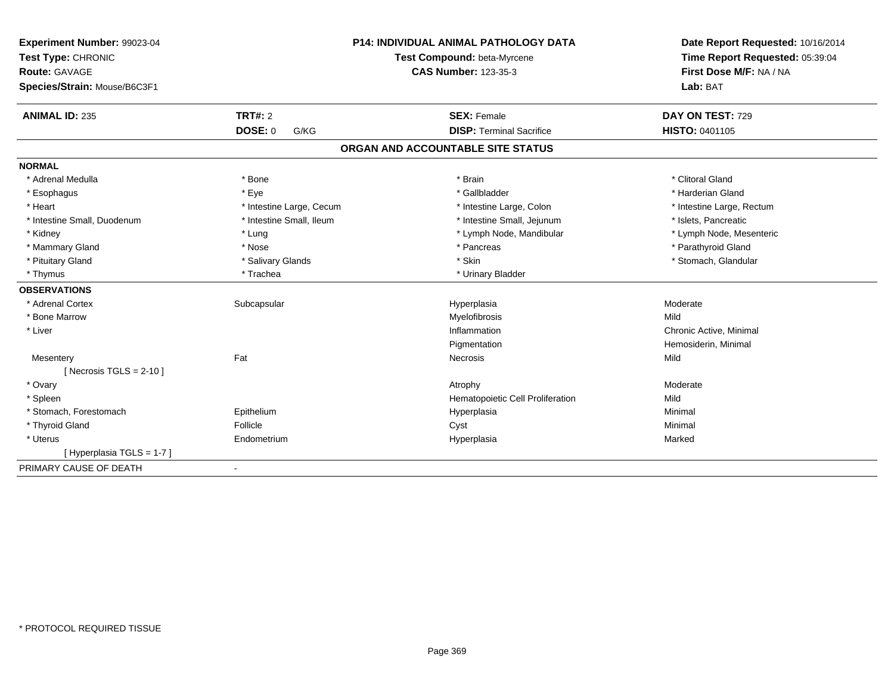| Experiment Number: 99023-04  |                          | <b>P14: INDIVIDUAL ANIMAL PATHOLOGY DATA</b> | Date Report Requested: 10/16/2014 |
|------------------------------|--------------------------|----------------------------------------------|-----------------------------------|
| Test Type: CHRONIC           |                          | Test Compound: beta-Myrcene                  | Time Report Requested: 05:39:04   |
| <b>Route: GAVAGE</b>         |                          | <b>CAS Number: 123-35-3</b>                  | First Dose M/F: NA / NA           |
| Species/Strain: Mouse/B6C3F1 |                          |                                              | Lab: BAT                          |
| <b>ANIMAL ID: 235</b>        | TRT#: 2                  | <b>SEX: Female</b>                           | DAY ON TEST: 729                  |
|                              | <b>DOSE: 0</b><br>G/KG   | <b>DISP: Terminal Sacrifice</b>              | HISTO: 0401105                    |
|                              |                          | ORGAN AND ACCOUNTABLE SITE STATUS            |                                   |
| <b>NORMAL</b>                |                          |                                              |                                   |
| * Adrenal Medulla            | * Bone                   | * Brain                                      | * Clitoral Gland                  |
| * Esophagus                  | * Eye                    | * Gallbladder                                | * Harderian Gland                 |
| * Heart                      | * Intestine Large, Cecum | * Intestine Large, Colon                     | * Intestine Large, Rectum         |
| * Intestine Small, Duodenum  | * Intestine Small, Ileum | * Intestine Small, Jejunum                   | * Islets, Pancreatic              |
| * Kidney                     | * Lung                   | * Lymph Node, Mandibular                     | * Lymph Node, Mesenteric          |
| * Mammary Gland              | * Nose                   | * Pancreas                                   | * Parathyroid Gland               |
| * Pituitary Gland            | * Salivary Glands        | * Skin                                       | * Stomach, Glandular              |
| * Thymus                     | * Trachea                | * Urinary Bladder                            |                                   |
| <b>OBSERVATIONS</b>          |                          |                                              |                                   |
| * Adrenal Cortex             | Subcapsular              | Hyperplasia                                  | Moderate                          |
| * Bone Marrow                |                          | Myelofibrosis                                | Mild                              |
| * Liver                      |                          | Inflammation                                 | Chronic Active, Minimal           |
|                              |                          | Pigmentation                                 | Hemosiderin, Minimal              |
| Mesentery                    | Fat                      | Necrosis                                     | Mild                              |
| [ Necrosis $TGLS = 2-10$ ]   |                          |                                              |                                   |
| * Ovary                      |                          | Atrophy                                      | Moderate                          |
| * Spleen                     |                          | Hematopoietic Cell Proliferation             | Mild                              |
| * Stomach, Forestomach       | Epithelium               | Hyperplasia                                  | Minimal                           |
| * Thyroid Gland              | Follicle                 | Cyst                                         | Minimal                           |
| * Uterus                     | Endometrium              | Hyperplasia                                  | Marked                            |
| [Hyperplasia TGLS = 1-7]     |                          |                                              |                                   |
| PRIMARY CAUSE OF DEATH       | $\blacksquare$           |                                              |                                   |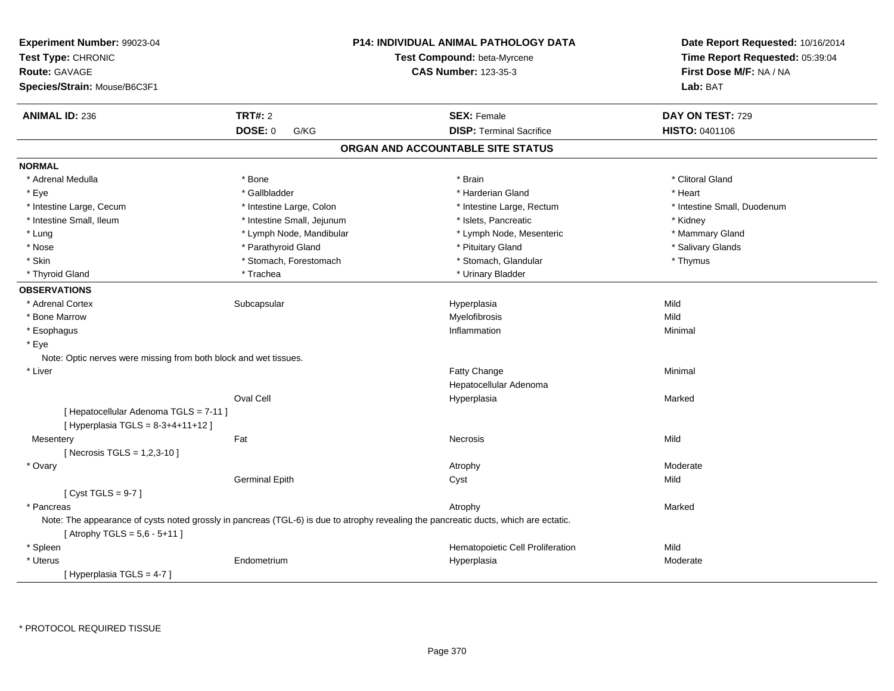| Experiment Number: 99023-04<br>Test Type: CHRONIC<br><b>Route: GAVAGE</b><br>Species/Strain: Mouse/B6C3F1 |                            | <b>P14: INDIVIDUAL ANIMAL PATHOLOGY DATA</b><br>Test Compound: beta-Myrcene<br><b>CAS Number: 123-35-3</b>                           | Date Report Requested: 10/16/2014<br>Time Report Requested: 05:39:04<br>First Dose M/F: NA / NA<br>Lab: BAT |
|-----------------------------------------------------------------------------------------------------------|----------------------------|--------------------------------------------------------------------------------------------------------------------------------------|-------------------------------------------------------------------------------------------------------------|
| <b>ANIMAL ID: 236</b>                                                                                     | <b>TRT#: 2</b>             | <b>SEX: Female</b>                                                                                                                   | DAY ON TEST: 729                                                                                            |
|                                                                                                           | <b>DOSE: 0</b><br>G/KG     | <b>DISP: Terminal Sacrifice</b>                                                                                                      | HISTO: 0401106                                                                                              |
|                                                                                                           |                            | ORGAN AND ACCOUNTABLE SITE STATUS                                                                                                    |                                                                                                             |
| <b>NORMAL</b>                                                                                             |                            |                                                                                                                                      |                                                                                                             |
| * Adrenal Medulla                                                                                         | * Bone                     | * Brain                                                                                                                              | * Clitoral Gland                                                                                            |
| * Eye                                                                                                     | * Gallbladder              | * Harderian Gland                                                                                                                    | * Heart                                                                                                     |
| * Intestine Large, Cecum                                                                                  | * Intestine Large, Colon   | * Intestine Large, Rectum                                                                                                            | * Intestine Small, Duodenum                                                                                 |
| * Intestine Small, Ileum                                                                                  | * Intestine Small, Jejunum | * Islets, Pancreatic                                                                                                                 | * Kidney                                                                                                    |
| * Lung                                                                                                    | * Lymph Node, Mandibular   | * Lymph Node, Mesenteric                                                                                                             | * Mammary Gland                                                                                             |
| * Nose                                                                                                    | * Parathyroid Gland        | * Pituitary Gland                                                                                                                    | * Salivary Glands                                                                                           |
| * Skin                                                                                                    | * Stomach, Forestomach     | * Stomach, Glandular                                                                                                                 | * Thymus                                                                                                    |
| * Thyroid Gland                                                                                           | * Trachea                  | * Urinary Bladder                                                                                                                    |                                                                                                             |
| <b>OBSERVATIONS</b>                                                                                       |                            |                                                                                                                                      |                                                                                                             |
| * Adrenal Cortex                                                                                          | Subcapsular                | Hyperplasia                                                                                                                          | Mild                                                                                                        |
| * Bone Marrow                                                                                             |                            | Myelofibrosis                                                                                                                        | Mild                                                                                                        |
| * Esophagus                                                                                               |                            | Inflammation                                                                                                                         | Minimal                                                                                                     |
| * Eye                                                                                                     |                            |                                                                                                                                      |                                                                                                             |
| Note: Optic nerves were missing from both block and wet tissues.                                          |                            |                                                                                                                                      |                                                                                                             |
| * Liver                                                                                                   |                            | Fatty Change                                                                                                                         | Minimal                                                                                                     |
|                                                                                                           |                            | Hepatocellular Adenoma                                                                                                               |                                                                                                             |
|                                                                                                           | Oval Cell                  | Hyperplasia                                                                                                                          | Marked                                                                                                      |
| [ Hepatocellular Adenoma TGLS = 7-11 ]<br>[ Hyperplasia TGLS = $8-3+4+11+12$ ]                            |                            |                                                                                                                                      |                                                                                                             |
| Mesentery                                                                                                 | Fat                        | Necrosis                                                                                                                             | Mild                                                                                                        |
| [ Necrosis TGLS = 1,2,3-10 ]                                                                              |                            |                                                                                                                                      |                                                                                                             |
| * Ovary                                                                                                   |                            | Atrophy                                                                                                                              | Moderate                                                                                                    |
|                                                                                                           | <b>Germinal Epith</b>      | Cyst                                                                                                                                 | Mild                                                                                                        |
| [Cyst TGLS = $9-7$ ]                                                                                      |                            |                                                                                                                                      |                                                                                                             |
| * Pancreas                                                                                                |                            | Atrophy                                                                                                                              | Marked                                                                                                      |
| [ Atrophy TGLS = 5,6 - 5+11 ]                                                                             |                            | Note: The appearance of cysts noted grossly in pancreas (TGL-6) is due to atrophy revealing the pancreatic ducts, which are ectatic. |                                                                                                             |
| * Spleen                                                                                                  |                            | Hematopoietic Cell Proliferation                                                                                                     | Mild                                                                                                        |
| * Uterus                                                                                                  | Endometrium                | Hyperplasia                                                                                                                          | Moderate                                                                                                    |
| [Hyperplasia TGLS = $4-7$ ]                                                                               |                            |                                                                                                                                      |                                                                                                             |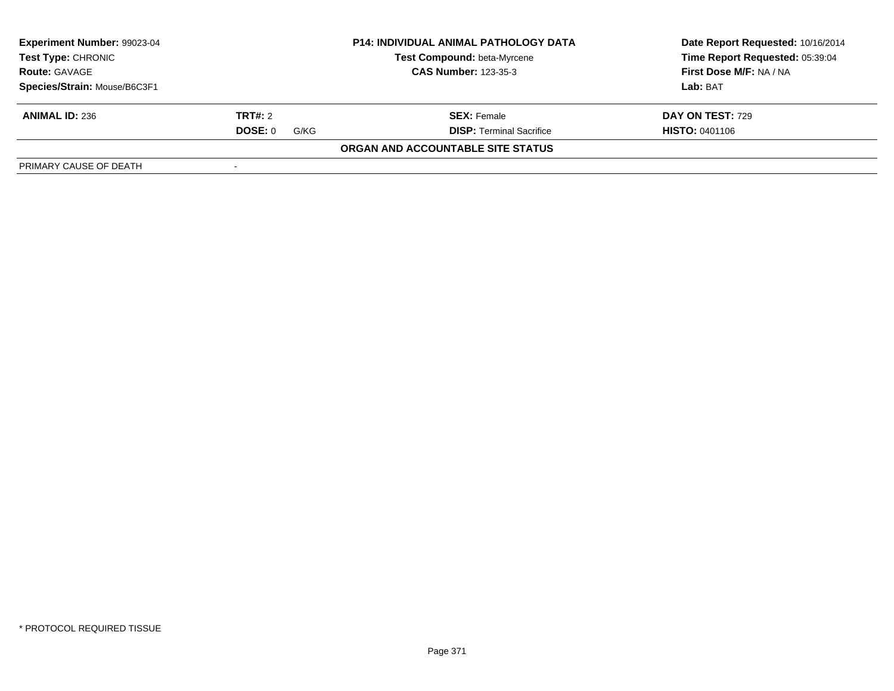| Experiment Number: 99023-04                       |                 | <b>P14: INDIVIDUAL ANIMAL PATHOLOGY DATA</b> | Date Report Requested: 10/16/2014 |  |
|---------------------------------------------------|-----------------|----------------------------------------------|-----------------------------------|--|
| <b>Test Type: CHRONIC</b><br><b>Route: GAVAGE</b> |                 | <b>Test Compound: beta-Myrcene</b>           | Time Report Requested: 05:39:04   |  |
|                                                   |                 | <b>CAS Number: 123-35-3</b>                  | First Dose M/F: NA / NA           |  |
| Species/Strain: Mouse/B6C3F1                      |                 |                                              | Lab: BAT                          |  |
| <b>ANIMAL ID: 236</b>                             | <b>TRT#:</b> 2  | <b>SEX:</b> Female                           | DAY ON TEST: 729                  |  |
|                                                   | DOSE: 0<br>G/KG | <b>DISP: Terminal Sacrifice</b>              | <b>HISTO: 0401106</b>             |  |
|                                                   |                 | ORGAN AND ACCOUNTABLE SITE STATUS            |                                   |  |
| PRIMARY CAUSE OF DEATH                            |                 |                                              |                                   |  |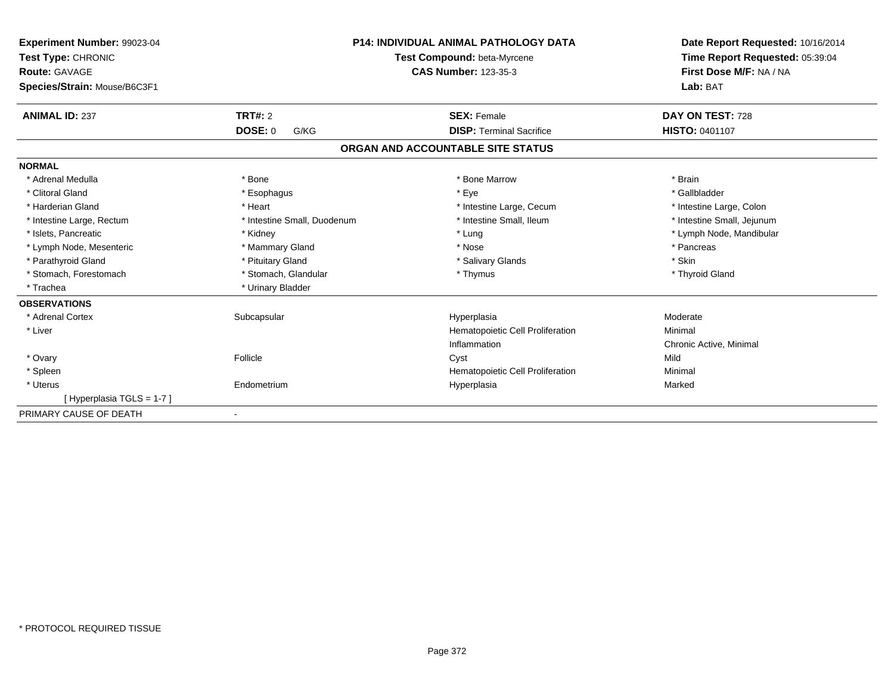| Experiment Number: 99023-04<br>Test Type: CHRONIC<br><b>Route: GAVAGE</b><br>Species/Strain: Mouse/B6C3F1 |                             | <b>P14: INDIVIDUAL ANIMAL PATHOLOGY DATA</b><br>Test Compound: beta-Myrcene<br><b>CAS Number: 123-35-3</b> | Date Report Requested: 10/16/2014<br>Time Report Requested: 05:39:04<br>First Dose M/F: NA / NA<br>Lab: BAT |
|-----------------------------------------------------------------------------------------------------------|-----------------------------|------------------------------------------------------------------------------------------------------------|-------------------------------------------------------------------------------------------------------------|
| <b>ANIMAL ID: 237</b>                                                                                     | TRT#: 2                     | <b>SEX: Female</b>                                                                                         | DAY ON TEST: 728                                                                                            |
|                                                                                                           | <b>DOSE: 0</b><br>G/KG      | <b>DISP: Terminal Sacrifice</b>                                                                            | <b>HISTO: 0401107</b>                                                                                       |
|                                                                                                           |                             | ORGAN AND ACCOUNTABLE SITE STATUS                                                                          |                                                                                                             |
| <b>NORMAL</b>                                                                                             |                             |                                                                                                            |                                                                                                             |
| * Adrenal Medulla                                                                                         | * Bone                      | * Bone Marrow                                                                                              | * Brain                                                                                                     |
| * Clitoral Gland                                                                                          | * Esophagus                 | * Eye                                                                                                      | * Gallbladder                                                                                               |
| * Harderian Gland                                                                                         | * Heart                     | * Intestine Large, Cecum                                                                                   | * Intestine Large, Colon                                                                                    |
| * Intestine Large, Rectum                                                                                 | * Intestine Small, Duodenum | * Intestine Small. Ileum                                                                                   | * Intestine Small, Jejunum                                                                                  |
| * Islets, Pancreatic                                                                                      | * Kidney                    | * Lung                                                                                                     | * Lymph Node, Mandibular                                                                                    |
| * Lymph Node, Mesenteric                                                                                  | * Mammary Gland             | * Nose                                                                                                     | * Pancreas                                                                                                  |
| * Parathyroid Gland                                                                                       | * Pituitary Gland           | * Salivary Glands                                                                                          | * Skin                                                                                                      |
| * Stomach, Forestomach                                                                                    | * Stomach, Glandular        | * Thymus                                                                                                   | * Thyroid Gland                                                                                             |
| * Trachea                                                                                                 | * Urinary Bladder           |                                                                                                            |                                                                                                             |
| <b>OBSERVATIONS</b>                                                                                       |                             |                                                                                                            |                                                                                                             |
| * Adrenal Cortex                                                                                          | Subcapsular                 | Hyperplasia                                                                                                | Moderate                                                                                                    |
| * Liver                                                                                                   |                             | Hematopoietic Cell Proliferation                                                                           | Minimal                                                                                                     |
|                                                                                                           |                             | Inflammation                                                                                               | Chronic Active, Minimal                                                                                     |
| * Ovary                                                                                                   | Follicle                    | Cyst                                                                                                       | Mild                                                                                                        |
| * Spleen                                                                                                  |                             | Hematopoietic Cell Proliferation                                                                           | Minimal                                                                                                     |
| * Uterus                                                                                                  | Endometrium                 | Hyperplasia                                                                                                | Marked                                                                                                      |
| [Hyperplasia TGLS = 1-7]                                                                                  |                             |                                                                                                            |                                                                                                             |
| PRIMARY CAUSE OF DEATH                                                                                    |                             |                                                                                                            |                                                                                                             |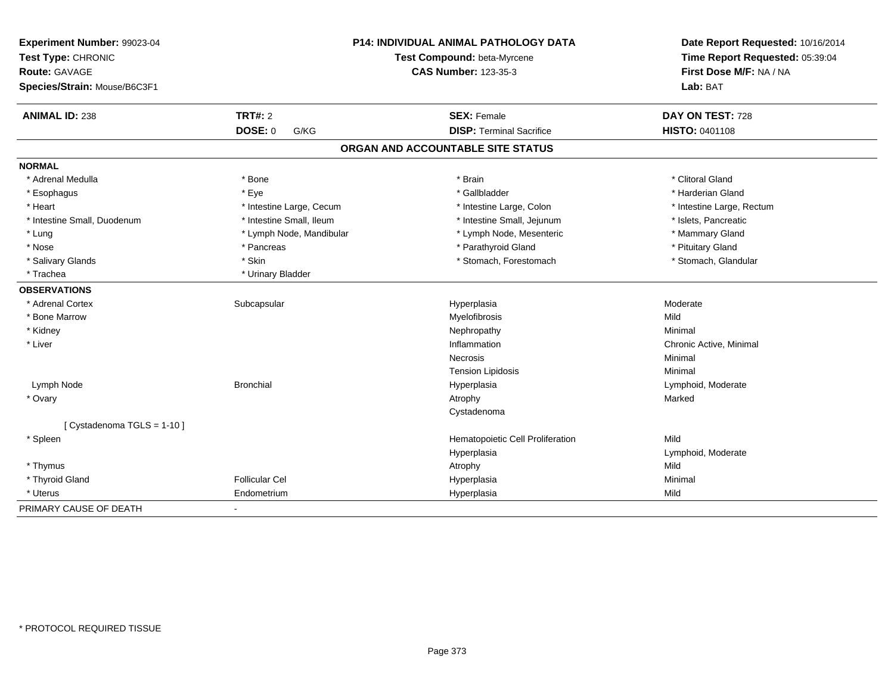| Experiment Number: 99023-04<br>Test Type: CHRONIC<br><b>Route: GAVAGE</b><br>Species/Strain: Mouse/B6C3F1 |                          | <b>P14: INDIVIDUAL ANIMAL PATHOLOGY DATA</b><br>Test Compound: beta-Myrcene<br><b>CAS Number: 123-35-3</b> | Date Report Requested: 10/16/2014<br>Time Report Requested: 05:39:04<br>First Dose M/F: NA / NA<br>Lab: BAT |
|-----------------------------------------------------------------------------------------------------------|--------------------------|------------------------------------------------------------------------------------------------------------|-------------------------------------------------------------------------------------------------------------|
| <b>ANIMAL ID: 238</b>                                                                                     | <b>TRT#: 2</b>           | <b>SEX: Female</b>                                                                                         | DAY ON TEST: 728                                                                                            |
|                                                                                                           | DOSE: 0<br>G/KG          | <b>DISP: Terminal Sacrifice</b>                                                                            | HISTO: 0401108                                                                                              |
|                                                                                                           |                          | ORGAN AND ACCOUNTABLE SITE STATUS                                                                          |                                                                                                             |
| <b>NORMAL</b>                                                                                             |                          |                                                                                                            |                                                                                                             |
| * Adrenal Medulla                                                                                         | * Bone                   | * Brain                                                                                                    | * Clitoral Gland                                                                                            |
| * Esophagus                                                                                               | * Eye                    | * Gallbladder                                                                                              | * Harderian Gland                                                                                           |
| * Heart                                                                                                   | * Intestine Large, Cecum | * Intestine Large, Colon                                                                                   | * Intestine Large, Rectum                                                                                   |
| * Intestine Small, Duodenum                                                                               | * Intestine Small, Ileum | * Intestine Small, Jejunum                                                                                 | * Islets, Pancreatic                                                                                        |
| * Lung                                                                                                    | * Lymph Node, Mandibular | * Lymph Node, Mesenteric                                                                                   | * Mammary Gland                                                                                             |
| * Nose                                                                                                    | * Pancreas               | * Parathyroid Gland                                                                                        | * Pituitary Gland                                                                                           |
| * Salivary Glands                                                                                         | * Skin                   | * Stomach, Forestomach                                                                                     | * Stomach, Glandular                                                                                        |
| * Trachea                                                                                                 | * Urinary Bladder        |                                                                                                            |                                                                                                             |
| <b>OBSERVATIONS</b>                                                                                       |                          |                                                                                                            |                                                                                                             |
| * Adrenal Cortex                                                                                          | Subcapsular              | Hyperplasia                                                                                                | Moderate                                                                                                    |
| * Bone Marrow                                                                                             |                          | Myelofibrosis                                                                                              | Mild                                                                                                        |
| * Kidney                                                                                                  |                          | Nephropathy                                                                                                | Minimal                                                                                                     |
| * Liver                                                                                                   |                          | Inflammation                                                                                               | Chronic Active, Minimal                                                                                     |
|                                                                                                           |                          | Necrosis                                                                                                   | Minimal                                                                                                     |
|                                                                                                           |                          | <b>Tension Lipidosis</b>                                                                                   | Minimal                                                                                                     |
| Lymph Node                                                                                                | <b>Bronchial</b>         | Hyperplasia                                                                                                | Lymphoid, Moderate                                                                                          |
| * Ovary                                                                                                   |                          | Atrophy                                                                                                    | Marked                                                                                                      |
|                                                                                                           |                          | Cystadenoma                                                                                                |                                                                                                             |
| [ Cystadenoma TGLS = 1-10 ]                                                                               |                          |                                                                                                            |                                                                                                             |
| * Spleen                                                                                                  |                          | Hematopoietic Cell Proliferation                                                                           | Mild                                                                                                        |
|                                                                                                           |                          | Hyperplasia                                                                                                | Lymphoid, Moderate                                                                                          |
| * Thymus                                                                                                  |                          | Atrophy                                                                                                    | Mild                                                                                                        |
| * Thyroid Gland                                                                                           | <b>Follicular Cel</b>    | Hyperplasia                                                                                                | Minimal                                                                                                     |
| * Uterus                                                                                                  | Endometrium              | Hyperplasia                                                                                                | Mild                                                                                                        |
| PRIMARY CAUSE OF DEATH                                                                                    | $\blacksquare$           |                                                                                                            |                                                                                                             |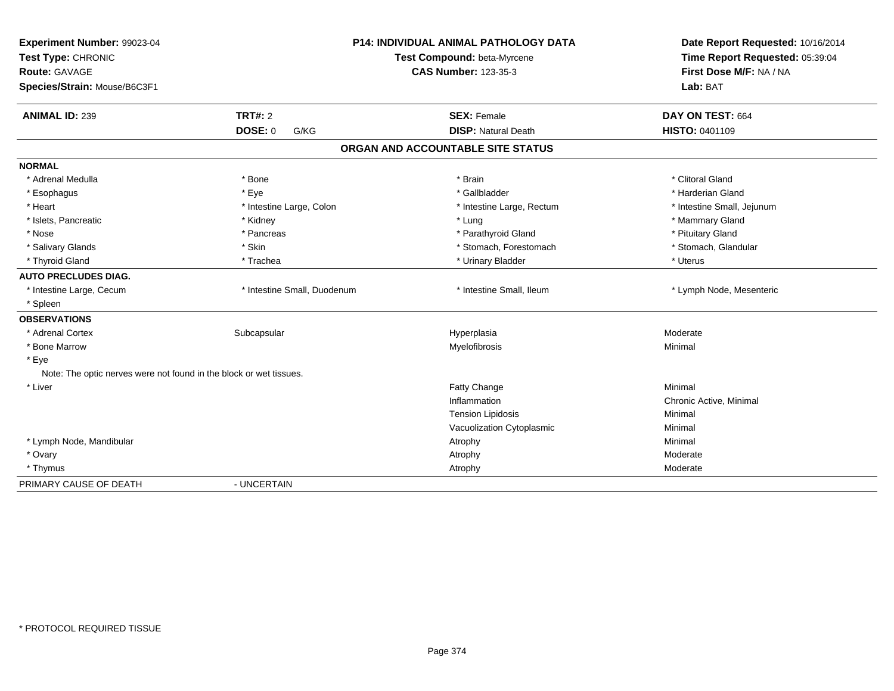| Experiment Number: 99023-04                                        |                             | <b>P14: INDIVIDUAL ANIMAL PATHOLOGY DATA</b> | Date Report Requested: 10/16/2014 |
|--------------------------------------------------------------------|-----------------------------|----------------------------------------------|-----------------------------------|
| Test Type: CHRONIC                                                 |                             | Test Compound: beta-Myrcene                  | Time Report Requested: 05:39:04   |
| Route: GAVAGE                                                      |                             | <b>CAS Number: 123-35-3</b>                  | First Dose M/F: NA / NA           |
| Species/Strain: Mouse/B6C3F1                                       |                             |                                              | Lab: BAT                          |
| <b>ANIMAL ID: 239</b>                                              | <b>TRT#: 2</b>              | <b>SEX: Female</b>                           | DAY ON TEST: 664                  |
|                                                                    | DOSE: 0<br>G/KG             | <b>DISP: Natural Death</b>                   | HISTO: 0401109                    |
|                                                                    |                             | ORGAN AND ACCOUNTABLE SITE STATUS            |                                   |
| <b>NORMAL</b>                                                      |                             |                                              |                                   |
| * Adrenal Medulla                                                  | * Bone                      | * Brain                                      | * Clitoral Gland                  |
| * Esophagus                                                        | * Eye                       | * Gallbladder                                | * Harderian Gland                 |
| * Heart                                                            | * Intestine Large, Colon    | * Intestine Large, Rectum                    | * Intestine Small, Jejunum        |
| * Islets, Pancreatic                                               | * Kidney                    | * Lung                                       | * Mammary Gland                   |
| * Nose                                                             | * Pancreas                  | * Parathyroid Gland                          | * Pituitary Gland                 |
| * Salivary Glands                                                  | * Skin                      | * Stomach, Forestomach                       | * Stomach, Glandular              |
| * Thyroid Gland                                                    | * Trachea                   | * Urinary Bladder                            | * Uterus                          |
| <b>AUTO PRECLUDES DIAG.</b>                                        |                             |                                              |                                   |
| * Intestine Large, Cecum                                           | * Intestine Small, Duodenum | * Intestine Small, Ileum                     | * Lymph Node, Mesenteric          |
| * Spleen                                                           |                             |                                              |                                   |
| <b>OBSERVATIONS</b>                                                |                             |                                              |                                   |
| * Adrenal Cortex                                                   | Subcapsular                 | Hyperplasia                                  | Moderate                          |
| * Bone Marrow                                                      |                             | Myelofibrosis                                | Minimal                           |
| * Eye                                                              |                             |                                              |                                   |
| Note: The optic nerves were not found in the block or wet tissues. |                             |                                              |                                   |
| * Liver                                                            |                             | Fatty Change                                 | Minimal                           |
|                                                                    |                             | Inflammation                                 | Chronic Active, Minimal           |
|                                                                    |                             | <b>Tension Lipidosis</b>                     | Minimal                           |
|                                                                    |                             | Vacuolization Cytoplasmic                    | Minimal                           |
| * Lymph Node, Mandibular                                           |                             | Atrophy                                      | Minimal                           |
| * Ovary                                                            |                             | Atrophy                                      | Moderate                          |
| * Thymus                                                           |                             | Atrophy                                      | Moderate                          |
| PRIMARY CAUSE OF DEATH                                             | - UNCERTAIN                 |                                              |                                   |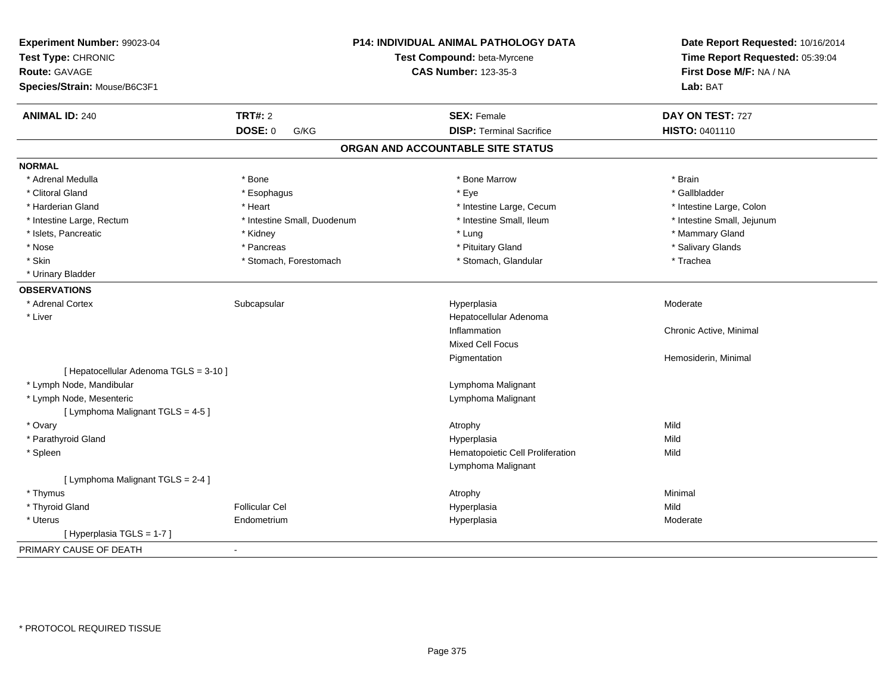| Experiment Number: 99023-04<br>Test Type: CHRONIC<br><b>Route: GAVAGE</b> |                             | P14: INDIVIDUAL ANIMAL PATHOLOGY DATA<br>Test Compound: beta-Myrcene<br><b>CAS Number: 123-35-3</b> | Date Report Requested: 10/16/2014<br>Time Report Requested: 05:39:04<br>First Dose M/F: NA / NA |
|---------------------------------------------------------------------------|-----------------------------|-----------------------------------------------------------------------------------------------------|-------------------------------------------------------------------------------------------------|
| Species/Strain: Mouse/B6C3F1                                              |                             |                                                                                                     | Lab: BAT                                                                                        |
| <b>ANIMAL ID: 240</b>                                                     | <b>TRT#: 2</b>              | <b>SEX: Female</b>                                                                                  | DAY ON TEST: 727                                                                                |
|                                                                           | <b>DOSE: 0</b><br>G/KG      | <b>DISP: Terminal Sacrifice</b>                                                                     | HISTO: 0401110                                                                                  |
|                                                                           |                             | ORGAN AND ACCOUNTABLE SITE STATUS                                                                   |                                                                                                 |
| <b>NORMAL</b>                                                             |                             |                                                                                                     |                                                                                                 |
| * Adrenal Medulla                                                         | * Bone                      | * Bone Marrow                                                                                       | * Brain                                                                                         |
| * Clitoral Gland                                                          | * Esophagus                 | * Eye                                                                                               | * Gallbladder                                                                                   |
| * Harderian Gland                                                         | * Heart                     | * Intestine Large, Cecum                                                                            | * Intestine Large, Colon                                                                        |
| * Intestine Large, Rectum                                                 | * Intestine Small, Duodenum | * Intestine Small, Ileum                                                                            | * Intestine Small, Jejunum                                                                      |
| * Islets, Pancreatic                                                      | * Kidney                    | * Lung                                                                                              | * Mammary Gland                                                                                 |
| * Nose                                                                    | * Pancreas                  | * Pituitary Gland                                                                                   | * Salivary Glands                                                                               |
| * Skin                                                                    | * Stomach, Forestomach      | * Stomach, Glandular                                                                                | * Trachea                                                                                       |
| * Urinary Bladder                                                         |                             |                                                                                                     |                                                                                                 |
| <b>OBSERVATIONS</b>                                                       |                             |                                                                                                     |                                                                                                 |
| * Adrenal Cortex                                                          | Subcapsular                 | Hyperplasia                                                                                         | Moderate                                                                                        |
| * Liver                                                                   |                             | Hepatocellular Adenoma                                                                              |                                                                                                 |
|                                                                           |                             | Inflammation                                                                                        | Chronic Active, Minimal                                                                         |
|                                                                           |                             | Mixed Cell Focus                                                                                    |                                                                                                 |
|                                                                           |                             | Pigmentation                                                                                        | Hemosiderin, Minimal                                                                            |
| [ Hepatocellular Adenoma TGLS = 3-10 ]                                    |                             |                                                                                                     |                                                                                                 |
| * Lymph Node, Mandibular                                                  |                             | Lymphoma Malignant                                                                                  |                                                                                                 |
| * Lymph Node, Mesenteric                                                  |                             | Lymphoma Malignant                                                                                  |                                                                                                 |
| [ Lymphoma Malignant TGLS = 4-5 ]                                         |                             |                                                                                                     |                                                                                                 |
| * Ovary                                                                   |                             | Atrophy                                                                                             | Mild                                                                                            |
| * Parathyroid Gland                                                       |                             | Hyperplasia                                                                                         | Mild                                                                                            |
| * Spleen                                                                  |                             | Hematopoietic Cell Proliferation                                                                    | Mild                                                                                            |
|                                                                           |                             | Lymphoma Malignant                                                                                  |                                                                                                 |
| [ Lymphoma Malignant TGLS = 2-4 ]                                         |                             |                                                                                                     |                                                                                                 |
| * Thymus                                                                  |                             | Atrophy                                                                                             | Minimal                                                                                         |
| * Thyroid Gland                                                           | <b>Follicular Cel</b>       | Hyperplasia                                                                                         | Mild                                                                                            |
| * Uterus                                                                  | Endometrium                 | Hyperplasia                                                                                         | Moderate                                                                                        |
| [ Hyperplasia TGLS = 1-7 ]                                                |                             |                                                                                                     |                                                                                                 |
| PRIMARY CAUSE OF DEATH                                                    |                             |                                                                                                     |                                                                                                 |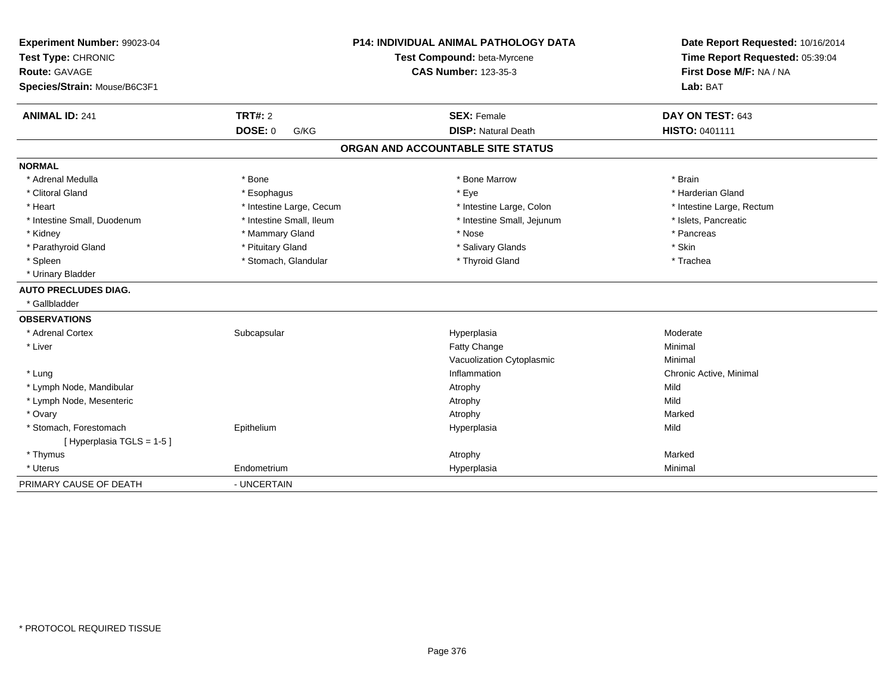| Experiment Number: 99023-04<br>Test Type: CHRONIC<br>Route: GAVAGE<br>Species/Strain: Mouse/B6C3F1<br><b>ANIMAL ID: 241</b> | TRT#: 2                  | <b>P14: INDIVIDUAL ANIMAL PATHOLOGY DATA</b><br>Test Compound: beta-Myrcene<br><b>CAS Number: 123-35-3</b><br><b>SEX: Female</b> | Date Report Requested: 10/16/2014<br>Time Report Requested: 05:39:04<br>First Dose M/F: NA / NA<br>Lab: BAT<br>DAY ON TEST: 643 |
|-----------------------------------------------------------------------------------------------------------------------------|--------------------------|----------------------------------------------------------------------------------------------------------------------------------|---------------------------------------------------------------------------------------------------------------------------------|
|                                                                                                                             | <b>DOSE: 0</b><br>G/KG   | <b>DISP: Natural Death</b>                                                                                                       | HISTO: 0401111                                                                                                                  |
|                                                                                                                             |                          | ORGAN AND ACCOUNTABLE SITE STATUS                                                                                                |                                                                                                                                 |
| <b>NORMAL</b>                                                                                                               |                          |                                                                                                                                  |                                                                                                                                 |
| * Adrenal Medulla                                                                                                           | * Bone                   | * Bone Marrow                                                                                                                    | * Brain                                                                                                                         |
| * Clitoral Gland                                                                                                            | * Esophagus              | * Eye                                                                                                                            | * Harderian Gland                                                                                                               |
| * Heart                                                                                                                     | * Intestine Large, Cecum | * Intestine Large, Colon                                                                                                         | * Intestine Large, Rectum                                                                                                       |
| * Intestine Small, Duodenum                                                                                                 | * Intestine Small, Ileum | * Intestine Small, Jejunum                                                                                                       | * Islets, Pancreatic                                                                                                            |
| * Kidney                                                                                                                    | * Mammary Gland          | * Nose                                                                                                                           | * Pancreas                                                                                                                      |
| * Parathyroid Gland                                                                                                         | * Pituitary Gland        | * Salivary Glands                                                                                                                | * Skin                                                                                                                          |
| * Spleen                                                                                                                    | * Stomach, Glandular     | * Thyroid Gland                                                                                                                  | * Trachea                                                                                                                       |
| * Urinary Bladder                                                                                                           |                          |                                                                                                                                  |                                                                                                                                 |
| <b>AUTO PRECLUDES DIAG.</b>                                                                                                 |                          |                                                                                                                                  |                                                                                                                                 |
| * Gallbladder                                                                                                               |                          |                                                                                                                                  |                                                                                                                                 |
| <b>OBSERVATIONS</b>                                                                                                         |                          |                                                                                                                                  |                                                                                                                                 |
| * Adrenal Cortex                                                                                                            | Subcapsular              | Hyperplasia                                                                                                                      | Moderate                                                                                                                        |
| * Liver                                                                                                                     |                          | Fatty Change                                                                                                                     | Minimal                                                                                                                         |
|                                                                                                                             |                          | Vacuolization Cytoplasmic                                                                                                        | Minimal                                                                                                                         |
| * Lung                                                                                                                      |                          | Inflammation                                                                                                                     | Chronic Active, Minimal                                                                                                         |
| * Lymph Node, Mandibular                                                                                                    |                          | Atrophy                                                                                                                          | Mild                                                                                                                            |
| * Lymph Node, Mesenteric                                                                                                    |                          | Atrophy                                                                                                                          | Mild                                                                                                                            |
| * Ovary                                                                                                                     |                          | Atrophy                                                                                                                          | Marked                                                                                                                          |
| * Stomach, Forestomach                                                                                                      | Epithelium               | Hyperplasia                                                                                                                      | Mild                                                                                                                            |
| [Hyperplasia TGLS = 1-5]                                                                                                    |                          |                                                                                                                                  |                                                                                                                                 |
| * Thymus                                                                                                                    |                          | Atrophy                                                                                                                          | Marked                                                                                                                          |
| * Uterus                                                                                                                    | Endometrium              | Hyperplasia                                                                                                                      | Minimal                                                                                                                         |
| PRIMARY CAUSE OF DEATH                                                                                                      | - UNCERTAIN              |                                                                                                                                  |                                                                                                                                 |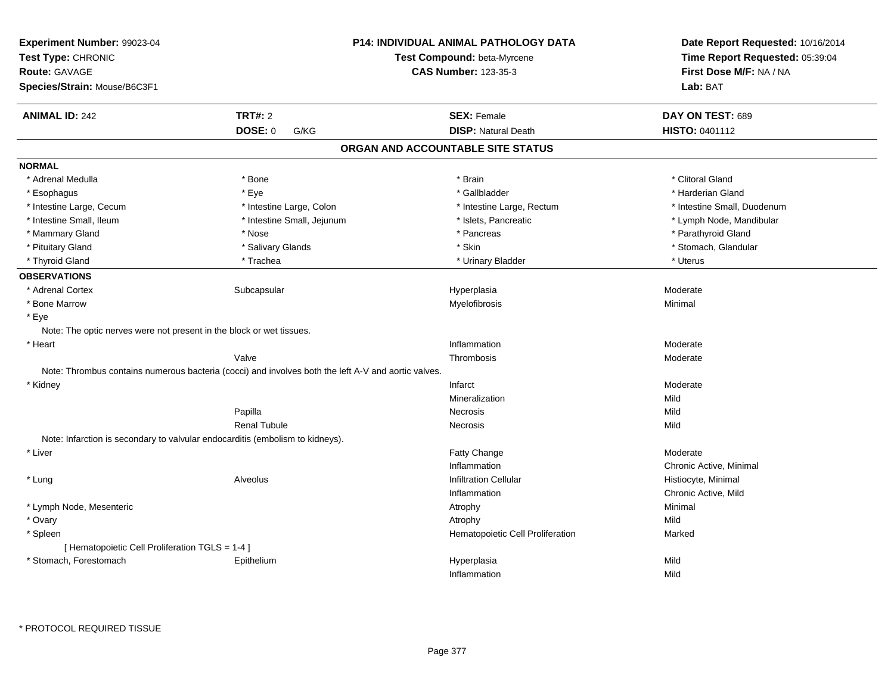| Experiment Number: 99023-04<br>Test Type: CHRONIC<br><b>Route: GAVAGE</b><br>Species/Strain: Mouse/B6C3F1 |                                                                                                     | P14: INDIVIDUAL ANIMAL PATHOLOGY DATA<br>Test Compound: beta-Myrcene<br><b>CAS Number: 123-35-3</b> | Date Report Requested: 10/16/2014<br>Time Report Requested: 05:39:04<br>First Dose M/F: NA / NA<br>Lab: BAT |
|-----------------------------------------------------------------------------------------------------------|-----------------------------------------------------------------------------------------------------|-----------------------------------------------------------------------------------------------------|-------------------------------------------------------------------------------------------------------------|
| <b>ANIMAL ID: 242</b>                                                                                     | <b>TRT#: 2</b>                                                                                      | <b>SEX: Female</b>                                                                                  | DAY ON TEST: 689                                                                                            |
|                                                                                                           | <b>DOSE: 0</b><br>G/KG                                                                              | <b>DISP: Natural Death</b>                                                                          | <b>HISTO: 0401112</b>                                                                                       |
|                                                                                                           |                                                                                                     | ORGAN AND ACCOUNTABLE SITE STATUS                                                                   |                                                                                                             |
| <b>NORMAL</b>                                                                                             |                                                                                                     |                                                                                                     |                                                                                                             |
| * Adrenal Medulla                                                                                         | * Bone                                                                                              | * Brain                                                                                             | * Clitoral Gland                                                                                            |
| * Esophagus                                                                                               | * Eye                                                                                               | * Gallbladder                                                                                       | * Harderian Gland                                                                                           |
| * Intestine Large, Cecum                                                                                  | * Intestine Large, Colon                                                                            | * Intestine Large, Rectum                                                                           | * Intestine Small, Duodenum                                                                                 |
| * Intestine Small, Ileum                                                                                  | * Intestine Small, Jejunum                                                                          | * Islets, Pancreatic                                                                                | * Lymph Node, Mandibular                                                                                    |
| * Mammary Gland                                                                                           | * Nose                                                                                              | * Pancreas                                                                                          | * Parathyroid Gland                                                                                         |
| * Pituitary Gland                                                                                         | * Salivary Glands                                                                                   | * Skin                                                                                              | * Stomach, Glandular                                                                                        |
| * Thyroid Gland                                                                                           | * Trachea                                                                                           | * Urinary Bladder                                                                                   | * Uterus                                                                                                    |
| <b>OBSERVATIONS</b>                                                                                       |                                                                                                     |                                                                                                     |                                                                                                             |
| * Adrenal Cortex                                                                                          | Subcapsular                                                                                         | Hyperplasia                                                                                         | Moderate                                                                                                    |
| * Bone Marrow                                                                                             |                                                                                                     | Myelofibrosis                                                                                       | Minimal                                                                                                     |
| * Eye                                                                                                     |                                                                                                     |                                                                                                     |                                                                                                             |
| Note: The optic nerves were not present in the block or wet tissues.                                      |                                                                                                     |                                                                                                     |                                                                                                             |
| * Heart                                                                                                   |                                                                                                     | Inflammation                                                                                        | Moderate                                                                                                    |
|                                                                                                           | Valve                                                                                               | Thrombosis                                                                                          | Moderate                                                                                                    |
|                                                                                                           | Note: Thrombus contains numerous bacteria (cocci) and involves both the left A-V and aortic valves. |                                                                                                     |                                                                                                             |
| * Kidney                                                                                                  |                                                                                                     | Infarct                                                                                             | Moderate                                                                                                    |
|                                                                                                           |                                                                                                     | Mineralization                                                                                      | Mild                                                                                                        |
|                                                                                                           | Papilla                                                                                             | Necrosis                                                                                            | Mild                                                                                                        |
|                                                                                                           | <b>Renal Tubule</b>                                                                                 | Necrosis                                                                                            | Mild                                                                                                        |
| Note: Infarction is secondary to valvular endocarditis (embolism to kidneys).                             |                                                                                                     |                                                                                                     |                                                                                                             |
| * Liver                                                                                                   |                                                                                                     | Fatty Change                                                                                        | Moderate                                                                                                    |
|                                                                                                           |                                                                                                     | Inflammation                                                                                        | Chronic Active, Minimal                                                                                     |
| * Lung                                                                                                    | Alveolus                                                                                            | <b>Infiltration Cellular</b>                                                                        | Histiocyte, Minimal                                                                                         |
|                                                                                                           |                                                                                                     | Inflammation                                                                                        | Chronic Active, Mild                                                                                        |
| * Lymph Node, Mesenteric                                                                                  |                                                                                                     | Atrophy                                                                                             | Minimal                                                                                                     |
| * Ovary                                                                                                   |                                                                                                     | Atrophy                                                                                             | Mild                                                                                                        |
| * Spleen                                                                                                  |                                                                                                     | Hematopoietic Cell Proliferation                                                                    | Marked                                                                                                      |
| [ Hematopoietic Cell Proliferation TGLS = 1-4 ]                                                           |                                                                                                     |                                                                                                     |                                                                                                             |
| * Stomach, Forestomach                                                                                    | Epithelium                                                                                          | Hyperplasia                                                                                         | Mild                                                                                                        |
|                                                                                                           |                                                                                                     | Inflammation                                                                                        | Mild                                                                                                        |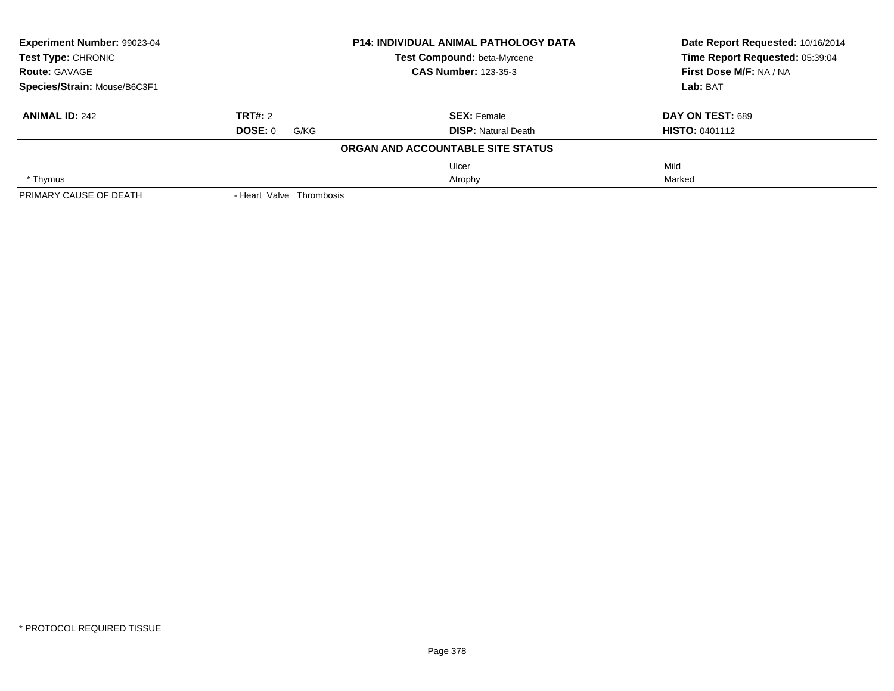| Experiment Number: 99023-04                         |                          | <b>P14: INDIVIDUAL ANIMAL PATHOLOGY DATA</b> | Date Report Requested: 10/16/2014<br>Time Report Requested: 05:39:04 |
|-----------------------------------------------------|--------------------------|----------------------------------------------|----------------------------------------------------------------------|
| <b>Test Type: CHRONIC</b>                           |                          | Test Compound: beta-Myrcene                  |                                                                      |
| <b>CAS Number: 123-35-3</b><br><b>Route: GAVAGE</b> |                          |                                              | First Dose M/F: NA / NA                                              |
| Species/Strain: Mouse/B6C3F1                        |                          |                                              | Lab: BAT                                                             |
| <b>ANIMAL ID: 242</b>                               | TRT#: 2                  | <b>SEX: Female</b>                           | DAY ON TEST: 689                                                     |
|                                                     | <b>DOSE: 0</b><br>G/KG   | <b>DISP:</b> Natural Death                   | <b>HISTO: 0401112</b>                                                |
|                                                     |                          | ORGAN AND ACCOUNTABLE SITE STATUS            |                                                                      |
|                                                     |                          | Ulcer                                        | Mild                                                                 |
| * Thymus                                            |                          | Atrophy                                      | Marked                                                               |
| PRIMARY CAUSE OF DEATH                              | - Heart Valve Thrombosis |                                              |                                                                      |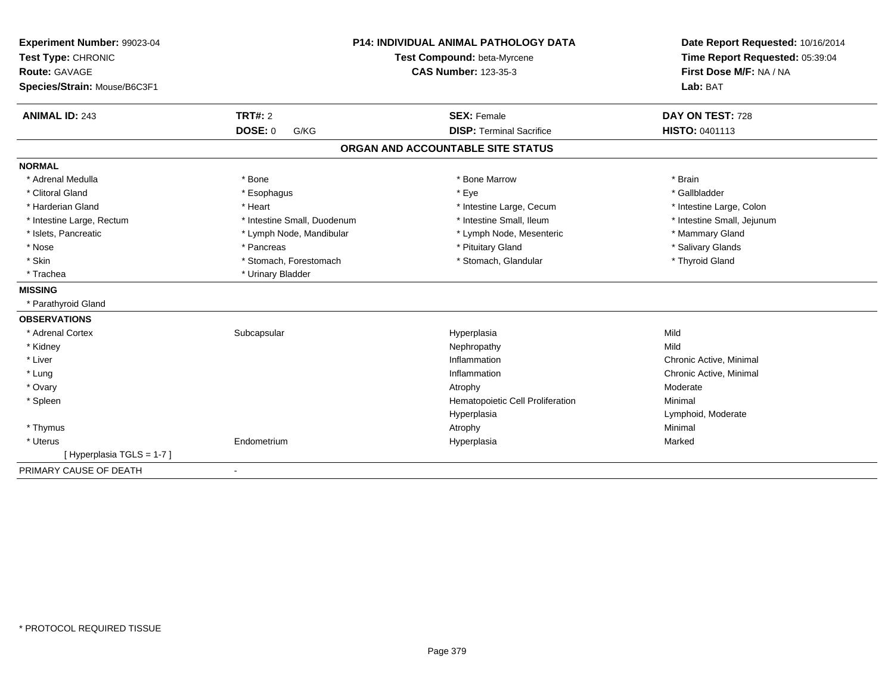| Experiment Number: 99023-04  |                             | <b>P14: INDIVIDUAL ANIMAL PATHOLOGY DATA</b> | Date Report Requested: 10/16/2014 |
|------------------------------|-----------------------------|----------------------------------------------|-----------------------------------|
| Test Type: CHRONIC           | Test Compound: beta-Myrcene |                                              | Time Report Requested: 05:39:04   |
| <b>Route: GAVAGE</b>         |                             | <b>CAS Number: 123-35-3</b>                  | First Dose M/F: NA / NA           |
| Species/Strain: Mouse/B6C3F1 |                             |                                              | Lab: BAT                          |
| <b>ANIMAL ID: 243</b>        | TRT#: 2                     | <b>SEX: Female</b>                           | DAY ON TEST: 728                  |
|                              | <b>DOSE: 0</b><br>G/KG      | <b>DISP: Terminal Sacrifice</b>              | HISTO: 0401113                    |
|                              |                             | ORGAN AND ACCOUNTABLE SITE STATUS            |                                   |
| <b>NORMAL</b>                |                             |                                              |                                   |
| * Adrenal Medulla            | * Bone                      | * Bone Marrow                                | * Brain                           |
| * Clitoral Gland             | * Esophagus                 | * Eye                                        | * Gallbladder                     |
| * Harderian Gland            | * Heart                     | * Intestine Large, Cecum                     | * Intestine Large, Colon          |
| * Intestine Large, Rectum    | * Intestine Small, Duodenum | * Intestine Small, Ileum                     | * Intestine Small, Jejunum        |
| * Islets, Pancreatic         | * Lymph Node, Mandibular    | * Lymph Node, Mesenteric                     | * Mammary Gland                   |
| * Nose                       | * Pancreas                  | * Pituitary Gland                            | * Salivary Glands                 |
| * Skin                       | * Stomach, Forestomach      | * Stomach, Glandular                         | * Thyroid Gland                   |
| * Trachea                    | * Urinary Bladder           |                                              |                                   |
| <b>MISSING</b>               |                             |                                              |                                   |
| * Parathyroid Gland          |                             |                                              |                                   |
| <b>OBSERVATIONS</b>          |                             |                                              |                                   |
| * Adrenal Cortex             | Subcapsular                 | Hyperplasia                                  | Mild                              |
| * Kidney                     |                             | Nephropathy                                  | Mild                              |
| * Liver                      |                             | Inflammation                                 | Chronic Active, Minimal           |
| * Lung                       |                             | Inflammation                                 | Chronic Active, Minimal           |
| * Ovary                      |                             | Atrophy                                      | Moderate                          |
| * Spleen                     |                             | Hematopoietic Cell Proliferation             | Minimal                           |
|                              |                             | Hyperplasia                                  | Lymphoid, Moderate                |
| * Thymus                     |                             | Atrophy                                      | Minimal                           |
| * Uterus                     | Endometrium                 | Hyperplasia                                  | Marked                            |
| [Hyperplasia TGLS = 1-7]     |                             |                                              |                                   |
| PRIMARY CAUSE OF DEATH       | ٠                           |                                              |                                   |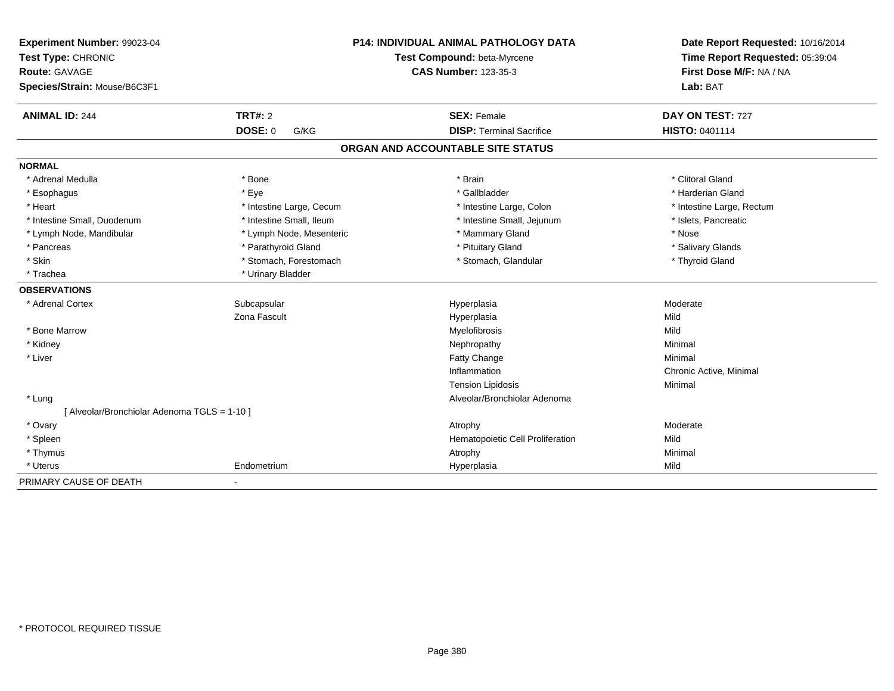| Experiment Number: 99023-04<br>Test Type: CHRONIC<br><b>Route: GAVAGE</b><br>Species/Strain: Mouse/B6C3F1 |                          | <b>P14: INDIVIDUAL ANIMAL PATHOLOGY DATA</b><br>Test Compound: beta-Myrcene<br><b>CAS Number: 123-35-3</b> | Date Report Requested: 10/16/2014<br>Time Report Requested: 05:39:04<br>First Dose M/F: NA / NA<br>Lab: BAT |
|-----------------------------------------------------------------------------------------------------------|--------------------------|------------------------------------------------------------------------------------------------------------|-------------------------------------------------------------------------------------------------------------|
| <b>ANIMAL ID: 244</b>                                                                                     | <b>TRT#: 2</b>           | <b>SEX: Female</b>                                                                                         | DAY ON TEST: 727                                                                                            |
|                                                                                                           | <b>DOSE: 0</b><br>G/KG   | <b>DISP: Terminal Sacrifice</b>                                                                            | HISTO: 0401114                                                                                              |
|                                                                                                           |                          | ORGAN AND ACCOUNTABLE SITE STATUS                                                                          |                                                                                                             |
| <b>NORMAL</b>                                                                                             |                          |                                                                                                            |                                                                                                             |
| * Adrenal Medulla                                                                                         | * Bone                   | * Brain                                                                                                    | * Clitoral Gland                                                                                            |
| * Esophagus                                                                                               | * Eye                    | * Gallbladder                                                                                              | * Harderian Gland                                                                                           |
| * Heart                                                                                                   | * Intestine Large, Cecum | * Intestine Large, Colon                                                                                   | * Intestine Large, Rectum                                                                                   |
| * Intestine Small. Duodenum                                                                               | * Intestine Small, Ileum | * Intestine Small, Jejunum                                                                                 | * Islets, Pancreatic                                                                                        |
| * Lymph Node, Mandibular                                                                                  | * Lymph Node, Mesenteric | * Mammary Gland                                                                                            | * Nose                                                                                                      |
| * Pancreas                                                                                                | * Parathyroid Gland      | * Pituitary Gland                                                                                          | * Salivary Glands                                                                                           |
| * Skin                                                                                                    | * Stomach, Forestomach   | * Stomach, Glandular                                                                                       | * Thyroid Gland                                                                                             |
| * Trachea                                                                                                 | * Urinary Bladder        |                                                                                                            |                                                                                                             |
| <b>OBSERVATIONS</b>                                                                                       |                          |                                                                                                            |                                                                                                             |
| * Adrenal Cortex                                                                                          | Subcapsular              | Hyperplasia                                                                                                | Moderate                                                                                                    |
|                                                                                                           | Zona Fascult             | Hyperplasia                                                                                                | Mild                                                                                                        |
| * Bone Marrow                                                                                             |                          | Myelofibrosis                                                                                              | Mild                                                                                                        |
| * Kidney                                                                                                  |                          | Nephropathy                                                                                                | Minimal                                                                                                     |
| * Liver                                                                                                   |                          | Fatty Change                                                                                               | Minimal                                                                                                     |
|                                                                                                           |                          | Inflammation                                                                                               | Chronic Active, Minimal                                                                                     |
|                                                                                                           |                          | <b>Tension Lipidosis</b>                                                                                   | Minimal                                                                                                     |
| * Lung                                                                                                    |                          | Alveolar/Bronchiolar Adenoma                                                                               |                                                                                                             |
| [ Alveolar/Bronchiolar Adenoma TGLS = 1-10 ]                                                              |                          |                                                                                                            |                                                                                                             |
| * Ovary                                                                                                   |                          | Atrophy                                                                                                    | Moderate                                                                                                    |
| * Spleen                                                                                                  |                          | Hematopoietic Cell Proliferation                                                                           | Mild                                                                                                        |
| * Thymus                                                                                                  |                          | Atrophy                                                                                                    | Minimal                                                                                                     |
| * Uterus                                                                                                  | Endometrium              | Hyperplasia                                                                                                | Mild                                                                                                        |
| PRIMARY CAUSE OF DEATH                                                                                    |                          |                                                                                                            |                                                                                                             |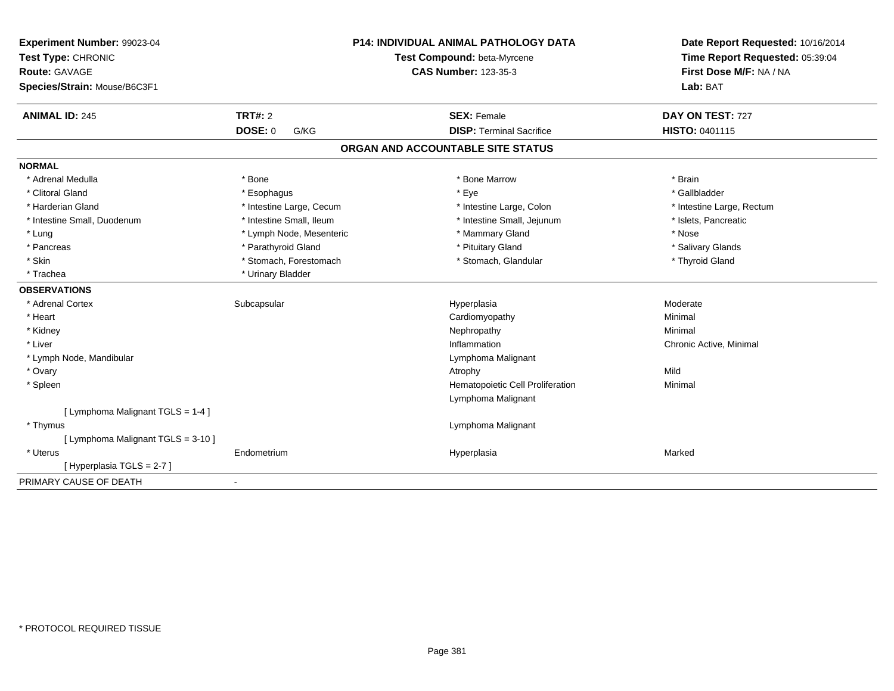| Experiment Number: 99023-04<br>Test Type: CHRONIC<br><b>Route: GAVAGE</b><br>Species/Strain: Mouse/B6C3F1 |                          | <b>P14: INDIVIDUAL ANIMAL PATHOLOGY DATA</b><br>Test Compound: beta-Myrcene<br><b>CAS Number: 123-35-3</b> | Date Report Requested: 10/16/2014<br>Time Report Requested: 05:39:04<br>First Dose M/F: NA / NA<br>Lab: BAT |
|-----------------------------------------------------------------------------------------------------------|--------------------------|------------------------------------------------------------------------------------------------------------|-------------------------------------------------------------------------------------------------------------|
| <b>ANIMAL ID: 245</b>                                                                                     | <b>TRT#: 2</b>           | <b>SEX: Female</b>                                                                                         | DAY ON TEST: 727                                                                                            |
|                                                                                                           | <b>DOSE: 0</b><br>G/KG   | <b>DISP: Terminal Sacrifice</b>                                                                            | <b>HISTO: 0401115</b>                                                                                       |
|                                                                                                           |                          | ORGAN AND ACCOUNTABLE SITE STATUS                                                                          |                                                                                                             |
| <b>NORMAL</b>                                                                                             |                          |                                                                                                            |                                                                                                             |
| * Adrenal Medulla                                                                                         | * Bone                   | * Bone Marrow                                                                                              | * Brain                                                                                                     |
| * Clitoral Gland                                                                                          | * Esophagus              | * Eye                                                                                                      | * Gallbladder                                                                                               |
| * Harderian Gland                                                                                         | * Intestine Large, Cecum | * Intestine Large, Colon                                                                                   | * Intestine Large, Rectum                                                                                   |
| * Intestine Small, Duodenum                                                                               | * Intestine Small, Ileum | * Intestine Small, Jejunum                                                                                 | * Islets, Pancreatic                                                                                        |
| * Lung                                                                                                    | * Lymph Node, Mesenteric | * Mammary Gland                                                                                            | * Nose                                                                                                      |
| * Pancreas                                                                                                | * Parathyroid Gland      | * Pituitary Gland                                                                                          | * Salivary Glands                                                                                           |
| * Skin                                                                                                    | * Stomach, Forestomach   | * Stomach, Glandular                                                                                       | * Thyroid Gland                                                                                             |
| * Trachea                                                                                                 | * Urinary Bladder        |                                                                                                            |                                                                                                             |
| <b>OBSERVATIONS</b>                                                                                       |                          |                                                                                                            |                                                                                                             |
| * Adrenal Cortex                                                                                          | Subcapsular              | Hyperplasia                                                                                                | Moderate                                                                                                    |
| * Heart                                                                                                   |                          | Cardiomyopathy                                                                                             | Minimal                                                                                                     |
| * Kidney                                                                                                  |                          | Nephropathy                                                                                                | Minimal                                                                                                     |
| * Liver                                                                                                   |                          | Inflammation                                                                                               | Chronic Active, Minimal                                                                                     |
| * Lymph Node, Mandibular                                                                                  |                          | Lymphoma Malignant                                                                                         |                                                                                                             |
| * Ovary                                                                                                   |                          | Atrophy                                                                                                    | Mild                                                                                                        |
| * Spleen                                                                                                  |                          | Hematopoietic Cell Proliferation                                                                           | Minimal                                                                                                     |
|                                                                                                           |                          | Lymphoma Malignant                                                                                         |                                                                                                             |
| [ Lymphoma Malignant TGLS = 1-4 ]                                                                         |                          |                                                                                                            |                                                                                                             |
| * Thymus                                                                                                  |                          | Lymphoma Malignant                                                                                         |                                                                                                             |
| [ Lymphoma Malignant TGLS = 3-10 ]                                                                        |                          |                                                                                                            |                                                                                                             |
| * Uterus                                                                                                  | Endometrium              | Hyperplasia                                                                                                | Marked                                                                                                      |
| [Hyperplasia TGLS = 2-7]                                                                                  |                          |                                                                                                            |                                                                                                             |
| PRIMARY CAUSE OF DEATH                                                                                    | $\blacksquare$           |                                                                                                            |                                                                                                             |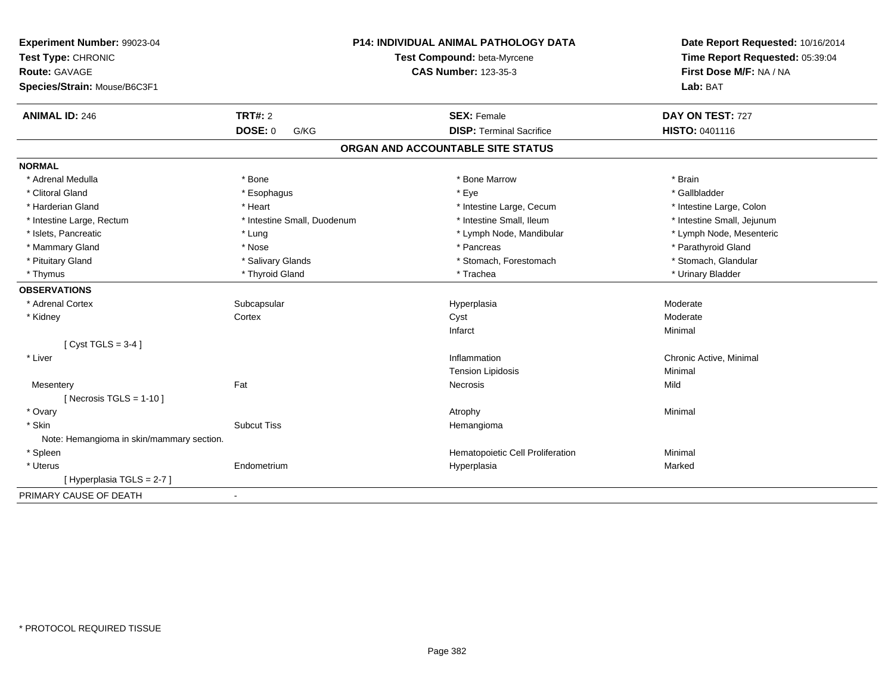| Experiment Number: 99023-04<br>Test Type: CHRONIC<br><b>Route: GAVAGE</b><br>Species/Strain: Mouse/B6C3F1 |                             | P14: INDIVIDUAL ANIMAL PATHOLOGY DATA<br>Test Compound: beta-Myrcene<br><b>CAS Number: 123-35-3</b> | Date Report Requested: 10/16/2014<br>Time Report Requested: 05:39:04<br>First Dose M/F: NA / NA<br>Lab: BAT |
|-----------------------------------------------------------------------------------------------------------|-----------------------------|-----------------------------------------------------------------------------------------------------|-------------------------------------------------------------------------------------------------------------|
| <b>ANIMAL ID: 246</b>                                                                                     | <b>TRT#: 2</b>              | <b>SEX: Female</b>                                                                                  | DAY ON TEST: 727                                                                                            |
|                                                                                                           | <b>DOSE: 0</b><br>G/KG      | <b>DISP: Terminal Sacrifice</b>                                                                     | HISTO: 0401116                                                                                              |
|                                                                                                           |                             | ORGAN AND ACCOUNTABLE SITE STATUS                                                                   |                                                                                                             |
| <b>NORMAL</b>                                                                                             |                             |                                                                                                     |                                                                                                             |
| * Adrenal Medulla                                                                                         | * Bone                      | * Bone Marrow                                                                                       | * Brain                                                                                                     |
| * Clitoral Gland                                                                                          | * Esophagus                 | * Eye                                                                                               | * Gallbladder                                                                                               |
| * Harderian Gland                                                                                         | * Heart                     | * Intestine Large, Cecum                                                                            | * Intestine Large, Colon                                                                                    |
| * Intestine Large, Rectum                                                                                 | * Intestine Small, Duodenum | * Intestine Small. Ileum                                                                            | * Intestine Small, Jejunum                                                                                  |
| * Islets, Pancreatic                                                                                      | * Lung                      | * Lymph Node, Mandibular                                                                            | * Lymph Node, Mesenteric                                                                                    |
| * Mammary Gland                                                                                           | * Nose                      | * Pancreas                                                                                          | * Parathyroid Gland                                                                                         |
| * Pituitary Gland                                                                                         | * Salivary Glands           | * Stomach, Forestomach                                                                              | * Stomach, Glandular                                                                                        |
| * Thymus                                                                                                  | * Thyroid Gland             | * Trachea                                                                                           | * Urinary Bladder                                                                                           |
| <b>OBSERVATIONS</b>                                                                                       |                             |                                                                                                     |                                                                                                             |
| * Adrenal Cortex                                                                                          | Subcapsular                 | Hyperplasia                                                                                         | Moderate                                                                                                    |
| * Kidney                                                                                                  | Cortex                      | Cyst                                                                                                | Moderate                                                                                                    |
|                                                                                                           |                             | Infarct                                                                                             | Minimal                                                                                                     |
| [Cyst TGLS = $3-4$ ]                                                                                      |                             |                                                                                                     |                                                                                                             |
| * Liver                                                                                                   |                             | Inflammation                                                                                        | Chronic Active, Minimal                                                                                     |
|                                                                                                           |                             | <b>Tension Lipidosis</b>                                                                            | Minimal                                                                                                     |
| Mesentery                                                                                                 | Fat                         | Necrosis                                                                                            | Mild                                                                                                        |
| [ Necrosis TGLS = $1-10$ ]                                                                                |                             |                                                                                                     |                                                                                                             |
| * Ovary                                                                                                   |                             | Atrophy                                                                                             | Minimal                                                                                                     |
| * Skin                                                                                                    | <b>Subcut Tiss</b>          | Hemangioma                                                                                          |                                                                                                             |
| Note: Hemangioma in skin/mammary section.                                                                 |                             |                                                                                                     |                                                                                                             |
| * Spleen                                                                                                  |                             | Hematopoietic Cell Proliferation                                                                    | Minimal                                                                                                     |
| * Uterus                                                                                                  | Endometrium                 | Hyperplasia                                                                                         | Marked                                                                                                      |
| [ Hyperplasia TGLS = 2-7 ]                                                                                |                             |                                                                                                     |                                                                                                             |
| PRIMARY CAUSE OF DEATH                                                                                    | $\blacksquare$              |                                                                                                     |                                                                                                             |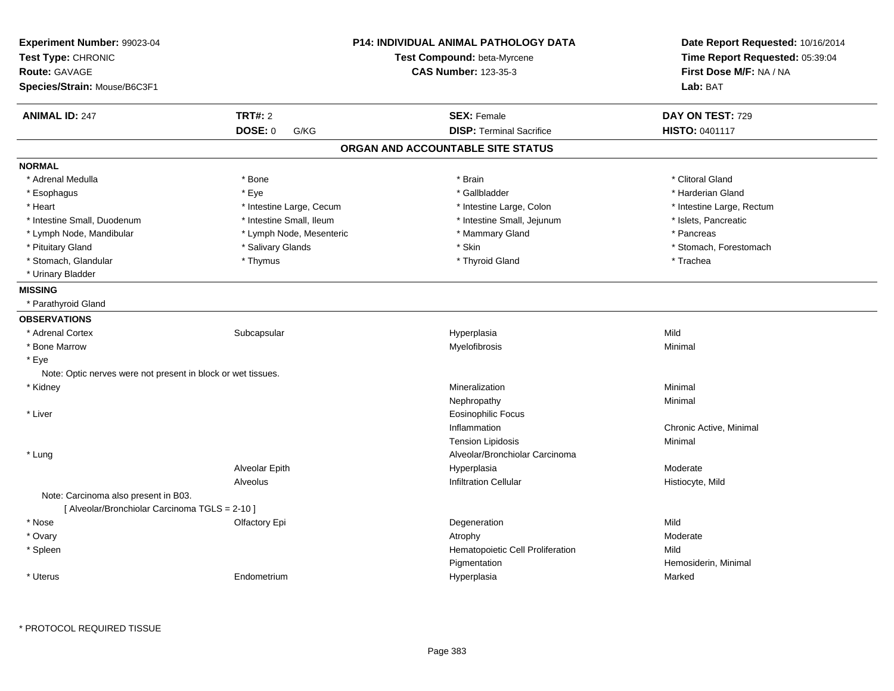| Experiment Number: 99023-04<br>Test Type: CHRONIC<br><b>Route: GAVAGE</b><br>Species/Strain: Mouse/B6C3F1 |                          | <b>P14: INDIVIDUAL ANIMAL PATHOLOGY DATA</b><br>Test Compound: beta-Myrcene<br><b>CAS Number: 123-35-3</b> | Date Report Requested: 10/16/2014<br>Time Report Requested: 05:39:04<br>First Dose M/F: NA / NA<br>Lab: BAT |
|-----------------------------------------------------------------------------------------------------------|--------------------------|------------------------------------------------------------------------------------------------------------|-------------------------------------------------------------------------------------------------------------|
| <b>ANIMAL ID: 247</b>                                                                                     | <b>TRT#: 2</b>           | <b>SEX: Female</b>                                                                                         | DAY ON TEST: 729                                                                                            |
|                                                                                                           | DOSE: 0<br>G/KG          | <b>DISP: Terminal Sacrifice</b>                                                                            | <b>HISTO: 0401117</b>                                                                                       |
|                                                                                                           |                          | ORGAN AND ACCOUNTABLE SITE STATUS                                                                          |                                                                                                             |
| <b>NORMAL</b>                                                                                             |                          |                                                                                                            |                                                                                                             |
| * Adrenal Medulla                                                                                         | * Bone                   | * Brain                                                                                                    | * Clitoral Gland                                                                                            |
| * Esophagus                                                                                               | * Eye                    | * Gallbladder                                                                                              | * Harderian Gland                                                                                           |
| * Heart                                                                                                   | * Intestine Large, Cecum | * Intestine Large, Colon                                                                                   | * Intestine Large, Rectum                                                                                   |
| * Intestine Small, Duodenum                                                                               | * Intestine Small, Ileum | * Intestine Small, Jejunum                                                                                 | * Islets, Pancreatic                                                                                        |
| * Lymph Node, Mandibular                                                                                  | * Lymph Node, Mesenteric | * Mammary Gland                                                                                            | * Pancreas                                                                                                  |
| * Pituitary Gland                                                                                         | * Salivary Glands        | * Skin                                                                                                     | * Stomach, Forestomach                                                                                      |
| * Stomach, Glandular                                                                                      | * Thymus                 | * Thyroid Gland                                                                                            | * Trachea                                                                                                   |
| * Urinary Bladder                                                                                         |                          |                                                                                                            |                                                                                                             |
| <b>MISSING</b>                                                                                            |                          |                                                                                                            |                                                                                                             |
| * Parathyroid Gland                                                                                       |                          |                                                                                                            |                                                                                                             |
| <b>OBSERVATIONS</b>                                                                                       |                          |                                                                                                            |                                                                                                             |
| * Adrenal Cortex                                                                                          | Subcapsular              | Hyperplasia                                                                                                | Mild                                                                                                        |
| * Bone Marrow                                                                                             |                          | Myelofibrosis                                                                                              | Minimal                                                                                                     |
| * Eye                                                                                                     |                          |                                                                                                            |                                                                                                             |
| Note: Optic nerves were not present in block or wet tissues.                                              |                          |                                                                                                            |                                                                                                             |
| * Kidney                                                                                                  |                          | Mineralization                                                                                             | Minimal                                                                                                     |
|                                                                                                           |                          | Nephropathy                                                                                                | Minimal                                                                                                     |
| * Liver                                                                                                   |                          | <b>Eosinophilic Focus</b>                                                                                  |                                                                                                             |
|                                                                                                           |                          | Inflammation                                                                                               | Chronic Active, Minimal                                                                                     |
|                                                                                                           |                          | <b>Tension Lipidosis</b>                                                                                   | Minimal                                                                                                     |
| * Lung                                                                                                    |                          | Alveolar/Bronchiolar Carcinoma                                                                             |                                                                                                             |
|                                                                                                           | Alveolar Epith           | Hyperplasia                                                                                                | Moderate                                                                                                    |
|                                                                                                           | Alveolus                 | Infiltration Cellular                                                                                      | Histiocyte, Mild                                                                                            |
| Note: Carcinoma also present in B03.<br>[ Alveolar/Bronchiolar Carcinoma TGLS = 2-10 ]                    |                          |                                                                                                            |                                                                                                             |
| * Nose                                                                                                    | Olfactory Epi            | Degeneration                                                                                               | Mild                                                                                                        |
| * Ovary                                                                                                   |                          | Atrophy                                                                                                    | Moderate                                                                                                    |
| * Spleen                                                                                                  |                          | Hematopoietic Cell Proliferation                                                                           | Mild                                                                                                        |
|                                                                                                           |                          | Pigmentation                                                                                               | Hemosiderin, Minimal                                                                                        |
| * Uterus                                                                                                  | Endometrium              | Hyperplasia                                                                                                | Marked                                                                                                      |
|                                                                                                           |                          |                                                                                                            |                                                                                                             |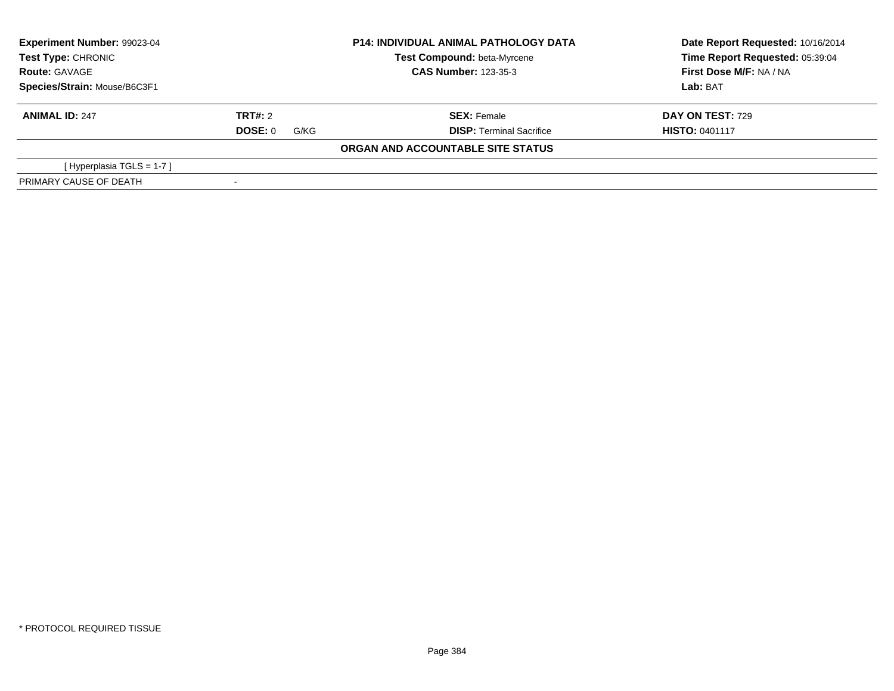| Experiment Number: 99023-04<br><b>Test Type: CHRONIC</b><br><b>Route: GAVAGE</b> |                        | <b>P14: INDIVIDUAL ANIMAL PATHOLOGY DATA</b> | Date Report Requested: 10/16/2014 |
|----------------------------------------------------------------------------------|------------------------|----------------------------------------------|-----------------------------------|
|                                                                                  |                        | <b>Test Compound: beta-Myrcene</b>           | Time Report Requested: 05:39:04   |
|                                                                                  |                        | <b>CAS Number: 123-35-3</b>                  | First Dose M/F: NA / NA           |
| Species/Strain: Mouse/B6C3F1                                                     |                        |                                              | Lab: BAT                          |
| <b>ANIMAL ID: 247</b>                                                            | TRT#: 2                | <b>SEX: Female</b>                           | <b>DAY ON TEST: 729</b>           |
|                                                                                  | <b>DOSE: 0</b><br>G/KG | <b>DISP: Terminal Sacrifice</b>              | <b>HISTO: 0401117</b>             |
|                                                                                  |                        | ORGAN AND ACCOUNTABLE SITE STATUS            |                                   |
| [Hyperplasia TGLS = $1-7$ ]                                                      |                        |                                              |                                   |
| PRIMARY CAUSE OF DEATH                                                           |                        |                                              |                                   |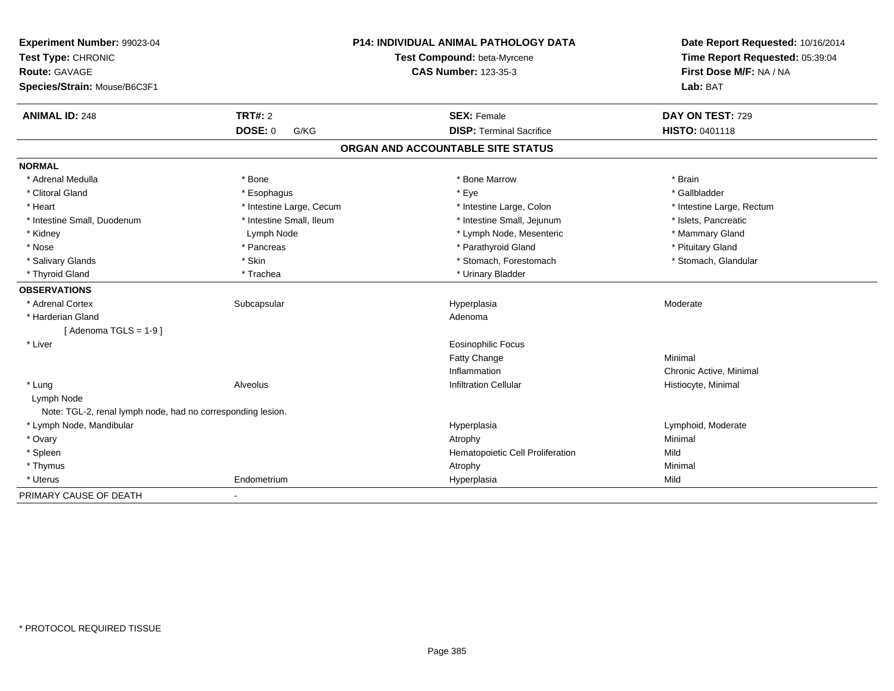| Experiment Number: 99023-04<br>Test Type: CHRONIC<br>Route: GAVAGE<br>Species/Strain: Mouse/B6C3F1 |                          | <b>P14: INDIVIDUAL ANIMAL PATHOLOGY DATA</b><br>Test Compound: beta-Myrcene<br><b>CAS Number: 123-35-3</b> | Date Report Requested: 10/16/2014<br>Time Report Requested: 05:39:04<br>First Dose M/F: NA / NA<br>Lab: BAT |
|----------------------------------------------------------------------------------------------------|--------------------------|------------------------------------------------------------------------------------------------------------|-------------------------------------------------------------------------------------------------------------|
| <b>ANIMAL ID: 248</b>                                                                              | <b>TRT#: 2</b>           | <b>SEX: Female</b>                                                                                         | DAY ON TEST: 729                                                                                            |
|                                                                                                    | <b>DOSE: 0</b><br>G/KG   | <b>DISP: Terminal Sacrifice</b>                                                                            | HISTO: 0401118                                                                                              |
|                                                                                                    |                          | ORGAN AND ACCOUNTABLE SITE STATUS                                                                          |                                                                                                             |
| <b>NORMAL</b>                                                                                      |                          |                                                                                                            |                                                                                                             |
| * Adrenal Medulla                                                                                  | * Bone                   | * Bone Marrow                                                                                              | * Brain                                                                                                     |
| * Clitoral Gland                                                                                   | * Esophagus              | * Eye                                                                                                      | * Gallbladder                                                                                               |
| * Heart                                                                                            | * Intestine Large, Cecum | * Intestine Large, Colon                                                                                   | * Intestine Large, Rectum                                                                                   |
| * Intestine Small, Duodenum                                                                        | * Intestine Small, Ileum | * Intestine Small, Jejunum                                                                                 | * Islets, Pancreatic                                                                                        |
| * Kidney                                                                                           | Lymph Node               | * Lymph Node, Mesenteric                                                                                   | * Mammary Gland                                                                                             |
| * Nose                                                                                             | * Pancreas               | * Parathyroid Gland                                                                                        | * Pituitary Gland                                                                                           |
| * Salivary Glands                                                                                  | * Skin                   | * Stomach, Forestomach                                                                                     | * Stomach, Glandular                                                                                        |
| * Thyroid Gland                                                                                    | * Trachea                | * Urinary Bladder                                                                                          |                                                                                                             |
| <b>OBSERVATIONS</b>                                                                                |                          |                                                                                                            |                                                                                                             |
| * Adrenal Cortex                                                                                   | Subcapsular              | Hyperplasia                                                                                                | Moderate                                                                                                    |
| * Harderian Gland                                                                                  |                          | Adenoma                                                                                                    |                                                                                                             |
| [Adenoma TGLS = $1-9$ ]                                                                            |                          |                                                                                                            |                                                                                                             |
| * Liver                                                                                            |                          | <b>Eosinophilic Focus</b>                                                                                  |                                                                                                             |
|                                                                                                    |                          | Fatty Change                                                                                               | Minimal                                                                                                     |
|                                                                                                    |                          | Inflammation                                                                                               | Chronic Active, Minimal                                                                                     |
| * Lung                                                                                             | Alveolus                 | <b>Infiltration Cellular</b>                                                                               | Histiocyte, Minimal                                                                                         |
| Lymph Node<br>Note: TGL-2, renal lymph node, had no corresponding lesion.                          |                          |                                                                                                            |                                                                                                             |
| * Lymph Node, Mandibular                                                                           |                          | Hyperplasia                                                                                                | Lymphoid, Moderate                                                                                          |
| * Ovary                                                                                            |                          | Atrophy                                                                                                    | Minimal                                                                                                     |
| * Spleen                                                                                           |                          | Hematopoietic Cell Proliferation                                                                           | Mild                                                                                                        |
| * Thymus                                                                                           |                          | Atrophy                                                                                                    | Minimal                                                                                                     |
| * Uterus                                                                                           | Endometrium              | Hyperplasia                                                                                                | Mild                                                                                                        |
| PRIMARY CAUSE OF DEATH                                                                             | $\blacksquare$           |                                                                                                            |                                                                                                             |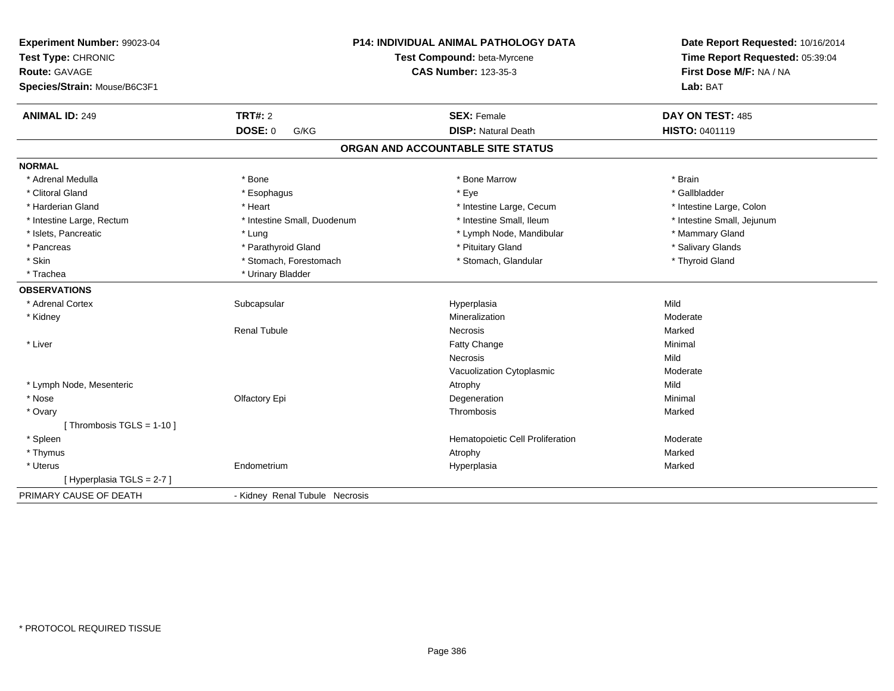| Experiment Number: 99023-04<br>Test Type: CHRONIC<br>Route: GAVAGE<br>Species/Strain: Mouse/B6C3F1 |                                | <b>P14: INDIVIDUAL ANIMAL PATHOLOGY DATA</b><br>Test Compound: beta-Myrcene<br><b>CAS Number: 123-35-3</b> | Date Report Requested: 10/16/2014<br>Time Report Requested: 05:39:04<br>First Dose M/F: NA / NA<br>Lab: BAT |
|----------------------------------------------------------------------------------------------------|--------------------------------|------------------------------------------------------------------------------------------------------------|-------------------------------------------------------------------------------------------------------------|
| <b>ANIMAL ID: 249</b>                                                                              | <b>TRT#: 2</b>                 | <b>SEX: Female</b>                                                                                         | DAY ON TEST: 485                                                                                            |
|                                                                                                    | DOSE: 0<br>G/KG                | <b>DISP: Natural Death</b>                                                                                 | HISTO: 0401119                                                                                              |
|                                                                                                    |                                | ORGAN AND ACCOUNTABLE SITE STATUS                                                                          |                                                                                                             |
| <b>NORMAL</b>                                                                                      |                                |                                                                                                            |                                                                                                             |
| * Adrenal Medulla                                                                                  | * Bone                         | * Bone Marrow                                                                                              | * Brain                                                                                                     |
| * Clitoral Gland                                                                                   | * Esophagus                    | * Eve                                                                                                      | * Gallbladder                                                                                               |
| * Harderian Gland                                                                                  | * Heart                        | * Intestine Large, Cecum                                                                                   | * Intestine Large, Colon                                                                                    |
| * Intestine Large, Rectum                                                                          | * Intestine Small, Duodenum    | * Intestine Small, Ileum                                                                                   | * Intestine Small, Jejunum                                                                                  |
| * Islets, Pancreatic                                                                               | * Lung                         | * Lymph Node, Mandibular                                                                                   | * Mammary Gland                                                                                             |
| * Pancreas                                                                                         | * Parathyroid Gland            | * Pituitary Gland                                                                                          | * Salivary Glands                                                                                           |
| * Skin                                                                                             | * Stomach, Forestomach         | * Stomach, Glandular                                                                                       | * Thyroid Gland                                                                                             |
| * Trachea                                                                                          | * Urinary Bladder              |                                                                                                            |                                                                                                             |
| <b>OBSERVATIONS</b>                                                                                |                                |                                                                                                            |                                                                                                             |
| * Adrenal Cortex                                                                                   | Subcapsular                    | Hyperplasia                                                                                                | Mild                                                                                                        |
| * Kidney                                                                                           |                                | Mineralization                                                                                             | Moderate                                                                                                    |
|                                                                                                    | <b>Renal Tubule</b>            | Necrosis                                                                                                   | Marked                                                                                                      |
| * Liver                                                                                            |                                | Fatty Change                                                                                               | Minimal                                                                                                     |
|                                                                                                    |                                | Necrosis                                                                                                   | Mild                                                                                                        |
|                                                                                                    |                                | Vacuolization Cytoplasmic                                                                                  | Moderate                                                                                                    |
| * Lymph Node, Mesenteric                                                                           |                                | Atrophy                                                                                                    | Mild                                                                                                        |
| * Nose                                                                                             | Olfactory Epi                  | Degeneration                                                                                               | Minimal                                                                                                     |
| * Ovary                                                                                            |                                | Thrombosis                                                                                                 | Marked                                                                                                      |
| [Thrombosis TGLS = 1-10]                                                                           |                                |                                                                                                            |                                                                                                             |
| * Spleen                                                                                           |                                | Hematopoietic Cell Proliferation                                                                           | Moderate                                                                                                    |
| * Thymus                                                                                           |                                | Atrophy                                                                                                    | Marked                                                                                                      |
| * Uterus                                                                                           | Endometrium                    | Hyperplasia                                                                                                | Marked                                                                                                      |
| [ Hyperplasia TGLS = 2-7 ]                                                                         |                                |                                                                                                            |                                                                                                             |
| PRIMARY CAUSE OF DEATH                                                                             | - Kidney Renal Tubule Necrosis |                                                                                                            |                                                                                                             |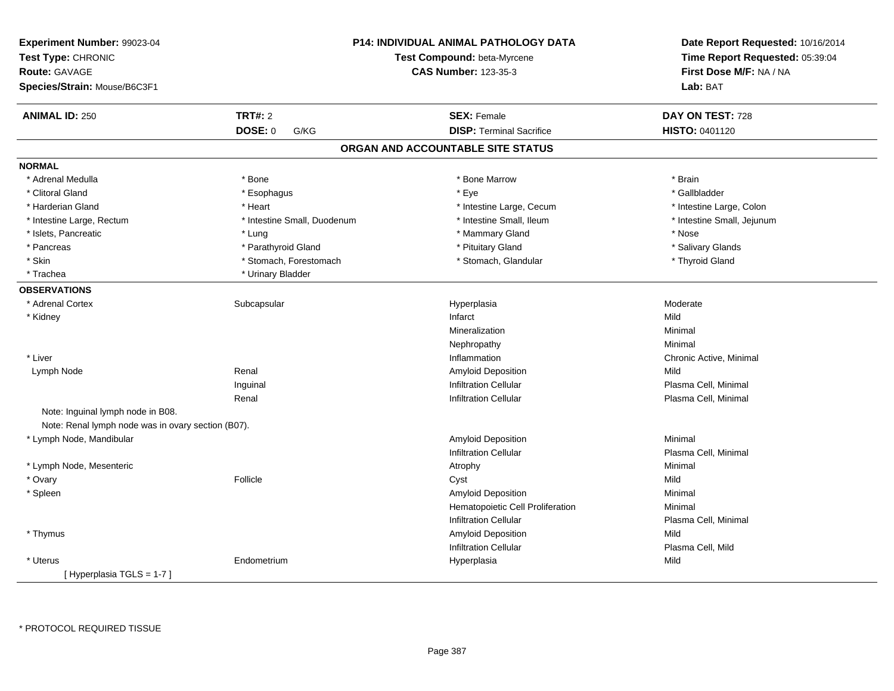| Experiment Number: 99023-04<br>Test Type: CHRONIC<br><b>Route: GAVAGE</b><br>Species/Strain: Mouse/B6C3F1 |                             | P14: INDIVIDUAL ANIMAL PATHOLOGY DATA<br>Test Compound: beta-Myrcene<br><b>CAS Number: 123-35-3</b> | Date Report Requested: 10/16/2014<br>Time Report Requested: 05:39:04<br>First Dose M/F: NA / NA<br>Lab: BAT |
|-----------------------------------------------------------------------------------------------------------|-----------------------------|-----------------------------------------------------------------------------------------------------|-------------------------------------------------------------------------------------------------------------|
|                                                                                                           |                             |                                                                                                     |                                                                                                             |
| <b>ANIMAL ID: 250</b>                                                                                     | <b>TRT#: 2</b>              | <b>SEX: Female</b>                                                                                  | DAY ON TEST: 728                                                                                            |
|                                                                                                           | DOSE: 0<br>G/KG             | <b>DISP: Terminal Sacrifice</b>                                                                     | HISTO: 0401120                                                                                              |
|                                                                                                           |                             | ORGAN AND ACCOUNTABLE SITE STATUS                                                                   |                                                                                                             |
| <b>NORMAL</b>                                                                                             |                             |                                                                                                     |                                                                                                             |
| * Adrenal Medulla                                                                                         | * Bone                      | * Bone Marrow                                                                                       | * Brain                                                                                                     |
| * Clitoral Gland                                                                                          | * Esophagus                 | * Eye                                                                                               | * Gallbladder                                                                                               |
| * Harderian Gland                                                                                         | * Heart                     | * Intestine Large, Cecum                                                                            | * Intestine Large, Colon                                                                                    |
| * Intestine Large, Rectum                                                                                 | * Intestine Small, Duodenum | * Intestine Small, Ileum                                                                            | * Intestine Small, Jejunum                                                                                  |
| * Islets, Pancreatic                                                                                      | * Lung                      | * Mammary Gland                                                                                     | * Nose                                                                                                      |
| * Pancreas                                                                                                | * Parathyroid Gland         | * Pituitary Gland                                                                                   | * Salivary Glands                                                                                           |
| * Skin                                                                                                    | * Stomach, Forestomach      | * Stomach, Glandular                                                                                | * Thyroid Gland                                                                                             |
| * Trachea                                                                                                 | * Urinary Bladder           |                                                                                                     |                                                                                                             |
| <b>OBSERVATIONS</b>                                                                                       |                             |                                                                                                     |                                                                                                             |
| * Adrenal Cortex                                                                                          | Subcapsular                 | Hyperplasia                                                                                         | Moderate                                                                                                    |
| * Kidney                                                                                                  |                             | Infarct                                                                                             | Mild                                                                                                        |
|                                                                                                           |                             | Mineralization                                                                                      | Minimal                                                                                                     |
|                                                                                                           |                             | Nephropathy                                                                                         | Minimal                                                                                                     |
| * Liver                                                                                                   |                             | Inflammation                                                                                        | Chronic Active, Minimal                                                                                     |
| Lymph Node                                                                                                | Renal                       | Amyloid Deposition                                                                                  | Mild                                                                                                        |
|                                                                                                           | Inguinal                    | <b>Infiltration Cellular</b>                                                                        | Plasma Cell, Minimal                                                                                        |
|                                                                                                           | Renal                       | <b>Infiltration Cellular</b>                                                                        | Plasma Cell, Minimal                                                                                        |
| Note: Inguinal lymph node in B08.                                                                         |                             |                                                                                                     |                                                                                                             |
| Note: Renal lymph node was in ovary section (B07).                                                        |                             |                                                                                                     |                                                                                                             |
| * Lymph Node, Mandibular                                                                                  |                             | <b>Amyloid Deposition</b>                                                                           | Minimal                                                                                                     |
|                                                                                                           |                             | <b>Infiltration Cellular</b>                                                                        | Plasma Cell, Minimal                                                                                        |
| * Lymph Node, Mesenteric                                                                                  |                             | Atrophy                                                                                             | Minimal                                                                                                     |
| * Ovary                                                                                                   | Follicle                    | Cyst                                                                                                | Mild                                                                                                        |
| * Spleen                                                                                                  |                             | Amyloid Deposition                                                                                  | Minimal                                                                                                     |
|                                                                                                           |                             | Hematopoietic Cell Proliferation                                                                    | Minimal                                                                                                     |
|                                                                                                           |                             | <b>Infiltration Cellular</b>                                                                        | Plasma Cell, Minimal                                                                                        |
| * Thymus                                                                                                  |                             | Amyloid Deposition                                                                                  | Mild                                                                                                        |
|                                                                                                           |                             | <b>Infiltration Cellular</b>                                                                        | Plasma Cell, Mild                                                                                           |
| * Uterus                                                                                                  | Endometrium                 | Hyperplasia                                                                                         | Mild                                                                                                        |
| [ Hyperplasia TGLS = 1-7 ]                                                                                |                             |                                                                                                     |                                                                                                             |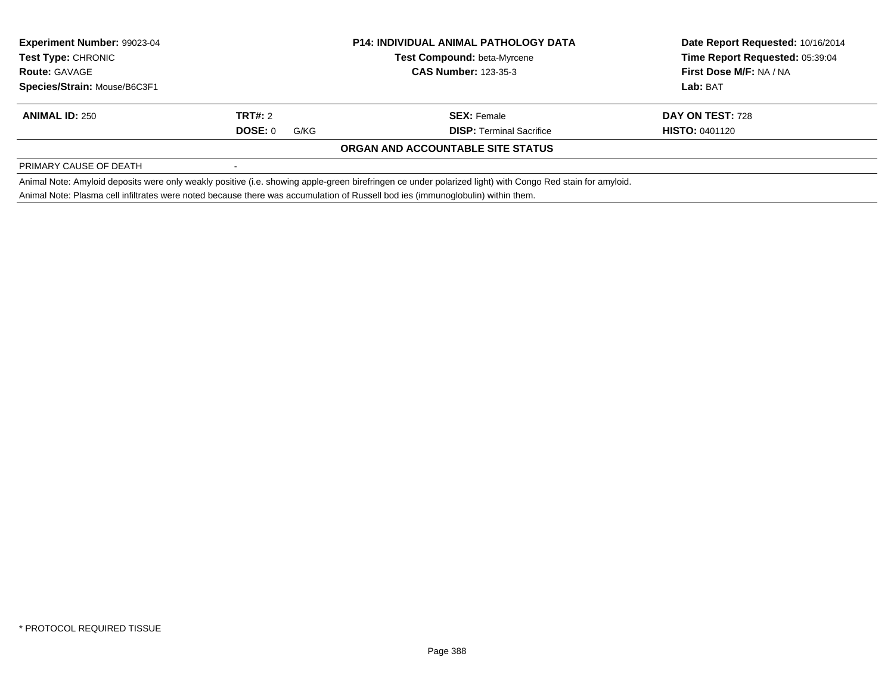| Experiment Number: 99023-04<br><b>Test Type: CHRONIC</b><br><b>Route: GAVAGE</b><br><b>Species/Strain: Mouse/B6C3F1</b> |                 | <b>P14: INDIVIDUAL ANIMAL PATHOLOGY DATA</b>                                                                                                              | Date Report Requested: 10/16/2014 |
|-------------------------------------------------------------------------------------------------------------------------|-----------------|-----------------------------------------------------------------------------------------------------------------------------------------------------------|-----------------------------------|
|                                                                                                                         |                 | <b>Test Compound: beta-Myrcene</b>                                                                                                                        | Time Report Requested: 05:39:04   |
|                                                                                                                         |                 | <b>CAS Number: 123-35-3</b>                                                                                                                               | First Dose M/F: NA / NA           |
|                                                                                                                         |                 |                                                                                                                                                           | Lab: BAT                          |
| <b>ANIMAL ID: 250</b>                                                                                                   | TRT#: 2         | <b>SEX: Female</b>                                                                                                                                        | <b>DAY ON TEST: 728</b>           |
|                                                                                                                         | DOSE: 0<br>G/KG | <b>DISP:</b> Terminal Sacrifice                                                                                                                           | <b>HISTO: 0401120</b>             |
|                                                                                                                         |                 | <b>ORGAN AND ACCOUNTABLE SITE STATUS</b>                                                                                                                  |                                   |
| PRIMARY CAUSE OF DEATH                                                                                                  |                 |                                                                                                                                                           |                                   |
|                                                                                                                         |                 | Animal Note: Amyloid deposits were only weakly positive (i.e. showing apple-green birefringen ce under polarized light) with Congo Red stain for amyloid. |                                   |
|                                                                                                                         |                 | Animal Note: Plasma cell infiltrates were noted because there was accumulation of Russell bod ies (immunoglobulin) within them.                           |                                   |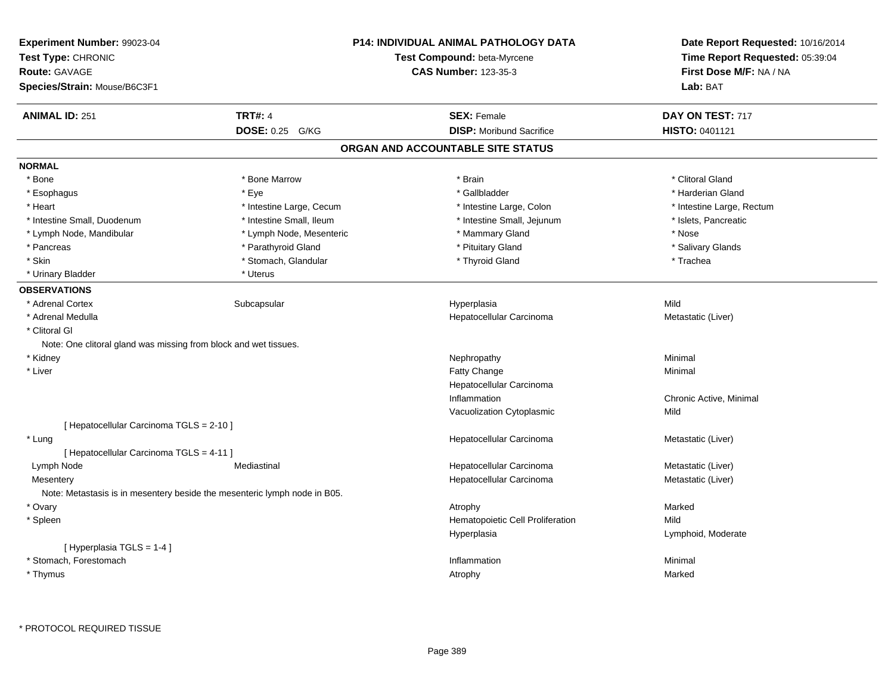| Experiment Number: 99023-04<br>Test Type: CHRONIC<br>Route: GAVAGE<br>Species/Strain: Mouse/B6C3F1 |                          | <b>P14: INDIVIDUAL ANIMAL PATHOLOGY DATA</b><br>Test Compound: beta-Myrcene<br><b>CAS Number: 123-35-3</b> | Date Report Requested: 10/16/2014<br>Time Report Requested: 05:39:04<br>First Dose M/F: NA / NA<br>Lab: BAT |
|----------------------------------------------------------------------------------------------------|--------------------------|------------------------------------------------------------------------------------------------------------|-------------------------------------------------------------------------------------------------------------|
| <b>ANIMAL ID: 251</b>                                                                              | <b>TRT#: 4</b>           | <b>SEX: Female</b>                                                                                         | DAY ON TEST: 717                                                                                            |
|                                                                                                    | DOSE: 0.25 G/KG          | <b>DISP:</b> Moribund Sacrifice                                                                            | HISTO: 0401121                                                                                              |
|                                                                                                    |                          | ORGAN AND ACCOUNTABLE SITE STATUS                                                                          |                                                                                                             |
| <b>NORMAL</b>                                                                                      |                          |                                                                                                            |                                                                                                             |
| * Bone                                                                                             | * Bone Marrow            | * Brain                                                                                                    | * Clitoral Gland                                                                                            |
| * Esophagus                                                                                        | * Eye                    | * Gallbladder                                                                                              | * Harderian Gland                                                                                           |
| * Heart                                                                                            | * Intestine Large, Cecum | * Intestine Large, Colon                                                                                   | * Intestine Large, Rectum                                                                                   |
| * Intestine Small, Duodenum                                                                        | * Intestine Small, Ileum | * Intestine Small, Jejunum                                                                                 | * Islets, Pancreatic                                                                                        |
| * Lymph Node, Mandibular                                                                           | * Lymph Node, Mesenteric | * Mammary Gland                                                                                            | * Nose                                                                                                      |
| * Pancreas                                                                                         | * Parathyroid Gland      | * Pituitary Gland                                                                                          | * Salivary Glands                                                                                           |
| * Skin                                                                                             | * Stomach, Glandular     | * Thyroid Gland                                                                                            | * Trachea                                                                                                   |
| * Urinary Bladder                                                                                  | * Uterus                 |                                                                                                            |                                                                                                             |
| <b>OBSERVATIONS</b>                                                                                |                          |                                                                                                            |                                                                                                             |
| * Adrenal Cortex                                                                                   | Subcapsular              | Hyperplasia                                                                                                | Mild                                                                                                        |
| * Adrenal Medulla                                                                                  |                          | Hepatocellular Carcinoma                                                                                   | Metastatic (Liver)                                                                                          |
| * Clitoral GI                                                                                      |                          |                                                                                                            |                                                                                                             |
| Note: One clitoral gland was missing from block and wet tissues.                                   |                          |                                                                                                            |                                                                                                             |
| * Kidney                                                                                           |                          | Nephropathy                                                                                                | Minimal                                                                                                     |
| * Liver                                                                                            |                          | Fatty Change                                                                                               | Minimal                                                                                                     |
|                                                                                                    |                          | Hepatocellular Carcinoma                                                                                   |                                                                                                             |
|                                                                                                    |                          | Inflammation                                                                                               | Chronic Active, Minimal                                                                                     |
|                                                                                                    |                          | Vacuolization Cytoplasmic                                                                                  | Mild                                                                                                        |
| [ Hepatocellular Carcinoma TGLS = 2-10 ]                                                           |                          |                                                                                                            |                                                                                                             |
| * Lung                                                                                             |                          | Hepatocellular Carcinoma                                                                                   | Metastatic (Liver)                                                                                          |
| [ Hepatocellular Carcinoma TGLS = 4-11 ]                                                           |                          |                                                                                                            |                                                                                                             |
| Lymph Node                                                                                         | Mediastinal              | Hepatocellular Carcinoma                                                                                   | Metastatic (Liver)                                                                                          |
| Mesentery                                                                                          |                          | Hepatocellular Carcinoma                                                                                   | Metastatic (Liver)                                                                                          |
| Note: Metastasis is in mesentery beside the mesenteric lymph node in B05.                          |                          |                                                                                                            |                                                                                                             |
| * Ovary                                                                                            |                          | Atrophy                                                                                                    | Marked                                                                                                      |
| * Spleen                                                                                           |                          | Hematopoietic Cell Proliferation                                                                           | Mild                                                                                                        |
|                                                                                                    |                          | Hyperplasia                                                                                                | Lymphoid, Moderate                                                                                          |
| [Hyperplasia TGLS = 1-4]                                                                           |                          |                                                                                                            |                                                                                                             |
| * Stomach, Forestomach                                                                             |                          | Inflammation                                                                                               | Minimal                                                                                                     |
| * Thymus                                                                                           |                          | Atrophy                                                                                                    | Marked                                                                                                      |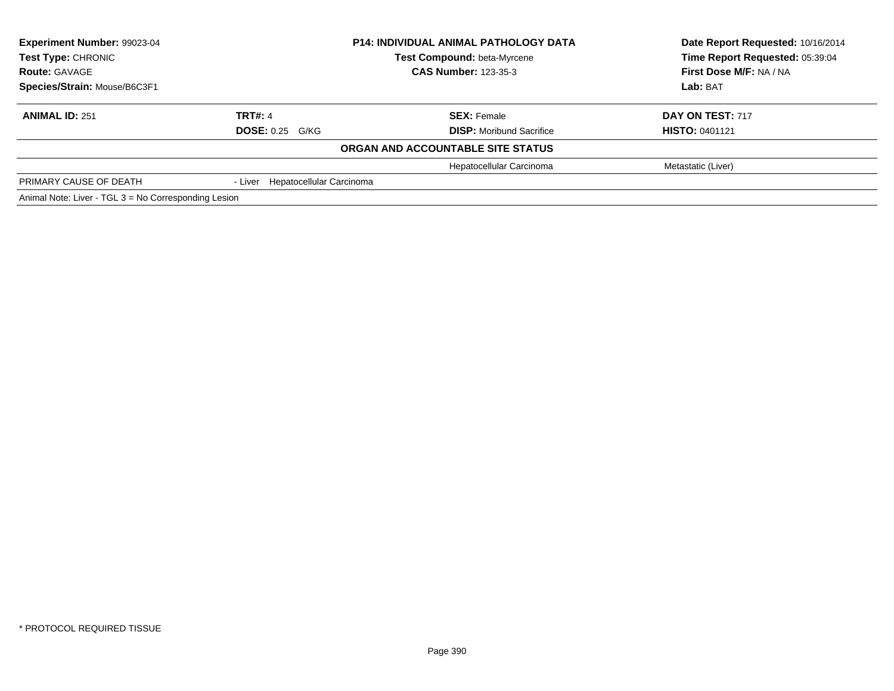| Experiment Number: 99023-04                          |                                  | <b>P14: INDIVIDUAL ANIMAL PATHOLOGY DATA</b> | Date Report Requested: 10/16/2014 |
|------------------------------------------------------|----------------------------------|----------------------------------------------|-----------------------------------|
| <b>Test Type: CHRONIC</b>                            |                                  | <b>Test Compound: beta-Myrcene</b>           | Time Report Requested: 05:39:04   |
| <b>Route: GAVAGE</b>                                 |                                  | <b>CAS Number: 123-35-3</b>                  | First Dose M/F: NA / NA           |
| Species/Strain: Mouse/B6C3F1                         |                                  |                                              | Lab: BAT                          |
| <b>ANIMAL ID: 251</b>                                | <b>TRT#: 4</b>                   | <b>SEX: Female</b>                           | DAY ON TEST: 717                  |
|                                                      | <b>DOSE: 0.25 G/KG</b>           | <b>DISP:</b> Moribund Sacrifice              | <b>HISTO: 0401121</b>             |
|                                                      |                                  | ORGAN AND ACCOUNTABLE SITE STATUS            |                                   |
|                                                      |                                  | Hepatocellular Carcinoma                     | Metastatic (Liver)                |
| PRIMARY CAUSE OF DEATH                               | - Liver Hepatocellular Carcinoma |                                              |                                   |
| Animal Note: Liver - TGL 3 = No Corresponding Lesion |                                  |                                              |                                   |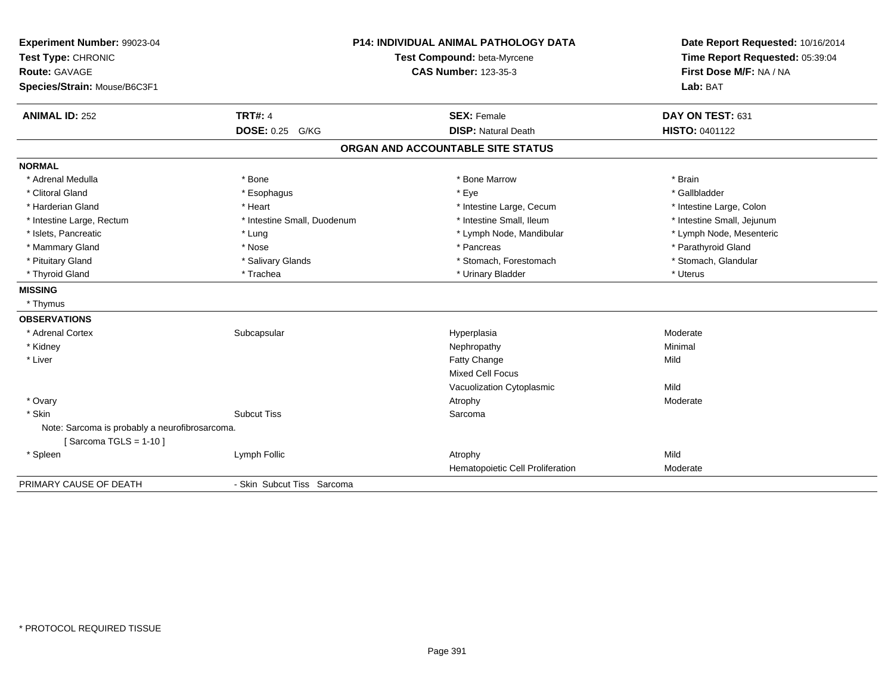| Experiment Number: 99023-04<br>Test Type: CHRONIC<br>Route: GAVAGE<br>Species/Strain: Mouse/B6C3F1 |                             | <b>P14: INDIVIDUAL ANIMAL PATHOLOGY DATA</b><br>Test Compound: beta-Myrcene<br><b>CAS Number: 123-35-3</b> | Date Report Requested: 10/16/2014<br>Time Report Requested: 05:39:04<br>First Dose M/F: NA / NA<br>Lab: BAT |
|----------------------------------------------------------------------------------------------------|-----------------------------|------------------------------------------------------------------------------------------------------------|-------------------------------------------------------------------------------------------------------------|
| <b>ANIMAL ID: 252</b>                                                                              | <b>TRT#: 4</b>              | <b>SEX: Female</b>                                                                                         | DAY ON TEST: 631                                                                                            |
|                                                                                                    | <b>DOSE: 0.25 G/KG</b>      | <b>DISP: Natural Death</b>                                                                                 | <b>HISTO: 0401122</b>                                                                                       |
|                                                                                                    |                             | ORGAN AND ACCOUNTABLE SITE STATUS                                                                          |                                                                                                             |
| <b>NORMAL</b>                                                                                      |                             |                                                                                                            |                                                                                                             |
| * Adrenal Medulla                                                                                  | * Bone                      | * Bone Marrow                                                                                              | * Brain                                                                                                     |
| * Clitoral Gland                                                                                   | * Esophagus                 | * Eye                                                                                                      | * Gallbladder                                                                                               |
| * Harderian Gland                                                                                  | * Heart                     | * Intestine Large, Cecum                                                                                   | * Intestine Large, Colon                                                                                    |
| * Intestine Large, Rectum                                                                          | * Intestine Small, Duodenum | * Intestine Small, Ileum                                                                                   | * Intestine Small, Jejunum                                                                                  |
| * Islets, Pancreatic                                                                               | * Lung                      | * Lymph Node, Mandibular                                                                                   | * Lymph Node, Mesenteric                                                                                    |
| * Mammary Gland                                                                                    | * Nose                      | * Pancreas                                                                                                 | * Parathyroid Gland                                                                                         |
| * Pituitary Gland                                                                                  | * Salivary Glands           | * Stomach, Forestomach                                                                                     | * Stomach, Glandular                                                                                        |
| * Thyroid Gland                                                                                    | * Trachea                   | * Urinary Bladder                                                                                          | * Uterus                                                                                                    |
| <b>MISSING</b>                                                                                     |                             |                                                                                                            |                                                                                                             |
| * Thymus                                                                                           |                             |                                                                                                            |                                                                                                             |
| <b>OBSERVATIONS</b>                                                                                |                             |                                                                                                            |                                                                                                             |
| * Adrenal Cortex                                                                                   | Subcapsular                 | Hyperplasia                                                                                                | Moderate                                                                                                    |
| * Kidney                                                                                           |                             | Nephropathy                                                                                                | Minimal                                                                                                     |
| * Liver                                                                                            |                             | Fatty Change                                                                                               | Mild                                                                                                        |
|                                                                                                    |                             | <b>Mixed Cell Focus</b>                                                                                    |                                                                                                             |
|                                                                                                    |                             | Vacuolization Cytoplasmic                                                                                  | Mild                                                                                                        |
| * Ovary                                                                                            |                             | Atrophy                                                                                                    | Moderate                                                                                                    |
| * Skin                                                                                             | <b>Subcut Tiss</b>          | Sarcoma                                                                                                    |                                                                                                             |
| Note: Sarcoma is probably a neurofibrosarcoma.<br>[Sarcoma TGLS = $1-10$ ]                         |                             |                                                                                                            |                                                                                                             |
| * Spleen                                                                                           | Lymph Follic                | Atrophy                                                                                                    | Mild                                                                                                        |
|                                                                                                    |                             | Hematopoietic Cell Proliferation                                                                           | Moderate                                                                                                    |
| PRIMARY CAUSE OF DEATH                                                                             | - Skin Subcut Tiss Sarcoma  |                                                                                                            |                                                                                                             |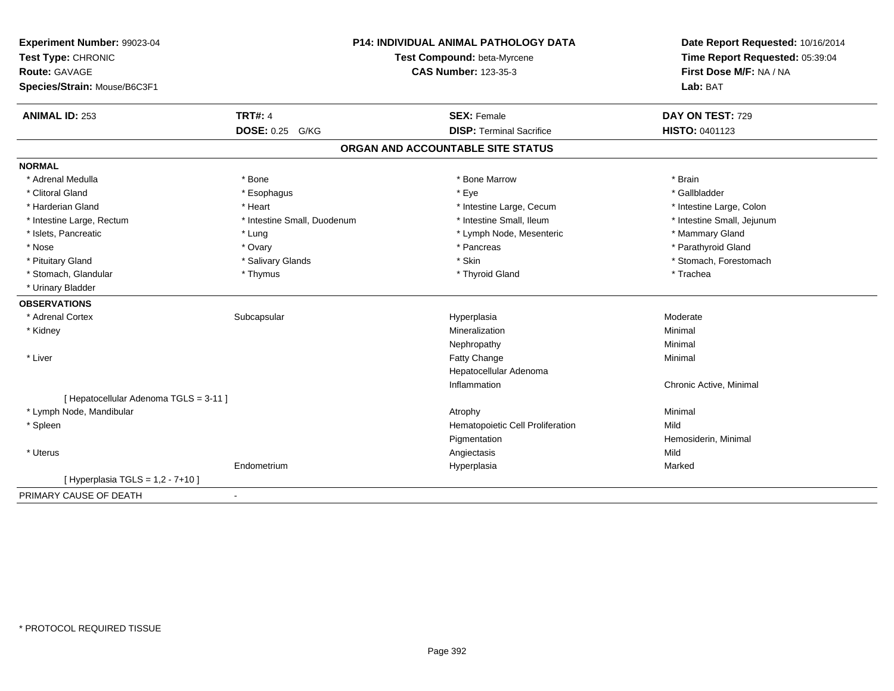| Experiment Number: 99023-04<br>Test Type: CHRONIC<br>Route: GAVAGE<br>Species/Strain: Mouse/B6C3F1 |                             | P14: INDIVIDUAL ANIMAL PATHOLOGY DATA<br>Test Compound: beta-Myrcene<br><b>CAS Number: 123-35-3</b> | Date Report Requested: 10/16/2014<br>Time Report Requested: 05:39:04<br>First Dose M/F: NA / NA<br>Lab: BAT |
|----------------------------------------------------------------------------------------------------|-----------------------------|-----------------------------------------------------------------------------------------------------|-------------------------------------------------------------------------------------------------------------|
| <b>ANIMAL ID: 253</b>                                                                              | <b>TRT#: 4</b>              | <b>SEX: Female</b>                                                                                  | DAY ON TEST: 729                                                                                            |
|                                                                                                    | <b>DOSE: 0.25 G/KG</b>      | <b>DISP: Terminal Sacrifice</b>                                                                     | HISTO: 0401123                                                                                              |
|                                                                                                    |                             | ORGAN AND ACCOUNTABLE SITE STATUS                                                                   |                                                                                                             |
| <b>NORMAL</b>                                                                                      |                             |                                                                                                     |                                                                                                             |
| * Adrenal Medulla                                                                                  | * Bone                      | * Bone Marrow                                                                                       | * Brain                                                                                                     |
| * Clitoral Gland                                                                                   | * Esophagus                 | * Eye                                                                                               | * Gallbladder                                                                                               |
| * Harderian Gland                                                                                  | * Heart                     | * Intestine Large, Cecum                                                                            | * Intestine Large, Colon                                                                                    |
| * Intestine Large, Rectum                                                                          | * Intestine Small, Duodenum | * Intestine Small, Ileum                                                                            | * Intestine Small, Jejunum                                                                                  |
| * Islets, Pancreatic                                                                               | * Lung                      | * Lymph Node, Mesenteric                                                                            | * Mammary Gland                                                                                             |
| * Nose                                                                                             | * Ovary                     | * Pancreas                                                                                          | * Parathyroid Gland                                                                                         |
| * Pituitary Gland                                                                                  | * Salivary Glands           | * Skin                                                                                              | * Stomach, Forestomach                                                                                      |
| * Stomach, Glandular                                                                               | * Thymus                    | * Thyroid Gland                                                                                     | * Trachea                                                                                                   |
| * Urinary Bladder                                                                                  |                             |                                                                                                     |                                                                                                             |
| <b>OBSERVATIONS</b>                                                                                |                             |                                                                                                     |                                                                                                             |
| * Adrenal Cortex                                                                                   | Subcapsular                 | Hyperplasia                                                                                         | Moderate                                                                                                    |
| * Kidney                                                                                           |                             | Mineralization                                                                                      | Minimal                                                                                                     |
|                                                                                                    |                             | Nephropathy                                                                                         | Minimal                                                                                                     |
| * Liver                                                                                            |                             | Fatty Change                                                                                        | Minimal                                                                                                     |
|                                                                                                    |                             | Hepatocellular Adenoma                                                                              |                                                                                                             |
|                                                                                                    |                             | Inflammation                                                                                        | Chronic Active, Minimal                                                                                     |
| [ Hepatocellular Adenoma TGLS = 3-11 ]                                                             |                             |                                                                                                     |                                                                                                             |
| * Lymph Node, Mandibular                                                                           |                             | Atrophy                                                                                             | Minimal                                                                                                     |
| * Spleen                                                                                           |                             | Hematopoietic Cell Proliferation                                                                    | Mild                                                                                                        |
|                                                                                                    |                             | Pigmentation                                                                                        | Hemosiderin, Minimal                                                                                        |
| * Uterus                                                                                           |                             | Angiectasis                                                                                         | Mild                                                                                                        |
|                                                                                                    | Endometrium                 | Hyperplasia                                                                                         | Marked                                                                                                      |
| [ Hyperplasia TGLS = $1,2 - 7+10$ ]                                                                |                             |                                                                                                     |                                                                                                             |
| PRIMARY CAUSE OF DEATH                                                                             | $\blacksquare$              |                                                                                                     |                                                                                                             |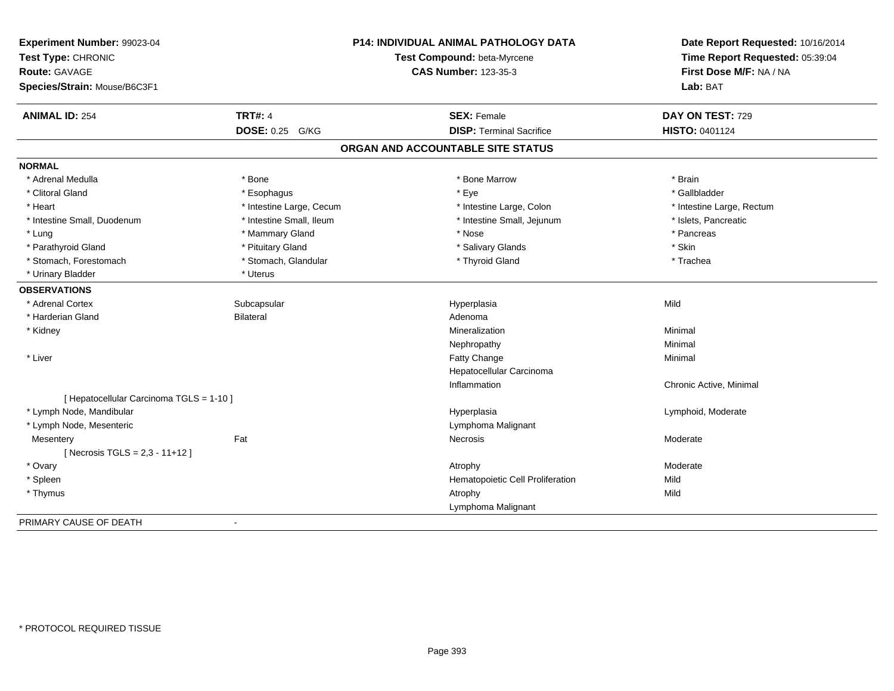| Experiment Number: 99023-04<br>Test Type: CHRONIC<br><b>Route: GAVAGE</b><br>Species/Strain: Mouse/B6C3F1 |                          | P14: INDIVIDUAL ANIMAL PATHOLOGY DATA<br>Test Compound: beta-Myrcene<br><b>CAS Number: 123-35-3</b> | Date Report Requested: 10/16/2014<br>Time Report Requested: 05:39:04<br>First Dose M/F: NA / NA<br>Lab: BAT |
|-----------------------------------------------------------------------------------------------------------|--------------------------|-----------------------------------------------------------------------------------------------------|-------------------------------------------------------------------------------------------------------------|
| <b>ANIMAL ID: 254</b>                                                                                     | <b>TRT#: 4</b>           | <b>SEX: Female</b>                                                                                  | DAY ON TEST: 729                                                                                            |
|                                                                                                           | <b>DOSE: 0.25 G/KG</b>   | <b>DISP: Terminal Sacrifice</b>                                                                     | HISTO: 0401124                                                                                              |
|                                                                                                           |                          | ORGAN AND ACCOUNTABLE SITE STATUS                                                                   |                                                                                                             |
| <b>NORMAL</b>                                                                                             |                          |                                                                                                     |                                                                                                             |
| * Adrenal Medulla                                                                                         | * Bone                   | * Bone Marrow                                                                                       | * Brain                                                                                                     |
| * Clitoral Gland                                                                                          | * Esophagus              | * Eye                                                                                               | * Gallbladder                                                                                               |
| * Heart                                                                                                   | * Intestine Large, Cecum | * Intestine Large, Colon                                                                            | * Intestine Large, Rectum                                                                                   |
| * Intestine Small, Duodenum                                                                               | * Intestine Small, Ileum | * Intestine Small, Jejunum                                                                          | * Islets, Pancreatic                                                                                        |
| * Lung                                                                                                    | * Mammary Gland          | * Nose                                                                                              | * Pancreas                                                                                                  |
| * Parathyroid Gland                                                                                       | * Pituitary Gland        | * Salivary Glands                                                                                   | * Skin                                                                                                      |
| * Stomach, Forestomach                                                                                    | * Stomach, Glandular     | * Thyroid Gland                                                                                     | * Trachea                                                                                                   |
| * Urinary Bladder                                                                                         | * Uterus                 |                                                                                                     |                                                                                                             |
| <b>OBSERVATIONS</b>                                                                                       |                          |                                                                                                     |                                                                                                             |
| * Adrenal Cortex                                                                                          | Subcapsular              | Hyperplasia                                                                                         | Mild                                                                                                        |
| * Harderian Gland                                                                                         | <b>Bilateral</b>         | Adenoma                                                                                             |                                                                                                             |
| * Kidney                                                                                                  |                          | Mineralization                                                                                      | Minimal                                                                                                     |
|                                                                                                           |                          | Nephropathy                                                                                         | Minimal                                                                                                     |
| * Liver                                                                                                   |                          | Fatty Change                                                                                        | Minimal                                                                                                     |
|                                                                                                           |                          | Hepatocellular Carcinoma                                                                            |                                                                                                             |
|                                                                                                           |                          | Inflammation                                                                                        | Chronic Active, Minimal                                                                                     |
| [ Hepatocellular Carcinoma TGLS = 1-10 ]                                                                  |                          |                                                                                                     |                                                                                                             |
| * Lymph Node, Mandibular                                                                                  |                          | Hyperplasia                                                                                         | Lymphoid, Moderate                                                                                          |
| * Lymph Node, Mesenteric                                                                                  |                          | Lymphoma Malignant                                                                                  |                                                                                                             |
| Mesentery                                                                                                 | Fat                      | Necrosis                                                                                            | Moderate                                                                                                    |
| [ Necrosis TGLS = $2,3 - 11 + 12$ ]                                                                       |                          |                                                                                                     |                                                                                                             |
| * Ovary                                                                                                   |                          | Atrophy                                                                                             | Moderate                                                                                                    |
| * Spleen                                                                                                  |                          | Hematopoietic Cell Proliferation                                                                    | Mild                                                                                                        |
| * Thymus                                                                                                  |                          | Atrophy                                                                                             | Mild                                                                                                        |
|                                                                                                           |                          | Lymphoma Malignant                                                                                  |                                                                                                             |
| PRIMARY CAUSE OF DEATH                                                                                    | $\blacksquare$           |                                                                                                     |                                                                                                             |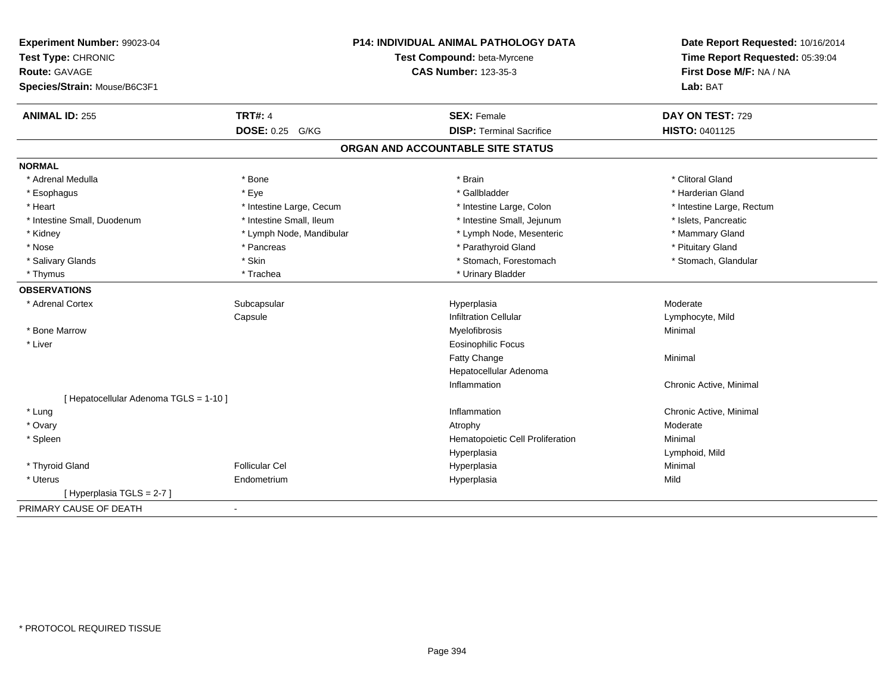| Experiment Number: 99023-04            |                          | <b>P14: INDIVIDUAL ANIMAL PATHOLOGY DATA</b> | Date Report Requested: 10/16/2014<br>Time Report Requested: 05:39:04 |
|----------------------------------------|--------------------------|----------------------------------------------|----------------------------------------------------------------------|
| Test Type: CHRONIC                     |                          | Test Compound: beta-Myrcene                  |                                                                      |
| Route: GAVAGE                          |                          | <b>CAS Number: 123-35-3</b>                  | First Dose M/F: NA / NA                                              |
| Species/Strain: Mouse/B6C3F1           |                          |                                              | Lab: BAT                                                             |
| <b>ANIMAL ID: 255</b>                  | <b>TRT#: 4</b>           | <b>SEX: Female</b>                           | DAY ON TEST: 729                                                     |
|                                        | DOSE: 0.25 G/KG          | <b>DISP: Terminal Sacrifice</b>              | HISTO: 0401125                                                       |
|                                        |                          | ORGAN AND ACCOUNTABLE SITE STATUS            |                                                                      |
| <b>NORMAL</b>                          |                          |                                              |                                                                      |
| * Adrenal Medulla                      | * Bone                   | * Brain                                      | * Clitoral Gland                                                     |
| * Esophagus                            | * Eye                    | * Gallbladder                                | * Harderian Gland                                                    |
| * Heart                                | * Intestine Large, Cecum | * Intestine Large, Colon                     | * Intestine Large, Rectum                                            |
| * Intestine Small, Duodenum            | * Intestine Small, Ileum | * Intestine Small, Jejunum                   | * Islets, Pancreatic                                                 |
| * Kidney                               | * Lymph Node, Mandibular | * Lymph Node, Mesenteric                     | * Mammary Gland                                                      |
| * Nose                                 | * Pancreas               | * Parathyroid Gland                          | * Pituitary Gland                                                    |
| * Salivary Glands                      | * Skin                   | * Stomach, Forestomach                       | * Stomach, Glandular                                                 |
| * Thymus                               | * Trachea                | * Urinary Bladder                            |                                                                      |
| <b>OBSERVATIONS</b>                    |                          |                                              |                                                                      |
| * Adrenal Cortex                       | Subcapsular              | Hyperplasia                                  | Moderate                                                             |
|                                        | Capsule                  | <b>Infiltration Cellular</b>                 | Lymphocyte, Mild                                                     |
| * Bone Marrow                          |                          | Myelofibrosis                                | Minimal                                                              |
| * Liver                                |                          | <b>Eosinophilic Focus</b>                    |                                                                      |
|                                        |                          | Fatty Change                                 | Minimal                                                              |
|                                        |                          | Hepatocellular Adenoma                       |                                                                      |
|                                        |                          | Inflammation                                 | Chronic Active, Minimal                                              |
| [ Hepatocellular Adenoma TGLS = 1-10 ] |                          |                                              |                                                                      |
| * Lung                                 |                          | Inflammation                                 | Chronic Active, Minimal                                              |
| * Ovary                                |                          | Atrophy                                      | Moderate                                                             |
| * Spleen                               |                          | Hematopoietic Cell Proliferation             | Minimal                                                              |
|                                        |                          | Hyperplasia                                  | Lymphoid, Mild                                                       |
| * Thyroid Gland                        | <b>Follicular Cel</b>    | Hyperplasia                                  | Minimal                                                              |
| * Uterus                               | Endometrium              | Hyperplasia                                  | Mild                                                                 |
| [Hyperplasia TGLS = 2-7]               |                          |                                              |                                                                      |
| PRIMARY CAUSE OF DEATH                 | $\blacksquare$           |                                              |                                                                      |
|                                        |                          |                                              |                                                                      |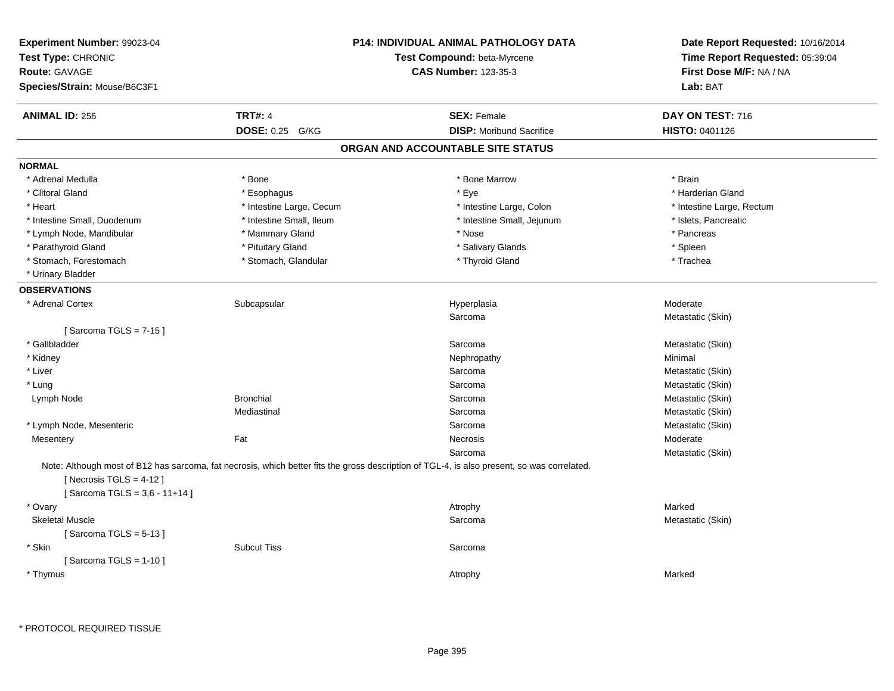| Experiment Number: 99023-04<br>Test Type: CHRONIC<br><b>Route: GAVAGE</b><br>Species/Strain: Mouse/B6C3F1 |                          | <b>P14: INDIVIDUAL ANIMAL PATHOLOGY DATA</b><br>Test Compound: beta-Myrcene<br><b>CAS Number: 123-35-3</b>                                  | Date Report Requested: 10/16/2014<br>Time Report Requested: 05:39:04<br>First Dose M/F: NA / NA<br>Lab: BAT |
|-----------------------------------------------------------------------------------------------------------|--------------------------|---------------------------------------------------------------------------------------------------------------------------------------------|-------------------------------------------------------------------------------------------------------------|
| <b>ANIMAL ID: 256</b>                                                                                     | <b>TRT#: 4</b>           | <b>SEX: Female</b>                                                                                                                          | DAY ON TEST: 716                                                                                            |
|                                                                                                           | DOSE: 0.25 G/KG          | <b>DISP:</b> Moribund Sacrifice                                                                                                             | HISTO: 0401126                                                                                              |
|                                                                                                           |                          | ORGAN AND ACCOUNTABLE SITE STATUS                                                                                                           |                                                                                                             |
| <b>NORMAL</b>                                                                                             |                          |                                                                                                                                             |                                                                                                             |
| * Adrenal Medulla                                                                                         | * Bone                   | * Bone Marrow                                                                                                                               | * Brain                                                                                                     |
| * Clitoral Gland                                                                                          | * Esophagus              | * Eye                                                                                                                                       | * Harderian Gland                                                                                           |
| * Heart                                                                                                   | * Intestine Large, Cecum | * Intestine Large, Colon                                                                                                                    | * Intestine Large, Rectum                                                                                   |
| * Intestine Small, Duodenum                                                                               | * Intestine Small, Ileum | * Intestine Small, Jejunum                                                                                                                  | * Islets, Pancreatic                                                                                        |
| * Lymph Node, Mandibular                                                                                  | * Mammary Gland          | * Nose                                                                                                                                      | * Pancreas                                                                                                  |
| * Parathyroid Gland                                                                                       | * Pituitary Gland        | * Salivary Glands                                                                                                                           | * Spleen                                                                                                    |
| * Stomach, Forestomach                                                                                    | * Stomach, Glandular     | * Thyroid Gland                                                                                                                             | * Trachea                                                                                                   |
| * Urinary Bladder                                                                                         |                          |                                                                                                                                             |                                                                                                             |
| <b>OBSERVATIONS</b>                                                                                       |                          |                                                                                                                                             |                                                                                                             |
| * Adrenal Cortex                                                                                          | Subcapsular              | Hyperplasia                                                                                                                                 | Moderate                                                                                                    |
|                                                                                                           |                          | Sarcoma                                                                                                                                     | Metastatic (Skin)                                                                                           |
| [Sarcoma TGLS = $7-15$ ]                                                                                  |                          |                                                                                                                                             |                                                                                                             |
| * Gallbladder                                                                                             |                          | Sarcoma                                                                                                                                     | Metastatic (Skin)                                                                                           |
| * Kidney                                                                                                  |                          | Nephropathy                                                                                                                                 | Minimal                                                                                                     |
| * Liver                                                                                                   |                          | Sarcoma                                                                                                                                     | Metastatic (Skin)                                                                                           |
| * Lung                                                                                                    |                          | Sarcoma                                                                                                                                     | Metastatic (Skin)                                                                                           |
| Lymph Node                                                                                                | <b>Bronchial</b>         | Sarcoma                                                                                                                                     | Metastatic (Skin)                                                                                           |
|                                                                                                           | Mediastinal              | Sarcoma                                                                                                                                     | Metastatic (Skin)                                                                                           |
| * Lymph Node, Mesenteric                                                                                  |                          | Sarcoma                                                                                                                                     | Metastatic (Skin)                                                                                           |
| Mesentery                                                                                                 | Fat                      | Necrosis                                                                                                                                    | Moderate                                                                                                    |
|                                                                                                           |                          | Sarcoma                                                                                                                                     | Metastatic (Skin)                                                                                           |
| [Necrosis $TGLS = 4-12$ ]<br>[Sarcoma TGLS = 3,6 - 11+14]                                                 |                          | Note: Although most of B12 has sarcoma, fat necrosis, which better fits the gross description of TGL-4, is also present, so was correlated. |                                                                                                             |
| * Ovary                                                                                                   |                          | Atrophy                                                                                                                                     | Marked                                                                                                      |
| <b>Skeletal Muscle</b>                                                                                    |                          | Sarcoma                                                                                                                                     | Metastatic (Skin)                                                                                           |
| [Sarcoma TGLS = $5-13$ ]                                                                                  |                          |                                                                                                                                             |                                                                                                             |
| * Skin                                                                                                    | <b>Subcut Tiss</b>       | Sarcoma                                                                                                                                     |                                                                                                             |
| [Sarcoma TGLS = $1-10$ ]                                                                                  |                          |                                                                                                                                             |                                                                                                             |
| * Thymus                                                                                                  |                          | Atrophy                                                                                                                                     | Marked                                                                                                      |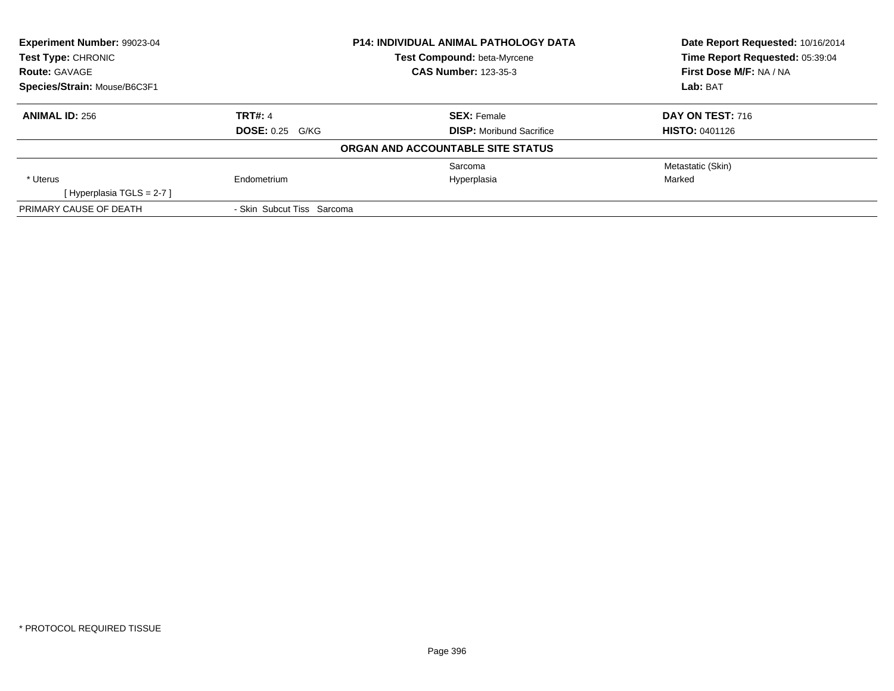| Experiment Number: 99023-04  |                             | <b>P14: INDIVIDUAL ANIMAL PATHOLOGY DATA</b> | Date Report Requested: 10/16/2014 |
|------------------------------|-----------------------------|----------------------------------------------|-----------------------------------|
| <b>Test Type: CHRONIC</b>    |                             | Test Compound: beta-Myrcene                  | Time Report Requested: 05:39:04   |
| <b>Route: GAVAGE</b>         | <b>CAS Number: 123-35-3</b> |                                              | First Dose M/F: NA / NA           |
| Species/Strain: Mouse/B6C3F1 |                             |                                              | Lab: BAT                          |
| <b>ANIMAL ID: 256</b>        | <b>TRT#: 4</b>              | <b>SEX: Female</b>                           | DAY ON TEST: 716                  |
|                              | <b>DOSE: 0.25 G/KG</b>      | <b>DISP:</b> Moribund Sacrifice              | <b>HISTO: 0401126</b>             |
|                              |                             | ORGAN AND ACCOUNTABLE SITE STATUS            |                                   |
|                              |                             | Sarcoma                                      | Metastatic (Skin)                 |
| * Uterus                     | Endometrium                 | Hyperplasia                                  | Marked                            |
| [Hyperplasia TGLS = 2-7]     |                             |                                              |                                   |
| PRIMARY CAUSE OF DEATH       | - Skin Subcut Tiss Sarcoma  |                                              |                                   |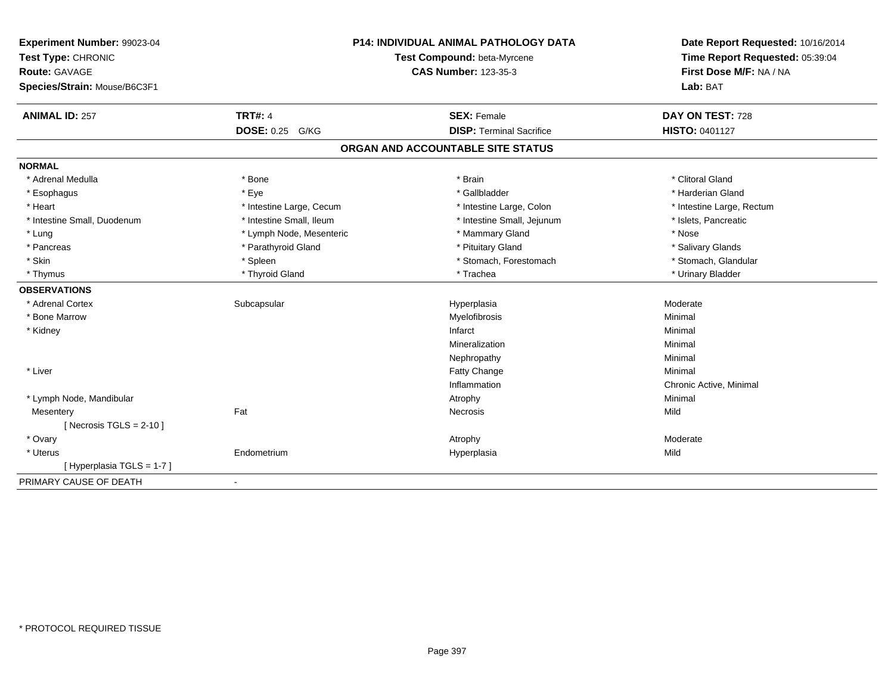| Experiment Number: 99023-04<br>Test Type: CHRONIC<br><b>Route: GAVAGE</b> |                          | <b>P14: INDIVIDUAL ANIMAL PATHOLOGY DATA</b><br>Test Compound: beta-Myrcene<br><b>CAS Number: 123-35-3</b> | Date Report Requested: 10/16/2014<br>Time Report Requested: 05:39:04<br>First Dose M/F: NA / NA |
|---------------------------------------------------------------------------|--------------------------|------------------------------------------------------------------------------------------------------------|-------------------------------------------------------------------------------------------------|
| Species/Strain: Mouse/B6C3F1                                              |                          |                                                                                                            | Lab: BAT                                                                                        |
| <b>ANIMAL ID: 257</b>                                                     | <b>TRT#: 4</b>           | <b>SEX: Female</b>                                                                                         | DAY ON TEST: 728                                                                                |
|                                                                           | <b>DOSE: 0.25 G/KG</b>   | <b>DISP: Terminal Sacrifice</b>                                                                            | HISTO: 0401127                                                                                  |
|                                                                           |                          | ORGAN AND ACCOUNTABLE SITE STATUS                                                                          |                                                                                                 |
| <b>NORMAL</b>                                                             |                          |                                                                                                            |                                                                                                 |
| * Adrenal Medulla                                                         | * Bone                   | * Brain                                                                                                    | * Clitoral Gland                                                                                |
| * Esophagus                                                               | * Eye                    | * Gallbladder                                                                                              | * Harderian Gland                                                                               |
| * Heart                                                                   | * Intestine Large, Cecum | * Intestine Large, Colon                                                                                   | * Intestine Large, Rectum                                                                       |
| * Intestine Small, Duodenum                                               | * Intestine Small, Ileum | * Intestine Small, Jejunum                                                                                 | * Islets, Pancreatic                                                                            |
| * Lung                                                                    | * Lymph Node, Mesenteric | * Mammary Gland                                                                                            | * Nose                                                                                          |
| * Pancreas                                                                | * Parathyroid Gland      | * Pituitary Gland                                                                                          | * Salivary Glands                                                                               |
| * Skin                                                                    | * Spleen                 | * Stomach, Forestomach                                                                                     | * Stomach, Glandular                                                                            |
| * Thymus                                                                  | * Thyroid Gland          | * Trachea                                                                                                  | * Urinary Bladder                                                                               |
| <b>OBSERVATIONS</b>                                                       |                          |                                                                                                            |                                                                                                 |
| * Adrenal Cortex                                                          | Subcapsular              | Hyperplasia                                                                                                | Moderate                                                                                        |
| * Bone Marrow                                                             |                          | Myelofibrosis                                                                                              | Minimal                                                                                         |
| * Kidney                                                                  |                          | Infarct                                                                                                    | Minimal                                                                                         |
|                                                                           |                          | Mineralization                                                                                             | Minimal                                                                                         |
|                                                                           |                          | Nephropathy                                                                                                | Minimal                                                                                         |
| * Liver                                                                   |                          | Fatty Change                                                                                               | Minimal                                                                                         |
|                                                                           |                          | Inflammation                                                                                               | Chronic Active, Minimal                                                                         |
| * Lymph Node, Mandibular                                                  |                          | Atrophy                                                                                                    | Minimal                                                                                         |
| Mesentery                                                                 | Fat                      | Necrosis                                                                                                   | Mild                                                                                            |
| [Necrosis TGLS = $2-10$ ]                                                 |                          |                                                                                                            |                                                                                                 |
| * Ovary                                                                   |                          | Atrophy                                                                                                    | Moderate                                                                                        |
| * Uterus                                                                  | Endometrium              | Hyperplasia                                                                                                | Mild                                                                                            |
| [Hyperplasia TGLS = 1-7]                                                  |                          |                                                                                                            |                                                                                                 |
| PRIMARY CAUSE OF DEATH                                                    | $\blacksquare$           |                                                                                                            |                                                                                                 |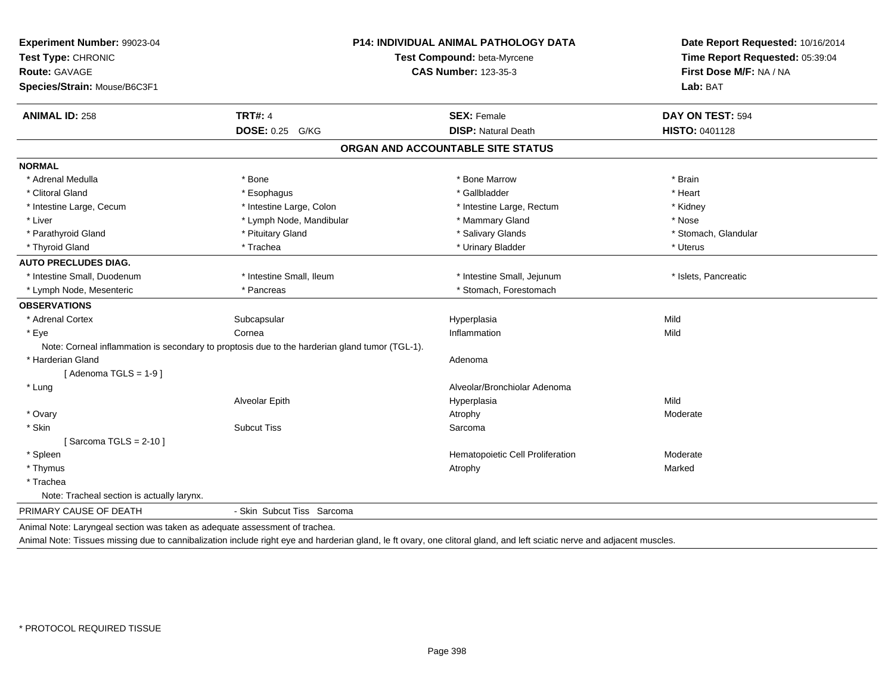| Experiment Number: 99023-04<br>Test Type: CHRONIC                           |                                                                                                | P14: INDIVIDUAL ANIMAL PATHOLOGY DATA<br>Test Compound: beta-Myrcene | Date Report Requested: 10/16/2014<br>Time Report Requested: 05:39:04 |
|-----------------------------------------------------------------------------|------------------------------------------------------------------------------------------------|----------------------------------------------------------------------|----------------------------------------------------------------------|
| <b>Route: GAVAGE</b>                                                        |                                                                                                | <b>CAS Number: 123-35-3</b>                                          | First Dose M/F: NA / NA                                              |
| Species/Strain: Mouse/B6C3F1                                                |                                                                                                |                                                                      | Lab: BAT                                                             |
| <b>ANIMAL ID: 258</b>                                                       | <b>TRT#: 4</b>                                                                                 | <b>SEX: Female</b>                                                   | DAY ON TEST: 594                                                     |
|                                                                             | DOSE: 0.25 G/KG                                                                                | <b>DISP: Natural Death</b>                                           | HISTO: 0401128                                                       |
|                                                                             |                                                                                                | ORGAN AND ACCOUNTABLE SITE STATUS                                    |                                                                      |
| <b>NORMAL</b>                                                               |                                                                                                |                                                                      |                                                                      |
| * Adrenal Medulla                                                           | * Bone                                                                                         | * Bone Marrow                                                        | * Brain                                                              |
| * Clitoral Gland                                                            | * Esophagus                                                                                    | * Gallbladder                                                        | * Heart                                                              |
| * Intestine Large, Cecum                                                    | * Intestine Large, Colon                                                                       | * Intestine Large, Rectum                                            | * Kidney                                                             |
| * Liver                                                                     | * Lymph Node, Mandibular                                                                       | * Mammary Gland                                                      | * Nose                                                               |
| * Parathyroid Gland                                                         | * Pituitary Gland                                                                              | * Salivary Glands                                                    | * Stomach, Glandular                                                 |
| * Thyroid Gland                                                             | * Trachea                                                                                      | * Urinary Bladder                                                    | * Uterus                                                             |
| <b>AUTO PRECLUDES DIAG.</b>                                                 |                                                                                                |                                                                      |                                                                      |
| * Intestine Small, Duodenum                                                 | * Intestine Small, Ileum                                                                       | * Intestine Small, Jejunum                                           | * Islets, Pancreatic                                                 |
| * Lymph Node, Mesenteric                                                    | * Pancreas                                                                                     | * Stomach, Forestomach                                               |                                                                      |
| <b>OBSERVATIONS</b>                                                         |                                                                                                |                                                                      |                                                                      |
| * Adrenal Cortex                                                            | Subcapsular                                                                                    | Hyperplasia                                                          | Mild                                                                 |
| * Eye                                                                       | Cornea                                                                                         | Inflammation                                                         | Mild                                                                 |
|                                                                             | Note: Corneal inflammation is secondary to proptosis due to the harderian gland tumor (TGL-1). |                                                                      |                                                                      |
| * Harderian Gland                                                           |                                                                                                | Adenoma                                                              |                                                                      |
| [Adenoma TGLS = $1-9$ ]                                                     |                                                                                                |                                                                      |                                                                      |
| * Lung                                                                      |                                                                                                | Alveolar/Bronchiolar Adenoma                                         |                                                                      |
|                                                                             | Alveolar Epith                                                                                 | Hyperplasia                                                          | Mild                                                                 |
| * Ovary                                                                     |                                                                                                | Atrophy                                                              | Moderate                                                             |
| * Skin                                                                      | <b>Subcut Tiss</b>                                                                             | Sarcoma                                                              |                                                                      |
| [Sarcoma TGLS = $2-10$ ]                                                    |                                                                                                |                                                                      |                                                                      |
| * Spleen                                                                    |                                                                                                | Hematopoietic Cell Proliferation                                     | Moderate                                                             |
| * Thymus                                                                    |                                                                                                | Atrophy                                                              | Marked                                                               |
| * Trachea                                                                   |                                                                                                |                                                                      |                                                                      |
| Note: Tracheal section is actually larynx.                                  |                                                                                                |                                                                      |                                                                      |
| PRIMARY CAUSE OF DEATH                                                      | - Skin Subcut Tiss Sarcoma                                                                     |                                                                      |                                                                      |
| Animal Note: Laryngeal section was taken as adequate assessment of trachea. |                                                                                                |                                                                      |                                                                      |

Animal Note: Tissues missing due to cannibalization include right eye and harderian gland, le ft ovary, one clitoral gland, and left sciatic nerve and adjacent muscles.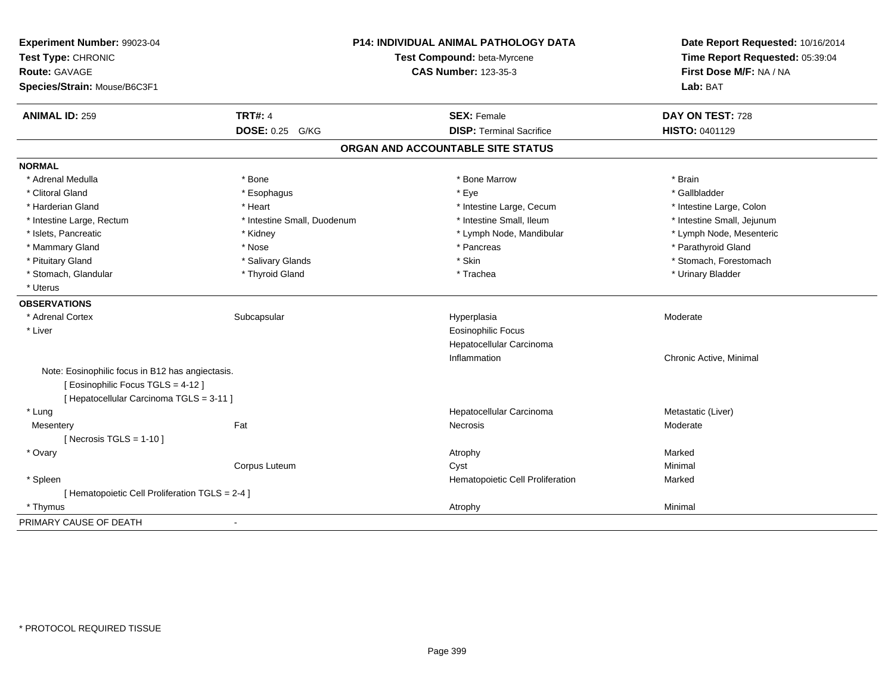| Experiment Number: 99023-04<br>Test Type: CHRONIC<br>Route: GAVAGE<br>Species/Strain: Mouse/B6C3F1                               |                             | P14: INDIVIDUAL ANIMAL PATHOLOGY DATA<br>Test Compound: beta-Myrcene<br><b>CAS Number: 123-35-3</b> | Date Report Requested: 10/16/2014<br>Time Report Requested: 05:39:04<br>First Dose M/F: NA / NA<br>Lab: BAT |
|----------------------------------------------------------------------------------------------------------------------------------|-----------------------------|-----------------------------------------------------------------------------------------------------|-------------------------------------------------------------------------------------------------------------|
| <b>ANIMAL ID: 259</b>                                                                                                            | <b>TRT#: 4</b>              | <b>SEX: Female</b>                                                                                  | DAY ON TEST: 728                                                                                            |
|                                                                                                                                  | DOSE: 0.25 G/KG             | <b>DISP: Terminal Sacrifice</b>                                                                     | HISTO: 0401129                                                                                              |
|                                                                                                                                  |                             | ORGAN AND ACCOUNTABLE SITE STATUS                                                                   |                                                                                                             |
| <b>NORMAL</b>                                                                                                                    |                             |                                                                                                     |                                                                                                             |
| * Adrenal Medulla                                                                                                                | * Bone                      | * Bone Marrow                                                                                       | * Brain                                                                                                     |
| * Clitoral Gland                                                                                                                 | * Esophagus                 | * Eye                                                                                               | * Gallbladder                                                                                               |
| * Harderian Gland                                                                                                                | * Heart                     | * Intestine Large, Cecum                                                                            | * Intestine Large, Colon                                                                                    |
| * Intestine Large, Rectum                                                                                                        | * Intestine Small, Duodenum | * Intestine Small, Ileum                                                                            | * Intestine Small, Jejunum                                                                                  |
| * Islets, Pancreatic                                                                                                             | * Kidney                    | * Lymph Node, Mandibular                                                                            | * Lymph Node, Mesenteric                                                                                    |
| * Mammary Gland                                                                                                                  | * Nose                      | * Pancreas                                                                                          | * Parathyroid Gland                                                                                         |
| * Pituitary Gland                                                                                                                | * Salivary Glands           | * Skin                                                                                              | * Stomach, Forestomach                                                                                      |
| * Stomach, Glandular                                                                                                             | * Thyroid Gland             | * Trachea                                                                                           | * Urinary Bladder                                                                                           |
| * Uterus                                                                                                                         |                             |                                                                                                     |                                                                                                             |
| <b>OBSERVATIONS</b>                                                                                                              |                             |                                                                                                     |                                                                                                             |
| * Adrenal Cortex                                                                                                                 | Subcapsular                 | Hyperplasia                                                                                         | Moderate                                                                                                    |
| * Liver                                                                                                                          |                             | <b>Eosinophilic Focus</b>                                                                           |                                                                                                             |
|                                                                                                                                  |                             | Hepatocellular Carcinoma                                                                            |                                                                                                             |
|                                                                                                                                  |                             | Inflammation                                                                                        | Chronic Active, Minimal                                                                                     |
| Note: Eosinophilic focus in B12 has angiectasis.<br>[Eosinophilic Focus TGLS = 4-12]<br>[ Hepatocellular Carcinoma TGLS = 3-11 ] |                             |                                                                                                     |                                                                                                             |
| * Lung                                                                                                                           |                             | Hepatocellular Carcinoma                                                                            | Metastatic (Liver)                                                                                          |
| Mesentery                                                                                                                        | Fat                         | Necrosis                                                                                            | Moderate                                                                                                    |
| [ Necrosis TGLS = $1-10$ ]                                                                                                       |                             |                                                                                                     |                                                                                                             |
| * Ovary                                                                                                                          |                             | Atrophy                                                                                             | Marked                                                                                                      |
|                                                                                                                                  | Corpus Luteum               | Cyst                                                                                                | Minimal                                                                                                     |
| * Spleen                                                                                                                         |                             | Hematopoietic Cell Proliferation                                                                    | Marked                                                                                                      |
| [ Hematopoietic Cell Proliferation TGLS = 2-4 ]                                                                                  |                             |                                                                                                     |                                                                                                             |
| * Thymus                                                                                                                         |                             | Atrophy                                                                                             | Minimal                                                                                                     |
| PRIMARY CAUSE OF DEATH                                                                                                           | $\blacksquare$              |                                                                                                     |                                                                                                             |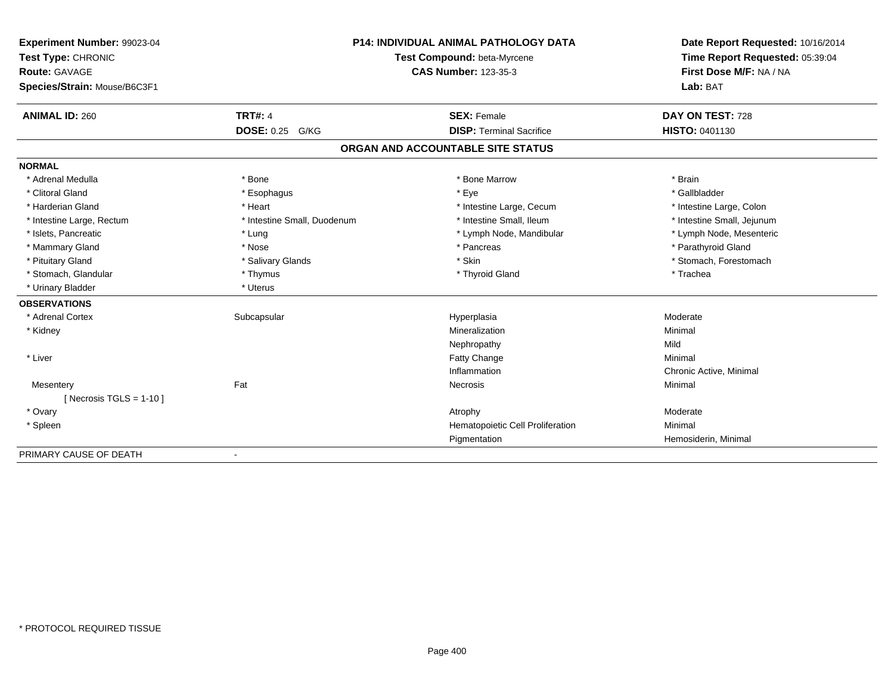| Experiment Number: 99023-04  |                             | <b>P14: INDIVIDUAL ANIMAL PATHOLOGY DATA</b> | Date Report Requested: 10/16/2014 |
|------------------------------|-----------------------------|----------------------------------------------|-----------------------------------|
| Test Type: CHRONIC           |                             | Test Compound: beta-Myrcene                  | Time Report Requested: 05:39:04   |
| Route: GAVAGE                |                             | <b>CAS Number: 123-35-3</b>                  | First Dose M/F: NA / NA           |
| Species/Strain: Mouse/B6C3F1 |                             |                                              | Lab: BAT                          |
| <b>ANIMAL ID: 260</b>        | <b>TRT#: 4</b>              | <b>SEX: Female</b>                           | DAY ON TEST: 728                  |
|                              | <b>DOSE: 0.25 G/KG</b>      | <b>DISP: Terminal Sacrifice</b>              | <b>HISTO: 0401130</b>             |
|                              |                             | ORGAN AND ACCOUNTABLE SITE STATUS            |                                   |
| <b>NORMAL</b>                |                             |                                              |                                   |
| * Adrenal Medulla            | * Bone                      | * Bone Marrow                                | * Brain                           |
| * Clitoral Gland             | * Esophagus                 | * Eye                                        | * Gallbladder                     |
| * Harderian Gland            | * Heart                     | * Intestine Large, Cecum                     | * Intestine Large, Colon          |
| * Intestine Large, Rectum    | * Intestine Small, Duodenum | * Intestine Small, Ileum                     | * Intestine Small, Jejunum        |
| * Islets, Pancreatic         | * Lung                      | * Lymph Node, Mandibular                     | * Lymph Node, Mesenteric          |
| * Mammary Gland              | * Nose                      | * Pancreas                                   | * Parathyroid Gland               |
| * Pituitary Gland            | * Salivary Glands           | * Skin                                       | * Stomach, Forestomach            |
| * Stomach, Glandular         | * Thymus                    | * Thyroid Gland                              | * Trachea                         |
| * Urinary Bladder            | * Uterus                    |                                              |                                   |
| <b>OBSERVATIONS</b>          |                             |                                              |                                   |
| * Adrenal Cortex             | Subcapsular                 | Hyperplasia                                  | Moderate                          |
| * Kidney                     |                             | Mineralization                               | Minimal                           |
|                              |                             | Nephropathy                                  | Mild                              |
| * Liver                      |                             | Fatty Change                                 | Minimal                           |
|                              |                             | Inflammation                                 | Chronic Active, Minimal           |
| Mesentery                    | Fat                         | Necrosis                                     | Minimal                           |
| [ Necrosis $TGLS = 1-10$ ]   |                             |                                              |                                   |
| * Ovary                      |                             | Atrophy                                      | Moderate                          |
| * Spleen                     |                             | Hematopoietic Cell Proliferation             | Minimal                           |
|                              |                             | Pigmentation                                 | Hemosiderin, Minimal              |
| PRIMARY CAUSE OF DEATH       |                             |                                              |                                   |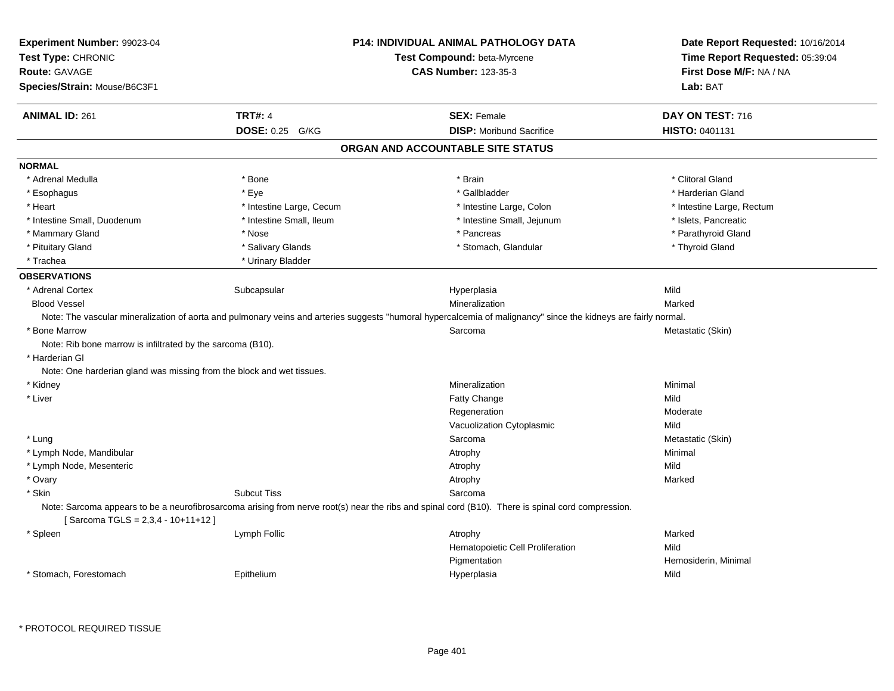| Experiment Number: 99023-04<br>Test Type: CHRONIC                     |                          | <b>P14: INDIVIDUAL ANIMAL PATHOLOGY DATA</b>                                                                                                                    | Date Report Requested: 10/16/2014 |
|-----------------------------------------------------------------------|--------------------------|-----------------------------------------------------------------------------------------------------------------------------------------------------------------|-----------------------------------|
|                                                                       |                          | Test Compound: beta-Myrcene                                                                                                                                     | Time Report Requested: 05:39:04   |
| <b>Route: GAVAGE</b>                                                  |                          | <b>CAS Number: 123-35-3</b>                                                                                                                                     | First Dose M/F: NA / NA           |
| Species/Strain: Mouse/B6C3F1                                          |                          |                                                                                                                                                                 | Lab: BAT                          |
| <b>ANIMAL ID: 261</b>                                                 | <b>TRT#: 4</b>           | <b>SEX: Female</b>                                                                                                                                              | DAY ON TEST: 716                  |
|                                                                       | DOSE: 0.25 G/KG          | <b>DISP:</b> Moribund Sacrifice                                                                                                                                 | HISTO: 0401131                    |
|                                                                       |                          | ORGAN AND ACCOUNTABLE SITE STATUS                                                                                                                               |                                   |
| <b>NORMAL</b>                                                         |                          |                                                                                                                                                                 |                                   |
| * Adrenal Medulla                                                     | * Bone                   | * Brain                                                                                                                                                         | * Clitoral Gland                  |
| * Esophagus                                                           | * Eye                    | * Gallbladder                                                                                                                                                   | * Harderian Gland                 |
| * Heart                                                               | * Intestine Large, Cecum | * Intestine Large, Colon                                                                                                                                        | * Intestine Large, Rectum         |
| * Intestine Small, Duodenum                                           | * Intestine Small, Ileum | * Intestine Small, Jejunum                                                                                                                                      | * Islets, Pancreatic              |
| * Mammary Gland                                                       | * Nose                   | * Pancreas                                                                                                                                                      | * Parathyroid Gland               |
| * Pituitary Gland                                                     | * Salivary Glands        | * Stomach, Glandular                                                                                                                                            | * Thyroid Gland                   |
| * Trachea                                                             | * Urinary Bladder        |                                                                                                                                                                 |                                   |
| <b>OBSERVATIONS</b>                                                   |                          |                                                                                                                                                                 |                                   |
| * Adrenal Cortex                                                      | Subcapsular              | Hyperplasia                                                                                                                                                     | Mild                              |
| <b>Blood Vessel</b>                                                   |                          | Mineralization                                                                                                                                                  | Marked                            |
|                                                                       |                          | Note: The vascular mineralization of aorta and pulmonary veins and arteries suggests "humoral hypercalcemia of malignancy" since the kidneys are fairly normal. |                                   |
| * Bone Marrow                                                         |                          | Sarcoma                                                                                                                                                         | Metastatic (Skin)                 |
| Note: Rib bone marrow is infiltrated by the sarcoma (B10).            |                          |                                                                                                                                                                 |                                   |
| * Harderian GI                                                        |                          |                                                                                                                                                                 |                                   |
| Note: One harderian gland was missing from the block and wet tissues. |                          |                                                                                                                                                                 |                                   |
| * Kidney                                                              |                          | Mineralization                                                                                                                                                  | Minimal                           |
| * Liver                                                               |                          | Fatty Change                                                                                                                                                    | Mild                              |
|                                                                       |                          | Regeneration                                                                                                                                                    | Moderate                          |
|                                                                       |                          | Vacuolization Cytoplasmic                                                                                                                                       | Mild                              |
| * Lung                                                                |                          | Sarcoma                                                                                                                                                         | Metastatic (Skin)                 |
| * Lymph Node, Mandibular                                              |                          | Atrophy                                                                                                                                                         | Minimal                           |
| * Lymph Node, Mesenteric                                              |                          | Atrophy                                                                                                                                                         | Mild                              |
| * Ovary                                                               |                          | Atrophy                                                                                                                                                         | Marked                            |
| * Skin                                                                | <b>Subcut Tiss</b>       | Sarcoma                                                                                                                                                         |                                   |
|                                                                       |                          | Note: Sarcoma appears to be a neurofibrosarcoma arising from nerve root(s) near the ribs and spinal cord (B10). There is spinal cord compression.               |                                   |
| [Sarcoma TGLS = $2,3,4 - 10+11+12$ ]                                  |                          |                                                                                                                                                                 |                                   |
| * Spleen                                                              | Lymph Follic             | Atrophy                                                                                                                                                         | Marked                            |
|                                                                       |                          | Hematopoietic Cell Proliferation                                                                                                                                | Mild                              |
|                                                                       |                          | Pigmentation                                                                                                                                                    | Hemosiderin, Minimal              |
| * Stomach, Forestomach                                                | Epithelium               | Hyperplasia                                                                                                                                                     | Mild                              |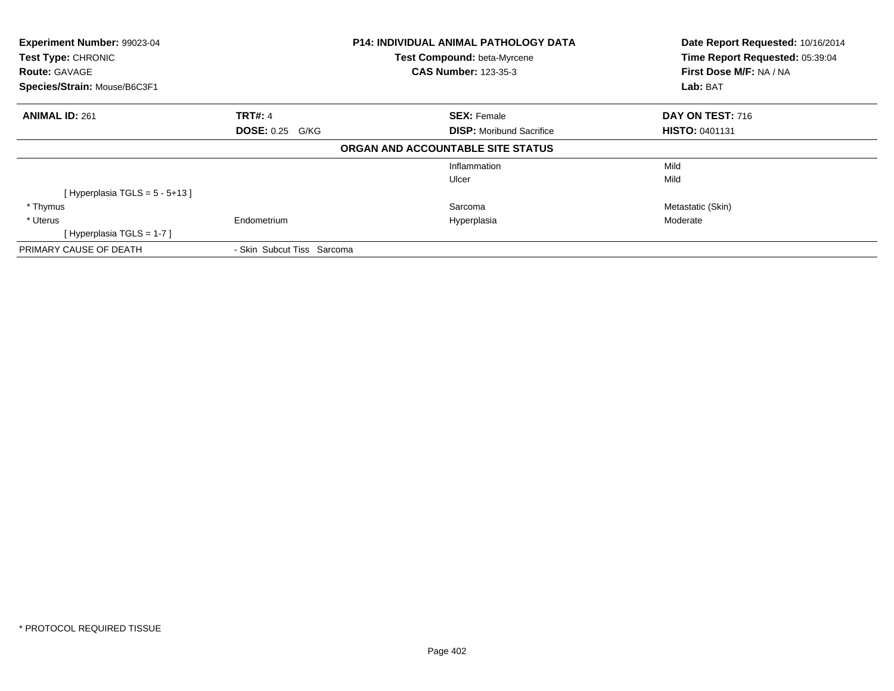| <b>Experiment Number: 99023-04</b><br>Test Type: CHRONIC<br><b>Route: GAVAGE</b> |                            | <b>P14: INDIVIDUAL ANIMAL PATHOLOGY DATA</b>               | Date Report Requested: 10/16/2014<br>Time Report Requested: 05:39:04<br>First Dose M/F: NA / NA |  |
|----------------------------------------------------------------------------------|----------------------------|------------------------------------------------------------|-------------------------------------------------------------------------------------------------|--|
|                                                                                  |                            | Test Compound: beta-Myrcene<br><b>CAS Number: 123-35-3</b> |                                                                                                 |  |
| Species/Strain: Mouse/B6C3F1                                                     |                            |                                                            | Lab: BAT                                                                                        |  |
| <b>ANIMAL ID: 261</b>                                                            | <b>TRT#: 4</b>             | <b>SEX: Female</b>                                         | DAY ON TEST: 716                                                                                |  |
|                                                                                  | <b>DOSE: 0.25 G/KG</b>     | <b>DISP:</b> Moribund Sacrifice                            | <b>HISTO: 0401131</b>                                                                           |  |
|                                                                                  |                            | ORGAN AND ACCOUNTABLE SITE STATUS                          |                                                                                                 |  |
|                                                                                  |                            | Inflammation                                               | Mild                                                                                            |  |
|                                                                                  |                            | Ulcer                                                      | Mild                                                                                            |  |
| [Hyperplasia TGLS = $5 - 5 + 13$ ]                                               |                            |                                                            |                                                                                                 |  |
| * Thymus                                                                         |                            | Sarcoma                                                    | Metastatic (Skin)                                                                               |  |
| * Uterus                                                                         | Endometrium                | Hyperplasia                                                | Moderate                                                                                        |  |
| [Hyperplasia TGLS = $1-7$ ]                                                      |                            |                                                            |                                                                                                 |  |
| PRIMARY CAUSE OF DEATH                                                           | - Skin Subcut Tiss Sarcoma |                                                            |                                                                                                 |  |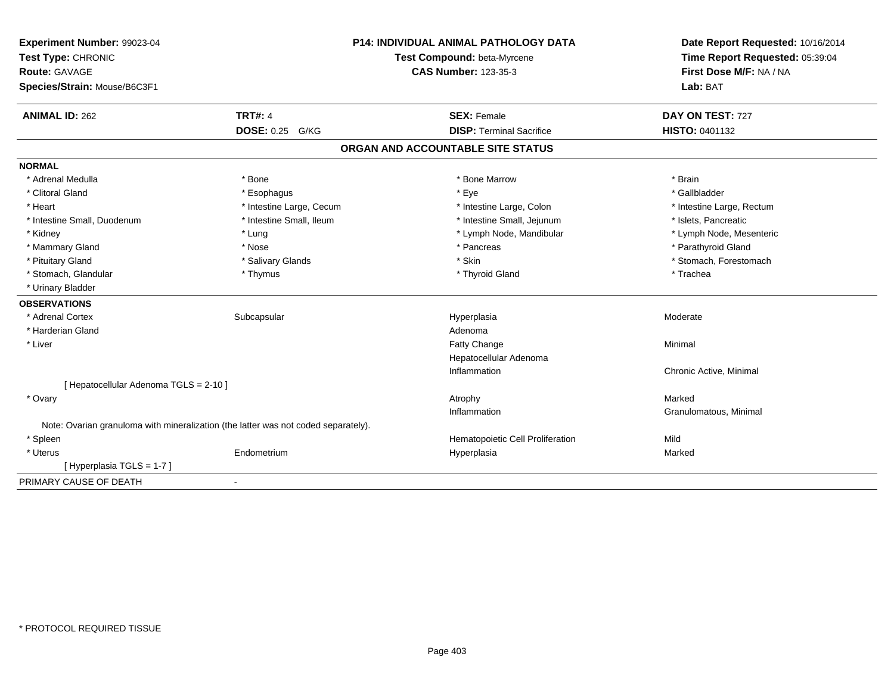| Experiment Number: 99023-04<br>Test Type: CHRONIC<br><b>Route: GAVAGE</b><br>Species/Strain: Mouse/B6C3F1 |                                                                                    | <b>P14: INDIVIDUAL ANIMAL PATHOLOGY DATA</b><br>Test Compound: beta-Myrcene<br><b>CAS Number: 123-35-3</b> | Date Report Requested: 10/16/2014<br>Time Report Requested: 05:39:04<br>First Dose M/F: NA / NA<br>Lab: BAT |
|-----------------------------------------------------------------------------------------------------------|------------------------------------------------------------------------------------|------------------------------------------------------------------------------------------------------------|-------------------------------------------------------------------------------------------------------------|
| <b>ANIMAL ID: 262</b>                                                                                     | <b>TRT#: 4</b>                                                                     | <b>SEX: Female</b>                                                                                         | DAY ON TEST: 727                                                                                            |
|                                                                                                           | DOSE: 0.25 G/KG                                                                    | <b>DISP: Terminal Sacrifice</b>                                                                            | HISTO: 0401132                                                                                              |
|                                                                                                           |                                                                                    | ORGAN AND ACCOUNTABLE SITE STATUS                                                                          |                                                                                                             |
| <b>NORMAL</b>                                                                                             |                                                                                    |                                                                                                            |                                                                                                             |
| * Adrenal Medulla                                                                                         | * Bone                                                                             | * Bone Marrow                                                                                              | * Brain                                                                                                     |
| * Clitoral Gland                                                                                          | * Esophagus                                                                        | * Eye                                                                                                      | * Gallbladder                                                                                               |
| * Heart                                                                                                   | * Intestine Large, Cecum                                                           | * Intestine Large, Colon                                                                                   | * Intestine Large, Rectum                                                                                   |
| * Intestine Small, Duodenum                                                                               | * Intestine Small, Ileum                                                           | * Intestine Small, Jejunum                                                                                 | * Islets, Pancreatic                                                                                        |
| * Kidney                                                                                                  | * Lung                                                                             | * Lymph Node, Mandibular                                                                                   | * Lymph Node, Mesenteric                                                                                    |
| * Mammary Gland                                                                                           | * Nose                                                                             | * Pancreas                                                                                                 | * Parathyroid Gland                                                                                         |
| * Pituitary Gland                                                                                         | * Salivary Glands                                                                  | * Skin                                                                                                     | * Stomach, Forestomach                                                                                      |
| * Stomach, Glandular                                                                                      | * Thymus                                                                           | * Thyroid Gland                                                                                            | * Trachea                                                                                                   |
| * Urinary Bladder                                                                                         |                                                                                    |                                                                                                            |                                                                                                             |
| <b>OBSERVATIONS</b>                                                                                       |                                                                                    |                                                                                                            |                                                                                                             |
| * Adrenal Cortex                                                                                          | Subcapsular                                                                        | Hyperplasia                                                                                                | Moderate                                                                                                    |
| * Harderian Gland                                                                                         |                                                                                    | Adenoma                                                                                                    |                                                                                                             |
| * Liver                                                                                                   |                                                                                    | <b>Fatty Change</b>                                                                                        | Minimal                                                                                                     |
|                                                                                                           |                                                                                    | Hepatocellular Adenoma                                                                                     |                                                                                                             |
|                                                                                                           |                                                                                    | Inflammation                                                                                               | Chronic Active, Minimal                                                                                     |
| [ Hepatocellular Adenoma TGLS = 2-10 ]                                                                    |                                                                                    |                                                                                                            |                                                                                                             |
| * Ovary                                                                                                   |                                                                                    | Atrophy                                                                                                    | Marked                                                                                                      |
|                                                                                                           |                                                                                    | Inflammation                                                                                               | Granulomatous, Minimal                                                                                      |
|                                                                                                           | Note: Ovarian granuloma with mineralization (the latter was not coded separately). |                                                                                                            |                                                                                                             |
| * Spleen                                                                                                  |                                                                                    | Hematopoietic Cell Proliferation                                                                           | Mild                                                                                                        |
| * Uterus                                                                                                  | Endometrium                                                                        | Hyperplasia                                                                                                | Marked                                                                                                      |
| [ Hyperplasia TGLS = 1-7 ]                                                                                |                                                                                    |                                                                                                            |                                                                                                             |
| PRIMARY CAUSE OF DEATH                                                                                    | $\blacksquare$                                                                     |                                                                                                            |                                                                                                             |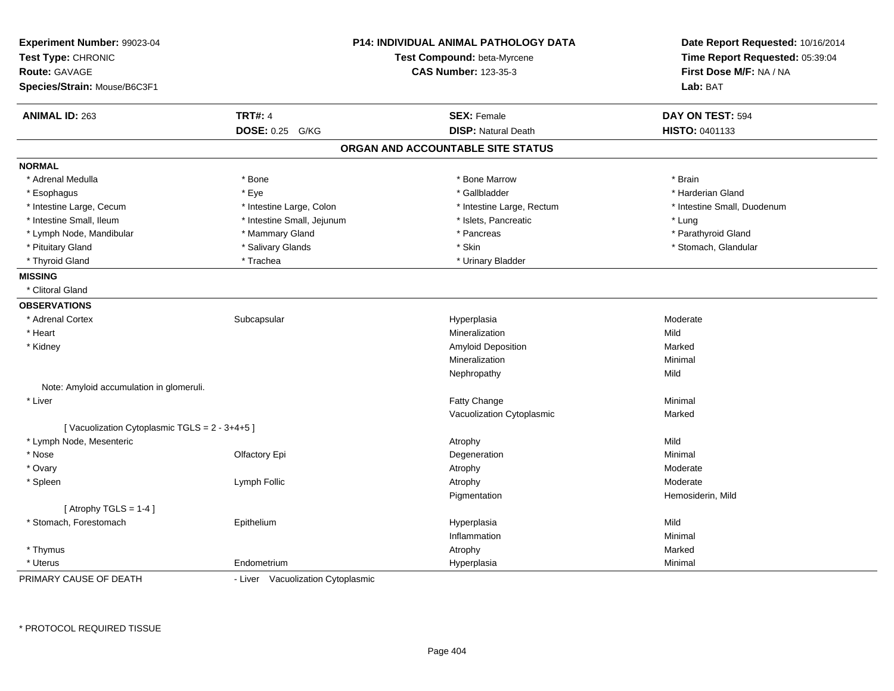| Experiment Number: 99023-04<br>Test Type: CHRONIC<br><b>Route: GAVAGE</b> |                                   | <b>P14: INDIVIDUAL ANIMAL PATHOLOGY DATA</b><br>Test Compound: beta-Myrcene<br><b>CAS Number: 123-35-3</b> | Date Report Requested: 10/16/2014<br>Time Report Requested: 05:39:04<br>First Dose M/F: NA / NA |
|---------------------------------------------------------------------------|-----------------------------------|------------------------------------------------------------------------------------------------------------|-------------------------------------------------------------------------------------------------|
| Species/Strain: Mouse/B6C3F1                                              |                                   |                                                                                                            | Lab: BAT                                                                                        |
| <b>ANIMAL ID: 263</b>                                                     | <b>TRT#: 4</b>                    | <b>SEX: Female</b>                                                                                         | DAY ON TEST: 594                                                                                |
|                                                                           | DOSE: 0.25 G/KG                   | <b>DISP: Natural Death</b>                                                                                 | HISTO: 0401133                                                                                  |
|                                                                           |                                   | ORGAN AND ACCOUNTABLE SITE STATUS                                                                          |                                                                                                 |
| <b>NORMAL</b>                                                             |                                   |                                                                                                            |                                                                                                 |
| * Adrenal Medulla                                                         | * Bone                            | * Bone Marrow                                                                                              | * Brain                                                                                         |
| * Esophagus                                                               | * Eye                             | * Gallbladder                                                                                              | * Harderian Gland                                                                               |
| * Intestine Large, Cecum                                                  | * Intestine Large, Colon          | * Intestine Large, Rectum                                                                                  | * Intestine Small, Duodenum                                                                     |
| * Intestine Small, Ileum                                                  | * Intestine Small, Jejunum        | * Islets, Pancreatic                                                                                       | * Lung                                                                                          |
| * Lymph Node, Mandibular                                                  | * Mammary Gland                   | * Pancreas                                                                                                 | * Parathyroid Gland                                                                             |
| * Pituitary Gland                                                         | * Salivary Glands                 | * Skin                                                                                                     | * Stomach, Glandular                                                                            |
| * Thyroid Gland                                                           | * Trachea                         | * Urinary Bladder                                                                                          |                                                                                                 |
| <b>MISSING</b>                                                            |                                   |                                                                                                            |                                                                                                 |
| * Clitoral Gland                                                          |                                   |                                                                                                            |                                                                                                 |
| <b>OBSERVATIONS</b>                                                       |                                   |                                                                                                            |                                                                                                 |
| * Adrenal Cortex                                                          | Subcapsular                       | Hyperplasia                                                                                                | Moderate                                                                                        |
| * Heart                                                                   |                                   | Mineralization                                                                                             | Mild                                                                                            |
| * Kidney                                                                  |                                   | <b>Amyloid Deposition</b>                                                                                  | Marked                                                                                          |
|                                                                           |                                   | Mineralization                                                                                             | Minimal                                                                                         |
|                                                                           |                                   | Nephropathy                                                                                                | Mild                                                                                            |
| Note: Amyloid accumulation in glomeruli.                                  |                                   |                                                                                                            |                                                                                                 |
| * Liver                                                                   |                                   | Fatty Change                                                                                               | Minimal                                                                                         |
|                                                                           |                                   | Vacuolization Cytoplasmic                                                                                  | Marked                                                                                          |
| [Vacuolization Cytoplasmic TGLS = 2 - 3+4+5]                              |                                   |                                                                                                            |                                                                                                 |
| * Lymph Node, Mesenteric                                                  |                                   | Atrophy                                                                                                    | Mild                                                                                            |
| * Nose                                                                    | Olfactory Epi                     | Degeneration                                                                                               | Minimal                                                                                         |
| * Ovary                                                                   |                                   | Atrophy                                                                                                    | Moderate                                                                                        |
| * Spleen                                                                  | Lymph Follic                      | Atrophy                                                                                                    | Moderate                                                                                        |
|                                                                           |                                   | Pigmentation                                                                                               | Hemosiderin, Mild                                                                               |
| [Atrophy TGLS = $1-4$ ]                                                   |                                   |                                                                                                            |                                                                                                 |
| * Stomach, Forestomach                                                    | Epithelium                        | Hyperplasia                                                                                                | Mild                                                                                            |
|                                                                           |                                   | Inflammation                                                                                               | Minimal                                                                                         |
| * Thymus                                                                  |                                   | Atrophy                                                                                                    | Marked                                                                                          |
| * Uterus                                                                  | Endometrium                       | Hyperplasia                                                                                                | Minimal                                                                                         |
| PRIMARY CAUSE OF DEATH                                                    | - Liver Vacuolization Cytoplasmic |                                                                                                            |                                                                                                 |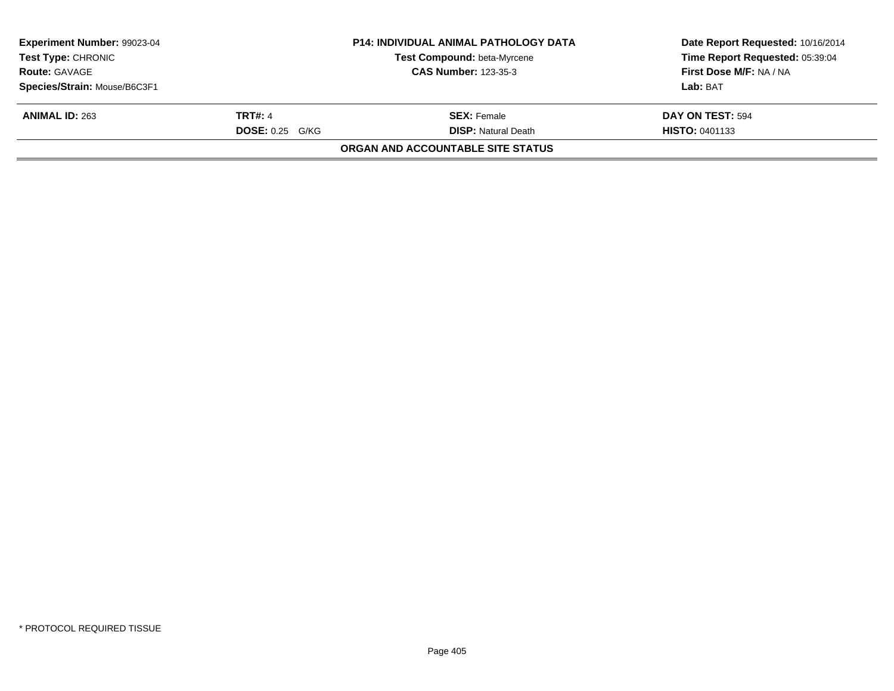| Experiment Number: 99023-04<br><b>Test Type: CHRONIC</b> |                   | <b>P14: INDIVIDUAL ANIMAL PATHOLOGY DATA</b><br>Test Compound: beta-Myrcene | Date Report Requested: 10/16/2014<br>Time Report Requested: 05:39:04 |
|----------------------------------------------------------|-------------------|-----------------------------------------------------------------------------|----------------------------------------------------------------------|
| <b>Route: GAVAGE</b>                                     |                   | <b>CAS Number: 123-35-3</b>                                                 | First Dose M/F: NA / NA                                              |
| Species/Strain: Mouse/B6C3F1                             |                   |                                                                             | Lab: BAT                                                             |
| <b>ANIMAL ID: 263</b>                                    | <b>TRT#: 4</b>    | <b>SEX:</b> Female                                                          | DAY ON TEST: 594                                                     |
|                                                          | $DOSE: 0.25$ G/KG | <b>DISP:</b> Natural Death                                                  | <b>HISTO: 0401133</b>                                                |
|                                                          |                   | <b>ORGAN AND ACCOUNTABLE SITE STATUS</b>                                    |                                                                      |
|                                                          |                   |                                                                             |                                                                      |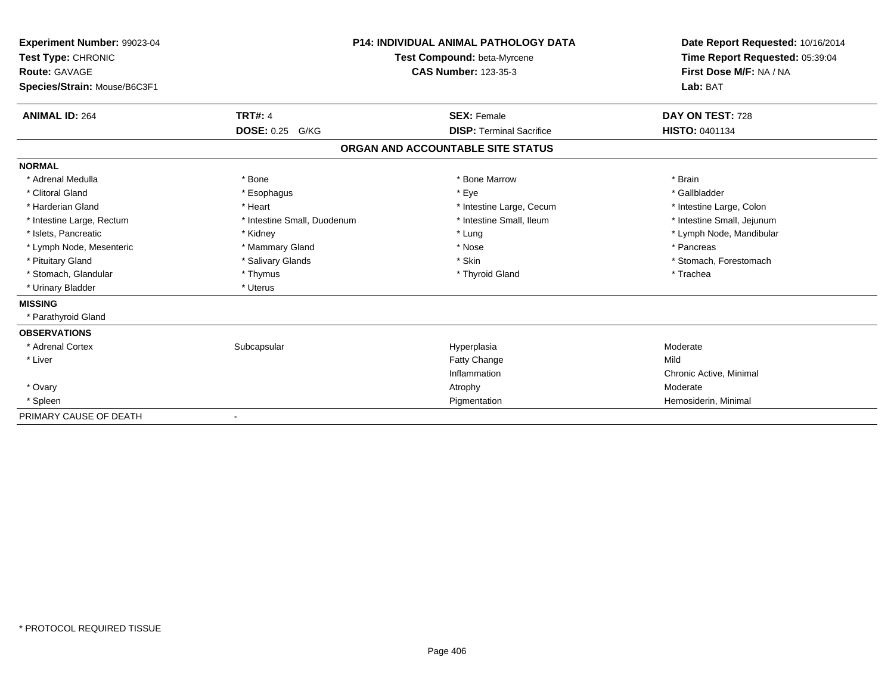| Experiment Number: 99023-04<br>Test Type: CHRONIC<br>Route: GAVAGE<br>Species/Strain: Mouse/B6C3F1 |                             | <b>P14: INDIVIDUAL ANIMAL PATHOLOGY DATA</b><br>Test Compound: beta-Myrcene<br><b>CAS Number: 123-35-3</b> | Date Report Requested: 10/16/2014<br>Time Report Requested: 05:39:04<br>First Dose M/F: NA / NA<br>Lab: BAT |
|----------------------------------------------------------------------------------------------------|-----------------------------|------------------------------------------------------------------------------------------------------------|-------------------------------------------------------------------------------------------------------------|
| <b>ANIMAL ID: 264</b>                                                                              | <b>TRT#: 4</b>              | <b>SEX: Female</b>                                                                                         | DAY ON TEST: 728                                                                                            |
|                                                                                                    | <b>DOSE: 0.25</b><br>G/KG   | <b>DISP: Terminal Sacrifice</b>                                                                            | <b>HISTO: 0401134</b>                                                                                       |
|                                                                                                    |                             | ORGAN AND ACCOUNTABLE SITE STATUS                                                                          |                                                                                                             |
| <b>NORMAL</b>                                                                                      |                             |                                                                                                            |                                                                                                             |
| * Adrenal Medulla                                                                                  | * Bone                      | * Bone Marrow                                                                                              | * Brain                                                                                                     |
| * Clitoral Gland                                                                                   | * Esophagus                 | * Eye                                                                                                      | * Gallbladder                                                                                               |
| * Harderian Gland                                                                                  | * Heart                     | * Intestine Large, Cecum                                                                                   | * Intestine Large, Colon                                                                                    |
| * Intestine Large, Rectum                                                                          | * Intestine Small, Duodenum | * Intestine Small. Ileum                                                                                   | * Intestine Small, Jejunum                                                                                  |
| * Islets, Pancreatic                                                                               | * Kidney                    | * Lung                                                                                                     | * Lymph Node, Mandibular                                                                                    |
| * Lymph Node, Mesenteric                                                                           | * Mammary Gland             | * Nose                                                                                                     | * Pancreas                                                                                                  |
| * Pituitary Gland                                                                                  | * Salivary Glands           | * Skin                                                                                                     | * Stomach, Forestomach                                                                                      |
| * Stomach, Glandular                                                                               | * Thymus                    | * Thyroid Gland                                                                                            | * Trachea                                                                                                   |
| * Urinary Bladder                                                                                  | * Uterus                    |                                                                                                            |                                                                                                             |
| <b>MISSING</b>                                                                                     |                             |                                                                                                            |                                                                                                             |
| * Parathyroid Gland                                                                                |                             |                                                                                                            |                                                                                                             |
| <b>OBSERVATIONS</b>                                                                                |                             |                                                                                                            |                                                                                                             |
| * Adrenal Cortex                                                                                   | Subcapsular                 | Hyperplasia                                                                                                | Moderate                                                                                                    |
| * Liver                                                                                            |                             | Fatty Change                                                                                               | Mild                                                                                                        |
|                                                                                                    |                             | Inflammation                                                                                               | Chronic Active, Minimal                                                                                     |
| * Ovary                                                                                            |                             | Atrophy                                                                                                    | Moderate                                                                                                    |
| * Spleen                                                                                           |                             | Pigmentation                                                                                               | Hemosiderin, Minimal                                                                                        |
| PRIMARY CAUSE OF DEATH                                                                             |                             |                                                                                                            |                                                                                                             |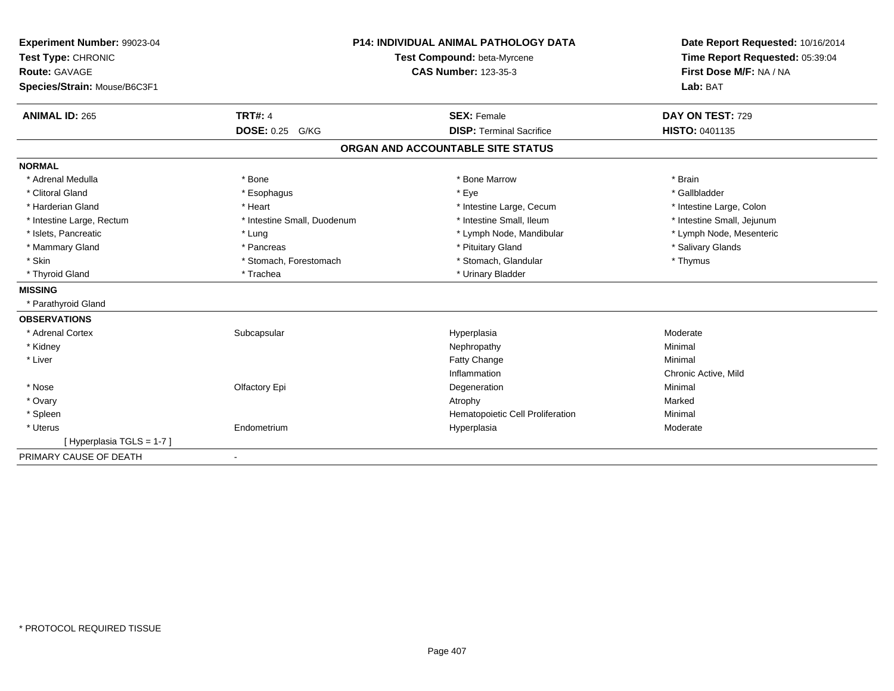| Experiment Number: 99023-04  |                                    | <b>P14: INDIVIDUAL ANIMAL PATHOLOGY DATA</b> | Date Report Requested: 10/16/2014 |
|------------------------------|------------------------------------|----------------------------------------------|-----------------------------------|
| Test Type: CHRONIC           | <b>Test Compound: beta-Myrcene</b> |                                              | Time Report Requested: 05:39:04   |
| <b>Route: GAVAGE</b>         |                                    | <b>CAS Number: 123-35-3</b>                  | First Dose M/F: NA / NA           |
| Species/Strain: Mouse/B6C3F1 |                                    |                                              | Lab: BAT                          |
| <b>ANIMAL ID: 265</b>        | <b>TRT#: 4</b>                     | <b>SEX: Female</b>                           | DAY ON TEST: 729                  |
|                              | <b>DOSE: 0.25 G/KG</b>             | <b>DISP: Terminal Sacrifice</b>              | HISTO: 0401135                    |
|                              |                                    | ORGAN AND ACCOUNTABLE SITE STATUS            |                                   |
| <b>NORMAL</b>                |                                    |                                              |                                   |
| * Adrenal Medulla            | * Bone                             | * Bone Marrow                                | * Brain                           |
| * Clitoral Gland             | * Esophagus                        | * Eye                                        | * Gallbladder                     |
| * Harderian Gland            | * Heart                            | * Intestine Large, Cecum                     | * Intestine Large, Colon          |
| * Intestine Large, Rectum    | * Intestine Small, Duodenum        | * Intestine Small, Ileum                     | * Intestine Small, Jejunum        |
| * Islets, Pancreatic         | * Lung                             | * Lymph Node, Mandibular                     | * Lymph Node, Mesenteric          |
| * Mammary Gland              | * Pancreas                         | * Pituitary Gland                            | * Salivary Glands                 |
| * Skin                       | * Stomach, Forestomach             | * Stomach, Glandular                         | * Thymus                          |
| * Thyroid Gland              | * Trachea                          | * Urinary Bladder                            |                                   |
| <b>MISSING</b>               |                                    |                                              |                                   |
| * Parathyroid Gland          |                                    |                                              |                                   |
| <b>OBSERVATIONS</b>          |                                    |                                              |                                   |
| * Adrenal Cortex             | Subcapsular                        | Hyperplasia                                  | Moderate                          |
| * Kidney                     |                                    | Nephropathy                                  | Minimal                           |
| * Liver                      |                                    | Fatty Change                                 | Minimal                           |
|                              |                                    | Inflammation                                 | Chronic Active, Mild              |
| * Nose                       | Olfactory Epi                      | Degeneration                                 | Minimal                           |
| * Ovary                      |                                    | Atrophy                                      | Marked                            |
| * Spleen                     |                                    | Hematopoietic Cell Proliferation             | Minimal                           |
| * Uterus                     | Endometrium                        | Hyperplasia                                  | Moderate                          |
| [Hyperplasia TGLS = 1-7]     |                                    |                                              |                                   |
| PRIMARY CAUSE OF DEATH       | $\overline{\phantom{a}}$           |                                              |                                   |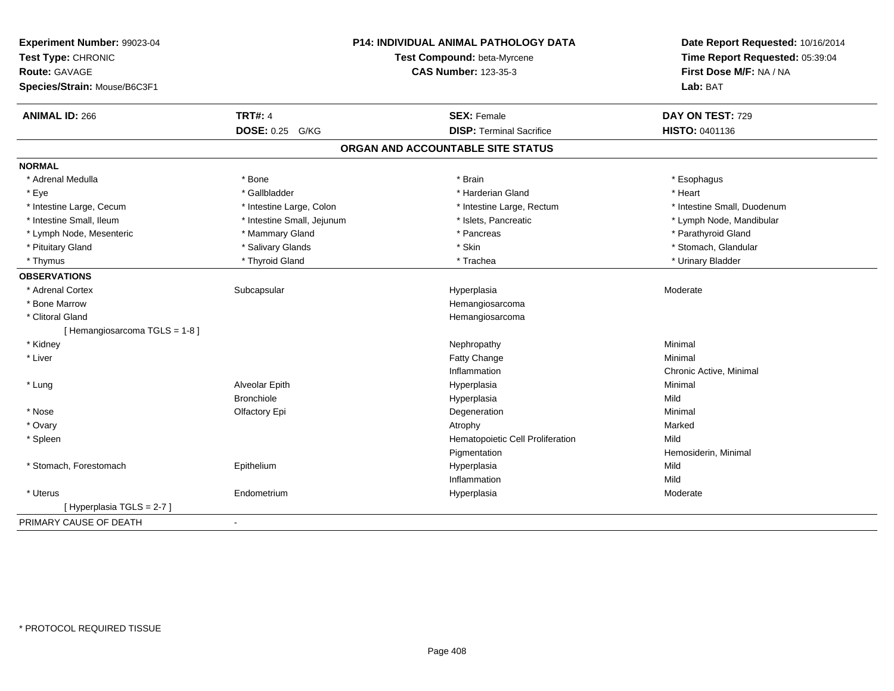| Experiment Number: 99023-04<br>Test Type: CHRONIC<br><b>Route: GAVAGE</b><br>Species/Strain: Mouse/B6C3F1 |                            | P14: INDIVIDUAL ANIMAL PATHOLOGY DATA<br>Test Compound: beta-Myrcene<br><b>CAS Number: 123-35-3</b> | Date Report Requested: 10/16/2014<br>Time Report Requested: 05:39:04<br>First Dose M/F: NA / NA<br>Lab: BAT |
|-----------------------------------------------------------------------------------------------------------|----------------------------|-----------------------------------------------------------------------------------------------------|-------------------------------------------------------------------------------------------------------------|
| <b>ANIMAL ID: 266</b>                                                                                     | <b>TRT#: 4</b>             | <b>SEX: Female</b>                                                                                  | DAY ON TEST: 729                                                                                            |
|                                                                                                           | <b>DOSE: 0.25 G/KG</b>     | <b>DISP: Terminal Sacrifice</b>                                                                     | HISTO: 0401136                                                                                              |
|                                                                                                           |                            | ORGAN AND ACCOUNTABLE SITE STATUS                                                                   |                                                                                                             |
| <b>NORMAL</b>                                                                                             |                            |                                                                                                     |                                                                                                             |
| * Adrenal Medulla                                                                                         | * Bone                     | * Brain                                                                                             | * Esophagus                                                                                                 |
| * Eye                                                                                                     | * Gallbladder              | * Harderian Gland                                                                                   | * Heart                                                                                                     |
| * Intestine Large, Cecum                                                                                  | * Intestine Large, Colon   | * Intestine Large, Rectum                                                                           | * Intestine Small, Duodenum                                                                                 |
| * Intestine Small, Ileum                                                                                  | * Intestine Small, Jejunum | * Islets, Pancreatic                                                                                | * Lymph Node, Mandibular                                                                                    |
| * Lymph Node, Mesenteric                                                                                  | * Mammary Gland            | * Pancreas                                                                                          | * Parathyroid Gland                                                                                         |
| * Pituitary Gland                                                                                         | * Salivary Glands          | * Skin                                                                                              | * Stomach, Glandular                                                                                        |
| * Thymus                                                                                                  | * Thyroid Gland            | * Trachea                                                                                           | * Urinary Bladder                                                                                           |
| <b>OBSERVATIONS</b>                                                                                       |                            |                                                                                                     |                                                                                                             |
| * Adrenal Cortex                                                                                          | Subcapsular                | Hyperplasia                                                                                         | Moderate                                                                                                    |
| * Bone Marrow                                                                                             |                            | Hemangiosarcoma                                                                                     |                                                                                                             |
| * Clitoral Gland                                                                                          |                            | Hemangiosarcoma                                                                                     |                                                                                                             |
| [Hemangiosarcoma TGLS = 1-8]                                                                              |                            |                                                                                                     |                                                                                                             |
| * Kidney                                                                                                  |                            | Nephropathy                                                                                         | Minimal                                                                                                     |
| * Liver                                                                                                   |                            | Fatty Change                                                                                        | Minimal                                                                                                     |
|                                                                                                           |                            | Inflammation                                                                                        | Chronic Active, Minimal                                                                                     |
| * Lung                                                                                                    | Alveolar Epith             | Hyperplasia                                                                                         | Minimal                                                                                                     |
|                                                                                                           | <b>Bronchiole</b>          | Hyperplasia                                                                                         | Mild                                                                                                        |
| * Nose                                                                                                    | Olfactory Epi              | Degeneration                                                                                        | Minimal                                                                                                     |
| * Ovary                                                                                                   |                            | Atrophy                                                                                             | Marked                                                                                                      |
| * Spleen                                                                                                  |                            | Hematopoietic Cell Proliferation                                                                    | Mild                                                                                                        |
|                                                                                                           |                            | Pigmentation                                                                                        | Hemosiderin, Minimal                                                                                        |
| * Stomach, Forestomach                                                                                    | Epithelium                 | Hyperplasia                                                                                         | Mild                                                                                                        |
|                                                                                                           |                            | Inflammation                                                                                        | Mild                                                                                                        |
| * Uterus                                                                                                  | Endometrium                | Hyperplasia                                                                                         | Moderate                                                                                                    |
| [ Hyperplasia TGLS = 2-7 ]                                                                                |                            |                                                                                                     |                                                                                                             |
| PRIMARY CAUSE OF DEATH                                                                                    | $\blacksquare$             |                                                                                                     |                                                                                                             |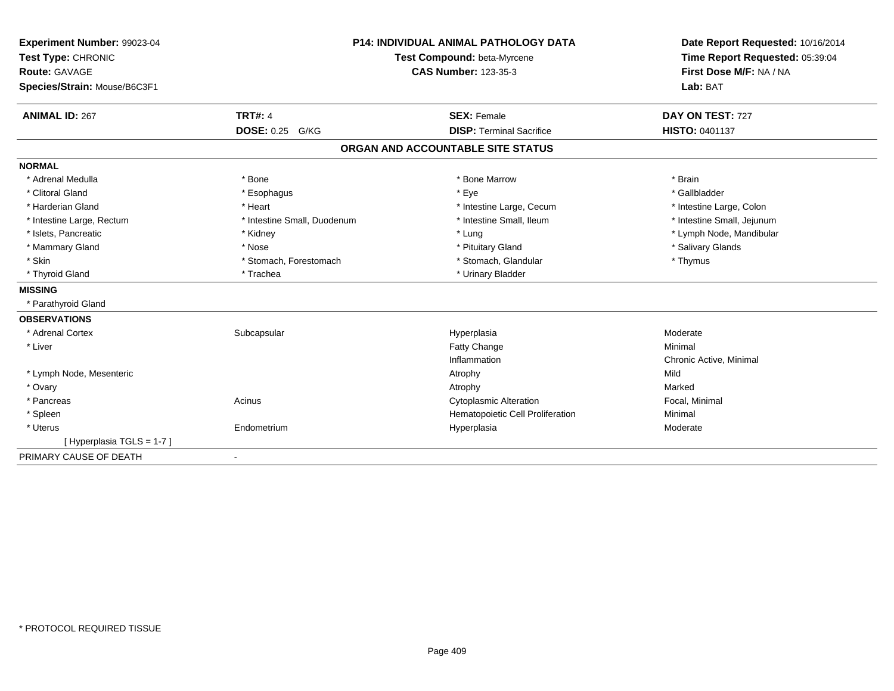| Experiment Number: 99023-04  | <b>P14: INDIVIDUAL ANIMAL PATHOLOGY DATA</b><br><b>Test Compound: beta-Myrcene</b> |                                   | Date Report Requested: 10/16/2014 |
|------------------------------|------------------------------------------------------------------------------------|-----------------------------------|-----------------------------------|
| Test Type: CHRONIC           |                                                                                    |                                   | Time Report Requested: 05:39:04   |
| <b>Route: GAVAGE</b>         |                                                                                    | <b>CAS Number: 123-35-3</b>       | First Dose M/F: NA / NA           |
| Species/Strain: Mouse/B6C3F1 |                                                                                    |                                   | Lab: BAT                          |
| <b>ANIMAL ID: 267</b>        | <b>TRT#: 4</b>                                                                     | <b>SEX: Female</b>                | DAY ON TEST: 727                  |
|                              | <b>DOSE: 0.25 G/KG</b>                                                             | <b>DISP: Terminal Sacrifice</b>   | HISTO: 0401137                    |
|                              |                                                                                    | ORGAN AND ACCOUNTABLE SITE STATUS |                                   |
| <b>NORMAL</b>                |                                                                                    |                                   |                                   |
| * Adrenal Medulla            | * Bone                                                                             | * Bone Marrow                     | * Brain                           |
| * Clitoral Gland             | * Esophagus                                                                        | * Eye                             | * Gallbladder                     |
| * Harderian Gland            | * Heart                                                                            | * Intestine Large, Cecum          | * Intestine Large, Colon          |
| * Intestine Large, Rectum    | * Intestine Small, Duodenum                                                        | * Intestine Small, Ileum          | * Intestine Small, Jejunum        |
| * Islets, Pancreatic         | * Kidney                                                                           | * Lung                            | * Lymph Node, Mandibular          |
| * Mammary Gland              | * Nose                                                                             | * Pituitary Gland                 | * Salivary Glands                 |
| * Skin                       | * Stomach, Forestomach                                                             | * Stomach, Glandular              | * Thymus                          |
| * Thyroid Gland              | * Trachea                                                                          | * Urinary Bladder                 |                                   |
| <b>MISSING</b>               |                                                                                    |                                   |                                   |
| * Parathyroid Gland          |                                                                                    |                                   |                                   |
| <b>OBSERVATIONS</b>          |                                                                                    |                                   |                                   |
| * Adrenal Cortex             | Subcapsular                                                                        | Hyperplasia                       | Moderate                          |
| * Liver                      |                                                                                    | <b>Fatty Change</b>               | Minimal                           |
|                              |                                                                                    | Inflammation                      | Chronic Active, Minimal           |
| * Lymph Node, Mesenteric     |                                                                                    | Atrophy                           | Mild                              |
| * Ovary                      |                                                                                    | Atrophy                           | Marked                            |
| * Pancreas                   | Acinus                                                                             | <b>Cytoplasmic Alteration</b>     | Focal, Minimal                    |
| * Spleen                     |                                                                                    | Hematopoietic Cell Proliferation  | Minimal                           |
| * Uterus                     | Endometrium                                                                        | Hyperplasia                       | Moderate                          |
| [Hyperplasia TGLS = 1-7]     |                                                                                    |                                   |                                   |
| PRIMARY CAUSE OF DEATH       | $\overline{\phantom{a}}$                                                           |                                   |                                   |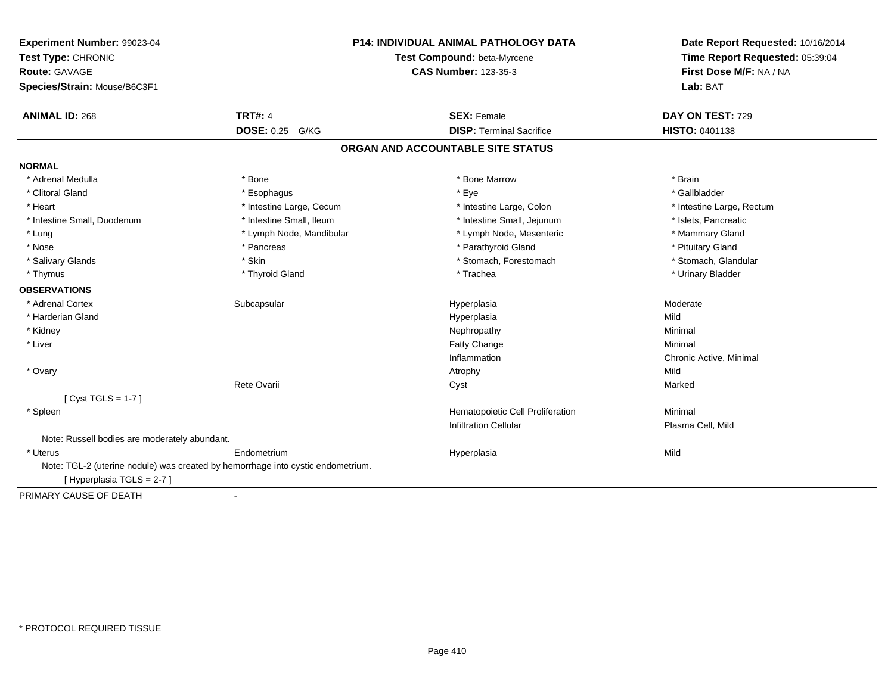| Experiment Number: 99023-04<br>Test Type: CHRONIC<br><b>Route: GAVAGE</b><br>Species/Strain: Mouse/B6C3F1 |                                                                                 | <b>P14: INDIVIDUAL ANIMAL PATHOLOGY DATA</b><br>Test Compound: beta-Myrcene<br><b>CAS Number: 123-35-3</b> | Date Report Requested: 10/16/2014<br>Time Report Requested: 05:39:04<br>First Dose M/F: NA / NA<br>Lab: BAT |
|-----------------------------------------------------------------------------------------------------------|---------------------------------------------------------------------------------|------------------------------------------------------------------------------------------------------------|-------------------------------------------------------------------------------------------------------------|
| <b>ANIMAL ID: 268</b>                                                                                     | <b>TRT#: 4</b>                                                                  | <b>SEX: Female</b>                                                                                         | DAY ON TEST: 729                                                                                            |
|                                                                                                           | DOSE: 0.25 G/KG                                                                 | <b>DISP: Terminal Sacrifice</b>                                                                            | HISTO: 0401138                                                                                              |
|                                                                                                           |                                                                                 | ORGAN AND ACCOUNTABLE SITE STATUS                                                                          |                                                                                                             |
| <b>NORMAL</b>                                                                                             |                                                                                 |                                                                                                            |                                                                                                             |
| * Adrenal Medulla                                                                                         | * Bone                                                                          | * Bone Marrow                                                                                              | * Brain                                                                                                     |
| * Clitoral Gland                                                                                          | * Esophagus                                                                     | * Eye                                                                                                      | * Gallbladder                                                                                               |
| * Heart                                                                                                   | * Intestine Large, Cecum                                                        | * Intestine Large, Colon                                                                                   | * Intestine Large, Rectum                                                                                   |
| * Intestine Small, Duodenum                                                                               | * Intestine Small, Ileum                                                        | * Intestine Small, Jejunum                                                                                 | * Islets, Pancreatic                                                                                        |
| * Lung                                                                                                    | * Lymph Node, Mandibular                                                        | * Lymph Node, Mesenteric                                                                                   | * Mammary Gland                                                                                             |
| * Nose                                                                                                    | * Pancreas                                                                      | * Parathyroid Gland                                                                                        | * Pituitary Gland                                                                                           |
| * Salivary Glands                                                                                         | * Skin                                                                          | * Stomach, Forestomach                                                                                     | * Stomach, Glandular                                                                                        |
| * Thymus                                                                                                  | * Thyroid Gland                                                                 | * Trachea                                                                                                  | * Urinary Bladder                                                                                           |
| <b>OBSERVATIONS</b>                                                                                       |                                                                                 |                                                                                                            |                                                                                                             |
| * Adrenal Cortex                                                                                          | Subcapsular                                                                     | Hyperplasia                                                                                                | Moderate                                                                                                    |
| * Harderian Gland                                                                                         |                                                                                 | Hyperplasia                                                                                                | Mild                                                                                                        |
| * Kidney                                                                                                  |                                                                                 | Nephropathy                                                                                                | Minimal                                                                                                     |
| * Liver                                                                                                   |                                                                                 | Fatty Change                                                                                               | Minimal                                                                                                     |
|                                                                                                           |                                                                                 | Inflammation                                                                                               | Chronic Active, Minimal                                                                                     |
| * Ovary                                                                                                   |                                                                                 | Atrophy                                                                                                    | Mild                                                                                                        |
|                                                                                                           | Rete Ovarii                                                                     | Cyst                                                                                                       | Marked                                                                                                      |
| [ $Cyst TGLS = 1-7$ ]                                                                                     |                                                                                 |                                                                                                            |                                                                                                             |
| * Spleen                                                                                                  |                                                                                 | Hematopoietic Cell Proliferation                                                                           | Minimal                                                                                                     |
|                                                                                                           |                                                                                 | <b>Infiltration Cellular</b>                                                                               | Plasma Cell, Mild                                                                                           |
| Note: Russell bodies are moderately abundant.                                                             |                                                                                 |                                                                                                            |                                                                                                             |
| * Uterus                                                                                                  | Endometrium                                                                     | Hyperplasia                                                                                                | Mild                                                                                                        |
| [Hyperplasia TGLS = 2-7]                                                                                  | Note: TGL-2 (uterine nodule) was created by hemorrhage into cystic endometrium. |                                                                                                            |                                                                                                             |
| PRIMARY CAUSE OF DEATH                                                                                    | $\blacksquare$                                                                  |                                                                                                            |                                                                                                             |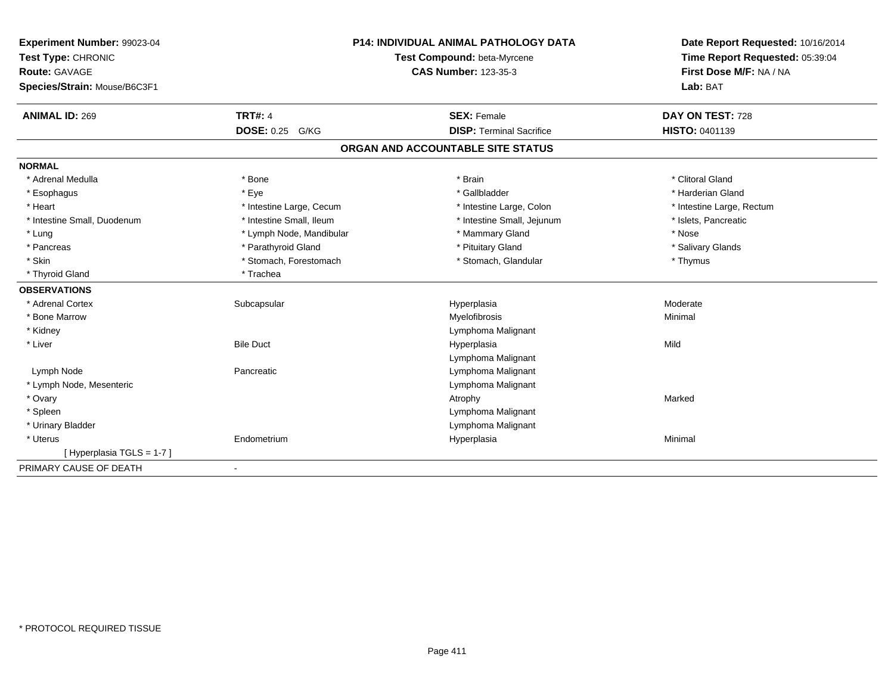| Experiment Number: 99023-04                |                           | P14: INDIVIDUAL ANIMAL PATHOLOGY DATA                      | Date Report Requested: 10/16/2014<br>Time Report Requested: 05:39:04 |
|--------------------------------------------|---------------------------|------------------------------------------------------------|----------------------------------------------------------------------|
| Test Type: CHRONIC<br><b>Route: GAVAGE</b> |                           | Test Compound: beta-Myrcene<br><b>CAS Number: 123-35-3</b> |                                                                      |
|                                            |                           |                                                            | First Dose M/F: NA / NA                                              |
| Species/Strain: Mouse/B6C3F1               |                           |                                                            | Lab: BAT                                                             |
| <b>ANIMAL ID: 269</b>                      | <b>TRT#: 4</b>            | <b>SEX: Female</b>                                         | DAY ON TEST: 728                                                     |
|                                            | <b>DOSE: 0.25</b><br>G/KG | <b>DISP: Terminal Sacrifice</b>                            | HISTO: 0401139                                                       |
|                                            |                           | ORGAN AND ACCOUNTABLE SITE STATUS                          |                                                                      |
| <b>NORMAL</b>                              |                           |                                                            |                                                                      |
| * Adrenal Medulla                          | * Bone                    | * Brain                                                    | * Clitoral Gland                                                     |
| * Esophagus                                | * Eye                     | * Gallbladder                                              | * Harderian Gland                                                    |
| * Heart                                    | * Intestine Large, Cecum  | * Intestine Large, Colon                                   | * Intestine Large, Rectum                                            |
| * Intestine Small, Duodenum                | * Intestine Small, Ileum  | * Intestine Small, Jejunum                                 | * Islets, Pancreatic                                                 |
| * Lung                                     | * Lymph Node, Mandibular  | * Mammary Gland                                            | * Nose                                                               |
| * Pancreas                                 | * Parathyroid Gland       | * Pituitary Gland                                          | * Salivary Glands                                                    |
| * Skin                                     | * Stomach, Forestomach    | * Stomach, Glandular                                       | * Thymus                                                             |
| * Thyroid Gland                            | * Trachea                 |                                                            |                                                                      |
| <b>OBSERVATIONS</b>                        |                           |                                                            |                                                                      |
| * Adrenal Cortex                           | Subcapsular               | Hyperplasia                                                | Moderate                                                             |
| * Bone Marrow                              |                           | Myelofibrosis                                              | Minimal                                                              |
| * Kidney                                   |                           | Lymphoma Malignant                                         |                                                                      |
| * Liver                                    | <b>Bile Duct</b>          | Hyperplasia                                                | Mild                                                                 |
|                                            |                           | Lymphoma Malignant                                         |                                                                      |
| Lymph Node                                 | Pancreatic                | Lymphoma Malignant                                         |                                                                      |
| * Lymph Node, Mesenteric                   |                           | Lymphoma Malignant                                         |                                                                      |
| * Ovary                                    |                           | Atrophy                                                    | Marked                                                               |
| * Spleen                                   |                           | Lymphoma Malignant                                         |                                                                      |
| * Urinary Bladder                          |                           | Lymphoma Malignant                                         |                                                                      |
| * Uterus                                   | Endometrium               | Hyperplasia                                                | Minimal                                                              |
| [Hyperplasia TGLS = 1-7]                   |                           |                                                            |                                                                      |
| PRIMARY CAUSE OF DEATH                     |                           |                                                            |                                                                      |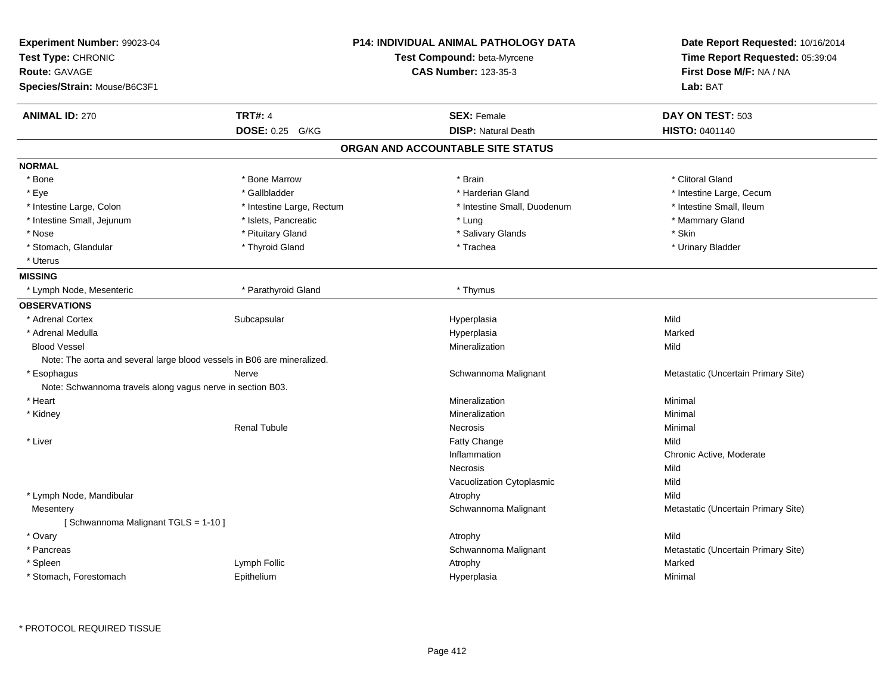| Experiment Number: 99023-04<br>Test Type: CHRONIC<br><b>Route: GAVAGE</b><br>Species/Strain: Mouse/B6C3F1 |                           | <b>P14: INDIVIDUAL ANIMAL PATHOLOGY DATA</b><br>Test Compound: beta-Myrcene<br><b>CAS Number: 123-35-3</b> | Date Report Requested: 10/16/2014<br>Time Report Requested: 05:39:04<br>First Dose M/F: NA / NA<br>Lab: BAT |
|-----------------------------------------------------------------------------------------------------------|---------------------------|------------------------------------------------------------------------------------------------------------|-------------------------------------------------------------------------------------------------------------|
| <b>ANIMAL ID: 270</b>                                                                                     | <b>TRT#: 4</b>            | <b>SEX: Female</b>                                                                                         | DAY ON TEST: 503                                                                                            |
|                                                                                                           | <b>DOSE: 0.25 G/KG</b>    | <b>DISP: Natural Death</b>                                                                                 | <b>HISTO: 0401140</b>                                                                                       |
|                                                                                                           |                           | ORGAN AND ACCOUNTABLE SITE STATUS                                                                          |                                                                                                             |
| <b>NORMAL</b>                                                                                             |                           |                                                                                                            |                                                                                                             |
| * Bone                                                                                                    | * Bone Marrow             | * Brain                                                                                                    | * Clitoral Gland                                                                                            |
| * Eye                                                                                                     | * Gallbladder             | * Harderian Gland                                                                                          | * Intestine Large, Cecum                                                                                    |
| * Intestine Large, Colon                                                                                  | * Intestine Large, Rectum | * Intestine Small, Duodenum                                                                                | * Intestine Small, Ileum                                                                                    |
| * Intestine Small, Jejunum                                                                                | * Islets, Pancreatic      | * Lung                                                                                                     | * Mammary Gland                                                                                             |
| * Nose                                                                                                    | * Pituitary Gland         | * Salivary Glands                                                                                          | * Skin                                                                                                      |
| * Stomach, Glandular                                                                                      | * Thyroid Gland           | * Trachea                                                                                                  | * Urinary Bladder                                                                                           |
| * Uterus                                                                                                  |                           |                                                                                                            |                                                                                                             |
| <b>MISSING</b>                                                                                            |                           |                                                                                                            |                                                                                                             |
| * Lymph Node, Mesenteric                                                                                  | * Parathyroid Gland       | * Thymus                                                                                                   |                                                                                                             |
| <b>OBSERVATIONS</b>                                                                                       |                           |                                                                                                            |                                                                                                             |
| * Adrenal Cortex                                                                                          | Subcapsular               | Hyperplasia                                                                                                | Mild                                                                                                        |
| * Adrenal Medulla                                                                                         |                           | Hyperplasia                                                                                                | Marked                                                                                                      |
| <b>Blood Vessel</b>                                                                                       |                           | Mineralization                                                                                             | Mild                                                                                                        |
| Note: The aorta and several large blood vessels in B06 are mineralized.                                   |                           |                                                                                                            |                                                                                                             |
| * Esophagus                                                                                               | Nerve                     | Schwannoma Malignant                                                                                       | Metastatic (Uncertain Primary Site)                                                                         |
| Note: Schwannoma travels along vagus nerve in section B03.                                                |                           |                                                                                                            |                                                                                                             |
| * Heart                                                                                                   |                           | Mineralization                                                                                             | Minimal                                                                                                     |
| * Kidney                                                                                                  |                           | Mineralization                                                                                             | Minimal                                                                                                     |
|                                                                                                           | <b>Renal Tubule</b>       | Necrosis                                                                                                   | Minimal                                                                                                     |
| * Liver                                                                                                   |                           | Fatty Change                                                                                               | Mild                                                                                                        |
|                                                                                                           |                           | Inflammation                                                                                               | Chronic Active, Moderate                                                                                    |
|                                                                                                           |                           | Necrosis                                                                                                   | Mild                                                                                                        |
|                                                                                                           |                           | Vacuolization Cytoplasmic                                                                                  | Mild                                                                                                        |
| * Lymph Node, Mandibular                                                                                  |                           | Atrophy                                                                                                    | Mild                                                                                                        |
| Mesentery                                                                                                 |                           | Schwannoma Malignant                                                                                       | Metastatic (Uncertain Primary Site)                                                                         |
| [Schwannoma Malignant TGLS = 1-10]                                                                        |                           |                                                                                                            |                                                                                                             |
| * Ovary                                                                                                   |                           | Atrophy                                                                                                    | Mild                                                                                                        |
| * Pancreas                                                                                                |                           | Schwannoma Malignant                                                                                       | Metastatic (Uncertain Primary Site)                                                                         |
| * Spleen                                                                                                  | Lymph Follic              | Atrophy                                                                                                    | Marked                                                                                                      |
| * Stomach, Forestomach                                                                                    | Epithelium                | Hyperplasia                                                                                                | Minimal                                                                                                     |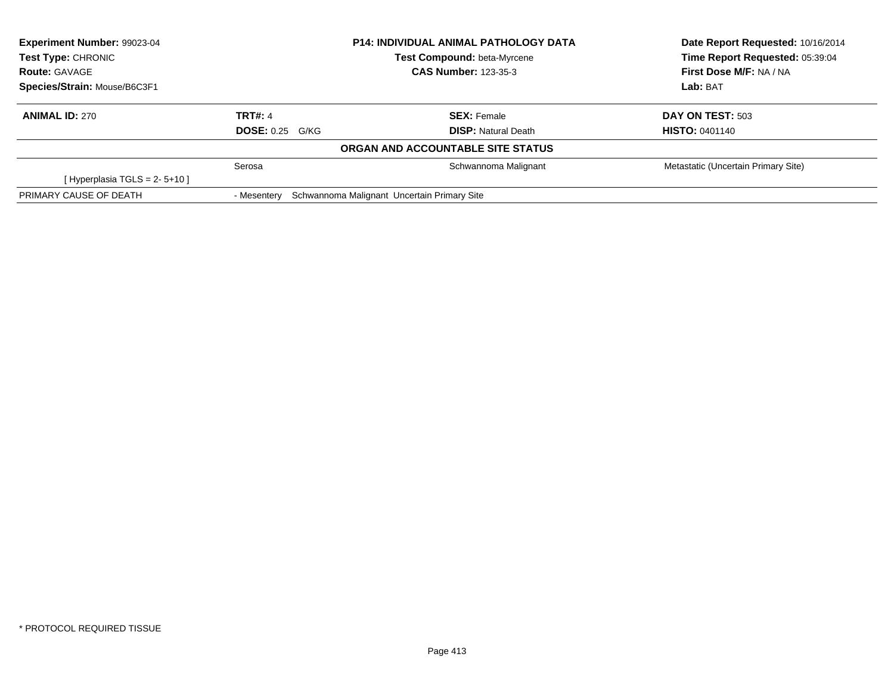| <b>Experiment Number: 99023-04</b> |                        | <b>P14: INDIVIDUAL ANIMAL PATHOLOGY DATA</b> | Date Report Requested: 10/16/2014   |  |
|------------------------------------|------------------------|----------------------------------------------|-------------------------------------|--|
| <b>Test Type: CHRONIC</b>          |                        | <b>Test Compound: beta-Myrcene</b>           | Time Report Requested: 05:39:04     |  |
| <b>Route: GAVAGE</b>               |                        | <b>CAS Number: 123-35-3</b>                  | First Dose M/F: NA / NA             |  |
| Species/Strain: Mouse/B6C3F1       |                        |                                              | Lab: BAT                            |  |
| <b>ANIMAL ID: 270</b>              | TRT#: 4                | <b>SEX:</b> Female                           | <b>DAY ON TEST: 503</b>             |  |
|                                    | <b>DOSE: 0.25 G/KG</b> | <b>DISP: Natural Death</b>                   | <b>HISTO: 0401140</b>               |  |
|                                    |                        | ORGAN AND ACCOUNTABLE SITE STATUS            |                                     |  |
|                                    | Serosa                 | Schwannoma Malignant                         | Metastatic (Uncertain Primary Site) |  |
| [Hyperplasia TGLS = $2 - 5 + 10$ ] |                        |                                              |                                     |  |
| PRIMARY CAUSE OF DEATH             | - Mesentery            | Schwannoma Malignant Uncertain Primary Site  |                                     |  |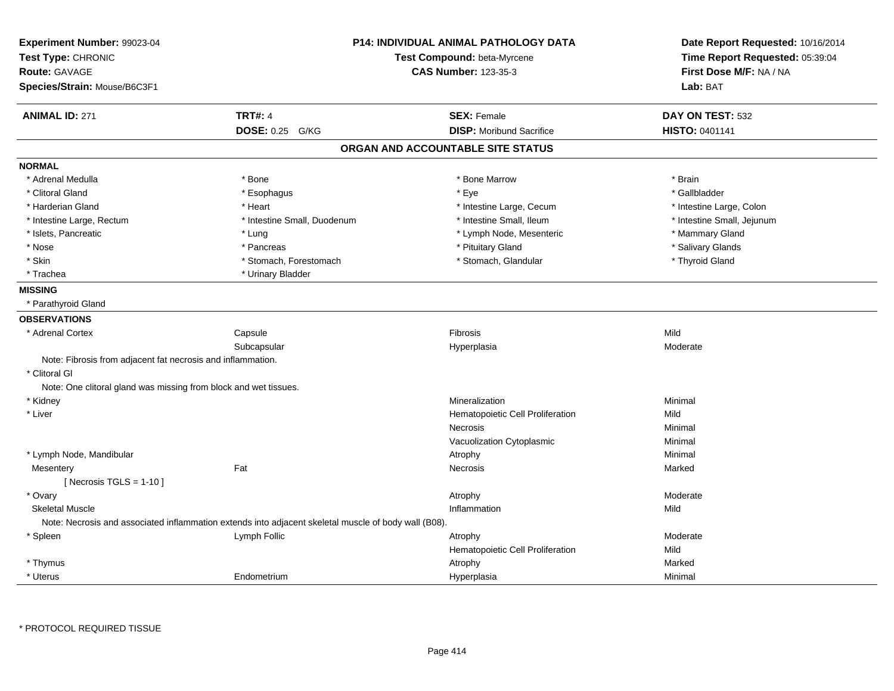| Experiment Number: 99023-04<br>Test Type: CHRONIC<br><b>Route: GAVAGE</b>                            | <b>P14: INDIVIDUAL ANIMAL PATHOLOGY DATA</b><br>Test Compound: beta-Myrcene<br><b>CAS Number: 123-35-3</b> | Date Report Requested: 10/16/2014<br>Time Report Requested: 05:39:04<br>First Dose M/F: NA / NA |
|------------------------------------------------------------------------------------------------------|------------------------------------------------------------------------------------------------------------|-------------------------------------------------------------------------------------------------|
| Species/Strain: Mouse/B6C3F1                                                                         |                                                                                                            | Lab: BAT                                                                                        |
| <b>TRT#: 4</b><br><b>ANIMAL ID: 271</b>                                                              | <b>SEX: Female</b>                                                                                         | DAY ON TEST: 532                                                                                |
| <b>DOSE: 0.25</b><br>G/KG                                                                            | <b>DISP:</b> Moribund Sacrifice                                                                            | <b>HISTO: 0401141</b>                                                                           |
|                                                                                                      | ORGAN AND ACCOUNTABLE SITE STATUS                                                                          |                                                                                                 |
| <b>NORMAL</b>                                                                                        |                                                                                                            |                                                                                                 |
| * Bone<br>* Adrenal Medulla                                                                          | * Bone Marrow                                                                                              | * Brain                                                                                         |
| * Clitoral Gland<br>* Esophagus                                                                      | * Eye                                                                                                      | * Gallbladder                                                                                   |
| * Harderian Gland<br>* Heart                                                                         | * Intestine Large, Cecum                                                                                   | * Intestine Large, Colon                                                                        |
| * Intestine Large, Rectum<br>* Intestine Small, Duodenum                                             | * Intestine Small, Ileum                                                                                   | * Intestine Small, Jejunum                                                                      |
| * Islets, Pancreatic<br>* Lung                                                                       | * Lymph Node, Mesenteric                                                                                   | * Mammary Gland                                                                                 |
| * Nose<br>* Pancreas                                                                                 | * Pituitary Gland                                                                                          | * Salivary Glands                                                                               |
| * Skin<br>* Stomach, Forestomach                                                                     | * Stomach, Glandular                                                                                       | * Thyroid Gland                                                                                 |
| * Trachea<br>* Urinary Bladder                                                                       |                                                                                                            |                                                                                                 |
| <b>MISSING</b>                                                                                       |                                                                                                            |                                                                                                 |
| * Parathyroid Gland                                                                                  |                                                                                                            |                                                                                                 |
| <b>OBSERVATIONS</b>                                                                                  |                                                                                                            |                                                                                                 |
| * Adrenal Cortex<br>Capsule                                                                          | Fibrosis                                                                                                   | Mild                                                                                            |
| Subcapsular                                                                                          | Hyperplasia                                                                                                | Moderate                                                                                        |
| Note: Fibrosis from adjacent fat necrosis and inflammation.                                          |                                                                                                            |                                                                                                 |
| * Clitoral GI                                                                                        |                                                                                                            |                                                                                                 |
| Note: One clitoral gland was missing from block and wet tissues.                                     |                                                                                                            |                                                                                                 |
| * Kidney                                                                                             | Mineralization                                                                                             | Minimal                                                                                         |
| * Liver                                                                                              | Hematopoietic Cell Proliferation                                                                           | Mild                                                                                            |
|                                                                                                      | Necrosis                                                                                                   | Minimal                                                                                         |
|                                                                                                      | Vacuolization Cytoplasmic                                                                                  | Minimal                                                                                         |
| * Lymph Node, Mandibular                                                                             | Atrophy                                                                                                    | Minimal                                                                                         |
| Fat<br>Mesentery                                                                                     | Necrosis                                                                                                   | Marked                                                                                          |
| [ Necrosis $TGLS = 1-10$ ]                                                                           |                                                                                                            |                                                                                                 |
| * Ovary                                                                                              | Atrophy                                                                                                    | Moderate                                                                                        |
| <b>Skeletal Muscle</b>                                                                               | Inflammation                                                                                               | Mild                                                                                            |
| Note: Necrosis and associated inflammation extends into adjacent skeletal muscle of body wall (B08). |                                                                                                            |                                                                                                 |
| $*$ Spleen<br>Lymph Follic                                                                           | Atrophy                                                                                                    | Moderate                                                                                        |
|                                                                                                      | Hematopoietic Cell Proliferation                                                                           | Mild                                                                                            |
| * Thymus                                                                                             | Atrophy                                                                                                    | Marked                                                                                          |
| * Uterus<br>Endometrium                                                                              | Hyperplasia                                                                                                | Minimal                                                                                         |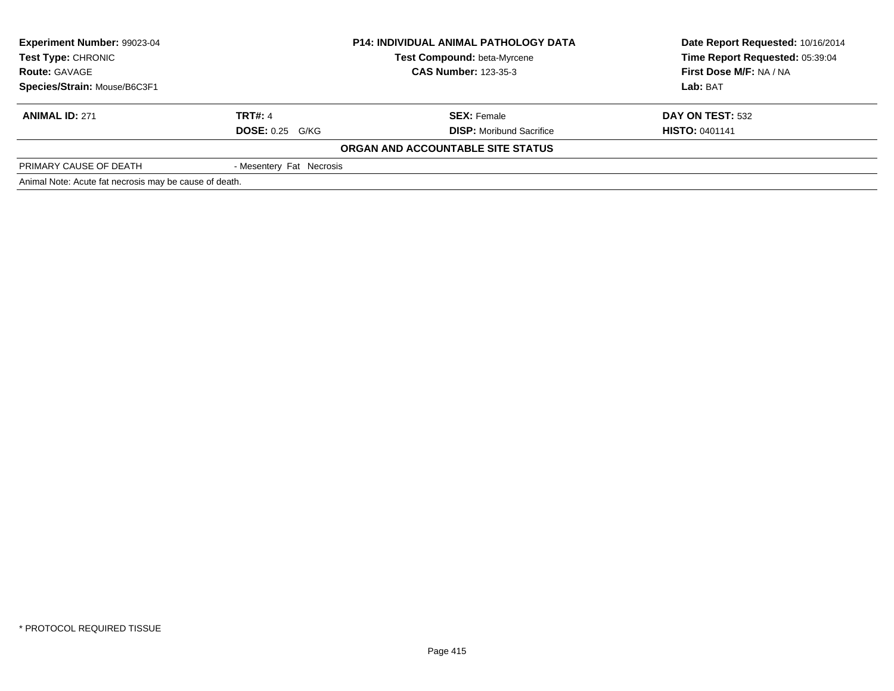| Experiment Number: 99023-04<br><b>P14: INDIVIDUAL ANIMAL PATHOLOGY DATA</b><br><b>Test Type: CHRONIC</b><br><b>Test Compound: beta-Myrcene</b><br><b>Route: GAVAGE</b><br><b>CAS Number: 123-35-3</b> |                          |                                   | Date Report Requested: 10/16/2014<br>Time Report Requested: 05:39:04 |  |
|-------------------------------------------------------------------------------------------------------------------------------------------------------------------------------------------------------|--------------------------|-----------------------------------|----------------------------------------------------------------------|--|
|                                                                                                                                                                                                       |                          | <b>First Dose M/F: NA / NA</b>    |                                                                      |  |
| Species/Strain: Mouse/B6C3F1                                                                                                                                                                          |                          |                                   | Lab: BAT                                                             |  |
| <b>ANIMAL ID: 271</b>                                                                                                                                                                                 | <b>TRT#: 4</b>           | <b>SEX: Female</b>                | DAY ON TEST: 532                                                     |  |
|                                                                                                                                                                                                       | <b>DOSE: 0.25 G/KG</b>   | <b>DISP:</b> Moribund Sacrifice   | <b>HISTO: 0401141</b>                                                |  |
|                                                                                                                                                                                                       |                          | ORGAN AND ACCOUNTABLE SITE STATUS |                                                                      |  |
| PRIMARY CAUSE OF DEATH                                                                                                                                                                                | - Mesentery Fat Necrosis |                                   |                                                                      |  |
| Animal Note: Acute fat necrosis may be cause of death.                                                                                                                                                |                          |                                   |                                                                      |  |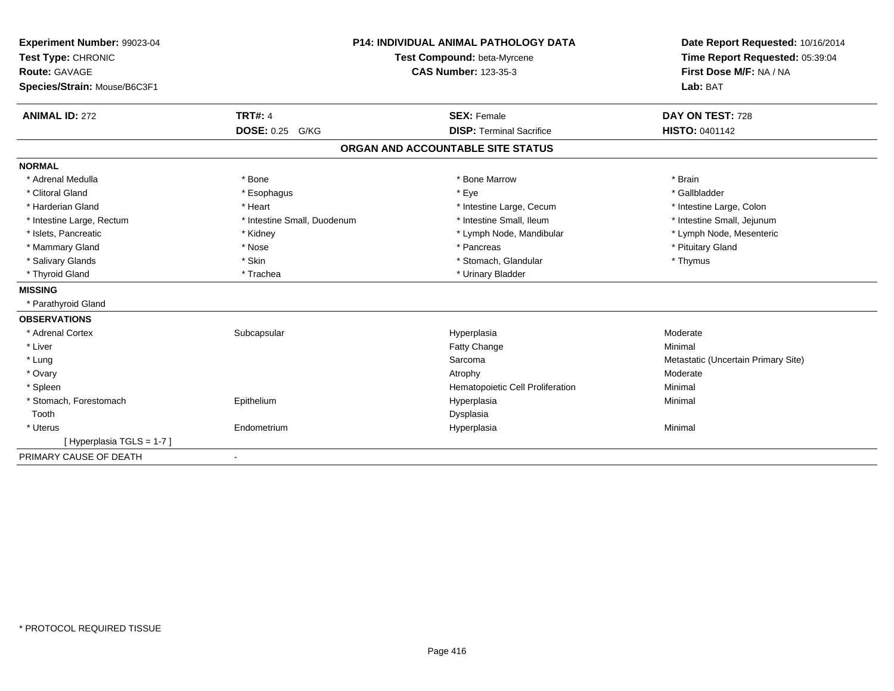| Experiment Number: 99023-04  | <b>P14: INDIVIDUAL ANIMAL PATHOLOGY DATA</b><br>Test Compound: beta-Myrcene<br><b>CAS Number: 123-35-3</b> |                                   | Date Report Requested: 10/16/2014   |  |
|------------------------------|------------------------------------------------------------------------------------------------------------|-----------------------------------|-------------------------------------|--|
| Test Type: CHRONIC           |                                                                                                            |                                   | Time Report Requested: 05:39:04     |  |
| <b>Route: GAVAGE</b>         |                                                                                                            |                                   | First Dose M/F: NA / NA             |  |
| Species/Strain: Mouse/B6C3F1 |                                                                                                            |                                   | Lab: BAT                            |  |
|                              |                                                                                                            |                                   |                                     |  |
| <b>ANIMAL ID: 272</b>        | <b>TRT#: 4</b>                                                                                             | <b>SEX: Female</b>                | DAY ON TEST: 728                    |  |
|                              | DOSE: 0.25 G/KG                                                                                            | <b>DISP: Terminal Sacrifice</b>   | <b>HISTO: 0401142</b>               |  |
|                              |                                                                                                            | ORGAN AND ACCOUNTABLE SITE STATUS |                                     |  |
| <b>NORMAL</b>                |                                                                                                            |                                   |                                     |  |
| * Adrenal Medulla            | * Bone                                                                                                     | * Bone Marrow                     | * Brain                             |  |
| * Clitoral Gland             | * Esophagus                                                                                                | * Eye                             | * Gallbladder                       |  |
| * Harderian Gland            | * Heart                                                                                                    | * Intestine Large, Cecum          | * Intestine Large, Colon            |  |
| * Intestine Large, Rectum    | * Intestine Small, Duodenum                                                                                | * Intestine Small. Ileum          | * Intestine Small, Jejunum          |  |
| * Islets, Pancreatic         | * Kidney                                                                                                   | * Lymph Node, Mandibular          | * Lymph Node, Mesenteric            |  |
| * Mammary Gland              | * Nose                                                                                                     | * Pancreas                        | * Pituitary Gland                   |  |
| * Salivary Glands            | * Skin                                                                                                     | * Stomach, Glandular              | * Thymus                            |  |
| * Thyroid Gland              | * Trachea                                                                                                  | * Urinary Bladder                 |                                     |  |
| <b>MISSING</b>               |                                                                                                            |                                   |                                     |  |
| * Parathyroid Gland          |                                                                                                            |                                   |                                     |  |
| <b>OBSERVATIONS</b>          |                                                                                                            |                                   |                                     |  |
| * Adrenal Cortex             | Subcapsular                                                                                                | Hyperplasia                       | Moderate                            |  |
| * Liver                      |                                                                                                            | Fatty Change                      | Minimal                             |  |
| * Lung                       |                                                                                                            | Sarcoma                           | Metastatic (Uncertain Primary Site) |  |
| * Ovary                      |                                                                                                            | Atrophy                           | Moderate                            |  |
| * Spleen                     |                                                                                                            | Hematopoietic Cell Proliferation  | Minimal                             |  |
| * Stomach, Forestomach       | Epithelium                                                                                                 | Hyperplasia                       | Minimal                             |  |
| Tooth                        |                                                                                                            | Dysplasia                         |                                     |  |
| * Uterus                     | Endometrium                                                                                                | Hyperplasia                       | Minimal                             |  |
| [Hyperplasia TGLS = 1-7]     |                                                                                                            |                                   |                                     |  |
| PRIMARY CAUSE OF DEATH       | $\blacksquare$                                                                                             |                                   |                                     |  |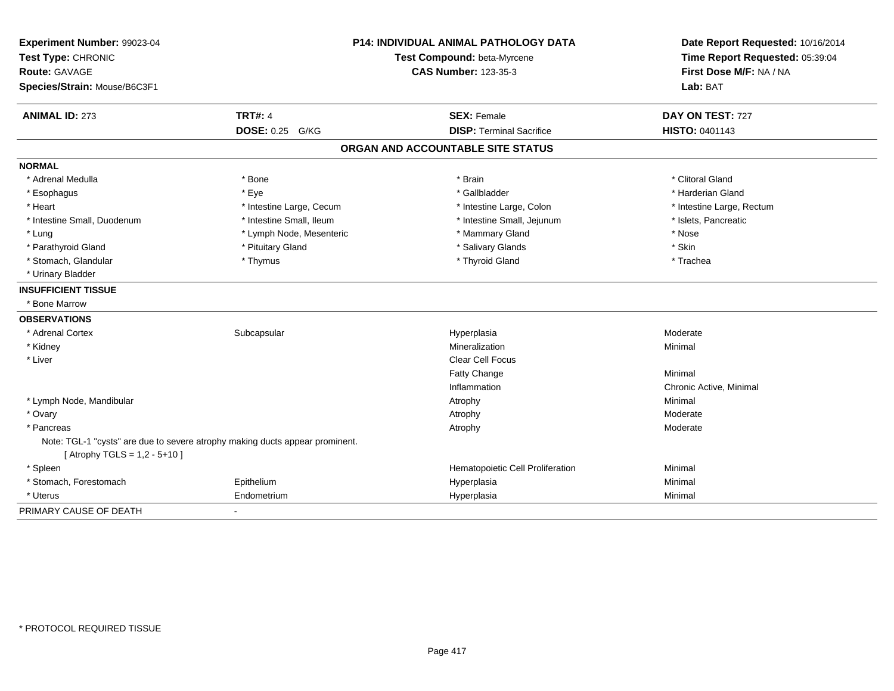| Experiment Number: 99023-04       |                                                                              | <b>P14: INDIVIDUAL ANIMAL PATHOLOGY DATA</b> | Date Report Requested: 10/16/2014<br>Time Report Requested: 05:39:04 |
|-----------------------------------|------------------------------------------------------------------------------|----------------------------------------------|----------------------------------------------------------------------|
| Test Type: CHRONIC                |                                                                              | Test Compound: beta-Myrcene                  |                                                                      |
| <b>Route: GAVAGE</b>              |                                                                              | <b>CAS Number: 123-35-3</b>                  | First Dose M/F: NA / NA                                              |
| Species/Strain: Mouse/B6C3F1      |                                                                              |                                              | Lab: BAT                                                             |
| <b>ANIMAL ID: 273</b>             | <b>TRT#: 4</b>                                                               | <b>SEX: Female</b>                           | DAY ON TEST: 727                                                     |
|                                   | DOSE: 0.25 G/KG                                                              | <b>DISP: Terminal Sacrifice</b>              | <b>HISTO: 0401143</b>                                                |
|                                   |                                                                              | ORGAN AND ACCOUNTABLE SITE STATUS            |                                                                      |
| <b>NORMAL</b>                     |                                                                              |                                              |                                                                      |
| * Adrenal Medulla                 | * Bone                                                                       | * Brain                                      | * Clitoral Gland                                                     |
| * Esophagus                       | * Eye                                                                        | * Gallbladder                                | * Harderian Gland                                                    |
| * Heart                           | * Intestine Large, Cecum                                                     | * Intestine Large, Colon                     | * Intestine Large, Rectum                                            |
| * Intestine Small, Duodenum       | * Intestine Small, Ileum                                                     | * Intestine Small, Jejunum                   | * Islets, Pancreatic                                                 |
| * Lung                            | * Lymph Node, Mesenteric                                                     | * Mammary Gland                              | * Nose                                                               |
| * Parathyroid Gland               | * Pituitary Gland                                                            | * Salivary Glands                            | * Skin                                                               |
| * Stomach, Glandular              | * Thymus                                                                     | * Thyroid Gland                              | * Trachea                                                            |
| * Urinary Bladder                 |                                                                              |                                              |                                                                      |
| <b>INSUFFICIENT TISSUE</b>        |                                                                              |                                              |                                                                      |
| * Bone Marrow                     |                                                                              |                                              |                                                                      |
| <b>OBSERVATIONS</b>               |                                                                              |                                              |                                                                      |
| * Adrenal Cortex                  | Subcapsular                                                                  | Hyperplasia                                  | Moderate                                                             |
| * Kidney                          |                                                                              | Mineralization                               | Minimal                                                              |
| * Liver                           |                                                                              | Clear Cell Focus                             |                                                                      |
|                                   |                                                                              | Fatty Change                                 | Minimal                                                              |
|                                   |                                                                              | Inflammation                                 | Chronic Active, Minimal                                              |
| * Lymph Node, Mandibular          |                                                                              | Atrophy                                      | Minimal                                                              |
| * Ovary                           |                                                                              | Atrophy                                      | Moderate                                                             |
| * Pancreas                        |                                                                              | Atrophy                                      | Moderate                                                             |
|                                   | Note: TGL-1 "cysts" are due to severe atrophy making ducts appear prominent. |                                              |                                                                      |
| [ Atrophy TGLS = $1,2 - 5 + 10$ ] |                                                                              |                                              |                                                                      |
| * Spleen                          |                                                                              | Hematopoietic Cell Proliferation             | Minimal                                                              |
| * Stomach, Forestomach            | Epithelium                                                                   | Hyperplasia                                  | Minimal                                                              |
| * Uterus                          | Endometrium                                                                  | Hyperplasia                                  | Minimal                                                              |
| PRIMARY CAUSE OF DEATH            |                                                                              |                                              |                                                                      |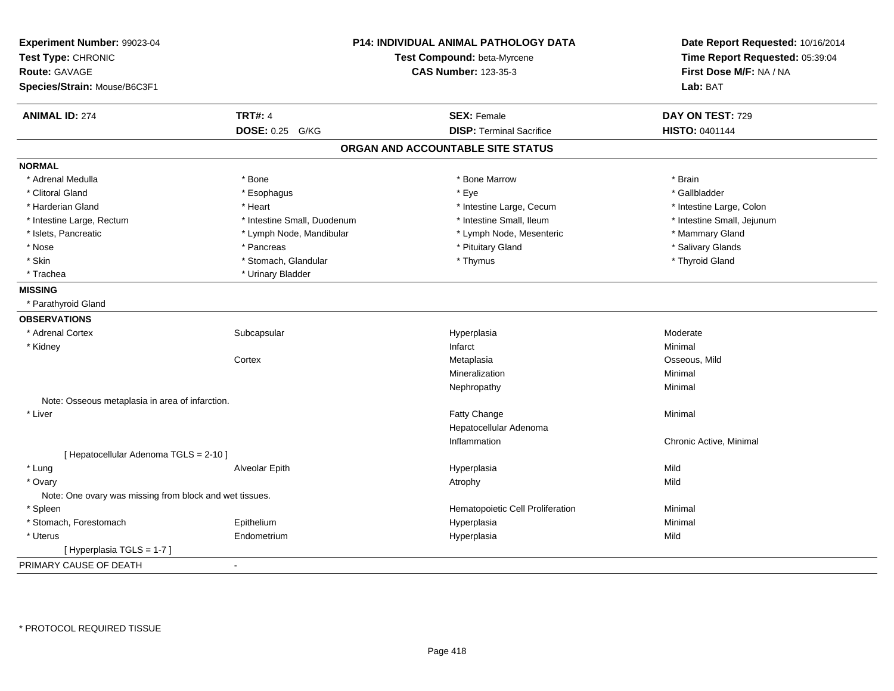| Experiment Number: 99023-04<br>Test Type: CHRONIC<br><b>Route: GAVAGE</b><br>Species/Strain: Mouse/B6C3F1 |                             | P14: INDIVIDUAL ANIMAL PATHOLOGY DATA<br>Test Compound: beta-Myrcene<br><b>CAS Number: 123-35-3</b> | Date Report Requested: 10/16/2014<br>Time Report Requested: 05:39:04<br>First Dose M/F: NA / NA<br>Lab: BAT |
|-----------------------------------------------------------------------------------------------------------|-----------------------------|-----------------------------------------------------------------------------------------------------|-------------------------------------------------------------------------------------------------------------|
| <b>ANIMAL ID: 274</b>                                                                                     | <b>TRT#: 4</b>              | <b>SEX: Female</b>                                                                                  | DAY ON TEST: 729                                                                                            |
|                                                                                                           | <b>DOSE: 0.25 G/KG</b>      | <b>DISP: Terminal Sacrifice</b>                                                                     | <b>HISTO: 0401144</b>                                                                                       |
|                                                                                                           |                             | ORGAN AND ACCOUNTABLE SITE STATUS                                                                   |                                                                                                             |
| <b>NORMAL</b>                                                                                             |                             |                                                                                                     |                                                                                                             |
| * Adrenal Medulla                                                                                         | * Bone                      | * Bone Marrow                                                                                       | * Brain                                                                                                     |
| * Clitoral Gland                                                                                          | * Esophagus                 | * Eye                                                                                               | * Gallbladder                                                                                               |
| * Harderian Gland                                                                                         | * Heart                     | * Intestine Large, Cecum                                                                            | * Intestine Large, Colon                                                                                    |
| * Intestine Large, Rectum                                                                                 | * Intestine Small, Duodenum | * Intestine Small, Ileum                                                                            | * Intestine Small, Jejunum                                                                                  |
| * Islets, Pancreatic                                                                                      | * Lymph Node, Mandibular    | * Lymph Node, Mesenteric                                                                            | * Mammary Gland                                                                                             |
| * Nose                                                                                                    | * Pancreas                  | * Pituitary Gland                                                                                   | * Salivary Glands                                                                                           |
| * Skin                                                                                                    | * Stomach, Glandular        | * Thymus                                                                                            | * Thyroid Gland                                                                                             |
| * Trachea                                                                                                 | * Urinary Bladder           |                                                                                                     |                                                                                                             |
| <b>MISSING</b>                                                                                            |                             |                                                                                                     |                                                                                                             |
| * Parathyroid Gland                                                                                       |                             |                                                                                                     |                                                                                                             |
| <b>OBSERVATIONS</b>                                                                                       |                             |                                                                                                     |                                                                                                             |
| * Adrenal Cortex                                                                                          | Subcapsular                 | Hyperplasia                                                                                         | Moderate                                                                                                    |
| * Kidney                                                                                                  |                             | Infarct                                                                                             | Minimal                                                                                                     |
|                                                                                                           | Cortex                      | Metaplasia                                                                                          | Osseous, Mild                                                                                               |
|                                                                                                           |                             | Mineralization                                                                                      | Minimal                                                                                                     |
|                                                                                                           |                             | Nephropathy                                                                                         | Minimal                                                                                                     |
| Note: Osseous metaplasia in area of infarction.                                                           |                             |                                                                                                     |                                                                                                             |
| * Liver                                                                                                   |                             | Fatty Change                                                                                        | Minimal                                                                                                     |
|                                                                                                           |                             | Hepatocellular Adenoma                                                                              |                                                                                                             |
|                                                                                                           |                             | Inflammation                                                                                        | Chronic Active, Minimal                                                                                     |
| [ Hepatocellular Adenoma TGLS = 2-10 ]                                                                    |                             |                                                                                                     |                                                                                                             |
| * Lung                                                                                                    | Alveolar Epith              | Hyperplasia                                                                                         | Mild                                                                                                        |
| * Ovary                                                                                                   |                             | Atrophy                                                                                             | Mild                                                                                                        |
| Note: One ovary was missing from block and wet tissues.                                                   |                             |                                                                                                     |                                                                                                             |
| * Spleen                                                                                                  |                             | Hematopoietic Cell Proliferation                                                                    | Minimal                                                                                                     |
| * Stomach, Forestomach                                                                                    | Epithelium                  | Hyperplasia                                                                                         | Minimal                                                                                                     |
| * Uterus                                                                                                  | Endometrium                 | Hyperplasia                                                                                         | Mild                                                                                                        |
| [Hyperplasia TGLS = 1-7]                                                                                  |                             |                                                                                                     |                                                                                                             |
| PRIMARY CAUSE OF DEATH                                                                                    | $\overline{\phantom{a}}$    |                                                                                                     |                                                                                                             |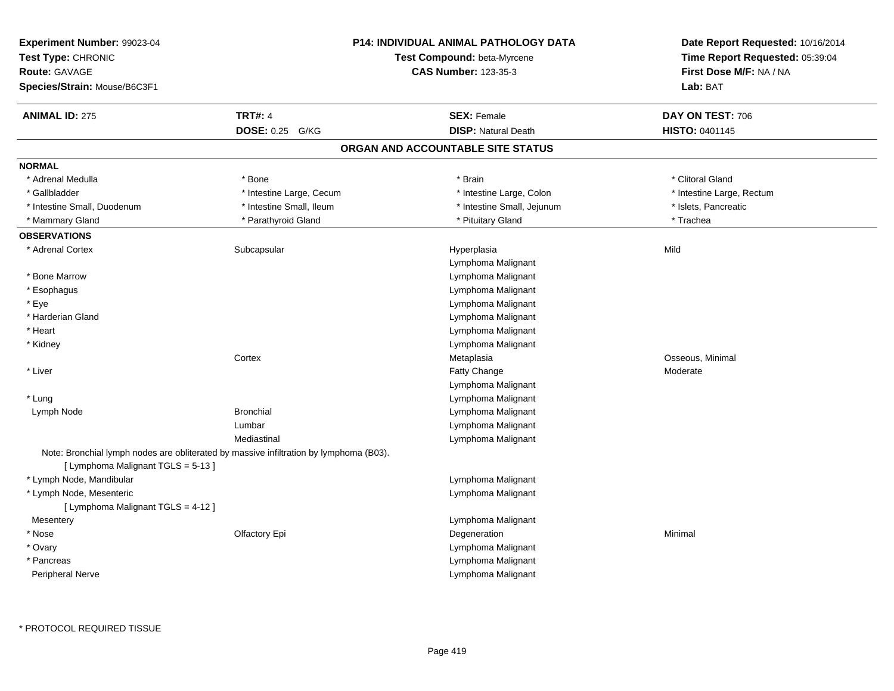| Experiment Number: 99023-04        |                                                                                        | <b>P14: INDIVIDUAL ANIMAL PATHOLOGY DATA</b> | Date Report Requested: 10/16/2014<br>Time Report Requested: 05:39:04 |
|------------------------------------|----------------------------------------------------------------------------------------|----------------------------------------------|----------------------------------------------------------------------|
| Test Type: CHRONIC                 |                                                                                        | Test Compound: beta-Myrcene                  |                                                                      |
| Route: GAVAGE                      |                                                                                        | <b>CAS Number: 123-35-3</b>                  | First Dose M/F: NA / NA                                              |
| Species/Strain: Mouse/B6C3F1       |                                                                                        |                                              | Lab: BAT                                                             |
| <b>ANIMAL ID: 275</b>              | <b>TRT#: 4</b>                                                                         | <b>SEX: Female</b>                           | DAY ON TEST: 706                                                     |
|                                    | DOSE: 0.25 G/KG                                                                        | <b>DISP: Natural Death</b>                   | HISTO: 0401145                                                       |
|                                    |                                                                                        | ORGAN AND ACCOUNTABLE SITE STATUS            |                                                                      |
| <b>NORMAL</b>                      |                                                                                        |                                              |                                                                      |
| * Adrenal Medulla                  | * Bone                                                                                 | * Brain                                      | * Clitoral Gland                                                     |
| * Gallbladder                      | * Intestine Large, Cecum                                                               | * Intestine Large, Colon                     | * Intestine Large, Rectum                                            |
| * Intestine Small, Duodenum        | * Intestine Small, Ileum                                                               | * Intestine Small, Jejunum                   | * Islets, Pancreatic                                                 |
| * Mammary Gland                    | * Parathyroid Gland                                                                    | * Pituitary Gland                            | * Trachea                                                            |
| <b>OBSERVATIONS</b>                |                                                                                        |                                              |                                                                      |
| * Adrenal Cortex                   | Subcapsular                                                                            | Hyperplasia                                  | Mild                                                                 |
|                                    |                                                                                        | Lymphoma Malignant                           |                                                                      |
| * Bone Marrow                      |                                                                                        | Lymphoma Malignant                           |                                                                      |
| * Esophagus                        |                                                                                        | Lymphoma Malignant                           |                                                                      |
| * Eye                              |                                                                                        | Lymphoma Malignant                           |                                                                      |
| * Harderian Gland                  |                                                                                        | Lymphoma Malignant                           |                                                                      |
| * Heart                            |                                                                                        | Lymphoma Malignant                           |                                                                      |
| * Kidney                           |                                                                                        | Lymphoma Malignant                           |                                                                      |
|                                    | Cortex                                                                                 | Metaplasia                                   | Osseous, Minimal                                                     |
| * Liver                            |                                                                                        | Fatty Change                                 | Moderate                                                             |
|                                    |                                                                                        | Lymphoma Malignant                           |                                                                      |
| * Lung                             |                                                                                        | Lymphoma Malignant                           |                                                                      |
| Lymph Node                         | <b>Bronchial</b>                                                                       | Lymphoma Malignant                           |                                                                      |
|                                    | Lumbar                                                                                 | Lymphoma Malignant                           |                                                                      |
|                                    | Mediastinal                                                                            | Lymphoma Malignant                           |                                                                      |
| [ Lymphoma Malignant TGLS = 5-13 ] | Note: Bronchial lymph nodes are obliterated by massive infiltration by lymphoma (B03). |                                              |                                                                      |
| * Lymph Node, Mandibular           |                                                                                        | Lymphoma Malignant                           |                                                                      |
| * Lymph Node, Mesenteric           |                                                                                        | Lymphoma Malignant                           |                                                                      |
| [ Lymphoma Malignant TGLS = 4-12 ] |                                                                                        |                                              |                                                                      |
| Mesentery                          |                                                                                        | Lymphoma Malignant                           |                                                                      |
| * Nose                             | Olfactory Epi                                                                          | Degeneration                                 | Minimal                                                              |
| * Ovary                            |                                                                                        | Lymphoma Malignant                           |                                                                      |
| * Pancreas                         |                                                                                        | Lymphoma Malignant                           |                                                                      |
| Peripheral Nerve                   |                                                                                        | Lymphoma Malignant                           |                                                                      |
|                                    |                                                                                        |                                              |                                                                      |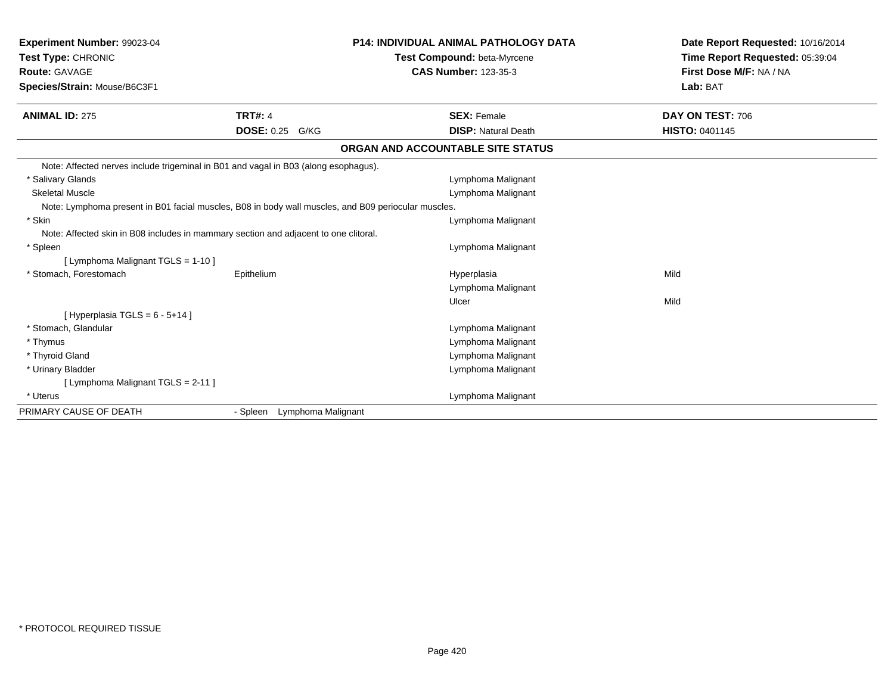| <b>Experiment Number: 99023-04</b><br><b>Test Type: CHRONIC</b><br><b>Route: GAVAGE</b><br>Species/Strain: Mouse/B6C3F1 |                             | P14: INDIVIDUAL ANIMAL PATHOLOGY DATA<br>Test Compound: beta-Myrcene<br><b>CAS Number: 123-35-3</b> | Date Report Requested: 10/16/2014<br>Time Report Requested: 05:39:04<br>First Dose M/F: NA / NA<br>Lab: BAT |
|-------------------------------------------------------------------------------------------------------------------------|-----------------------------|-----------------------------------------------------------------------------------------------------|-------------------------------------------------------------------------------------------------------------|
| <b>ANIMAL ID: 275</b>                                                                                                   | <b>TRT#: 4</b>              | <b>SEX: Female</b>                                                                                  | DAY ON TEST: 706                                                                                            |
|                                                                                                                         | <b>DOSE: 0.25</b><br>G/KG   | <b>DISP: Natural Death</b>                                                                          | <b>HISTO: 0401145</b>                                                                                       |
|                                                                                                                         |                             | ORGAN AND ACCOUNTABLE SITE STATUS                                                                   |                                                                                                             |
| Note: Affected nerves include trigeminal in B01 and vagal in B03 (along esophagus).                                     |                             |                                                                                                     |                                                                                                             |
| * Salivary Glands                                                                                                       |                             | Lymphoma Malignant                                                                                  |                                                                                                             |
| <b>Skeletal Muscle</b>                                                                                                  |                             | Lymphoma Malignant                                                                                  |                                                                                                             |
| Note: Lymphoma present in B01 facial muscles, B08 in body wall muscles, and B09 periocular muscles.                     |                             |                                                                                                     |                                                                                                             |
| * Skin                                                                                                                  |                             | Lymphoma Malignant                                                                                  |                                                                                                             |
| Note: Affected skin in B08 includes in mammary section and adjacent to one clitoral.                                    |                             |                                                                                                     |                                                                                                             |
| * Spleen                                                                                                                |                             | Lymphoma Malignant                                                                                  |                                                                                                             |
| [ Lymphoma Malignant TGLS = 1-10 ]                                                                                      |                             |                                                                                                     |                                                                                                             |
| * Stomach, Forestomach                                                                                                  | Epithelium                  | Hyperplasia                                                                                         | Mild                                                                                                        |
|                                                                                                                         |                             | Lymphoma Malignant                                                                                  |                                                                                                             |
|                                                                                                                         |                             | Ulcer                                                                                               | Mild                                                                                                        |
| [Hyperplasia TGLS = $6 - 5 + 14$ ]                                                                                      |                             |                                                                                                     |                                                                                                             |
| * Stomach, Glandular                                                                                                    |                             | Lymphoma Malignant                                                                                  |                                                                                                             |
| * Thymus                                                                                                                |                             | Lymphoma Malignant                                                                                  |                                                                                                             |
| * Thyroid Gland                                                                                                         |                             | Lymphoma Malignant                                                                                  |                                                                                                             |
| * Urinary Bladder                                                                                                       |                             | Lymphoma Malignant                                                                                  |                                                                                                             |
| [ Lymphoma Malignant TGLS = 2-11 ]                                                                                      |                             |                                                                                                     |                                                                                                             |
| * Uterus                                                                                                                |                             | Lymphoma Malignant                                                                                  |                                                                                                             |
| PRIMARY CAUSE OF DEATH                                                                                                  | - Spleen Lymphoma Malignant |                                                                                                     |                                                                                                             |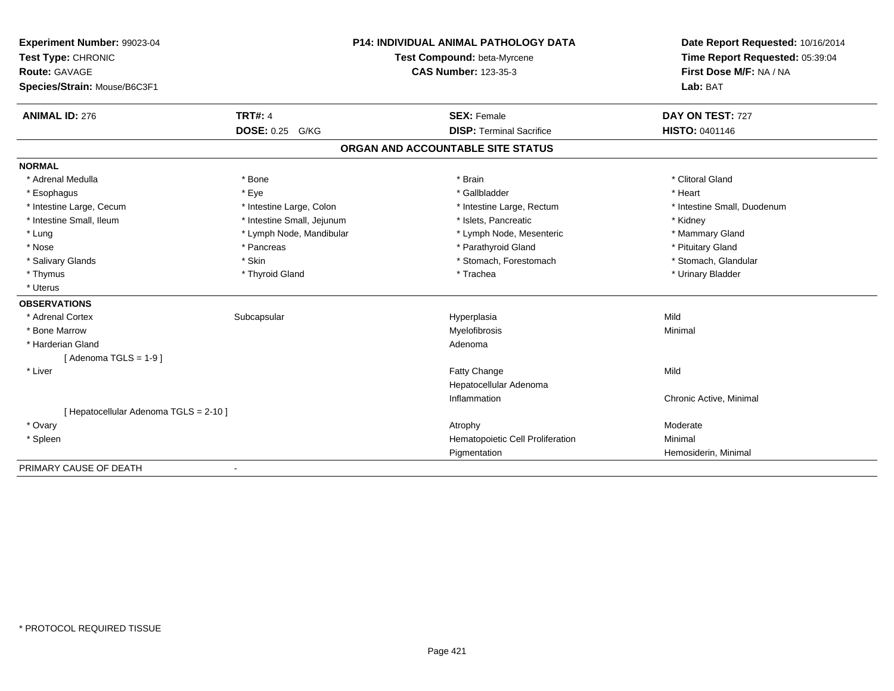| Experiment Number: 99023-04            |                            | <b>P14: INDIVIDUAL ANIMAL PATHOLOGY DATA</b> | Date Report Requested: 10/16/2014                          |
|----------------------------------------|----------------------------|----------------------------------------------|------------------------------------------------------------|
| Test Type: CHRONIC                     |                            | Test Compound: beta-Myrcene                  | Time Report Requested: 05:39:04<br>First Dose M/F: NA / NA |
| <b>Route: GAVAGE</b>                   |                            | <b>CAS Number: 123-35-3</b>                  |                                                            |
| Species/Strain: Mouse/B6C3F1           |                            |                                              | Lab: BAT                                                   |
| <b>ANIMAL ID: 276</b>                  | <b>TRT#: 4</b>             | <b>SEX: Female</b>                           | DAY ON TEST: 727                                           |
|                                        | <b>DOSE: 0.25</b><br>G/KG  | <b>DISP: Terminal Sacrifice</b>              | <b>HISTO: 0401146</b>                                      |
|                                        |                            | ORGAN AND ACCOUNTABLE SITE STATUS            |                                                            |
| <b>NORMAL</b>                          |                            |                                              |                                                            |
| * Adrenal Medulla                      | * Bone                     | * Brain                                      | * Clitoral Gland                                           |
| * Esophagus                            | * Eye                      | * Gallbladder                                | * Heart                                                    |
| * Intestine Large, Cecum               | * Intestine Large, Colon   | * Intestine Large, Rectum                    | * Intestine Small, Duodenum                                |
| * Intestine Small, Ileum               | * Intestine Small, Jejunum | * Islets. Pancreatic                         | * Kidney                                                   |
| * Lung                                 | * Lymph Node, Mandibular   | * Lymph Node, Mesenteric                     | * Mammary Gland                                            |
| * Nose                                 | * Pancreas                 | * Parathyroid Gland                          | * Pituitary Gland                                          |
| * Salivary Glands                      | * Skin                     | * Stomach, Forestomach                       | * Stomach, Glandular                                       |
| * Thymus                               | * Thyroid Gland            | * Trachea                                    | * Urinary Bladder                                          |
| * Uterus                               |                            |                                              |                                                            |
| <b>OBSERVATIONS</b>                    |                            |                                              |                                                            |
| * Adrenal Cortex                       | Subcapsular                | Hyperplasia                                  | Mild                                                       |
| * Bone Marrow                          |                            | Myelofibrosis                                | Minimal                                                    |
| * Harderian Gland                      |                            | Adenoma                                      |                                                            |
| [Adenoma TGLS = $1-9$ ]                |                            |                                              |                                                            |
| * Liver                                |                            | Fatty Change                                 | Mild                                                       |
|                                        |                            | Hepatocellular Adenoma                       |                                                            |
|                                        |                            | Inflammation                                 | Chronic Active, Minimal                                    |
| [ Hepatocellular Adenoma TGLS = 2-10 ] |                            |                                              |                                                            |
| * Ovary                                |                            | Atrophy                                      | Moderate                                                   |
| * Spleen                               |                            | Hematopoietic Cell Proliferation             | Minimal                                                    |
|                                        |                            | Pigmentation                                 | Hemosiderin, Minimal                                       |
| PRIMARY CAUSE OF DEATH                 |                            |                                              |                                                            |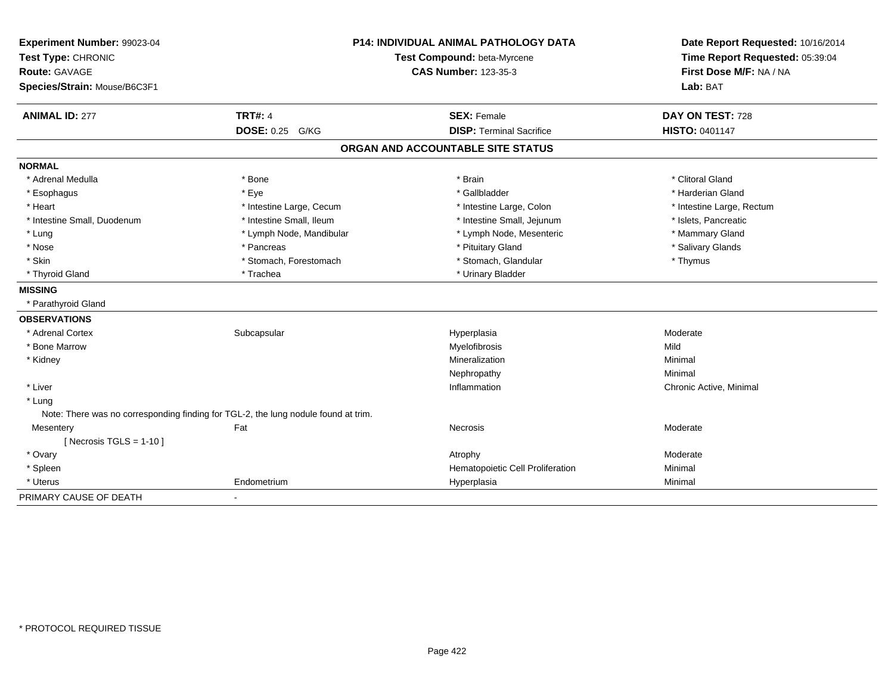| <b>P14: INDIVIDUAL ANIMAL PATHOLOGY DATA</b><br>Experiment Number: 99023-04<br>Test Type: CHRONIC<br>Test Compound: beta-Myrcene<br>Route: GAVAGE<br><b>CAS Number: 123-35-3</b><br>Species/Strain: Mouse/B6C3F1 |                                                                                    | Lab: BAT                          | Date Report Requested: 10/16/2014<br>Time Report Requested: 05:39:04<br>First Dose M/F: NA / NA |
|------------------------------------------------------------------------------------------------------------------------------------------------------------------------------------------------------------------|------------------------------------------------------------------------------------|-----------------------------------|-------------------------------------------------------------------------------------------------|
| <b>ANIMAL ID: 277</b>                                                                                                                                                                                            | <b>TRT#: 4</b>                                                                     | <b>SEX: Female</b>                | DAY ON TEST: 728                                                                                |
|                                                                                                                                                                                                                  | DOSE: 0.25 G/KG                                                                    | <b>DISP: Terminal Sacrifice</b>   | <b>HISTO: 0401147</b>                                                                           |
|                                                                                                                                                                                                                  |                                                                                    | ORGAN AND ACCOUNTABLE SITE STATUS |                                                                                                 |
| <b>NORMAL</b>                                                                                                                                                                                                    |                                                                                    |                                   |                                                                                                 |
| * Adrenal Medulla                                                                                                                                                                                                | * Bone                                                                             | * Brain                           | * Clitoral Gland                                                                                |
| * Esophagus                                                                                                                                                                                                      | * Eye                                                                              | * Gallbladder                     | * Harderian Gland                                                                               |
| * Heart                                                                                                                                                                                                          | * Intestine Large, Cecum                                                           | * Intestine Large, Colon          | * Intestine Large, Rectum                                                                       |
| * Intestine Small, Duodenum                                                                                                                                                                                      | * Intestine Small, Ileum                                                           | * Intestine Small, Jejunum        | * Islets, Pancreatic                                                                            |
| * Lung                                                                                                                                                                                                           | * Lymph Node, Mandibular                                                           | * Lymph Node, Mesenteric          | * Mammary Gland                                                                                 |
| * Nose                                                                                                                                                                                                           | * Pancreas                                                                         | * Pituitary Gland                 | * Salivary Glands                                                                               |
| * Skin                                                                                                                                                                                                           | * Stomach, Forestomach                                                             | * Stomach, Glandular              | * Thymus                                                                                        |
| * Thyroid Gland                                                                                                                                                                                                  | * Trachea                                                                          | * Urinary Bladder                 |                                                                                                 |
| <b>MISSING</b>                                                                                                                                                                                                   |                                                                                    |                                   |                                                                                                 |
| * Parathyroid Gland                                                                                                                                                                                              |                                                                                    |                                   |                                                                                                 |
| <b>OBSERVATIONS</b>                                                                                                                                                                                              |                                                                                    |                                   |                                                                                                 |
| * Adrenal Cortex                                                                                                                                                                                                 | Subcapsular                                                                        | Hyperplasia                       | Moderate                                                                                        |
| * Bone Marrow                                                                                                                                                                                                    |                                                                                    | Myelofibrosis                     | Mild                                                                                            |
| * Kidney                                                                                                                                                                                                         |                                                                                    | Mineralization                    | Minimal                                                                                         |
|                                                                                                                                                                                                                  |                                                                                    | Nephropathy                       | Minimal                                                                                         |
| * Liver                                                                                                                                                                                                          |                                                                                    | Inflammation                      | Chronic Active, Minimal                                                                         |
| * Lung                                                                                                                                                                                                           |                                                                                    |                                   |                                                                                                 |
|                                                                                                                                                                                                                  | Note: There was no corresponding finding for TGL-2, the lung nodule found at trim. |                                   |                                                                                                 |
| Mesentery                                                                                                                                                                                                        | Fat                                                                                | Necrosis                          | Moderate                                                                                        |
| [Necrosis TGLS = $1-10$ ]                                                                                                                                                                                        |                                                                                    |                                   |                                                                                                 |
| * Ovary                                                                                                                                                                                                          |                                                                                    | Atrophy                           | Moderate                                                                                        |
| * Spleen                                                                                                                                                                                                         |                                                                                    | Hematopoietic Cell Proliferation  | Minimal                                                                                         |
| * Uterus                                                                                                                                                                                                         | Endometrium                                                                        | Hyperplasia                       | Minimal                                                                                         |
| PRIMARY CAUSE OF DEATH                                                                                                                                                                                           | $\blacksquare$                                                                     |                                   |                                                                                                 |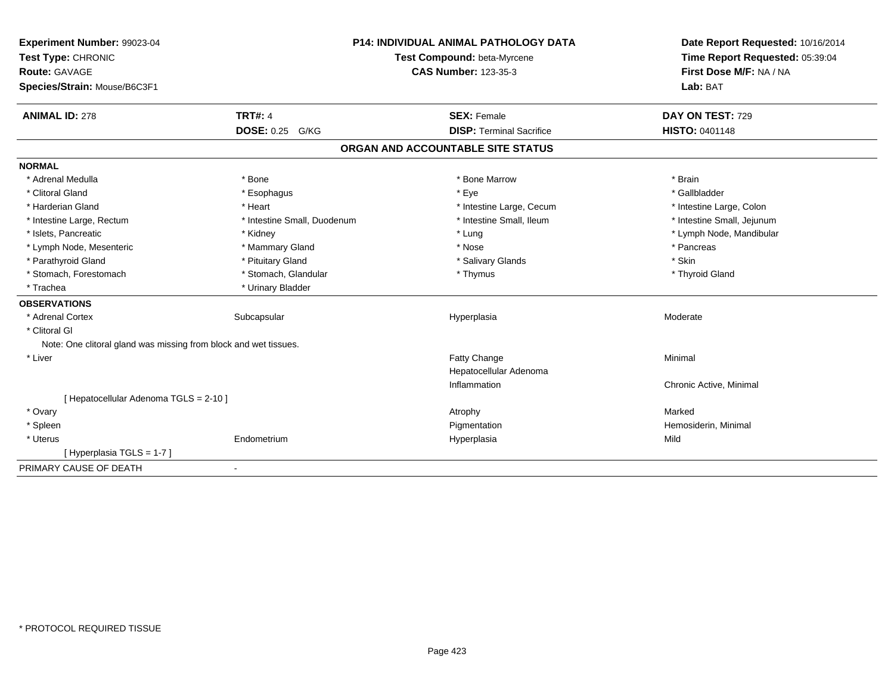| Experiment Number: 99023-04                                      |                             | <b>P14: INDIVIDUAL ANIMAL PATHOLOGY DATA</b> | Date Report Requested: 10/16/2014 |
|------------------------------------------------------------------|-----------------------------|----------------------------------------------|-----------------------------------|
| Test Type: CHRONIC                                               | Test Compound: beta-Myrcene |                                              | Time Report Requested: 05:39:04   |
| <b>Route: GAVAGE</b>                                             |                             | <b>CAS Number: 123-35-3</b>                  | First Dose M/F: NA / NA           |
| Species/Strain: Mouse/B6C3F1                                     |                             |                                              | Lab: BAT                          |
| <b>ANIMAL ID: 278</b>                                            | <b>TRT#: 4</b>              | <b>SEX: Female</b>                           | DAY ON TEST: 729                  |
|                                                                  | <b>DOSE: 0.25</b><br>G/KG   | <b>DISP: Terminal Sacrifice</b>              | <b>HISTO: 0401148</b>             |
|                                                                  |                             | ORGAN AND ACCOUNTABLE SITE STATUS            |                                   |
| <b>NORMAL</b>                                                    |                             |                                              |                                   |
| * Adrenal Medulla                                                | * Bone                      | * Bone Marrow                                | * Brain                           |
| * Clitoral Gland                                                 | * Esophagus                 | * Eye                                        | * Gallbladder                     |
| * Harderian Gland                                                | * Heart                     | * Intestine Large, Cecum                     | * Intestine Large, Colon          |
| * Intestine Large, Rectum                                        | * Intestine Small, Duodenum | * Intestine Small, Ileum                     | * Intestine Small, Jejunum        |
| * Islets, Pancreatic                                             | * Kidney                    | * Lung                                       | * Lymph Node, Mandibular          |
| * Lymph Node, Mesenteric                                         | * Mammary Gland             | * Nose                                       | * Pancreas                        |
| * Parathyroid Gland                                              | * Pituitary Gland           | * Salivary Glands                            | * Skin                            |
| * Stomach, Forestomach                                           | * Stomach, Glandular        | * Thymus                                     | * Thyroid Gland                   |
| * Trachea                                                        | * Urinary Bladder           |                                              |                                   |
| <b>OBSERVATIONS</b>                                              |                             |                                              |                                   |
| * Adrenal Cortex                                                 | Subcapsular                 | Hyperplasia                                  | Moderate                          |
| * Clitoral GI                                                    |                             |                                              |                                   |
| Note: One clitoral gland was missing from block and wet tissues. |                             |                                              |                                   |
| * Liver                                                          |                             | Fatty Change                                 | Minimal                           |
|                                                                  |                             | Hepatocellular Adenoma                       |                                   |
|                                                                  |                             | Inflammation                                 | Chronic Active, Minimal           |
| [ Hepatocellular Adenoma TGLS = 2-10 ]                           |                             |                                              |                                   |
| * Ovary                                                          |                             | Atrophy                                      | Marked                            |
| * Spleen                                                         |                             | Pigmentation                                 | Hemosiderin, Minimal              |
| * Uterus                                                         | Endometrium                 | Hyperplasia                                  | Mild                              |
| [Hyperplasia TGLS = 1-7]                                         |                             |                                              |                                   |
| PRIMARY CAUSE OF DEATH                                           | $\blacksquare$              |                                              |                                   |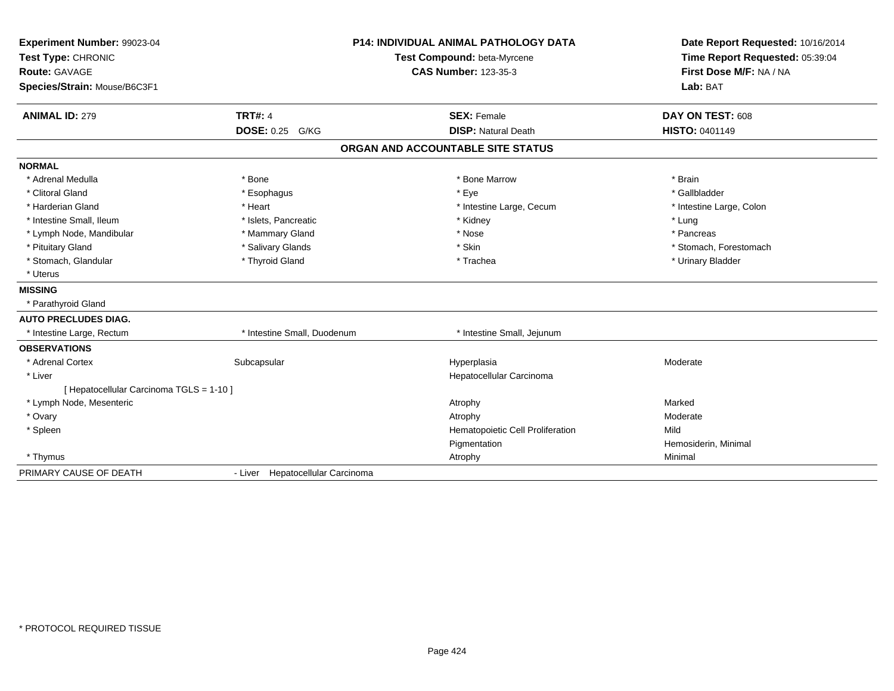| Experiment Number: 99023-04              |                                  | <b>P14: INDIVIDUAL ANIMAL PATHOLOGY DATA</b> | Date Report Requested: 10/16/2014 |
|------------------------------------------|----------------------------------|----------------------------------------------|-----------------------------------|
| Test Type: CHRONIC                       |                                  | Test Compound: beta-Myrcene                  | Time Report Requested: 05:39:04   |
| <b>Route: GAVAGE</b>                     |                                  | <b>CAS Number: 123-35-3</b>                  | First Dose M/F: NA / NA           |
| Species/Strain: Mouse/B6C3F1             |                                  |                                              | Lab: BAT                          |
| <b>ANIMAL ID: 279</b>                    | <b>TRT#: 4</b>                   | <b>SEX: Female</b>                           | DAY ON TEST: 608                  |
|                                          | DOSE: 0.25 G/KG                  | <b>DISP: Natural Death</b>                   | <b>HISTO: 0401149</b>             |
|                                          |                                  | ORGAN AND ACCOUNTABLE SITE STATUS            |                                   |
| <b>NORMAL</b>                            |                                  |                                              |                                   |
| * Adrenal Medulla                        | * Bone                           | * Bone Marrow                                | * Brain                           |
| * Clitoral Gland                         | * Esophagus                      | * Eye                                        | * Gallbladder                     |
| * Harderian Gland                        | * Heart                          | * Intestine Large, Cecum                     | * Intestine Large, Colon          |
| * Intestine Small, Ileum                 | * Islets, Pancreatic             | * Kidney                                     | * Lung                            |
| * Lymph Node, Mandibular                 | * Mammary Gland                  | * Nose                                       | * Pancreas                        |
| * Pituitary Gland                        | * Salivary Glands                | * Skin                                       | * Stomach, Forestomach            |
| * Stomach, Glandular                     | * Thyroid Gland                  | * Trachea                                    | * Urinary Bladder                 |
| * Uterus                                 |                                  |                                              |                                   |
| <b>MISSING</b>                           |                                  |                                              |                                   |
| * Parathyroid Gland                      |                                  |                                              |                                   |
| <b>AUTO PRECLUDES DIAG.</b>              |                                  |                                              |                                   |
| * Intestine Large, Rectum                | * Intestine Small, Duodenum      | * Intestine Small, Jejunum                   |                                   |
| <b>OBSERVATIONS</b>                      |                                  |                                              |                                   |
| * Adrenal Cortex                         | Subcapsular                      | Hyperplasia                                  | Moderate                          |
| * Liver                                  |                                  | Hepatocellular Carcinoma                     |                                   |
| [ Hepatocellular Carcinoma TGLS = 1-10 ] |                                  |                                              |                                   |
| * Lymph Node, Mesenteric                 |                                  | Atrophy                                      | Marked                            |
| * Ovary                                  |                                  | Atrophy                                      | Moderate                          |
| * Spleen                                 |                                  | Hematopoietic Cell Proliferation             | Mild                              |
|                                          |                                  | Pigmentation                                 | Hemosiderin, Minimal              |
| * Thymus                                 |                                  | Atrophy                                      | Minimal                           |
| PRIMARY CAUSE OF DEATH                   | - Liver Hepatocellular Carcinoma |                                              |                                   |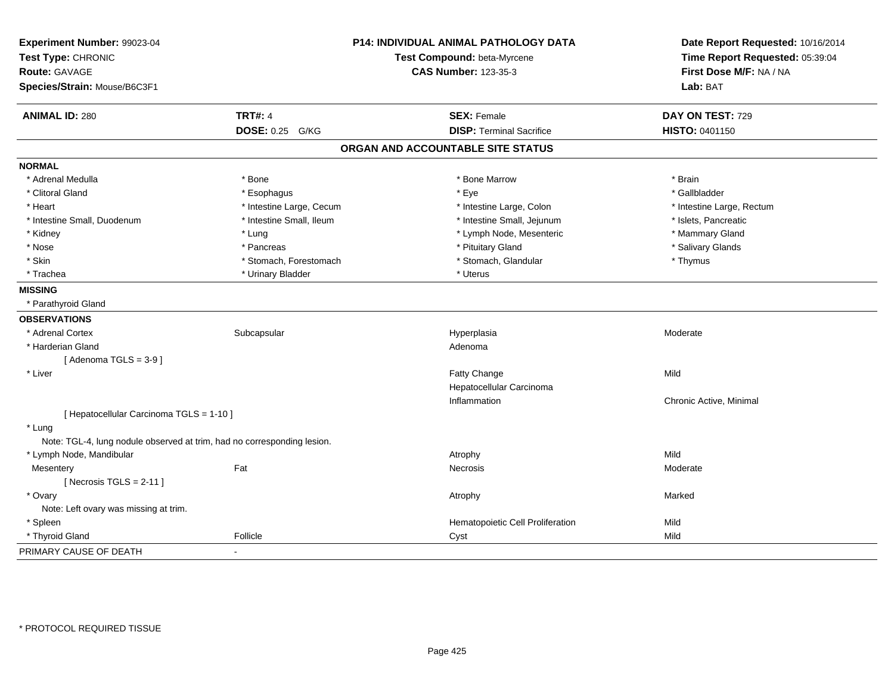| Experiment Number: 99023-04<br>Test Type: CHRONIC                       |                          | P14: INDIVIDUAL ANIMAL PATHOLOGY DATA<br>Test Compound: beta-Myrcene | Date Report Requested: 10/16/2014<br>Time Report Requested: 05:39:04 |
|-------------------------------------------------------------------------|--------------------------|----------------------------------------------------------------------|----------------------------------------------------------------------|
| <b>Route: GAVAGE</b>                                                    |                          | <b>CAS Number: 123-35-3</b>                                          | First Dose M/F: NA / NA                                              |
| Species/Strain: Mouse/B6C3F1                                            |                          |                                                                      | Lab: BAT                                                             |
| <b>ANIMAL ID: 280</b>                                                   | <b>TRT#: 4</b>           | <b>SEX: Female</b>                                                   | DAY ON TEST: 729                                                     |
|                                                                         | DOSE: 0.25 G/KG          | <b>DISP: Terminal Sacrifice</b>                                      | HISTO: 0401150                                                       |
|                                                                         |                          | ORGAN AND ACCOUNTABLE SITE STATUS                                    |                                                                      |
| <b>NORMAL</b>                                                           |                          |                                                                      |                                                                      |
| * Adrenal Medulla                                                       | * Bone                   | * Bone Marrow                                                        | * Brain                                                              |
| * Clitoral Gland                                                        | * Esophagus              | * Eye                                                                | * Gallbladder                                                        |
| * Heart                                                                 | * Intestine Large, Cecum | * Intestine Large, Colon                                             | * Intestine Large, Rectum                                            |
| * Intestine Small, Duodenum                                             | * Intestine Small, Ileum | * Intestine Small, Jejunum                                           | * Islets, Pancreatic                                                 |
| * Kidney                                                                | * Lung                   | * Lymph Node, Mesenteric                                             | * Mammary Gland                                                      |
| * Nose                                                                  | * Pancreas               | * Pituitary Gland                                                    | * Salivary Glands                                                    |
| * Skin                                                                  | * Stomach, Forestomach   | * Stomach, Glandular                                                 | * Thymus                                                             |
| * Trachea                                                               | * Urinary Bladder        | * Uterus                                                             |                                                                      |
| <b>MISSING</b>                                                          |                          |                                                                      |                                                                      |
| * Parathyroid Gland                                                     |                          |                                                                      |                                                                      |
| <b>OBSERVATIONS</b>                                                     |                          |                                                                      |                                                                      |
| * Adrenal Cortex                                                        | Subcapsular              | Hyperplasia                                                          | Moderate                                                             |
| * Harderian Gland                                                       |                          | Adenoma                                                              |                                                                      |
| [Adenoma TGLS = $3-9$ ]                                                 |                          |                                                                      |                                                                      |
| * Liver                                                                 |                          | <b>Fatty Change</b>                                                  | Mild                                                                 |
|                                                                         |                          | Hepatocellular Carcinoma                                             |                                                                      |
|                                                                         |                          | Inflammation                                                         | Chronic Active, Minimal                                              |
| [ Hepatocellular Carcinoma TGLS = 1-10 ]                                |                          |                                                                      |                                                                      |
| * Lung                                                                  |                          |                                                                      |                                                                      |
| Note: TGL-4, lung nodule observed at trim, had no corresponding lesion. |                          |                                                                      |                                                                      |
| * Lymph Node, Mandibular                                                |                          | Atrophy                                                              | Mild                                                                 |
| Mesentery                                                               | Fat                      | Necrosis                                                             | Moderate                                                             |
| [Necrosis TGLS = $2-11$ ]                                               |                          |                                                                      |                                                                      |
| * Ovary                                                                 |                          | Atrophy                                                              | Marked                                                               |
| Note: Left ovary was missing at trim.                                   |                          |                                                                      |                                                                      |
| * Spleen                                                                |                          | Hematopoietic Cell Proliferation                                     | Mild                                                                 |
| * Thyroid Gland                                                         | Follicle                 | Cyst                                                                 | Mild                                                                 |
| PRIMARY CAUSE OF DEATH                                                  | $\blacksquare$           |                                                                      |                                                                      |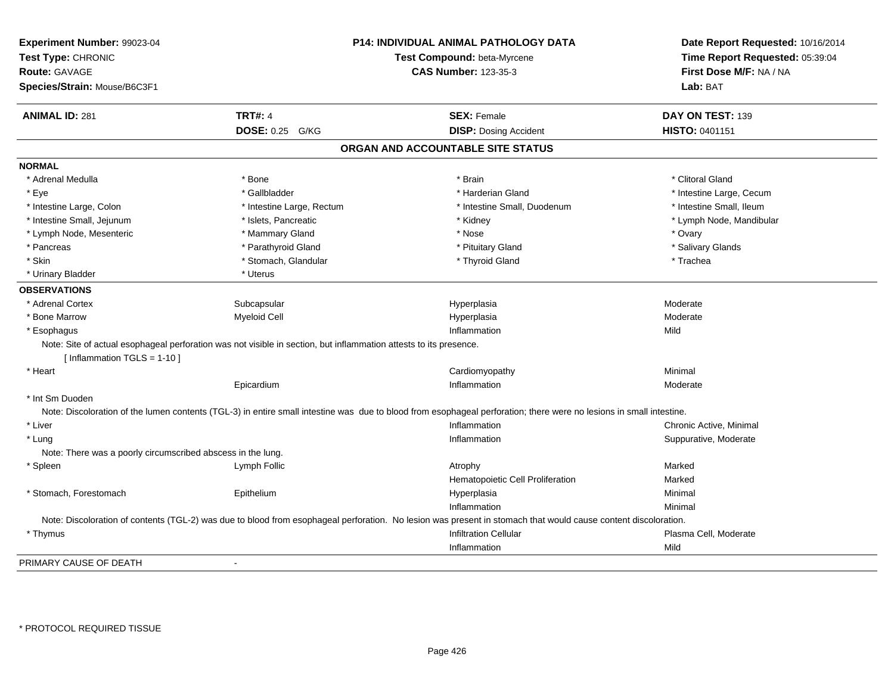| Experiment Number: 99023-04<br>Test Type: CHRONIC<br><b>Route: GAVAGE</b><br>Species/Strain: Mouse/B6C3F1 |                                                                                                                   | P14: INDIVIDUAL ANIMAL PATHOLOGY DATA<br>Test Compound: beta-Myrcene<br><b>CAS Number: 123-35-3</b>                                                                 | Date Report Requested: 10/16/2014<br>Time Report Requested: 05:39:04<br>First Dose M/F: NA / NA<br>Lab: BAT |
|-----------------------------------------------------------------------------------------------------------|-------------------------------------------------------------------------------------------------------------------|---------------------------------------------------------------------------------------------------------------------------------------------------------------------|-------------------------------------------------------------------------------------------------------------|
| <b>ANIMAL ID: 281</b>                                                                                     | <b>TRT#: 4</b>                                                                                                    | <b>SEX: Female</b>                                                                                                                                                  | DAY ON TEST: 139                                                                                            |
|                                                                                                           | <b>DOSE: 0.25 G/KG</b>                                                                                            | <b>DISP: Dosing Accident</b>                                                                                                                                        | HISTO: 0401151                                                                                              |
|                                                                                                           |                                                                                                                   | ORGAN AND ACCOUNTABLE SITE STATUS                                                                                                                                   |                                                                                                             |
| <b>NORMAL</b>                                                                                             |                                                                                                                   |                                                                                                                                                                     |                                                                                                             |
| * Adrenal Medulla                                                                                         | * Bone                                                                                                            | * Brain                                                                                                                                                             | * Clitoral Gland                                                                                            |
| * Eye                                                                                                     | * Gallbladder                                                                                                     | * Harderian Gland                                                                                                                                                   | * Intestine Large, Cecum                                                                                    |
| * Intestine Large, Colon                                                                                  | * Intestine Large, Rectum                                                                                         | * Intestine Small, Duodenum                                                                                                                                         | * Intestine Small, Ileum                                                                                    |
| * Intestine Small, Jejunum                                                                                | * Islets, Pancreatic                                                                                              | * Kidney                                                                                                                                                            | * Lymph Node, Mandibular                                                                                    |
| * Lymph Node, Mesenteric                                                                                  | * Mammary Gland                                                                                                   | * Nose                                                                                                                                                              | * Ovary                                                                                                     |
| * Pancreas                                                                                                | * Parathyroid Gland                                                                                               | * Pituitary Gland                                                                                                                                                   | * Salivary Glands                                                                                           |
| * Skin                                                                                                    | * Stomach, Glandular                                                                                              | * Thyroid Gland                                                                                                                                                     | * Trachea                                                                                                   |
| * Urinary Bladder                                                                                         | * Uterus                                                                                                          |                                                                                                                                                                     |                                                                                                             |
| <b>OBSERVATIONS</b>                                                                                       |                                                                                                                   |                                                                                                                                                                     |                                                                                                             |
| * Adrenal Cortex                                                                                          | Subcapsular                                                                                                       | Hyperplasia                                                                                                                                                         | Moderate                                                                                                    |
| * Bone Marrow                                                                                             | Myeloid Cell                                                                                                      | Hyperplasia                                                                                                                                                         | Moderate                                                                                                    |
| * Esophagus                                                                                               |                                                                                                                   | Inflammation                                                                                                                                                        | Mild                                                                                                        |
| [Inflammation TGLS = $1-10$ ]                                                                             | Note: Site of actual esophageal perforation was not visible in section, but inflammation attests to its presence. |                                                                                                                                                                     |                                                                                                             |
| * Heart                                                                                                   |                                                                                                                   | Cardiomyopathy                                                                                                                                                      | Minimal                                                                                                     |
|                                                                                                           | Epicardium                                                                                                        | Inflammation                                                                                                                                                        | Moderate                                                                                                    |
| * Int Sm Duoden                                                                                           |                                                                                                                   | Note: Discoloration of the lumen contents (TGL-3) in entire small intestine was due to blood from esophageal perforation; there were no lesions in small intestine. |                                                                                                             |
| * Liver                                                                                                   |                                                                                                                   | Inflammation                                                                                                                                                        | Chronic Active, Minimal                                                                                     |
| * Lung                                                                                                    |                                                                                                                   | Inflammation                                                                                                                                                        | Suppurative, Moderate                                                                                       |
| Note: There was a poorly circumscribed abscess in the lung.                                               |                                                                                                                   |                                                                                                                                                                     |                                                                                                             |
| * Spleen                                                                                                  | Lymph Follic                                                                                                      | Atrophy                                                                                                                                                             | Marked                                                                                                      |
|                                                                                                           |                                                                                                                   | Hematopoietic Cell Proliferation                                                                                                                                    | Marked                                                                                                      |
| * Stomach, Forestomach                                                                                    | Epithelium                                                                                                        | Hyperplasia                                                                                                                                                         | Minimal                                                                                                     |
|                                                                                                           |                                                                                                                   | Inflammation                                                                                                                                                        | Minimal                                                                                                     |
|                                                                                                           |                                                                                                                   | Note: Discoloration of contents (TGL-2) was due to blood from esophageal perforation. No lesion was present in stomach that would cause content discoloration.      |                                                                                                             |
| * Thymus                                                                                                  |                                                                                                                   | <b>Infiltration Cellular</b>                                                                                                                                        | Plasma Cell, Moderate                                                                                       |
|                                                                                                           |                                                                                                                   | Inflammation                                                                                                                                                        | Mild                                                                                                        |
| PRIMARY CAUSE OF DEATH                                                                                    |                                                                                                                   |                                                                                                                                                                     |                                                                                                             |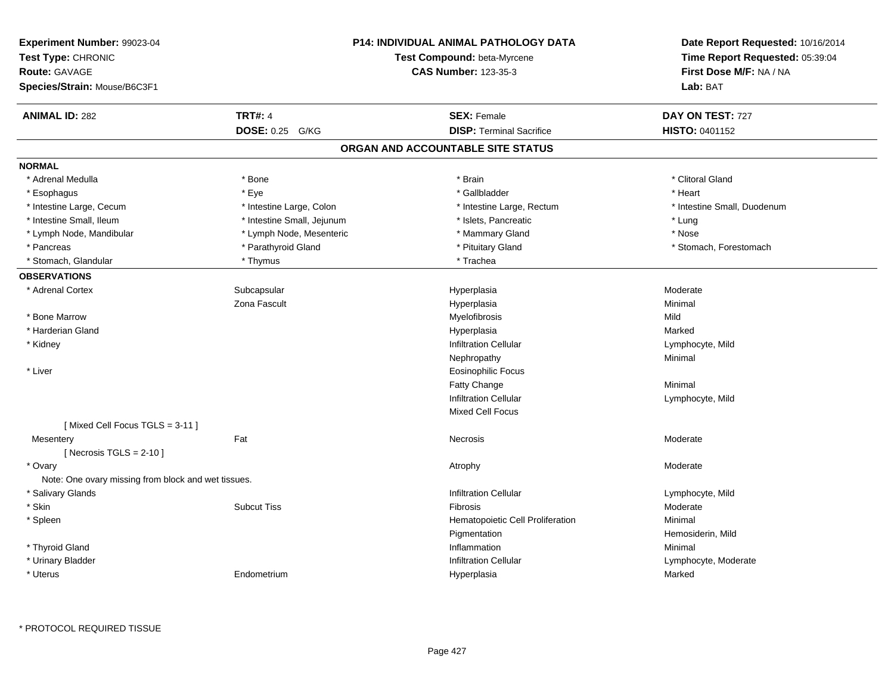| Experiment Number: 99023-04<br>Test Type: CHRONIC<br>Route: GAVAGE<br>Species/Strain: Mouse/B6C3F1 |                            | P14: INDIVIDUAL ANIMAL PATHOLOGY DATA<br>Test Compound: beta-Myrcene<br><b>CAS Number: 123-35-3</b> | Date Report Requested: 10/16/2014<br>Time Report Requested: 05:39:04<br>First Dose M/F: NA / NA<br>Lab: BAT |
|----------------------------------------------------------------------------------------------------|----------------------------|-----------------------------------------------------------------------------------------------------|-------------------------------------------------------------------------------------------------------------|
| <b>ANIMAL ID: 282</b>                                                                              | <b>TRT#: 4</b>             | <b>SEX: Female</b>                                                                                  | DAY ON TEST: 727                                                                                            |
|                                                                                                    | DOSE: 0.25 G/KG            | <b>DISP: Terminal Sacrifice</b>                                                                     | HISTO: 0401152                                                                                              |
|                                                                                                    |                            | ORGAN AND ACCOUNTABLE SITE STATUS                                                                   |                                                                                                             |
| <b>NORMAL</b>                                                                                      |                            |                                                                                                     |                                                                                                             |
| * Adrenal Medulla                                                                                  | * Bone                     | * Brain                                                                                             | * Clitoral Gland                                                                                            |
| * Esophagus                                                                                        | * Eye                      | * Gallbladder                                                                                       | * Heart                                                                                                     |
| * Intestine Large, Cecum                                                                           | * Intestine Large, Colon   | * Intestine Large, Rectum                                                                           | * Intestine Small, Duodenum                                                                                 |
| * Intestine Small, Ileum                                                                           | * Intestine Small, Jejunum | * Islets, Pancreatic                                                                                | * Lung                                                                                                      |
| * Lymph Node, Mandibular                                                                           | * Lymph Node, Mesenteric   | * Mammary Gland                                                                                     | * Nose                                                                                                      |
| * Pancreas                                                                                         | * Parathyroid Gland        | * Pituitary Gland                                                                                   | * Stomach, Forestomach                                                                                      |
| * Stomach, Glandular                                                                               | * Thymus                   | * Trachea                                                                                           |                                                                                                             |
| <b>OBSERVATIONS</b>                                                                                |                            |                                                                                                     |                                                                                                             |
| * Adrenal Cortex                                                                                   | Subcapsular                | Hyperplasia                                                                                         | Moderate                                                                                                    |
|                                                                                                    | Zona Fascult               | Hyperplasia                                                                                         | Minimal                                                                                                     |
| * Bone Marrow                                                                                      |                            | Myelofibrosis                                                                                       | Mild                                                                                                        |
| * Harderian Gland                                                                                  |                            | Hyperplasia                                                                                         | Marked                                                                                                      |
| * Kidney                                                                                           |                            | <b>Infiltration Cellular</b>                                                                        | Lymphocyte, Mild                                                                                            |
|                                                                                                    |                            | Nephropathy                                                                                         | Minimal                                                                                                     |
| * Liver                                                                                            |                            | <b>Eosinophilic Focus</b>                                                                           |                                                                                                             |
|                                                                                                    |                            | Fatty Change                                                                                        | Minimal                                                                                                     |
|                                                                                                    |                            | <b>Infiltration Cellular</b>                                                                        | Lymphocyte, Mild                                                                                            |
|                                                                                                    |                            | <b>Mixed Cell Focus</b>                                                                             |                                                                                                             |
| [Mixed Cell Focus TGLS = 3-11]                                                                     |                            |                                                                                                     |                                                                                                             |
| Mesentery                                                                                          | Fat                        | Necrosis                                                                                            | Moderate                                                                                                    |
| [Necrosis TGLS = $2-10$ ]                                                                          |                            |                                                                                                     |                                                                                                             |
| * Ovary                                                                                            |                            | Atrophy                                                                                             | Moderate                                                                                                    |
| Note: One ovary missing from block and wet tissues.                                                |                            |                                                                                                     |                                                                                                             |
| * Salivary Glands                                                                                  |                            | <b>Infiltration Cellular</b>                                                                        | Lymphocyte, Mild                                                                                            |
| * Skin                                                                                             | <b>Subcut Tiss</b>         | Fibrosis                                                                                            | Moderate                                                                                                    |
| * Spleen                                                                                           |                            | Hematopoietic Cell Proliferation                                                                    | Minimal                                                                                                     |
|                                                                                                    |                            | Pigmentation                                                                                        | Hemosiderin, Mild                                                                                           |
| * Thyroid Gland                                                                                    |                            | Inflammation                                                                                        | Minimal                                                                                                     |
| * Urinary Bladder                                                                                  |                            | <b>Infiltration Cellular</b>                                                                        | Lymphocyte, Moderate                                                                                        |
| * Uterus                                                                                           | Endometrium                | Hyperplasia                                                                                         | Marked                                                                                                      |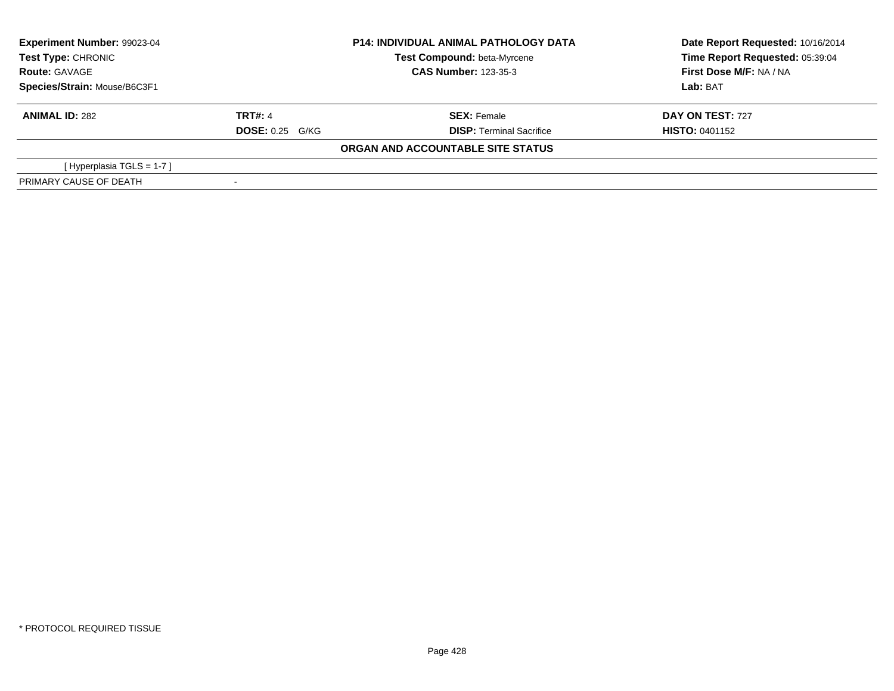| <b>Experiment Number: 99023-04</b><br>Test Type: CHRONIC<br><b>Route: GAVAGE</b> |                        | <b>P14: INDIVIDUAL ANIMAL PATHOLOGY DATA</b><br>Test Compound: beta-Myrcene | Date Report Requested: 10/16/2014<br>Time Report Requested: 05:39:04 |
|----------------------------------------------------------------------------------|------------------------|-----------------------------------------------------------------------------|----------------------------------------------------------------------|
|                                                                                  |                        | <b>CAS Number: 123-35-3</b>                                                 | First Dose M/F: NA / NA                                              |
| Species/Strain: Mouse/B6C3F1                                                     |                        |                                                                             | Lab: BAT                                                             |
| <b>ANIMAL ID: 282</b>                                                            | <b>TRT#: 4</b>         | <b>SEX: Female</b>                                                          | <b>DAY ON TEST: 727</b>                                              |
|                                                                                  | <b>DOSE: 0.25 G/KG</b> | <b>DISP:</b> Terminal Sacrifice                                             | <b>HISTO: 0401152</b>                                                |
|                                                                                  |                        | ORGAN AND ACCOUNTABLE SITE STATUS                                           |                                                                      |
| [Hyperplasia TGLS = $1-7$ ]                                                      |                        |                                                                             |                                                                      |
| PRIMARY CAUSE OF DEATH                                                           |                        |                                                                             |                                                                      |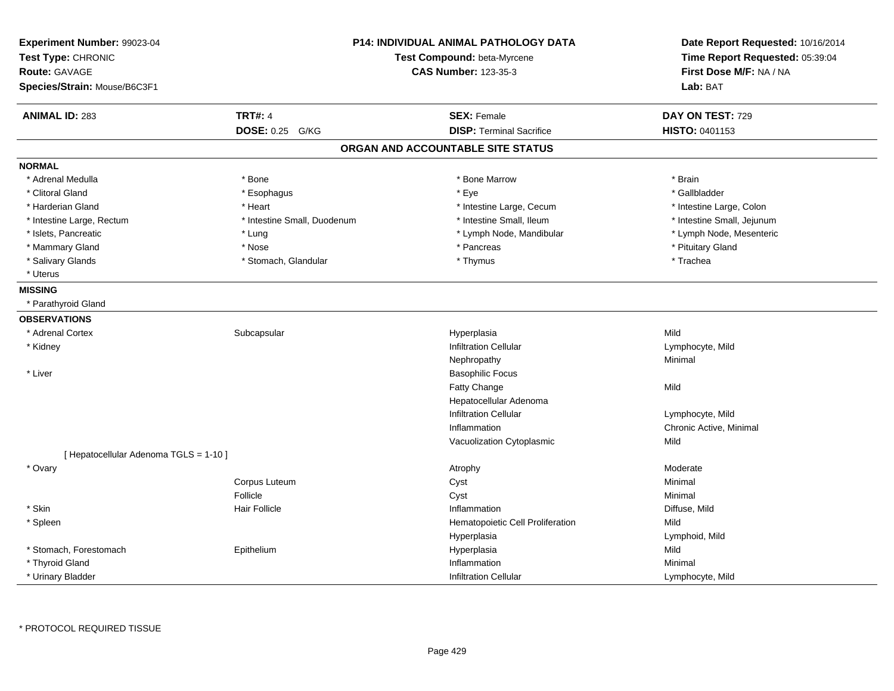| Experiment Number: 99023-04<br>Test Type: CHRONIC<br><b>Route: GAVAGE</b><br>Species/Strain: Mouse/B6C3F1 |                             | <b>P14: INDIVIDUAL ANIMAL PATHOLOGY DATA</b><br>Test Compound: beta-Myrcene<br><b>CAS Number: 123-35-3</b> | Date Report Requested: 10/16/2014<br>Time Report Requested: 05:39:04<br>First Dose M/F: NA / NA<br>Lab: BAT |
|-----------------------------------------------------------------------------------------------------------|-----------------------------|------------------------------------------------------------------------------------------------------------|-------------------------------------------------------------------------------------------------------------|
| <b>ANIMAL ID: 283</b>                                                                                     | <b>TRT#: 4</b>              | <b>SEX: Female</b>                                                                                         | DAY ON TEST: 729                                                                                            |
|                                                                                                           | DOSE: 0.25 G/KG             | <b>DISP: Terminal Sacrifice</b>                                                                            | <b>HISTO: 0401153</b>                                                                                       |
|                                                                                                           |                             | ORGAN AND ACCOUNTABLE SITE STATUS                                                                          |                                                                                                             |
| <b>NORMAL</b>                                                                                             |                             |                                                                                                            |                                                                                                             |
| * Adrenal Medulla                                                                                         | * Bone                      | * Bone Marrow                                                                                              | * Brain                                                                                                     |
| * Clitoral Gland                                                                                          | * Esophagus                 | * Eye                                                                                                      | * Gallbladder                                                                                               |
| * Harderian Gland                                                                                         | * Heart                     | * Intestine Large, Cecum                                                                                   | * Intestine Large, Colon                                                                                    |
| * Intestine Large, Rectum                                                                                 | * Intestine Small, Duodenum | * Intestine Small, Ileum                                                                                   | * Intestine Small, Jejunum                                                                                  |
| * Islets, Pancreatic                                                                                      | * Lung                      | * Lymph Node, Mandibular                                                                                   | * Lymph Node, Mesenteric                                                                                    |
| * Mammary Gland                                                                                           | * Nose                      | * Pancreas                                                                                                 | * Pituitary Gland                                                                                           |
| * Salivary Glands                                                                                         | * Stomach, Glandular        | * Thymus                                                                                                   | * Trachea                                                                                                   |
| * Uterus                                                                                                  |                             |                                                                                                            |                                                                                                             |
| <b>MISSING</b>                                                                                            |                             |                                                                                                            |                                                                                                             |
| * Parathyroid Gland                                                                                       |                             |                                                                                                            |                                                                                                             |
| <b>OBSERVATIONS</b>                                                                                       |                             |                                                                                                            |                                                                                                             |
| * Adrenal Cortex                                                                                          | Subcapsular                 | Hyperplasia                                                                                                | Mild                                                                                                        |
| * Kidney                                                                                                  |                             | <b>Infiltration Cellular</b>                                                                               | Lymphocyte, Mild                                                                                            |
|                                                                                                           |                             | Nephropathy                                                                                                | Minimal                                                                                                     |
| * Liver                                                                                                   |                             | <b>Basophilic Focus</b>                                                                                    |                                                                                                             |
|                                                                                                           |                             | Fatty Change                                                                                               | Mild                                                                                                        |
|                                                                                                           |                             | Hepatocellular Adenoma                                                                                     |                                                                                                             |
|                                                                                                           |                             | <b>Infiltration Cellular</b>                                                                               | Lymphocyte, Mild                                                                                            |
|                                                                                                           |                             | Inflammation                                                                                               | Chronic Active, Minimal                                                                                     |
|                                                                                                           |                             | Vacuolization Cytoplasmic                                                                                  | Mild                                                                                                        |
| [ Hepatocellular Adenoma TGLS = 1-10 ]                                                                    |                             |                                                                                                            |                                                                                                             |
| * Ovary                                                                                                   |                             | Atrophy                                                                                                    | Moderate                                                                                                    |
|                                                                                                           | Corpus Luteum               | Cyst                                                                                                       | Minimal                                                                                                     |
|                                                                                                           | Follicle                    | Cyst                                                                                                       | Minimal                                                                                                     |
| * Skin                                                                                                    | <b>Hair Follicle</b>        | Inflammation                                                                                               | Diffuse, Mild                                                                                               |
| * Spleen                                                                                                  |                             | Hematopoietic Cell Proliferation                                                                           | Mild                                                                                                        |
|                                                                                                           |                             | Hyperplasia                                                                                                | Lymphoid, Mild                                                                                              |
| * Stomach, Forestomach                                                                                    | Epithelium                  | Hyperplasia                                                                                                | Mild                                                                                                        |
| * Thyroid Gland                                                                                           |                             | Inflammation                                                                                               | Minimal                                                                                                     |
| * Urinary Bladder                                                                                         |                             | <b>Infiltration Cellular</b>                                                                               | Lymphocyte, Mild                                                                                            |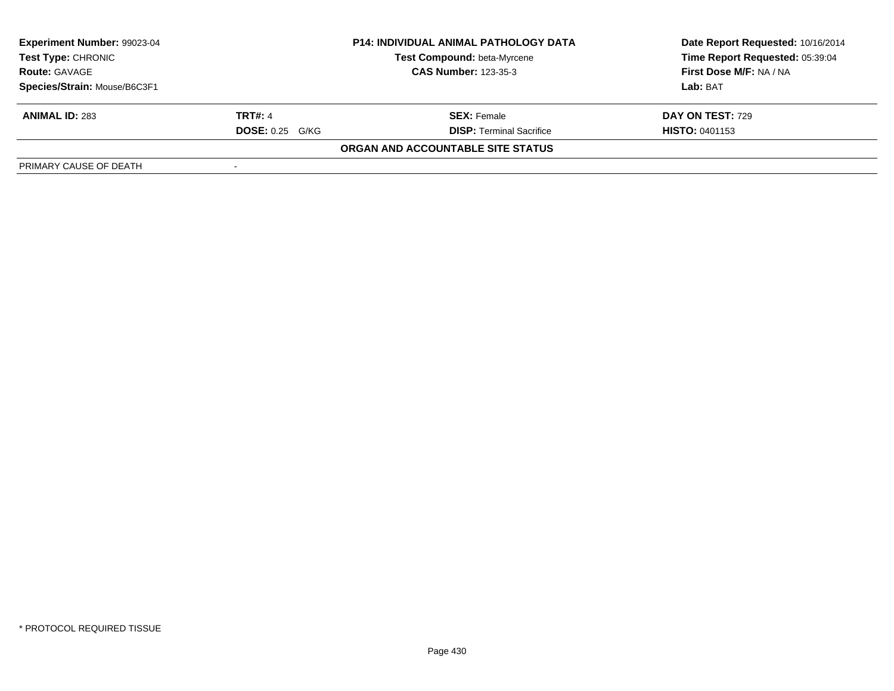| Experiment Number: 99023-04                       |                        | <b>P14: INDIVIDUAL ANIMAL PATHOLOGY DATA</b> | Date Report Requested: 10/16/2014 |  |
|---------------------------------------------------|------------------------|----------------------------------------------|-----------------------------------|--|
| <b>Test Type: CHRONIC</b><br><b>Route: GAVAGE</b> |                        | <b>Test Compound: beta-Myrcene</b>           | Time Report Requested: 05:39:04   |  |
|                                                   |                        | <b>CAS Number: 123-35-3</b>                  | First Dose M/F: NA / NA           |  |
| Species/Strain: Mouse/B6C3F1                      |                        |                                              | Lab: BAT                          |  |
| <b>ANIMAL ID: 283</b>                             | <b>TRT#: 4</b>         | <b>SEX: Female</b>                           | DAY ON TEST: 729                  |  |
|                                                   | <b>DOSE: 0.25 G/KG</b> | <b>DISP: Terminal Sacrifice</b>              | <b>HISTO: 0401153</b>             |  |
|                                                   |                        | ORGAN AND ACCOUNTABLE SITE STATUS            |                                   |  |
| PRIMARY CAUSE OF DEATH                            |                        |                                              |                                   |  |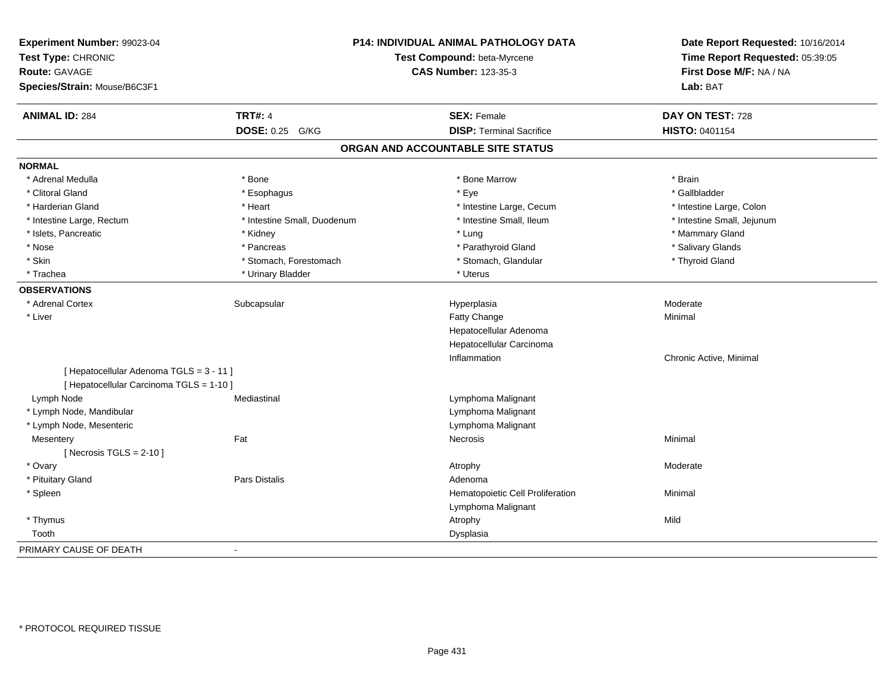| Experiment Number: 99023-04<br>Test Type: CHRONIC<br><b>Route: GAVAGE</b><br>Species/Strain: Mouse/B6C3F1 |                             | P14: INDIVIDUAL ANIMAL PATHOLOGY DATA<br>Test Compound: beta-Myrcene<br><b>CAS Number: 123-35-3</b> | Date Report Requested: 10/16/2014<br>Time Report Requested: 05:39:05<br>First Dose M/F: NA / NA<br>Lab: BAT |
|-----------------------------------------------------------------------------------------------------------|-----------------------------|-----------------------------------------------------------------------------------------------------|-------------------------------------------------------------------------------------------------------------|
|                                                                                                           |                             |                                                                                                     |                                                                                                             |
| <b>ANIMAL ID: 284</b>                                                                                     | <b>TRT#: 4</b>              | <b>SEX: Female</b>                                                                                  | DAY ON TEST: 728                                                                                            |
|                                                                                                           | DOSE: 0.25 G/KG             | <b>DISP: Terminal Sacrifice</b>                                                                     | HISTO: 0401154                                                                                              |
|                                                                                                           |                             | ORGAN AND ACCOUNTABLE SITE STATUS                                                                   |                                                                                                             |
| <b>NORMAL</b>                                                                                             |                             |                                                                                                     |                                                                                                             |
| * Adrenal Medulla                                                                                         | * Bone                      | * Bone Marrow                                                                                       | * Brain                                                                                                     |
| * Clitoral Gland                                                                                          | * Esophagus                 | * Eye                                                                                               | * Gallbladder                                                                                               |
| * Harderian Gland                                                                                         | * Heart                     | * Intestine Large, Cecum                                                                            | * Intestine Large, Colon                                                                                    |
| * Intestine Large, Rectum                                                                                 | * Intestine Small, Duodenum | * Intestine Small, Ileum                                                                            | * Intestine Small, Jejunum                                                                                  |
| * Islets, Pancreatic                                                                                      | * Kidney                    | * Lung                                                                                              | * Mammary Gland                                                                                             |
| * Nose                                                                                                    | * Pancreas                  | * Parathyroid Gland                                                                                 | * Salivary Glands                                                                                           |
| * Skin                                                                                                    | * Stomach, Forestomach      | * Stomach, Glandular                                                                                | * Thyroid Gland                                                                                             |
| * Trachea                                                                                                 | * Urinary Bladder           | * Uterus                                                                                            |                                                                                                             |
| <b>OBSERVATIONS</b>                                                                                       |                             |                                                                                                     |                                                                                                             |
| * Adrenal Cortex                                                                                          | Subcapsular                 | Hyperplasia                                                                                         | Moderate                                                                                                    |
| * Liver                                                                                                   |                             | Fatty Change                                                                                        | Minimal                                                                                                     |
|                                                                                                           |                             | Hepatocellular Adenoma                                                                              |                                                                                                             |
|                                                                                                           |                             | Hepatocellular Carcinoma                                                                            |                                                                                                             |
|                                                                                                           |                             | Inflammation                                                                                        | Chronic Active, Minimal                                                                                     |
| [Hepatocellular Adenoma TGLS = 3 - 11]                                                                    |                             |                                                                                                     |                                                                                                             |
| [ Hepatocellular Carcinoma TGLS = 1-10 ]                                                                  |                             |                                                                                                     |                                                                                                             |
| Lymph Node                                                                                                | Mediastinal                 | Lymphoma Malignant                                                                                  |                                                                                                             |
| * Lymph Node, Mandibular                                                                                  |                             | Lymphoma Malignant                                                                                  |                                                                                                             |
| * Lymph Node, Mesenteric                                                                                  |                             | Lymphoma Malignant                                                                                  |                                                                                                             |
| Mesentery                                                                                                 | Fat                         | <b>Necrosis</b>                                                                                     | Minimal                                                                                                     |
| [ Necrosis TGLS = $2-10$ ]                                                                                |                             |                                                                                                     |                                                                                                             |
| * Ovary                                                                                                   |                             | Atrophy                                                                                             | Moderate                                                                                                    |
| * Pituitary Gland                                                                                         | Pars Distalis               | Adenoma                                                                                             |                                                                                                             |
| * Spleen                                                                                                  |                             | Hematopoietic Cell Proliferation                                                                    | Minimal                                                                                                     |
|                                                                                                           |                             | Lymphoma Malignant                                                                                  |                                                                                                             |
| * Thymus                                                                                                  |                             | Atrophy                                                                                             | Mild                                                                                                        |
| Tooth                                                                                                     |                             | Dysplasia                                                                                           |                                                                                                             |
| PRIMARY CAUSE OF DEATH                                                                                    | $\sim$                      |                                                                                                     |                                                                                                             |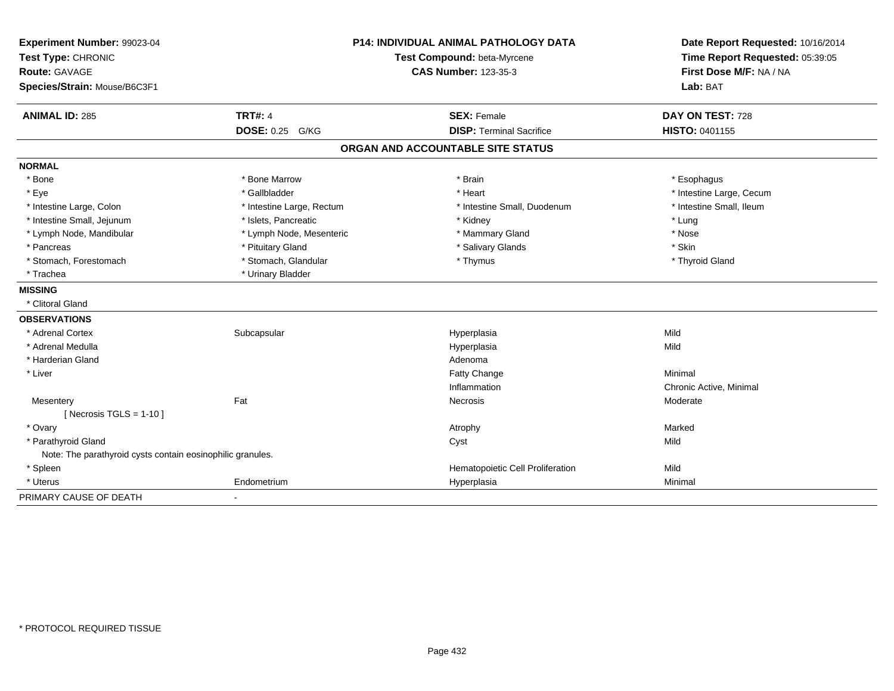| Experiment Number: 99023-04<br>Test Type: CHRONIC<br><b>Route: GAVAGE</b><br>Species/Strain: Mouse/B6C3F1 | <b>P14: INDIVIDUAL ANIMAL PATHOLOGY DATA</b><br>Test Compound: beta-Myrcene<br><b>CAS Number: 123-35-3</b> |                                   | Date Report Requested: 10/16/2014<br>Time Report Requested: 05:39:05<br>First Dose M/F: NA / NA<br>Lab: BAT |  |
|-----------------------------------------------------------------------------------------------------------|------------------------------------------------------------------------------------------------------------|-----------------------------------|-------------------------------------------------------------------------------------------------------------|--|
| <b>ANIMAL ID: 285</b>                                                                                     | <b>TRT#: 4</b>                                                                                             | <b>SEX: Female</b>                | DAY ON TEST: 728                                                                                            |  |
|                                                                                                           | DOSE: 0.25 G/KG                                                                                            | <b>DISP: Terminal Sacrifice</b>   | HISTO: 0401155                                                                                              |  |
|                                                                                                           |                                                                                                            | ORGAN AND ACCOUNTABLE SITE STATUS |                                                                                                             |  |
| <b>NORMAL</b>                                                                                             |                                                                                                            |                                   |                                                                                                             |  |
| * Bone                                                                                                    | * Bone Marrow                                                                                              | * Brain                           | * Esophagus                                                                                                 |  |
| * Eye                                                                                                     | * Gallbladder                                                                                              | * Heart                           | * Intestine Large, Cecum                                                                                    |  |
| * Intestine Large, Colon                                                                                  | * Intestine Large, Rectum                                                                                  | * Intestine Small, Duodenum       | * Intestine Small, Ileum                                                                                    |  |
| * Intestine Small, Jejunum                                                                                | * Islets, Pancreatic                                                                                       | * Kidney                          | * Lung                                                                                                      |  |
| * Lymph Node, Mandibular                                                                                  | * Lymph Node, Mesenteric                                                                                   | * Mammary Gland                   | * Nose                                                                                                      |  |
| * Pancreas                                                                                                | * Pituitary Gland                                                                                          | * Salivary Glands                 | * Skin                                                                                                      |  |
| * Stomach, Forestomach                                                                                    | * Stomach, Glandular                                                                                       | * Thymus                          | * Thyroid Gland                                                                                             |  |
| * Trachea                                                                                                 | * Urinary Bladder                                                                                          |                                   |                                                                                                             |  |
| <b>MISSING</b>                                                                                            |                                                                                                            |                                   |                                                                                                             |  |
| * Clitoral Gland                                                                                          |                                                                                                            |                                   |                                                                                                             |  |
| <b>OBSERVATIONS</b>                                                                                       |                                                                                                            |                                   |                                                                                                             |  |
| * Adrenal Cortex                                                                                          | Subcapsular                                                                                                | Hyperplasia                       | Mild                                                                                                        |  |
| * Adrenal Medulla                                                                                         |                                                                                                            | Hyperplasia                       | Mild                                                                                                        |  |
| * Harderian Gland                                                                                         |                                                                                                            | Adenoma                           |                                                                                                             |  |
| * Liver                                                                                                   |                                                                                                            | <b>Fatty Change</b>               | Minimal                                                                                                     |  |
|                                                                                                           |                                                                                                            | Inflammation                      | Chronic Active, Minimal                                                                                     |  |
| Mesentery                                                                                                 | Fat                                                                                                        | Necrosis                          | Moderate                                                                                                    |  |
| [Necrosis TGLS = $1-10$ ]                                                                                 |                                                                                                            |                                   |                                                                                                             |  |
| * Ovary                                                                                                   |                                                                                                            | Atrophy                           | Marked                                                                                                      |  |
| * Parathyroid Gland                                                                                       |                                                                                                            | Cyst                              | Mild                                                                                                        |  |
| Note: The parathyroid cysts contain eosinophilic granules.                                                |                                                                                                            |                                   |                                                                                                             |  |
| * Spleen                                                                                                  |                                                                                                            | Hematopoietic Cell Proliferation  | Mild                                                                                                        |  |
| * Uterus                                                                                                  | Endometrium                                                                                                | Hyperplasia                       | Minimal                                                                                                     |  |
| PRIMARY CAUSE OF DEATH                                                                                    |                                                                                                            |                                   |                                                                                                             |  |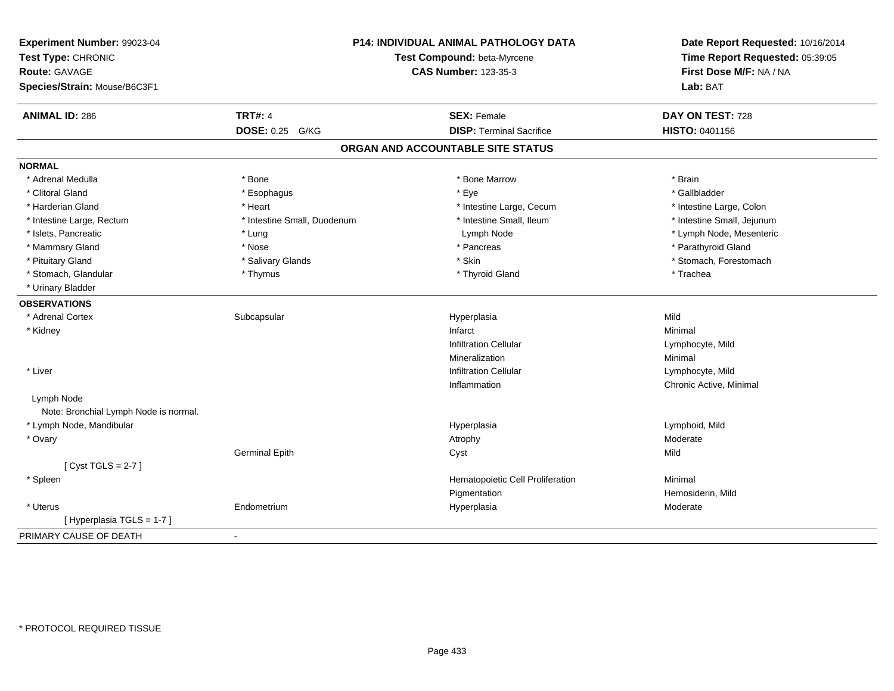| Experiment Number: 99023-04<br>Test Type: CHRONIC<br><b>Route: GAVAGE</b><br>Species/Strain: Mouse/B6C3F1 |                             | P14: INDIVIDUAL ANIMAL PATHOLOGY DATA<br>Test Compound: beta-Myrcene<br><b>CAS Number: 123-35-3</b> | Date Report Requested: 10/16/2014<br>Time Report Requested: 05:39:05<br>First Dose M/F: NA / NA<br>Lab: BAT |
|-----------------------------------------------------------------------------------------------------------|-----------------------------|-----------------------------------------------------------------------------------------------------|-------------------------------------------------------------------------------------------------------------|
|                                                                                                           |                             |                                                                                                     |                                                                                                             |
| <b>ANIMAL ID: 286</b>                                                                                     | <b>TRT#: 4</b>              | <b>SEX: Female</b>                                                                                  | DAY ON TEST: 728                                                                                            |
|                                                                                                           | DOSE: 0.25 G/KG             | <b>DISP: Terminal Sacrifice</b>                                                                     | HISTO: 0401156                                                                                              |
|                                                                                                           |                             | ORGAN AND ACCOUNTABLE SITE STATUS                                                                   |                                                                                                             |
| <b>NORMAL</b>                                                                                             |                             |                                                                                                     |                                                                                                             |
| * Adrenal Medulla                                                                                         | * Bone                      | * Bone Marrow                                                                                       | * Brain                                                                                                     |
| * Clitoral Gland                                                                                          | * Esophagus                 | * Eye                                                                                               | * Gallbladder                                                                                               |
| * Harderian Gland                                                                                         | * Heart                     | * Intestine Large, Cecum                                                                            | * Intestine Large, Colon                                                                                    |
| * Intestine Large, Rectum                                                                                 | * Intestine Small, Duodenum | * Intestine Small, Ileum                                                                            | * Intestine Small, Jejunum                                                                                  |
| * Islets, Pancreatic                                                                                      | * Lung                      | Lymph Node                                                                                          | * Lymph Node, Mesenteric                                                                                    |
| * Mammary Gland                                                                                           | * Nose                      | * Pancreas                                                                                          | * Parathyroid Gland                                                                                         |
| * Pituitary Gland                                                                                         | * Salivary Glands           | * Skin                                                                                              | * Stomach, Forestomach                                                                                      |
| * Stomach, Glandular                                                                                      | * Thymus                    | * Thyroid Gland                                                                                     | * Trachea                                                                                                   |
| * Urinary Bladder                                                                                         |                             |                                                                                                     |                                                                                                             |
| <b>OBSERVATIONS</b>                                                                                       |                             |                                                                                                     |                                                                                                             |
| * Adrenal Cortex                                                                                          | Subcapsular                 | Hyperplasia                                                                                         | Mild                                                                                                        |
| * Kidney                                                                                                  |                             | Infarct                                                                                             | Minimal                                                                                                     |
|                                                                                                           |                             | <b>Infiltration Cellular</b>                                                                        | Lymphocyte, Mild                                                                                            |
|                                                                                                           |                             | Mineralization                                                                                      | Minimal                                                                                                     |
| * Liver                                                                                                   |                             | <b>Infiltration Cellular</b>                                                                        | Lymphocyte, Mild                                                                                            |
|                                                                                                           |                             | Inflammation                                                                                        | Chronic Active, Minimal                                                                                     |
| Lymph Node                                                                                                |                             |                                                                                                     |                                                                                                             |
| Note: Bronchial Lymph Node is normal.                                                                     |                             |                                                                                                     |                                                                                                             |
| * Lymph Node, Mandibular                                                                                  |                             | Hyperplasia                                                                                         | Lymphoid, Mild                                                                                              |
| * Ovary                                                                                                   |                             | Atrophy                                                                                             | Moderate                                                                                                    |
|                                                                                                           | <b>Germinal Epith</b>       | Cyst                                                                                                | Mild                                                                                                        |
| [Cyst TGLS = $2-7$ ]                                                                                      |                             |                                                                                                     |                                                                                                             |
| * Spleen                                                                                                  |                             | Hematopoietic Cell Proliferation                                                                    | Minimal                                                                                                     |
|                                                                                                           |                             | Pigmentation                                                                                        | Hemosiderin, Mild                                                                                           |
| * Uterus                                                                                                  | Endometrium                 | Hyperplasia                                                                                         | Moderate                                                                                                    |
| [Hyperplasia TGLS = 1-7]                                                                                  |                             |                                                                                                     |                                                                                                             |
| PRIMARY CAUSE OF DEATH                                                                                    | $\sim$                      |                                                                                                     |                                                                                                             |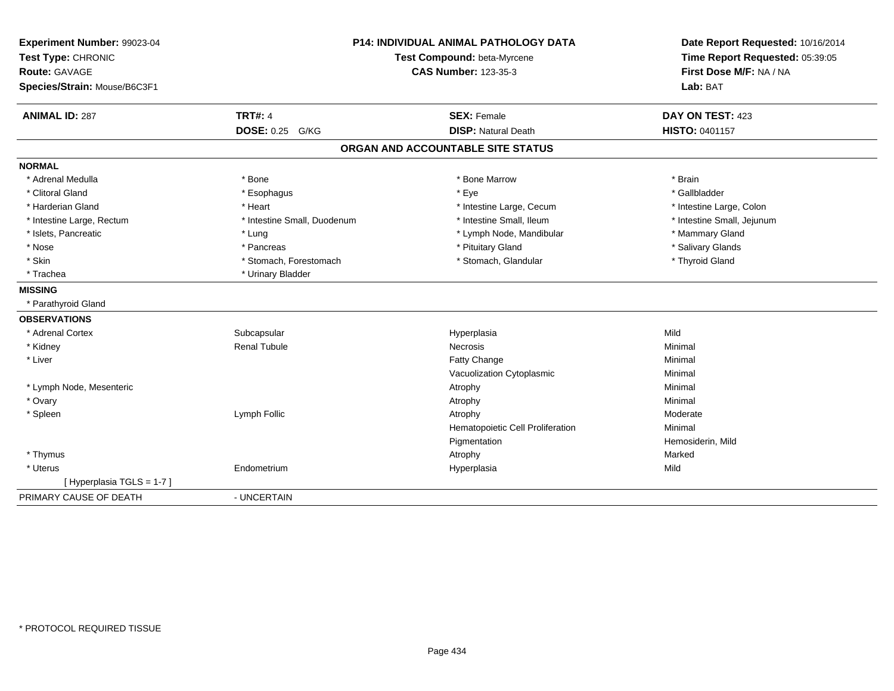| Experiment Number: 99023-04<br>Test Type: CHRONIC<br><b>Route: GAVAGE</b><br>Species/Strain: Mouse/B6C3F1 |                             | P14: INDIVIDUAL ANIMAL PATHOLOGY DATA<br>Test Compound: beta-Myrcene<br><b>CAS Number: 123-35-3</b> | Date Report Requested: 10/16/2014<br>Time Report Requested: 05:39:05<br>First Dose M/F: NA / NA<br>Lab: BAT |
|-----------------------------------------------------------------------------------------------------------|-----------------------------|-----------------------------------------------------------------------------------------------------|-------------------------------------------------------------------------------------------------------------|
| <b>ANIMAL ID: 287</b>                                                                                     | <b>TRT#: 4</b>              | <b>SEX: Female</b>                                                                                  | DAY ON TEST: 423                                                                                            |
|                                                                                                           | <b>DOSE: 0.25</b><br>G/KG   | <b>DISP: Natural Death</b>                                                                          | HISTO: 0401157                                                                                              |
|                                                                                                           |                             | ORGAN AND ACCOUNTABLE SITE STATUS                                                                   |                                                                                                             |
| <b>NORMAL</b>                                                                                             |                             |                                                                                                     |                                                                                                             |
| * Adrenal Medulla                                                                                         | * Bone                      | * Bone Marrow                                                                                       | * Brain                                                                                                     |
| * Clitoral Gland                                                                                          | * Esophagus                 | * Eye                                                                                               | * Gallbladder                                                                                               |
| * Harderian Gland                                                                                         | * Heart                     | * Intestine Large, Cecum                                                                            | * Intestine Large, Colon                                                                                    |
| * Intestine Large, Rectum                                                                                 | * Intestine Small, Duodenum | * Intestine Small, Ileum                                                                            | * Intestine Small, Jejunum                                                                                  |
| * Islets, Pancreatic                                                                                      | * Lung                      | * Lymph Node, Mandibular                                                                            | * Mammary Gland                                                                                             |
| * Nose                                                                                                    | * Pancreas                  | * Pituitary Gland                                                                                   | * Salivary Glands                                                                                           |
| * Skin                                                                                                    | * Stomach, Forestomach      | * Stomach, Glandular                                                                                | * Thyroid Gland                                                                                             |
| * Trachea                                                                                                 | * Urinary Bladder           |                                                                                                     |                                                                                                             |
| <b>MISSING</b>                                                                                            |                             |                                                                                                     |                                                                                                             |
| * Parathyroid Gland                                                                                       |                             |                                                                                                     |                                                                                                             |
| <b>OBSERVATIONS</b>                                                                                       |                             |                                                                                                     |                                                                                                             |
| * Adrenal Cortex                                                                                          | Subcapsular                 | Hyperplasia                                                                                         | Mild                                                                                                        |
| * Kidney                                                                                                  | <b>Renal Tubule</b>         | Necrosis                                                                                            | Minimal                                                                                                     |
| * Liver                                                                                                   |                             | Fatty Change                                                                                        | Minimal                                                                                                     |
|                                                                                                           |                             | Vacuolization Cytoplasmic                                                                           | Minimal                                                                                                     |
| * Lymph Node, Mesenteric                                                                                  |                             | Atrophy                                                                                             | Minimal                                                                                                     |
| * Ovary                                                                                                   |                             | Atrophy                                                                                             | Minimal                                                                                                     |
| * Spleen                                                                                                  | Lymph Follic                | Atrophy                                                                                             | Moderate                                                                                                    |
|                                                                                                           |                             | Hematopoietic Cell Proliferation                                                                    | Minimal                                                                                                     |
|                                                                                                           |                             | Pigmentation                                                                                        | Hemosiderin, Mild                                                                                           |
| * Thymus                                                                                                  |                             | Atrophy                                                                                             | Marked                                                                                                      |
| * Uterus                                                                                                  | Endometrium                 | Hyperplasia                                                                                         | Mild                                                                                                        |
| [Hyperplasia TGLS = 1-7]                                                                                  |                             |                                                                                                     |                                                                                                             |
| PRIMARY CAUSE OF DEATH                                                                                    | - UNCERTAIN                 |                                                                                                     |                                                                                                             |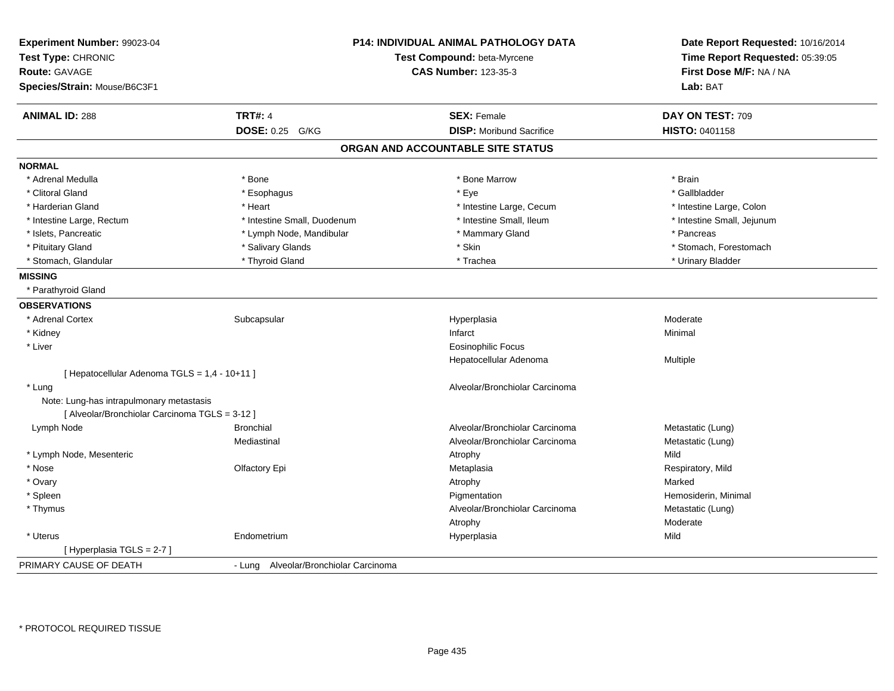| <b>CAS Number: 123-35-3</b><br>First Dose M/F: NA / NA<br>Species/Strain: Mouse/B6C3F1<br>Lab: BAT<br><b>TRT#: 4</b><br><b>ANIMAL ID: 288</b><br><b>SEX: Female</b><br>DAY ON TEST: 709<br><b>DOSE: 0.25 G/KG</b><br><b>DISP:</b> Moribund Sacrifice<br><b>HISTO: 0401158</b><br>ORGAN AND ACCOUNTABLE SITE STATUS<br><b>NORMAL</b><br>* Adrenal Medulla<br>* Bone<br>* Bone Marrow<br>* Brain<br>* Gallbladder<br>* Clitoral Gland<br>* Esophagus<br>* Eye<br>* Harderian Gland<br>* Intestine Large, Cecum<br>* Intestine Large, Colon<br>* Heart<br>* Intestine Small, Duodenum<br>* Intestine Small, Ileum<br>* Intestine Small, Jejunum<br>* Intestine Large, Rectum<br>* Islets, Pancreatic<br>* Lymph Node, Mandibular<br>* Mammary Gland<br>* Pancreas<br>* Skin<br>* Pituitary Gland<br>* Salivary Glands<br>* Stomach, Forestomach<br>* Thyroid Gland<br>* Stomach, Glandular<br>* Trachea<br>* Urinary Bladder<br><b>MISSING</b><br>* Parathyroid Gland<br><b>OBSERVATIONS</b><br>* Adrenal Cortex<br>Subcapsular<br>Hyperplasia<br>Moderate<br>* Kidney<br>Infarct<br>Minimal<br>* Liver<br><b>Eosinophilic Focus</b><br>Hepatocellular Adenoma<br>Multiple<br>[ Hepatocellular Adenoma TGLS = 1,4 - 10+11 ]<br>* Lung<br>Alveolar/Bronchiolar Carcinoma<br>Note: Lung-has intrapulmonary metastasis<br>[ Alveolar/Bronchiolar Carcinoma TGLS = 3-12 ]<br><b>Bronchial</b><br>Alveolar/Bronchiolar Carcinoma<br>Lymph Node<br>Metastatic (Lung)<br>Mediastinal<br>Alveolar/Bronchiolar Carcinoma<br>Metastatic (Lung)<br>Mild<br>* Lymph Node, Mesenteric<br>Atrophy<br>Olfactory Epi<br>Respiratory, Mild<br>* Nose<br>Metaplasia<br>* Ovary<br>Marked<br>Atrophy<br>* Spleen<br>Pigmentation<br>Hemosiderin, Minimal<br>* Thymus<br>Alveolar/Bronchiolar Carcinoma<br>Metastatic (Lung)<br>Moderate<br>Atrophy<br>Mild<br>* Uterus<br>Endometrium<br>Hyperplasia<br>[Hyperplasia TGLS = 2-7]<br>PRIMARY CAUSE OF DEATH<br>- Lung Alveolar/Bronchiolar Carcinoma | Experiment Number: 99023-04<br>Test Type: CHRONIC | <b>P14: INDIVIDUAL ANIMAL PATHOLOGY DATA</b><br>Test Compound: beta-Myrcene | Date Report Requested: 10/16/2014<br>Time Report Requested: 05:39:05 |
|-------------------------------------------------------------------------------------------------------------------------------------------------------------------------------------------------------------------------------------------------------------------------------------------------------------------------------------------------------------------------------------------------------------------------------------------------------------------------------------------------------------------------------------------------------------------------------------------------------------------------------------------------------------------------------------------------------------------------------------------------------------------------------------------------------------------------------------------------------------------------------------------------------------------------------------------------------------------------------------------------------------------------------------------------------------------------------------------------------------------------------------------------------------------------------------------------------------------------------------------------------------------------------------------------------------------------------------------------------------------------------------------------------------------------------------------------------------------------------------------------------------------------------------------------------------------------------------------------------------------------------------------------------------------------------------------------------------------------------------------------------------------------------------------------------------------------------------------------------------------------------------------------------------------------------------------------------------------------------|---------------------------------------------------|-----------------------------------------------------------------------------|----------------------------------------------------------------------|
|                                                                                                                                                                                                                                                                                                                                                                                                                                                                                                                                                                                                                                                                                                                                                                                                                                                                                                                                                                                                                                                                                                                                                                                                                                                                                                                                                                                                                                                                                                                                                                                                                                                                                                                                                                                                                                                                                                                                                                               | Route: GAVAGE                                     |                                                                             |                                                                      |
|                                                                                                                                                                                                                                                                                                                                                                                                                                                                                                                                                                                                                                                                                                                                                                                                                                                                                                                                                                                                                                                                                                                                                                                                                                                                                                                                                                                                                                                                                                                                                                                                                                                                                                                                                                                                                                                                                                                                                                               |                                                   |                                                                             |                                                                      |
|                                                                                                                                                                                                                                                                                                                                                                                                                                                                                                                                                                                                                                                                                                                                                                                                                                                                                                                                                                                                                                                                                                                                                                                                                                                                                                                                                                                                                                                                                                                                                                                                                                                                                                                                                                                                                                                                                                                                                                               |                                                   |                                                                             |                                                                      |
|                                                                                                                                                                                                                                                                                                                                                                                                                                                                                                                                                                                                                                                                                                                                                                                                                                                                                                                                                                                                                                                                                                                                                                                                                                                                                                                                                                                                                                                                                                                                                                                                                                                                                                                                                                                                                                                                                                                                                                               |                                                   |                                                                             |                                                                      |
|                                                                                                                                                                                                                                                                                                                                                                                                                                                                                                                                                                                                                                                                                                                                                                                                                                                                                                                                                                                                                                                                                                                                                                                                                                                                                                                                                                                                                                                                                                                                                                                                                                                                                                                                                                                                                                                                                                                                                                               |                                                   |                                                                             |                                                                      |
|                                                                                                                                                                                                                                                                                                                                                                                                                                                                                                                                                                                                                                                                                                                                                                                                                                                                                                                                                                                                                                                                                                                                                                                                                                                                                                                                                                                                                                                                                                                                                                                                                                                                                                                                                                                                                                                                                                                                                                               |                                                   |                                                                             |                                                                      |
|                                                                                                                                                                                                                                                                                                                                                                                                                                                                                                                                                                                                                                                                                                                                                                                                                                                                                                                                                                                                                                                                                                                                                                                                                                                                                                                                                                                                                                                                                                                                                                                                                                                                                                                                                                                                                                                                                                                                                                               |                                                   |                                                                             |                                                                      |
|                                                                                                                                                                                                                                                                                                                                                                                                                                                                                                                                                                                                                                                                                                                                                                                                                                                                                                                                                                                                                                                                                                                                                                                                                                                                                                                                                                                                                                                                                                                                                                                                                                                                                                                                                                                                                                                                                                                                                                               |                                                   |                                                                             |                                                                      |
|                                                                                                                                                                                                                                                                                                                                                                                                                                                                                                                                                                                                                                                                                                                                                                                                                                                                                                                                                                                                                                                                                                                                                                                                                                                                                                                                                                                                                                                                                                                                                                                                                                                                                                                                                                                                                                                                                                                                                                               |                                                   |                                                                             |                                                                      |
|                                                                                                                                                                                                                                                                                                                                                                                                                                                                                                                                                                                                                                                                                                                                                                                                                                                                                                                                                                                                                                                                                                                                                                                                                                                                                                                                                                                                                                                                                                                                                                                                                                                                                                                                                                                                                                                                                                                                                                               |                                                   |                                                                             |                                                                      |
|                                                                                                                                                                                                                                                                                                                                                                                                                                                                                                                                                                                                                                                                                                                                                                                                                                                                                                                                                                                                                                                                                                                                                                                                                                                                                                                                                                                                                                                                                                                                                                                                                                                                                                                                                                                                                                                                                                                                                                               |                                                   |                                                                             |                                                                      |
|                                                                                                                                                                                                                                                                                                                                                                                                                                                                                                                                                                                                                                                                                                                                                                                                                                                                                                                                                                                                                                                                                                                                                                                                                                                                                                                                                                                                                                                                                                                                                                                                                                                                                                                                                                                                                                                                                                                                                                               |                                                   |                                                                             |                                                                      |
|                                                                                                                                                                                                                                                                                                                                                                                                                                                                                                                                                                                                                                                                                                                                                                                                                                                                                                                                                                                                                                                                                                                                                                                                                                                                                                                                                                                                                                                                                                                                                                                                                                                                                                                                                                                                                                                                                                                                                                               |                                                   |                                                                             |                                                                      |
|                                                                                                                                                                                                                                                                                                                                                                                                                                                                                                                                                                                                                                                                                                                                                                                                                                                                                                                                                                                                                                                                                                                                                                                                                                                                                                                                                                                                                                                                                                                                                                                                                                                                                                                                                                                                                                                                                                                                                                               |                                                   |                                                                             |                                                                      |
|                                                                                                                                                                                                                                                                                                                                                                                                                                                                                                                                                                                                                                                                                                                                                                                                                                                                                                                                                                                                                                                                                                                                                                                                                                                                                                                                                                                                                                                                                                                                                                                                                                                                                                                                                                                                                                                                                                                                                                               |                                                   |                                                                             |                                                                      |
|                                                                                                                                                                                                                                                                                                                                                                                                                                                                                                                                                                                                                                                                                                                                                                                                                                                                                                                                                                                                                                                                                                                                                                                                                                                                                                                                                                                                                                                                                                                                                                                                                                                                                                                                                                                                                                                                                                                                                                               |                                                   |                                                                             |                                                                      |
|                                                                                                                                                                                                                                                                                                                                                                                                                                                                                                                                                                                                                                                                                                                                                                                                                                                                                                                                                                                                                                                                                                                                                                                                                                                                                                                                                                                                                                                                                                                                                                                                                                                                                                                                                                                                                                                                                                                                                                               |                                                   |                                                                             |                                                                      |
|                                                                                                                                                                                                                                                                                                                                                                                                                                                                                                                                                                                                                                                                                                                                                                                                                                                                                                                                                                                                                                                                                                                                                                                                                                                                                                                                                                                                                                                                                                                                                                                                                                                                                                                                                                                                                                                                                                                                                                               |                                                   |                                                                             |                                                                      |
|                                                                                                                                                                                                                                                                                                                                                                                                                                                                                                                                                                                                                                                                                                                                                                                                                                                                                                                                                                                                                                                                                                                                                                                                                                                                                                                                                                                                                                                                                                                                                                                                                                                                                                                                                                                                                                                                                                                                                                               |                                                   |                                                                             |                                                                      |
|                                                                                                                                                                                                                                                                                                                                                                                                                                                                                                                                                                                                                                                                                                                                                                                                                                                                                                                                                                                                                                                                                                                                                                                                                                                                                                                                                                                                                                                                                                                                                                                                                                                                                                                                                                                                                                                                                                                                                                               |                                                   |                                                                             |                                                                      |
|                                                                                                                                                                                                                                                                                                                                                                                                                                                                                                                                                                                                                                                                                                                                                                                                                                                                                                                                                                                                                                                                                                                                                                                                                                                                                                                                                                                                                                                                                                                                                                                                                                                                                                                                                                                                                                                                                                                                                                               |                                                   |                                                                             |                                                                      |
|                                                                                                                                                                                                                                                                                                                                                                                                                                                                                                                                                                                                                                                                                                                                                                                                                                                                                                                                                                                                                                                                                                                                                                                                                                                                                                                                                                                                                                                                                                                                                                                                                                                                                                                                                                                                                                                                                                                                                                               |                                                   |                                                                             |                                                                      |
|                                                                                                                                                                                                                                                                                                                                                                                                                                                                                                                                                                                                                                                                                                                                                                                                                                                                                                                                                                                                                                                                                                                                                                                                                                                                                                                                                                                                                                                                                                                                                                                                                                                                                                                                                                                                                                                                                                                                                                               |                                                   |                                                                             |                                                                      |
|                                                                                                                                                                                                                                                                                                                                                                                                                                                                                                                                                                                                                                                                                                                                                                                                                                                                                                                                                                                                                                                                                                                                                                                                                                                                                                                                                                                                                                                                                                                                                                                                                                                                                                                                                                                                                                                                                                                                                                               |                                                   |                                                                             |                                                                      |
|                                                                                                                                                                                                                                                                                                                                                                                                                                                                                                                                                                                                                                                                                                                                                                                                                                                                                                                                                                                                                                                                                                                                                                                                                                                                                                                                                                                                                                                                                                                                                                                                                                                                                                                                                                                                                                                                                                                                                                               |                                                   |                                                                             |                                                                      |
|                                                                                                                                                                                                                                                                                                                                                                                                                                                                                                                                                                                                                                                                                                                                                                                                                                                                                                                                                                                                                                                                                                                                                                                                                                                                                                                                                                                                                                                                                                                                                                                                                                                                                                                                                                                                                                                                                                                                                                               |                                                   |                                                                             |                                                                      |
|                                                                                                                                                                                                                                                                                                                                                                                                                                                                                                                                                                                                                                                                                                                                                                                                                                                                                                                                                                                                                                                                                                                                                                                                                                                                                                                                                                                                                                                                                                                                                                                                                                                                                                                                                                                                                                                                                                                                                                               |                                                   |                                                                             |                                                                      |
|                                                                                                                                                                                                                                                                                                                                                                                                                                                                                                                                                                                                                                                                                                                                                                                                                                                                                                                                                                                                                                                                                                                                                                                                                                                                                                                                                                                                                                                                                                                                                                                                                                                                                                                                                                                                                                                                                                                                                                               |                                                   |                                                                             |                                                                      |
|                                                                                                                                                                                                                                                                                                                                                                                                                                                                                                                                                                                                                                                                                                                                                                                                                                                                                                                                                                                                                                                                                                                                                                                                                                                                                                                                                                                                                                                                                                                                                                                                                                                                                                                                                                                                                                                                                                                                                                               |                                                   |                                                                             |                                                                      |
|                                                                                                                                                                                                                                                                                                                                                                                                                                                                                                                                                                                                                                                                                                                                                                                                                                                                                                                                                                                                                                                                                                                                                                                                                                                                                                                                                                                                                                                                                                                                                                                                                                                                                                                                                                                                                                                                                                                                                                               |                                                   |                                                                             |                                                                      |
|                                                                                                                                                                                                                                                                                                                                                                                                                                                                                                                                                                                                                                                                                                                                                                                                                                                                                                                                                                                                                                                                                                                                                                                                                                                                                                                                                                                                                                                                                                                                                                                                                                                                                                                                                                                                                                                                                                                                                                               |                                                   |                                                                             |                                                                      |
|                                                                                                                                                                                                                                                                                                                                                                                                                                                                                                                                                                                                                                                                                                                                                                                                                                                                                                                                                                                                                                                                                                                                                                                                                                                                                                                                                                                                                                                                                                                                                                                                                                                                                                                                                                                                                                                                                                                                                                               |                                                   |                                                                             |                                                                      |
|                                                                                                                                                                                                                                                                                                                                                                                                                                                                                                                                                                                                                                                                                                                                                                                                                                                                                                                                                                                                                                                                                                                                                                                                                                                                                                                                                                                                                                                                                                                                                                                                                                                                                                                                                                                                                                                                                                                                                                               |                                                   |                                                                             |                                                                      |
|                                                                                                                                                                                                                                                                                                                                                                                                                                                                                                                                                                                                                                                                                                                                                                                                                                                                                                                                                                                                                                                                                                                                                                                                                                                                                                                                                                                                                                                                                                                                                                                                                                                                                                                                                                                                                                                                                                                                                                               |                                                   |                                                                             |                                                                      |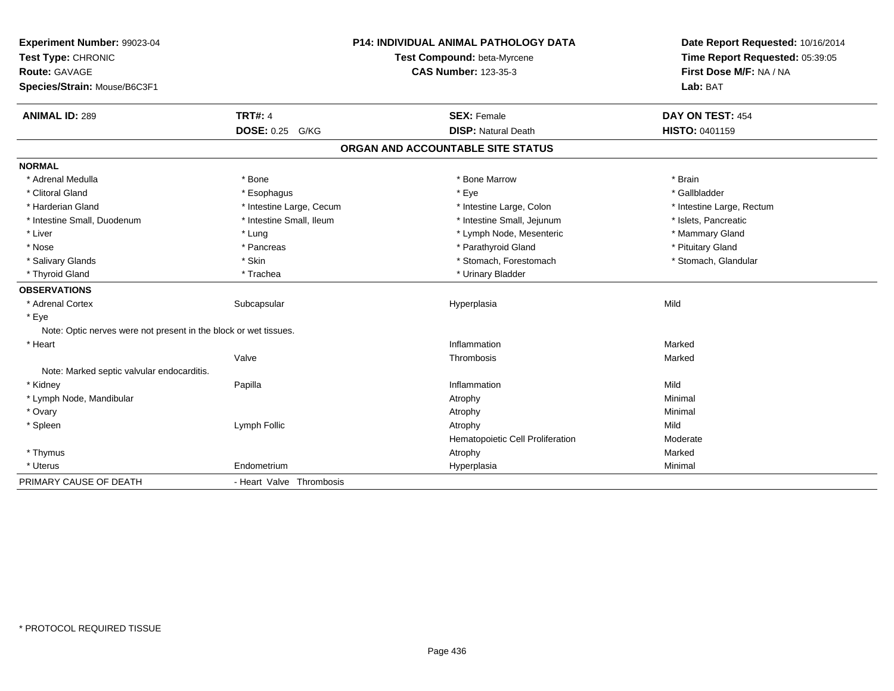| Experiment Number: 99023-04<br>Test Type: CHRONIC                |                           | <b>P14: INDIVIDUAL ANIMAL PATHOLOGY DATA</b><br>Test Compound: beta-Myrcene | Date Report Requested: 10/16/2014<br>Time Report Requested: 05:39:05 |
|------------------------------------------------------------------|---------------------------|-----------------------------------------------------------------------------|----------------------------------------------------------------------|
| <b>Route: GAVAGE</b>                                             |                           | <b>CAS Number: 123-35-3</b>                                                 | First Dose M/F: NA / NA                                              |
| Species/Strain: Mouse/B6C3F1                                     |                           |                                                                             | Lab: BAT                                                             |
| <b>ANIMAL ID: 289</b>                                            | <b>TRT#: 4</b>            | <b>SEX: Female</b>                                                          | DAY ON TEST: 454                                                     |
|                                                                  | <b>DOSE: 0.25</b><br>G/KG | <b>DISP: Natural Death</b>                                                  | HISTO: 0401159                                                       |
|                                                                  |                           | ORGAN AND ACCOUNTABLE SITE STATUS                                           |                                                                      |
| <b>NORMAL</b>                                                    |                           |                                                                             |                                                                      |
| * Adrenal Medulla                                                | * Bone                    | * Bone Marrow                                                               | * Brain                                                              |
| * Clitoral Gland                                                 | * Esophagus               | * Eye                                                                       | * Gallbladder                                                        |
| * Harderian Gland                                                | * Intestine Large, Cecum  | * Intestine Large, Colon                                                    | * Intestine Large, Rectum                                            |
| * Intestine Small, Duodenum                                      | * Intestine Small, Ileum  | * Intestine Small, Jejunum                                                  | * Islets, Pancreatic                                                 |
| * Liver                                                          | * Lung                    | * Lymph Node, Mesenteric                                                    | * Mammary Gland                                                      |
| * Nose                                                           | * Pancreas                | * Parathyroid Gland                                                         | * Pituitary Gland                                                    |
| * Salivary Glands                                                | * Skin                    | * Stomach, Forestomach                                                      | * Stomach, Glandular                                                 |
| * Thyroid Gland                                                  | * Trachea                 | * Urinary Bladder                                                           |                                                                      |
| <b>OBSERVATIONS</b>                                              |                           |                                                                             |                                                                      |
| * Adrenal Cortex                                                 | Subcapsular               | Hyperplasia                                                                 | Mild                                                                 |
| * Eye                                                            |                           |                                                                             |                                                                      |
| Note: Optic nerves were not present in the block or wet tissues. |                           |                                                                             |                                                                      |
| * Heart                                                          |                           | Inflammation                                                                | Marked                                                               |
|                                                                  | Valve                     | Thrombosis                                                                  | Marked                                                               |
| Note: Marked septic valvular endocarditis.                       |                           |                                                                             |                                                                      |
| * Kidney                                                         | Papilla                   | Inflammation                                                                | Mild                                                                 |
| * Lymph Node, Mandibular                                         |                           | Atrophy                                                                     | Minimal                                                              |
| * Ovary                                                          |                           | Atrophy                                                                     | Minimal                                                              |
| * Spleen                                                         | Lymph Follic              | Atrophy                                                                     | Mild                                                                 |
|                                                                  |                           | Hematopoietic Cell Proliferation                                            | Moderate                                                             |
| * Thymus                                                         |                           | Atrophy                                                                     | Marked                                                               |
| * Uterus                                                         | Endometrium               | Hyperplasia                                                                 | Minimal                                                              |
| PRIMARY CAUSE OF DEATH                                           | - Heart Valve Thrombosis  |                                                                             |                                                                      |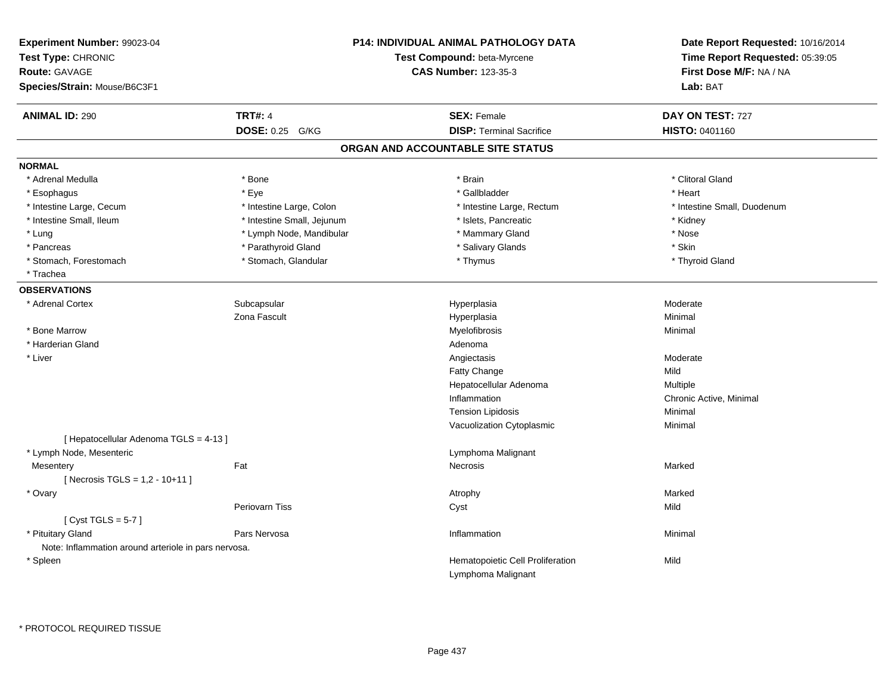| Experiment Number: 99023-04<br>Test Type: CHRONIC<br>Route: GAVAGE<br>Species/Strain: Mouse/B6C3F1 |                            | <b>P14: INDIVIDUAL ANIMAL PATHOLOGY DATA</b><br>Test Compound: beta-Myrcene<br><b>CAS Number: 123-35-3</b> | Date Report Requested: 10/16/2014<br>Time Report Requested: 05:39:05<br>First Dose M/F: NA / NA<br>Lab: BAT |
|----------------------------------------------------------------------------------------------------|----------------------------|------------------------------------------------------------------------------------------------------------|-------------------------------------------------------------------------------------------------------------|
| <b>ANIMAL ID: 290</b>                                                                              | <b>TRT#: 4</b>             | <b>SEX: Female</b>                                                                                         | DAY ON TEST: 727                                                                                            |
|                                                                                                    | DOSE: 0.25 G/KG            | <b>DISP: Terminal Sacrifice</b>                                                                            | <b>HISTO: 0401160</b>                                                                                       |
|                                                                                                    |                            | ORGAN AND ACCOUNTABLE SITE STATUS                                                                          |                                                                                                             |
| <b>NORMAL</b>                                                                                      |                            |                                                                                                            |                                                                                                             |
| * Adrenal Medulla                                                                                  | * Bone                     | * Brain                                                                                                    | * Clitoral Gland                                                                                            |
| * Esophagus                                                                                        | * Eye                      | * Gallbladder                                                                                              | * Heart                                                                                                     |
| * Intestine Large, Cecum                                                                           | * Intestine Large, Colon   | * Intestine Large, Rectum                                                                                  | * Intestine Small, Duodenum                                                                                 |
| * Intestine Small, Ileum                                                                           | * Intestine Small, Jejunum | * Islets, Pancreatic                                                                                       | * Kidney                                                                                                    |
| * Lung                                                                                             | * Lymph Node, Mandibular   | * Mammary Gland                                                                                            | * Nose                                                                                                      |
| * Pancreas                                                                                         | * Parathyroid Gland        | * Salivary Glands                                                                                          | * Skin                                                                                                      |
| * Stomach, Forestomach                                                                             | * Stomach, Glandular       | * Thymus                                                                                                   | * Thyroid Gland                                                                                             |
| * Trachea                                                                                          |                            |                                                                                                            |                                                                                                             |
| <b>OBSERVATIONS</b>                                                                                |                            |                                                                                                            |                                                                                                             |
| * Adrenal Cortex                                                                                   | Subcapsular                | Hyperplasia                                                                                                | Moderate                                                                                                    |
|                                                                                                    | Zona Fascult               | Hyperplasia                                                                                                | Minimal                                                                                                     |
| * Bone Marrow                                                                                      |                            | Myelofibrosis                                                                                              | Minimal                                                                                                     |
| * Harderian Gland                                                                                  |                            | Adenoma                                                                                                    |                                                                                                             |
| * Liver                                                                                            |                            | Angiectasis                                                                                                | Moderate                                                                                                    |
|                                                                                                    |                            | Fatty Change                                                                                               | Mild                                                                                                        |
|                                                                                                    |                            | Hepatocellular Adenoma                                                                                     | Multiple                                                                                                    |
|                                                                                                    |                            | Inflammation                                                                                               | Chronic Active, Minimal                                                                                     |
|                                                                                                    |                            | <b>Tension Lipidosis</b>                                                                                   | Minimal                                                                                                     |
|                                                                                                    |                            | Vacuolization Cytoplasmic                                                                                  | Minimal                                                                                                     |
| [ Hepatocellular Adenoma TGLS = 4-13 ]                                                             |                            |                                                                                                            |                                                                                                             |
| * Lymph Node, Mesenteric                                                                           |                            | Lymphoma Malignant                                                                                         |                                                                                                             |
| Mesentery                                                                                          | Fat                        | Necrosis                                                                                                   | Marked                                                                                                      |
| [Necrosis TGLS = 1,2 - 10+11]                                                                      |                            |                                                                                                            |                                                                                                             |
| * Ovary                                                                                            |                            | Atrophy                                                                                                    | Marked                                                                                                      |
|                                                                                                    | <b>Periovarn Tiss</b>      | Cyst                                                                                                       | Mild                                                                                                        |
| [Cyst TGLS = $5-7$ ]                                                                               |                            |                                                                                                            |                                                                                                             |
| * Pituitary Gland                                                                                  | Pars Nervosa               | Inflammation                                                                                               | Minimal                                                                                                     |
| Note: Inflammation around arteriole in pars nervosa.                                               |                            |                                                                                                            |                                                                                                             |
| * Spleen                                                                                           |                            | Hematopoietic Cell Proliferation                                                                           | Mild                                                                                                        |
|                                                                                                    |                            | Lymphoma Malignant                                                                                         |                                                                                                             |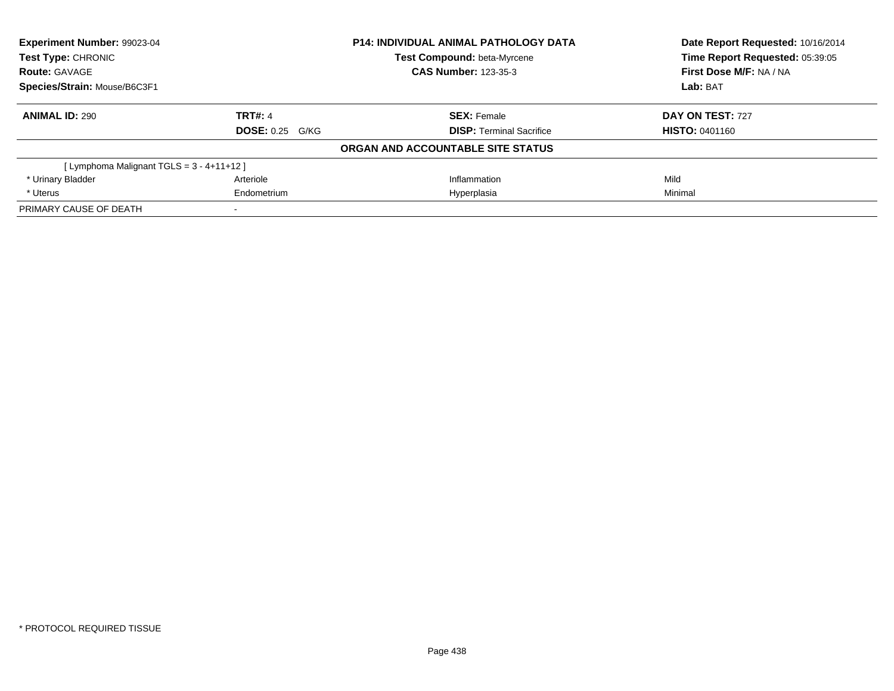| Experiment Number: 99023-04<br>Test Type: CHRONIC |                        | <b>P14: INDIVIDUAL ANIMAL PATHOLOGY DATA</b> | Date Report Requested: 10/16/2014 |
|---------------------------------------------------|------------------------|----------------------------------------------|-----------------------------------|
|                                                   |                        | Test Compound: beta-Myrcene                  | Time Report Requested: 05:39:05   |
| <b>Route: GAVAGE</b>                              |                        | <b>CAS Number: 123-35-3</b>                  | First Dose M/F: NA / NA           |
| Species/Strain: Mouse/B6C3F1                      |                        |                                              | Lab: BAT                          |
| <b>ANIMAL ID: 290</b>                             | <b>TRT#: 4</b>         | <b>SEX: Female</b>                           | DAY ON TEST: 727                  |
|                                                   | <b>DOSE: 0.25 G/KG</b> | <b>DISP:</b> Terminal Sacrifice              | <b>HISTO: 0401160</b>             |
|                                                   |                        | ORGAN AND ACCOUNTABLE SITE STATUS            |                                   |
| [Lymphoma Malignant TGLS = 3 - 4+11+12 ]          |                        |                                              |                                   |
| * Urinary Bladder                                 | Arteriole              | Inflammation                                 | Mild                              |
| * Uterus                                          | Endometrium            | Hyperplasia                                  | Minimal                           |
| PRIMARY CAUSE OF DEATH                            |                        |                                              |                                   |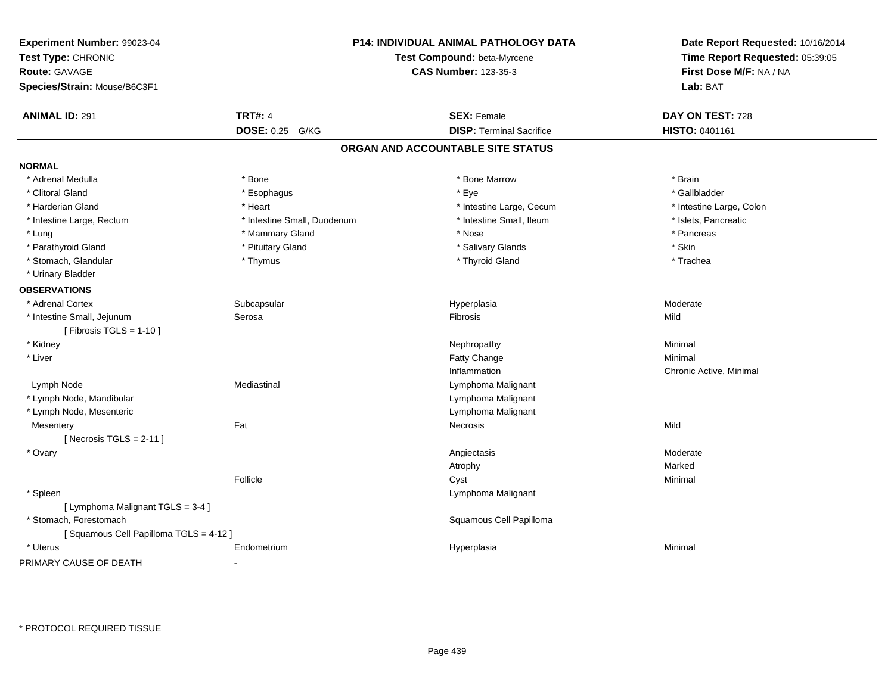| Experiment Number: 99023-04<br>Test Type: CHRONIC<br><b>Route: GAVAGE</b><br>Species/Strain: Mouse/B6C3F1 |                             | P14: INDIVIDUAL ANIMAL PATHOLOGY DATA<br>Test Compound: beta-Myrcene<br><b>CAS Number: 123-35-3</b> | Date Report Requested: 10/16/2014<br>Time Report Requested: 05:39:05<br>First Dose M/F: NA / NA<br>Lab: BAT |
|-----------------------------------------------------------------------------------------------------------|-----------------------------|-----------------------------------------------------------------------------------------------------|-------------------------------------------------------------------------------------------------------------|
| <b>ANIMAL ID: 291</b>                                                                                     | <b>TRT#: 4</b>              | <b>SEX: Female</b>                                                                                  | DAY ON TEST: 728                                                                                            |
|                                                                                                           | <b>DOSE: 0.25 G/KG</b>      | <b>DISP: Terminal Sacrifice</b>                                                                     | HISTO: 0401161                                                                                              |
|                                                                                                           |                             | ORGAN AND ACCOUNTABLE SITE STATUS                                                                   |                                                                                                             |
| <b>NORMAL</b>                                                                                             |                             |                                                                                                     |                                                                                                             |
| * Adrenal Medulla                                                                                         | * Bone                      | * Bone Marrow                                                                                       | * Brain                                                                                                     |
| * Clitoral Gland                                                                                          | * Esophagus                 | * Eye                                                                                               | * Gallbladder                                                                                               |
| * Harderian Gland                                                                                         | * Heart                     | * Intestine Large, Cecum                                                                            | * Intestine Large, Colon                                                                                    |
| * Intestine Large, Rectum                                                                                 | * Intestine Small, Duodenum | * Intestine Small, Ileum                                                                            | * Islets, Pancreatic                                                                                        |
| * Lung                                                                                                    | * Mammary Gland             | * Nose                                                                                              | * Pancreas                                                                                                  |
| * Parathyroid Gland                                                                                       | * Pituitary Gland           | * Salivary Glands                                                                                   | * Skin                                                                                                      |
| * Stomach, Glandular                                                                                      | * Thymus                    | * Thyroid Gland                                                                                     | * Trachea                                                                                                   |
| * Urinary Bladder                                                                                         |                             |                                                                                                     |                                                                                                             |
| <b>OBSERVATIONS</b>                                                                                       |                             |                                                                                                     |                                                                                                             |
| * Adrenal Cortex                                                                                          | Subcapsular                 | Hyperplasia                                                                                         | Moderate                                                                                                    |
| * Intestine Small, Jejunum                                                                                | Serosa                      | Fibrosis                                                                                            | Mild                                                                                                        |
| [ Fibrosis TGLS = $1-10$ ]                                                                                |                             |                                                                                                     |                                                                                                             |
| * Kidney                                                                                                  |                             | Nephropathy                                                                                         | Minimal                                                                                                     |
| * Liver                                                                                                   |                             | Fatty Change                                                                                        | Minimal                                                                                                     |
|                                                                                                           |                             | Inflammation                                                                                        | Chronic Active, Minimal                                                                                     |
| Lymph Node                                                                                                | Mediastinal                 | Lymphoma Malignant                                                                                  |                                                                                                             |
| * Lymph Node, Mandibular                                                                                  |                             | Lymphoma Malignant                                                                                  |                                                                                                             |
| * Lymph Node, Mesenteric                                                                                  |                             | Lymphoma Malignant                                                                                  |                                                                                                             |
| Mesentery                                                                                                 | Fat                         | Necrosis                                                                                            | Mild                                                                                                        |
| [Necrosis $TGLS = 2-11$ ]                                                                                 |                             |                                                                                                     |                                                                                                             |
| * Ovary                                                                                                   |                             | Angiectasis                                                                                         | Moderate                                                                                                    |
|                                                                                                           |                             | Atrophy                                                                                             | Marked                                                                                                      |
|                                                                                                           | Follicle                    | Cyst                                                                                                | Minimal                                                                                                     |
| * Spleen                                                                                                  |                             | Lymphoma Malignant                                                                                  |                                                                                                             |
| [ Lymphoma Malignant TGLS = 3-4 ]                                                                         |                             |                                                                                                     |                                                                                                             |
| * Stomach, Forestomach                                                                                    |                             | Squamous Cell Papilloma                                                                             |                                                                                                             |
| [Squamous Cell Papilloma TGLS = 4-12]                                                                     |                             |                                                                                                     |                                                                                                             |
| * Uterus                                                                                                  | Endometrium                 | Hyperplasia                                                                                         | Minimal                                                                                                     |
| PRIMARY CAUSE OF DEATH                                                                                    |                             |                                                                                                     |                                                                                                             |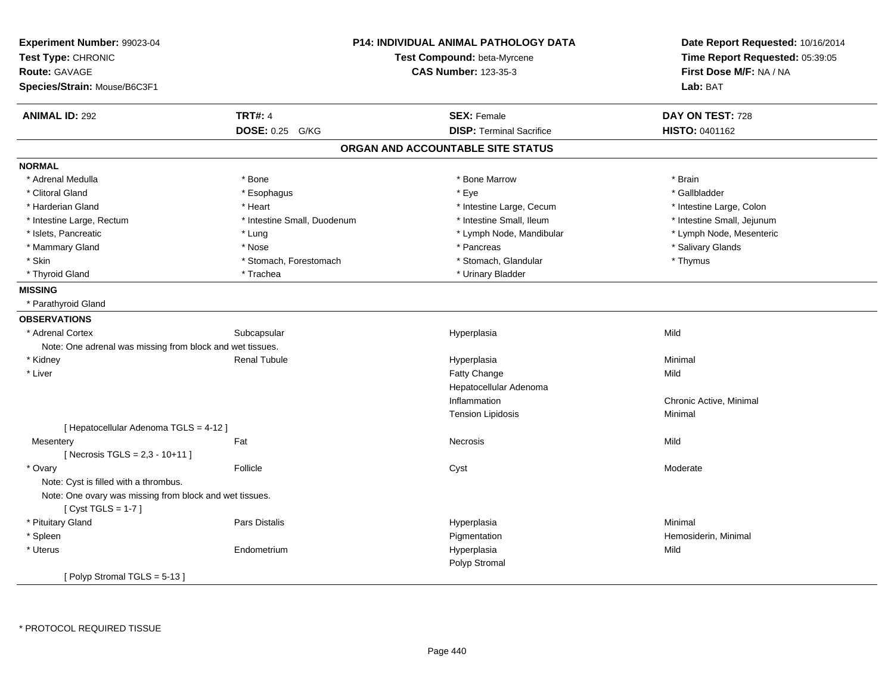| Experiment Number: 99023-04<br>Test Type: CHRONIC<br><b>Route: GAVAGE</b> |                             | P14: INDIVIDUAL ANIMAL PATHOLOGY DATA<br>Test Compound: beta-Myrcene<br><b>CAS Number: 123-35-3</b> | Date Report Requested: 10/16/2014<br>Time Report Requested: 05:39:05<br>First Dose M/F: NA / NA |
|---------------------------------------------------------------------------|-----------------------------|-----------------------------------------------------------------------------------------------------|-------------------------------------------------------------------------------------------------|
| Species/Strain: Mouse/B6C3F1                                              |                             |                                                                                                     | Lab: BAT                                                                                        |
| <b>ANIMAL ID: 292</b>                                                     | <b>TRT#: 4</b>              | <b>SEX: Female</b>                                                                                  | DAY ON TEST: 728                                                                                |
|                                                                           | DOSE: 0.25 G/KG             | <b>DISP: Terminal Sacrifice</b>                                                                     | HISTO: 0401162                                                                                  |
|                                                                           |                             | ORGAN AND ACCOUNTABLE SITE STATUS                                                                   |                                                                                                 |
| <b>NORMAL</b>                                                             |                             |                                                                                                     |                                                                                                 |
| * Adrenal Medulla                                                         | * Bone                      | * Bone Marrow                                                                                       | * Brain                                                                                         |
| * Clitoral Gland                                                          | * Esophagus                 | * Eye                                                                                               | * Gallbladder                                                                                   |
| * Harderian Gland                                                         | * Heart                     | * Intestine Large, Cecum                                                                            | * Intestine Large, Colon                                                                        |
| * Intestine Large, Rectum                                                 | * Intestine Small, Duodenum | * Intestine Small, Ileum                                                                            | * Intestine Small, Jejunum                                                                      |
| * Islets, Pancreatic                                                      | * Lung                      | * Lymph Node, Mandibular                                                                            | * Lymph Node, Mesenteric                                                                        |
| * Mammary Gland                                                           | * Nose                      | * Pancreas                                                                                          | * Salivary Glands                                                                               |
| * Skin                                                                    | * Stomach, Forestomach      | * Stomach, Glandular                                                                                | * Thymus                                                                                        |
| * Thyroid Gland                                                           | * Trachea                   | * Urinary Bladder                                                                                   |                                                                                                 |
| <b>MISSING</b>                                                            |                             |                                                                                                     |                                                                                                 |
| * Parathyroid Gland                                                       |                             |                                                                                                     |                                                                                                 |
| <b>OBSERVATIONS</b>                                                       |                             |                                                                                                     |                                                                                                 |
| * Adrenal Cortex                                                          | Subcapsular                 | Hyperplasia                                                                                         | Mild                                                                                            |
| Note: One adrenal was missing from block and wet tissues.                 |                             |                                                                                                     |                                                                                                 |
| * Kidney                                                                  | <b>Renal Tubule</b>         | Hyperplasia                                                                                         | Minimal                                                                                         |
| * Liver                                                                   |                             | Fatty Change                                                                                        | Mild                                                                                            |
|                                                                           |                             | Hepatocellular Adenoma                                                                              |                                                                                                 |
|                                                                           |                             | Inflammation                                                                                        | Chronic Active, Minimal                                                                         |
|                                                                           |                             | <b>Tension Lipidosis</b>                                                                            | Minimal                                                                                         |
| [ Hepatocellular Adenoma TGLS = 4-12 ]                                    |                             |                                                                                                     |                                                                                                 |
| Mesentery                                                                 | Fat                         | Necrosis                                                                                            | Mild                                                                                            |
| [ Necrosis TGLS = $2,3 - 10 + 11$ ]                                       |                             |                                                                                                     |                                                                                                 |
| * Ovary                                                                   | Follicle                    | Cyst                                                                                                | Moderate                                                                                        |
| Note: Cyst is filled with a thrombus.                                     |                             |                                                                                                     |                                                                                                 |
| Note: One ovary was missing from block and wet tissues.                   |                             |                                                                                                     |                                                                                                 |
| [Cyst TGLS = $1-7$ ]                                                      |                             |                                                                                                     |                                                                                                 |
| * Pituitary Gland                                                         | Pars Distalis               | Hyperplasia                                                                                         | Minimal                                                                                         |
| * Spleen                                                                  |                             | Pigmentation                                                                                        | Hemosiderin, Minimal                                                                            |
| * Uterus                                                                  | Endometrium                 | Hyperplasia                                                                                         | Mild                                                                                            |
|                                                                           |                             | Polyp Stromal                                                                                       |                                                                                                 |
| [Polyp Stromal TGLS = 5-13]                                               |                             |                                                                                                     |                                                                                                 |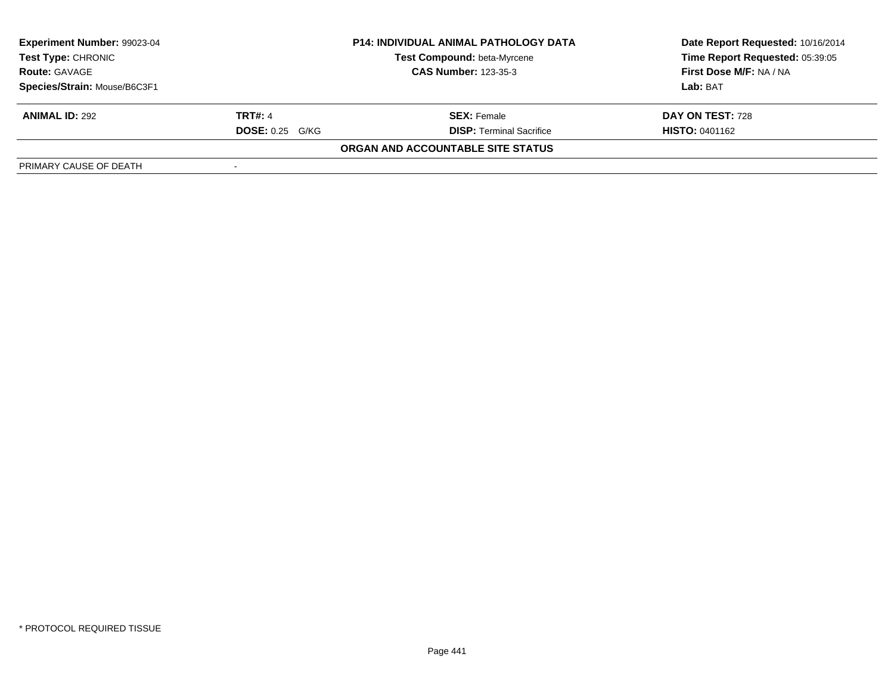| Experiment Number: 99023-04  |                        | <b>P14: INDIVIDUAL ANIMAL PATHOLOGY DATA</b> | Date Report Requested: 10/16/2014 |  |
|------------------------------|------------------------|----------------------------------------------|-----------------------------------|--|
| <b>Test Type: CHRONIC</b>    |                        | <b>Test Compound: beta-Myrcene</b>           | Time Report Requested: 05:39:05   |  |
| <b>Route: GAVAGE</b>         |                        | <b>CAS Number: 123-35-3</b>                  | First Dose M/F: NA / NA           |  |
| Species/Strain: Mouse/B6C3F1 |                        |                                              | Lab: BAT                          |  |
| <b>ANIMAL ID: 292</b>        | <b>TRT#: 4</b>         | <b>SEX: Female</b>                           | DAY ON TEST: 728                  |  |
|                              | <b>DOSE: 0.25 G/KG</b> | <b>DISP: Terminal Sacrifice</b>              | <b>HISTO: 0401162</b>             |  |
|                              |                        | ORGAN AND ACCOUNTABLE SITE STATUS            |                                   |  |
| PRIMARY CAUSE OF DEATH       |                        |                                              |                                   |  |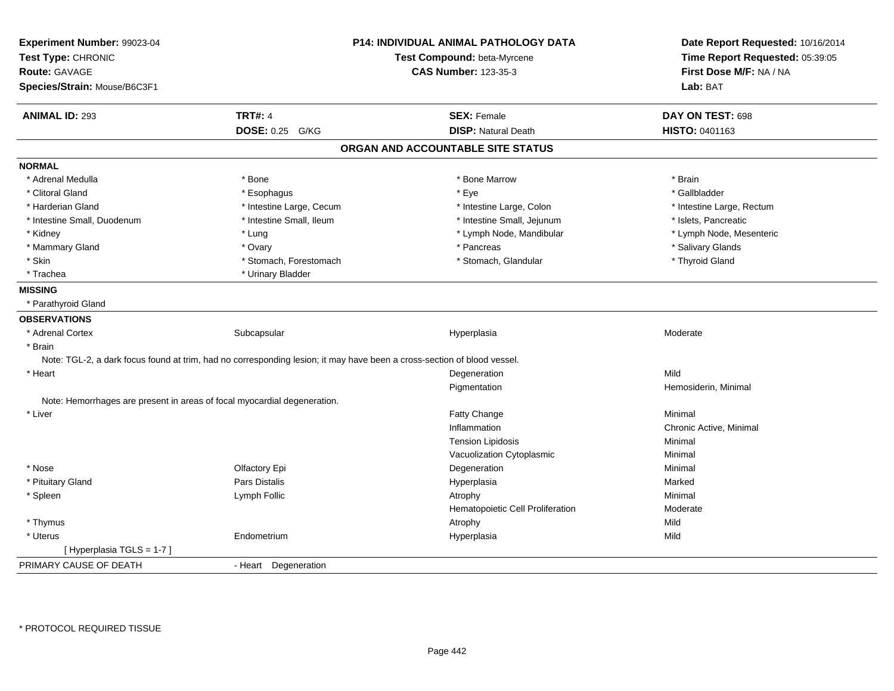| Experiment Number: 99023-04                                              |                                                                                                                         | <b>P14: INDIVIDUAL ANIMAL PATHOLOGY DATA</b> | Date Report Requested: 10/16/2014 |
|--------------------------------------------------------------------------|-------------------------------------------------------------------------------------------------------------------------|----------------------------------------------|-----------------------------------|
| Test Type: CHRONIC                                                       |                                                                                                                         | Test Compound: beta-Myrcene                  | Time Report Requested: 05:39:05   |
| Route: GAVAGE                                                            |                                                                                                                         | <b>CAS Number: 123-35-3</b>                  | First Dose M/F: NA / NA           |
| Species/Strain: Mouse/B6C3F1                                             |                                                                                                                         |                                              | Lab: BAT                          |
| <b>ANIMAL ID: 293</b>                                                    | <b>TRT#: 4</b>                                                                                                          | <b>SEX: Female</b>                           | DAY ON TEST: 698                  |
|                                                                          | DOSE: 0.25 G/KG                                                                                                         | <b>DISP: Natural Death</b>                   | HISTO: 0401163                    |
|                                                                          |                                                                                                                         | ORGAN AND ACCOUNTABLE SITE STATUS            |                                   |
| <b>NORMAL</b>                                                            |                                                                                                                         |                                              |                                   |
| * Adrenal Medulla                                                        | * Bone                                                                                                                  | * Bone Marrow                                | * Brain                           |
| * Clitoral Gland                                                         | * Esophagus                                                                                                             | * Eye                                        | * Gallbladder                     |
| * Harderian Gland                                                        | * Intestine Large, Cecum                                                                                                | * Intestine Large, Colon                     | * Intestine Large, Rectum         |
| * Intestine Small, Duodenum                                              | * Intestine Small, Ileum                                                                                                | * Intestine Small, Jejunum                   | * Islets, Pancreatic              |
| * Kidney                                                                 | * Lung                                                                                                                  | * Lymph Node, Mandibular                     | * Lymph Node, Mesenteric          |
| * Mammary Gland                                                          | * Ovary                                                                                                                 | * Pancreas                                   | * Salivary Glands                 |
| * Skin                                                                   | * Stomach, Forestomach                                                                                                  | * Stomach, Glandular                         | * Thyroid Gland                   |
| * Trachea                                                                | * Urinary Bladder                                                                                                       |                                              |                                   |
| <b>MISSING</b>                                                           |                                                                                                                         |                                              |                                   |
| * Parathyroid Gland                                                      |                                                                                                                         |                                              |                                   |
| <b>OBSERVATIONS</b>                                                      |                                                                                                                         |                                              |                                   |
| * Adrenal Cortex                                                         | Subcapsular                                                                                                             | Hyperplasia                                  | Moderate                          |
| * Brain                                                                  |                                                                                                                         |                                              |                                   |
|                                                                          | Note: TGL-2, a dark focus found at trim, had no corresponding lesion; it may have been a cross-section of blood vessel. |                                              |                                   |
| * Heart                                                                  |                                                                                                                         | Degeneration                                 | Mild                              |
|                                                                          |                                                                                                                         | Pigmentation                                 | Hemosiderin, Minimal              |
| Note: Hemorrhages are present in areas of focal myocardial degeneration. |                                                                                                                         |                                              |                                   |
| * Liver                                                                  |                                                                                                                         | Fatty Change                                 | Minimal                           |
|                                                                          |                                                                                                                         | Inflammation                                 | Chronic Active, Minimal           |
|                                                                          |                                                                                                                         | <b>Tension Lipidosis</b>                     | Minimal                           |
|                                                                          |                                                                                                                         | Vacuolization Cytoplasmic                    | Minimal                           |
| * Nose                                                                   | Olfactory Epi                                                                                                           | Degeneration                                 | Minimal                           |
| * Pituitary Gland                                                        | Pars Distalis                                                                                                           | Hyperplasia                                  | Marked                            |
| * Spleen                                                                 | Lymph Follic                                                                                                            | Atrophy                                      | Minimal                           |
|                                                                          |                                                                                                                         | Hematopoietic Cell Proliferation             | Moderate                          |
| * Thymus                                                                 |                                                                                                                         | Atrophy                                      | Mild                              |
| * Uterus                                                                 | Endometrium                                                                                                             | Hyperplasia                                  | Mild                              |
| [Hyperplasia TGLS = 1-7]                                                 |                                                                                                                         |                                              |                                   |
| PRIMARY CAUSE OF DEATH                                                   | - Heart Degeneration                                                                                                    |                                              |                                   |
|                                                                          |                                                                                                                         |                                              |                                   |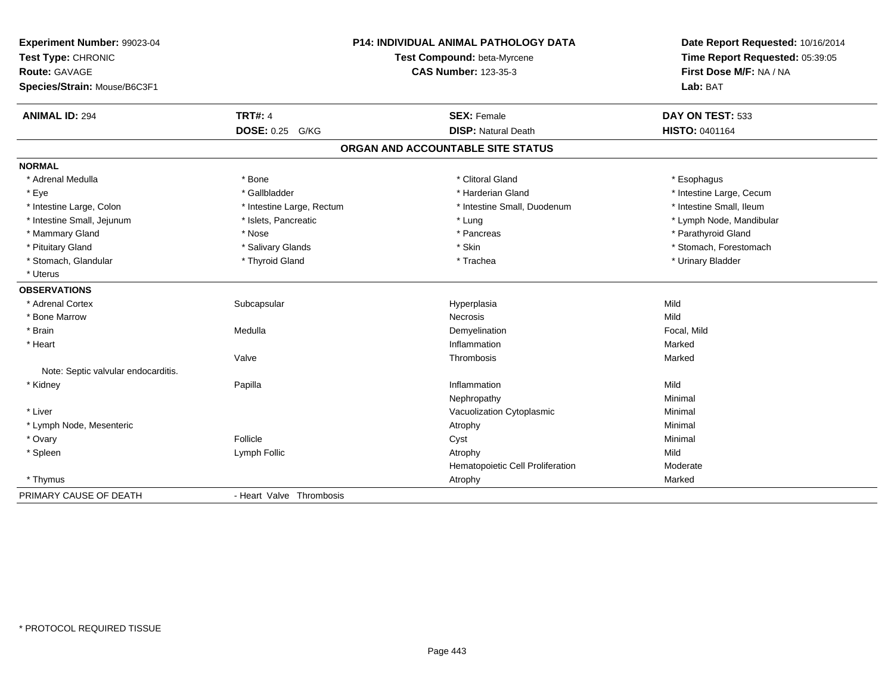| Experiment Number: 99023-04<br>Test Type: CHRONIC<br><b>Route: GAVAGE</b><br>Species/Strain: Mouse/B6C3F1 |                           | <b>P14: INDIVIDUAL ANIMAL PATHOLOGY DATA</b><br>Test Compound: beta-Myrcene<br><b>CAS Number: 123-35-3</b> | Date Report Requested: 10/16/2014<br>Time Report Requested: 05:39:05<br>First Dose M/F: NA / NA<br>Lab: BAT |
|-----------------------------------------------------------------------------------------------------------|---------------------------|------------------------------------------------------------------------------------------------------------|-------------------------------------------------------------------------------------------------------------|
| <b>ANIMAL ID: 294</b>                                                                                     | <b>TRT#: 4</b>            | <b>SEX: Female</b>                                                                                         | DAY ON TEST: 533                                                                                            |
|                                                                                                           | DOSE: 0.25 G/KG           | <b>DISP: Natural Death</b>                                                                                 | HISTO: 0401164                                                                                              |
|                                                                                                           |                           | ORGAN AND ACCOUNTABLE SITE STATUS                                                                          |                                                                                                             |
| <b>NORMAL</b>                                                                                             |                           |                                                                                                            |                                                                                                             |
| * Adrenal Medulla                                                                                         | * Bone                    | * Clitoral Gland                                                                                           | * Esophagus                                                                                                 |
| * Eye                                                                                                     | * Gallbladder             | * Harderian Gland                                                                                          | * Intestine Large, Cecum                                                                                    |
| * Intestine Large, Colon                                                                                  | * Intestine Large, Rectum | * Intestine Small, Duodenum                                                                                | * Intestine Small. Ileum                                                                                    |
| * Intestine Small, Jejunum                                                                                | * Islets, Pancreatic      | * Lung                                                                                                     | * Lymph Node, Mandibular                                                                                    |
| * Mammary Gland                                                                                           | * Nose                    | * Pancreas                                                                                                 | * Parathyroid Gland                                                                                         |
| * Pituitary Gland                                                                                         | * Salivary Glands         | * Skin                                                                                                     | * Stomach, Forestomach                                                                                      |
| * Stomach, Glandular                                                                                      | * Thyroid Gland           | * Trachea                                                                                                  | * Urinary Bladder                                                                                           |
| * Uterus                                                                                                  |                           |                                                                                                            |                                                                                                             |
| <b>OBSERVATIONS</b>                                                                                       |                           |                                                                                                            |                                                                                                             |
| * Adrenal Cortex                                                                                          | Subcapsular               | Hyperplasia                                                                                                | Mild                                                                                                        |
| * Bone Marrow                                                                                             |                           | <b>Necrosis</b>                                                                                            | Mild                                                                                                        |
| * Brain                                                                                                   | Medulla                   | Demyelination                                                                                              | Focal, Mild                                                                                                 |
| * Heart                                                                                                   |                           | Inflammation                                                                                               | Marked                                                                                                      |
|                                                                                                           | Valve                     | Thrombosis                                                                                                 | Marked                                                                                                      |
| Note: Septic valvular endocarditis.                                                                       |                           |                                                                                                            |                                                                                                             |
| * Kidney                                                                                                  | Papilla                   | Inflammation                                                                                               | Mild                                                                                                        |
|                                                                                                           |                           | Nephropathy                                                                                                | Minimal                                                                                                     |
| * Liver                                                                                                   |                           | Vacuolization Cytoplasmic                                                                                  | Minimal                                                                                                     |
| * Lymph Node, Mesenteric                                                                                  |                           | Atrophy                                                                                                    | Minimal                                                                                                     |
| * Ovary                                                                                                   | Follicle                  | Cyst                                                                                                       | Minimal                                                                                                     |
| * Spleen                                                                                                  | Lymph Follic              | Atrophy                                                                                                    | Mild                                                                                                        |
|                                                                                                           |                           | Hematopoietic Cell Proliferation                                                                           | Moderate                                                                                                    |
| * Thymus                                                                                                  |                           | Atrophy                                                                                                    | Marked                                                                                                      |
| PRIMARY CAUSE OF DEATH                                                                                    | - Heart Valve Thrombosis  |                                                                                                            |                                                                                                             |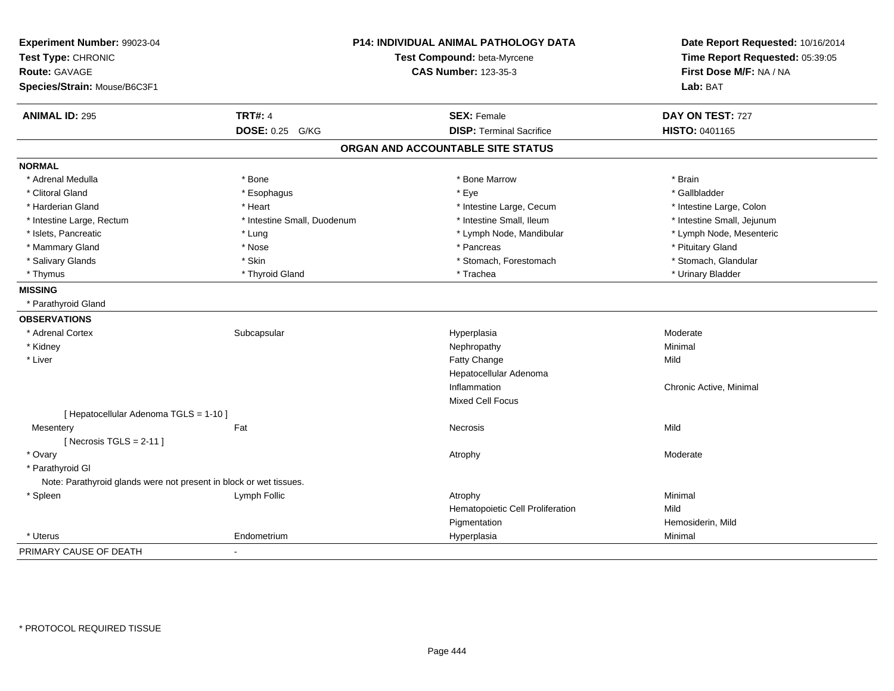| Experiment Number: 99023-04<br>Test Type: CHRONIC<br><b>Route: GAVAGE</b> |                             | P14: INDIVIDUAL ANIMAL PATHOLOGY DATA<br>Test Compound: beta-Myrcene<br><b>CAS Number: 123-35-3</b> | Date Report Requested: 10/16/2014<br>Time Report Requested: 05:39:05<br>First Dose M/F: NA / NA |
|---------------------------------------------------------------------------|-----------------------------|-----------------------------------------------------------------------------------------------------|-------------------------------------------------------------------------------------------------|
| Species/Strain: Mouse/B6C3F1                                              |                             |                                                                                                     | Lab: BAT                                                                                        |
| <b>ANIMAL ID: 295</b>                                                     | <b>TRT#: 4</b>              | <b>SEX: Female</b>                                                                                  | DAY ON TEST: 727                                                                                |
|                                                                           | DOSE: 0.25 G/KG             | <b>DISP: Terminal Sacrifice</b>                                                                     | HISTO: 0401165                                                                                  |
|                                                                           |                             | ORGAN AND ACCOUNTABLE SITE STATUS                                                                   |                                                                                                 |
| <b>NORMAL</b>                                                             |                             |                                                                                                     |                                                                                                 |
| * Adrenal Medulla                                                         | * Bone                      | * Bone Marrow                                                                                       | * Brain                                                                                         |
| * Clitoral Gland                                                          | * Esophagus                 | * Eye                                                                                               | * Gallbladder                                                                                   |
| * Harderian Gland                                                         | * Heart                     | * Intestine Large, Cecum                                                                            | * Intestine Large, Colon                                                                        |
| * Intestine Large, Rectum                                                 | * Intestine Small, Duodenum | * Intestine Small, Ileum                                                                            | * Intestine Small, Jejunum                                                                      |
| * Islets, Pancreatic                                                      | * Lung                      | * Lymph Node, Mandibular                                                                            | * Lymph Node, Mesenteric                                                                        |
| * Mammary Gland                                                           | * Nose                      | * Pancreas                                                                                          | * Pituitary Gland                                                                               |
| * Salivary Glands                                                         | * Skin                      | * Stomach, Forestomach                                                                              | * Stomach, Glandular                                                                            |
| * Thymus                                                                  | * Thyroid Gland             | * Trachea                                                                                           | * Urinary Bladder                                                                               |
| <b>MISSING</b>                                                            |                             |                                                                                                     |                                                                                                 |
| * Parathyroid Gland                                                       |                             |                                                                                                     |                                                                                                 |
| <b>OBSERVATIONS</b>                                                       |                             |                                                                                                     |                                                                                                 |
| * Adrenal Cortex                                                          | Subcapsular                 | Hyperplasia                                                                                         | Moderate                                                                                        |
| * Kidney                                                                  |                             | Nephropathy                                                                                         | Minimal                                                                                         |
| * Liver                                                                   |                             | Fatty Change                                                                                        | Mild                                                                                            |
|                                                                           |                             | Hepatocellular Adenoma                                                                              |                                                                                                 |
|                                                                           |                             | Inflammation                                                                                        | Chronic Active, Minimal                                                                         |
|                                                                           |                             | <b>Mixed Cell Focus</b>                                                                             |                                                                                                 |
| [ Hepatocellular Adenoma TGLS = 1-10 ]                                    |                             |                                                                                                     |                                                                                                 |
| Mesentery                                                                 | Fat                         | Necrosis                                                                                            | Mild                                                                                            |
| [Necrosis TGLS = $2-11$ ]                                                 |                             |                                                                                                     |                                                                                                 |
| * Ovary                                                                   |                             | Atrophy                                                                                             | Moderate                                                                                        |
| * Parathyroid GI                                                          |                             |                                                                                                     |                                                                                                 |
| Note: Parathyroid glands were not present in block or wet tissues.        |                             |                                                                                                     |                                                                                                 |
| * Spleen                                                                  | Lymph Follic                | Atrophy                                                                                             | Minimal                                                                                         |
|                                                                           |                             | Hematopoietic Cell Proliferation                                                                    | Mild                                                                                            |
|                                                                           |                             | Pigmentation                                                                                        | Hemosiderin, Mild                                                                               |
| * Uterus                                                                  | Endometrium                 | Hyperplasia                                                                                         | Minimal                                                                                         |
| PRIMARY CAUSE OF DEATH                                                    | $\blacksquare$              |                                                                                                     |                                                                                                 |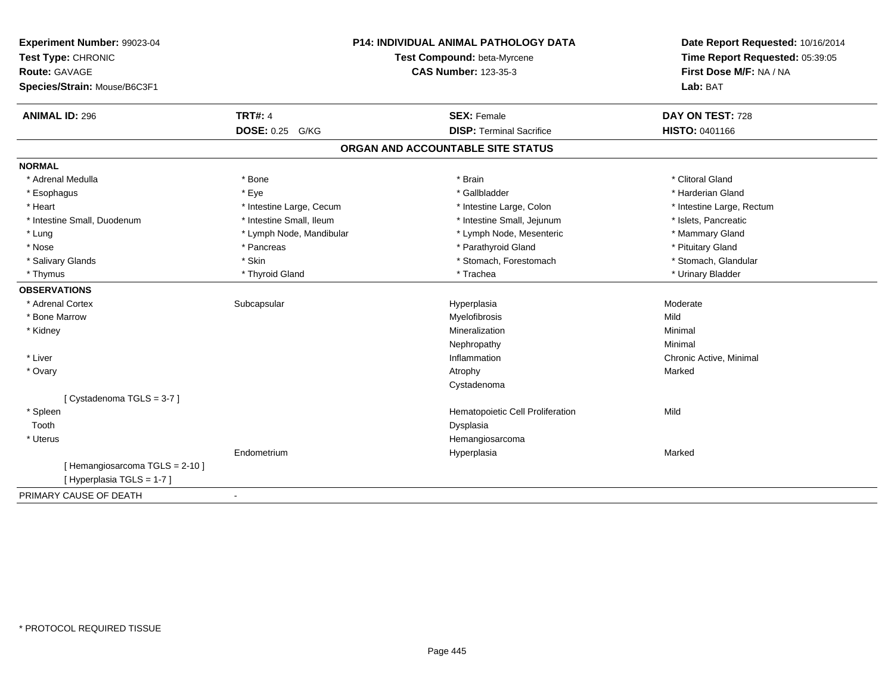| Experiment Number: 99023-04<br>Test Type: CHRONIC<br>Route: GAVAGE<br>Species/Strain: Mouse/B6C3F1 |                          | P14: INDIVIDUAL ANIMAL PATHOLOGY DATA<br>Test Compound: beta-Myrcene<br><b>CAS Number: 123-35-3</b> | Date Report Requested: 10/16/2014<br>Time Report Requested: 05:39:05<br>First Dose M/F: NA / NA<br>Lab: BAT |
|----------------------------------------------------------------------------------------------------|--------------------------|-----------------------------------------------------------------------------------------------------|-------------------------------------------------------------------------------------------------------------|
| <b>ANIMAL ID: 296</b>                                                                              | <b>TRT#: 4</b>           | <b>SEX: Female</b>                                                                                  | DAY ON TEST: 728                                                                                            |
|                                                                                                    | DOSE: 0.25 G/KG          | <b>DISP: Terminal Sacrifice</b>                                                                     | <b>HISTO: 0401166</b>                                                                                       |
|                                                                                                    |                          | ORGAN AND ACCOUNTABLE SITE STATUS                                                                   |                                                                                                             |
| <b>NORMAL</b>                                                                                      |                          |                                                                                                     |                                                                                                             |
| * Adrenal Medulla                                                                                  | * Bone                   | * Brain                                                                                             | * Clitoral Gland                                                                                            |
| * Esophagus                                                                                        | * Eye                    | * Gallbladder                                                                                       | * Harderian Gland                                                                                           |
| * Heart                                                                                            | * Intestine Large, Cecum | * Intestine Large, Colon                                                                            | * Intestine Large, Rectum                                                                                   |
| * Intestine Small, Duodenum                                                                        | * Intestine Small, Ileum | * Intestine Small, Jejunum                                                                          | * Islets, Pancreatic                                                                                        |
| * Lung                                                                                             | * Lymph Node, Mandibular | * Lymph Node, Mesenteric                                                                            | * Mammary Gland                                                                                             |
| * Nose                                                                                             | * Pancreas               | * Parathyroid Gland                                                                                 | * Pituitary Gland                                                                                           |
| * Salivary Glands                                                                                  | * Skin                   | * Stomach, Forestomach                                                                              | * Stomach, Glandular                                                                                        |
| * Thymus                                                                                           | * Thyroid Gland          | * Trachea                                                                                           | * Urinary Bladder                                                                                           |
| <b>OBSERVATIONS</b>                                                                                |                          |                                                                                                     |                                                                                                             |
| * Adrenal Cortex                                                                                   | Subcapsular              | Hyperplasia                                                                                         | Moderate                                                                                                    |
| * Bone Marrow                                                                                      |                          | Myelofibrosis                                                                                       | Mild                                                                                                        |
| * Kidney                                                                                           |                          | Mineralization                                                                                      | Minimal                                                                                                     |
|                                                                                                    |                          | Nephropathy                                                                                         | Minimal                                                                                                     |
| * Liver                                                                                            |                          | Inflammation                                                                                        | Chronic Active, Minimal                                                                                     |
| * Ovary                                                                                            |                          | Atrophy                                                                                             | Marked                                                                                                      |
|                                                                                                    |                          | Cystadenoma                                                                                         |                                                                                                             |
| [Cystadenoma TGLS = 3-7]                                                                           |                          |                                                                                                     |                                                                                                             |
| * Spleen                                                                                           |                          | Hematopoietic Cell Proliferation                                                                    | Mild                                                                                                        |
| Tooth                                                                                              |                          | Dysplasia                                                                                           |                                                                                                             |
| * Uterus                                                                                           |                          | Hemangiosarcoma                                                                                     |                                                                                                             |
|                                                                                                    | Endometrium              | Hyperplasia                                                                                         | Marked                                                                                                      |
| [Hemangiosarcoma TGLS = 2-10]<br>[Hyperplasia TGLS = 1-7]                                          |                          |                                                                                                     |                                                                                                             |
| PRIMARY CAUSE OF DEATH                                                                             | $\blacksquare$           |                                                                                                     |                                                                                                             |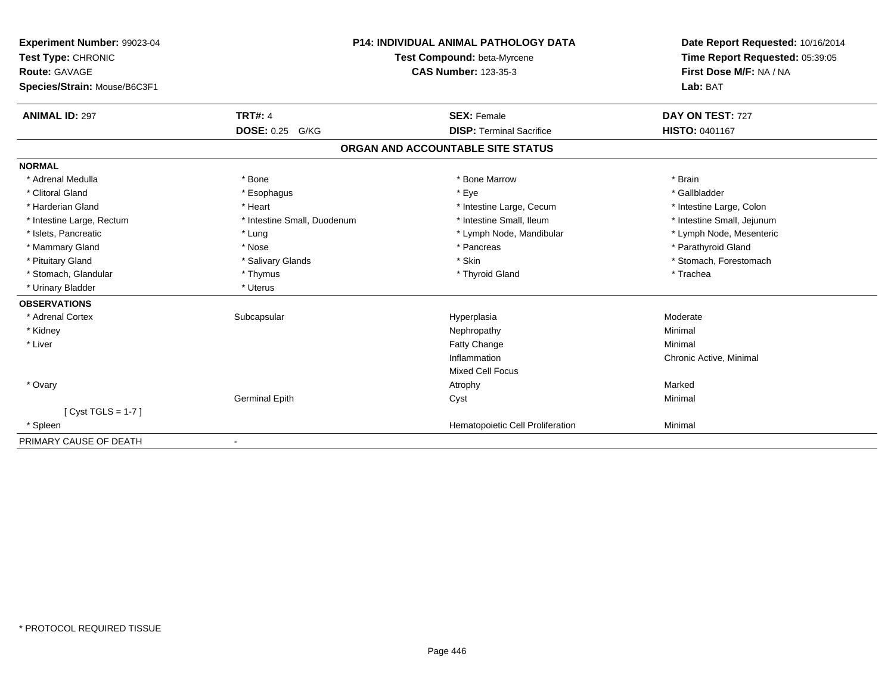| Experiment Number: 99023-04  |                             | <b>P14: INDIVIDUAL ANIMAL PATHOLOGY DATA</b> | Date Report Requested: 10/16/2014 |
|------------------------------|-----------------------------|----------------------------------------------|-----------------------------------|
| Test Type: CHRONIC           |                             | Test Compound: beta-Myrcene                  | Time Report Requested: 05:39:05   |
| <b>Route: GAVAGE</b>         |                             | <b>CAS Number: 123-35-3</b>                  | First Dose M/F: NA / NA           |
| Species/Strain: Mouse/B6C3F1 |                             |                                              | Lab: BAT                          |
| <b>ANIMAL ID: 297</b>        | <b>TRT#: 4</b>              | <b>SEX: Female</b>                           | DAY ON TEST: 727                  |
|                              | <b>DOSE: 0.25 G/KG</b>      | <b>DISP: Terminal Sacrifice</b>              | HISTO: 0401167                    |
|                              |                             | ORGAN AND ACCOUNTABLE SITE STATUS            |                                   |
| <b>NORMAL</b>                |                             |                                              |                                   |
| * Adrenal Medulla            | * Bone                      | * Bone Marrow                                | * Brain                           |
| * Clitoral Gland             | * Esophagus                 | * Eye                                        | * Gallbladder                     |
| * Harderian Gland            | * Heart                     | * Intestine Large, Cecum                     | * Intestine Large, Colon          |
| * Intestine Large, Rectum    | * Intestine Small, Duodenum | * Intestine Small, Ileum                     | * Intestine Small, Jejunum        |
| * Islets, Pancreatic         | * Lung                      | * Lymph Node, Mandibular                     | * Lymph Node, Mesenteric          |
| * Mammary Gland              | * Nose                      | * Pancreas                                   | * Parathyroid Gland               |
| * Pituitary Gland            | * Salivary Glands           | * Skin                                       | * Stomach, Forestomach            |
| * Stomach, Glandular         | * Thymus                    | * Thyroid Gland                              | * Trachea                         |
| * Urinary Bladder            | * Uterus                    |                                              |                                   |
| <b>OBSERVATIONS</b>          |                             |                                              |                                   |
| * Adrenal Cortex             | Subcapsular                 | Hyperplasia                                  | Moderate                          |
| * Kidney                     |                             | Nephropathy                                  | Minimal                           |
| * Liver                      |                             | Fatty Change                                 | Minimal                           |
|                              |                             | Inflammation                                 | Chronic Active, Minimal           |
|                              |                             | <b>Mixed Cell Focus</b>                      |                                   |
| * Ovary                      |                             | Atrophy                                      | Marked                            |
|                              | <b>Germinal Epith</b>       | Cyst                                         | Minimal                           |
| [ $Cyst TGLS = 1-7$ ]        |                             |                                              |                                   |
| * Spleen                     |                             | Hematopoietic Cell Proliferation             | Minimal                           |
| PRIMARY CAUSE OF DEATH       |                             |                                              |                                   |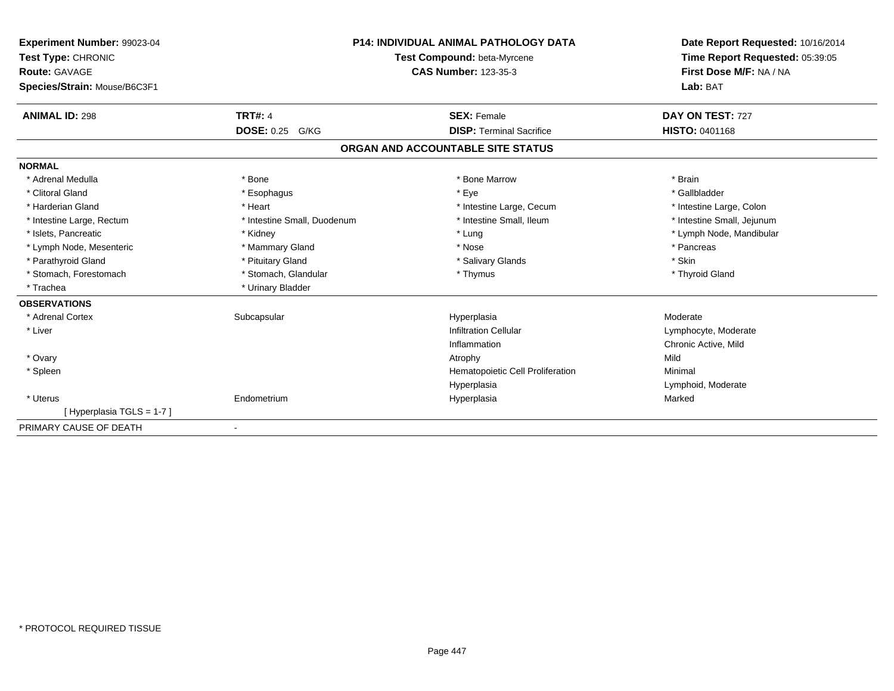| Experiment Number: 99023-04<br>Test Type: CHRONIC<br><b>Route: GAVAGE</b><br>Species/Strain: Mouse/B6C3F1 |                             | <b>P14: INDIVIDUAL ANIMAL PATHOLOGY DATA</b><br>Test Compound: beta-Myrcene<br><b>CAS Number: 123-35-3</b> | Date Report Requested: 10/16/2014<br>Time Report Requested: 05:39:05<br>First Dose M/F: NA / NA<br>Lab: BAT |
|-----------------------------------------------------------------------------------------------------------|-----------------------------|------------------------------------------------------------------------------------------------------------|-------------------------------------------------------------------------------------------------------------|
| <b>ANIMAL ID: 298</b>                                                                                     | <b>TRT#: 4</b>              | <b>SEX: Female</b>                                                                                         | DAY ON TEST: 727                                                                                            |
|                                                                                                           | <b>DOSE: 0.25 G/KG</b>      | <b>DISP: Terminal Sacrifice</b>                                                                            | <b>HISTO: 0401168</b>                                                                                       |
|                                                                                                           |                             | ORGAN AND ACCOUNTABLE SITE STATUS                                                                          |                                                                                                             |
| <b>NORMAL</b>                                                                                             |                             |                                                                                                            |                                                                                                             |
| * Adrenal Medulla                                                                                         | * Bone                      | * Bone Marrow                                                                                              | * Brain                                                                                                     |
| * Clitoral Gland                                                                                          | * Esophagus                 | * Eye                                                                                                      | * Gallbladder                                                                                               |
| * Harderian Gland                                                                                         | * Heart                     | * Intestine Large, Cecum                                                                                   | * Intestine Large, Colon                                                                                    |
| * Intestine Large, Rectum                                                                                 | * Intestine Small, Duodenum | * Intestine Small, Ileum                                                                                   | * Intestine Small, Jejunum                                                                                  |
| * Islets, Pancreatic                                                                                      | * Kidney                    | * Lung                                                                                                     | * Lymph Node, Mandibular                                                                                    |
| * Lymph Node, Mesenteric                                                                                  | * Mammary Gland             | * Nose                                                                                                     | * Pancreas                                                                                                  |
| * Parathyroid Gland                                                                                       | * Pituitary Gland           | * Salivary Glands                                                                                          | * Skin                                                                                                      |
| * Stomach, Forestomach                                                                                    | * Stomach, Glandular        | * Thymus                                                                                                   | * Thyroid Gland                                                                                             |
| * Trachea                                                                                                 | * Urinary Bladder           |                                                                                                            |                                                                                                             |
| <b>OBSERVATIONS</b>                                                                                       |                             |                                                                                                            |                                                                                                             |
| * Adrenal Cortex                                                                                          | Subcapsular                 | Hyperplasia                                                                                                | Moderate                                                                                                    |
| * Liver                                                                                                   |                             | <b>Infiltration Cellular</b>                                                                               | Lymphocyte, Moderate                                                                                        |
|                                                                                                           |                             | Inflammation                                                                                               | Chronic Active, Mild                                                                                        |
| * Ovary                                                                                                   |                             | Atrophy                                                                                                    | Mild                                                                                                        |
| * Spleen                                                                                                  |                             | Hematopoietic Cell Proliferation                                                                           | Minimal                                                                                                     |
|                                                                                                           |                             | Hyperplasia                                                                                                | Lymphoid, Moderate                                                                                          |
| * Uterus                                                                                                  | Endometrium                 | Hyperplasia                                                                                                | Marked                                                                                                      |
| [Hyperplasia TGLS = 1-7]                                                                                  |                             |                                                                                                            |                                                                                                             |
| PRIMARY CAUSE OF DEATH                                                                                    |                             |                                                                                                            |                                                                                                             |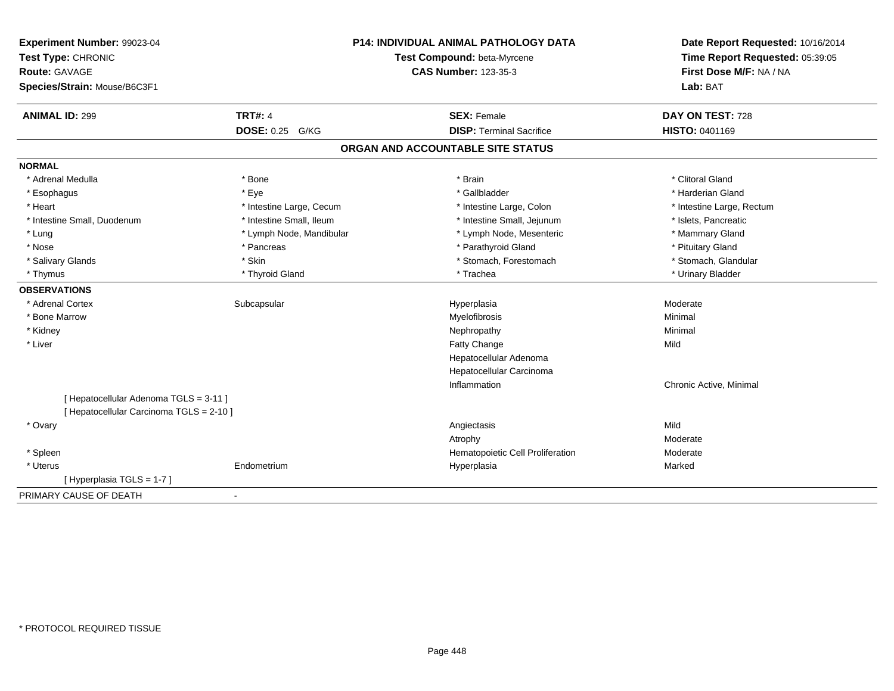| Experiment Number: 99023-04<br>Test Type: CHRONIC<br>Route: GAVAGE<br>Species/Strain: Mouse/B6C3F1 |                          | P14: INDIVIDUAL ANIMAL PATHOLOGY DATA<br>Test Compound: beta-Myrcene<br><b>CAS Number: 123-35-3</b> | Date Report Requested: 10/16/2014<br>Time Report Requested: 05:39:05<br>First Dose M/F: NA / NA<br>Lab: BAT |
|----------------------------------------------------------------------------------------------------|--------------------------|-----------------------------------------------------------------------------------------------------|-------------------------------------------------------------------------------------------------------------|
| <b>ANIMAL ID: 299</b>                                                                              | <b>TRT#: 4</b>           | <b>SEX: Female</b>                                                                                  | DAY ON TEST: 728                                                                                            |
|                                                                                                    | DOSE: 0.25 G/KG          | <b>DISP: Terminal Sacrifice</b>                                                                     | HISTO: 0401169                                                                                              |
|                                                                                                    |                          | ORGAN AND ACCOUNTABLE SITE STATUS                                                                   |                                                                                                             |
| <b>NORMAL</b>                                                                                      |                          |                                                                                                     |                                                                                                             |
| * Adrenal Medulla                                                                                  | * Bone                   | * Brain                                                                                             | * Clitoral Gland                                                                                            |
| * Esophagus                                                                                        | * Eye                    | * Gallbladder                                                                                       | * Harderian Gland                                                                                           |
| * Heart                                                                                            | * Intestine Large, Cecum | * Intestine Large, Colon                                                                            | * Intestine Large, Rectum                                                                                   |
| * Intestine Small, Duodenum                                                                        | * Intestine Small, Ileum | * Intestine Small, Jejunum                                                                          | * Islets, Pancreatic                                                                                        |
| * Lung                                                                                             | * Lymph Node, Mandibular | * Lymph Node, Mesenteric                                                                            | * Mammary Gland                                                                                             |
| * Nose                                                                                             | * Pancreas               | * Parathyroid Gland                                                                                 | * Pituitary Gland                                                                                           |
| * Salivary Glands                                                                                  | * Skin                   | * Stomach, Forestomach                                                                              | * Stomach, Glandular                                                                                        |
| * Thymus                                                                                           | * Thyroid Gland          | * Trachea                                                                                           | * Urinary Bladder                                                                                           |
| <b>OBSERVATIONS</b>                                                                                |                          |                                                                                                     |                                                                                                             |
| * Adrenal Cortex                                                                                   | Subcapsular              | Hyperplasia                                                                                         | Moderate                                                                                                    |
| * Bone Marrow                                                                                      |                          | Myelofibrosis                                                                                       | Minimal                                                                                                     |
| * Kidney                                                                                           |                          | Nephropathy                                                                                         | Minimal                                                                                                     |
| * Liver                                                                                            |                          | Fatty Change                                                                                        | Mild                                                                                                        |
|                                                                                                    |                          | Hepatocellular Adenoma                                                                              |                                                                                                             |
|                                                                                                    |                          | Hepatocellular Carcinoma                                                                            |                                                                                                             |
|                                                                                                    |                          | Inflammation                                                                                        | Chronic Active, Minimal                                                                                     |
| [ Hepatocellular Adenoma TGLS = 3-11 ]<br>[ Hepatocellular Carcinoma TGLS = 2-10 ]                 |                          |                                                                                                     |                                                                                                             |
| * Ovary                                                                                            |                          | Angiectasis                                                                                         | Mild                                                                                                        |
|                                                                                                    |                          | Atrophy                                                                                             | Moderate                                                                                                    |
| * Spleen                                                                                           |                          | Hematopoietic Cell Proliferation                                                                    | Moderate                                                                                                    |
| * Uterus                                                                                           | Endometrium              | Hyperplasia                                                                                         | Marked                                                                                                      |
| [ Hyperplasia TGLS = 1-7 ]                                                                         |                          |                                                                                                     |                                                                                                             |
| PRIMARY CAUSE OF DEATH                                                                             | $\blacksquare$           |                                                                                                     |                                                                                                             |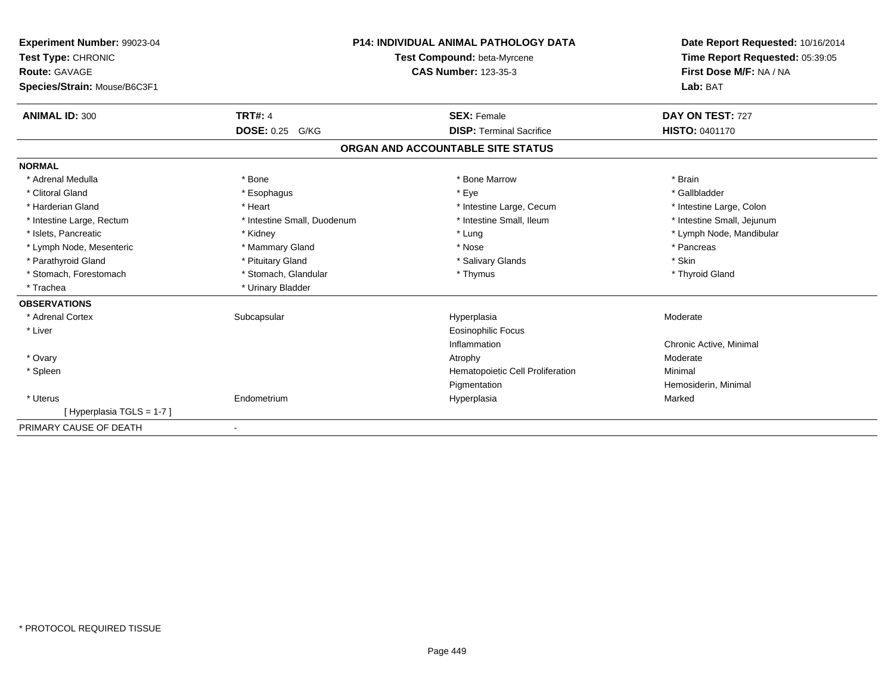| Experiment Number: 99023-04<br>Test Type: CHRONIC<br><b>Route: GAVAGE</b><br>Species/Strain: Mouse/B6C3F1 |                             | <b>P14: INDIVIDUAL ANIMAL PATHOLOGY DATA</b><br>Test Compound: beta-Myrcene<br><b>CAS Number: 123-35-3</b> | Date Report Requested: 10/16/2014<br>Time Report Requested: 05:39:05<br>First Dose M/F: NA / NA<br>Lab: BAT |
|-----------------------------------------------------------------------------------------------------------|-----------------------------|------------------------------------------------------------------------------------------------------------|-------------------------------------------------------------------------------------------------------------|
| <b>ANIMAL ID: 300</b>                                                                                     | <b>TRT#: 4</b>              | <b>SEX: Female</b>                                                                                         | DAY ON TEST: 727                                                                                            |
|                                                                                                           | <b>DOSE: 0.25</b><br>G/KG   | <b>DISP: Terminal Sacrifice</b>                                                                            | <b>HISTO: 0401170</b>                                                                                       |
|                                                                                                           |                             | ORGAN AND ACCOUNTABLE SITE STATUS                                                                          |                                                                                                             |
| <b>NORMAL</b>                                                                                             |                             |                                                                                                            |                                                                                                             |
| * Adrenal Medulla                                                                                         | * Bone                      | * Bone Marrow                                                                                              | * Brain                                                                                                     |
| * Clitoral Gland                                                                                          | * Esophagus                 | * Eye                                                                                                      | * Gallbladder                                                                                               |
| * Harderian Gland                                                                                         | * Heart                     | * Intestine Large, Cecum                                                                                   | * Intestine Large, Colon                                                                                    |
| * Intestine Large, Rectum                                                                                 | * Intestine Small, Duodenum | * Intestine Small, Ileum                                                                                   | * Intestine Small, Jejunum                                                                                  |
| * Islets. Pancreatic                                                                                      | * Kidney                    | * Lung                                                                                                     | * Lymph Node, Mandibular                                                                                    |
| * Lymph Node, Mesenteric                                                                                  | * Mammary Gland             | * Nose                                                                                                     | * Pancreas                                                                                                  |
| * Parathyroid Gland                                                                                       | * Pituitary Gland           | * Salivary Glands                                                                                          | * Skin                                                                                                      |
| * Stomach, Forestomach                                                                                    | * Stomach, Glandular        | * Thymus                                                                                                   | * Thyroid Gland                                                                                             |
| * Trachea                                                                                                 | * Urinary Bladder           |                                                                                                            |                                                                                                             |
| <b>OBSERVATIONS</b>                                                                                       |                             |                                                                                                            |                                                                                                             |
| * Adrenal Cortex                                                                                          | Subcapsular                 | Hyperplasia                                                                                                | Moderate                                                                                                    |
| * Liver                                                                                                   |                             | <b>Eosinophilic Focus</b>                                                                                  |                                                                                                             |
|                                                                                                           |                             | Inflammation                                                                                               | Chronic Active, Minimal                                                                                     |
| * Ovary                                                                                                   |                             | Atrophy                                                                                                    | Moderate                                                                                                    |
| * Spleen                                                                                                  |                             | Hematopoietic Cell Proliferation                                                                           | Minimal                                                                                                     |
|                                                                                                           |                             | Pigmentation                                                                                               | Hemosiderin, Minimal                                                                                        |
| * Uterus                                                                                                  | Endometrium                 | Hyperplasia                                                                                                | Marked                                                                                                      |
| [Hyperplasia TGLS = 1-7]                                                                                  |                             |                                                                                                            |                                                                                                             |
| PRIMARY CAUSE OF DEATH                                                                                    |                             |                                                                                                            |                                                                                                             |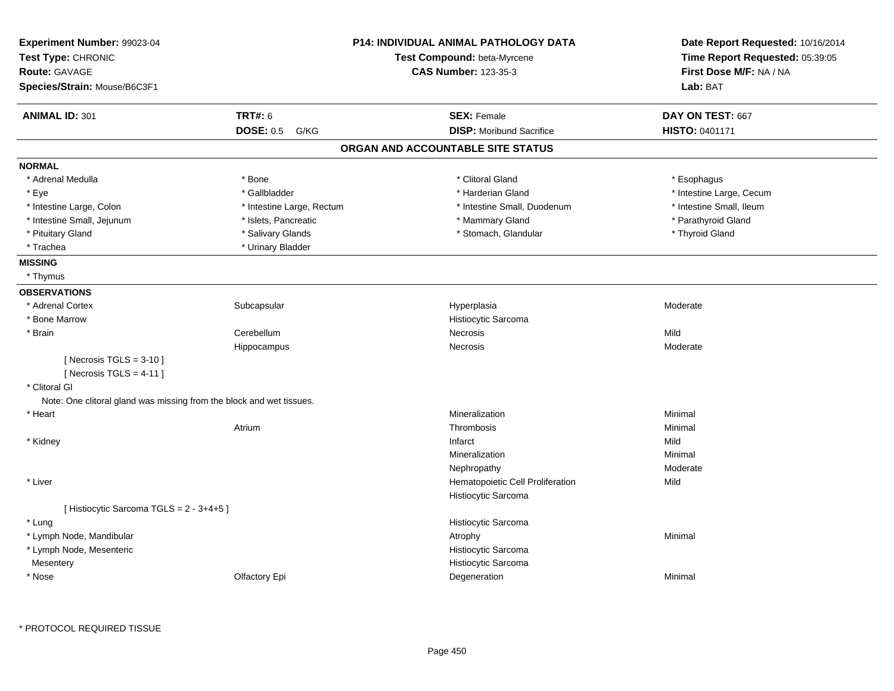| Experiment Number: 99023-04<br>Test Type: CHRONIC<br><b>Route: GAVAGE</b><br>Species/Strain: Mouse/B6C3F1 |                           | <b>P14: INDIVIDUAL ANIMAL PATHOLOGY DATA</b><br>Test Compound: beta-Myrcene<br><b>CAS Number: 123-35-3</b> | Date Report Requested: 10/16/2014<br>Time Report Requested: 05:39:05<br>First Dose M/F: NA / NA<br>Lab: BAT |
|-----------------------------------------------------------------------------------------------------------|---------------------------|------------------------------------------------------------------------------------------------------------|-------------------------------------------------------------------------------------------------------------|
| <b>ANIMAL ID: 301</b>                                                                                     | <b>TRT#: 6</b>            | <b>SEX: Female</b>                                                                                         | DAY ON TEST: 667                                                                                            |
|                                                                                                           | <b>DOSE: 0.5</b><br>G/KG  | <b>DISP:</b> Moribund Sacrifice                                                                            | HISTO: 0401171                                                                                              |
|                                                                                                           |                           | ORGAN AND ACCOUNTABLE SITE STATUS                                                                          |                                                                                                             |
| <b>NORMAL</b>                                                                                             |                           |                                                                                                            |                                                                                                             |
| * Adrenal Medulla                                                                                         | * Bone                    | * Clitoral Gland                                                                                           | * Esophagus                                                                                                 |
| * Eye                                                                                                     | * Gallbladder             | * Harderian Gland                                                                                          | * Intestine Large, Cecum                                                                                    |
| * Intestine Large, Colon                                                                                  | * Intestine Large, Rectum | * Intestine Small, Duodenum                                                                                | * Intestine Small, Ileum                                                                                    |
| * Intestine Small, Jejunum                                                                                | * Islets, Pancreatic      | * Mammary Gland                                                                                            | * Parathyroid Gland                                                                                         |
| * Pituitary Gland                                                                                         | * Salivary Glands         | * Stomach, Glandular                                                                                       | * Thyroid Gland                                                                                             |
| * Trachea                                                                                                 | * Urinary Bladder         |                                                                                                            |                                                                                                             |
| <b>MISSING</b>                                                                                            |                           |                                                                                                            |                                                                                                             |
| * Thymus                                                                                                  |                           |                                                                                                            |                                                                                                             |
| <b>OBSERVATIONS</b>                                                                                       |                           |                                                                                                            |                                                                                                             |
| * Adrenal Cortex                                                                                          | Subcapsular               | Hyperplasia                                                                                                | Moderate                                                                                                    |
| * Bone Marrow                                                                                             |                           | Histiocytic Sarcoma                                                                                        |                                                                                                             |
| * Brain                                                                                                   | Cerebellum                | Necrosis                                                                                                   | Mild                                                                                                        |
|                                                                                                           | Hippocampus               | Necrosis                                                                                                   | Moderate                                                                                                    |
| [Necrosis TGLS = $3-10$ ]                                                                                 |                           |                                                                                                            |                                                                                                             |
| [Necrosis TGLS = $4-11$ ]                                                                                 |                           |                                                                                                            |                                                                                                             |
| * Clitoral GI                                                                                             |                           |                                                                                                            |                                                                                                             |
| Note: One clitoral gland was missing from the block and wet tissues.                                      |                           |                                                                                                            |                                                                                                             |
| * Heart                                                                                                   |                           | Mineralization                                                                                             | Minimal                                                                                                     |
|                                                                                                           | Atrium                    | Thrombosis                                                                                                 | Minimal                                                                                                     |
| * Kidney                                                                                                  |                           | Infarct                                                                                                    | Mild                                                                                                        |
|                                                                                                           |                           | Mineralization                                                                                             | Minimal                                                                                                     |
|                                                                                                           |                           | Nephropathy                                                                                                | Moderate                                                                                                    |
| * Liver                                                                                                   |                           | Hematopoietic Cell Proliferation                                                                           | Mild                                                                                                        |
|                                                                                                           |                           | Histiocytic Sarcoma                                                                                        |                                                                                                             |
| [Histiocytic Sarcoma TGLS = 2 - 3+4+5]                                                                    |                           |                                                                                                            |                                                                                                             |
| * Lung                                                                                                    |                           | Histiocytic Sarcoma                                                                                        |                                                                                                             |
| * Lymph Node, Mandibular                                                                                  |                           | Atrophy                                                                                                    | Minimal                                                                                                     |
| * Lymph Node, Mesenteric                                                                                  |                           | Histiocytic Sarcoma                                                                                        |                                                                                                             |
| Mesentery                                                                                                 |                           | Histiocytic Sarcoma                                                                                        |                                                                                                             |
| * Nose                                                                                                    | Olfactory Epi             | Degeneration                                                                                               | Minimal                                                                                                     |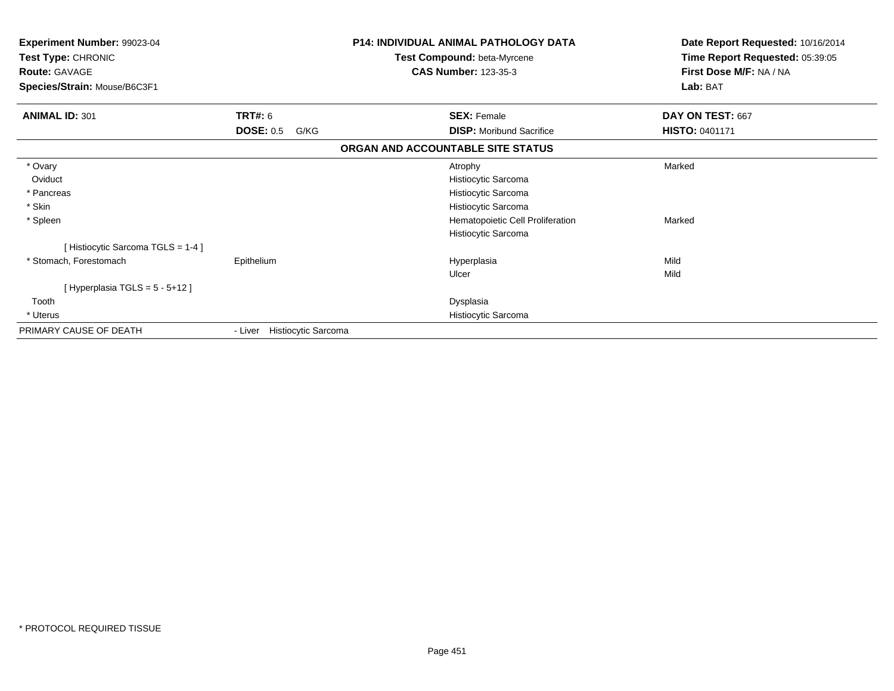| Experiment Number: 99023-04<br>Test Type: CHRONIC<br><b>Route: GAVAGE</b><br>Species/Strain: Mouse/B6C3F1 |                             | <b>P14: INDIVIDUAL ANIMAL PATHOLOGY DATA</b><br>Test Compound: beta-Myrcene<br><b>CAS Number: 123-35-3</b> | Date Report Requested: 10/16/2014<br>Time Report Requested: 05:39:05<br>First Dose M/F: NA / NA<br>Lab: BAT |
|-----------------------------------------------------------------------------------------------------------|-----------------------------|------------------------------------------------------------------------------------------------------------|-------------------------------------------------------------------------------------------------------------|
| <b>ANIMAL ID: 301</b>                                                                                     | TRT#: 6                     | <b>SEX: Female</b>                                                                                         | DAY ON TEST: 667                                                                                            |
|                                                                                                           | <b>DOSE: 0.5</b><br>G/KG    | <b>DISP:</b> Moribund Sacrifice                                                                            | <b>HISTO: 0401171</b>                                                                                       |
|                                                                                                           |                             | ORGAN AND ACCOUNTABLE SITE STATUS                                                                          |                                                                                                             |
| * Ovary                                                                                                   |                             | Atrophy                                                                                                    | Marked                                                                                                      |
| Oviduct                                                                                                   |                             | Histiocytic Sarcoma                                                                                        |                                                                                                             |
| * Pancreas                                                                                                |                             | Histiocytic Sarcoma                                                                                        |                                                                                                             |
| * Skin                                                                                                    |                             | Histiocytic Sarcoma                                                                                        |                                                                                                             |
| * Spleen                                                                                                  |                             | Hematopoietic Cell Proliferation                                                                           | Marked                                                                                                      |
|                                                                                                           |                             | Histiocytic Sarcoma                                                                                        |                                                                                                             |
| [Histiocytic Sarcoma TGLS = 1-4 ]                                                                         |                             |                                                                                                            |                                                                                                             |
| * Stomach, Forestomach                                                                                    | Epithelium                  | Hyperplasia                                                                                                | Mild                                                                                                        |
|                                                                                                           |                             | Ulcer                                                                                                      | Mild                                                                                                        |
| [Hyperplasia TGLS = $5 - 5 + 12$ ]                                                                        |                             |                                                                                                            |                                                                                                             |
| Tooth                                                                                                     |                             | Dysplasia                                                                                                  |                                                                                                             |
| * Uterus                                                                                                  |                             | Histiocytic Sarcoma                                                                                        |                                                                                                             |
| PRIMARY CAUSE OF DEATH                                                                                    | - Liver Histiocytic Sarcoma |                                                                                                            |                                                                                                             |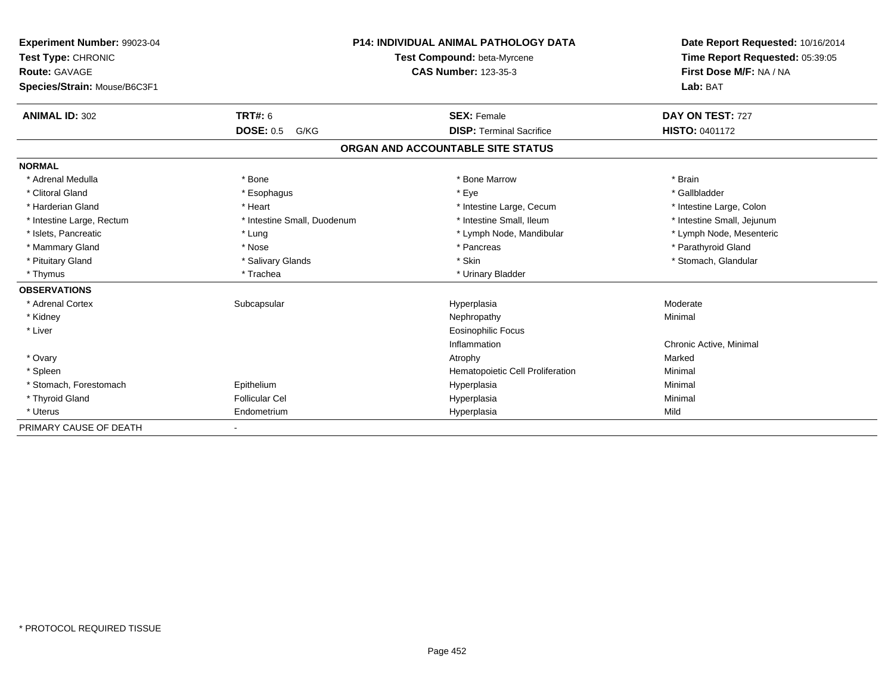| Experiment Number: 99023-04<br>Test Type: CHRONIC<br><b>Route: GAVAGE</b> |                             | <b>P14: INDIVIDUAL ANIMAL PATHOLOGY DATA</b><br>Test Compound: beta-Myrcene<br><b>CAS Number: 123-35-3</b> | Date Report Requested: 10/16/2014<br>Time Report Requested: 05:39:05<br>First Dose M/F: NA / NA |
|---------------------------------------------------------------------------|-----------------------------|------------------------------------------------------------------------------------------------------------|-------------------------------------------------------------------------------------------------|
| Species/Strain: Mouse/B6C3F1                                              |                             |                                                                                                            | Lab: BAT                                                                                        |
| <b>ANIMAL ID: 302</b>                                                     | TRT#: 6                     | <b>SEX: Female</b>                                                                                         | DAY ON TEST: 727                                                                                |
|                                                                           | <b>DOSE: 0.5</b><br>G/KG    | <b>DISP: Terminal Sacrifice</b>                                                                            | <b>HISTO: 0401172</b>                                                                           |
|                                                                           |                             | ORGAN AND ACCOUNTABLE SITE STATUS                                                                          |                                                                                                 |
| <b>NORMAL</b>                                                             |                             |                                                                                                            |                                                                                                 |
| * Adrenal Medulla                                                         | * Bone                      | * Bone Marrow                                                                                              | * Brain                                                                                         |
| * Clitoral Gland                                                          | * Esophagus                 | * Eye                                                                                                      | * Gallbladder                                                                                   |
| * Harderian Gland                                                         | * Heart                     | * Intestine Large, Cecum                                                                                   | * Intestine Large, Colon                                                                        |
| * Intestine Large, Rectum                                                 | * Intestine Small, Duodenum | * Intestine Small. Ileum                                                                                   | * Intestine Small, Jejunum                                                                      |
| * Islets, Pancreatic                                                      | * Lung                      | * Lymph Node, Mandibular                                                                                   | * Lymph Node, Mesenteric                                                                        |
| * Mammary Gland                                                           | * Nose                      | * Pancreas                                                                                                 | * Parathyroid Gland                                                                             |
| * Pituitary Gland                                                         | * Salivary Glands           | * Skin                                                                                                     | * Stomach, Glandular                                                                            |
| * Thymus                                                                  | * Trachea                   | * Urinary Bladder                                                                                          |                                                                                                 |
| <b>OBSERVATIONS</b>                                                       |                             |                                                                                                            |                                                                                                 |
| * Adrenal Cortex                                                          | Subcapsular                 | Hyperplasia                                                                                                | Moderate                                                                                        |
| * Kidney                                                                  |                             | Nephropathy                                                                                                | Minimal                                                                                         |
| * Liver                                                                   |                             | Eosinophilic Focus                                                                                         |                                                                                                 |
|                                                                           |                             | Inflammation                                                                                               | Chronic Active, Minimal                                                                         |
| * Ovary                                                                   |                             | Atrophy                                                                                                    | Marked                                                                                          |
| * Spleen                                                                  |                             | Hematopoietic Cell Proliferation                                                                           | Minimal                                                                                         |
| * Stomach, Forestomach                                                    | Epithelium                  | Hyperplasia                                                                                                | Minimal                                                                                         |
| * Thyroid Gland                                                           | <b>Follicular Cel</b>       | Hyperplasia                                                                                                | Minimal                                                                                         |
| * Uterus                                                                  | Endometrium                 | Hyperplasia                                                                                                | Mild                                                                                            |
| PRIMARY CAUSE OF DEATH                                                    | $\overline{\phantom{a}}$    |                                                                                                            |                                                                                                 |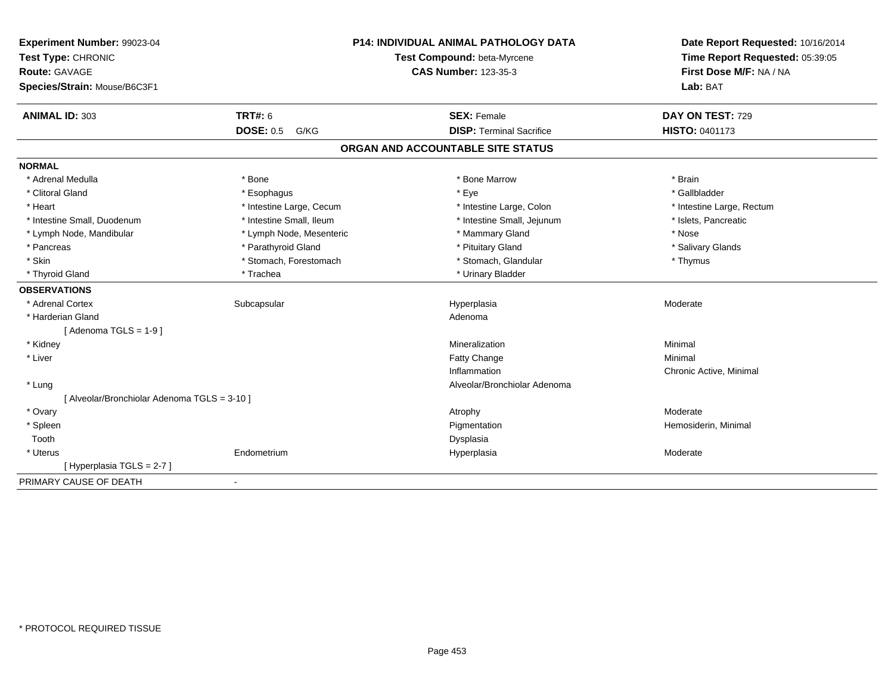| Experiment Number: 99023-04<br>Test Type: CHRONIC<br><b>Route: GAVAGE</b><br>Species/Strain: Mouse/B6C3F1 |                          | <b>P14: INDIVIDUAL ANIMAL PATHOLOGY DATA</b><br>Test Compound: beta-Myrcene<br><b>CAS Number: 123-35-3</b> | Date Report Requested: 10/16/2014<br>Time Report Requested: 05:39:05<br>First Dose M/F: NA / NA<br>Lab: BAT |
|-----------------------------------------------------------------------------------------------------------|--------------------------|------------------------------------------------------------------------------------------------------------|-------------------------------------------------------------------------------------------------------------|
| <b>ANIMAL ID: 303</b>                                                                                     | <b>TRT#: 6</b>           | <b>SEX: Female</b>                                                                                         | DAY ON TEST: 729                                                                                            |
|                                                                                                           | <b>DOSE: 0.5 G/KG</b>    | <b>DISP: Terminal Sacrifice</b>                                                                            | <b>HISTO: 0401173</b>                                                                                       |
|                                                                                                           |                          | ORGAN AND ACCOUNTABLE SITE STATUS                                                                          |                                                                                                             |
| <b>NORMAL</b>                                                                                             |                          |                                                                                                            |                                                                                                             |
| * Adrenal Medulla                                                                                         | * Bone                   | * Bone Marrow                                                                                              | * Brain                                                                                                     |
| * Clitoral Gland                                                                                          | * Esophagus              | * Eye                                                                                                      | * Gallbladder                                                                                               |
| * Heart                                                                                                   | * Intestine Large, Cecum | * Intestine Large, Colon                                                                                   | * Intestine Large, Rectum                                                                                   |
| * Intestine Small. Duodenum                                                                               | * Intestine Small, Ileum | * Intestine Small, Jejunum                                                                                 | * Islets, Pancreatic                                                                                        |
| * Lymph Node, Mandibular                                                                                  | * Lymph Node, Mesenteric | * Mammary Gland                                                                                            | * Nose                                                                                                      |
| * Pancreas                                                                                                | * Parathyroid Gland      | * Pituitary Gland                                                                                          | * Salivary Glands                                                                                           |
| * Skin                                                                                                    | * Stomach, Forestomach   | * Stomach, Glandular                                                                                       | * Thymus                                                                                                    |
| * Thyroid Gland                                                                                           | * Trachea                | * Urinary Bladder                                                                                          |                                                                                                             |
| <b>OBSERVATIONS</b>                                                                                       |                          |                                                                                                            |                                                                                                             |
| * Adrenal Cortex                                                                                          | Subcapsular              | Hyperplasia                                                                                                | Moderate                                                                                                    |
| * Harderian Gland                                                                                         |                          | Adenoma                                                                                                    |                                                                                                             |
| [Adenoma TGLS = $1-9$ ]                                                                                   |                          |                                                                                                            |                                                                                                             |
| * Kidney                                                                                                  |                          | Mineralization                                                                                             | Minimal                                                                                                     |
| * Liver                                                                                                   |                          | <b>Fatty Change</b>                                                                                        | Minimal                                                                                                     |
|                                                                                                           |                          | Inflammation                                                                                               | Chronic Active, Minimal                                                                                     |
| * Lung                                                                                                    |                          | Alveolar/Bronchiolar Adenoma                                                                               |                                                                                                             |
| [ Alveolar/Bronchiolar Adenoma TGLS = 3-10 ]                                                              |                          |                                                                                                            |                                                                                                             |
| * Ovary                                                                                                   |                          | Atrophy                                                                                                    | Moderate                                                                                                    |
| * Spleen                                                                                                  |                          | Pigmentation                                                                                               | Hemosiderin, Minimal                                                                                        |
| Tooth                                                                                                     |                          | Dysplasia                                                                                                  |                                                                                                             |
| * Uterus                                                                                                  | Endometrium              | Hyperplasia                                                                                                | Moderate                                                                                                    |
| [Hyperplasia TGLS = 2-7]                                                                                  |                          |                                                                                                            |                                                                                                             |
| PRIMARY CAUSE OF DEATH                                                                                    | $\blacksquare$           |                                                                                                            |                                                                                                             |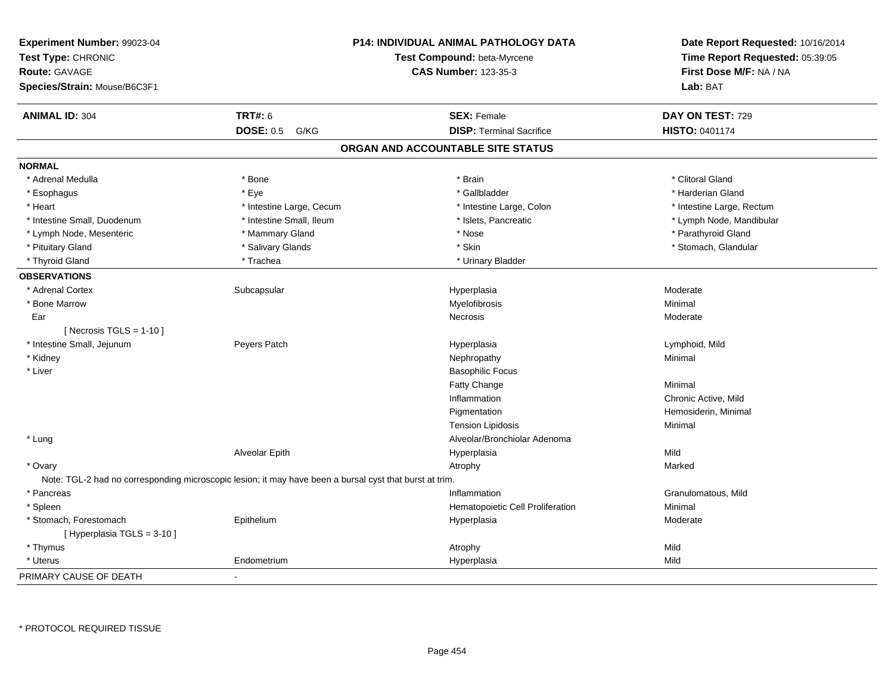| Experiment Number: 99023-04<br>Test Type: CHRONIC<br><b>Route: GAVAGE</b><br>Species/Strain: Mouse/B6C3F1 |                          | <b>P14: INDIVIDUAL ANIMAL PATHOLOGY DATA</b><br>Test Compound: beta-Myrcene<br><b>CAS Number: 123-35-3</b> | Date Report Requested: 10/16/2014<br>Time Report Requested: 05:39:05<br>First Dose M/F: NA / NA<br>Lab: BAT |
|-----------------------------------------------------------------------------------------------------------|--------------------------|------------------------------------------------------------------------------------------------------------|-------------------------------------------------------------------------------------------------------------|
| <b>ANIMAL ID: 304</b>                                                                                     | <b>TRT#: 6</b>           | <b>SEX: Female</b>                                                                                         | DAY ON TEST: 729                                                                                            |
|                                                                                                           | <b>DOSE: 0.5</b><br>G/KG | <b>DISP: Terminal Sacrifice</b>                                                                            | <b>HISTO: 0401174</b>                                                                                       |
|                                                                                                           |                          | ORGAN AND ACCOUNTABLE SITE STATUS                                                                          |                                                                                                             |
| <b>NORMAL</b>                                                                                             |                          |                                                                                                            |                                                                                                             |
| * Adrenal Medulla                                                                                         | * Bone                   | * Brain                                                                                                    | * Clitoral Gland                                                                                            |
| * Esophagus                                                                                               | * Eye                    | * Gallbladder                                                                                              | * Harderian Gland                                                                                           |
| * Heart                                                                                                   | * Intestine Large, Cecum | * Intestine Large, Colon                                                                                   | * Intestine Large, Rectum                                                                                   |
| * Intestine Small, Duodenum                                                                               | * Intestine Small, Ileum | * Islets, Pancreatic                                                                                       | * Lymph Node, Mandibular                                                                                    |
| * Lymph Node, Mesenteric                                                                                  | * Mammary Gland          | * Nose                                                                                                     | * Parathyroid Gland                                                                                         |
| * Pituitary Gland                                                                                         | * Salivary Glands        | * Skin                                                                                                     | * Stomach, Glandular                                                                                        |
| * Thyroid Gland                                                                                           | * Trachea                | * Urinary Bladder                                                                                          |                                                                                                             |
| <b>OBSERVATIONS</b>                                                                                       |                          |                                                                                                            |                                                                                                             |
| * Adrenal Cortex                                                                                          | Subcapsular              | Hyperplasia                                                                                                | Moderate                                                                                                    |
| * Bone Marrow                                                                                             |                          | Myelofibrosis                                                                                              | Minimal                                                                                                     |
| Ear                                                                                                       |                          | Necrosis                                                                                                   | Moderate                                                                                                    |
| [ Necrosis $TGLS = 1-10$ ]                                                                                |                          |                                                                                                            |                                                                                                             |
| * Intestine Small, Jejunum                                                                                | Peyers Patch             | Hyperplasia                                                                                                | Lymphoid, Mild                                                                                              |
| * Kidney                                                                                                  |                          | Nephropathy                                                                                                | Minimal                                                                                                     |
| * Liver                                                                                                   |                          | <b>Basophilic Focus</b>                                                                                    |                                                                                                             |
|                                                                                                           |                          | Fatty Change                                                                                               | Minimal                                                                                                     |
|                                                                                                           |                          | Inflammation                                                                                               | Chronic Active, Mild                                                                                        |
|                                                                                                           |                          | Pigmentation                                                                                               | Hemosiderin, Minimal                                                                                        |
|                                                                                                           |                          | <b>Tension Lipidosis</b>                                                                                   | Minimal                                                                                                     |
| * Lung                                                                                                    |                          | Alveolar/Bronchiolar Adenoma                                                                               |                                                                                                             |
|                                                                                                           | Alveolar Epith           | Hyperplasia                                                                                                | Mild                                                                                                        |
| * Ovary                                                                                                   |                          | Atrophy                                                                                                    | Marked                                                                                                      |
| Note: TGL-2 had no corresponding microscopic lesion; it may have been a bursal cyst that burst at trim.   |                          |                                                                                                            |                                                                                                             |
| * Pancreas                                                                                                |                          | Inflammation                                                                                               | Granulomatous, Mild                                                                                         |
| * Spleen                                                                                                  |                          | Hematopoietic Cell Proliferation                                                                           | Minimal                                                                                                     |
| * Stomach, Forestomach                                                                                    | Epithelium               | Hyperplasia                                                                                                | Moderate                                                                                                    |
| [Hyperplasia TGLS = $3-10$ ]                                                                              |                          |                                                                                                            |                                                                                                             |
| * Thymus                                                                                                  |                          | Atrophy                                                                                                    | Mild                                                                                                        |
| * Uterus                                                                                                  | Endometrium              | Hyperplasia                                                                                                | Mild                                                                                                        |
| PRIMARY CAUSE OF DEATH                                                                                    |                          |                                                                                                            |                                                                                                             |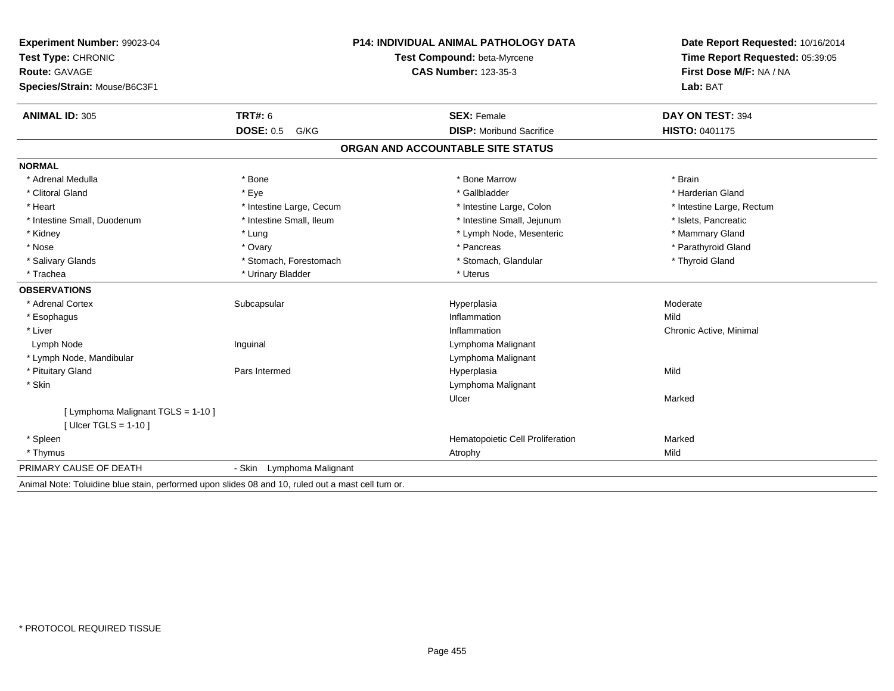| Experiment Number: 99023-04                                                                       |                             | <b>P14: INDIVIDUAL ANIMAL PATHOLOGY DATA</b> | Date Report Requested: 10/16/2014 |
|---------------------------------------------------------------------------------------------------|-----------------------------|----------------------------------------------|-----------------------------------|
| Test Type: CHRONIC                                                                                | Test Compound: beta-Myrcene |                                              | Time Report Requested: 05:39:05   |
| Route: GAVAGE                                                                                     |                             | <b>CAS Number: 123-35-3</b>                  | First Dose M/F: NA / NA           |
| Species/Strain: Mouse/B6C3F1                                                                      |                             |                                              | Lab: BAT                          |
| <b>ANIMAL ID: 305</b>                                                                             | <b>TRT#: 6</b>              | <b>SEX: Female</b>                           | DAY ON TEST: 394                  |
|                                                                                                   | <b>DOSE: 0.5</b><br>G/KG    | <b>DISP:</b> Moribund Sacrifice              | HISTO: 0401175                    |
|                                                                                                   |                             | ORGAN AND ACCOUNTABLE SITE STATUS            |                                   |
| <b>NORMAL</b>                                                                                     |                             |                                              |                                   |
| * Adrenal Medulla                                                                                 | * Bone                      | * Bone Marrow                                | * Brain                           |
| * Clitoral Gland                                                                                  | * Eye                       | * Gallbladder                                | * Harderian Gland                 |
| * Heart                                                                                           | * Intestine Large, Cecum    | * Intestine Large, Colon                     | * Intestine Large, Rectum         |
| * Intestine Small, Duodenum                                                                       | * Intestine Small, Ileum    | * Intestine Small, Jejunum                   | * Islets, Pancreatic              |
| * Kidney                                                                                          | * Lung                      | * Lymph Node, Mesenteric                     | * Mammary Gland                   |
| * Nose                                                                                            | * Ovary                     | * Pancreas                                   | * Parathyroid Gland               |
| * Salivary Glands                                                                                 | * Stomach, Forestomach      | * Stomach, Glandular                         | * Thyroid Gland                   |
| * Trachea                                                                                         | * Urinary Bladder           | * Uterus                                     |                                   |
| <b>OBSERVATIONS</b>                                                                               |                             |                                              |                                   |
| * Adrenal Cortex                                                                                  | Subcapsular                 | Hyperplasia                                  | Moderate                          |
| * Esophagus                                                                                       |                             | Inflammation                                 | Mild                              |
| * Liver                                                                                           |                             | Inflammation                                 | Chronic Active, Minimal           |
| Lymph Node                                                                                        | Inguinal                    | Lymphoma Malignant                           |                                   |
| * Lymph Node, Mandibular                                                                          |                             | Lymphoma Malignant                           |                                   |
| * Pituitary Gland                                                                                 | Pars Intermed               | Hyperplasia                                  | Mild                              |
| * Skin                                                                                            |                             | Lymphoma Malignant                           |                                   |
|                                                                                                   |                             | Ulcer                                        | Marked                            |
| [ Lymphoma Malignant TGLS = 1-10 ]                                                                |                             |                                              |                                   |
| [ $U \text{lcer} TGLS = 1-10$ ]                                                                   |                             |                                              |                                   |
| * Spleen                                                                                          |                             | Hematopoietic Cell Proliferation             | Marked                            |
| * Thymus                                                                                          |                             | Atrophy                                      | Mild                              |
| PRIMARY CAUSE OF DEATH                                                                            | - Skin Lymphoma Malignant   |                                              |                                   |
| Animal Note: Toluidine blue stain, performed upon slides 08 and 10, ruled out a mast cell tum or. |                             |                                              |                                   |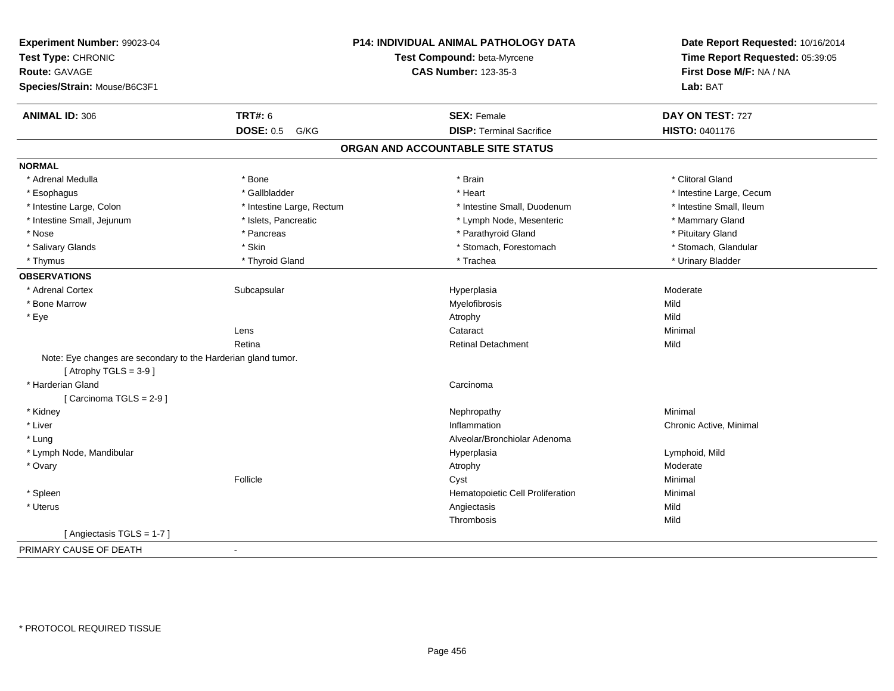| Experiment Number: 99023-04<br>Test Type: CHRONIC<br><b>Route: GAVAGE</b><br>Species/Strain: Mouse/B6C3F1 |                           | P14: INDIVIDUAL ANIMAL PATHOLOGY DATA<br>Test Compound: beta-Myrcene<br><b>CAS Number: 123-35-3</b> | Date Report Requested: 10/16/2014<br>Time Report Requested: 05:39:05<br>First Dose M/F: NA / NA<br>Lab: BAT |
|-----------------------------------------------------------------------------------------------------------|---------------------------|-----------------------------------------------------------------------------------------------------|-------------------------------------------------------------------------------------------------------------|
|                                                                                                           |                           |                                                                                                     |                                                                                                             |
| <b>ANIMAL ID: 306</b>                                                                                     | <b>TRT#: 6</b>            | <b>SEX: Female</b>                                                                                  | DAY ON TEST: 727                                                                                            |
|                                                                                                           | <b>DOSE: 0.5</b><br>G/KG  | <b>DISP: Terminal Sacrifice</b>                                                                     | HISTO: 0401176                                                                                              |
|                                                                                                           |                           | ORGAN AND ACCOUNTABLE SITE STATUS                                                                   |                                                                                                             |
| <b>NORMAL</b>                                                                                             |                           |                                                                                                     |                                                                                                             |
| * Adrenal Medulla                                                                                         | * Bone                    | * Brain                                                                                             | * Clitoral Gland                                                                                            |
| * Esophagus                                                                                               | * Gallbladder             | * Heart                                                                                             | * Intestine Large, Cecum                                                                                    |
| * Intestine Large, Colon                                                                                  | * Intestine Large, Rectum | * Intestine Small, Duodenum                                                                         | * Intestine Small, Ileum                                                                                    |
| * Intestine Small, Jejunum                                                                                | * Islets, Pancreatic      | * Lymph Node, Mesenteric                                                                            | * Mammary Gland                                                                                             |
| * Nose                                                                                                    | * Pancreas                | * Parathyroid Gland                                                                                 | * Pituitary Gland                                                                                           |
| * Salivary Glands                                                                                         | * Skin                    | * Stomach, Forestomach                                                                              | * Stomach, Glandular                                                                                        |
| * Thymus                                                                                                  | * Thyroid Gland           | * Trachea                                                                                           | * Urinary Bladder                                                                                           |
| <b>OBSERVATIONS</b>                                                                                       |                           |                                                                                                     |                                                                                                             |
| * Adrenal Cortex                                                                                          | Subcapsular               | Hyperplasia                                                                                         | Moderate                                                                                                    |
| * Bone Marrow                                                                                             |                           | Myelofibrosis                                                                                       | Mild                                                                                                        |
| * Eye                                                                                                     |                           | Atrophy                                                                                             | Mild                                                                                                        |
|                                                                                                           | Lens                      | Cataract                                                                                            | Minimal                                                                                                     |
|                                                                                                           | Retina                    | <b>Retinal Detachment</b>                                                                           | Mild                                                                                                        |
| Note: Eye changes are secondary to the Harderian gland tumor.<br>[Atrophy TGLS = $3-9$ ]                  |                           |                                                                                                     |                                                                                                             |
| * Harderian Gland                                                                                         |                           | Carcinoma                                                                                           |                                                                                                             |
| [Carcinoma TGLS = $2-9$ ]                                                                                 |                           |                                                                                                     |                                                                                                             |
| * Kidney                                                                                                  |                           | Nephropathy                                                                                         | Minimal                                                                                                     |
| * Liver                                                                                                   |                           | Inflammation                                                                                        | Chronic Active, Minimal                                                                                     |
| * Lung                                                                                                    |                           | Alveolar/Bronchiolar Adenoma                                                                        |                                                                                                             |
| * Lymph Node, Mandibular                                                                                  |                           | Hyperplasia                                                                                         | Lymphoid, Mild                                                                                              |
| * Ovary                                                                                                   |                           | Atrophy                                                                                             | Moderate                                                                                                    |
|                                                                                                           | Follicle                  | Cyst                                                                                                | Minimal                                                                                                     |
| * Spleen                                                                                                  |                           | Hematopoietic Cell Proliferation                                                                    | Minimal                                                                                                     |
| * Uterus                                                                                                  |                           | Angiectasis                                                                                         | Mild                                                                                                        |
|                                                                                                           |                           | Thrombosis                                                                                          | Mild                                                                                                        |
| [Angiectasis TGLS = 1-7]                                                                                  |                           |                                                                                                     |                                                                                                             |
| PRIMARY CAUSE OF DEATH                                                                                    | $\sim$                    |                                                                                                     |                                                                                                             |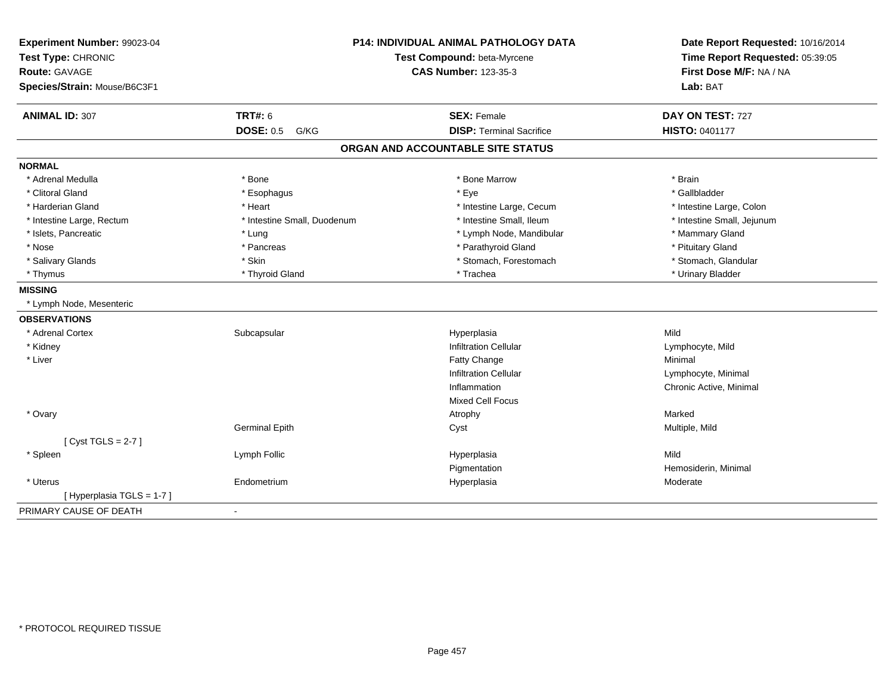| Experiment Number: 99023-04<br>Test Type: CHRONIC<br>Route: GAVAGE<br>Species/Strain: Mouse/B6C3F1 |                             | <b>P14: INDIVIDUAL ANIMAL PATHOLOGY DATA</b><br>Test Compound: beta-Myrcene<br><b>CAS Number: 123-35-3</b> | Date Report Requested: 10/16/2014<br>Time Report Requested: 05:39:05<br>First Dose M/F: NA / NA<br>Lab: BAT |
|----------------------------------------------------------------------------------------------------|-----------------------------|------------------------------------------------------------------------------------------------------------|-------------------------------------------------------------------------------------------------------------|
| <b>ANIMAL ID: 307</b>                                                                              | <b>TRT#: 6</b>              | <b>SEX: Female</b>                                                                                         | DAY ON TEST: 727                                                                                            |
|                                                                                                    | <b>DOSE: 0.5 G/KG</b>       | <b>DISP: Terminal Sacrifice</b>                                                                            | <b>HISTO: 0401177</b>                                                                                       |
|                                                                                                    |                             | ORGAN AND ACCOUNTABLE SITE STATUS                                                                          |                                                                                                             |
| <b>NORMAL</b>                                                                                      |                             |                                                                                                            |                                                                                                             |
| * Adrenal Medulla                                                                                  | * Bone                      | * Bone Marrow                                                                                              | * Brain                                                                                                     |
| * Clitoral Gland                                                                                   | * Esophagus                 | * Eye                                                                                                      | * Gallbladder                                                                                               |
| * Harderian Gland                                                                                  | * Heart                     | * Intestine Large, Cecum                                                                                   | * Intestine Large, Colon                                                                                    |
| * Intestine Large, Rectum                                                                          | * Intestine Small, Duodenum | * Intestine Small, Ileum                                                                                   | * Intestine Small, Jejunum                                                                                  |
| * Islets, Pancreatic                                                                               | * Lung                      | * Lymph Node, Mandibular                                                                                   | * Mammary Gland                                                                                             |
| * Nose                                                                                             | * Pancreas                  | * Parathyroid Gland                                                                                        | * Pituitary Gland                                                                                           |
| * Salivary Glands                                                                                  | * Skin                      | * Stomach, Forestomach                                                                                     | * Stomach, Glandular                                                                                        |
| * Thymus                                                                                           | * Thyroid Gland             | * Trachea                                                                                                  | * Urinary Bladder                                                                                           |
| <b>MISSING</b>                                                                                     |                             |                                                                                                            |                                                                                                             |
| * Lymph Node, Mesenteric                                                                           |                             |                                                                                                            |                                                                                                             |
| <b>OBSERVATIONS</b>                                                                                |                             |                                                                                                            |                                                                                                             |
| * Adrenal Cortex                                                                                   | Subcapsular                 | Hyperplasia                                                                                                | Mild                                                                                                        |
| * Kidney                                                                                           |                             | <b>Infiltration Cellular</b>                                                                               | Lymphocyte, Mild                                                                                            |
| * Liver                                                                                            |                             | <b>Fatty Change</b>                                                                                        | Minimal                                                                                                     |
|                                                                                                    |                             | <b>Infiltration Cellular</b>                                                                               | Lymphocyte, Minimal                                                                                         |
|                                                                                                    |                             | Inflammation                                                                                               | Chronic Active, Minimal                                                                                     |
|                                                                                                    |                             | <b>Mixed Cell Focus</b>                                                                                    |                                                                                                             |
| * Ovary                                                                                            |                             | Atrophy                                                                                                    | Marked                                                                                                      |
|                                                                                                    | <b>Germinal Epith</b>       | Cyst                                                                                                       | Multiple, Mild                                                                                              |
| [Cyst TGLS = $2-7$ ]                                                                               |                             |                                                                                                            |                                                                                                             |
| * Spleen                                                                                           | Lymph Follic                | Hyperplasia                                                                                                | Mild                                                                                                        |
|                                                                                                    |                             | Pigmentation                                                                                               | Hemosiderin, Minimal                                                                                        |
| * Uterus                                                                                           | Endometrium                 | Hyperplasia                                                                                                | Moderate                                                                                                    |
| [Hyperplasia TGLS = 1-7]                                                                           |                             |                                                                                                            |                                                                                                             |
| PRIMARY CAUSE OF DEATH                                                                             | $\blacksquare$              |                                                                                                            |                                                                                                             |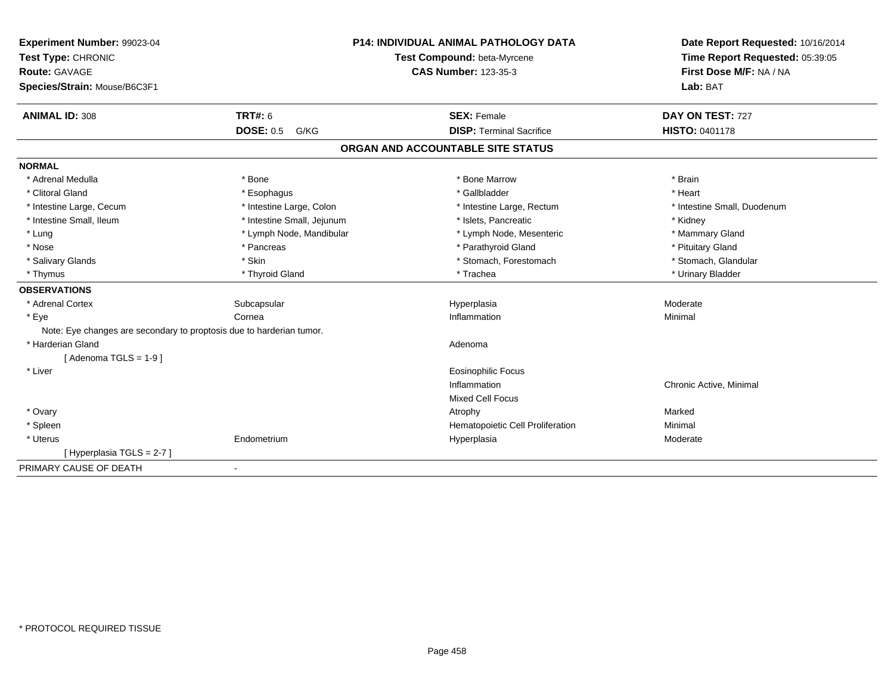| Experiment Number: 99023-04                                          |                            | <b>P14: INDIVIDUAL ANIMAL PATHOLOGY DATA</b> | Date Report Requested: 10/16/2014 |
|----------------------------------------------------------------------|----------------------------|----------------------------------------------|-----------------------------------|
| Test Type: CHRONIC                                                   |                            | Test Compound: beta-Myrcene                  | Time Report Requested: 05:39:05   |
| <b>Route: GAVAGE</b>                                                 |                            | <b>CAS Number: 123-35-3</b>                  | First Dose M/F: NA / NA           |
| Species/Strain: Mouse/B6C3F1                                         |                            |                                              | Lab: BAT                          |
| <b>ANIMAL ID: 308</b>                                                | TRT#: 6                    | <b>SEX: Female</b>                           | DAY ON TEST: 727                  |
|                                                                      | <b>DOSE: 0.5</b><br>G/KG   | <b>DISP: Terminal Sacrifice</b>              | <b>HISTO: 0401178</b>             |
|                                                                      |                            | ORGAN AND ACCOUNTABLE SITE STATUS            |                                   |
| <b>NORMAL</b>                                                        |                            |                                              |                                   |
| * Adrenal Medulla                                                    | * Bone                     | * Bone Marrow                                | * Brain                           |
| * Clitoral Gland                                                     | * Esophagus                | * Gallbladder                                | * Heart                           |
| * Intestine Large, Cecum                                             | * Intestine Large, Colon   | * Intestine Large, Rectum                    | * Intestine Small, Duodenum       |
| * Intestine Small, Ileum                                             | * Intestine Small, Jejunum | * Islets, Pancreatic                         | * Kidney                          |
| * Lung                                                               | * Lymph Node, Mandibular   | * Lymph Node, Mesenteric                     | * Mammary Gland                   |
| * Nose                                                               | * Pancreas                 | * Parathyroid Gland                          | * Pituitary Gland                 |
| * Salivary Glands                                                    | * Skin                     | * Stomach, Forestomach                       | * Stomach, Glandular              |
| * Thymus                                                             | * Thyroid Gland            | * Trachea                                    | * Urinary Bladder                 |
| <b>OBSERVATIONS</b>                                                  |                            |                                              |                                   |
| * Adrenal Cortex                                                     | Subcapsular                | Hyperplasia                                  | Moderate                          |
| * Eye                                                                | Cornea                     | Inflammation                                 | Minimal                           |
| Note: Eye changes are secondary to proptosis due to harderian tumor. |                            |                                              |                                   |
| * Harderian Gland                                                    |                            | Adenoma                                      |                                   |
| [Adenoma TGLS = $1-9$ ]                                              |                            |                                              |                                   |
| * Liver                                                              |                            | Eosinophilic Focus                           |                                   |
|                                                                      |                            | Inflammation                                 | Chronic Active, Minimal           |
|                                                                      |                            | <b>Mixed Cell Focus</b>                      |                                   |
| * Ovary                                                              |                            | Atrophy                                      | Marked                            |
| * Spleen                                                             |                            | Hematopoietic Cell Proliferation             | Minimal                           |
| * Uterus                                                             | Endometrium                | Hyperplasia                                  | Moderate                          |
| [Hyperplasia TGLS = $2-7$ ]                                          |                            |                                              |                                   |
| PRIMARY CAUSE OF DEATH                                               | $\blacksquare$             |                                              |                                   |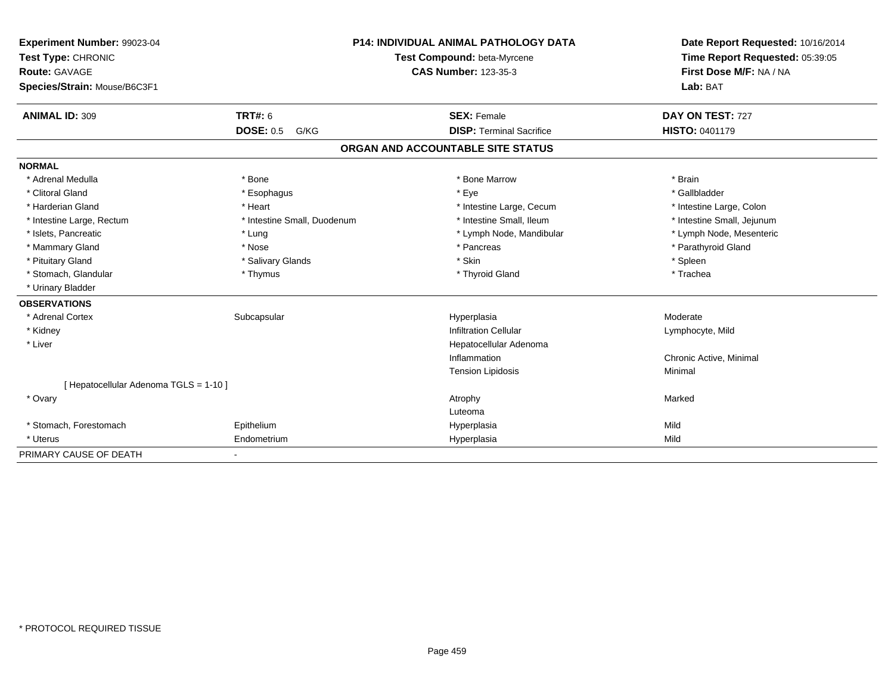| Experiment Number: 99023-04            |                             | <b>P14: INDIVIDUAL ANIMAL PATHOLOGY DATA</b> | Date Report Requested: 10/16/2014 |
|----------------------------------------|-----------------------------|----------------------------------------------|-----------------------------------|
| Test Type: CHRONIC                     |                             | Test Compound: beta-Myrcene                  | Time Report Requested: 05:39:05   |
| Route: GAVAGE                          |                             | <b>CAS Number: 123-35-3</b>                  | First Dose M/F: NA / NA           |
| Species/Strain: Mouse/B6C3F1           |                             |                                              | Lab: BAT                          |
| <b>ANIMAL ID: 309</b>                  | <b>TRT#: 6</b>              | <b>SEX: Female</b>                           | DAY ON TEST: 727                  |
|                                        | <b>DOSE: 0.5</b><br>G/KG    | <b>DISP: Terminal Sacrifice</b>              | <b>HISTO: 0401179</b>             |
|                                        |                             | ORGAN AND ACCOUNTABLE SITE STATUS            |                                   |
| <b>NORMAL</b>                          |                             |                                              |                                   |
| * Adrenal Medulla                      | * Bone                      | * Bone Marrow                                | * Brain                           |
| * Clitoral Gland                       | * Esophagus                 | * Eye                                        | * Gallbladder                     |
| * Harderian Gland                      | * Heart                     | * Intestine Large, Cecum                     | * Intestine Large, Colon          |
| * Intestine Large, Rectum              | * Intestine Small, Duodenum | * Intestine Small, Ileum                     | * Intestine Small, Jejunum        |
| * Islets, Pancreatic                   | * Lung                      | * Lymph Node, Mandibular                     | * Lymph Node, Mesenteric          |
| * Mammary Gland                        | * Nose                      | * Pancreas                                   | * Parathyroid Gland               |
| * Pituitary Gland                      | * Salivary Glands           | * Skin                                       | * Spleen                          |
| * Stomach, Glandular                   | * Thymus                    | * Thyroid Gland                              | * Trachea                         |
| * Urinary Bladder                      |                             |                                              |                                   |
| <b>OBSERVATIONS</b>                    |                             |                                              |                                   |
| * Adrenal Cortex                       | Subcapsular                 | Hyperplasia                                  | Moderate                          |
| * Kidney                               |                             | <b>Infiltration Cellular</b>                 | Lymphocyte, Mild                  |
| * Liver                                |                             | Hepatocellular Adenoma                       |                                   |
|                                        |                             | Inflammation                                 | Chronic Active, Minimal           |
|                                        |                             | <b>Tension Lipidosis</b>                     | Minimal                           |
| [ Hepatocellular Adenoma TGLS = 1-10 ] |                             |                                              |                                   |
| * Ovary                                |                             | Atrophy                                      | Marked                            |
|                                        |                             | Luteoma                                      |                                   |
| * Stomach, Forestomach                 | Epithelium                  | Hyperplasia                                  | Mild                              |
| * Uterus                               | Endometrium                 | Hyperplasia                                  | Mild                              |
| PRIMARY CAUSE OF DEATH                 | $\sim$                      |                                              |                                   |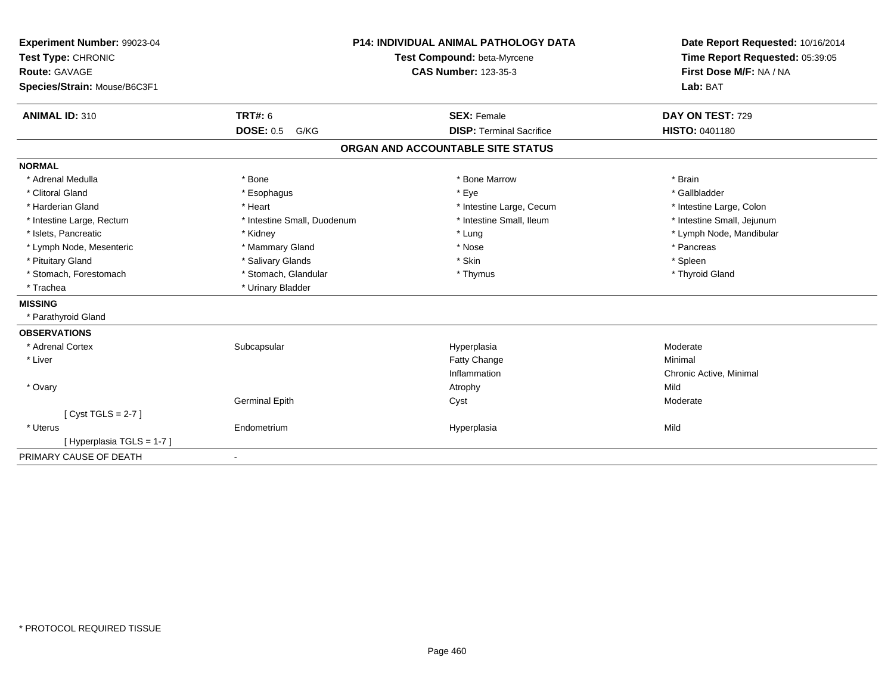| Experiment Number: 99023-04  |                             | <b>P14: INDIVIDUAL ANIMAL PATHOLOGY DATA</b> | Date Report Requested: 10/16/2014 |
|------------------------------|-----------------------------|----------------------------------------------|-----------------------------------|
| Test Type: CHRONIC           | Test Compound: beta-Myrcene |                                              | Time Report Requested: 05:39:05   |
| <b>Route: GAVAGE</b>         |                             | <b>CAS Number: 123-35-3</b>                  | First Dose M/F: NA / NA           |
| Species/Strain: Mouse/B6C3F1 |                             |                                              | Lab: BAT                          |
| <b>ANIMAL ID: 310</b>        | <b>TRT#: 6</b>              | <b>SEX: Female</b>                           | DAY ON TEST: 729                  |
|                              | <b>DOSE: 0.5</b><br>G/KG    | <b>DISP: Terminal Sacrifice</b>              | <b>HISTO: 0401180</b>             |
|                              |                             | ORGAN AND ACCOUNTABLE SITE STATUS            |                                   |
| <b>NORMAL</b>                |                             |                                              |                                   |
| * Adrenal Medulla            | * Bone                      | * Bone Marrow                                | * Brain                           |
| * Clitoral Gland             | * Esophagus                 | * Eye                                        | * Gallbladder                     |
| * Harderian Gland            | * Heart                     | * Intestine Large, Cecum                     | * Intestine Large, Colon          |
| * Intestine Large, Rectum    | * Intestine Small, Duodenum | * Intestine Small, Ileum                     | * Intestine Small, Jejunum        |
| * Islets, Pancreatic         | * Kidney                    | * Lung                                       | * Lymph Node, Mandibular          |
| * Lymph Node, Mesenteric     | * Mammary Gland             | * Nose                                       | * Pancreas                        |
| * Pituitary Gland            | * Salivary Glands           | * Skin                                       | * Spleen                          |
| * Stomach, Forestomach       | * Stomach, Glandular        | * Thymus                                     | * Thyroid Gland                   |
| * Trachea                    | * Urinary Bladder           |                                              |                                   |
| <b>MISSING</b>               |                             |                                              |                                   |
| * Parathyroid Gland          |                             |                                              |                                   |
| <b>OBSERVATIONS</b>          |                             |                                              |                                   |
| * Adrenal Cortex             | Subcapsular                 | Hyperplasia                                  | Moderate                          |
| * Liver                      |                             | Fatty Change                                 | Minimal                           |
|                              |                             | Inflammation                                 | Chronic Active, Minimal           |
| * Ovary                      |                             | Atrophy                                      | Mild                              |
|                              | <b>Germinal Epith</b>       | Cyst                                         | Moderate                          |
| [Cyst TGLS = $2-7$ ]         |                             |                                              |                                   |
| * Uterus                     | Endometrium                 | Hyperplasia                                  | Mild                              |
| [Hyperplasia TGLS = 1-7]     |                             |                                              |                                   |
| PRIMARY CAUSE OF DEATH       | $\blacksquare$              |                                              |                                   |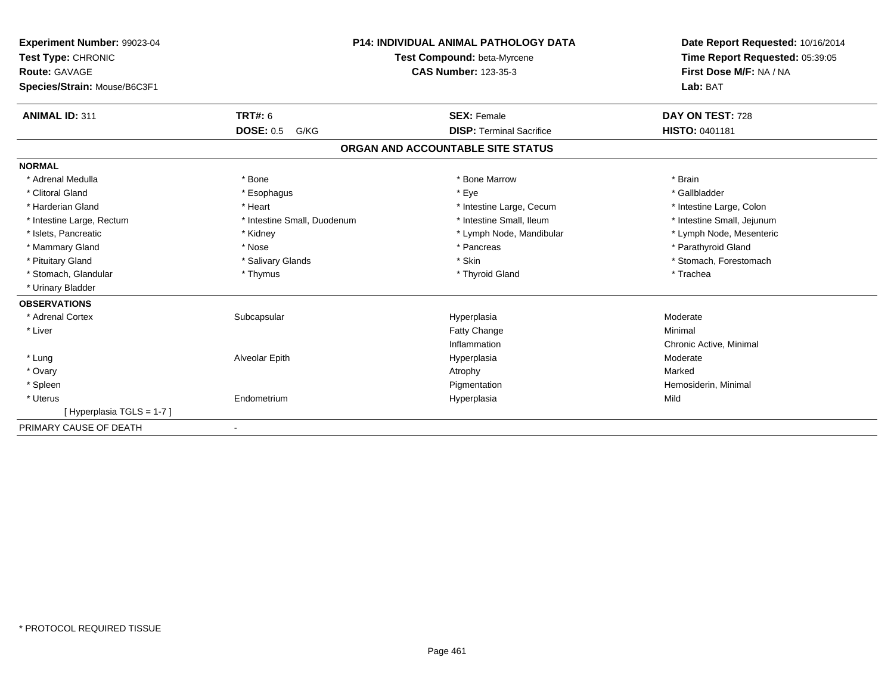| Experiment Number: 99023-04<br>Test Type: CHRONIC<br>Route: GAVAGE<br>Species/Strain: Mouse/B6C3F1 |                             | <b>P14: INDIVIDUAL ANIMAL PATHOLOGY DATA</b><br>Test Compound: beta-Myrcene<br><b>CAS Number: 123-35-3</b> | Date Report Requested: 10/16/2014<br>Time Report Requested: 05:39:05<br>First Dose M/F: NA / NA<br>Lab: BAT |
|----------------------------------------------------------------------------------------------------|-----------------------------|------------------------------------------------------------------------------------------------------------|-------------------------------------------------------------------------------------------------------------|
| <b>ANIMAL ID: 311</b>                                                                              | TRT#: 6                     | <b>SEX: Female</b>                                                                                         | DAY ON TEST: 728                                                                                            |
|                                                                                                    | <b>DOSE: 0.5</b><br>G/KG    | <b>DISP: Terminal Sacrifice</b>                                                                            | <b>HISTO: 0401181</b>                                                                                       |
|                                                                                                    |                             | ORGAN AND ACCOUNTABLE SITE STATUS                                                                          |                                                                                                             |
| <b>NORMAL</b>                                                                                      |                             |                                                                                                            |                                                                                                             |
| * Adrenal Medulla                                                                                  | * Bone                      | * Bone Marrow                                                                                              | * Brain                                                                                                     |
| * Clitoral Gland                                                                                   | * Esophagus                 | * Eye                                                                                                      | * Gallbladder                                                                                               |
| * Harderian Gland                                                                                  | * Heart                     | * Intestine Large, Cecum                                                                                   | * Intestine Large, Colon                                                                                    |
| * Intestine Large, Rectum                                                                          | * Intestine Small, Duodenum | * Intestine Small, Ileum                                                                                   | * Intestine Small, Jejunum                                                                                  |
| * Islets, Pancreatic                                                                               | * Kidney                    | * Lymph Node, Mandibular                                                                                   | * Lymph Node, Mesenteric                                                                                    |
| * Mammary Gland                                                                                    | * Nose                      | * Pancreas                                                                                                 | * Parathyroid Gland                                                                                         |
| * Pituitary Gland                                                                                  | * Salivary Glands           | * Skin                                                                                                     | * Stomach, Forestomach                                                                                      |
| * Stomach, Glandular                                                                               | * Thymus                    | * Thyroid Gland                                                                                            | * Trachea                                                                                                   |
| * Urinary Bladder                                                                                  |                             |                                                                                                            |                                                                                                             |
| <b>OBSERVATIONS</b>                                                                                |                             |                                                                                                            |                                                                                                             |
| * Adrenal Cortex                                                                                   | Subcapsular                 | Hyperplasia                                                                                                | Moderate                                                                                                    |
| * Liver                                                                                            |                             | Fatty Change                                                                                               | Minimal                                                                                                     |
|                                                                                                    |                             | Inflammation                                                                                               | Chronic Active, Minimal                                                                                     |
| * Lung                                                                                             | Alveolar Epith              | Hyperplasia                                                                                                | Moderate                                                                                                    |
| * Ovary                                                                                            |                             | Atrophy                                                                                                    | Marked                                                                                                      |
| * Spleen                                                                                           |                             | Pigmentation                                                                                               | Hemosiderin, Minimal                                                                                        |
| * Uterus                                                                                           | Endometrium                 | Hyperplasia                                                                                                | Mild                                                                                                        |
| [Hyperplasia TGLS = 1-7]                                                                           |                             |                                                                                                            |                                                                                                             |
| PRIMARY CAUSE OF DEATH                                                                             |                             |                                                                                                            |                                                                                                             |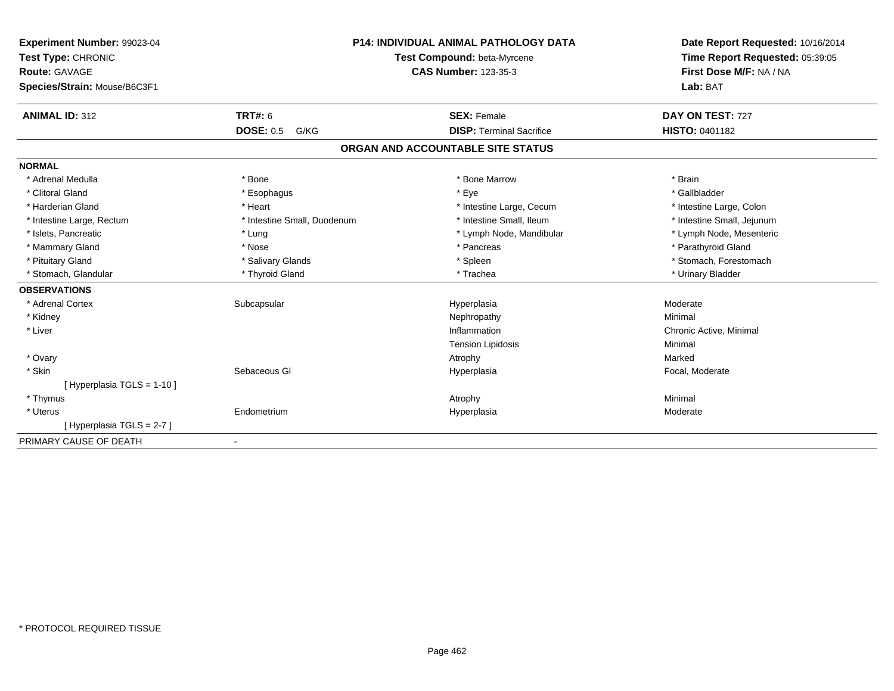| Experiment Number: 99023-04<br>Test Type: CHRONIC<br>Route: GAVAGE |                             | <b>P14: INDIVIDUAL ANIMAL PATHOLOGY DATA</b><br>Test Compound: beta-Myrcene<br><b>CAS Number: 123-35-3</b> | Date Report Requested: 10/16/2014<br>Time Report Requested: 05:39:05<br>First Dose M/F: NA / NA |
|--------------------------------------------------------------------|-----------------------------|------------------------------------------------------------------------------------------------------------|-------------------------------------------------------------------------------------------------|
| Species/Strain: Mouse/B6C3F1                                       |                             |                                                                                                            | Lab: BAT                                                                                        |
| <b>ANIMAL ID: 312</b>                                              | <b>TRT#: 6</b>              | <b>SEX: Female</b>                                                                                         | DAY ON TEST: 727                                                                                |
|                                                                    | <b>DOSE: 0.5</b><br>G/KG    | <b>DISP: Terminal Sacrifice</b>                                                                            | <b>HISTO: 0401182</b>                                                                           |
|                                                                    |                             | ORGAN AND ACCOUNTABLE SITE STATUS                                                                          |                                                                                                 |
| <b>NORMAL</b>                                                      |                             |                                                                                                            |                                                                                                 |
| * Adrenal Medulla                                                  | * Bone                      | * Bone Marrow                                                                                              | * Brain                                                                                         |
| * Clitoral Gland                                                   | * Esophagus                 | * Eye                                                                                                      | * Gallbladder                                                                                   |
| * Harderian Gland                                                  | * Heart                     | * Intestine Large, Cecum                                                                                   | * Intestine Large, Colon                                                                        |
| * Intestine Large, Rectum                                          | * Intestine Small, Duodenum | * Intestine Small, Ileum                                                                                   | * Intestine Small, Jejunum                                                                      |
| * Islets, Pancreatic                                               | * Lung                      | * Lymph Node, Mandibular                                                                                   | * Lymph Node, Mesenteric                                                                        |
| * Mammary Gland                                                    | * Nose                      | * Pancreas                                                                                                 | * Parathyroid Gland                                                                             |
| * Pituitary Gland                                                  | * Salivary Glands           | * Spleen                                                                                                   | * Stomach, Forestomach                                                                          |
| * Stomach, Glandular                                               | * Thyroid Gland             | * Trachea                                                                                                  | * Urinary Bladder                                                                               |
| <b>OBSERVATIONS</b>                                                |                             |                                                                                                            |                                                                                                 |
| * Adrenal Cortex                                                   | Subcapsular                 | Hyperplasia                                                                                                | Moderate                                                                                        |
| * Kidney                                                           |                             | Nephropathy                                                                                                | Minimal                                                                                         |
| * Liver                                                            |                             | Inflammation                                                                                               | Chronic Active, Minimal                                                                         |
|                                                                    |                             | <b>Tension Lipidosis</b>                                                                                   | Minimal                                                                                         |
| * Ovary                                                            |                             | Atrophy                                                                                                    | Marked                                                                                          |
| * Skin                                                             | Sebaceous GI                | Hyperplasia                                                                                                | Focal, Moderate                                                                                 |
| [Hyperplasia TGLS = 1-10]                                          |                             |                                                                                                            |                                                                                                 |
| * Thymus                                                           |                             | Atrophy                                                                                                    | Minimal                                                                                         |
| * Uterus                                                           | Endometrium                 | Hyperplasia                                                                                                | Moderate                                                                                        |
| [Hyperplasia TGLS = 2-7]                                           |                             |                                                                                                            |                                                                                                 |
| PRIMARY CAUSE OF DEATH                                             |                             |                                                                                                            |                                                                                                 |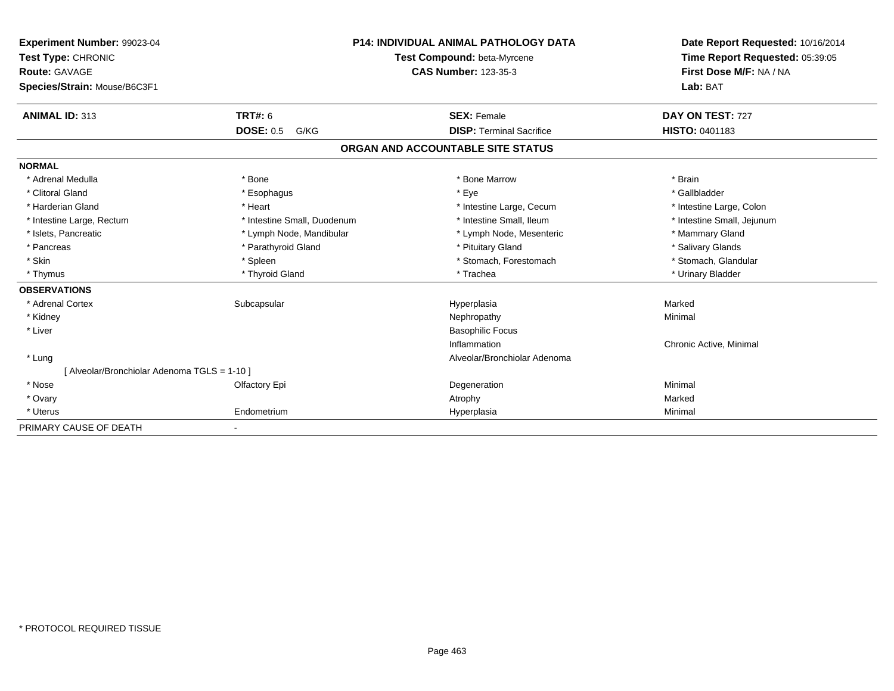| Experiment Number: 99023-04                  |                             | <b>P14: INDIVIDUAL ANIMAL PATHOLOGY DATA</b> | Date Report Requested: 10/16/2014 |
|----------------------------------------------|-----------------------------|----------------------------------------------|-----------------------------------|
| Test Type: CHRONIC                           |                             | Test Compound: beta-Myrcene                  | Time Report Requested: 05:39:05   |
| Route: GAVAGE                                |                             | <b>CAS Number: 123-35-3</b>                  | First Dose M/F: NA / NA           |
| Species/Strain: Mouse/B6C3F1                 |                             |                                              | Lab: BAT                          |
| <b>ANIMAL ID: 313</b>                        | TRT#: 6                     | <b>SEX: Female</b>                           | DAY ON TEST: 727                  |
|                                              | <b>DOSE: 0.5</b><br>G/KG    | <b>DISP: Terminal Sacrifice</b>              | <b>HISTO: 0401183</b>             |
|                                              |                             | ORGAN AND ACCOUNTABLE SITE STATUS            |                                   |
| <b>NORMAL</b>                                |                             |                                              |                                   |
| * Adrenal Medulla                            | * Bone                      | * Bone Marrow                                | * Brain                           |
| * Clitoral Gland                             | * Esophagus                 | * Eye                                        | * Gallbladder                     |
| * Harderian Gland                            | * Heart                     | * Intestine Large, Cecum                     | * Intestine Large, Colon          |
| * Intestine Large, Rectum                    | * Intestine Small, Duodenum | * Intestine Small. Ileum                     | * Intestine Small, Jejunum        |
| * Islets, Pancreatic                         | * Lymph Node, Mandibular    | * Lymph Node, Mesenteric                     | * Mammary Gland                   |
| * Pancreas                                   | * Parathyroid Gland         | * Pituitary Gland                            | * Salivary Glands                 |
| * Skin                                       | * Spleen                    | * Stomach, Forestomach                       | * Stomach, Glandular              |
| * Thymus                                     | * Thyroid Gland             | * Trachea                                    | * Urinary Bladder                 |
| <b>OBSERVATIONS</b>                          |                             |                                              |                                   |
| * Adrenal Cortex                             | Subcapsular                 | Hyperplasia                                  | Marked                            |
| * Kidney                                     |                             | Nephropathy                                  | Minimal                           |
| * Liver                                      |                             | <b>Basophilic Focus</b>                      |                                   |
|                                              |                             | Inflammation                                 | Chronic Active, Minimal           |
| * Lung                                       |                             | Alveolar/Bronchiolar Adenoma                 |                                   |
| [ Alveolar/Bronchiolar Adenoma TGLS = 1-10 ] |                             |                                              |                                   |
| * Nose                                       | Olfactory Epi               | Degeneration                                 | Minimal                           |
| * Ovary                                      |                             | Atrophy                                      | Marked                            |
| * Uterus                                     | Endometrium                 | Hyperplasia                                  | Minimal                           |
| PRIMARY CAUSE OF DEATH                       |                             |                                              |                                   |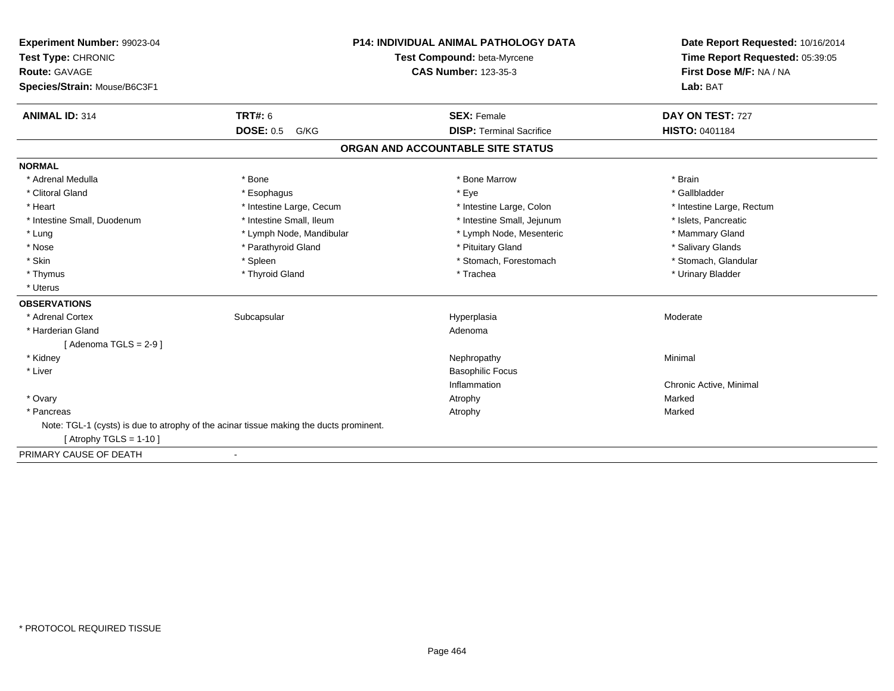| Experiment Number: 99023-04<br>Test Type: CHRONIC                                      |                          | <b>P14: INDIVIDUAL ANIMAL PATHOLOGY DATA</b><br>Test Compound: beta-Myrcene | Date Report Requested: 10/16/2014<br>Time Report Requested: 05:39:05 |
|----------------------------------------------------------------------------------------|--------------------------|-----------------------------------------------------------------------------|----------------------------------------------------------------------|
| <b>Route: GAVAGE</b>                                                                   |                          | <b>CAS Number: 123-35-3</b>                                                 | First Dose M/F: NA / NA                                              |
| Species/Strain: Mouse/B6C3F1                                                           |                          |                                                                             | Lab: BAT                                                             |
| <b>ANIMAL ID: 314</b>                                                                  | <b>TRT#: 6</b>           | <b>SEX: Female</b>                                                          | DAY ON TEST: 727                                                     |
|                                                                                        | <b>DOSE: 0.5</b><br>G/KG | <b>DISP: Terminal Sacrifice</b>                                             | <b>HISTO: 0401184</b>                                                |
|                                                                                        |                          | ORGAN AND ACCOUNTABLE SITE STATUS                                           |                                                                      |
| <b>NORMAL</b>                                                                          |                          |                                                                             |                                                                      |
| * Adrenal Medulla                                                                      | * Bone                   | * Bone Marrow                                                               | * Brain                                                              |
| * Clitoral Gland                                                                       | * Esophagus              | * Eye                                                                       | * Gallbladder                                                        |
| * Heart                                                                                | * Intestine Large, Cecum | * Intestine Large, Colon                                                    | * Intestine Large, Rectum                                            |
| * Intestine Small, Duodenum                                                            | * Intestine Small, Ileum | * Intestine Small, Jejunum                                                  | * Islets, Pancreatic                                                 |
| * Lung                                                                                 | * Lymph Node, Mandibular | * Lymph Node, Mesenteric                                                    | * Mammary Gland                                                      |
| * Nose                                                                                 | * Parathyroid Gland      | * Pituitary Gland                                                           | * Salivary Glands                                                    |
| * Skin                                                                                 | * Spleen                 | * Stomach, Forestomach                                                      | * Stomach, Glandular                                                 |
| * Thymus                                                                               | * Thyroid Gland          | * Trachea                                                                   | * Urinary Bladder                                                    |
| * Uterus                                                                               |                          |                                                                             |                                                                      |
| <b>OBSERVATIONS</b>                                                                    |                          |                                                                             |                                                                      |
| * Adrenal Cortex                                                                       | Subcapsular              | Hyperplasia                                                                 | Moderate                                                             |
| * Harderian Gland                                                                      |                          | Adenoma                                                                     |                                                                      |
| [Adenoma TGLS = $2-9$ ]                                                                |                          |                                                                             |                                                                      |
| * Kidney                                                                               |                          | Nephropathy                                                                 | Minimal                                                              |
| * Liver                                                                                |                          | <b>Basophilic Focus</b>                                                     |                                                                      |
|                                                                                        |                          | Inflammation                                                                | Chronic Active, Minimal                                              |
| * Ovary                                                                                |                          | Atrophy                                                                     | Marked                                                               |
| * Pancreas                                                                             |                          | Atrophy                                                                     | Marked                                                               |
| Note: TGL-1 (cysts) is due to atrophy of the acinar tissue making the ducts prominent. |                          |                                                                             |                                                                      |
| [Atrophy TGLS = $1-10$ ]                                                               |                          |                                                                             |                                                                      |
| PRIMARY CAUSE OF DEATH                                                                 |                          |                                                                             |                                                                      |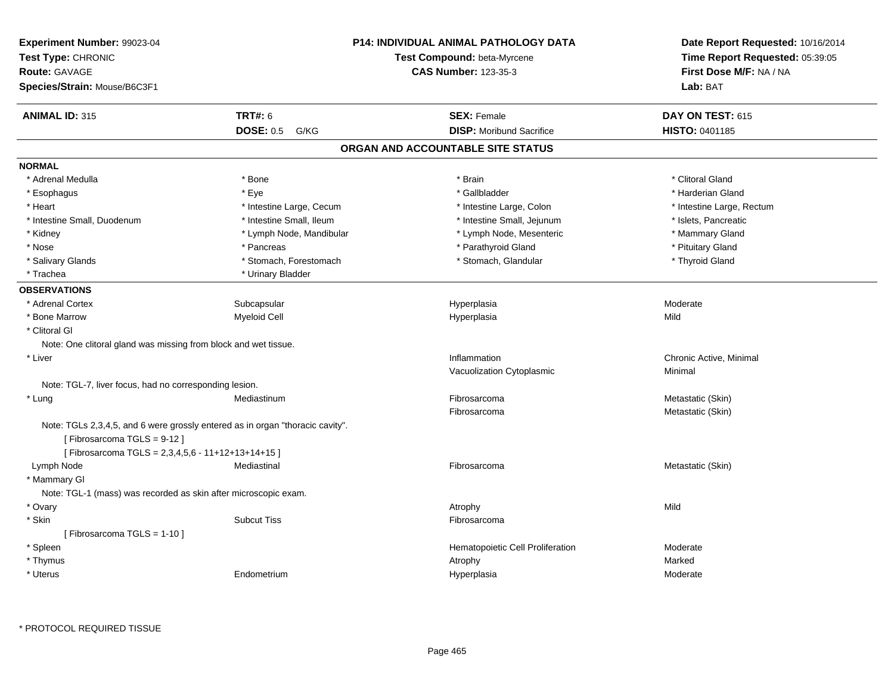| Experiment Number: 99023-04<br>Test Type: CHRONIC<br>Route: GAVAGE<br>Species/Strain: Mouse/B6C3F1                                                              |                          | P14: INDIVIDUAL ANIMAL PATHOLOGY DATA<br>Test Compound: beta-Myrcene<br><b>CAS Number: 123-35-3</b> | Date Report Requested: 10/16/2014<br>Time Report Requested: 05:39:05<br>First Dose M/F: NA / NA<br>Lab: BAT |
|-----------------------------------------------------------------------------------------------------------------------------------------------------------------|--------------------------|-----------------------------------------------------------------------------------------------------|-------------------------------------------------------------------------------------------------------------|
| <b>ANIMAL ID: 315</b>                                                                                                                                           | <b>TRT#: 6</b>           | <b>SEX: Female</b>                                                                                  | DAY ON TEST: 615                                                                                            |
|                                                                                                                                                                 | <b>DOSE: 0.5 G/KG</b>    | <b>DISP:</b> Moribund Sacrifice                                                                     | HISTO: 0401185                                                                                              |
|                                                                                                                                                                 |                          | ORGAN AND ACCOUNTABLE SITE STATUS                                                                   |                                                                                                             |
| <b>NORMAL</b>                                                                                                                                                   |                          |                                                                                                     |                                                                                                             |
| * Adrenal Medulla                                                                                                                                               | * Bone                   | * Brain                                                                                             | * Clitoral Gland                                                                                            |
| * Esophagus                                                                                                                                                     | * Eye                    | * Gallbladder                                                                                       | * Harderian Gland                                                                                           |
| * Heart                                                                                                                                                         | * Intestine Large, Cecum | * Intestine Large, Colon                                                                            | * Intestine Large, Rectum                                                                                   |
| * Intestine Small, Duodenum                                                                                                                                     | * Intestine Small, Ileum | * Intestine Small, Jejunum                                                                          | * Islets, Pancreatic                                                                                        |
| * Kidney                                                                                                                                                        | * Lymph Node, Mandibular | * Lymph Node, Mesenteric                                                                            | * Mammary Gland                                                                                             |
| * Nose                                                                                                                                                          | * Pancreas               | * Parathyroid Gland                                                                                 | * Pituitary Gland                                                                                           |
| * Salivary Glands                                                                                                                                               | * Stomach, Forestomach   | * Stomach, Glandular                                                                                | * Thyroid Gland                                                                                             |
| * Trachea                                                                                                                                                       | * Urinary Bladder        |                                                                                                     |                                                                                                             |
| <b>OBSERVATIONS</b>                                                                                                                                             |                          |                                                                                                     |                                                                                                             |
| * Adrenal Cortex                                                                                                                                                | Subcapsular              | Hyperplasia                                                                                         | Moderate                                                                                                    |
| * Bone Marrow                                                                                                                                                   | <b>Myeloid Cell</b>      | Hyperplasia                                                                                         | Mild                                                                                                        |
| * Clitoral Gl                                                                                                                                                   |                          |                                                                                                     |                                                                                                             |
| Note: One clitoral gland was missing from block and wet tissue.                                                                                                 |                          |                                                                                                     |                                                                                                             |
| * Liver                                                                                                                                                         |                          | Inflammation                                                                                        | Chronic Active, Minimal                                                                                     |
|                                                                                                                                                                 |                          | Vacuolization Cytoplasmic                                                                           | Minimal                                                                                                     |
| Note: TGL-7, liver focus, had no corresponding lesion.                                                                                                          |                          |                                                                                                     |                                                                                                             |
| * Lung                                                                                                                                                          | Mediastinum              | Fibrosarcoma                                                                                        | Metastatic (Skin)                                                                                           |
|                                                                                                                                                                 |                          | Fibrosarcoma                                                                                        | Metastatic (Skin)                                                                                           |
| Note: TGLs 2,3,4,5, and 6 were grossly entered as in organ "thoracic cavity".<br>[Fibrosarcoma TGLS = 9-12]<br>[Fibrosarcoma TGLS = 2,3,4,5,6 - 11+12+13+14+15] |                          |                                                                                                     |                                                                                                             |
| Lymph Node                                                                                                                                                      | Mediastinal              | Fibrosarcoma                                                                                        | Metastatic (Skin)                                                                                           |
| * Mammary GI                                                                                                                                                    |                          |                                                                                                     |                                                                                                             |
| Note: TGL-1 (mass) was recorded as skin after microscopic exam.                                                                                                 |                          |                                                                                                     |                                                                                                             |
| * Ovary                                                                                                                                                         |                          | Atrophy                                                                                             | Mild                                                                                                        |
| * Skin                                                                                                                                                          | <b>Subcut Tiss</b>       | Fibrosarcoma                                                                                        |                                                                                                             |
| [Fibrosarcoma TGLS = 1-10]                                                                                                                                      |                          |                                                                                                     |                                                                                                             |
| * Spleen                                                                                                                                                        |                          | Hematopoietic Cell Proliferation                                                                    | Moderate                                                                                                    |
| * Thymus                                                                                                                                                        |                          | Atrophy                                                                                             | Marked                                                                                                      |
| $^\star$ Uterus                                                                                                                                                 | Endometrium              | Hyperplasia                                                                                         | Moderate                                                                                                    |
|                                                                                                                                                                 |                          |                                                                                                     |                                                                                                             |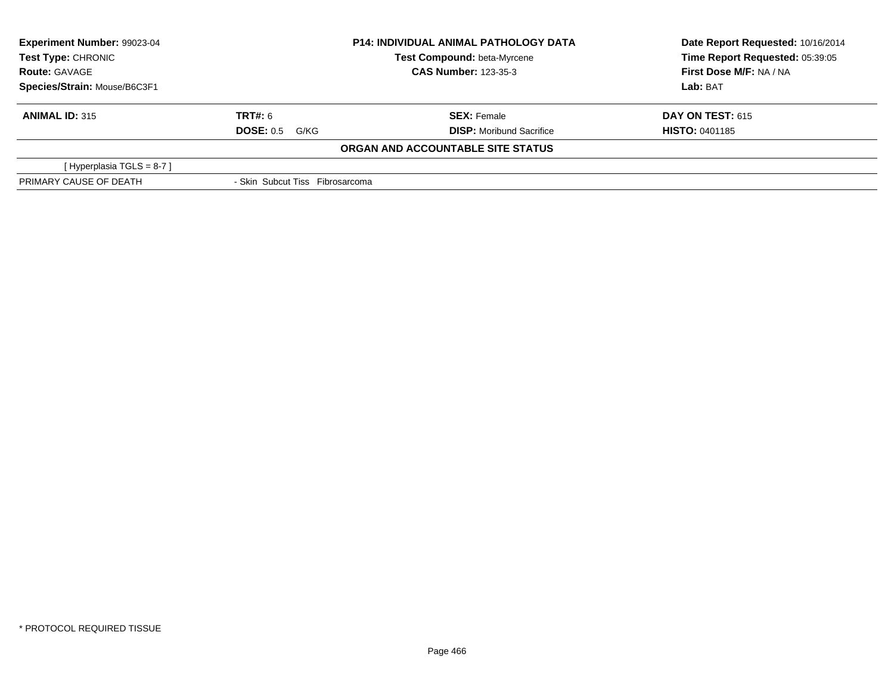| Experiment Number: 99023-04<br><b>Test Type: CHRONIC</b><br><b>Route: GAVAGE</b> |                                 | <b>P14: INDIVIDUAL ANIMAL PATHOLOGY DATA</b> | Date Report Requested: 10/16/2014 |
|----------------------------------------------------------------------------------|---------------------------------|----------------------------------------------|-----------------------------------|
|                                                                                  |                                 | Test Compound: beta-Myrcene                  | Time Report Requested: 05:39:05   |
|                                                                                  |                                 | <b>CAS Number: 123-35-3</b>                  | First Dose M/F: NA / NA           |
| Species/Strain: Mouse/B6C3F1                                                     |                                 |                                              | Lab: BAT                          |
| <b>ANIMAL ID: 315</b>                                                            | <b>TRT#:</b> 6                  | <b>SEX: Female</b>                           | <b>DAY ON TEST: 615</b>           |
|                                                                                  | <b>DOSE: 0.5 G/KG</b>           | <b>DISP:</b> Moribund Sacrifice              | <b>HISTO: 0401185</b>             |
|                                                                                  |                                 | ORGAN AND ACCOUNTABLE SITE STATUS            |                                   |
| [Hyperplasia TGLS = $8-7$ ]                                                      |                                 |                                              |                                   |
| PRIMARY CAUSE OF DEATH                                                           | - Skin Subcut Tiss Fibrosarcoma |                                              |                                   |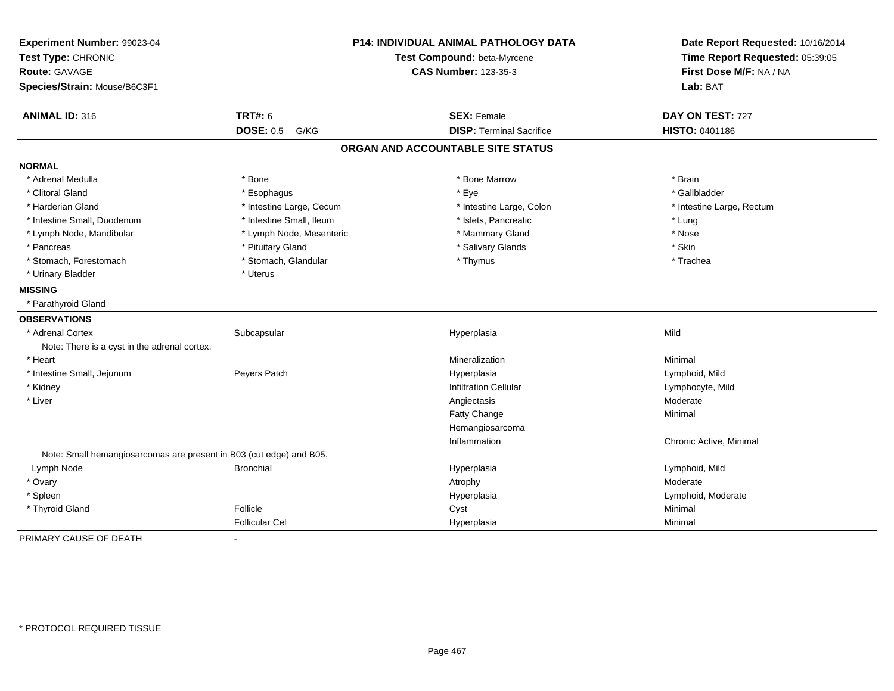| Experiment Number: 99023-04                                         |                          | P14: INDIVIDUAL ANIMAL PATHOLOGY DATA | Date Report Requested: 10/16/2014<br>Time Report Requested: 05:39:05 |
|---------------------------------------------------------------------|--------------------------|---------------------------------------|----------------------------------------------------------------------|
| Test Type: CHRONIC                                                  |                          | Test Compound: beta-Myrcene           |                                                                      |
| Route: GAVAGE                                                       |                          | <b>CAS Number: 123-35-3</b>           | First Dose M/F: NA / NA                                              |
| Species/Strain: Mouse/B6C3F1                                        |                          |                                       | Lab: BAT                                                             |
| <b>ANIMAL ID: 316</b>                                               | <b>TRT#: 6</b>           | <b>SEX: Female</b>                    | DAY ON TEST: 727                                                     |
|                                                                     | <b>DOSE: 0.5</b><br>G/KG | <b>DISP: Terminal Sacrifice</b>       | HISTO: 0401186                                                       |
|                                                                     |                          | ORGAN AND ACCOUNTABLE SITE STATUS     |                                                                      |
| <b>NORMAL</b>                                                       |                          |                                       |                                                                      |
| * Adrenal Medulla                                                   | * Bone                   | * Bone Marrow                         | * Brain                                                              |
| * Clitoral Gland                                                    | * Esophagus              | * Eye                                 | * Gallbladder                                                        |
| * Harderian Gland                                                   | * Intestine Large, Cecum | * Intestine Large, Colon              | * Intestine Large, Rectum                                            |
| * Intestine Small, Duodenum                                         | * Intestine Small. Ileum | * Islets, Pancreatic                  | * Lung                                                               |
| * Lymph Node, Mandibular                                            | * Lymph Node, Mesenteric | * Mammary Gland                       | * Nose                                                               |
| * Pancreas                                                          | * Pituitary Gland        | * Salivary Glands                     | * Skin                                                               |
| * Stomach, Forestomach                                              | * Stomach, Glandular     | * Thymus                              | * Trachea                                                            |
| * Urinary Bladder                                                   | * Uterus                 |                                       |                                                                      |
| <b>MISSING</b>                                                      |                          |                                       |                                                                      |
| * Parathyroid Gland                                                 |                          |                                       |                                                                      |
| <b>OBSERVATIONS</b>                                                 |                          |                                       |                                                                      |
| * Adrenal Cortex                                                    | Subcapsular              | Hyperplasia                           | Mild                                                                 |
| Note: There is a cyst in the adrenal cortex.                        |                          |                                       |                                                                      |
| * Heart                                                             |                          | Mineralization                        | Minimal                                                              |
| * Intestine Small, Jejunum                                          | Peyers Patch             | Hyperplasia                           | Lymphoid, Mild                                                       |
| * Kidney                                                            |                          | <b>Infiltration Cellular</b>          | Lymphocyte, Mild                                                     |
| * Liver                                                             |                          | Angiectasis                           | Moderate                                                             |
|                                                                     |                          | Fatty Change                          | Minimal                                                              |
|                                                                     |                          | Hemangiosarcoma                       |                                                                      |
|                                                                     |                          | Inflammation                          | Chronic Active, Minimal                                              |
| Note: Small hemangiosarcomas are present in B03 (cut edge) and B05. |                          |                                       |                                                                      |
| Lymph Node                                                          | <b>Bronchial</b>         | Hyperplasia                           | Lymphoid, Mild                                                       |
| * Ovary                                                             |                          | Atrophy                               | Moderate                                                             |
| * Spleen                                                            |                          | Hyperplasia                           | Lymphoid, Moderate                                                   |
| * Thyroid Gland                                                     | Follicle                 | Cyst                                  | Minimal                                                              |
|                                                                     | <b>Follicular Cel</b>    | Hyperplasia                           | Minimal                                                              |
| PRIMARY CAUSE OF DEATH                                              |                          |                                       |                                                                      |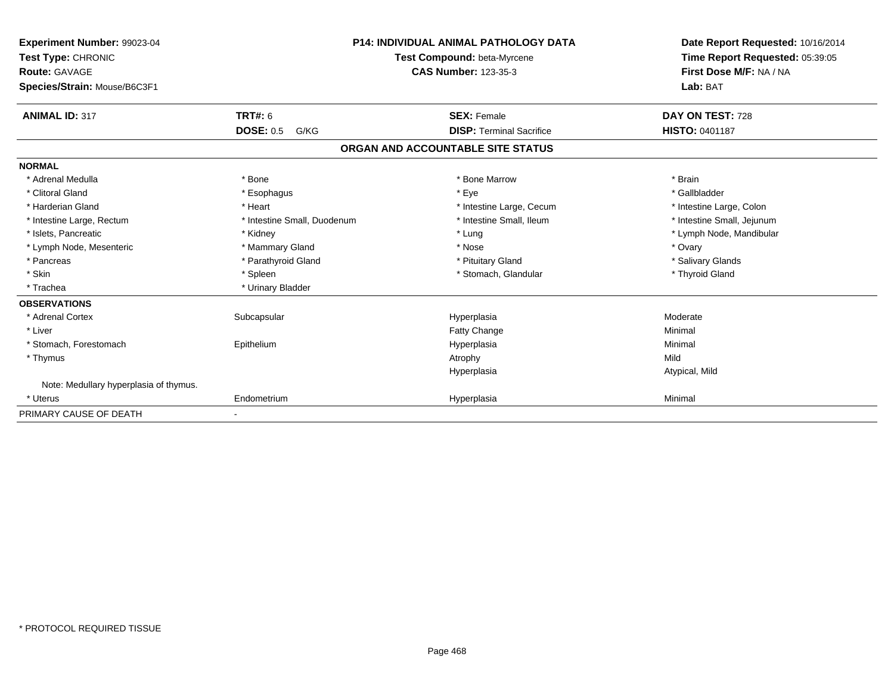| Experiment Number: 99023-04            |                             | <b>P14: INDIVIDUAL ANIMAL PATHOLOGY DATA</b> | Date Report Requested: 10/16/2014 |
|----------------------------------------|-----------------------------|----------------------------------------------|-----------------------------------|
| Test Type: CHRONIC                     |                             | Test Compound: beta-Myrcene                  | Time Report Requested: 05:39:05   |
| Route: GAVAGE                          |                             | <b>CAS Number: 123-35-3</b>                  | First Dose M/F: NA / NA           |
| Species/Strain: Mouse/B6C3F1           |                             |                                              | Lab: BAT                          |
| <b>ANIMAL ID: 317</b>                  | TRT#: 6                     | <b>SEX: Female</b>                           | DAY ON TEST: 728                  |
|                                        | <b>DOSE: 0.5</b><br>G/KG    | <b>DISP: Terminal Sacrifice</b>              | <b>HISTO: 0401187</b>             |
|                                        |                             | ORGAN AND ACCOUNTABLE SITE STATUS            |                                   |
| <b>NORMAL</b>                          |                             |                                              |                                   |
| * Adrenal Medulla                      | * Bone                      | * Bone Marrow                                | * Brain                           |
| * Clitoral Gland                       | * Esophagus                 | * Eye                                        | * Gallbladder                     |
| * Harderian Gland                      | * Heart                     | * Intestine Large, Cecum                     | * Intestine Large, Colon          |
| * Intestine Large, Rectum              | * Intestine Small, Duodenum | * Intestine Small, Ileum                     | * Intestine Small, Jejunum        |
| * Islets, Pancreatic                   | * Kidney                    | * Lung                                       | * Lymph Node, Mandibular          |
| * Lymph Node, Mesenteric               | * Mammary Gland             | * Nose                                       | * Ovary                           |
| * Pancreas                             | * Parathyroid Gland         | * Pituitary Gland                            | * Salivary Glands                 |
| * Skin                                 | * Spleen                    | * Stomach, Glandular                         | * Thyroid Gland                   |
| * Trachea                              | * Urinary Bladder           |                                              |                                   |
| <b>OBSERVATIONS</b>                    |                             |                                              |                                   |
| * Adrenal Cortex                       | Subcapsular                 | Hyperplasia                                  | Moderate                          |
| * Liver                                |                             | Fatty Change                                 | Minimal                           |
| * Stomach, Forestomach                 | Epithelium                  | Hyperplasia                                  | Minimal                           |
| * Thymus                               |                             | Atrophy                                      | Mild                              |
|                                        |                             | Hyperplasia                                  | Atypical, Mild                    |
| Note: Medullary hyperplasia of thymus. |                             |                                              |                                   |
| * Uterus                               | Endometrium                 | Hyperplasia                                  | Minimal                           |
| PRIMARY CAUSE OF DEATH                 | ٠                           |                                              |                                   |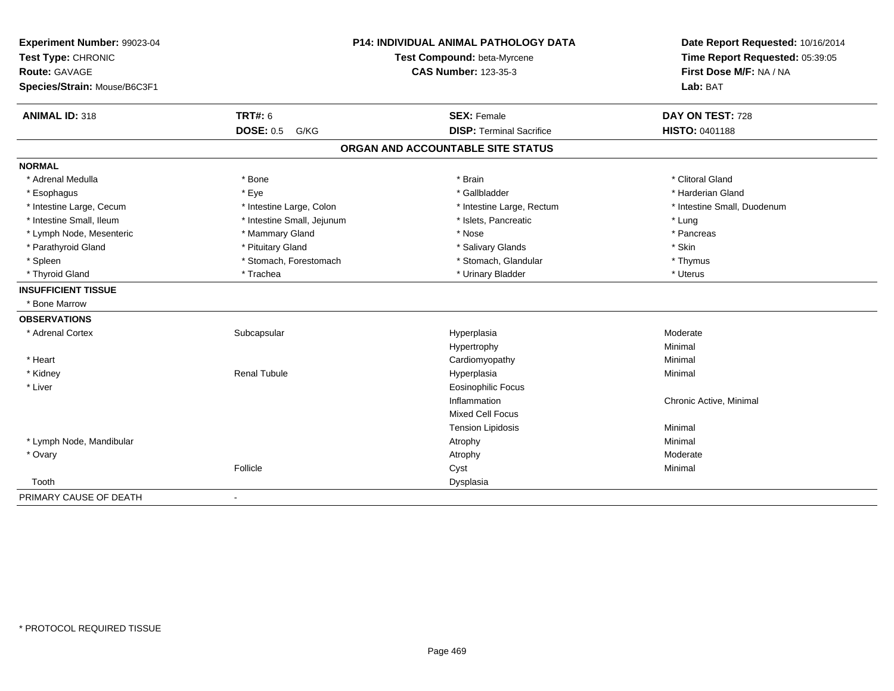| Experiment Number: 99023-04<br>Test Type: CHRONIC<br><b>Route: GAVAGE</b><br>Species/Strain: Mouse/B6C3F1 |                            | P14: INDIVIDUAL ANIMAL PATHOLOGY DATA<br>Test Compound: beta-Myrcene<br><b>CAS Number: 123-35-3</b> | Date Report Requested: 10/16/2014<br>Time Report Requested: 05:39:05<br>First Dose M/F: NA / NA<br>Lab: BAT |  |
|-----------------------------------------------------------------------------------------------------------|----------------------------|-----------------------------------------------------------------------------------------------------|-------------------------------------------------------------------------------------------------------------|--|
| <b>ANIMAL ID: 318</b>                                                                                     | <b>TRT#: 6</b>             | <b>SEX: Female</b>                                                                                  | DAY ON TEST: 728                                                                                            |  |
|                                                                                                           | <b>DOSE: 0.5</b><br>G/KG   | <b>DISP: Terminal Sacrifice</b>                                                                     | HISTO: 0401188                                                                                              |  |
|                                                                                                           |                            | ORGAN AND ACCOUNTABLE SITE STATUS                                                                   |                                                                                                             |  |
| <b>NORMAL</b>                                                                                             |                            |                                                                                                     |                                                                                                             |  |
| * Adrenal Medulla                                                                                         | * Bone                     | * Brain                                                                                             | * Clitoral Gland                                                                                            |  |
| * Esophagus                                                                                               | * Eye                      | * Gallbladder                                                                                       | * Harderian Gland                                                                                           |  |
| * Intestine Large, Cecum                                                                                  | * Intestine Large, Colon   | * Intestine Large, Rectum                                                                           | * Intestine Small, Duodenum                                                                                 |  |
| * Intestine Small. Ileum                                                                                  | * Intestine Small, Jejunum | * Islets, Pancreatic                                                                                | * Lung                                                                                                      |  |
| * Lymph Node, Mesenteric                                                                                  | * Mammary Gland            | * Nose                                                                                              | * Pancreas                                                                                                  |  |
| * Parathyroid Gland                                                                                       | * Pituitary Gland          | * Salivary Glands                                                                                   | * Skin                                                                                                      |  |
| * Spleen                                                                                                  | * Stomach, Forestomach     | * Stomach, Glandular                                                                                | * Thymus                                                                                                    |  |
| * Thyroid Gland                                                                                           | * Trachea                  | * Urinary Bladder                                                                                   | * Uterus                                                                                                    |  |
| <b>INSUFFICIENT TISSUE</b>                                                                                |                            |                                                                                                     |                                                                                                             |  |
| * Bone Marrow                                                                                             |                            |                                                                                                     |                                                                                                             |  |
| <b>OBSERVATIONS</b>                                                                                       |                            |                                                                                                     |                                                                                                             |  |
| * Adrenal Cortex                                                                                          | Subcapsular                | Hyperplasia                                                                                         | Moderate                                                                                                    |  |
|                                                                                                           |                            | Hypertrophy                                                                                         | Minimal                                                                                                     |  |
| * Heart                                                                                                   |                            | Cardiomyopathy                                                                                      | Minimal                                                                                                     |  |
| * Kidney                                                                                                  | <b>Renal Tubule</b>        | Hyperplasia                                                                                         | Minimal                                                                                                     |  |
| * Liver                                                                                                   |                            | <b>Eosinophilic Focus</b>                                                                           |                                                                                                             |  |
|                                                                                                           |                            | Inflammation                                                                                        | Chronic Active, Minimal                                                                                     |  |
|                                                                                                           |                            | Mixed Cell Focus                                                                                    |                                                                                                             |  |
|                                                                                                           |                            | <b>Tension Lipidosis</b>                                                                            | Minimal                                                                                                     |  |
| * Lymph Node, Mandibular                                                                                  |                            | Atrophy                                                                                             | Minimal                                                                                                     |  |
| * Ovary                                                                                                   |                            | Atrophy                                                                                             | Moderate                                                                                                    |  |
|                                                                                                           | Follicle                   | Cyst                                                                                                | Minimal                                                                                                     |  |
| Tooth                                                                                                     |                            | Dysplasia                                                                                           |                                                                                                             |  |
| PRIMARY CAUSE OF DEATH                                                                                    | $\blacksquare$             |                                                                                                     |                                                                                                             |  |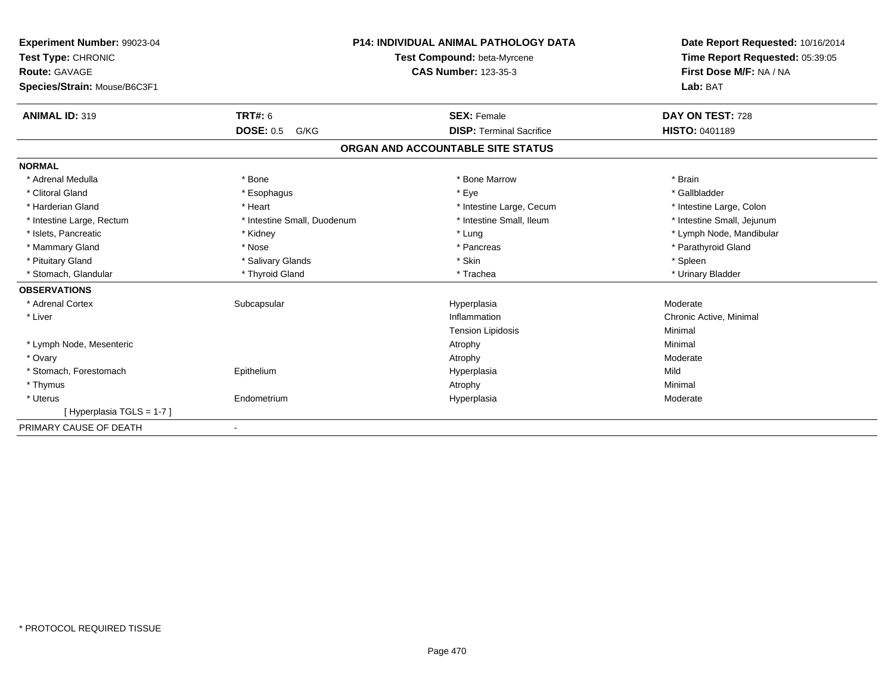| Experiment Number: 99023-04  |                             | <b>P14: INDIVIDUAL ANIMAL PATHOLOGY DATA</b> | Date Report Requested: 10/16/2014 |  |
|------------------------------|-----------------------------|----------------------------------------------|-----------------------------------|--|
| Test Type: CHRONIC           | Test Compound: beta-Myrcene |                                              | Time Report Requested: 05:39:05   |  |
| <b>Route: GAVAGE</b>         |                             | <b>CAS Number: 123-35-3</b>                  | First Dose M/F: NA / NA           |  |
| Species/Strain: Mouse/B6C3F1 |                             |                                              | Lab: BAT                          |  |
| <b>ANIMAL ID: 319</b>        | TRT#: 6                     | <b>SEX: Female</b>                           | DAY ON TEST: 728                  |  |
|                              | <b>DOSE: 0.5</b><br>G/KG    | <b>DISP: Terminal Sacrifice</b>              | <b>HISTO: 0401189</b>             |  |
|                              |                             | ORGAN AND ACCOUNTABLE SITE STATUS            |                                   |  |
| <b>NORMAL</b>                |                             |                                              |                                   |  |
| * Adrenal Medulla            | * Bone                      | * Bone Marrow                                | * Brain                           |  |
| * Clitoral Gland             | * Esophagus                 | * Eye                                        | * Gallbladder                     |  |
| * Harderian Gland            | * Heart                     | * Intestine Large, Cecum                     | * Intestine Large, Colon          |  |
| * Intestine Large, Rectum    | * Intestine Small, Duodenum | * Intestine Small, Ileum                     | * Intestine Small, Jejunum        |  |
| * Islets, Pancreatic         | * Kidney                    | * Lung                                       | * Lymph Node, Mandibular          |  |
| * Mammary Gland              | * Nose                      | * Pancreas                                   | * Parathyroid Gland               |  |
| * Pituitary Gland            | * Salivary Glands           | * Skin                                       | * Spleen                          |  |
| * Stomach, Glandular         | * Thyroid Gland             | * Trachea                                    | * Urinary Bladder                 |  |
| <b>OBSERVATIONS</b>          |                             |                                              |                                   |  |
| * Adrenal Cortex             | Subcapsular                 | Hyperplasia                                  | Moderate                          |  |
| * Liver                      |                             | Inflammation                                 | Chronic Active, Minimal           |  |
|                              |                             | <b>Tension Lipidosis</b>                     | Minimal                           |  |
| * Lymph Node, Mesenteric     |                             | Atrophy                                      | Minimal                           |  |
| * Ovary                      |                             | Atrophy                                      | Moderate                          |  |
| * Stomach, Forestomach       | Epithelium                  | Hyperplasia                                  | Mild                              |  |
| * Thymus                     |                             | Atrophy                                      | Minimal                           |  |
| * Uterus                     | Endometrium                 | Hyperplasia                                  | Moderate                          |  |
| [Hyperplasia TGLS = 1-7]     |                             |                                              |                                   |  |
| PRIMARY CAUSE OF DEATH       | $\blacksquare$              |                                              |                                   |  |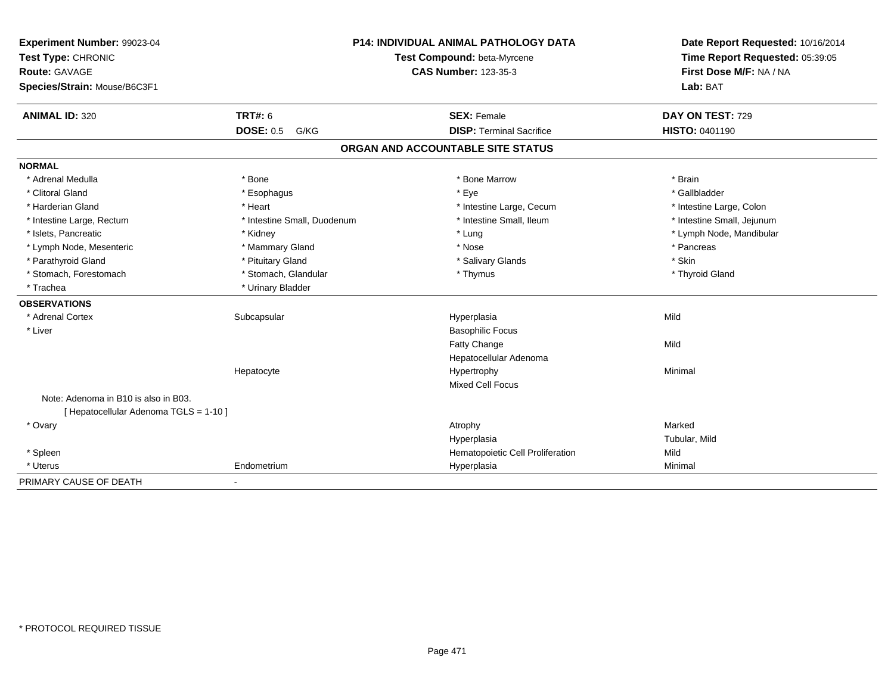| Experiment Number: 99023-04<br>Test Type: CHRONIC |                             | <b>P14: INDIVIDUAL ANIMAL PATHOLOGY DATA</b><br>Test Compound: beta-Myrcene | Date Report Requested: 10/16/2014<br>Time Report Requested: 05:39:05 |  |
|---------------------------------------------------|-----------------------------|-----------------------------------------------------------------------------|----------------------------------------------------------------------|--|
| <b>Route: GAVAGE</b>                              |                             | <b>CAS Number: 123-35-3</b>                                                 | First Dose M/F: NA / NA                                              |  |
| Species/Strain: Mouse/B6C3F1                      |                             |                                                                             | Lab: BAT                                                             |  |
| <b>ANIMAL ID: 320</b>                             | <b>TRT#: 6</b>              | <b>SEX: Female</b>                                                          | DAY ON TEST: 729                                                     |  |
|                                                   | <b>DOSE: 0.5 G/KG</b>       | <b>DISP: Terminal Sacrifice</b>                                             | <b>HISTO: 0401190</b>                                                |  |
|                                                   |                             | ORGAN AND ACCOUNTABLE SITE STATUS                                           |                                                                      |  |
| <b>NORMAL</b>                                     |                             |                                                                             |                                                                      |  |
| * Adrenal Medulla                                 | * Bone                      | * Bone Marrow                                                               | * Brain                                                              |  |
| * Clitoral Gland                                  | * Esophagus                 | * Eye                                                                       | * Gallbladder                                                        |  |
| * Harderian Gland                                 | * Heart                     | * Intestine Large, Cecum                                                    | * Intestine Large, Colon                                             |  |
| * Intestine Large, Rectum                         | * Intestine Small, Duodenum | * Intestine Small, Ileum                                                    | * Intestine Small, Jejunum                                           |  |
| * Islets, Pancreatic                              | * Kidney                    | * Lung                                                                      | * Lymph Node, Mandibular                                             |  |
| * Lymph Node, Mesenteric                          | * Mammary Gland             | * Nose                                                                      | * Pancreas                                                           |  |
| * Parathyroid Gland                               | * Pituitary Gland           | * Salivary Glands                                                           | * Skin                                                               |  |
| * Stomach, Forestomach                            | * Stomach, Glandular        | * Thymus                                                                    | * Thyroid Gland                                                      |  |
| * Trachea                                         | * Urinary Bladder           |                                                                             |                                                                      |  |
| <b>OBSERVATIONS</b>                               |                             |                                                                             |                                                                      |  |
| * Adrenal Cortex                                  | Subcapsular                 | Hyperplasia                                                                 | Mild                                                                 |  |
| * Liver                                           |                             | <b>Basophilic Focus</b>                                                     |                                                                      |  |
|                                                   |                             | Fatty Change                                                                | Mild                                                                 |  |
|                                                   |                             | Hepatocellular Adenoma                                                      |                                                                      |  |
|                                                   | Hepatocyte                  | Hypertrophy                                                                 | Minimal                                                              |  |
|                                                   |                             | <b>Mixed Cell Focus</b>                                                     |                                                                      |  |
| Note: Adenoma in B10 is also in B03.              |                             |                                                                             |                                                                      |  |
| [ Hepatocellular Adenoma TGLS = 1-10 ]            |                             |                                                                             |                                                                      |  |
| * Ovary                                           |                             | Atrophy                                                                     | Marked                                                               |  |
|                                                   |                             | Hyperplasia                                                                 | Tubular, Mild                                                        |  |
| * Spleen                                          |                             | Hematopoietic Cell Proliferation                                            | Mild                                                                 |  |
| * Uterus                                          | Endometrium                 | Hyperplasia                                                                 | Minimal                                                              |  |
| PRIMARY CAUSE OF DEATH                            | $\blacksquare$              |                                                                             |                                                                      |  |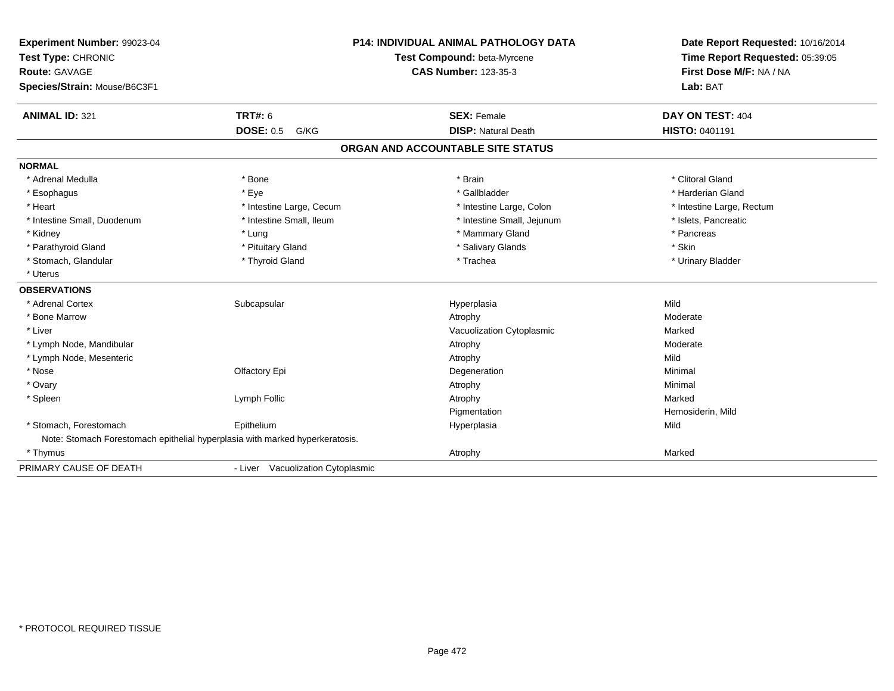| Experiment Number: 99023-04  |                                                                              | <b>P14: INDIVIDUAL ANIMAL PATHOLOGY DATA</b> | Date Report Requested: 10/16/2014                          |
|------------------------------|------------------------------------------------------------------------------|----------------------------------------------|------------------------------------------------------------|
| Test Type: CHRONIC           |                                                                              | Test Compound: beta-Myrcene                  | Time Report Requested: 05:39:05<br>First Dose M/F: NA / NA |
| <b>Route: GAVAGE</b>         |                                                                              | <b>CAS Number: 123-35-3</b>                  |                                                            |
| Species/Strain: Mouse/B6C3F1 |                                                                              |                                              | Lab: BAT                                                   |
| <b>ANIMAL ID: 321</b>        | TRT#: 6                                                                      | <b>SEX: Female</b>                           | DAY ON TEST: 404                                           |
|                              | <b>DOSE: 0.5</b><br>G/KG                                                     | <b>DISP: Natural Death</b>                   | HISTO: 0401191                                             |
|                              |                                                                              | ORGAN AND ACCOUNTABLE SITE STATUS            |                                                            |
| <b>NORMAL</b>                |                                                                              |                                              |                                                            |
| * Adrenal Medulla            | * Bone                                                                       | * Brain                                      | * Clitoral Gland                                           |
| * Esophagus                  | * Eye                                                                        | * Gallbladder                                | * Harderian Gland                                          |
| * Heart                      | * Intestine Large, Cecum                                                     | * Intestine Large, Colon                     | * Intestine Large, Rectum                                  |
| * Intestine Small, Duodenum  | * Intestine Small, Ileum                                                     | * Intestine Small, Jejunum                   | * Islets, Pancreatic                                       |
| * Kidney                     | * Lung                                                                       | * Mammary Gland                              | * Pancreas                                                 |
| * Parathyroid Gland          | * Pituitary Gland                                                            | * Salivary Glands                            | * Skin                                                     |
| * Stomach, Glandular         | * Thyroid Gland                                                              | * Trachea                                    | * Urinary Bladder                                          |
| * Uterus                     |                                                                              |                                              |                                                            |
| <b>OBSERVATIONS</b>          |                                                                              |                                              |                                                            |
| * Adrenal Cortex             | Subcapsular                                                                  | Hyperplasia                                  | Mild                                                       |
| * Bone Marrow                |                                                                              | Atrophy                                      | Moderate                                                   |
| * Liver                      |                                                                              | Vacuolization Cytoplasmic                    | Marked                                                     |
| * Lymph Node, Mandibular     |                                                                              | Atrophy                                      | Moderate                                                   |
| * Lymph Node, Mesenteric     |                                                                              | Atrophy                                      | Mild                                                       |
| * Nose                       | Olfactory Epi                                                                | Degeneration                                 | Minimal                                                    |
| * Ovary                      |                                                                              | Atrophy                                      | Minimal                                                    |
| * Spleen                     | Lymph Follic                                                                 | Atrophy                                      | Marked                                                     |
|                              |                                                                              | Pigmentation                                 | Hemosiderin, Mild                                          |
| * Stomach, Forestomach       | Epithelium                                                                   | Hyperplasia                                  | Mild                                                       |
|                              | Note: Stomach Forestomach epithelial hyperplasia with marked hyperkeratosis. |                                              |                                                            |
| * Thymus                     |                                                                              | Atrophy                                      | Marked                                                     |
| PRIMARY CAUSE OF DEATH       | - Liver Vacuolization Cytoplasmic                                            |                                              |                                                            |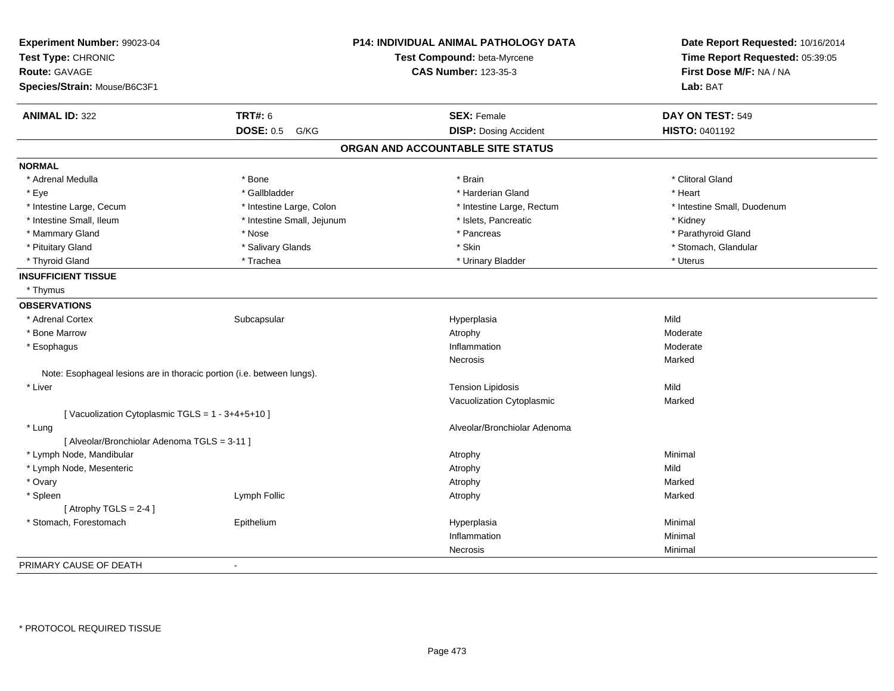| Experiment Number: 99023-04<br>Test Type: CHRONIC<br>Route: GAVAGE     |                            | P14: INDIVIDUAL ANIMAL PATHOLOGY DATA<br>Test Compound: beta-Myrcene<br><b>CAS Number: 123-35-3</b> | Date Report Requested: 10/16/2014<br>Time Report Requested: 05:39:05<br>First Dose M/F: NA / NA |
|------------------------------------------------------------------------|----------------------------|-----------------------------------------------------------------------------------------------------|-------------------------------------------------------------------------------------------------|
| Species/Strain: Mouse/B6C3F1                                           |                            |                                                                                                     | Lab: BAT                                                                                        |
| <b>ANIMAL ID: 322</b>                                                  | <b>TRT#: 6</b>             | <b>SEX: Female</b>                                                                                  | DAY ON TEST: 549                                                                                |
|                                                                        | <b>DOSE: 0.5</b><br>G/KG   | <b>DISP: Dosing Accident</b>                                                                        | HISTO: 0401192                                                                                  |
|                                                                        |                            | ORGAN AND ACCOUNTABLE SITE STATUS                                                                   |                                                                                                 |
| <b>NORMAL</b>                                                          |                            |                                                                                                     |                                                                                                 |
| * Adrenal Medulla                                                      | * Bone                     | * Brain                                                                                             | * Clitoral Gland                                                                                |
| * Eye                                                                  | * Gallbladder              | * Harderian Gland                                                                                   | * Heart                                                                                         |
| * Intestine Large, Cecum                                               | * Intestine Large, Colon   | * Intestine Large, Rectum                                                                           | * Intestine Small, Duodenum                                                                     |
| * Intestine Small, Ileum                                               | * Intestine Small, Jejunum | * Islets, Pancreatic                                                                                | * Kidney                                                                                        |
| * Mammary Gland                                                        | * Nose                     | * Pancreas                                                                                          | * Parathyroid Gland                                                                             |
| * Pituitary Gland                                                      | * Salivary Glands          | * Skin                                                                                              | * Stomach, Glandular                                                                            |
| * Thyroid Gland                                                        | * Trachea                  | * Urinary Bladder                                                                                   | * Uterus                                                                                        |
| <b>INSUFFICIENT TISSUE</b>                                             |                            |                                                                                                     |                                                                                                 |
| * Thymus                                                               |                            |                                                                                                     |                                                                                                 |
| <b>OBSERVATIONS</b>                                                    |                            |                                                                                                     |                                                                                                 |
| * Adrenal Cortex                                                       | Subcapsular                | Hyperplasia                                                                                         | Mild                                                                                            |
| * Bone Marrow                                                          |                            | Atrophy                                                                                             | Moderate                                                                                        |
| * Esophagus                                                            |                            | Inflammation                                                                                        | Moderate                                                                                        |
|                                                                        |                            | Necrosis                                                                                            | Marked                                                                                          |
| Note: Esophageal lesions are in thoracic portion (i.e. between lungs). |                            |                                                                                                     |                                                                                                 |
| * Liver                                                                |                            | <b>Tension Lipidosis</b>                                                                            | Mild                                                                                            |
|                                                                        |                            | Vacuolization Cytoplasmic                                                                           | Marked                                                                                          |
| [Vacuolization Cytoplasmic TGLS = 1 - 3+4+5+10]                        |                            |                                                                                                     |                                                                                                 |
| * Lung<br>[ Alveolar/Bronchiolar Adenoma TGLS = 3-11 ]                 |                            | Alveolar/Bronchiolar Adenoma                                                                        |                                                                                                 |
| * Lymph Node, Mandibular                                               |                            | Atrophy                                                                                             | Minimal                                                                                         |
| * Lymph Node, Mesenteric                                               |                            | Atrophy                                                                                             | Mild                                                                                            |
| * Ovary                                                                |                            | Atrophy                                                                                             | Marked                                                                                          |
| * Spleen                                                               | Lymph Follic               | Atrophy                                                                                             | Marked                                                                                          |
| [Atrophy TGLS = $2-4$ ]                                                |                            |                                                                                                     |                                                                                                 |
| * Stomach, Forestomach                                                 | Epithelium                 | Hyperplasia                                                                                         | Minimal                                                                                         |
|                                                                        |                            | Inflammation                                                                                        | Minimal                                                                                         |
|                                                                        |                            | Necrosis                                                                                            | Minimal                                                                                         |
| PRIMARY CAUSE OF DEATH                                                 | $\sim$                     |                                                                                                     |                                                                                                 |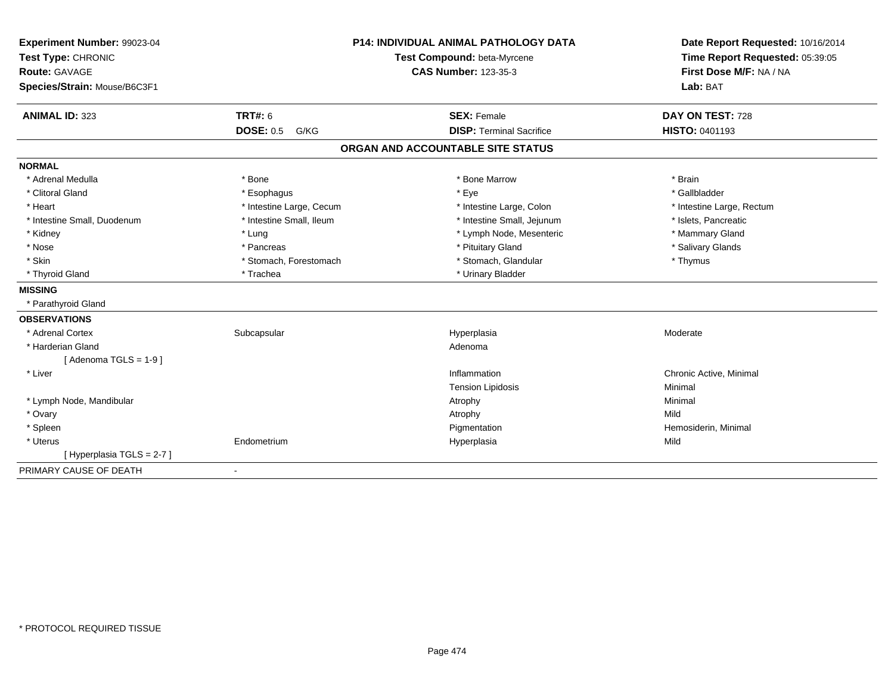| Experiment Number: 99023-04                             | <b>P14: INDIVIDUAL ANIMAL PATHOLOGY DATA</b> | Date Report Requested: 10/16/2014                                      |  |
|---------------------------------------------------------|----------------------------------------------|------------------------------------------------------------------------|--|
| Test Type: CHRONIC                                      | Test Compound: beta-Myrcene                  | Time Report Requested: 05:39:05<br>First Dose M/F: NA / NA<br>Lab: BAT |  |
| <b>Route: GAVAGE</b>                                    | <b>CAS Number: 123-35-3</b>                  |                                                                        |  |
| Species/Strain: Mouse/B6C3F1                            |                                              |                                                                        |  |
| <b>TRT#: 6</b><br><b>ANIMAL ID: 323</b>                 | <b>SEX: Female</b>                           | DAY ON TEST: 728                                                       |  |
| <b>DOSE: 0.5</b><br>G/KG                                | <b>DISP: Terminal Sacrifice</b>              | <b>HISTO: 0401193</b>                                                  |  |
|                                                         | ORGAN AND ACCOUNTABLE SITE STATUS            |                                                                        |  |
| <b>NORMAL</b>                                           |                                              |                                                                        |  |
| * Adrenal Medulla<br>* Bone                             | * Bone Marrow                                | * Brain                                                                |  |
| * Clitoral Gland<br>* Esophagus                         | * Eye                                        | * Gallbladder                                                          |  |
| * Intestine Large, Cecum<br>* Heart                     | * Intestine Large, Colon                     | * Intestine Large, Rectum                                              |  |
| * Intestine Small, Ileum<br>* Intestine Small, Duodenum | * Intestine Small, Jejunum                   | * Islets, Pancreatic                                                   |  |
| * Kidney<br>* Lung                                      | * Lymph Node, Mesenteric                     | * Mammary Gland                                                        |  |
| * Nose<br>* Pancreas                                    | * Pituitary Gland                            | * Salivary Glands                                                      |  |
| * Skin<br>* Stomach, Forestomach                        | * Stomach, Glandular                         | * Thymus                                                               |  |
| * Thyroid Gland<br>* Trachea                            | * Urinary Bladder                            |                                                                        |  |
| <b>MISSING</b>                                          |                                              |                                                                        |  |
| * Parathyroid Gland                                     |                                              |                                                                        |  |
| <b>OBSERVATIONS</b>                                     |                                              |                                                                        |  |
| * Adrenal Cortex<br>Subcapsular                         | Hyperplasia                                  | Moderate                                                               |  |
| * Harderian Gland                                       | Adenoma                                      |                                                                        |  |
| [Adenoma TGLS = $1-9$ ]                                 |                                              |                                                                        |  |
| * Liver                                                 | Inflammation                                 | Chronic Active, Minimal                                                |  |
|                                                         | <b>Tension Lipidosis</b>                     | Minimal                                                                |  |
| * Lymph Node, Mandibular                                | Atrophy                                      | Minimal                                                                |  |
| * Ovary                                                 | Atrophy                                      | Mild                                                                   |  |
| * Spleen                                                | Pigmentation                                 | Hemosiderin, Minimal                                                   |  |
| * Uterus<br>Endometrium                                 | Hyperplasia                                  | Mild                                                                   |  |
| [ Hyperplasia TGLS = 2-7 ]                              |                                              |                                                                        |  |
| PRIMARY CAUSE OF DEATH<br>$\blacksquare$                |                                              |                                                                        |  |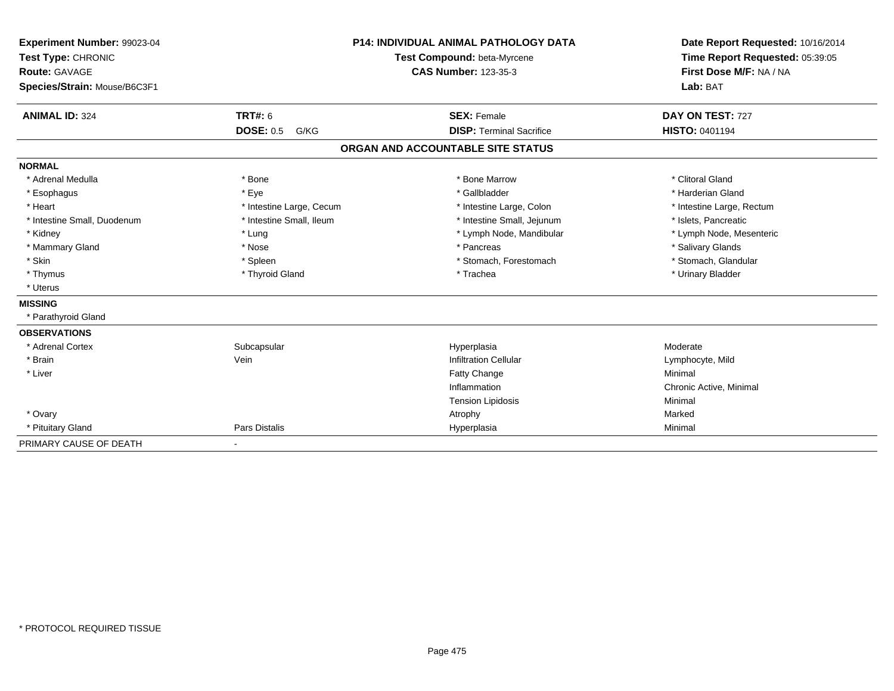| Experiment Number: 99023-04  |                             | <b>P14: INDIVIDUAL ANIMAL PATHOLOGY DATA</b> | Date Report Requested: 10/16/2014 |  |
|------------------------------|-----------------------------|----------------------------------------------|-----------------------------------|--|
| Test Type: CHRONIC           | Test Compound: beta-Myrcene |                                              | Time Report Requested: 05:39:05   |  |
| <b>Route: GAVAGE</b>         |                             | <b>CAS Number: 123-35-3</b>                  | First Dose M/F: NA / NA           |  |
| Species/Strain: Mouse/B6C3F1 |                             |                                              | Lab: BAT                          |  |
| <b>ANIMAL ID: 324</b>        | TRT#: 6                     | <b>SEX: Female</b>                           | DAY ON TEST: 727                  |  |
|                              | <b>DOSE: 0.5</b><br>G/KG    | <b>DISP: Terminal Sacrifice</b>              | <b>HISTO: 0401194</b>             |  |
|                              |                             | ORGAN AND ACCOUNTABLE SITE STATUS            |                                   |  |
| <b>NORMAL</b>                |                             |                                              |                                   |  |
| * Adrenal Medulla            | * Bone                      | * Bone Marrow                                | * Clitoral Gland                  |  |
| * Esophagus                  | * Eye                       | * Gallbladder                                | * Harderian Gland                 |  |
| * Heart                      | * Intestine Large, Cecum    | * Intestine Large, Colon                     | * Intestine Large, Rectum         |  |
| * Intestine Small, Duodenum  | * Intestine Small, Ileum    | * Intestine Small, Jejunum                   | * Islets, Pancreatic              |  |
| * Kidney                     | * Lung                      | * Lymph Node, Mandibular                     | * Lymph Node, Mesenteric          |  |
| * Mammary Gland              | * Nose                      | * Pancreas                                   | * Salivary Glands                 |  |
| * Skin                       | * Spleen                    | * Stomach. Forestomach                       | * Stomach, Glandular              |  |
| * Thymus                     | * Thyroid Gland             | * Trachea                                    | * Urinary Bladder                 |  |
| * Uterus                     |                             |                                              |                                   |  |
| <b>MISSING</b>               |                             |                                              |                                   |  |
| * Parathyroid Gland          |                             |                                              |                                   |  |
| <b>OBSERVATIONS</b>          |                             |                                              |                                   |  |
| * Adrenal Cortex             | Subcapsular                 | Hyperplasia                                  | Moderate                          |  |
| * Brain                      | Vein                        | <b>Infiltration Cellular</b>                 | Lymphocyte, Mild                  |  |
| * Liver                      |                             | <b>Fatty Change</b>                          | Minimal                           |  |
|                              |                             | Inflammation                                 | Chronic Active, Minimal           |  |
|                              |                             | <b>Tension Lipidosis</b>                     | Minimal                           |  |
| * Ovary                      |                             | Atrophy                                      | Marked                            |  |
| * Pituitary Gland            | Pars Distalis               | Hyperplasia                                  | Minimal                           |  |
| PRIMARY CAUSE OF DEATH       | $\overline{\phantom{a}}$    |                                              |                                   |  |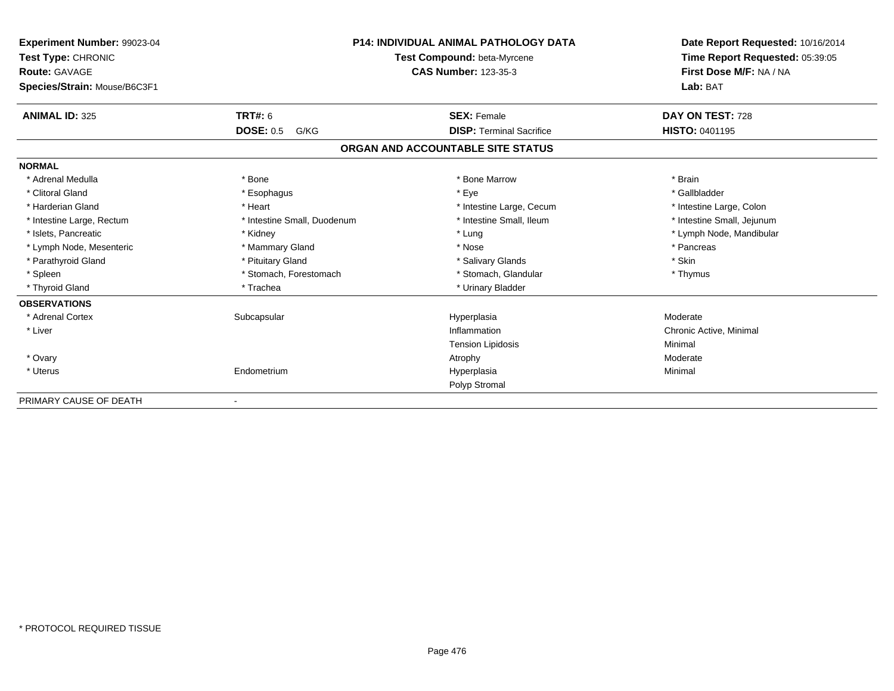| Experiment Number: 99023-04<br>Test Type: CHRONIC<br><b>Route: GAVAGE</b><br>Species/Strain: Mouse/B6C3F1 | <b>P14: INDIVIDUAL ANIMAL PATHOLOGY DATA</b><br>Test Compound: beta-Myrcene<br><b>CAS Number: 123-35-3</b> |                                   | Date Report Requested: 10/16/2014<br>Time Report Requested: 05:39:05<br>First Dose M/F: NA / NA<br>Lab: BAT |  |
|-----------------------------------------------------------------------------------------------------------|------------------------------------------------------------------------------------------------------------|-----------------------------------|-------------------------------------------------------------------------------------------------------------|--|
| <b>ANIMAL ID: 325</b>                                                                                     | <b>TRT#: 6</b>                                                                                             | <b>SEX: Female</b>                | DAY ON TEST: 728                                                                                            |  |
|                                                                                                           | <b>DOSE: 0.5</b><br>G/KG                                                                                   | <b>DISP: Terminal Sacrifice</b>   | <b>HISTO: 0401195</b>                                                                                       |  |
|                                                                                                           |                                                                                                            | ORGAN AND ACCOUNTABLE SITE STATUS |                                                                                                             |  |
| <b>NORMAL</b>                                                                                             |                                                                                                            |                                   |                                                                                                             |  |
| * Adrenal Medulla                                                                                         | * Bone                                                                                                     | * Bone Marrow                     | * Brain                                                                                                     |  |
| * Clitoral Gland                                                                                          | * Esophagus                                                                                                | * Eye                             | * Gallbladder                                                                                               |  |
| * Harderian Gland                                                                                         | * Heart                                                                                                    | * Intestine Large, Cecum          | * Intestine Large, Colon                                                                                    |  |
| * Intestine Large, Rectum                                                                                 | * Intestine Small, Duodenum                                                                                | * Intestine Small, Ileum          | * Intestine Small, Jejunum                                                                                  |  |
| * Islets, Pancreatic                                                                                      | * Kidney                                                                                                   | * Lung                            | * Lymph Node, Mandibular                                                                                    |  |
| * Lymph Node, Mesenteric                                                                                  | * Mammary Gland                                                                                            | * Nose                            | * Pancreas                                                                                                  |  |
| * Parathyroid Gland                                                                                       | * Pituitary Gland                                                                                          | * Salivary Glands                 | * Skin                                                                                                      |  |
| * Spleen                                                                                                  | * Stomach, Forestomach                                                                                     | * Stomach, Glandular              | * Thymus                                                                                                    |  |
| * Thyroid Gland                                                                                           | * Trachea                                                                                                  | * Urinary Bladder                 |                                                                                                             |  |
| <b>OBSERVATIONS</b>                                                                                       |                                                                                                            |                                   |                                                                                                             |  |
| * Adrenal Cortex                                                                                          | Subcapsular                                                                                                | Hyperplasia                       | Moderate                                                                                                    |  |
| * Liver                                                                                                   |                                                                                                            | Inflammation                      | Chronic Active, Minimal                                                                                     |  |
|                                                                                                           |                                                                                                            | <b>Tension Lipidosis</b>          | Minimal                                                                                                     |  |
| * Ovary                                                                                                   |                                                                                                            | Atrophy                           | Moderate                                                                                                    |  |
| * Uterus                                                                                                  | Endometrium                                                                                                | Hyperplasia                       | Minimal                                                                                                     |  |
|                                                                                                           |                                                                                                            | Polyp Stromal                     |                                                                                                             |  |
| PRIMARY CAUSE OF DEATH                                                                                    |                                                                                                            |                                   |                                                                                                             |  |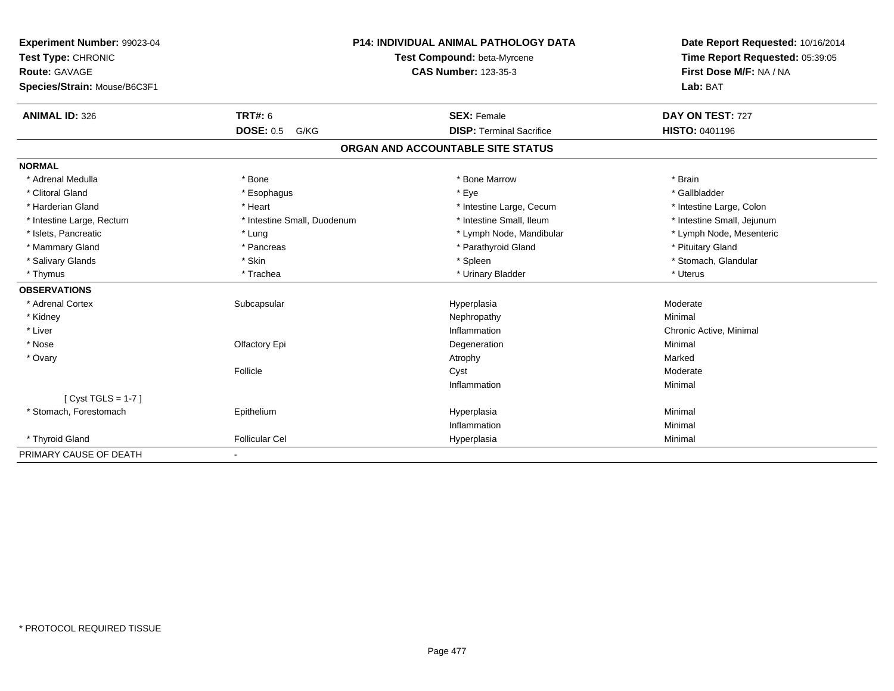| Experiment Number: 99023-04  |                             | <b>P14: INDIVIDUAL ANIMAL PATHOLOGY DATA</b> | Date Report Requested: 10/16/2014 |
|------------------------------|-----------------------------|----------------------------------------------|-----------------------------------|
| Test Type: CHRONIC           |                             | Test Compound: beta-Myrcene                  | Time Report Requested: 05:39:05   |
| Route: GAVAGE                |                             | <b>CAS Number: 123-35-3</b>                  | First Dose M/F: NA / NA           |
| Species/Strain: Mouse/B6C3F1 |                             |                                              | Lab: BAT                          |
| <b>ANIMAL ID: 326</b>        | <b>TRT#: 6</b>              | <b>SEX: Female</b>                           | DAY ON TEST: 727                  |
|                              | <b>DOSE: 0.5</b><br>G/KG    | <b>DISP: Terminal Sacrifice</b>              | <b>HISTO: 0401196</b>             |
|                              |                             | ORGAN AND ACCOUNTABLE SITE STATUS            |                                   |
| <b>NORMAL</b>                |                             |                                              |                                   |
| * Adrenal Medulla            | * Bone                      | * Bone Marrow                                | * Brain                           |
| * Clitoral Gland             | * Esophagus                 | * Eye                                        | * Gallbladder                     |
| * Harderian Gland            | * Heart                     | * Intestine Large, Cecum                     | * Intestine Large, Colon          |
| * Intestine Large, Rectum    | * Intestine Small, Duodenum | * Intestine Small, Ileum                     | * Intestine Small, Jejunum        |
| * Islets, Pancreatic         | * Lung                      | * Lymph Node, Mandibular                     | * Lymph Node, Mesenteric          |
| * Mammary Gland              | * Pancreas                  | * Parathyroid Gland                          | * Pituitary Gland                 |
| * Salivary Glands            | * Skin                      | * Spleen                                     | * Stomach, Glandular              |
| * Thymus                     | * Trachea                   | * Urinary Bladder                            | * Uterus                          |
| <b>OBSERVATIONS</b>          |                             |                                              |                                   |
| * Adrenal Cortex             | Subcapsular                 | Hyperplasia                                  | Moderate                          |
| * Kidney                     |                             | Nephropathy                                  | Minimal                           |
| * Liver                      |                             | Inflammation                                 | Chronic Active, Minimal           |
| * Nose                       | Olfactory Epi               | Degeneration                                 | Minimal                           |
| * Ovary                      |                             | Atrophy                                      | Marked                            |
|                              | Follicle                    | Cyst                                         | Moderate                          |
|                              |                             | Inflammation                                 | Minimal                           |
| [ $Cyst TGLS = 1-7$ ]        |                             |                                              |                                   |
| * Stomach, Forestomach       | Epithelium                  | Hyperplasia                                  | Minimal                           |
|                              |                             | Inflammation                                 | Minimal                           |
| * Thyroid Gland              | <b>Follicular Cel</b>       | Hyperplasia                                  | Minimal                           |
| PRIMARY CAUSE OF DEATH       |                             |                                              |                                   |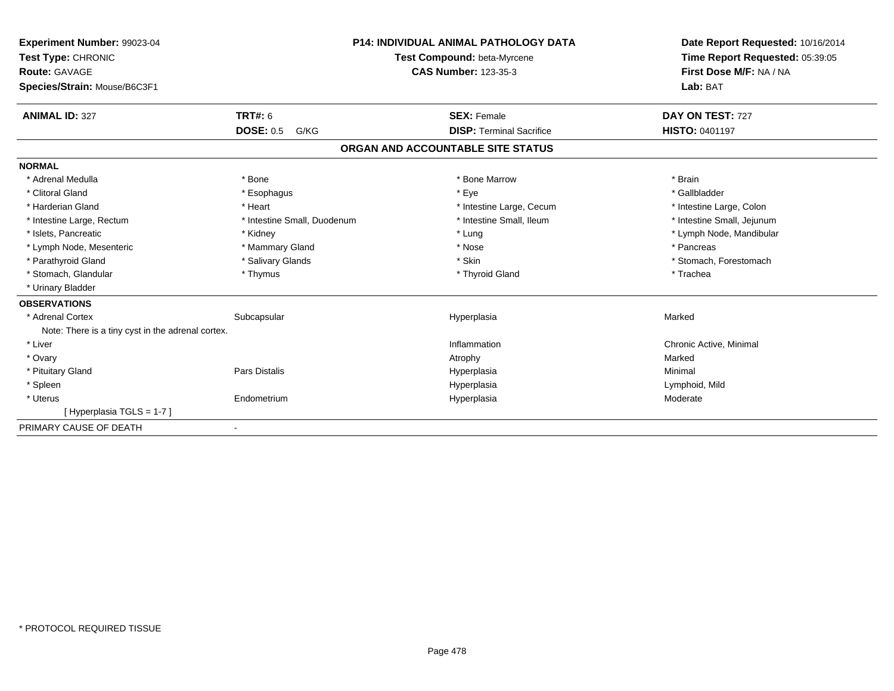| Experiment Number: 99023-04<br>Test Type: CHRONIC<br><b>Route: GAVAGE</b><br>Species/Strain: Mouse/B6C3F1 | <b>P14: INDIVIDUAL ANIMAL PATHOLOGY DATA</b><br>Test Compound: beta-Myrcene<br><b>CAS Number: 123-35-3</b> |  |                                   | Date Report Requested: 10/16/2014<br>Time Report Requested: 05:39:05<br>First Dose M/F: NA / NA<br>Lab: BAT |  |
|-----------------------------------------------------------------------------------------------------------|------------------------------------------------------------------------------------------------------------|--|-----------------------------------|-------------------------------------------------------------------------------------------------------------|--|
| <b>ANIMAL ID: 327</b>                                                                                     | TRT#: 6                                                                                                    |  | <b>SEX: Female</b>                | DAY ON TEST: 727                                                                                            |  |
|                                                                                                           | <b>DOSE: 0.5</b><br>G/KG                                                                                   |  | <b>DISP: Terminal Sacrifice</b>   | HISTO: 0401197                                                                                              |  |
|                                                                                                           |                                                                                                            |  | ORGAN AND ACCOUNTABLE SITE STATUS |                                                                                                             |  |
| <b>NORMAL</b>                                                                                             |                                                                                                            |  |                                   |                                                                                                             |  |
| * Adrenal Medulla                                                                                         | * Bone                                                                                                     |  | * Bone Marrow                     | * Brain                                                                                                     |  |
| * Clitoral Gland                                                                                          | * Esophagus                                                                                                |  | * Eye                             | * Gallbladder                                                                                               |  |
| * Harderian Gland                                                                                         | * Heart                                                                                                    |  | * Intestine Large, Cecum          | * Intestine Large, Colon                                                                                    |  |
| * Intestine Large, Rectum                                                                                 | * Intestine Small, Duodenum                                                                                |  | * Intestine Small, Ileum          | * Intestine Small, Jejunum                                                                                  |  |
| * Islets, Pancreatic                                                                                      | * Kidney                                                                                                   |  | * Lung                            | * Lymph Node, Mandibular                                                                                    |  |
| * Lymph Node, Mesenteric                                                                                  | * Mammary Gland                                                                                            |  | * Nose                            | * Pancreas                                                                                                  |  |
| * Parathyroid Gland                                                                                       | * Salivary Glands                                                                                          |  | * Skin                            | * Stomach, Forestomach                                                                                      |  |
| * Stomach, Glandular                                                                                      | * Thymus                                                                                                   |  | * Thyroid Gland                   | * Trachea                                                                                                   |  |
| * Urinary Bladder                                                                                         |                                                                                                            |  |                                   |                                                                                                             |  |
| <b>OBSERVATIONS</b>                                                                                       |                                                                                                            |  |                                   |                                                                                                             |  |
| * Adrenal Cortex                                                                                          | Subcapsular                                                                                                |  | Hyperplasia                       | Marked                                                                                                      |  |
| Note: There is a tiny cyst in the adrenal cortex.                                                         |                                                                                                            |  |                                   |                                                                                                             |  |
| * Liver                                                                                                   |                                                                                                            |  | Inflammation                      | Chronic Active, Minimal                                                                                     |  |
| * Ovary                                                                                                   |                                                                                                            |  | Atrophy                           | Marked                                                                                                      |  |
| * Pituitary Gland                                                                                         | <b>Pars Distalis</b>                                                                                       |  | Hyperplasia                       | Minimal                                                                                                     |  |
| * Spleen                                                                                                  |                                                                                                            |  | Hyperplasia                       | Lymphoid, Mild                                                                                              |  |
| * Uterus                                                                                                  | Endometrium                                                                                                |  | Hyperplasia                       | Moderate                                                                                                    |  |
| [Hyperplasia TGLS = 1-7]                                                                                  |                                                                                                            |  |                                   |                                                                                                             |  |
| PRIMARY CAUSE OF DEATH                                                                                    |                                                                                                            |  |                                   |                                                                                                             |  |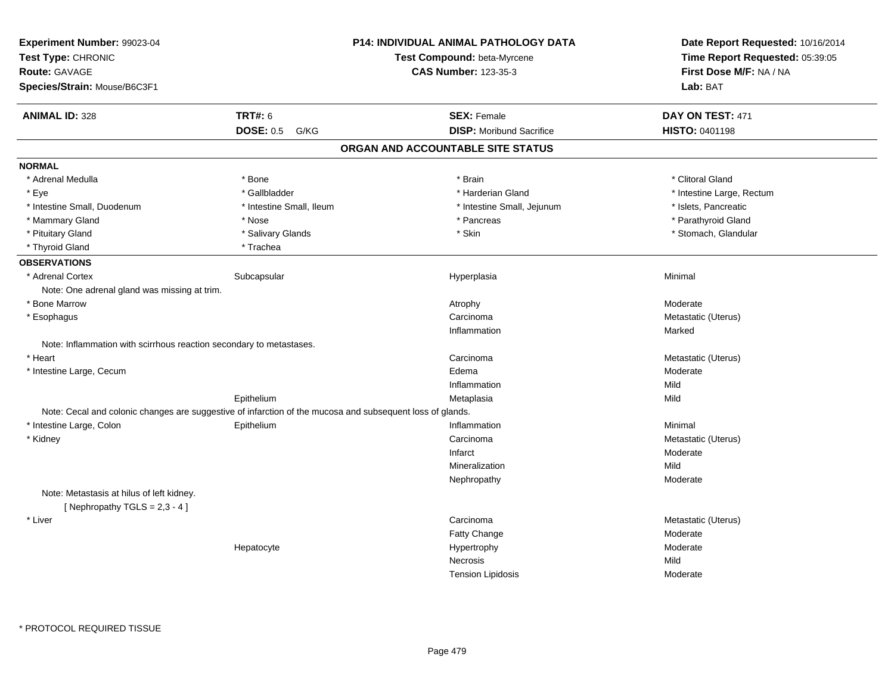| Experiment Number: 99023-04<br>Test Type: CHRONIC<br><b>Route: GAVAGE</b><br>Species/Strain: Mouse/B6C3F1 |                          | <b>P14: INDIVIDUAL ANIMAL PATHOLOGY DATA</b><br>Test Compound: beta-Myrcene<br><b>CAS Number: 123-35-3</b> | Date Report Requested: 10/16/2014<br>Time Report Requested: 05:39:05<br>First Dose M/F: NA / NA<br>Lab: BAT |
|-----------------------------------------------------------------------------------------------------------|--------------------------|------------------------------------------------------------------------------------------------------------|-------------------------------------------------------------------------------------------------------------|
| <b>ANIMAL ID: 328</b>                                                                                     | <b>TRT#: 6</b>           | <b>SEX: Female</b>                                                                                         | DAY ON TEST: 471                                                                                            |
|                                                                                                           | <b>DOSE: 0.5</b><br>G/KG | <b>DISP: Moribund Sacrifice</b>                                                                            | <b>HISTO: 0401198</b>                                                                                       |
|                                                                                                           |                          | ORGAN AND ACCOUNTABLE SITE STATUS                                                                          |                                                                                                             |
| <b>NORMAL</b>                                                                                             |                          |                                                                                                            |                                                                                                             |
| * Adrenal Medulla                                                                                         | * Bone                   | * Brain                                                                                                    | * Clitoral Gland                                                                                            |
| * Eye                                                                                                     | * Gallbladder            | * Harderian Gland                                                                                          | * Intestine Large, Rectum                                                                                   |
| * Intestine Small, Duodenum                                                                               | * Intestine Small, Ileum | * Intestine Small, Jejunum                                                                                 | * Islets, Pancreatic                                                                                        |
| * Mammary Gland                                                                                           | * Nose                   | * Pancreas                                                                                                 | * Parathyroid Gland                                                                                         |
| * Pituitary Gland                                                                                         | * Salivary Glands        | * Skin                                                                                                     | * Stomach, Glandular                                                                                        |
| * Thyroid Gland                                                                                           | * Trachea                |                                                                                                            |                                                                                                             |
| <b>OBSERVATIONS</b>                                                                                       |                          |                                                                                                            |                                                                                                             |
| * Adrenal Cortex                                                                                          | Subcapsular              | Hyperplasia                                                                                                | Minimal                                                                                                     |
| Note: One adrenal gland was missing at trim.                                                              |                          |                                                                                                            |                                                                                                             |
| * Bone Marrow                                                                                             |                          | Atrophy                                                                                                    | Moderate                                                                                                    |
| * Esophagus                                                                                               |                          | Carcinoma                                                                                                  | Metastatic (Uterus)                                                                                         |
|                                                                                                           |                          | Inflammation                                                                                               | Marked                                                                                                      |
| Note: Inflammation with scirrhous reaction secondary to metastases.                                       |                          |                                                                                                            |                                                                                                             |
| * Heart                                                                                                   |                          | Carcinoma                                                                                                  | Metastatic (Uterus)                                                                                         |
| * Intestine Large, Cecum                                                                                  |                          | Edema                                                                                                      | Moderate                                                                                                    |
|                                                                                                           |                          | Inflammation                                                                                               | Mild                                                                                                        |
|                                                                                                           | Epithelium               | Metaplasia                                                                                                 | Mild                                                                                                        |
| Note: Cecal and colonic changes are suggestive of infarction of the mucosa and subsequent loss of glands. |                          |                                                                                                            |                                                                                                             |
| * Intestine Large, Colon                                                                                  | Epithelium               | Inflammation                                                                                               | Minimal                                                                                                     |
| * Kidney                                                                                                  |                          | Carcinoma                                                                                                  | Metastatic (Uterus)                                                                                         |
|                                                                                                           |                          | Infarct                                                                                                    | Moderate                                                                                                    |
|                                                                                                           |                          | Mineralization                                                                                             | Mild                                                                                                        |
|                                                                                                           |                          | Nephropathy                                                                                                | Moderate                                                                                                    |
| Note: Metastasis at hilus of left kidney.<br>[Nephropathy TGLS = $2,3 - 4$ ]                              |                          |                                                                                                            |                                                                                                             |
| * Liver                                                                                                   |                          | Carcinoma                                                                                                  | Metastatic (Uterus)                                                                                         |
|                                                                                                           |                          | Fatty Change                                                                                               | Moderate                                                                                                    |
|                                                                                                           | Hepatocyte               | Hypertrophy                                                                                                | Moderate                                                                                                    |
|                                                                                                           |                          | Necrosis                                                                                                   | Mild                                                                                                        |
|                                                                                                           |                          | <b>Tension Lipidosis</b>                                                                                   | Moderate                                                                                                    |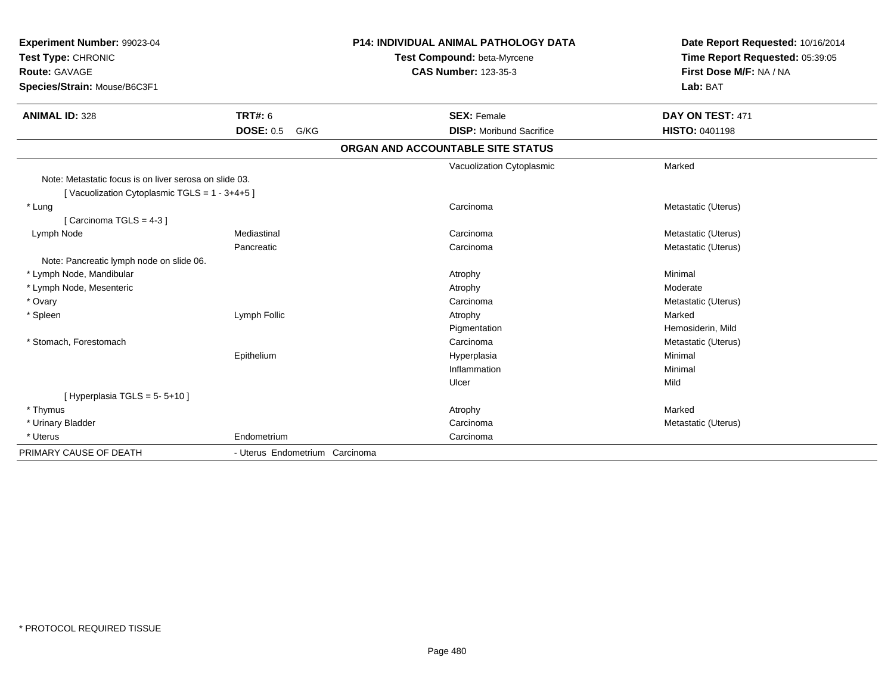| Experiment Number: 99023-04<br>Test Type: CHRONIC      |                                | <b>P14: INDIVIDUAL ANIMAL PATHOLOGY DATA</b> | Date Report Requested: 10/16/2014<br>Time Report Requested: 05:39:05 |  |
|--------------------------------------------------------|--------------------------------|----------------------------------------------|----------------------------------------------------------------------|--|
|                                                        |                                | Test Compound: beta-Myrcene                  |                                                                      |  |
| <b>Route: GAVAGE</b>                                   |                                | <b>CAS Number: 123-35-3</b>                  | First Dose M/F: NA / NA                                              |  |
| Species/Strain: Mouse/B6C3F1                           |                                |                                              | Lab: BAT                                                             |  |
| <b>ANIMAL ID: 328</b>                                  | <b>TRT#: 6</b>                 | <b>SEX: Female</b>                           | DAY ON TEST: 471                                                     |  |
|                                                        | <b>DOSE: 0.5</b><br>G/KG       | <b>DISP:</b> Moribund Sacrifice              | <b>HISTO: 0401198</b>                                                |  |
|                                                        |                                | ORGAN AND ACCOUNTABLE SITE STATUS            |                                                                      |  |
|                                                        |                                | Vacuolization Cytoplasmic                    | Marked                                                               |  |
| Note: Metastatic focus is on liver serosa on slide 03. |                                |                                              |                                                                      |  |
| [Vacuolization Cytoplasmic TGLS = $1 - 3 + 4 + 5$ ]    |                                |                                              |                                                                      |  |
| * Lung                                                 |                                | Carcinoma                                    | Metastatic (Uterus)                                                  |  |
| [Carcinoma TGLS = 4-3]                                 |                                |                                              |                                                                      |  |
| Lymph Node                                             | Mediastinal                    | Carcinoma                                    | Metastatic (Uterus)                                                  |  |
|                                                        | Pancreatic                     | Carcinoma                                    | Metastatic (Uterus)                                                  |  |
| Note: Pancreatic lymph node on slide 06.               |                                |                                              |                                                                      |  |
| * Lymph Node, Mandibular                               |                                | Atrophy                                      | Minimal                                                              |  |
| * Lymph Node, Mesenteric                               |                                | Atrophy                                      | Moderate                                                             |  |
| * Ovary                                                |                                | Carcinoma                                    | Metastatic (Uterus)                                                  |  |
| * Spleen                                               | Lymph Follic                   | Atrophy                                      | Marked                                                               |  |
|                                                        |                                | Pigmentation                                 | Hemosiderin, Mild                                                    |  |
| * Stomach, Forestomach                                 |                                | Carcinoma                                    | Metastatic (Uterus)                                                  |  |
|                                                        | Epithelium                     | Hyperplasia                                  | Minimal                                                              |  |
|                                                        |                                | Inflammation                                 | Minimal                                                              |  |
|                                                        |                                | Ulcer                                        | Mild                                                                 |  |
| [Hyperplasia TGLS = $5 - 5 + 10$ ]                     |                                |                                              |                                                                      |  |
| * Thymus                                               |                                | Atrophy                                      | Marked                                                               |  |
| * Urinary Bladder                                      |                                | Carcinoma                                    | Metastatic (Uterus)                                                  |  |
| * Uterus                                               | Endometrium                    | Carcinoma                                    |                                                                      |  |
| PRIMARY CAUSE OF DEATH                                 | - Uterus Endometrium Carcinoma |                                              |                                                                      |  |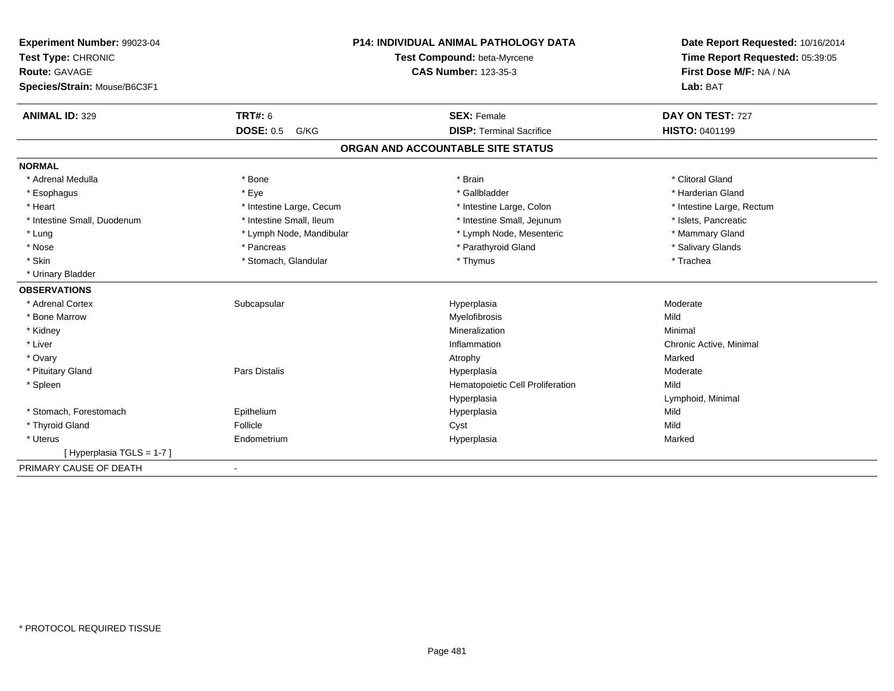| Experiment Number: 99023-04                | <b>P14: INDIVIDUAL ANIMAL PATHOLOGY DATA</b> |                                   | Date Report Requested: 10/16/2014 |  |
|--------------------------------------------|----------------------------------------------|-----------------------------------|-----------------------------------|--|
| Test Type: CHRONIC<br><b>Route: GAVAGE</b> |                                              | Test Compound: beta-Myrcene       | Time Report Requested: 05:39:05   |  |
|                                            |                                              | <b>CAS Number: 123-35-3</b>       | First Dose M/F: NA / NA           |  |
| Species/Strain: Mouse/B6C3F1               |                                              |                                   | Lab: BAT                          |  |
| <b>ANIMAL ID: 329</b>                      | TRT#: 6                                      | <b>SEX: Female</b>                | DAY ON TEST: 727                  |  |
|                                            | <b>DOSE: 0.5</b><br>G/KG                     | <b>DISP: Terminal Sacrifice</b>   | <b>HISTO: 0401199</b>             |  |
|                                            |                                              | ORGAN AND ACCOUNTABLE SITE STATUS |                                   |  |
| <b>NORMAL</b>                              |                                              |                                   |                                   |  |
| * Adrenal Medulla                          | * Bone                                       | * Brain                           | * Clitoral Gland                  |  |
| * Esophagus                                | * Eye                                        | * Gallbladder                     | * Harderian Gland                 |  |
| * Heart                                    | * Intestine Large, Cecum                     | * Intestine Large, Colon          | * Intestine Large, Rectum         |  |
| * Intestine Small, Duodenum                | * Intestine Small, Ileum                     | * Intestine Small, Jejunum        | * Islets, Pancreatic              |  |
| * Lung                                     | * Lymph Node, Mandibular                     | * Lymph Node, Mesenteric          | * Mammary Gland                   |  |
| * Nose                                     | * Pancreas                                   | * Parathyroid Gland               | * Salivary Glands                 |  |
| * Skin                                     | * Stomach, Glandular                         | * Thymus                          | * Trachea                         |  |
| * Urinary Bladder                          |                                              |                                   |                                   |  |
| <b>OBSERVATIONS</b>                        |                                              |                                   |                                   |  |
| * Adrenal Cortex                           | Subcapsular                                  | Hyperplasia                       | Moderate                          |  |
| * Bone Marrow                              |                                              | Myelofibrosis                     | Mild                              |  |
| * Kidney                                   |                                              | Mineralization                    | Minimal                           |  |
| * Liver                                    |                                              | Inflammation                      | Chronic Active, Minimal           |  |
| * Ovary                                    |                                              | Atrophy                           | Marked                            |  |
| * Pituitary Gland                          | <b>Pars Distalis</b>                         | Hyperplasia                       | Moderate                          |  |
| * Spleen                                   |                                              | Hematopoietic Cell Proliferation  | Mild                              |  |
|                                            |                                              | Hyperplasia                       | Lymphoid, Minimal                 |  |
| * Stomach, Forestomach                     | Epithelium                                   | Hyperplasia                       | Mild                              |  |
| * Thyroid Gland                            | Follicle                                     | Cyst                              | Mild                              |  |
| * Uterus                                   | Endometrium                                  | Hyperplasia                       | Marked                            |  |
| [Hyperplasia TGLS = 1-7]                   |                                              |                                   |                                   |  |
| PRIMARY CAUSE OF DEATH                     | $\blacksquare$                               |                                   |                                   |  |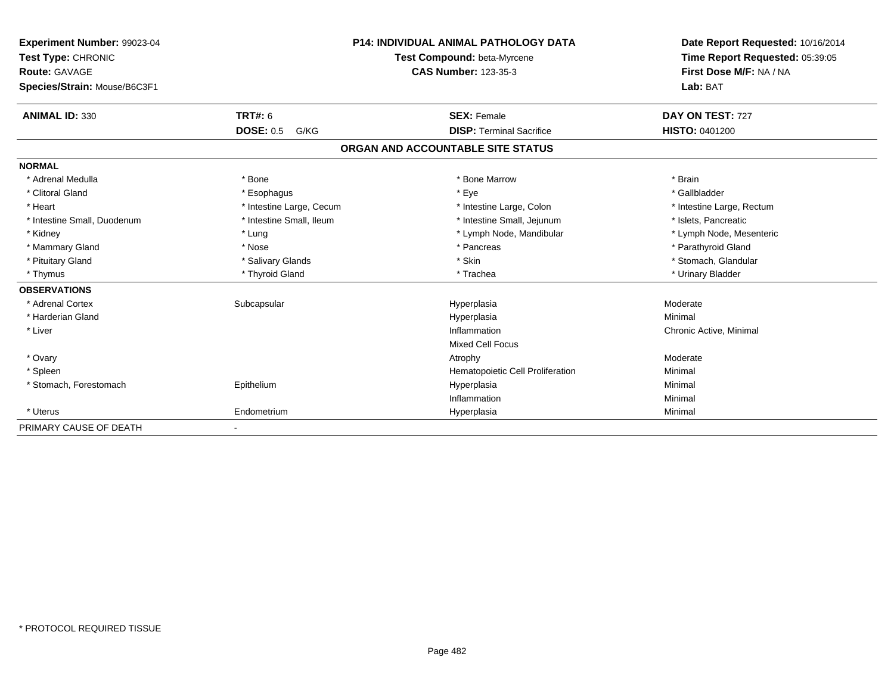| Experiment Number: 99023-04  |                          | <b>P14: INDIVIDUAL ANIMAL PATHOLOGY DATA</b> | Date Report Requested: 10/16/2014                          |  |
|------------------------------|--------------------------|----------------------------------------------|------------------------------------------------------------|--|
| Test Type: CHRONIC           |                          | Test Compound: beta-Myrcene                  | Time Report Requested: 05:39:05<br>First Dose M/F: NA / NA |  |
| <b>Route: GAVAGE</b>         |                          | <b>CAS Number: 123-35-3</b>                  |                                                            |  |
| Species/Strain: Mouse/B6C3F1 |                          |                                              | Lab: BAT                                                   |  |
|                              |                          |                                              |                                                            |  |
| <b>ANIMAL ID: 330</b>        | <b>TRT#: 6</b>           | <b>SEX: Female</b>                           | DAY ON TEST: 727                                           |  |
|                              | <b>DOSE: 0.5</b><br>G/KG | <b>DISP: Terminal Sacrifice</b>              | <b>HISTO: 0401200</b>                                      |  |
|                              |                          | ORGAN AND ACCOUNTABLE SITE STATUS            |                                                            |  |
| <b>NORMAL</b>                |                          |                                              |                                                            |  |
| * Adrenal Medulla            | * Bone                   | * Bone Marrow                                | * Brain                                                    |  |
| * Clitoral Gland             | * Esophagus              | * Eye                                        | * Gallbladder                                              |  |
| * Heart                      | * Intestine Large, Cecum | * Intestine Large, Colon                     | * Intestine Large, Rectum                                  |  |
| * Intestine Small, Duodenum  | * Intestine Small, Ileum | * Intestine Small, Jejunum                   | * Islets, Pancreatic                                       |  |
| * Kidney                     | * Lung                   | * Lymph Node, Mandibular                     | * Lymph Node, Mesenteric                                   |  |
| * Mammary Gland              | * Nose                   | * Pancreas                                   | * Parathyroid Gland                                        |  |
| * Pituitary Gland            | * Salivary Glands        | * Skin                                       | * Stomach, Glandular                                       |  |
| * Thymus                     | * Thyroid Gland          | * Trachea                                    | * Urinary Bladder                                          |  |
| <b>OBSERVATIONS</b>          |                          |                                              |                                                            |  |
| * Adrenal Cortex             | Subcapsular              | Hyperplasia                                  | Moderate                                                   |  |
| * Harderian Gland            |                          | Hyperplasia                                  | Minimal                                                    |  |
| * Liver                      |                          | Inflammation                                 | Chronic Active, Minimal                                    |  |
|                              |                          | Mixed Cell Focus                             |                                                            |  |
| * Ovary                      |                          | Atrophy                                      | Moderate                                                   |  |
| * Spleen                     |                          | Hematopoietic Cell Proliferation             | Minimal                                                    |  |
| * Stomach, Forestomach       | Epithelium               | Hyperplasia                                  | Minimal                                                    |  |
|                              |                          | Inflammation                                 | Minimal                                                    |  |
| * Uterus                     | Endometrium              | Hyperplasia                                  | Minimal                                                    |  |
| PRIMARY CAUSE OF DEATH       | $\overline{\phantom{a}}$ |                                              |                                                            |  |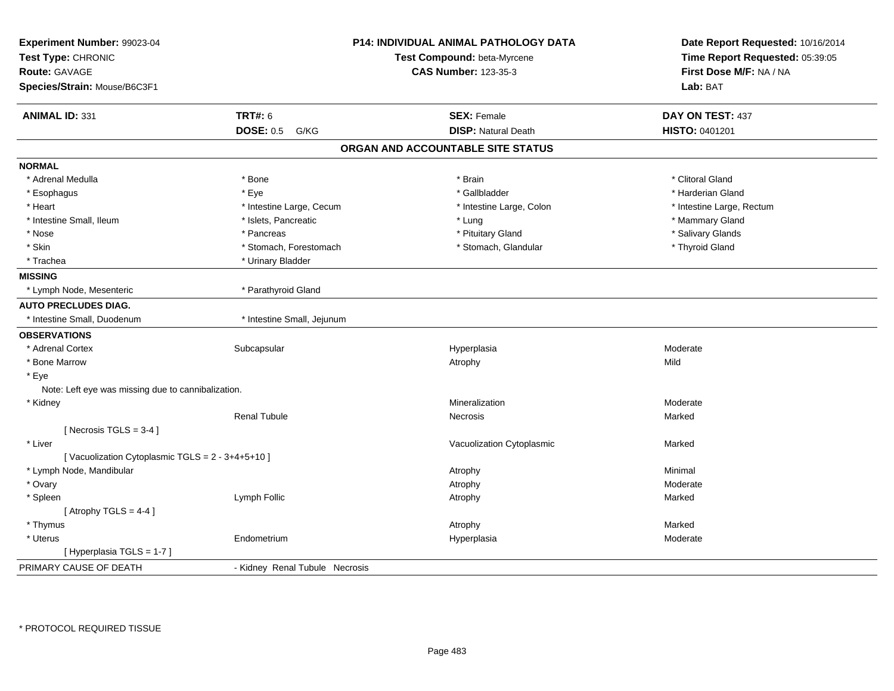| Experiment Number: 99023-04<br>Test Type: CHRONIC<br><b>Route: GAVAGE</b><br>Species/Strain: Mouse/B6C3F1 |                                | <b>P14: INDIVIDUAL ANIMAL PATHOLOGY DATA</b><br>Test Compound: beta-Myrcene<br><b>CAS Number: 123-35-3</b> | Date Report Requested: 10/16/2014<br>Time Report Requested: 05:39:05<br>First Dose M/F: NA / NA<br>Lab: BAT |  |
|-----------------------------------------------------------------------------------------------------------|--------------------------------|------------------------------------------------------------------------------------------------------------|-------------------------------------------------------------------------------------------------------------|--|
| <b>ANIMAL ID: 331</b>                                                                                     | <b>TRT#: 6</b>                 | <b>SEX: Female</b>                                                                                         | DAY ON TEST: 437                                                                                            |  |
|                                                                                                           | <b>DOSE: 0.5</b><br>G/KG       | <b>DISP: Natural Death</b>                                                                                 | HISTO: 0401201                                                                                              |  |
|                                                                                                           |                                | ORGAN AND ACCOUNTABLE SITE STATUS                                                                          |                                                                                                             |  |
| <b>NORMAL</b>                                                                                             |                                |                                                                                                            |                                                                                                             |  |
| * Adrenal Medulla                                                                                         | * Bone                         | * Brain                                                                                                    | * Clitoral Gland                                                                                            |  |
| * Esophagus                                                                                               | * Eye                          | * Gallbladder                                                                                              | * Harderian Gland                                                                                           |  |
| * Heart                                                                                                   | * Intestine Large, Cecum       | * Intestine Large, Colon                                                                                   | * Intestine Large, Rectum                                                                                   |  |
| * Intestine Small, Ileum                                                                                  | * Islets, Pancreatic           | * Lung                                                                                                     | * Mammary Gland                                                                                             |  |
| * Nose                                                                                                    | * Pancreas                     | * Pituitary Gland                                                                                          | * Salivary Glands                                                                                           |  |
| * Skin                                                                                                    | * Stomach, Forestomach         | * Stomach, Glandular                                                                                       | * Thyroid Gland                                                                                             |  |
| * Trachea                                                                                                 | * Urinary Bladder              |                                                                                                            |                                                                                                             |  |
| <b>MISSING</b>                                                                                            |                                |                                                                                                            |                                                                                                             |  |
| * Lymph Node, Mesenteric                                                                                  | * Parathyroid Gland            |                                                                                                            |                                                                                                             |  |
| <b>AUTO PRECLUDES DIAG.</b>                                                                               |                                |                                                                                                            |                                                                                                             |  |
| * Intestine Small, Duodenum                                                                               | * Intestine Small, Jejunum     |                                                                                                            |                                                                                                             |  |
| <b>OBSERVATIONS</b>                                                                                       |                                |                                                                                                            |                                                                                                             |  |
| * Adrenal Cortex                                                                                          | Subcapsular                    | Hyperplasia                                                                                                | Moderate                                                                                                    |  |
| * Bone Marrow                                                                                             |                                | Atrophy                                                                                                    | Mild                                                                                                        |  |
| * Eye                                                                                                     |                                |                                                                                                            |                                                                                                             |  |
| Note: Left eye was missing due to cannibalization.                                                        |                                |                                                                                                            |                                                                                                             |  |
| * Kidney                                                                                                  |                                | Mineralization                                                                                             | Moderate                                                                                                    |  |
|                                                                                                           | <b>Renal Tubule</b>            | Necrosis                                                                                                   | Marked                                                                                                      |  |
| [ Necrosis $TGLS = 3-4$ ]                                                                                 |                                |                                                                                                            |                                                                                                             |  |
| * Liver                                                                                                   |                                | Vacuolization Cytoplasmic                                                                                  | Marked                                                                                                      |  |
| [Vacuolization Cytoplasmic TGLS = 2 - 3+4+5+10]                                                           |                                |                                                                                                            |                                                                                                             |  |
| * Lymph Node, Mandibular                                                                                  |                                | Atrophy                                                                                                    | Minimal                                                                                                     |  |
| * Ovary                                                                                                   |                                | Atrophy                                                                                                    | Moderate                                                                                                    |  |
| * Spleen                                                                                                  | Lymph Follic                   | Atrophy                                                                                                    | Marked                                                                                                      |  |
| [Atrophy TGLS = $4-4$ ]                                                                                   |                                |                                                                                                            |                                                                                                             |  |
| * Thymus                                                                                                  |                                | Atrophy                                                                                                    | Marked                                                                                                      |  |
| * Uterus                                                                                                  | Endometrium                    | Hyperplasia                                                                                                | Moderate                                                                                                    |  |
| [Hyperplasia TGLS = 1-7]                                                                                  |                                |                                                                                                            |                                                                                                             |  |
| PRIMARY CAUSE OF DEATH                                                                                    | - Kidney Renal Tubule Necrosis |                                                                                                            |                                                                                                             |  |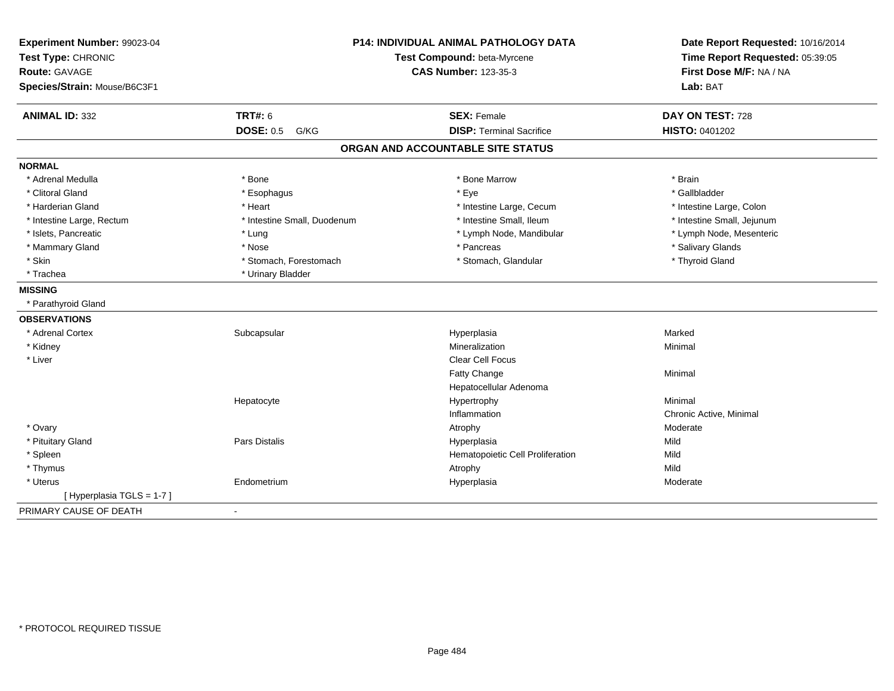| Experiment Number: 99023-04<br>Test Type: CHRONIC |                             | <b>P14: INDIVIDUAL ANIMAL PATHOLOGY DATA</b><br>Test Compound: beta-Myrcene | Date Report Requested: 10/16/2014<br>Time Report Requested: 05:39:05 |  |
|---------------------------------------------------|-----------------------------|-----------------------------------------------------------------------------|----------------------------------------------------------------------|--|
| Route: GAVAGE                                     |                             | <b>CAS Number: 123-35-3</b>                                                 | First Dose M/F: NA / NA                                              |  |
| Species/Strain: Mouse/B6C3F1                      |                             |                                                                             | Lab: BAT                                                             |  |
| <b>ANIMAL ID: 332</b>                             | <b>TRT#: 6</b>              | <b>SEX: Female</b>                                                          | DAY ON TEST: 728                                                     |  |
|                                                   | <b>DOSE: 0.5 G/KG</b>       | <b>DISP: Terminal Sacrifice</b>                                             | HISTO: 0401202                                                       |  |
|                                                   |                             | ORGAN AND ACCOUNTABLE SITE STATUS                                           |                                                                      |  |
| <b>NORMAL</b>                                     |                             |                                                                             |                                                                      |  |
| * Adrenal Medulla                                 | * Bone                      | * Bone Marrow                                                               | * Brain                                                              |  |
| * Clitoral Gland                                  | * Esophagus                 | * Eye                                                                       | * Gallbladder                                                        |  |
| * Harderian Gland                                 | * Heart                     | * Intestine Large, Cecum                                                    | * Intestine Large, Colon                                             |  |
| * Intestine Large, Rectum                         | * Intestine Small, Duodenum | * Intestine Small, Ileum                                                    | * Intestine Small, Jejunum                                           |  |
| * Islets, Pancreatic                              | * Lung                      | * Lymph Node, Mandibular                                                    | * Lymph Node, Mesenteric                                             |  |
| * Mammary Gland                                   | * Nose                      | * Pancreas                                                                  | * Salivary Glands                                                    |  |
| * Skin                                            | * Stomach, Forestomach      | * Stomach, Glandular                                                        | * Thyroid Gland                                                      |  |
| * Trachea                                         | * Urinary Bladder           |                                                                             |                                                                      |  |
| <b>MISSING</b>                                    |                             |                                                                             |                                                                      |  |
| * Parathyroid Gland                               |                             |                                                                             |                                                                      |  |
| <b>OBSERVATIONS</b>                               |                             |                                                                             |                                                                      |  |
| * Adrenal Cortex                                  | Subcapsular                 | Hyperplasia                                                                 | Marked                                                               |  |
| * Kidney                                          |                             | Mineralization                                                              | Minimal                                                              |  |
| * Liver                                           |                             | <b>Clear Cell Focus</b>                                                     |                                                                      |  |
|                                                   |                             | Fatty Change                                                                | Minimal                                                              |  |
|                                                   |                             | Hepatocellular Adenoma                                                      |                                                                      |  |
|                                                   | Hepatocyte                  | Hypertrophy                                                                 | Minimal                                                              |  |
|                                                   |                             | Inflammation                                                                | Chronic Active, Minimal                                              |  |
| * Ovary                                           |                             | Atrophy                                                                     | Moderate                                                             |  |
| * Pituitary Gland                                 | Pars Distalis               | Hyperplasia                                                                 | Mild                                                                 |  |
| * Spleen                                          |                             | Hematopoietic Cell Proliferation                                            | Mild                                                                 |  |
| * Thymus                                          |                             | Atrophy                                                                     | Mild                                                                 |  |
| * Uterus                                          | Endometrium                 | Hyperplasia                                                                 | Moderate                                                             |  |
| [Hyperplasia TGLS = 1-7]                          |                             |                                                                             |                                                                      |  |
| PRIMARY CAUSE OF DEATH                            | $\overline{\phantom{a}}$    |                                                                             |                                                                      |  |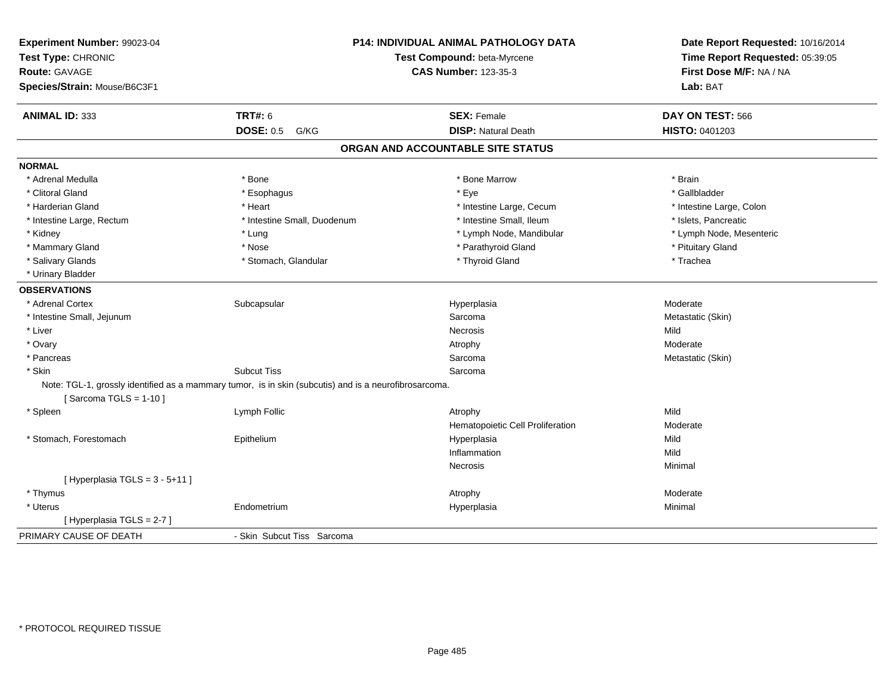| Experiment Number: 99023-04<br>Test Type: CHRONIC<br><b>Route: GAVAGE</b><br>Species/Strain: Mouse/B6C3F1 | P14: INDIVIDUAL ANIMAL PATHOLOGY DATA<br>Test Compound: beta-Myrcene<br><b>CAS Number: 123-35-3</b>   |                                   | Date Report Requested: 10/16/2014<br>Time Report Requested: 05:39:05<br>First Dose M/F: NA / NA<br>Lab: BAT |  |
|-----------------------------------------------------------------------------------------------------------|-------------------------------------------------------------------------------------------------------|-----------------------------------|-------------------------------------------------------------------------------------------------------------|--|
| <b>ANIMAL ID: 333</b>                                                                                     | <b>TRT#: 6</b>                                                                                        | <b>SEX: Female</b>                | DAY ON TEST: 566                                                                                            |  |
|                                                                                                           | <b>DOSE: 0.5</b><br>G/KG                                                                              | <b>DISP: Natural Death</b>        | HISTO: 0401203                                                                                              |  |
|                                                                                                           |                                                                                                       | ORGAN AND ACCOUNTABLE SITE STATUS |                                                                                                             |  |
| <b>NORMAL</b>                                                                                             |                                                                                                       |                                   |                                                                                                             |  |
| * Adrenal Medulla                                                                                         | * Bone                                                                                                | * Bone Marrow                     | * Brain                                                                                                     |  |
| * Clitoral Gland                                                                                          | * Esophagus                                                                                           | * Eye                             | * Gallbladder                                                                                               |  |
| * Harderian Gland                                                                                         | * Heart                                                                                               | * Intestine Large, Cecum          | * Intestine Large, Colon                                                                                    |  |
| * Intestine Large, Rectum                                                                                 | * Intestine Small, Duodenum                                                                           | * Intestine Small, Ileum          | * Islets, Pancreatic                                                                                        |  |
| * Kidney                                                                                                  | * Lung                                                                                                | * Lymph Node, Mandibular          | * Lymph Node, Mesenteric                                                                                    |  |
| * Mammary Gland                                                                                           | * Nose                                                                                                | * Parathyroid Gland               | * Pituitary Gland                                                                                           |  |
| * Salivary Glands                                                                                         | * Stomach, Glandular                                                                                  | * Thyroid Gland                   | * Trachea                                                                                                   |  |
| * Urinary Bladder                                                                                         |                                                                                                       |                                   |                                                                                                             |  |
| <b>OBSERVATIONS</b>                                                                                       |                                                                                                       |                                   |                                                                                                             |  |
| * Adrenal Cortex                                                                                          | Subcapsular                                                                                           | Hyperplasia                       | Moderate                                                                                                    |  |
| * Intestine Small, Jejunum                                                                                |                                                                                                       | Sarcoma                           | Metastatic (Skin)                                                                                           |  |
| * Liver                                                                                                   |                                                                                                       | Necrosis                          | Mild                                                                                                        |  |
| * Ovary                                                                                                   |                                                                                                       | Atrophy                           | Moderate                                                                                                    |  |
| * Pancreas                                                                                                |                                                                                                       | Sarcoma                           | Metastatic (Skin)                                                                                           |  |
| * Skin                                                                                                    | <b>Subcut Tiss</b>                                                                                    | Sarcoma                           |                                                                                                             |  |
| [Sarcoma TGLS = $1-10$ ]                                                                                  | Note: TGL-1, grossly identified as a mammary tumor, is in skin (subcutis) and is a neurofibrosarcoma. |                                   |                                                                                                             |  |
| * Spleen                                                                                                  | Lymph Follic                                                                                          | Atrophy                           | Mild                                                                                                        |  |
|                                                                                                           |                                                                                                       | Hematopoietic Cell Proliferation  | Moderate                                                                                                    |  |
| * Stomach, Forestomach                                                                                    | Epithelium                                                                                            | Hyperplasia                       | Mild                                                                                                        |  |
|                                                                                                           |                                                                                                       | Inflammation                      | Mild                                                                                                        |  |
|                                                                                                           |                                                                                                       | Necrosis                          | Minimal                                                                                                     |  |
| [Hyperplasia TGLS = $3 - 5 + 11$ ]                                                                        |                                                                                                       |                                   |                                                                                                             |  |
| * Thymus                                                                                                  |                                                                                                       | Atrophy                           | Moderate                                                                                                    |  |
| * Uterus                                                                                                  | Endometrium                                                                                           | Hyperplasia                       | Minimal                                                                                                     |  |
| [Hyperplasia TGLS = 2-7]                                                                                  |                                                                                                       |                                   |                                                                                                             |  |
| PRIMARY CAUSE OF DEATH                                                                                    | - Skin Subcut Tiss Sarcoma                                                                            |                                   |                                                                                                             |  |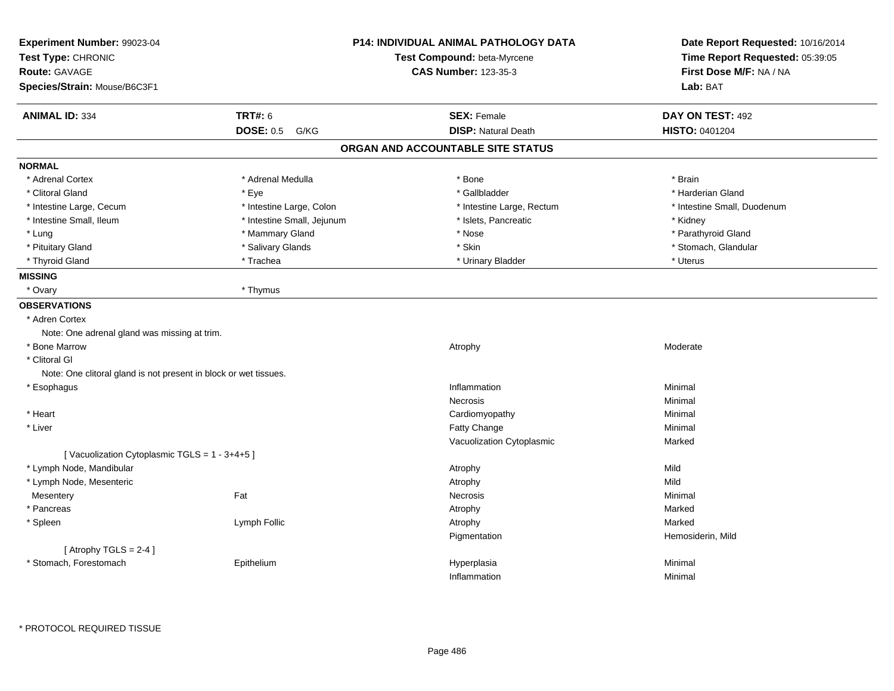| Experiment Number: 99023-04<br>Test Type: CHRONIC<br><b>Route: GAVAGE</b> |                            | <b>P14: INDIVIDUAL ANIMAL PATHOLOGY DATA</b><br>Test Compound: beta-Myrcene<br><b>CAS Number: 123-35-3</b> | Date Report Requested: 10/16/2014<br>Time Report Requested: 05:39:05<br>First Dose M/F: NA / NA |  |
|---------------------------------------------------------------------------|----------------------------|------------------------------------------------------------------------------------------------------------|-------------------------------------------------------------------------------------------------|--|
| Species/Strain: Mouse/B6C3F1                                              |                            |                                                                                                            | Lab: BAT                                                                                        |  |
| <b>ANIMAL ID: 334</b>                                                     | <b>TRT#: 6</b>             | <b>SEX: Female</b>                                                                                         | DAY ON TEST: 492                                                                                |  |
|                                                                           | <b>DOSE: 0.5</b><br>G/KG   | <b>DISP: Natural Death</b>                                                                                 | HISTO: 0401204                                                                                  |  |
|                                                                           |                            | ORGAN AND ACCOUNTABLE SITE STATUS                                                                          |                                                                                                 |  |
| <b>NORMAL</b>                                                             |                            |                                                                                                            |                                                                                                 |  |
| * Adrenal Cortex                                                          | * Adrenal Medulla          | * Bone                                                                                                     | * Brain                                                                                         |  |
| * Clitoral Gland                                                          | * Eye                      | * Gallbladder                                                                                              | * Harderian Gland                                                                               |  |
| * Intestine Large, Cecum                                                  | * Intestine Large, Colon   | * Intestine Large, Rectum                                                                                  | * Intestine Small, Duodenum                                                                     |  |
| * Intestine Small, Ileum                                                  | * Intestine Small, Jejunum | * Islets, Pancreatic                                                                                       | * Kidney                                                                                        |  |
| * Lung                                                                    | * Mammary Gland            | * Nose                                                                                                     | * Parathyroid Gland                                                                             |  |
| * Pituitary Gland                                                         | * Salivary Glands          | * Skin                                                                                                     | * Stomach, Glandular                                                                            |  |
| * Thyroid Gland                                                           | * Trachea                  | * Urinary Bladder                                                                                          | * Uterus                                                                                        |  |
| <b>MISSING</b>                                                            |                            |                                                                                                            |                                                                                                 |  |
| * Ovary                                                                   | * Thymus                   |                                                                                                            |                                                                                                 |  |
| <b>OBSERVATIONS</b>                                                       |                            |                                                                                                            |                                                                                                 |  |
| * Adren Cortex                                                            |                            |                                                                                                            |                                                                                                 |  |
| Note: One adrenal gland was missing at trim.                              |                            |                                                                                                            |                                                                                                 |  |
| * Bone Marrow                                                             |                            | Atrophy                                                                                                    | Moderate                                                                                        |  |
| * Clitoral GI                                                             |                            |                                                                                                            |                                                                                                 |  |
| Note: One clitoral gland is not present in block or wet tissues.          |                            |                                                                                                            |                                                                                                 |  |
| * Esophagus                                                               |                            | Inflammation                                                                                               | Minimal                                                                                         |  |
|                                                                           |                            | Necrosis                                                                                                   | Minimal                                                                                         |  |
| * Heart                                                                   |                            | Cardiomyopathy                                                                                             | Minimal                                                                                         |  |
| * Liver                                                                   |                            | <b>Fatty Change</b>                                                                                        | Minimal                                                                                         |  |
|                                                                           |                            | Vacuolization Cytoplasmic                                                                                  | Marked                                                                                          |  |
| [Vacuolization Cytoplasmic TGLS = 1 - 3+4+5]                              |                            |                                                                                                            |                                                                                                 |  |
| * Lymph Node, Mandibular                                                  |                            | Atrophy                                                                                                    | Mild                                                                                            |  |
| * Lymph Node, Mesenteric                                                  |                            | Atrophy                                                                                                    | Mild                                                                                            |  |
| Mesentery                                                                 | Fat                        | Necrosis                                                                                                   | Minimal                                                                                         |  |
| * Pancreas                                                                |                            | Atrophy                                                                                                    | Marked                                                                                          |  |
| * Spleen                                                                  | Lymph Follic               | Atrophy                                                                                                    | Marked                                                                                          |  |
|                                                                           |                            | Pigmentation                                                                                               | Hemosiderin, Mild                                                                               |  |
| [Atrophy TGLS = $2-4$ ]                                                   |                            |                                                                                                            |                                                                                                 |  |
| * Stomach, Forestomach                                                    | Epithelium                 | Hyperplasia                                                                                                | Minimal                                                                                         |  |
|                                                                           |                            | Inflammation                                                                                               | Minimal                                                                                         |  |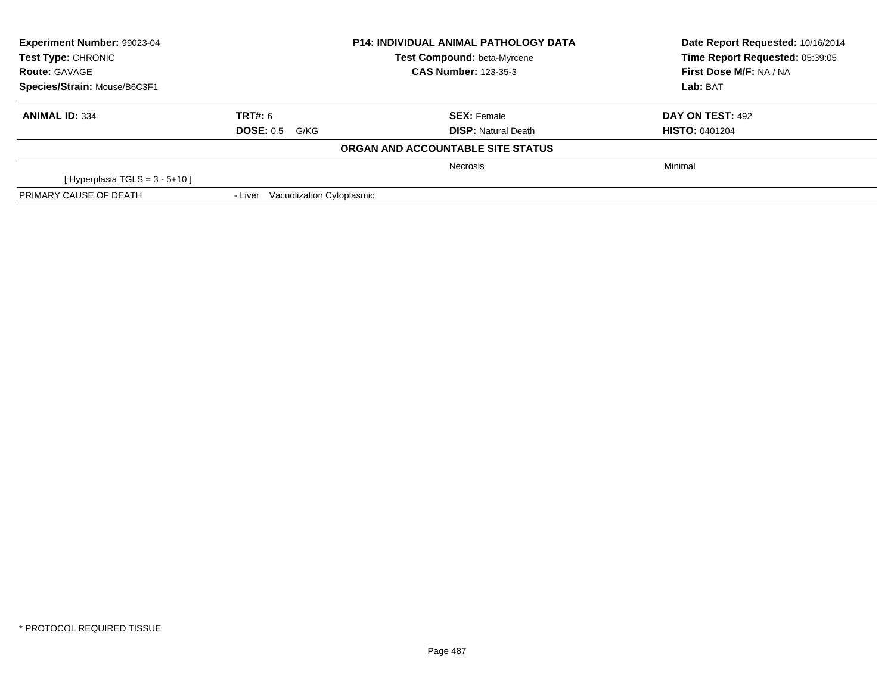| Experiment Number: 99023-04<br>Test Type: CHRONIC |                                   | <b>P14: INDIVIDUAL ANIMAL PATHOLOGY DATA</b><br><b>Test Compound: beta-Myrcene</b> | Date Report Requested: 10/16/2014<br>Time Report Requested: 05:39:05 |  |
|---------------------------------------------------|-----------------------------------|------------------------------------------------------------------------------------|----------------------------------------------------------------------|--|
| <b>Route: GAVAGE</b>                              |                                   | <b>CAS Number: 123-35-3</b>                                                        | First Dose M/F: NA / NA                                              |  |
| Species/Strain: Mouse/B6C3F1                      |                                   |                                                                                    | Lab: BAT                                                             |  |
| <b>ANIMAL ID: 334</b>                             | TRT#: 6                           | <b>SEX: Female</b>                                                                 | DAY ON TEST: 492                                                     |  |
|                                                   | <b>DOSE: 0.5 G/KG</b>             | <b>DISP:</b> Natural Death                                                         | <b>HISTO: 0401204</b>                                                |  |
|                                                   |                                   | ORGAN AND ACCOUNTABLE SITE STATUS                                                  |                                                                      |  |
|                                                   |                                   | <b>Necrosis</b>                                                                    | Minimal                                                              |  |
| [Hyperplasia TGLS = $3 - 5 + 10$ ]                |                                   |                                                                                    |                                                                      |  |
| PRIMARY CAUSE OF DEATH                            | - Liver Vacuolization Cytoplasmic |                                                                                    |                                                                      |  |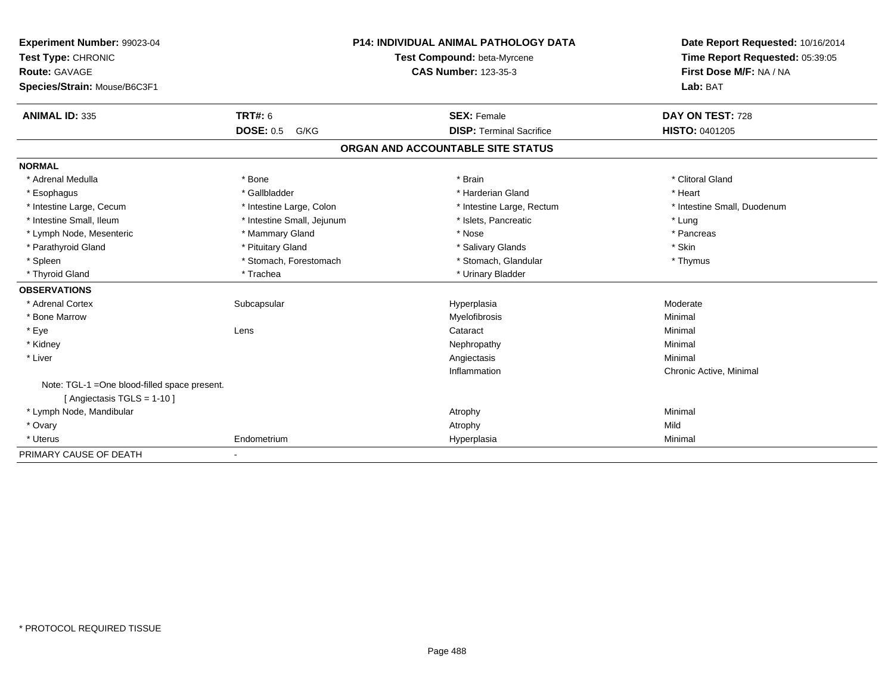| Experiment Number: 99023-04                   | <b>P14: INDIVIDUAL ANIMAL PATHOLOGY DATA</b> |  | Date Report Requested: 10/16/2014 |                                 |
|-----------------------------------------------|----------------------------------------------|--|-----------------------------------|---------------------------------|
| Test Type: CHRONIC                            |                                              |  | Test Compound: beta-Myrcene       | Time Report Requested: 05:39:05 |
| Route: GAVAGE                                 |                                              |  | <b>CAS Number: 123-35-3</b>       | First Dose M/F: NA / NA         |
| Species/Strain: Mouse/B6C3F1                  |                                              |  |                                   | Lab: BAT                        |
| <b>ANIMAL ID: 335</b>                         | <b>TRT#: 6</b>                               |  | <b>SEX: Female</b>                | DAY ON TEST: 728                |
|                                               | <b>DOSE: 0.5</b><br>G/KG                     |  | <b>DISP: Terminal Sacrifice</b>   | <b>HISTO: 0401205</b>           |
|                                               |                                              |  | ORGAN AND ACCOUNTABLE SITE STATUS |                                 |
| <b>NORMAL</b>                                 |                                              |  |                                   |                                 |
| * Adrenal Medulla                             | * Bone                                       |  | * Brain                           | * Clitoral Gland                |
| * Esophagus                                   | * Gallbladder                                |  | * Harderian Gland                 | * Heart                         |
| * Intestine Large, Cecum                      | * Intestine Large, Colon                     |  | * Intestine Large, Rectum         | * Intestine Small, Duodenum     |
| * Intestine Small, Ileum                      | * Intestine Small, Jejunum                   |  | * Islets, Pancreatic              | * Lung                          |
| * Lymph Node, Mesenteric                      | * Mammary Gland                              |  | * Nose                            | * Pancreas                      |
| * Parathyroid Gland                           | * Pituitary Gland                            |  | * Salivary Glands                 | * Skin                          |
| * Spleen                                      | * Stomach, Forestomach                       |  | * Stomach, Glandular              | * Thymus                        |
| * Thyroid Gland                               | * Trachea                                    |  | * Urinary Bladder                 |                                 |
| <b>OBSERVATIONS</b>                           |                                              |  |                                   |                                 |
| * Adrenal Cortex                              | Subcapsular                                  |  | Hyperplasia                       | Moderate                        |
| * Bone Marrow                                 |                                              |  | Myelofibrosis                     | Minimal                         |
| * Eye                                         | Lens                                         |  | Cataract                          | Minimal                         |
| * Kidney                                      |                                              |  | Nephropathy                       | Minimal                         |
| * Liver                                       |                                              |  | Angiectasis                       | Minimal                         |
|                                               |                                              |  | Inflammation                      | Chronic Active, Minimal         |
| Note: TGL-1 = One blood-filled space present. |                                              |  |                                   |                                 |
| [ Angiectasis TGLS = $1-10$ ]                 |                                              |  |                                   |                                 |
| * Lymph Node, Mandibular                      |                                              |  | Atrophy                           | Minimal                         |
| * Ovary                                       |                                              |  | Atrophy                           | Mild                            |
| * Uterus                                      | Endometrium                                  |  | Hyperplasia                       | Minimal                         |
| PRIMARY CAUSE OF DEATH                        |                                              |  |                                   |                                 |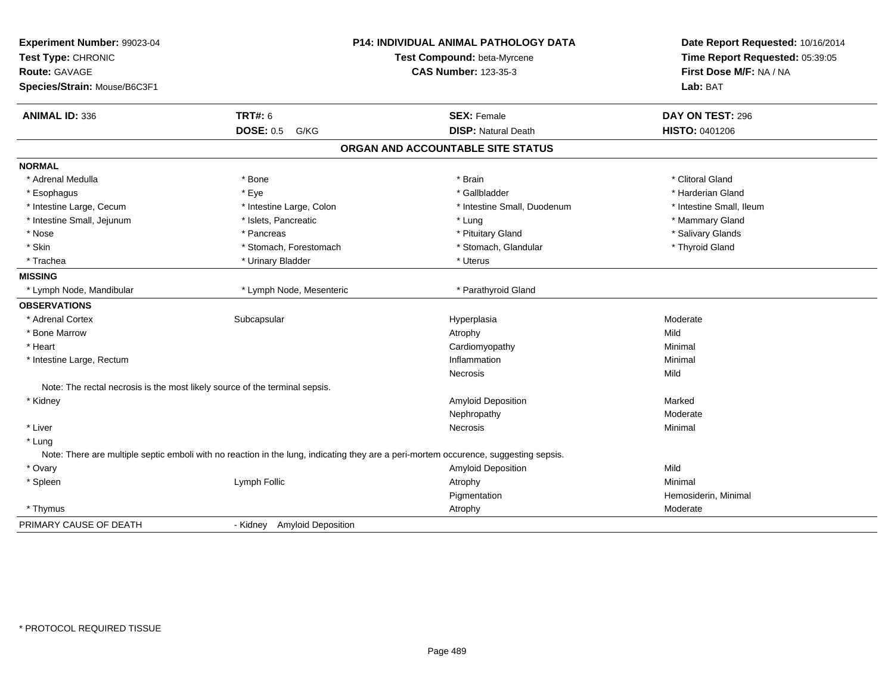| Experiment Number: 99023-04<br>Test Type: CHRONIC<br><b>Route: GAVAGE</b><br>Species/Strain: Mouse/B6C3F1 |                                                                                                                                      | P14: INDIVIDUAL ANIMAL PATHOLOGY DATA<br>Test Compound: beta-Myrcene<br><b>CAS Number: 123-35-3</b> | Date Report Requested: 10/16/2014<br>Time Report Requested: 05:39:05<br>First Dose M/F: NA / NA<br>Lab: BAT |  |
|-----------------------------------------------------------------------------------------------------------|--------------------------------------------------------------------------------------------------------------------------------------|-----------------------------------------------------------------------------------------------------|-------------------------------------------------------------------------------------------------------------|--|
| ANIMAL ID: 336                                                                                            | <b>TRT#: 6</b>                                                                                                                       | <b>SEX: Female</b>                                                                                  | DAY ON TEST: 296                                                                                            |  |
|                                                                                                           | <b>DOSE: 0.5</b><br>G/KG                                                                                                             | <b>DISP: Natural Death</b>                                                                          | HISTO: 0401206                                                                                              |  |
|                                                                                                           |                                                                                                                                      | ORGAN AND ACCOUNTABLE SITE STATUS                                                                   |                                                                                                             |  |
| <b>NORMAL</b>                                                                                             |                                                                                                                                      |                                                                                                     |                                                                                                             |  |
| * Adrenal Medulla                                                                                         | * Bone                                                                                                                               | * Brain                                                                                             | * Clitoral Gland                                                                                            |  |
| * Esophagus                                                                                               | * Eye                                                                                                                                | * Gallbladder                                                                                       | * Harderian Gland                                                                                           |  |
| * Intestine Large, Cecum                                                                                  | * Intestine Large, Colon                                                                                                             | * Intestine Small, Duodenum                                                                         | * Intestine Small, Ileum                                                                                    |  |
| * Intestine Small, Jejunum                                                                                | * Islets, Pancreatic                                                                                                                 | * Lung                                                                                              | * Mammary Gland                                                                                             |  |
| * Nose                                                                                                    | * Pancreas                                                                                                                           | * Pituitary Gland                                                                                   | * Salivary Glands                                                                                           |  |
| * Skin                                                                                                    | * Stomach, Forestomach                                                                                                               | * Stomach, Glandular                                                                                | * Thyroid Gland                                                                                             |  |
| * Trachea                                                                                                 | * Urinary Bladder                                                                                                                    | * Uterus                                                                                            |                                                                                                             |  |
| <b>MISSING</b>                                                                                            |                                                                                                                                      |                                                                                                     |                                                                                                             |  |
| * Lymph Node, Mandibular                                                                                  | * Lymph Node, Mesenteric                                                                                                             | * Parathyroid Gland                                                                                 |                                                                                                             |  |
| <b>OBSERVATIONS</b>                                                                                       |                                                                                                                                      |                                                                                                     |                                                                                                             |  |
| * Adrenal Cortex                                                                                          | Subcapsular                                                                                                                          | Hyperplasia                                                                                         | Moderate                                                                                                    |  |
| * Bone Marrow                                                                                             |                                                                                                                                      | Atrophy                                                                                             | Mild                                                                                                        |  |
| * Heart                                                                                                   |                                                                                                                                      | Cardiomyopathy                                                                                      | Minimal                                                                                                     |  |
| * Intestine Large, Rectum                                                                                 |                                                                                                                                      | Inflammation                                                                                        | Minimal                                                                                                     |  |
|                                                                                                           |                                                                                                                                      | <b>Necrosis</b>                                                                                     | Mild                                                                                                        |  |
| Note: The rectal necrosis is the most likely source of the terminal sepsis.                               |                                                                                                                                      |                                                                                                     |                                                                                                             |  |
| * Kidney                                                                                                  |                                                                                                                                      | Amyloid Deposition                                                                                  | Marked                                                                                                      |  |
|                                                                                                           |                                                                                                                                      | Nephropathy                                                                                         | Moderate                                                                                                    |  |
| * Liver                                                                                                   |                                                                                                                                      | Necrosis                                                                                            | Minimal                                                                                                     |  |
| * Lung                                                                                                    |                                                                                                                                      |                                                                                                     |                                                                                                             |  |
|                                                                                                           | Note: There are multiple septic emboli with no reaction in the lung, indicating they are a peri-mortem occurence, suggesting sepsis. |                                                                                                     |                                                                                                             |  |
| * Ovary                                                                                                   |                                                                                                                                      | <b>Amyloid Deposition</b>                                                                           | Mild                                                                                                        |  |
| * Spleen                                                                                                  | Lymph Follic                                                                                                                         | Atrophy                                                                                             | Minimal                                                                                                     |  |
|                                                                                                           |                                                                                                                                      | Pigmentation                                                                                        | Hemosiderin, Minimal                                                                                        |  |
| * Thymus                                                                                                  |                                                                                                                                      | Atrophy                                                                                             | Moderate                                                                                                    |  |
| PRIMARY CAUSE OF DEATH                                                                                    | <b>Amyloid Deposition</b><br>- Kidney                                                                                                |                                                                                                     |                                                                                                             |  |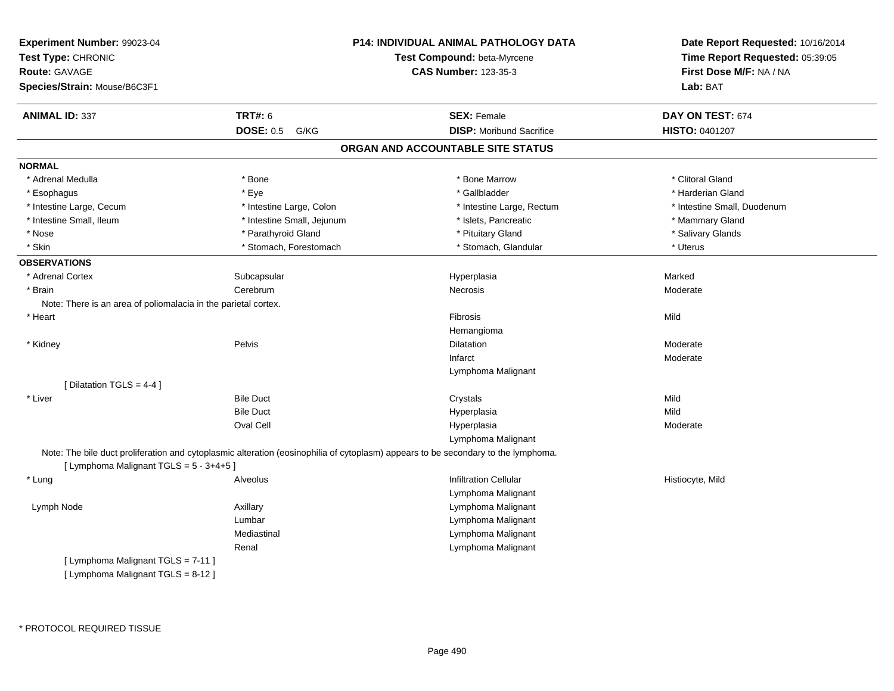| <b>Experiment Number: 99023-04</b><br>Test Type: CHRONIC<br><b>Route: GAVAGE</b><br>Species/Strain: Mouse/B6C3F1 |                            | P14: INDIVIDUAL ANIMAL PATHOLOGY DATA<br>Test Compound: beta-Myrcene<br><b>CAS Number: 123-35-3</b>                               | Date Report Requested: 10/16/2014<br>Time Report Requested: 05:39:05<br>First Dose M/F: NA / NA<br>Lab: BAT |  |
|------------------------------------------------------------------------------------------------------------------|----------------------------|-----------------------------------------------------------------------------------------------------------------------------------|-------------------------------------------------------------------------------------------------------------|--|
| <b>ANIMAL ID: 337</b>                                                                                            | <b>TRT#: 6</b>             | <b>SEX: Female</b>                                                                                                                | DAY ON TEST: 674                                                                                            |  |
|                                                                                                                  | DOSE: 0.5 G/KG             | <b>DISP:</b> Moribund Sacrifice                                                                                                   | HISTO: 0401207                                                                                              |  |
|                                                                                                                  |                            | ORGAN AND ACCOUNTABLE SITE STATUS                                                                                                 |                                                                                                             |  |
| <b>NORMAL</b>                                                                                                    |                            |                                                                                                                                   |                                                                                                             |  |
| * Adrenal Medulla                                                                                                | * Bone                     | * Bone Marrow                                                                                                                     | * Clitoral Gland                                                                                            |  |
| * Esophagus                                                                                                      | * Eye                      | * Gallbladder                                                                                                                     | * Harderian Gland                                                                                           |  |
| * Intestine Large, Cecum                                                                                         | * Intestine Large, Colon   | * Intestine Large, Rectum                                                                                                         | * Intestine Small, Duodenum                                                                                 |  |
| * Intestine Small, Ileum                                                                                         | * Intestine Small, Jejunum | * Islets, Pancreatic                                                                                                              | * Mammary Gland                                                                                             |  |
| * Nose                                                                                                           | * Parathyroid Gland        | * Pituitary Gland                                                                                                                 | * Salivary Glands                                                                                           |  |
| * Skin                                                                                                           | * Stomach, Forestomach     | * Stomach, Glandular                                                                                                              | * Uterus                                                                                                    |  |
| <b>OBSERVATIONS</b>                                                                                              |                            |                                                                                                                                   |                                                                                                             |  |
| * Adrenal Cortex                                                                                                 | Subcapsular                | Hyperplasia                                                                                                                       | Marked                                                                                                      |  |
| * Brain                                                                                                          | Cerebrum                   | Necrosis                                                                                                                          | Moderate                                                                                                    |  |
| Note: There is an area of poliomalacia in the parietal cortex.                                                   |                            |                                                                                                                                   |                                                                                                             |  |
| * Heart                                                                                                          |                            | Fibrosis                                                                                                                          | Mild                                                                                                        |  |
|                                                                                                                  |                            | Hemangioma                                                                                                                        |                                                                                                             |  |
| * Kidney                                                                                                         | Pelvis                     | <b>Dilatation</b>                                                                                                                 | Moderate                                                                                                    |  |
|                                                                                                                  |                            | Infarct                                                                                                                           | Moderate                                                                                                    |  |
|                                                                                                                  |                            | Lymphoma Malignant                                                                                                                |                                                                                                             |  |
| [ Dilatation TGLS = 4-4 ]                                                                                        |                            |                                                                                                                                   |                                                                                                             |  |
| * Liver                                                                                                          | <b>Bile Duct</b>           | Crystals                                                                                                                          | Mild                                                                                                        |  |
|                                                                                                                  | <b>Bile Duct</b>           | Hyperplasia                                                                                                                       | Mild                                                                                                        |  |
|                                                                                                                  | Oval Cell                  | Hyperplasia                                                                                                                       | Moderate                                                                                                    |  |
|                                                                                                                  |                            | Lymphoma Malignant                                                                                                                |                                                                                                             |  |
|                                                                                                                  |                            | Note: The bile duct proliferation and cytoplasmic alteration (eosinophilia of cytoplasm) appears to be secondary to the lymphoma. |                                                                                                             |  |
| [ Lymphoma Malignant TGLS = 5 - 3+4+5 ]                                                                          |                            |                                                                                                                                   |                                                                                                             |  |
| * Lung                                                                                                           | Alveolus                   | <b>Infiltration Cellular</b>                                                                                                      | Histiocyte, Mild                                                                                            |  |
|                                                                                                                  |                            | Lymphoma Malignant                                                                                                                |                                                                                                             |  |
| Lymph Node                                                                                                       | Axillary                   | Lymphoma Malignant                                                                                                                |                                                                                                             |  |
|                                                                                                                  | Lumbar                     | Lymphoma Malignant                                                                                                                |                                                                                                             |  |
|                                                                                                                  | Mediastinal                | Lymphoma Malignant                                                                                                                |                                                                                                             |  |
|                                                                                                                  | Renal                      | Lymphoma Malignant                                                                                                                |                                                                                                             |  |
| [ Lymphoma Malignant TGLS = 7-11 ]                                                                               |                            |                                                                                                                                   |                                                                                                             |  |
| [ Lymphoma Malignant TGLS = 8-12 ]                                                                               |                            |                                                                                                                                   |                                                                                                             |  |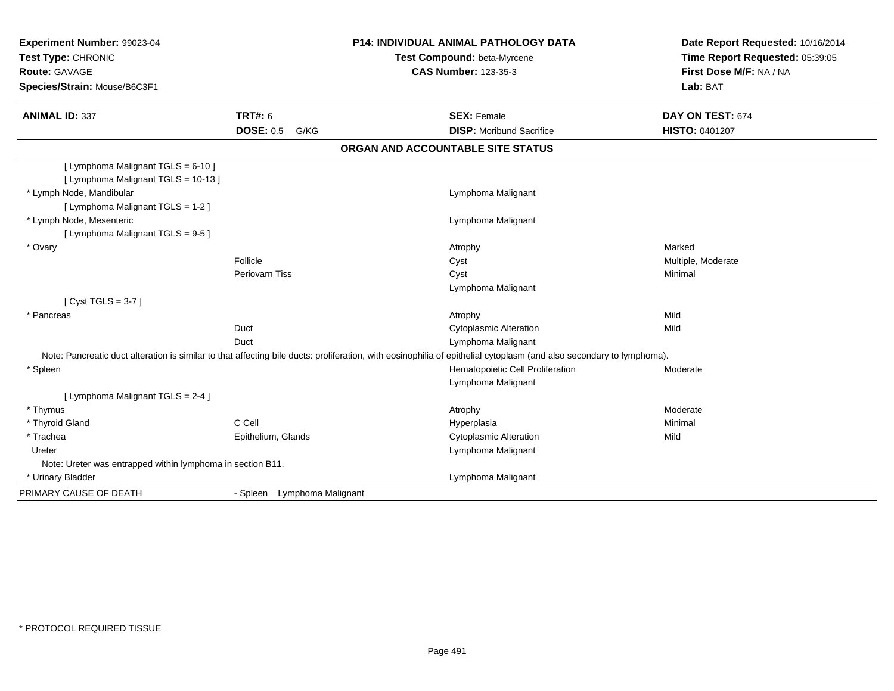| Experiment Number: 99023-04                                |                             | <b>P14: INDIVIDUAL ANIMAL PATHOLOGY DATA</b>                                                                                                                         | Date Report Requested: 10/16/2014<br>Time Report Requested: 05:39:05 |
|------------------------------------------------------------|-----------------------------|----------------------------------------------------------------------------------------------------------------------------------------------------------------------|----------------------------------------------------------------------|
| Test Type: CHRONIC                                         |                             | Test Compound: beta-Myrcene                                                                                                                                          |                                                                      |
| Route: GAVAGE                                              |                             | <b>CAS Number: 123-35-3</b>                                                                                                                                          | First Dose M/F: NA / NA                                              |
| Species/Strain: Mouse/B6C3F1                               |                             |                                                                                                                                                                      | Lab: BAT                                                             |
| <b>ANIMAL ID: 337</b>                                      | <b>TRT#: 6</b>              | <b>SEX: Female</b>                                                                                                                                                   | DAY ON TEST: 674                                                     |
|                                                            | <b>DOSE: 0.5</b><br>G/KG    | <b>DISP: Moribund Sacrifice</b>                                                                                                                                      | HISTO: 0401207                                                       |
|                                                            |                             | ORGAN AND ACCOUNTABLE SITE STATUS                                                                                                                                    |                                                                      |
| [ Lymphoma Malignant TGLS = 6-10 ]                         |                             |                                                                                                                                                                      |                                                                      |
| [ Lymphoma Malignant TGLS = 10-13 ]                        |                             |                                                                                                                                                                      |                                                                      |
| * Lymph Node, Mandibular                                   |                             | Lymphoma Malignant                                                                                                                                                   |                                                                      |
| [ Lymphoma Malignant TGLS = 1-2 ]                          |                             |                                                                                                                                                                      |                                                                      |
| * Lymph Node, Mesenteric                                   |                             | Lymphoma Malignant                                                                                                                                                   |                                                                      |
| [ Lymphoma Malignant TGLS = 9-5 ]                          |                             |                                                                                                                                                                      |                                                                      |
| * Ovary                                                    |                             | Atrophy                                                                                                                                                              | Marked                                                               |
|                                                            | Follicle                    | Cyst                                                                                                                                                                 | Multiple, Moderate                                                   |
|                                                            | Periovarn Tiss              | Cyst                                                                                                                                                                 | Minimal                                                              |
|                                                            |                             | Lymphoma Malignant                                                                                                                                                   |                                                                      |
| [Cyst TGLS = $3-7$ ]                                       |                             |                                                                                                                                                                      |                                                                      |
| * Pancreas                                                 |                             | Atrophy                                                                                                                                                              | Mild                                                                 |
|                                                            | Duct                        | <b>Cytoplasmic Alteration</b>                                                                                                                                        | Mild                                                                 |
|                                                            | Duct                        | Lymphoma Malignant                                                                                                                                                   |                                                                      |
|                                                            |                             | Note: Pancreatic duct alteration is similar to that affecting bile ducts: proliferation, with eosinophilia of epithelial cytoplasm (and also secondary to lymphoma). |                                                                      |
| * Spleen                                                   |                             | Hematopoietic Cell Proliferation                                                                                                                                     | Moderate                                                             |
|                                                            |                             | Lymphoma Malignant                                                                                                                                                   |                                                                      |
| [ Lymphoma Malignant TGLS = 2-4 ]                          |                             |                                                                                                                                                                      |                                                                      |
| * Thymus                                                   |                             | Atrophy                                                                                                                                                              | Moderate                                                             |
| * Thyroid Gland                                            | C Cell                      | Hyperplasia                                                                                                                                                          | Minimal                                                              |
| * Trachea                                                  | Epithelium, Glands          | <b>Cytoplasmic Alteration</b>                                                                                                                                        | Mild                                                                 |
| Ureter                                                     |                             | Lymphoma Malignant                                                                                                                                                   |                                                                      |
| Note: Ureter was entrapped within lymphoma in section B11. |                             |                                                                                                                                                                      |                                                                      |
| * Urinary Bladder                                          |                             | Lymphoma Malignant                                                                                                                                                   |                                                                      |
| PRIMARY CAUSE OF DEATH                                     | - Spleen Lymphoma Malignant |                                                                                                                                                                      |                                                                      |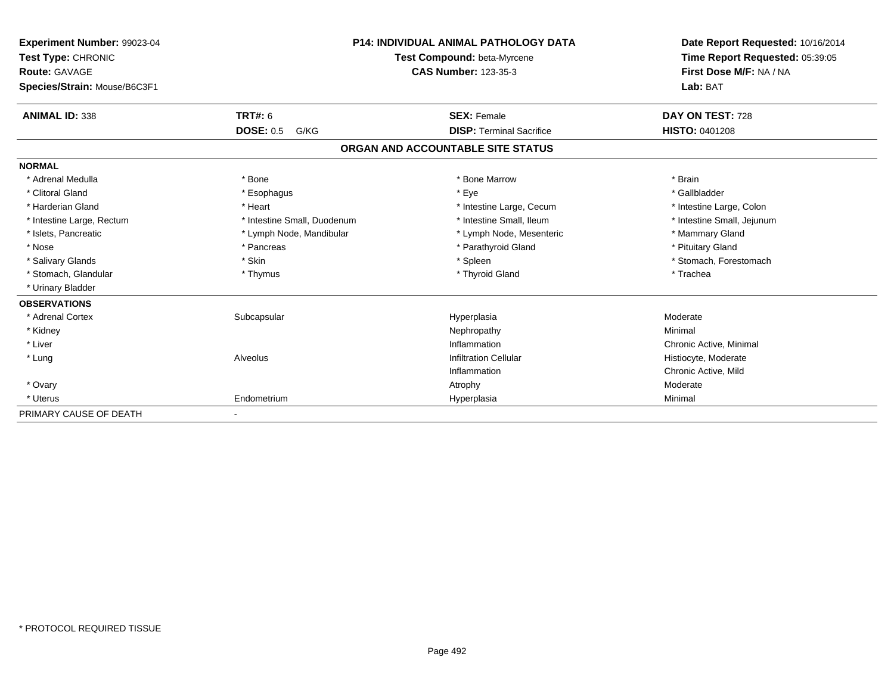| Experiment Number: 99023-04<br>Test Type: CHRONIC    |                             | <b>P14: INDIVIDUAL ANIMAL PATHOLOGY DATA</b><br>Test Compound: beta-Myrcene | Date Report Requested: 10/16/2014<br>Time Report Requested: 05:39:05 |
|------------------------------------------------------|-----------------------------|-----------------------------------------------------------------------------|----------------------------------------------------------------------|
| <b>Route: GAVAGE</b><br>Species/Strain: Mouse/B6C3F1 |                             | <b>CAS Number: 123-35-3</b>                                                 | First Dose M/F: NA / NA<br>Lab: BAT                                  |
|                                                      |                             |                                                                             |                                                                      |
| <b>ANIMAL ID: 338</b>                                | TRT#: 6                     | <b>SEX: Female</b>                                                          | DAY ON TEST: 728                                                     |
|                                                      | <b>DOSE: 0.5</b><br>G/KG    | <b>DISP: Terminal Sacrifice</b>                                             | <b>HISTO: 0401208</b>                                                |
|                                                      |                             | ORGAN AND ACCOUNTABLE SITE STATUS                                           |                                                                      |
| <b>NORMAL</b>                                        |                             |                                                                             |                                                                      |
| * Adrenal Medulla                                    | * Bone                      | * Bone Marrow                                                               | * Brain                                                              |
| * Clitoral Gland                                     | * Esophagus                 | * Eye                                                                       | * Gallbladder                                                        |
| * Harderian Gland                                    | * Heart                     | * Intestine Large, Cecum                                                    | * Intestine Large, Colon                                             |
| * Intestine Large, Rectum                            | * Intestine Small, Duodenum | * Intestine Small, Ileum                                                    | * Intestine Small, Jejunum                                           |
| * Islets, Pancreatic                                 | * Lymph Node, Mandibular    | * Lymph Node, Mesenteric                                                    | * Mammary Gland                                                      |
| * Nose                                               | * Pancreas                  | * Parathyroid Gland                                                         | * Pituitary Gland                                                    |
| * Salivary Glands                                    | * Skin                      | * Spleen                                                                    | * Stomach, Forestomach                                               |
| * Stomach, Glandular                                 | * Thymus                    | * Thyroid Gland                                                             | * Trachea                                                            |
| * Urinary Bladder                                    |                             |                                                                             |                                                                      |
| <b>OBSERVATIONS</b>                                  |                             |                                                                             |                                                                      |
| * Adrenal Cortex                                     | Subcapsular                 | Hyperplasia                                                                 | Moderate                                                             |
| * Kidney                                             |                             | Nephropathy                                                                 | Minimal                                                              |
| * Liver                                              |                             | Inflammation                                                                | Chronic Active, Minimal                                              |
| * Lung                                               | Alveolus                    | <b>Infiltration Cellular</b>                                                | Histiocyte, Moderate                                                 |
|                                                      |                             | Inflammation                                                                | Chronic Active, Mild                                                 |
| * Ovary                                              |                             | Atrophy                                                                     | Moderate                                                             |
| * Uterus                                             | Endometrium                 | Hyperplasia                                                                 | Minimal                                                              |
| PRIMARY CAUSE OF DEATH                               |                             |                                                                             |                                                                      |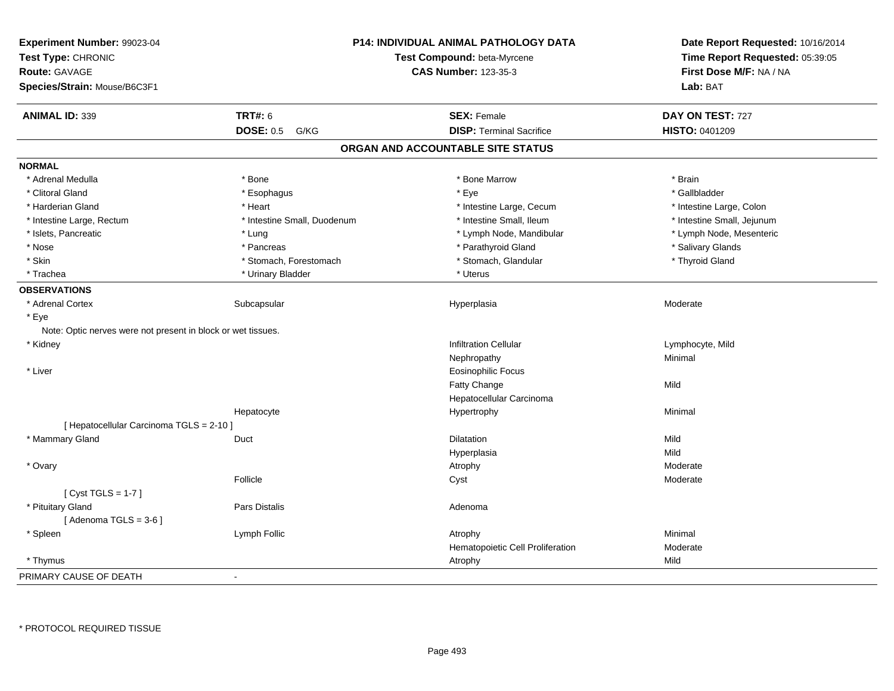| Experiment Number: 99023-04                                  |                             | <b>P14: INDIVIDUAL ANIMAL PATHOLOGY DATA</b> | Date Report Requested: 10/16/2014 |
|--------------------------------------------------------------|-----------------------------|----------------------------------------------|-----------------------------------|
| Test Type: CHRONIC                                           | Test Compound: beta-Myrcene |                                              | Time Report Requested: 05:39:05   |
| <b>Route: GAVAGE</b>                                         |                             | <b>CAS Number: 123-35-3</b>                  | First Dose M/F: NA / NA           |
| Species/Strain: Mouse/B6C3F1                                 |                             |                                              | Lab: BAT                          |
| <b>ANIMAL ID: 339</b>                                        | <b>TRT#: 6</b>              | <b>SEX: Female</b>                           | DAY ON TEST: 727                  |
|                                                              | <b>DOSE: 0.5</b><br>G/KG    | <b>DISP: Terminal Sacrifice</b>              | HISTO: 0401209                    |
|                                                              |                             | ORGAN AND ACCOUNTABLE SITE STATUS            |                                   |
| <b>NORMAL</b>                                                |                             |                                              |                                   |
| * Adrenal Medulla                                            | * Bone                      | * Bone Marrow                                | * Brain                           |
| * Clitoral Gland                                             | * Esophagus                 | * Eye                                        | * Gallbladder                     |
| * Harderian Gland                                            | * Heart                     | * Intestine Large, Cecum                     | * Intestine Large, Colon          |
| * Intestine Large, Rectum                                    | * Intestine Small, Duodenum | * Intestine Small, Ileum                     | * Intestine Small, Jejunum        |
| * Islets, Pancreatic                                         | * Lung                      | * Lymph Node, Mandibular                     | * Lymph Node, Mesenteric          |
| * Nose                                                       | * Pancreas                  | * Parathyroid Gland                          | * Salivary Glands                 |
| * Skin                                                       | * Stomach, Forestomach      | * Stomach, Glandular                         | * Thyroid Gland                   |
| * Trachea                                                    | * Urinary Bladder           | * Uterus                                     |                                   |
| <b>OBSERVATIONS</b>                                          |                             |                                              |                                   |
| * Adrenal Cortex                                             | Subcapsular                 | Hyperplasia                                  | Moderate                          |
| * Eye                                                        |                             |                                              |                                   |
| Note: Optic nerves were not present in block or wet tissues. |                             |                                              |                                   |
| * Kidney                                                     |                             | <b>Infiltration Cellular</b>                 | Lymphocyte, Mild                  |
|                                                              |                             | Nephropathy                                  | Minimal                           |
| * Liver                                                      |                             | Eosinophilic Focus                           |                                   |
|                                                              |                             | Fatty Change                                 | Mild                              |
|                                                              |                             | Hepatocellular Carcinoma                     |                                   |
|                                                              | Hepatocyte                  | Hypertrophy                                  | Minimal                           |
| [ Hepatocellular Carcinoma TGLS = 2-10 ]                     |                             |                                              |                                   |
| * Mammary Gland                                              | Duct                        | Dilatation                                   | Mild                              |
|                                                              |                             | Hyperplasia                                  | Mild                              |
| * Ovary                                                      |                             | Atrophy                                      | Moderate                          |
|                                                              | Follicle                    | Cyst                                         | Moderate                          |
| [Cyst TGLS = $1-7$ ]                                         |                             |                                              |                                   |
| * Pituitary Gland                                            | <b>Pars Distalis</b>        | Adenoma                                      |                                   |
| [Adenoma TGLS = $3-6$ ]                                      |                             |                                              |                                   |
| * Spleen                                                     | Lymph Follic                | Atrophy                                      | Minimal                           |
|                                                              |                             | Hematopoietic Cell Proliferation             | Moderate                          |
| * Thymus                                                     |                             | Atrophy                                      | Mild                              |
| PRIMARY CAUSE OF DEATH                                       |                             |                                              |                                   |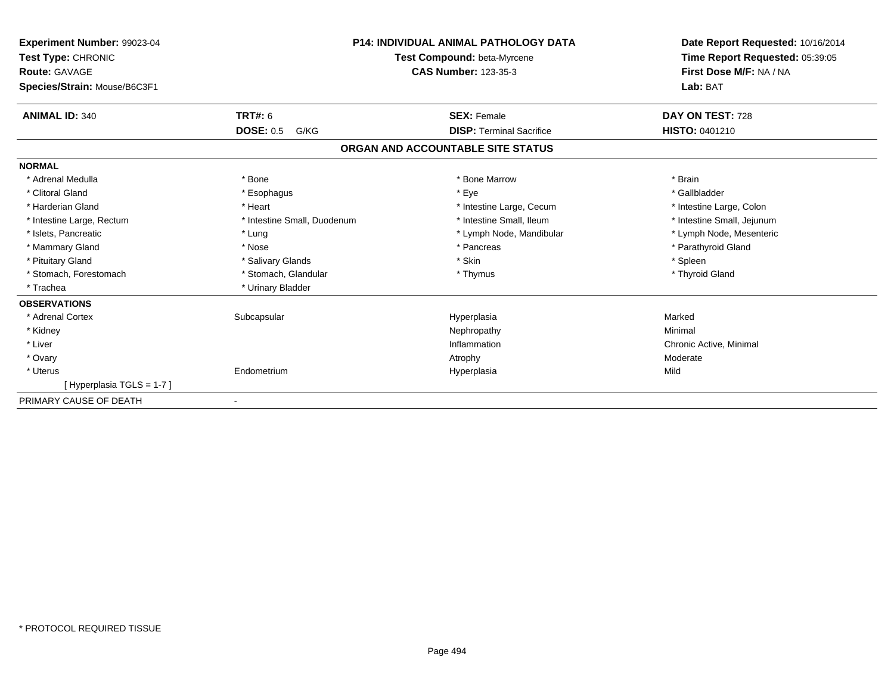| Experiment Number: 99023-04<br>Test Type: CHRONIC<br><b>Route: GAVAGE</b><br>Species/Strain: Mouse/B6C3F1 |                             | <b>P14: INDIVIDUAL ANIMAL PATHOLOGY DATA</b><br>Test Compound: beta-Myrcene<br><b>CAS Number: 123-35-3</b> | Date Report Requested: 10/16/2014<br>Time Report Requested: 05:39:05<br>First Dose M/F: NA / NA<br>Lab: BAT |
|-----------------------------------------------------------------------------------------------------------|-----------------------------|------------------------------------------------------------------------------------------------------------|-------------------------------------------------------------------------------------------------------------|
| <b>ANIMAL ID: 340</b>                                                                                     | <b>TRT#: 6</b>              | <b>SEX: Female</b>                                                                                         | DAY ON TEST: 728                                                                                            |
|                                                                                                           | <b>DOSE: 0.5</b><br>G/KG    | <b>DISP: Terminal Sacrifice</b>                                                                            | HISTO: 0401210                                                                                              |
|                                                                                                           |                             | ORGAN AND ACCOUNTABLE SITE STATUS                                                                          |                                                                                                             |
| <b>NORMAL</b>                                                                                             |                             |                                                                                                            |                                                                                                             |
| * Adrenal Medulla                                                                                         | * Bone                      | * Bone Marrow                                                                                              | * Brain                                                                                                     |
| * Clitoral Gland                                                                                          | * Esophagus                 | * Eye                                                                                                      | * Gallbladder                                                                                               |
| * Harderian Gland                                                                                         | * Heart                     | * Intestine Large, Cecum                                                                                   | * Intestine Large, Colon                                                                                    |
| * Intestine Large, Rectum                                                                                 | * Intestine Small, Duodenum | * Intestine Small. Ileum                                                                                   | * Intestine Small, Jejunum                                                                                  |
| * Islets, Pancreatic                                                                                      | * Lung                      | * Lymph Node, Mandibular                                                                                   | * Lymph Node, Mesenteric                                                                                    |
| * Mammary Gland                                                                                           | * Nose                      | * Pancreas                                                                                                 | * Parathyroid Gland                                                                                         |
| * Pituitary Gland                                                                                         | * Salivary Glands           | * Skin                                                                                                     | * Spleen                                                                                                    |
| * Stomach, Forestomach                                                                                    | * Stomach, Glandular        | * Thymus                                                                                                   | * Thyroid Gland                                                                                             |
| * Trachea                                                                                                 | * Urinary Bladder           |                                                                                                            |                                                                                                             |
| <b>OBSERVATIONS</b>                                                                                       |                             |                                                                                                            |                                                                                                             |
| * Adrenal Cortex                                                                                          | Subcapsular                 | Hyperplasia                                                                                                | Marked                                                                                                      |
| * Kidney                                                                                                  |                             | Nephropathy                                                                                                | Minimal                                                                                                     |
| * Liver                                                                                                   |                             | Inflammation                                                                                               | Chronic Active, Minimal                                                                                     |
| * Ovary                                                                                                   |                             | Atrophy                                                                                                    | Moderate                                                                                                    |
| * Uterus                                                                                                  | Endometrium                 | Hyperplasia                                                                                                | Mild                                                                                                        |
| [Hyperplasia TGLS = 1-7]                                                                                  |                             |                                                                                                            |                                                                                                             |
| PRIMARY CAUSE OF DEATH                                                                                    |                             |                                                                                                            |                                                                                                             |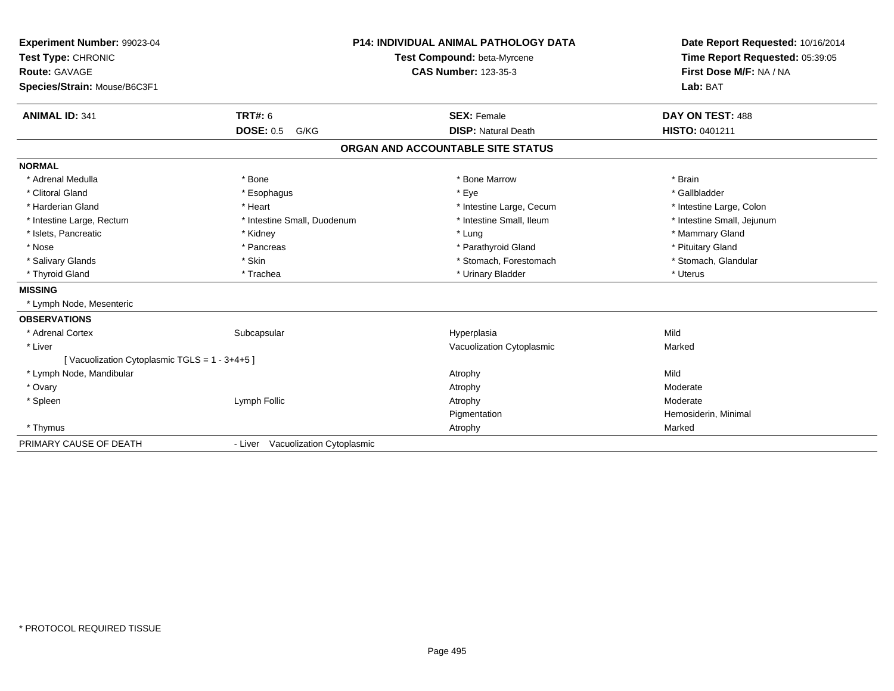| Experiment Number: 99023-04                  |                                   | <b>P14: INDIVIDUAL ANIMAL PATHOLOGY DATA</b> | Date Report Requested: 10/16/2014<br>Time Report Requested: 05:39:05 |
|----------------------------------------------|-----------------------------------|----------------------------------------------|----------------------------------------------------------------------|
| Test Type: CHRONIC                           |                                   | Test Compound: beta-Myrcene                  |                                                                      |
| Route: GAVAGE                                |                                   | <b>CAS Number: 123-35-3</b>                  | First Dose M/F: NA / NA                                              |
| Species/Strain: Mouse/B6C3F1                 |                                   |                                              | Lab: BAT                                                             |
| <b>ANIMAL ID: 341</b>                        | TRT#: 6                           | <b>SEX: Female</b>                           | DAY ON TEST: 488                                                     |
|                                              | <b>DOSE: 0.5</b><br>G/KG          | <b>DISP: Natural Death</b>                   | HISTO: 0401211                                                       |
|                                              |                                   | ORGAN AND ACCOUNTABLE SITE STATUS            |                                                                      |
| <b>NORMAL</b>                                |                                   |                                              |                                                                      |
| * Adrenal Medulla                            | * Bone                            | * Bone Marrow                                | * Brain                                                              |
| * Clitoral Gland                             | * Esophagus                       | * Eye                                        | * Gallbladder                                                        |
| * Harderian Gland                            | * Heart                           | * Intestine Large, Cecum                     | * Intestine Large, Colon                                             |
| * Intestine Large, Rectum                    | * Intestine Small, Duodenum       | * Intestine Small. Ileum                     | * Intestine Small, Jejunum                                           |
| * Islets, Pancreatic                         | * Kidney                          | * Lung                                       | * Mammary Gland                                                      |
| * Nose                                       | * Pancreas                        | * Parathyroid Gland                          | * Pituitary Gland                                                    |
| * Salivary Glands                            | * Skin                            | * Stomach, Forestomach                       | * Stomach, Glandular                                                 |
| * Thyroid Gland                              | * Trachea                         | * Urinary Bladder                            | * Uterus                                                             |
| <b>MISSING</b>                               |                                   |                                              |                                                                      |
| * Lymph Node, Mesenteric                     |                                   |                                              |                                                                      |
| <b>OBSERVATIONS</b>                          |                                   |                                              |                                                                      |
| * Adrenal Cortex                             | Subcapsular                       | Hyperplasia                                  | Mild                                                                 |
| * Liver                                      |                                   | Vacuolization Cytoplasmic                    | Marked                                                               |
| [Vacuolization Cytoplasmic TGLS = 1 - 3+4+5] |                                   |                                              |                                                                      |
| * Lymph Node, Mandibular                     |                                   | Atrophy                                      | Mild                                                                 |
| * Ovary                                      |                                   | Atrophy                                      | Moderate                                                             |
| * Spleen                                     | Lymph Follic                      | Atrophy                                      | Moderate                                                             |
|                                              |                                   | Pigmentation                                 | Hemosiderin, Minimal                                                 |
| * Thymus                                     |                                   | Atrophy                                      | Marked                                                               |
| PRIMARY CAUSE OF DEATH                       | - Liver Vacuolization Cytoplasmic |                                              |                                                                      |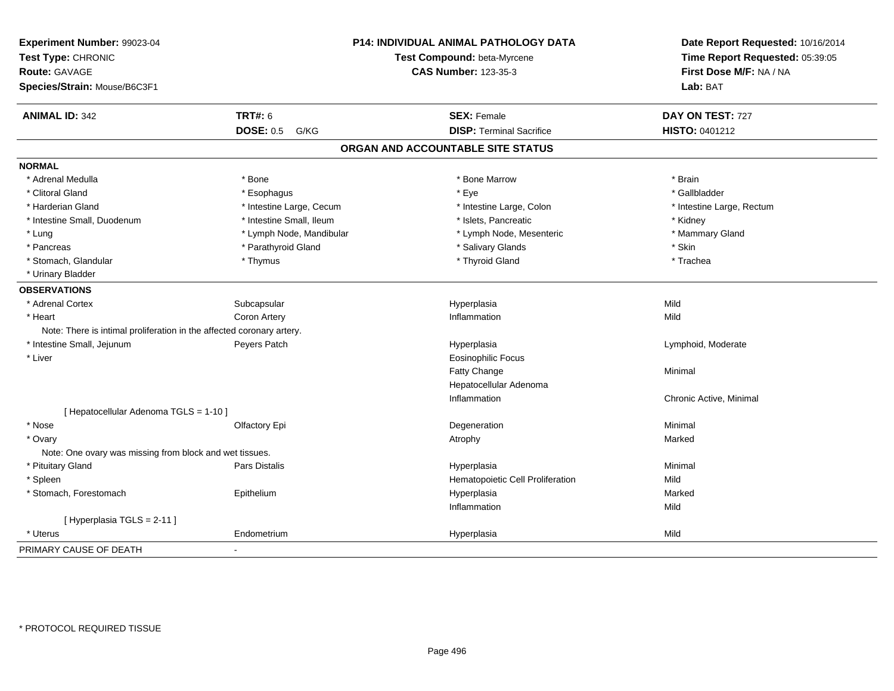| Experiment Number: 99023-04<br>Test Type: CHRONIC                     |                          | <b>P14: INDIVIDUAL ANIMAL PATHOLOGY DATA</b><br>Test Compound: beta-Myrcene | Date Report Requested: 10/16/2014<br>Time Report Requested: 05:39:05 |
|-----------------------------------------------------------------------|--------------------------|-----------------------------------------------------------------------------|----------------------------------------------------------------------|
| <b>Route: GAVAGE</b>                                                  |                          | <b>CAS Number: 123-35-3</b>                                                 | First Dose M/F: NA / NA                                              |
| Species/Strain: Mouse/B6C3F1                                          |                          |                                                                             | Lab: BAT                                                             |
| <b>ANIMAL ID: 342</b>                                                 | <b>TRT#: 6</b>           | <b>SEX: Female</b>                                                          | DAY ON TEST: 727                                                     |
|                                                                       | <b>DOSE: 0.5 G/KG</b>    | <b>DISP: Terminal Sacrifice</b>                                             | HISTO: 0401212                                                       |
|                                                                       |                          | ORGAN AND ACCOUNTABLE SITE STATUS                                           |                                                                      |
| <b>NORMAL</b>                                                         |                          |                                                                             |                                                                      |
| * Adrenal Medulla                                                     | * Bone                   | * Bone Marrow                                                               | * Brain                                                              |
| * Clitoral Gland                                                      | * Esophagus              | * Eye                                                                       | * Gallbladder                                                        |
| * Harderian Gland                                                     | * Intestine Large, Cecum | * Intestine Large, Colon                                                    | * Intestine Large, Rectum                                            |
| * Intestine Small, Duodenum                                           | * Intestine Small, Ileum | * Islets, Pancreatic                                                        | * Kidney                                                             |
| * Lung                                                                | * Lymph Node, Mandibular | * Lymph Node, Mesenteric                                                    | * Mammary Gland                                                      |
| * Pancreas                                                            | * Parathyroid Gland      | * Salivary Glands                                                           | * Skin                                                               |
| * Stomach, Glandular                                                  | * Thymus                 | * Thyroid Gland                                                             | * Trachea                                                            |
| * Urinary Bladder                                                     |                          |                                                                             |                                                                      |
| <b>OBSERVATIONS</b>                                                   |                          |                                                                             |                                                                      |
| * Adrenal Cortex                                                      | Subcapsular              | Hyperplasia                                                                 | Mild                                                                 |
| * Heart                                                               | Coron Artery             | Inflammation                                                                | Mild                                                                 |
| Note: There is intimal proliferation in the affected coronary artery. |                          |                                                                             |                                                                      |
| * Intestine Small, Jejunum                                            | Peyers Patch             | Hyperplasia                                                                 | Lymphoid, Moderate                                                   |
| * Liver                                                               |                          | <b>Eosinophilic Focus</b>                                                   |                                                                      |
|                                                                       |                          | Fatty Change                                                                | Minimal                                                              |
|                                                                       |                          | Hepatocellular Adenoma                                                      |                                                                      |
|                                                                       |                          | Inflammation                                                                | Chronic Active, Minimal                                              |
| [ Hepatocellular Adenoma TGLS = 1-10 ]                                |                          |                                                                             |                                                                      |
| * Nose                                                                | Olfactory Epi            | Degeneration                                                                | Minimal                                                              |
| * Ovary                                                               |                          | Atrophy                                                                     | Marked                                                               |
| Note: One ovary was missing from block and wet tissues.               |                          |                                                                             |                                                                      |
| * Pituitary Gland                                                     | Pars Distalis            | Hyperplasia                                                                 | Minimal                                                              |
| * Spleen                                                              |                          | Hematopoietic Cell Proliferation                                            | Mild                                                                 |
| * Stomach, Forestomach                                                | Epithelium               | Hyperplasia                                                                 | Marked                                                               |
|                                                                       |                          | Inflammation                                                                | Mild                                                                 |
| [ Hyperplasia TGLS = 2-11 ]                                           |                          |                                                                             |                                                                      |
| * Uterus                                                              | Endometrium              | Hyperplasia                                                                 | Mild                                                                 |
| PRIMARY CAUSE OF DEATH                                                | $\blacksquare$           |                                                                             |                                                                      |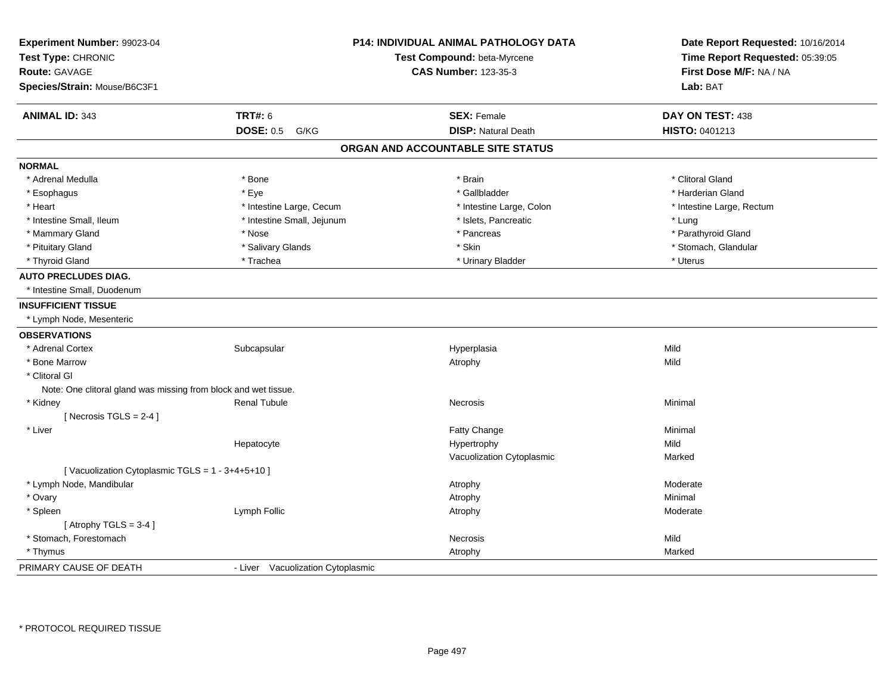| Experiment Number: 99023-04<br>Test Type: CHRONIC<br><b>Route: GAVAGE</b> |                                   | P14: INDIVIDUAL ANIMAL PATHOLOGY DATA<br>Test Compound: beta-Myrcene<br><b>CAS Number: 123-35-3</b> | Date Report Requested: 10/16/2014<br>Time Report Requested: 05:39:05<br>First Dose M/F: NA / NA |
|---------------------------------------------------------------------------|-----------------------------------|-----------------------------------------------------------------------------------------------------|-------------------------------------------------------------------------------------------------|
| Species/Strain: Mouse/B6C3F1                                              |                                   |                                                                                                     | Lab: BAT                                                                                        |
| <b>ANIMAL ID: 343</b>                                                     | <b>TRT#: 6</b>                    | <b>SEX: Female</b>                                                                                  | DAY ON TEST: 438                                                                                |
|                                                                           | <b>DOSE: 0.5</b><br>G/KG          | <b>DISP: Natural Death</b>                                                                          | HISTO: 0401213                                                                                  |
|                                                                           |                                   | ORGAN AND ACCOUNTABLE SITE STATUS                                                                   |                                                                                                 |
| <b>NORMAL</b>                                                             |                                   |                                                                                                     |                                                                                                 |
| * Adrenal Medulla                                                         | * Bone                            | * Brain                                                                                             | * Clitoral Gland                                                                                |
| * Esophagus                                                               | * Eye                             | * Gallbladder                                                                                       | * Harderian Gland                                                                               |
| * Heart                                                                   | * Intestine Large, Cecum          | * Intestine Large, Colon                                                                            | * Intestine Large, Rectum                                                                       |
| * Intestine Small, Ileum                                                  | * Intestine Small, Jejunum        | * Islets, Pancreatic                                                                                | * Lung                                                                                          |
| * Mammary Gland                                                           | * Nose                            | * Pancreas                                                                                          | * Parathyroid Gland                                                                             |
| * Pituitary Gland                                                         | * Salivary Glands                 | * Skin                                                                                              | * Stomach, Glandular                                                                            |
| * Thyroid Gland                                                           | * Trachea                         | * Urinary Bladder                                                                                   | * Uterus                                                                                        |
| <b>AUTO PRECLUDES DIAG.</b>                                               |                                   |                                                                                                     |                                                                                                 |
| * Intestine Small, Duodenum                                               |                                   |                                                                                                     |                                                                                                 |
| <b>INSUFFICIENT TISSUE</b>                                                |                                   |                                                                                                     |                                                                                                 |
| * Lymph Node, Mesenteric                                                  |                                   |                                                                                                     |                                                                                                 |
| <b>OBSERVATIONS</b>                                                       |                                   |                                                                                                     |                                                                                                 |
| * Adrenal Cortex                                                          | Subcapsular                       | Hyperplasia                                                                                         | Mild                                                                                            |
| * Bone Marrow                                                             |                                   | Atrophy                                                                                             | Mild                                                                                            |
| * Clitoral GI                                                             |                                   |                                                                                                     |                                                                                                 |
| Note: One clitoral gland was missing from block and wet tissue.           |                                   |                                                                                                     |                                                                                                 |
| * Kidney                                                                  | <b>Renal Tubule</b>               | <b>Necrosis</b>                                                                                     | Minimal                                                                                         |
| [Necrosis $TGLS = 2-4$ ]                                                  |                                   |                                                                                                     |                                                                                                 |
| * Liver                                                                   |                                   | Fatty Change                                                                                        | Minimal                                                                                         |
|                                                                           | Hepatocyte                        | Hypertrophy                                                                                         | Mild                                                                                            |
|                                                                           |                                   | Vacuolization Cytoplasmic                                                                           | Marked                                                                                          |
| [Vacuolization Cytoplasmic TGLS = 1 - 3+4+5+10]                           |                                   |                                                                                                     |                                                                                                 |
| * Lymph Node, Mandibular                                                  |                                   | Atrophy                                                                                             | Moderate                                                                                        |
| * Ovary                                                                   |                                   | Atrophy                                                                                             | Minimal                                                                                         |
| * Spleen                                                                  | Lymph Follic                      | Atrophy                                                                                             | Moderate                                                                                        |
| [Atrophy TGLS = $3-4$ ]                                                   |                                   |                                                                                                     |                                                                                                 |
| * Stomach, Forestomach                                                    |                                   | <b>Necrosis</b>                                                                                     | Mild                                                                                            |
| * Thymus                                                                  |                                   | Atrophy                                                                                             | Marked                                                                                          |
| PRIMARY CAUSE OF DEATH                                                    | - Liver Vacuolization Cytoplasmic |                                                                                                     |                                                                                                 |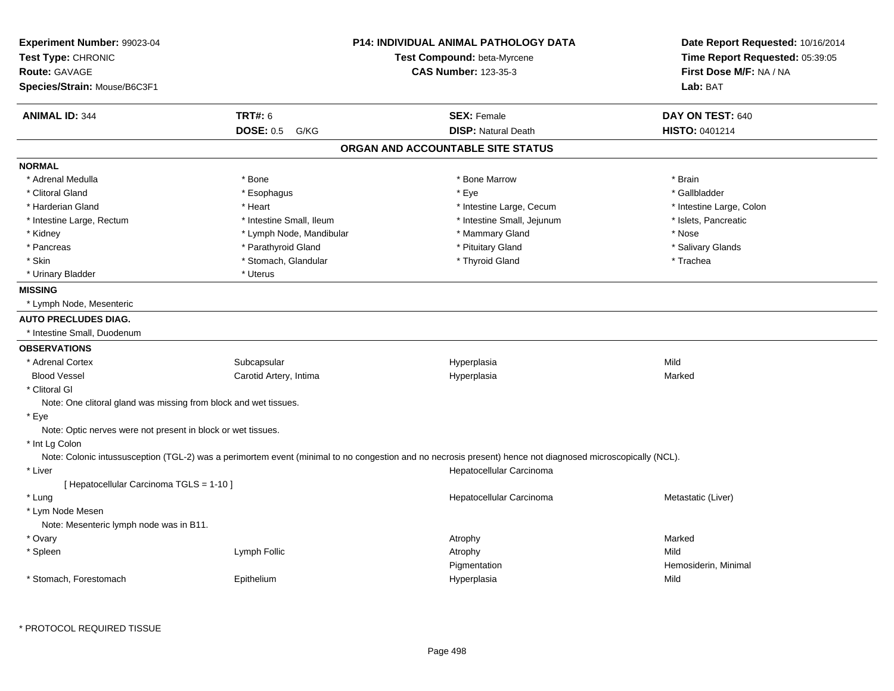| Experiment Number: 99023-04                                      |                          | <b>P14: INDIVIDUAL ANIMAL PATHOLOGY DATA</b>                                                                                                               | Date Report Requested: 10/16/2014<br>Time Report Requested: 05:39:05 |  |
|------------------------------------------------------------------|--------------------------|------------------------------------------------------------------------------------------------------------------------------------------------------------|----------------------------------------------------------------------|--|
| Test Type: CHRONIC                                               |                          | Test Compound: beta-Myrcene                                                                                                                                |                                                                      |  |
| <b>Route: GAVAGE</b>                                             |                          | <b>CAS Number: 123-35-3</b>                                                                                                                                | First Dose M/F: NA / NA                                              |  |
| Species/Strain: Mouse/B6C3F1                                     |                          |                                                                                                                                                            | Lab: BAT                                                             |  |
| <b>ANIMAL ID: 344</b>                                            | <b>TRT#: 6</b>           | <b>SEX: Female</b>                                                                                                                                         | DAY ON TEST: 640                                                     |  |
|                                                                  | <b>DOSE: 0.5</b><br>G/KG | <b>DISP: Natural Death</b>                                                                                                                                 | <b>HISTO: 0401214</b>                                                |  |
|                                                                  |                          | ORGAN AND ACCOUNTABLE SITE STATUS                                                                                                                          |                                                                      |  |
| <b>NORMAL</b>                                                    |                          |                                                                                                                                                            |                                                                      |  |
| * Adrenal Medulla                                                | * Bone                   | * Bone Marrow                                                                                                                                              | * Brain                                                              |  |
| * Clitoral Gland                                                 | * Esophagus              | * Eye                                                                                                                                                      | * Gallbladder                                                        |  |
| * Harderian Gland                                                | * Heart                  | * Intestine Large, Cecum                                                                                                                                   | * Intestine Large, Colon                                             |  |
| * Intestine Large, Rectum                                        | * Intestine Small, Ileum | * Intestine Small, Jejunum                                                                                                                                 | * Islets, Pancreatic                                                 |  |
| * Kidney                                                         | * Lymph Node, Mandibular | * Mammary Gland                                                                                                                                            | * Nose                                                               |  |
| * Pancreas                                                       | * Parathyroid Gland      | * Pituitary Gland                                                                                                                                          | * Salivary Glands                                                    |  |
| * Skin                                                           | * Stomach, Glandular     | * Thyroid Gland                                                                                                                                            | * Trachea                                                            |  |
| * Urinary Bladder                                                | * Uterus                 |                                                                                                                                                            |                                                                      |  |
| <b>MISSING</b>                                                   |                          |                                                                                                                                                            |                                                                      |  |
| * Lymph Node, Mesenteric                                         |                          |                                                                                                                                                            |                                                                      |  |
| <b>AUTO PRECLUDES DIAG.</b>                                      |                          |                                                                                                                                                            |                                                                      |  |
| * Intestine Small, Duodenum                                      |                          |                                                                                                                                                            |                                                                      |  |
| <b>OBSERVATIONS</b>                                              |                          |                                                                                                                                                            |                                                                      |  |
| * Adrenal Cortex                                                 | Subcapsular              | Hyperplasia                                                                                                                                                | Mild                                                                 |  |
| <b>Blood Vessel</b>                                              | Carotid Artery, Intima   | Hyperplasia                                                                                                                                                | Marked                                                               |  |
| * Clitoral Gl                                                    |                          |                                                                                                                                                            |                                                                      |  |
| Note: One clitoral gland was missing from block and wet tissues. |                          |                                                                                                                                                            |                                                                      |  |
| * Eye                                                            |                          |                                                                                                                                                            |                                                                      |  |
| Note: Optic nerves were not present in block or wet tissues.     |                          |                                                                                                                                                            |                                                                      |  |
| * Int Lg Colon                                                   |                          |                                                                                                                                                            |                                                                      |  |
|                                                                  |                          | Note: Colonic intussusception (TGL-2) was a perimortem event (minimal to no congestion and no necrosis present) hence not diagnosed microscopically (NCL). |                                                                      |  |
| * Liver                                                          |                          | Hepatocellular Carcinoma                                                                                                                                   |                                                                      |  |
| [ Hepatocellular Carcinoma TGLS = 1-10 ]                         |                          |                                                                                                                                                            |                                                                      |  |
| * Lung                                                           |                          | Hepatocellular Carcinoma                                                                                                                                   | Metastatic (Liver)                                                   |  |
| * Lym Node Mesen                                                 |                          |                                                                                                                                                            |                                                                      |  |
| Note: Mesenteric lymph node was in B11.                          |                          |                                                                                                                                                            |                                                                      |  |
| * Ovary                                                          |                          | Atrophy                                                                                                                                                    | Marked                                                               |  |
| * Spleen                                                         | Lymph Follic             | Atrophy                                                                                                                                                    | Mild                                                                 |  |
|                                                                  |                          | Pigmentation                                                                                                                                               | Hemosiderin, Minimal                                                 |  |
| * Stomach, Forestomach                                           | Epithelium               | Hyperplasia                                                                                                                                                | Mild                                                                 |  |
|                                                                  |                          |                                                                                                                                                            |                                                                      |  |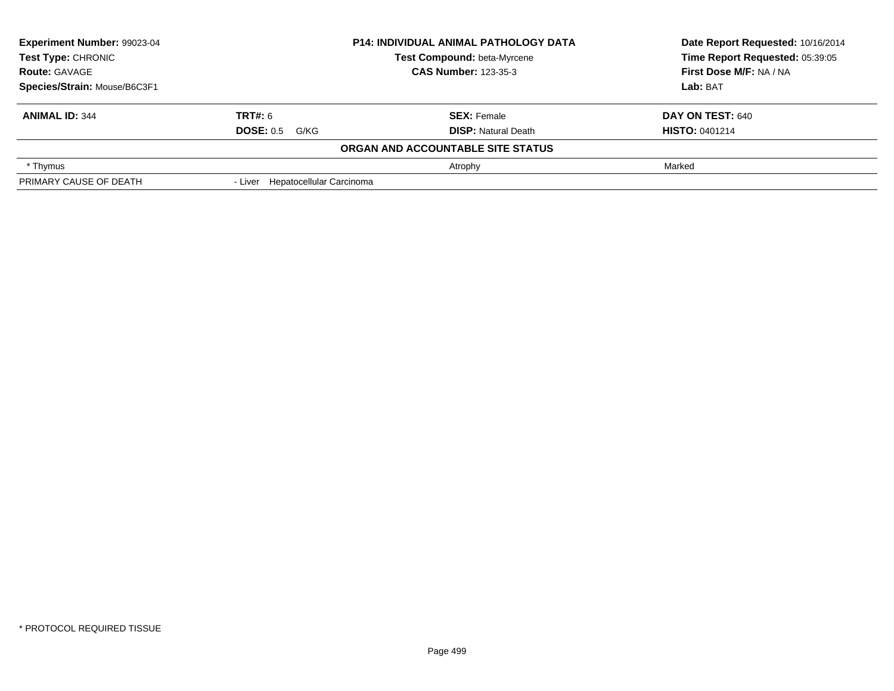| Experiment Number: 99023-04<br><b>P14: INDIVIDUAL ANIMAL PATHOLOGY DATA</b><br><b>Test Compound: beta-Myrcene</b><br><b>Test Type: CHRONIC</b><br><b>CAS Number: 123-35-3</b><br><b>Route: GAVAGE</b> |                                  |                                   | Date Report Requested: 10/16/2014<br>Time Report Requested: 05:39:05 |  |
|-------------------------------------------------------------------------------------------------------------------------------------------------------------------------------------------------------|----------------------------------|-----------------------------------|----------------------------------------------------------------------|--|
|                                                                                                                                                                                                       |                                  |                                   |                                                                      |  |
|                                                                                                                                                                                                       |                                  | First Dose M/F: NA / NA           |                                                                      |  |
| Species/Strain: Mouse/B6C3F1                                                                                                                                                                          |                                  |                                   | Lab: BAT                                                             |  |
| <b>ANIMAL ID: 344</b>                                                                                                                                                                                 | <b>TRT#:</b> 6                   | <b>SEX: Female</b>                | <b>DAY ON TEST: 640</b>                                              |  |
|                                                                                                                                                                                                       | <b>DOSE: 0.5 G/KG</b>            | <b>DISP: Natural Death</b>        | <b>HISTO: 0401214</b>                                                |  |
|                                                                                                                                                                                                       |                                  | ORGAN AND ACCOUNTABLE SITE STATUS |                                                                      |  |
| * Thymus                                                                                                                                                                                              |                                  | Atrophy                           | Marked                                                               |  |
| PRIMARY CAUSE OF DEATH                                                                                                                                                                                | - Liver Hepatocellular Carcinoma |                                   |                                                                      |  |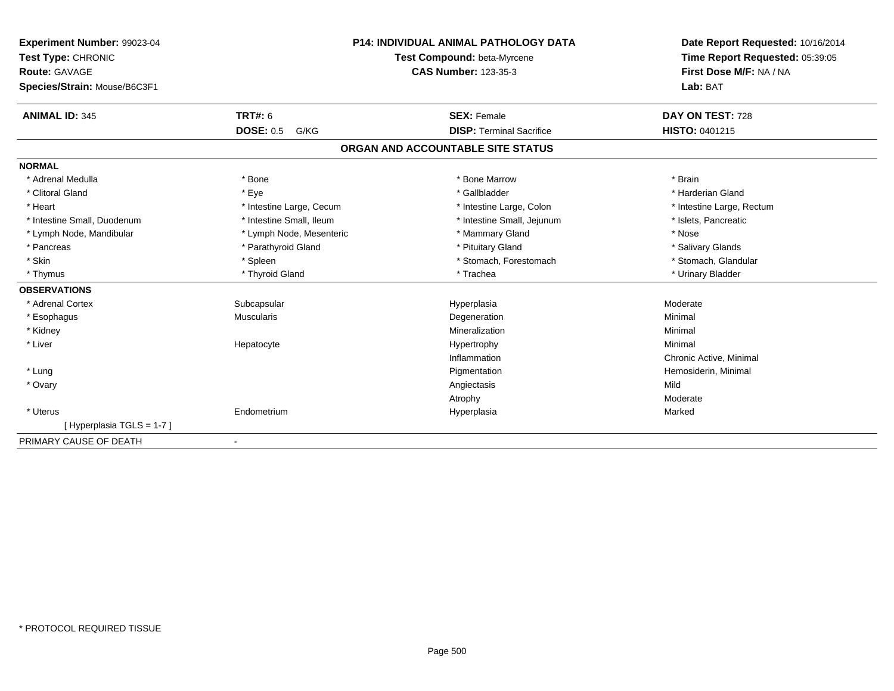| <b>Experiment Number: 99023-04</b> |                          | <b>P14: INDIVIDUAL ANIMAL PATHOLOGY DATA</b> | Date Report Requested: 10/16/2014 |
|------------------------------------|--------------------------|----------------------------------------------|-----------------------------------|
| Test Type: CHRONIC                 |                          | Test Compound: beta-Myrcene                  | Time Report Requested: 05:39:05   |
| <b>Route: GAVAGE</b>               |                          | <b>CAS Number: 123-35-3</b>                  | First Dose M/F: NA / NA           |
| Species/Strain: Mouse/B6C3F1       |                          |                                              | Lab: BAT                          |
| <b>ANIMAL ID: 345</b>              | <b>TRT#: 6</b>           | <b>SEX: Female</b>                           | DAY ON TEST: 728                  |
|                                    | <b>DOSE: 0.5</b><br>G/KG | <b>DISP: Terminal Sacrifice</b>              | <b>HISTO: 0401215</b>             |
|                                    |                          | ORGAN AND ACCOUNTABLE SITE STATUS            |                                   |
| <b>NORMAL</b>                      |                          |                                              |                                   |
| * Adrenal Medulla                  | * Bone                   | * Bone Marrow                                | * Brain                           |
| * Clitoral Gland                   | * Eye                    | * Gallbladder                                | * Harderian Gland                 |
| * Heart                            | * Intestine Large, Cecum | * Intestine Large, Colon                     | * Intestine Large, Rectum         |
| * Intestine Small, Duodenum        | * Intestine Small, Ileum | * Intestine Small, Jejunum                   | * Islets, Pancreatic              |
| * Lymph Node, Mandibular           | * Lymph Node, Mesenteric | * Mammary Gland                              | * Nose                            |
| * Pancreas                         | * Parathyroid Gland      | * Pituitary Gland                            | * Salivary Glands                 |
| * Skin                             | * Spleen                 | * Stomach, Forestomach                       | * Stomach, Glandular              |
| * Thymus                           | * Thyroid Gland          | * Trachea                                    | * Urinary Bladder                 |
| <b>OBSERVATIONS</b>                |                          |                                              |                                   |
| * Adrenal Cortex                   | Subcapsular              | Hyperplasia                                  | Moderate                          |
| * Esophagus                        | <b>Muscularis</b>        | Degeneration                                 | Minimal                           |
| * Kidney                           |                          | Mineralization                               | Minimal                           |
| * Liver                            | Hepatocyte               | Hypertrophy                                  | Minimal                           |
|                                    |                          | Inflammation                                 | Chronic Active, Minimal           |
| * Lung                             |                          | Pigmentation                                 | Hemosiderin, Minimal              |
| * Ovary                            |                          | Angiectasis                                  | Mild                              |
|                                    |                          | Atrophy                                      | Moderate                          |
| * Uterus                           | Endometrium              | Hyperplasia                                  | Marked                            |
| [Hyperplasia TGLS = 1-7]           |                          |                                              |                                   |
| PRIMARY CAUSE OF DEATH             | $\overline{\phantom{0}}$ |                                              |                                   |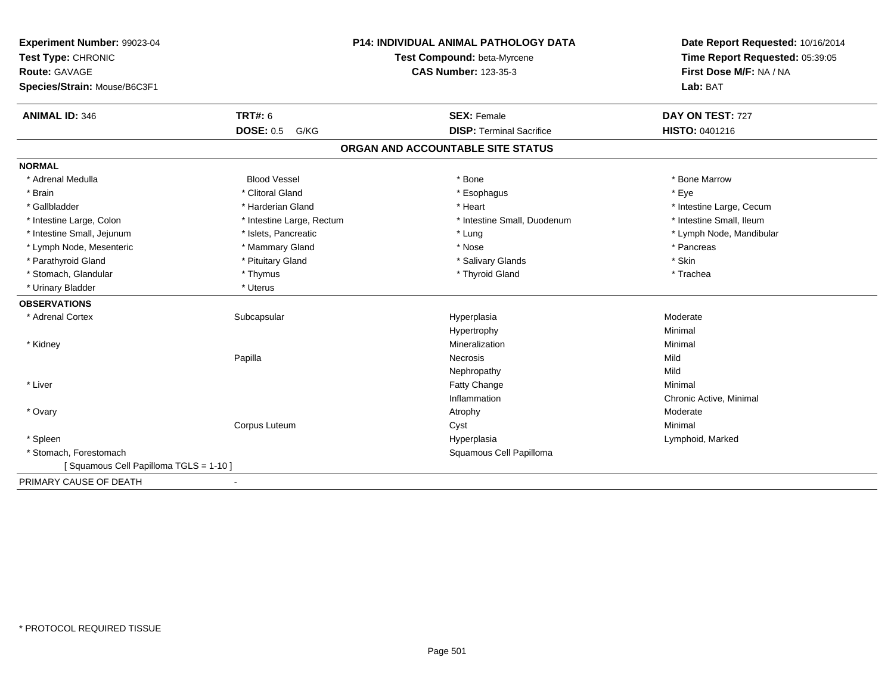| Experiment Number: 99023-04<br>Test Type: CHRONIC |                           | <b>P14: INDIVIDUAL ANIMAL PATHOLOGY DATA</b><br>Test Compound: beta-Myrcene | Date Report Requested: 10/16/2014<br>Time Report Requested: 05:39:05 |
|---------------------------------------------------|---------------------------|-----------------------------------------------------------------------------|----------------------------------------------------------------------|
| <b>Route: GAVAGE</b>                              |                           | <b>CAS Number: 123-35-3</b>                                                 | First Dose M/F: NA / NA                                              |
| Species/Strain: Mouse/B6C3F1                      |                           |                                                                             | Lab: BAT                                                             |
| <b>ANIMAL ID: 346</b>                             | <b>TRT#: 6</b>            | <b>SEX: Female</b>                                                          | DAY ON TEST: 727                                                     |
|                                                   | <b>DOSE: 0.5</b><br>G/KG  | <b>DISP: Terminal Sacrifice</b>                                             | HISTO: 0401216                                                       |
|                                                   |                           | ORGAN AND ACCOUNTABLE SITE STATUS                                           |                                                                      |
| <b>NORMAL</b>                                     |                           |                                                                             |                                                                      |
| * Adrenal Medulla                                 | <b>Blood Vessel</b>       | * Bone                                                                      | * Bone Marrow                                                        |
| * Brain                                           | * Clitoral Gland          | * Esophagus                                                                 | * Eye                                                                |
| * Gallbladder                                     | * Harderian Gland         | * Heart                                                                     | * Intestine Large, Cecum                                             |
| * Intestine Large, Colon                          | * Intestine Large, Rectum | * Intestine Small, Duodenum                                                 | * Intestine Small, Ileum                                             |
| * Intestine Small, Jejunum                        | * Islets, Pancreatic      | * Lung                                                                      | * Lymph Node, Mandibular                                             |
| * Lymph Node, Mesenteric                          | * Mammary Gland           | * Nose                                                                      | * Pancreas                                                           |
| * Parathyroid Gland                               | * Pituitary Gland         | * Salivary Glands                                                           | * Skin                                                               |
| * Stomach, Glandular                              | * Thymus                  | * Thyroid Gland                                                             | * Trachea                                                            |
| * Urinary Bladder                                 | * Uterus                  |                                                                             |                                                                      |
| <b>OBSERVATIONS</b>                               |                           |                                                                             |                                                                      |
| * Adrenal Cortex                                  | Subcapsular               | Hyperplasia                                                                 | Moderate                                                             |
|                                                   |                           | Hypertrophy                                                                 | Minimal                                                              |
| * Kidney                                          |                           | Mineralization                                                              | Minimal                                                              |
|                                                   | Papilla                   | Necrosis                                                                    | Mild                                                                 |
|                                                   |                           | Nephropathy                                                                 | Mild                                                                 |
| * Liver                                           |                           | Fatty Change                                                                | Minimal                                                              |
|                                                   |                           | Inflammation                                                                | Chronic Active, Minimal                                              |
| * Ovary                                           |                           | Atrophy                                                                     | Moderate                                                             |
|                                                   | Corpus Luteum             | Cyst                                                                        | Minimal                                                              |
| * Spleen                                          |                           | Hyperplasia                                                                 | Lymphoid, Marked                                                     |
| * Stomach, Forestomach                            |                           | Squamous Cell Papilloma                                                     |                                                                      |
| [Squamous Cell Papilloma TGLS = 1-10]             |                           |                                                                             |                                                                      |
| PRIMARY CAUSE OF DEATH                            | $\blacksquare$            |                                                                             |                                                                      |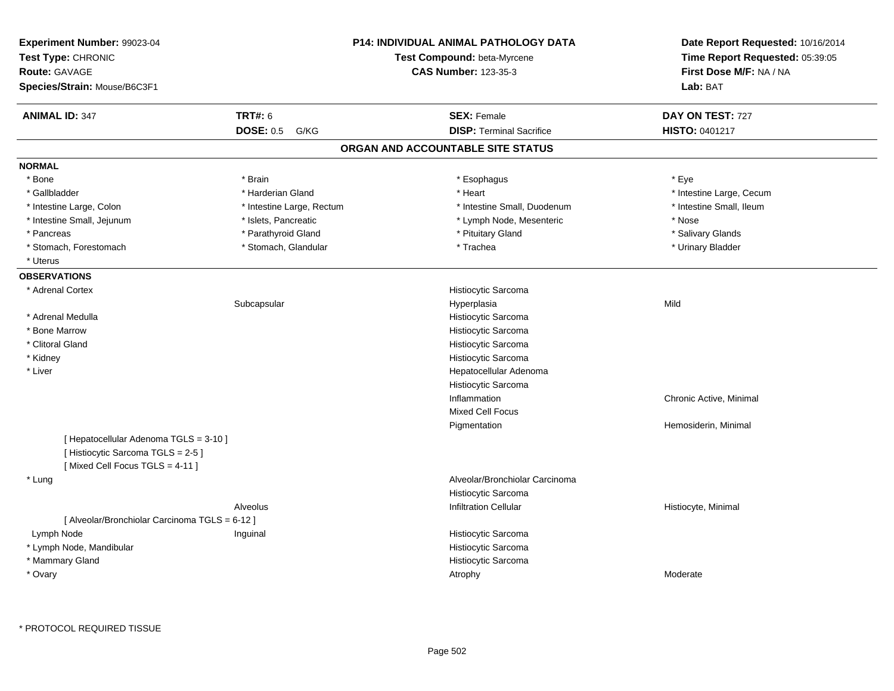| Experiment Number: 99023-04<br>Test Type: CHRONIC<br><b>Route: GAVAGE</b><br>Species/Strain: Mouse/B6C3F1    |                           | <b>P14: INDIVIDUAL ANIMAL PATHOLOGY DATA</b><br>Test Compound: beta-Myrcene<br><b>CAS Number: 123-35-3</b> | Date Report Requested: 10/16/2014<br>Time Report Requested: 05:39:05<br>First Dose M/F: NA / NA<br>Lab: BAT |
|--------------------------------------------------------------------------------------------------------------|---------------------------|------------------------------------------------------------------------------------------------------------|-------------------------------------------------------------------------------------------------------------|
| <b>ANIMAL ID: 347</b>                                                                                        | <b>TRT#: 6</b>            | <b>SEX: Female</b>                                                                                         | DAY ON TEST: 727                                                                                            |
|                                                                                                              | <b>DOSE: 0.5</b><br>G/KG  | <b>DISP: Terminal Sacrifice</b>                                                                            | HISTO: 0401217                                                                                              |
|                                                                                                              |                           | ORGAN AND ACCOUNTABLE SITE STATUS                                                                          |                                                                                                             |
| <b>NORMAL</b>                                                                                                |                           |                                                                                                            |                                                                                                             |
| * Bone                                                                                                       | * Brain                   | * Esophagus                                                                                                | * Eye                                                                                                       |
| * Gallbladder                                                                                                | * Harderian Gland         | * Heart                                                                                                    | * Intestine Large, Cecum                                                                                    |
| * Intestine Large, Colon                                                                                     | * Intestine Large, Rectum | * Intestine Small, Duodenum                                                                                | * Intestine Small, Ileum                                                                                    |
| * Intestine Small, Jejunum                                                                                   | * Islets, Pancreatic      | * Lymph Node, Mesenteric                                                                                   | * Nose                                                                                                      |
| * Pancreas                                                                                                   | * Parathyroid Gland       | * Pituitary Gland                                                                                          | * Salivary Glands                                                                                           |
| * Stomach, Forestomach                                                                                       | * Stomach, Glandular      | * Trachea                                                                                                  | * Urinary Bladder                                                                                           |
| * Uterus                                                                                                     |                           |                                                                                                            |                                                                                                             |
| <b>OBSERVATIONS</b>                                                                                          |                           |                                                                                                            |                                                                                                             |
| * Adrenal Cortex                                                                                             |                           | Histiocytic Sarcoma                                                                                        |                                                                                                             |
|                                                                                                              | Subcapsular               | Hyperplasia                                                                                                | Mild                                                                                                        |
| * Adrenal Medulla                                                                                            |                           | Histiocytic Sarcoma                                                                                        |                                                                                                             |
| * Bone Marrow                                                                                                |                           | Histiocytic Sarcoma                                                                                        |                                                                                                             |
| * Clitoral Gland                                                                                             |                           | Histiocytic Sarcoma                                                                                        |                                                                                                             |
| * Kidney                                                                                                     |                           | Histiocytic Sarcoma                                                                                        |                                                                                                             |
| * Liver                                                                                                      |                           | Hepatocellular Adenoma                                                                                     |                                                                                                             |
|                                                                                                              |                           | Histiocytic Sarcoma                                                                                        |                                                                                                             |
|                                                                                                              |                           | Inflammation                                                                                               | Chronic Active, Minimal                                                                                     |
|                                                                                                              |                           | <b>Mixed Cell Focus</b>                                                                                    |                                                                                                             |
|                                                                                                              |                           | Pigmentation                                                                                               | Hemosiderin, Minimal                                                                                        |
| [ Hepatocellular Adenoma TGLS = 3-10 ]<br>[Histiocytic Sarcoma TGLS = 2-5]<br>[Mixed Cell Focus TGLS = 4-11] |                           |                                                                                                            |                                                                                                             |
| * Lung                                                                                                       |                           | Alveolar/Bronchiolar Carcinoma                                                                             |                                                                                                             |
|                                                                                                              |                           | Histiocytic Sarcoma                                                                                        |                                                                                                             |
|                                                                                                              | Alveolus                  | <b>Infiltration Cellular</b>                                                                               | Histiocyte, Minimal                                                                                         |
| [ Alveolar/Bronchiolar Carcinoma TGLS = 6-12 ]                                                               |                           |                                                                                                            |                                                                                                             |
| Lymph Node                                                                                                   | Inguinal                  | Histiocytic Sarcoma                                                                                        |                                                                                                             |
| * Lymph Node, Mandibular                                                                                     |                           | Histiocytic Sarcoma                                                                                        |                                                                                                             |
| * Mammary Gland                                                                                              |                           | Histiocytic Sarcoma                                                                                        |                                                                                                             |
| * Ovary                                                                                                      |                           | Atrophy                                                                                                    | Moderate                                                                                                    |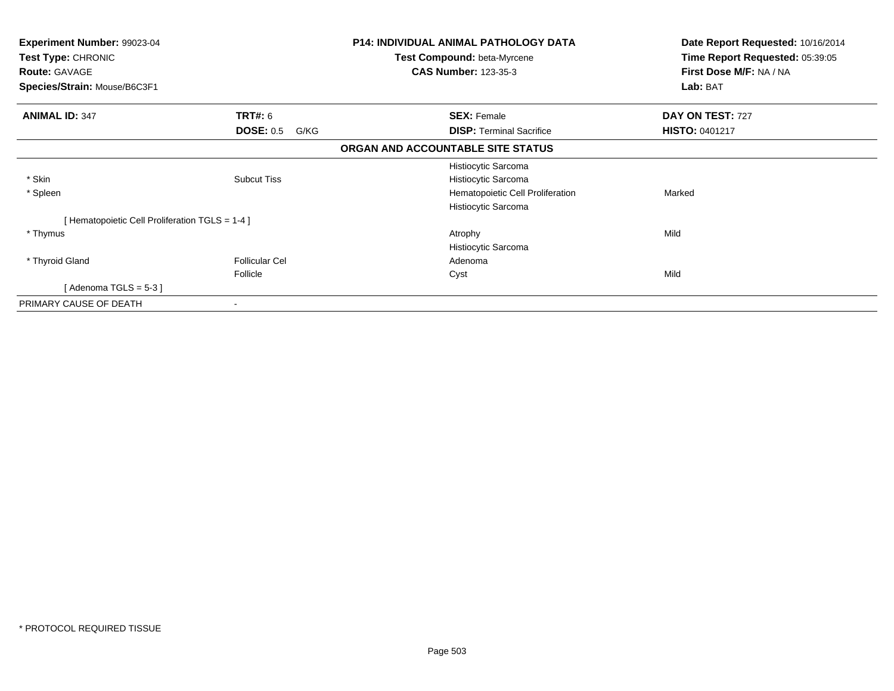| Experiment Number: 99023-04<br>Test Type: CHRONIC<br><b>Route: GAVAGE</b><br>Species/Strain: Mouse/B6C3F1 |                          | <b>P14: INDIVIDUAL ANIMAL PATHOLOGY DATA</b><br>Test Compound: beta-Myrcene<br><b>CAS Number: 123-35-3</b> | Date Report Requested: 10/16/2014<br>Time Report Requested: 05:39:05<br>First Dose M/F: NA / NA<br>Lab: BAT |
|-----------------------------------------------------------------------------------------------------------|--------------------------|------------------------------------------------------------------------------------------------------------|-------------------------------------------------------------------------------------------------------------|
|                                                                                                           |                          |                                                                                                            |                                                                                                             |
| <b>ANIMAL ID: 347</b>                                                                                     | <b>TRT#: 6</b>           | <b>SEX: Female</b>                                                                                         | DAY ON TEST: 727                                                                                            |
|                                                                                                           | <b>DOSE: 0.5</b><br>G/KG | <b>DISP: Terminal Sacrifice</b>                                                                            | <b>HISTO: 0401217</b>                                                                                       |
|                                                                                                           |                          | ORGAN AND ACCOUNTABLE SITE STATUS                                                                          |                                                                                                             |
|                                                                                                           |                          | Histiocytic Sarcoma                                                                                        |                                                                                                             |
| * Skin                                                                                                    | <b>Subcut Tiss</b>       | Histiocytic Sarcoma                                                                                        |                                                                                                             |
| * Spleen                                                                                                  |                          | Hematopoietic Cell Proliferation                                                                           | Marked                                                                                                      |
|                                                                                                           |                          | Histiocytic Sarcoma                                                                                        |                                                                                                             |
| [Hematopoietic Cell Proliferation TGLS = 1-4 ]                                                            |                          |                                                                                                            |                                                                                                             |
| * Thymus                                                                                                  |                          | Atrophy                                                                                                    | Mild                                                                                                        |
|                                                                                                           |                          | Histiocytic Sarcoma                                                                                        |                                                                                                             |
| * Thyroid Gland                                                                                           | <b>Follicular Cel</b>    | Adenoma                                                                                                    |                                                                                                             |
|                                                                                                           | Follicle                 | Cyst                                                                                                       | Mild                                                                                                        |
| [Adenoma TGLS = $5-3$ ]                                                                                   |                          |                                                                                                            |                                                                                                             |
| PRIMARY CAUSE OF DEATH                                                                                    |                          |                                                                                                            |                                                                                                             |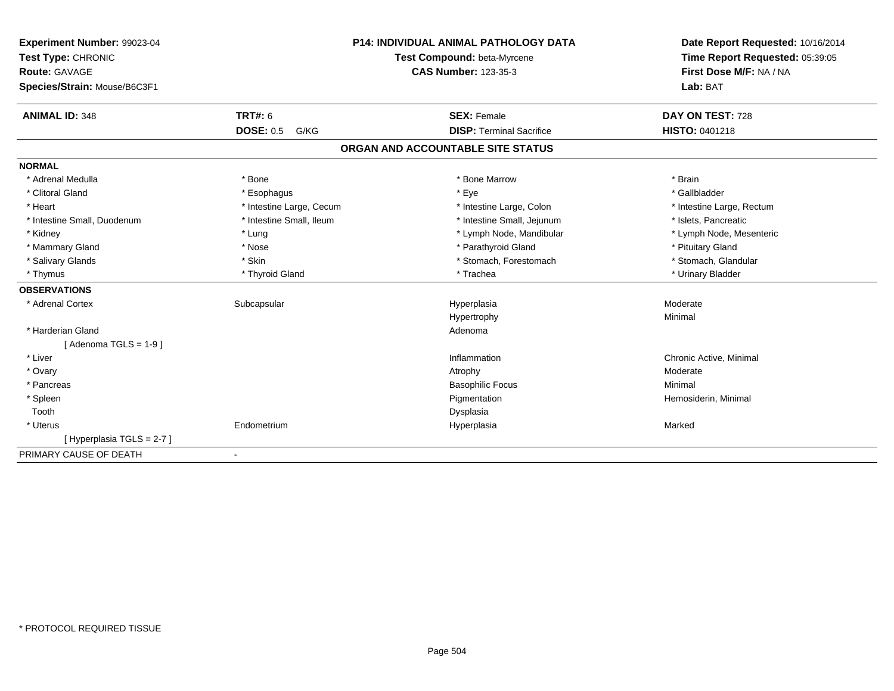| Experiment Number: 99023-04<br>Test Type: CHRONIC |                          | <b>P14: INDIVIDUAL ANIMAL PATHOLOGY DATA</b><br>Test Compound: beta-Myrcene | Date Report Requested: 10/16/2014<br>Time Report Requested: 05:39:05 |
|---------------------------------------------------|--------------------------|-----------------------------------------------------------------------------|----------------------------------------------------------------------|
| Route: GAVAGE                                     |                          | <b>CAS Number: 123-35-3</b>                                                 | First Dose M/F: NA / NA                                              |
| Species/Strain: Mouse/B6C3F1                      |                          |                                                                             | Lab: BAT                                                             |
| <b>ANIMAL ID: 348</b>                             | <b>TRT#: 6</b>           | <b>SEX: Female</b>                                                          | DAY ON TEST: 728                                                     |
|                                                   | <b>DOSE: 0.5</b><br>G/KG | <b>DISP: Terminal Sacrifice</b>                                             | <b>HISTO: 0401218</b>                                                |
|                                                   |                          | ORGAN AND ACCOUNTABLE SITE STATUS                                           |                                                                      |
| <b>NORMAL</b>                                     |                          |                                                                             |                                                                      |
| * Adrenal Medulla                                 | * Bone                   | * Bone Marrow                                                               | * Brain                                                              |
| * Clitoral Gland                                  | * Esophagus              | * Eye                                                                       | * Gallbladder                                                        |
| * Heart                                           | * Intestine Large, Cecum | * Intestine Large, Colon                                                    | * Intestine Large, Rectum                                            |
| * Intestine Small, Duodenum                       | * Intestine Small, Ileum | * Intestine Small, Jejunum                                                  | * Islets, Pancreatic                                                 |
| * Kidney                                          | * Lung                   | * Lymph Node, Mandibular                                                    | * Lymph Node, Mesenteric                                             |
| * Mammary Gland                                   | * Nose                   | * Parathyroid Gland                                                         | * Pituitary Gland                                                    |
| * Salivary Glands                                 | * Skin                   | * Stomach, Forestomach                                                      | * Stomach, Glandular                                                 |
| * Thymus                                          | * Thyroid Gland          | * Trachea                                                                   | * Urinary Bladder                                                    |
| <b>OBSERVATIONS</b>                               |                          |                                                                             |                                                                      |
| * Adrenal Cortex                                  | Subcapsular              | Hyperplasia                                                                 | Moderate                                                             |
|                                                   |                          | Hypertrophy                                                                 | Minimal                                                              |
| * Harderian Gland                                 |                          | Adenoma                                                                     |                                                                      |
| [Adenoma TGLS = $1-9$ ]                           |                          |                                                                             |                                                                      |
| * Liver                                           |                          | Inflammation                                                                | Chronic Active, Minimal                                              |
| * Ovary                                           |                          | Atrophy                                                                     | Moderate                                                             |
| * Pancreas                                        |                          | <b>Basophilic Focus</b>                                                     | Minimal                                                              |
| * Spleen                                          |                          | Pigmentation                                                                | Hemosiderin, Minimal                                                 |
| Tooth                                             |                          | Dysplasia                                                                   |                                                                      |
| * Uterus                                          | Endometrium              | Hyperplasia                                                                 | Marked                                                               |
| [Hyperplasia TGLS = 2-7]                          |                          |                                                                             |                                                                      |
| PRIMARY CAUSE OF DEATH                            | ٠                        |                                                                             |                                                                      |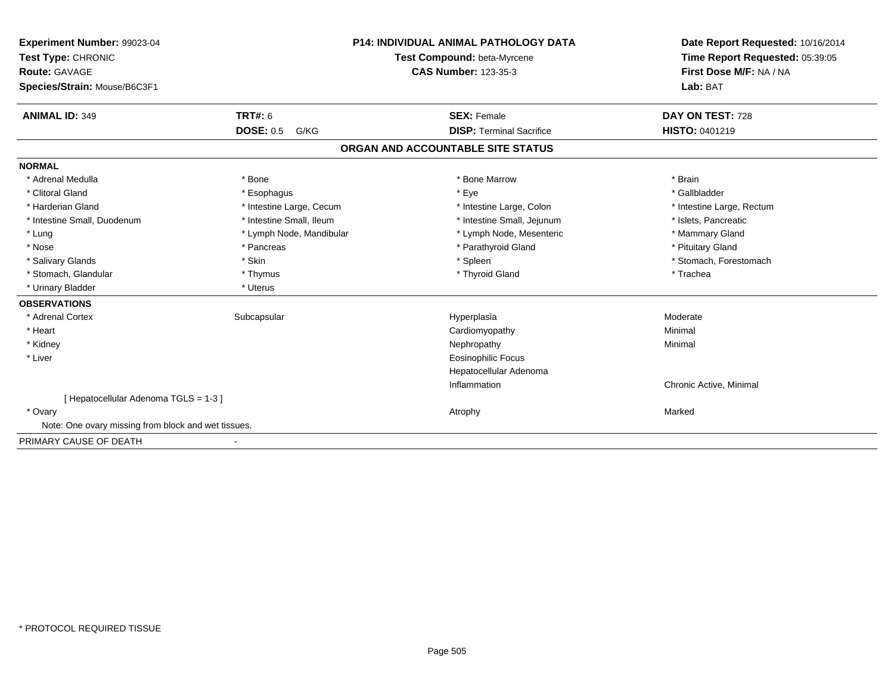| Experiment Number: 99023-04<br>Test Type: CHRONIC<br>Route: GAVAGE |                          | <b>P14: INDIVIDUAL ANIMAL PATHOLOGY DATA</b><br>Test Compound: beta-Myrcene<br><b>CAS Number: 123-35-3</b> | Date Report Requested: 10/16/2014<br>Time Report Requested: 05:39:05<br>First Dose M/F: NA / NA |
|--------------------------------------------------------------------|--------------------------|------------------------------------------------------------------------------------------------------------|-------------------------------------------------------------------------------------------------|
| Species/Strain: Mouse/B6C3F1                                       |                          |                                                                                                            | Lab: BAT                                                                                        |
| <b>ANIMAL ID: 349</b>                                              | <b>TRT#: 6</b>           | <b>SEX: Female</b>                                                                                         | DAY ON TEST: 728                                                                                |
|                                                                    | <b>DOSE: 0.5</b><br>G/KG | <b>DISP: Terminal Sacrifice</b>                                                                            | <b>HISTO: 0401219</b>                                                                           |
|                                                                    |                          | ORGAN AND ACCOUNTABLE SITE STATUS                                                                          |                                                                                                 |
| <b>NORMAL</b>                                                      |                          |                                                                                                            |                                                                                                 |
| * Adrenal Medulla                                                  | * Bone                   | * Bone Marrow                                                                                              | * Brain                                                                                         |
| * Clitoral Gland                                                   | * Esophagus              | * Eye                                                                                                      | * Gallbladder                                                                                   |
| * Harderian Gland                                                  | * Intestine Large, Cecum | * Intestine Large, Colon                                                                                   | * Intestine Large, Rectum                                                                       |
| * Intestine Small, Duodenum                                        | * Intestine Small, Ileum | * Intestine Small, Jejunum                                                                                 | * Islets, Pancreatic                                                                            |
| * Lung                                                             | * Lymph Node, Mandibular | * Lymph Node, Mesenteric                                                                                   | * Mammary Gland                                                                                 |
| * Nose                                                             | * Pancreas               | * Parathyroid Gland                                                                                        | * Pituitary Gland                                                                               |
| * Salivary Glands                                                  | * Skin                   | * Spleen                                                                                                   | * Stomach, Forestomach                                                                          |
| * Stomach, Glandular                                               | * Thymus                 | * Thyroid Gland                                                                                            | * Trachea                                                                                       |
| * Urinary Bladder                                                  | * Uterus                 |                                                                                                            |                                                                                                 |
| <b>OBSERVATIONS</b>                                                |                          |                                                                                                            |                                                                                                 |
| * Adrenal Cortex                                                   | Subcapsular              | Hyperplasia                                                                                                | Moderate                                                                                        |
| * Heart                                                            |                          | Cardiomyopathy                                                                                             | Minimal                                                                                         |
| * Kidney                                                           |                          | Nephropathy                                                                                                | Minimal                                                                                         |
| * Liver                                                            |                          | <b>Eosinophilic Focus</b>                                                                                  |                                                                                                 |
|                                                                    |                          | Hepatocellular Adenoma                                                                                     |                                                                                                 |
|                                                                    |                          | Inflammation                                                                                               | Chronic Active, Minimal                                                                         |
| [Hepatocellular Adenoma TGLS = 1-3]                                |                          |                                                                                                            |                                                                                                 |
| * Ovary                                                            |                          | Atrophy                                                                                                    | Marked                                                                                          |
| Note: One ovary missing from block and wet tissues.                |                          |                                                                                                            |                                                                                                 |
| PRIMARY CAUSE OF DEATH                                             |                          |                                                                                                            |                                                                                                 |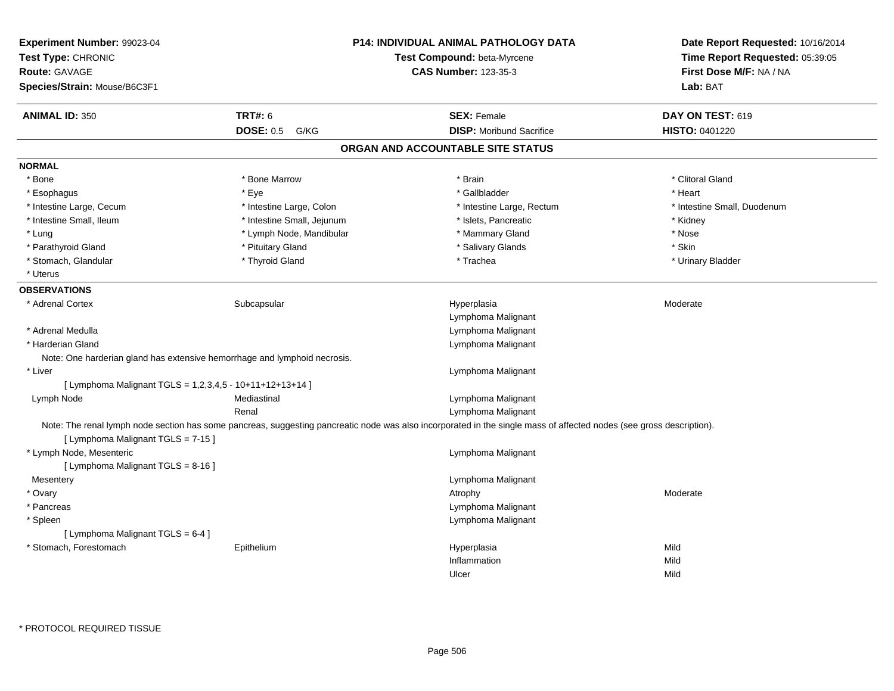| Experiment Number: 99023-04<br>Test Type: CHRONIC<br>Route: GAVAGE<br>Species/Strain: Mouse/B6C3F1 |                                                                           | P14: INDIVIDUAL ANIMAL PATHOLOGY DATA<br>Test Compound: beta-Myrcene<br><b>CAS Number: 123-35-3</b>                                                                  | Date Report Requested: 10/16/2014<br>Time Report Requested: 05:39:05<br>First Dose M/F: NA / NA<br>Lab: BAT |
|----------------------------------------------------------------------------------------------------|---------------------------------------------------------------------------|----------------------------------------------------------------------------------------------------------------------------------------------------------------------|-------------------------------------------------------------------------------------------------------------|
| <b>ANIMAL ID: 350</b>                                                                              | <b>TRT#: 6</b>                                                            | <b>SEX: Female</b>                                                                                                                                                   | DAY ON TEST: 619                                                                                            |
|                                                                                                    | <b>DOSE: 0.5</b><br>G/KG                                                  | <b>DISP:</b> Moribund Sacrifice                                                                                                                                      | HISTO: 0401220                                                                                              |
|                                                                                                    |                                                                           | ORGAN AND ACCOUNTABLE SITE STATUS                                                                                                                                    |                                                                                                             |
| <b>NORMAL</b>                                                                                      |                                                                           |                                                                                                                                                                      |                                                                                                             |
| * Bone                                                                                             | * Bone Marrow                                                             | * Brain                                                                                                                                                              | * Clitoral Gland                                                                                            |
| * Esophagus                                                                                        | * Eye                                                                     | * Gallbladder                                                                                                                                                        | * Heart                                                                                                     |
| * Intestine Large, Cecum                                                                           | * Intestine Large, Colon                                                  | * Intestine Large, Rectum                                                                                                                                            | * Intestine Small, Duodenum                                                                                 |
| * Intestine Small, Ileum                                                                           | * Intestine Small, Jejunum                                                | * Islets, Pancreatic                                                                                                                                                 | * Kidney                                                                                                    |
| * Lung                                                                                             | * Lymph Node, Mandibular                                                  | * Mammary Gland                                                                                                                                                      | * Nose                                                                                                      |
| * Parathyroid Gland                                                                                | * Pituitary Gland                                                         | * Salivary Glands                                                                                                                                                    | * Skin                                                                                                      |
| * Stomach, Glandular                                                                               | * Thyroid Gland                                                           | * Trachea                                                                                                                                                            | * Urinary Bladder                                                                                           |
| * Uterus                                                                                           |                                                                           |                                                                                                                                                                      |                                                                                                             |
| <b>OBSERVATIONS</b>                                                                                |                                                                           |                                                                                                                                                                      |                                                                                                             |
| * Adrenal Cortex                                                                                   | Subcapsular                                                               | Hyperplasia                                                                                                                                                          | Moderate                                                                                                    |
|                                                                                                    |                                                                           | Lymphoma Malignant                                                                                                                                                   |                                                                                                             |
| * Adrenal Medulla                                                                                  |                                                                           | Lymphoma Malignant                                                                                                                                                   |                                                                                                             |
| * Harderian Gland                                                                                  |                                                                           | Lymphoma Malignant                                                                                                                                                   |                                                                                                             |
|                                                                                                    | Note: One harderian gland has extensive hemorrhage and lymphoid necrosis. |                                                                                                                                                                      |                                                                                                             |
| * Liver                                                                                            |                                                                           | Lymphoma Malignant                                                                                                                                                   |                                                                                                             |
| [ Lymphoma Malignant TGLS = 1,2,3,4,5 - 10+11+12+13+14 ]                                           |                                                                           |                                                                                                                                                                      |                                                                                                             |
| Lymph Node                                                                                         | Mediastinal                                                               | Lymphoma Malignant                                                                                                                                                   |                                                                                                             |
|                                                                                                    | Renal                                                                     | Lymphoma Malignant                                                                                                                                                   |                                                                                                             |
| [ Lymphoma Malignant TGLS = 7-15 ]                                                                 |                                                                           | Note: The renal lymph node section has some pancreas, suggesting pancreatic node was also incorporated in the single mass of affected nodes (see gross description). |                                                                                                             |
| * Lymph Node, Mesenteric                                                                           |                                                                           | Lymphoma Malignant                                                                                                                                                   |                                                                                                             |
| [ Lymphoma Malignant TGLS = 8-16 ]                                                                 |                                                                           |                                                                                                                                                                      |                                                                                                             |
| Mesentery                                                                                          |                                                                           | Lymphoma Malignant                                                                                                                                                   |                                                                                                             |
| * Ovary                                                                                            |                                                                           | Atrophy                                                                                                                                                              | Moderate                                                                                                    |
| * Pancreas                                                                                         |                                                                           | Lymphoma Malignant                                                                                                                                                   |                                                                                                             |
| * Spleen                                                                                           |                                                                           | Lymphoma Malignant                                                                                                                                                   |                                                                                                             |
| [ Lymphoma Malignant TGLS = 6-4 ]                                                                  |                                                                           |                                                                                                                                                                      |                                                                                                             |
| * Stomach, Forestomach                                                                             | Epithelium                                                                | Hyperplasia                                                                                                                                                          | Mild                                                                                                        |
|                                                                                                    |                                                                           | Inflammation                                                                                                                                                         | Mild                                                                                                        |
|                                                                                                    |                                                                           | Ulcer                                                                                                                                                                | Mild                                                                                                        |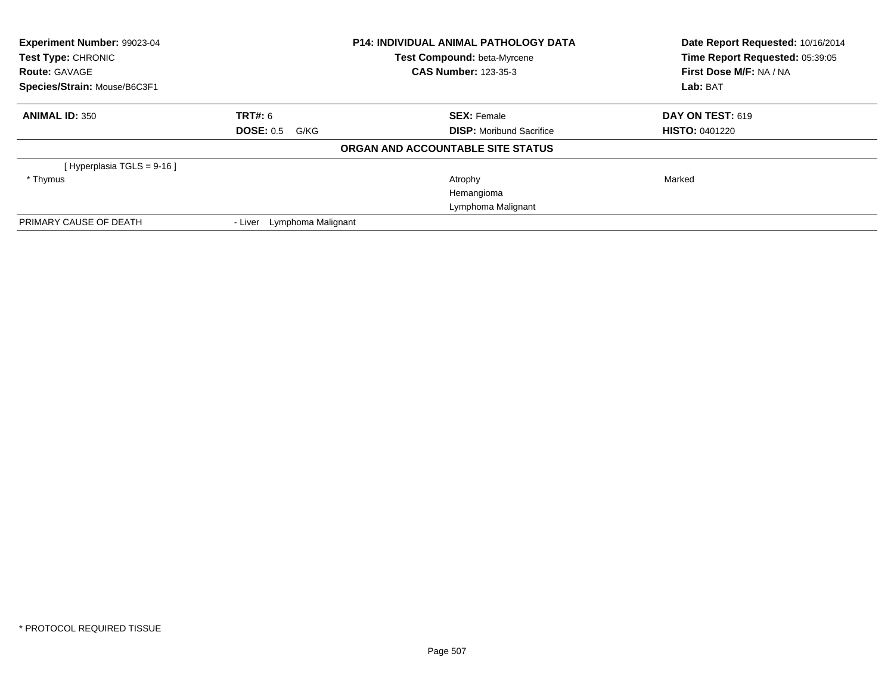| Experiment Number: 99023-04<br>Test Type: CHRONIC<br><b>Route: GAVAGE</b> |                               | <b>P14: INDIVIDUAL ANIMAL PATHOLOGY DATA</b><br>Test Compound: beta-Myrcene<br><b>CAS Number: 123-35-3</b> | Date Report Requested: 10/16/2014<br>Time Report Requested: 05:39:05<br>First Dose M/F: NA / NA |
|---------------------------------------------------------------------------|-------------------------------|------------------------------------------------------------------------------------------------------------|-------------------------------------------------------------------------------------------------|
| Species/Strain: Mouse/B6C3F1                                              |                               |                                                                                                            | Lab: BAT                                                                                        |
| <b>ANIMAL ID: 350</b>                                                     | TRT#: 6                       | <b>SEX: Female</b>                                                                                         | <b>DAY ON TEST: 619</b>                                                                         |
|                                                                           | <b>DOSE: 0.5 G/KG</b>         | <b>DISP:</b> Moribund Sacrifice                                                                            | <b>HISTO: 0401220</b>                                                                           |
|                                                                           |                               | ORGAN AND ACCOUNTABLE SITE STATUS                                                                          |                                                                                                 |
| [Hyperplasia TGLS = 9-16 ]                                                |                               |                                                                                                            |                                                                                                 |
| * Thymus                                                                  |                               | Atrophy                                                                                                    | Marked                                                                                          |
|                                                                           |                               | Hemangioma                                                                                                 |                                                                                                 |
|                                                                           |                               | Lymphoma Malignant                                                                                         |                                                                                                 |
| PRIMARY CAUSE OF DEATH                                                    | Lymphoma Malignant<br>- Liver |                                                                                                            |                                                                                                 |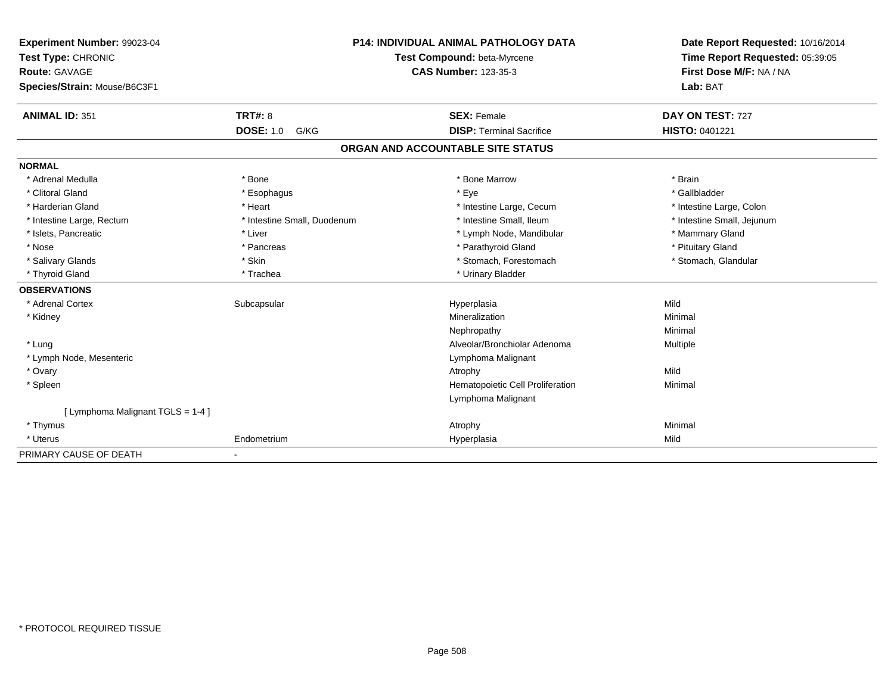| Experiment Number: 99023-04       |                             |                             | <b>P14: INDIVIDUAL ANIMAL PATHOLOGY DATA</b> | Date Report Requested: 10/16/2014 |  |
|-----------------------------------|-----------------------------|-----------------------------|----------------------------------------------|-----------------------------------|--|
| Test Type: CHRONIC                | Test Compound: beta-Myrcene |                             | Time Report Requested: 05:39:05              |                                   |  |
| Route: GAVAGE                     |                             | <b>CAS Number: 123-35-3</b> |                                              | First Dose M/F: NA / NA           |  |
| Species/Strain: Mouse/B6C3F1      |                             |                             |                                              | Lab: BAT                          |  |
| <b>ANIMAL ID: 351</b>             | <b>TRT#: 8</b>              |                             | <b>SEX: Female</b>                           | DAY ON TEST: 727                  |  |
|                                   | <b>DOSE: 1.0</b><br>G/KG    |                             | <b>DISP: Terminal Sacrifice</b>              | <b>HISTO: 0401221</b>             |  |
|                                   |                             |                             | ORGAN AND ACCOUNTABLE SITE STATUS            |                                   |  |
| <b>NORMAL</b>                     |                             |                             |                                              |                                   |  |
| * Adrenal Medulla                 | * Bone                      |                             | * Bone Marrow                                | * Brain                           |  |
| * Clitoral Gland                  | * Esophagus                 |                             | * Eye                                        | * Gallbladder                     |  |
| * Harderian Gland                 | * Heart                     |                             | * Intestine Large, Cecum                     | * Intestine Large, Colon          |  |
| * Intestine Large, Rectum         | * Intestine Small, Duodenum |                             | * Intestine Small, Ileum                     | * Intestine Small, Jejunum        |  |
| * Islets, Pancreatic              | * Liver                     |                             | * Lymph Node, Mandibular                     | * Mammary Gland                   |  |
| * Nose                            | * Pancreas                  |                             | * Parathyroid Gland                          | * Pituitary Gland                 |  |
| * Salivary Glands                 | * Skin                      |                             | * Stomach, Forestomach                       | * Stomach, Glandular              |  |
| * Thyroid Gland                   | * Trachea                   |                             | * Urinary Bladder                            |                                   |  |
| <b>OBSERVATIONS</b>               |                             |                             |                                              |                                   |  |
| * Adrenal Cortex                  | Subcapsular                 |                             | Hyperplasia                                  | Mild                              |  |
| * Kidney                          |                             |                             | Mineralization                               | Minimal                           |  |
|                                   |                             |                             | Nephropathy                                  | Minimal                           |  |
| * Lung                            |                             |                             | Alveolar/Bronchiolar Adenoma                 | Multiple                          |  |
| * Lymph Node, Mesenteric          |                             |                             | Lymphoma Malignant                           |                                   |  |
| * Ovary                           |                             |                             | Atrophy                                      | Mild                              |  |
| * Spleen                          |                             |                             | Hematopoietic Cell Proliferation             | Minimal                           |  |
|                                   |                             |                             | Lymphoma Malignant                           |                                   |  |
| [ Lymphoma Malignant TGLS = 1-4 ] |                             |                             |                                              |                                   |  |
| * Thymus                          |                             |                             | Atrophy                                      | Minimal                           |  |
| * Uterus                          | Endometrium                 |                             | Hyperplasia                                  | Mild                              |  |
| PRIMARY CAUSE OF DEATH            |                             |                             |                                              |                                   |  |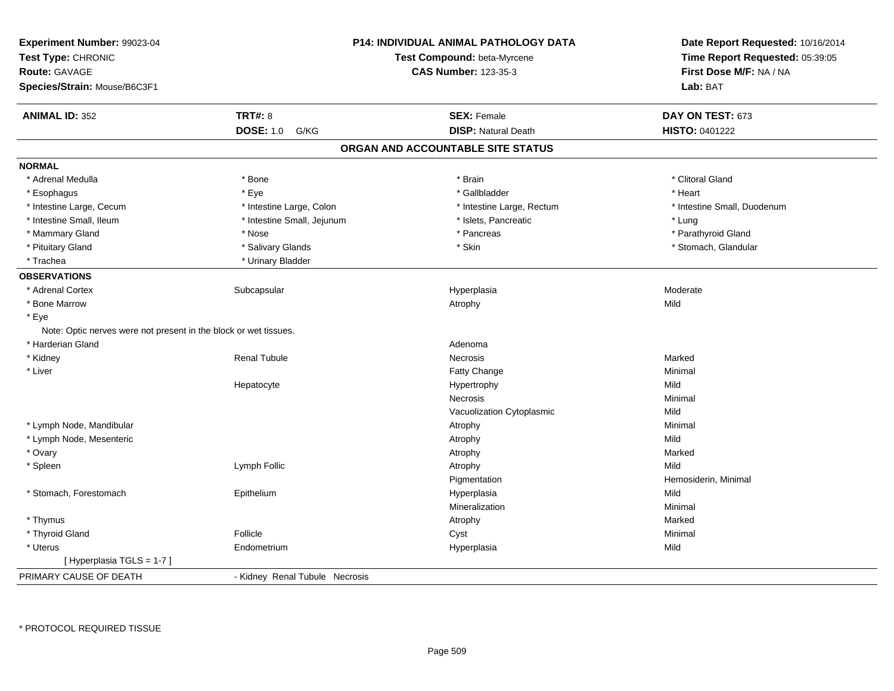| Experiment Number: 99023-04<br>Test Type: CHRONIC<br><b>Route: GAVAGE</b><br>Species/Strain: Mouse/B6C3F1 |                                | <b>P14: INDIVIDUAL ANIMAL PATHOLOGY DATA</b><br>Test Compound: beta-Myrcene<br><b>CAS Number: 123-35-3</b> | Date Report Requested: 10/16/2014<br>Time Report Requested: 05:39:05<br>First Dose M/F: NA / NA<br>Lab: BAT |
|-----------------------------------------------------------------------------------------------------------|--------------------------------|------------------------------------------------------------------------------------------------------------|-------------------------------------------------------------------------------------------------------------|
|                                                                                                           |                                |                                                                                                            |                                                                                                             |
| <b>ANIMAL ID: 352</b>                                                                                     | <b>TRT#: 8</b>                 | <b>SEX: Female</b>                                                                                         | DAY ON TEST: 673                                                                                            |
|                                                                                                           | <b>DOSE: 1.0</b><br>G/KG       | <b>DISP: Natural Death</b>                                                                                 | HISTO: 0401222                                                                                              |
|                                                                                                           |                                | ORGAN AND ACCOUNTABLE SITE STATUS                                                                          |                                                                                                             |
| <b>NORMAL</b>                                                                                             |                                |                                                                                                            |                                                                                                             |
| * Adrenal Medulla                                                                                         | * Bone                         | * Brain                                                                                                    | * Clitoral Gland                                                                                            |
| * Esophagus                                                                                               | * Eye                          | * Gallbladder                                                                                              | * Heart                                                                                                     |
| * Intestine Large, Cecum                                                                                  | * Intestine Large, Colon       | * Intestine Large, Rectum                                                                                  | * Intestine Small, Duodenum                                                                                 |
| * Intestine Small, Ileum                                                                                  | * Intestine Small, Jejunum     | * Islets, Pancreatic                                                                                       | * Lung                                                                                                      |
| * Mammary Gland                                                                                           | * Nose                         | * Pancreas                                                                                                 | * Parathyroid Gland                                                                                         |
| * Pituitary Gland                                                                                         | * Salivary Glands              | * Skin                                                                                                     | * Stomach, Glandular                                                                                        |
| * Trachea                                                                                                 | * Urinary Bladder              |                                                                                                            |                                                                                                             |
| <b>OBSERVATIONS</b>                                                                                       |                                |                                                                                                            |                                                                                                             |
| * Adrenal Cortex                                                                                          | Subcapsular                    | Hyperplasia                                                                                                | Moderate                                                                                                    |
| * Bone Marrow                                                                                             |                                | Atrophy                                                                                                    | Mild                                                                                                        |
| * Eye                                                                                                     |                                |                                                                                                            |                                                                                                             |
| Note: Optic nerves were not present in the block or wet tissues.                                          |                                |                                                                                                            |                                                                                                             |
| * Harderian Gland                                                                                         |                                | Adenoma                                                                                                    |                                                                                                             |
| * Kidney                                                                                                  | <b>Renal Tubule</b>            | Necrosis                                                                                                   | Marked                                                                                                      |
| * Liver                                                                                                   |                                | Fatty Change                                                                                               | Minimal                                                                                                     |
|                                                                                                           | Hepatocyte                     | Hypertrophy                                                                                                | Mild                                                                                                        |
|                                                                                                           |                                | Necrosis                                                                                                   | Minimal                                                                                                     |
|                                                                                                           |                                | Vacuolization Cytoplasmic                                                                                  | Mild                                                                                                        |
| * Lymph Node, Mandibular                                                                                  |                                | Atrophy                                                                                                    | Minimal                                                                                                     |
| * Lymph Node, Mesenteric                                                                                  |                                | Atrophy                                                                                                    | Mild                                                                                                        |
| * Ovary                                                                                                   |                                | Atrophy                                                                                                    | Marked                                                                                                      |
| * Spleen                                                                                                  | Lymph Follic                   | Atrophy                                                                                                    | Mild                                                                                                        |
|                                                                                                           |                                | Pigmentation                                                                                               | Hemosiderin, Minimal                                                                                        |
| * Stomach, Forestomach                                                                                    | Epithelium                     | Hyperplasia                                                                                                | Mild                                                                                                        |
|                                                                                                           |                                | Mineralization                                                                                             | Minimal                                                                                                     |
| * Thymus                                                                                                  |                                | Atrophy                                                                                                    | Marked                                                                                                      |
| * Thyroid Gland                                                                                           | Follicle                       | Cyst                                                                                                       | Minimal                                                                                                     |
| * Uterus                                                                                                  | Endometrium                    | Hyperplasia                                                                                                | Mild                                                                                                        |
| [Hyperplasia TGLS = 1-7]                                                                                  |                                |                                                                                                            |                                                                                                             |
| PRIMARY CAUSE OF DEATH                                                                                    | - Kidney Renal Tubule Necrosis |                                                                                                            |                                                                                                             |
|                                                                                                           |                                |                                                                                                            |                                                                                                             |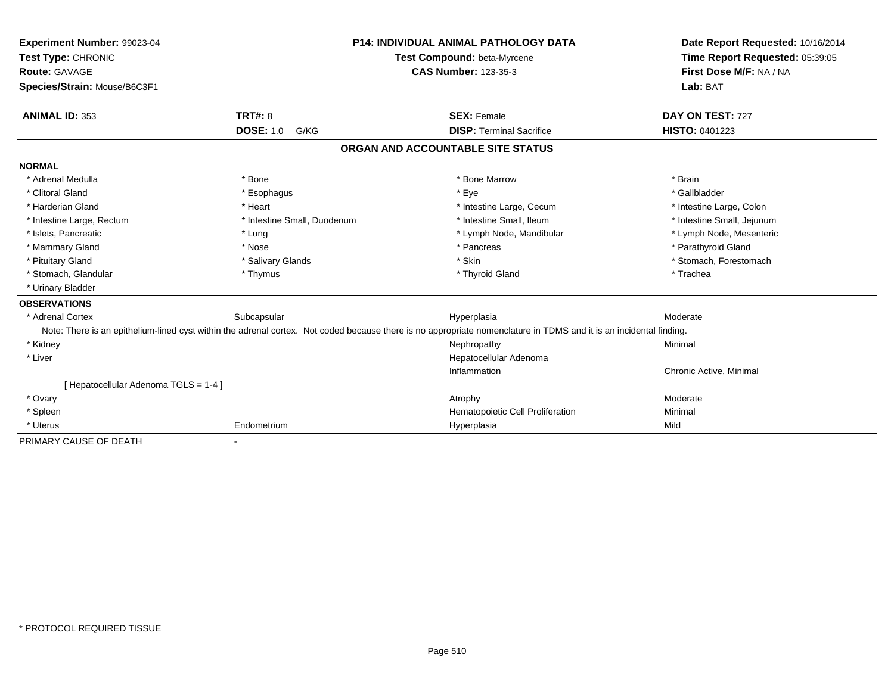| Experiment Number: 99023-04<br>Test Type: CHRONIC |                             | <b>P14: INDIVIDUAL ANIMAL PATHOLOGY DATA</b>                                                                                                                       | Date Report Requested: 10/16/2014 |
|---------------------------------------------------|-----------------------------|--------------------------------------------------------------------------------------------------------------------------------------------------------------------|-----------------------------------|
|                                                   |                             | Test Compound: beta-Myrcene                                                                                                                                        | Time Report Requested: 05:39:05   |
| Route: GAVAGE                                     | <b>CAS Number: 123-35-3</b> |                                                                                                                                                                    | First Dose M/F: NA / NA           |
| Species/Strain: Mouse/B6C3F1                      |                             |                                                                                                                                                                    | Lab: BAT                          |
| <b>ANIMAL ID: 353</b>                             | TRT#: 8                     | <b>SEX: Female</b>                                                                                                                                                 | DAY ON TEST: 727                  |
|                                                   | <b>DOSE: 1.0</b><br>G/KG    | <b>DISP: Terminal Sacrifice</b>                                                                                                                                    | HISTO: 0401223                    |
|                                                   |                             | ORGAN AND ACCOUNTABLE SITE STATUS                                                                                                                                  |                                   |
| <b>NORMAL</b>                                     |                             |                                                                                                                                                                    |                                   |
| * Adrenal Medulla                                 | * Bone                      | * Bone Marrow                                                                                                                                                      | * Brain                           |
| * Clitoral Gland                                  | * Esophagus                 | * Eye                                                                                                                                                              | * Gallbladder                     |
| * Harderian Gland                                 | * Heart                     | * Intestine Large, Cecum                                                                                                                                           | * Intestine Large, Colon          |
| * Intestine Large, Rectum                         | * Intestine Small, Duodenum | * Intestine Small, Ileum                                                                                                                                           | * Intestine Small, Jejunum        |
| * Islets, Pancreatic                              | * Lung                      | * Lymph Node, Mandibular                                                                                                                                           | * Lymph Node, Mesenteric          |
| * Mammary Gland                                   | * Nose                      | * Pancreas                                                                                                                                                         | * Parathyroid Gland               |
| * Pituitary Gland                                 | * Salivary Glands           | * Skin                                                                                                                                                             | * Stomach, Forestomach            |
| * Stomach, Glandular                              | * Thymus                    | * Thyroid Gland                                                                                                                                                    | * Trachea                         |
| * Urinary Bladder                                 |                             |                                                                                                                                                                    |                                   |
| <b>OBSERVATIONS</b>                               |                             |                                                                                                                                                                    |                                   |
| * Adrenal Cortex                                  | Subcapsular                 | Hyperplasia                                                                                                                                                        | Moderate                          |
|                                                   |                             | Note: There is an epithelium-lined cyst within the adrenal cortex. Not coded because there is no appropriate nomenclature in TDMS and it is an incidental finding. |                                   |
| * Kidney                                          |                             | Nephropathy                                                                                                                                                        | Minimal                           |
| * Liver                                           |                             | Hepatocellular Adenoma                                                                                                                                             |                                   |
|                                                   |                             | Inflammation                                                                                                                                                       | Chronic Active, Minimal           |
| [ Hepatocellular Adenoma TGLS = 1-4 ]             |                             |                                                                                                                                                                    |                                   |
| * Ovary                                           |                             | Atrophy                                                                                                                                                            | Moderate                          |
| * Spleen                                          |                             | Hematopoietic Cell Proliferation                                                                                                                                   | Minimal                           |
| * Uterus                                          | Endometrium                 | Hyperplasia                                                                                                                                                        | Mild                              |
| PRIMARY CAUSE OF DEATH                            | ٠                           |                                                                                                                                                                    |                                   |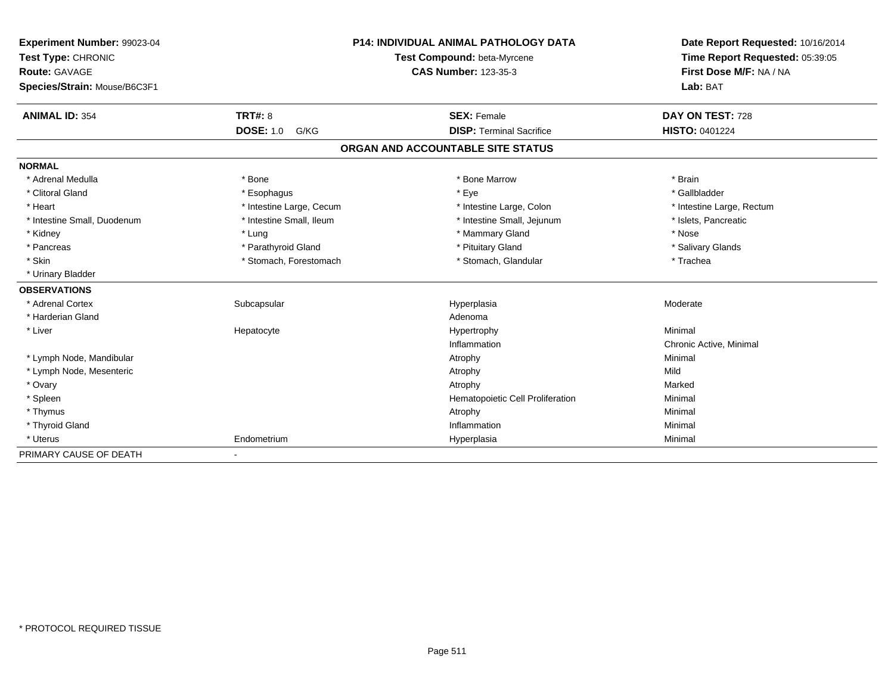| Experiment Number: 99023-04  | <b>P14: INDIVIDUAL ANIMAL PATHOLOGY DATA</b> |                                   | Date Report Requested: 10/16/2014 |
|------------------------------|----------------------------------------------|-----------------------------------|-----------------------------------|
| Test Type: CHRONIC           |                                              | Test Compound: beta-Myrcene       | Time Report Requested: 05:39:05   |
| Route: GAVAGE                |                                              | <b>CAS Number: 123-35-3</b>       | First Dose M/F: NA / NA           |
| Species/Strain: Mouse/B6C3F1 |                                              |                                   | Lab: BAT                          |
|                              |                                              |                                   |                                   |
| <b>ANIMAL ID: 354</b>        | <b>TRT#: 8</b>                               | <b>SEX: Female</b>                | DAY ON TEST: 728                  |
|                              | <b>DOSE: 1.0</b><br>G/KG                     | <b>DISP: Terminal Sacrifice</b>   | HISTO: 0401224                    |
|                              |                                              | ORGAN AND ACCOUNTABLE SITE STATUS |                                   |
| <b>NORMAL</b>                |                                              |                                   |                                   |
| * Adrenal Medulla            | * Bone                                       | * Bone Marrow                     | * Brain                           |
| * Clitoral Gland             | * Esophagus                                  | * Eye                             | * Gallbladder                     |
| * Heart                      | * Intestine Large, Cecum                     | * Intestine Large, Colon          | * Intestine Large, Rectum         |
| * Intestine Small, Duodenum  | * Intestine Small, Ileum                     | * Intestine Small, Jejunum        | * Islets, Pancreatic              |
| * Kidney                     | * Lung                                       | * Mammary Gland                   | * Nose                            |
| * Pancreas                   | * Parathyroid Gland                          | * Pituitary Gland                 | * Salivary Glands                 |
| * Skin                       | * Stomach, Forestomach                       | * Stomach, Glandular              | * Trachea                         |
| * Urinary Bladder            |                                              |                                   |                                   |
| <b>OBSERVATIONS</b>          |                                              |                                   |                                   |
| * Adrenal Cortex             | Subcapsular                                  | Hyperplasia                       | Moderate                          |
| * Harderian Gland            |                                              | Adenoma                           |                                   |
| * Liver                      | Hepatocyte                                   | Hypertrophy                       | Minimal                           |
|                              |                                              | Inflammation                      | Chronic Active, Minimal           |
| * Lymph Node, Mandibular     |                                              | Atrophy                           | Minimal                           |
| * Lymph Node, Mesenteric     |                                              | Atrophy                           | Mild                              |
| * Ovary                      |                                              | Atrophy                           | Marked                            |
| * Spleen                     |                                              | Hematopoietic Cell Proliferation  | Minimal                           |
| * Thymus                     |                                              | Atrophy                           | Minimal                           |
| * Thyroid Gland              |                                              | Inflammation                      | Minimal                           |
| * Uterus                     | Endometrium                                  | Hyperplasia                       | Minimal                           |
| PRIMARY CAUSE OF DEATH       | ٠                                            |                                   |                                   |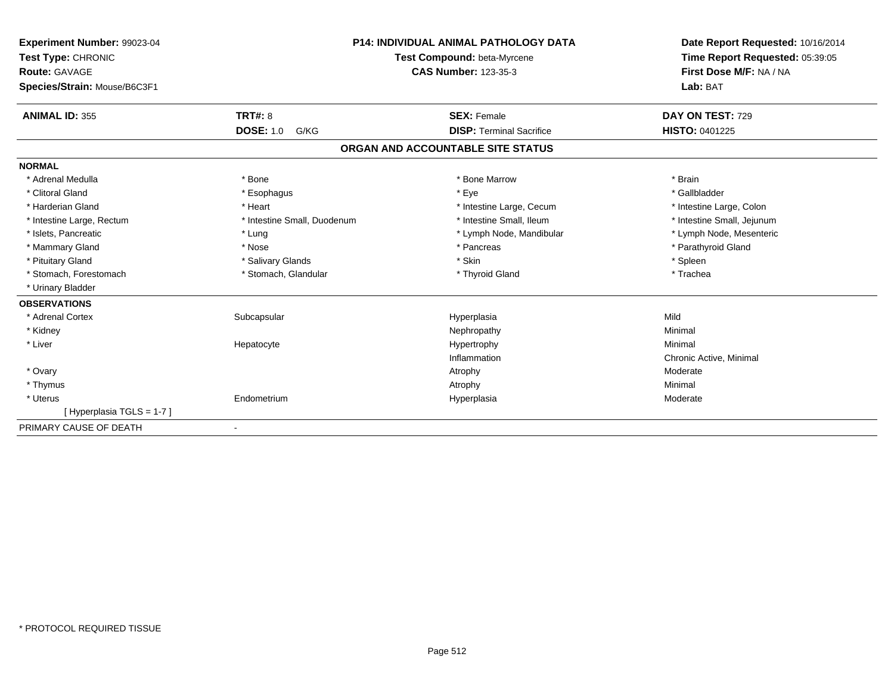| Experiment Number: 99023-04<br>Test Type: CHRONIC<br><b>Route: GAVAGE</b><br>Species/Strain: Mouse/B6C3F1 |                             | <b>P14: INDIVIDUAL ANIMAL PATHOLOGY DATA</b><br>Test Compound: beta-Myrcene<br><b>CAS Number: 123-35-3</b> | Date Report Requested: 10/16/2014<br>Time Report Requested: 05:39:05<br>First Dose M/F: NA / NA<br>Lab: BAT |  |
|-----------------------------------------------------------------------------------------------------------|-----------------------------|------------------------------------------------------------------------------------------------------------|-------------------------------------------------------------------------------------------------------------|--|
| <b>ANIMAL ID: 355</b>                                                                                     | TRT#: 8                     | <b>SEX: Female</b>                                                                                         | DAY ON TEST: 729                                                                                            |  |
|                                                                                                           | <b>DOSE: 1.0</b><br>G/KG    | <b>DISP: Terminal Sacrifice</b>                                                                            | <b>HISTO: 0401225</b>                                                                                       |  |
|                                                                                                           |                             | ORGAN AND ACCOUNTABLE SITE STATUS                                                                          |                                                                                                             |  |
| <b>NORMAL</b>                                                                                             |                             |                                                                                                            |                                                                                                             |  |
| * Adrenal Medulla                                                                                         | * Bone                      | * Bone Marrow                                                                                              | * Brain                                                                                                     |  |
| * Clitoral Gland                                                                                          | * Esophagus                 | * Eye                                                                                                      | * Gallbladder                                                                                               |  |
| * Harderian Gland                                                                                         | * Heart                     | * Intestine Large, Cecum                                                                                   | * Intestine Large, Colon                                                                                    |  |
| * Intestine Large, Rectum                                                                                 | * Intestine Small, Duodenum | * Intestine Small, Ileum                                                                                   | * Intestine Small, Jejunum                                                                                  |  |
| * Islets, Pancreatic                                                                                      | * Lung                      | * Lymph Node, Mandibular                                                                                   | * Lymph Node, Mesenteric                                                                                    |  |
| * Mammary Gland                                                                                           | * Nose                      | * Pancreas                                                                                                 | * Parathyroid Gland                                                                                         |  |
| * Pituitary Gland                                                                                         | * Salivary Glands           | * Skin                                                                                                     | * Spleen                                                                                                    |  |
| * Stomach, Forestomach                                                                                    | * Stomach, Glandular        | * Thyroid Gland                                                                                            | * Trachea                                                                                                   |  |
| * Urinary Bladder                                                                                         |                             |                                                                                                            |                                                                                                             |  |
| <b>OBSERVATIONS</b>                                                                                       |                             |                                                                                                            |                                                                                                             |  |
| * Adrenal Cortex                                                                                          | Subcapsular                 | Hyperplasia                                                                                                | Mild                                                                                                        |  |
| * Kidney                                                                                                  |                             | Nephropathy                                                                                                | Minimal                                                                                                     |  |
| * Liver                                                                                                   | Hepatocyte                  | Hypertrophy                                                                                                | Minimal                                                                                                     |  |
|                                                                                                           |                             | Inflammation                                                                                               | Chronic Active, Minimal                                                                                     |  |
| * Ovary                                                                                                   |                             | Atrophy                                                                                                    | Moderate                                                                                                    |  |
| * Thymus                                                                                                  |                             | Atrophy                                                                                                    | Minimal                                                                                                     |  |
| * Uterus                                                                                                  | Endometrium                 | Hyperplasia                                                                                                | Moderate                                                                                                    |  |
| [Hyperplasia TGLS = 1-7]                                                                                  |                             |                                                                                                            |                                                                                                             |  |
| PRIMARY CAUSE OF DEATH                                                                                    |                             |                                                                                                            |                                                                                                             |  |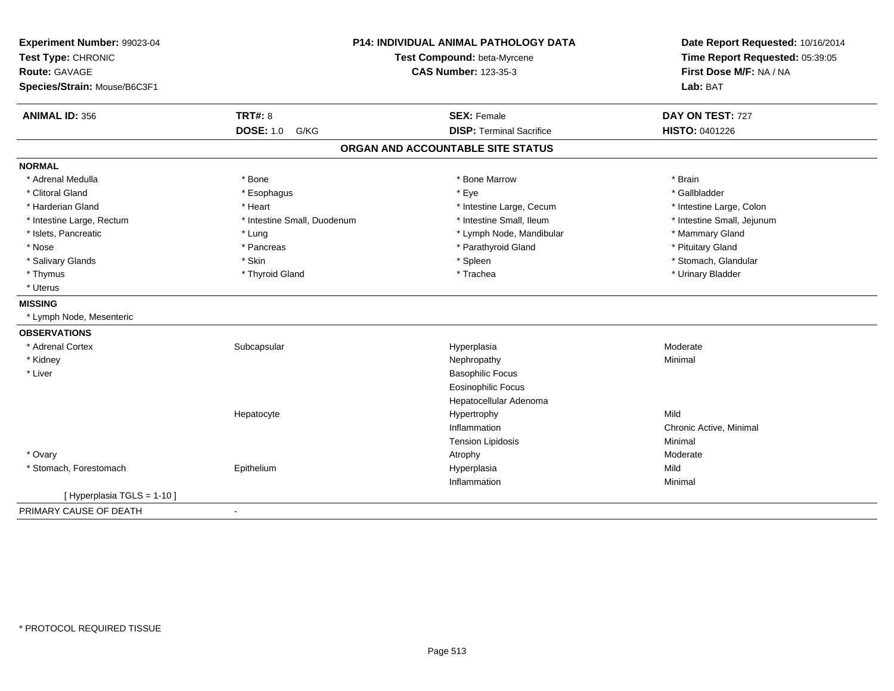| Experiment Number: 99023-04<br>Test Type: CHRONIC<br>Route: GAVAGE<br>Species/Strain: Mouse/B6C3F1 |                             | P14: INDIVIDUAL ANIMAL PATHOLOGY DATA<br>Test Compound: beta-Myrcene<br><b>CAS Number: 123-35-3</b> | Date Report Requested: 10/16/2014<br>Time Report Requested: 05:39:05<br>First Dose M/F: NA / NA<br>Lab: BAT |  |
|----------------------------------------------------------------------------------------------------|-----------------------------|-----------------------------------------------------------------------------------------------------|-------------------------------------------------------------------------------------------------------------|--|
| <b>ANIMAL ID: 356</b>                                                                              | <b>TRT#: 8</b>              | <b>SEX: Female</b>                                                                                  | DAY ON TEST: 727                                                                                            |  |
|                                                                                                    | <b>DOSE: 1.0</b><br>G/KG    | <b>DISP: Terminal Sacrifice</b>                                                                     | HISTO: 0401226                                                                                              |  |
|                                                                                                    |                             | ORGAN AND ACCOUNTABLE SITE STATUS                                                                   |                                                                                                             |  |
| <b>NORMAL</b>                                                                                      |                             |                                                                                                     |                                                                                                             |  |
| * Adrenal Medulla                                                                                  | * Bone                      | * Bone Marrow                                                                                       | * Brain                                                                                                     |  |
| * Clitoral Gland                                                                                   | * Esophagus                 | * Eye                                                                                               | * Gallbladder                                                                                               |  |
| * Harderian Gland                                                                                  | * Heart                     | * Intestine Large, Cecum                                                                            | * Intestine Large, Colon                                                                                    |  |
| * Intestine Large, Rectum                                                                          | * Intestine Small, Duodenum | * Intestine Small, Ileum                                                                            | * Intestine Small, Jejunum                                                                                  |  |
| * Islets, Pancreatic                                                                               | * Lung                      | * Lymph Node, Mandibular                                                                            | * Mammary Gland                                                                                             |  |
| * Nose                                                                                             | * Pancreas                  | * Parathyroid Gland                                                                                 | * Pituitary Gland                                                                                           |  |
| * Salivary Glands                                                                                  | * Skin                      | * Spleen                                                                                            | * Stomach, Glandular                                                                                        |  |
| * Thymus                                                                                           | * Thyroid Gland             | * Trachea                                                                                           | * Urinary Bladder                                                                                           |  |
| * Uterus                                                                                           |                             |                                                                                                     |                                                                                                             |  |
| <b>MISSING</b>                                                                                     |                             |                                                                                                     |                                                                                                             |  |
| * Lymph Node, Mesenteric                                                                           |                             |                                                                                                     |                                                                                                             |  |
| <b>OBSERVATIONS</b>                                                                                |                             |                                                                                                     |                                                                                                             |  |
| * Adrenal Cortex                                                                                   | Subcapsular                 | Hyperplasia                                                                                         | Moderate                                                                                                    |  |
| * Kidney                                                                                           |                             | Nephropathy                                                                                         | Minimal                                                                                                     |  |
| * Liver                                                                                            |                             | <b>Basophilic Focus</b>                                                                             |                                                                                                             |  |
|                                                                                                    |                             | Eosinophilic Focus                                                                                  |                                                                                                             |  |
|                                                                                                    |                             | Hepatocellular Adenoma                                                                              |                                                                                                             |  |
|                                                                                                    | Hepatocyte                  | Hypertrophy                                                                                         | Mild                                                                                                        |  |
|                                                                                                    |                             | Inflammation                                                                                        | Chronic Active, Minimal                                                                                     |  |
|                                                                                                    |                             | <b>Tension Lipidosis</b>                                                                            | Minimal                                                                                                     |  |
| * Ovary                                                                                            |                             | Atrophy                                                                                             | Moderate                                                                                                    |  |
| * Stomach, Forestomach                                                                             | Epithelium                  | Hyperplasia                                                                                         | Mild                                                                                                        |  |
|                                                                                                    |                             | Inflammation                                                                                        | Minimal                                                                                                     |  |
| [Hyperplasia TGLS = $1-10$ ]                                                                       |                             |                                                                                                     |                                                                                                             |  |
| PRIMARY CAUSE OF DEATH                                                                             | $\blacksquare$              |                                                                                                     |                                                                                                             |  |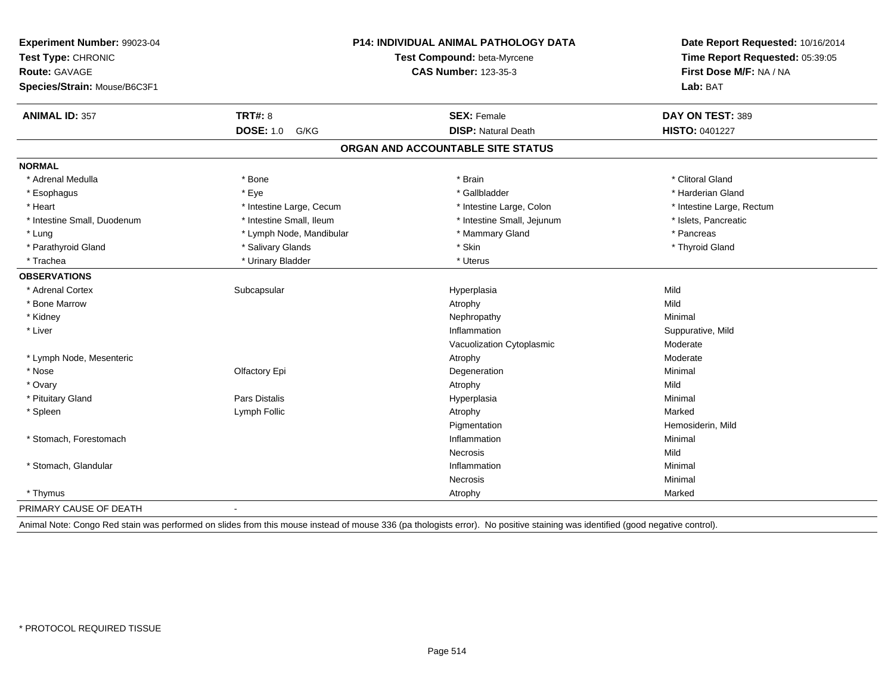| Experiment Number: 99023-04<br>Test Type: CHRONIC<br>Route: GAVAGE<br>Species/Strain: Mouse/B6C3F1 |                          | P14: INDIVIDUAL ANIMAL PATHOLOGY DATA<br>Test Compound: beta-Myrcene<br><b>CAS Number: 123-35-3</b>                                                                           |                                           |
|----------------------------------------------------------------------------------------------------|--------------------------|-------------------------------------------------------------------------------------------------------------------------------------------------------------------------------|-------------------------------------------|
|                                                                                                    | <b>TRT#: 8</b>           |                                                                                                                                                                               | Lab: BAT                                  |
| <b>ANIMAL ID: 357</b>                                                                              | <b>DOSE: 1.0</b><br>G/KG | <b>SEX: Female</b><br><b>DISP: Natural Death</b>                                                                                                                              | DAY ON TEST: 389<br><b>HISTO: 0401227</b> |
|                                                                                                    |                          | ORGAN AND ACCOUNTABLE SITE STATUS                                                                                                                                             |                                           |
|                                                                                                    |                          |                                                                                                                                                                               |                                           |
| <b>NORMAL</b>                                                                                      |                          |                                                                                                                                                                               |                                           |
| * Adrenal Medulla                                                                                  | * Bone                   | * Brain                                                                                                                                                                       | * Clitoral Gland                          |
| * Esophagus                                                                                        | * Eye                    | * Gallbladder                                                                                                                                                                 | * Harderian Gland                         |
| * Heart                                                                                            | * Intestine Large, Cecum | * Intestine Large, Colon                                                                                                                                                      | * Intestine Large, Rectum                 |
| * Intestine Small, Duodenum                                                                        | * Intestine Small, Ileum | * Intestine Small, Jejunum                                                                                                                                                    | * Islets, Pancreatic                      |
| * Lung                                                                                             | * Lymph Node, Mandibular | * Mammary Gland                                                                                                                                                               | * Pancreas                                |
| * Parathyroid Gland                                                                                | * Salivary Glands        | * Skin                                                                                                                                                                        | * Thyroid Gland                           |
| * Trachea                                                                                          | * Urinary Bladder        | * Uterus                                                                                                                                                                      |                                           |
| <b>OBSERVATIONS</b>                                                                                |                          |                                                                                                                                                                               |                                           |
| * Adrenal Cortex                                                                                   | Subcapsular              | Hyperplasia                                                                                                                                                                   | Mild                                      |
| * Bone Marrow                                                                                      |                          | Atrophy                                                                                                                                                                       | Mild                                      |
| * Kidney                                                                                           |                          | Nephropathy                                                                                                                                                                   | Minimal                                   |
| * Liver                                                                                            |                          | Inflammation                                                                                                                                                                  | Suppurative, Mild                         |
|                                                                                                    |                          | Vacuolization Cytoplasmic                                                                                                                                                     | Moderate                                  |
| * Lymph Node, Mesenteric                                                                           |                          | Atrophy                                                                                                                                                                       | Moderate                                  |
| $*$ Nose                                                                                           | Olfactory Epi            | Degeneration                                                                                                                                                                  | Minimal                                   |
| * Ovary                                                                                            |                          | Atrophy                                                                                                                                                                       | Mild                                      |
| * Pituitary Gland                                                                                  | <b>Pars Distalis</b>     | Hyperplasia                                                                                                                                                                   | Minimal                                   |
| * Spleen                                                                                           | Lymph Follic             | Atrophy                                                                                                                                                                       | Marked                                    |
|                                                                                                    |                          | Pigmentation                                                                                                                                                                  | Hemosiderin, Mild                         |
| * Stomach, Forestomach                                                                             |                          | Inflammation                                                                                                                                                                  | Minimal                                   |
|                                                                                                    |                          | Necrosis                                                                                                                                                                      | Mild                                      |
| * Stomach, Glandular                                                                               |                          | Inflammation                                                                                                                                                                  | Minimal                                   |
|                                                                                                    |                          | Necrosis                                                                                                                                                                      | Minimal                                   |
| * Thymus                                                                                           |                          | Atrophy                                                                                                                                                                       | Marked                                    |
| PRIMARY CAUSE OF DEATH                                                                             |                          |                                                                                                                                                                               |                                           |
|                                                                                                    |                          | Animal Note: Congo Red stain was performed on slides from this mouse instead of mouse 336 (pa thologists error). No positive staining was identified (good negative control). |                                           |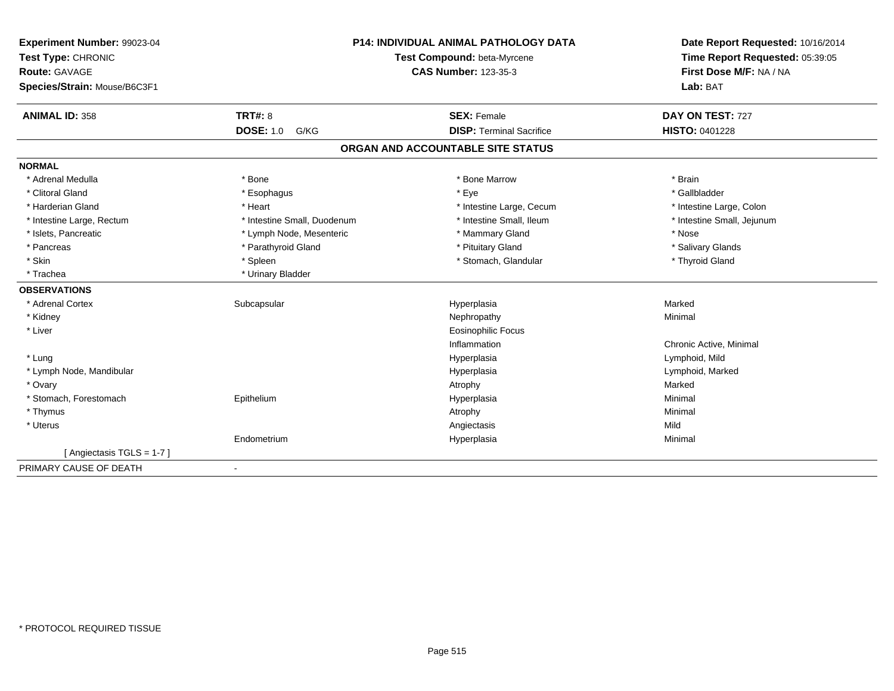| Experiment Number: 99023-04  | <b>P14: INDIVIDUAL ANIMAL PATHOLOGY DATA</b> |                                   | Date Report Requested: 10/16/2014                          |
|------------------------------|----------------------------------------------|-----------------------------------|------------------------------------------------------------|
| Test Type: CHRONIC           |                                              | Test Compound: beta-Myrcene       | Time Report Requested: 05:39:05<br>First Dose M/F: NA / NA |
| <b>Route: GAVAGE</b>         |                                              | <b>CAS Number: 123-35-3</b>       |                                                            |
| Species/Strain: Mouse/B6C3F1 |                                              |                                   | Lab: BAT                                                   |
| <b>ANIMAL ID: 358</b>        | TRT#: 8                                      | <b>SEX: Female</b>                | DAY ON TEST: 727                                           |
|                              | <b>DOSE: 1.0</b><br>G/KG                     | <b>DISP: Terminal Sacrifice</b>   | <b>HISTO: 0401228</b>                                      |
|                              |                                              | ORGAN AND ACCOUNTABLE SITE STATUS |                                                            |
| <b>NORMAL</b>                |                                              |                                   |                                                            |
| * Adrenal Medulla            | * Bone                                       | * Bone Marrow                     | * Brain                                                    |
| * Clitoral Gland             | * Esophagus                                  | * Eye                             | * Gallbladder                                              |
| * Harderian Gland            | * Heart                                      | * Intestine Large, Cecum          | * Intestine Large, Colon                                   |
| * Intestine Large, Rectum    | * Intestine Small, Duodenum                  | * Intestine Small, Ileum          | * Intestine Small, Jejunum                                 |
| * Islets, Pancreatic         | * Lymph Node, Mesenteric                     | * Mammary Gland                   | * Nose                                                     |
| * Pancreas                   | * Parathyroid Gland                          | * Pituitary Gland                 | * Salivary Glands                                          |
| * Skin                       | * Spleen                                     | * Stomach, Glandular              | * Thyroid Gland                                            |
| * Trachea                    | * Urinary Bladder                            |                                   |                                                            |
| <b>OBSERVATIONS</b>          |                                              |                                   |                                                            |
| * Adrenal Cortex             | Subcapsular                                  | Hyperplasia                       | Marked                                                     |
| * Kidney                     |                                              | Nephropathy                       | Minimal                                                    |
| * Liver                      |                                              | <b>Eosinophilic Focus</b>         |                                                            |
|                              |                                              | Inflammation                      | Chronic Active, Minimal                                    |
| * Lung                       |                                              | Hyperplasia                       | Lymphoid, Mild                                             |
| * Lymph Node, Mandibular     |                                              | Hyperplasia                       | Lymphoid, Marked                                           |
| * Ovary                      |                                              | Atrophy                           | Marked                                                     |
| * Stomach, Forestomach       | Epithelium                                   | Hyperplasia                       | Minimal                                                    |
| * Thymus                     |                                              | Atrophy                           | Minimal                                                    |
| $^\star$ Uterus              |                                              | Angiectasis                       | Mild                                                       |
|                              | Endometrium                                  | Hyperplasia                       | Minimal                                                    |
| [Angiectasis TGLS = 1-7]     |                                              |                                   |                                                            |
| PRIMARY CAUSE OF DEATH       | $\blacksquare$                               |                                   |                                                            |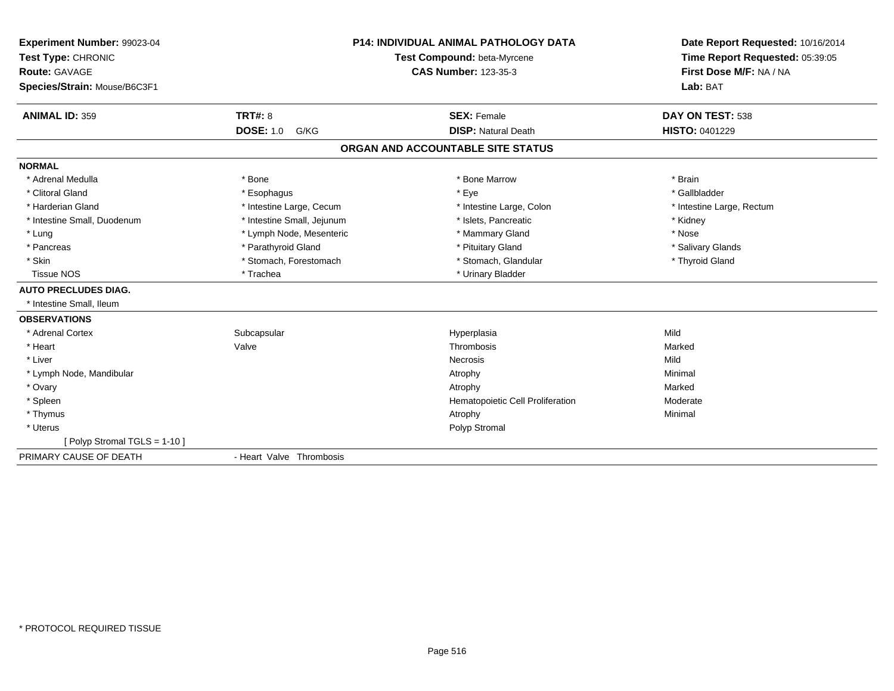| Experiment Number: 99023-04<br>Test Type: CHRONIC<br><b>Route: GAVAGE</b> |                            | <b>P14: INDIVIDUAL ANIMAL PATHOLOGY DATA</b><br>Test Compound: beta-Myrcene<br><b>CAS Number: 123-35-3</b> | Date Report Requested: 10/16/2014<br>Time Report Requested: 05:39:05<br>First Dose M/F: NA / NA |
|---------------------------------------------------------------------------|----------------------------|------------------------------------------------------------------------------------------------------------|-------------------------------------------------------------------------------------------------|
| Species/Strain: Mouse/B6C3F1                                              |                            |                                                                                                            | Lab: BAT                                                                                        |
| <b>ANIMAL ID: 359</b>                                                     | <b>TRT#: 8</b>             | <b>SEX: Female</b>                                                                                         | DAY ON TEST: 538                                                                                |
|                                                                           | <b>DOSE: 1.0</b><br>G/KG   | <b>DISP: Natural Death</b>                                                                                 | <b>HISTO: 0401229</b>                                                                           |
|                                                                           |                            | ORGAN AND ACCOUNTABLE SITE STATUS                                                                          |                                                                                                 |
| <b>NORMAL</b>                                                             |                            |                                                                                                            |                                                                                                 |
| * Adrenal Medulla                                                         | * Bone                     | * Bone Marrow                                                                                              | * Brain                                                                                         |
| * Clitoral Gland                                                          | * Esophagus                | * Eye                                                                                                      | * Gallbladder                                                                                   |
| * Harderian Gland                                                         | * Intestine Large, Cecum   | * Intestine Large, Colon                                                                                   | * Intestine Large, Rectum                                                                       |
| * Intestine Small, Duodenum                                               | * Intestine Small, Jejunum | * Islets, Pancreatic                                                                                       | * Kidney                                                                                        |
| * Lung                                                                    | * Lymph Node, Mesenteric   | * Mammary Gland                                                                                            | * Nose                                                                                          |
| * Pancreas                                                                | * Parathyroid Gland        | * Pituitary Gland                                                                                          | * Salivary Glands                                                                               |
| * Skin                                                                    | * Stomach, Forestomach     | * Stomach, Glandular                                                                                       | * Thyroid Gland                                                                                 |
| <b>Tissue NOS</b>                                                         | * Trachea                  | * Urinary Bladder                                                                                          |                                                                                                 |
| <b>AUTO PRECLUDES DIAG.</b>                                               |                            |                                                                                                            |                                                                                                 |
| * Intestine Small, Ileum                                                  |                            |                                                                                                            |                                                                                                 |
| <b>OBSERVATIONS</b>                                                       |                            |                                                                                                            |                                                                                                 |
| * Adrenal Cortex                                                          | Subcapsular                | Hyperplasia                                                                                                | Mild                                                                                            |
| * Heart                                                                   | Valve                      | Thrombosis                                                                                                 | Marked                                                                                          |
| * Liver                                                                   |                            | Necrosis                                                                                                   | Mild                                                                                            |
| * Lymph Node, Mandibular                                                  |                            | Atrophy                                                                                                    | Minimal                                                                                         |
| * Ovary                                                                   |                            | Atrophy                                                                                                    | Marked                                                                                          |
| * Spleen                                                                  |                            | Hematopoietic Cell Proliferation                                                                           | Moderate                                                                                        |
| * Thymus                                                                  |                            | Atrophy                                                                                                    | Minimal                                                                                         |
| * Uterus                                                                  |                            | Polyp Stromal                                                                                              |                                                                                                 |
| [ Polyp Stromal TGLS = 1-10 ]                                             |                            |                                                                                                            |                                                                                                 |
| PRIMARY CAUSE OF DEATH                                                    | - Heart Valve Thrombosis   |                                                                                                            |                                                                                                 |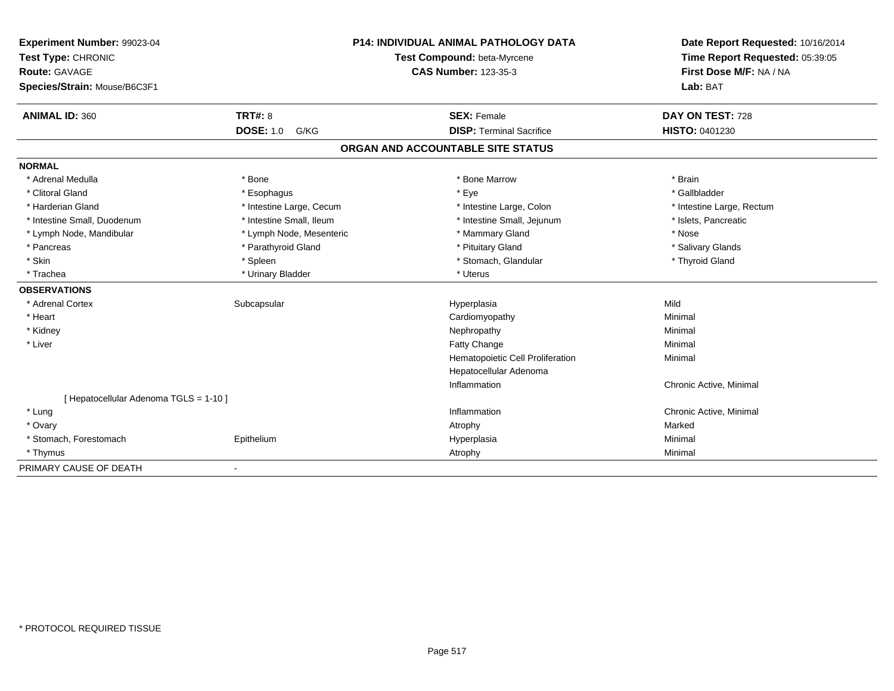| Experiment Number: 99023-04            | <b>P14: INDIVIDUAL ANIMAL PATHOLOGY DATA</b><br>Test Compound: beta-Myrcene |                                   | Date Report Requested: 10/16/2014                          |  |
|----------------------------------------|-----------------------------------------------------------------------------|-----------------------------------|------------------------------------------------------------|--|
| Test Type: CHRONIC                     |                                                                             |                                   | Time Report Requested: 05:39:05<br>First Dose M/F: NA / NA |  |
| <b>Route: GAVAGE</b>                   |                                                                             | <b>CAS Number: 123-35-3</b>       |                                                            |  |
| Species/Strain: Mouse/B6C3F1           |                                                                             |                                   | Lab: BAT                                                   |  |
| <b>ANIMAL ID: 360</b>                  | TRT#: 8                                                                     | <b>SEX: Female</b>                | DAY ON TEST: 728                                           |  |
|                                        | <b>DOSE: 1.0</b><br>G/KG                                                    | <b>DISP: Terminal Sacrifice</b>   | HISTO: 0401230                                             |  |
|                                        |                                                                             | ORGAN AND ACCOUNTABLE SITE STATUS |                                                            |  |
| <b>NORMAL</b>                          |                                                                             |                                   |                                                            |  |
| * Adrenal Medulla                      | * Bone                                                                      | * Bone Marrow                     | * Brain                                                    |  |
| * Clitoral Gland                       | * Esophagus                                                                 | * Eye                             | * Gallbladder                                              |  |
| * Harderian Gland                      | * Intestine Large, Cecum                                                    | * Intestine Large, Colon          | * Intestine Large, Rectum                                  |  |
| * Intestine Small, Duodenum            | * Intestine Small, Ileum                                                    | * Intestine Small, Jejunum        | * Islets, Pancreatic                                       |  |
| * Lymph Node, Mandibular               | * Lymph Node, Mesenteric                                                    | * Mammary Gland                   | * Nose                                                     |  |
| * Pancreas                             | * Parathyroid Gland                                                         | * Pituitary Gland                 | * Salivary Glands                                          |  |
| * Skin                                 | * Spleen                                                                    | * Stomach, Glandular              | * Thyroid Gland                                            |  |
| * Trachea                              | * Urinary Bladder                                                           | * Uterus                          |                                                            |  |
| <b>OBSERVATIONS</b>                    |                                                                             |                                   |                                                            |  |
| * Adrenal Cortex                       | Subcapsular                                                                 | Hyperplasia                       | Mild                                                       |  |
| * Heart                                |                                                                             | Cardiomyopathy                    | Minimal                                                    |  |
| * Kidney                               |                                                                             | Nephropathy                       | Minimal                                                    |  |
| * Liver                                |                                                                             | Fatty Change                      | Minimal                                                    |  |
|                                        |                                                                             | Hematopoietic Cell Proliferation  | Minimal                                                    |  |
|                                        |                                                                             | Hepatocellular Adenoma            |                                                            |  |
|                                        |                                                                             | Inflammation                      | Chronic Active, Minimal                                    |  |
| [ Hepatocellular Adenoma TGLS = 1-10 ] |                                                                             |                                   |                                                            |  |
| * Lung                                 |                                                                             | Inflammation                      | Chronic Active, Minimal                                    |  |
| * Ovary                                |                                                                             | Atrophy                           | Marked                                                     |  |
| * Stomach, Forestomach                 | Epithelium                                                                  | Hyperplasia                       | Minimal                                                    |  |
| * Thymus                               |                                                                             | Atrophy                           | Minimal                                                    |  |
| PRIMARY CAUSE OF DEATH                 | $\blacksquare$                                                              |                                   |                                                            |  |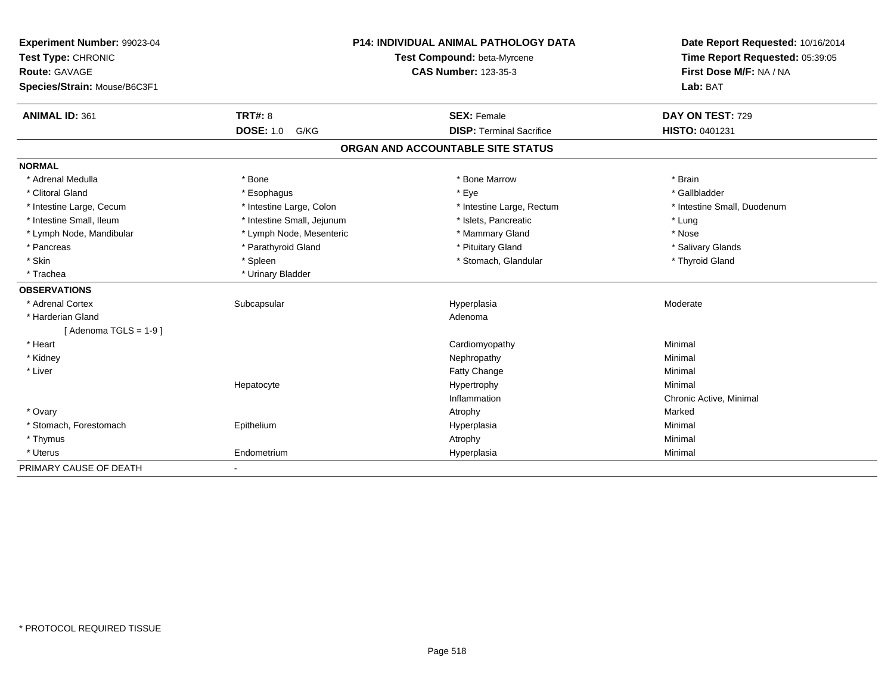| Experiment Number: 99023-04  | <b>P14: INDIVIDUAL ANIMAL PATHOLOGY DATA</b> |                                   | Date Report Requested: 10/16/2014 |
|------------------------------|----------------------------------------------|-----------------------------------|-----------------------------------|
| Test Type: CHRONIC           |                                              | Test Compound: beta-Myrcene       | Time Report Requested: 05:39:05   |
| <b>Route: GAVAGE</b>         |                                              | <b>CAS Number: 123-35-3</b>       | First Dose M/F: NA / NA           |
| Species/Strain: Mouse/B6C3F1 |                                              |                                   | Lab: BAT                          |
| <b>ANIMAL ID: 361</b>        | <b>TRT#: 8</b>                               | <b>SEX: Female</b>                | DAY ON TEST: 729                  |
|                              | <b>DOSE: 1.0</b><br>G/KG                     | <b>DISP: Terminal Sacrifice</b>   | HISTO: 0401231                    |
|                              |                                              | ORGAN AND ACCOUNTABLE SITE STATUS |                                   |
| <b>NORMAL</b>                |                                              |                                   |                                   |
| * Adrenal Medulla            | * Bone                                       | * Bone Marrow                     | * Brain                           |
| * Clitoral Gland             | * Esophagus                                  | * Eye                             | * Gallbladder                     |
| * Intestine Large, Cecum     | * Intestine Large, Colon                     | * Intestine Large, Rectum         | * Intestine Small, Duodenum       |
| * Intestine Small, Ileum     | * Intestine Small, Jejunum                   | * Islets, Pancreatic              | * Lung                            |
| * Lymph Node, Mandibular     | * Lymph Node, Mesenteric                     | * Mammary Gland                   | * Nose                            |
| * Pancreas                   | * Parathyroid Gland                          | * Pituitary Gland                 | * Salivary Glands                 |
| * Skin                       | * Spleen                                     | * Stomach, Glandular              | * Thyroid Gland                   |
| * Trachea                    | * Urinary Bladder                            |                                   |                                   |
| <b>OBSERVATIONS</b>          |                                              |                                   |                                   |
| * Adrenal Cortex             | Subcapsular                                  | Hyperplasia                       | Moderate                          |
| * Harderian Gland            |                                              | Adenoma                           |                                   |
| [Adenoma TGLS = $1-9$ ]      |                                              |                                   |                                   |
| * Heart                      |                                              | Cardiomyopathy                    | Minimal                           |
| * Kidney                     |                                              | Nephropathy                       | Minimal                           |
| * Liver                      |                                              | Fatty Change                      | Minimal                           |
|                              | Hepatocyte                                   | Hypertrophy                       | Minimal                           |
|                              |                                              | Inflammation                      | Chronic Active, Minimal           |
| * Ovary                      |                                              | Atrophy                           | Marked                            |
| * Stomach, Forestomach       | Epithelium                                   | Hyperplasia                       | Minimal                           |
| * Thymus                     |                                              | Atrophy                           | Minimal                           |
| * Uterus                     | Endometrium                                  | Hyperplasia                       | Minimal                           |
| PRIMARY CAUSE OF DEATH       | $\blacksquare$                               |                                   |                                   |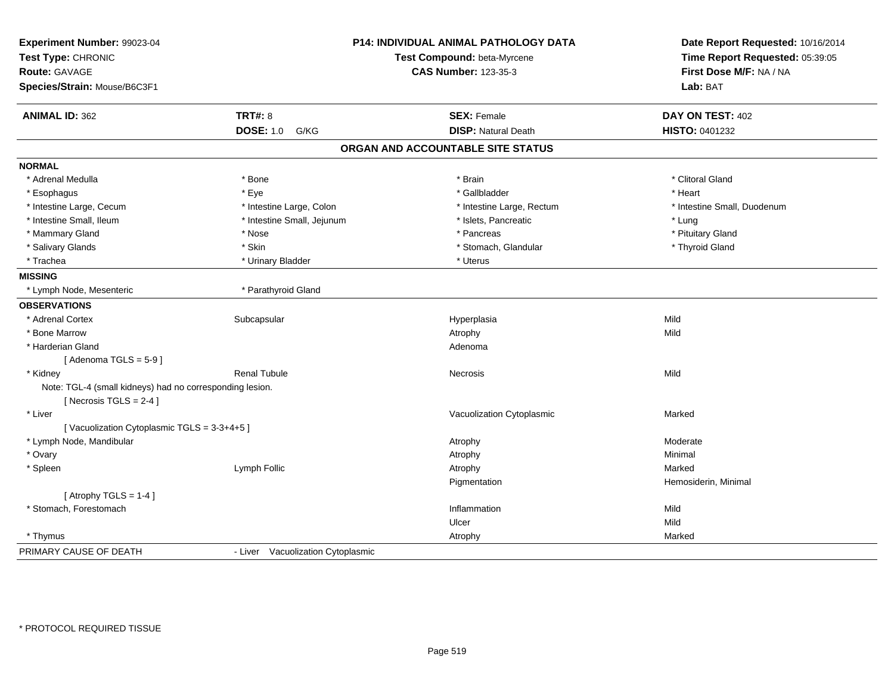| Experiment Number: 99023-04<br>Test Type: CHRONIC<br><b>Route: GAVAGE</b><br>Species/Strain: Mouse/B6C3F1 | <b>P14: INDIVIDUAL ANIMAL PATHOLOGY DATA</b><br>Test Compound: beta-Myrcene<br><b>CAS Number: 123-35-3</b> |                                   | Date Report Requested: 10/16/2014<br>Time Report Requested: 05:39:05<br>First Dose M/F: NA / NA<br>Lab: BAT |
|-----------------------------------------------------------------------------------------------------------|------------------------------------------------------------------------------------------------------------|-----------------------------------|-------------------------------------------------------------------------------------------------------------|
|                                                                                                           |                                                                                                            |                                   |                                                                                                             |
| <b>ANIMAL ID: 362</b>                                                                                     | <b>TRT#: 8</b>                                                                                             | <b>SEX: Female</b>                | DAY ON TEST: 402                                                                                            |
|                                                                                                           | <b>DOSE: 1.0 G/KG</b>                                                                                      | <b>DISP: Natural Death</b>        | HISTO: 0401232                                                                                              |
|                                                                                                           |                                                                                                            | ORGAN AND ACCOUNTABLE SITE STATUS |                                                                                                             |
| <b>NORMAL</b>                                                                                             |                                                                                                            |                                   |                                                                                                             |
| * Adrenal Medulla                                                                                         | * Bone                                                                                                     | * Brain                           | * Clitoral Gland                                                                                            |
| * Esophagus                                                                                               | * Eye                                                                                                      | * Gallbladder                     | * Heart                                                                                                     |
| * Intestine Large, Cecum                                                                                  | * Intestine Large, Colon                                                                                   | * Intestine Large, Rectum         | * Intestine Small, Duodenum                                                                                 |
| * Intestine Small, Ileum                                                                                  | * Intestine Small, Jejunum                                                                                 | * Islets, Pancreatic              | * Lung                                                                                                      |
| * Mammary Gland                                                                                           | * Nose                                                                                                     | * Pancreas                        | * Pituitary Gland                                                                                           |
| * Salivary Glands                                                                                         | * Skin                                                                                                     | * Stomach, Glandular              | * Thyroid Gland                                                                                             |
| * Trachea                                                                                                 | * Urinary Bladder                                                                                          | * Uterus                          |                                                                                                             |
| <b>MISSING</b>                                                                                            |                                                                                                            |                                   |                                                                                                             |
| * Lymph Node, Mesenteric                                                                                  | * Parathyroid Gland                                                                                        |                                   |                                                                                                             |
| <b>OBSERVATIONS</b>                                                                                       |                                                                                                            |                                   |                                                                                                             |
| * Adrenal Cortex                                                                                          | Subcapsular                                                                                                | Hyperplasia                       | Mild                                                                                                        |
| * Bone Marrow                                                                                             |                                                                                                            | Atrophy                           | Mild                                                                                                        |
| * Harderian Gland                                                                                         |                                                                                                            | Adenoma                           |                                                                                                             |
| [Adenoma TGLS = $5-9$ ]                                                                                   |                                                                                                            |                                   |                                                                                                             |
| * Kidney                                                                                                  | <b>Renal Tubule</b>                                                                                        | Necrosis                          | Mild                                                                                                        |
| Note: TGL-4 (small kidneys) had no corresponding lesion.<br>[Necrosis $TGLS = 2-4$ ]                      |                                                                                                            |                                   |                                                                                                             |
| * Liver                                                                                                   |                                                                                                            | Vacuolization Cytoplasmic         | Marked                                                                                                      |
| [Vacuolization Cytoplasmic TGLS = 3-3+4+5]                                                                |                                                                                                            |                                   |                                                                                                             |
| * Lymph Node, Mandibular                                                                                  |                                                                                                            | Atrophy                           | Moderate                                                                                                    |
| * Ovary                                                                                                   |                                                                                                            | Atrophy                           | Minimal                                                                                                     |
| * Spleen                                                                                                  | Lymph Follic                                                                                               | Atrophy                           | Marked                                                                                                      |
|                                                                                                           |                                                                                                            | Pigmentation                      | Hemosiderin, Minimal                                                                                        |
| [Atrophy TGLS = $1-4$ ]                                                                                   |                                                                                                            |                                   |                                                                                                             |
| * Stomach, Forestomach                                                                                    |                                                                                                            | Inflammation                      | Mild                                                                                                        |
|                                                                                                           |                                                                                                            | Ulcer                             | Mild                                                                                                        |
| * Thymus                                                                                                  |                                                                                                            | Atrophy                           | Marked                                                                                                      |
| PRIMARY CAUSE OF DEATH                                                                                    | - Liver Vacuolization Cytoplasmic                                                                          |                                   |                                                                                                             |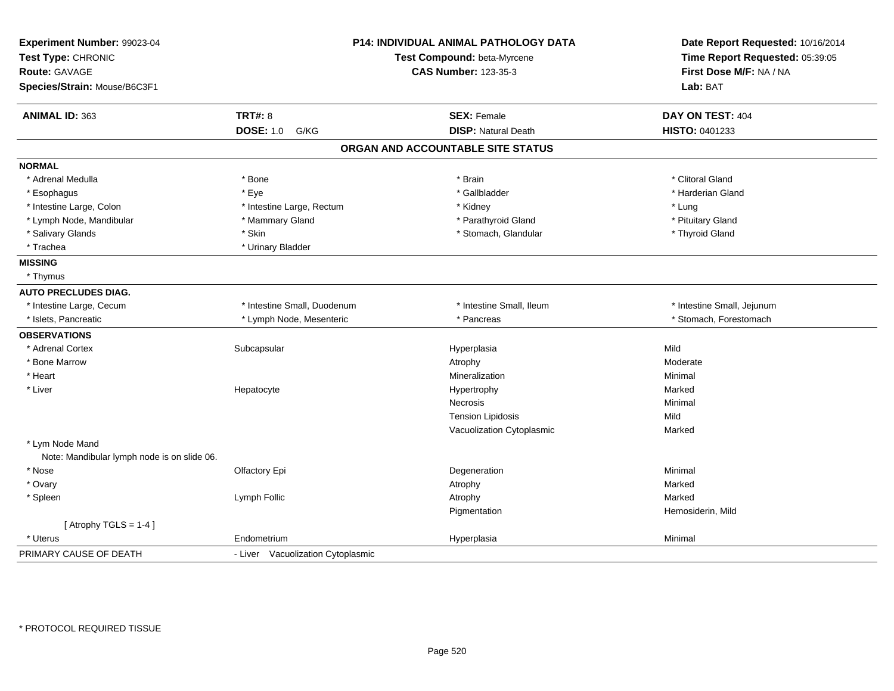| Experiment Number: 99023-04<br>Test Type: CHRONIC |                                   | <b>P14: INDIVIDUAL ANIMAL PATHOLOGY DATA</b><br>Test Compound: beta-Myrcene | Date Report Requested: 10/16/2014<br>Time Report Requested: 05:39:05 |  |
|---------------------------------------------------|-----------------------------------|-----------------------------------------------------------------------------|----------------------------------------------------------------------|--|
| <b>Route: GAVAGE</b>                              |                                   | <b>CAS Number: 123-35-3</b>                                                 | First Dose M/F: NA / NA                                              |  |
| Species/Strain: Mouse/B6C3F1                      |                                   |                                                                             | Lab: BAT                                                             |  |
| ANIMAL ID: 363                                    | <b>TRT#: 8</b>                    | <b>SEX: Female</b>                                                          | DAY ON TEST: 404                                                     |  |
|                                                   | <b>DOSE: 1.0</b><br>G/KG          | <b>DISP: Natural Death</b>                                                  | HISTO: 0401233                                                       |  |
|                                                   |                                   | ORGAN AND ACCOUNTABLE SITE STATUS                                           |                                                                      |  |
| <b>NORMAL</b>                                     |                                   |                                                                             |                                                                      |  |
| * Adrenal Medulla                                 | * Bone                            | * Brain                                                                     | * Clitoral Gland                                                     |  |
| * Esophagus                                       | * Eye                             | * Gallbladder                                                               | * Harderian Gland                                                    |  |
| * Intestine Large, Colon                          | * Intestine Large, Rectum         | * Kidney                                                                    | * Lung                                                               |  |
| * Lymph Node, Mandibular                          | * Mammary Gland                   | * Parathyroid Gland                                                         | * Pituitary Gland                                                    |  |
| * Salivary Glands                                 | * Skin                            | * Stomach, Glandular                                                        | * Thyroid Gland                                                      |  |
| * Trachea                                         | * Urinary Bladder                 |                                                                             |                                                                      |  |
| <b>MISSING</b>                                    |                                   |                                                                             |                                                                      |  |
| * Thymus                                          |                                   |                                                                             |                                                                      |  |
| <b>AUTO PRECLUDES DIAG.</b>                       |                                   |                                                                             |                                                                      |  |
| * Intestine Large, Cecum                          | * Intestine Small, Duodenum       | * Intestine Small, Ileum                                                    | * Intestine Small, Jejunum                                           |  |
| * Islets, Pancreatic                              | * Lymph Node, Mesenteric          | * Pancreas                                                                  | * Stomach, Forestomach                                               |  |
| <b>OBSERVATIONS</b>                               |                                   |                                                                             |                                                                      |  |
| * Adrenal Cortex                                  | Subcapsular                       | Hyperplasia                                                                 | Mild                                                                 |  |
| * Bone Marrow                                     |                                   | Atrophy                                                                     | Moderate                                                             |  |
| * Heart                                           |                                   | Mineralization                                                              | Minimal                                                              |  |
| * Liver                                           | Hepatocyte                        | Hypertrophy                                                                 | Marked                                                               |  |
|                                                   |                                   | Necrosis                                                                    | Minimal                                                              |  |
|                                                   |                                   | <b>Tension Lipidosis</b>                                                    | Mild                                                                 |  |
|                                                   |                                   | Vacuolization Cytoplasmic                                                   | Marked                                                               |  |
| * Lym Node Mand                                   |                                   |                                                                             |                                                                      |  |
| Note: Mandibular lymph node is on slide 06.       |                                   |                                                                             |                                                                      |  |
| * Nose                                            | Olfactory Epi                     | Degeneration                                                                | Minimal                                                              |  |
| * Ovary                                           |                                   | Atrophy                                                                     | Marked                                                               |  |
| * Spleen                                          | Lymph Follic                      | Atrophy                                                                     | Marked                                                               |  |
|                                                   |                                   | Pigmentation                                                                | Hemosiderin, Mild                                                    |  |
| [Atrophy TGLS = $1-4$ ]                           |                                   |                                                                             |                                                                      |  |
| * Uterus                                          | Endometrium                       | Hyperplasia                                                                 | Minimal                                                              |  |
| PRIMARY CAUSE OF DEATH                            | - Liver Vacuolization Cytoplasmic |                                                                             |                                                                      |  |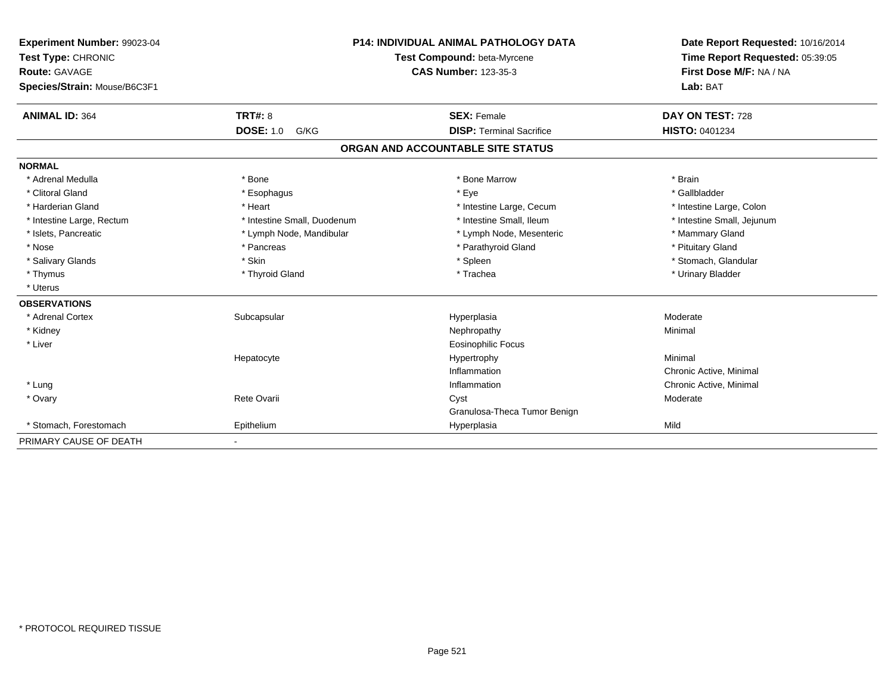| Experiment Number: 99023-04<br>Test Type: CHRONIC<br>Route: GAVAGE<br>Species/Strain: Mouse/B6C3F1 |                             | <b>P14: INDIVIDUAL ANIMAL PATHOLOGY DATA</b><br>Test Compound: beta-Myrcene<br><b>CAS Number: 123-35-3</b> | Date Report Requested: 10/16/2014<br>Time Report Requested: 05:39:05<br>First Dose M/F: NA / NA<br>Lab: BAT |  |
|----------------------------------------------------------------------------------------------------|-----------------------------|------------------------------------------------------------------------------------------------------------|-------------------------------------------------------------------------------------------------------------|--|
| <b>ANIMAL ID: 364</b>                                                                              | TRT#: 8                     | <b>SEX: Female</b>                                                                                         | DAY ON TEST: 728                                                                                            |  |
|                                                                                                    | <b>DOSE: 1.0</b><br>G/KG    | <b>DISP: Terminal Sacrifice</b>                                                                            | HISTO: 0401234                                                                                              |  |
|                                                                                                    |                             | ORGAN AND ACCOUNTABLE SITE STATUS                                                                          |                                                                                                             |  |
| <b>NORMAL</b>                                                                                      |                             |                                                                                                            |                                                                                                             |  |
| * Adrenal Medulla                                                                                  | * Bone                      | * Bone Marrow                                                                                              | * Brain                                                                                                     |  |
| * Clitoral Gland                                                                                   | * Esophagus                 | * Eye                                                                                                      | * Gallbladder                                                                                               |  |
| * Harderian Gland                                                                                  | * Heart                     | * Intestine Large, Cecum                                                                                   | * Intestine Large, Colon                                                                                    |  |
| * Intestine Large, Rectum                                                                          | * Intestine Small, Duodenum | * Intestine Small, Ileum                                                                                   | * Intestine Small, Jejunum                                                                                  |  |
| * Islets, Pancreatic                                                                               | * Lymph Node, Mandibular    | * Lymph Node, Mesenteric                                                                                   | * Mammary Gland                                                                                             |  |
| * Nose                                                                                             | * Pancreas                  | * Parathyroid Gland                                                                                        | * Pituitary Gland                                                                                           |  |
| * Salivary Glands                                                                                  | * Skin                      | * Spleen                                                                                                   | * Stomach, Glandular                                                                                        |  |
| * Thymus                                                                                           | * Thyroid Gland             | * Trachea                                                                                                  | * Urinary Bladder                                                                                           |  |
| * Uterus                                                                                           |                             |                                                                                                            |                                                                                                             |  |
| <b>OBSERVATIONS</b>                                                                                |                             |                                                                                                            |                                                                                                             |  |
| * Adrenal Cortex                                                                                   | Subcapsular                 | Hyperplasia                                                                                                | Moderate                                                                                                    |  |
| * Kidney                                                                                           |                             | Nephropathy                                                                                                | Minimal                                                                                                     |  |
| * Liver                                                                                            |                             | Eosinophilic Focus                                                                                         |                                                                                                             |  |
|                                                                                                    | Hepatocyte                  | Hypertrophy                                                                                                | Minimal                                                                                                     |  |
|                                                                                                    |                             | Inflammation                                                                                               | Chronic Active, Minimal                                                                                     |  |
| * Lung                                                                                             |                             | Inflammation                                                                                               | Chronic Active, Minimal                                                                                     |  |
| * Ovary                                                                                            | Rete Ovarii                 | Cyst                                                                                                       | Moderate                                                                                                    |  |
|                                                                                                    |                             | Granulosa-Theca Tumor Benign                                                                               |                                                                                                             |  |
| * Stomach. Forestomach                                                                             | Epithelium                  | Hyperplasia                                                                                                | Mild                                                                                                        |  |
| PRIMARY CAUSE OF DEATH                                                                             |                             |                                                                                                            |                                                                                                             |  |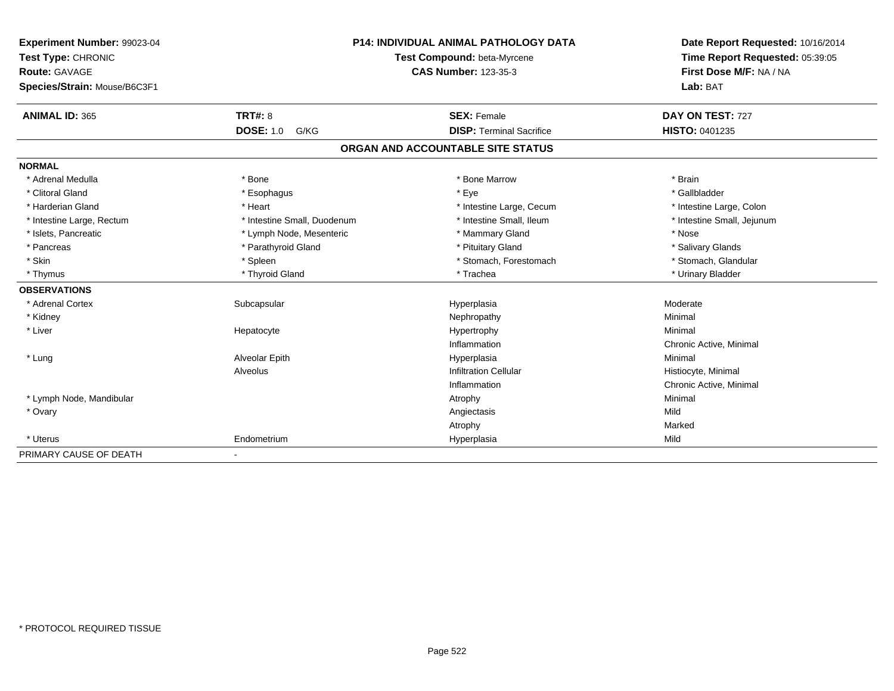| Experiment Number: 99023-04  | <b>P14: INDIVIDUAL ANIMAL PATHOLOGY DATA</b> |                                   | Date Report Requested: 10/16/2014 |  |
|------------------------------|----------------------------------------------|-----------------------------------|-----------------------------------|--|
| Test Type: CHRONIC           |                                              | Test Compound: beta-Myrcene       | Time Report Requested: 05:39:05   |  |
| Route: GAVAGE                |                                              | <b>CAS Number: 123-35-3</b>       | First Dose M/F: NA / NA           |  |
| Species/Strain: Mouse/B6C3F1 |                                              |                                   | Lab: BAT                          |  |
| <b>ANIMAL ID: 365</b>        | <b>TRT#: 8</b>                               | <b>SEX: Female</b>                | DAY ON TEST: 727                  |  |
|                              | <b>DOSE: 1.0</b><br>G/KG                     | <b>DISP: Terminal Sacrifice</b>   | <b>HISTO: 0401235</b>             |  |
|                              |                                              | ORGAN AND ACCOUNTABLE SITE STATUS |                                   |  |
| <b>NORMAL</b>                |                                              |                                   |                                   |  |
| * Adrenal Medulla            | * Bone                                       | * Bone Marrow                     | * Brain                           |  |
| * Clitoral Gland             | * Esophagus                                  | * Eye                             | * Gallbladder                     |  |
| * Harderian Gland            | * Heart                                      | * Intestine Large, Cecum          | * Intestine Large, Colon          |  |
| * Intestine Large, Rectum    | * Intestine Small, Duodenum                  | * Intestine Small, Ileum          | * Intestine Small, Jejunum        |  |
| * Islets, Pancreatic         | * Lymph Node, Mesenteric                     | * Mammary Gland                   | * Nose                            |  |
| * Pancreas                   | * Parathyroid Gland                          | * Pituitary Gland                 | * Salivary Glands                 |  |
| * Skin                       | * Spleen                                     | * Stomach, Forestomach            | * Stomach, Glandular              |  |
| * Thymus                     | * Thyroid Gland                              | * Trachea                         | * Urinary Bladder                 |  |
| <b>OBSERVATIONS</b>          |                                              |                                   |                                   |  |
| * Adrenal Cortex             | Subcapsular                                  | Hyperplasia                       | Moderate                          |  |
| * Kidney                     |                                              | Nephropathy                       | Minimal                           |  |
| * Liver                      | Hepatocyte                                   | Hypertrophy                       | Minimal                           |  |
|                              |                                              | Inflammation                      | Chronic Active, Minimal           |  |
| * Lung                       | Alveolar Epith                               | Hyperplasia                       | Minimal                           |  |
|                              | Alveolus                                     | <b>Infiltration Cellular</b>      | Histiocyte, Minimal               |  |
|                              |                                              | Inflammation                      | Chronic Active, Minimal           |  |
| * Lymph Node, Mandibular     |                                              | Atrophy                           | Minimal                           |  |
| * Ovary                      |                                              | Angiectasis                       | Mild                              |  |
|                              |                                              | Atrophy                           | Marked                            |  |
| * Uterus                     | Endometrium                                  | Hyperplasia                       | Mild                              |  |
| PRIMARY CAUSE OF DEATH       | $\blacksquare$                               |                                   |                                   |  |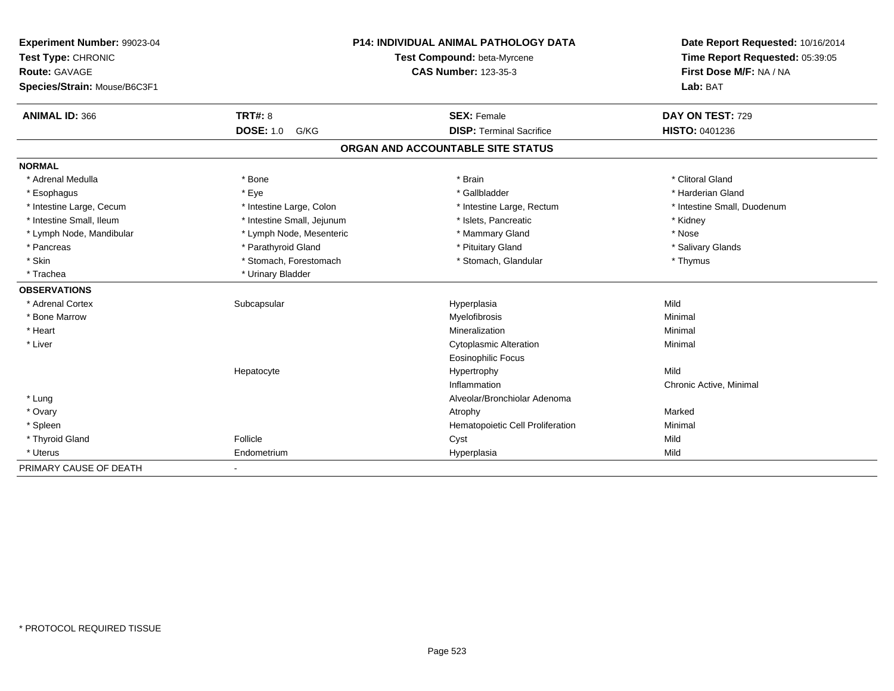| Experiment Number: 99023-04  | <b>P14: INDIVIDUAL ANIMAL PATHOLOGY DATA</b> |                                   | Date Report Requested: 10/16/2014 |  |
|------------------------------|----------------------------------------------|-----------------------------------|-----------------------------------|--|
| Test Type: CHRONIC           |                                              | Test Compound: beta-Myrcene       | Time Report Requested: 05:39:05   |  |
| <b>Route: GAVAGE</b>         |                                              | <b>CAS Number: 123-35-3</b>       | First Dose M/F: NA / NA           |  |
| Species/Strain: Mouse/B6C3F1 |                                              |                                   | Lab: BAT                          |  |
| <b>ANIMAL ID: 366</b>        | TRT#: 8                                      | <b>SEX: Female</b>                | DAY ON TEST: 729                  |  |
|                              | <b>DOSE: 1.0</b><br>G/KG                     | <b>DISP: Terminal Sacrifice</b>   | <b>HISTO: 0401236</b>             |  |
|                              |                                              | ORGAN AND ACCOUNTABLE SITE STATUS |                                   |  |
| <b>NORMAL</b>                |                                              |                                   |                                   |  |
| * Adrenal Medulla            | * Bone                                       | * Brain                           | * Clitoral Gland                  |  |
| * Esophagus                  | * Eye                                        | * Gallbladder                     | * Harderian Gland                 |  |
| * Intestine Large, Cecum     | * Intestine Large, Colon                     | * Intestine Large, Rectum         | * Intestine Small, Duodenum       |  |
| * Intestine Small, Ileum     | * Intestine Small, Jejunum                   | * Islets, Pancreatic              | * Kidney                          |  |
| * Lymph Node, Mandibular     | * Lymph Node, Mesenteric                     | * Mammary Gland                   | * Nose                            |  |
| * Pancreas                   | * Parathyroid Gland                          | * Pituitary Gland                 | * Salivary Glands                 |  |
| * Skin                       | * Stomach, Forestomach                       | * Stomach, Glandular              | * Thymus                          |  |
| * Trachea                    | * Urinary Bladder                            |                                   |                                   |  |
| <b>OBSERVATIONS</b>          |                                              |                                   |                                   |  |
| * Adrenal Cortex             | Subcapsular                                  | Hyperplasia                       | Mild                              |  |
| * Bone Marrow                |                                              | Myelofibrosis                     | Minimal                           |  |
| * Heart                      |                                              | Mineralization                    | Minimal                           |  |
| * Liver                      |                                              | <b>Cytoplasmic Alteration</b>     | Minimal                           |  |
|                              |                                              | <b>Eosinophilic Focus</b>         |                                   |  |
|                              | Hepatocyte                                   | Hypertrophy                       | Mild                              |  |
|                              |                                              | Inflammation                      | Chronic Active, Minimal           |  |
| * Lung                       |                                              | Alveolar/Bronchiolar Adenoma      |                                   |  |
| * Ovary                      |                                              | Atrophy                           | Marked                            |  |
| * Spleen                     |                                              | Hematopoietic Cell Proliferation  | Minimal                           |  |
| * Thyroid Gland              | Follicle                                     | Cyst                              | Mild                              |  |
| * Uterus                     | Endometrium                                  | Hyperplasia                       | Mild                              |  |
| PRIMARY CAUSE OF DEATH       | $\blacksquare$                               |                                   |                                   |  |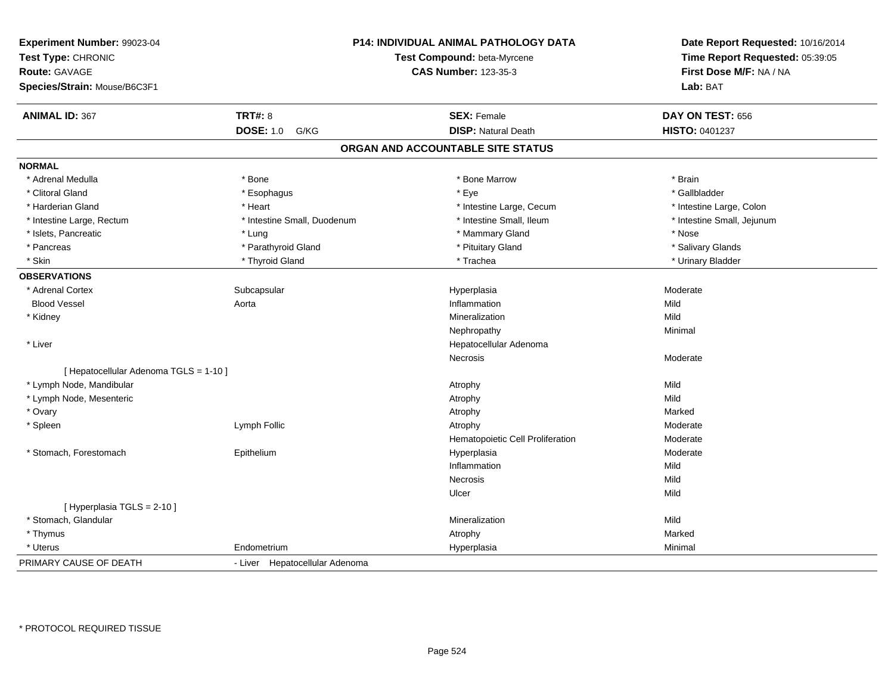| Experiment Number: 99023-04<br>Test Type: CHRONIC<br><b>Route: GAVAGE</b><br>Species/Strain: Mouse/B6C3F1 | P14: INDIVIDUAL ANIMAL PATHOLOGY DATA<br>Test Compound: beta-Myrcene<br><b>CAS Number: 123-35-3</b> |                                   | Date Report Requested: 10/16/2014<br>Time Report Requested: 05:39:05<br>First Dose M/F: NA / NA<br>Lab: BAT |  |
|-----------------------------------------------------------------------------------------------------------|-----------------------------------------------------------------------------------------------------|-----------------------------------|-------------------------------------------------------------------------------------------------------------|--|
| <b>ANIMAL ID: 367</b>                                                                                     | <b>TRT#: 8</b>                                                                                      | <b>SEX: Female</b>                | DAY ON TEST: 656                                                                                            |  |
|                                                                                                           | <b>DOSE: 1.0</b><br>G/KG                                                                            | <b>DISP: Natural Death</b>        | HISTO: 0401237                                                                                              |  |
|                                                                                                           |                                                                                                     | ORGAN AND ACCOUNTABLE SITE STATUS |                                                                                                             |  |
| <b>NORMAL</b>                                                                                             |                                                                                                     |                                   |                                                                                                             |  |
| * Adrenal Medulla                                                                                         | * Bone                                                                                              | * Bone Marrow                     | * Brain                                                                                                     |  |
| * Clitoral Gland                                                                                          | * Esophagus                                                                                         | * Eye                             | * Gallbladder                                                                                               |  |
| * Harderian Gland                                                                                         | * Heart                                                                                             | * Intestine Large, Cecum          | * Intestine Large, Colon                                                                                    |  |
| * Intestine Large, Rectum                                                                                 | * Intestine Small, Duodenum                                                                         | * Intestine Small, Ileum          | * Intestine Small, Jejunum                                                                                  |  |
| * Islets, Pancreatic                                                                                      | * Lung                                                                                              | * Mammary Gland                   | * Nose                                                                                                      |  |
| * Pancreas                                                                                                | * Parathyroid Gland                                                                                 | * Pituitary Gland                 | * Salivary Glands                                                                                           |  |
| * Skin                                                                                                    | * Thyroid Gland                                                                                     | * Trachea                         | * Urinary Bladder                                                                                           |  |
| <b>OBSERVATIONS</b>                                                                                       |                                                                                                     |                                   |                                                                                                             |  |
| * Adrenal Cortex                                                                                          | Subcapsular                                                                                         | Hyperplasia                       | Moderate                                                                                                    |  |
| <b>Blood Vessel</b>                                                                                       | Aorta                                                                                               | Inflammation                      | Mild                                                                                                        |  |
| * Kidney                                                                                                  |                                                                                                     | Mineralization                    | Mild                                                                                                        |  |
|                                                                                                           |                                                                                                     | Nephropathy                       | Minimal                                                                                                     |  |
| * Liver                                                                                                   |                                                                                                     | Hepatocellular Adenoma            |                                                                                                             |  |
|                                                                                                           |                                                                                                     | Necrosis                          | Moderate                                                                                                    |  |
| [ Hepatocellular Adenoma TGLS = 1-10 ]                                                                    |                                                                                                     |                                   |                                                                                                             |  |
| * Lymph Node, Mandibular                                                                                  |                                                                                                     | Atrophy                           | Mild                                                                                                        |  |
| * Lymph Node, Mesenteric                                                                                  |                                                                                                     | Atrophy                           | Mild                                                                                                        |  |
| * Ovary                                                                                                   |                                                                                                     | Atrophy                           | Marked                                                                                                      |  |
| * Spleen                                                                                                  | Lymph Follic                                                                                        | Atrophy                           | Moderate                                                                                                    |  |
|                                                                                                           |                                                                                                     | Hematopoietic Cell Proliferation  | Moderate                                                                                                    |  |
| * Stomach, Forestomach                                                                                    | Epithelium                                                                                          | Hyperplasia                       | Moderate                                                                                                    |  |
|                                                                                                           |                                                                                                     | Inflammation                      | Mild                                                                                                        |  |
|                                                                                                           |                                                                                                     | <b>Necrosis</b>                   | Mild                                                                                                        |  |
|                                                                                                           |                                                                                                     | Ulcer                             | Mild                                                                                                        |  |
| [ Hyperplasia TGLS = 2-10 ]                                                                               |                                                                                                     |                                   |                                                                                                             |  |
| * Stomach, Glandular                                                                                      |                                                                                                     | Mineralization                    | Mild                                                                                                        |  |
| * Thymus                                                                                                  |                                                                                                     | Atrophy                           | Marked                                                                                                      |  |
| * Uterus                                                                                                  | Endometrium                                                                                         | Hyperplasia                       | Minimal                                                                                                     |  |
| PRIMARY CAUSE OF DEATH                                                                                    | - Liver Hepatocellular Adenoma                                                                      |                                   |                                                                                                             |  |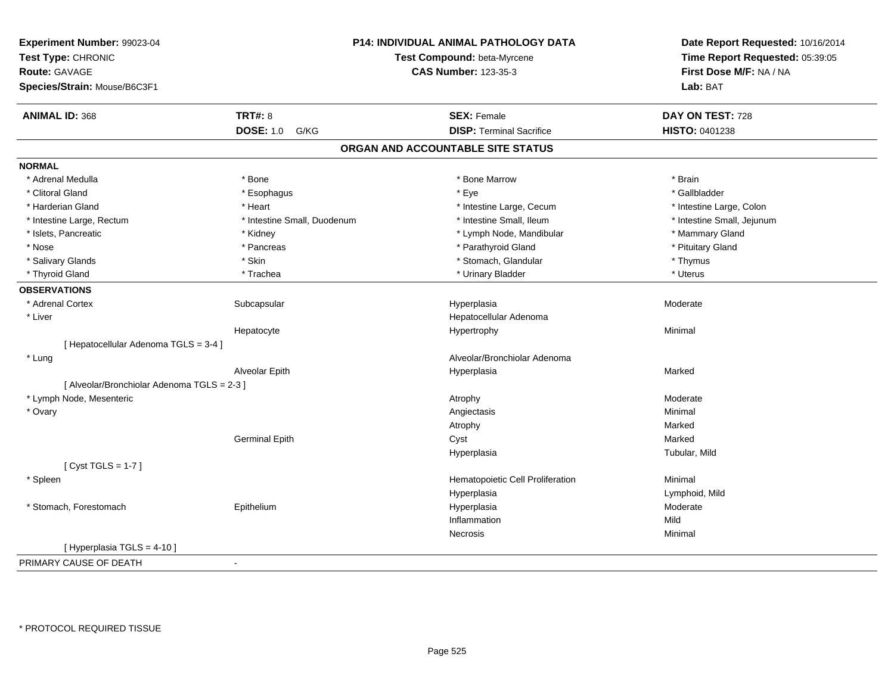| Experiment Number: 99023-04<br>Test Type: CHRONIC<br><b>Route: GAVAGE</b> |                             | P14: INDIVIDUAL ANIMAL PATHOLOGY DATA<br>Test Compound: beta-Myrcene | Date Report Requested: 10/16/2014<br>Time Report Requested: 05:39:05 |
|---------------------------------------------------------------------------|-----------------------------|----------------------------------------------------------------------|----------------------------------------------------------------------|
|                                                                           |                             | <b>CAS Number: 123-35-3</b>                                          | First Dose M/F: NA / NA                                              |
| Species/Strain: Mouse/B6C3F1                                              |                             |                                                                      | Lab: BAT                                                             |
| <b>ANIMAL ID: 368</b>                                                     | <b>TRT#: 8</b>              | <b>SEX: Female</b>                                                   | DAY ON TEST: 728                                                     |
|                                                                           | <b>DOSE: 1.0</b><br>G/KG    | <b>DISP: Terminal Sacrifice</b>                                      | HISTO: 0401238                                                       |
|                                                                           |                             | ORGAN AND ACCOUNTABLE SITE STATUS                                    |                                                                      |
| <b>NORMAL</b>                                                             |                             |                                                                      |                                                                      |
| * Adrenal Medulla                                                         | * Bone                      | * Bone Marrow                                                        | * Brain                                                              |
| * Clitoral Gland                                                          | * Esophagus                 | * Eye                                                                | * Gallbladder                                                        |
| * Harderian Gland                                                         | * Heart                     | * Intestine Large, Cecum                                             | * Intestine Large, Colon                                             |
| * Intestine Large, Rectum                                                 | * Intestine Small, Duodenum | * Intestine Small, Ileum                                             | * Intestine Small, Jejunum                                           |
| * Islets, Pancreatic                                                      | * Kidney                    | * Lymph Node, Mandibular                                             | * Mammary Gland                                                      |
| * Nose                                                                    | * Pancreas                  | * Parathyroid Gland                                                  | * Pituitary Gland                                                    |
| * Salivary Glands                                                         | * Skin                      | * Stomach, Glandular                                                 | * Thymus                                                             |
| * Thyroid Gland                                                           | * Trachea                   | * Urinary Bladder                                                    | * Uterus                                                             |
| <b>OBSERVATIONS</b>                                                       |                             |                                                                      |                                                                      |
| * Adrenal Cortex                                                          | Subcapsular                 | Hyperplasia                                                          | Moderate                                                             |
| * Liver                                                                   |                             | Hepatocellular Adenoma                                               |                                                                      |
|                                                                           | Hepatocyte                  | Hypertrophy                                                          | Minimal                                                              |
| [ Hepatocellular Adenoma TGLS = 3-4 ]                                     |                             |                                                                      |                                                                      |
| * Lung                                                                    |                             | Alveolar/Bronchiolar Adenoma                                         |                                                                      |
|                                                                           | Alveolar Epith              | Hyperplasia                                                          | Marked                                                               |
| [ Alveolar/Bronchiolar Adenoma TGLS = 2-3 ]                               |                             |                                                                      |                                                                      |
| * Lymph Node, Mesenteric                                                  |                             | Atrophy                                                              | Moderate                                                             |
| * Ovary                                                                   |                             | Angiectasis                                                          | Minimal                                                              |
|                                                                           |                             | Atrophy                                                              | Marked                                                               |
|                                                                           | <b>Germinal Epith</b>       | Cyst                                                                 | Marked                                                               |
|                                                                           |                             | Hyperplasia                                                          | Tubular, Mild                                                        |
| [Cyst TGLS = $1-7$ ]                                                      |                             |                                                                      |                                                                      |
| * Spleen                                                                  |                             | Hematopoietic Cell Proliferation                                     | Minimal                                                              |
|                                                                           |                             | Hyperplasia                                                          | Lymphoid, Mild                                                       |
| * Stomach, Forestomach                                                    | Epithelium                  | Hyperplasia                                                          | Moderate                                                             |
|                                                                           |                             | Inflammation                                                         | Mild                                                                 |
|                                                                           |                             | Necrosis                                                             | Minimal                                                              |
| [ Hyperplasia TGLS = 4-10 ]                                               |                             |                                                                      |                                                                      |
| PRIMARY CAUSE OF DEATH                                                    | $\sim$                      |                                                                      |                                                                      |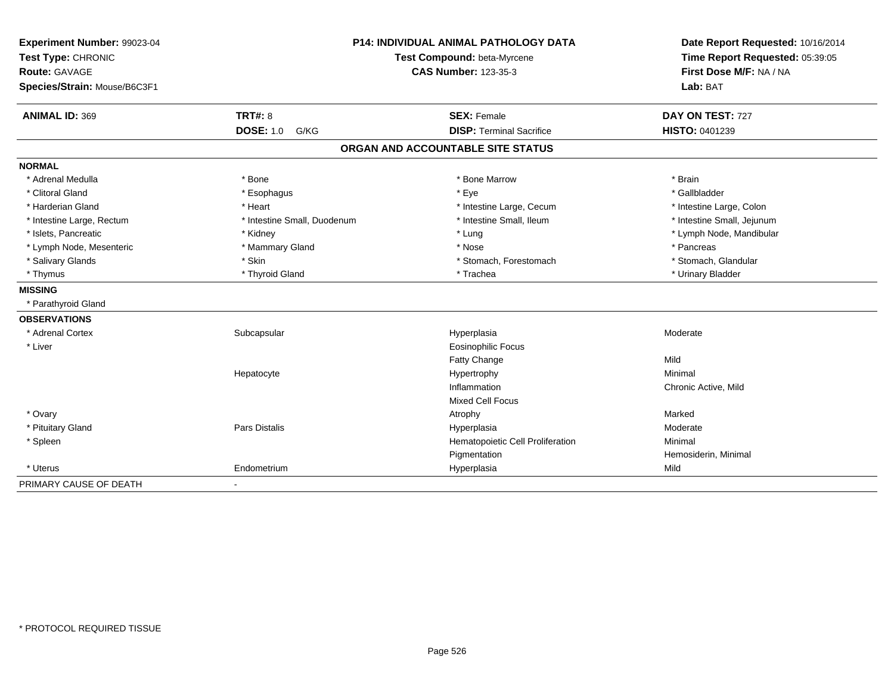| Experiment Number: 99023-04<br>Test Type: CHRONIC<br>Route: GAVAGE<br>Species/Strain: Mouse/B6C3F1 |                             | <b>P14: INDIVIDUAL ANIMAL PATHOLOGY DATA</b><br>Test Compound: beta-Myrcene<br><b>CAS Number: 123-35-3</b> | Date Report Requested: 10/16/2014<br>Time Report Requested: 05:39:05<br>First Dose M/F: NA / NA<br>Lab: BAT |  |
|----------------------------------------------------------------------------------------------------|-----------------------------|------------------------------------------------------------------------------------------------------------|-------------------------------------------------------------------------------------------------------------|--|
| <b>ANIMAL ID: 369</b>                                                                              | <b>TRT#: 8</b>              | <b>SEX: Female</b>                                                                                         | DAY ON TEST: 727                                                                                            |  |
|                                                                                                    | <b>DOSE: 1.0</b><br>G/KG    | <b>DISP: Terminal Sacrifice</b>                                                                            | <b>HISTO: 0401239</b>                                                                                       |  |
|                                                                                                    |                             | ORGAN AND ACCOUNTABLE SITE STATUS                                                                          |                                                                                                             |  |
| <b>NORMAL</b>                                                                                      |                             |                                                                                                            |                                                                                                             |  |
| * Adrenal Medulla                                                                                  | * Bone                      | * Bone Marrow                                                                                              | * Brain                                                                                                     |  |
| * Clitoral Gland                                                                                   | * Esophagus                 | * Eye                                                                                                      | * Gallbladder                                                                                               |  |
| * Harderian Gland                                                                                  | * Heart                     | * Intestine Large, Cecum                                                                                   | * Intestine Large, Colon                                                                                    |  |
| * Intestine Large, Rectum                                                                          | * Intestine Small, Duodenum | * Intestine Small, Ileum                                                                                   | * Intestine Small, Jejunum                                                                                  |  |
| * Islets, Pancreatic                                                                               | * Kidney                    | * Lung                                                                                                     | * Lymph Node, Mandibular                                                                                    |  |
| * Lymph Node, Mesenteric                                                                           | * Mammary Gland             | * Nose                                                                                                     | * Pancreas                                                                                                  |  |
| * Salivary Glands                                                                                  | * Skin                      | * Stomach, Forestomach                                                                                     | * Stomach, Glandular                                                                                        |  |
| * Thymus                                                                                           | * Thyroid Gland             | * Trachea                                                                                                  | * Urinary Bladder                                                                                           |  |
| <b>MISSING</b>                                                                                     |                             |                                                                                                            |                                                                                                             |  |
| * Parathyroid Gland                                                                                |                             |                                                                                                            |                                                                                                             |  |
| <b>OBSERVATIONS</b>                                                                                |                             |                                                                                                            |                                                                                                             |  |
| * Adrenal Cortex                                                                                   | Subcapsular                 | Hyperplasia                                                                                                | Moderate                                                                                                    |  |
| * Liver                                                                                            |                             | Eosinophilic Focus                                                                                         |                                                                                                             |  |
|                                                                                                    |                             | Fatty Change                                                                                               | Mild                                                                                                        |  |
|                                                                                                    | Hepatocyte                  | Hypertrophy                                                                                                | Minimal                                                                                                     |  |
|                                                                                                    |                             | Inflammation                                                                                               | Chronic Active, Mild                                                                                        |  |
|                                                                                                    |                             | <b>Mixed Cell Focus</b>                                                                                    |                                                                                                             |  |
| * Ovary                                                                                            |                             | Atrophy                                                                                                    | Marked                                                                                                      |  |
| * Pituitary Gland                                                                                  | Pars Distalis               | Hyperplasia                                                                                                | Moderate                                                                                                    |  |
| * Spleen                                                                                           |                             | Hematopoietic Cell Proliferation                                                                           | Minimal                                                                                                     |  |
|                                                                                                    |                             | Pigmentation                                                                                               | Hemosiderin, Minimal                                                                                        |  |
| * Uterus                                                                                           | Endometrium                 | Hyperplasia                                                                                                | Mild                                                                                                        |  |
| PRIMARY CAUSE OF DEATH                                                                             |                             |                                                                                                            |                                                                                                             |  |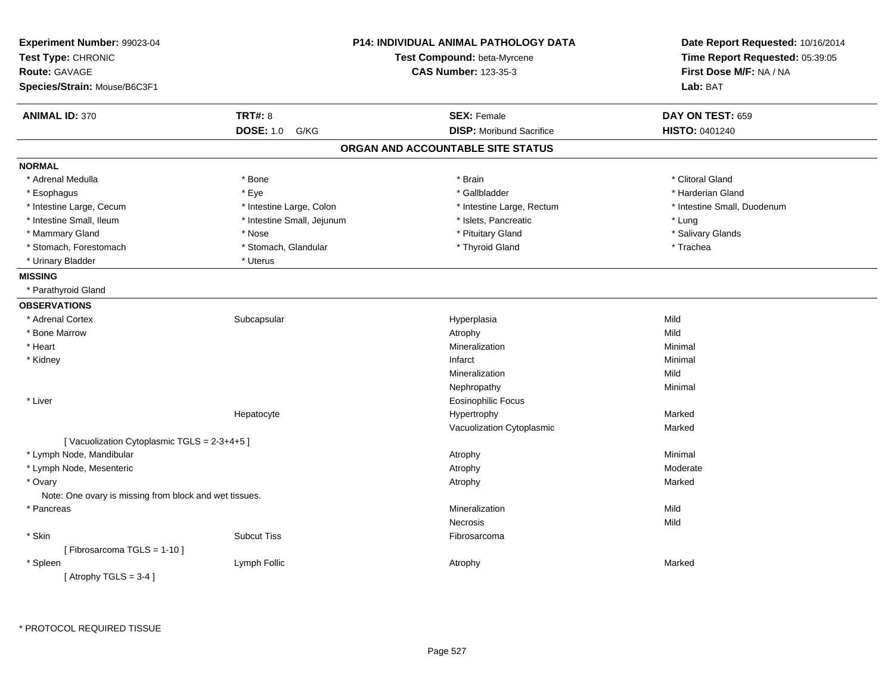| Experiment Number: 99023-04<br>Test Type: CHRONIC<br><b>Route: GAVAGE</b> |                            | <b>P14: INDIVIDUAL ANIMAL PATHOLOGY DATA</b><br>Test Compound: beta-Myrcene<br><b>CAS Number: 123-35-3</b> | Date Report Requested: 10/16/2014<br>Time Report Requested: 05:39:05<br>First Dose M/F: NA / NA |  |
|---------------------------------------------------------------------------|----------------------------|------------------------------------------------------------------------------------------------------------|-------------------------------------------------------------------------------------------------|--|
| Species/Strain: Mouse/B6C3F1                                              |                            |                                                                                                            | Lab: BAT                                                                                        |  |
| <b>ANIMAL ID: 370</b>                                                     | <b>TRT#: 8</b>             | <b>SEX: Female</b>                                                                                         | DAY ON TEST: 659                                                                                |  |
|                                                                           | <b>DOSE: 1.0</b><br>G/KG   | <b>DISP:</b> Moribund Sacrifice                                                                            | HISTO: 0401240                                                                                  |  |
|                                                                           |                            | ORGAN AND ACCOUNTABLE SITE STATUS                                                                          |                                                                                                 |  |
| <b>NORMAL</b>                                                             |                            |                                                                                                            |                                                                                                 |  |
| * Adrenal Medulla                                                         | * Bone                     | * Brain                                                                                                    | * Clitoral Gland                                                                                |  |
| * Esophagus                                                               | * Eye                      | * Gallbladder                                                                                              | * Harderian Gland                                                                               |  |
| * Intestine Large, Cecum                                                  | * Intestine Large, Colon   | * Intestine Large, Rectum                                                                                  | * Intestine Small, Duodenum                                                                     |  |
| * Intestine Small, Ileum                                                  | * Intestine Small, Jejunum | * Islets, Pancreatic                                                                                       | * Lung                                                                                          |  |
| * Mammary Gland                                                           | * Nose                     | * Pituitary Gland                                                                                          | * Salivary Glands                                                                               |  |
| * Stomach, Forestomach                                                    | * Stomach, Glandular       | * Thyroid Gland                                                                                            | * Trachea                                                                                       |  |
| * Urinary Bladder                                                         | * Uterus                   |                                                                                                            |                                                                                                 |  |
| <b>MISSING</b>                                                            |                            |                                                                                                            |                                                                                                 |  |
| * Parathyroid Gland                                                       |                            |                                                                                                            |                                                                                                 |  |
| <b>OBSERVATIONS</b>                                                       |                            |                                                                                                            |                                                                                                 |  |
| * Adrenal Cortex                                                          | Subcapsular                | Hyperplasia                                                                                                | Mild                                                                                            |  |
| * Bone Marrow                                                             |                            | Atrophy                                                                                                    | Mild                                                                                            |  |
| * Heart                                                                   |                            | Mineralization                                                                                             | Minimal                                                                                         |  |
| * Kidney                                                                  |                            | Infarct                                                                                                    | Minimal                                                                                         |  |
|                                                                           |                            | Mineralization                                                                                             | Mild                                                                                            |  |
|                                                                           |                            | Nephropathy                                                                                                | Minimal                                                                                         |  |
| * Liver                                                                   |                            | <b>Eosinophilic Focus</b>                                                                                  |                                                                                                 |  |
|                                                                           | Hepatocyte                 | Hypertrophy                                                                                                | Marked                                                                                          |  |
|                                                                           |                            | Vacuolization Cytoplasmic                                                                                  | Marked                                                                                          |  |
| [Vacuolization Cytoplasmic TGLS = 2-3+4+5]                                |                            |                                                                                                            |                                                                                                 |  |
| * Lymph Node, Mandibular                                                  |                            | Atrophy                                                                                                    | Minimal                                                                                         |  |
| * Lymph Node, Mesenteric                                                  |                            | Atrophy                                                                                                    | Moderate                                                                                        |  |
| * Ovary                                                                   |                            | Atrophy                                                                                                    | Marked                                                                                          |  |
| Note: One ovary is missing from block and wet tissues.                    |                            |                                                                                                            |                                                                                                 |  |
| * Pancreas                                                                |                            | Mineralization                                                                                             | Mild                                                                                            |  |
|                                                                           |                            | <b>Necrosis</b>                                                                                            | Mild                                                                                            |  |
| * Skin                                                                    | <b>Subcut Tiss</b>         | Fibrosarcoma                                                                                               |                                                                                                 |  |
| [Fibrosarcoma TGLS = 1-10]                                                |                            |                                                                                                            |                                                                                                 |  |
| * Spleen                                                                  | Lymph Follic               | Atrophy                                                                                                    | Marked                                                                                          |  |
| [Atrophy TGLS = $3-4$ ]                                                   |                            |                                                                                                            |                                                                                                 |  |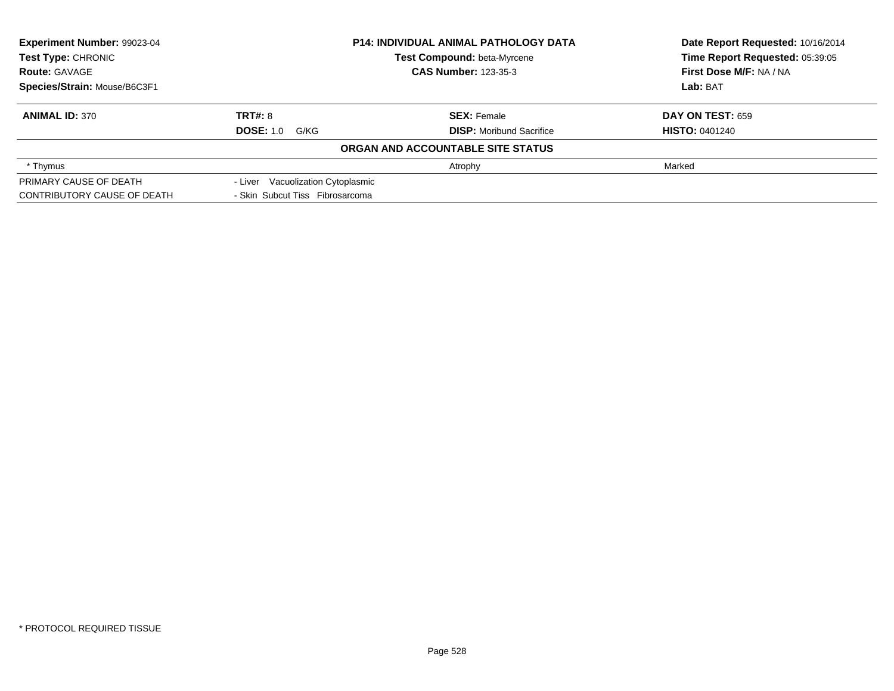| Experiment Number: 99023-04  |                                   | <b>P14: INDIVIDUAL ANIMAL PATHOLOGY DATA</b> | Date Report Requested: 10/16/2014 |
|------------------------------|-----------------------------------|----------------------------------------------|-----------------------------------|
| <b>Test Type: CHRONIC</b>    | Test Compound: beta-Myrcene       |                                              | Time Report Requested: 05:39:05   |
| <b>Route: GAVAGE</b>         |                                   | <b>CAS Number: 123-35-3</b>                  | First Dose M/F: NA / NA           |
| Species/Strain: Mouse/B6C3F1 |                                   |                                              | Lab: BAT                          |
| <b>ANIMAL ID: 370</b>        | TRT#: 8                           | <b>SEX: Female</b>                           | <b>DAY ON TEST: 659</b>           |
|                              | <b>DOSE: 1.0 G/KG</b>             | <b>DISP:</b> Moribund Sacrifice              | <b>HISTO: 0401240</b>             |
|                              |                                   | ORGAN AND ACCOUNTABLE SITE STATUS            |                                   |
| * Thymus                     |                                   | Atrophy                                      | Marked                            |
| PRIMARY CAUSE OF DEATH       | - Liver Vacuolization Cytoplasmic |                                              |                                   |
| CONTRIBUTORY CAUSE OF DEATH  | - Skin Subcut Tiss Fibrosarcoma   |                                              |                                   |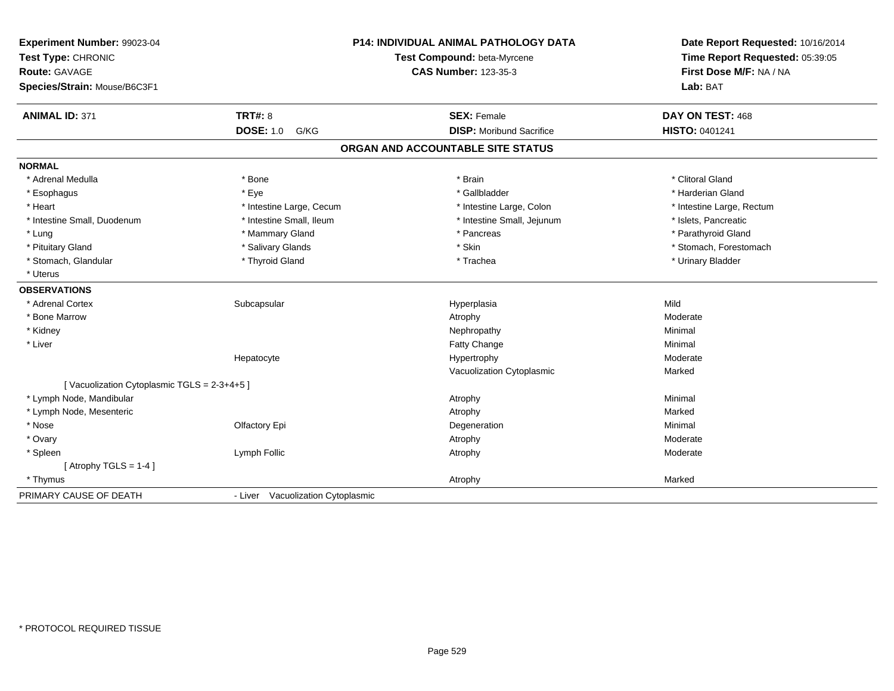| Experiment Number: 99023-04<br>Test Type: CHRONIC<br><b>Route: GAVAGE</b><br>Species/Strain: Mouse/B6C3F1 |                                   | <b>P14: INDIVIDUAL ANIMAL PATHOLOGY DATA</b><br>Test Compound: beta-Myrcene<br><b>CAS Number: 123-35-3</b> | Date Report Requested: 10/16/2014<br>Time Report Requested: 05:39:05<br>First Dose M/F: NA / NA<br>Lab: BAT |
|-----------------------------------------------------------------------------------------------------------|-----------------------------------|------------------------------------------------------------------------------------------------------------|-------------------------------------------------------------------------------------------------------------|
| <b>ANIMAL ID: 371</b>                                                                                     | <b>TRT#: 8</b>                    | <b>SEX: Female</b>                                                                                         | DAY ON TEST: 468                                                                                            |
|                                                                                                           | <b>DOSE: 1.0</b><br>G/KG          | <b>DISP:</b> Moribund Sacrifice                                                                            | HISTO: 0401241                                                                                              |
|                                                                                                           |                                   | ORGAN AND ACCOUNTABLE SITE STATUS                                                                          |                                                                                                             |
| <b>NORMAL</b>                                                                                             |                                   |                                                                                                            |                                                                                                             |
| * Adrenal Medulla                                                                                         | * Bone                            | * Brain                                                                                                    | * Clitoral Gland                                                                                            |
| * Esophagus                                                                                               | * Eve                             | * Gallbladder                                                                                              | * Harderian Gland                                                                                           |
| * Heart                                                                                                   | * Intestine Large, Cecum          | * Intestine Large, Colon                                                                                   | * Intestine Large, Rectum                                                                                   |
| * Intestine Small, Duodenum                                                                               | * Intestine Small, Ileum          | * Intestine Small, Jejunum                                                                                 | * Islets, Pancreatic                                                                                        |
| * Lung                                                                                                    | * Mammary Gland                   | * Pancreas                                                                                                 | * Parathyroid Gland                                                                                         |
| * Pituitary Gland                                                                                         | * Salivary Glands                 | * Skin                                                                                                     | * Stomach, Forestomach                                                                                      |
| * Stomach, Glandular                                                                                      | * Thyroid Gland                   | * Trachea                                                                                                  | * Urinary Bladder                                                                                           |
| * Uterus                                                                                                  |                                   |                                                                                                            |                                                                                                             |
| <b>OBSERVATIONS</b>                                                                                       |                                   |                                                                                                            |                                                                                                             |
| * Adrenal Cortex                                                                                          | Subcapsular                       | Hyperplasia                                                                                                | Mild                                                                                                        |
| * Bone Marrow                                                                                             |                                   | Atrophy                                                                                                    | Moderate                                                                                                    |
| * Kidney                                                                                                  |                                   | Nephropathy                                                                                                | Minimal                                                                                                     |
| * Liver                                                                                                   |                                   | Fatty Change                                                                                               | Minimal                                                                                                     |
|                                                                                                           | Hepatocyte                        | Hypertrophy                                                                                                | Moderate                                                                                                    |
|                                                                                                           |                                   | Vacuolization Cytoplasmic                                                                                  | Marked                                                                                                      |
| [Vacuolization Cytoplasmic TGLS = 2-3+4+5]                                                                |                                   |                                                                                                            |                                                                                                             |
| * Lymph Node, Mandibular                                                                                  |                                   | Atrophy                                                                                                    | Minimal                                                                                                     |
| * Lymph Node, Mesenteric                                                                                  |                                   | Atrophy                                                                                                    | Marked                                                                                                      |
| * Nose                                                                                                    | Olfactory Epi                     | Degeneration                                                                                               | Minimal                                                                                                     |
| * Ovary                                                                                                   |                                   | Atrophy                                                                                                    | Moderate                                                                                                    |
| * Spleen                                                                                                  | Lymph Follic                      | Atrophy                                                                                                    | Moderate                                                                                                    |
| [Atrophy TGLS = $1-4$ ]                                                                                   |                                   |                                                                                                            |                                                                                                             |
| * Thymus                                                                                                  |                                   | Atrophy                                                                                                    | Marked                                                                                                      |
| PRIMARY CAUSE OF DEATH                                                                                    | - Liver Vacuolization Cytoplasmic |                                                                                                            |                                                                                                             |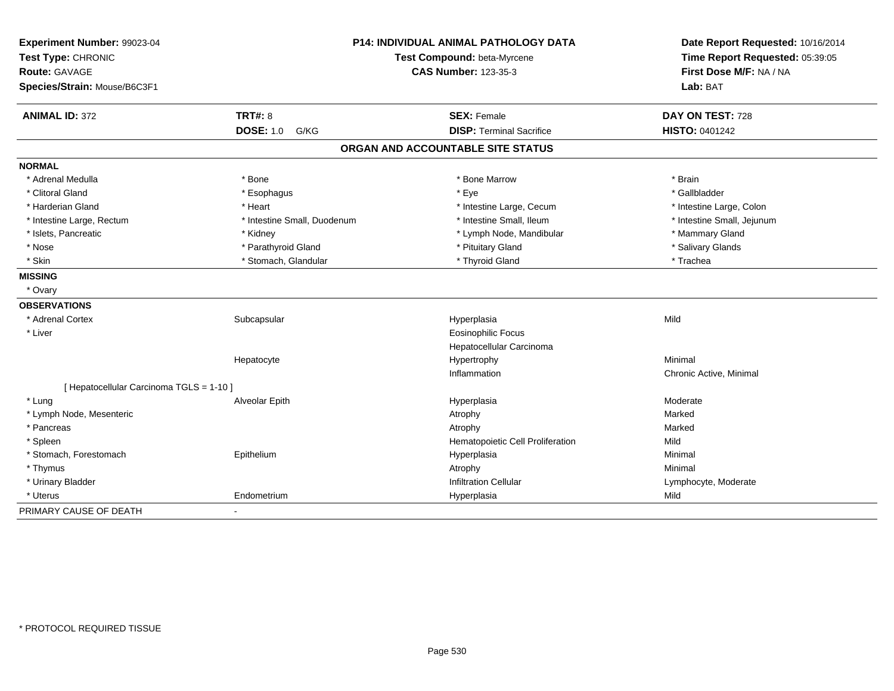| Experiment Number: 99023-04<br>Test Type: CHRONIC<br><b>Route: GAVAGE</b><br>Species/Strain: Mouse/B6C3F1 |                             | <b>P14: INDIVIDUAL ANIMAL PATHOLOGY DATA</b><br>Test Compound: beta-Myrcene<br><b>CAS Number: 123-35-3</b> | Date Report Requested: 10/16/2014<br>Time Report Requested: 05:39:05<br>First Dose M/F: NA / NA<br>Lab: BAT |
|-----------------------------------------------------------------------------------------------------------|-----------------------------|------------------------------------------------------------------------------------------------------------|-------------------------------------------------------------------------------------------------------------|
| <b>ANIMAL ID: 372</b>                                                                                     | <b>TRT#: 8</b>              | <b>SEX: Female</b>                                                                                         | DAY ON TEST: 728                                                                                            |
|                                                                                                           | <b>DOSE: 1.0</b><br>G/KG    | <b>DISP: Terminal Sacrifice</b>                                                                            | <b>HISTO: 0401242</b>                                                                                       |
|                                                                                                           |                             | ORGAN AND ACCOUNTABLE SITE STATUS                                                                          |                                                                                                             |
| <b>NORMAL</b>                                                                                             |                             |                                                                                                            |                                                                                                             |
| * Adrenal Medulla                                                                                         | * Bone                      | * Bone Marrow                                                                                              | * Brain                                                                                                     |
| * Clitoral Gland                                                                                          | * Esophagus                 | * Eye                                                                                                      | * Gallbladder                                                                                               |
| * Harderian Gland                                                                                         | * Heart                     | * Intestine Large, Cecum                                                                                   | * Intestine Large, Colon                                                                                    |
| * Intestine Large, Rectum                                                                                 | * Intestine Small, Duodenum | * Intestine Small, Ileum                                                                                   | * Intestine Small, Jejunum                                                                                  |
| * Islets, Pancreatic                                                                                      | * Kidney                    | * Lymph Node, Mandibular                                                                                   | * Mammary Gland                                                                                             |
| * Nose                                                                                                    | * Parathyroid Gland         | * Pituitary Gland                                                                                          | * Salivary Glands                                                                                           |
| * Skin                                                                                                    | * Stomach, Glandular        | * Thyroid Gland                                                                                            | * Trachea                                                                                                   |
| <b>MISSING</b>                                                                                            |                             |                                                                                                            |                                                                                                             |
| * Ovary                                                                                                   |                             |                                                                                                            |                                                                                                             |
| <b>OBSERVATIONS</b>                                                                                       |                             |                                                                                                            |                                                                                                             |
| * Adrenal Cortex                                                                                          | Subcapsular                 | Hyperplasia                                                                                                | Mild                                                                                                        |
| * Liver                                                                                                   |                             | Eosinophilic Focus                                                                                         |                                                                                                             |
|                                                                                                           |                             | Hepatocellular Carcinoma                                                                                   |                                                                                                             |
|                                                                                                           | Hepatocyte                  | Hypertrophy                                                                                                | Minimal                                                                                                     |
|                                                                                                           |                             | Inflammation                                                                                               | Chronic Active, Minimal                                                                                     |
| [ Hepatocellular Carcinoma TGLS = 1-10 ]                                                                  |                             |                                                                                                            |                                                                                                             |
| * Luna                                                                                                    | Alveolar Epith              | Hyperplasia                                                                                                | Moderate                                                                                                    |
| * Lymph Node, Mesenteric                                                                                  |                             | Atrophy                                                                                                    | Marked                                                                                                      |
| * Pancreas                                                                                                |                             | Atrophy                                                                                                    | Marked                                                                                                      |
| * Spleen                                                                                                  |                             | Hematopoietic Cell Proliferation                                                                           | Mild                                                                                                        |
| * Stomach, Forestomach                                                                                    | Epithelium                  | Hyperplasia                                                                                                | Minimal                                                                                                     |
| * Thymus                                                                                                  |                             | Atrophy                                                                                                    | Minimal                                                                                                     |
| * Urinary Bladder                                                                                         |                             | <b>Infiltration Cellular</b>                                                                               | Lymphocyte, Moderate                                                                                        |
| * Uterus                                                                                                  | Endometrium                 | Hyperplasia                                                                                                | Mild                                                                                                        |
| PRIMARY CAUSE OF DEATH                                                                                    |                             |                                                                                                            |                                                                                                             |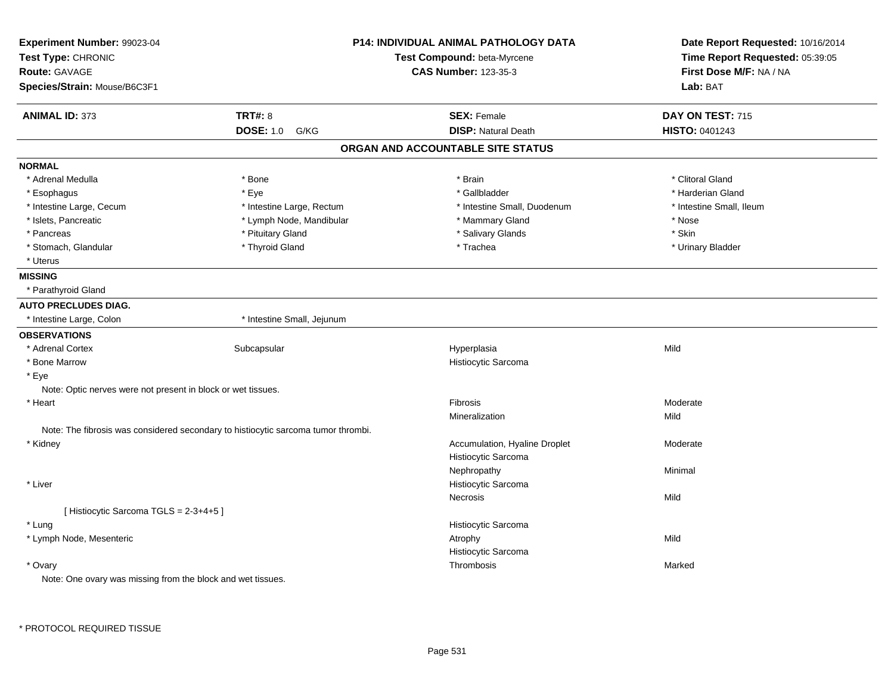| Experiment Number: 99023-04                                  | <b>P14: INDIVIDUAL ANIMAL PATHOLOGY DATA</b>                                      |                                   | Date Report Requested: 10/16/2014 |
|--------------------------------------------------------------|-----------------------------------------------------------------------------------|-----------------------------------|-----------------------------------|
| Test Type: CHRONIC                                           |                                                                                   | Test Compound: beta-Myrcene       | Time Report Requested: 05:39:05   |
| <b>Route: GAVAGE</b>                                         |                                                                                   | <b>CAS Number: 123-35-3</b>       | First Dose M/F: NA / NA           |
| Species/Strain: Mouse/B6C3F1                                 |                                                                                   |                                   | Lab: BAT                          |
| <b>ANIMAL ID: 373</b>                                        | <b>TRT#: 8</b>                                                                    | <b>SEX: Female</b>                | DAY ON TEST: 715                  |
|                                                              | <b>DOSE: 1.0</b><br>G/KG                                                          | <b>DISP: Natural Death</b>        | HISTO: 0401243                    |
|                                                              |                                                                                   | ORGAN AND ACCOUNTABLE SITE STATUS |                                   |
| <b>NORMAL</b>                                                |                                                                                   |                                   |                                   |
| * Adrenal Medulla                                            | * Bone                                                                            | * Brain                           | * Clitoral Gland                  |
| * Esophagus                                                  | * Eye                                                                             | * Gallbladder                     | * Harderian Gland                 |
| * Intestine Large, Cecum                                     | * Intestine Large, Rectum                                                         | * Intestine Small, Duodenum       | * Intestine Small, Ileum          |
| * Islets, Pancreatic                                         | * Lymph Node, Mandibular                                                          | * Mammary Gland                   | * Nose                            |
| * Pancreas                                                   | * Pituitary Gland                                                                 | * Salivary Glands                 | * Skin                            |
| * Stomach, Glandular                                         | * Thyroid Gland                                                                   | * Trachea                         | * Urinary Bladder                 |
| * Uterus                                                     |                                                                                   |                                   |                                   |
| <b>MISSING</b>                                               |                                                                                   |                                   |                                   |
| * Parathyroid Gland                                          |                                                                                   |                                   |                                   |
| <b>AUTO PRECLUDES DIAG.</b>                                  |                                                                                   |                                   |                                   |
| * Intestine Large, Colon                                     | * Intestine Small, Jejunum                                                        |                                   |                                   |
| <b>OBSERVATIONS</b>                                          |                                                                                   |                                   |                                   |
| * Adrenal Cortex                                             | Subcapsular                                                                       | Hyperplasia                       | Mild                              |
| * Bone Marrow                                                |                                                                                   | Histiocytic Sarcoma               |                                   |
| * Eye                                                        |                                                                                   |                                   |                                   |
| Note: Optic nerves were not present in block or wet tissues. |                                                                                   |                                   |                                   |
| * Heart                                                      |                                                                                   | Fibrosis                          | Moderate                          |
|                                                              |                                                                                   | Mineralization                    | Mild                              |
|                                                              | Note: The fibrosis was considered secondary to histiocytic sarcoma tumor thrombi. |                                   |                                   |
| * Kidney                                                     |                                                                                   | Accumulation, Hyaline Droplet     | Moderate                          |
|                                                              |                                                                                   | Histiocytic Sarcoma               |                                   |
|                                                              |                                                                                   | Nephropathy                       | Minimal                           |
| * Liver                                                      |                                                                                   | Histiocytic Sarcoma               |                                   |
|                                                              |                                                                                   | Necrosis                          | Mild                              |
| [Histiocytic Sarcoma TGLS = 2-3+4+5]                         |                                                                                   |                                   |                                   |
| * Lung                                                       |                                                                                   | Histiocytic Sarcoma               |                                   |
| * Lymph Node, Mesenteric                                     |                                                                                   | Atrophy                           | Mild                              |
|                                                              |                                                                                   | Histiocytic Sarcoma               |                                   |
| * Ovary                                                      |                                                                                   | Thrombosis                        | Marked                            |
| Note: One ovary was missing from the block and wet tissues.  |                                                                                   |                                   |                                   |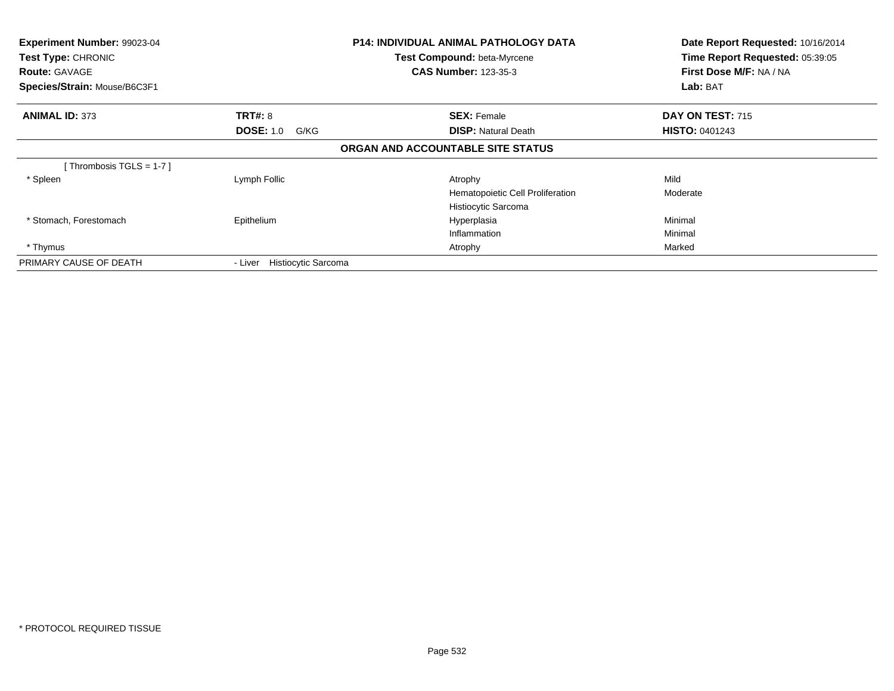| Experiment Number: 99023-04<br>Test Type: CHRONIC<br><b>Route: GAVAGE</b><br>Species/Strain: Mouse/B6C3F1 |                                | <b>P14: INDIVIDUAL ANIMAL PATHOLOGY DATA</b><br>Test Compound: beta-Myrcene<br><b>CAS Number: 123-35-3</b> | Date Report Requested: 10/16/2014<br>Time Report Requested: 05:39:05<br>First Dose M/F: NA / NA<br>Lab: BAT |
|-----------------------------------------------------------------------------------------------------------|--------------------------------|------------------------------------------------------------------------------------------------------------|-------------------------------------------------------------------------------------------------------------|
|                                                                                                           |                                |                                                                                                            |                                                                                                             |
| <b>ANIMAL ID: 373</b>                                                                                     | <b>TRT#: 8</b>                 | <b>SEX: Female</b>                                                                                         | DAY ON TEST: 715                                                                                            |
|                                                                                                           | <b>DOSE: 1.0</b><br>G/KG       | <b>DISP:</b> Natural Death                                                                                 | <b>HISTO: 0401243</b>                                                                                       |
|                                                                                                           |                                | ORGAN AND ACCOUNTABLE SITE STATUS                                                                          |                                                                                                             |
| Thrombosis TGLS = 1-7 ]                                                                                   |                                |                                                                                                            |                                                                                                             |
| * Spleen                                                                                                  | Lymph Follic                   | Atrophy                                                                                                    | Mild                                                                                                        |
|                                                                                                           |                                | Hematopoietic Cell Proliferation                                                                           | Moderate                                                                                                    |
|                                                                                                           |                                | Histiocytic Sarcoma                                                                                        |                                                                                                             |
| * Stomach, Forestomach                                                                                    | Epithelium                     | Hyperplasia                                                                                                | Minimal                                                                                                     |
|                                                                                                           |                                | Inflammation                                                                                               | Minimal                                                                                                     |
| * Thymus                                                                                                  |                                | Atrophy                                                                                                    | Marked                                                                                                      |
| PRIMARY CAUSE OF DEATH                                                                                    | Histiocytic Sarcoma<br>- Liver |                                                                                                            |                                                                                                             |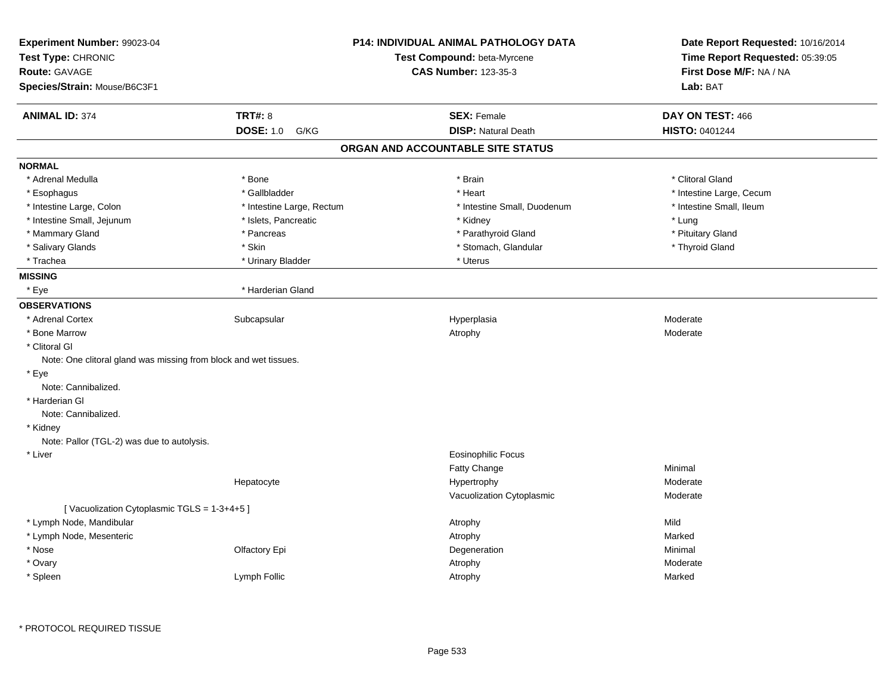| Experiment Number: 99023-04<br>Test Type: CHRONIC<br>Route: GAVAGE<br>Species/Strain: Mouse/B6C3F1 |                           | P14: INDIVIDUAL ANIMAL PATHOLOGY DATA<br>Test Compound: beta-Myrcene<br><b>CAS Number: 123-35-3</b> | Date Report Requested: 10/16/2014<br>Time Report Requested: 05:39:05<br>First Dose M/F: NA / NA<br>Lab: BAT |
|----------------------------------------------------------------------------------------------------|---------------------------|-----------------------------------------------------------------------------------------------------|-------------------------------------------------------------------------------------------------------------|
| <b>ANIMAL ID: 374</b>                                                                              | <b>TRT#: 8</b>            | <b>SEX: Female</b>                                                                                  | DAY ON TEST: 466                                                                                            |
|                                                                                                    | <b>DOSE: 1.0</b><br>G/KG  | <b>DISP: Natural Death</b>                                                                          | HISTO: 0401244                                                                                              |
|                                                                                                    |                           | ORGAN AND ACCOUNTABLE SITE STATUS                                                                   |                                                                                                             |
| <b>NORMAL</b>                                                                                      |                           |                                                                                                     |                                                                                                             |
| * Adrenal Medulla                                                                                  | * Bone                    | * Brain                                                                                             | * Clitoral Gland                                                                                            |
| * Esophagus                                                                                        | * Gallbladder             | * Heart                                                                                             | * Intestine Large, Cecum                                                                                    |
| * Intestine Large, Colon                                                                           | * Intestine Large, Rectum | * Intestine Small, Duodenum                                                                         | * Intestine Small, Ileum                                                                                    |
| * Intestine Small, Jejunum                                                                         | * Islets, Pancreatic      | * Kidney                                                                                            | * Lung                                                                                                      |
| * Mammary Gland                                                                                    | * Pancreas                | * Parathyroid Gland                                                                                 | * Pituitary Gland                                                                                           |
| * Salivary Glands                                                                                  | $^\star$ Skin             | * Stomach, Glandular                                                                                | * Thyroid Gland                                                                                             |
| * Trachea                                                                                          | * Urinary Bladder         | * Uterus                                                                                            |                                                                                                             |
| <b>MISSING</b>                                                                                     |                           |                                                                                                     |                                                                                                             |
| * Eye                                                                                              | * Harderian Gland         |                                                                                                     |                                                                                                             |
| <b>OBSERVATIONS</b>                                                                                |                           |                                                                                                     |                                                                                                             |
| * Adrenal Cortex                                                                                   | Subcapsular               | Hyperplasia                                                                                         | Moderate                                                                                                    |
| * Bone Marrow                                                                                      |                           | Atrophy                                                                                             | Moderate                                                                                                    |
| * Clitoral Gl                                                                                      |                           |                                                                                                     |                                                                                                             |
| Note: One clitoral gland was missing from block and wet tissues.                                   |                           |                                                                                                     |                                                                                                             |
| * Eye                                                                                              |                           |                                                                                                     |                                                                                                             |
| Note: Cannibalized.                                                                                |                           |                                                                                                     |                                                                                                             |
| * Harderian GI                                                                                     |                           |                                                                                                     |                                                                                                             |
| Note: Cannibalized.                                                                                |                           |                                                                                                     |                                                                                                             |
| * Kidney                                                                                           |                           |                                                                                                     |                                                                                                             |
| Note: Pallor (TGL-2) was due to autolysis.                                                         |                           |                                                                                                     |                                                                                                             |
| * Liver                                                                                            |                           | <b>Eosinophilic Focus</b>                                                                           |                                                                                                             |
|                                                                                                    |                           | Fatty Change                                                                                        | Minimal                                                                                                     |
|                                                                                                    | Hepatocyte                | Hypertrophy                                                                                         | Moderate                                                                                                    |
|                                                                                                    |                           | Vacuolization Cytoplasmic                                                                           | Moderate                                                                                                    |
| [Vacuolization Cytoplasmic TGLS = 1-3+4+5]                                                         |                           |                                                                                                     |                                                                                                             |
| * Lymph Node, Mandibular                                                                           |                           | Atrophy                                                                                             | Mild                                                                                                        |
| * Lymph Node, Mesenteric                                                                           |                           | Atrophy                                                                                             | Marked                                                                                                      |
|                                                                                                    | Olfactory Epi             | Degeneration                                                                                        | Minimal                                                                                                     |
| * Nose                                                                                             |                           |                                                                                                     |                                                                                                             |
| * Ovary                                                                                            |                           | Atrophy                                                                                             | Moderate                                                                                                    |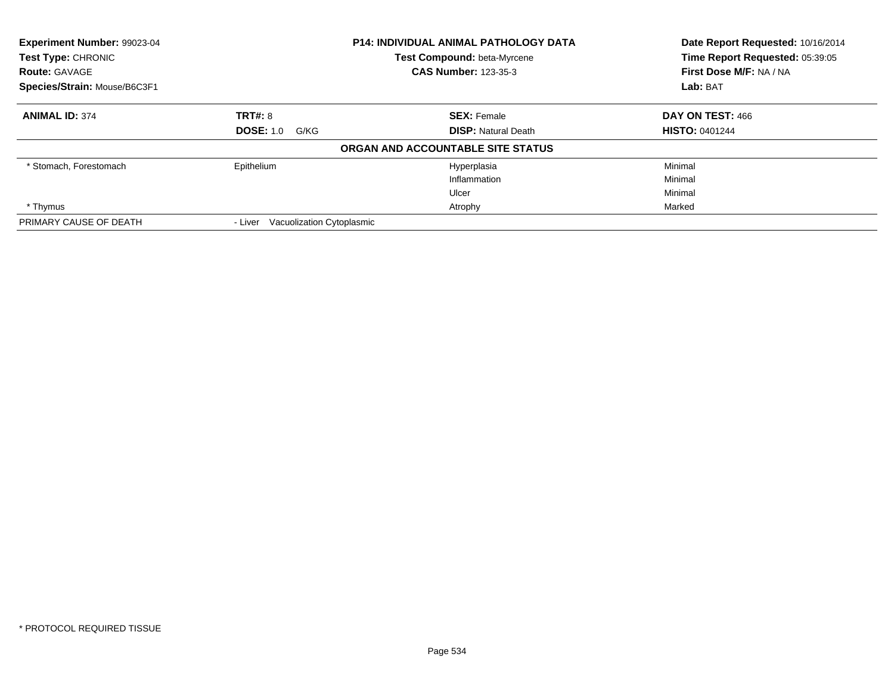| Experiment Number: 99023-04  |                                      | <b>P14: INDIVIDUAL ANIMAL PATHOLOGY DATA</b> | Date Report Requested: 10/16/2014 |
|------------------------------|--------------------------------------|----------------------------------------------|-----------------------------------|
| <b>Test Type: CHRONIC</b>    |                                      | <b>Test Compound: beta-Myrcene</b>           | Time Report Requested: 05:39:05   |
| <b>Route: GAVAGE</b>         |                                      | <b>CAS Number: 123-35-3</b>                  | First Dose M/F: NA / NA           |
| Species/Strain: Mouse/B6C3F1 |                                      |                                              | Lab: BAT                          |
| <b>ANIMAL ID: 374</b>        | <b>TRT#: 8</b>                       | <b>SEX: Female</b>                           | DAY ON TEST: 466                  |
|                              | <b>DOSE: 1.0</b><br>G/KG             | <b>DISP:</b> Natural Death                   | <b>HISTO: 0401244</b>             |
|                              |                                      | ORGAN AND ACCOUNTABLE SITE STATUS            |                                   |
| * Stomach, Forestomach       | Epithelium                           | Hyperplasia                                  | Minimal                           |
|                              |                                      | Inflammation                                 | Minimal                           |
|                              |                                      | Ulcer                                        | Minimal                           |
| * Thymus                     |                                      | Atrophy                                      | Marked                            |
| PRIMARY CAUSE OF DEATH       | Vacuolization Cytoplasmic<br>- Liver |                                              |                                   |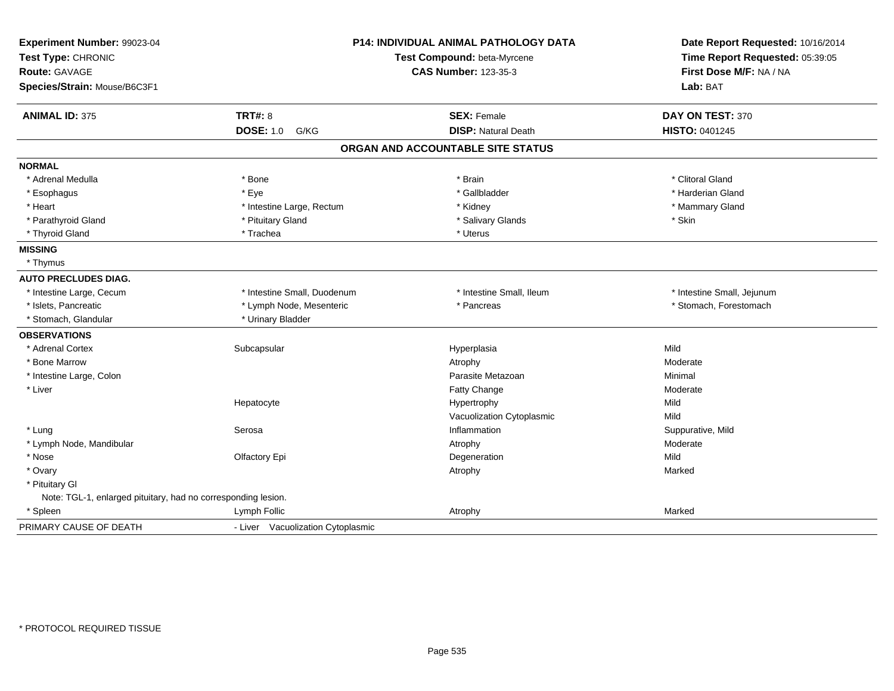| Experiment Number: 99023-04<br>Test Type: CHRONIC<br>Route: GAVAGE<br>Species/Strain: Mouse/B6C3F1 | <b>P14: INDIVIDUAL ANIMAL PATHOLOGY DATA</b><br>Test Compound: beta-Myrcene<br><b>CAS Number: 123-35-3</b> |                                   | Date Report Requested: 10/16/2014<br>Time Report Requested: 05:39:05<br>First Dose M/F: NA / NA |
|----------------------------------------------------------------------------------------------------|------------------------------------------------------------------------------------------------------------|-----------------------------------|-------------------------------------------------------------------------------------------------|
|                                                                                                    |                                                                                                            |                                   | Lab: BAT                                                                                        |
| <b>ANIMAL ID: 375</b>                                                                              | <b>TRT#: 8</b>                                                                                             | <b>SEX: Female</b>                | DAY ON TEST: 370                                                                                |
|                                                                                                    | <b>DOSE: 1.0</b><br>G/KG                                                                                   | <b>DISP: Natural Death</b>        | HISTO: 0401245                                                                                  |
|                                                                                                    |                                                                                                            | ORGAN AND ACCOUNTABLE SITE STATUS |                                                                                                 |
| <b>NORMAL</b>                                                                                      |                                                                                                            |                                   |                                                                                                 |
| * Adrenal Medulla                                                                                  | * Bone                                                                                                     | * Brain                           | * Clitoral Gland                                                                                |
| * Esophagus                                                                                        | * Eye                                                                                                      | * Gallbladder                     | * Harderian Gland                                                                               |
| * Heart                                                                                            | * Intestine Large, Rectum                                                                                  | * Kidney                          | * Mammary Gland                                                                                 |
| * Parathyroid Gland                                                                                | * Pituitary Gland                                                                                          | * Salivary Glands                 | * Skin                                                                                          |
| * Thyroid Gland                                                                                    | * Trachea                                                                                                  | * Uterus                          |                                                                                                 |
| <b>MISSING</b>                                                                                     |                                                                                                            |                                   |                                                                                                 |
| * Thymus                                                                                           |                                                                                                            |                                   |                                                                                                 |
| <b>AUTO PRECLUDES DIAG.</b>                                                                        |                                                                                                            |                                   |                                                                                                 |
| * Intestine Large, Cecum                                                                           | * Intestine Small, Duodenum                                                                                | * Intestine Small, Ileum          | * Intestine Small, Jejunum                                                                      |
| * Islets, Pancreatic                                                                               | * Lymph Node, Mesenteric                                                                                   | * Pancreas                        | * Stomach, Forestomach                                                                          |
| * Stomach, Glandular                                                                               | * Urinary Bladder                                                                                          |                                   |                                                                                                 |
| <b>OBSERVATIONS</b>                                                                                |                                                                                                            |                                   |                                                                                                 |
| * Adrenal Cortex                                                                                   | Subcapsular                                                                                                | Hyperplasia                       | Mild                                                                                            |
| * Bone Marrow                                                                                      |                                                                                                            | Atrophy                           | Moderate                                                                                        |
| * Intestine Large, Colon                                                                           |                                                                                                            | Parasite Metazoan                 | Minimal                                                                                         |
| * Liver                                                                                            |                                                                                                            | Fatty Change                      | Moderate                                                                                        |
|                                                                                                    | Hepatocyte                                                                                                 | Hypertrophy                       | Mild                                                                                            |
|                                                                                                    |                                                                                                            | Vacuolization Cytoplasmic         | Mild                                                                                            |
| * Lung                                                                                             | Serosa                                                                                                     | Inflammation                      | Suppurative, Mild                                                                               |
| * Lymph Node, Mandibular                                                                           |                                                                                                            | Atrophy                           | Moderate                                                                                        |
| * Nose                                                                                             | Olfactory Epi                                                                                              | Degeneration                      | Mild                                                                                            |
| * Ovary                                                                                            |                                                                                                            | Atrophy                           | Marked                                                                                          |
| * Pituitary Gl                                                                                     |                                                                                                            |                                   |                                                                                                 |
| Note: TGL-1, enlarged pituitary, had no corresponding lesion.                                      |                                                                                                            |                                   |                                                                                                 |
| * Spleen                                                                                           | Lymph Follic                                                                                               | Atrophy                           | Marked                                                                                          |
| PRIMARY CAUSE OF DEATH                                                                             | - Liver Vacuolization Cytoplasmic                                                                          |                                   |                                                                                                 |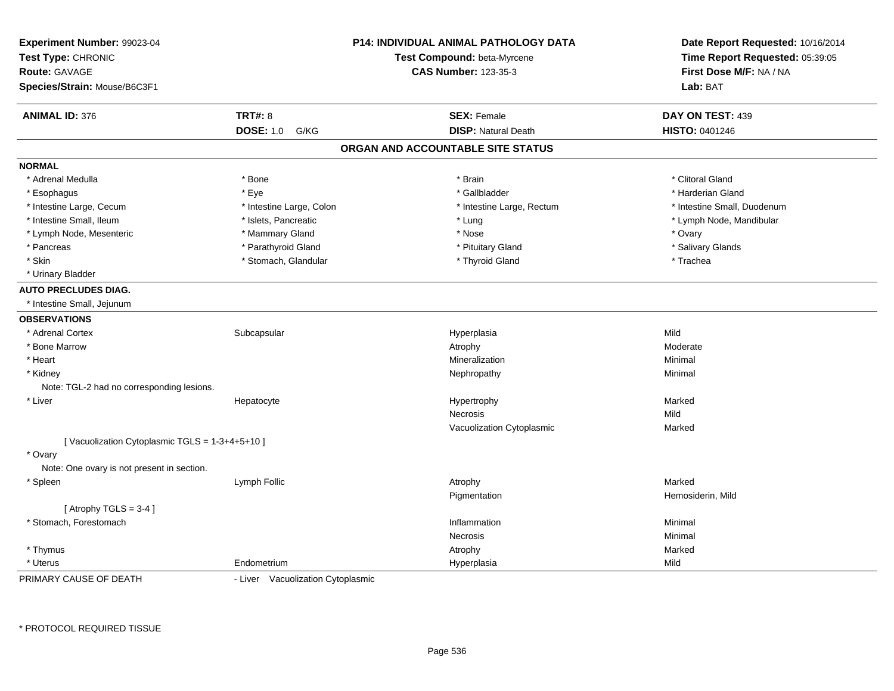| Experiment Number: 99023-04                   |                                   | <b>P14: INDIVIDUAL ANIMAL PATHOLOGY DATA</b> | Date Report Requested: 10/16/2014                          |
|-----------------------------------------------|-----------------------------------|----------------------------------------------|------------------------------------------------------------|
| Test Type: CHRONIC<br><b>Route: GAVAGE</b>    |                                   | Test Compound: beta-Myrcene                  | Time Report Requested: 05:39:05<br>First Dose M/F: NA / NA |
|                                               |                                   | <b>CAS Number: 123-35-3</b>                  |                                                            |
| Species/Strain: Mouse/B6C3F1                  |                                   |                                              | Lab: BAT                                                   |
| <b>ANIMAL ID: 376</b>                         | <b>TRT#: 8</b>                    | <b>SEX: Female</b>                           | DAY ON TEST: 439                                           |
|                                               | <b>DOSE: 1.0</b><br>G/KG          | <b>DISP: Natural Death</b>                   | <b>HISTO: 0401246</b>                                      |
|                                               |                                   | ORGAN AND ACCOUNTABLE SITE STATUS            |                                                            |
| <b>NORMAL</b>                                 |                                   |                                              |                                                            |
| * Adrenal Medulla                             | * Bone                            | * Brain                                      | * Clitoral Gland                                           |
| * Esophagus                                   | * Eye                             | * Gallbladder                                | * Harderian Gland                                          |
| * Intestine Large, Cecum                      | * Intestine Large, Colon          | * Intestine Large, Rectum                    | * Intestine Small, Duodenum                                |
| * Intestine Small, Ileum                      | * Islets, Pancreatic              | * Lung                                       | * Lymph Node, Mandibular                                   |
| * Lymph Node, Mesenteric                      | * Mammary Gland                   | * Nose                                       | * Ovary                                                    |
| * Pancreas                                    | * Parathyroid Gland               | * Pituitary Gland                            | * Salivary Glands                                          |
| * Skin                                        | * Stomach, Glandular              | * Thyroid Gland                              | * Trachea                                                  |
| * Urinary Bladder                             |                                   |                                              |                                                            |
| <b>AUTO PRECLUDES DIAG.</b>                   |                                   |                                              |                                                            |
| * Intestine Small, Jejunum                    |                                   |                                              |                                                            |
| <b>OBSERVATIONS</b>                           |                                   |                                              |                                                            |
| * Adrenal Cortex                              | Subcapsular                       | Hyperplasia                                  | Mild                                                       |
| * Bone Marrow                                 |                                   | Atrophy                                      | Moderate                                                   |
| * Heart                                       |                                   | Mineralization                               | Minimal                                                    |
| * Kidney                                      |                                   | Nephropathy                                  | Minimal                                                    |
| Note: TGL-2 had no corresponding lesions.     |                                   |                                              |                                                            |
| * Liver                                       | Hepatocyte                        | Hypertrophy                                  | Marked                                                     |
|                                               |                                   | <b>Necrosis</b>                              | Mild                                                       |
|                                               |                                   | Vacuolization Cytoplasmic                    | Marked                                                     |
| [Vacuolization Cytoplasmic TGLS = 1-3+4+5+10] |                                   |                                              |                                                            |
| * Ovary                                       |                                   |                                              |                                                            |
| Note: One ovary is not present in section.    |                                   |                                              |                                                            |
| * Spleen                                      | Lymph Follic                      | Atrophy                                      | Marked                                                     |
|                                               |                                   | Pigmentation                                 | Hemosiderin, Mild                                          |
| [Atrophy TGLS = $3-4$ ]                       |                                   |                                              |                                                            |
| * Stomach, Forestomach                        |                                   | Inflammation                                 | Minimal                                                    |
|                                               |                                   | Necrosis                                     | Minimal                                                    |
| * Thymus                                      |                                   | Atrophy                                      | Marked                                                     |
| * Uterus                                      | Endometrium                       | Hyperplasia                                  | Mild                                                       |
| PRIMARY CAUSE OF DEATH                        | - Liver Vacuolization Cytoplasmic |                                              |                                                            |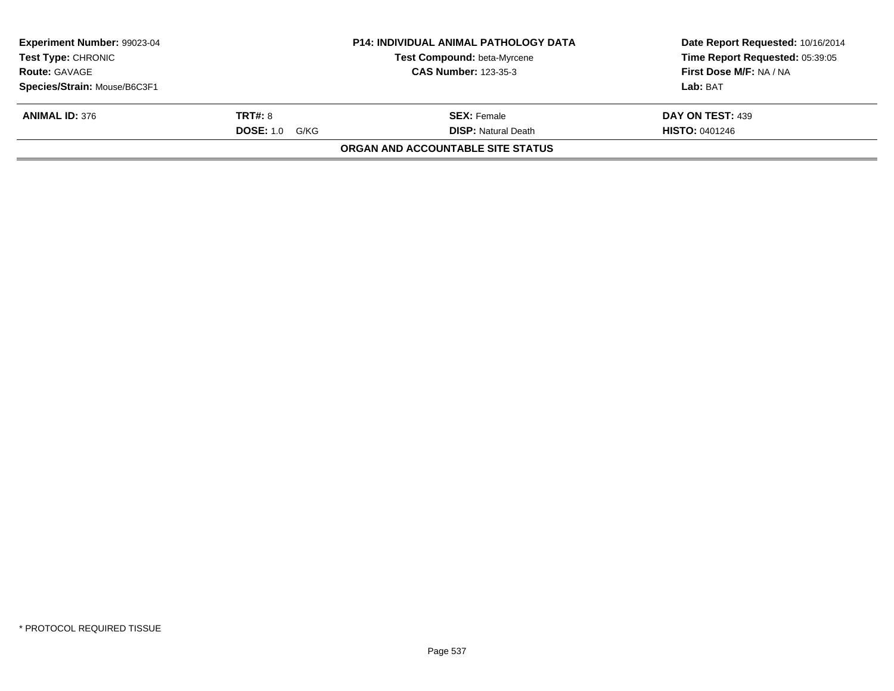| <b>Experiment Number: 99023-04</b> |                       | <b>P14: INDIVIDUAL ANIMAL PATHOLOGY DATA</b> | Date Report Requested: 10/16/2014 |
|------------------------------------|-----------------------|----------------------------------------------|-----------------------------------|
| <b>Test Type: CHRONIC</b>          |                       | Test Compound: beta-Myrcene                  | Time Report Requested: 05:39:05   |
| <b>Route: GAVAGE</b>               |                       | <b>CAS Number: 123-35-3</b>                  | First Dose M/F: NA / NA           |
| Species/Strain: Mouse/B6C3F1       |                       |                                              | Lab: BAT                          |
| <b>ANIMAL ID: 376</b>              | <b>TRT#: 8</b>        | <b>SEX:</b> Female                           | DAY ON TEST: 439                  |
|                                    | <b>DOSE: 1.0 G/KG</b> | <b>DISP:</b> Natural Death                   | <b>HISTO: 0401246</b>             |
|                                    |                       | <b>ORGAN AND ACCOUNTABLE SITE STATUS</b>     |                                   |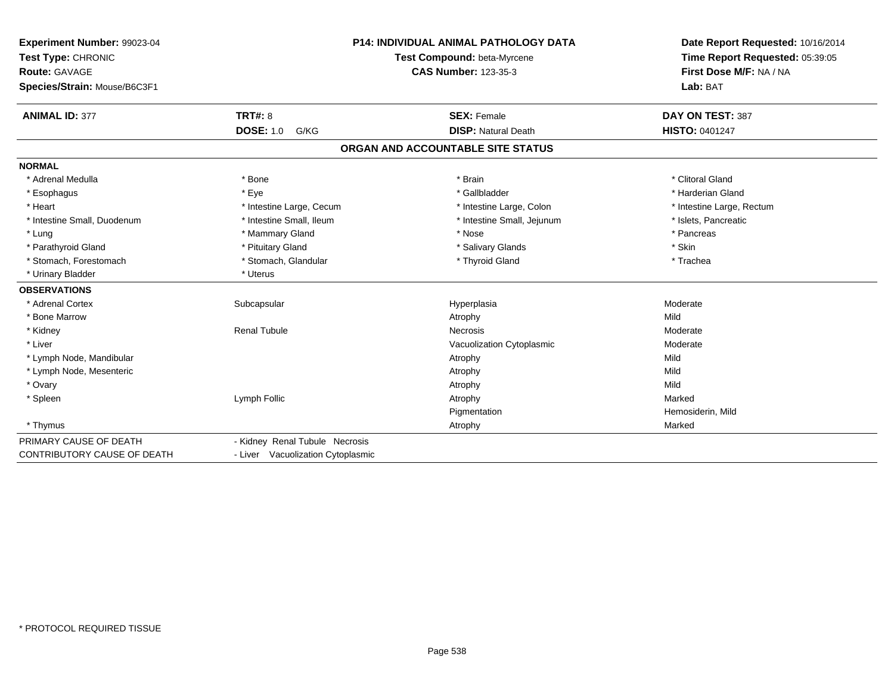| Experiment Number: 99023-04<br>Test Type: CHRONIC<br>Route: GAVAGE<br>Species/Strain: Mouse/B6C3F1 |                                   | <b>P14: INDIVIDUAL ANIMAL PATHOLOGY DATA</b><br>Test Compound: beta-Myrcene<br><b>CAS Number: 123-35-3</b> | Date Report Requested: 10/16/2014<br>Time Report Requested: 05:39:05<br>First Dose M/F: NA / NA<br>Lab: BAT |
|----------------------------------------------------------------------------------------------------|-----------------------------------|------------------------------------------------------------------------------------------------------------|-------------------------------------------------------------------------------------------------------------|
| <b>ANIMAL ID: 377</b>                                                                              | <b>TRT#: 8</b>                    | <b>SEX: Female</b>                                                                                         | DAY ON TEST: 387                                                                                            |
|                                                                                                    | <b>DOSE: 1.0</b><br>G/KG          | <b>DISP: Natural Death</b>                                                                                 | <b>HISTO: 0401247</b>                                                                                       |
|                                                                                                    |                                   | ORGAN AND ACCOUNTABLE SITE STATUS                                                                          |                                                                                                             |
| <b>NORMAL</b>                                                                                      |                                   |                                                                                                            |                                                                                                             |
| * Adrenal Medulla                                                                                  | * Bone                            | * Brain                                                                                                    | * Clitoral Gland                                                                                            |
| * Esophagus                                                                                        | * Eye                             | * Gallbladder                                                                                              | * Harderian Gland                                                                                           |
| * Heart                                                                                            | * Intestine Large, Cecum          | * Intestine Large, Colon                                                                                   | * Intestine Large, Rectum                                                                                   |
| * Intestine Small, Duodenum                                                                        | * Intestine Small, Ileum          | * Intestine Small, Jejunum                                                                                 | * Islets, Pancreatic                                                                                        |
| * Lung                                                                                             | * Mammary Gland                   | * Nose                                                                                                     | * Pancreas                                                                                                  |
| * Parathyroid Gland                                                                                | * Pituitary Gland                 | * Salivary Glands                                                                                          | * Skin                                                                                                      |
| * Stomach, Forestomach                                                                             | * Stomach, Glandular              | * Thyroid Gland                                                                                            | * Trachea                                                                                                   |
| * Urinary Bladder                                                                                  | * Uterus                          |                                                                                                            |                                                                                                             |
| <b>OBSERVATIONS</b>                                                                                |                                   |                                                                                                            |                                                                                                             |
| * Adrenal Cortex                                                                                   | Subcapsular                       | Hyperplasia                                                                                                | Moderate                                                                                                    |
| * Bone Marrow                                                                                      |                                   | Atrophy                                                                                                    | Mild                                                                                                        |
| * Kidney                                                                                           | <b>Renal Tubule</b>               | Necrosis                                                                                                   | Moderate                                                                                                    |
| * Liver                                                                                            |                                   | Vacuolization Cytoplasmic                                                                                  | Moderate                                                                                                    |
| * Lymph Node, Mandibular                                                                           |                                   | Atrophy                                                                                                    | Mild                                                                                                        |
| * Lymph Node, Mesenteric                                                                           |                                   | Atrophy                                                                                                    | Mild                                                                                                        |
| * Ovary                                                                                            |                                   | Atrophy                                                                                                    | Mild                                                                                                        |
| * Spleen                                                                                           | Lymph Follic                      | Atrophy                                                                                                    | Marked                                                                                                      |
|                                                                                                    |                                   | Pigmentation                                                                                               | Hemosiderin, Mild                                                                                           |
| * Thymus                                                                                           |                                   | Atrophy                                                                                                    | Marked                                                                                                      |
| PRIMARY CAUSE OF DEATH                                                                             | - Kidney Renal Tubule Necrosis    |                                                                                                            |                                                                                                             |
| <b>CONTRIBUTORY CAUSE OF DEATH</b>                                                                 | - Liver Vacuolization Cytoplasmic |                                                                                                            |                                                                                                             |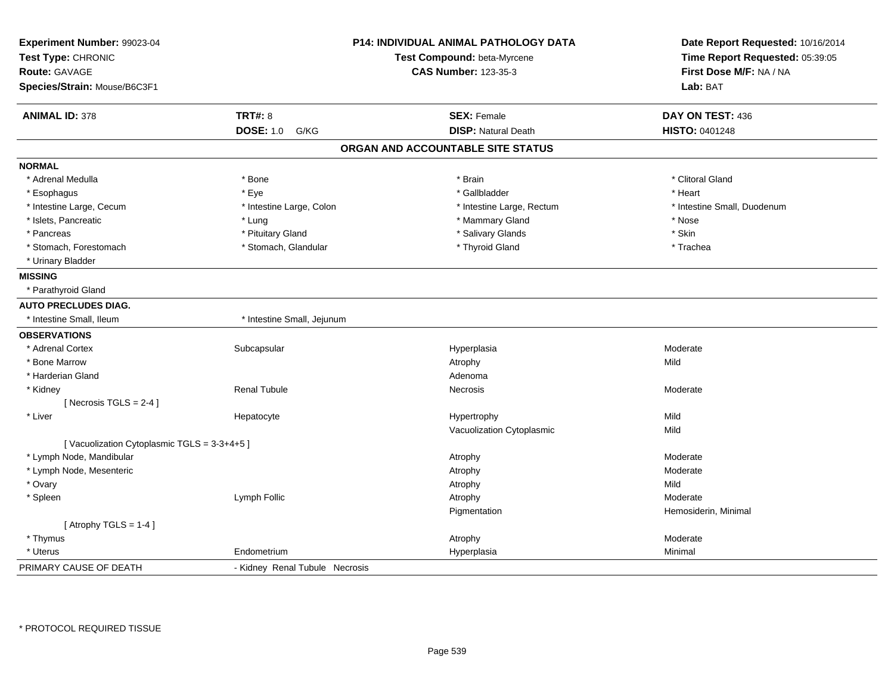| Experiment Number: 99023-04<br>Test Type: CHRONIC |                                | <b>P14: INDIVIDUAL ANIMAL PATHOLOGY DATA</b><br>Test Compound: beta-Myrcene | Date Report Requested: 10/16/2014<br>Time Report Requested: 05:39:05 |
|---------------------------------------------------|--------------------------------|-----------------------------------------------------------------------------|----------------------------------------------------------------------|
| <b>Route: GAVAGE</b>                              |                                | <b>CAS Number: 123-35-3</b>                                                 | First Dose M/F: NA / NA                                              |
| Species/Strain: Mouse/B6C3F1                      |                                |                                                                             | Lab: BAT                                                             |
| <b>ANIMAL ID: 378</b>                             | <b>TRT#: 8</b>                 | <b>SEX: Female</b>                                                          | DAY ON TEST: 436                                                     |
|                                                   | <b>DOSE: 1.0</b><br>G/KG       | <b>DISP: Natural Death</b>                                                  | HISTO: 0401248                                                       |
|                                                   |                                | ORGAN AND ACCOUNTABLE SITE STATUS                                           |                                                                      |
| <b>NORMAL</b>                                     |                                |                                                                             |                                                                      |
| * Adrenal Medulla                                 | * Bone                         | * Brain                                                                     | * Clitoral Gland                                                     |
| * Esophagus                                       | * Eye                          | * Gallbladder                                                               | * Heart                                                              |
| * Intestine Large, Cecum                          | * Intestine Large, Colon       | * Intestine Large, Rectum                                                   | * Intestine Small, Duodenum                                          |
| * Islets, Pancreatic                              | * Lung                         | * Mammary Gland                                                             | * Nose                                                               |
| * Pancreas                                        | * Pituitary Gland              | * Salivary Glands                                                           | * Skin                                                               |
| * Stomach, Forestomach                            | * Stomach, Glandular           | * Thyroid Gland                                                             | * Trachea                                                            |
| * Urinary Bladder                                 |                                |                                                                             |                                                                      |
| <b>MISSING</b>                                    |                                |                                                                             |                                                                      |
| * Parathyroid Gland                               |                                |                                                                             |                                                                      |
| <b>AUTO PRECLUDES DIAG.</b>                       |                                |                                                                             |                                                                      |
| * Intestine Small, Ileum                          | * Intestine Small, Jejunum     |                                                                             |                                                                      |
| <b>OBSERVATIONS</b>                               |                                |                                                                             |                                                                      |
| * Adrenal Cortex                                  | Subcapsular                    | Hyperplasia                                                                 | Moderate                                                             |
| * Bone Marrow                                     |                                | Atrophy                                                                     | Mild                                                                 |
| * Harderian Gland                                 |                                | Adenoma                                                                     |                                                                      |
| * Kidney                                          | <b>Renal Tubule</b>            | Necrosis                                                                    | Moderate                                                             |
| [ Necrosis $TGLS = 2-4$ ]                         |                                |                                                                             |                                                                      |
| * Liver                                           | Hepatocyte                     | Hypertrophy                                                                 | Mild                                                                 |
|                                                   |                                | Vacuolization Cytoplasmic                                                   | Mild                                                                 |
| [Vacuolization Cytoplasmic TGLS = 3-3+4+5]        |                                |                                                                             |                                                                      |
| * Lymph Node, Mandibular                          |                                | Atrophy                                                                     | Moderate                                                             |
| * Lymph Node, Mesenteric                          |                                | Atrophy                                                                     | Moderate                                                             |
| * Ovary                                           |                                | Atrophy                                                                     | Mild                                                                 |
| * Spleen                                          | Lymph Follic                   | Atrophy                                                                     | Moderate                                                             |
|                                                   |                                | Pigmentation                                                                | Hemosiderin, Minimal                                                 |
| [Atrophy TGLS = $1-4$ ]                           |                                |                                                                             |                                                                      |
| * Thymus                                          |                                | Atrophy                                                                     | Moderate                                                             |
| * Uterus                                          | Endometrium                    | Hyperplasia                                                                 | Minimal                                                              |
| PRIMARY CAUSE OF DEATH                            | - Kidney Renal Tubule Necrosis |                                                                             |                                                                      |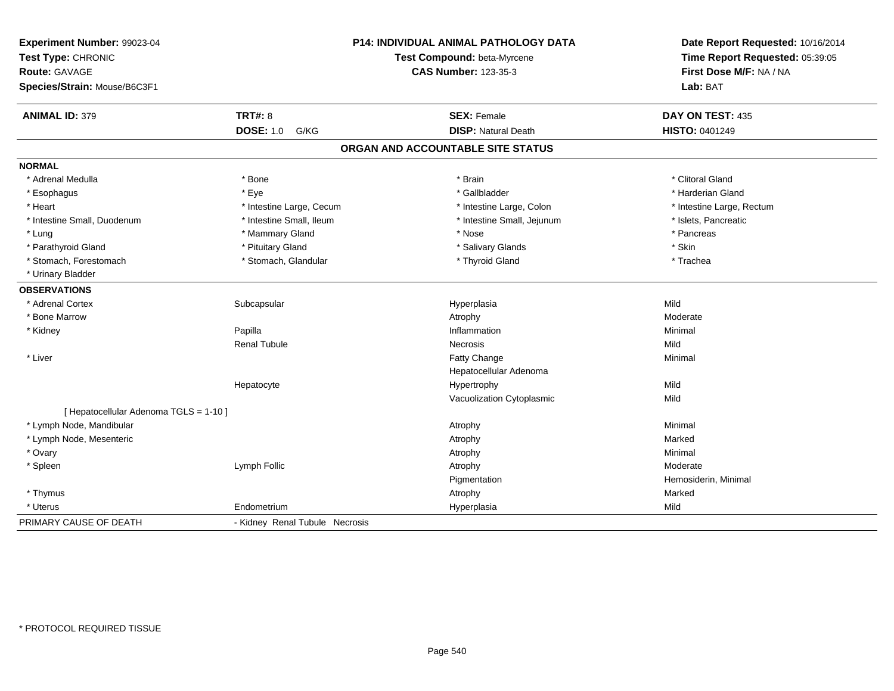| Experiment Number: 99023-04<br>Test Type: CHRONIC<br><b>Route: GAVAGE</b><br>Species/Strain: Mouse/B6C3F1 |                                | P14: INDIVIDUAL ANIMAL PATHOLOGY DATA<br>Test Compound: beta-Myrcene<br><b>CAS Number: 123-35-3</b> | Date Report Requested: 10/16/2014<br>Time Report Requested: 05:39:05<br>First Dose M/F: NA / NA<br>Lab: BAT |
|-----------------------------------------------------------------------------------------------------------|--------------------------------|-----------------------------------------------------------------------------------------------------|-------------------------------------------------------------------------------------------------------------|
| <b>ANIMAL ID: 379</b>                                                                                     | <b>TRT#: 8</b>                 | <b>SEX: Female</b>                                                                                  | DAY ON TEST: 435                                                                                            |
|                                                                                                           | <b>DOSE: 1.0</b><br>G/KG       | <b>DISP: Natural Death</b>                                                                          | HISTO: 0401249                                                                                              |
|                                                                                                           |                                | ORGAN AND ACCOUNTABLE SITE STATUS                                                                   |                                                                                                             |
| <b>NORMAL</b>                                                                                             |                                |                                                                                                     |                                                                                                             |
| * Adrenal Medulla                                                                                         | * Bone                         | * Brain                                                                                             | * Clitoral Gland                                                                                            |
| * Esophagus                                                                                               | * Eye                          | * Gallbladder                                                                                       | * Harderian Gland                                                                                           |
| * Heart                                                                                                   | * Intestine Large, Cecum       | * Intestine Large, Colon                                                                            | * Intestine Large, Rectum                                                                                   |
| * Intestine Small, Duodenum                                                                               | * Intestine Small, Ileum       | * Intestine Small, Jejunum                                                                          | * Islets, Pancreatic                                                                                        |
| * Lung                                                                                                    | * Mammary Gland                | * Nose                                                                                              | * Pancreas                                                                                                  |
| * Parathyroid Gland                                                                                       | * Pituitary Gland              | * Salivary Glands                                                                                   | * Skin                                                                                                      |
| * Stomach, Forestomach                                                                                    | * Stomach, Glandular           | * Thyroid Gland                                                                                     | * Trachea                                                                                                   |
| * Urinary Bladder                                                                                         |                                |                                                                                                     |                                                                                                             |
| <b>OBSERVATIONS</b>                                                                                       |                                |                                                                                                     |                                                                                                             |
| * Adrenal Cortex                                                                                          | Subcapsular                    | Hyperplasia                                                                                         | Mild                                                                                                        |
| * Bone Marrow                                                                                             |                                | Atrophy                                                                                             | Moderate                                                                                                    |
| * Kidney                                                                                                  | Papilla                        | Inflammation                                                                                        | Minimal                                                                                                     |
|                                                                                                           | <b>Renal Tubule</b>            | <b>Necrosis</b>                                                                                     | Mild                                                                                                        |
| * Liver                                                                                                   |                                | Fatty Change                                                                                        | Minimal                                                                                                     |
|                                                                                                           |                                | Hepatocellular Adenoma                                                                              |                                                                                                             |
|                                                                                                           | Hepatocyte                     | Hypertrophy                                                                                         | Mild                                                                                                        |
|                                                                                                           |                                | Vacuolization Cytoplasmic                                                                           | Mild                                                                                                        |
| [ Hepatocellular Adenoma TGLS = 1-10 ]                                                                    |                                |                                                                                                     |                                                                                                             |
| * Lymph Node, Mandibular                                                                                  |                                | Atrophy                                                                                             | Minimal                                                                                                     |
| * Lymph Node, Mesenteric                                                                                  |                                | Atrophy                                                                                             | Marked                                                                                                      |
| * Ovary                                                                                                   |                                | Atrophy                                                                                             | Minimal                                                                                                     |
| * Spleen                                                                                                  | Lymph Follic                   | Atrophy                                                                                             | Moderate                                                                                                    |
|                                                                                                           |                                | Pigmentation                                                                                        | Hemosiderin, Minimal                                                                                        |
| * Thymus                                                                                                  |                                | Atrophy                                                                                             | Marked                                                                                                      |
| * Uterus                                                                                                  | Endometrium                    | Hyperplasia                                                                                         | Mild                                                                                                        |
| PRIMARY CAUSE OF DEATH                                                                                    | - Kidney Renal Tubule Necrosis |                                                                                                     |                                                                                                             |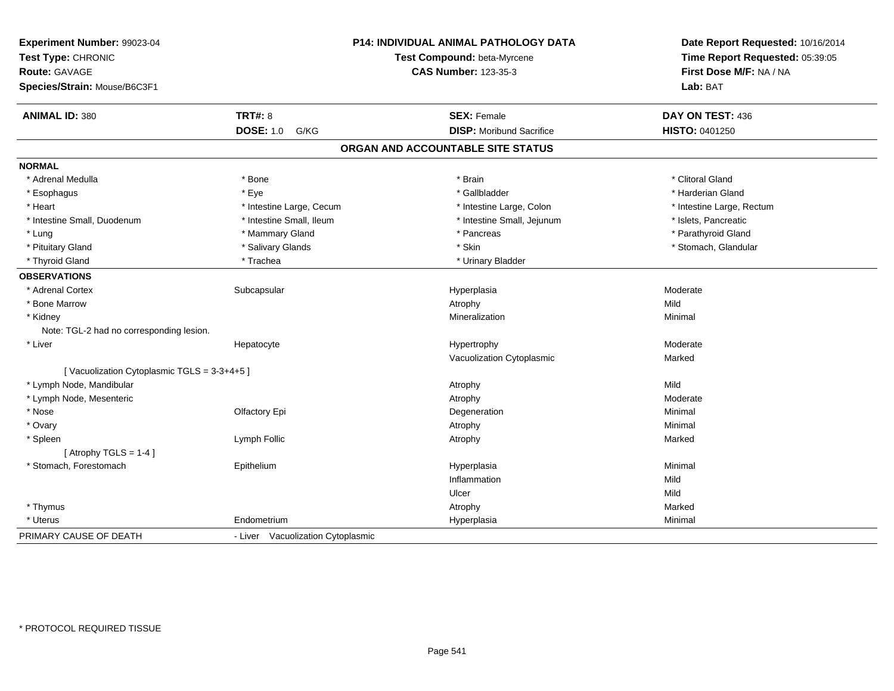| Experiment Number: 99023-04<br>Test Type: CHRONIC<br>Route: GAVAGE<br>Species/Strain: Mouse/B6C3F1 |                                   | P14: INDIVIDUAL ANIMAL PATHOLOGY DATA<br>Test Compound: beta-Myrcene<br><b>CAS Number: 123-35-3</b> | Date Report Requested: 10/16/2014<br>Time Report Requested: 05:39:05<br>First Dose M/F: NA / NA<br>Lab: BAT |
|----------------------------------------------------------------------------------------------------|-----------------------------------|-----------------------------------------------------------------------------------------------------|-------------------------------------------------------------------------------------------------------------|
|                                                                                                    |                                   |                                                                                                     |                                                                                                             |
| <b>ANIMAL ID: 380</b>                                                                              | <b>TRT#: 8</b>                    | <b>SEX: Female</b>                                                                                  | DAY ON TEST: 436                                                                                            |
|                                                                                                    | <b>DOSE: 1.0</b><br>G/KG          | <b>DISP: Moribund Sacrifice</b>                                                                     | HISTO: 0401250                                                                                              |
|                                                                                                    |                                   | ORGAN AND ACCOUNTABLE SITE STATUS                                                                   |                                                                                                             |
| <b>NORMAL</b>                                                                                      |                                   |                                                                                                     |                                                                                                             |
| * Adrenal Medulla                                                                                  | * Bone                            | * Brain                                                                                             | * Clitoral Gland                                                                                            |
| * Esophagus                                                                                        | * Eye                             | * Gallbladder                                                                                       | * Harderian Gland                                                                                           |
| * Heart                                                                                            | * Intestine Large, Cecum          | * Intestine Large, Colon                                                                            | * Intestine Large, Rectum                                                                                   |
| * Intestine Small, Duodenum                                                                        | * Intestine Small, Ileum          | * Intestine Small, Jejunum                                                                          | * Islets, Pancreatic                                                                                        |
| * Lung                                                                                             | * Mammary Gland                   | * Pancreas                                                                                          | * Parathyroid Gland                                                                                         |
| * Pituitary Gland                                                                                  | * Salivary Glands                 | * Skin                                                                                              | * Stomach, Glandular                                                                                        |
| * Thyroid Gland                                                                                    | * Trachea                         | * Urinary Bladder                                                                                   |                                                                                                             |
| <b>OBSERVATIONS</b>                                                                                |                                   |                                                                                                     |                                                                                                             |
| * Adrenal Cortex                                                                                   | Subcapsular                       | Hyperplasia                                                                                         | Moderate                                                                                                    |
| * Bone Marrow                                                                                      |                                   | Atrophy                                                                                             | Mild                                                                                                        |
| * Kidney                                                                                           |                                   | Mineralization                                                                                      | Minimal                                                                                                     |
| Note: TGL-2 had no corresponding lesion.                                                           |                                   |                                                                                                     |                                                                                                             |
| * Liver                                                                                            | Hepatocyte                        | Hypertrophy                                                                                         | Moderate                                                                                                    |
|                                                                                                    |                                   | Vacuolization Cytoplasmic                                                                           | Marked                                                                                                      |
| [Vacuolization Cytoplasmic TGLS = 3-3+4+5]                                                         |                                   |                                                                                                     |                                                                                                             |
| * Lymph Node, Mandibular                                                                           |                                   | Atrophy                                                                                             | Mild                                                                                                        |
| * Lymph Node, Mesenteric                                                                           |                                   | Atrophy                                                                                             | Moderate                                                                                                    |
| * Nose                                                                                             | Olfactory Epi                     | Degeneration                                                                                        | Minimal                                                                                                     |
| * Ovary                                                                                            |                                   | Atrophy                                                                                             | Minimal                                                                                                     |
| * Spleen                                                                                           | Lymph Follic                      | Atrophy                                                                                             | Marked                                                                                                      |
| [Atrophy TGLS = $1-4$ ]                                                                            |                                   |                                                                                                     |                                                                                                             |
| * Stomach, Forestomach                                                                             | Epithelium                        | Hyperplasia                                                                                         | Minimal                                                                                                     |
|                                                                                                    |                                   | Inflammation                                                                                        | Mild                                                                                                        |
|                                                                                                    |                                   | Ulcer                                                                                               | Mild                                                                                                        |
| * Thymus                                                                                           |                                   | Atrophy                                                                                             | Marked                                                                                                      |
| * Uterus                                                                                           | Endometrium                       | Hyperplasia                                                                                         | Minimal                                                                                                     |
| PRIMARY CAUSE OF DEATH                                                                             | - Liver Vacuolization Cytoplasmic |                                                                                                     |                                                                                                             |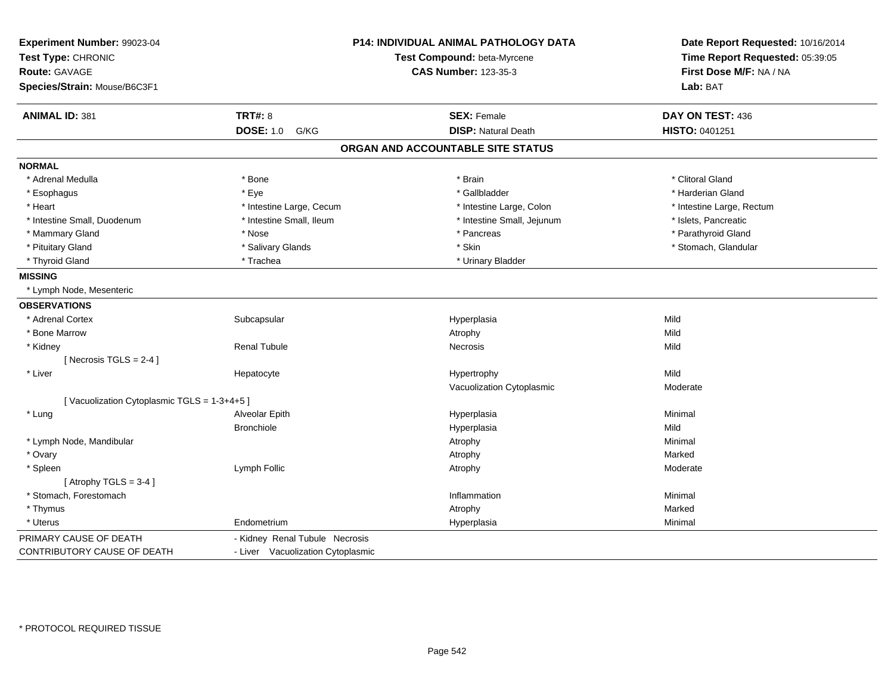| Experiment Number: 99023-04<br>Test Type: CHRONIC<br>Route: GAVAGE<br>Species/Strain: Mouse/B6C3F1 |                                   | P14: INDIVIDUAL ANIMAL PATHOLOGY DATA<br>Test Compound: beta-Myrcene<br><b>CAS Number: 123-35-3</b> | Date Report Requested: 10/16/2014<br>Time Report Requested: 05:39:05<br>First Dose M/F: NA / NA<br>Lab: BAT |
|----------------------------------------------------------------------------------------------------|-----------------------------------|-----------------------------------------------------------------------------------------------------|-------------------------------------------------------------------------------------------------------------|
| <b>ANIMAL ID: 381</b>                                                                              | <b>TRT#: 8</b>                    | <b>SEX: Female</b>                                                                                  | DAY ON TEST: 436                                                                                            |
|                                                                                                    | <b>DOSE: 1.0</b><br>G/KG          | <b>DISP: Natural Death</b>                                                                          | HISTO: 0401251                                                                                              |
|                                                                                                    |                                   | ORGAN AND ACCOUNTABLE SITE STATUS                                                                   |                                                                                                             |
| <b>NORMAL</b>                                                                                      |                                   |                                                                                                     |                                                                                                             |
| * Adrenal Medulla                                                                                  | * Bone                            | * Brain                                                                                             | * Clitoral Gland                                                                                            |
| * Esophagus                                                                                        | * Eye                             | * Gallbladder                                                                                       | * Harderian Gland                                                                                           |
| * Heart                                                                                            | * Intestine Large, Cecum          | * Intestine Large, Colon                                                                            | * Intestine Large, Rectum                                                                                   |
| * Intestine Small, Duodenum                                                                        | * Intestine Small, Ileum          | * Intestine Small, Jejunum                                                                          | * Islets, Pancreatic                                                                                        |
| * Mammary Gland                                                                                    | * Nose                            | * Pancreas                                                                                          | * Parathyroid Gland                                                                                         |
| * Pituitary Gland                                                                                  | * Salivary Glands                 | * Skin                                                                                              | * Stomach, Glandular                                                                                        |
| * Thyroid Gland                                                                                    | * Trachea                         | * Urinary Bladder                                                                                   |                                                                                                             |
| <b>MISSING</b>                                                                                     |                                   |                                                                                                     |                                                                                                             |
| * Lymph Node, Mesenteric                                                                           |                                   |                                                                                                     |                                                                                                             |
| <b>OBSERVATIONS</b>                                                                                |                                   |                                                                                                     |                                                                                                             |
| * Adrenal Cortex                                                                                   | Subcapsular                       | Hyperplasia                                                                                         | Mild                                                                                                        |
| * Bone Marrow                                                                                      |                                   | Atrophy                                                                                             | Mild                                                                                                        |
| * Kidney                                                                                           | <b>Renal Tubule</b>               | Necrosis                                                                                            | Mild                                                                                                        |
| [Necrosis $TGLS = 2-4$ ]                                                                           |                                   |                                                                                                     |                                                                                                             |
| * Liver                                                                                            | Hepatocyte                        | Hypertrophy                                                                                         | Mild                                                                                                        |
|                                                                                                    |                                   | Vacuolization Cytoplasmic                                                                           | Moderate                                                                                                    |
| [Vacuolization Cytoplasmic TGLS = 1-3+4+5]                                                         |                                   |                                                                                                     |                                                                                                             |
| * Lung                                                                                             | Alveolar Epith                    | Hyperplasia                                                                                         | Minimal                                                                                                     |
|                                                                                                    | <b>Bronchiole</b>                 | Hyperplasia                                                                                         | Mild                                                                                                        |
| * Lymph Node, Mandibular                                                                           |                                   | Atrophy                                                                                             | Minimal                                                                                                     |
| * Ovary                                                                                            |                                   | Atrophy                                                                                             | Marked                                                                                                      |
| * Spleen                                                                                           | Lymph Follic                      | Atrophy                                                                                             | Moderate                                                                                                    |
| [Atrophy TGLS = $3-4$ ]                                                                            |                                   |                                                                                                     |                                                                                                             |
| * Stomach. Forestomach                                                                             |                                   | Inflammation                                                                                        | Minimal                                                                                                     |
| * Thymus                                                                                           |                                   | Atrophy                                                                                             | Marked                                                                                                      |
| * Uterus                                                                                           | Endometrium                       | Hyperplasia                                                                                         | Minimal                                                                                                     |
| PRIMARY CAUSE OF DEATH                                                                             | - Kidney Renal Tubule Necrosis    |                                                                                                     |                                                                                                             |
| CONTRIBUTORY CAUSE OF DEATH                                                                        | - Liver Vacuolization Cytoplasmic |                                                                                                     |                                                                                                             |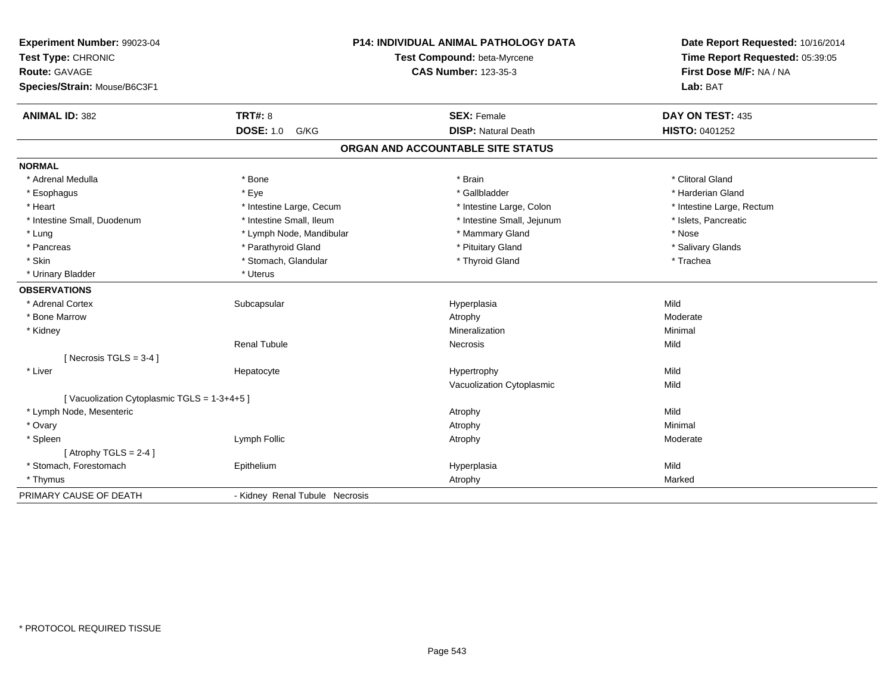| Experiment Number: 99023-04<br>Test Type: CHRONIC<br>Route: GAVAGE<br>Species/Strain: Mouse/B6C3F1 |                                | P14: INDIVIDUAL ANIMAL PATHOLOGY DATA<br>Test Compound: beta-Myrcene<br><b>CAS Number: 123-35-3</b> | Date Report Requested: 10/16/2014<br>Time Report Requested: 05:39:05<br>First Dose M/F: NA / NA<br>Lab: BAT |
|----------------------------------------------------------------------------------------------------|--------------------------------|-----------------------------------------------------------------------------------------------------|-------------------------------------------------------------------------------------------------------------|
| <b>ANIMAL ID: 382</b>                                                                              | <b>TRT#: 8</b>                 | <b>SEX: Female</b>                                                                                  | DAY ON TEST: 435                                                                                            |
|                                                                                                    | <b>DOSE: 1.0</b><br>G/KG       | <b>DISP: Natural Death</b>                                                                          | HISTO: 0401252                                                                                              |
|                                                                                                    |                                | ORGAN AND ACCOUNTABLE SITE STATUS                                                                   |                                                                                                             |
| <b>NORMAL</b>                                                                                      |                                |                                                                                                     |                                                                                                             |
| * Adrenal Medulla                                                                                  | * Bone                         | * Brain                                                                                             | * Clitoral Gland                                                                                            |
| * Esophagus                                                                                        | * Eye                          | * Gallbladder                                                                                       | * Harderian Gland                                                                                           |
| * Heart                                                                                            | * Intestine Large, Cecum       | * Intestine Large, Colon                                                                            | * Intestine Large, Rectum                                                                                   |
| * Intestine Small, Duodenum                                                                        | * Intestine Small, Ileum       | * Intestine Small, Jejunum                                                                          | * Islets, Pancreatic                                                                                        |
| * Lung                                                                                             | * Lymph Node, Mandibular       | * Mammary Gland                                                                                     | * Nose                                                                                                      |
| * Pancreas                                                                                         | * Parathyroid Gland            | * Pituitary Gland                                                                                   | * Salivary Glands                                                                                           |
| * Skin                                                                                             | * Stomach, Glandular           | * Thyroid Gland                                                                                     | * Trachea                                                                                                   |
| * Urinary Bladder                                                                                  | * Uterus                       |                                                                                                     |                                                                                                             |
| <b>OBSERVATIONS</b>                                                                                |                                |                                                                                                     |                                                                                                             |
| * Adrenal Cortex                                                                                   | Subcapsular                    | Hyperplasia                                                                                         | Mild                                                                                                        |
| * Bone Marrow                                                                                      |                                | Atrophy                                                                                             | Moderate                                                                                                    |
| * Kidney                                                                                           |                                | Mineralization                                                                                      | Minimal                                                                                                     |
|                                                                                                    | <b>Renal Tubule</b>            | <b>Necrosis</b>                                                                                     | Mild                                                                                                        |
| [Necrosis $TGLS = 3-4$ ]                                                                           |                                |                                                                                                     |                                                                                                             |
| * Liver                                                                                            | Hepatocyte                     | Hypertrophy                                                                                         | Mild                                                                                                        |
|                                                                                                    |                                | Vacuolization Cytoplasmic                                                                           | Mild                                                                                                        |
| [Vacuolization Cytoplasmic TGLS = 1-3+4+5]                                                         |                                |                                                                                                     |                                                                                                             |
| * Lymph Node, Mesenteric                                                                           |                                | Atrophy                                                                                             | Mild                                                                                                        |
| * Ovary                                                                                            |                                | Atrophy                                                                                             | Minimal                                                                                                     |
| * Spleen                                                                                           | Lymph Follic                   | Atrophy                                                                                             | Moderate                                                                                                    |
| [Atrophy TGLS = $2-4$ ]                                                                            |                                |                                                                                                     |                                                                                                             |
| * Stomach, Forestomach                                                                             | Epithelium                     | Hyperplasia                                                                                         | Mild                                                                                                        |
| * Thymus                                                                                           |                                | Atrophy                                                                                             | Marked                                                                                                      |
| PRIMARY CAUSE OF DEATH                                                                             | - Kidney Renal Tubule Necrosis |                                                                                                     |                                                                                                             |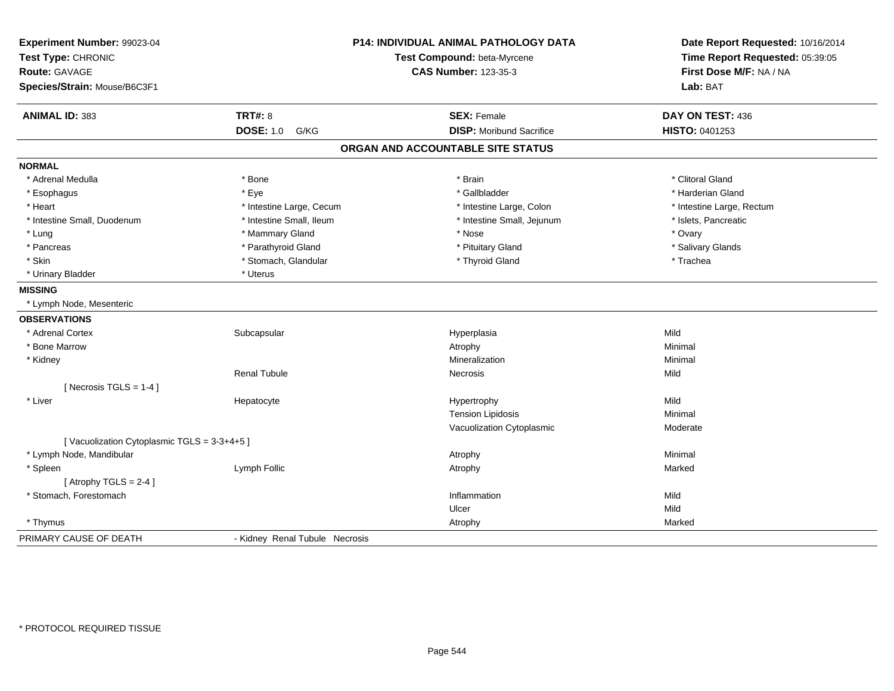| Experiment Number: 99023-04<br>Test Type: CHRONIC |                                | P14: INDIVIDUAL ANIMAL PATHOLOGY DATA<br>Test Compound: beta-Myrcene | Date Report Requested: 10/16/2014<br>Time Report Requested: 05:39:05 |
|---------------------------------------------------|--------------------------------|----------------------------------------------------------------------|----------------------------------------------------------------------|
| Route: GAVAGE<br>Species/Strain: Mouse/B6C3F1     |                                | <b>CAS Number: 123-35-3</b>                                          | First Dose M/F: NA / NA<br>Lab: BAT                                  |
|                                                   |                                |                                                                      |                                                                      |
| <b>ANIMAL ID: 383</b>                             | <b>TRT#: 8</b>                 | <b>SEX: Female</b>                                                   | DAY ON TEST: 436                                                     |
|                                                   | <b>DOSE: 1.0</b><br>G/KG       | <b>DISP: Moribund Sacrifice</b>                                      | HISTO: 0401253                                                       |
|                                                   |                                | ORGAN AND ACCOUNTABLE SITE STATUS                                    |                                                                      |
| <b>NORMAL</b>                                     |                                |                                                                      |                                                                      |
| * Adrenal Medulla                                 | * Bone                         | * Brain                                                              | * Clitoral Gland                                                     |
| * Esophagus                                       | * Eye                          | * Gallbladder                                                        | * Harderian Gland                                                    |
| * Heart                                           | * Intestine Large, Cecum       | * Intestine Large, Colon                                             | * Intestine Large, Rectum                                            |
| * Intestine Small, Duodenum                       | * Intestine Small, Ileum       | * Intestine Small, Jejunum                                           | * Islets, Pancreatic                                                 |
| * Lung                                            | * Mammary Gland                | * Nose                                                               | * Ovary                                                              |
| * Pancreas                                        | * Parathyroid Gland            | * Pituitary Gland                                                    | * Salivary Glands                                                    |
| * Skin                                            | * Stomach, Glandular           | * Thyroid Gland                                                      | * Trachea                                                            |
| * Urinary Bladder                                 | * Uterus                       |                                                                      |                                                                      |
| <b>MISSING</b>                                    |                                |                                                                      |                                                                      |
| * Lymph Node, Mesenteric                          |                                |                                                                      |                                                                      |
| <b>OBSERVATIONS</b>                               |                                |                                                                      |                                                                      |
| * Adrenal Cortex                                  | Subcapsular                    | Hyperplasia                                                          | Mild                                                                 |
| * Bone Marrow                                     |                                | Atrophy                                                              | Minimal                                                              |
| * Kidney                                          |                                | Mineralization                                                       | Minimal                                                              |
|                                                   | <b>Renal Tubule</b>            | Necrosis                                                             | Mild                                                                 |
| [Necrosis TGLS = $1-4$ ]                          |                                |                                                                      |                                                                      |
| * Liver                                           | Hepatocyte                     | Hypertrophy                                                          | Mild                                                                 |
|                                                   |                                | <b>Tension Lipidosis</b>                                             | Minimal                                                              |
|                                                   |                                | Vacuolization Cytoplasmic                                            | Moderate                                                             |
| [Vacuolization Cytoplasmic TGLS = 3-3+4+5]        |                                |                                                                      |                                                                      |
| * Lymph Node, Mandibular                          |                                | Atrophy                                                              | Minimal                                                              |
| * Spleen                                          | Lymph Follic                   | Atrophy                                                              | Marked                                                               |
| [Atrophy TGLS = $2-4$ ]                           |                                |                                                                      |                                                                      |
| * Stomach, Forestomach                            |                                | Inflammation                                                         | Mild                                                                 |
|                                                   |                                | Ulcer                                                                | Mild                                                                 |
| * Thymus                                          |                                | Atrophy                                                              | Marked                                                               |
| PRIMARY CAUSE OF DEATH                            | - Kidney Renal Tubule Necrosis |                                                                      |                                                                      |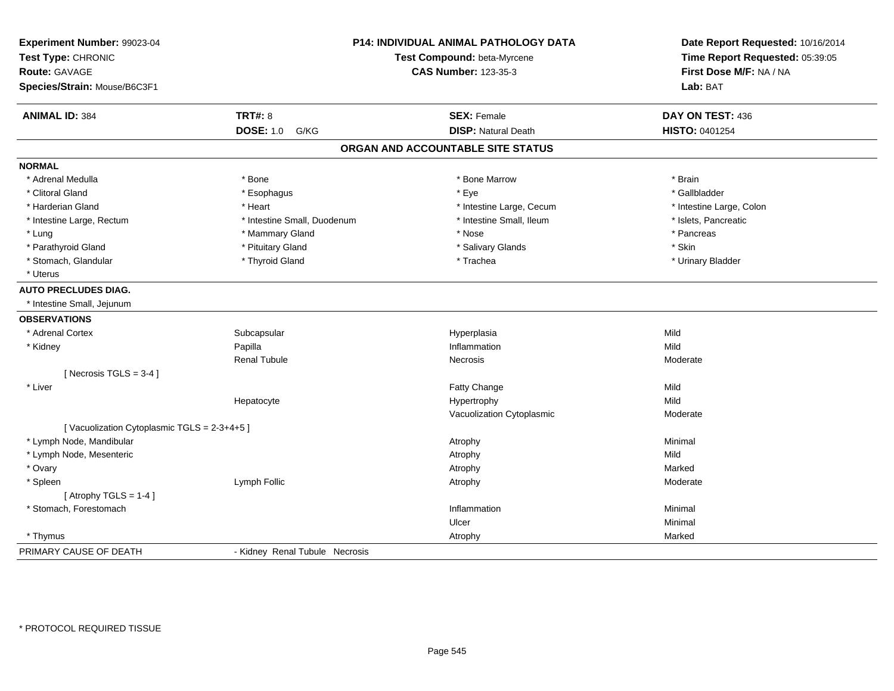| Experiment Number: 99023-04<br>Test Type: CHRONIC<br><b>Route: GAVAGE</b><br>Species/Strain: Mouse/B6C3F1 |                                | <b>P14: INDIVIDUAL ANIMAL PATHOLOGY DATA</b><br>Test Compound: beta-Myrcene<br><b>CAS Number: 123-35-3</b> |                          |
|-----------------------------------------------------------------------------------------------------------|--------------------------------|------------------------------------------------------------------------------------------------------------|--------------------------|
| <b>ANIMAL ID: 384</b>                                                                                     | <b>TRT#: 8</b>                 | <b>SEX: Female</b>                                                                                         | DAY ON TEST: 436         |
|                                                                                                           | <b>DOSE: 1.0</b><br>G/KG       | <b>DISP: Natural Death</b>                                                                                 | HISTO: 0401254           |
|                                                                                                           |                                | ORGAN AND ACCOUNTABLE SITE STATUS                                                                          |                          |
| <b>NORMAL</b>                                                                                             |                                |                                                                                                            |                          |
| * Adrenal Medulla                                                                                         | * Bone                         | * Bone Marrow                                                                                              | * Brain                  |
| * Clitoral Gland                                                                                          | * Esophagus                    | * Eye                                                                                                      | * Gallbladder            |
| * Harderian Gland                                                                                         | * Heart                        | * Intestine Large, Cecum                                                                                   | * Intestine Large, Colon |
| * Intestine Large, Rectum                                                                                 | * Intestine Small, Duodenum    | * Intestine Small, Ileum                                                                                   | * Islets, Pancreatic     |
| * Lung                                                                                                    | * Mammary Gland                | * Nose                                                                                                     | * Pancreas               |
| * Parathyroid Gland                                                                                       | * Pituitary Gland              | * Salivary Glands                                                                                          | * Skin                   |
| * Stomach, Glandular                                                                                      | * Thyroid Gland                | * Trachea                                                                                                  | * Urinary Bladder        |
| * Uterus                                                                                                  |                                |                                                                                                            |                          |
| <b>AUTO PRECLUDES DIAG.</b>                                                                               |                                |                                                                                                            |                          |
| * Intestine Small, Jejunum                                                                                |                                |                                                                                                            |                          |
| <b>OBSERVATIONS</b>                                                                                       |                                |                                                                                                            |                          |
| * Adrenal Cortex                                                                                          | Subcapsular                    | Hyperplasia                                                                                                | Mild                     |
| * Kidney                                                                                                  | Papilla                        | Inflammation                                                                                               | Mild                     |
|                                                                                                           | <b>Renal Tubule</b>            | Necrosis                                                                                                   | Moderate                 |
| [Necrosis TGLS = $3-4$ ]                                                                                  |                                |                                                                                                            |                          |
| * Liver                                                                                                   |                                | Fatty Change                                                                                               | Mild                     |
|                                                                                                           | Hepatocyte                     | Hypertrophy                                                                                                | Mild                     |
|                                                                                                           |                                | Vacuolization Cytoplasmic                                                                                  | Moderate                 |
| [Vacuolization Cytoplasmic TGLS = 2-3+4+5]                                                                |                                |                                                                                                            |                          |
| * Lymph Node, Mandibular                                                                                  |                                | Atrophy                                                                                                    | Minimal                  |
| * Lymph Node, Mesenteric                                                                                  |                                | Atrophy                                                                                                    | Mild                     |
| * Ovary                                                                                                   |                                | Atrophy                                                                                                    | Marked                   |
| * Spleen                                                                                                  | Lymph Follic                   | Atrophy                                                                                                    | Moderate                 |
| [Atrophy TGLS = $1-4$ ]                                                                                   |                                |                                                                                                            |                          |
| * Stomach, Forestomach                                                                                    |                                | Inflammation                                                                                               | Minimal                  |
|                                                                                                           |                                | Ulcer                                                                                                      | Minimal                  |
| * Thymus                                                                                                  |                                | Atrophy                                                                                                    | Marked                   |
| PRIMARY CAUSE OF DEATH                                                                                    | - Kidney Renal Tubule Necrosis |                                                                                                            |                          |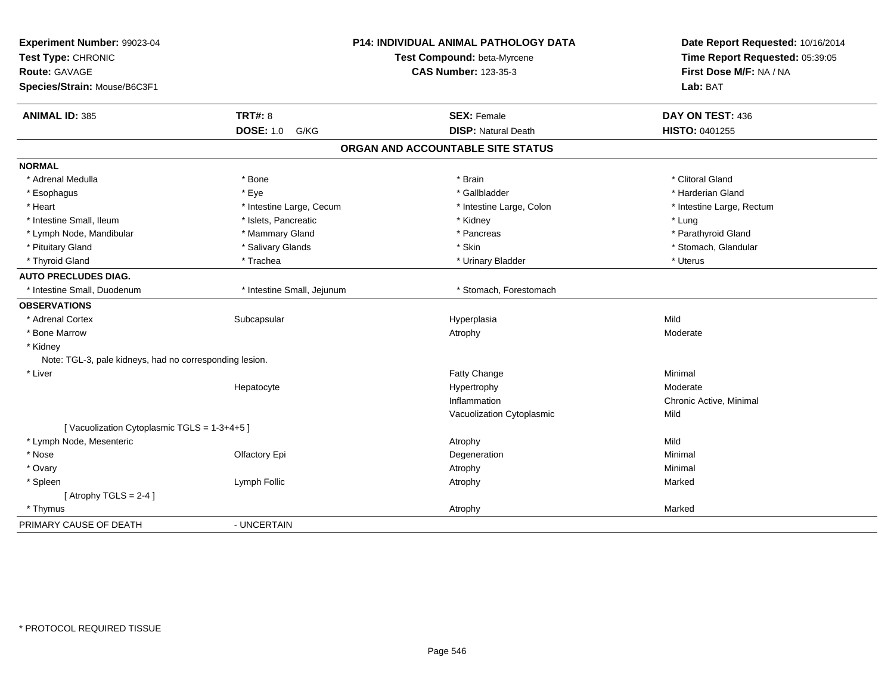| Experiment Number: 99023-04<br>Test Type: CHRONIC<br>Route: GAVAGE<br>Species/Strain: Mouse/B6C3F1 |                            | P14: INDIVIDUAL ANIMAL PATHOLOGY DATA<br>Test Compound: beta-Myrcene<br><b>CAS Number: 123-35-3</b> | Date Report Requested: 10/16/2014<br>Time Report Requested: 05:39:05<br>First Dose M/F: NA / NA<br>Lab: BAT |
|----------------------------------------------------------------------------------------------------|----------------------------|-----------------------------------------------------------------------------------------------------|-------------------------------------------------------------------------------------------------------------|
| <b>ANIMAL ID: 385</b>                                                                              | TRT#: 8                    | <b>SEX: Female</b>                                                                                  | DAY ON TEST: 436                                                                                            |
|                                                                                                    | <b>DOSE: 1.0</b><br>G/KG   | <b>DISP: Natural Death</b>                                                                          | HISTO: 0401255                                                                                              |
|                                                                                                    |                            | ORGAN AND ACCOUNTABLE SITE STATUS                                                                   |                                                                                                             |
| <b>NORMAL</b>                                                                                      |                            |                                                                                                     |                                                                                                             |
| * Adrenal Medulla                                                                                  | * Bone                     | * Brain                                                                                             | * Clitoral Gland                                                                                            |
| * Esophagus                                                                                        | * Eye                      | * Gallbladder                                                                                       | * Harderian Gland                                                                                           |
| * Heart                                                                                            | * Intestine Large, Cecum   | * Intestine Large, Colon                                                                            | * Intestine Large, Rectum                                                                                   |
| * Intestine Small, Ileum                                                                           | * Islets, Pancreatic       | * Kidney                                                                                            | * Lung                                                                                                      |
| * Lymph Node, Mandibular                                                                           | * Mammary Gland            | * Pancreas                                                                                          | * Parathyroid Gland                                                                                         |
| * Pituitary Gland                                                                                  | * Salivary Glands          | * Skin                                                                                              | * Stomach, Glandular                                                                                        |
| * Thyroid Gland                                                                                    | * Trachea                  | * Urinary Bladder                                                                                   | * Uterus                                                                                                    |
| <b>AUTO PRECLUDES DIAG.</b>                                                                        |                            |                                                                                                     |                                                                                                             |
| * Intestine Small, Duodenum                                                                        | * Intestine Small, Jejunum | * Stomach, Forestomach                                                                              |                                                                                                             |
| <b>OBSERVATIONS</b>                                                                                |                            |                                                                                                     |                                                                                                             |
| * Adrenal Cortex                                                                                   | Subcapsular                | Hyperplasia                                                                                         | Mild                                                                                                        |
| * Bone Marrow                                                                                      |                            | Atrophy                                                                                             | Moderate                                                                                                    |
| * Kidney                                                                                           |                            |                                                                                                     |                                                                                                             |
| Note: TGL-3, pale kidneys, had no corresponding lesion.                                            |                            |                                                                                                     |                                                                                                             |
| * Liver                                                                                            |                            | Fatty Change                                                                                        | Minimal                                                                                                     |
|                                                                                                    | Hepatocyte                 | Hypertrophy                                                                                         | Moderate                                                                                                    |
|                                                                                                    |                            | Inflammation                                                                                        | Chronic Active, Minimal                                                                                     |
|                                                                                                    |                            | Vacuolization Cytoplasmic                                                                           | Mild                                                                                                        |
| [Vacuolization Cytoplasmic TGLS = 1-3+4+5]                                                         |                            |                                                                                                     |                                                                                                             |
| * Lymph Node, Mesenteric                                                                           |                            | Atrophy                                                                                             | Mild                                                                                                        |
| * Nose                                                                                             | Olfactory Epi              | Degeneration                                                                                        | Minimal                                                                                                     |
| * Ovary                                                                                            |                            | Atrophy                                                                                             | Minimal                                                                                                     |
| * Spleen                                                                                           | Lymph Follic               | Atrophy                                                                                             | Marked                                                                                                      |
| [Atrophy TGLS = $2-4$ ]                                                                            |                            |                                                                                                     |                                                                                                             |
| * Thymus                                                                                           |                            | Atrophy                                                                                             | Marked                                                                                                      |
| PRIMARY CAUSE OF DEATH                                                                             | - UNCERTAIN                |                                                                                                     |                                                                                                             |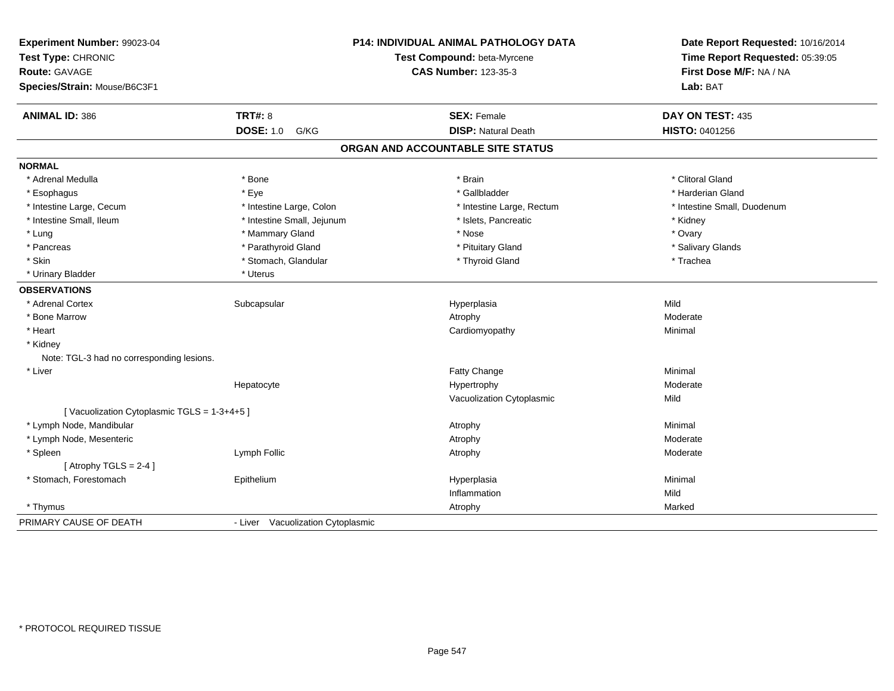| Experiment Number: 99023-04<br>Test Type: CHRONIC<br><b>Route: GAVAGE</b><br>Species/Strain: Mouse/B6C3F1 |                                   | P14: INDIVIDUAL ANIMAL PATHOLOGY DATA<br>Test Compound: beta-Myrcene<br><b>CAS Number: 123-35-3</b> | Date Report Requested: 10/16/2014<br>Time Report Requested: 05:39:05<br>First Dose M/F: NA / NA<br>Lab: BAT |
|-----------------------------------------------------------------------------------------------------------|-----------------------------------|-----------------------------------------------------------------------------------------------------|-------------------------------------------------------------------------------------------------------------|
| <b>ANIMAL ID: 386</b>                                                                                     | <b>TRT#: 8</b>                    | <b>SEX: Female</b>                                                                                  | DAY ON TEST: 435                                                                                            |
|                                                                                                           | <b>DOSE: 1.0</b><br>G/KG          | <b>DISP: Natural Death</b>                                                                          | HISTO: 0401256                                                                                              |
|                                                                                                           |                                   | ORGAN AND ACCOUNTABLE SITE STATUS                                                                   |                                                                                                             |
| <b>NORMAL</b>                                                                                             |                                   |                                                                                                     |                                                                                                             |
| * Adrenal Medulla                                                                                         | * Bone                            | * Brain                                                                                             | * Clitoral Gland                                                                                            |
| * Esophagus                                                                                               | * Eye                             | * Gallbladder                                                                                       | * Harderian Gland                                                                                           |
| * Intestine Large, Cecum                                                                                  | * Intestine Large, Colon          | * Intestine Large, Rectum                                                                           | * Intestine Small, Duodenum                                                                                 |
| * Intestine Small, Ileum                                                                                  | * Intestine Small, Jejunum        | * Islets, Pancreatic                                                                                | * Kidney                                                                                                    |
| * Lung                                                                                                    | * Mammary Gland                   | * Nose                                                                                              | * Ovary                                                                                                     |
| * Pancreas                                                                                                | * Parathyroid Gland               | * Pituitary Gland                                                                                   | * Salivary Glands                                                                                           |
| * Skin                                                                                                    | * Stomach, Glandular              | * Thyroid Gland                                                                                     | * Trachea                                                                                                   |
| * Urinary Bladder                                                                                         | * Uterus                          |                                                                                                     |                                                                                                             |
| <b>OBSERVATIONS</b>                                                                                       |                                   |                                                                                                     |                                                                                                             |
| * Adrenal Cortex                                                                                          | Subcapsular                       | Hyperplasia                                                                                         | Mild                                                                                                        |
| * Bone Marrow                                                                                             |                                   | Atrophy                                                                                             | Moderate                                                                                                    |
| * Heart                                                                                                   |                                   | Cardiomyopathy                                                                                      | Minimal                                                                                                     |
| * Kidney                                                                                                  |                                   |                                                                                                     |                                                                                                             |
| Note: TGL-3 had no corresponding lesions.                                                                 |                                   |                                                                                                     |                                                                                                             |
| * Liver                                                                                                   |                                   | Fatty Change                                                                                        | Minimal                                                                                                     |
|                                                                                                           | Hepatocyte                        | Hypertrophy                                                                                         | Moderate                                                                                                    |
|                                                                                                           |                                   | Vacuolization Cytoplasmic                                                                           | Mild                                                                                                        |
| [Vacuolization Cytoplasmic TGLS = 1-3+4+5]                                                                |                                   |                                                                                                     |                                                                                                             |
| * Lymph Node, Mandibular                                                                                  |                                   | Atrophy                                                                                             | Minimal                                                                                                     |
| * Lymph Node, Mesenteric                                                                                  |                                   | Atrophy                                                                                             | Moderate                                                                                                    |
| * Spleen                                                                                                  | Lymph Follic                      | Atrophy                                                                                             | Moderate                                                                                                    |
| [Atrophy TGLS = $2-4$ ]                                                                                   |                                   |                                                                                                     |                                                                                                             |
| * Stomach, Forestomach                                                                                    | Epithelium                        | Hyperplasia                                                                                         | Minimal                                                                                                     |
|                                                                                                           |                                   | Inflammation                                                                                        | Mild                                                                                                        |
| * Thymus                                                                                                  |                                   | Atrophy                                                                                             | Marked                                                                                                      |
| PRIMARY CAUSE OF DEATH                                                                                    | - Liver Vacuolization Cytoplasmic |                                                                                                     |                                                                                                             |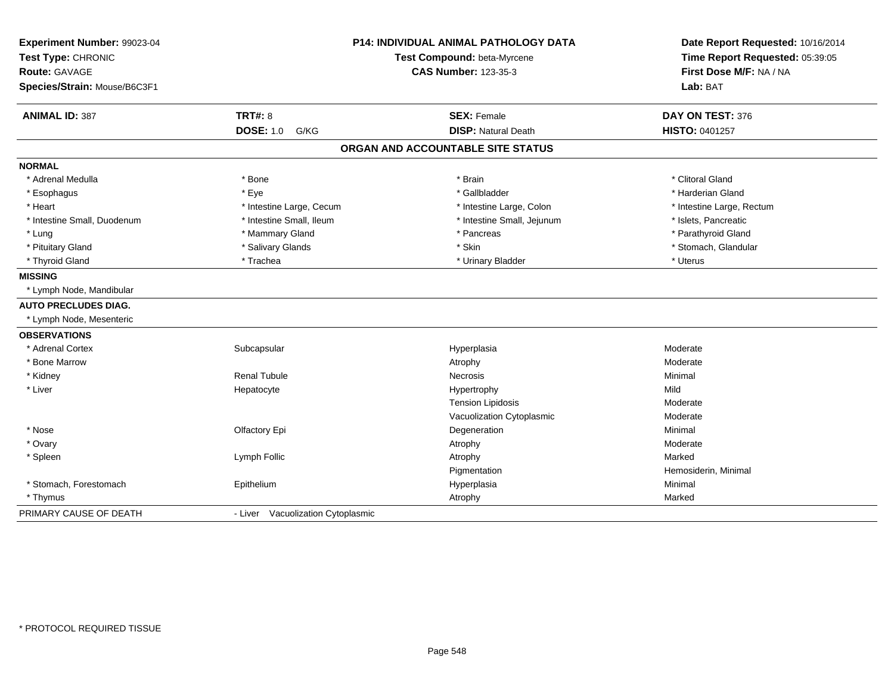| Experiment Number: 99023-04<br>Test Type: CHRONIC<br>Route: GAVAGE<br>Species/Strain: Mouse/B6C3F1 |                                   | <b>P14: INDIVIDUAL ANIMAL PATHOLOGY DATA</b><br>Test Compound: beta-Myrcene<br><b>CAS Number: 123-35-3</b> | Date Report Requested: 10/16/2014<br>Time Report Requested: 05:39:05<br>First Dose M/F: NA / NA<br>Lab: BAT |
|----------------------------------------------------------------------------------------------------|-----------------------------------|------------------------------------------------------------------------------------------------------------|-------------------------------------------------------------------------------------------------------------|
| <b>ANIMAL ID: 387</b>                                                                              | <b>TRT#: 8</b>                    | <b>SEX: Female</b>                                                                                         | DAY ON TEST: 376                                                                                            |
|                                                                                                    | <b>DOSE: 1.0 G/KG</b>             | <b>DISP: Natural Death</b>                                                                                 | HISTO: 0401257                                                                                              |
|                                                                                                    |                                   | ORGAN AND ACCOUNTABLE SITE STATUS                                                                          |                                                                                                             |
| <b>NORMAL</b>                                                                                      |                                   |                                                                                                            |                                                                                                             |
| * Adrenal Medulla                                                                                  | * Bone                            | * Brain                                                                                                    | * Clitoral Gland                                                                                            |
| * Esophagus                                                                                        | * Eye                             | * Gallbladder                                                                                              | * Harderian Gland                                                                                           |
| * Heart                                                                                            | * Intestine Large, Cecum          | * Intestine Large, Colon                                                                                   | * Intestine Large, Rectum                                                                                   |
| * Intestine Small, Duodenum                                                                        | * Intestine Small, Ileum          | * Intestine Small, Jejunum                                                                                 | * Islets, Pancreatic                                                                                        |
| * Lung                                                                                             | * Mammary Gland                   | * Pancreas                                                                                                 | * Parathyroid Gland                                                                                         |
| * Pituitary Gland                                                                                  | * Salivary Glands                 | * Skin                                                                                                     | * Stomach, Glandular                                                                                        |
| * Thyroid Gland                                                                                    | * Trachea                         | * Urinary Bladder                                                                                          | * Uterus                                                                                                    |
| <b>MISSING</b>                                                                                     |                                   |                                                                                                            |                                                                                                             |
| * Lymph Node, Mandibular                                                                           |                                   |                                                                                                            |                                                                                                             |
| <b>AUTO PRECLUDES DIAG.</b>                                                                        |                                   |                                                                                                            |                                                                                                             |
| * Lymph Node, Mesenteric                                                                           |                                   |                                                                                                            |                                                                                                             |
| <b>OBSERVATIONS</b>                                                                                |                                   |                                                                                                            |                                                                                                             |
| * Adrenal Cortex                                                                                   | Subcapsular                       | Hyperplasia                                                                                                | Moderate                                                                                                    |
| * Bone Marrow                                                                                      |                                   | Atrophy                                                                                                    | Moderate                                                                                                    |
| * Kidney                                                                                           | <b>Renal Tubule</b>               | Necrosis                                                                                                   | Minimal                                                                                                     |
| * Liver                                                                                            | Hepatocyte                        | Hypertrophy                                                                                                | Mild                                                                                                        |
|                                                                                                    |                                   | <b>Tension Lipidosis</b>                                                                                   | Moderate                                                                                                    |
|                                                                                                    |                                   | Vacuolization Cytoplasmic                                                                                  | Moderate                                                                                                    |
| * Nose                                                                                             | Olfactory Epi                     | Degeneration                                                                                               | Minimal                                                                                                     |
| * Ovary                                                                                            |                                   | Atrophy                                                                                                    | Moderate                                                                                                    |
| * Spleen                                                                                           | Lymph Follic                      | Atrophy                                                                                                    | Marked                                                                                                      |
|                                                                                                    |                                   | Pigmentation                                                                                               | Hemosiderin, Minimal                                                                                        |
| * Stomach, Forestomach                                                                             | Epithelium                        | Hyperplasia                                                                                                | Minimal                                                                                                     |
| * Thymus                                                                                           |                                   | Atrophy                                                                                                    | Marked                                                                                                      |
| PRIMARY CAUSE OF DEATH                                                                             | - Liver Vacuolization Cytoplasmic |                                                                                                            |                                                                                                             |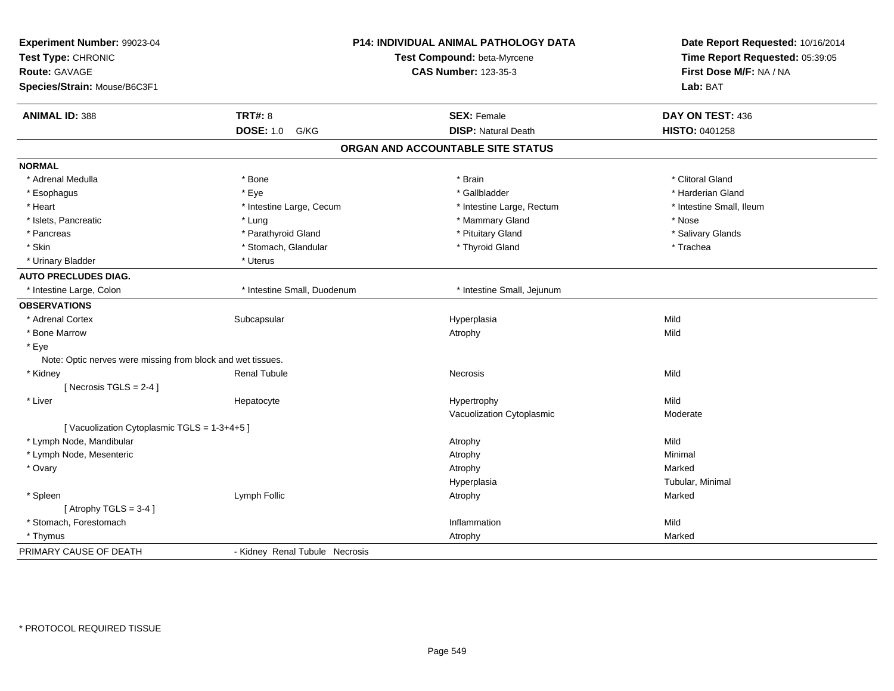| Experiment Number: 99023-04                                 |                                | P14: INDIVIDUAL ANIMAL PATHOLOGY DATA | Date Report Requested: 10/16/2014<br>Time Report Requested: 05:39:05 |
|-------------------------------------------------------------|--------------------------------|---------------------------------------|----------------------------------------------------------------------|
| Test Type: CHRONIC                                          |                                | Test Compound: beta-Myrcene           |                                                                      |
| <b>Route: GAVAGE</b>                                        |                                | <b>CAS Number: 123-35-3</b>           | First Dose M/F: NA / NA                                              |
| Species/Strain: Mouse/B6C3F1                                |                                |                                       | Lab: BAT                                                             |
| <b>ANIMAL ID: 388</b>                                       | <b>TRT#: 8</b>                 | <b>SEX: Female</b>                    | DAY ON TEST: 436                                                     |
|                                                             | <b>DOSE: 1.0</b><br>G/KG       | <b>DISP: Natural Death</b>            | HISTO: 0401258                                                       |
|                                                             |                                | ORGAN AND ACCOUNTABLE SITE STATUS     |                                                                      |
| <b>NORMAL</b>                                               |                                |                                       |                                                                      |
| * Adrenal Medulla                                           | * Bone                         | * Brain                               | * Clitoral Gland                                                     |
| * Esophagus                                                 | * Eye                          | * Gallbladder                         | * Harderian Gland                                                    |
| * Heart                                                     | * Intestine Large, Cecum       | * Intestine Large, Rectum             | * Intestine Small, Ileum                                             |
| * Islets, Pancreatic                                        | * Lung                         | * Mammary Gland                       | * Nose                                                               |
| * Pancreas                                                  | * Parathyroid Gland            | * Pituitary Gland                     | * Salivary Glands                                                    |
| * Skin                                                      | * Stomach, Glandular           | * Thyroid Gland                       | * Trachea                                                            |
| * Urinary Bladder                                           | * Uterus                       |                                       |                                                                      |
| <b>AUTO PRECLUDES DIAG.</b>                                 |                                |                                       |                                                                      |
| * Intestine Large, Colon                                    | * Intestine Small, Duodenum    | * Intestine Small, Jejunum            |                                                                      |
| <b>OBSERVATIONS</b>                                         |                                |                                       |                                                                      |
| * Adrenal Cortex                                            | Subcapsular                    | Hyperplasia                           | Mild                                                                 |
| * Bone Marrow                                               |                                | Atrophy                               | Mild                                                                 |
| * Eye                                                       |                                |                                       |                                                                      |
| Note: Optic nerves were missing from block and wet tissues. |                                |                                       |                                                                      |
| * Kidney                                                    | <b>Renal Tubule</b>            | Necrosis                              | Mild                                                                 |
| [Necrosis $TGLS = 2-4$ ]                                    |                                |                                       |                                                                      |
| * Liver                                                     | Hepatocyte                     | Hypertrophy                           | Mild                                                                 |
|                                                             |                                | Vacuolization Cytoplasmic             | Moderate                                                             |
| [Vacuolization Cytoplasmic TGLS = 1-3+4+5]                  |                                |                                       |                                                                      |
| * Lymph Node, Mandibular                                    |                                | Atrophy                               | Mild                                                                 |
| * Lymph Node, Mesenteric                                    |                                | Atrophy                               | Minimal                                                              |
| * Ovary                                                     |                                | Atrophy                               | Marked                                                               |
|                                                             |                                | Hyperplasia                           | Tubular, Minimal                                                     |
| * Spleen                                                    | Lymph Follic                   | Atrophy                               | Marked                                                               |
| [Atrophy TGLS = $3-4$ ]                                     |                                |                                       |                                                                      |
| * Stomach, Forestomach                                      |                                | Inflammation                          | Mild                                                                 |
| * Thymus                                                    |                                | Atrophy                               | Marked                                                               |
| PRIMARY CAUSE OF DEATH                                      | - Kidney Renal Tubule Necrosis |                                       |                                                                      |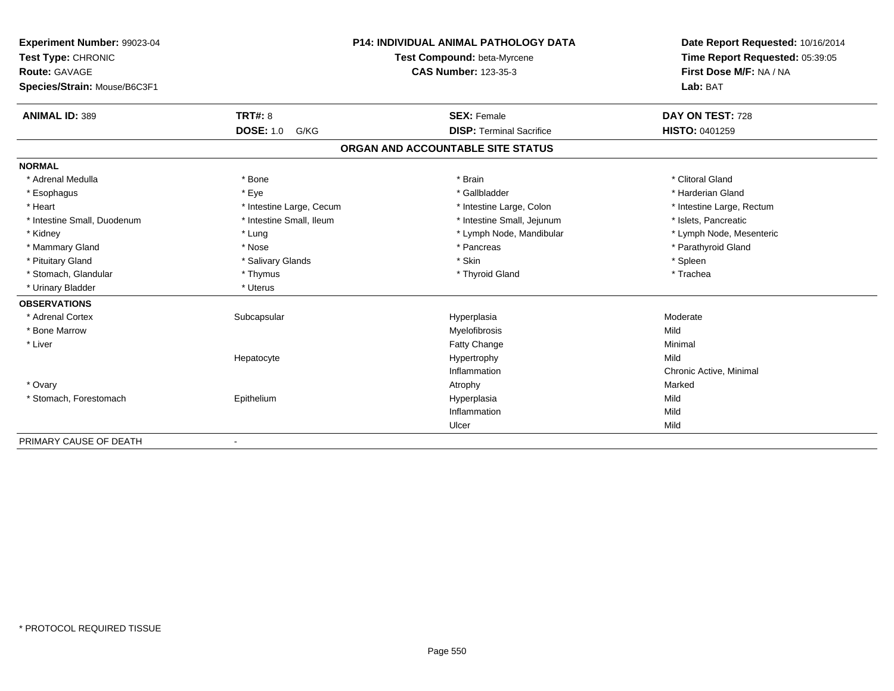| Experiment Number: 99023-04<br>Test Type: CHRONIC<br>Route: GAVAGE |                          | <b>P14: INDIVIDUAL ANIMAL PATHOLOGY DATA</b> | Date Report Requested: 10/16/2014<br>Time Report Requested: 05:39:05 |
|--------------------------------------------------------------------|--------------------------|----------------------------------------------|----------------------------------------------------------------------|
|                                                                    |                          | Test Compound: beta-Myrcene                  |                                                                      |
|                                                                    |                          | <b>CAS Number: 123-35-3</b>                  | First Dose M/F: NA / NA                                              |
| Species/Strain: Mouse/B6C3F1                                       |                          |                                              | Lab: BAT                                                             |
|                                                                    |                          |                                              |                                                                      |
| <b>ANIMAL ID: 389</b>                                              | <b>TRT#: 8</b>           | <b>SEX: Female</b>                           | DAY ON TEST: 728                                                     |
|                                                                    | <b>DOSE: 1.0</b><br>G/KG | <b>DISP: Terminal Sacrifice</b>              | <b>HISTO: 0401259</b>                                                |
|                                                                    |                          | ORGAN AND ACCOUNTABLE SITE STATUS            |                                                                      |
| <b>NORMAL</b>                                                      |                          |                                              |                                                                      |
| * Adrenal Medulla                                                  | * Bone                   | * Brain                                      | * Clitoral Gland                                                     |
| * Esophagus                                                        | * Eye                    | * Gallbladder                                | * Harderian Gland                                                    |
| * Heart                                                            | * Intestine Large, Cecum | * Intestine Large, Colon                     | * Intestine Large, Rectum                                            |
| * Intestine Small, Duodenum                                        | * Intestine Small, Ileum | * Intestine Small, Jejunum                   | * Islets, Pancreatic                                                 |
| * Kidney                                                           | * Lung                   | * Lymph Node, Mandibular                     | * Lymph Node, Mesenteric                                             |
| * Mammary Gland                                                    | * Nose                   | * Pancreas                                   | * Parathyroid Gland                                                  |
| * Pituitary Gland                                                  | * Salivary Glands        | * Skin                                       | * Spleen                                                             |
| * Stomach, Glandular                                               | * Thymus                 | * Thyroid Gland                              | * Trachea                                                            |
| * Urinary Bladder                                                  | * Uterus                 |                                              |                                                                      |
| <b>OBSERVATIONS</b>                                                |                          |                                              |                                                                      |
| * Adrenal Cortex                                                   | Subcapsular              | Hyperplasia                                  | Moderate                                                             |
| * Bone Marrow                                                      |                          | Myelofibrosis                                | Mild                                                                 |
| * Liver                                                            |                          | Fatty Change                                 | Minimal                                                              |
|                                                                    | Hepatocyte               | Hypertrophy                                  | Mild                                                                 |
|                                                                    |                          | Inflammation                                 | Chronic Active, Minimal                                              |
| * Ovary                                                            |                          | Atrophy                                      | Marked                                                               |
| * Stomach, Forestomach                                             | Epithelium               | Hyperplasia                                  | Mild                                                                 |
|                                                                    |                          | Inflammation                                 | Mild                                                                 |
|                                                                    |                          | Ulcer                                        | Mild                                                                 |
| PRIMARY CAUSE OF DEATH                                             | $\overline{\phantom{0}}$ |                                              |                                                                      |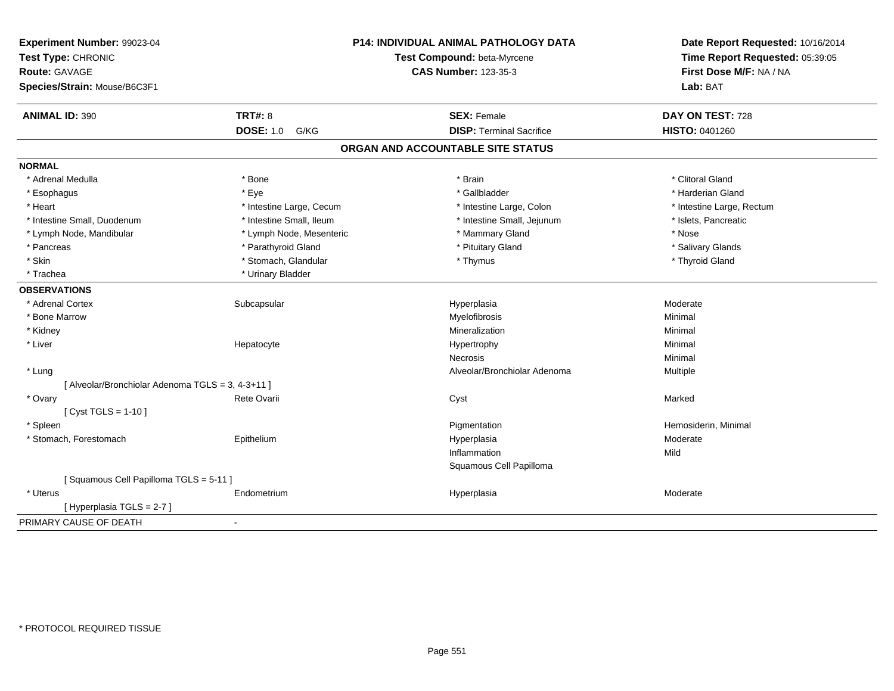| Experiment Number: 99023-04<br>Test Type: CHRONIC<br>Route: GAVAGE<br>Species/Strain: Mouse/B6C3F1 |                          | P14: INDIVIDUAL ANIMAL PATHOLOGY DATA<br>Test Compound: beta-Myrcene<br><b>CAS Number: 123-35-3</b> | Date Report Requested: 10/16/2014<br>Time Report Requested: 05:39:05<br>First Dose M/F: NA / NA<br>Lab: BAT |
|----------------------------------------------------------------------------------------------------|--------------------------|-----------------------------------------------------------------------------------------------------|-------------------------------------------------------------------------------------------------------------|
| <b>ANIMAL ID: 390</b>                                                                              | <b>TRT#: 8</b>           | <b>SEX: Female</b>                                                                                  | DAY ON TEST: 728                                                                                            |
|                                                                                                    | <b>DOSE: 1.0</b><br>G/KG | <b>DISP: Terminal Sacrifice</b>                                                                     | HISTO: 0401260                                                                                              |
|                                                                                                    |                          | ORGAN AND ACCOUNTABLE SITE STATUS                                                                   |                                                                                                             |
| <b>NORMAL</b>                                                                                      |                          |                                                                                                     |                                                                                                             |
| * Adrenal Medulla                                                                                  | * Bone                   | * Brain                                                                                             | * Clitoral Gland                                                                                            |
| * Esophagus                                                                                        | * Eye                    | * Gallbladder                                                                                       | * Harderian Gland                                                                                           |
| * Heart                                                                                            | * Intestine Large, Cecum | * Intestine Large, Colon                                                                            | * Intestine Large, Rectum                                                                                   |
| * Intestine Small, Duodenum                                                                        | * Intestine Small, Ileum | * Intestine Small, Jejunum                                                                          | * Islets, Pancreatic                                                                                        |
| * Lymph Node, Mandibular                                                                           | * Lymph Node, Mesenteric | * Mammary Gland                                                                                     | * Nose                                                                                                      |
| * Pancreas                                                                                         | * Parathyroid Gland      | * Pituitary Gland                                                                                   | * Salivary Glands                                                                                           |
| * Skin                                                                                             | * Stomach, Glandular     | * Thymus                                                                                            | * Thyroid Gland                                                                                             |
| * Trachea                                                                                          | * Urinary Bladder        |                                                                                                     |                                                                                                             |
| <b>OBSERVATIONS</b>                                                                                |                          |                                                                                                     |                                                                                                             |
| * Adrenal Cortex                                                                                   | Subcapsular              | Hyperplasia                                                                                         | Moderate                                                                                                    |
| * Bone Marrow                                                                                      |                          | Myelofibrosis                                                                                       | Minimal                                                                                                     |
| * Kidney                                                                                           |                          | Mineralization                                                                                      | Minimal                                                                                                     |
| * Liver                                                                                            | Hepatocyte               | Hypertrophy                                                                                         | Minimal                                                                                                     |
|                                                                                                    |                          | Necrosis                                                                                            | Minimal                                                                                                     |
| * Lung                                                                                             |                          | Alveolar/Bronchiolar Adenoma                                                                        | Multiple                                                                                                    |
| [ Alveolar/Bronchiolar Adenoma TGLS = 3, 4-3+11 ]                                                  |                          |                                                                                                     |                                                                                                             |
| * Ovary                                                                                            | Rete Ovarii              | Cyst                                                                                                | Marked                                                                                                      |
| [ $Cyst TGLS = 1-10$ ]                                                                             |                          |                                                                                                     |                                                                                                             |
| * Spleen                                                                                           |                          | Pigmentation                                                                                        | Hemosiderin, Minimal                                                                                        |
| * Stomach, Forestomach                                                                             | Epithelium               | Hyperplasia                                                                                         | Moderate                                                                                                    |
|                                                                                                    |                          | Inflammation                                                                                        | Mild                                                                                                        |
|                                                                                                    |                          | Squamous Cell Papilloma                                                                             |                                                                                                             |
| [Squamous Cell Papilloma TGLS = 5-11]                                                              |                          |                                                                                                     |                                                                                                             |
| * Uterus                                                                                           | Endometrium              | Hyperplasia                                                                                         | Moderate                                                                                                    |
| [Hyperplasia TGLS = 2-7]                                                                           |                          |                                                                                                     |                                                                                                             |
| PRIMARY CAUSE OF DEATH                                                                             | $\blacksquare$           |                                                                                                     |                                                                                                             |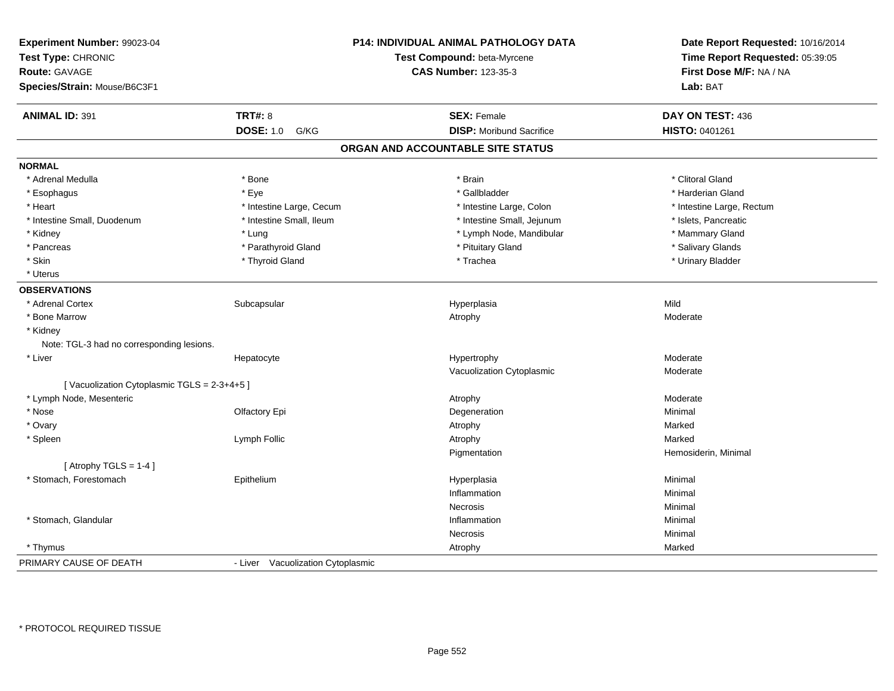| Experiment Number: 99023-04<br>Test Type: CHRONIC<br><b>Route: GAVAGE</b><br>Species/Strain: Mouse/B6C3F1 |                                   | P14: INDIVIDUAL ANIMAL PATHOLOGY DATA<br>Test Compound: beta-Myrcene<br><b>CAS Number: 123-35-3</b> | Date Report Requested: 10/16/2014<br>Time Report Requested: 05:39:05<br>First Dose M/F: NA / NA<br>Lab: BAT |
|-----------------------------------------------------------------------------------------------------------|-----------------------------------|-----------------------------------------------------------------------------------------------------|-------------------------------------------------------------------------------------------------------------|
| <b>ANIMAL ID: 391</b>                                                                                     | <b>TRT#: 8</b>                    | <b>SEX: Female</b>                                                                                  | DAY ON TEST: 436                                                                                            |
|                                                                                                           | <b>DOSE: 1.0</b><br>G/KG          | <b>DISP:</b> Moribund Sacrifice                                                                     | HISTO: 0401261                                                                                              |
|                                                                                                           |                                   | ORGAN AND ACCOUNTABLE SITE STATUS                                                                   |                                                                                                             |
| <b>NORMAL</b>                                                                                             |                                   |                                                                                                     |                                                                                                             |
| * Adrenal Medulla                                                                                         | * Bone                            | * Brain                                                                                             | * Clitoral Gland                                                                                            |
| * Esophagus                                                                                               | * Eye                             | * Gallbladder                                                                                       | * Harderian Gland                                                                                           |
| * Heart                                                                                                   | * Intestine Large, Cecum          | * Intestine Large, Colon                                                                            | * Intestine Large, Rectum                                                                                   |
| * Intestine Small, Duodenum                                                                               | * Intestine Small, Ileum          | * Intestine Small, Jejunum                                                                          | * Islets, Pancreatic                                                                                        |
| * Kidney                                                                                                  | * Lung                            | * Lymph Node, Mandibular                                                                            | * Mammary Gland                                                                                             |
| * Pancreas                                                                                                | * Parathyroid Gland               | * Pituitary Gland                                                                                   | * Salivary Glands                                                                                           |
| * Skin                                                                                                    | * Thyroid Gland                   | * Trachea                                                                                           | * Urinary Bladder                                                                                           |
| * Uterus                                                                                                  |                                   |                                                                                                     |                                                                                                             |
| <b>OBSERVATIONS</b>                                                                                       |                                   |                                                                                                     |                                                                                                             |
| * Adrenal Cortex                                                                                          | Subcapsular                       | Hyperplasia                                                                                         | Mild                                                                                                        |
| * Bone Marrow                                                                                             |                                   | Atrophy                                                                                             | Moderate                                                                                                    |
| * Kidney                                                                                                  |                                   |                                                                                                     |                                                                                                             |
| Note: TGL-3 had no corresponding lesions.                                                                 |                                   |                                                                                                     |                                                                                                             |
| * Liver                                                                                                   | Hepatocyte                        | Hypertrophy                                                                                         | Moderate                                                                                                    |
|                                                                                                           |                                   | Vacuolization Cytoplasmic                                                                           | Moderate                                                                                                    |
| [Vacuolization Cytoplasmic TGLS = 2-3+4+5]                                                                |                                   |                                                                                                     |                                                                                                             |
| * Lymph Node, Mesenteric                                                                                  |                                   | Atrophy                                                                                             | Moderate                                                                                                    |
| * Nose                                                                                                    | Olfactory Epi                     | Degeneration                                                                                        | Minimal                                                                                                     |
| * Ovary                                                                                                   |                                   | Atrophy                                                                                             | Marked                                                                                                      |
| * Spleen                                                                                                  | Lymph Follic                      | Atrophy                                                                                             | Marked                                                                                                      |
|                                                                                                           |                                   | Pigmentation                                                                                        | Hemosiderin, Minimal                                                                                        |
| [Atrophy TGLS = $1-4$ ]                                                                                   |                                   |                                                                                                     |                                                                                                             |
| * Stomach, Forestomach                                                                                    | Epithelium                        | Hyperplasia                                                                                         | Minimal                                                                                                     |
|                                                                                                           |                                   | Inflammation                                                                                        | Minimal                                                                                                     |
|                                                                                                           |                                   | Necrosis                                                                                            | Minimal                                                                                                     |
| * Stomach, Glandular                                                                                      |                                   | Inflammation                                                                                        | Minimal                                                                                                     |
|                                                                                                           |                                   | Necrosis                                                                                            | Minimal                                                                                                     |
| * Thymus                                                                                                  |                                   | Atrophy                                                                                             | Marked                                                                                                      |
| PRIMARY CAUSE OF DEATH                                                                                    | - Liver Vacuolization Cytoplasmic |                                                                                                     |                                                                                                             |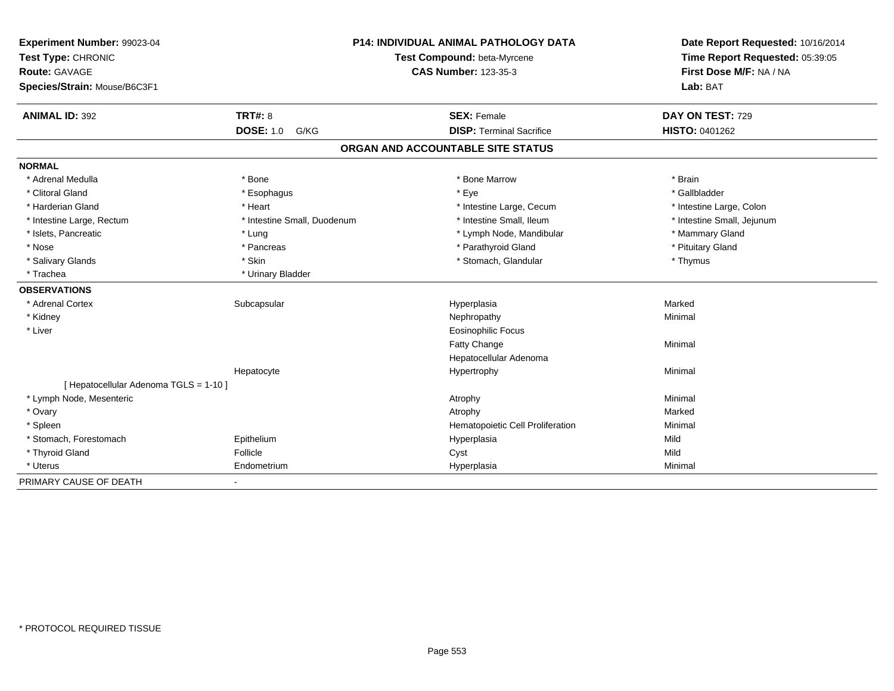| Experiment Number: 99023-04<br>Test Type: CHRONIC |                             | <b>P14: INDIVIDUAL ANIMAL PATHOLOGY DATA</b><br>Test Compound: beta-Myrcene | Date Report Requested: 10/16/2014<br>Time Report Requested: 05:39:05 |
|---------------------------------------------------|-----------------------------|-----------------------------------------------------------------------------|----------------------------------------------------------------------|
| <b>Route: GAVAGE</b>                              |                             | <b>CAS Number: 123-35-3</b>                                                 | First Dose M/F: NA / NA                                              |
| Species/Strain: Mouse/B6C3F1                      |                             |                                                                             | Lab: BAT                                                             |
| <b>ANIMAL ID: 392</b>                             | <b>TRT#: 8</b>              | <b>SEX: Female</b>                                                          | DAY ON TEST: 729                                                     |
|                                                   | <b>DOSE: 1.0</b><br>G/KG    | <b>DISP: Terminal Sacrifice</b>                                             | <b>HISTO: 0401262</b>                                                |
|                                                   |                             | ORGAN AND ACCOUNTABLE SITE STATUS                                           |                                                                      |
| <b>NORMAL</b>                                     |                             |                                                                             |                                                                      |
| * Adrenal Medulla                                 | * Bone                      | * Bone Marrow                                                               | * Brain                                                              |
| * Clitoral Gland                                  | * Esophagus                 | * Eye                                                                       | * Gallbladder                                                        |
| * Harderian Gland                                 | * Heart                     | * Intestine Large, Cecum                                                    | * Intestine Large, Colon                                             |
| * Intestine Large, Rectum                         | * Intestine Small, Duodenum | * Intestine Small, Ileum                                                    | * Intestine Small, Jejunum                                           |
| * Islets, Pancreatic                              | * Lung                      | * Lymph Node, Mandibular                                                    | * Mammary Gland                                                      |
| * Nose                                            | * Pancreas                  | * Parathyroid Gland                                                         | * Pituitary Gland                                                    |
| * Salivary Glands                                 | * Skin                      | * Stomach, Glandular                                                        | * Thymus                                                             |
| * Trachea                                         | * Urinary Bladder           |                                                                             |                                                                      |
| <b>OBSERVATIONS</b>                               |                             |                                                                             |                                                                      |
| * Adrenal Cortex                                  | Subcapsular                 | Hyperplasia                                                                 | Marked                                                               |
| * Kidney                                          |                             | Nephropathy                                                                 | Minimal                                                              |
| * Liver                                           |                             | <b>Eosinophilic Focus</b>                                                   |                                                                      |
|                                                   |                             | Fatty Change                                                                | Minimal                                                              |
|                                                   |                             | Hepatocellular Adenoma                                                      |                                                                      |
|                                                   | Hepatocyte                  | Hypertrophy                                                                 | Minimal                                                              |
| [ Hepatocellular Adenoma TGLS = 1-10 ]            |                             |                                                                             |                                                                      |
| * Lymph Node, Mesenteric                          |                             | Atrophy                                                                     | Minimal                                                              |
| * Ovary                                           |                             | Atrophy                                                                     | Marked                                                               |
| * Spleen                                          |                             | Hematopoietic Cell Proliferation                                            | Minimal                                                              |
| * Stomach, Forestomach                            | Epithelium                  | Hyperplasia                                                                 | Mild                                                                 |
| * Thyroid Gland                                   | Follicle                    | Cyst                                                                        | Mild                                                                 |
| * Uterus                                          | Endometrium                 | Hyperplasia                                                                 | Minimal                                                              |
| PRIMARY CAUSE OF DEATH                            | $\blacksquare$              |                                                                             |                                                                      |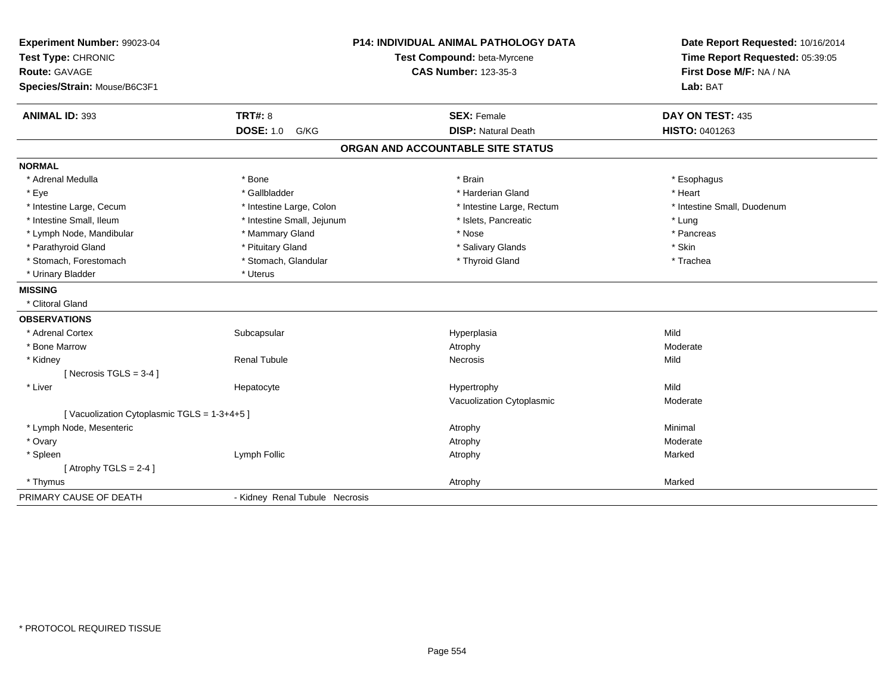| Experiment Number: 99023-04<br>Test Type: CHRONIC<br><b>Route: GAVAGE</b><br>Species/Strain: Mouse/B6C3F1 |                                | <b>P14: INDIVIDUAL ANIMAL PATHOLOGY DATA</b><br>Test Compound: beta-Myrcene<br><b>CAS Number: 123-35-3</b> | Date Report Requested: 10/16/2014<br>Time Report Requested: 05:39:05<br>First Dose M/F: NA / NA<br>Lab: BAT |
|-----------------------------------------------------------------------------------------------------------|--------------------------------|------------------------------------------------------------------------------------------------------------|-------------------------------------------------------------------------------------------------------------|
| <b>ANIMAL ID: 393</b>                                                                                     | <b>TRT#: 8</b>                 | <b>SEX: Female</b>                                                                                         | DAY ON TEST: 435                                                                                            |
|                                                                                                           | <b>DOSE: 1.0</b><br>G/KG       | <b>DISP: Natural Death</b>                                                                                 | HISTO: 0401263                                                                                              |
|                                                                                                           |                                | ORGAN AND ACCOUNTABLE SITE STATUS                                                                          |                                                                                                             |
| <b>NORMAL</b>                                                                                             |                                |                                                                                                            |                                                                                                             |
| * Adrenal Medulla                                                                                         | * Bone                         | * Brain                                                                                                    | * Esophagus                                                                                                 |
| * Eye                                                                                                     | * Gallbladder                  | * Harderian Gland                                                                                          | * Heart                                                                                                     |
| * Intestine Large, Cecum                                                                                  | * Intestine Large, Colon       | * Intestine Large, Rectum                                                                                  | * Intestine Small, Duodenum                                                                                 |
| * Intestine Small, Ileum                                                                                  | * Intestine Small, Jejunum     | * Islets, Pancreatic                                                                                       | * Lung                                                                                                      |
| * Lymph Node, Mandibular                                                                                  | * Mammary Gland                | * Nose                                                                                                     | * Pancreas                                                                                                  |
| * Parathyroid Gland                                                                                       | * Pituitary Gland              | * Salivary Glands                                                                                          | * Skin                                                                                                      |
| * Stomach, Forestomach                                                                                    | * Stomach, Glandular           | * Thyroid Gland                                                                                            | * Trachea                                                                                                   |
| * Urinary Bladder                                                                                         | * Uterus                       |                                                                                                            |                                                                                                             |
| <b>MISSING</b>                                                                                            |                                |                                                                                                            |                                                                                                             |
| * Clitoral Gland                                                                                          |                                |                                                                                                            |                                                                                                             |
| <b>OBSERVATIONS</b>                                                                                       |                                |                                                                                                            |                                                                                                             |
| * Adrenal Cortex                                                                                          | Subcapsular                    | Hyperplasia                                                                                                | Mild                                                                                                        |
| * Bone Marrow                                                                                             |                                | Atrophy                                                                                                    | Moderate                                                                                                    |
| * Kidney                                                                                                  | <b>Renal Tubule</b>            | <b>Necrosis</b>                                                                                            | Mild                                                                                                        |
| [ Necrosis $TGLS = 3-4$ ]                                                                                 |                                |                                                                                                            |                                                                                                             |
| * Liver                                                                                                   | Hepatocyte                     | Hypertrophy                                                                                                | Mild                                                                                                        |
|                                                                                                           |                                | Vacuolization Cytoplasmic                                                                                  | Moderate                                                                                                    |
| [Vacuolization Cytoplasmic TGLS = 1-3+4+5]                                                                |                                |                                                                                                            |                                                                                                             |
| * Lymph Node, Mesenteric                                                                                  |                                | Atrophy                                                                                                    | Minimal                                                                                                     |
| * Ovary                                                                                                   |                                | Atrophy                                                                                                    | Moderate                                                                                                    |
| * Spleen                                                                                                  | Lymph Follic                   | Atrophy                                                                                                    | Marked                                                                                                      |
| [Atrophy TGLS = $2-4$ ]                                                                                   |                                |                                                                                                            |                                                                                                             |
| * Thymus                                                                                                  |                                | Atrophy                                                                                                    | Marked                                                                                                      |
| PRIMARY CAUSE OF DEATH                                                                                    | - Kidney Renal Tubule Necrosis |                                                                                                            |                                                                                                             |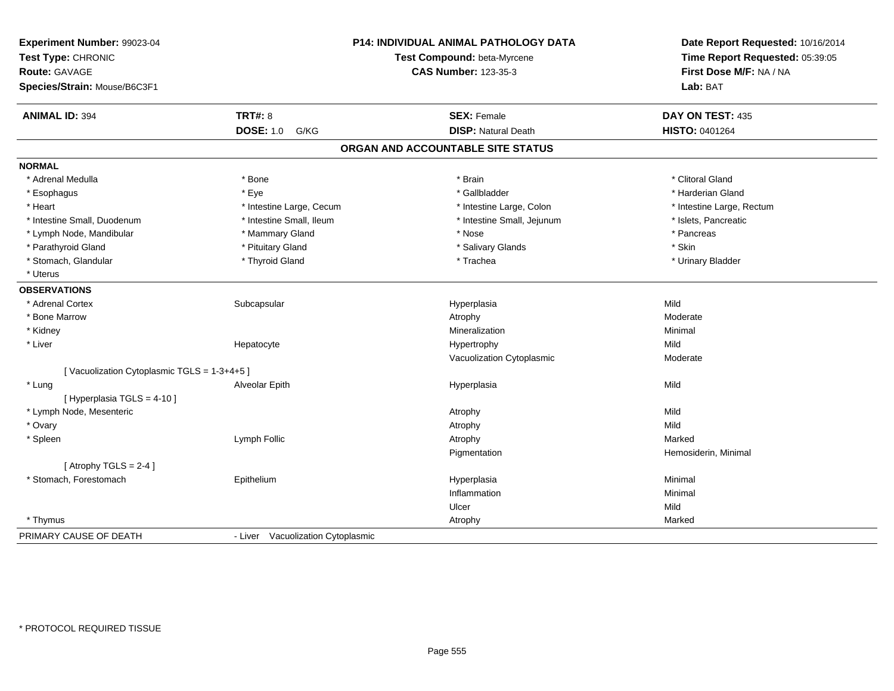| Experiment Number: 99023-04<br>Test Type: CHRONIC<br><b>Route: GAVAGE</b><br>Species/Strain: Mouse/B6C3F1 |                                   | P14: INDIVIDUAL ANIMAL PATHOLOGY DATA<br>Test Compound: beta-Myrcene<br><b>CAS Number: 123-35-3</b> | Date Report Requested: 10/16/2014<br>Time Report Requested: 05:39:05<br>First Dose M/F: NA / NA<br>Lab: BAT |
|-----------------------------------------------------------------------------------------------------------|-----------------------------------|-----------------------------------------------------------------------------------------------------|-------------------------------------------------------------------------------------------------------------|
|                                                                                                           |                                   |                                                                                                     |                                                                                                             |
| <b>ANIMAL ID: 394</b>                                                                                     | <b>TRT#: 8</b>                    | <b>SEX: Female</b>                                                                                  | DAY ON TEST: 435                                                                                            |
|                                                                                                           | <b>DOSE: 1.0</b><br>G/KG          | <b>DISP: Natural Death</b>                                                                          | HISTO: 0401264                                                                                              |
|                                                                                                           |                                   | ORGAN AND ACCOUNTABLE SITE STATUS                                                                   |                                                                                                             |
| <b>NORMAL</b>                                                                                             |                                   |                                                                                                     |                                                                                                             |
| * Adrenal Medulla                                                                                         | * Bone                            | * Brain                                                                                             | * Clitoral Gland                                                                                            |
| * Esophagus                                                                                               | * Eye                             | * Gallbladder                                                                                       | * Harderian Gland                                                                                           |
| * Heart                                                                                                   | * Intestine Large, Cecum          | * Intestine Large, Colon                                                                            | * Intestine Large, Rectum                                                                                   |
| * Intestine Small, Duodenum                                                                               | * Intestine Small, Ileum          | * Intestine Small, Jejunum                                                                          | * Islets, Pancreatic                                                                                        |
| * Lymph Node, Mandibular                                                                                  | * Mammary Gland                   | * Nose                                                                                              | * Pancreas                                                                                                  |
| * Parathyroid Gland                                                                                       | * Pituitary Gland                 | * Salivary Glands                                                                                   | * Skin                                                                                                      |
| * Stomach, Glandular                                                                                      | * Thyroid Gland                   | * Trachea                                                                                           | * Urinary Bladder                                                                                           |
| * Uterus                                                                                                  |                                   |                                                                                                     |                                                                                                             |
| <b>OBSERVATIONS</b>                                                                                       |                                   |                                                                                                     |                                                                                                             |
| * Adrenal Cortex                                                                                          | Subcapsular                       | Hyperplasia                                                                                         | Mild                                                                                                        |
| * Bone Marrow                                                                                             |                                   | Atrophy                                                                                             | Moderate                                                                                                    |
| * Kidney                                                                                                  |                                   | Mineralization                                                                                      | Minimal                                                                                                     |
| * Liver                                                                                                   | Hepatocyte                        | Hypertrophy                                                                                         | Mild                                                                                                        |
|                                                                                                           |                                   | Vacuolization Cytoplasmic                                                                           | Moderate                                                                                                    |
| [Vacuolization Cytoplasmic TGLS = 1-3+4+5]                                                                |                                   |                                                                                                     |                                                                                                             |
| * Lung                                                                                                    | Alveolar Epith                    | Hyperplasia                                                                                         | Mild                                                                                                        |
| [ Hyperplasia TGLS = 4-10 ]                                                                               |                                   |                                                                                                     |                                                                                                             |
| * Lymph Node, Mesenteric                                                                                  |                                   | Atrophy                                                                                             | Mild                                                                                                        |
| * Ovary                                                                                                   |                                   | Atrophy                                                                                             | Mild                                                                                                        |
| * Spleen                                                                                                  | Lymph Follic                      | Atrophy                                                                                             | Marked                                                                                                      |
|                                                                                                           |                                   | Pigmentation                                                                                        | Hemosiderin, Minimal                                                                                        |
| [Atrophy TGLS = $2-4$ ]                                                                                   |                                   |                                                                                                     |                                                                                                             |
| * Stomach, Forestomach                                                                                    | Epithelium                        | Hyperplasia                                                                                         | Minimal                                                                                                     |
|                                                                                                           |                                   | Inflammation                                                                                        | Minimal                                                                                                     |
|                                                                                                           |                                   | Ulcer                                                                                               | Mild                                                                                                        |
| * Thymus                                                                                                  |                                   | Atrophy                                                                                             | Marked                                                                                                      |
| PRIMARY CAUSE OF DEATH                                                                                    | - Liver Vacuolization Cytoplasmic |                                                                                                     |                                                                                                             |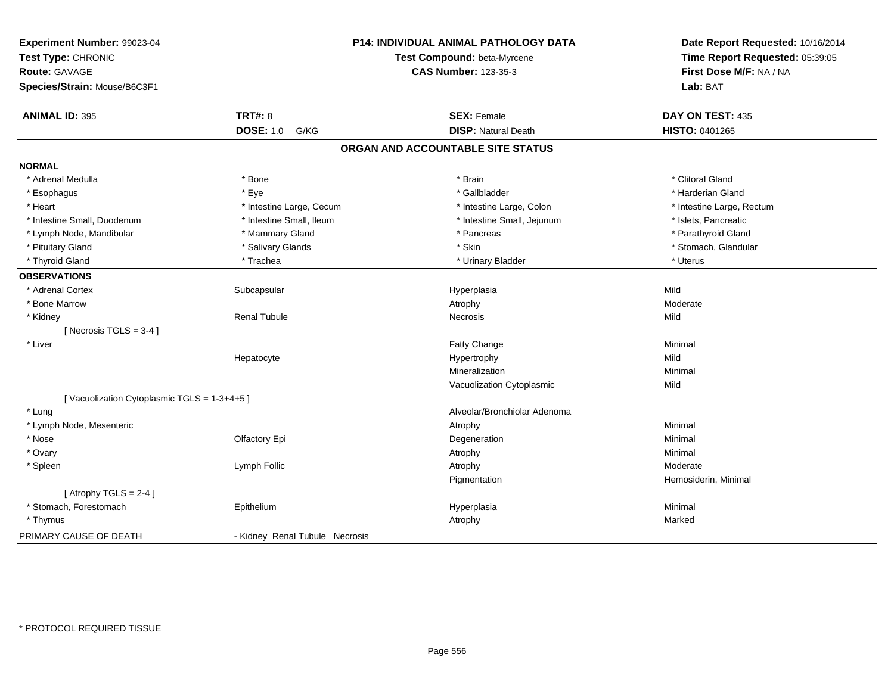| Experiment Number: 99023-04<br>Test Type: CHRONIC<br><b>Route: GAVAGE</b> |                                | <b>P14: INDIVIDUAL ANIMAL PATHOLOGY DATA</b><br>Test Compound: beta-Myrcene<br><b>CAS Number: 123-35-3</b> | Date Report Requested: 10/16/2014<br>Time Report Requested: 05:39:05<br>First Dose M/F: NA / NA |
|---------------------------------------------------------------------------|--------------------------------|------------------------------------------------------------------------------------------------------------|-------------------------------------------------------------------------------------------------|
| Species/Strain: Mouse/B6C3F1                                              |                                |                                                                                                            | Lab: BAT                                                                                        |
| <b>ANIMAL ID: 395</b>                                                     | <b>TRT#: 8</b>                 | <b>SEX: Female</b>                                                                                         | DAY ON TEST: 435                                                                                |
|                                                                           | <b>DOSE: 1.0</b><br>G/KG       | <b>DISP: Natural Death</b>                                                                                 | HISTO: 0401265                                                                                  |
|                                                                           |                                | ORGAN AND ACCOUNTABLE SITE STATUS                                                                          |                                                                                                 |
| <b>NORMAL</b>                                                             |                                |                                                                                                            |                                                                                                 |
| * Adrenal Medulla                                                         | * Bone                         | * Brain                                                                                                    | * Clitoral Gland                                                                                |
| * Esophagus                                                               | * Eye                          | * Gallbladder                                                                                              | * Harderian Gland                                                                               |
| * Heart                                                                   | * Intestine Large, Cecum       | * Intestine Large, Colon                                                                                   | * Intestine Large, Rectum                                                                       |
| * Intestine Small, Duodenum                                               | * Intestine Small, Ileum       | * Intestine Small, Jejunum                                                                                 | * Islets, Pancreatic                                                                            |
| * Lymph Node, Mandibular                                                  | * Mammary Gland                | * Pancreas                                                                                                 | * Parathyroid Gland                                                                             |
| * Pituitary Gland                                                         | * Salivary Glands              | * Skin                                                                                                     | * Stomach, Glandular                                                                            |
| * Thyroid Gland                                                           | * Trachea                      | * Urinary Bladder                                                                                          | * Uterus                                                                                        |
| <b>OBSERVATIONS</b>                                                       |                                |                                                                                                            |                                                                                                 |
| * Adrenal Cortex                                                          | Subcapsular                    | Hyperplasia                                                                                                | Mild                                                                                            |
| * Bone Marrow                                                             |                                | Atrophy                                                                                                    | Moderate                                                                                        |
| * Kidney                                                                  | <b>Renal Tubule</b>            | Necrosis                                                                                                   | Mild                                                                                            |
| [ Necrosis TGLS = $3-4$ ]                                                 |                                |                                                                                                            |                                                                                                 |
| * Liver                                                                   |                                | <b>Fatty Change</b>                                                                                        | Minimal                                                                                         |
|                                                                           | Hepatocyte                     | Hypertrophy                                                                                                | Mild                                                                                            |
|                                                                           |                                | Mineralization                                                                                             | Minimal                                                                                         |
|                                                                           |                                | Vacuolization Cytoplasmic                                                                                  | Mild                                                                                            |
| [Vacuolization Cytoplasmic TGLS = 1-3+4+5]                                |                                |                                                                                                            |                                                                                                 |
| * Lung                                                                    |                                | Alveolar/Bronchiolar Adenoma                                                                               |                                                                                                 |
| * Lymph Node, Mesenteric                                                  |                                | Atrophy                                                                                                    | Minimal                                                                                         |
| * Nose                                                                    | Olfactory Epi                  | Degeneration                                                                                               | Minimal                                                                                         |
| * Ovary                                                                   |                                | Atrophy                                                                                                    | Minimal                                                                                         |
| * Spleen                                                                  | Lymph Follic                   | Atrophy                                                                                                    | Moderate                                                                                        |
|                                                                           |                                | Pigmentation                                                                                               | Hemosiderin, Minimal                                                                            |
| [Atrophy TGLS = $2-4$ ]                                                   |                                |                                                                                                            |                                                                                                 |
| * Stomach, Forestomach                                                    | Epithelium                     | Hyperplasia                                                                                                | Minimal                                                                                         |
| * Thymus                                                                  |                                | Atrophy                                                                                                    | Marked                                                                                          |
| PRIMARY CAUSE OF DEATH                                                    | - Kidney Renal Tubule Necrosis |                                                                                                            |                                                                                                 |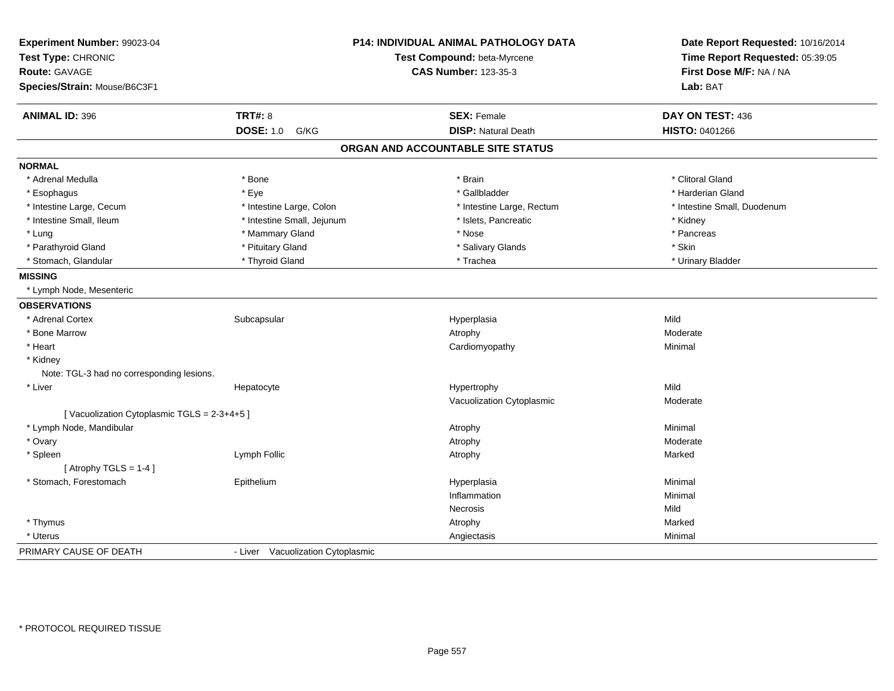| Experiment Number: 99023-04<br>Test Type: CHRONIC<br><b>Route: GAVAGE</b><br>Species/Strain: Mouse/B6C3F1 |                                   | <b>P14: INDIVIDUAL ANIMAL PATHOLOGY DATA</b><br>Test Compound: beta-Myrcene<br><b>CAS Number: 123-35-3</b> | Date Report Requested: 10/16/2014<br>Time Report Requested: 05:39:05<br>First Dose M/F: NA / NA<br>Lab: BAT |
|-----------------------------------------------------------------------------------------------------------|-----------------------------------|------------------------------------------------------------------------------------------------------------|-------------------------------------------------------------------------------------------------------------|
|                                                                                                           |                                   |                                                                                                            |                                                                                                             |
| <b>ANIMAL ID: 396</b>                                                                                     | <b>TRT#: 8</b>                    | <b>SEX: Female</b>                                                                                         | DAY ON TEST: 436                                                                                            |
|                                                                                                           | <b>DOSE: 1.0</b><br>G/KG          | <b>DISP: Natural Death</b>                                                                                 | HISTO: 0401266                                                                                              |
|                                                                                                           |                                   | ORGAN AND ACCOUNTABLE SITE STATUS                                                                          |                                                                                                             |
| <b>NORMAL</b>                                                                                             |                                   |                                                                                                            |                                                                                                             |
| * Adrenal Medulla                                                                                         | * Bone                            | * Brain                                                                                                    | * Clitoral Gland                                                                                            |
| * Esophagus                                                                                               | * Eye                             | * Gallbladder                                                                                              | * Harderian Gland                                                                                           |
| * Intestine Large, Cecum                                                                                  | * Intestine Large, Colon          | * Intestine Large, Rectum                                                                                  | * Intestine Small, Duodenum                                                                                 |
| * Intestine Small, Ileum                                                                                  | * Intestine Small, Jejunum        | * Islets, Pancreatic                                                                                       | * Kidney                                                                                                    |
| * Lung                                                                                                    | * Mammary Gland                   | * Nose                                                                                                     | * Pancreas                                                                                                  |
| * Parathyroid Gland                                                                                       | * Pituitary Gland                 | * Salivary Glands                                                                                          | * Skin                                                                                                      |
| * Stomach, Glandular                                                                                      | * Thyroid Gland                   | * Trachea                                                                                                  | * Urinary Bladder                                                                                           |
| <b>MISSING</b>                                                                                            |                                   |                                                                                                            |                                                                                                             |
| * Lymph Node, Mesenteric                                                                                  |                                   |                                                                                                            |                                                                                                             |
| <b>OBSERVATIONS</b>                                                                                       |                                   |                                                                                                            |                                                                                                             |
| * Adrenal Cortex                                                                                          | Subcapsular                       | Hyperplasia                                                                                                | Mild                                                                                                        |
| * Bone Marrow                                                                                             |                                   | Atrophy                                                                                                    | Moderate                                                                                                    |
| * Heart                                                                                                   |                                   | Cardiomyopathy                                                                                             | Minimal                                                                                                     |
| * Kidney                                                                                                  |                                   |                                                                                                            |                                                                                                             |
| Note: TGL-3 had no corresponding lesions.                                                                 |                                   |                                                                                                            |                                                                                                             |
| * Liver                                                                                                   | Hepatocyte                        | Hypertrophy                                                                                                | Mild                                                                                                        |
|                                                                                                           |                                   | Vacuolization Cytoplasmic                                                                                  | Moderate                                                                                                    |
| [Vacuolization Cytoplasmic TGLS = 2-3+4+5]                                                                |                                   |                                                                                                            |                                                                                                             |
| * Lymph Node, Mandibular                                                                                  |                                   | Atrophy                                                                                                    | Minimal                                                                                                     |
| * Ovary                                                                                                   |                                   | Atrophy                                                                                                    | Moderate                                                                                                    |
| * Spleen                                                                                                  | Lymph Follic                      | Atrophy                                                                                                    | Marked                                                                                                      |
| [Atrophy TGLS = $1-4$ ]                                                                                   |                                   |                                                                                                            |                                                                                                             |
| * Stomach, Forestomach                                                                                    | Epithelium                        | Hyperplasia                                                                                                | Minimal                                                                                                     |
|                                                                                                           |                                   | Inflammation                                                                                               | Minimal                                                                                                     |
|                                                                                                           |                                   | Necrosis                                                                                                   | Mild                                                                                                        |
| * Thymus                                                                                                  |                                   | Atrophy                                                                                                    | Marked                                                                                                      |
| * Uterus                                                                                                  |                                   | Angiectasis                                                                                                | Minimal                                                                                                     |
| PRIMARY CAUSE OF DEATH                                                                                    | - Liver Vacuolization Cytoplasmic |                                                                                                            |                                                                                                             |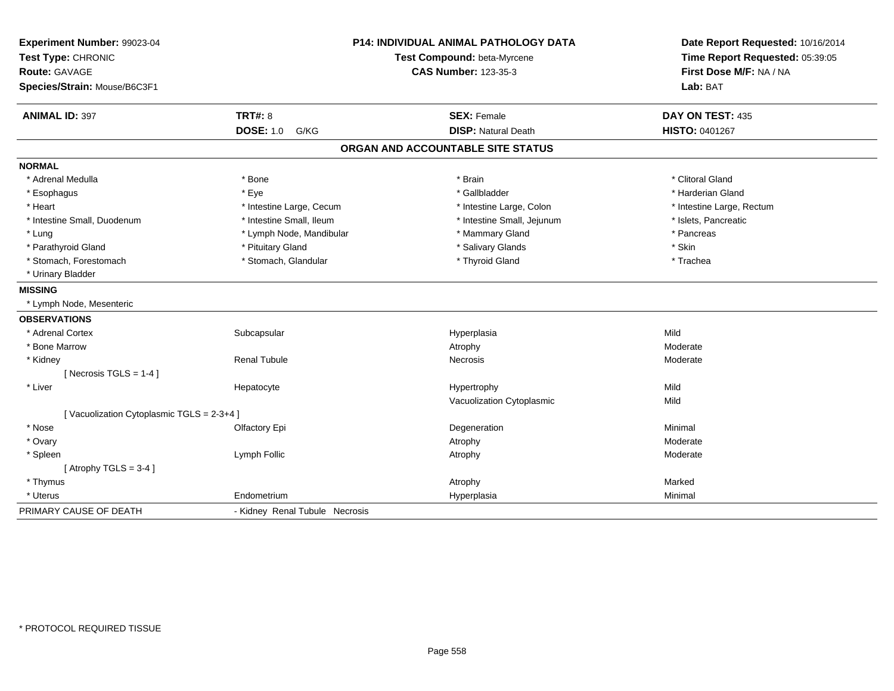| Experiment Number: 99023-04<br>Test Type: CHRONIC<br><b>Route: GAVAGE</b> |                                | <b>P14: INDIVIDUAL ANIMAL PATHOLOGY DATA</b><br>Test Compound: beta-Myrcene<br><b>CAS Number: 123-35-3</b> | Date Report Requested: 10/16/2014<br>Time Report Requested: 05:39:05<br>First Dose M/F: NA / NA |
|---------------------------------------------------------------------------|--------------------------------|------------------------------------------------------------------------------------------------------------|-------------------------------------------------------------------------------------------------|
| Species/Strain: Mouse/B6C3F1                                              |                                |                                                                                                            | Lab: BAT                                                                                        |
| <b>ANIMAL ID: 397</b>                                                     | <b>TRT#: 8</b>                 | <b>SEX: Female</b>                                                                                         | DAY ON TEST: 435                                                                                |
|                                                                           | <b>DOSE: 1.0</b><br>G/KG       | <b>DISP: Natural Death</b>                                                                                 | HISTO: 0401267                                                                                  |
|                                                                           |                                | ORGAN AND ACCOUNTABLE SITE STATUS                                                                          |                                                                                                 |
| <b>NORMAL</b>                                                             |                                |                                                                                                            |                                                                                                 |
| * Adrenal Medulla                                                         | * Bone                         | * Brain                                                                                                    | * Clitoral Gland                                                                                |
| * Esophagus                                                               | * Eye                          | * Gallbladder                                                                                              | * Harderian Gland                                                                               |
| * Heart                                                                   | * Intestine Large, Cecum       | * Intestine Large, Colon                                                                                   | * Intestine Large, Rectum                                                                       |
| * Intestine Small, Duodenum                                               | * Intestine Small, Ileum       | * Intestine Small, Jejunum                                                                                 | * Islets, Pancreatic                                                                            |
| * Lung                                                                    | * Lymph Node, Mandibular       | * Mammary Gland                                                                                            | * Pancreas                                                                                      |
| * Parathyroid Gland                                                       | * Pituitary Gland              | * Salivary Glands                                                                                          | * Skin                                                                                          |
| * Stomach, Forestomach                                                    | * Stomach, Glandular           | * Thyroid Gland                                                                                            | * Trachea                                                                                       |
| * Urinary Bladder                                                         |                                |                                                                                                            |                                                                                                 |
| <b>MISSING</b>                                                            |                                |                                                                                                            |                                                                                                 |
| * Lymph Node, Mesenteric                                                  |                                |                                                                                                            |                                                                                                 |
| <b>OBSERVATIONS</b>                                                       |                                |                                                                                                            |                                                                                                 |
| * Adrenal Cortex                                                          | Subcapsular                    | Hyperplasia                                                                                                | Mild                                                                                            |
| * Bone Marrow                                                             |                                | Atrophy                                                                                                    | Moderate                                                                                        |
| * Kidney                                                                  | <b>Renal Tubule</b>            | Necrosis                                                                                                   | Moderate                                                                                        |
| [ Necrosis TGLS = $1-4$ ]                                                 |                                |                                                                                                            |                                                                                                 |
| * Liver                                                                   | Hepatocyte                     | Hypertrophy                                                                                                | Mild                                                                                            |
|                                                                           |                                | Vacuolization Cytoplasmic                                                                                  | Mild                                                                                            |
| [Vacuolization Cytoplasmic TGLS = 2-3+4]                                  |                                |                                                                                                            |                                                                                                 |
| * Nose                                                                    | Olfactory Epi                  | Degeneration                                                                                               | Minimal                                                                                         |
| * Ovary                                                                   |                                | Atrophy                                                                                                    | Moderate                                                                                        |
| * Spleen                                                                  | Lymph Follic                   | Atrophy                                                                                                    | Moderate                                                                                        |
| [Atrophy TGLS = $3-4$ ]                                                   |                                |                                                                                                            |                                                                                                 |
| * Thymus                                                                  |                                | Atrophy                                                                                                    | Marked                                                                                          |
| * Uterus                                                                  | Endometrium                    | Hyperplasia                                                                                                | Minimal                                                                                         |
| PRIMARY CAUSE OF DEATH                                                    | - Kidney Renal Tubule Necrosis |                                                                                                            |                                                                                                 |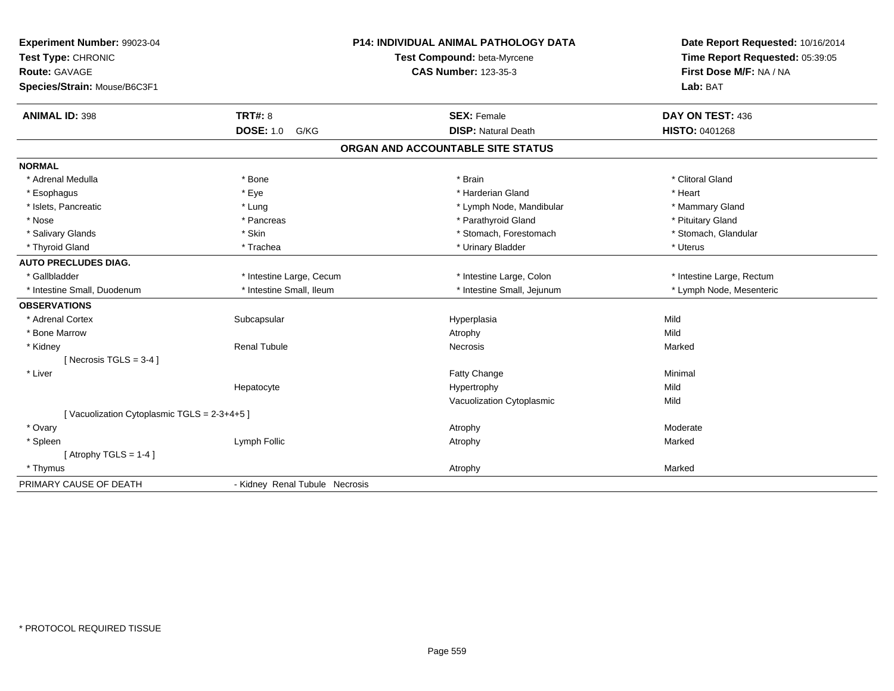| Experiment Number: 99023-04<br>Test Type: CHRONIC<br><b>Route: GAVAGE</b><br>Species/Strain: Mouse/B6C3F1 |                                | <b>P14: INDIVIDUAL ANIMAL PATHOLOGY DATA</b><br>Test Compound: beta-Myrcene<br><b>CAS Number: 123-35-3</b> | Date Report Requested: 10/16/2014<br>Time Report Requested: 05:39:05<br>First Dose M/F: NA / NA<br>Lab: BAT |
|-----------------------------------------------------------------------------------------------------------|--------------------------------|------------------------------------------------------------------------------------------------------------|-------------------------------------------------------------------------------------------------------------|
| <b>ANIMAL ID: 398</b>                                                                                     | <b>TRT#: 8</b>                 | <b>SEX: Female</b>                                                                                         | DAY ON TEST: 436                                                                                            |
|                                                                                                           | <b>DOSE: 1.0</b><br>G/KG       | <b>DISP: Natural Death</b>                                                                                 | HISTO: 0401268                                                                                              |
|                                                                                                           |                                | ORGAN AND ACCOUNTABLE SITE STATUS                                                                          |                                                                                                             |
| <b>NORMAL</b>                                                                                             |                                |                                                                                                            |                                                                                                             |
| * Adrenal Medulla                                                                                         | * Bone                         | * Brain                                                                                                    | * Clitoral Gland                                                                                            |
| * Esophagus                                                                                               | * Eye                          | * Harderian Gland                                                                                          | * Heart                                                                                                     |
| * Islets, Pancreatic                                                                                      | * Lung                         | * Lymph Node, Mandibular                                                                                   | * Mammary Gland                                                                                             |
| * Nose                                                                                                    | * Pancreas                     | * Parathyroid Gland                                                                                        | * Pituitary Gland                                                                                           |
| * Salivary Glands                                                                                         | * Skin                         | * Stomach, Forestomach                                                                                     | * Stomach, Glandular                                                                                        |
| * Thyroid Gland                                                                                           | * Trachea                      | * Urinary Bladder                                                                                          | * Uterus                                                                                                    |
| <b>AUTO PRECLUDES DIAG.</b>                                                                               |                                |                                                                                                            |                                                                                                             |
| * Gallbladder                                                                                             | * Intestine Large, Cecum       | * Intestine Large, Colon                                                                                   | * Intestine Large, Rectum                                                                                   |
| * Intestine Small, Duodenum                                                                               | * Intestine Small, Ileum       | * Intestine Small, Jejunum                                                                                 | * Lymph Node, Mesenteric                                                                                    |
| <b>OBSERVATIONS</b>                                                                                       |                                |                                                                                                            |                                                                                                             |
| * Adrenal Cortex                                                                                          | Subcapsular                    | Hyperplasia                                                                                                | Mild                                                                                                        |
| * Bone Marrow                                                                                             |                                | Atrophy                                                                                                    | Mild                                                                                                        |
| * Kidney                                                                                                  | <b>Renal Tubule</b>            | Necrosis                                                                                                   | Marked                                                                                                      |
| [Necrosis TGLS = $3-4$ ]                                                                                  |                                |                                                                                                            |                                                                                                             |
| * Liver                                                                                                   |                                | Fatty Change                                                                                               | Minimal                                                                                                     |
|                                                                                                           | Hepatocyte                     | Hypertrophy                                                                                                | Mild                                                                                                        |
|                                                                                                           |                                | Vacuolization Cytoplasmic                                                                                  | Mild                                                                                                        |
| [Vacuolization Cytoplasmic TGLS = 2-3+4+5]                                                                |                                |                                                                                                            |                                                                                                             |
| * Ovary                                                                                                   |                                | Atrophy                                                                                                    | Moderate                                                                                                    |
| * Spleen                                                                                                  | Lymph Follic                   | Atrophy                                                                                                    | Marked                                                                                                      |
| [Atrophy TGLS = $1-4$ ]                                                                                   |                                |                                                                                                            |                                                                                                             |
| * Thymus                                                                                                  |                                | Atrophy                                                                                                    | Marked                                                                                                      |
| PRIMARY CAUSE OF DEATH                                                                                    | - Kidney Renal Tubule Necrosis |                                                                                                            |                                                                                                             |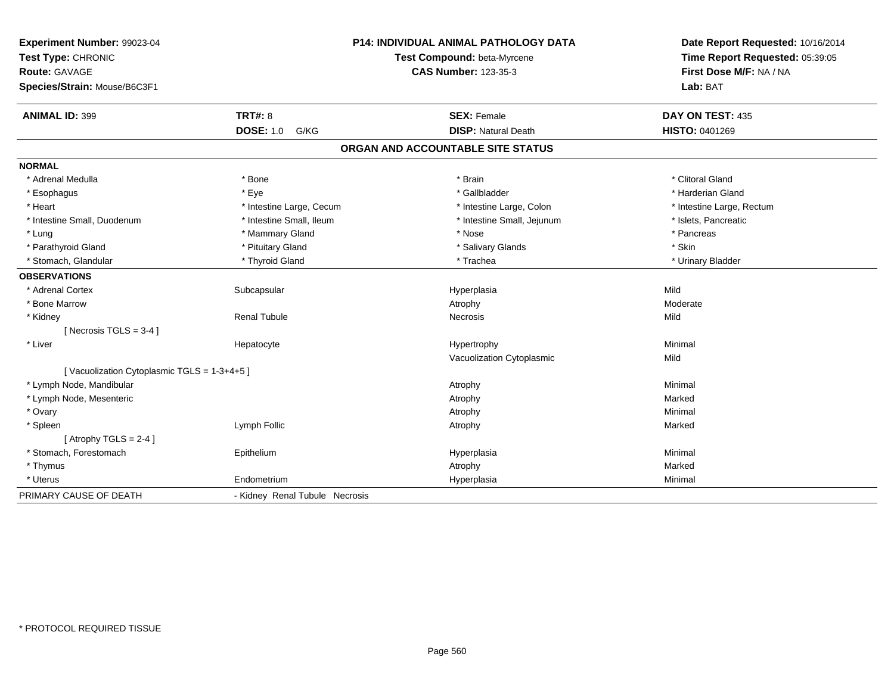| Experiment Number: 99023-04<br>Test Type: CHRONIC<br>Route: GAVAGE<br>Species/Strain: Mouse/B6C3F1 |                                | P14: INDIVIDUAL ANIMAL PATHOLOGY DATA<br>Test Compound: beta-Myrcene<br><b>CAS Number: 123-35-3</b> | Date Report Requested: 10/16/2014<br>Time Report Requested: 05:39:05<br>First Dose M/F: NA / NA<br>Lab: BAT |
|----------------------------------------------------------------------------------------------------|--------------------------------|-----------------------------------------------------------------------------------------------------|-------------------------------------------------------------------------------------------------------------|
| <b>ANIMAL ID: 399</b>                                                                              | <b>TRT#: 8</b>                 | <b>SEX: Female</b>                                                                                  | DAY ON TEST: 435                                                                                            |
|                                                                                                    | <b>DOSE: 1.0</b><br>G/KG       | <b>DISP: Natural Death</b>                                                                          | HISTO: 0401269                                                                                              |
|                                                                                                    |                                | ORGAN AND ACCOUNTABLE SITE STATUS                                                                   |                                                                                                             |
| <b>NORMAL</b>                                                                                      |                                |                                                                                                     |                                                                                                             |
| * Adrenal Medulla                                                                                  | * Bone                         | * Brain                                                                                             | * Clitoral Gland                                                                                            |
| * Esophagus                                                                                        | * Eye                          | * Gallbladder                                                                                       | * Harderian Gland                                                                                           |
| * Heart                                                                                            | * Intestine Large, Cecum       | * Intestine Large, Colon                                                                            | * Intestine Large, Rectum                                                                                   |
| * Intestine Small, Duodenum                                                                        | * Intestine Small, Ileum       | * Intestine Small, Jejunum                                                                          | * Islets, Pancreatic                                                                                        |
| * Lung                                                                                             | * Mammary Gland                | * Nose                                                                                              | * Pancreas                                                                                                  |
| * Parathyroid Gland                                                                                | * Pituitary Gland              | * Salivary Glands                                                                                   | * Skin                                                                                                      |
| * Stomach, Glandular                                                                               | * Thyroid Gland                | * Trachea                                                                                           | * Urinary Bladder                                                                                           |
| <b>OBSERVATIONS</b>                                                                                |                                |                                                                                                     |                                                                                                             |
| * Adrenal Cortex                                                                                   | Subcapsular                    | Hyperplasia                                                                                         | Mild                                                                                                        |
| * Bone Marrow                                                                                      |                                | Atrophy                                                                                             | Moderate                                                                                                    |
| * Kidney                                                                                           | <b>Renal Tubule</b>            | Necrosis                                                                                            | Mild                                                                                                        |
| [ Necrosis TGLS = $3-4$ ]                                                                          |                                |                                                                                                     |                                                                                                             |
| * Liver                                                                                            | Hepatocyte                     | Hypertrophy                                                                                         | Minimal                                                                                                     |
|                                                                                                    |                                | Vacuolization Cytoplasmic                                                                           | Mild                                                                                                        |
| [Vacuolization Cytoplasmic TGLS = 1-3+4+5]                                                         |                                |                                                                                                     |                                                                                                             |
| * Lymph Node, Mandibular                                                                           |                                | Atrophy                                                                                             | Minimal                                                                                                     |
| * Lymph Node, Mesenteric                                                                           |                                | Atrophy                                                                                             | Marked                                                                                                      |
| * Ovary                                                                                            |                                | Atrophy                                                                                             | Minimal                                                                                                     |
| * Spleen                                                                                           | Lymph Follic                   | Atrophy                                                                                             | Marked                                                                                                      |
| [Atrophy TGLS = $2-4$ ]                                                                            |                                |                                                                                                     |                                                                                                             |
| * Stomach, Forestomach                                                                             | Epithelium                     | Hyperplasia                                                                                         | Minimal                                                                                                     |
| * Thymus                                                                                           |                                | Atrophy                                                                                             | Marked                                                                                                      |
| * Uterus                                                                                           | Endometrium                    | Hyperplasia                                                                                         | Minimal                                                                                                     |
| PRIMARY CAUSE OF DEATH                                                                             | - Kidney Renal Tubule Necrosis |                                                                                                     |                                                                                                             |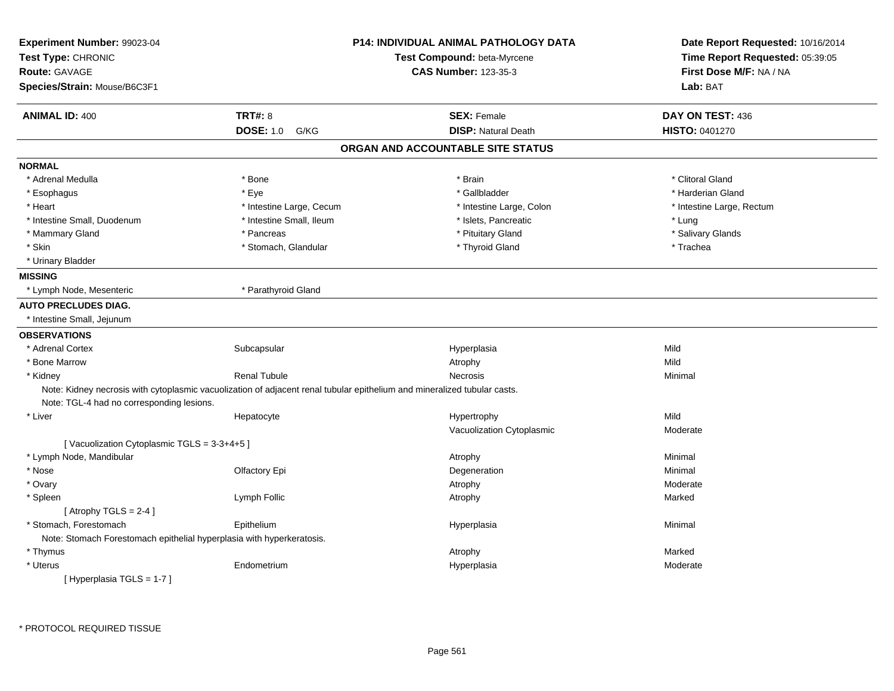| Experiment Number: 99023-04<br>Test Type: CHRONIC<br><b>Route: GAVAGE</b><br>Species/Strain: Mouse/B6C3F1 |                          | <b>P14: INDIVIDUAL ANIMAL PATHOLOGY DATA</b><br>Test Compound: beta-Myrcene<br><b>CAS Number: 123-35-3</b>               | Date Report Requested: 10/16/2014<br>Time Report Requested: 05:39:05<br>First Dose M/F: NA / NA<br>Lab: BAT |
|-----------------------------------------------------------------------------------------------------------|--------------------------|--------------------------------------------------------------------------------------------------------------------------|-------------------------------------------------------------------------------------------------------------|
|                                                                                                           |                          |                                                                                                                          |                                                                                                             |
| <b>ANIMAL ID: 400</b>                                                                                     | <b>TRT#: 8</b>           | <b>SEX: Female</b>                                                                                                       | DAY ON TEST: 436                                                                                            |
|                                                                                                           | <b>DOSE: 1.0</b><br>G/KG | <b>DISP: Natural Death</b>                                                                                               | HISTO: 0401270                                                                                              |
|                                                                                                           |                          | ORGAN AND ACCOUNTABLE SITE STATUS                                                                                        |                                                                                                             |
| <b>NORMAL</b>                                                                                             |                          |                                                                                                                          |                                                                                                             |
| * Adrenal Medulla                                                                                         | * Bone                   | * Brain                                                                                                                  | * Clitoral Gland                                                                                            |
| * Esophagus                                                                                               | * Eye                    | * Gallbladder                                                                                                            | * Harderian Gland                                                                                           |
| * Heart                                                                                                   | * Intestine Large, Cecum | * Intestine Large, Colon                                                                                                 | * Intestine Large, Rectum                                                                                   |
| * Intestine Small, Duodenum                                                                               | * Intestine Small, Ileum | * Islets, Pancreatic                                                                                                     | * Lung                                                                                                      |
| * Mammary Gland                                                                                           | * Pancreas               | * Pituitary Gland                                                                                                        | * Salivary Glands                                                                                           |
| * Skin                                                                                                    | * Stomach, Glandular     | * Thyroid Gland                                                                                                          | * Trachea                                                                                                   |
| * Urinary Bladder                                                                                         |                          |                                                                                                                          |                                                                                                             |
| <b>MISSING</b>                                                                                            |                          |                                                                                                                          |                                                                                                             |
| * Lymph Node, Mesenteric                                                                                  | * Parathyroid Gland      |                                                                                                                          |                                                                                                             |
| <b>AUTO PRECLUDES DIAG.</b>                                                                               |                          |                                                                                                                          |                                                                                                             |
| * Intestine Small, Jejunum                                                                                |                          |                                                                                                                          |                                                                                                             |
| <b>OBSERVATIONS</b>                                                                                       |                          |                                                                                                                          |                                                                                                             |
| * Adrenal Cortex                                                                                          | Subcapsular              | Hyperplasia                                                                                                              | Mild                                                                                                        |
| * Bone Marrow                                                                                             |                          | Atrophy                                                                                                                  | Mild                                                                                                        |
| * Kidney                                                                                                  | <b>Renal Tubule</b>      | Necrosis                                                                                                                 | Minimal                                                                                                     |
|                                                                                                           |                          | Note: Kidney necrosis with cytoplasmic vacuolization of adjacent renal tubular epithelium and mineralized tubular casts. |                                                                                                             |
| Note: TGL-4 had no corresponding lesions.                                                                 |                          |                                                                                                                          |                                                                                                             |
| * Liver                                                                                                   | Hepatocyte               | Hypertrophy                                                                                                              | Mild                                                                                                        |
|                                                                                                           |                          | Vacuolization Cytoplasmic                                                                                                | Moderate                                                                                                    |
| [Vacuolization Cytoplasmic TGLS = 3-3+4+5]                                                                |                          |                                                                                                                          |                                                                                                             |
| * Lymph Node, Mandibular                                                                                  |                          | Atrophy                                                                                                                  | Minimal                                                                                                     |
| * Nose                                                                                                    | Olfactory Epi            | Degeneration                                                                                                             | Minimal                                                                                                     |
| * Ovary                                                                                                   |                          | Atrophy                                                                                                                  | Moderate                                                                                                    |
| * Spleen                                                                                                  | Lymph Follic             | Atrophy                                                                                                                  | Marked                                                                                                      |
| [Atrophy TGLS = $2-4$ ]                                                                                   |                          |                                                                                                                          |                                                                                                             |
| * Stomach, Forestomach                                                                                    | Epithelium               | Hyperplasia                                                                                                              | Minimal                                                                                                     |
| Note: Stomach Forestomach epithelial hyperplasia with hyperkeratosis.                                     |                          |                                                                                                                          |                                                                                                             |
| * Thymus                                                                                                  |                          | Atrophy                                                                                                                  | Marked                                                                                                      |
| * Uterus                                                                                                  | Endometrium              | Hyperplasia                                                                                                              | Moderate                                                                                                    |
| [Hyperplasia TGLS = 1-7]                                                                                  |                          |                                                                                                                          |                                                                                                             |